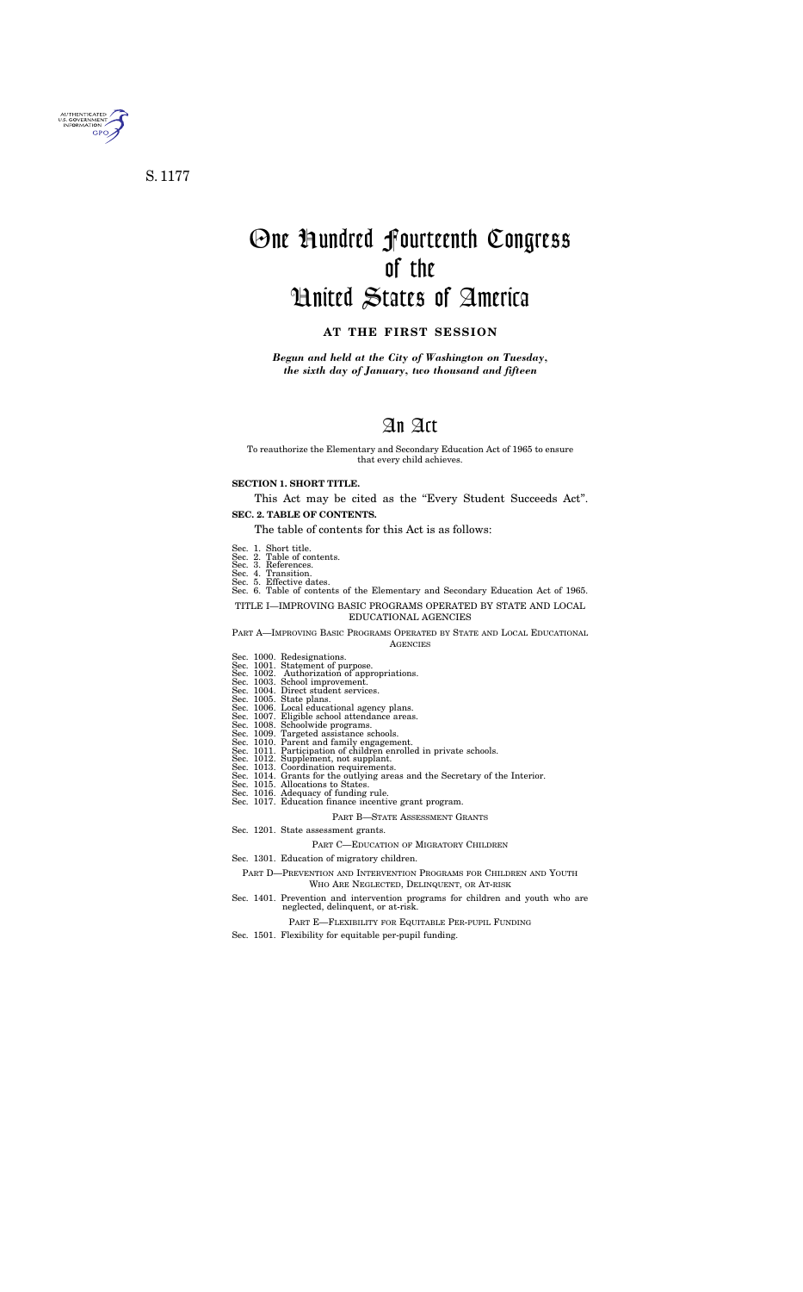# An Act

To reauthorize the Elementary and Secondary Education Act of 1965 to ensure that every child achieves.

# **SECTION 1. SHORT TITLE.**

This Act may be cited as the "Every Student Succeeds Act".

# **SEC. 2. TABLE OF CONTENTS.**

The table of contents for this Act is as follows:

- Sec. 1. Short title.
- 
- 
- 
- Sec. 2. Table of contents. Sec. 3. References. Sec. 4. Transition. Sec. 5. Effective dates. Sec. 6. Table of contents of the Elementary and Secondary Education Act of 1965.
- TITLE I—IMPROVING BASIC PROGRAMS OPERATED BY STATE AND LOCAL EDUCATIONAL AGENCIES

PART A—IMPROVING BASIC PROGRAMS OPERATED BY STATE AND LOCAL EDUCATIONAL **AGENCIES** 

Sec. 1000. Redesignations.

- Sec. 1001. Statement of purpose. Sec. 1002. Authorization of appropriations.
- Sec. 1002. Authorization of appropriations.<br>Sec. 1003. School improvement.
- Sec. 1004. Direct student services.
- 
- Sec. 1005. State plans. Sec. 1006. Local educational agency plans. Sec. 1007. Eligible school attendance areas.
- 
- 
- Sec. 1008. Schoolwide programs. Sec. 1009. Targeted assistance schools.
- 
- Sec. 1010. Parent and family engagement. Sec. 1011. Participation of children enrolled in private schools.
- Sec. 1012. Supplement, not supplant. Sec. 1013. Coordination requirements.
- 
- Sec. 1014. Grants for the outlying areas and the Secretary of the Interior.
- Sec. 1015. Allocations to States.
- Sec. 1016. Adequacy of funding rule. Sec. 1017. Education finance incentive grant program.
- 

# PART B—STATE ASSESSMENT GRANTS

Sec. 1201. State assessment grants.

PART C—EDUCATION OF MIGRATORY CHILDREN

- Sec. 1301. Education of migratory children.
	- PART D—PREVENTION AND INTERVENTION PROGRAMS FOR CHILDREN AND YOUTH WHO ARE NEGLECTED, DELINQUENT, OR AT-RISK
- Sec. 1401. Prevention and intervention programs for children and youth who are neglected, delinquent, or at-risk.
	- PART E—FLEXIBILITY FOR EQUITABLE PER-PUPIL FUNDING
- Sec. 1501. Flexibility for equitable per-pupil funding.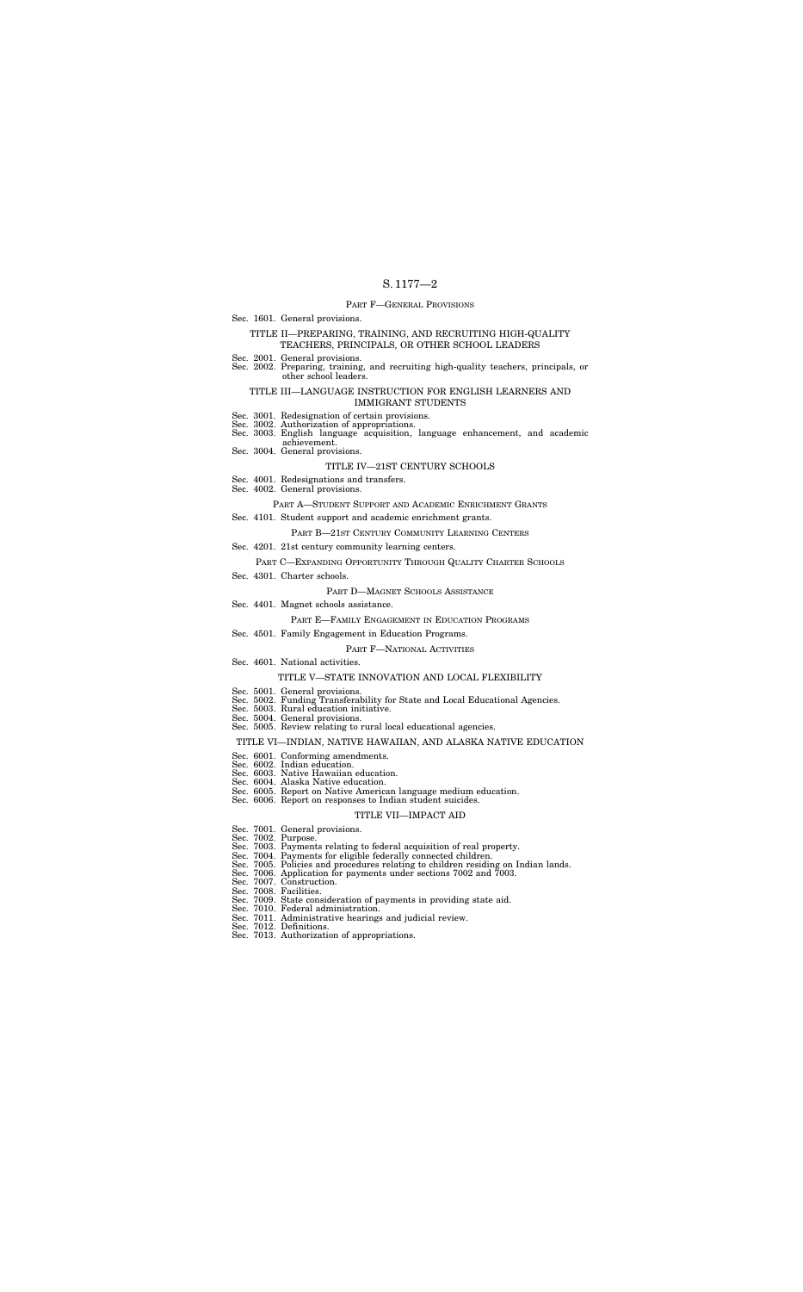# PART F—GENERAL PROVISIONS

Sec. 1601. General provisions.

- TITLE II—PREPARING, TRAINING, AND RECRUITING HIGH-QUALITY TEACHERS, PRINCIPALS, OR OTHER SCHOOL LEADERS
- 
- Sec. 2001. General provisions. Sec. 2002. Preparing, training, and recruiting high-quality teachers, principals, or other school leaders.

# TITLE III—LANGUAGE INSTRUCTION FOR ENGLISH LEARNERS AND IMMIGRANT STUDENTS

- 
- 
- Sec. 3001. Redesignation of certain provisions. Sec. 3002. Authorization of appropriations. Sec. 3003. English language acquisition, language enhancement, and academic
- achievement. Sec. 3004. General provisions.

# TITLE IV—21ST CENTURY SCHOOLS

- Sec. 4001. Redesignations and transfers. Sec. 4002. General provisions.
- - PART A—STUDENT SUPPORT AND ACADEMIC ENRICHMENT GRANTS
- Sec. 4101. Student support and academic enrichment grants.

# PART B—21ST CENTURY COMMUNITY LEARNING CENTERS

- Sec. 4201. 21st century community learning centers.
- PART C—EXPANDING OPPORTUNITY THROUGH QUALITY CHARTER SCHOOLS
- Sec. 4301. Charter schools.

#### PART D—MAGNET SCHOOLS ASSISTANCE

Sec. 4401. Magnet schools assistance.

# PART E—FAMILY ENGAGEMENT IN EDUCATION PROGRAMS

Sec. 4501. Family Engagement in Education Programs.

PART F—NATIONAL ACTIVITIES

Sec. 4601. National activities.

- 
- 
- 
- Sec. 7001. General provisions.<br>Sec. 7002. Purpose.<br>Sec. 7003. Payments relating to federal acquisition of real property.<br>Sec. 7004. Payments for eligible federally connected children.<br>Sec. 7005. Policies and procedures rel
- Sec. 7006. Application for payments under sections 7002 and 7003. Sec. 7007. Construction. Sec. 7008. Facilities.
- 
- 
- Sec. 7009. State consideration of payments in providing state aid. Sec. 7010. Federal administration.
- Sec. 7011. Administrative hearings and judicial review. Sec. 7012. Definitions.
- 
- Sec. 7013. Authorization of appropriations.

# TITLE V—STATE INNOVATION AND LOCAL FLEXIBILITY

- 
- Sec. 5001. General provisions. Sec. 5002. Funding Transferability for State and Local Educational Agencies. Sec. 5003. Rural education initiative. Sec. 5004. General provisions.
- 
- Sec. 5005. Review relating to rural local educational agencies.

# TITLE VI—INDIAN, NATIVE HAWAIIAN, AND ALASKA NATIVE EDUCATION

- Sec. 6001. Conforming amendments.
- 
- Sec. 6002. Indian education. Sec. 6003. Native Hawaiian education.
- 
- Sec. 6004. Alaska Native education. Sec. 6005. Report on Native American language medium education.
- Sec. 6006. Report on responses to Indian student suicides.

#### TITLE VII—IMPACT AID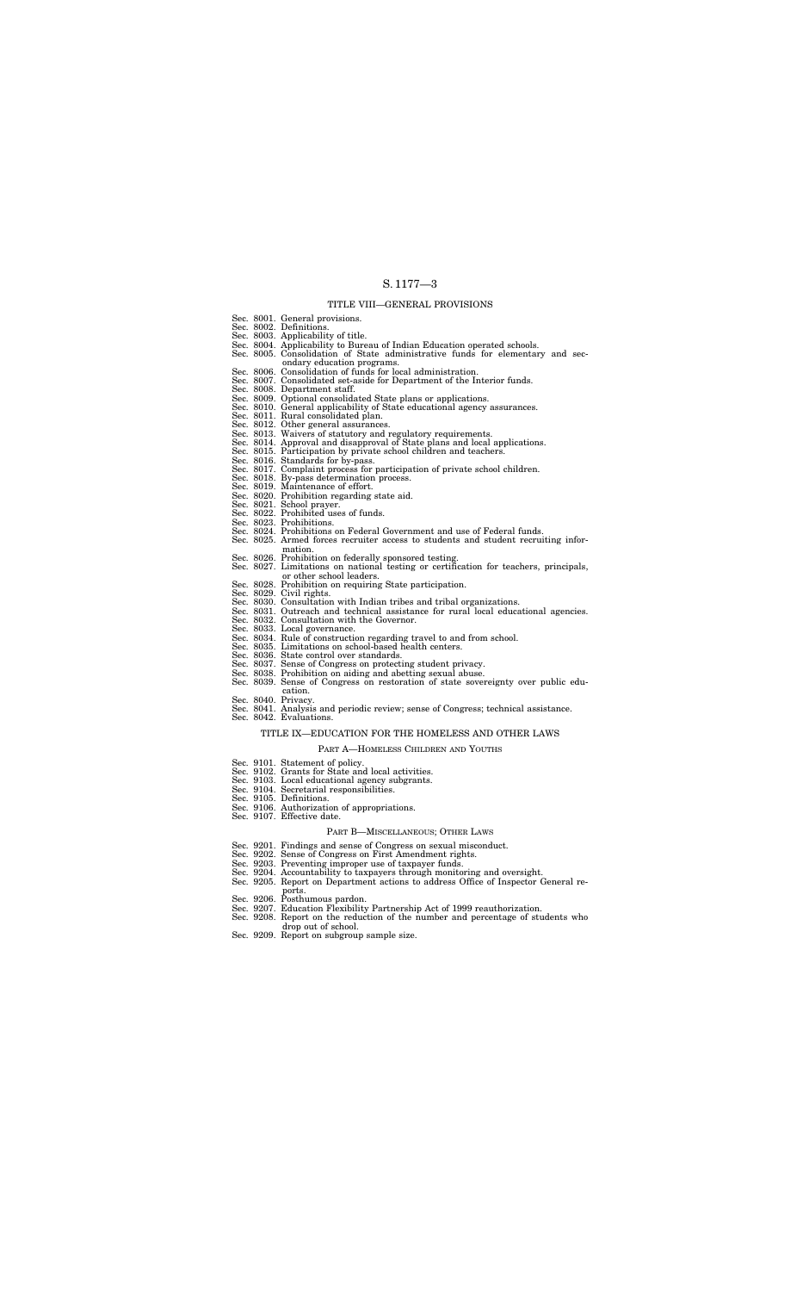# TITLE VIII—GENERAL PROVISIONS

- 
- 
- Sec. 8001. General provisions. Sec. 8002. Definitions. Sec. 8003. Applicability of title.
- Sec. 8004. Applicability to Bureau of Indian Education operated schools. Sec. 8005. Consolidation of State administrative funds for elementary and secondary education programs.
	-
- Sec. 8006. Consolidation of funds for local administration. Sec. 8007. Consolidated set-aside for Department of the Interior funds.
- 
- 
- Sec. 8008. Department staff.<br>Sec. 8009. Optional consolidated State plans or applications.<br>Sec. 8010. General applicability of State educational agency assurances.<br>Sec. 8011. Rural consolidated plan.<br>Sec. 8012. Other gener
- 
- 
- 
- Sec. 8014. Approval and disapproval of State plans and local applications. Sec. 8015. Participation by private school children and teachers.
- 
- Sec. 8016. Standards for by-pass. Sec. 8017. Complaint process for participation of private school children. Sec. 8018. By-pass determination process.
- 
- 
- 
- 
- 
- Sec. 8019. Maintenance of effort.<br>Sec. 8020. Prohibition regarding state aid.<br>Sec. 8021. School prayer.<br>Sec. 8022. Prohibited uses of funds.<br>Sec. 8023. Prohibitions.<br>Sec. 8023. Prohibitions.
- Sec. 8025. Armed forces recruiter access to students and student recruiting information.
- 
- Sec. 8026. Prohibition on federally sponsored testing. Sec. 8027. Limitations on national testing or certification for teachers, principals, or other school leaders.
- -
- Sec. 8028. Prohibition on requiring State participation.<br>Sec. 8029. Civil rights.<br>Sec. 8030. Consultation with Indian tribes and tribal organizations.<br>Sec. 8031. Outreach and technical assistance for rural local educationa
- 
- Sec. 8033. Local governance.
- Sec. 8034. Rule of construction regarding travel to and from school. Sec. 8035. Limitations on school-based health centers.
- 
- 
- Sec. 8036. State control over standards. Sec. 8037. Sense of Congress on protecting student privacy. Sec. 8038. Prohibition on aiding and abetting sexual abuse.
- Sec. 8039. Sense of Congress on restoration of state sovereignty over public education.
- Sec. 8040. Privacy.
- Sec. 8041. Analysis and periodic review; sense of Congress; technical assistance.
- Sec. 8042. Evaluations.

# TITLE IX—EDUCATION FOR THE HOMELESS AND OTHER LAWS

#### PART A—HOMELESS CHILDREN AND YOUTHS

- Sec. 9101. Statement of policy.
- Sec. 9102. Grants for State and local activities.
- Sec. 9103. Local educational agency subgrants.
- Sec. 9104. Secretarial responsibilities.
- Sec. 9105. Definitions.
- Sec. 9106. Authorization of appropriations.
- Sec. 9107. Effective date.

# PART B—MISCELLANEOUS; OTHER LAWS

- Sec. 9201. Findings and sense of Congress on sexual misconduct.
- Sec. 9202. Sense of Congress on First Amendment rights.
- Sec. 9203. Preventing improper use of taxpayer funds.
- Sec. 9204. Accountability to taxpayers through monitoring and oversight.
- Sec. 9205. Report on Department actions to address Office of Inspector General re-
- ports. Sec. 9206. Posthumous pardon.
- Sec. 9207. Education Flexibility Partnership Act of 1999 reauthorization.
- Sec. 9208. Report on the reduction of the number and percentage of students who
- drop out of school.
- Sec. 9209. Report on subgroup sample size.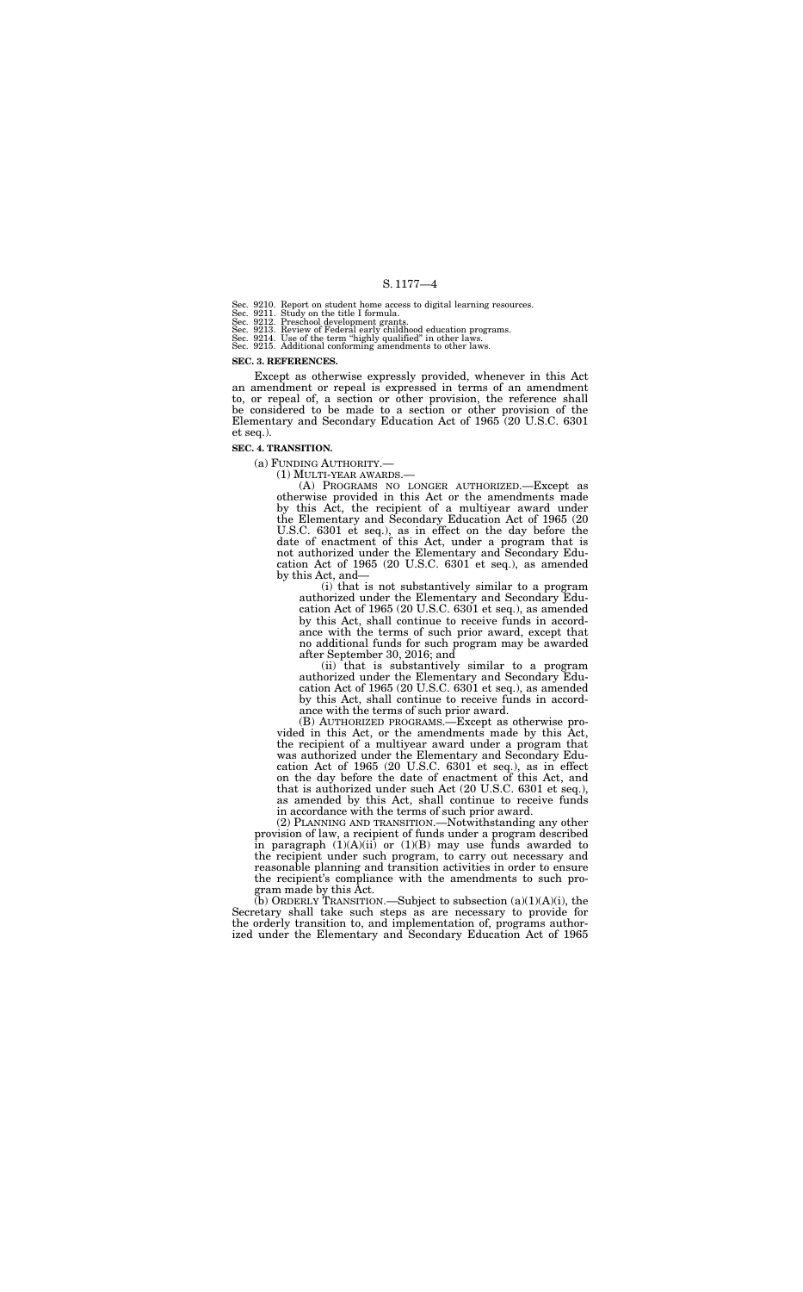Sec. 9210. Report on student home access to digital learning resources. Sec. 9211. Study on the title I formula. Sec. 9212. Preschool development grants. Sec. 9213. Review of Federal early childhood education programs.

Sec. 9214. Use of the term ''highly qualified'' in other laws. Sec. 9215. Additional conforming amendments to other laws.

#### **SEC. 3. REFERENCES.**

Except as otherwise expressly provided, whenever in this Act an amendment or repeal is expressed in terms of an amendment to, or repeal of, a section or other provision, the reference shall be considered to be made to a section or other provision of the Elementary and Secondary Education Act of 1965 (20 U.S.C. 6301 et seq.).

# **SEC. 4. TRANSITION.**

(a) FUNDING AUTHORITY.— (1) MULTI-YEAR AWARDS.— (A) PROGRAMS NO LONGER AUTHORIZED.—Except as otherwise provided in this Act or the amendments made by this Act, the recipient of a multiyear award under the Elementary and Secondary Education Act of 1965 (20 U.S.C. 6301 et seq.), as in effect on the day before the date of enactment of this Act, under a program that is not authorized under the Elementary and Secondary Education Act of 1965 (20 U.S.C. 6301 et seq.), as amended by this Act, and—

(i) that is not substantively similar to a program authorized under the Elementary and Secondary Education Act of 1965 (20 U.S.C. 6301 et seq.), as amended by this Act, shall continue to receive funds in accordance with the terms of such prior award, except that no additional funds for such program may be awarded after September 30, 2016; and

(b) ORDERLY TRANSITION.—Subject to subsection  $(a)(1)(A)(i)$ , the Secretary shall take such steps as are necessary to provide for the orderly transition to, and implementation of, programs authorized under the Elementary and Secondary Education Act of 1965

(ii) that is substantively similar to a program authorized under the Elementary and Secondary Education Act of 1965 (20 U.S.C. 6301 et seq.), as amended by this Act, shall continue to receive funds in accordance with the terms of such prior award.

(B) AUTHORIZED PROGRAMS.—Except as otherwise provided in this Act, or the amendments made by this Act, the recipient of a multiyear award under a program that was authorized under the Elementary and Secondary Education Act of 1965 (20 U.S.C. 6301 et seq.), as in effect on the day before the date of enactment of this Act, and that is authorized under such Act (20 U.S.C. 6301 et seq.), as amended by this Act, shall continue to receive funds in accordance with the terms of such prior award.

(2) PLANNING AND TRANSITION.—Notwithstanding any other provision of law, a recipient of funds under a program described in paragraph  $(1)(A)(ii)$  or  $(1)(B)$  may use funds awarded to the recipient under such program, to carry out necessary and reasonable planning and transition activities in order to ensure the recipient's compliance with the amendments to such program made by this Act.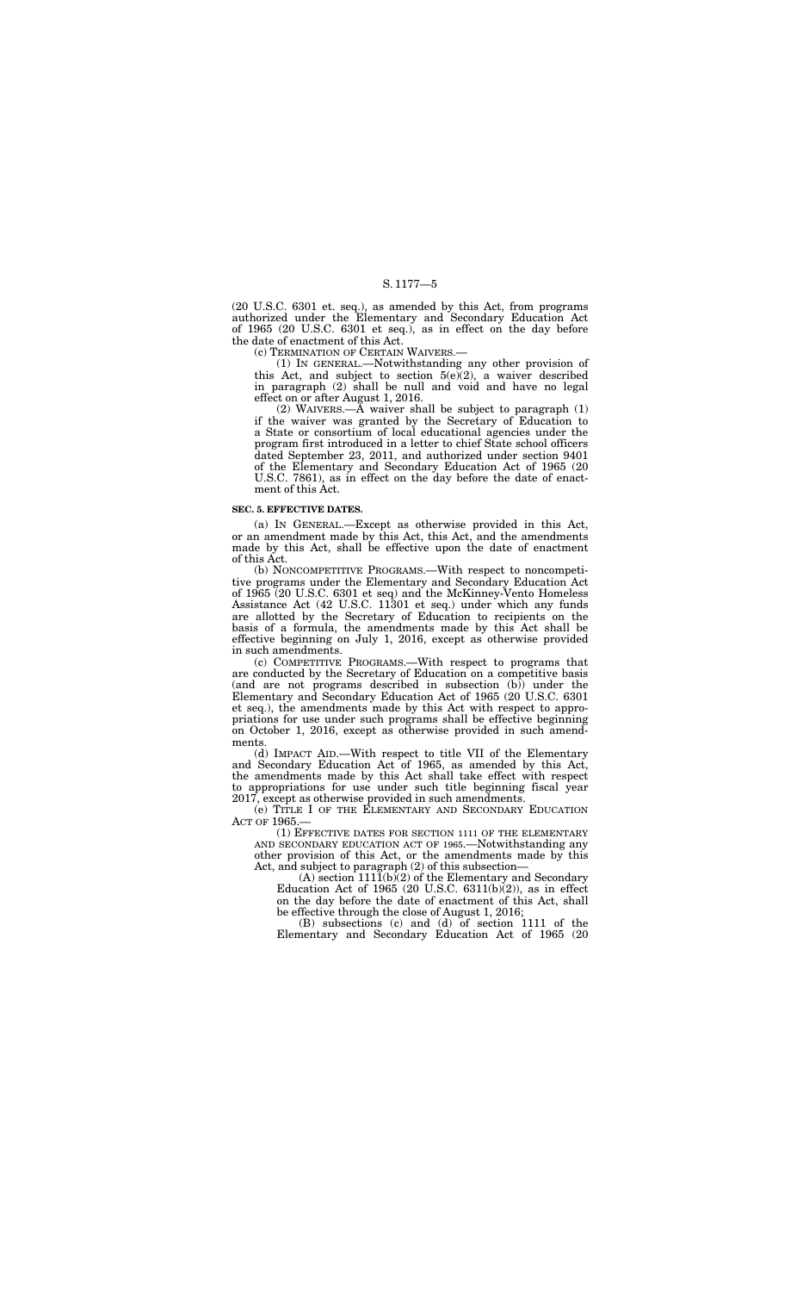(20 U.S.C. 6301 et. seq.), as amended by this Act, from programs authorized under the Elementary and Secondary Education Act of 1965 (20 U.S.C. 6301 et seq.), as in effect on the day before the date of enactment of this Act.

(c) TERMINATION OF CERTAIN WAIVERS.—

(1) IN GENERAL.—Notwithstanding any other provision of this Act, and subject to section  $5(e)(2)$ , a waiver described in paragraph (2) shall be null and void and have no legal effect on or after August 1, 2016.

(2) WAIVERS.— $\overline{A}$  waiver shall be subject to paragraph (1) if the waiver was granted by the Secretary of Education to a State or consortium of local educational agencies under the program first introduced in a letter to chief State school officers dated September 23, 2011, and authorized under section 9401 of the Elementary and Secondary Education Act of 1965 (20 U.S.C. 7861), as in effect on the day before the date of enactment of this Act.

#### **SEC. 5. EFFECTIVE DATES.**

(a) IN GENERAL.—Except as otherwise provided in this Act, or an amendment made by this Act, this Act, and the amendments made by this Act, shall be effective upon the date of enactment of this Act.

(b) NONCOMPETITIVE PROGRAMS.—With respect to noncompetitive programs under the Elementary and Secondary Education Act of 1965 (20 U.S.C. 6301 et seq) and the McKinney-Vento Homeless Assistance Act (42 U.S.C. 11301 et seq.) under which any funds are allotted by the Secretary of Education to recipients on the basis of a formula, the amendments made by this Act shall be effective beginning on July 1, 2016, except as otherwise provided in such amendments.

> $(A)$  section  $111\tilde{1}(b)$  $(2)$  of the Elementary and Secondary Education Act of 1965 (20 U.S.C. 6311(b)(2)), as in effect on the day before the date of enactment of this Act, shall be effective through the close of August 1, 2016;

(c) COMPETITIVE PROGRAMS.—With respect to programs that are conducted by the Secretary of Education on a competitive basis (and are not programs described in subsection (b)) under the Elementary and Secondary Education Act of 1965 (20 U.S.C. 6301 et seq.), the amendments made by this Act with respect to appropriations for use under such programs shall be effective beginning on October 1, 2016, except as otherwise provided in such amendments.

(d) IMPACT AID.—With respect to title VII of the Elementary and Secondary Education Act of 1965, as amended by this Act, the amendments made by this Act shall take effect with respect to appropriations for use under such title beginning fiscal year 2017, except as otherwise provided in such amendments.

(e) TITLE I OF THE ELEMENTARY AND SECONDARY EDUCATION ACT OF 1965.—

(1) EFFECTIVE DATES FOR SECTION 1111 OF THE ELEMENTARY AND SECONDARY EDUCATION ACT OF 1965.—Notwithstanding any other provision of this Act, or the amendments made by this Act, and subject to paragraph (2) of this subsection—

(B) subsections (c) and (d) of section 1111 of the Elementary and Secondary Education Act of 1965 (20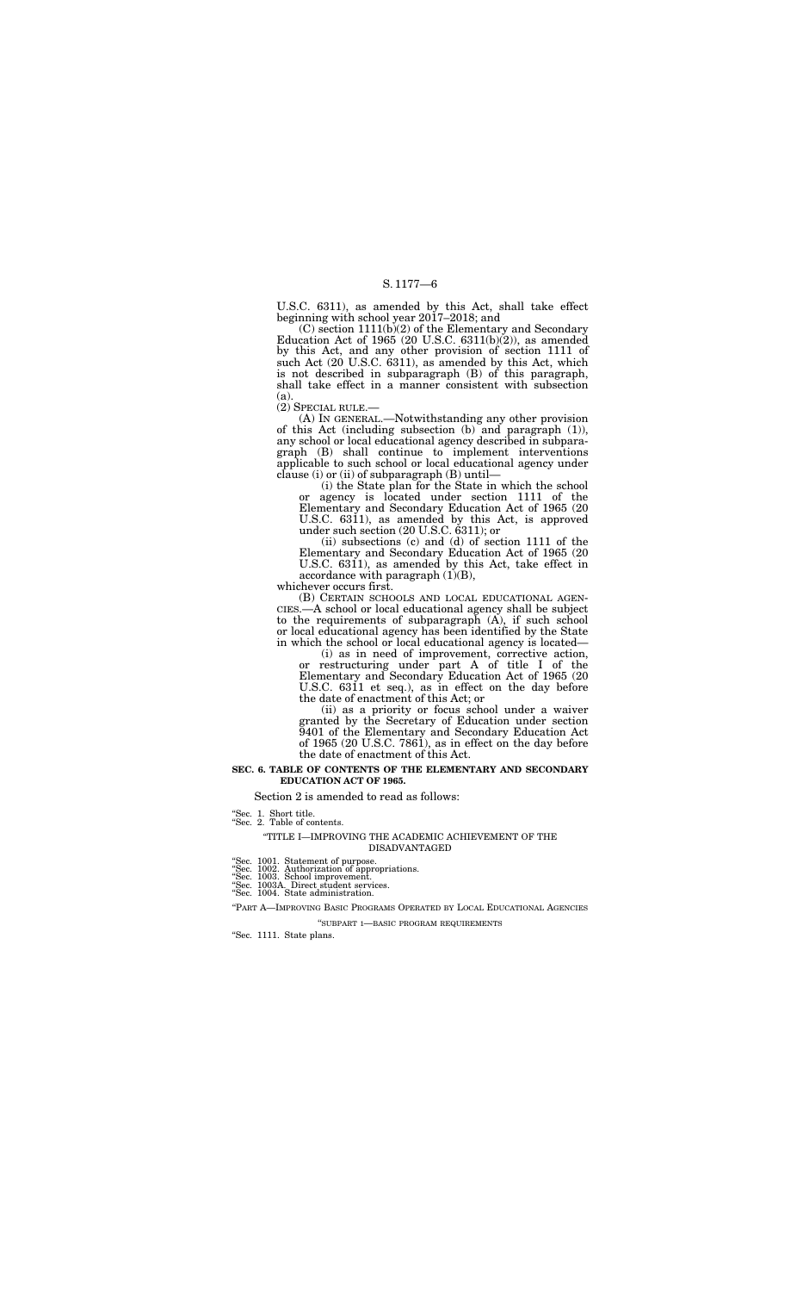U.S.C. 6311), as amended by this Act, shall take effect beginning with school year 2017–2018; and

 $(C)$  section  $1111(b)(2)$  of the Elementary and Secondary Education Act of 1965 (20 U.S.C. 6311(b) $(2)$ ), as amended by this Act, and any other provision of section 1111 of such Act (20 U.S.C. 6311), as amended by this Act, which is not described in subparagraph (B) of this paragraph, shall take effect in a manner consistent with subsection (a).

(2) SPECIAL RULE.—

(ii) subsections (c) and (d) of section 1111 of the Elementary and Secondary Education Act of 1965 (20 U.S.C. 6311), as amended by this Act, take effect in accordance with paragraph  $(1)(B)$ ,

(A) IN GENERAL.—Notwithstanding any other provision of this Act (including subsection (b) and paragraph (1)), any school or local educational agency described in subparagraph (B) shall continue to implement interventions applicable to such school or local educational agency under clause (i) or (ii) of subparagraph (B) until—

(i) the State plan for the State in which the school or agency is located under section 1111 of the Elementary and Secondary Education Act of 1965 (20 U.S.C. 6311), as amended by this Act, is approved under such section (20 U.S.C. 6311); or

whichever occurs first.

(B) CERTAIN SCHOOLS AND LOCAL EDUCATIONAL AGEN-CIES.—A school or local educational agency shall be subject to the requirements of subparagraph (A), if such school or local educational agency has been identified by the State in which the school or local educational agency is located—

(i) as in need of improvement, corrective action, or restructuring under part A of title I of the Elementary and Secondary Education Act of 1965 (20 U.S.C. 6311 et seq.), as in effect on the day before the date of enactment of this Act; or

(ii) as a priority or focus school under a waiver granted by the Secretary of Education under section 9401 of the Elementary and Secondary Education Act of 1965 (20 U.S.C. 7861), as in effect on the day before the date of enactment of this Act.

# **SEC. 6. TABLE OF CONTENTS OF THE ELEMENTARY AND SECONDARY EDUCATION ACT OF 1965.**

Section 2 is amended to read as follows:

# ''Sec. 1. Short title. ''Sec. 2. Table of contents.

# ''TITLE I—IMPROVING THE ACADEMIC ACHIEVEMENT OF THE DISADVANTAGED

- ''Sec. 1001. Statement of purpose.
- ''Sec. 1002. Authorization of appropriations. ''Sec. 1003. School improvement. ''Sec. 1003A. Direct student services.
- 
- ''Sec. 1004. State administration.

#### ''PART A—IMPROVING BASIC PROGRAMS OPERATED BY LOCAL EDUCATIONAL AGENCIES

''SUBPART 1—BASIC PROGRAM REQUIREMENTS

''Sec. 1111. State plans.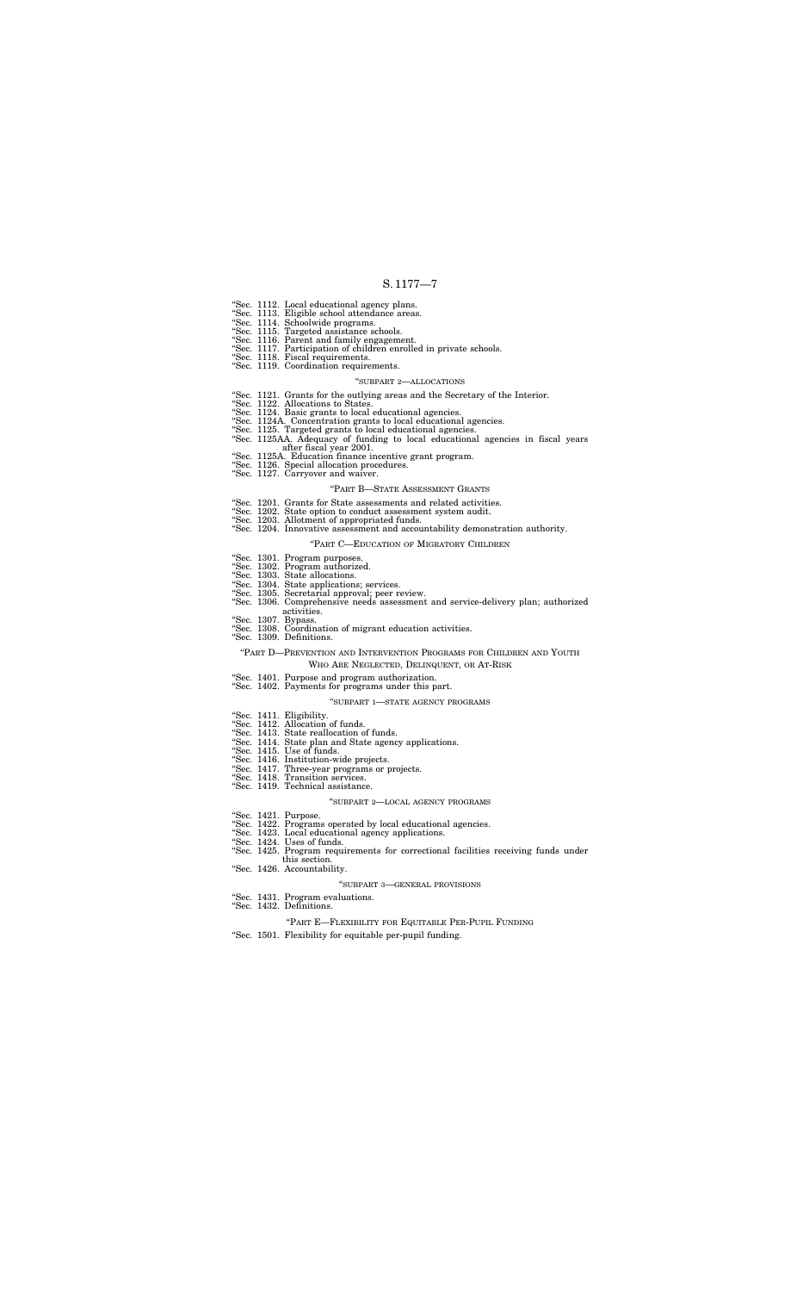''Sec. 1112. Local educational agency plans. ''Sec. 1113. Eligible school attendance areas. ''Sec. 1114. Schoolwide programs.

- 
- 
- 
- ''Sec. 1115. Targeted assistance schools. ''Sec. 1116. Parent and family engagement. ''Sec. 1117. Participation of children enrolled in private schools.
- 
- ''Sec. 1118. Fiscal requirements. ''Sec. 1119. Coordination requirements.

#### ''SUBPART 2—ALLOCATIONS

- ''Sec. 1121. Grants for the outlying areas and the Secretary of the Interior.
- 
- ''Sec. 1122. Allocations to States. ''Sec. 1124. Basic grants to local educational agencies.
- 
- ''Sec. 1124A. Concentration grants to local educational agencies. ''Sec. 1125. Targeted grants to local educational agencies. ''Sec. 1125AA. Adequacy of funding to local educational agencies in fiscal years
- after fiscal year 2001.
- 
- ''Sec. 1125A. Education finance incentive grant program. ''Sec. 1126. Special allocation procedures. ''Sec. 1127. Carryover and waiver.
- 

- 
- 
- 
- 
- "Sec. 1301. Program purposes.<br>"Sec. 1302. Program authorized.<br>"Sec. 1303. State allocations.<br>"Sec. 1304. State applications; services.<br>"Sec. 1305. Secretarial approval; peer review.<br>"Sec. 1306. Comprehensive needs assessme activities.
- 
- ''Sec. 1307. Bypass. ''Sec. 1308. Coordination of migrant education activities.
- ''Sec. 1309. Definitions.

# ''PART B—STATE ASSESSMENT GRANTS

- ''Sec. 1201. Grants for State assessments and related activities.
- ''Sec. 1202. State option to conduct assessment system audit. ''Sec. 1203. Allotment of appropriated funds.
- ''Sec. 1204. Innovative assessment and accountability demonstration authority.

# ''PART C—EDUCATION OF MIGRATORY CHILDREN

# ''PART D—PREVENTION AND INTERVENTION PROGRAMS FOR CHILDREN AND YOUTH WHO ARE NEGLECTED, DELINQUENT, OR AT-RISK

- ''Sec. 1401. Purpose and program authorization.
- ''Sec. 1402. Payments for programs under this part.

# ''SUBPART 1—STATE AGENCY PROGRAMS

- 
- ''Sec. 1411. Eligibility. ''Sec. 1412. Allocation of funds. ''Sec. 1413. State reallocation of funds.
- 
- ''Sec. 1414. State plan and State agency applications. ''Sec. 1415. Use of funds. ''Sec. 1416. Institution-wide projects.
- 
- 
- ''Sec. 1417. Three-year programs or projects. ''Sec. 1418. Transition services.
- ''Sec. 1419. Technical assistance.
	- - ''SUBPART 2—LOCAL AGENCY PROGRAMS
- 
- 
- 
- 
- "Sec. 1421. Purpose.<br>"Sec. 1422. Programs operated by local educational agencies.<br>"Sec. 1423. Local educational agency applications.<br>"Sec. 1424. Uses of funds.<br>"Sec. 1425. Program requirements for correctional facilities r
- this section. ''Sec. 1426. Accountability.

# ''SUBPART 3—GENERAL PROVISIONS

- ''Sec. 1431. Program evaluations. ''Sec. 1432. Definitions.
- 

# ''PART E—FLEXIBILITY FOR EQUITABLE PER-PUPIL FUNDING

''Sec. 1501. Flexibility for equitable per-pupil funding.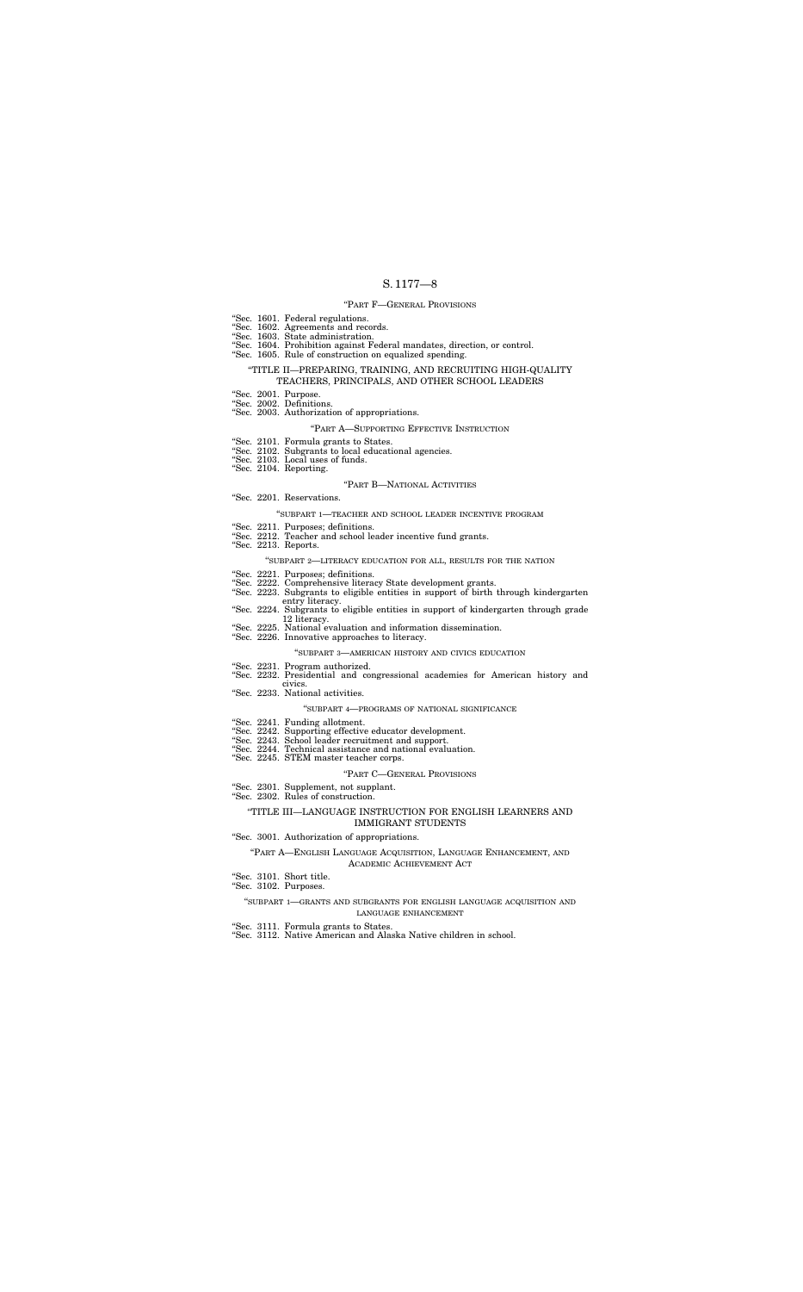# ''PART F—GENERAL PROVISIONS

- ''Sec. 1601. Federal regulations.
- ''Sec. 1602. Agreements and records.
- ''Sec. 1603. State administration.
- ''Sec. 1604. Prohibition against Federal mandates, direction, or control.
- ''Sec. 1605. Rule of construction on equalized spending.

# ''TITLE II—PREPARING, TRAINING, AND RECRUITING HIGH-QUALITY TEACHERS, PRINCIPALS, AND OTHER SCHOOL LEADERS

- ''Sec. 2001. Purpose.
- ''Sec. 2002. Definitions.
- ''Sec. 2003. Authorization of appropriations.

# ''PART A—SUPPORTING EFFECTIVE INSTRUCTION

- ''Sec. 2101. Formula grants to States.
- ''Sec. 2102. Subgrants to local educational agencies.
- ''Sec. 2103. Local uses of funds.
- ''Sec. 2104. Reporting.

#### ''PART B—NATIONAL ACTIVITIES

# ''Sec. 2201. Reservations.

#### ''SUBPART 1—TEACHER AND SCHOOL LEADER INCENTIVE PROGRAM

- ''Sec. 2211. Purposes; definitions.
- ''Sec. 2212. Teacher and school leader incentive fund grants.
- ''Sec. 2213. Reports.

# ''SUBPART 2—LITERACY EDUCATION FOR ALL, RESULTS FOR THE NATION

- ''Sec. 2221. Purposes; definitions.
- ''Sec. 2222. Comprehensive literacy State development grants.
- ''Sec. 2223. Subgrants to eligible entities in support of birth through kindergarten
- entry literacy. ''Sec. 2224. Subgrants to eligible entities in support of kindergarten through grade
- 12 literacy.
- ''Sec. 2225. National evaluation and information dissemination.
- ''Sec. 2226. Innovative approaches to literacy.

''SUBPART 3—AMERICAN HISTORY AND CIVICS EDUCATION

- ''Sec. 2231. Program authorized.
- ''Sec. 2232. Presidential and congressional academies for American history and civics.
- ''Sec. 2233. National activities.

#### ''SUBPART 4—PROGRAMS OF NATIONAL SIGNIFICANCE

- ''Sec. 2241. Funding allotment.
- ''Sec. 2242. Supporting effective educator development.
- ''Sec. 2243. School leader recruitment and support.
- ''Sec. 2244. Technical assistance and national evaluation.
- ''Sec. 2245. STEM master teacher corps.

#### ''PART C—GENERAL PROVISIONS

- ''Sec. 2301. Supplement, not supplant.
- ''Sec. 2302. Rules of construction.

# ''TITLE III—LANGUAGE INSTRUCTION FOR ENGLISH LEARNERS AND IMMIGRANT STUDENTS

''Sec. 3001. Authorization of appropriations.

#### ''PART A—ENGLISH LANGUAGE ACQUISITION, LANGUAGE ENHANCEMENT, AND ACADEMIC ACHIEVEMENT ACT

''Sec. 3101. Short title.

#### ''Sec. 3102. Purposes.

#### ''SUBPART 1—GRANTS AND SUBGRANTS FOR ENGLISH LANGUAGE ACQUISITION AND LANGUAGE ENHANCEMENT

''Sec. 3111. Formula grants to States.

''Sec. 3112. Native American and Alaska Native children in school.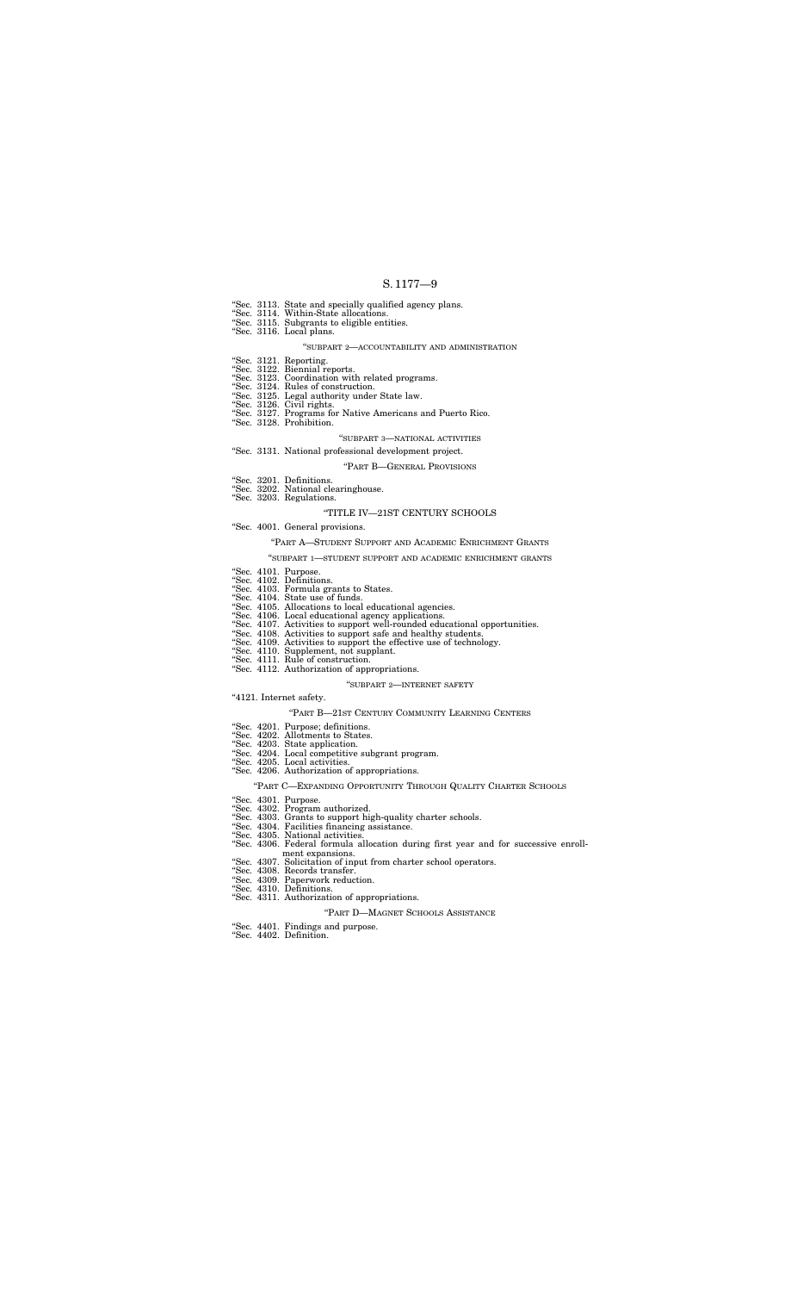- ''Sec. 3113. State and specially qualified agency plans. ''Sec. 3114. Within-State allocations. ''Sec. 3115. Subgrants to eligible entities.
- 
- 
- ''Sec. 3116. Local plans.

#### ''SUBPART 2—ACCOUNTABILITY AND ADMINISTRATION

- 
- 
- 
- 
- 
- "Sec. 3121. Reporting.<br>"Sec. 3122. Biennial reports.<br>"Sec. 3123. Coordination with related programs.<br>"Sec. 3124. Rules of construction.<br>"Sec. 3125. Legal authority under State law.<br>"Sec. 3126. Civil rights.<br>"Sec. 3127. Pro
- ''Sec. 3128. Prohibition.
	- ''SUBPART 3—NATIONAL ACTIVITIES
- ''Sec. 3131. National professional development project.

# ''PART B—GENERAL PROVISIONS

- 
- ''Sec. 3201. Definitions. ''Sec. 3202. National clearinghouse.
- ''Sec. 3203. Regulations.

# ''TITLE IV—21ST CENTURY SCHOOLS

''Sec. 4001. General provisions.

#### ''PART A—STUDENT SUPPORT AND ACADEMIC ENRICHMENT GRANTS

# ''SUBPART 1—STUDENT SUPPORT AND ACADEMIC ENRICHMENT GRANTS

- 
- 
- 
- 
- 
- "Sec. 4301. Purpose.<br>"Sec. 4302. Program authorized.<br>"Sec. 4303. Grants to support high-quality charter schools.<br>"Sec. 4304. Facilities financing assistance.<br>"Sec. 4305. National activities.<br>"Sec. 4306. Federal formula all ment expansions.
- ''Sec. 4307. Solicitation of input from charter school operators. ''Sec. 4308. Records transfer.
- 
- ''Sec. 4309. Paperwork reduction. ''Sec. 4310. Definitions.
- ''Sec. 4311. Authorization of appropriations.
- ''Sec. 4101. Purpose.
- 
- 
- 
- 
- "Sec. 4102. Definitions.<br>"Sec. 4103. Formula grants to States.<br>"Sec. 4104. State use of funds.<br>"Sec. 4105. Allocations to local educational agencies.<br>"Sec. 4106. Local educational agency applications.<br>"Sec. 4107. Activitie
	-
	-
	- ''Sec. 4110. Supplement, not supplant. ''Sec. 4111. Rule of construction.
	-
	- ''Sec. 4112. Authorization of appropriations.

# ''SUBPART 2—INTERNET SAFETY

"4121. Internet safety.

# ''PART B—21ST CENTURY COMMUNITY LEARNING CENTERS

- 
- 
- ''Sec. 4201. Purpose; definitions. ''Sec. 4202. Allotments to States. ''Sec. 4203. State application. ''Sec. 4204. Local competitive subgrant program.
- 
- ''Sec. 4205. Local activities. ''Sec. 4206. Authorization of appropriations.

# "PART C—EXPANDING OPPORTUNITY THROUGH QUALITY CHARTER SCHOOLS

# ''PART D—MAGNET SCHOOLS ASSISTANCE

- ''Sec. 4401. Findings and purpose.
- ''Sec. 4402. Definition.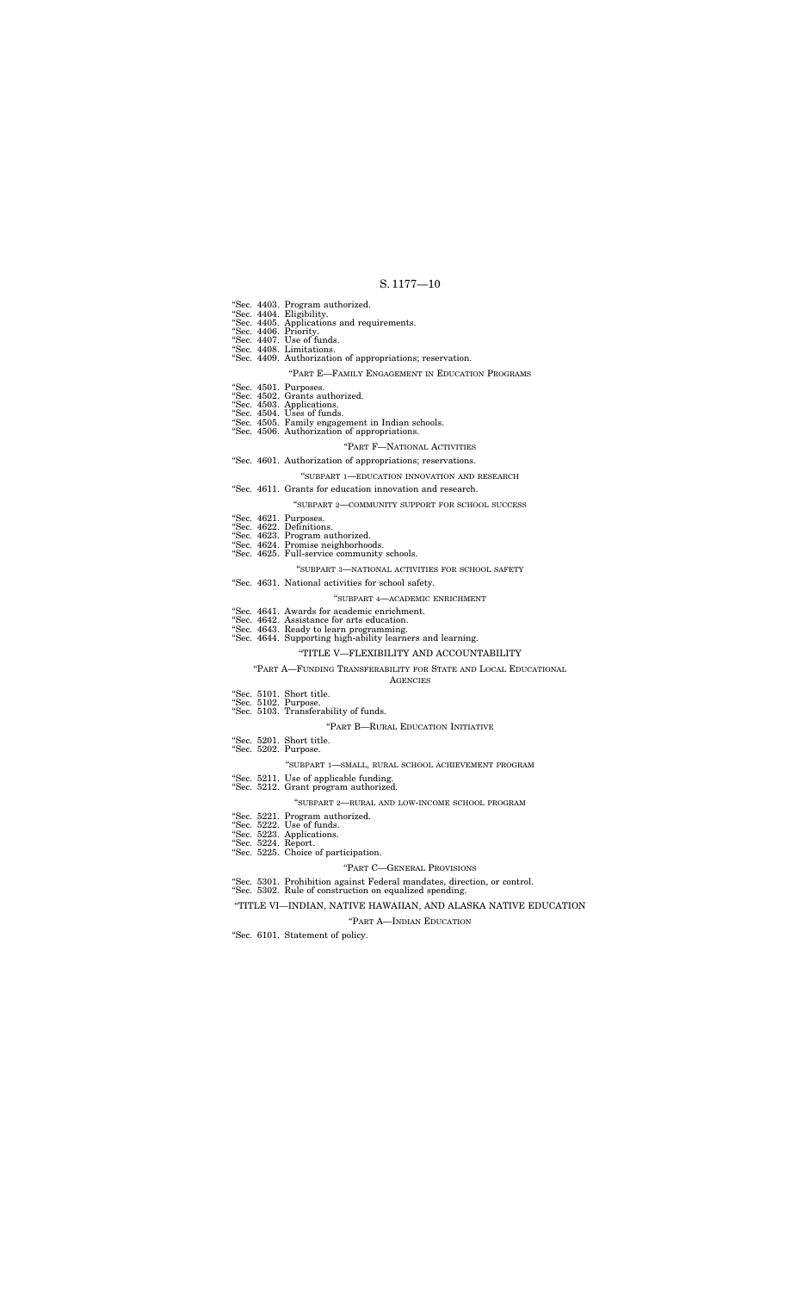- ''Sec. 4403. Program authorized. ''Sec. 4404. Eligibility. ''Sec. 4405. Applications and requirements. ''Sec. 4406. Priority. ''Sec. 4407. Use of funds. ''Sec. 4408. Limitations.
- 
- 
- ''Sec. 4409. Authorization of appropriations; reservation.

# ''PART E—FAMILY ENGAGEMENT IN EDUCATION PROGRAMS

- 
- 
- ''Sec. 4621. Purposes. ''Sec. 4622. Definitions. ''Sec. 4623. Program authorized. ''Sec. 4624. Promise neighborhoods.
- "Sec. 4625. Full-service community schools.
- 
- ''Sec. 4501. Purposes.
- 
- 
- 
- ''Sec. 4502. Grants authorized. ''Sec. 4503. Applications. ''Sec. 4504. Uses of funds. ''Sec. 4505. Family engagement in Indian schools. ''Sec. 4506. Authorization of appropriations.
	-

# ''PART F—NATIONAL ACTIVITIES

''Sec. 4601. Authorization of appropriations; reservations.

# ''SUBPART 1—EDUCATION INNOVATION AND RESEARCH

''Sec. 4611. Grants for education innovation and research.

#### ''SUBPART 2—COMMUNITY SUPPORT FOR SCHOOL SUCCESS

# ''SUBPART 3—NATIONAL ACTIVITIES FOR SCHOOL SAFETY

''Sec. 4631. National activities for school safety.

# ''SUBPART 4—ACADEMIC ENRICHMENT

- 
- 
- ''Sec. 4641. Awards for academic enrichment. ''Sec. 4642. Assistance for arts education. ''Sec. 4643. Ready to learn programming. ''Sec. 4644. Supporting high-ability learners and learning.
	-

# ''TITLE V—FLEXIBILITY AND ACCOUNTABILITY

- ''PART A—FUNDING TRANSFERABILITY FOR STATE AND LOCAL EDUCATIONAL **AGENCIES**
- 
- ''Sec. 5101. Short title. ''Sec. 5102. Purpose. ''Sec. 5103. Transferability of funds.
	-

# ''PART B—RURAL EDUCATION INITIATIVE

- ''Sec. 5201. Short title. ''Sec. 5202. Purpose.
- - ''SUBPART 1—SMALL, RURAL SCHOOL ACHIEVEMENT PROGRAM
- ''Sec. 5211. Use of applicable funding.
- ''Sec. 5212. Grant program authorized.

#### ''SUBPART 2—RURAL AND LOW-INCOME SCHOOL PROGRAM

- ''Sec. 5221. Program authorized.
- ''Sec. 5222. Use of funds.
- ''Sec. 5223. Applications.
- ''Sec. 5224. Report. ''Sec. 5225. Choice of participation.

#### ''PART C—GENERAL PROVISIONS

- ''Sec. 5301. Prohibition against Federal mandates, direction, or control.
- ''Sec. 5302. Rule of construction on equalized spending.

# ''TITLE VI—INDIAN, NATIVE HAWAIIAN, AND ALASKA NATIVE EDUCATION

# ''PART A—INDIAN EDUCATION

''Sec. 6101. Statement of policy.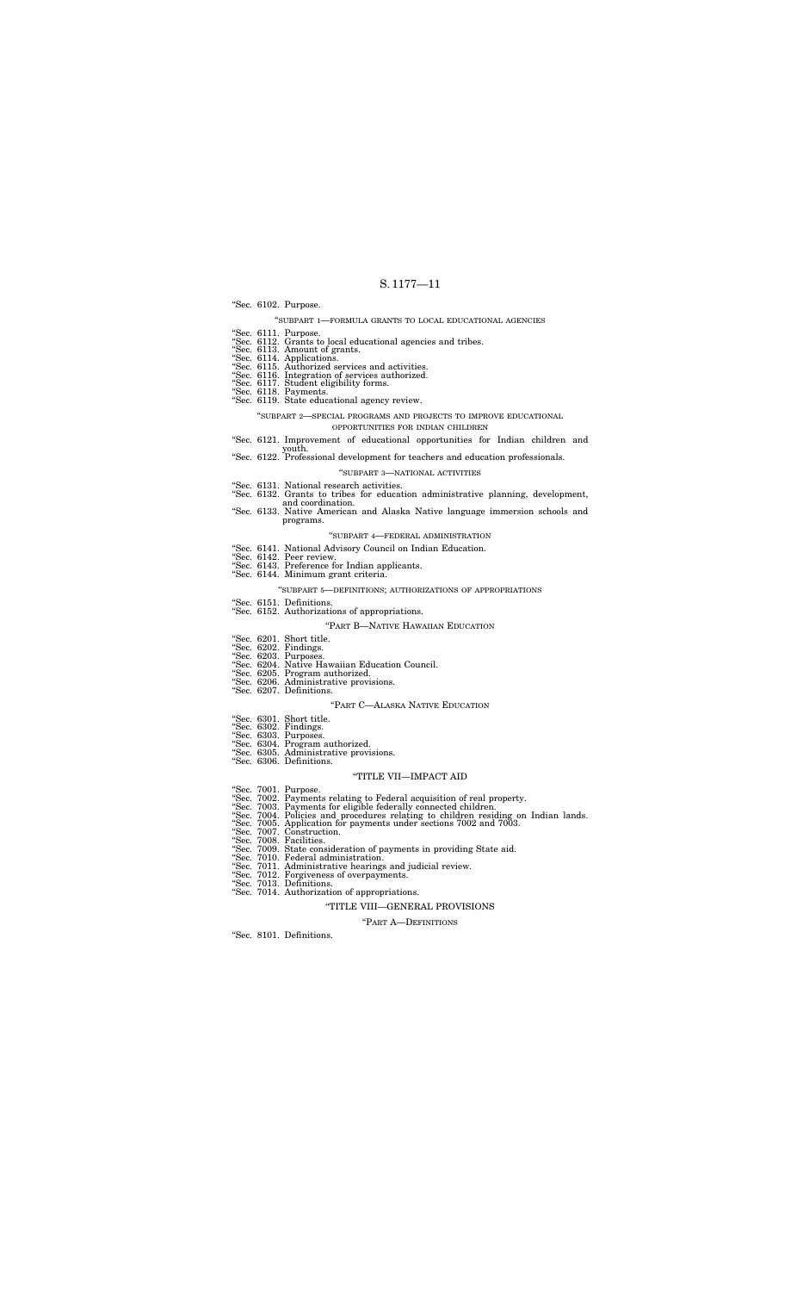''Sec. 6102. Purpose.

# ''SUBPART 1—FORMULA GRANTS TO LOCAL EDUCATIONAL AGENCIES

- 
- "Sec. 6111. Purpose.<br>"Sec. 6112. Grants to local educational agencies and tribes.<br>"Sec. 6113. Amount of grants.<br>"Sec. 6114. Applications.<br>"Sec. 6115. Authorized services and activities.<br>"Sec. 6115. Authorized services auth
- 
- 
- 
- 
- -

# ''SUBPART 2—SPECIAL PROGRAMS AND PROJECTS TO IMPROVE EDUCATIONAL OPPORTUNITIES FOR INDIAN CHILDREN

- ''Sec. 6121. Improvement of educational opportunities for Indian children and
	-

# youth. ''Sec. 6122. Professional development for teachers and education professionals.

# ''SUBPART 3—NATIONAL ACTIVITIES

- 
- ''Sec. 6131. National research activities. ''Sec. 6132. Grants to tribes for education administrative planning, development,
- and coordination. ''Sec. 6133. Native American and Alaska Native language immersion schools and programs.

#### ''SUBPART 4—FEDERAL ADMINISTRATION

- ''Sec. 6141. National Advisory Council on Indian Education. ''Sec. 6142. Peer review. ''Sec. 6143. Preference for Indian applicants. ''Sec. 6144. Minimum grant criteria.
- 
- 
- 

#### ''SUBPART 5—DEFINITIONS; AUTHORIZATIONS OF APPROPRIATIONS

# ''Sec. 6151. Definitions. ''Sec. 6152. Authorizations of appropriations.

# ''PART B—NATIVE HAWAIIAN EDUCATION

- 
- 
- "Sec. 6201. Short title.<br>"Sec. 6202. Findings.<br>"Sec. 6204. Native Hawaiian Education Council.<br>"Sec. 6205. Program authorized.<br>"Sec. 6206. Administrative provisions.<br>"Sec. 6207. Definitions.
- 
- 
- 

# ''PART C—ALASKA NATIVE EDUCATION

- 
- ''Sec. 6301. Short title. ''Sec. 6302. Findings. ''Sec. 6303. Purposes.
- 
- ''Sec. 6304. Program authorized. ''Sec. 6305. Administrative provisions. ''Sec. 6306. Definitions.
- 

# ''TITLE VII—IMPACT AID

- 
- 
- 
- "Sec. 7001. Purpose.<br>"Sec. 7002. Payments relating to Federal acquisition of real property.<br>"Sec. 7003. Payments for eligible federally connected children."<br>"Sec. 7003. Payments and procedures relating to children residing
- 
- 
- -
- 
- 
- -

# ''TITLE VIII—GENERAL PROVISIONS

# ''PART A—DEFINITIONS

''Sec. 8101. Definitions.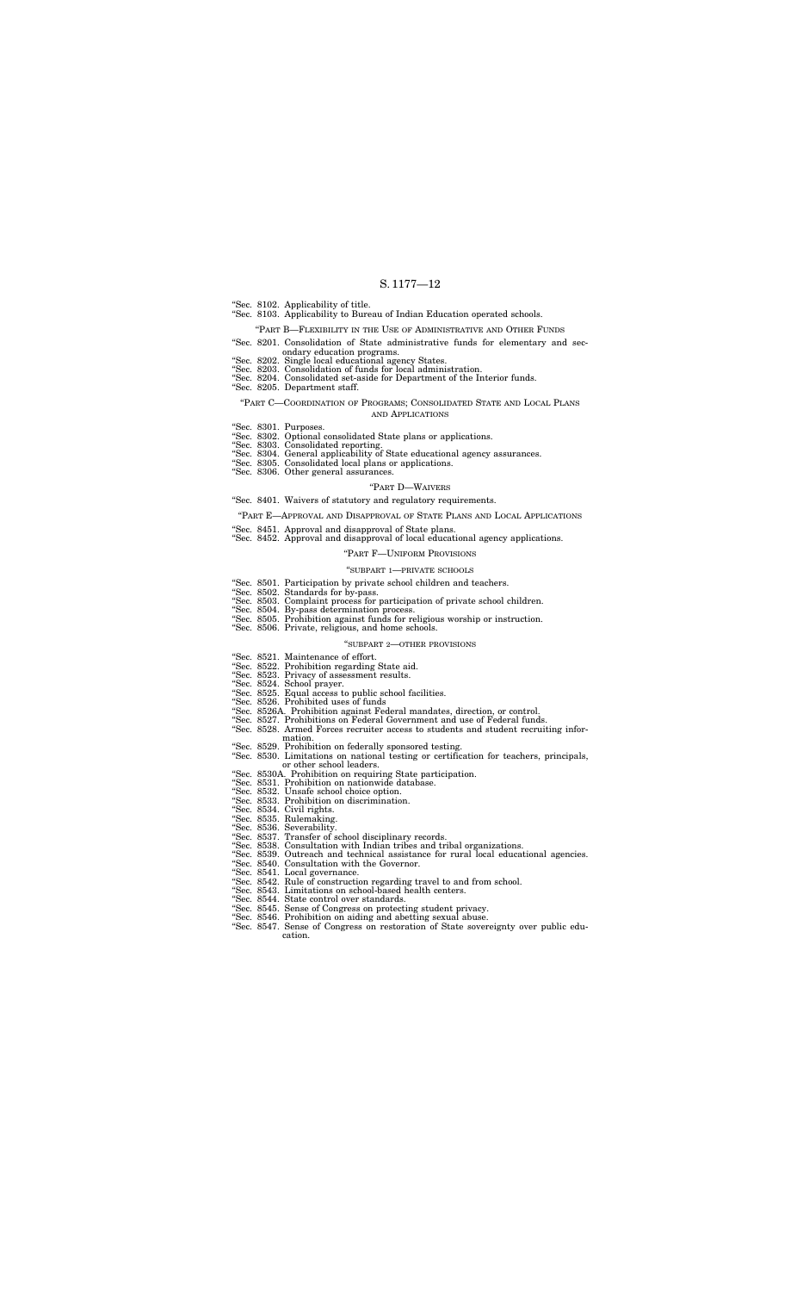- 
- ''Sec. 8102. Applicability of title. ''Sec. 8103. Applicability to Bureau of Indian Education operated schools.
	- ''PART B—FLEXIBILITY IN THE USE OF ADMINISTRATIVE AND OTHER FUNDS
- ''Sec. 8201. Consolidation of State administrative funds for elementary and secondary education programs. ''Sec. 8202. Single local educational agency States. ''Sec. 8203. Consolidation of funds for local administration.
- 
- 
- ''Sec. 8204. Consolidated set-aside for Department of the Interior funds. ''Sec. 8205. Department staff.
	-

- 
- 
- 
- "Sec. 8301. Purposes.<br>"Sec. 8302. Optional consolidated State plans or applications.<br>"Sec. 8303. Consolidated reporting.<br>"Sec. 8304. General applicability of State educational agency assurances.
- ''Sec. 8305. Consolidated local plans or applications. ''Sec. 8306. Other general assurances.
	-

#### ''PART C—COORDINATION OF PROGRAMS; CONSOLIDATED STATE AND LOCAL PLANS AND APPLICATIONS

# ''PART D—WAIVERS

# ''Sec. 8401. Waivers of statutory and regulatory requirements.

# ''PART E—APPROVAL AND DISAPPROVAL OF STATE PLANS AND LOCAL APPLICATIONS

- ''Sec. 8451. Approval and disapproval of State plans.
- ''Sec. 8452. Approval and disapproval of local educational agency applications.

# ''PART F—UNIFORM PROVISIONS

#### ''SUBPART 1—PRIVATE SCHOOLS

- ''Sec. 8501. Participation by private school children and teachers.
- ''Sec. 8502. Standards for by-pass.
- ''Sec. 8503. Complaint process for participation of private school children.
- ''Sec. 8504. By-pass determination process.
- ''Sec. 8505. Prohibition against funds for religious worship or instruction.
- ''Sec. 8506. Private, religious, and home schools.

#### ''SUBPART 2—OTHER PROVISIONS

- 
- ''Sec. 8532. Unsafe school choice option.

- ''Sec. 8521. Maintenance of effort.
- ''Sec. 8522. Prohibition regarding State aid.
- ''Sec. 8523. Privacy of assessment results.
- ''Sec. 8524. School prayer.
- ''Sec. 8525. Equal access to public school facilities.
- ''Sec. 8526. Prohibited uses of funds ''Sec. 8526A. Prohibition against Federal mandates, direction, or control.
- ''Sec. 8527. Prohibitions on Federal Government and use of Federal funds.
- ''Sec. 8528. Armed Forces recruiter access to students and student recruiting information.
- ''Sec. 8529. Prohibition on federally sponsored testing.
- ''Sec. 8530. Limitations on national testing or certification for teachers, principals, or other school leaders.
- ''Sec. 8530A. Prohibition on requiring State participation.
- ''Sec. 8531. Prohibition on nationwide database.
- 
- ''Sec. 8533. Prohibition on discrimination.
- ''Sec. 8534. Civil rights.
- ''Sec. 8535. Rulemaking.
- ''Sec. 8536. Severability.
- ''Sec. 8537. Transfer of school disciplinary records.
- ''Sec. 8538. Consultation with Indian tribes and tribal organizations. ''Sec. 8539. Outreach and technical assistance for rural local educational agencies.
- ''Sec. 8540. Consultation with the Governor.
- ''Sec. 8541. Local governance.
- ''Sec. 8542. Rule of construction regarding travel to and from school.
- ''Sec. 8543. Limitations on school-based health centers.
- ''Sec. 8544. State control over standards.
- ''Sec. 8545. Sense of Congress on protecting student privacy. "Sec. 8545. Sense of Congress on protecting student privacy.<br>"Sec. 8546. Prohibition on aiding and abetting sexual abuse.
- ''Sec. 8547. Sense of Congress on restoration of State sovereignty over public education.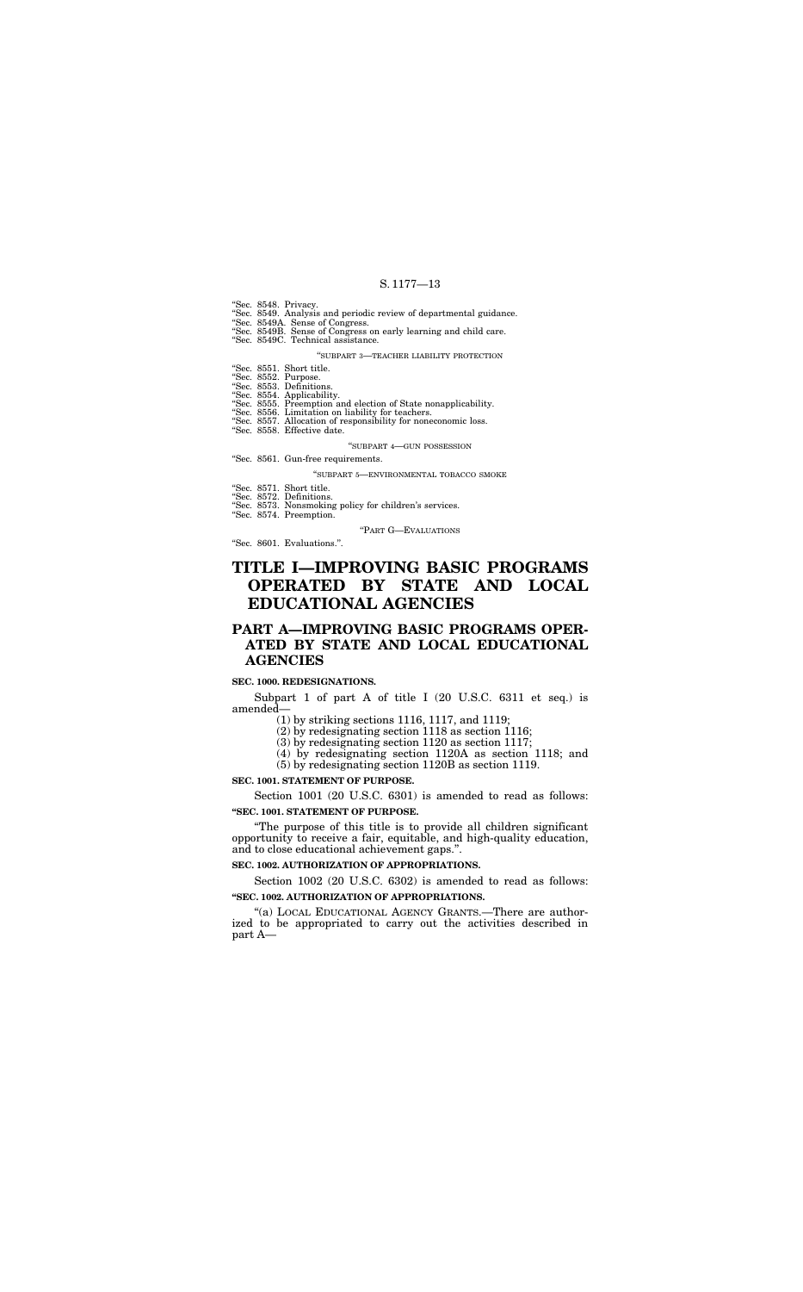- ''Sec. 8548. Privacy.
- ''Sec. 8549. Analysis and periodic review of departmental guidance.
- ''Sec. 8549A. Sense of Congress.
- ''Sec. 8549B. Sense of Congress on early learning and child care. ''Sec. 8549C. Technical assistance.

''SUBPART 3—TEACHER LIABILITY PROTECTION

- "Sec. 8551. Short title.
- 
- 
- 
- "Sec. 8552. Purpose.<br>"Sec. 8553. Definitions.<br>"Sec. 8554. Applicability.<br>"Sec. 8555. Preemption and election of State nonapplicability.<br>"Sec. 8556. Limitation on liability for teachers.<br>"Sec. 8557. Allocation of responsibi
- 
- 
- 

''SUBPART 4—GUN POSSESSION

''Sec. 8561. Gun-free requirements.

#### ''SUBPART 5—ENVIRONMENTAL TOBACCO SMOKE

- ''Sec. 8571. Short title.
- ''Sec. 8572. Definitions. ''Sec. 8573. Nonsmoking policy for children's services.
- ''Sec. 8574. Preemption.

#### ''PART G—EVALUATIONS

''Sec. 8601. Evaluations.''.

# **TITLE I—IMPROVING BASIC PROGRAMS OPERATED BY STATE AND LOCAL EDUCATIONAL AGENCIES**

"(a) LOCAL EDUCATIONAL AGENCY GRANTS.—There are authorized to be appropriated to carry out the activities described in part A—

# **PART A—IMPROVING BASIC PROGRAMS OPER-ATED BY STATE AND LOCAL EDUCATIONAL AGENCIES**

# **SEC. 1000. REDESIGNATIONS.**

Subpart 1 of part A of title I (20 U.S.C. 6311 et seq.) is amended—

(1) by striking sections 1116, 1117, and 1119;

(2) by redesignating section 1118 as section 1116;

(3) by redesignating section 1120 as section 1117;

- (4) by redesignating section 1120A as section 1118; and
- (5) by redesignating section 1120B as section 1119.

# **SEC. 1001. STATEMENT OF PURPOSE.**

Section 1001 (20 U.S.C. 6301) is amended to read as follows: **''SEC. 1001. STATEMENT OF PURPOSE.** 

''The purpose of this title is to provide all children significant opportunity to receive a fair, equitable, and high-quality education, and to close educational achievement gaps.''.

# **SEC. 1002. AUTHORIZATION OF APPROPRIATIONS.**

Section 1002 (20 U.S.C. 6302) is amended to read as follows: **''SEC. 1002. AUTHORIZATION OF APPROPRIATIONS.**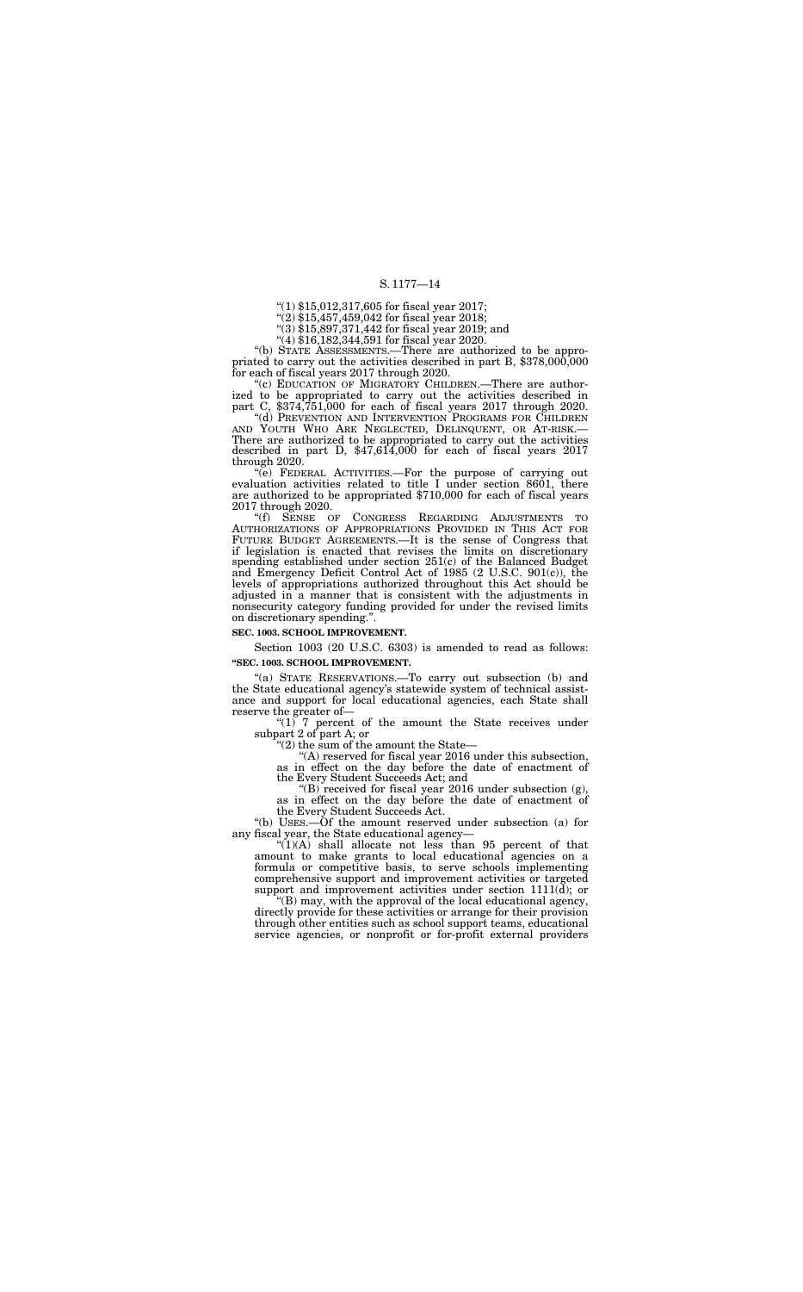''(1) \$15,012,317,605 for fiscal year 2017;

''(2) \$15,457,459,042 for fiscal year 2018;

''(3) \$15,897,371,442 for fiscal year 2019; and

"(4)  $$16,182,344,591$  for fiscal year 2020.<br>"(b) STATE ASSESSMENTS.—There are authorized to be appropriated to carry out the activities described in part B, \$378,000,000 for each of fiscal years 2017 through 2020.

"(c) EDUCATION OF MIGRATORY CHILDREN.—There are authorized to be appropriated to carry out the activities described in part C, \$374,751,000 for each of fiscal years 2017 through 2020.

"(d) PREVENTION AND INTERVENTION PROGRAMS FOR CHILDREN AND YOUTH WHO ARE NEGLECTED, DELINQUENT, OR AT-RISK.— There are authorized to be appropriated to carry out the activities described in part D, \$47,614,000 for each of fiscal years 2017 through 2020.

''(e) FEDERAL ACTIVITIES.—For the purpose of carrying out evaluation activities related to title I under section 8601, there are authorized to be appropriated \$710,000 for each of fiscal years 2017 through 2020.

" $(1)$  7 percent of the amount the State receives under subpart 2 of part A; or

''(f) SENSE OF CONGRESS REGARDING ADJUSTMENTS TO AUTHORIZATIONS OF APPROPRIATIONS PROVIDED IN THIS ACT FOR FUTURE BUDGET AGREEMENTS.—It is the sense of Congress that if legislation is enacted that revises the limits on discretionary spending established under section 251(c) of the Balanced Budget and Emergency Deficit Control Act of 1985 (2 U.S.C. 901(c)), the levels of appropriations authorized throughout this Act should be adjusted in a manner that is consistent with the adjustments in nonsecurity category funding provided for under the revised limits on discretionary spending.''.

**SEC. 1003. SCHOOL IMPROVEMENT.** 

Section 1003 (20 U.S.C. 6303) is amended to read as follows: **''SEC. 1003. SCHOOL IMPROVEMENT.** 

''(a) STATE RESERVATIONS.—To carry out subsection (b) and the State educational agency's statewide system of technical assistance and support for local educational agencies, each State shall reserve the greater of—

''(2) the sum of the amount the State—

''(A) reserved for fiscal year 2016 under this subsection, as in effect on the day before the date of enactment of the Every Student Succeeds Act; and

''(B) received for fiscal year 2016 under subsection (g), as in effect on the day before the date of enactment of the Every Student Succeeds Act.

''(b) USES.—Of the amount reserved under subsection (a) for any fiscal year, the State educational agency—

 $''(1)(A)$  shall allocate not less than 95 percent of that amount to make grants to local educational agencies on a formula or competitive basis, to serve schools implementing comprehensive support and improvement activities or targeted support and improvement activities under section 1111(d); or

''(B) may, with the approval of the local educational agency, directly provide for these activities or arrange for their provision through other entities such as school support teams, educational service agencies, or nonprofit or for-profit external providers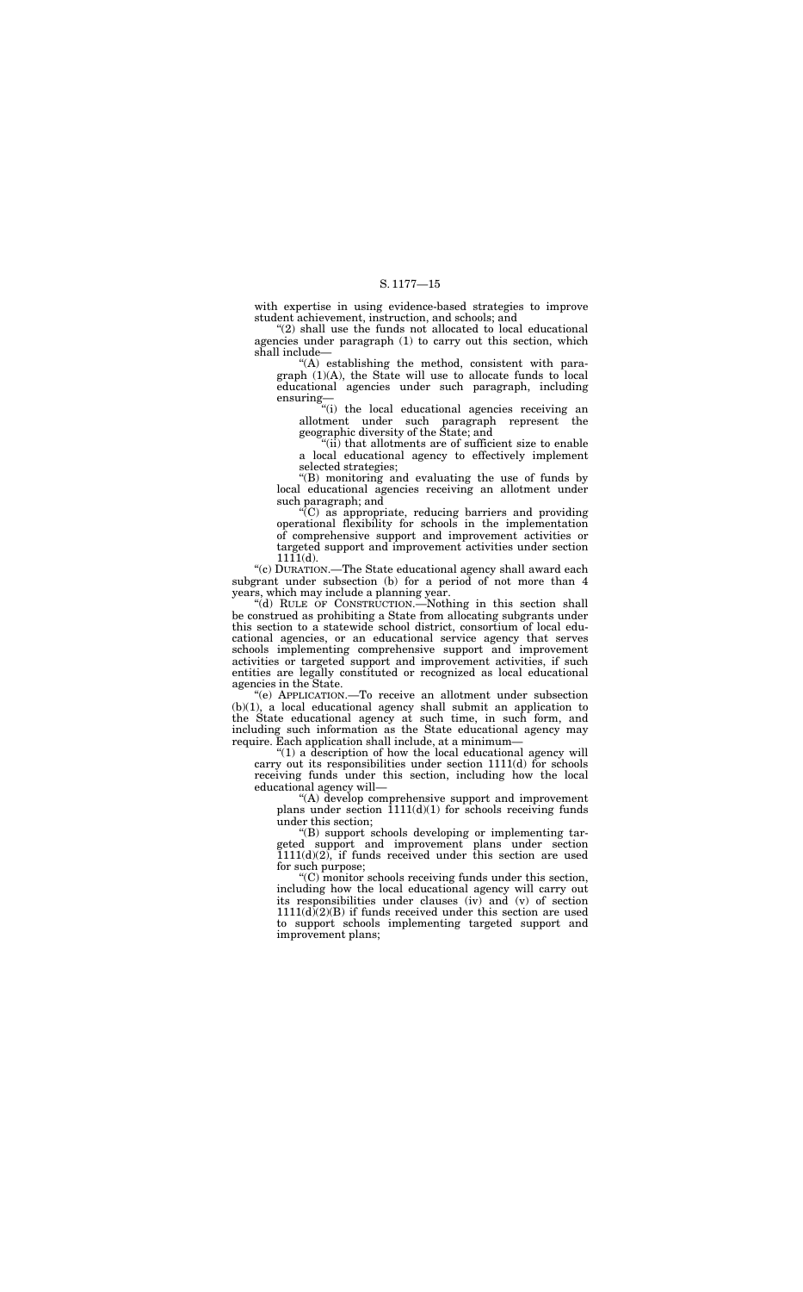with expertise in using evidence-based strategies to improve student achievement, instruction, and schools; and

 $''(2)$  shall use the funds not allocated to local educational agencies under paragraph (1) to carry out this section, which shall include—

''(A) establishing the method, consistent with paragraph (1)(A), the State will use to allocate funds to local educational agencies under such paragraph, including ensuring—

''(C) as appropriate, reducing barriers and providing operational flexibility for schools in the implementation of comprehensive support and improvement activities or targeted support and improvement activities under section  $1111(d)$ .

''(i) the local educational agencies receiving an allotment under such paragraph represent the geographic diversity of the State; and

''(ii) that allotments are of sufficient size to enable a local educational agency to effectively implement selected strategies;

''(B) monitoring and evaluating the use of funds by local educational agencies receiving an allotment under such paragraph; and

"(1) a description of how the local educational agency will carry out its responsibilities under section 1111(d) for schools receiving funds under this section, including how the local educational agency will—

''(c) DURATION.—The State educational agency shall award each subgrant under subsection (b) for a period of not more than 4 years, which may include a planning year.

> $(C)$  monitor schools receiving funds under this section, including how the local educational agency will carry out its responsibilities under clauses (iv) and (v) of section  $1111(d)(2)(B)$  if funds received under this section are used to support schools implementing targeted support and improvement plans;

''(d) RULE OF CONSTRUCTION.—Nothing in this section shall be construed as prohibiting a State from allocating subgrants under this section to a statewide school district, consortium of local educational agencies, or an educational service agency that serves schools implementing comprehensive support and improvement activities or targeted support and improvement activities, if such entities are legally constituted or recognized as local educational agencies in the State.

''(e) APPLICATION.—To receive an allotment under subsection (b)(1), a local educational agency shall submit an application to the State educational agency at such time, in such form, and including such information as the State educational agency may require. Each application shall include, at a minimum—

> ''(A) develop comprehensive support and improvement plans under section  $1111(d)(1)$  for schools receiving funds under this section;

''(B) support schools developing or implementing targeted support and improvement plans under section  $1111(d)(2)$ , if funds received under this section are used for such purpose;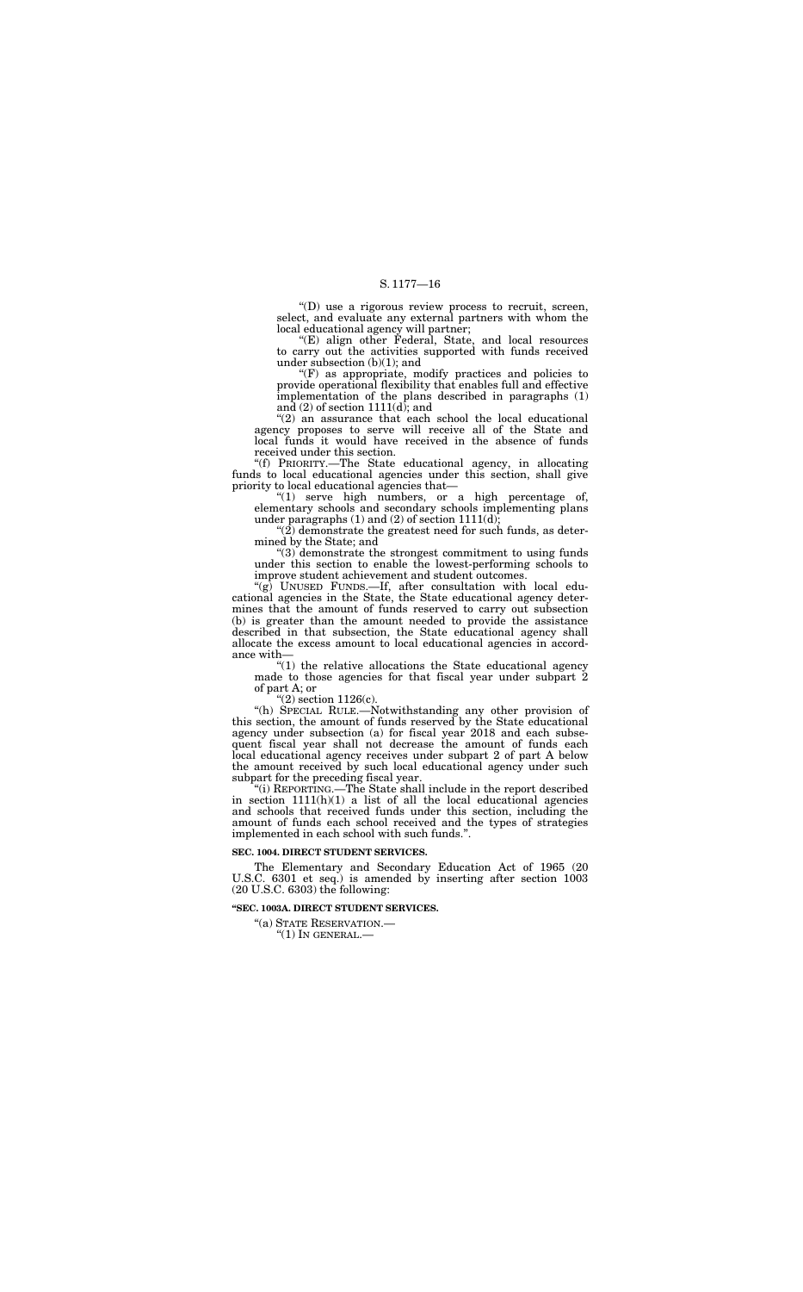''(D) use a rigorous review process to recruit, screen, select, and evaluate any external partners with whom the local educational agency will partner;

''(E) align other Federal, State, and local resources to carry out the activities supported with funds received under subsection (b)(1); and

 $f(F)$  as appropriate, modify practices and policies to provide operational flexibility that enables full and effective implementation of the plans described in paragraphs (1) and (2) of section 1111(d); and

" $(2)$  demonstrate the greatest need for such funds, as determined by the State; and

''(2) an assurance that each school the local educational agency proposes to serve will receive all of the State and local funds it would have received in the absence of funds received under this section.

''(f) PRIORITY.—The State educational agency, in allocating funds to local educational agencies under this section, shall give priority to local educational agencies that—

" $(1)$  serve high numbers, or a high percentage of, elementary schools and secondary schools implementing plans under paragraphs  $(1)$  and  $(2)$  of section 1111 $(d)$ ;

''(3) demonstrate the strongest commitment to using funds under this section to enable the lowest-performing schools to improve student achievement and student outcomes.

''(g) UNUSED FUNDS.—If, after consultation with local educational agencies in the State, the State educational agency determines that the amount of funds reserved to carry out subsection (b) is greater than the amount needed to provide the assistance described in that subsection, the State educational agency shall allocate the excess amount to local educational agencies in accordance with—

''(1) the relative allocations the State educational agency made to those agencies for that fiscal year under subpart 2 of part A; or

" $(2)$  section 1126 $(c)$ .

''(h) SPECIAL RULE.—Notwithstanding any other provision of this section, the amount of funds reserved by the State educational agency under subsection (a) for fiscal year 2018 and each subsequent fiscal year shall not decrease the amount of funds each local educational agency receives under subpart 2 of part A below the amount received by such local educational agency under such subpart for the preceding fiscal year.

''(i) REPORTING.—The State shall include in the report described in section  $1111(h)(1)$  a list of all the local educational agencies and schools that received funds under this section, including the amount of funds each school received and the types of strategies implemented in each school with such funds.''.

# **SEC. 1004. DIRECT STUDENT SERVICES.**

The Elementary and Secondary Education Act of 1965 (20 U.S.C. 6301 et seq.) is amended by inserting after section 1003 (20 U.S.C. 6303) the following:

**''SEC. 1003A. DIRECT STUDENT SERVICES.** 

''(a) STATE RESERVATION.— ''(1) IN GENERAL.—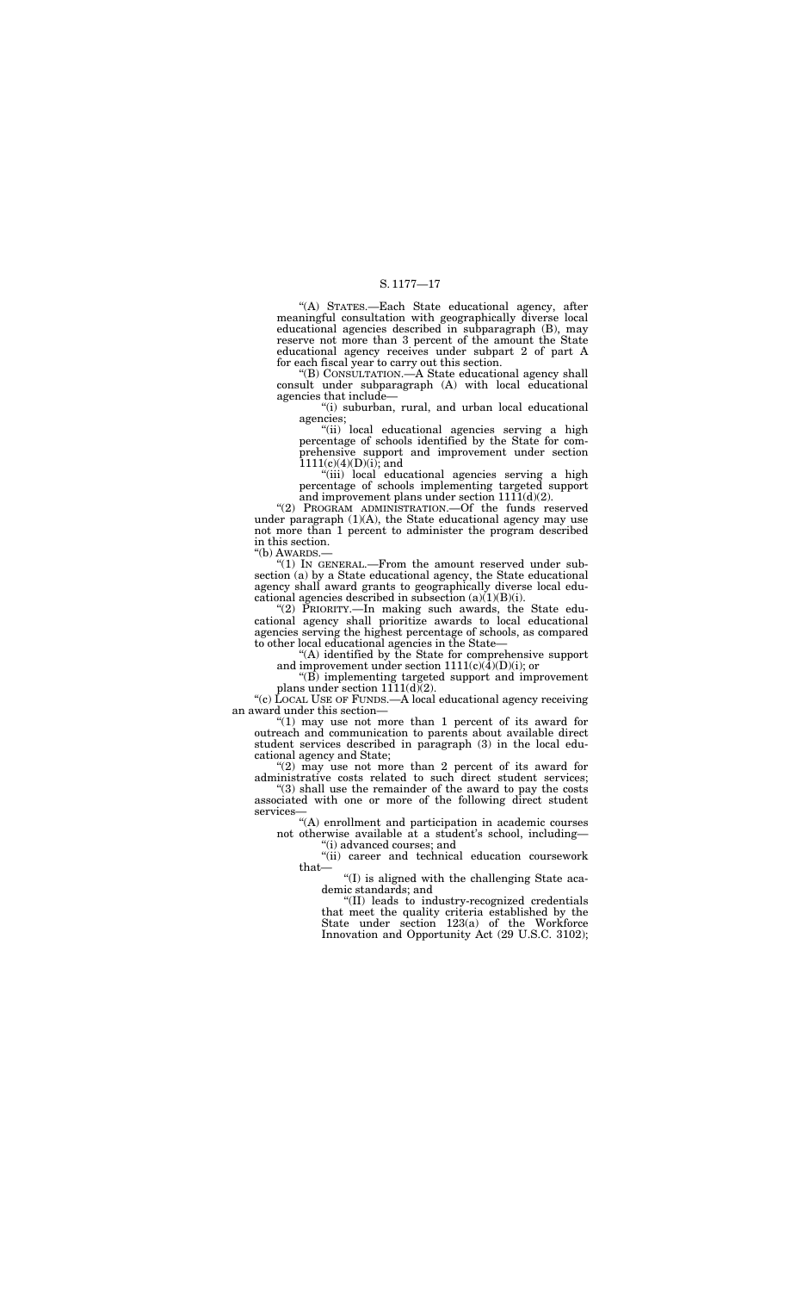''(A) STATES.—Each State educational agency, after meaningful consultation with geographically diverse local educational agencies described in subparagraph (B), may reserve not more than 3 percent of the amount the State educational agency receives under subpart 2 of part A for each fiscal year to carry out this section.

''(ii) local educational agencies serving a high percentage of schools identified by the State for comprehensive support and improvement under section  $1111(c)(4)(D)(i)$ ; and

''(iii) local educational agencies serving a high percentage of schools implementing targeted support and improvement plans under section  $1111(d)(2)$ .

''(B) CONSULTATION.—A State educational agency shall consult under subparagraph (A) with local educational agencies that include—

''(i) suburban, rural, and urban local educational agencies;

"(2) PRIORITY.—In making such awards, the State educational agency shall prioritize awards to local educational agencies serving the highest percentage of schools, as compared to other local educational agencies in the State—

''(A) identified by the State for comprehensive support and improvement under section  $1111(c)(\overline{4})(D)(i)$ ; or

 $\mathrm{``(B)}$  implementing targeted support and improvement plans under section 1111(d)(2).

"(c) LOCAL USE OF FUNDS.—A local educational agency receiving an award under this section—

''(2) PROGRAM ADMINISTRATION.—Of the funds reserved under paragraph (1)(A), the State educational agency may use not more than 1 percent to administer the program described in this section.

"(b) AWARDS.—<br>"(1) IN GENERAL.—From the amount reserved under subsection (a) by a State educational agency, the State educational agency shall award grants to geographically diverse local educational agencies described in subsection  $(a)(1)(B)(i)$ .

"(1) may use not more than 1 percent of its award for outreach and communication to parents about available direct student services described in paragraph (3) in the local educational agency and State;

"(2) may use not more than 2 percent of its award for administrative costs related to such direct student services;

''(3) shall use the remainder of the award to pay the costs associated with one or more of the following direct student services—

''(A) enrollment and participation in academic courses not otherwise available at a student's school, including—

''(i) advanced courses; and

''(ii) career and technical education coursework that—

''(I) is aligned with the challenging State academic standards; and

''(II) leads to industry-recognized credentials that meet the quality criteria established by the State under section 123(a) of the Workforce Innovation and Opportunity Act (29 U.S.C. 3102);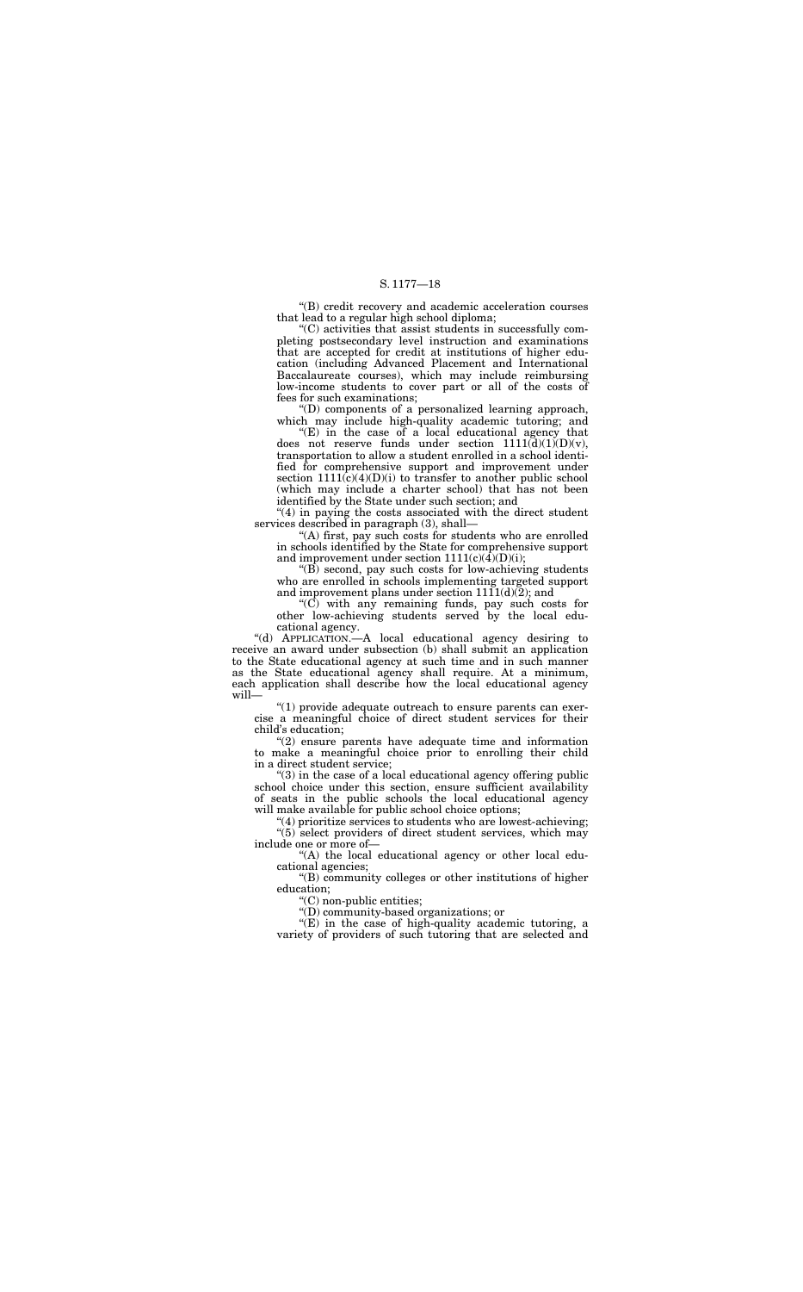''(B) credit recovery and academic acceleration courses that lead to a regular high school diploma;

 $(C)$  activities that assist students in successfully completing postsecondary level instruction and examinations that are accepted for credit at institutions of higher education (including Advanced Placement and International Baccalaureate courses), which may include reimbursing low-income students to cover part or all of the costs of fees for such examinations;

" $(E)$  in the case of a local educational agency that does not reserve funds under section  $1111(\overline{d})(1)(D)(v)$ , transportation to allow a student enrolled in a school identified for comprehensive support and improvement under section  $1111(c)(4)(D)(i)$  to transfer to another public school (which may include a charter school) that has not been identified by the State under such section; and

''(D) components of a personalized learning approach, which may include high-quality academic tutoring; and

"(4) in paying the costs associated with the direct student services described in paragraph (3), shall—

''(A) first, pay such costs for students who are enrolled in schools identified by the State for comprehensive support and improvement under section  $1111(c)(4)(D)(i);$ 

''(B) second, pay such costs for low-achieving students who are enrolled in schools implementing targeted support and improvement plans under section  $11\overline{11}(d)(2)$ ; and

"(2) ensure parents have adequate time and information to make a meaningful choice prior to enrolling their child in a direct student service;

"(3) in the case of a local educational agency offering public school choice under this section, ensure sufficient availability of seats in the public schools the local educational agency will make available for public school choice options;

"(A) the local educational agency or other local educational agencies;

 $\mathcal{L}(E)$  in the case of high-quality academic tutoring, a variety of providers of such tutoring that are selected and

''(C) with any remaining funds, pay such costs for other low-achieving students served by the local educational agency.

''(d) APPLICATION.—A local educational agency desiring to receive an award under subsection (b) shall submit an application to the State educational agency at such time and in such manner as the State educational agency shall require. At a minimum, each application shall describe how the local educational agency will—

''(1) provide adequate outreach to ensure parents can exercise a meaningful choice of direct student services for their child's education;

''(4) prioritize services to students who are lowest-achieving;  $'(5)$  select providers of direct student services, which may include one or more of—

''(B) community colleges or other institutions of higher education;

''(C) non-public entities;

''(D) community-based organizations; or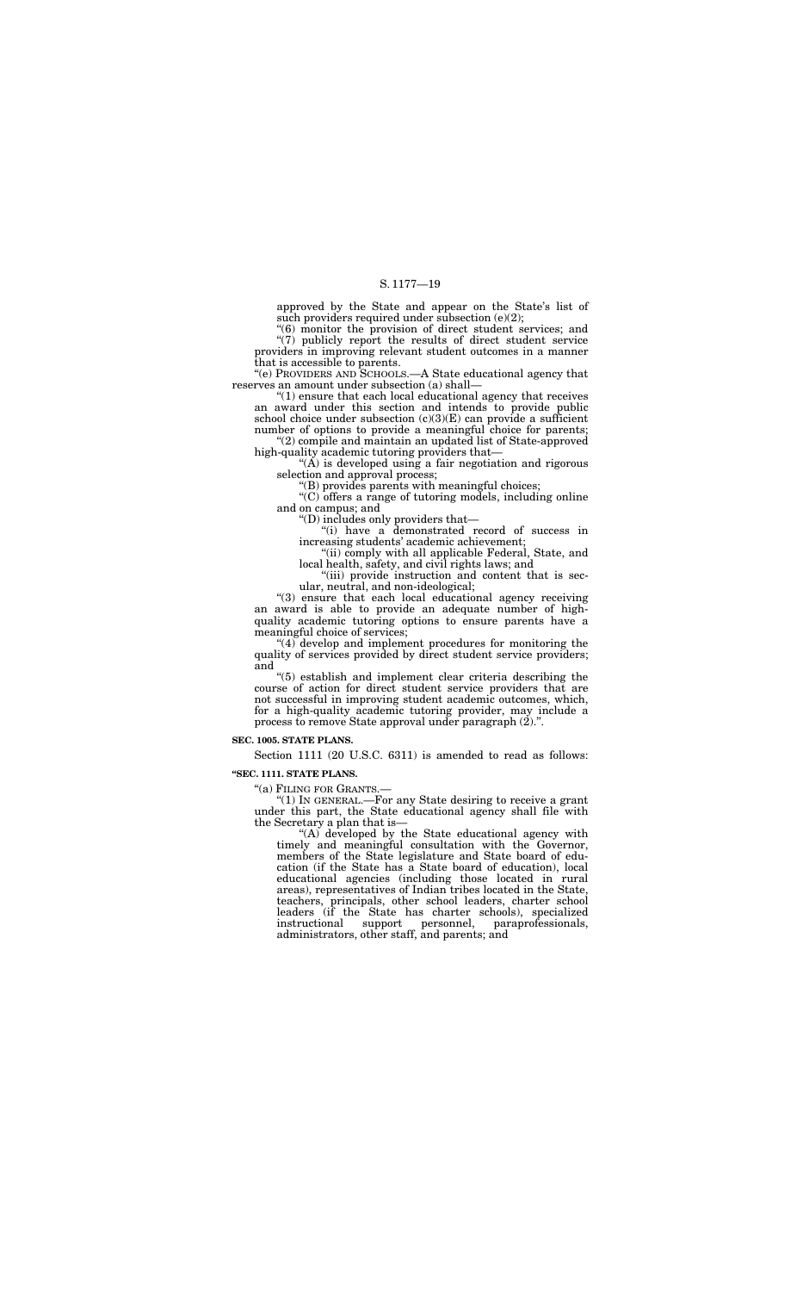approved by the State and appear on the State's list of such providers required under subsection (e)(2);

''(6) monitor the provision of direct student services; and ''(7) publicly report the results of direct student service

''(1) ensure that each local educational agency that receives an award under this section and intends to provide public school choice under subsection  $(c)(3)(E)$  can provide a sufficient number of options to provide a meaningful choice for parents; "(2) compile and maintain an updated list of State-approved

providers in improving relevant student outcomes in a manner that is accessible to parents.

high-quality academic tutoring providers that— "(A) is developed using a fair negotiation and rigorous

''(e) PROVIDERS AND SCHOOLS.—A State educational agency that reserves an amount under subsection (a) shall—

> "(ii) comply with all applicable Federal, State, and local health, safety, and civil rights laws; and

> "(iii) provide instruction and content that is secular, neutral, and non-ideological;

selection and approval process;

''(B) provides parents with meaningful choices;

''(C) offers a range of tutoring models, including online and on campus; and

''(D) includes only providers that—

''(i) have a demonstrated record of success in increasing students' academic achievement;

"(A) developed by the State educational agency with timely and meaningful consultation with the Governor, members of the State legislature and State board of education (if the State has a State board of education), local educational agencies (including those located in rural areas), representatives of Indian tribes located in the State, teachers, principals, other school leaders, charter school leaders (if the State has charter schools), specialized instructional support personnel, paraprofessionals, administrators, other staff, and parents; and

''(3) ensure that each local educational agency receiving an award is able to provide an adequate number of highquality academic tutoring options to ensure parents have a meaningful choice of services;

''(4) develop and implement procedures for monitoring the quality of services provided by direct student service providers; and

''(5) establish and implement clear criteria describing the course of action for direct student service providers that are not successful in improving student academic outcomes, which, for a high-quality academic tutoring provider, may include a process to remove State approval under paragraph (2).''.

#### **SEC. 1005. STATE PLANS.**

Section 1111 (20 U.S.C. 6311) is amended to read as follows:

# **''SEC. 1111. STATE PLANS.**

''(a) FILING FOR GRANTS.—

''(1) IN GENERAL.—For any State desiring to receive a grant under this part, the State educational agency shall file with the Secretary a plan that is—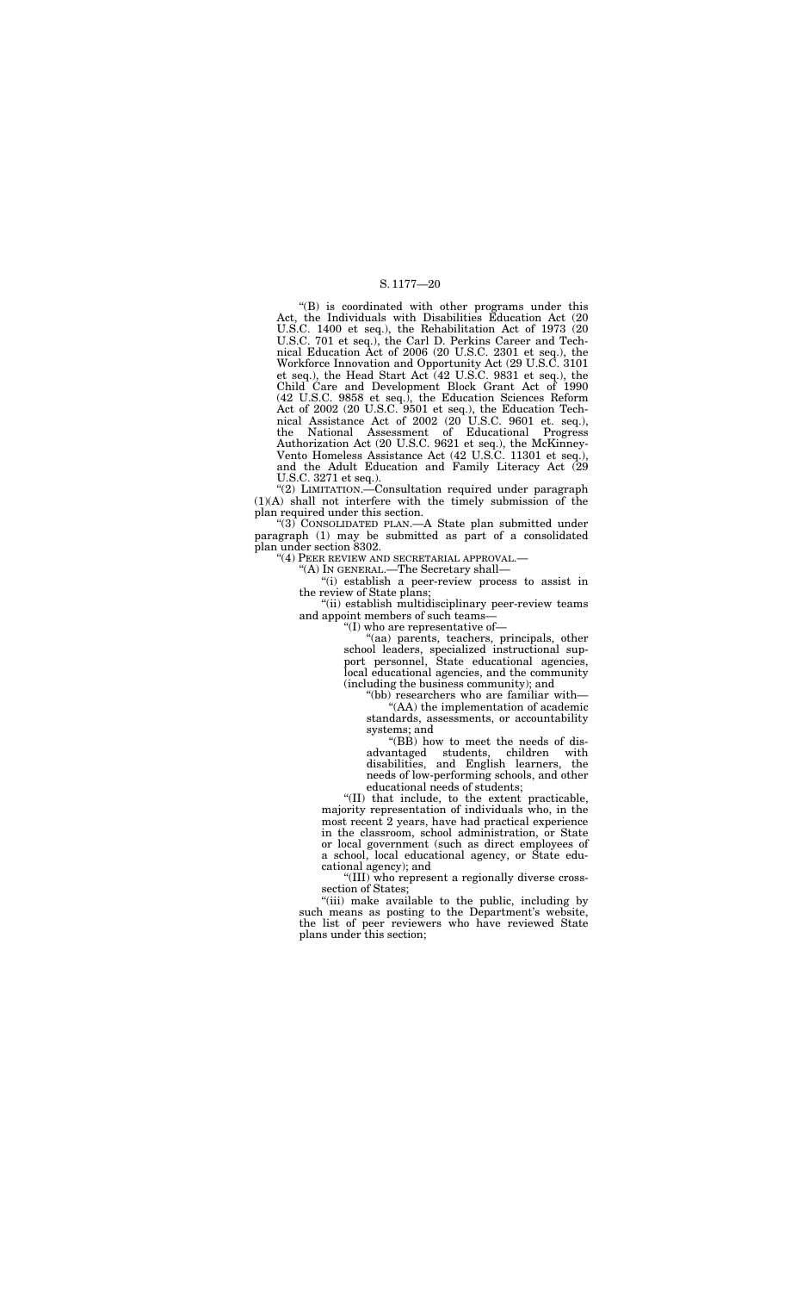''(B) is coordinated with other programs under this Act, the Individuals with Disabilities Education Act (20 U.S.C. 1400 et seq.), the Rehabilitation Act of 1973 (20 U.S.C. 701 et seq.), the Carl D. Perkins Career and Technical Education Act of 2006 (20 U.S.C. 2301 et seq.), the Workforce Innovation and Opportunity Act (29 U.S.C. 3101 et seq.), the Head Start Act (42 U.S.C. 9831 et seq.), the Child Care and Development Block Grant Act of 1990 (42 U.S.C. 9858 et seq.), the Education Sciences Reform Act of 2002 (20 U.S.C. 9501 et seq.), the Education Technical Assistance Act of  $2002$   $(20 \text{ U.S.C. } 9601 \text{ et. } seq.),$ the National Assessment of Educational Progress Authorization Act (20 U.S.C. 9621 et seq.), the McKinney-Vento Homeless Assistance Act (42 U.S.C. 11301 et seq.), and the Adult Education and Family Literacy Act (29 U.S.C. 3271 et seq.).

"(2) LIMITATION.-Consultation required under paragraph (1)(A) shall not interfere with the timely submission of the plan required under this section.

> ''(ii) establish multidisciplinary peer-review teams and appoint members of such teams-

> > "(BB) how to meet the needs of disadvantaged students, children with disabilities, and English learners, the needs of low-performing schools, and other educational needs of students;

''(3) CONSOLIDATED PLAN.—A State plan submitted under paragraph (1) may be submitted as part of a consolidated plan under section 8302.

> ''(III) who represent a regionally diverse crosssection of States;

''(4) PEER REVIEW AND SECRETARIAL APPROVAL.—

''(A) IN GENERAL.—The Secretary shall—

"(iii) make available to the public, including by such means as posting to the Department's website, the list of peer reviewers who have reviewed State plans under this section;

''(i) establish a peer-review process to assist in the review of State plans;

''(I) who are representative of—

''(aa) parents, teachers, principals, other school leaders, specialized instructional support personnel, State educational agencies, local educational agencies, and the community (including the business community); and

''(bb) researchers who are familiar with— ''(AA) the implementation of academic standards, assessments, or accountability systems; and

''(II) that include, to the extent practicable, majority representation of individuals who, in the most recent 2 years, have had practical experience in the classroom, school administration, or State or local government (such as direct employees of a school, local educational agency, or State educational agency); and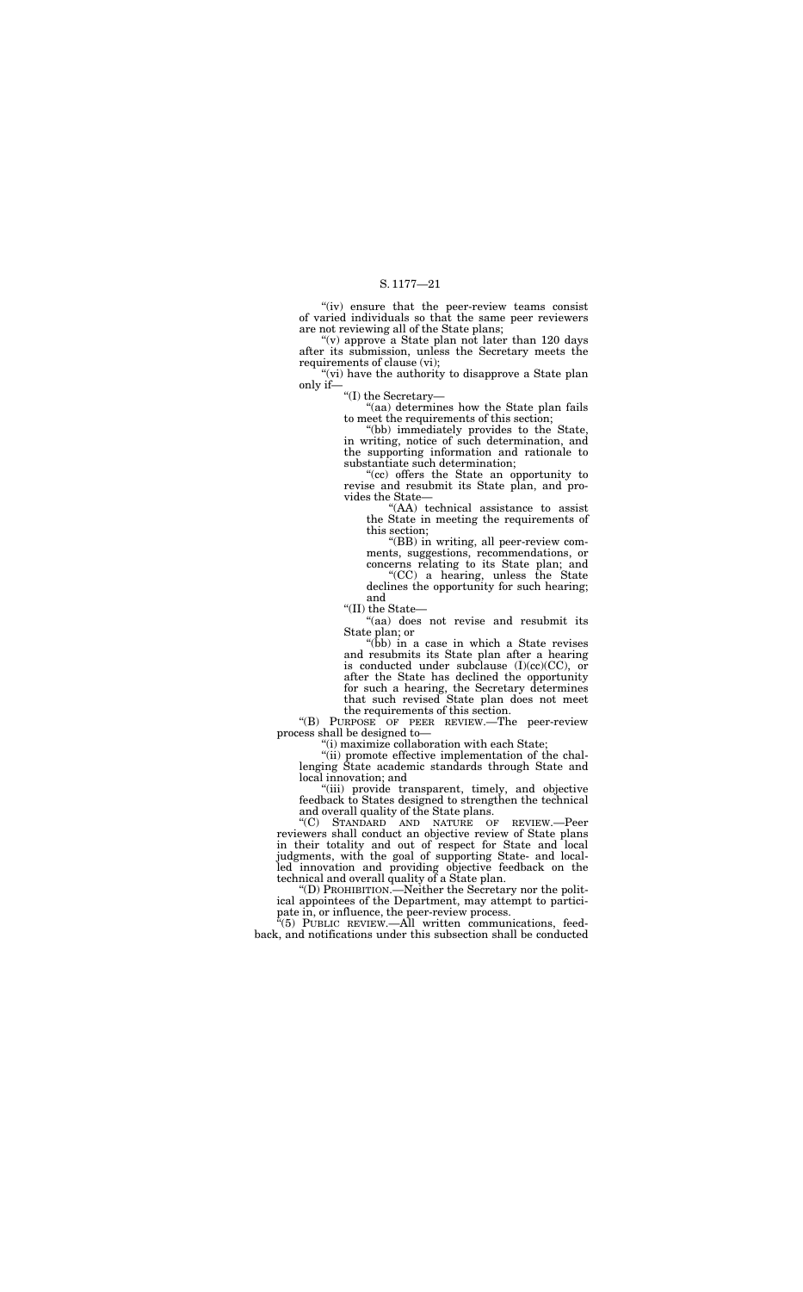"(iv) ensure that the peer-review teams consist of varied individuals so that the same peer reviewers are not reviewing all of the State plans;

"(v) approve a State plan not later than 120 days after its submission, unless the Secretary meets the requirements of clause (vi);

"(vi) have the authority to disapprove a State plan only if—

"(I) the Secretary—

''(aa) determines how the State plan fails to meet the requirements of this section;

''(bb) immediately provides to the State, in writing, notice of such determination, and the supporting information and rationale to substantiate such determination;

"(aa) does not revise and resubmit its State plan; or

''(cc) offers the State an opportunity to revise and resubmit its State plan, and provides the State—

''(AA) technical assistance to assist the State in meeting the requirements of this section;

"(iii) provide transparent, timely, and objective feedback to States designed to strengthen the technical and overall quality of the State plans.

''(BB) in writing, all peer-review comments, suggestions, recommendations, or concerns relating to its State plan; and ''(CC) a hearing, unless the State

declines the opportunity for such hearing; and

''(II) the State—

"(5) PUBLIC REVIEW.—All written communications, feedback, and notifications under this subsection shall be conducted

''(bb) in a case in which a State revises and resubmits its State plan after a hearing is conducted under subclause  $(I)(cc)(CC)$ , or after the State has declined the opportunity for such a hearing, the Secretary determines that such revised State plan does not meet the requirements of this section.

''(B) PURPOSE OF PEER REVIEW.—The peer-review process shall be designed to—

''(i) maximize collaboration with each State;

''(ii) promote effective implementation of the challenging State academic standards through State and local innovation; and

''(C) STANDARD AND NATURE OF REVIEW.—Peer reviewers shall conduct an objective review of State plans in their totality and out of respect for State and local judgments, with the goal of supporting State- and localled innovation and providing objective feedback on the technical and overall quality of a State plan.

''(D) PROHIBITION.—Neither the Secretary nor the political appointees of the Department, may attempt to participate in, or influence, the peer-review process.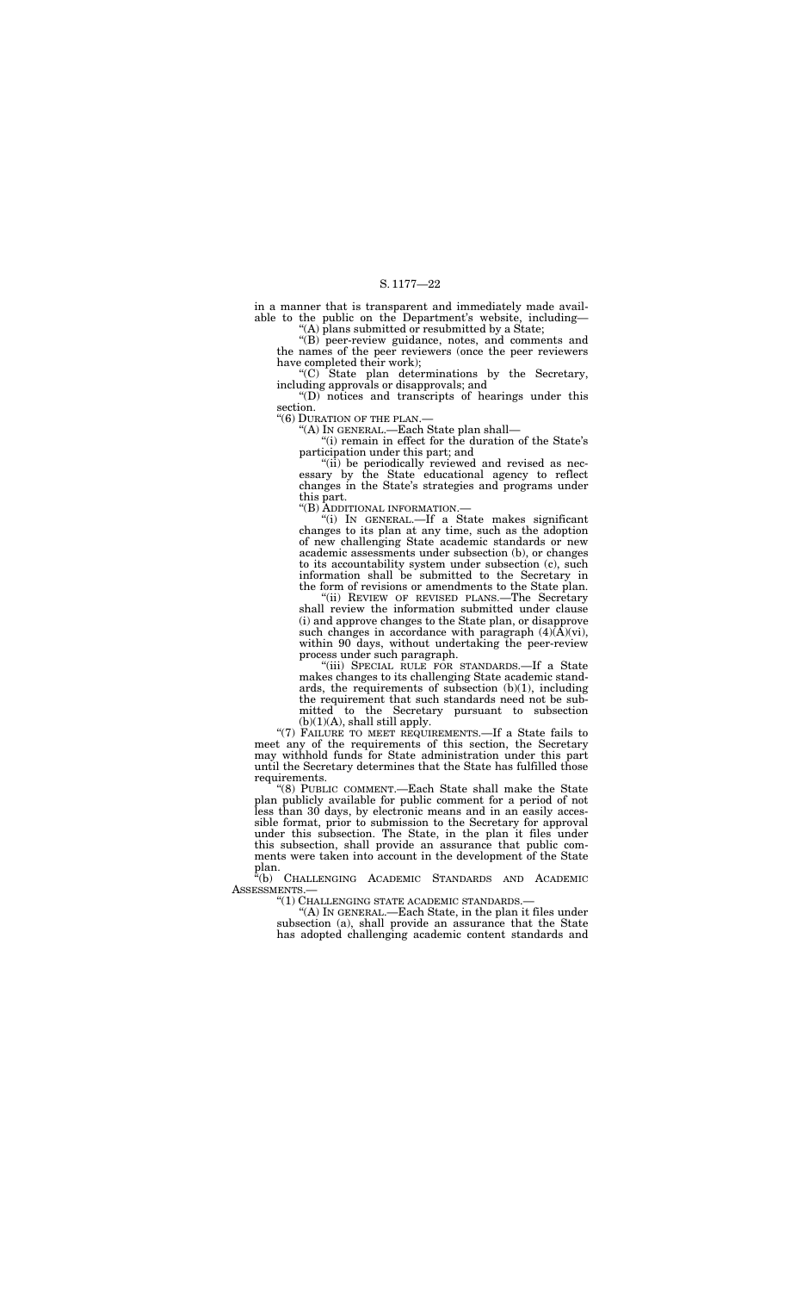in a manner that is transparent and immediately made available to the public on the Department's website, including—

''(A) plans submitted or resubmitted by a State;

"(B) peer-review guidance, notes, and comments and the names of the peer reviewers (once the peer reviewers have completed their work);

''(D) notices and transcripts of hearings under this section.<br>"(6) DURATION OF THE PLAN.-

"(A) IN GENERAL.—Each State plan shall—

''(C) State plan determinations by the Secretary, including approvals or disapprovals; and

''(i) remain in effect for the duration of the State's participation under this part; and

"(ii) be periodically reviewed and revised as necessary by the State educational agency to reflect changes in the State's strategies and programs under this part.<br>"(B) ADDITIONAL INFORMATION.—

"(i) IN GENERAL.—If a State makes significant changes to its plan at any time, such as the adoption of new challenging State academic standards or new academic assessments under subsection (b), or changes to its accountability system under subsection (c), such information shall be submitted to the Secretary in the form of revisions or amendments to the State plan.

(ii) REVIEW OF REVISED PLANS.—The Secretary shall review the information submitted under clause (i) and approve changes to the State plan, or disapprove such changes in accordance with paragraph  $(4)(\overline{A})(\overline{vi})$ , within 90 days, without undertaking the peer-review process under such paragraph.

''(iii) SPECIAL RULE FOR STANDARDS.—If a State makes changes to its challenging State academic standards, the requirements of subsection (b)(1), including the requirement that such standards need not be submitted to the Secretary pursuant to subsection  $(b)(1)(A)$ , shall still apply.

"(7) FAILURE TO MEET REQUIREMENTS.—If a State fails to meet any of the requirements of this section, the Secretary may withhold funds for State administration under this part until the Secretary determines that the State has fulfilled those requirements.

''(b) CHALLENGING ACADEMIC STANDARDS AND ACADEMIC ASSESSMENTS.—<br>
"(1) CHALLENGING STATE ACADEMIC STANDARDS.—<br>
"(A) IN GENERAL.—Each State, in the plan it files under

''(8) PUBLIC COMMENT.—Each State shall make the State plan publicly available for public comment for a period of not less than 30 days, by electronic means and in an easily accessible format, prior to submission to the Secretary for approval under this subsection. The State, in the plan it files under this subsection, shall provide an assurance that public comments were taken into account in the development of the State plan.

subsection (a), shall provide an assurance that the State has adopted challenging academic content standards and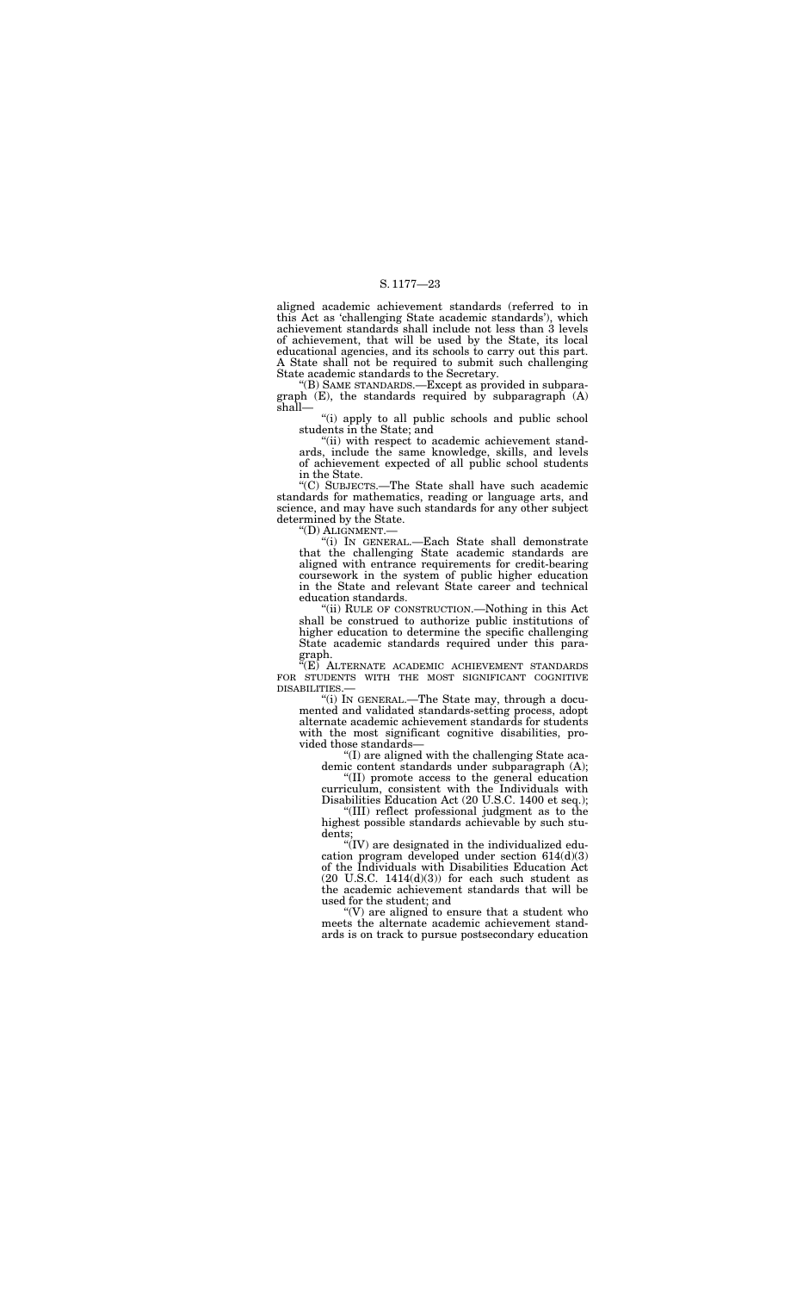aligned academic achievement standards (referred to in this Act as 'challenging State academic standards'), which achievement standards shall include not less than 3 levels of achievement, that will be used by the State, its local educational agencies, and its schools to carry out this part. A State shall not be required to submit such challenging State academic standards to the Secretary.

"(ii) with respect to academic achievement standards, include the same knowledge, skills, and levels of achievement expected of all public school students in the State.

''(C) SUBJECTS.—The State shall have such academic standards for mathematics, reading or language arts, and science, and may have such standards for any other subject determined by the State.<br>"(D) ALIGNMENT.—

''(B) SAME STANDARDS.—Except as provided in subparagraph (E), the standards required by subparagraph (A) shall—

''(i) apply to all public schools and public school students in the State; and

"(i) IN GENERAL.—Each State shall demonstrate that the challenging State academic standards are aligned with entrance requirements for credit-bearing coursework in the system of public higher education in the State and relevant State career and technical education standards.

 $\mathcal{E}(E)$  ALTERNATE ACADEMIC ACHIEVEMENT STANDARDS FOR STUDENTS WITH THE MOST SIGNIFICANT COGNITIVE DISABILITIES.—

> $\sqrt{\rm T(V)}$  are designated in the individualized education program developed under section 614(d)(3) of the Individuals with Disabilities Education Act  $(20 \text{ U.S.C. } 1414(d)(3))$  for each such student as the academic achievement standards that will be used for the student; and

''(ii) RULE OF CONSTRUCTION.—Nothing in this Act shall be construed to authorize public institutions of higher education to determine the specific challenging State academic standards required under this paragraph.

''(i) IN GENERAL.—The State may, through a documented and validated standards-setting process, adopt alternate academic achievement standards for students with the most significant cognitive disabilities, provided those standards—

''(I) are aligned with the challenging State academic content standards under subparagraph (A);

''(II) promote access to the general education curriculum, consistent with the Individuals with

Disabilities Education Act (20 U.S.C. 1400 et seq.); ''(III) reflect professional judgment as to the highest possible standards achievable by such students;

''(V) are aligned to ensure that a student who meets the alternate academic achievement standards is on track to pursue postsecondary education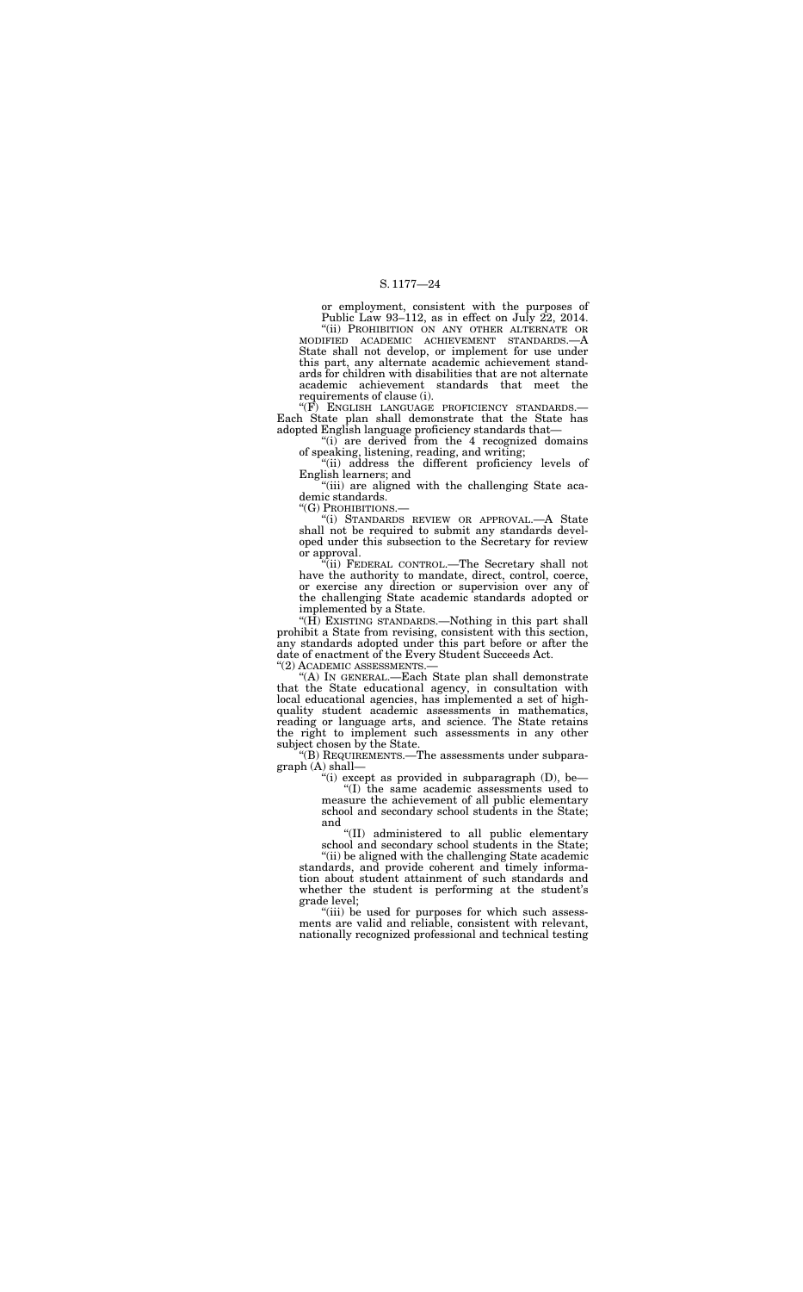State shall not develop, or implement for use under this part, any alternate academic achievement standards for children with disabilities that are not alternate academic achievement standards that meet the requirements of clause (i).<br>"(F) ENGLISH LANGUAGE PROFICIENCY STANDARDS.—

or employment, consistent with the purposes of Public Law 93–112, as in effect on July 22, 2014. ''(ii) PROHIBITION ON ANY OTHER ALTERNATE OR MODIFIED ACADEMIC ACHIEVEMENT STANDARDS.—A

Each State plan shall demonstrate that the State has adopted English language proficiency standards that—

"(i) STANDARDS REVIEW OR APPROVAL.—A State shall not be required to submit any standards developed under this subsection to the Secretary for review or approval.

(ii) FEDERAL CONTROL.—The Secretary shall not have the authority to mandate, direct, control, coerce, or exercise any direction or supervision over any of the challenging State academic standards adopted or implemented by a State.

" $(H)$  EXISTING STANDARDS.—Nothing in this part shall prohibit a State from revising, consistent with this section, any standards adopted under this part before or after the date of enactment of the Every Student Succeeds Act.<br>"(2) ACADEMIC ASSESSMENTS.—

''(i) are derived from the 4 recognized domains of speaking, listening, reading, and writing;

''(ii) address the different proficiency levels of English learners; and

"(iii) are aligned with the challenging State academic standards.<br>"(G) Prohibitions.-

"(A) IN GENERAL.—Each State plan shall demonstrate that the State educational agency, in consultation with local educational agencies, has implemented a set of highquality student academic assessments in mathematics, reading or language arts, and science. The State retains the right to implement such assessments in any other subject chosen by the State.

"(ii) be aligned with the challenging State academic standards, and provide coherent and timely information about student attainment of such standards and whether the student is performing at the student's grade level;

"(iii) be used for purposes for which such assessments are valid and reliable, consistent with relevant, nationally recognized professional and technical testing

''(B) REQUIREMENTS.—The assessments under subparagraph (A) shall—

"(i) except as provided in subparagraph  $(D)$ , be—

''(I) the same academic assessments used to measure the achievement of all public elementary school and secondary school students in the State; and

''(II) administered to all public elementary school and secondary school students in the State;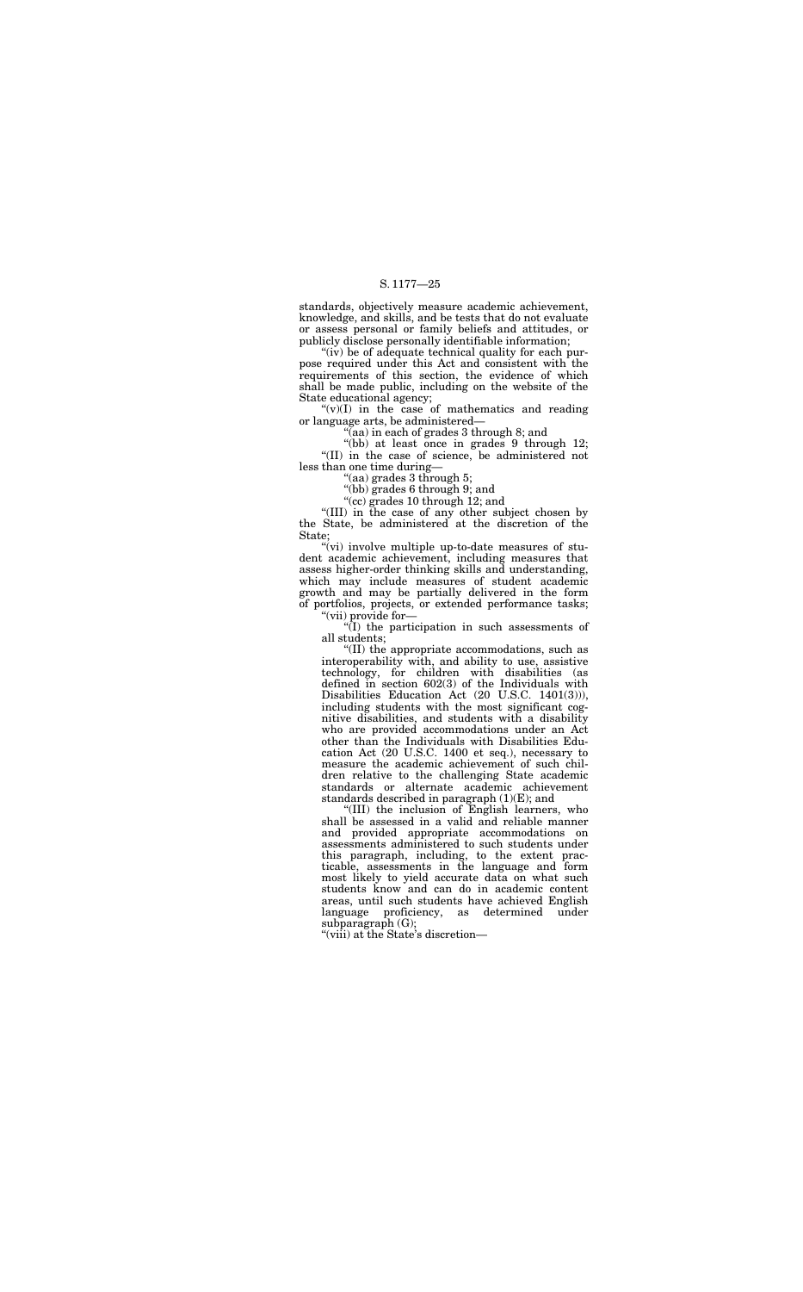standards, objectively measure academic achievement, knowledge, and skills, and be tests that do not evaluate or assess personal or family beliefs and attitudes, or publicly disclose personally identifiable information;

"(iv) be of adequate technical quality for each purpose required under this Act and consistent with the requirements of this section, the evidence of which shall be made public, including on the website of the State educational agency;

 $\mathcal{L}(v)(I)$  in the case of mathematics and reading or language arts, be administered—

"(bb) at least once in grades 9 through 12; "(II) in the case of science, be administered not less than one time during—

"(III) in the case of any other subject chosen by the State, be administered at the discretion of the State;

''(aa) in each of grades 3 through 8; and

 $''(vi)$  involve multiple up-to-date measures of student academic achievement, including measures that assess higher-order thinking skills and understanding, which may include measures of student academic growth and may be partially delivered in the form of portfolios, projects, or extended performance tasks; ''(vii) provide for—

''(aa) grades 3 through 5;

''(bb) grades 6 through 9; and

"(cc) grades 10 through 12; and

''(III) the inclusion of English learners, who shall be assessed in a valid and reliable manner and provided appropriate accommodations on assessments administered to such students under this paragraph, including, to the extent practicable, assessments in the language and form most likely to yield accurate data on what such students know and can do in academic content areas, until such students have achieved English language proficiency, as determined under subparagraph (G);

''(I) the participation in such assessments of all students;

''(II) the appropriate accommodations, such as interoperability with, and ability to use, assistive technology, for children with disabilities (as defined in section 602(3) of the Individuals with Disabilities Education Act (20 U.S.C. 1401(3))), including students with the most significant cognitive disabilities, and students with a disability who are provided accommodations under an Act other than the Individuals with Disabilities Education Act (20 U.S.C. 1400 et seq.), necessary to measure the academic achievement of such children relative to the challenging State academic standards or alternate academic achievement standards described in paragraph (1)(E); and

''(viii) at the State's discretion—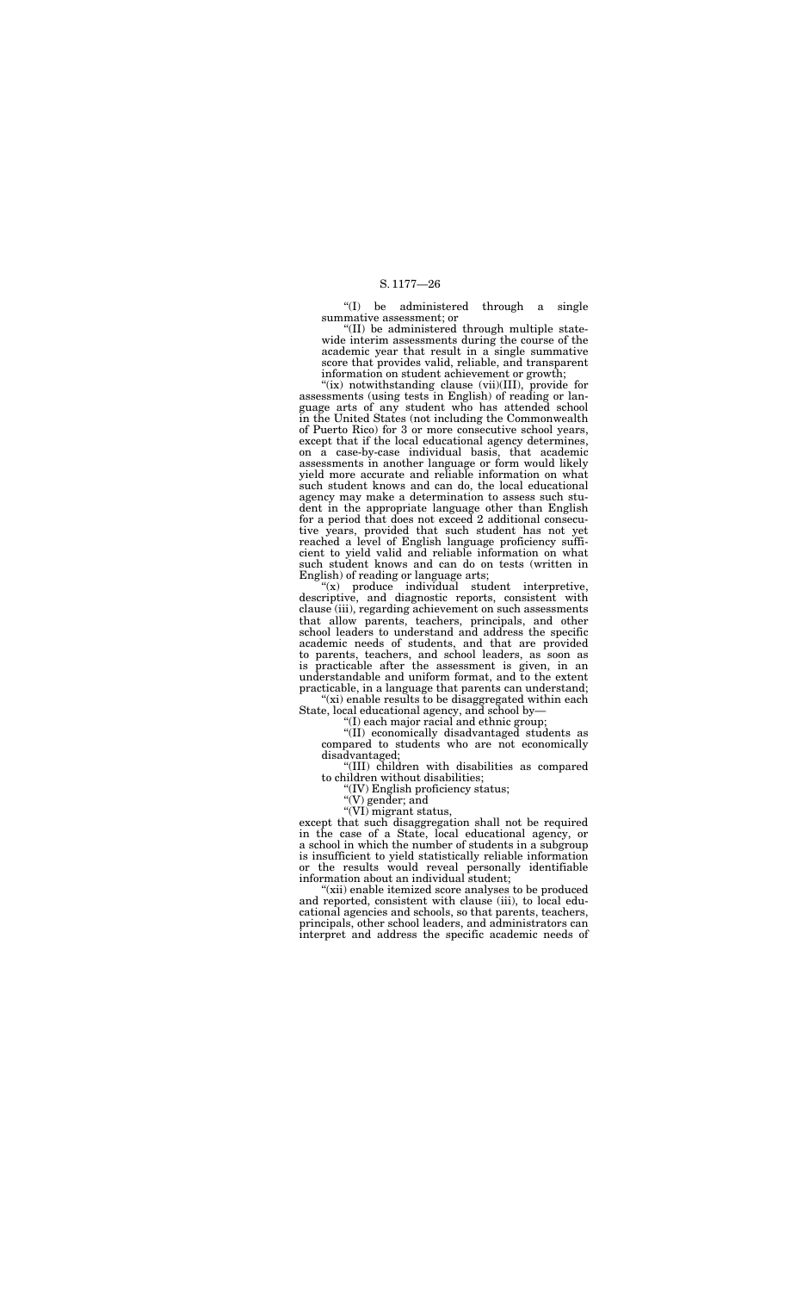''(I) be administered through a single summative assessment; or

''(II) be administered through multiple statewide interim assessments during the course of the academic year that result in a single summative score that provides valid, reliable, and transparent information on student achievement or growth;

"(ix) notwithstanding clause (vii)(III), provide for assessments (using tests in English) of reading or language arts of any student who has attended school in the United States (not including the Commonwealth of Puerto Rico) for 3 or more consecutive school years, except that if the local educational agency determines, on a case-by-case individual basis, that academic assessments in another language or form would likely yield more accurate and reliable information on what such student knows and can do, the local educational agency may make a determination to assess such student in the appropriate language other than English for a period that does not exceed 2 additional consecutive years, provided that such student has not yet reached a level of English language proficiency sufficient to yield valid and reliable information on what such student knows and can do on tests (written in English) of reading or language arts;

"(x) produce individual student interpretive, descriptive, and diagnostic reports, consistent with clause (iii), regarding achievement on such assessments that allow parents, teachers, principals, and other school leaders to understand and address the specific academic needs of students, and that are provided to parents, teachers, and school leaders, as soon as is practicable after the assessment is given, in an understandable and uniform format, and to the extent practicable, in a language that parents can understand;

"(xi) enable results to be disaggregated within each State, local educational agency, and school by—

"(xii) enable itemized score analyses to be produced and reported, consistent with clause (iii), to local educational agencies and schools, so that parents, teachers, principals, other school leaders, and administrators can interpret and address the specific academic needs of

''(I) each major racial and ethnic group;

''(II) economically disadvantaged students as compared to students who are not economically disadvantaged;

''(III) children with disabilities as compared to children without disabilities;

''(IV) English proficiency status;

''(V) gender; and

''(VI) migrant status,

except that such disaggregation shall not be required in the case of a State, local educational agency, or a school in which the number of students in a subgroup is insufficient to yield statistically reliable information or the results would reveal personally identifiable information about an individual student;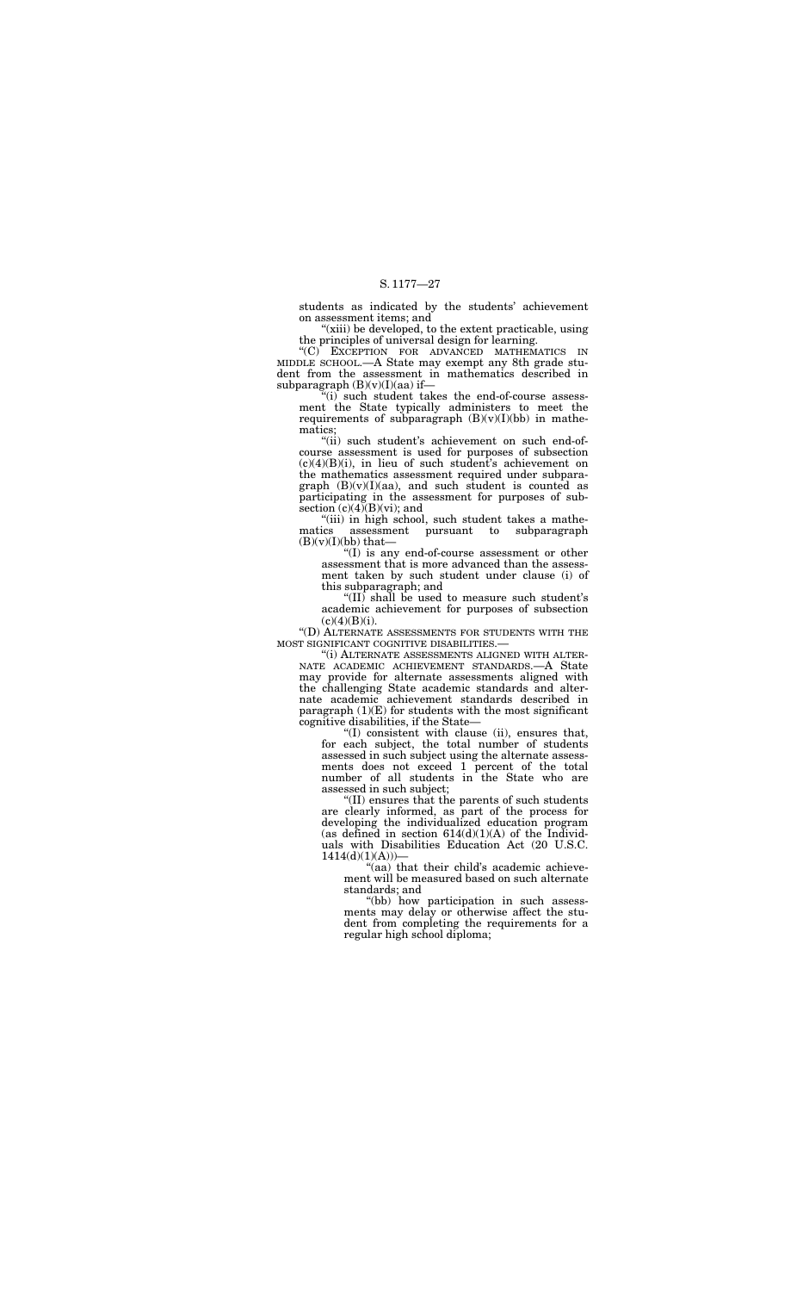students as indicated by the students' achievement on assessment items; and

''(C) EXCEPTION FOR ADVANCED MATHEMATICS IN MIDDLE SCHOOL.—A State may exempt any 8th grade student from the assessment in mathematics described in subparagraph  $(B)(v)(I)(aa)$  if-

''(xiii) be developed, to the extent practicable, using the principles of universal design for learning.

''(iii) in high school, such student takes a mathepursuant to subparagraph  $(B)(v)(I)(bb)$  that—

''(i) such student takes the end-of-course assessment the State typically administers to meet the requirements of subparagraph  $(B)(v)(I)(bb)$  in mathematics;

"(ii) such student's achievement on such end-ofcourse assessment is used for purposes of subsection  $(c)(4)(B)(i)$ , in lieu of such student's achievement on the mathematics assessment required under subparagraph  $(B)(v)(I)(aa)$ , and such student is counted as participating in the assessment for purposes of subsection  $(c)(4)(B)(vi)$ ; and

 $\lq\lq$ "(i) ALTERNATE ASSESSMENTS ALIGNED WITH ALTERNATE ACADEMIC ACHIEVEMENT STANDARDS.—A State may provide for alternate assessments aligned with the challenging State academic standards and alternate academic achievement standards described in paragraph  $(1)(E)$  for students with the most significant cognitive disabilities, if the State—

''(II) ensures that the parents of such students are clearly informed, as part of the process for developing the individualized education program (as defined in section  $614(d)(1)(A)$  of the Individuals with Disabilities Education Act (20 U.S.C.  $1414(d)(1)(A))$ 

''(I) is any end-of-course assessment or other assessment that is more advanced than the assessment taken by such student under clause (i) of this subparagraph; and

 $^{\circ}$ (II) shall be used to measure such student's academic achievement for purposes of subsection  $(c)(4)(B)(i).$ 

 $\,$  "(D) ALTERNATE ASSESSMENTS FOR STUDENTS WITH THE MOST SIGNIFICANT COGNITIVE DISABILITIES.—

''(I) consistent with clause (ii), ensures that, for each subject, the total number of students assessed in such subject using the alternate assessments does not exceed 1 percent of the total number of all students in the State who are assessed in such subject;

''(aa) that their child's academic achievement will be measured based on such alternate standards; and

''(bb) how participation in such assessments may delay or otherwise affect the student from completing the requirements for a regular high school diploma;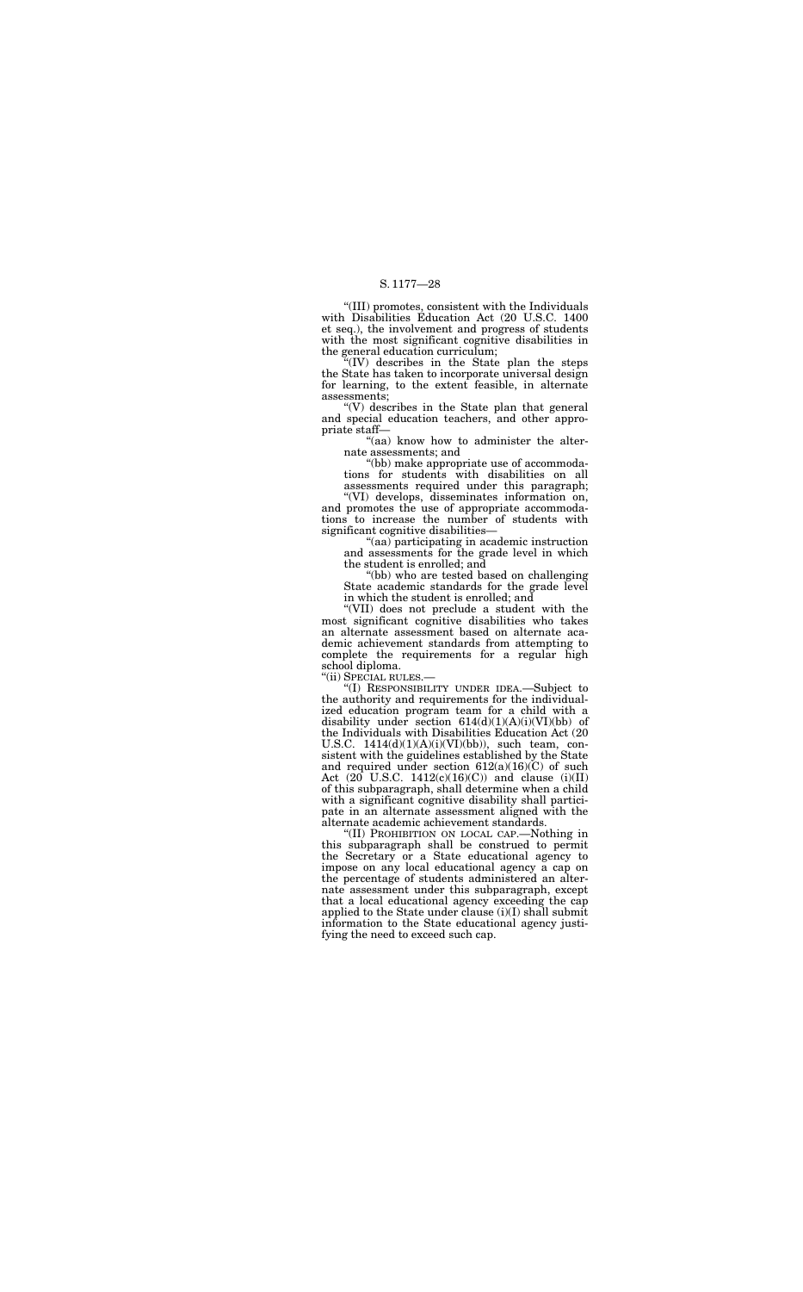''(III) promotes, consistent with the Individuals with Disabilities Education Act (20 U.S.C. 1400 et seq.), the involvement and progress of students with the most significant cognitive disabilities in the general education curriculum;

"(IV) describes in the State plan the steps the State has taken to incorporate universal design for learning, to the extent feasible, in alternate assessments;

"(aa) know how to administer the alternate assessments; and

''(V) describes in the State plan that general and special education teachers, and other appropriate staff—

''(VII) does not preclude a student with the most significant cognitive disabilities who takes an alternate assessment based on alternate academic achievement standards from attempting to complete the requirements for a regular high school diploma.<br>"(ii) SPECIAL RULES.—

''(bb) make appropriate use of accommodations for students with disabilities on all

assessments required under this paragraph; ''(VI) develops, disseminates information on, and promotes the use of appropriate accommodations to increase the number of students with significant cognitive disabilities—

''(aa) participating in academic instruction and assessments for the grade level in which the student is enrolled; and

"(I) RESPONSIBILITY UNDER IDEA.—Subject to the authority and requirements for the individualized education program team for a child with a disability under section 614(d)(1)(A)(i)(VI)(bb) of the Individuals with Disabilities Education Act (20 U.S.C.  $1414(d)(1)(A)(i)(V1)(bb)$ , such team, consistent with the guidelines established by the State and required under section  $612(a)(16)(C)$  of such Act  $(20 \text{ U.S.C. } 1412(c)(16)(C))$  and clause  $(i)(II)$ of this subparagraph, shall determine when a child with a significant cognitive disability shall participate in an alternate assessment aligned with the alternate academic achievement standards.

''(bb) who are tested based on challenging State academic standards for the grade level in which the student is enrolled; and

''(II) PROHIBITION ON LOCAL CAP.—Nothing in this subparagraph shall be construed to permit the Secretary or a State educational agency to impose on any local educational agency a cap on the percentage of students administered an alternate assessment under this subparagraph, except that a local educational agency exceeding the cap applied to the State under clause (i)(I) shall submit information to the State educational agency justifying the need to exceed such cap.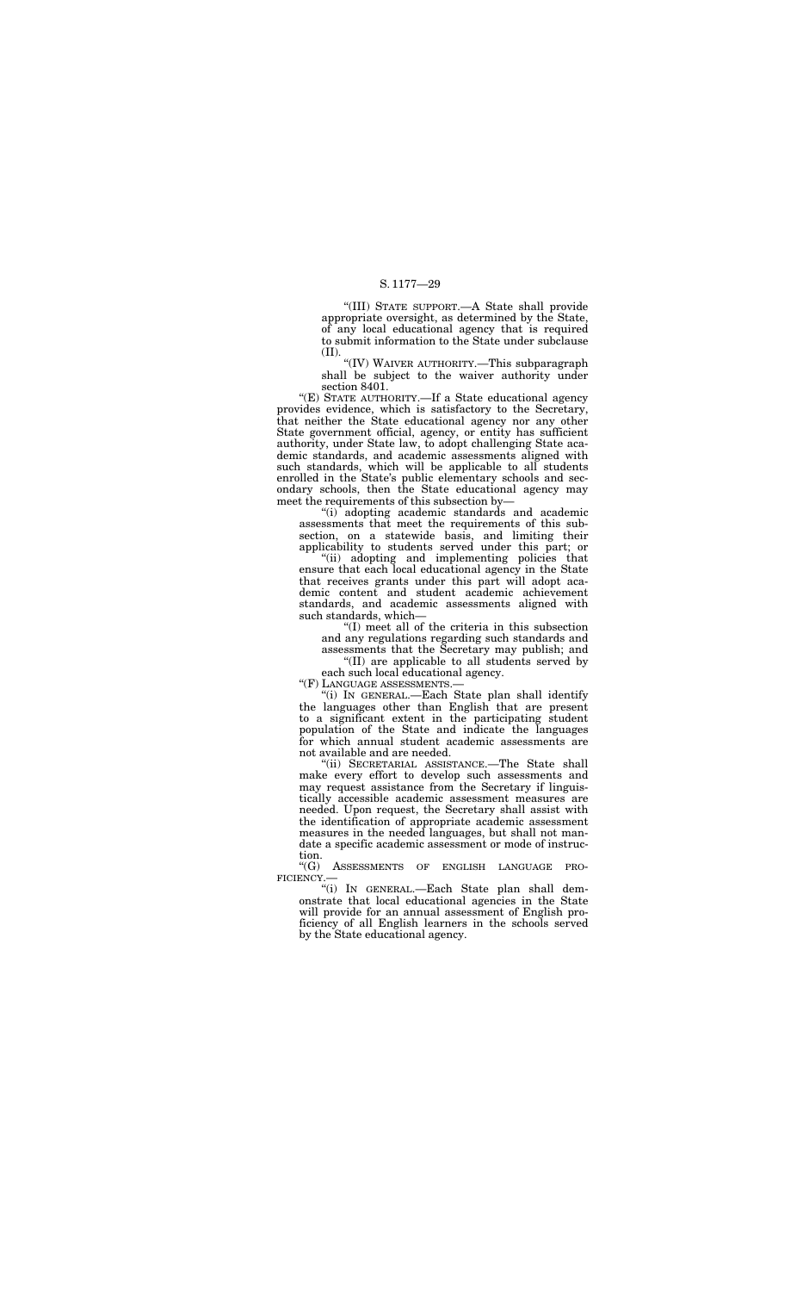''(III) STATE SUPPORT.—A State shall provide appropriate oversight, as determined by the State, of any local educational agency that is required to submit information to the State under subclause (II).

''(IV) WAIVER AUTHORITY.—This subparagraph shall be subject to the waiver authority under section 8401.

''(E) STATE AUTHORITY.—If a State educational agency provides evidence, which is satisfactory to the Secretary, that neither the State educational agency nor any other State government official, agency, or entity has sufficient authority, under State law, to adopt challenging State academic standards, and academic assessments aligned with such standards, which will be applicable to all students enrolled in the State's public elementary schools and secondary schools, then the State educational agency may meet the requirements of this subsection by—

''(i) adopting academic standards and academic assessments that meet the requirements of this subsection, on a statewide basis, and limiting their applicability to students served under this part; or

''(ii) adopting and implementing policies that ensure that each local educational agency in the State that receives grants under this part will adopt academic content and student academic achievement standards, and academic assessments aligned with such standards, which—

''(I) meet all of the criteria in this subsection and any regulations regarding such standards and assessments that the Secretary may publish; and

''(II) are applicable to all students served by each such local educational agency.

''(F) LANGUAGE ASSESSMENTS.—

''(i) IN GENERAL.—Each State plan shall identify the languages other than English that are present to a significant extent in the participating student population of the State and indicate the languages for which annual student academic assessments are not available and are needed.

''(ii) SECRETARIAL ASSISTANCE.—The State shall make every effort to develop such assessments and may request assistance from the Secretary if linguistically accessible academic assessment measures are needed. Upon request, the Secretary shall assist with the identification of appropriate academic assessment measures in the needed languages, but shall not mandate a specific academic assessment or mode of instruction.

''(G) ASSESSMENTS OF ENGLISH LANGUAGE PRO-FICIENCY.—

''(i) IN GENERAL.—Each State plan shall demonstrate that local educational agencies in the State will provide for an annual assessment of English proficiency of all English learners in the schools served by the State educational agency.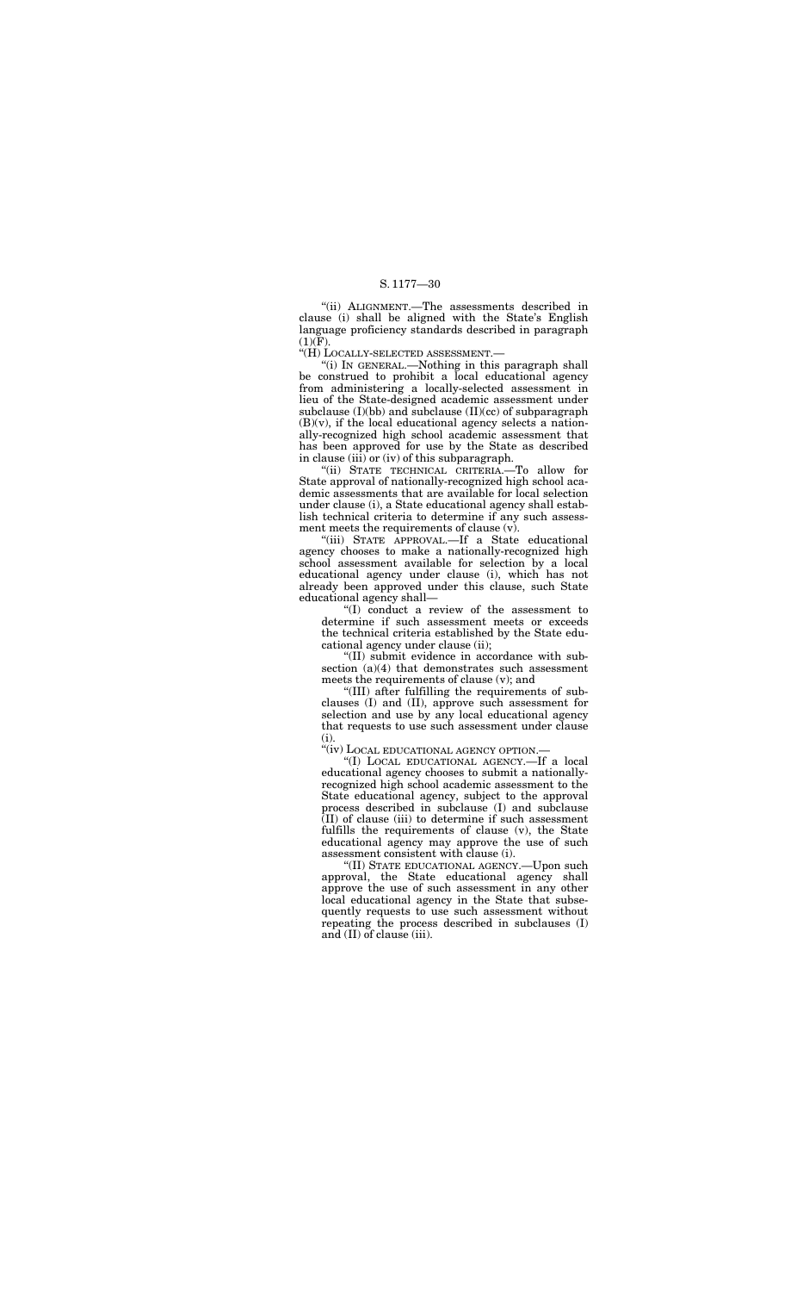''(ii) ALIGNMENT.—The assessments described in clause (i) shall be aligned with the State's English language proficiency standards described in paragraph  $(1)(F)$ .

''(H) LOCALLY-SELECTED ASSESSMENT.—

''(i) IN GENERAL.—Nothing in this paragraph shall be construed to prohibit a local educational agency from administering a locally-selected assessment in lieu of the State-designed academic assessment under subclause (I)(bb) and subclause (II)(cc) of subparagraph  $(B)(v)$ , if the local educational agency selects a nationally-recognized high school academic assessment that has been approved for use by the State as described in clause (iii) or (iv) of this subparagraph.

''(ii) STATE TECHNICAL CRITERIA.—To allow for State approval of nationally-recognized high school academic assessments that are available for local selection under clause (i), a State educational agency shall establish technical criteria to determine if any such assessment meets the requirements of clause (v).

''(iii) STATE APPROVAL.—If a State educational agency chooses to make a nationally-recognized high school assessment available for selection by a local educational agency under clause (i), which has not already been approved under this clause, such State educational agency shall—

''(I) conduct a review of the assessment to determine if such assessment meets or exceeds the technical criteria established by the State educational agency under clause (ii);

''(II) submit evidence in accordance with subsection (a)(4) that demonstrates such assessment meets the requirements of clause (v); and

''(III) after fulfilling the requirements of subclauses (I) and (II), approve such assessment for selection and use by any local educational agency that requests to use such assessment under clause (i).

''(iv) LOCAL EDUCATIONAL AGENCY OPTION.—

''(I) LOCAL EDUCATIONAL AGENCY.—If a local educational agency chooses to submit a nationallyrecognized high school academic assessment to the State educational agency, subject to the approval process described in subclause (I) and subclause (II) of clause (iii) to determine if such assessment fulfills the requirements of clause (v), the State educational agency may approve the use of such assessment consistent with clause (i).

''(II) STATE EDUCATIONAL AGENCY.—Upon such approval, the State educational agency shall approve the use of such assessment in any other local educational agency in the State that subsequently requests to use such assessment without repeating the process described in subclauses (I) and (II) of clause (iii).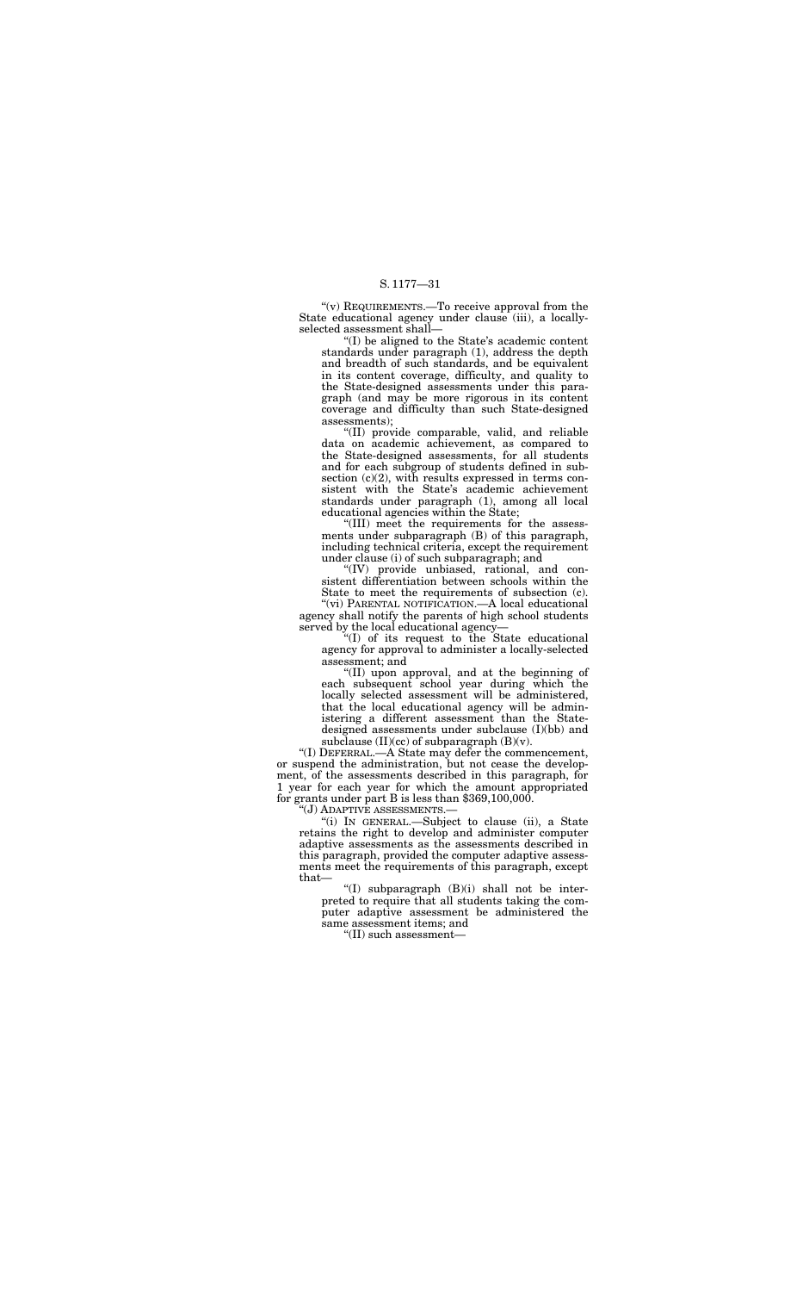" $(v)$  REQUIREMENTS.—To receive approval from the State educational agency under clause (iii), a locallyselected assessment shall—

''(I) be aligned to the State's academic content standards under paragraph (1), address the depth and breadth of such standards, and be equivalent in its content coverage, difficulty, and quality to the State-designed assessments under this paragraph (and may be more rigorous in its content coverage and difficulty than such State-designed assessments);

"(IV) provide unbiased, rational, and consistent differentiation between schools within the State to meet the requirements of subsection (c).

''(II) provide comparable, valid, and reliable data on academic achievement, as compared to the State-designed assessments, for all students and for each subgroup of students defined in subsection  $(c)(2)$ , with results expressed in terms consistent with the State's academic achievement standards under paragraph (1), among all local educational agencies within the State;

''(II) upon approval, and at the beginning of each subsequent school year during which the locally selected assessment will be administered, that the local educational agency will be administering a different assessment than the Statedesigned assessments under subclause (I)(bb) and subclause  $(II)(cc)$  of subparagraph  $(B)(v)$ .

''(III) meet the requirements for the assessments under subparagraph (B) of this paragraph, including technical criteria, except the requirement under clause (i) of such subparagraph; and

''(vi) PARENTAL NOTIFICATION.—A local educational agency shall notify the parents of high school students served by the local educational agency—

''(I) of its request to the State educational agency for approval to administer a locally-selected assessment; and

''(I) DEFERRAL.—A State may defer the commencement, or suspend the administration, but not cease the development, of the assessments described in this paragraph, for 1 year for each year for which the amount appropriated for grants under part B is less than \$369,100,000.

''(J) ADAPTIVE ASSESSMENTS.—

''(i) IN GENERAL.—Subject to clause (ii), a State retains the right to develop and administer computer adaptive assessments as the assessments described in this paragraph, provided the computer adaptive assessments meet the requirements of this paragraph, except that—

''(I) subparagraph (B)(i) shall not be interpreted to require that all students taking the computer adaptive assessment be administered the same assessment items; and

''(II) such assessment—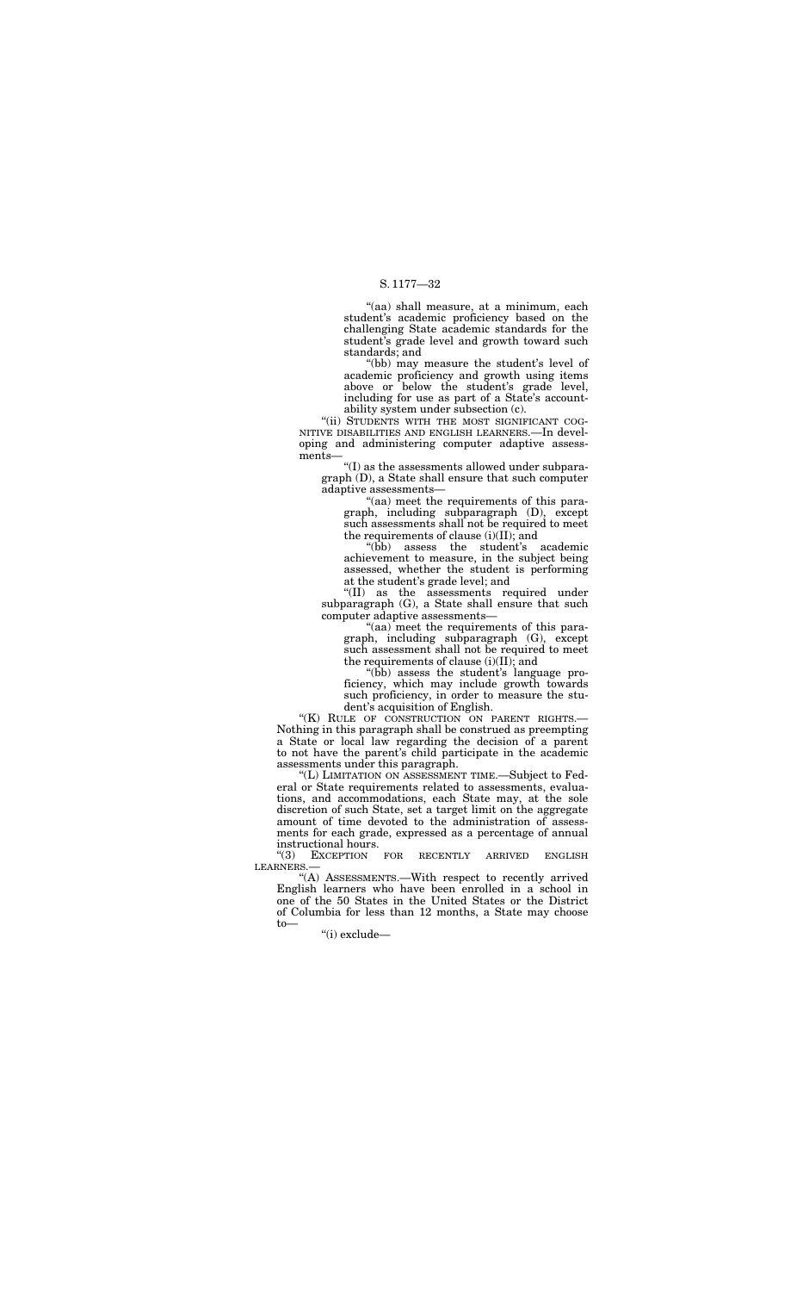''(aa) shall measure, at a minimum, each student's academic proficiency based on the challenging State academic standards for the student's grade level and growth toward such standards; and

"(bb) may measure the student's level of academic proficiency and growth using items above or below the student's grade level, including for use as part of a State's accountability system under subsection (c).

"(ii) STUDENTS WITH THE MOST SIGNIFICANT COG-NITIVE DISABILITIES AND ENGLISH LEARNERS.—In developing and administering computer adaptive assessments—

> "(bb) assess the student's academic achievement to measure, in the subject being assessed, whether the student is performing at the student's grade level; and

''(I) as the assessments allowed under subparagraph (D), a State shall ensure that such computer adaptive assessments—

"(aa) meet the requirements of this paragraph, including subparagraph (D), except such assessments shall not be required to meet the requirements of clause  $(i)(II)$ ; and

"(aa) meet the requirements of this paragraph, including subparagraph (G), except such assessment shall not be required to meet the requirements of clause (i)(II); and

"(K) RULE OF CONSTRUCTION ON PARENT RIGHTS.-Nothing in this paragraph shall be construed as preempting a State or local law regarding the decision of a parent to not have the parent's child participate in the academic assessments under this paragraph.

"(L) LIMITATION ON ASSESSMENT TIME.—Subject to Federal or State requirements related to assessments, evaluations, and accommodations, each State may, at the sole discretion of such State, set a target limit on the aggregate amount of time devoted to the administration of assessments for each grade, expressed as a percentage of annual instructional hours.<br>
"(3) EXCEPTION

EXCEPTION FOR RECENTLY ARRIVED ENGLISH **LEARNERS** 

''(II) as the assessments required under subparagraph (G), a State shall ensure that such computer adaptive assessments—

"(A) ASSESSMENTS.—With respect to recently arrived English learners who have been enrolled in a school in one of the 50 States in the United States or the District of Columbia for less than 12 months, a State may choose to—

''(bb) assess the student's language proficiency, which may include growth towards such proficiency, in order to measure the student's acquisition of English.

''(i) exclude—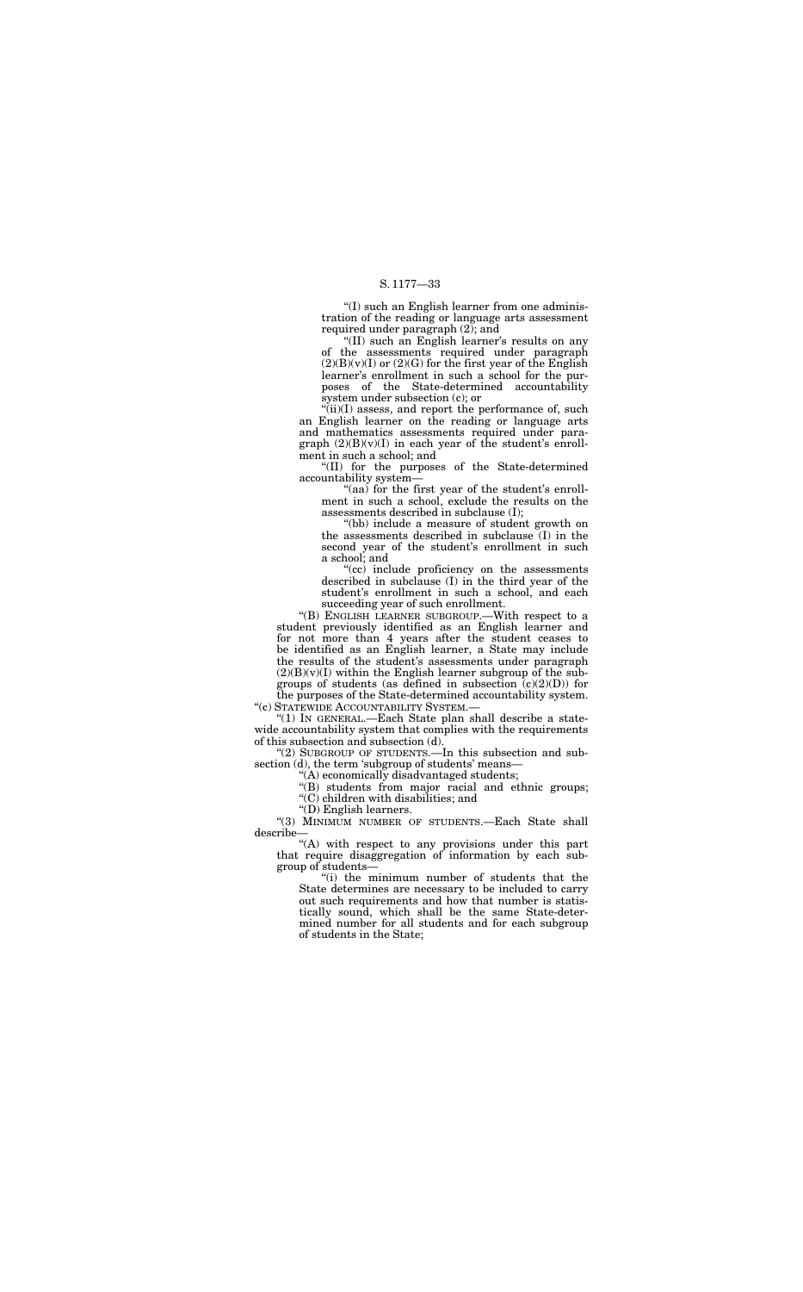''(I) such an English learner from one administration of the reading or language arts assessment required under paragraph (2); and

''(II) such an English learner's results on any of the assessments required under paragraph  $(2)(B)(v)(I)$  or  $(2)(G)$  for the first year of the English learner's enrollment in such a school for the purposes of the State-determined accountability system under subsection (c); or

 $\text{``(ii)(I)}$  assess, and report the performance of, such an English learner on the reading or language arts and mathematics assessments required under paragraph  $(2)(B)(v)(I)$  in each year of the student's enrollment in such a school; and

"(cc) include proficiency on the assessments described in subclause (I) in the third year of the student's enrollment in such a school, and each succeeding year of such enrollment.

''(II) for the purposes of the State-determined accountability system—

''(aa) for the first year of the student's enrollment in such a school, exclude the results on the assessments described in subclause (I);

''(c) STATEWIDE ACCOUNTABILITY SYSTEM.— "(1) In GENERAL.—Each State plan shall describe a state-

''(bb) include a measure of student growth on the assessments described in subclause (I) in the second year of the student's enrollment in such a school; and

''(B) ENGLISH LEARNER SUBGROUP.—With respect to a student previously identified as an English learner and for not more than 4 years after the student ceases to be identified as an English learner, a State may include the results of the student's assessments under paragraph  $(2)(B)(v)(I)$  within the English learner subgroup of the subgroups of students (as defined in subsection  $(c)(2)(D)$ ) for the purposes of the State-determined accountability system.

wide accountability system that complies with the requirements of this subsection and subsection (d).

''(2) SUBGROUP OF STUDENTS.—In this subsection and subsection (d), the term 'subgroup of students' means—

''(A) economically disadvantaged students;

"(B) students from major racial and ethnic groups;  $C$ ) children with disabilities; and

"(D) English learners.

''(3) MINIMUM NUMBER OF STUDENTS.—Each State shall describe—

''(A) with respect to any provisions under this part that require disaggregation of information by each subgroup of students—

''(i) the minimum number of students that the State determines are necessary to be included to carry out such requirements and how that number is statistically sound, which shall be the same State-determined number for all students and for each subgroup of students in the State;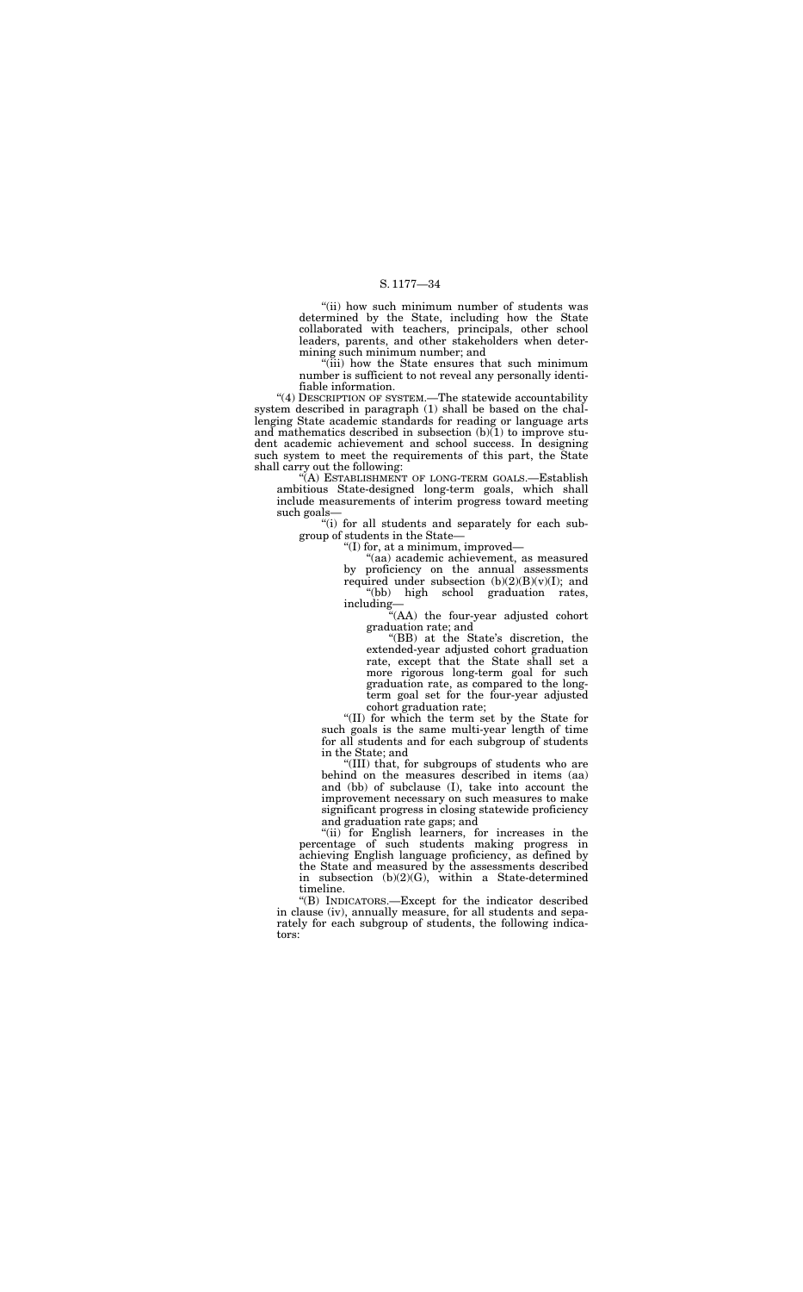''(ii) how such minimum number of students was determined by the State, including how the State collaborated with teachers, principals, other school leaders, parents, and other stakeholders when determining such minimum number; and

''(iii) how the State ensures that such minimum number is sufficient to not reveal any personally identifiable information.

"(4) DESCRIPTION OF SYSTEM.—The statewide accountability system described in paragraph (1) shall be based on the challenging State academic standards for reading or language arts and mathematics described in subsection (b)(1) to improve student academic achievement and school success. In designing such system to meet the requirements of this part, the State shall carry out the following:

"(A) ESTABLISHMENT OF LONG-TERM GOALS.—Establish ambitious State-designed long-term goals, which shall include measurements of interim progress toward meeting such goals—

''(i) for all students and separately for each subgroup of students in the State—

''(I) for, at a minimum, improved—

''(aa) academic achievement, as measured by proficiency on the annual assessments required under subsection  $(b)(2)(B)(v)(I)$ ; and ''(bb) high school graduation rates,

including—

''(AA) the four-year adjusted cohort graduation rate; and

''(BB) at the State's discretion, the extended-year adjusted cohort graduation rate, except that the State shall set a more rigorous long-term goal for such graduation rate, as compared to the longterm goal set for the four-year adjusted cohort graduation rate;

''(II) for which the term set by the State for such goals is the same multi-year length of time for all students and for each subgroup of students in the State; and

''(III) that, for subgroups of students who are behind on the measures described in items (aa) and (bb) of subclause (I), take into account the improvement necessary on such measures to make significant progress in closing statewide proficiency and graduation rate gaps; and

''(ii) for English learners, for increases in the percentage of such students making progress in achieving English language proficiency, as defined by the State and measured by the assessments described in subsection  $(b)(2)(G)$ , within a State-determined timeline.

''(B) INDICATORS.—Except for the indicator described in clause (iv), annually measure, for all students and separately for each subgroup of students, the following indicators: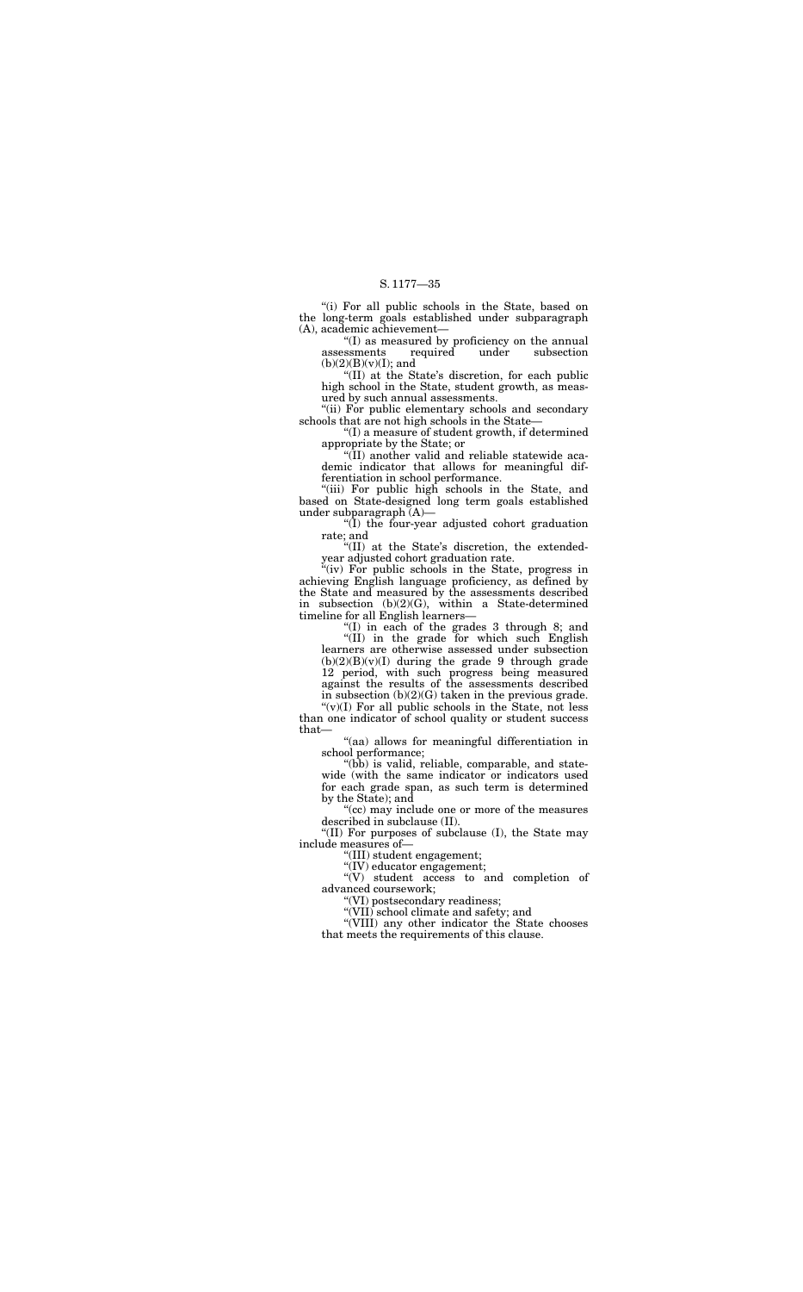''(I) as measured by proficiency on the annual assessments required under subsection  $(b)(2)(B)(v)(I);$  and

''(i) For all public schools in the State, based on the long-term goals established under subparagraph (A), academic achievement—

"(ii) For public elementary schools and secondary schools that are not high schools in the State—

''(II) at the State's discretion, for each public high school in the State, student growth, as measured by such annual assessments.

''(I) a measure of student growth, if determined appropriate by the State; or

''(I) in each of the grades 3 through 8; and ''(II) in the grade for which such English learners are otherwise assessed under subsection  $(b)(2)(B)(v)(I)$  during the grade 9 through grade 12 period, with such progress being measured against the results of the assessments described in subsection  $(b)(2)(G)$  taken in the previous grade.

''(II) another valid and reliable statewide academic indicator that allows for meaningful differentiation in school performance.

''(iii) For public high schools in the State, and based on State-designed long term goals established under subparagraph (A)—

" $(v)(I)$  For all public schools in the State, not less than one indicator of school quality or student success that—

''(I) the four-year adjusted cohort graduation rate; and

''(II) at the State's discretion, the extendedyear adjusted cohort graduation rate.

"(cc) may include one or more of the measures described in subclause (II).

''(iv) For public schools in the State, progress in achieving English language proficiency, as defined by the State and measured by the assessments described in subsection (b)(2)(G), within a State-determined timeline for all English learners—

''(aa) allows for meaningful differentiation in school performance;

''(bb) is valid, reliable, comparable, and statewide (with the same indicator or indicators used for each grade span, as such term is determined by the State); and

''(II) For purposes of subclause (I), the State may include measures of—

''(III) student engagement;

''(IV) educator engagement;

''(V) student access to and completion of advanced coursework;

''(VI) postsecondary readiness;

''(VII) school climate and safety; and

''(VIII) any other indicator the State chooses that meets the requirements of this clause.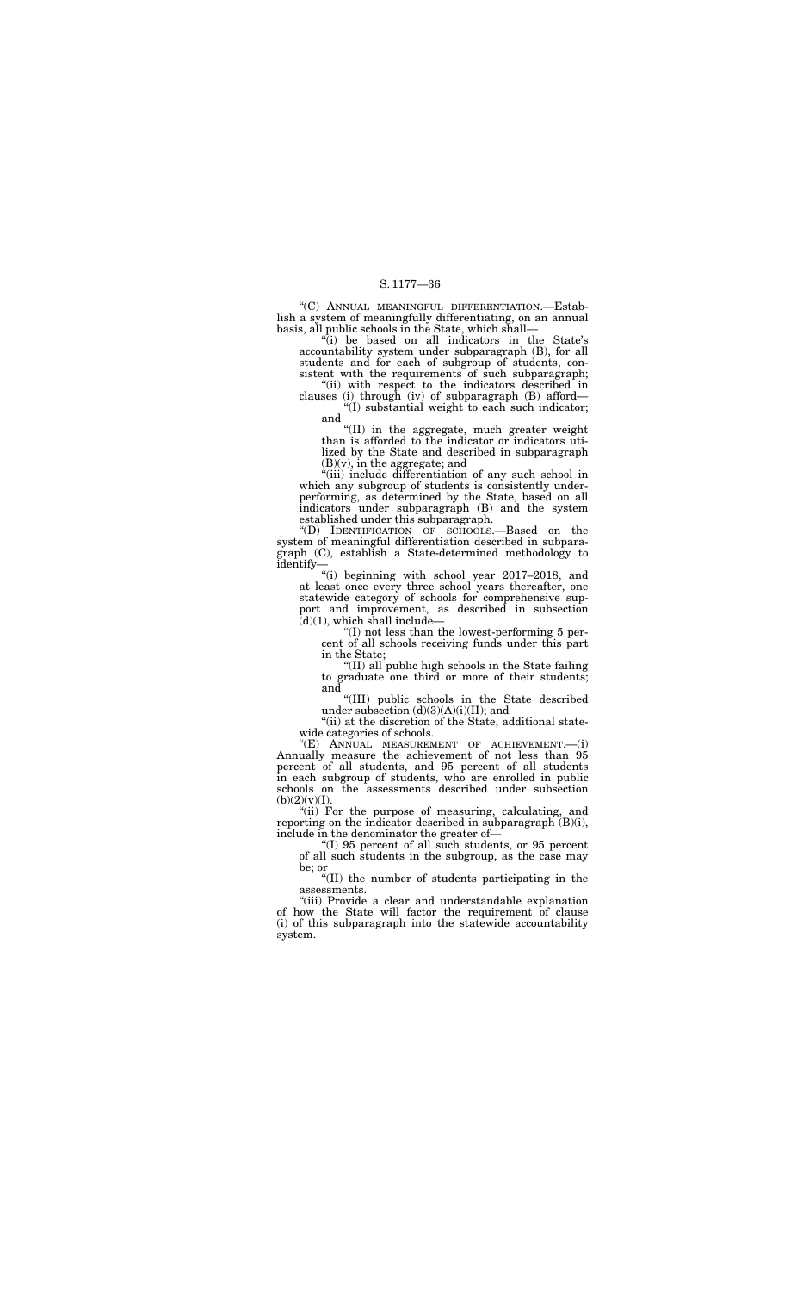''(C) ANNUAL MEANINGFUL DIFFERENTIATION.—Establish a system of meaningfully differentiating, on an annual basis, all public schools in the State, which shall—

"(i) be based on all indicators in the State's accountability system under subparagraph (B), for all students and for each of subgroup of students, consistent with the requirements of such subparagraph;

"(ii) with respect to the indicators described in clauses (i) through (iv) of subparagraph (B) afford—

''(II) in the aggregate, much greater weight than is afforded to the indicator or indicators utilized by the State and described in subparagraph  $(B)(v)$ , in the aggregate; and

''(I) substantial weight to each such indicator; and

''(i) beginning with school year 2017–2018, and at least once every three school years thereafter, one statewide category of schools for comprehensive support and improvement, as described in subsection  $(d)(1)$ , which shall include-

 $''(I)$  not less than the lowest-performing 5 percent of all schools receiving funds under this part in the State;

''(III) public schools in the State described under subsection  $(d)(3)(A)(i)(II)$ ; and

''(iii) include differentiation of any such school in which any subgroup of students is consistently underperforming, as determined by the State, based on all indicators under subparagraph (B) and the system established under this subparagraph.

''(E) ANNUAL MEASUREMENT OF ACHIEVEMENT.—(i) Annually measure the achievement of not less than 95 percent of all students, and 95 percent of all students in each subgroup of students, who are enrolled in public schools on the assessments described under subsection  $(b)(2)(v)(I).$ 

''(D) IDENTIFICATION OF SCHOOLS.—Based on the system of meaningful differentiation described in subparagraph (C), establish a State-determined methodology to identify—

"(ii) For the purpose of measuring, calculating, and reporting on the indicator described in subparagraph (B)(i), include in the denominator the greater of—

''(II) all public high schools in the State failing to graduate one third or more of their students; and

''(ii) at the discretion of the State, additional statewide categories of schools.

''(I) 95 percent of all such students, or 95 percent of all such students in the subgroup, as the case may be; or

''(II) the number of students participating in the assessments.

''(iii) Provide a clear and understandable explanation of how the State will factor the requirement of clause (i) of this subparagraph into the statewide accountability system.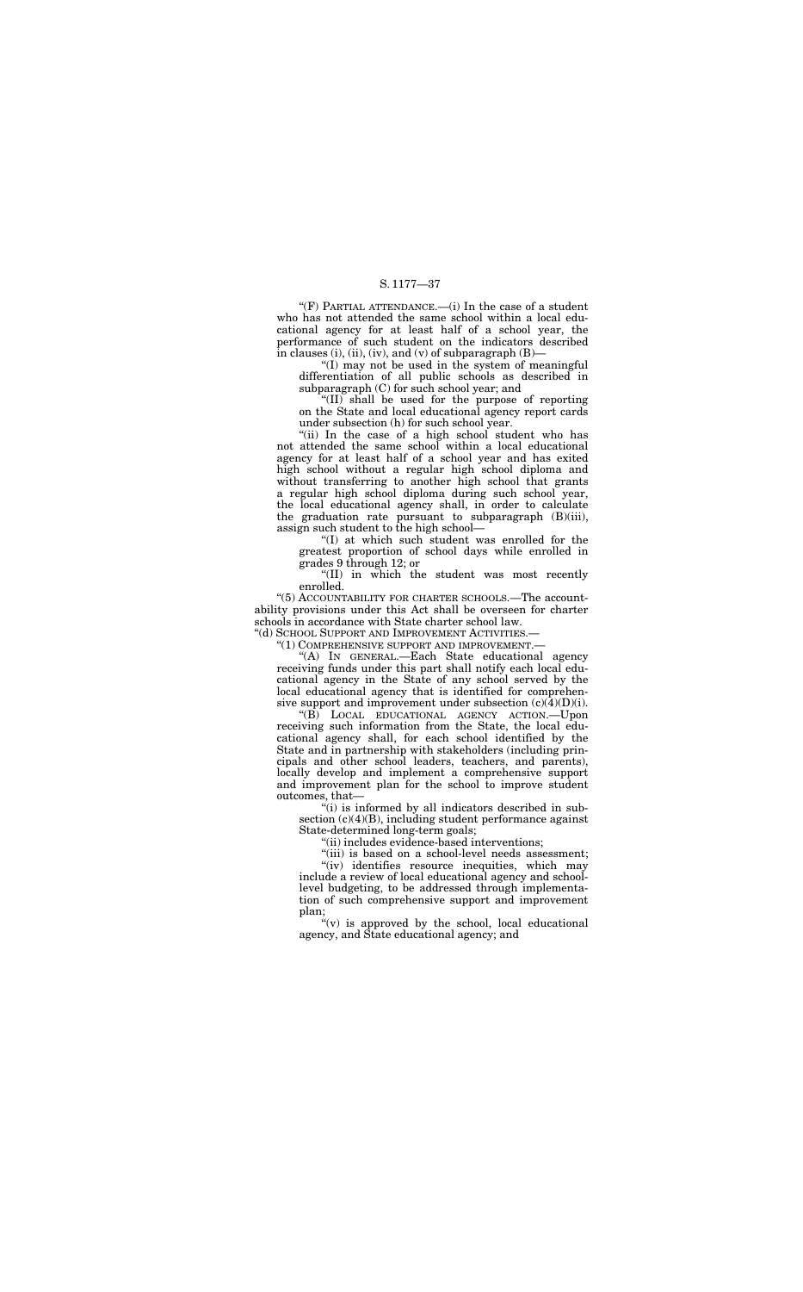" $(F)$  PARTIAL ATTENDANCE.—(i) In the case of a student who has not attended the same school within a local educational agency for at least half of a school year, the performance of such student on the indicators described in clauses (i), (ii), (iv), and (v) of subparagraph (B)—

''(I) may not be used in the system of meaningful differentiation of all public schools as described in subparagraph (C) for such school year; and

''(II) shall be used for the purpose of reporting on the State and local educational agency report cards under subsection (h) for such school year.

"(ii) In the case of a high school student who has not attended the same school within a local educational agency for at least half of a school year and has exited high school without a regular high school diploma and without transferring to another high school that grants a regular high school diploma during such school year, the local educational agency shall, in order to calculate the graduation rate pursuant to subparagraph (B)(iii), assign such student to the high school—

''(A) IN GENERAL.—Each State educational agency receiving funds under this part shall notify each local educational agency in the State of any school served by the local educational agency that is identified for comprehensive support and improvement under subsection  $(c)(4)(D)(i)$ .

''(I) at which such student was enrolled for the greatest proportion of school days while enrolled in grades 9 through 12; or

''(II) in which the student was most recently enrolled.

"(iv) identifies resource inequities, which may include a review of local educational agency and schoollevel budgeting, to be addressed through implementation of such comprehensive support and improvement plan;

''(5) ACCOUNTABILITY FOR CHARTER SCHOOLS.—The accountability provisions under this Act shall be overseen for charter schools in accordance with State charter school law.

> $\ddot{H}$ <sup>'</sup>(v) is approved by the school, local educational agency, and State educational agency; and

''(d) SCHOOL SUPPORT AND IMPROVEMENT ACTIVITIES.—

''(1) COMPREHENSIVE SUPPORT AND IMPROVEMENT.—

''(B) LOCAL EDUCATIONAL AGENCY ACTION.—Upon receiving such information from the State, the local educational agency shall, for each school identified by the State and in partnership with stakeholders (including principals and other school leaders, teachers, and parents), locally develop and implement a comprehensive support and improvement plan for the school to improve student outcomes, that—

''(i) is informed by all indicators described in subsection (c)(4)(B), including student performance against State-determined long-term goals;

''(ii) includes evidence-based interventions;

''(iii) is based on a school-level needs assessment;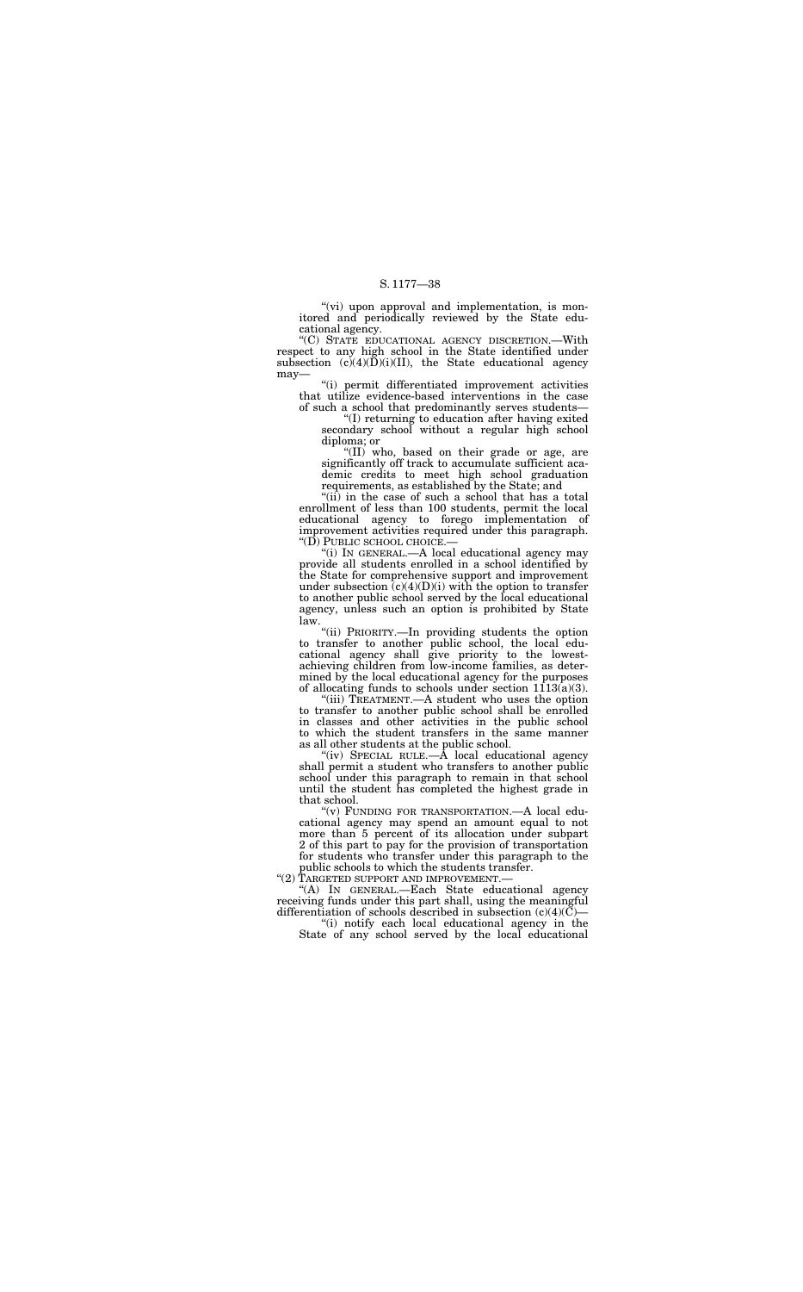"(vi) upon approval and implementation, is monitored and periodically reviewed by the State educational agency.

''(C) STATE EDUCATIONAL AGENCY DISCRETION.—With respect to any high school in the State identified under subsection  $(c)(4)(D)(i)(II)$ , the State educational agency may—

''(i) permit differentiated improvement activities that utilize evidence-based interventions in the case of such a school that predominantly serves students—

"(II) who, based on their grade or age, are significantly off track to accumulate sufficient academic credits to meet high school graduation requirements, as established by the State; and

"(ii) in the case of such a school that has a total enrollment of less than 100 students, permit the local educational agency to forego implementation of improvement activities required under this paragraph.

''(I) returning to education after having exited secondary school without a regular high school diploma; or

"(i) IN GENERAL.—A local educational agency may provide all students enrolled in a school identified by the State for comprehensive support and improvement under subsection  $(c)(4)(D)(i)$  with the option to transfer to another public school served by the local educational agency, unless such an option is prohibited by State law.

''(ii) PRIORITY.—In providing students the option to transfer to another public school, the local educational agency shall give priority to the lowestachieving children from low-income families, as determined by the local educational agency for the purposes of allocating funds to schools under section  $1113(a)(3)$ .

"(iv) SPECIAL RULE.-- A local educational agency shall permit a student who transfers to another public school under this paragraph to remain in that school until the student has completed the highest grade in that school.

''(v) FUNDING FOR TRANSPORTATION.—A local educational agency may spend an amount equal to not more than 5 percent of its allocation under subpart 2 of this part to pay for the provision of transportation for students who transfer under this paragraph to the public schools to which the students transfer.<br>"(2) TARGETED SUPPORT AND IMPROVEMENT.—

"(A) IN GENERAL.—Each State educational agency receiving funds under this part shall, using the meaningful differentiation of schools described in subsection  $(c)(4)(\breve{C})$ —

''(iii) TREATMENT.—A student who uses the option to transfer to another public school shall be enrolled in classes and other activities in the public school to which the student transfers in the same manner as all other students at the public school.

''(i) notify each local educational agency in the State of any school served by the local educational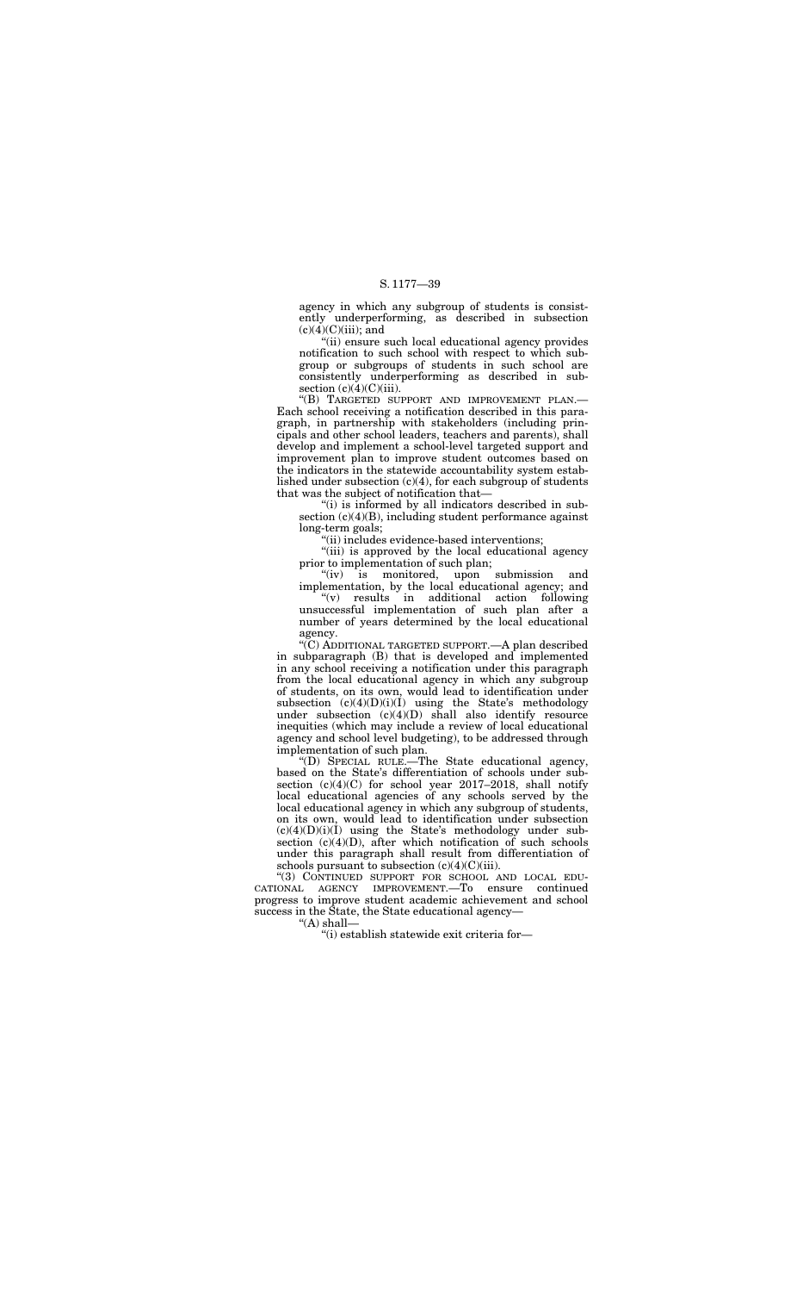agency in which any subgroup of students is consistently underperforming, as described in subsection  $(c)(4)(C)(iii)$ ; and

''(ii) ensure such local educational agency provides notification to such school with respect to which subgroup or subgroups of students in such school are consistently underperforming as described in subsection  $(c)(4)(C)(iii)$ .

"(iii) is approved by the local educational agency prior to implementation of such plan;

"(iv) is monitored, upon submission and implementation, by the local educational agency; and

''(B) TARGETED SUPPORT AND IMPROVEMENT PLAN.— Each school receiving a notification described in this paragraph, in partnership with stakeholders (including principals and other school leaders, teachers and parents), shall develop and implement a school-level targeted support and improvement plan to improve student outcomes based on the indicators in the statewide accountability system established under subsection (c)(4), for each subgroup of students that was the subject of notification that—

 $''(v)$  results in additional action following unsuccessful implementation of such plan after a number of years determined by the local educational agency.

''(i) is informed by all indicators described in subsection (c)(4)(B), including student performance against long-term goals;

''(D) SPECIAL RULE.—The State educational agency, based on the State's differentiation of schools under subsection (c)(4)(C) for school year 2017–2018, shall notify local educational agencies of any schools served by the local educational agency in which any subgroup of students, on its own, would lead to identification under subsection  $(c)(4)(D)(i)(I)$  using the State's methodology under subsection (c)(4)(D), after which notification of such schools under this paragraph shall result from differentiation of schools pursuant to subsection  $(c)(4)(C)(iii)$ .

''(ii) includes evidence-based interventions;

''(C) ADDITIONAL TARGETED SUPPORT.—A plan described in subparagraph (B) that is developed and implemented in any school receiving a notification under this paragraph from the local educational agency in which any subgroup of students, on its own, would lead to identification under subsection  $(c)(4)(D)(i)(I)$  using the State's methodology under subsection (c)(4)(D) shall also identify resource inequities (which may include a review of local educational agency and school level budgeting), to be addressed through implementation of such plan.

''(3) CONTINUED SUPPORT FOR SCHOOL AND LOCAL EDU-CATIONAL AGENCY IMPROVEMENT.—To ensure continued progress to improve student academic achievement and school success in the State, the State educational agency—

" $(A)$  shall-

''(i) establish statewide exit criteria for—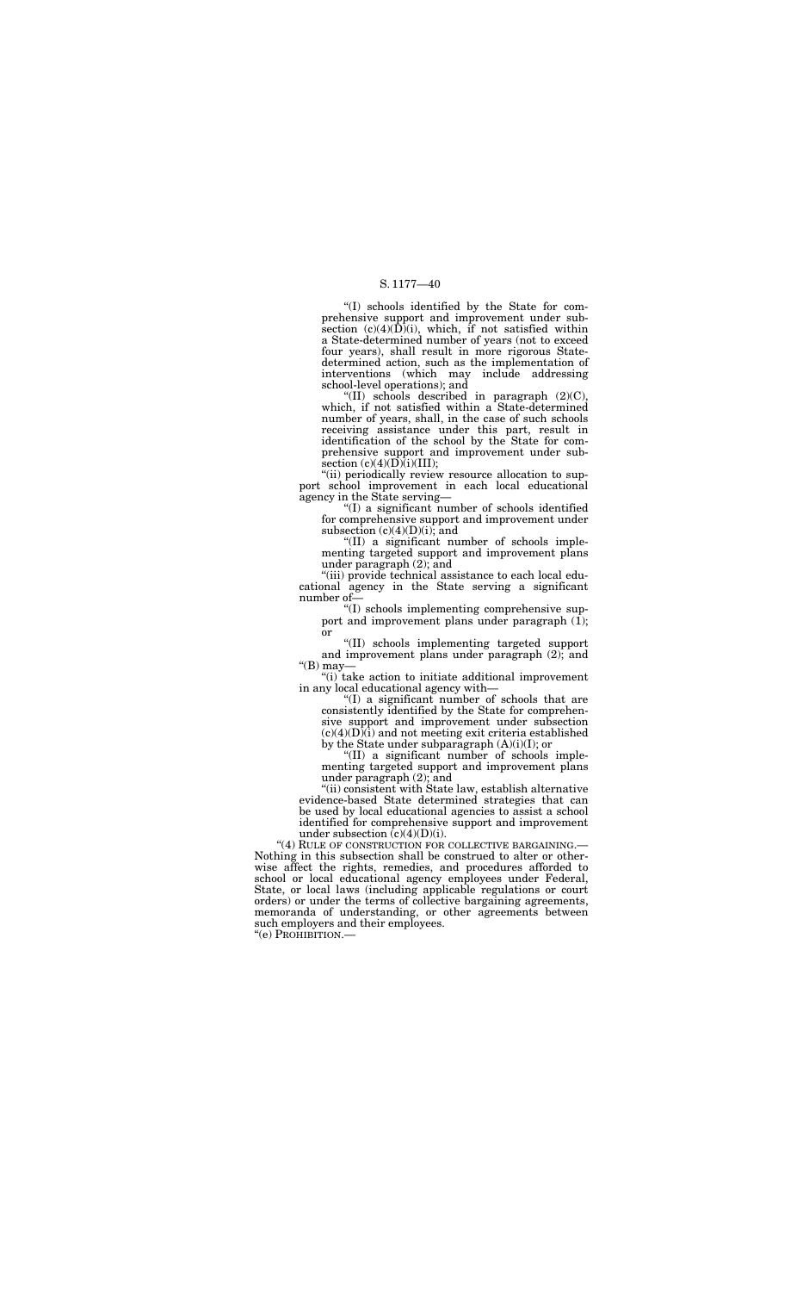''(II) schools described in paragraph (2)(C), which, if not satisfied within a State-determined number of years, shall, in the case of such schools receiving assistance under this part, result in identification of the school by the State for comprehensive support and improvement under subsection  $(c)(4)(D)(i)(III);$ 

''(I) schools identified by the State for comprehensive support and improvement under subsection  $(c)(4)(D)(i)$ , which, if not satisfied within a State-determined number of years (not to exceed four years), shall result in more rigorous Statedetermined action, such as the implementation of interventions (which may include addressing school-level operations); and

"(ii) periodically review resource allocation to support school improvement in each local educational agency in the State serving—

''(I) a significant number of schools identified for comprehensive support and improvement under subsection  $(c)(4)(D)(i)$ ; and

''(II) schools implementing targeted support and improvement plans under paragraph (2); and " $(B)$  may-

''(II) a significant number of schools implementing targeted support and improvement plans under paragraph (2); and

''(II) a significant number of schools implementing targeted support and improvement plans under paragraph (2); and

"(iii) provide technical assistance to each local educational agency in the State serving a significant number of-

''(I) schools implementing comprehensive support and improvement plans under paragraph  $(1)$ ; or

under subsection  $(c)(4)(D)(i)$ .<br>"(4) RULE OF CONSTRUCTION FOR COLLECTIVE BARGAINING.— Nothing in this subsection shall be construed to alter or otherwise affect the rights, remedies, and procedures afforded to school or local educational agency employees under Federal, State, or local laws (including applicable regulations or court orders) or under the terms of collective bargaining agreements, memoranda of understanding, or other agreements between such employers and their employees.

"(e) PROHIBITION.—

''(i) take action to initiate additional improvement in any local educational agency with—

''(I) a significant number of schools that are consistently identified by the State for comprehensive support and improvement under subsection  $(c)(4)(D)(i)$  and not meeting exit criteria established by the State under subparagraph (A)(i)(I); or

''(ii) consistent with State law, establish alternative evidence-based State determined strategies that can be used by local educational agencies to assist a school identified for comprehensive support and improvement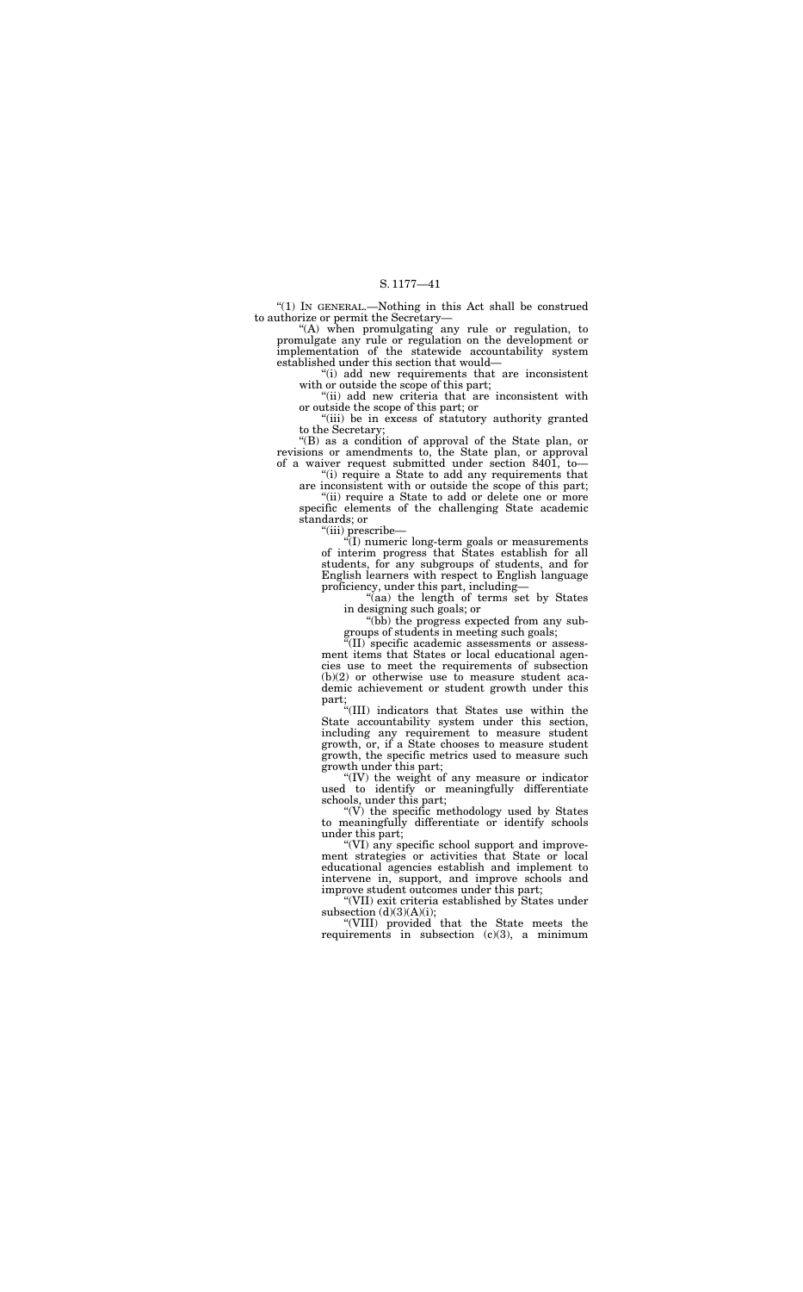''(1) IN GENERAL.—Nothing in this Act shall be construed to authorize or permit the Secretary—

''(A) when promulgating any rule or regulation, to promulgate any rule or regulation on the development or implementation of the statewide accountability system established under this section that would—

"(ii) add new criteria that are inconsistent with or outside the scope of this part; or

''(iii) be in excess of statutory authority granted to the Secretary

''(i) add new requirements that are inconsistent with or outside the scope of this part;

"(i) require a State to add any requirements that are inconsistent with or outside the scope of this part;

"(ii) require a State to add or delete one or more specific elements of the challenging State academic standards; or

''(B) as a condition of approval of the State plan, or revisions or amendments to, the State plan, or approval of a waiver request submitted under section 8401, to—

''(iii) prescribe—

''(I) numeric long-term goals or measurements of interim progress that States establish for all students, for any subgroups of students, and for English learners with respect to English language proficiency, under this part, including—

''(VII) exit criteria established by States under subsection (d)(3)(A)(i);

''(aa) the length of terms set by States in designing such goals; or

''(bb) the progress expected from any sub-

groups of students in meeting such goals;

''(II) specific academic assessments or assessment items that States or local educational agencies use to meet the requirements of subsection  $(b)(2)$  or otherwise use to measure student academic achievement or student growth under this part;

''(III) indicators that States use within the State accountability system under this section, including any requirement to measure student growth, or, if a State chooses to measure student growth, the specific metrics used to measure such growth under this part;

''(IV) the weight of any measure or indicator used to identify or meaningfully differentiate schools, under this part;

''(V) the specific methodology used by States to meaningfully differentiate or identify schools under this part;

''(VI) any specific school support and improvement strategies or activities that State or local educational agencies establish and implement to intervene in, support, and improve schools and improve student outcomes under this part;

''(VIII) provided that the State meets the requirements in subsection (c)(3), a minimum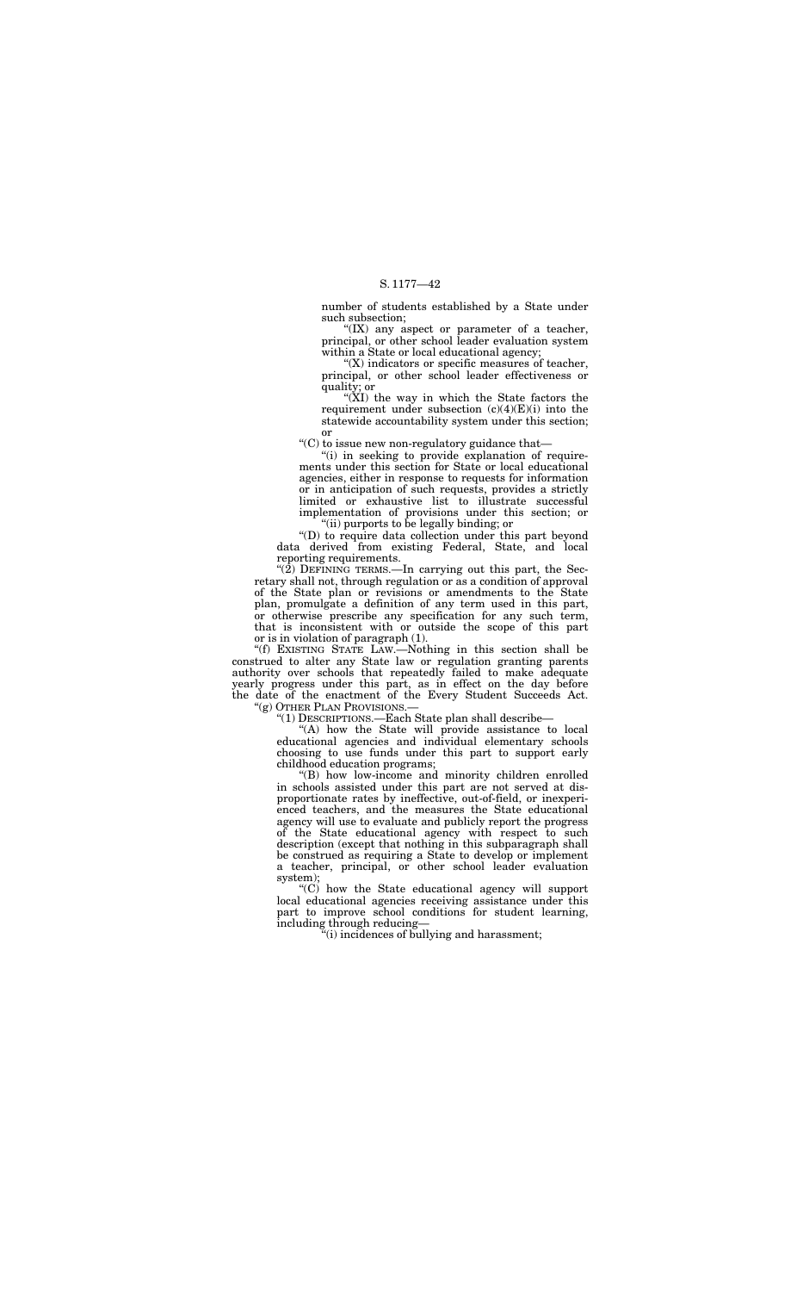number of students established by a State under such subsection;

"(IX) any aspect or parameter of a teacher, principal, or other school leader evaluation system within a State or local educational agency;

''(X) indicators or specific measures of teacher, principal, or other school leader effectiveness or quality; or

''(XI) the way in which the State factors the requirement under subsection  $(c)(4)(E)(i)$  into the statewide accountability system under this section; or

''(C) to issue new non-regulatory guidance that—

"(i) in seeking to provide explanation of requirements under this section for State or local educational agencies, either in response to requests for information or in anticipation of such requests, provides a strictly limited or exhaustive list to illustrate successful implementation of provisions under this section; or (ii) purports to be legally binding; or

" $(2)$  DEFINING TERMS.—In carrying out this part, the Secretary shall not, through regulation or as a condition of approval of the State plan or revisions or amendments to the State plan, promulgate a definition of any term used in this part, or otherwise prescribe any specification for any such term, that is inconsistent with or outside the scope of this part or is in violation of paragraph (1).

''(D) to require data collection under this part beyond data derived from existing Federal, State, and local reporting requirements.

"(A) how the State will provide assistance to local educational agencies and individual elementary schools choosing to use funds under this part to support early childhood education programs;

''(f) EXISTING STATE LAW.—Nothing in this section shall be construed to alter any State law or regulation granting parents authority over schools that repeatedly failed to make adequate yearly progress under this part, as in effect on the day before the date of the enactment of the Every Student Succeeds Act. ''(g) OTHER PLAN PROVISIONS.—

''(1) DESCRIPTIONS.—Each State plan shall describe—

''(B) how low-income and minority children enrolled in schools assisted under this part are not served at disproportionate rates by ineffective, out-of-field, or inexperienced teachers, and the measures the State educational agency will use to evaluate and publicly report the progress of the State educational agency with respect to such description (except that nothing in this subparagraph shall be construed as requiring a State to develop or implement a teacher, principal, or other school leader evaluation system);

''(C) how the State educational agency will support local educational agencies receiving assistance under this part to improve school conditions for student learning, including through reducing—

 $\tilde{f}$ (i) incidences of bullying and harassment;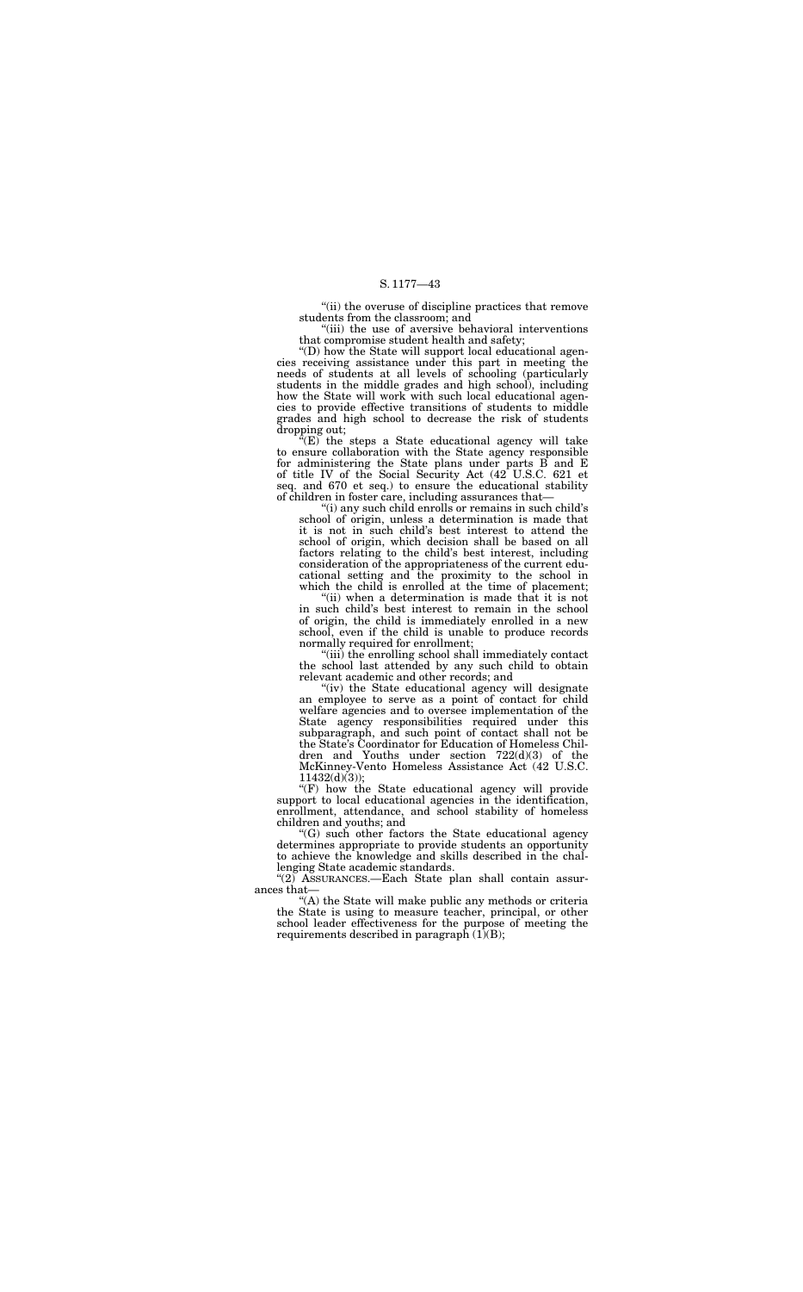''(ii) the overuse of discipline practices that remove students from the classroom; and

''(iii) the use of aversive behavioral interventions that compromise student health and safety;

''(D) how the State will support local educational agencies receiving assistance under this part in meeting the needs of students at all levels of schooling (particularly students in the middle grades and high school), including how the State will work with such local educational agencies to provide effective transitions of students to middle grades and high school to decrease the risk of students dropping out;

 $E(E)$  the steps a State educational agency will take to ensure collaboration with the State agency responsible for administering the State plans under parts B and E of title IV of the Social Security Act (42 U.S.C. 621 et seq. and 670 et seq.) to ensure the educational stability of children in foster care, including assurances that—

"(iii) the enrolling school shall immediately contact the school last attended by any such child to obtain relevant academic and other records; and

"(iv) the State educational agency will designate an employee to serve as a point of contact for child welfare agencies and to oversee implementation of the State agency responsibilities required under this subparagraph, and such point of contact shall not be the State's Coordinator for Education of Homeless Children and Youths under section 722(d)(3) of the McKinney-Vento Homeless Assistance Act (42 U.S.C.  $11432(d)(3)$ ;

''(i) any such child enrolls or remains in such child's school of origin, unless a determination is made that it is not in such child's best interest to attend the school of origin, which decision shall be based on all factors relating to the child's best interest, including consideration of the appropriateness of the current educational setting and the proximity to the school in which the child is enrolled at the time of placement;

"(2) ASSURANCES.—Each State plan shall contain assurances that—

''(A) the State will make public any methods or criteria the State is using to measure teacher, principal, or other school leader effectiveness for the purpose of meeting the requirements described in paragraph  $(1)(B)$ ;

''(ii) when a determination is made that it is not in such child's best interest to remain in the school of origin, the child is immediately enrolled in a new school, even if the child is unable to produce records normally required for enrollment;

''(F) how the State educational agency will provide support to local educational agencies in the identification, enrollment, attendance, and school stability of homeless children and youths; and

''(G) such other factors the State educational agency determines appropriate to provide students an opportunity to achieve the knowledge and skills described in the challenging State academic standards.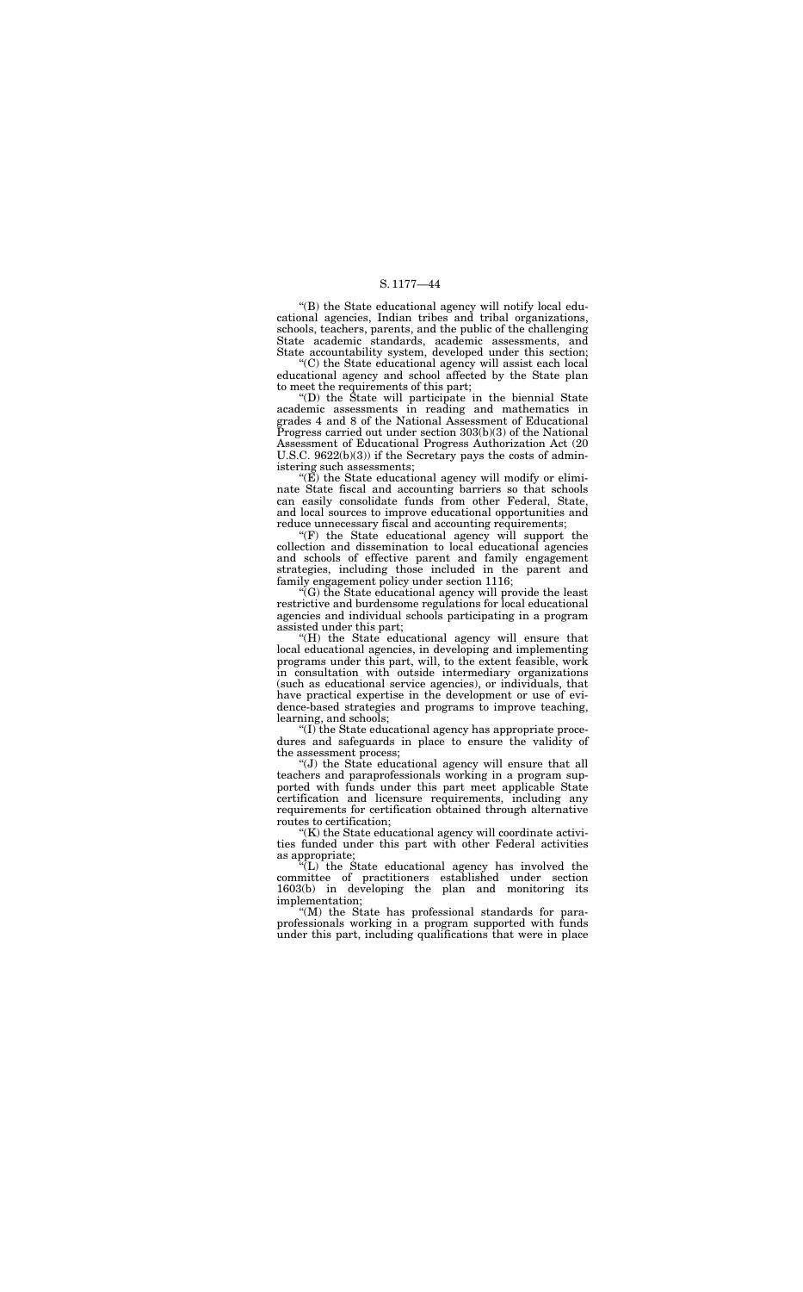''(B) the State educational agency will notify local educational agencies, Indian tribes and tribal organizations, schools, teachers, parents, and the public of the challenging State academic standards, academic assessments, and State accountability system, developed under this section;

''(C) the State educational agency will assist each local educational agency and school affected by the State plan to meet the requirements of this part;

" $(E)$  the State educational agency will modify or eliminate State fiscal and accounting barriers so that schools can easily consolidate funds from other Federal, State, and local sources to improve educational opportunities and reduce unnecessary fiscal and accounting requirements;

''(D) the State will participate in the biennial State academic assessments in reading and mathematics in grades 4 and 8 of the National Assessment of Educational Progress carried out under section 303(b)(3) of the National Assessment of Educational Progress Authorization Act (20 U.S.C. 9622(b)(3)) if the Secretary pays the costs of administering such assessments;

 $'(I)$  the State educational agency has appropriate procedures and safeguards in place to ensure the validity of the assessment process;

''(F) the State educational agency will support the collection and dissemination to local educational agencies and schools of effective parent and family engagement strategies, including those included in the parent and family engagement policy under section 1116;

"(L) the State educational agency has involved the committee of practitioners established under section 1603(b) in developing the plan and monitoring its implementation;

"(M) the State has professional standards for paraprofessionals working in a program supported with funds under this part, including qualifications that were in place

''(G) the State educational agency will provide the least restrictive and burdensome regulations for local educational agencies and individual schools participating in a program assisted under this part;

''(H) the State educational agency will ensure that local educational agencies, in developing and implementing programs under this part, will, to the extent feasible, work in consultation with outside intermediary organizations (such as educational service agencies), or individuals, that have practical expertise in the development or use of evidence-based strategies and programs to improve teaching, learning, and schools;

''(J) the State educational agency will ensure that all teachers and paraprofessionals working in a program supported with funds under this part meet applicable State certification and licensure requirements, including any requirements for certification obtained through alternative routes to certification;

''(K) the State educational agency will coordinate activities funded under this part with other Federal activities as appropriate;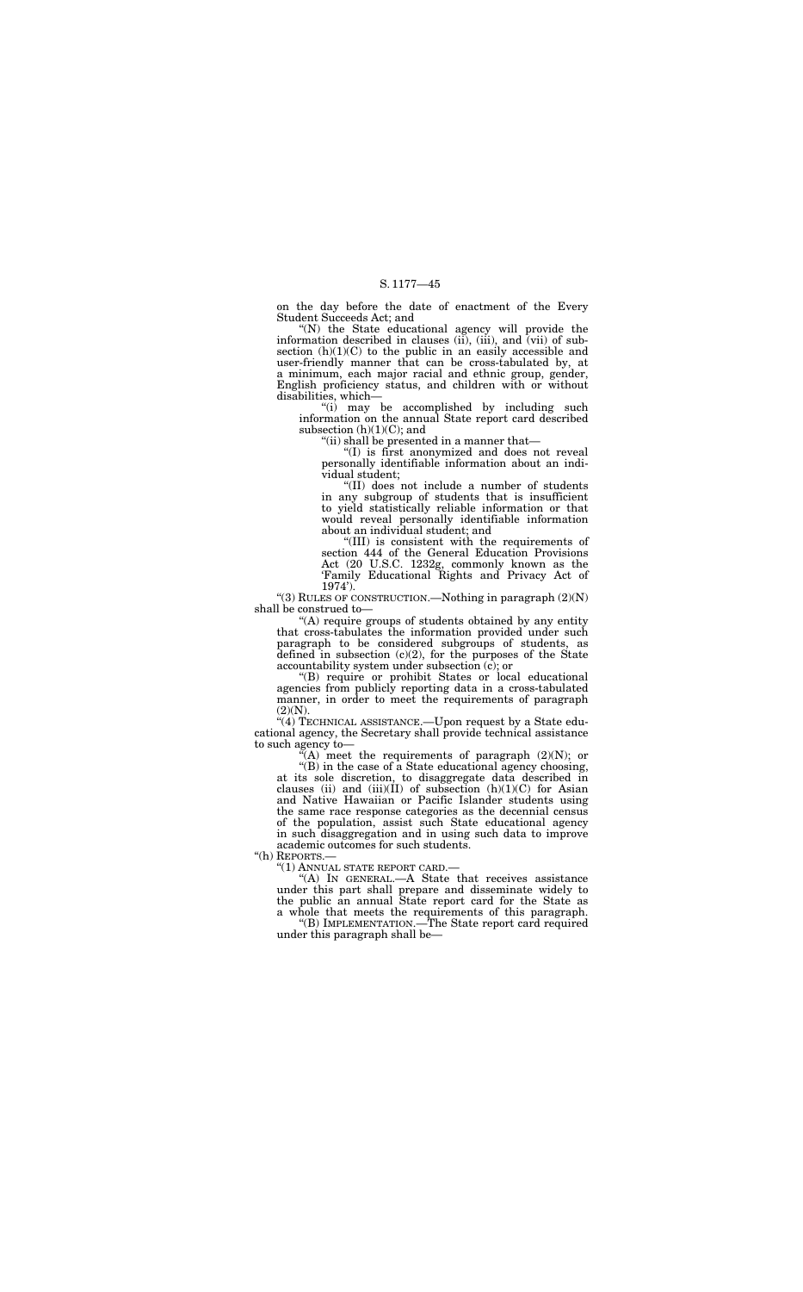on the day before the date of enactment of the Every Student Succeeds Act; and

''(N) the State educational agency will provide the information described in clauses (ii), (iii), and (vii) of subsection  $(h)(1)(C)$  to the public in an easily accessible and user-friendly manner that can be cross-tabulated by, at a minimum, each major racial and ethnic group, gender, English proficiency status, and children with or without disabilities, which—

"(i) may be accomplished by including such information on the annual State report card described subsection  $(h)(1)(C)$ ; and

''(ii) shall be presented in a manner that—

"(3) RULES OF CONSTRUCTION.—Nothing in paragraph  $(2)(N)$ shall be construed to—

''(I) is first anonymized and does not reveal personally identifiable information about an individual student;

''(B) require or prohibit States or local educational agencies from publicly reporting data in a cross-tabulated manner, in order to meet the requirements of paragraph  $(2)(N)$ .

''(II) does not include a number of students in any subgroup of students that is insufficient to yield statistically reliable information or that would reveal personally identifiable information about an individual student; and

"(4) TECHNICAL ASSISTANCE.—Upon request by a State educational agency, the Secretary shall provide technical assistance to such agency to—

 $\tilde{f}(A)$  meet the requirements of paragraph (2)(N); or

''(B) in the case of a State educational agency choosing, at its sole discretion, to disaggregate data described in clauses (ii) and (iii)( $II$ ) of subsection (h)(1)(C) for Asian and Native Hawaiian or Pacific Islander students using the same race response categories as the decennial census of the population, assist such State educational agency in such disaggregation and in using such data to improve academic outcomes for such students. "(h) REPORTS.—

''(III) is consistent with the requirements of section 444 of the General Education Provisions Act (20 U.S.C. 1232g, commonly known as the 'Family Educational Rights and Privacy Act of 1974').

"(1) ANNUAL STATE REPORT CARD.—<br>"(A) IN GENERAL.—A State that receives assistance under this part shall prepare and disseminate widely to the public an annual State report card for the State as a whole that meets the requirements of this paragraph.

''(A) require groups of students obtained by any entity that cross-tabulates the information provided under such paragraph to be considered subgroups of students, as defined in subsection  $(c)(2)$ , for the purposes of the State accountability system under subsection (c); or

''(B) IMPLEMENTATION.—The State report card required under this paragraph shall be—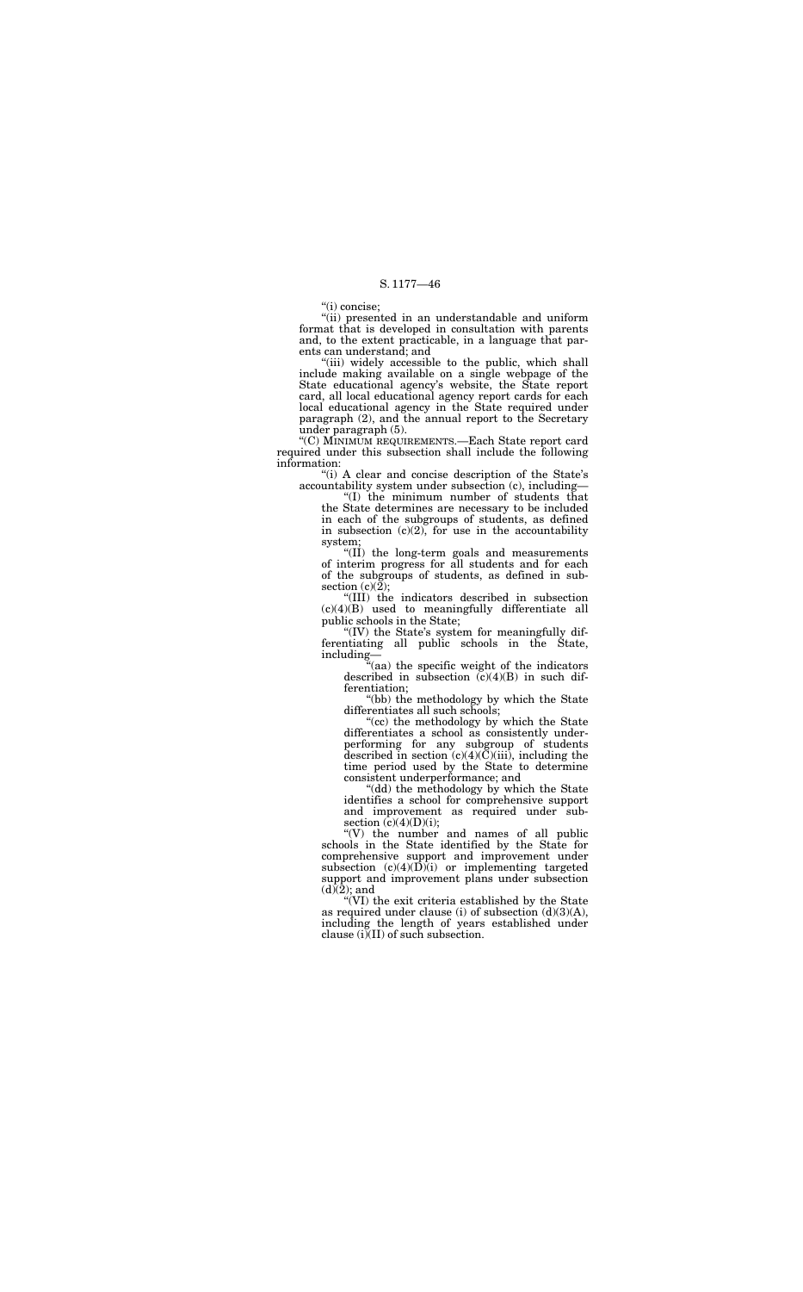"(i) concise;

''(ii) presented in an understandable and uniform format that is developed in consultation with parents and, to the extent practicable, in a language that parents can understand; and

''(iii) widely accessible to the public, which shall include making available on a single webpage of the State educational agency's website, the State report card, all local educational agency report cards for each local educational agency in the State required under paragraph (2), and the annual report to the Secretary under paragraph (5).

''(II) the long-term goals and measurements of interim progress for all students and for each of the subgroups of students, as defined in subsection  $(c)(2)$ ;

''(C) MINIMUM REQUIREMENTS.—Each State report card required under this subsection shall include the following information:

> ''(aa) the specific weight of the indicators described in subsection (c)(4)(B) in such difdescribed in subsection  $\tilde{c}$ )(4)(B) in such differentiation;

''(i) A clear and concise description of the State's accountability system under subsection (c), including—

''(I) the minimum number of students that the State determines are necessary to be included in each of the subgroups of students, as defined in subsection  $(c)(2)$ , for use in the accountability system;

"(cc) the methodology by which the State differentiates a school as consistently underperforming for any subgroup of students described in section  $(c)(4)(\overrightarrow{C})(iii)$ , including the time period used by the State to determine consistent underperformance; and

''(dd) the methodology by which the State identifies a school for comprehensive support and improvement as required under subsection  $(c)(4)(D)(i)$ ;

"(V) the number and names of all public schools in the State identified by the State for comprehensive support and improvement under subsection  $(c)(4)(D)(i)$  or implementing targeted support and improvement plans under subsection  $(d)(2)$ ; and

 $\sqrt{\text{V}}$  the exit criteria established by the State as required under clause (i) of subsection  $(d)(3)(A)$ , including the length of years established under clause  $(i)$ (II) of such subsection.

''(III) the indicators described in subsection (c)(4)(B) used to meaningfully differentiate all public schools in the State;

''(IV) the State's system for meaningfully differentiating all public schools in the State, including—

''(bb) the methodology by which the State differentiates all such schools;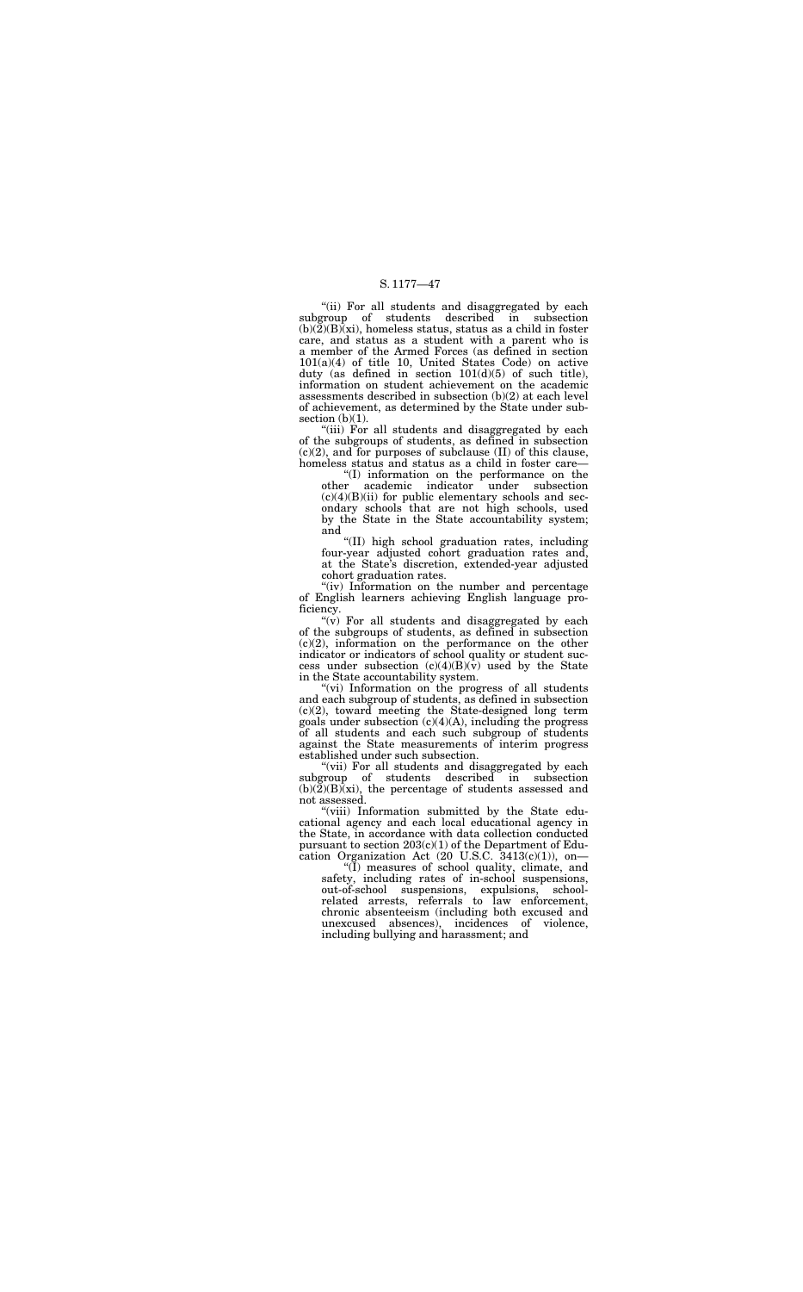"(ii) For all students and disaggregated by each subgroup of students described in subsection  $(b)(\tilde{2})(B)(\tilde{x})$ , homeless status, status as a child in foster care, and status as a student with a parent who is a member of the Armed Forces (as defined in section 101(a)(4) of title 10, United States Code) on active duty (as defined in section  $101(d)(5)$  of such title), information on student achievement on the academic assessments described in subsection (b)(2) at each level of achievement, as determined by the State under subsection  $(b)(1)$ .

"(iii) For all students and disaggregated by each of the subgroups of students, as defined in subsection  $(c)(2)$ , and for purposes of subclause  $(II)$  of this clause, homeless status and status as a child in foster care—

"(iv) Information on the number and percentage of English learners achieving English language proficiency.

" $(v)$  For all students and disaggregated by each of the subgroups of students, as defined in subsection (c)(2), information on the performance on the other indicator or indicators of school quality or student success under subsection  $(c)(4)(B)(\bar{v})$  used by the State in the State accountability system.

''(I) information on the performance on the other academic indicator under subsection  $(c)(4)(B)(ii)$  for public elementary schools and secondary schools that are not high schools, used by the State in the State accountability system; and

"(vi) Information on the progress of all students and each subgroup of students, as defined in subsection  $(c)(2)$ , toward meeting the State-designed long term goals under subsection (c)(4)(A), including the progress of all students and each such subgroup of students against the State measurements of interim progress established under such subsection.

"(vii) For all students and disaggregated by each subgroup of students described in subsection  $(b)(2)(B)(xi)$ , the percentage of students assessed and not assessed.

"(viii) Information submitted by the State educational agency and each local educational agency in the State, in accordance with data collection conducted pursuant to section 203(c)(1) of the Department of Education Organization Act  $(20 \text{ U.S.C. } 3413(c)(1)),$  on-

''(II) high school graduation rates, including four-year adjusted cohort graduation rates and, at the State's discretion, extended-year adjusted cohort graduation rates.

''(I) measures of school quality, climate, and safety, including rates of in-school suspensions, out-of-school suspensions, expulsions, schoolrelated arrests, referrals to law enforcement, chronic absenteeism (including both excused and unexcused absences), incidences of violence, including bullying and harassment; and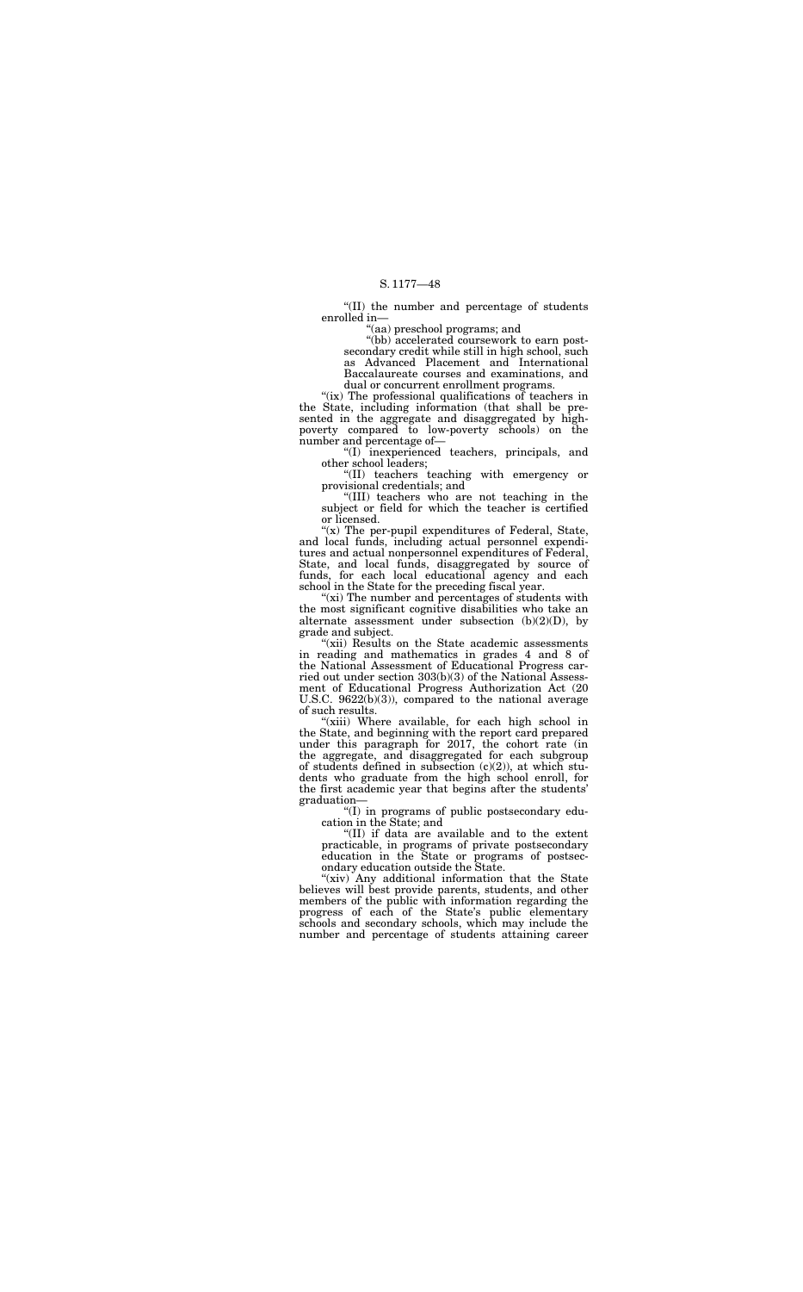''(II) the number and percentage of students enrolled in—

'(aa) preschool programs; and

''(bb) accelerated coursework to earn postsecondary credit while still in high school, such as Advanced Placement and International Baccalaureate courses and examinations, and dual or concurrent enrollment programs.

"(ix) The professional qualifications of teachers in the State, including information (that shall be presented in the aggregate and disaggregated by highpoverty compared to low-poverty schools) on the number and percentage of—

"(II) teachers teaching with emergency or provisional credentials; and

" $(x)$  The per-pupil expenditures of Federal, State, and local funds, including actual personnel expenditures and actual nonpersonnel expenditures of Federal, State, and local funds, disaggregated by source of funds, for each local educational agency and each school in the State for the preceding fiscal year.

''(I) inexperienced teachers, principals, and other school leaders;

"(xi) The number and percentages of students with the most significant cognitive disabilities who take an alternate assessment under subsection  $(b)(2)(D)$ , by grade and subject.

''(III) teachers who are not teaching in the subject or field for which the teacher is certified or licensed.

"(xii) Results on the State academic assessments in reading and mathematics in grades 4 and 8 of the National Assessment of Educational Progress carried out under section 303(b)(3) of the National Assessment of Educational Progress Authorization Act (20 U.S.C. 9622(b)(3)), compared to the national average of such results.

"(xiii) Where available, for each high school in the State, and beginning with the report card prepared under this paragraph for 2017, the cohort rate (in the aggregate, and disaggregated for each subgroup of students defined in subsection  $(c)(2)$ , at which students who graduate from the high school enroll, for the first academic year that begins after the students' graduation—

"(xiv) Any additional information that the State believes will best provide parents, students, and other members of the public with information regarding the progress of each of the State's public elementary schools and secondary schools, which may include the number and percentage of students attaining career

''(I) in programs of public postsecondary education in the State; and

''(II) if data are available and to the extent practicable, in programs of private postsecondary education in the State or programs of postsecondary education outside the State.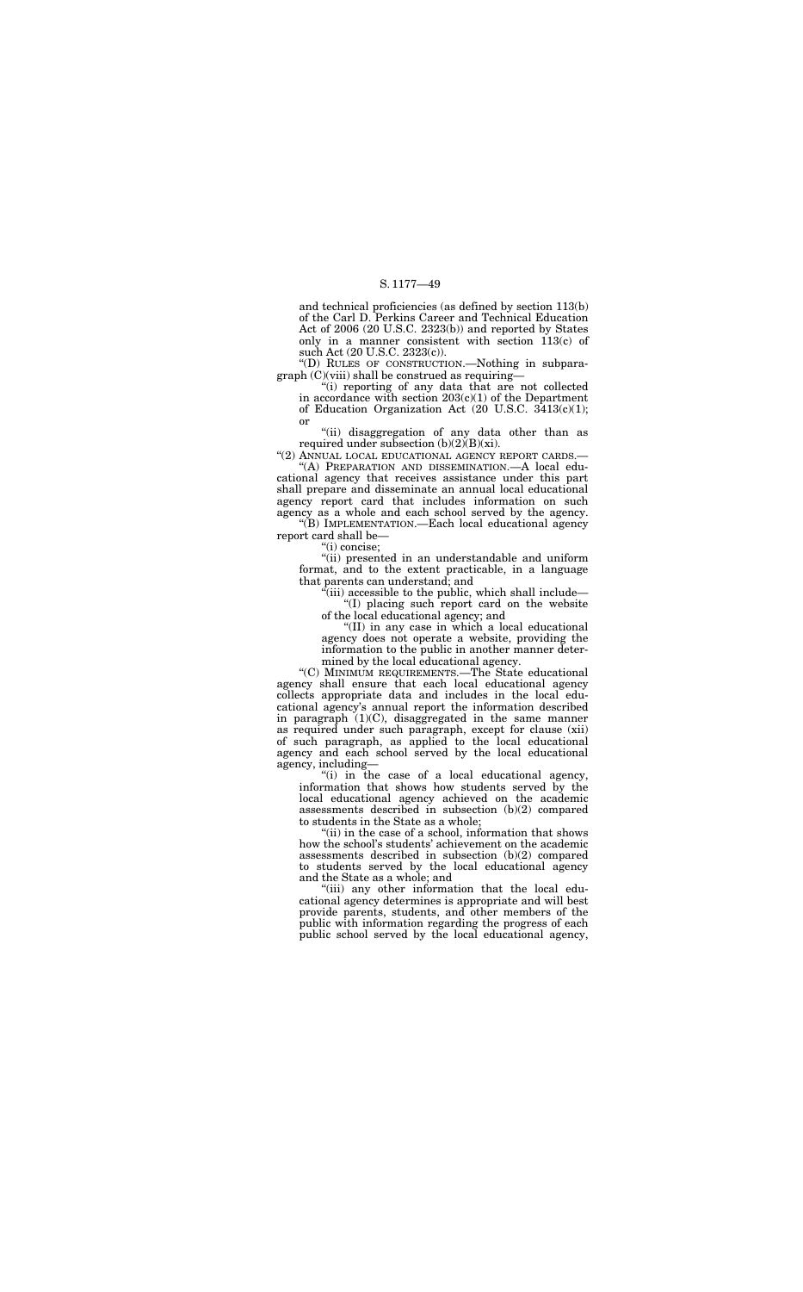and technical proficiencies (as defined by section 113(b) of the Carl D. Perkins Career and Technical Education Act of 2006 (20 U.S.C. 2323(b)) and reported by States only in a manner consistent with section 113(c) of such Act (20 U.S.C. 2323(c)).

''(ii) disaggregation of any data other than as required under subsection  $(b)(2)(B)(xi)$ .

''(D) RULES OF CONSTRUCTION.—Nothing in subparagraph (C)(viii) shall be construed as requiring—

''(i) reporting of any data that are not collected in accordance with section 203(c)(1) of the Department of Education Organization Act (20 U.S.C. 3413(c)(1); or

"(2) ANNUAL LOCAL EDUCATIONAL AGENCY REPORT CARDS.-''(A) PREPARATION AND DISSEMINATION.—A local educational agency that receives assistance under this part shall prepare and disseminate an annual local educational agency report card that includes information on such agency as a whole and each school served by the agency.

> $\mathbf{u}^{\text{th}}$  accessible to the public, which shall include— ''(I) placing such report card on the website of the local educational agency; and

''(B) IMPLEMENTATION.—Each local educational agency report card shall be—

''(i) concise;

"(i) in the case of a local educational agency, information that shows how students served by the local educational agency achieved on the academic assessments described in subsection (b)(2) compared to students in the State as a whole;

''(ii) presented in an understandable and uniform format, and to the extent practicable, in a language that parents can understand; and

"(iii) any other information that the local educational agency determines is appropriate and will best provide parents, students, and other members of the public with information regarding the progress of each public school served by the local educational agency,

''(II) in any case in which a local educational agency does not operate a website, providing the information to the public in another manner determined by the local educational agency.

''(C) MINIMUM REQUIREMENTS.—The State educational agency shall ensure that each local educational agency collects appropriate data and includes in the local educational agency's annual report the information described in paragraph (1)(C), disaggregated in the same manner as required under such paragraph, except for clause (xii) of such paragraph, as applied to the local educational agency and each school served by the local educational agency, including—

''(ii) in the case of a school, information that shows how the school's students' achievement on the academic assessments described in subsection (b)(2) compared to students served by the local educational agency and the State as a whole; and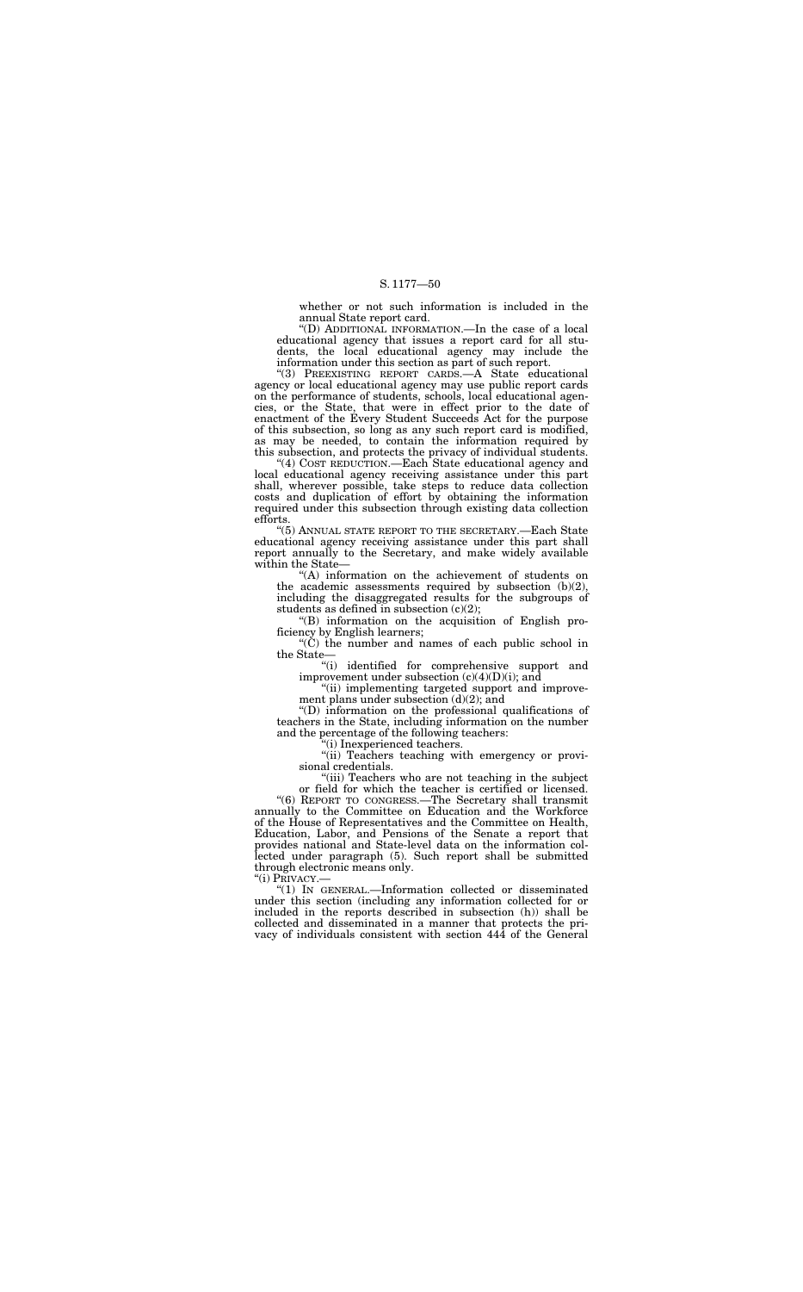whether or not such information is included in the annual State report card.

''(D) ADDITIONAL INFORMATION.—In the case of a local educational agency that issues a report card for all students, the local educational agency may include the information under this section as part of such report.

''(3) PREEXISTING REPORT CARDS.—A State educational agency or local educational agency may use public report cards on the performance of students, schools, local educational agencies, or the State, that were in effect prior to the date of enactment of the Every Student Succeeds Act for the purpose of this subsection, so long as any such report card is modified, as may be needed, to contain the information required by this subsection, and protects the privacy of individual students.

"(4) COST REDUCTION.—Each State educational agency and local educational agency receiving assistance under this part shall, wherever possible, take steps to reduce data collection costs and duplication of effort by obtaining the information required under this subsection through existing data collection efforts.

"(A) information on the achievement of students on the academic assessments required by subsection  $(b)(2)$ , including the disaggregated results for the subgroups of students as defined in subsection (c)(2);

"(C) the number and names of each public school in the State—

"(ii) Teachers teaching with emergency or provisional credentials.

"(iii) Teachers who are not teaching in the subject or field for which the teacher is certified or licensed.

''(6) REPORT TO CONGRESS.—The Secretary shall transmit annually to the Committee on Education and the Workforce of the House of Representatives and the Committee on Health, Education, Labor, and Pensions of the Senate a report that provides national and State-level data on the information collected under paragraph (5). Such report shall be submitted through electronic means only.<br>"(i) PRIVACY.—

''(5) ANNUAL STATE REPORT TO THE SECRETARY.—Each State educational agency receiving assistance under this part shall report annually to the Secretary, and make widely available within the State—

"(1) IN GENERAL.—Information collected or disseminated under this section (including any information collected for or included in the reports described in subsection (h)) shall be collected and disseminated in a manner that protects the privacy of individuals consistent with section 444 of the General

''(B) information on the acquisition of English proficiency by English learners;

''(i) identified for comprehensive support and improvement under subsection (c)(4)(D)(i); and

"(ii) implementing targeted support and improvement plans under subsection  $(d)(2)$ ; and

''(D) information on the professional qualifications of teachers in the State, including information on the number and the percentage of the following teachers:

(i) Inexperienced teachers.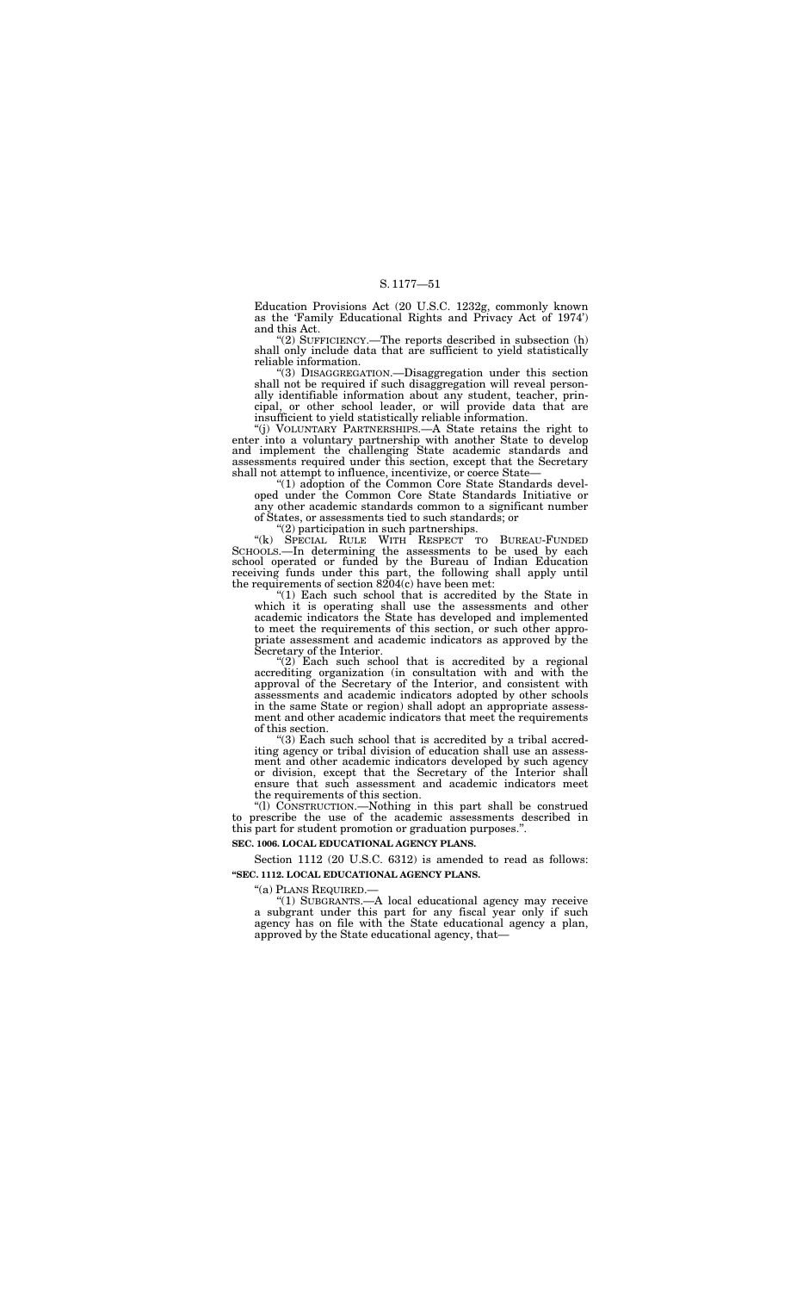Education Provisions Act (20 U.S.C. 1232g, commonly known as the 'Family Educational Rights and Privacy Act of 1974') and this Act.

''(2) SUFFICIENCY.—The reports described in subsection (h) shall only include data that are sufficient to yield statistically reliable information.

''(3) DISAGGREGATION.—Disaggregation under this section shall not be required if such disaggregation will reveal personally identifiable information about any student, teacher, principal, or other school leader, or will provide data that are insufficient to yield statistically reliable information.

"(k) SPECIAL RULE WITH RESPECT TO BUREAU-FUNDED SCHOOLS.—In determining the assessments to be used by each school operated or funded by the Bureau of Indian Education receiving funds under this part, the following shall apply until the requirements of section 8204(c) have been met:

''(j) VOLUNTARY PARTNERSHIPS.—A State retains the right to enter into a voluntary partnership with another State to develop and implement the challenging State academic standards and assessments required under this section, except that the Secretary shall not attempt to influence, incentivize, or coerce State—

''(1) adoption of the Common Core State Standards developed under the Common Core State Standards Initiative or any other academic standards common to a significant number of States, or assessments tied to such standards; or

 $(2)$  participation in such partnerships.

" $(2)$  Each such school that is accredited by a regional accrediting organization (in consultation with and with the approval of the Secretary of the Interior, and consistent with assessments and academic indicators adopted by other schools in the same State or region) shall adopt an appropriate assessment and other academic indicators that meet the requirements of this section.

"(3) Each such school that is accredited by a tribal accrediting agency or tribal division of education shall use an assessment and other academic indicators developed by such agency or division, except that the Secretary of the Interior shall ensure that such assessment and academic indicators meet the requirements of this section.

''(1) Each such school that is accredited by the State in which it is operating shall use the assessments and other academic indicators the State has developed and implemented to meet the requirements of this section, or such other appropriate assessment and academic indicators as approved by the Secretary of the Interior.

''(l) CONSTRUCTION.—Nothing in this part shall be construed to prescribe the use of the academic assessments described in this part for student promotion or graduation purposes.''.

**SEC. 1006. LOCAL EDUCATIONAL AGENCY PLANS.** 

Section 1112 (20 U.S.C. 6312) is amended to read as follows: **''SEC. 1112. LOCAL EDUCATIONAL AGENCY PLANS.** 

''(a) PLANS REQUIRED.—

''(1) SUBGRANTS.—A local educational agency may receive a subgrant under this part for any fiscal year only if such agency has on file with the State educational agency a plan, approved by the State educational agency, that—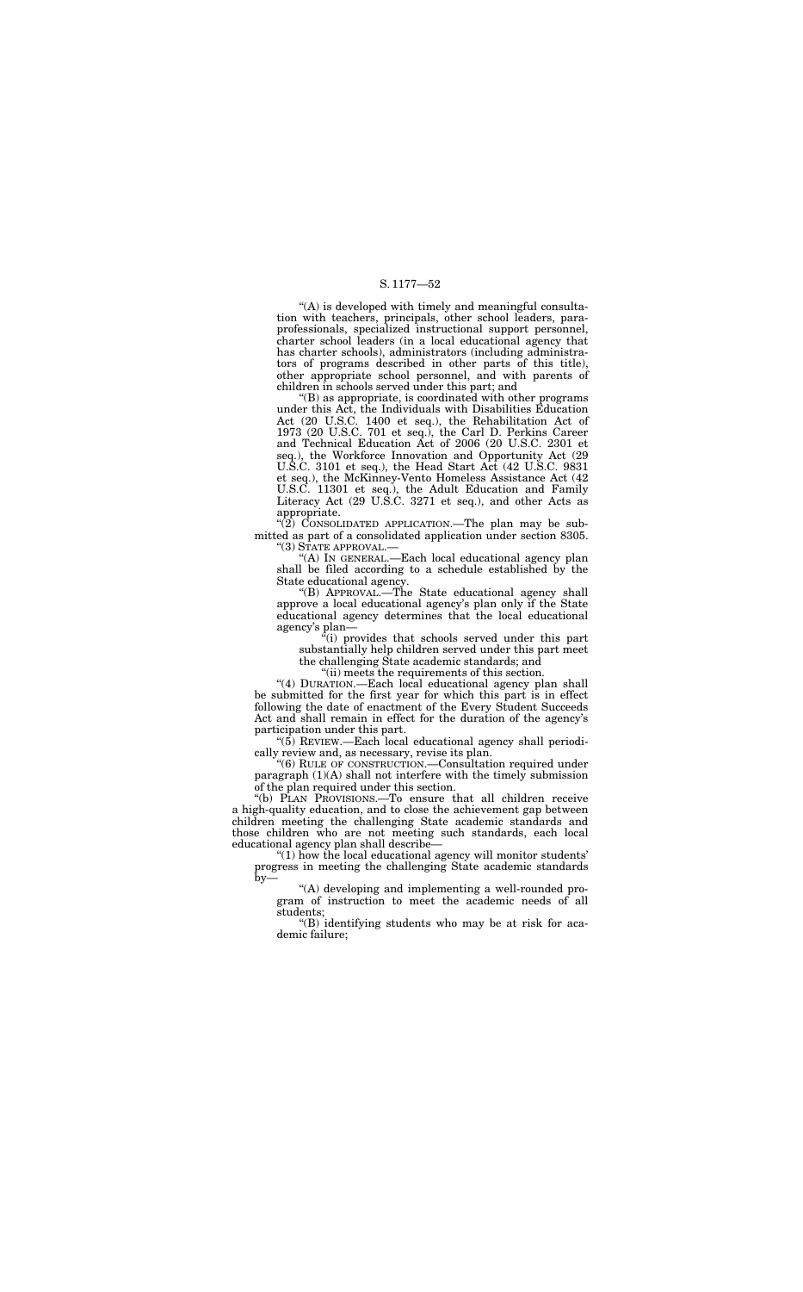''(A) is developed with timely and meaningful consultation with teachers, principals, other school leaders, paraprofessionals, specialized instructional support personnel, charter school leaders (in a local educational agency that has charter schools), administrators (including administrators of programs described in other parts of this title), other appropriate school personnel, and with parents of children in schools served under this part; and

"(2) CONSOLIDATED APPLICATION.—The plan may be submitted as part of a consolidated application under section 8305. ''(3) STATE APPROVAL.—

''(B) as appropriate, is coordinated with other programs under this Act, the Individuals with Disabilities Education Act (20 U.S.C. 1400 et seq.), the Rehabilitation Act of 1973 (20 U.S.C. 701 et seq.), the Carl D. Perkins Career and Technical Education Act of 2006 (20 U.S.C. 2301 et seq.), the Workforce Innovation and Opportunity Act (29 U.S.C. 3101 et seq.), the Head Start Act (42 U.S.C. 9831 et seq.), the McKinney-Vento Homeless Assistance Act (42 U.S.C. 11301 et seq.), the Adult Education and Family Literacy Act (29 U.S.C. 3271 et seq.), and other Acts as appropriate.

"(4) DURATION.—Each local educational agency plan shall be submitted for the first year for which this part is in effect following the date of enactment of the Every Student Succeeds Act and shall remain in effect for the duration of the agency's participation under this part.

''(b) PLAN PROVISIONS.—To ensure that all children receive a high-quality education, and to close the achievement gap between children meeting the challenging State academic standards and those children who are not meeting such standards, each local educational agency plan shall describe—<br>"(1) how the local educational agency will monitor students"

''(A) IN GENERAL.—Each local educational agency plan shall be filed according to a schedule established by the State educational agency.

"(1) how the local educational agency will monitor students' progress in meeting the challenging State academic standards by—

''(B) APPROVAL.—The State educational agency shall approve a local educational agency's plan only if the State educational agency determines that the local educational agency's plan—

''(i) provides that schools served under this part substantially help children served under this part meet

the challenging State academic standards; and ''(ii) meets the requirements of this section.

''(5) REVIEW.—Each local educational agency shall periodically review and, as necessary, revise its plan.

''(6) RULE OF CONSTRUCTION.—Consultation required under paragraph  $(1)(A)$  shall not interfere with the timely submission of the plan required under this section.

''(A) developing and implementing a well-rounded program of instruction to meet the academic needs of all students;

''(B) identifying students who may be at risk for academic failure;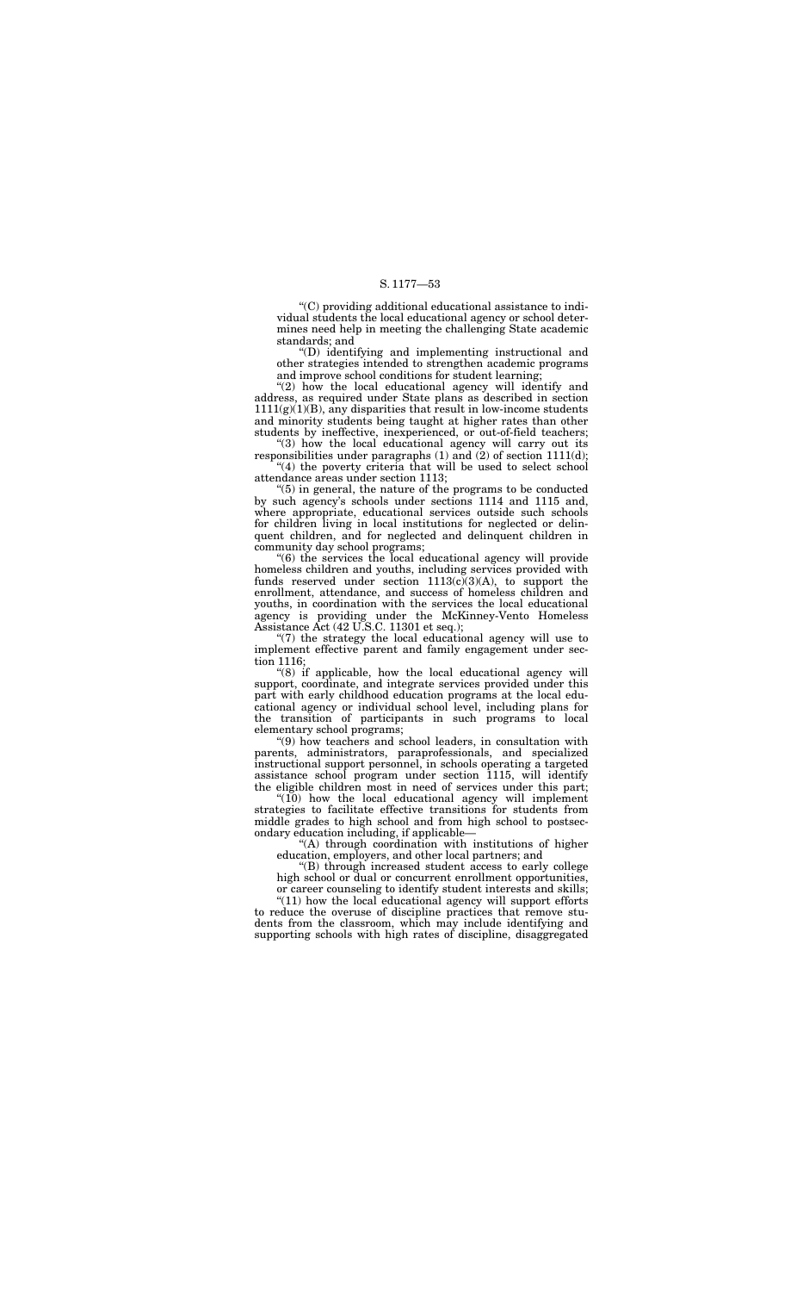''(C) providing additional educational assistance to individual students the local educational agency or school determines need help in meeting the challenging State academic standards; and

''(D) identifying and implementing instructional and other strategies intended to strengthen academic programs and improve school conditions for student learning;

"(2) how the local educational agency will identify and address, as required under State plans as described in section  $1111(g)(1)(B)$ , any disparities that result in low-income students and minority students being taught at higher rates than other students by ineffective, inexperienced, or out-of-field teachers;

''(3) how the local educational agency will carry out its responsibilities under paragraphs (1) and (2) of section 1111(d); "(4) the poverty criteria that will be used to select school

 $(6)$  the services the local educational agency will provide homeless children and youths, including services provided with funds reserved under section  $1113(c)(3)(A)$ , to support the enrollment, attendance, and success of homeless children and youths, in coordination with the services the local educational agency is providing under the McKinney-Vento Homeless Assistance Act (42 U.S.C. 11301 et seq.);

attendance areas under section 1113;

''(5) in general, the nature of the programs to be conducted by such agency's schools under sections 1114 and 1115 and, where appropriate, educational services outside such schools for children living in local institutions for neglected or delinquent children, and for neglected and delinquent children in community day school programs;

"(11) how the local educational agency will support efforts to reduce the overuse of discipline practices that remove students from the classroom, which may include identifying and supporting schools with high rates of discipline, disaggregated

''(7) the strategy the local educational agency will use to implement effective parent and family engagement under section 1116;

''(8) if applicable, how the local educational agency will support, coordinate, and integrate services provided under this part with early childhood education programs at the local educational agency or individual school level, including plans for the transition of participants in such programs to local elementary school programs;

''(9) how teachers and school leaders, in consultation with parents, administrators, paraprofessionals, and specialized instructional support personnel, in schools operating a targeted assistance school program under section 1115, will identify the eligible children most in need of services under this part;

''(10) how the local educational agency will implement strategies to facilitate effective transitions for students from middle grades to high school and from high school to postsecondary education including, if applicable—

''(A) through coordination with institutions of higher education, employers, and other local partners; and

''(B) through increased student access to early college high school or dual or concurrent enrollment opportunities, or career counseling to identify student interests and skills;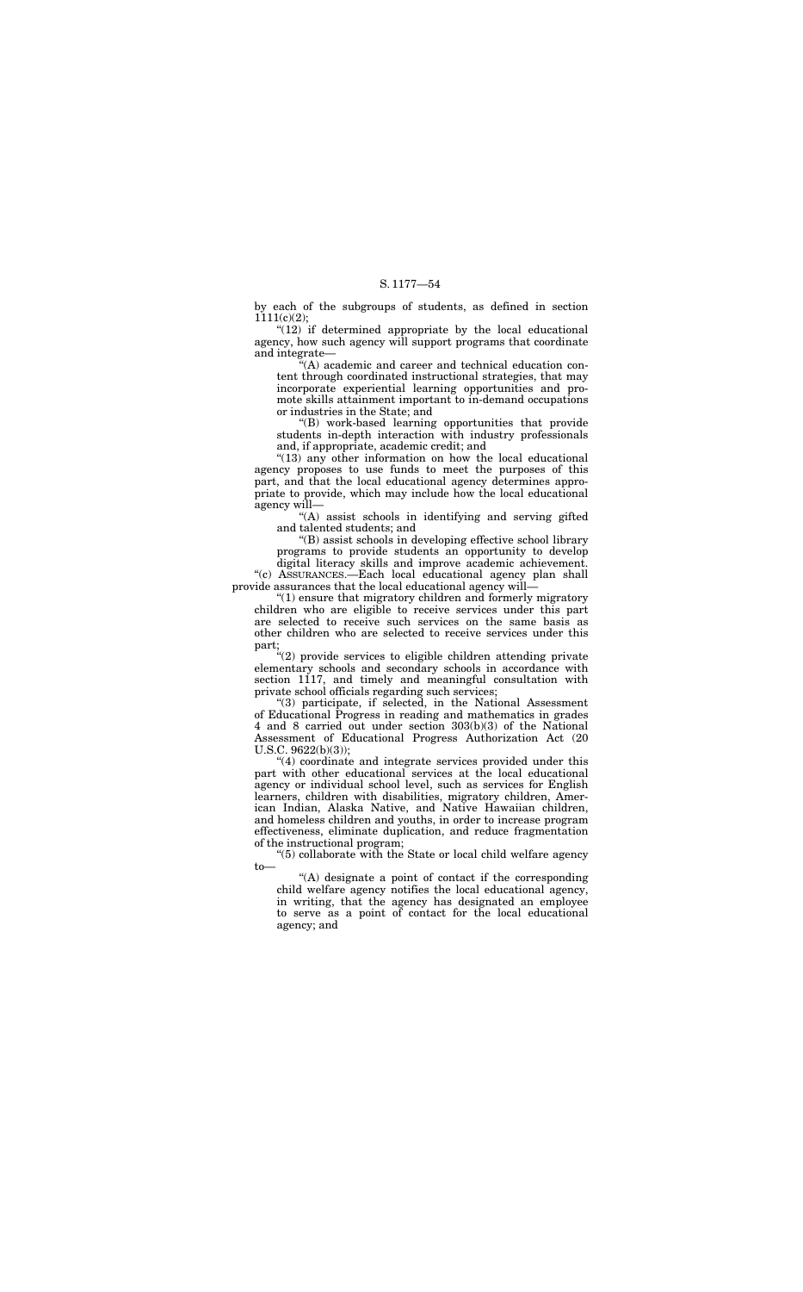by each of the subgroups of students, as defined in section  $1111(c)(2);$ 

 $"(12)$  if determined appropriate by the local educational agency, how such agency will support programs that coordinate and integrate—

 $(A)$  academic and career and technical education content through coordinated instructional strategies, that may incorporate experiential learning opportunities and promote skills attainment important to in-demand occupations or industries in the State; and

" $(13)$  any other information on how the local educational agency proposes to use funds to meet the purposes of this part, and that the local educational agency determines appropriate to provide, which may include how the local educational agency will—

"(A) assist schools in identifying and serving gifted and talented students; and

''(B) work-based learning opportunities that provide students in-depth interaction with industry professionals and, if appropriate, academic credit; and

 $(2)$  provide services to eligible children attending private elementary schools and secondary schools in accordance with section 1117, and timely and meaningful consultation with private school officials regarding such services;

''(B) assist schools in developing effective school library programs to provide students an opportunity to develop digital literacy skills and improve academic achievement.

''(c) ASSURANCES.—Each local educational agency plan shall provide assurances that the local educational agency will—

''(1) ensure that migratory children and formerly migratory children who are eligible to receive services under this part are selected to receive such services on the same basis as other children who are selected to receive services under this part;

''(3) participate, if selected, in the National Assessment of Educational Progress in reading and mathematics in grades 4 and 8 carried out under section 303(b)(3) of the National Assessment of Educational Progress Authorization Act (20 U.S.C. 9622(b)(3));

''(4) coordinate and integrate services provided under this part with other educational services at the local educational agency or individual school level, such as services for English learners, children with disabilities, migratory children, American Indian, Alaska Native, and Native Hawaiian children, and homeless children and youths, in order to increase program effectiveness, eliminate duplication, and reduce fragmentation of the instructional program;

''(5) collaborate with the State or local child welfare agency to—

''(A) designate a point of contact if the corresponding child welfare agency notifies the local educational agency, in writing, that the agency has designated an employee to serve as a point of contact for the local educational agency; and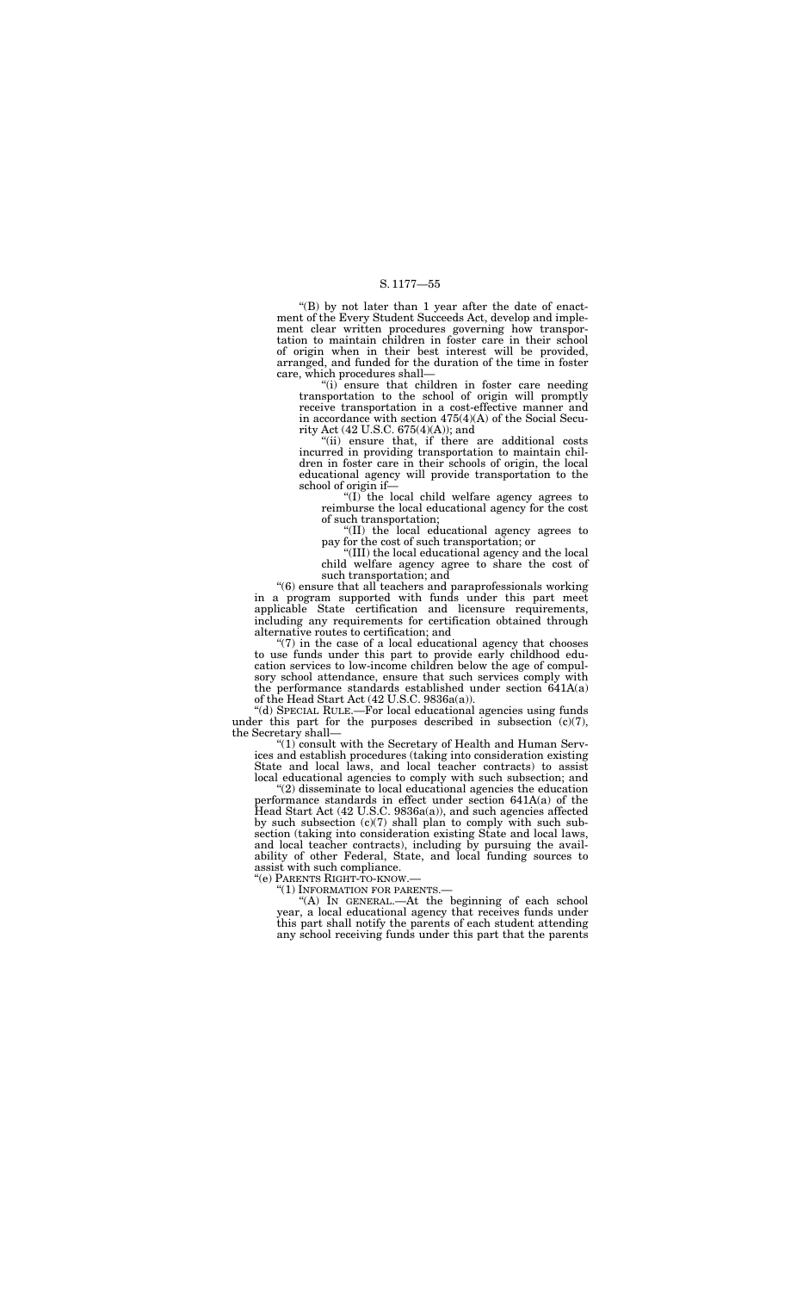" $(B)$  by not later than 1 year after the date of enactment of the Every Student Succeeds Act, develop and implement clear written procedures governing how transportation to maintain children in foster care in their school of origin when in their best interest will be provided, arranged, and funded for the duration of the time in foster care, which procedures shall—

"(i) ensure that children in foster care needing transportation to the school of origin will promptly receive transportation in a cost-effective manner and in accordance with section 475(4)(A) of the Social Security Act (42 U.S.C. 675(4)(A)); and

"(ii) ensure that, if there are additional costs incurred in providing transportation to maintain children in foster care in their schools of origin, the local educational agency will provide transportation to the school of origin if—

"(6) ensure that all teachers and paraprofessionals working in a program supported with funds under this part meet applicable State certification and licensure requirements, including any requirements for certification obtained through alternative routes to certification; and

 $\degree$ (7) in the case of a local educational agency that chooses to use funds under this part to provide early childhood education services to low-income children below the age of compulsory school attendance, ensure that such services comply with the performance standards established under section 641A(a) of the Head Start Act (42 U.S.C. 9836a(a)).

''(I) the local child welfare agency agrees to reimburse the local educational agency for the cost of such transportation;

''(II) the local educational agency agrees to pay for the cost of such transportation; or

''(2) disseminate to local educational agencies the education performance standards in effect under section 641A(a) of the Head Start Act (42 U.S.C. 9836a(a)), and such agencies affected by such subsection (c)(7) shall plan to comply with such subsection (taking into consideration existing State and local laws, and local teacher contracts), including by pursuing the availability of other Federal, State, and local funding sources to assist with such compliance.<br>"(e) PARENTS RIGHT-TO-KNOW.-

''(III) the local educational agency and the local child welfare agency agree to share the cost of such transportation; and

"(1) INFORMATION FOR PARENTS.—<br>"(A) IN GENERAL.—At the beginning of each school year, a local educational agency that receives funds under this part shall notify the parents of each student attending any school receiving funds under this part that the parents

''(d) SPECIAL RULE.—For local educational agencies using funds under this part for the purposes described in subsection (c)(7), the Secretary shall—

''(1) consult with the Secretary of Health and Human Services and establish procedures (taking into consideration existing State and local laws, and local teacher contracts) to assist local educational agencies to comply with such subsection; and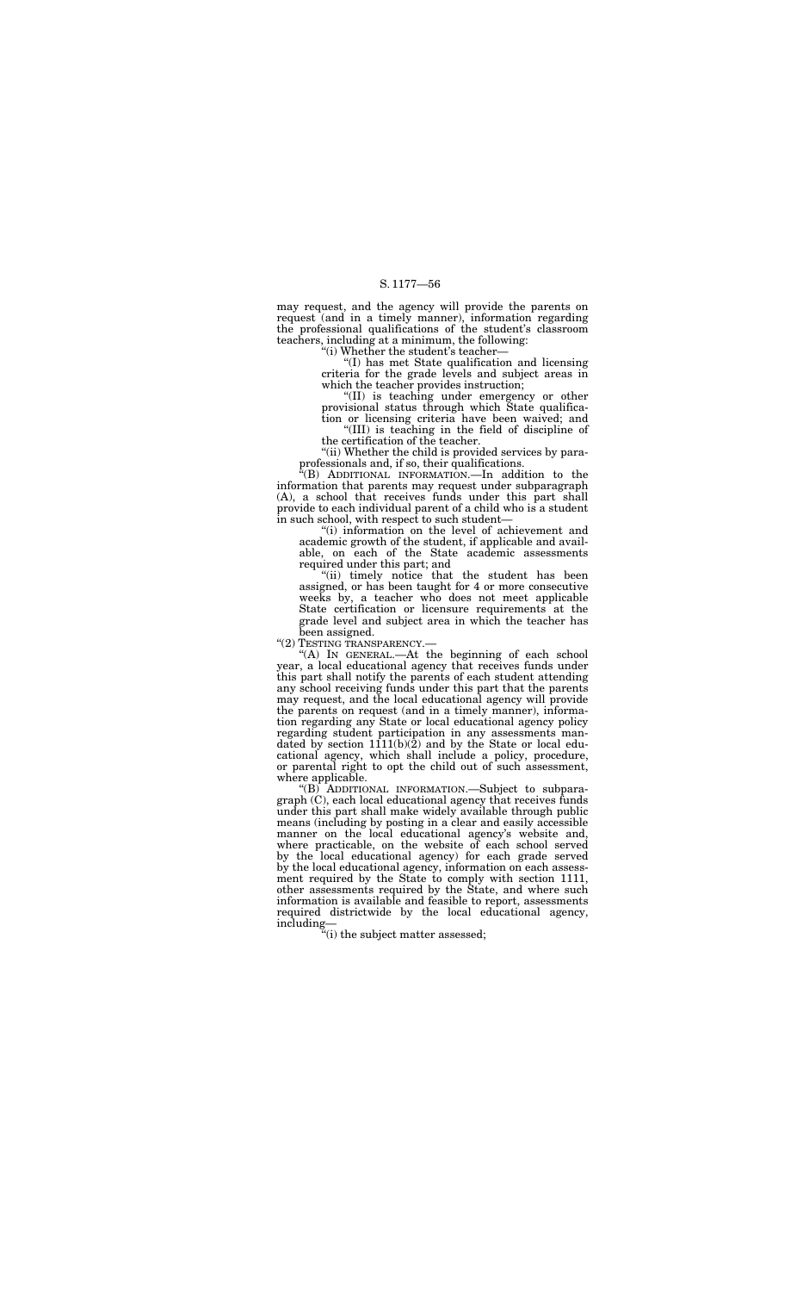may request, and the agency will provide the parents on request (and in a timely manner), information regarding the professional qualifications of the student's classroom teachers, including at a minimum, the following:

''(i) Whether the student's teacher—

''(I) has met State qualification and licensing criteria for the grade levels and subject areas in which the teacher provides instruction;

"(ii) Whether the child is provided services by paraprofessionals and, if so, their qualifications.

''(II) is teaching under emergency or other provisional status through which State qualification or licensing criteria have been waived; and

''(III) is teaching in the field of discipline of the certification of the teacher.

"(ii) timely notice that the student has been assigned, or has been taught for 4 or more consecutive weeks by, a teacher who does not meet applicable State certification or licensure requirements at the grade level and subject area in which the teacher has

been assigned.<br>"(2) TESTING TRANSPARENCY.-

"(A) IN GENERAL.—At the beginning of each school year, a local educational agency that receives funds under this part shall notify the parents of each student attending any school receiving funds under this part that the parents may request, and the local educational agency will provide the parents on request (and in a timely manner), information regarding any State or local educational agency policy regarding student participation in any assessments mandated by section  $1\overline{1}11(b)(\overline{2})$  and by the State or local educational agency, which shall include a policy, procedure, or parental right to opt the child out of such assessment, where applicable.

''(B) ADDITIONAL INFORMATION.—In addition to the information that parents may request under subparagraph (A), a school that receives funds under this part shall provide to each individual parent of a child who is a student in such school, with respect to such student—

''(i) information on the level of achievement and academic growth of the student, if applicable and available, on each of the State academic assessments required under this part; and

''(B) ADDITIONAL INFORMATION.—Subject to subparagraph (C), each local educational agency that receives funds under this part shall make widely available through public means (including by posting in a clear and easily accessible manner on the local educational agency's website and, where practicable, on the website of each school served by the local educational agency) for each grade served by the local educational agency, information on each assessment required by the State to comply with section 1111, other assessments required by the State, and where such information is available and feasible to report, assessments required districtwide by the local educational agency, including—

''(i) the subject matter assessed;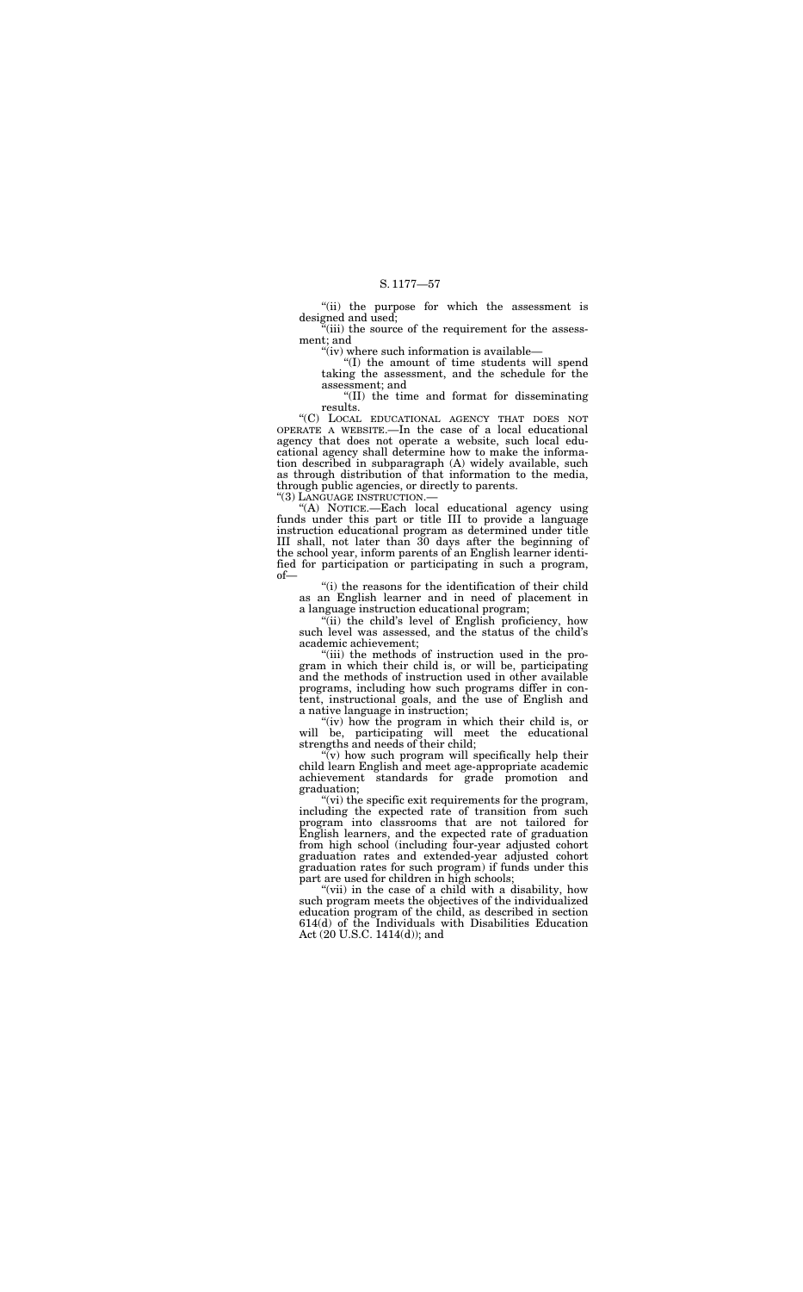''(ii) the purpose for which the assessment is designed and used;

''(iii) the source of the requirement for the assessment; and

''(iv) where such information is available—

''(C) LOCAL EDUCATIONAL AGENCY THAT DOES NOT OPERATE A WEBSITE.—In the case of a local educational agency that does not operate a website, such local educational agency shall determine how to make the information described in subparagraph (A) widely available, such as through distribution of that information to the media, through public agencies, or directly to parents.<br>"(3) LANGUAGE INSTRUCTION.—

''(I) the amount of time students will spend taking the assessment, and the schedule for the assessment; and

''(II) the time and format for disseminating results.

"(A) NOTICE.—Each local educational agency using funds under this part or title III to provide a language instruction educational program as determined under title III shall, not later than 30 days after the beginning of the school year, inform parents of an English learner identified for participation or participating in such a program, of—

"(i) the reasons for the identification of their child as an English learner and in need of placement in a language instruction educational program;

"(iii) the methods of instruction used in the program in which their child is, or will be, participating and the methods of instruction used in other available programs, including how such programs differ in content, instructional goals, and the use of English and a native language in instruction;

"(iv) how the program in which their child is, or will be, participating will meet the educational strengths and needs of their child;

"(v) how such program will specifically help their child learn English and meet age-appropriate academic achievement standards for grade promotion and graduation;

"(vi) the specific exit requirements for the program, including the expected rate of transition from such program into classrooms that are not tailored for English learners, and the expected rate of graduation from high school (including four-year adjusted cohort graduation rates and extended-year adjusted cohort graduation rates for such program) if funds under this part are used for children in high schools;

''(ii) the child's level of English proficiency, how such level was assessed, and the status of the child's academic achievement;

"(vii) in the case of a child with a disability, how such program meets the objectives of the individualized education program of the child, as described in section 614(d) of the Individuals with Disabilities Education Act (20 U.S.C. 1414(d)); and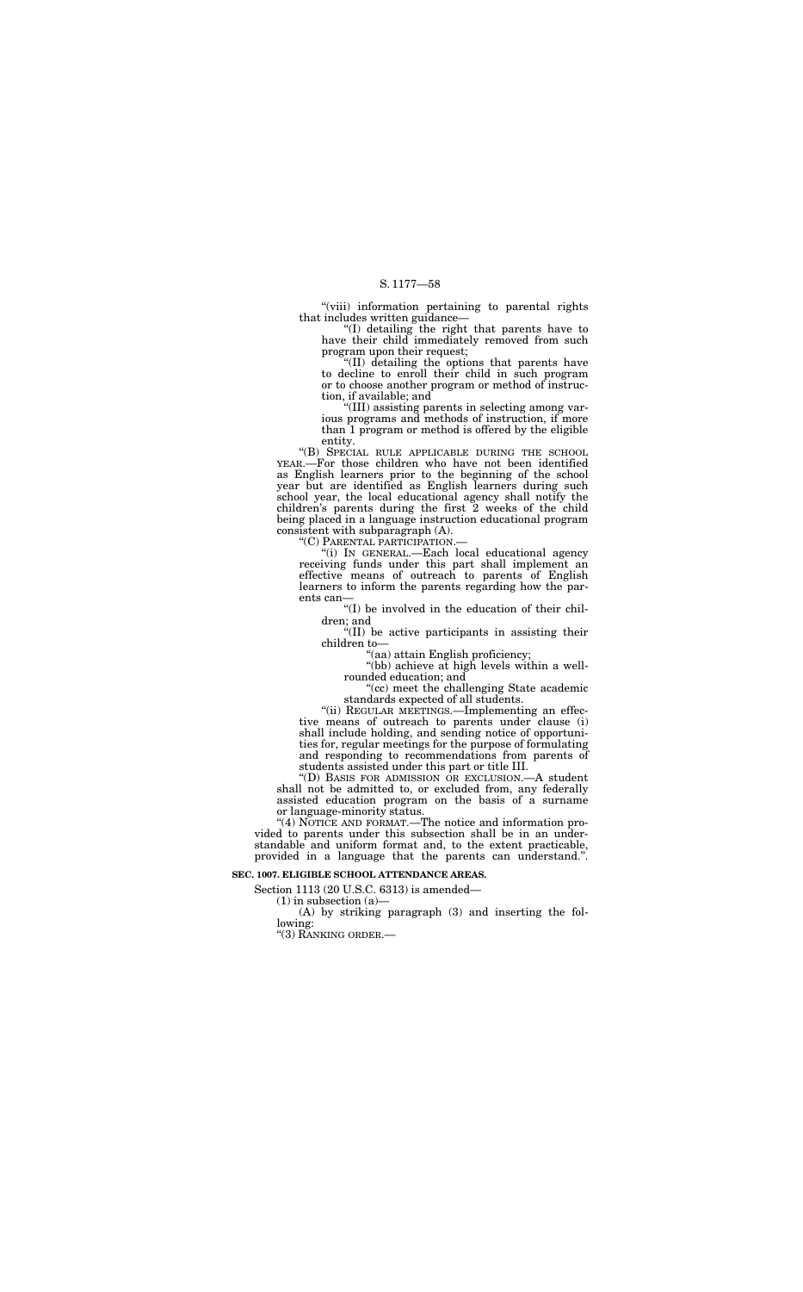"(viii) information pertaining to parental rights that includes written guidance—

''(I) detailing the right that parents have to have their child immediately removed from such program upon their request;

''(B) SPECIAL RULE APPLICABLE DURING THE SCHOOL YEAR.—For those children who have not been identified as English learners prior to the beginning of the school year but are identified as English learners during such school year, the local educational agency shall notify the children's parents during the first 2 weeks of the child being placed in a language instruction educational program consistent with subparagraph (A).<br>"(C) PARENTAL PARTICIPATION.

''(II) detailing the options that parents have to decline to enroll their child in such program or to choose another program or method of instruction, if available; and

''(III) assisting parents in selecting among various programs and methods of instruction, if more than 1 program or method is offered by the eligible entity.

"(i) IN GENERAL.—Each local educational agency receiving funds under this part shall implement an effective means of outreach to parents of English learners to inform the parents regarding how the parents can—

"(4) NOTICE AND FORMAT.—The notice and information provided to parents under this subsection shall be in an understandable and uniform format and, to the extent practicable, provided in a language that the parents can understand.''.

''(I) be involved in the education of their children; and

''(II) be active participants in assisting their children to—

''(aa) attain English proficiency;

''(bb) achieve at high levels within a well-

rounded education; and

''(cc) meet the challenging State academic standards expected of all students.

''(ii) REGULAR MEETINGS.—Implementing an effective means of outreach to parents under clause (i) shall include holding, and sending notice of opportunities for, regular meetings for the purpose of formulating and responding to recommendations from parents of students assisted under this part or title III.

''(D) BASIS FOR ADMISSION OR EXCLUSION.—A student shall not be admitted to, or excluded from, any federally assisted education program on the basis of a surname or language-minority status.

#### **SEC. 1007. ELIGIBLE SCHOOL ATTENDANCE AREAS.**

Section 1113 (20 U.S.C. 6313) is amended—

 $(1)$  in subsection  $(a)$ 

(A) by striking paragraph (3) and inserting the following:

''(3) RANKING ORDER.—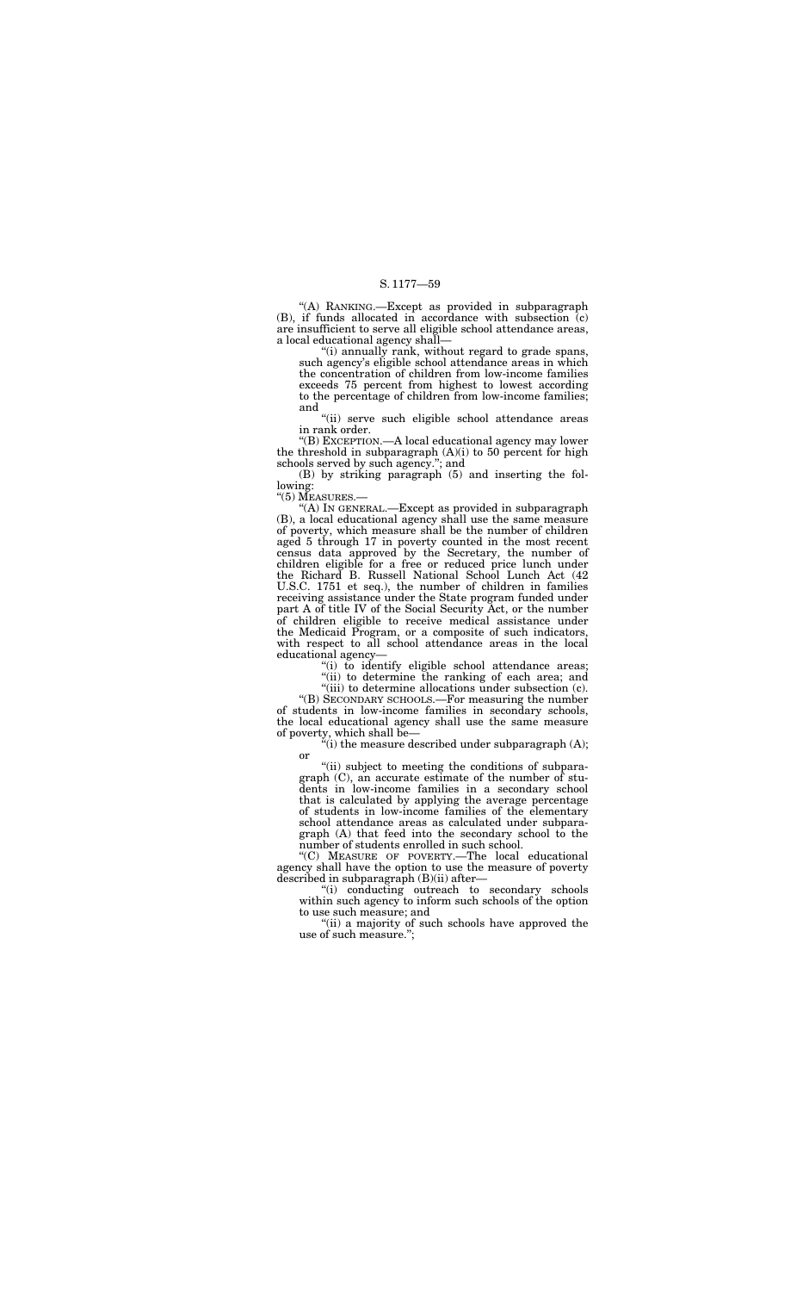''(A) RANKING.—Except as provided in subparagraph (B), if funds allocated in accordance with subsection (c) are insufficient to serve all eligible school attendance areas, a local educational agency shall—

''(i) annually rank, without regard to grade spans, such agency's eligible school attendance areas in which the concentration of children from low-income families exceeds 75 percent from highest to lowest according to the percentage of children from low-income families; and

''(ii) serve such eligible school attendance areas in rank order.

''(B) EXCEPTION.—A local educational agency may lower the threshold in subparagraph (A)(i) to 50 percent for high schools served by such agency.''; and

(B) by striking paragraph (5) and inserting the fol-

lowing:<br>"(5) MEASURES.-

"(A) In GENERAL.—Except as provided in subparagraph (B), a local educational agency shall use the same measure of poverty, which measure shall be the number of children aged 5 through 17 in poverty counted in the most recent census data approved by the Secretary, the number of children eligible for a free or reduced price lunch under the Richard B. Russell National School Lunch Act (42 U.S.C. 1751 et seq.), the number of children in families receiving assistance under the State program funded under part A of title IV of the Social Security Act, or the number of children eligible to receive medical assistance under the Medicaid Program, or a composite of such indicators, with respect to all school attendance areas in the local educational agency—

"(i) to identify eligible school attendance areas; "(ii) to determine the ranking of each area; and

"(iii) to determine allocations under subsection (c).

"(i) the measure described under subparagraph  $(A)$ ; or

"(ii) subject to meeting the conditions of subparagraph (C), an accurate estimate of the number of students in low-income families in a secondary school that is calculated by applying the average percentage of students in low-income families of the elementary school attendance areas as calculated under subparagraph (A) that feed into the secondary school to the number of students enrolled in such school.

''(B) SECONDARY SCHOOLS.—For measuring the number of students in low-income families in secondary schools, the local educational agency shall use the same measure of poverty, which shall be—

''(C) MEASURE OF POVERTY.—The local educational agency shall have the option to use the measure of poverty described in subparagraph (B)(ii) after—

''(i) conducting outreach to secondary schools within such agency to inform such schools of the option to use such measure; and

''(ii) a majority of such schools have approved the use of such measure.'';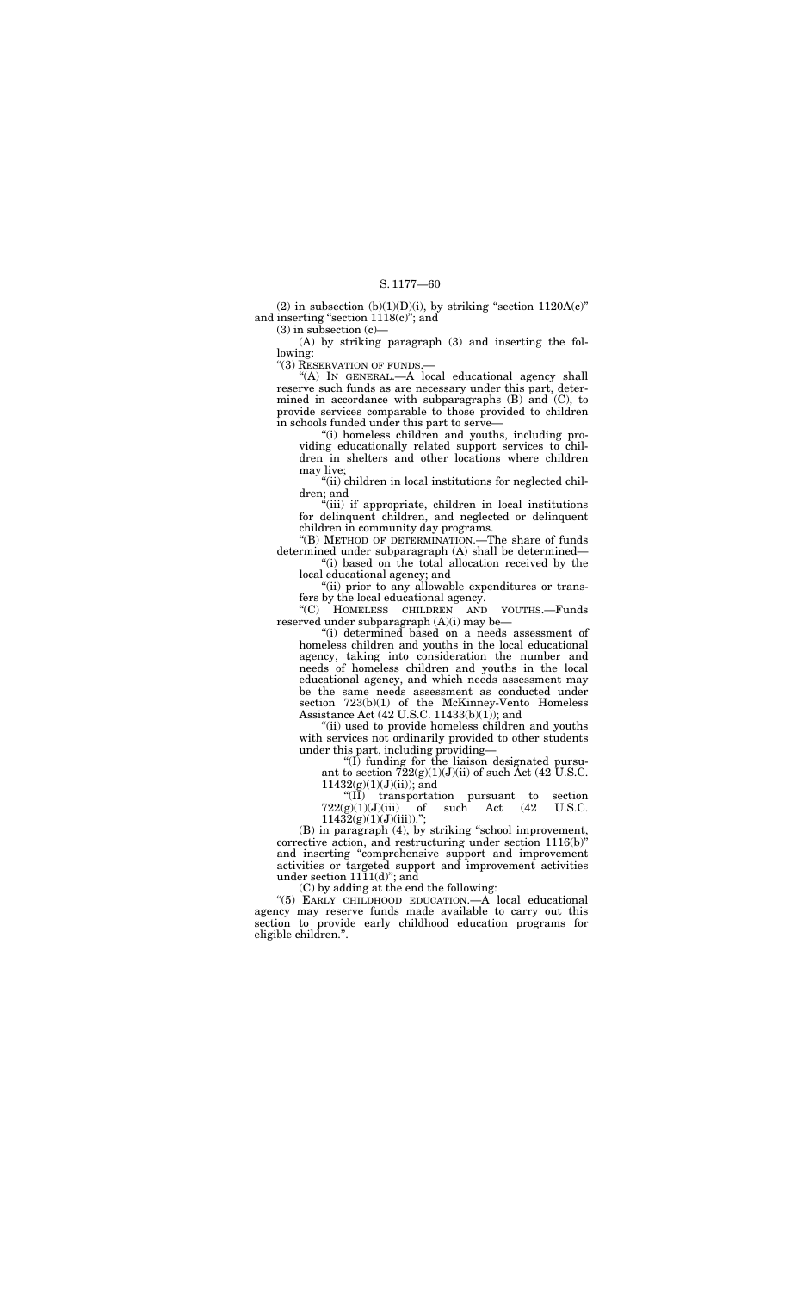(2) in subsection  $(b)(1)(D)(i)$ , by striking "section  $1120A(c)$ " and inserting "section  $1118(c)$ "; and

 $(3)$  in subsection  $(c)$ —

(A) by striking paragraph (3) and inserting the following:

"(3) RESERVATION OF FUNDS.-

"(A) IN GENERAL.—A local educational agency shall reserve such funds as are necessary under this part, determined in accordance with subparagraphs (B) and (C), to provide services comparable to those provided to children in schools funded under this part to serve—

"(ii) children in local institutions for neglected children; and

"(ii) prior to any allowable expenditures or transfers by the local educational agency.

''(i) homeless children and youths, including providing educationally related support services to children in shelters and other locations where children may live;

''(iii) if appropriate, children in local institutions for delinquent children, and neglected or delinquent children in community day programs.

''(I) funding for the liaison designated pursuant to section  $722(g)(1)(J)(ii)$  of such Act (42 U.S.C.  $11432(g)(1)(J)(ii)$ ; and

"(II) transportation pursuant to section  $(g)(1)(J)(iii)$  of such Act (42 U.S.C.)  $722(g)(1)(J)(iii)$  of such Act  $(42 \text{ U.S.C.})$  $11432(g)(1)(J)(iii))$ .";

''(B) METHOD OF DETERMINATION.—The share of funds determined under subparagraph (A) shall be determined—

(B) in paragraph (4), by striking ''school improvement, corrective action, and restructuring under section 1116(b)'' and inserting ''comprehensive support and improvement activities or targeted support and improvement activities under section  $111(1d)$ "; and

''(i) based on the total allocation received by the local educational agency; and

''(C) HOMELESS CHILDREN AND YOUTHS.—Funds reserved under subparagraph (A)(i) may be—

"(5) EARLY CHILDHOOD EDUCATION.—A local educational agency may reserve funds made available to carry out this section to provide early childhood education programs for eligible children.''.

''(i) determined based on a needs assessment of homeless children and youths in the local educational agency, taking into consideration the number and needs of homeless children and youths in the local educational agency, and which needs assessment may be the same needs assessment as conducted under section 723(b)(1) of the McKinney-Vento Homeless Assistance Act (42 U.S.C. 11433(b)(1)); and

''(ii) used to provide homeless children and youths with services not ordinarily provided to other students under this part, including providing—

(C) by adding at the end the following: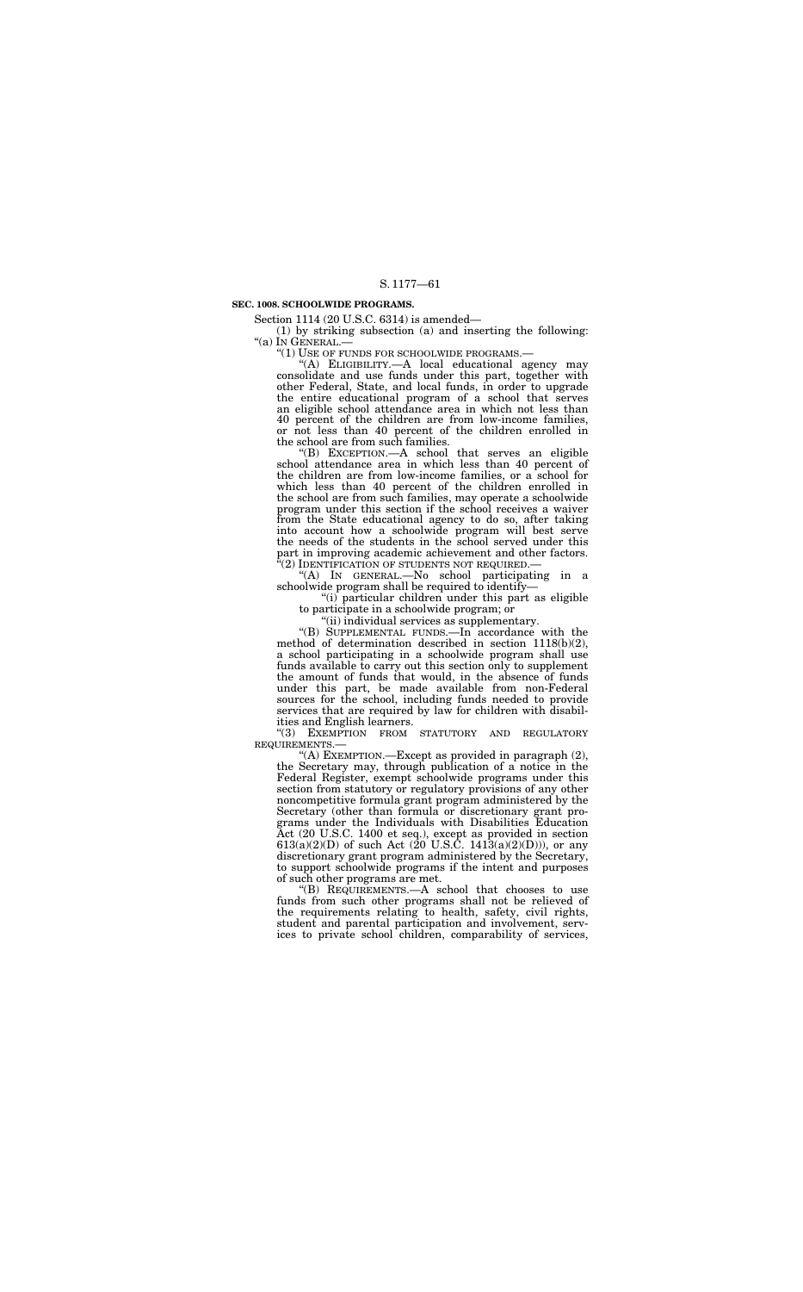#### **SEC. 1008. SCHOOLWIDE PROGRAMS.**

Section 1114 (20 U.S.C. 6314) is amended—

(1) by striking subsection (a) and inserting the following: "(a) In GENERAL.—

"(1) USE OF FUNDS FOR SCHOOLWIDE PROGRAMS.—<br>"(A) ELIGIBILITY.—A local educational agency may consolidate and use funds under this part, together with other Federal, State, and local funds, in order to upgrade the entire educational program of a school that serves an eligible school attendance area in which not less than 40 percent of the children are from low-income families, or not less than 40 percent of the children enrolled in the school are from such families.

''(B) EXCEPTION.—A school that serves an eligible school attendance area in which less than 40 percent of the children are from low-income families, or a school for which less than 40 percent of the children enrolled in the school are from such families, may operate a schoolwide program under this section if the school receives a waiver from the State educational agency to do so, after taking into account how a schoolwide program will best serve the needs of the students in the school served under this part in improving academic achievement and other factors.<br>"(2) IDENTIFICATION OF STUDENTS NOT REQUIRED.—

 $\frac{1}{2}$ (A) IN GENERAL.—No school participating in a schoolwide program shall be required to identify—

"(A) EXEMPTION.—Except as provided in paragraph (2), the Secretary may, through publication of a notice in the Federal Register, exempt schoolwide programs under this section from statutory or regulatory provisions of any other noncompetitive formula grant program administered by the Secretary (other than formula or discretionary grant programs under the Individuals with Disabilities Education Act (20 U.S.C. 1400 et seq.), except as provided in section  $613(a)(2)(D)$  of such Act (20 U.S.C. 1413(a)(2)(D))), or any discretionary grant program administered by the Secretary, to support schoolwide programs if the intent and purposes of such other programs are met.

''(i) particular children under this part as eligible to participate in a schoolwide program; or

''(ii) individual services as supplementary.

''(B) SUPPLEMENTAL FUNDS.—In accordance with the method of determination described in section 1118(b)(2), a school participating in a schoolwide program shall use funds available to carry out this section only to supplement the amount of funds that would, in the absence of funds under this part, be made available from non-Federal sources for the school, including funds needed to provide services that are required by law for children with disabilities and English learners.

''(3) EXEMPTION FROM STATUTORY AND REGULATORY REQUIREMENTS.—

''(B) REQUIREMENTS.—A school that chooses to use funds from such other programs shall not be relieved of the requirements relating to health, safety, civil rights, student and parental participation and involvement, services to private school children, comparability of services,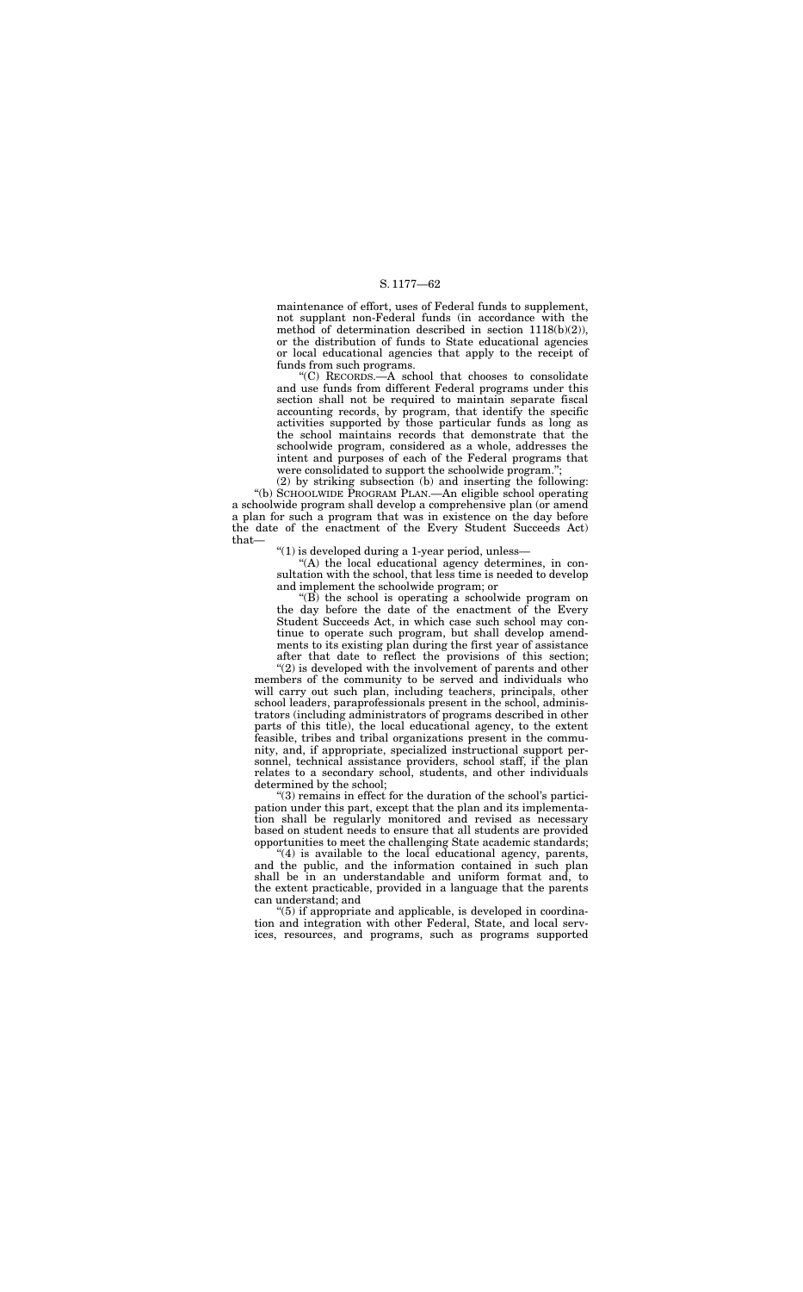maintenance of effort, uses of Federal funds to supplement, not supplant non-Federal funds (in accordance with the method of determination described in section 1118(b)(2)), or the distribution of funds to State educational agencies or local educational agencies that apply to the receipt of funds from such programs.

''(C) RECORDS.—A school that chooses to consolidate and use funds from different Federal programs under this section shall not be required to maintain separate fiscal accounting records, by program, that identify the specific activities supported by those particular funds as long as the school maintains records that demonstrate that the schoolwide program, considered as a whole, addresses the intent and purposes of each of the Federal programs that were consolidated to support the schoolwide program.'';

"(A) the local educational agency determines, in consultation with the school, that less time is needed to develop and implement the schoolwide program; or

 $f(B)$  the school is operating a schoolwide program on the day before the date of the enactment of the Every Student Succeeds Act, in which case such school may continue to operate such program, but shall develop amendments to its existing plan during the first year of assistance after that date to reflect the provisions of this section;

(2) by striking subsection (b) and inserting the following: ''(b) SCHOOLWIDE PROGRAM PLAN.—An eligible school operating a schoolwide program shall develop a comprehensive plan (or amend a plan for such a program that was in existence on the day before the date of the enactment of the Every Student Succeeds Act) that—

 $''(1)$  is developed during a 1-year period, unless-

"(2) is developed with the involvement of parents and other members of the community to be served and individuals who will carry out such plan, including teachers, principals, other school leaders, paraprofessionals present in the school, administrators (including administrators of programs described in other parts of this title), the local educational agency, to the extent feasible, tribes and tribal organizations present in the community, and, if appropriate, specialized instructional support personnel, technical assistance providers, school staff, if the plan relates to a secondary school, students, and other individuals determined by the school;

 $(3)$  remains in effect for the duration of the school's participation under this part, except that the plan and its implementation shall be regularly monitored and revised as necessary based on student needs to ensure that all students are provided opportunities to meet the challenging State academic standards;

(4) is available to the local educational agency, parents, and the public, and the information contained in such plan shall be in an understandable and uniform format and, to the extent practicable, provided in a language that the parents can understand; and

 $\degree$ (5) if appropriate and applicable, is developed in coordination and integration with other Federal, State, and local services, resources, and programs, such as programs supported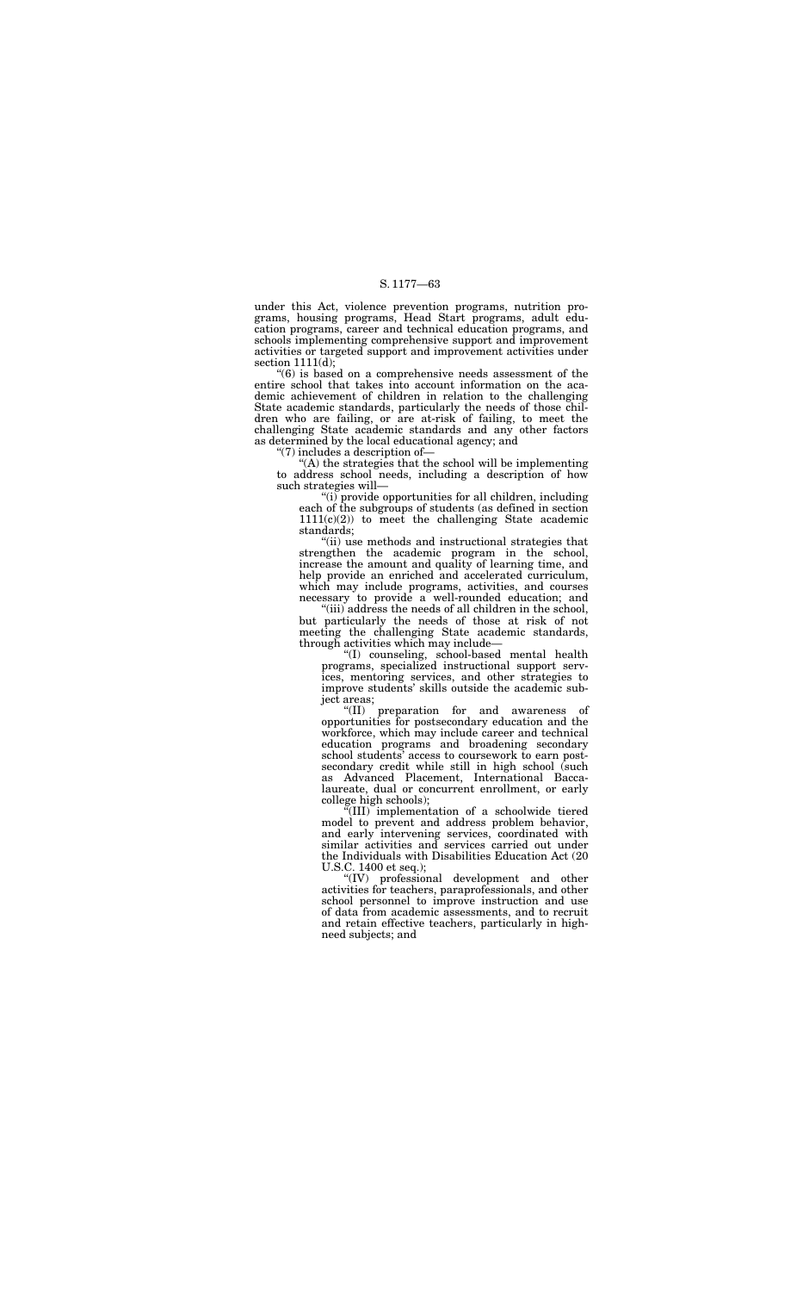under this Act, violence prevention programs, nutrition programs, housing programs, Head Start programs, adult education programs, career and technical education programs, and schools implementing comprehensive support and improvement activities or targeted support and improvement activities under section  $1111(d)$ ;

 $*(6)$  is based on a comprehensive needs assessment of the entire school that takes into account information on the academic achievement of children in relation to the challenging State academic standards, particularly the needs of those children who are failing, or are at-risk of failing, to meet the challenging State academic standards and any other factors as determined by the local educational agency; and

''(7) includes a description of—

"(iii) address the needs of all children in the school, but particularly the needs of those at risk of not meeting the challenging State academic standards, through activities which may include—

''(A) the strategies that the school will be implementing to address school needs, including a description of how such strategies will—

''(i) provide opportunities for all children, including each of the subgroups of students (as defined in section  $1111(c)(2)$  to meet the challenging State academic standards;

''(ii) use methods and instructional strategies that strengthen the academic program in the school, increase the amount and quality of learning time, and help provide an enriched and accelerated curriculum, which may include programs, activities, and courses necessary to provide a well-rounded education; and

''(I) counseling, school-based mental health programs, specialized instructional support services, mentoring services, and other strategies to improve students' skills outside the academic subject areas;

''(II) preparation for and awareness of opportunities for postsecondary education and the workforce, which may include career and technical education programs and broadening secondary school students' access to coursework to earn postsecondary credit while still in high school (such as Advanced Placement, International Baccalaureate, dual or concurrent enrollment, or early college high schools);

''(III) implementation of a schoolwide tiered model to prevent and address problem behavior, and early intervening services, coordinated with similar activities and services carried out under the Individuals with Disabilities Education Act (20 U.S.C. 1400 et seq.);

''(IV) professional development and other activities for teachers, paraprofessionals, and other school personnel to improve instruction and use of data from academic assessments, and to recruit and retain effective teachers, particularly in highneed subjects; and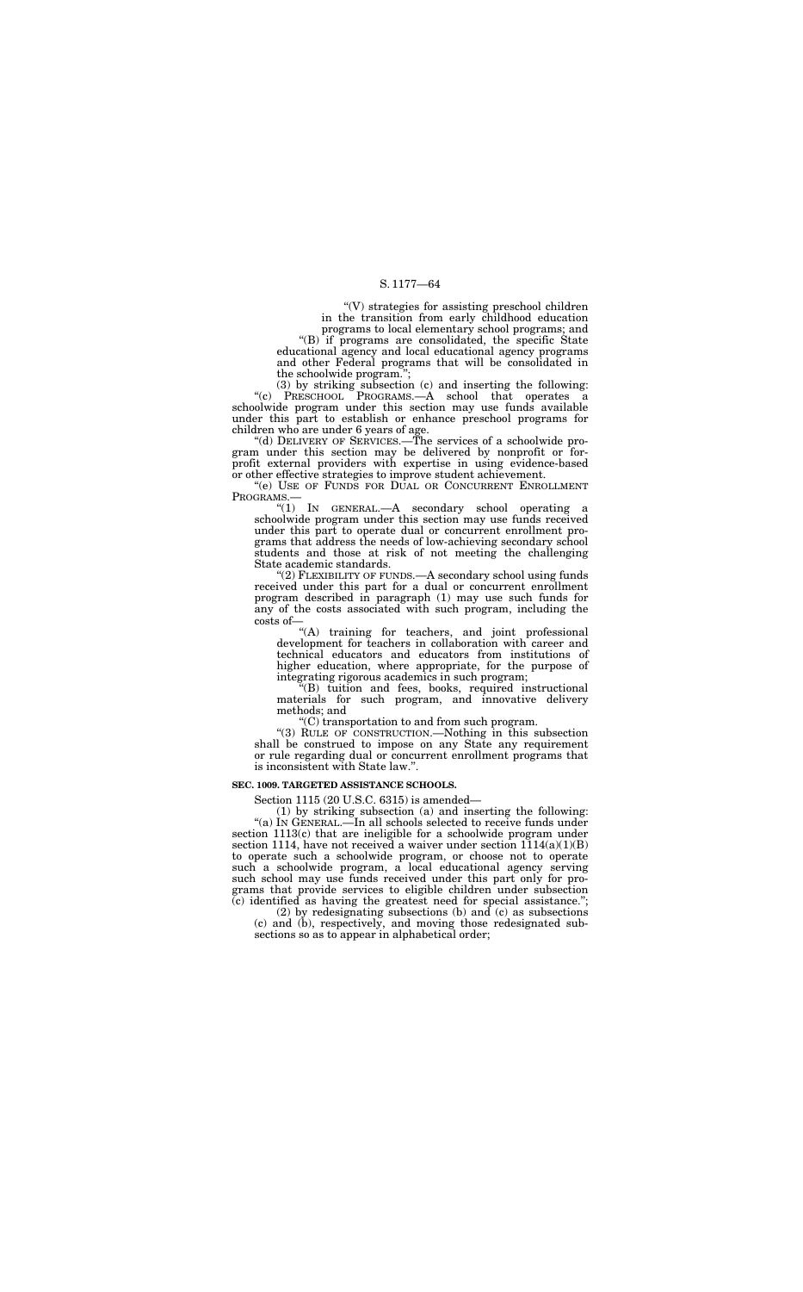''(V) strategies for assisting preschool children in the transition from early childhood education programs to local elementary school programs; and

"(B) if programs are consolidated, the specific State educational agency and local educational agency programs and other Federal programs that will be consolidated in the schoolwide program.'';

"(d) DELIVERY OF SERVICES.—The services of a schoolwide program under this section may be delivered by nonprofit or forprofit external providers with expertise in using evidence-based or other effective strategies to improve student achievement.

(3) by striking subsection (c) and inserting the following: "(c) PRESCHOOL PROGRAMS.—A school that operates a schoolwide program under this section may use funds available under this part to establish or enhance preschool programs for children who are under 6 years of age.

''(e) USE OF FUNDS FOR DUAL OR CONCURRENT ENROLLMENT PROGRAMS.—

''(1) IN GENERAL.—A secondary school operating a schoolwide program under this section may use funds received under this part to operate dual or concurrent enrollment programs that address the needs of low-achieving secondary school students and those at risk of not meeting the challenging State academic standards.

(1) by striking subsection (a) and inserting the following: "(a) IN GENERAL.—In all schools selected to receive funds under section 1113(c) that are ineligible for a schoolwide program under section 1114, have not received a waiver under section  $1114(a)(1)(B)$ to operate such a schoolwide program, or choose not to operate such a schoolwide program, a local educational agency serving such school may use funds received under this part only for programs that provide services to eligible children under subsection  $\chi$ <sup> $\chi$ </sup>) identified as having the greatest need for special assistance.";

''(2) FLEXIBILITY OF FUNDS.—A secondary school using funds received under this part for a dual or concurrent enrollment program described in paragraph (1) may use such funds for any of the costs associated with such program, including the costs of—

''(A) training for teachers, and joint professional development for teachers in collaboration with career and technical educators and educators from institutions of higher education, where appropriate, for the purpose of integrating rigorous academics in such program;

''(B) tuition and fees, books, required instructional materials for such program, and innovative delivery methods; and

''(C) transportation to and from such program.

''(3) RULE OF CONSTRUCTION.—Nothing in this subsection shall be construed to impose on any State any requirement or rule regarding dual or concurrent enrollment programs that is inconsistent with State law.''.

#### **SEC. 1009. TARGETED ASSISTANCE SCHOOLS.**

Section 1115 (20 U.S.C. 6315) is amended—

(2) by redesignating subsections (b) and (c) as subsections (c) and (b), respectively, and moving those redesignated subsections so as to appear in alphabetical order;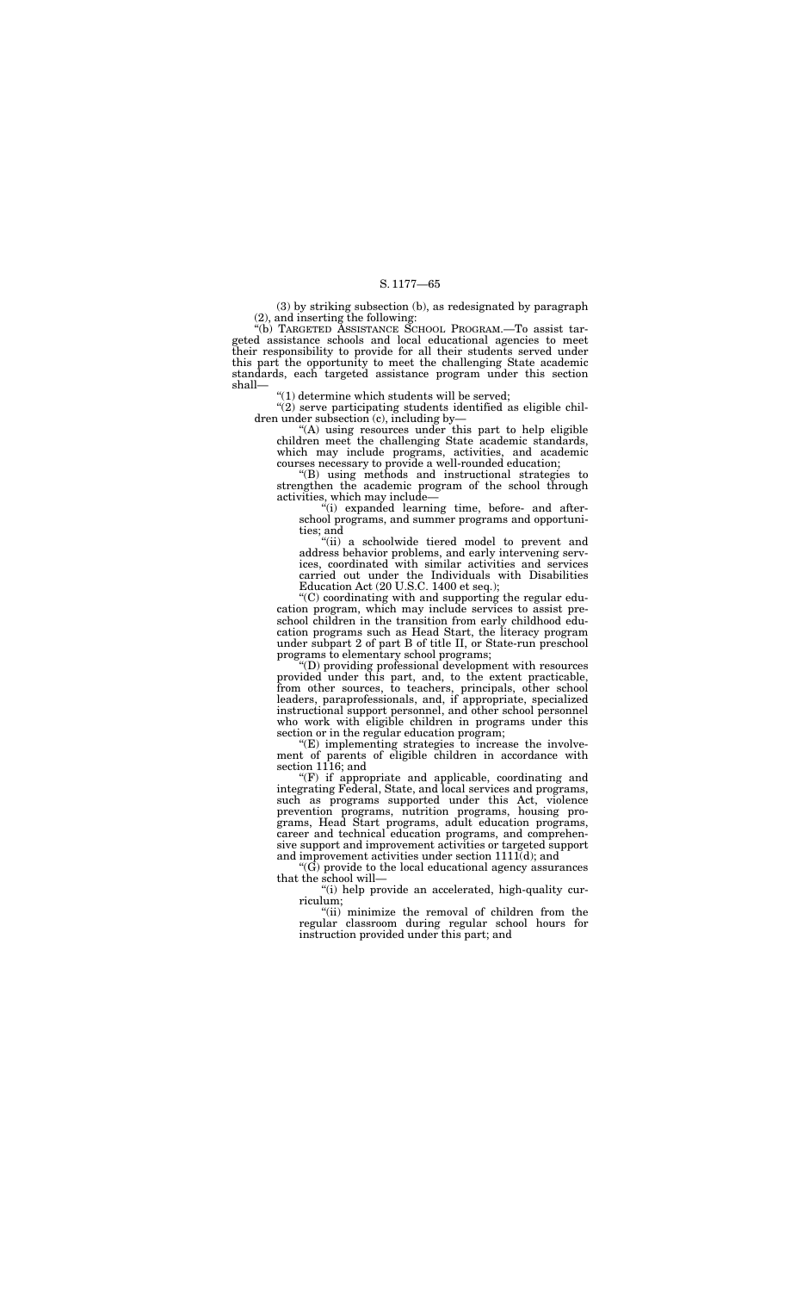(3) by striking subsection (b), as redesignated by paragraph (2), and inserting the following:

''(b) TARGETED ASSISTANCE SCHOOL PROGRAM.—To assist targeted assistance schools and local educational agencies to meet their responsibility to provide for all their students served under this part the opportunity to meet the challenging State academic standards, each targeted assistance program under this section shall—

 $(1)$  determine which students will be served;

 $''(2)$  serve participating students identified as eligible children under subsection (c), including by—

''(A) using resources under this part to help eligible children meet the challenging State academic standards, which may include programs, activities, and academic courses necessary to provide a well-rounded education;

''(B) using methods and instructional strategies to strengthen the academic program of the school through activities, which may include—

''(i) expanded learning time, before- and afterschool programs, and summer programs and opportunities; and

''(ii) a schoolwide tiered model to prevent and address behavior problems, and early intervening services, coordinated with similar activities and services carried out under the Individuals with Disabilities Education Act (20 U.S.C. 1400 et seq.);

"(F) if appropriate and applicable, coordinating and integrating Federal, State, and local services and programs, such as programs supported under this Act, violence prevention programs, nutrition programs, housing programs, Head Start programs, adult education programs, career and technical education programs, and comprehensive support and improvement activities or targeted support and improvement activities under section 1111(d); and

 $(G)$  provide to the local educational agency assurances that the school will—

''(C) coordinating with and supporting the regular education program, which may include services to assist preschool children in the transition from early childhood education programs such as Head Start, the literacy program under subpart 2 of part B of title II, or State-run preschool programs to elementary school programs;

''(D) providing professional development with resources provided under this part, and, to the extent practicable, from other sources, to teachers, principals, other school leaders, paraprofessionals, and, if appropriate, specialized instructional support personnel, and other school personnel who work with eligible children in programs under this section or in the regular education program;

''(E) implementing strategies to increase the involvement of parents of eligible children in accordance with section 1116; and

''(i) help provide an accelerated, high-quality curriculum;

''(ii) minimize the removal of children from the regular classroom during regular school hours for instruction provided under this part; and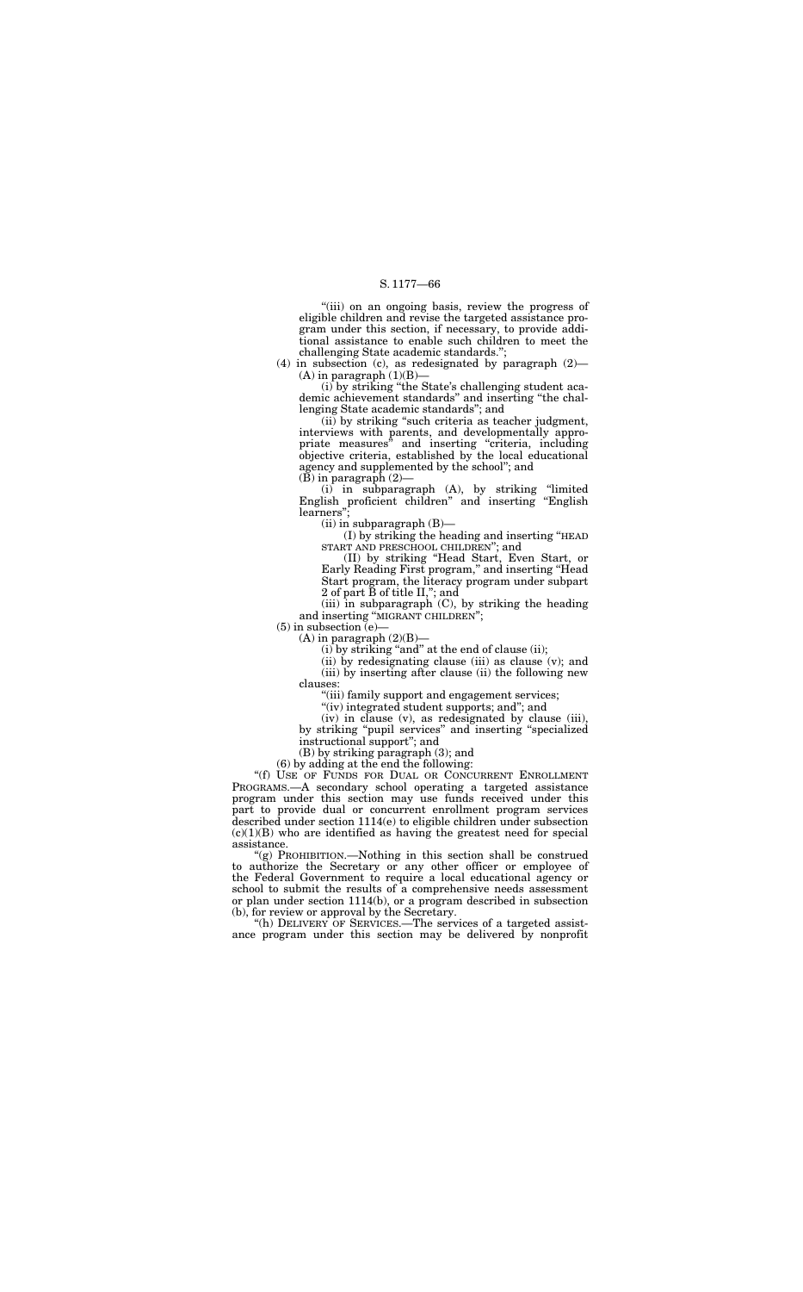"(iii) on an ongoing basis, review the progress of eligible children and revise the targeted assistance program under this section, if necessary, to provide additional assistance to enable such children to meet the challenging State academic standards.'';

(4) in subsection (c), as redesignated by paragraph  $(2)$ —  $(A)$  in paragraph  $(1)(B)$ 

(ii) by striking ''such criteria as teacher judgment, interviews with parents, and developmentally appropriate measures'' and inserting ''criteria, including objective criteria, established by the local educational agency and supplemented by the school''; and  $(B)$  in paragraph  $(2)$ —

(i) by striking ''the State's challenging student academic achievement standards'' and inserting ''the challenging State academic standards''; and

(II) by striking ''Head Start, Even Start, or Early Reading First program,'' and inserting ''Head Start program, the literacy program under subpart 2 of part  $\bar{B}$  of title II,"; and

(i) in subparagraph (A), by striking ''limited English proficient children'' and inserting ''English

learners''; (ii) in subparagraph (B)—

(I) by striking the heading and inserting ''HEAD START AND PRESCHOOL CHILDREN''; and

"(f) USE OF FUNDS FOR DUAL OR CONCURRENT ENROLLMENT PROGRAMS.—A secondary school operating a targeted assistance program under this section may use funds received under this part to provide dual or concurrent enrollment program services described under section 1114(e) to eligible children under subsection  $(c)(1)(B)$  who are identified as having the greatest need for special assistance.

(iii) in subparagraph (C), by striking the heading and inserting ''MIGRANT CHILDREN'';

 $(5)$  in subsection  $(e)$ —

 $(A)$  in paragraph  $(2)(B)$ —

 $(i)$  by striking "and" at the end of clause  $(ii)$ ;

"(g) PROHIBITION.—Nothing in this section shall be construed to authorize the Secretary or any other officer or employee of the Federal Government to require a local educational agency or school to submit the results of a comprehensive needs assessment or plan under section 1114(b), or a program described in subsection (b), for review or approval by the Secretary.

"(h) DELIVERY OF SERVICES.—The services of a targeted assistance program under this section may be delivered by nonprofit

(ii) by redesignating clause (iii) as clause (v); and (iii) by inserting after clause (ii) the following new clauses:

"(iii) family support and engagement services;

''(iv) integrated student supports; and''; and

(iv) in clause (v), as redesignated by clause (iii), by striking ''pupil services'' and inserting ''specialized instructional support''; and

(B) by striking paragraph (3); and

(6) by adding at the end the following: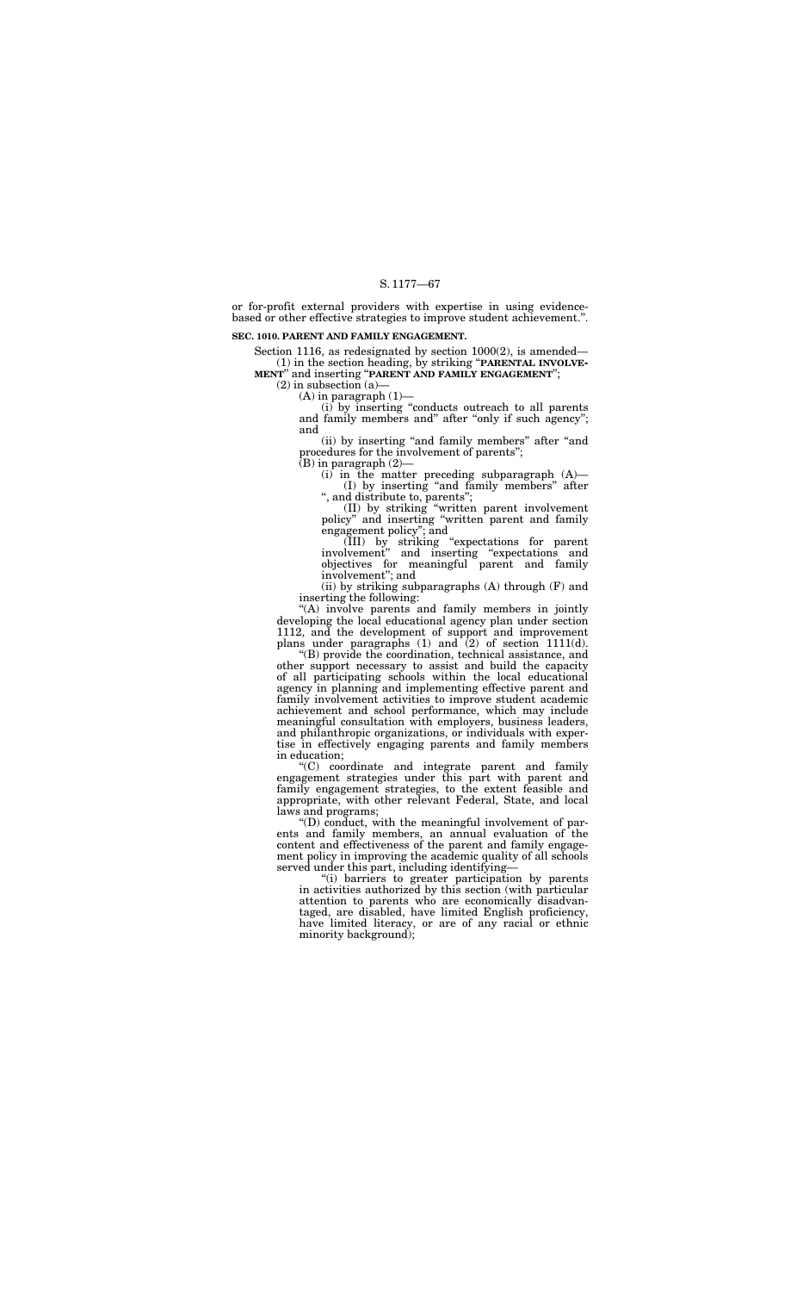or for-profit external providers with expertise in using evidencebased or other effective strategies to improve student achievement.''.

### **SEC. 1010. PARENT AND FAMILY ENGAGEMENT.**

Section 1116, as redesignated by section 1000(2), is amended— (1) in the section heading, by striking ''**PARENTAL INVOLVE-**

> (ii) by inserting "and family members" after "and procedures for the involvement of parents'';

 $(B)$  in paragraph  $(2)$ —

**MENT**'' and inserting ''**PARENT AND FAMILY ENGAGEMENT**'';

 $(2)$  in subsection  $(a)$ 

 $(A)$  in paragraph  $(1)$ —

(i) by inserting ''conducts outreach to all parents and family members and" after "only if such agency"; and

(i) in the matter preceding subparagraph (A)— (I) by inserting ''and family members'' after '', and distribute to, parents'';

(II) by striking ''written parent involvement policy'' and inserting ''written parent and family engagement policy''; and

(III) by striking ''expectations for parent involvement" and inserting "expectations and objectives for meaningful parent and family involvement''; and

(ii) by striking subparagraphs (A) through (F) and inserting the following:

"(A) involve parents and family members in jointly developing the local educational agency plan under section 1112, and the development of support and improvement plans under paragraphs  $(1)$  and  $(2)$  of section 1111 $(d)$ .

"(i) barriers to greater participation by parents in activities authorized by this section (with particular attention to parents who are economically disadvantaged, are disabled, have limited English proficiency, have limited literacy, or are of any racial or ethnic minority background);

''(B) provide the coordination, technical assistance, and other support necessary to assist and build the capacity of all participating schools within the local educational agency in planning and implementing effective parent and family involvement activities to improve student academic achievement and school performance, which may include meaningful consultation with employers, business leaders, and philanthropic organizations, or individuals with expertise in effectively engaging parents and family members in education;

''(C) coordinate and integrate parent and family engagement strategies under this part with parent and family engagement strategies, to the extent feasible and appropriate, with other relevant Federal, State, and local laws and programs;

''(D) conduct, with the meaningful involvement of parents and family members, an annual evaluation of the content and effectiveness of the parent and family engagement policy in improving the academic quality of all schools served under this part, including identifying—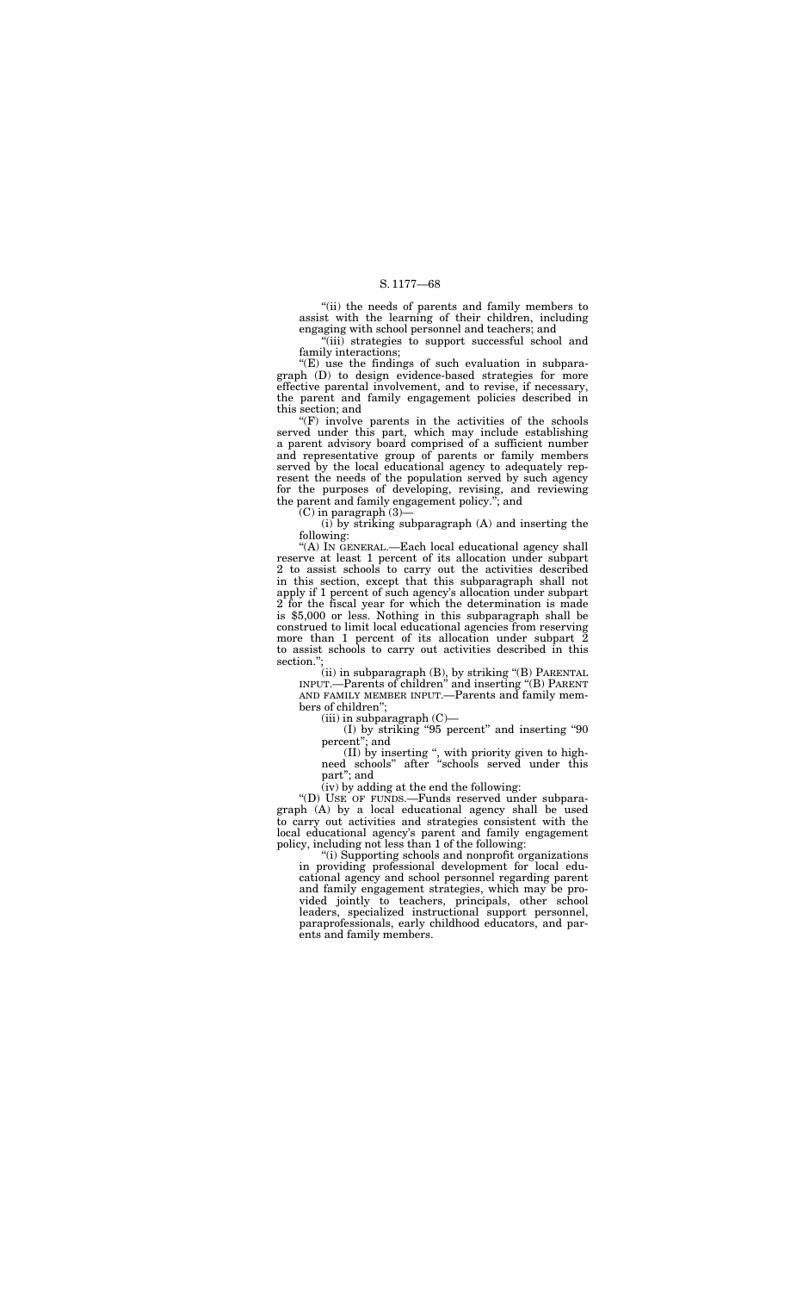''(ii) the needs of parents and family members to assist with the learning of their children, including engaging with school personnel and teachers; and

"(iii) strategies to support successful school and family interactions;

 $E$ ) use the findings of such evaluation in subparagraph (D) to design evidence-based strategies for more effective parental involvement, and to revise, if necessary, the parent and family engagement policies described in this section; and

" $(F)$  involve parents in the activities of the schools" served under this part, which may include establishing a parent advisory board comprised of a sufficient number and representative group of parents or family members served by the local educational agency to adequately represent the needs of the population served by such agency for the purposes of developing, revising, and reviewing the parent and family engagement policy.''; and

 $(C)$  in paragraph  $(3)$ 

''(A) IN GENERAL.—Each local educational agency shall reserve at least 1 percent of its allocation under subpart 2 to assist schools to carry out the activities described in this section, except that this subparagraph shall not apply if 1 percent of such agency's allocation under subpart 2 for the fiscal year for which the determination is made is \$5,000 or less. Nothing in this subparagraph shall be construed to limit local educational agencies from reserving more than 1 percent of its allocation under subpart 2 to assist schools to carry out activities described in this section."

(ii) in subparagraph  $(B)$ , by striking " $(B)$  PARENTAL INPUT.—Parents of children'' and inserting ''(B) PARENT AND FAMILY MEMBER INPUT.—Parents and family members of children'';

(i) by striking subparagraph (A) and inserting the following:

(iii) in subparagraph (C)—

(I) by striking ''95 percent'' and inserting ''90 percent''; and

(II) by inserting '', with priority given to highneed schools'' after ''schools served under this part''; and

 $(iv)$  by adding at the end the following:

''(D) USE OF FUNDS.—Funds reserved under subparagraph (A) by a local educational agency shall be used to carry out activities and strategies consistent with the local educational agency's parent and family engagement policy, including not less than 1 of the following:

''(i) Supporting schools and nonprofit organizations in providing professional development for local educational agency and school personnel regarding parent and family engagement strategies, which may be provided jointly to teachers, principals, other school leaders, specialized instructional support personnel, paraprofessionals, early childhood educators, and parents and family members.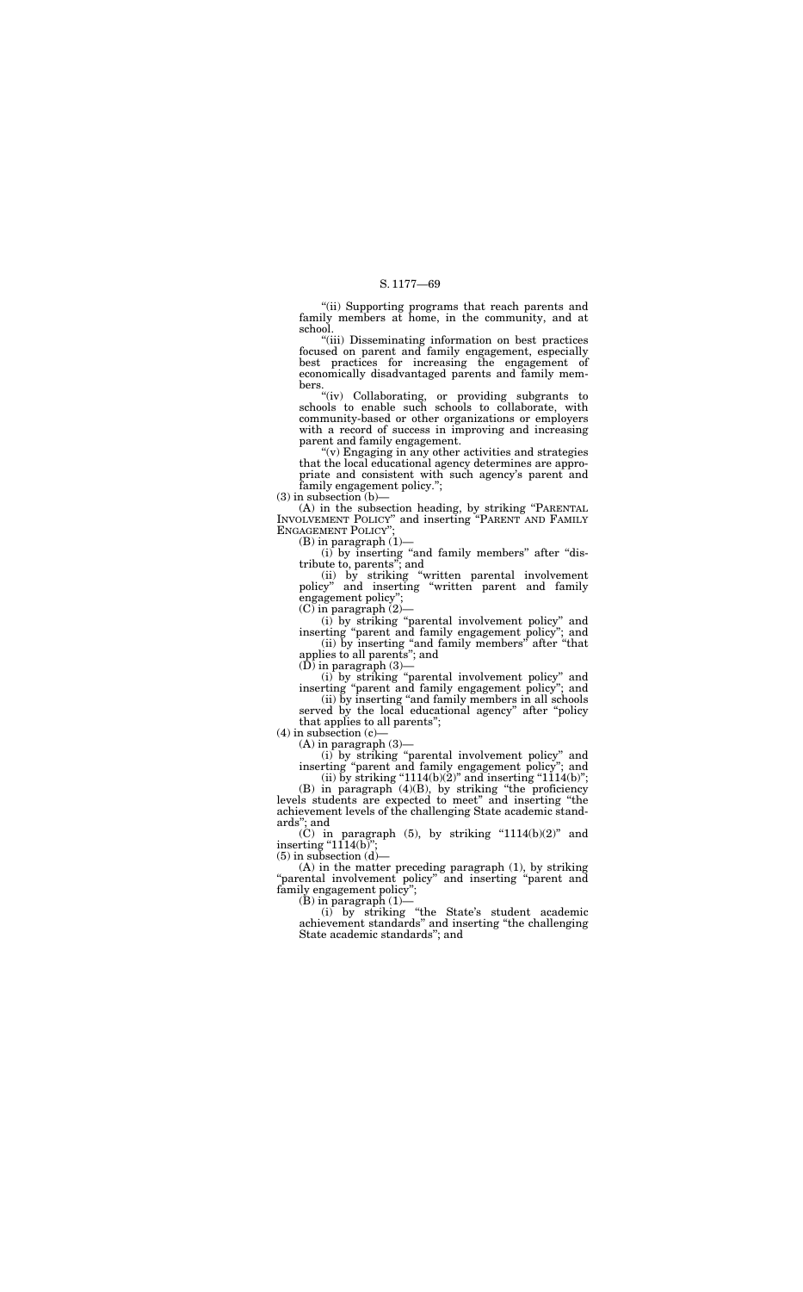''(ii) Supporting programs that reach parents and family members at home, in the community, and at school.

''(iii) Disseminating information on best practices focused on parent and family engagement, especially best practices for increasing the engagement of economically disadvantaged parents and family members.

(A) in the subsection heading, by striking ''PARENTAL INVOLVEMENT POLICY'' and inserting ''PARENT AND FAMILY ENGAGEMENT POLICY"

(B) in paragraph  $(1)$ -

''(iv) Collaborating, or providing subgrants to schools to enable such schools to collaborate, with community-based or other organizations or employers with a record of success in improving and increasing parent and family engagement.

''(v) Engaging in any other activities and strategies that the local educational agency determines are appropriate and consistent with such agency's parent and family engagement policy.'';

 $(3)$  in subsection  $(b)$ —

(i) by inserting ''and family members'' after ''distribute to, parents''; and

(ii) by striking " $1114(b)(2)$ " and inserting " $1114(b)$ "; (B) in paragraph (4)(B), by striking ''the proficiency levels students are expected to meet'' and inserting ''the achievement levels of the challenging State academic standards''; and

(C) in paragraph  $(5)$ , by striking "1114 $(b)(2)$ " and inserting " $1114(b)$ ";

 $(5)$  in subsection  $(d)$ 

(A) in the matter preceding paragraph (1), by striking "parental involvement policy" and inserting "parent and family engagement policy";

 $(B)$  in paragraph  $(1)$ —

(ii) by striking ''written parental involvement policy'' and inserting ''written parent and family engagement policy'';

(C) in paragraph (2)—

(i) by striking ''parental involvement policy'' and inserting ''parent and family engagement policy''; and

(ii) by inserting ''and family members'' after ''that applies to all parents''; and

 $(D)$  in paragraph  $(3)$ —

(i) by striking ''parental involvement policy'' and inserting ''parent and family engagement policy''; and

(ii) by inserting ''and family members in all schools served by the local educational agency'' after ''policy that applies to all parents'';

 $(4)$  in subsection  $(c)$ 

(A) in paragraph (3)—

(i) by striking ''parental involvement policy'' and inserting ''parent and family engagement policy''; and

(i) by striking ''the State's student academic achievement standards'' and inserting ''the challenging State academic standards''; and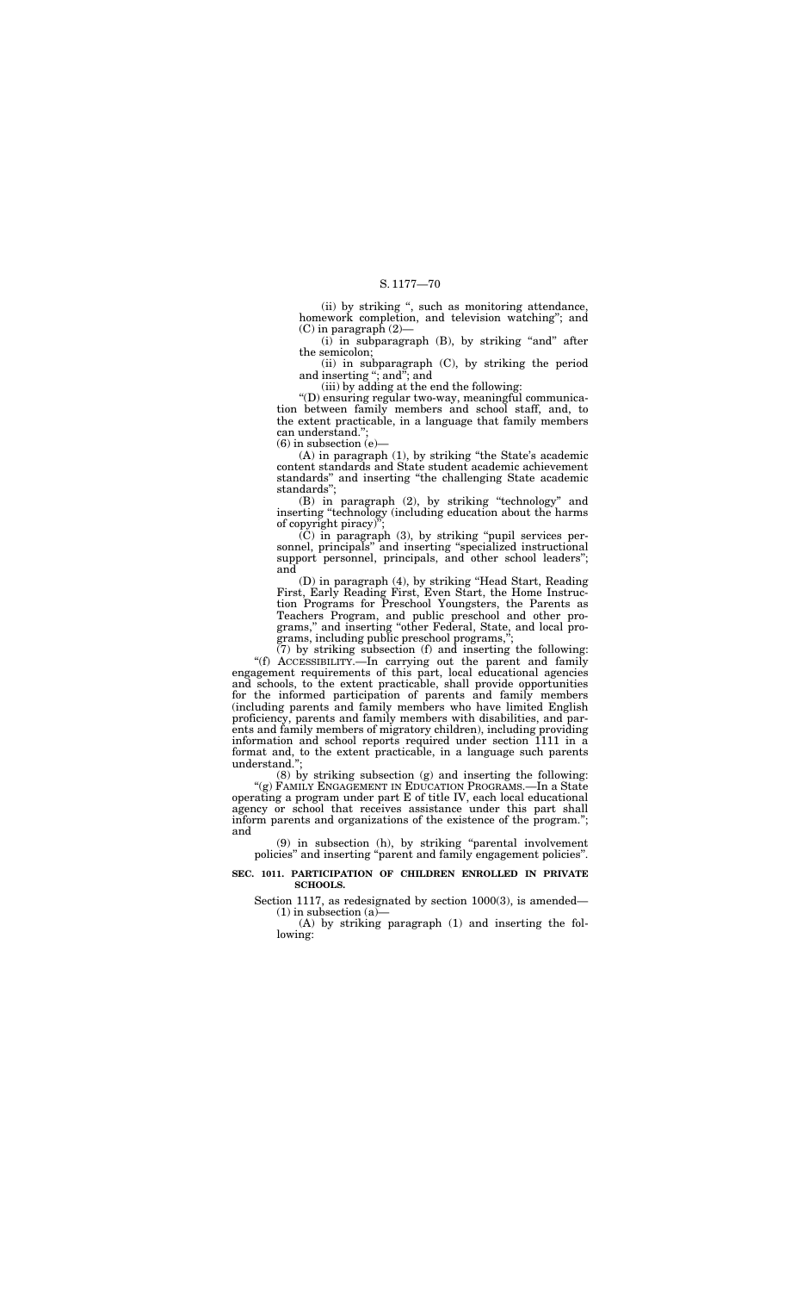(ii) by striking '', such as monitoring attendance, homework completion, and television watching''; and  $(C)$  in paragraph  $(2)$ 

 $(i)$  in subparagraph  $(B)$ , by striking "and" after the semicolon;

(ii) in subparagraph (C), by striking the period and inserting ''; and''; and

(iii) by adding at the end the following:

(B) in paragraph (2), by striking ''technology'' and inserting ''technology (including education about the harms of copyright piracy)

''(D) ensuring regular two-way, meaningful communication between family members and school staff, and, to the extent practicable, in a language that family members can understand.'';

 $(6)$  in subsection  $(e)$ 

(D) in paragraph (4), by striking ''Head Start, Reading First, Early Reading First, Even Start, the Home Instruction Programs for Preschool Youngsters, the Parents as Teachers Program, and public preschool and other programs,'' and inserting ''other Federal, State, and local programs, including public preschool programs,"

(A) in paragraph (1), by striking ''the State's academic content standards and State student academic achievement standards'' and inserting ''the challenging State academic standards'';

(C) in paragraph (3), by striking ''pupil services personnel, principals'' and inserting ''specialized instructional support personnel, principals, and other school leaders"; and

 $(7)$  by striking subsection (f) and inserting the following: ''(f) ACCESSIBILITY.—In carrying out the parent and family engagement requirements of this part, local educational agencies and schools, to the extent practicable, shall provide opportunities for the informed participation of parents and family members (including parents and family members who have limited English proficiency, parents and family members with disabilities, and parents and family members of migratory children), including providing information and school reports required under section 1111 in a format and, to the extent practicable, in a language such parents understand.'';

Section 1117, as redesignated by section 1000(3), is amended—  $(1)$  in subsection  $(a)$ –

(8) by striking subsection (g) and inserting the following: "(g) FAMILY ENGAGEMENT IN EDUCATION PROGRAMS.—In a State operating a program under part E of title IV, each local educational agency or school that receives assistance under this part shall inform parents and organizations of the existence of the program.''; and

(9) in subsection (h), by striking ''parental involvement policies'' and inserting ''parent and family engagement policies''.

#### **SEC. 1011. PARTICIPATION OF CHILDREN ENROLLED IN PRIVATE SCHOOLS.**

(A) by striking paragraph (1) and inserting the following: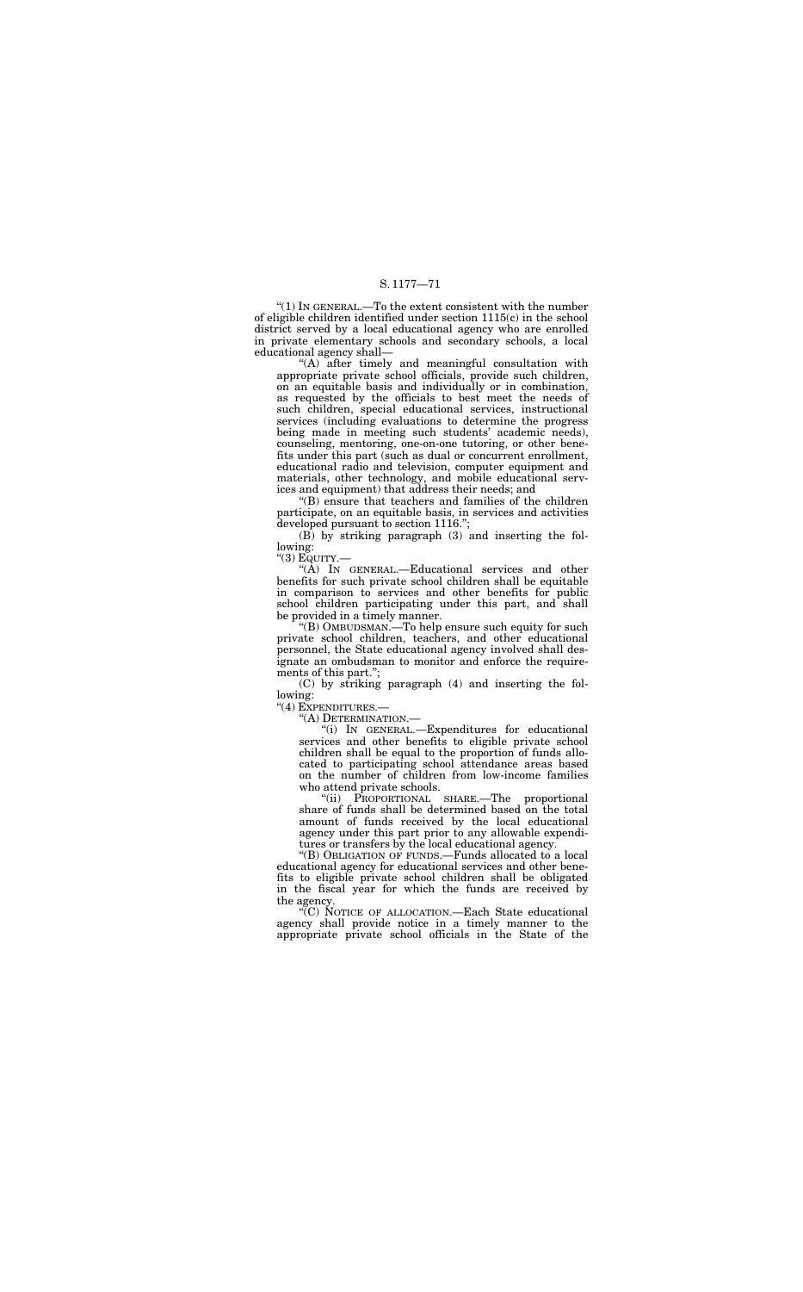''(1) IN GENERAL.—To the extent consistent with the number of eligible children identified under section 1115(c) in the school district served by a local educational agency who are enrolled in private elementary schools and secondary schools, a local educational agency shall—

"(A) after timely and meaningful consultation with appropriate private school officials, provide such children, on an equitable basis and individually or in combination, as requested by the officials to best meet the needs of such children, special educational services, instructional services (including evaluations to determine the progress being made in meeting such students' academic needs), counseling, mentoring, one-on-one tutoring, or other benefits under this part (such as dual or concurrent enrollment, educational radio and television, computer equipment and materials, other technology, and mobile educational services and equipment) that address their needs; and

"(A) IN GENERAL.—Educational services and other benefits for such private school children shall be equitable in comparison to services and other benefits for public school children participating under this part, and shall be provided in a timely manner.

''(B) ensure that teachers and families of the children participate, on an equitable basis, in services and activities developed pursuant to section 1116.'';

(B) by striking paragraph (3) and inserting the following:

 $"$ (3) Equity.—

''(B) OMBUDSMAN.—To help ensure such equity for such private school children, teachers, and other educational personnel, the State educational agency involved shall designate an ombudsman to monitor and enforce the requirements of this part.'';

(C) by striking paragraph (4) and inserting the following:

''(4) EXPENDITURES.—

''(A) DETERMINATION.—

''(i) IN GENERAL.—Expenditures for educational services and other benefits to eligible private school children shall be equal to the proportion of funds allocated to participating school attendance areas based on the number of children from low-income families who attend private schools.

''(ii) PROPORTIONAL SHARE.—The proportional share of funds shall be determined based on the total amount of funds received by the local educational agency under this part prior to any allowable expenditures or transfers by the local educational agency.

''(B) OBLIGATION OF FUNDS.—Funds allocated to a local educational agency for educational services and other benefits to eligible private school children shall be obligated in the fiscal year for which the funds are received by the agency.

''(C) NOTICE OF ALLOCATION.—Each State educational agency shall provide notice in a timely manner to the appropriate private school officials in the State of the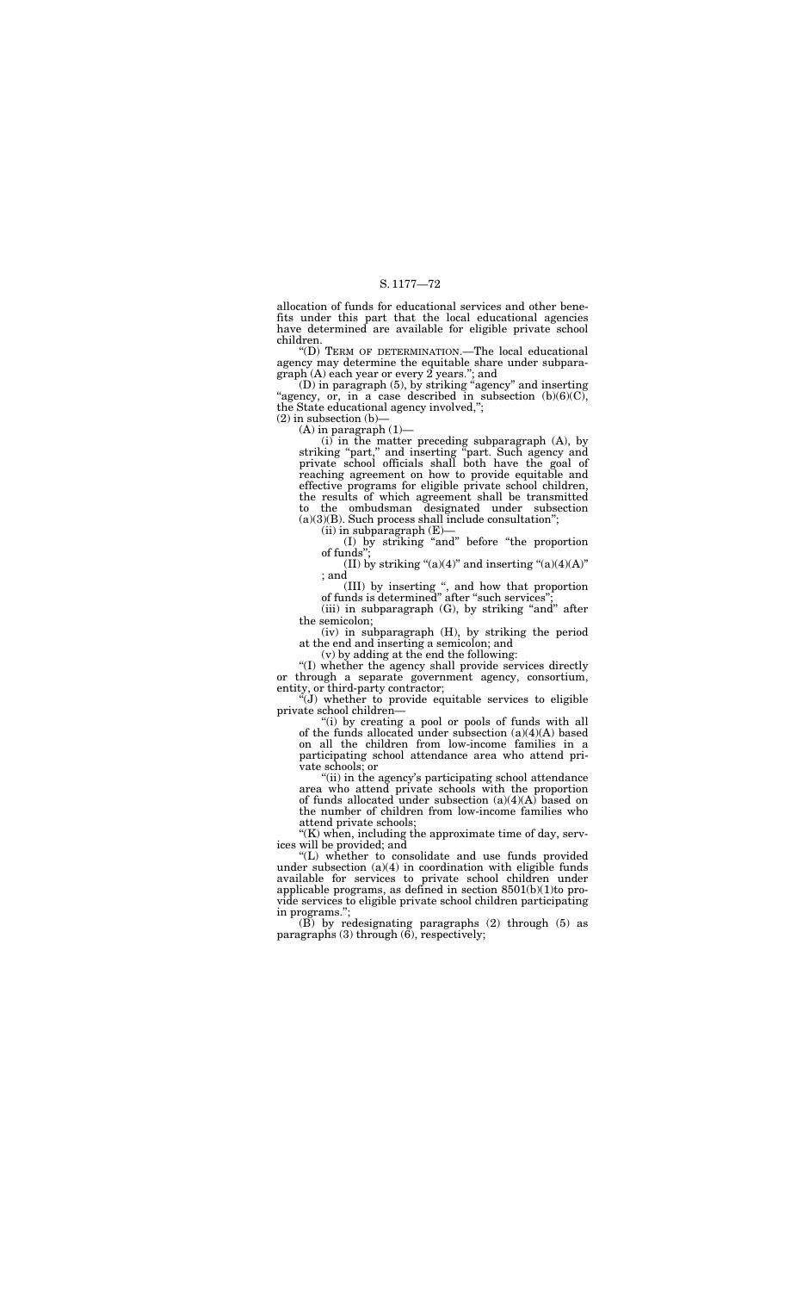allocation of funds for educational services and other benefits under this part that the local educational agencies have determined are available for eligible private school children.

''(D) TERM OF DETERMINATION.—The local educational agency may determine the equitable share under subparagraph (A) each year or every 2 years.''; and

(i) in the matter preceding subparagraph (A), by striking "part," and inserting "part. Such agency and private school officials shall both have the goal of reaching agreement on how to provide equitable and effective programs for eligible private school children, the results of which agreement shall be transmitted to the ombudsman designated under subsection  $(a)(3)(B)$ . Such process shall include consultation";

 $(ii)$  in subparagraph  $(E)$ –

(D) in paragraph (5), by striking ''agency'' and inserting "agency, or, in a case described in subsection (b)(6)(C), the State educational agency involved,''; (2) in subsection (b)—

 $(A)$  in paragraph  $(1)$ —

(II) by striking " $(a)(4)$ " and inserting " $(a)(4)(A)$ " ; and

(iii) in subparagraph  $(G)$ , by striking "and" after the semicolon;

"(I) whether the agency shall provide services directly or through a separate government agency, consortium, entity, or third-party contractor;

"(i) by creating a pool or pools of funds with all of the funds allocated under subsection  $(a)(4)(A)$  based on all the children from low-income families in a participating school attendance area who attend private schools; or

(I) by striking ''and'' before ''the proportion of funds'';

"(ii) in the agency's participating school attendance area who attend private schools with the proportion of funds allocated under subsection  $(a)(4)(A)$  based on the number of children from low-income families who attend private schools;

 $K(W)$  when, including the approximate time of day, services will be provided; and

(III) by inserting '', and how that proportion of funds is determined'' after ''such services'';

(iv) in subparagraph (H), by striking the period at the end and inserting a semicolon; and

(v) by adding at the end the following:

''(J) whether to provide equitable services to eligible private school children—

''(L) whether to consolidate and use funds provided under subsection  $(a)(4)$  in coordination with eligible funds available for services to private school children under applicable programs, as defined in section 8501(b)(1)to provide services to eligible private school children participating in programs.'';

(B) by redesignating paragraphs (2) through (5) as paragraphs (3) through (6), respectively;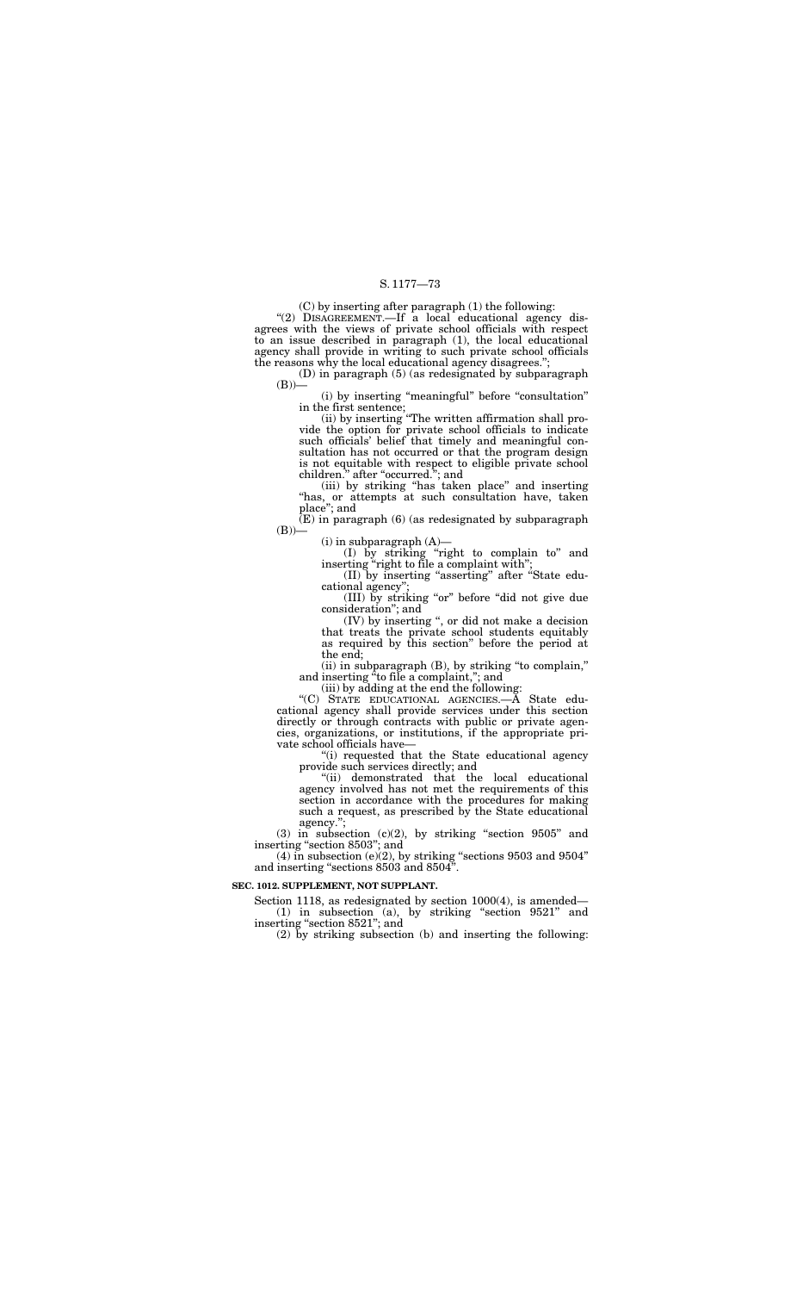(C) by inserting after paragraph (1) the following:

"(2) DISAGREEMENT.—If a local educational agency disagrees with the views of private school officials with respect to an issue described in paragraph (1), the local educational agency shall provide in writing to such private school officials the reasons why the local educational agency disagrees.'';

(D) in paragraph (5) (as redesignated by subparagraph  $(B)$ )—

(i) by inserting "meaningful" before "consultation" in the first sentence;

(ii) by inserting ''The written affirmation shall provide the option for private school officials to indicate such officials' belief that timely and meaningful consultation has not occurred or that the program design is not equitable with respect to eligible private school children." after "occurred."; and

(II) by inserting ''asserting'' after ''State educational agency"

(ii) in subparagraph (B), by striking ''to complain,'' and inserting "to file a complaint,"; and

(iii) by striking ''has taken place'' and inserting ''has, or attempts at such consultation have, taken place''; and

 $(E)$  in paragraph  $(6)$  (as redesignated by subparagraph  $(B)$ )—

(i) in subparagraph (A)—

(I) by striking ''right to complain to'' and inserting ''right to file a complaint with'';

 $(4)$  in subsection  $(e)(2)$ , by striking "sections 9503 and 9504" and inserting ''sections 8503 and 8504''.

(III) by striking ''or'' before ''did not give due consideration''; and

(IV) by inserting '', or did not make a decision that treats the private school students equitably as required by this section'' before the period at the end;

(iii) by adding at the end the following:

''(C) STATE EDUCATIONAL AGENCIES.—A State educational agency shall provide services under this section directly or through contracts with public or private agencies, organizations, or institutions, if the appropriate private school officials have—

''(i) requested that the State educational agency provide such services directly; and

''(ii) demonstrated that the local educational agency involved has not met the requirements of this section in accordance with the procedures for making such a request, as prescribed by the State educational agency.'';

(3) in subsection (c)(2), by striking "section  $9505$ " and inserting "section 8503"; and

#### **SEC. 1012. SUPPLEMENT, NOT SUPPLANT.**

Section 1118, as redesignated by section 1000(4), is amended— (1) in subsection (a), by striking ''section 9521'' and inserting ''section 8521''; and

(2) by striking subsection (b) and inserting the following: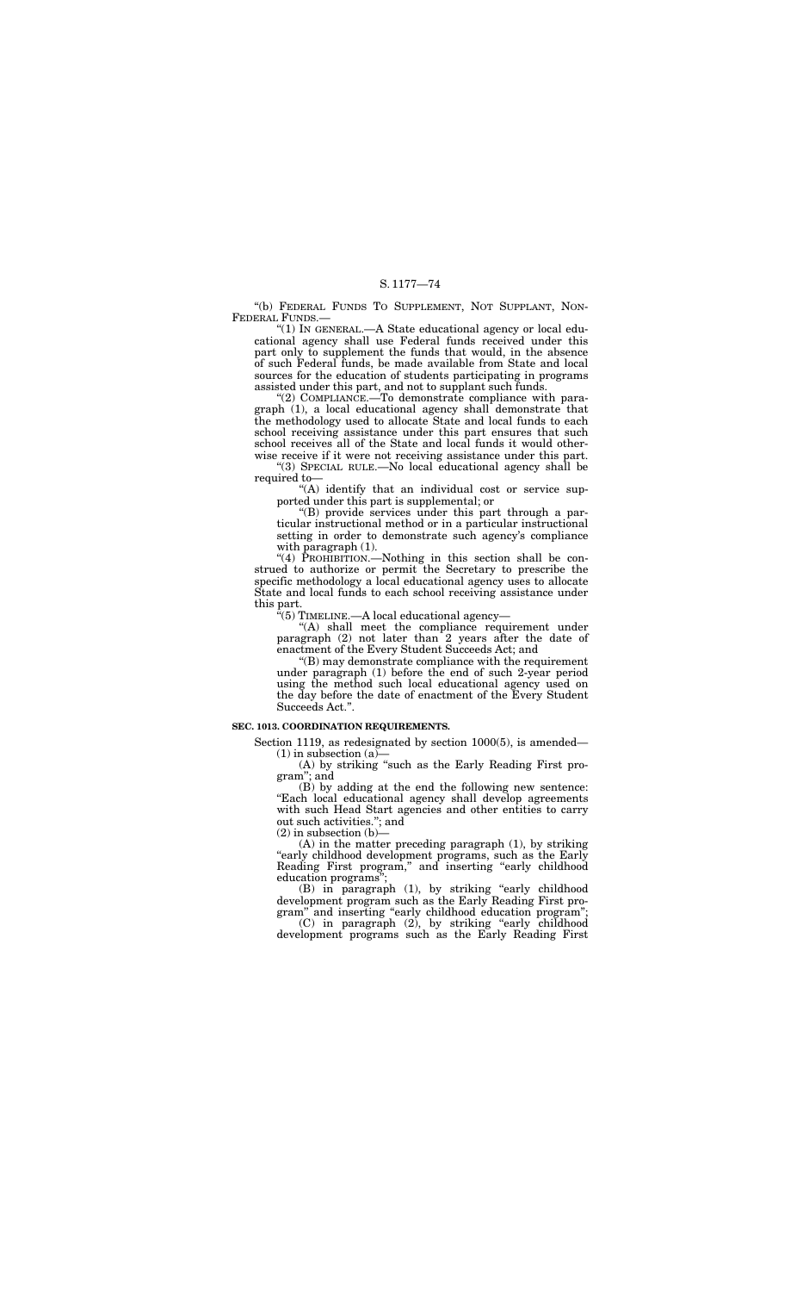''(b) FEDERAL FUNDS TO SUPPLEMENT, NOT SUPPLANT, NON-FEDERAL FUNDS.—

''(1) IN GENERAL.—A State educational agency or local educational agency shall use Federal funds received under this part only to supplement the funds that would, in the absence of such Federal funds, be made available from State and local sources for the education of students participating in programs assisted under this part, and not to supplant such funds.

"(2) COMPLIANCE.—To demonstrate compliance with paragraph (1), a local educational agency shall demonstrate that the methodology used to allocate State and local funds to each school receiving assistance under this part ensures that such school receives all of the State and local funds it would otherwise receive if it were not receiving assistance under this part.

"(A) identify that an individual cost or service supported under this part is supplemental; or

"(4) PROHIBITION.—Nothing in this section shall be construed to authorize or permit the Secretary to prescribe the specific methodology a local educational agency uses to allocate State and local funds to each school receiving assistance under this part.

 $\mathcal{F}(5)$  TIMELINE.—A local educational agency—

"(A) shall meet the compliance requirement under paragraph (2) not later than 2 years after the date of enactment of the Every Student Succeeds Act; and

''(3) SPECIAL RULE.—No local educational agency shall be required to—

Section 1119, as redesignated by section 1000(5), is amended—  $(1)$  in subsection  $(a)$ –

(A) by striking "such as the Early Reading First program''; and

''(B) provide services under this part through a particular instructional method or in a particular instructional setting in order to demonstrate such agency's compliance with paragraph (1).

''(B) may demonstrate compliance with the requirement under paragraph (1) before the end of such 2-year period using the method such local educational agency used on the day before the date of enactment of the Every Student Succeeds Act.''.

#### **SEC. 1013. COORDINATION REQUIREMENTS.**

(B) by adding at the end the following new sentence: ''Each local educational agency shall develop agreements with such Head Start agencies and other entities to carry out such activities.''; and

 $(2)$  in subsection  $(b)$ –

(A) in the matter preceding paragraph (1), by striking ''early childhood development programs, such as the Early Reading First program,'' and inserting ''early childhood education programs'';

(B) in paragraph (1), by striking "early childhood development program such as the Early Reading First program" and inserting "early childhood education program";

(C) in paragraph (2), by striking ''early childhood development programs such as the Early Reading First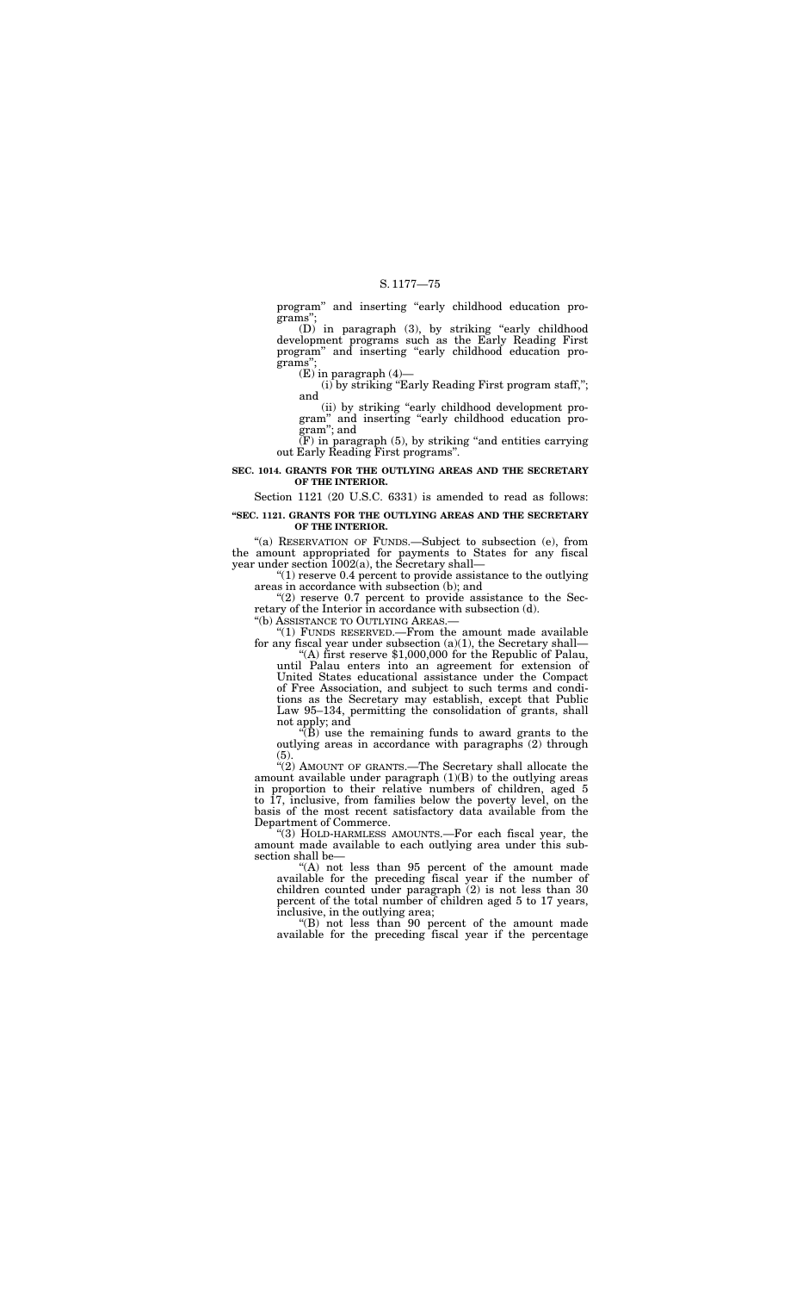program" and inserting "early childhood education programs'';

(D) in paragraph (3), by striking ''early childhood development programs such as the Early Reading First program'' and inserting ''early childhood education programs'';

 $(E)$  in paragraph  $(4)$ —

(ii) by striking "early childhood development program'' and inserting ''early childhood education program''; and

 $(F)$  in paragraph (5), by striking "and entities carrying out Early Reading First programs''.

(i) by striking ''Early Reading First program staff,''; and

" $(1)$  reserve 0.4 percent to provide assistance to the outlying areas in accordance with subsection (b); and

" $(2)$  reserve 0.7 percent to provide assistance to the Secretary of the Interior in accordance with subsection (d).

#### **SEC. 1014. GRANTS FOR THE OUTLYING AREAS AND THE SECRETARY OF THE INTERIOR.**

Section 1121 (20 U.S.C. 6331) is amended to read as follows:

#### **''SEC. 1121. GRANTS FOR THE OUTLYING AREAS AND THE SECRETARY OF THE INTERIOR.**

''(a) RESERVATION OF FUNDS.—Subject to subsection (e), from the amount appropriated for payments to States for any fiscal year under section 1002(a), the Secretary shall—

"(2) AMOUNT OF GRANTS.—The Secretary shall allocate the amount available under paragraph (1)(B) to the outlying areas in proportion to their relative numbers of children, aged 5 to 17, inclusive, from families below the poverty level, on the basis of the most recent satisfactory data available from the Department of Commerce.

''(b) ASSISTANCE TO OUTLYING AREAS.— ''(1) FUNDS RESERVED.—From the amount made available

for any fiscal year under subsection  $(a)(1)$ , the Secretary shall—<br>"(A) first reserve \$1,000,000 for the Republic of Palau,

until Palau enters into an agreement for extension of United States educational assistance under the Compact of Free Association, and subject to such terms and conditions as the Secretary may establish, except that Public Law 95–134, permitting the consolidation of grants, shall not apply; and

''(B) use the remaining funds to award grants to the outlying areas in accordance with paragraphs (2) through (5).

''(3) HOLD-HARMLESS AMOUNTS.—For each fiscal year, the amount made available to each outlying area under this subsection shall be—

''(A) not less than 95 percent of the amount made available for the preceding fiscal year if the number of children counted under paragraph (2) is not less than 30 percent of the total number of children aged 5 to 17 years, inclusive, in the outlying area;

''(B) not less than 90 percent of the amount made available for the preceding fiscal year if the percentage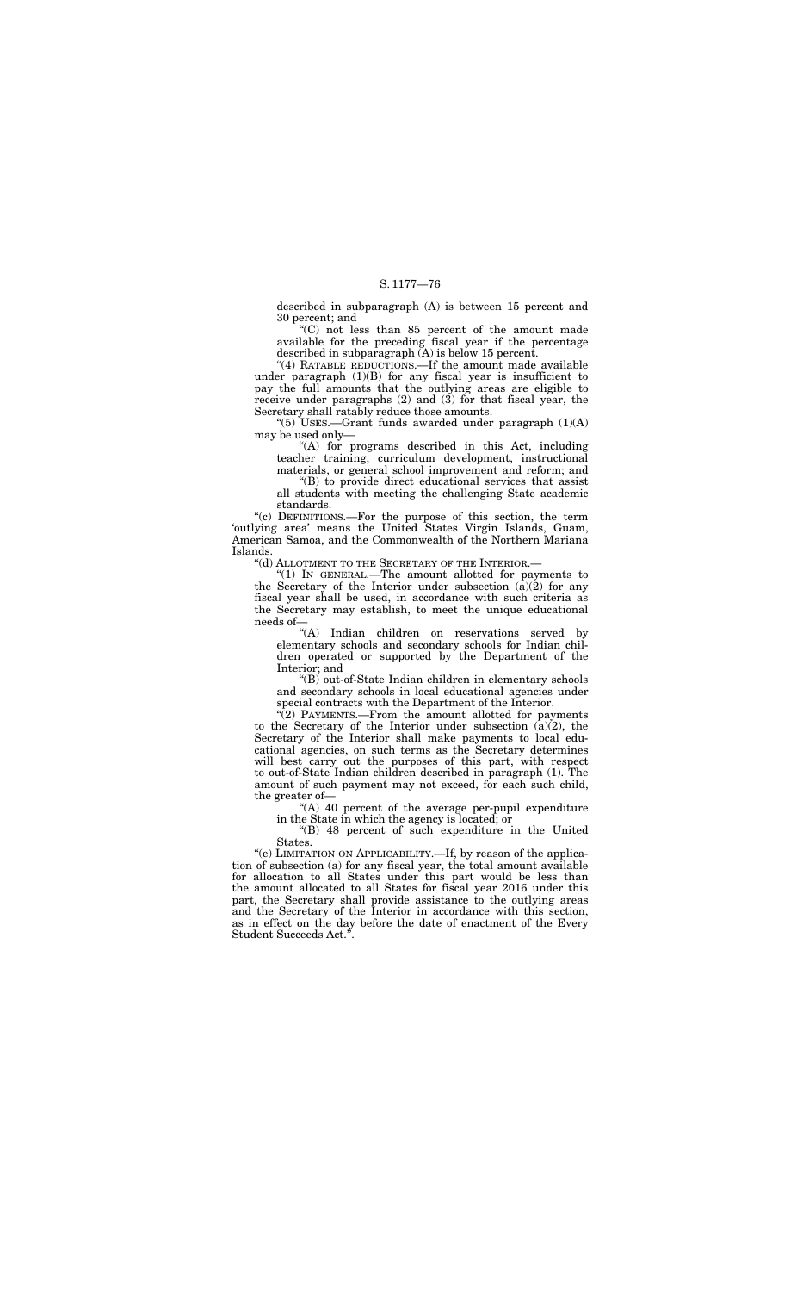described in subparagraph (A) is between 15 percent and 30 percent; and

''(C) not less than 85 percent of the amount made available for the preceding fiscal year if the percentage described in subparagraph (A) is below 15 percent.

"(4) RATABLE REDUCTIONS.—If the amount made available under paragraph  $(1)(B)$  for any fiscal year is insufficient to pay the full amounts that the outlying areas are eligible to receive under paragraphs (2) and (3) for that fiscal year, the Secretary shall ratably reduce those amounts.

"(5) USES.—Grant funds awarded under paragraph  $(1)(A)$ may be used only—

''(A) for programs described in this Act, including teacher training, curriculum development, instructional

materials, or general school improvement and reform; and ''(B) to provide direct educational services that assist

 $\overline{C(A)}$  Indian children on reservations served by elementary schools and secondary schools for Indian children operated or supported by the Department of the Interior; and

''(B) out-of-State Indian children in elementary schools and secondary schools in local educational agencies under special contracts with the Department of the Interior.

all students with meeting the challenging State academic standards.

''(c) DEFINITIONS.—For the purpose of this section, the term 'outlying area' means the United States Virgin Islands, Guam, American Samoa, and the Commonwealth of the Northern Mariana Islands.

 $(2)$  PAYMENTS.—From the amount allotted for payments to the Secretary of the Interior under subsection  $(a)(2)$ , the Secretary of the Interior shall make payments to local educational agencies, on such terms as the Secretary determines will best carry out the purposes of this part, with respect to out-of-State Indian children described in paragraph (1). The amount of such payment may not exceed, for each such child, the greater of—

''(d) ALLOTMENT TO THE SECRETARY OF THE INTERIOR.—

"(A) 40 percent of the average per-pupil expenditure in the State in which the agency is located; or

''(1) IN GENERAL.—The amount allotted for payments to the Secretary of the Interior under subsection  $(a)(2)$  for any fiscal year shall be used, in accordance with such criteria as the Secretary may establish, to meet the unique educational needs of—

"(e) LIMITATION ON APPLICABILITY.-If, by reason of the application of subsection (a) for any fiscal year, the total amount available for allocation to all States under this part would be less than the amount allocated to all States for fiscal year 2016 under this part, the Secretary shall provide assistance to the outlying areas and the Secretary of the Interior in accordance with this section, as in effect on the day before the date of enactment of the Every Student Succeeds Act.''.

''(B) 48 percent of such expenditure in the United States.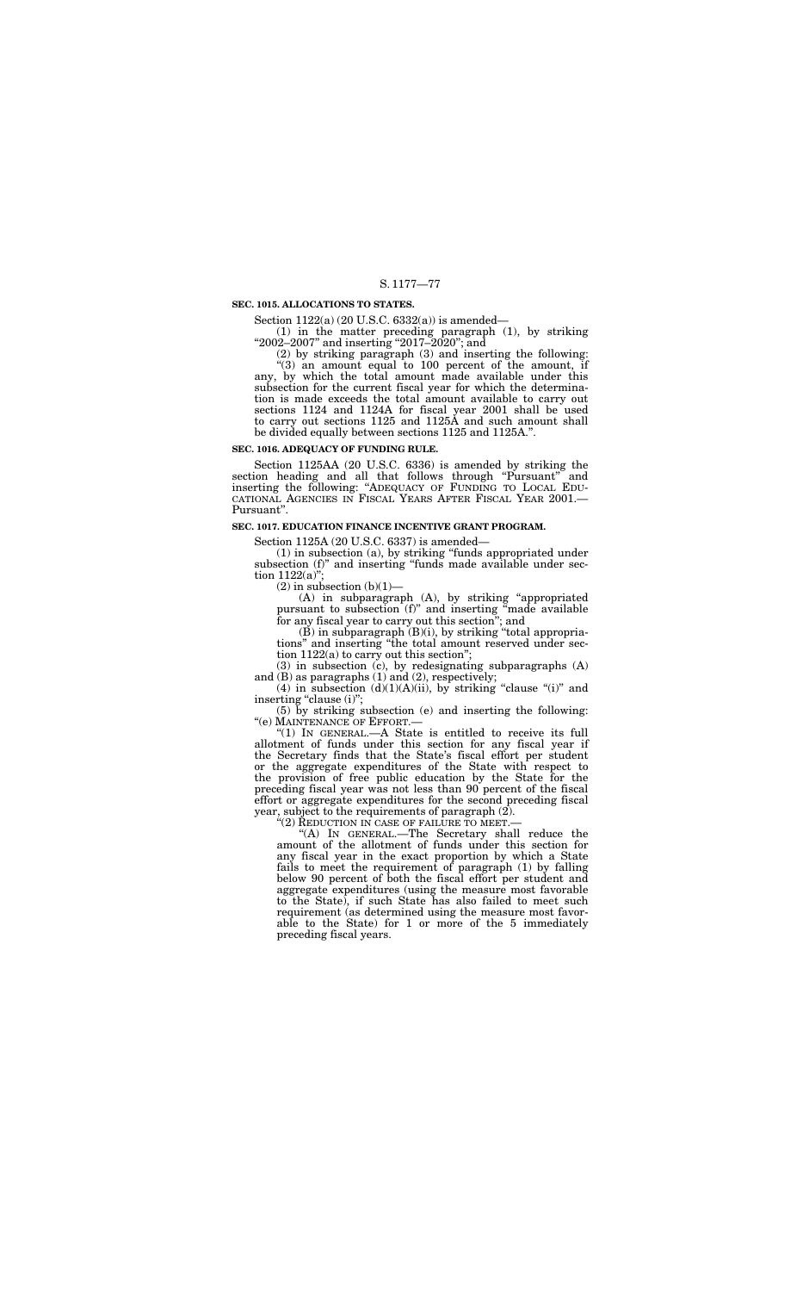#### **SEC. 1015. ALLOCATIONS TO STATES.**

(1) in the matter preceding paragraph (1), by striking "2002–2007" and inserting "2017–2020"; and

Section 1122(a) (20 U.S.C. 6332(a)) is amended—

(2) by striking paragraph (3) and inserting the following: ''(3) an amount equal to 100 percent of the amount, if

any, by which the total amount made available under this subsection for the current fiscal year for which the determination is made exceeds the total amount available to carry out sections 1124 and 1124A for fiscal year 2001 shall be used to carry out sections 1125 and 1125A and such amount shall be divided equally between sections 1125 and 1125A.''.

(1) in subsection (a), by striking ''funds appropriated under subsection (f)" and inserting "funds made available under section  $1122(a)$ "

 $(2)$  in subsection  $(b)(1)$ —

#### **SEC. 1016. ADEQUACY OF FUNDING RULE.**

Section 1125AA (20 U.S.C. 6336) is amended by striking the section heading and all that follows through "Pursuant" and inserting the following: ''ADEQUACY OF FUNDING TO LOCAL EDU-CATIONAL AGENCIES IN FISCAL YEARS AFTER FISCAL YEAR 2001.— Pursuant''.

(5) by striking subsection (e) and inserting the following: "(e) MAINTENANCE OF EFFORT.-

#### **SEC. 1017. EDUCATION FINANCE INCENTIVE GRANT PROGRAM.**

Section 1125A (20 U.S.C. 6337) is amended—

(A) in subparagraph (A), by striking ''appropriated pursuant to subsection (f)'' and inserting ''made available for any fiscal year to carry out this section''; and

(B) in subparagraph (B)(i), by striking ''total appropriations'' and inserting ''the total amount reserved under section 1122(a) to carry out this section'';

(3) in subsection (c), by redesignating subparagraphs (A) and (B) as paragraphs (1) and (2), respectively;

(4) in subsection  $(d)(1)(A)(ii)$ , by striking "clause "(i)" and inserting "clause (i)";

''(1) IN GENERAL.—A State is entitled to receive its full allotment of funds under this section for any fiscal year if the Secretary finds that the State's fiscal effort per student or the aggregate expenditures of the State with respect to the provision of free public education by the State for the preceding fiscal year was not less than 90 percent of the fiscal effort or aggregate expenditures for the second preceding fiscal year, subject to the requirements of paragraph (2).

"(2) REDUCTION IN CASE OF FAILURE TO MEET.—

''(A) IN GENERAL.—The Secretary shall reduce the amount of the allotment of funds under this section for any fiscal year in the exact proportion by which a State fails to meet the requirement of paragraph (1) by falling below 90 percent of both the fiscal effort per student and aggregate expenditures (using the measure most favorable to the State), if such State has also failed to meet such requirement (as determined using the measure most favorable to the State) for 1 or more of the 5 immediately preceding fiscal years.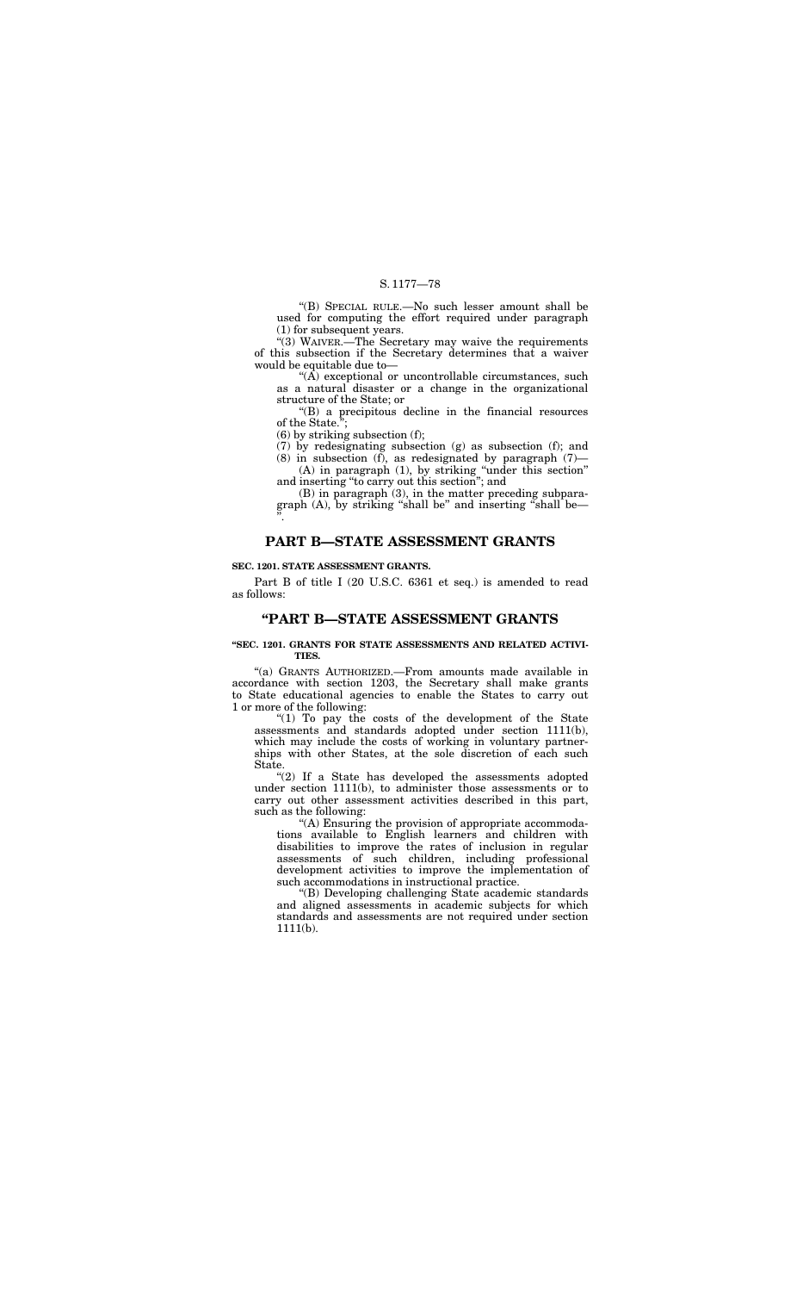''(B) SPECIAL RULE.—No such lesser amount shall be used for computing the effort required under paragraph (1) for subsequent years.

 $\mathcal{L}(\bar{A})$  exceptional or uncontrollable circumstances, such as a natural disaster or a change in the organizational structure of the State; or

''(3) WAIVER.—The Secretary may waive the requirements of this subsection if the Secretary determines that a waiver would be equitable due to—

''(B) a precipitous decline in the financial resources of the State.'';

(6) by striking subsection (f);

(7) by redesignating subsection (g) as subsection (f); and

 $(8)$  in subsection  $(6)$ , as redesignated by paragraph  $(7)$ —

(A) in paragraph (1), by striking ''under this section'' and inserting ''to carry out this section''; and

" $(1)$  To pay the costs of the development of the State assessments and standards adopted under section 1111(b), which may include the costs of working in voluntary partnerships with other States, at the sole discretion of each such State.

(B) in paragraph (3), in the matter preceding subparagraph (A), by striking ''shall be'' and inserting ''shall be— ''.

"(2) If a State has developed the assessments adopted under section 1111(b), to administer those assessments or to carry out other assessment activities described in this part, such as the following:

# **PART B—STATE ASSESSMENT GRANTS**

### **SEC. 1201. STATE ASSESSMENT GRANTS.**

Part B of title I (20 U.S.C. 6361 et seq.) is amended to read as follows:

# **''PART B—STATE ASSESSMENT GRANTS**

#### **''SEC. 1201. GRANTS FOR STATE ASSESSMENTS AND RELATED ACTIVI-TIES.**

''(a) GRANTS AUTHORIZED.—From amounts made available in accordance with section 1203, the Secretary shall make grants to State educational agencies to enable the States to carry out 1 or more of the following:

> ''(A) Ensuring the provision of appropriate accommodations available to English learners and children with disabilities to improve the rates of inclusion in regular assessments of such children, including professional development activities to improve the implementation of such accommodations in instructional practice.

> ''(B) Developing challenging State academic standards and aligned assessments in academic subjects for which standards and assessments are not required under section 1111(b).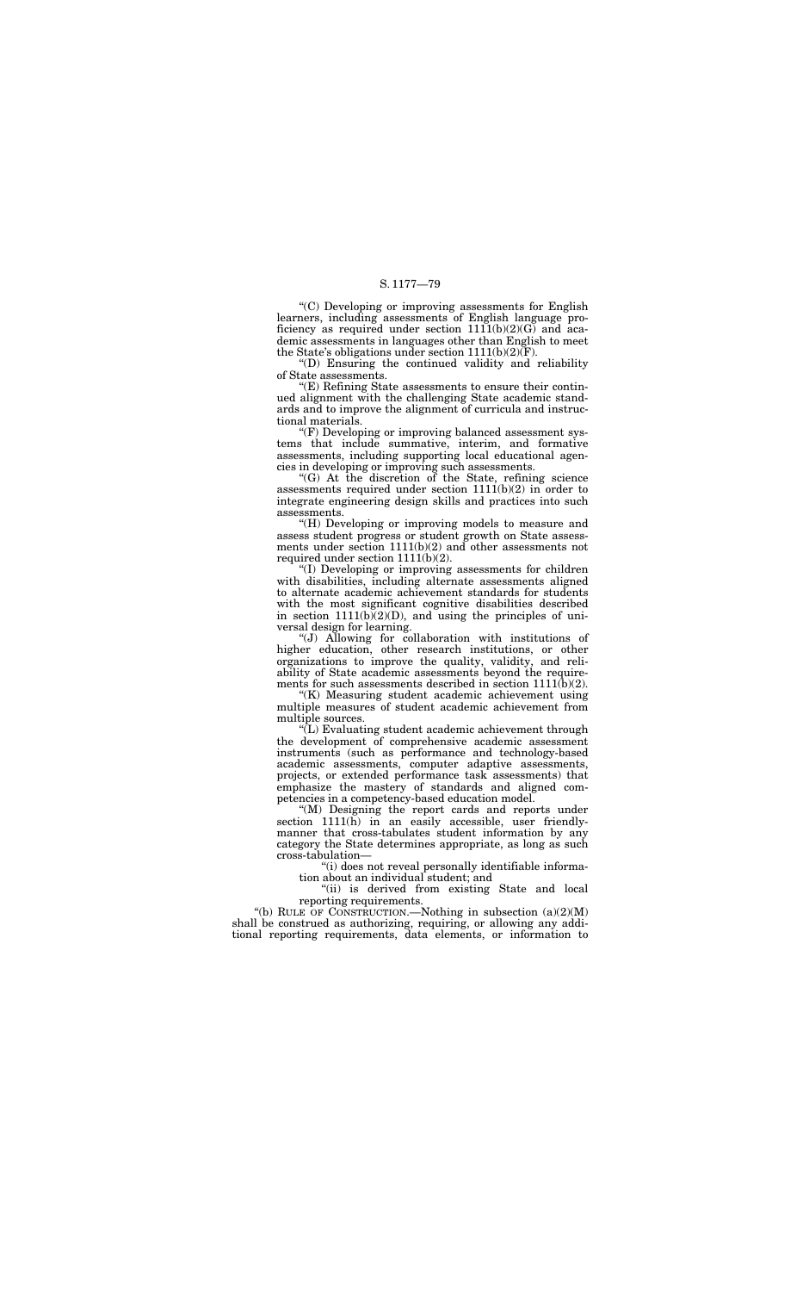''(C) Developing or improving assessments for English learners, including assessments of English language proficiency as required under section  $1111(b)(2)(G)$  and academic assessments in languages other than English to meet the State's obligations under section  $1111(b)(2)(F)$ .

 $E(E)$  Refining State assessments to ensure their continued alignment with the challenging State academic standards and to improve the alignment of curricula and instructional materials.

''(D) Ensuring the continued validity and reliability of State assessments.

''(F) Developing or improving balanced assessment systems that include summative, interim, and formative assessments, including supporting local educational agencies in developing or improving such assessments.

''(J) Allowing for collaboration with institutions of higher education, other research institutions, or other organizations to improve the quality, validity, and reliability of State academic assessments beyond the requirements for such assessments described in section  $1111(b)(2)$ .

''(G) At the discretion of the State, refining science assessments required under section 1111(b)(2) in order to integrate engineering design skills and practices into such assessments.

''(H) Developing or improving models to measure and assess student progress or student growth on State assessments under section 1111(b)(2) and other assessments not required under section 1111(b)(2).

 $\sqrt[n]{L}$  Evaluating student academic achievement through the development of comprehensive academic assessment instruments (such as performance and technology-based academic assessments, computer adaptive assessments, projects, or extended performance task assessments) that emphasize the mastery of standards and aligned competencies in a competency-based education model.

"(M) Designing the report cards and reports under section 1111(h) in an easily accessible, user friendlymanner that cross-tabulates student information by any category the State determines appropriate, as long as such cross-tabulation—

''(I) Developing or improving assessments for children with disabilities, including alternate assessments aligned to alternate academic achievement standards for students with the most significant cognitive disabilities described in section  $1111(b)(2)(D)$ , and using the principles of universal design for learning.

"(b) RULE OF CONSTRUCTION.—Nothing in subsection  $(a)(2)(M)$ shall be construed as authorizing, requiring, or allowing any additional reporting requirements, data elements, or information to

''(K) Measuring student academic achievement using multiple measures of student academic achievement from multiple sources.

''(i) does not reveal personally identifiable information about an individual student; and

''(ii) is derived from existing State and local reporting requirements.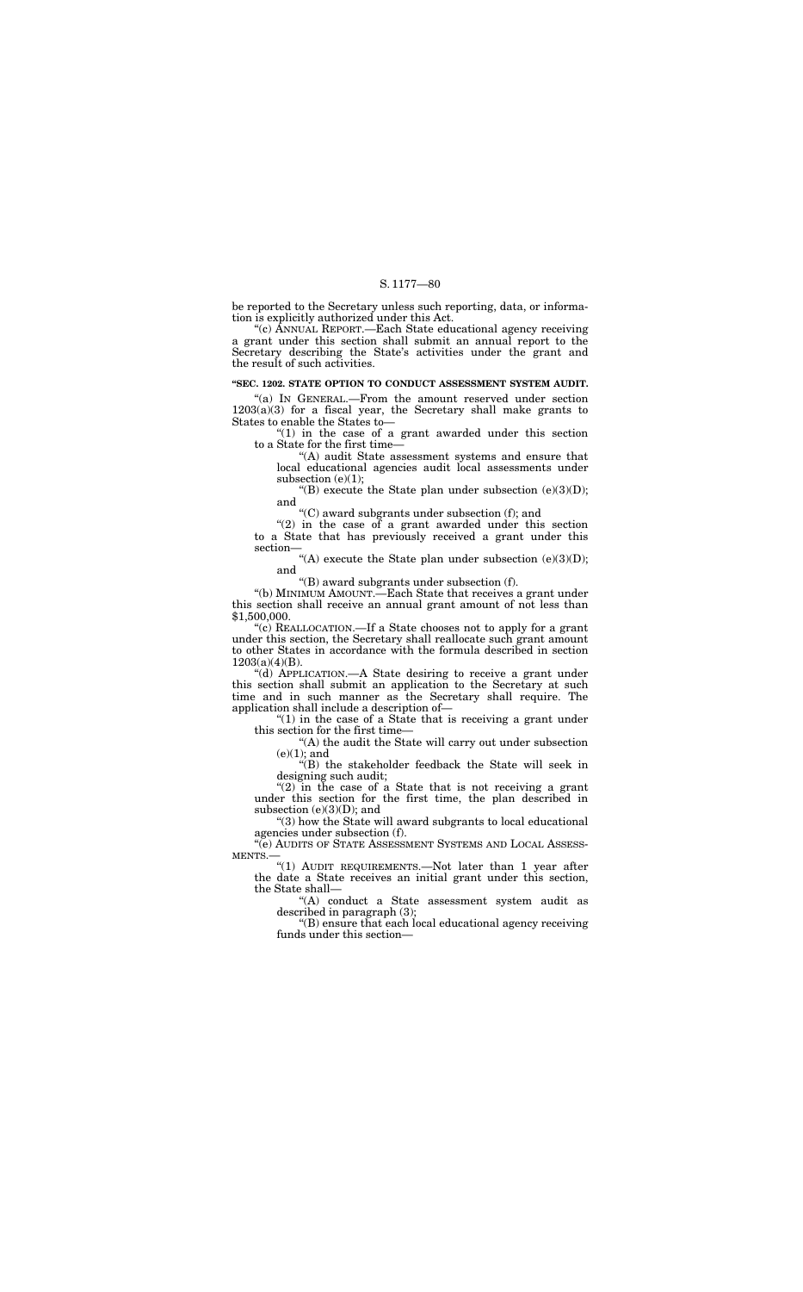be reported to the Secretary unless such reporting, data, or information is explicitly authorized under this Act.

''(c) ANNUAL REPORT.—Each State educational agency receiving a grant under this section shall submit an annual report to the Secretary describing the State's activities under the grant and the result of such activities.

"(a) IN GENERAL.—From the amount reserved under section  $1203(a)(3)$  for a fiscal year, the Secretary shall make grants to States to enable the States to—

" $(1)$  in the case of a grant awarded under this section to a State for the first time—

''(A) audit State assessment systems and ensure that local educational agencies audit local assessments under subsection (e)(1);

#### **''SEC. 1202. STATE OPTION TO CONDUCT ASSESSMENT SYSTEM AUDIT.**

"(B) execute the State plan under subsection  $(e)(3)(D)$ ; and

" $(2)$  in the case of a grant awarded under this section to a State that has previously received a grant under this section—

"(A) execute the State plan under subsection  $(e)(3)(D);$ and

"(c) REALLOCATION.—If a State chooses not to apply for a grant under this section, the Secretary shall reallocate such grant amount to other States in accordance with the formula described in section 1203(a)(4)(B).

''(C) award subgrants under subsection (f); and

" $(1)$  in the case of a State that is receiving a grant under this section for the first time—

''(A) the audit the State will carry out under subsection  $(e)(1)$ ; and

''(e) AUDITS OF STATE ASSESSMENT SYSTEMS AND LOCAL ASSESS-MENTS.

''(B) award subgrants under subsection (f).

''(b) MINIMUM AMOUNT.—Each State that receives a grant under this section shall receive an annual grant amount of not less than \$1,500,000.

''(d) APPLICATION.—A State desiring to receive a grant under this section shall submit an application to the Secretary at such time and in such manner as the Secretary shall require. The application shall include a description of—

> ''(B) the stakeholder feedback the State will seek in designing such audit;

" $(2)$  in the case of a State that is not receiving a grant under this section for the first time, the plan described in subsection  $(e)(3)(D)$ ; and

''(3) how the State will award subgrants to local educational agencies under subsection (f).

''(1) AUDIT REQUIREMENTS.—Not later than 1 year after the date a State receives an initial grant under this section, the State shall—

''(A) conduct a State assessment system audit as described in paragraph (3);

''(B) ensure that each local educational agency receiving funds under this section—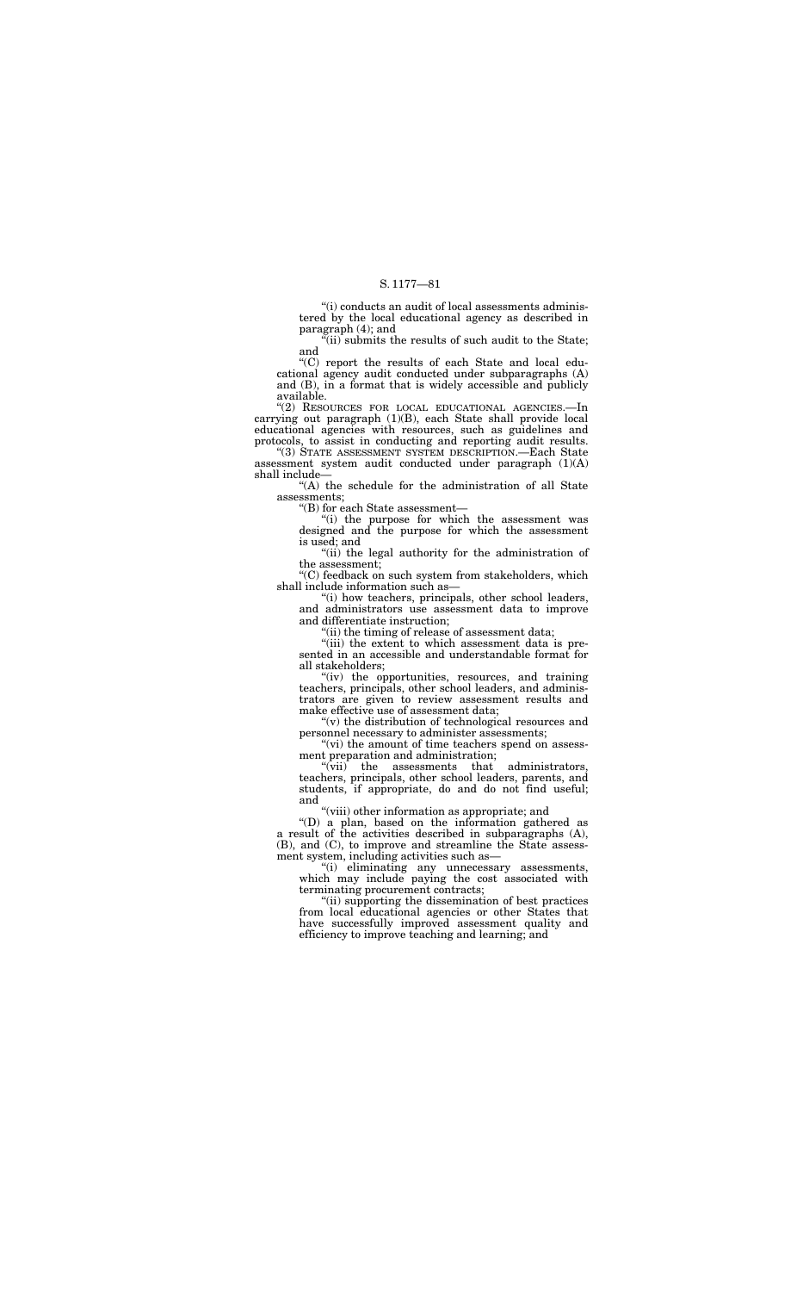''(i) conducts an audit of local assessments administered by the local educational agency as described in paragraph (4); and

''(ii) submits the results of such audit to the State; and

''(C) report the results of each State and local educational agency audit conducted under subparagraphs (A) and (B), in a format that is widely accessible and publicly available.

"(2) RESOURCES FOR LOCAL EDUCATIONAL AGENCIES.-In carrying out paragraph (1)(B), each State shall provide local educational agencies with resources, such as guidelines and protocols, to assist in conducting and reporting audit results.

"(A) the schedule for the administration of all State assessments;

"(ii) the legal authority for the administration of the assessment;

''(3) STATE ASSESSMENT SYSTEM DESCRIPTION.—Each State assessment system audit conducted under paragraph (1)(A) shall include—

> "(iii) the extent to which assessment data is presented in an accessible and understandable format for all stakeholders;

> "(iv) the opportunities, resources, and training teachers, principals, other school leaders, and administrators are given to review assessment results and make effective use of assessment data;

''(B) for each State assessment—

''(i) the purpose for which the assessment was designed and the purpose for which the assessment is used; and

"(vi) the amount of time teachers spend on assessment preparation and administration;

"(vii) the assessments that administrators, teachers, principals, other school leaders, parents, and students, if appropriate, do and do not find useful; and

''(C) feedback on such system from stakeholders, which shall include information such as—

''(i) how teachers, principals, other school leaders, and administrators use assessment data to improve and differentiate instruction;

''(ii) the timing of release of assessment data;

''(v) the distribution of technological resources and personnel necessary to administer assessments;

''(viii) other information as appropriate; and

''(D) a plan, based on the information gathered as a result of the activities described in subparagraphs (A), (B), and (C), to improve and streamline the State assessment system, including activities such as—

''(i) eliminating any unnecessary assessments, which may include paying the cost associated with terminating procurement contracts;

''(ii) supporting the dissemination of best practices from local educational agencies or other States that have successfully improved assessment quality and efficiency to improve teaching and learning; and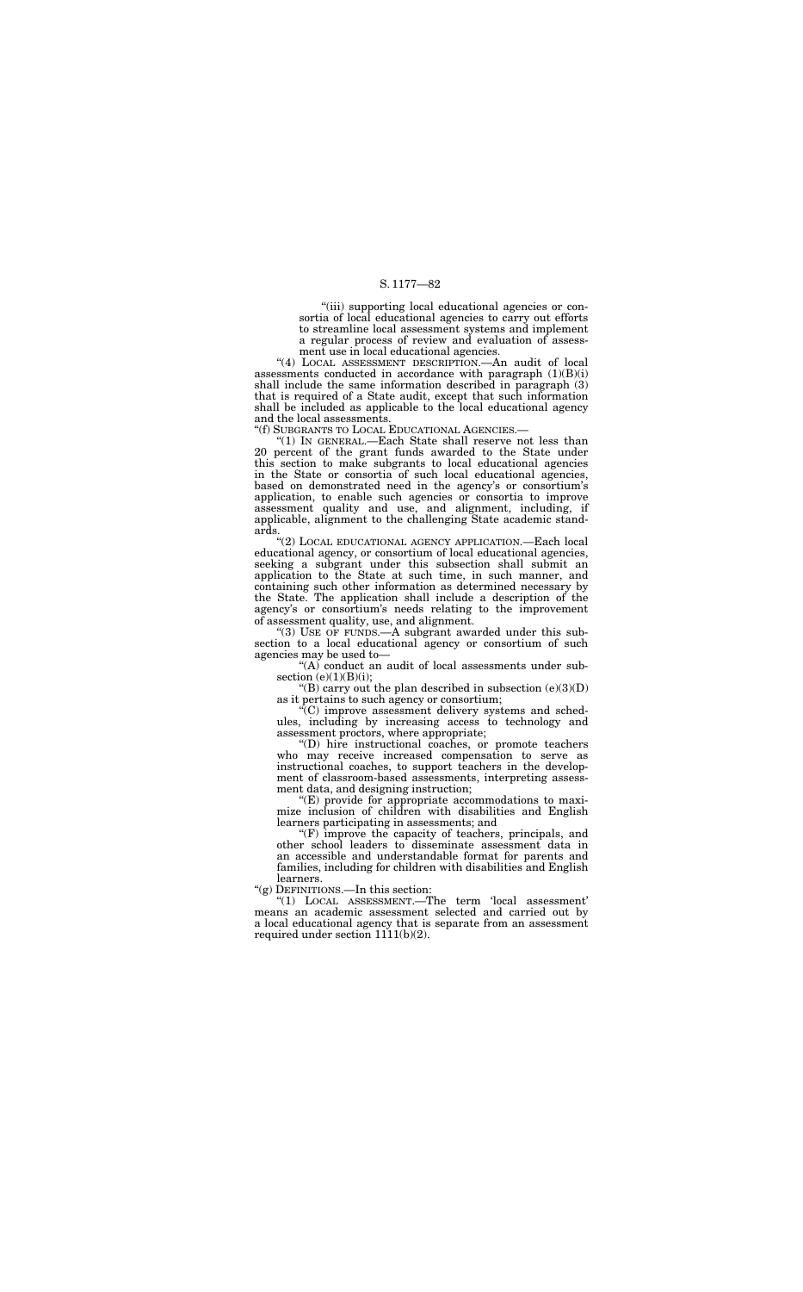"(iii) supporting local educational agencies or consortia of local educational agencies to carry out efforts to streamline local assessment systems and implement a regular process of review and evaluation of assessment use in local educational agencies.

"(4) LOCAL ASSESSMENT DESCRIPTION. An audit of local assessments conducted in accordance with paragraph  $(1)(B)(i)$ shall include the same information described in paragraph (3) that is required of a State audit, except that such information shall be included as applicable to the local educational agency and the local assessments.<br>"(f) SUBGRANTS TO LOCAL EDUCATIONAL AGENCIES.-

"(1) IN GENERAL.—Each State shall reserve not less than 20 percent of the grant funds awarded to the State under this section to make subgrants to local educational agencies in the State or consortia of such local educational agencies, based on demonstrated need in the agency's or consortium's application, to enable such agencies or consortia to improve assessment quality and use, and alignment, including, if applicable, alignment to the challenging State academic standards.

"(3) USE OF FUNDS.—A subgrant awarded under this subsection to a local educational agency or consortium of such agencies may be used to—

''(A) conduct an audit of local assessments under subsection (e)(1)(B)(i);

"(B) carry out the plan described in subsection  $(e)(3)(D)$ as it pertains to such agency or consortium;

''(2) LOCAL EDUCATIONAL AGENCY APPLICATION.—Each local educational agency, or consortium of local educational agencies, seeking a subgrant under this subsection shall submit an application to the State at such time, in such manner, and containing such other information as determined necessary by the State. The application shall include a description of the agency's or consortium's needs relating to the improvement of assessment quality, use, and alignment.

''(1) LOCAL ASSESSMENT.—The term 'local assessment' means an academic assessment selected and carried out by a local educational agency that is separate from an assessment required under section  $1111(b)(2)$ .

''(C) improve assessment delivery systems and schedules, including by increasing access to technology and assessment proctors, where appropriate;

''(D) hire instructional coaches, or promote teachers who may receive increased compensation to serve as instructional coaches, to support teachers in the development of classroom-based assessments, interpreting assessment data, and designing instruction;

''(E) provide for appropriate accommodations to maximize inclusion of children with disabilities and English learners participating in assessments; and

''(F) improve the capacity of teachers, principals, and other school leaders to disseminate assessment data in an accessible and understandable format for parents and families, including for children with disabilities and English learners.

"(g) DEFINITIONS.—In this section: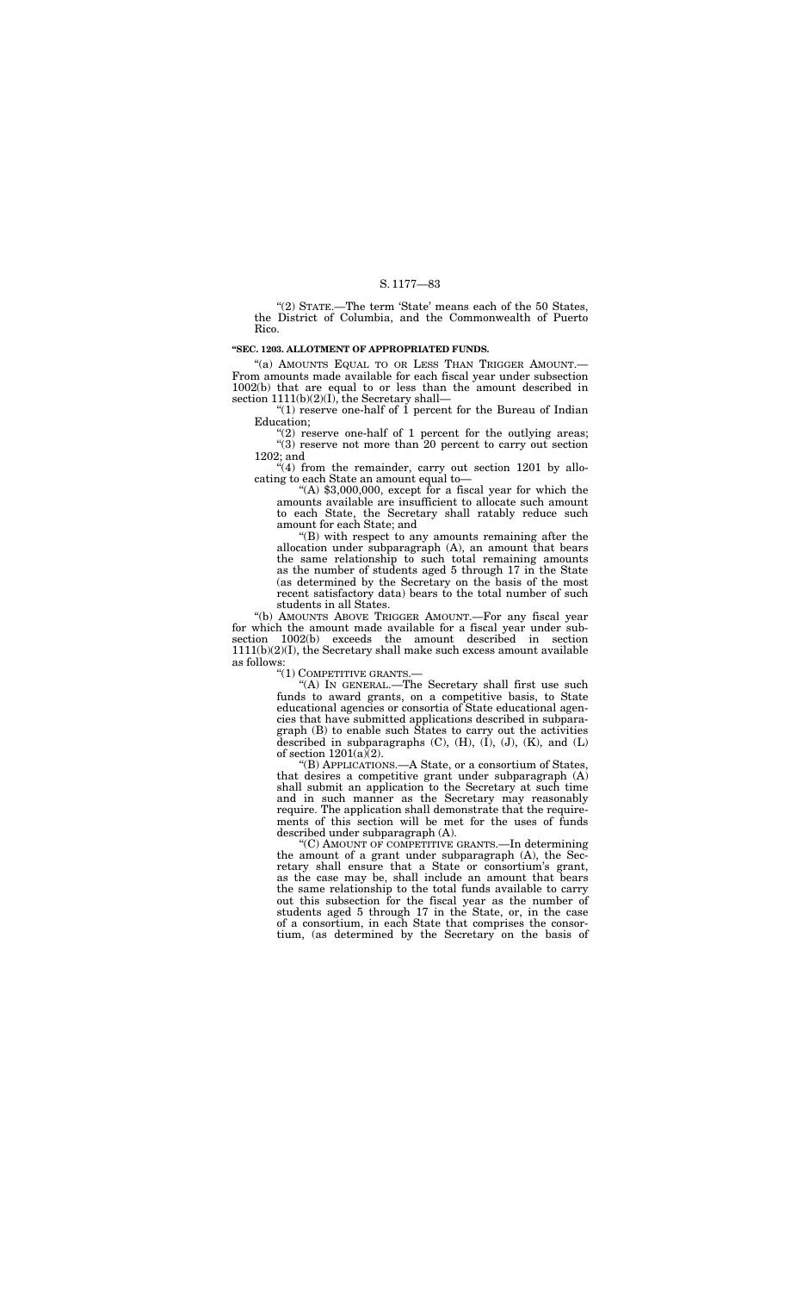"(2) STATE.—The term 'State' means each of the 50 States, the District of Columbia, and the Commonwealth of Puerto Rico.

#### **''SEC. 1203. ALLOTMENT OF APPROPRIATED FUNDS.**

"(a) AMOUNTS EQUAL TO OR LESS THAN TRIGGER AMOUNT. From amounts made available for each fiscal year under subsection 1002(b) that are equal to or less than the amount described in section  $1111(b)(2)(I)$ , the Secretary shall-

"(1) reserve one-half of 1 percent for the Bureau of Indian Education;

" $(2)$  reserve one-half of 1 percent for the outlying areas;  $(3)$  reserve not more than 20 percent to carry out section 1202; and

 $*(4)$  from the remainder, carry out section 1201 by allocating to each State an amount equal to—

''(A) IN GENERAL.—The Secretary shall first use such funds to award grants, on a competitive basis, to State educational agencies or consortia of State educational agencies that have submitted applications described in subparagraph (B) to enable such States to carry out the activities described in subparagraphs  $(C)$ ,  $(H)$ ,  $(I)$ ,  $(J)$ ,  $(K)$ , and  $(L)$ of section  $1201(a)\overline{(2)}$ .

''(A) \$3,000,000, except for a fiscal year for which the amounts available are insufficient to allocate such amount to each State, the Secretary shall ratably reduce such amount for each State; and

''(B) with respect to any amounts remaining after the allocation under subparagraph (A), an amount that bears the same relationship to such total remaining amounts as the number of students aged 5 through 17 in the State (as determined by the Secretary on the basis of the most recent satisfactory data) bears to the total number of such students in all States.

''(b) AMOUNTS ABOVE TRIGGER AMOUNT.—For any fiscal year for which the amount made available for a fiscal year under subsection 1002(b) exceeds the amount described in section 1111(b)(2)(I), the Secretary shall make such excess amount available as follows:

''(1) COMPETITIVE GRANTS.—

''(B) APPLICATIONS.—A State, or a consortium of States, that desires a competitive grant under subparagraph (A) shall submit an application to the Secretary at such time and in such manner as the Secretary may reasonably require. The application shall demonstrate that the requirements of this section will be met for the uses of funds described under subparagraph (A).

''(C) AMOUNT OF COMPETITIVE GRANTS.—In determining the amount of a grant under subparagraph (A), the Secretary shall ensure that a State or consortium's grant, as the case may be, shall include an amount that bears the same relationship to the total funds available to carry out this subsection for the fiscal year as the number of students aged 5 through 17 in the State, or, in the case of a consortium, in each State that comprises the consortium, (as determined by the Secretary on the basis of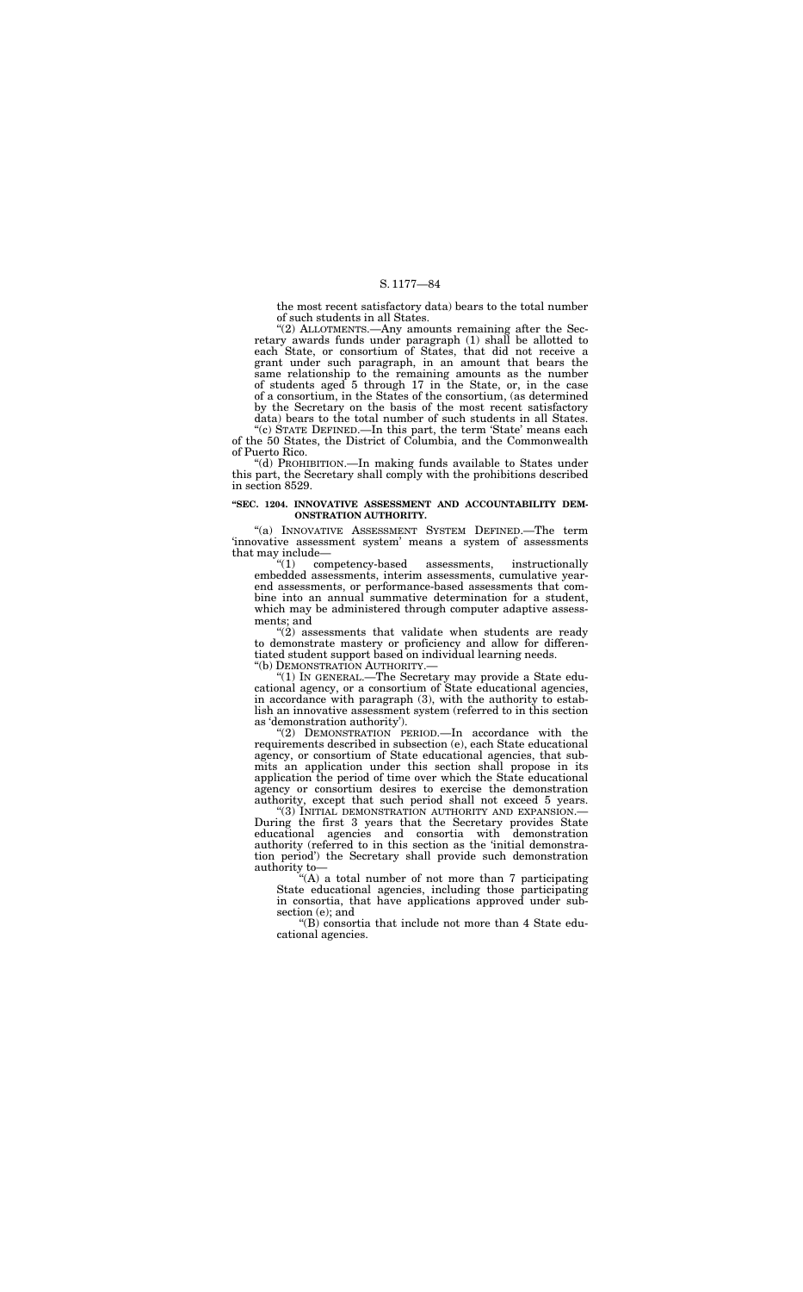the most recent satisfactory data) bears to the total number of such students in all States.

"(2) ALLOTMENTS.—Any amounts remaining after the Secretary awards funds under paragraph (1) shall be allotted to each State, or consortium of States, that did not receive a grant under such paragraph, in an amount that bears the same relationship to the remaining amounts as the number of students aged 5 through 17 in the State, or, in the case of a consortium, in the States of the consortium, (as determined by the Secretary on the basis of the most recent satisfactory data) bears to the total number of such students in all States.

"(c) STATE DEFINED.—In this part, the term 'State' means each of the 50 States, the District of Columbia, and the Commonwealth of Puerto Rico.

''(a) INNOVATIVE ASSESSMENT SYSTEM DEFINED.—The term 'innovative assessment system' means a system of assessments that may include— $(1)$  co.

competency-based assessments, instructionally embedded assessments, interim assessments, cumulative yearend assessments, or performance-based assessments that combine into an annual summative determination for a student, which may be administered through computer adaptive assessments; and

" $(2)$  assessments that validate when students are ready to demonstrate mastery or proficiency and allow for differentiated student support based on individual learning needs.

''(d) PROHIBITION.—In making funds available to States under this part, the Secretary shall comply with the prohibitions described in section 8529.

"(1) IN GENERAL.—The Secretary may provide a State educational agency, or a consortium of State educational agencies, in accordance with paragraph (3), with the authority to establish an innovative assessment system (referred to in this section as 'demonstration authority').

#### **''SEC. 1204. INNOVATIVE ASSESSMENT AND ACCOUNTABILITY DEM-ONSTRATION AUTHORITY.**

"(2) DEMONSTRATION PERIOD.—In accordance with the requirements described in subsection (e), each State educational agency, or consortium of State educational agencies, that submits an application under this section shall propose in its application the period of time over which the State educational agency or consortium desires to exercise the demonstration authority, except that such period shall not exceed 5 years.

"(3) INITIAL DEMONSTRATION AUTHORITY AND EXPANSION.— During the first 3 years that the Secretary provides State educational agencies and consortia with demonstration authority (referred to in this section as the 'initial demonstration period') the Secretary shall provide such demonstration authority to—

''(A) a total number of not more than 7 participating State educational agencies, including those participating in consortia, that have applications approved under subsection (e); and

''(B) consortia that include not more than 4 State educational agencies.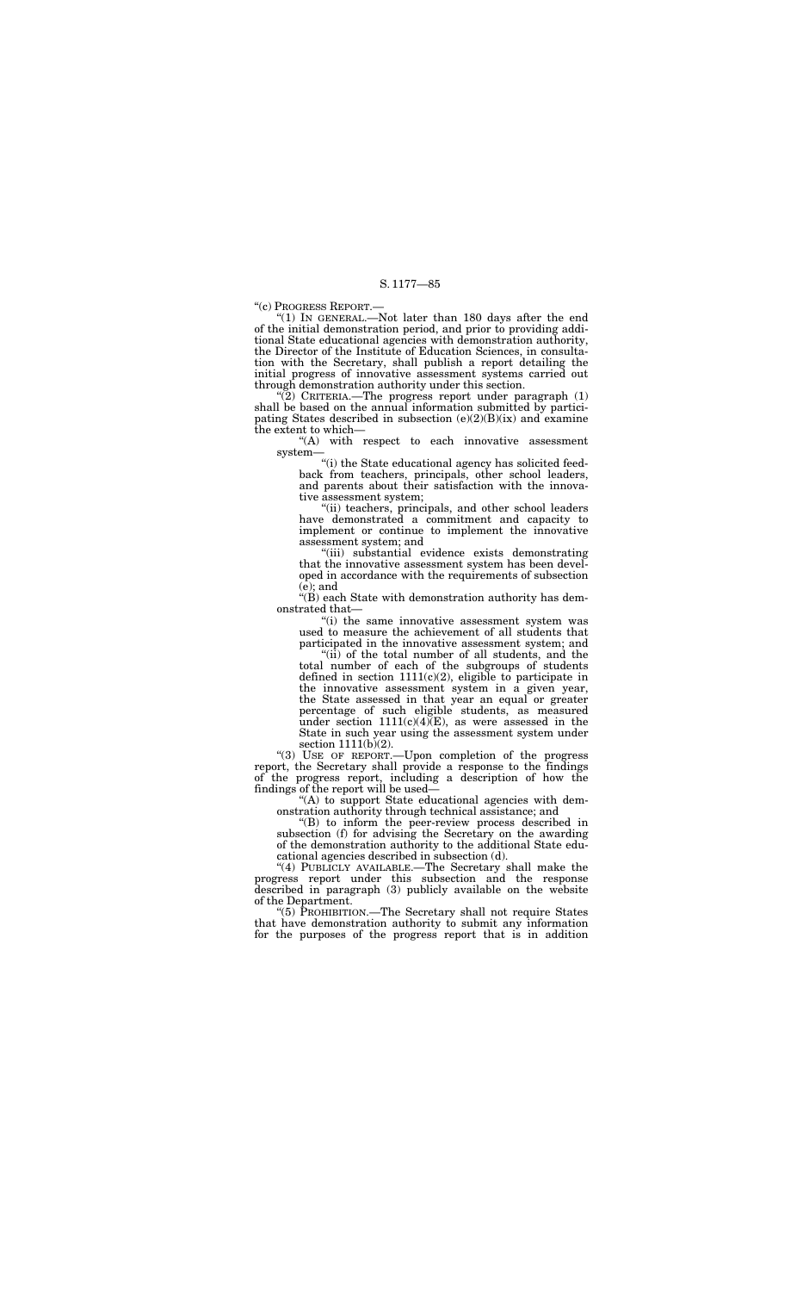''(c) PROGRESS REPORT.— ''(1) IN GENERAL.—Not later than 180 days after the end of the initial demonstration period, and prior to providing additional State educational agencies with demonstration authority, the Director of the Institute of Education Sciences, in consultation with the Secretary, shall publish a report detailing the initial progress of innovative assessment systems carried out through demonstration authority under this section.

 $(2)$  CRITERIA.—The progress report under paragraph  $(1)$ shall be based on the annual information submitted by participating States described in subsection (e)(2)(B)(ix) and examine the extent to which—

"(A) with respect to each innovative assessment system—

"(i) the State educational agency has solicited feedback from teachers, principals, other school leaders, and parents about their satisfaction with the innovative assessment system;

"(ii) teachers, principals, and other school leaders have demonstrated a commitment and capacity to implement or continue to implement the innovative assessment system; and

''(iii) substantial evidence exists demonstrating that the innovative assessment system has been developed in accordance with the requirements of subsection (e); and

''(B) each State with demonstration authority has demonstrated that—

''(i) the same innovative assessment system was used to measure the achievement of all students that participated in the innovative assessment system; and

"(ii) of the total number of all students, and the total number of each of the subgroups of students defined in section  $1111(c)(2)$ , eligible to participate in the innovative assessment system in a given year, the State assessed in that year an equal or greater percentage of such eligible students, as measured under section  $1111(c)(4)(E)$ , as were assessed in the State in such year using the assessment system under section  $1111(b)(2)$ .

''(3) USE OF REPORT.—Upon completion of the progress report, the Secretary shall provide a response to the findings of the progress report, including a description of how the findings of the report will be used—

''(A) to support State educational agencies with demonstration authority through technical assistance; and

''(B) to inform the peer-review process described in subsection (f) for advising the Secretary on the awarding of the demonstration authority to the additional State educational agencies described in subsection (d).

''(4) PUBLICLY AVAILABLE.—The Secretary shall make the progress report under this subsection and the response described in paragraph (3) publicly available on the website of the Department.

''(5) PROHIBITION.—The Secretary shall not require States that have demonstration authority to submit any information for the purposes of the progress report that is in addition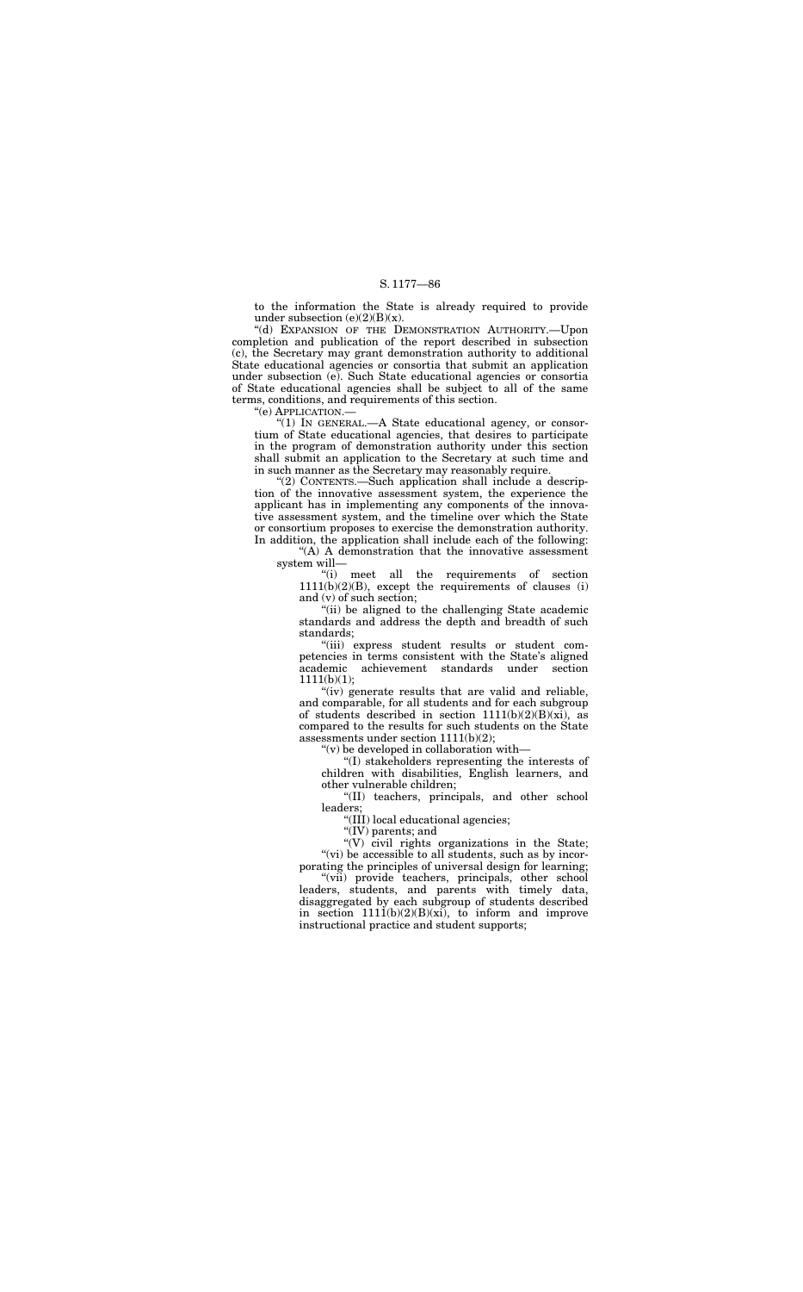to the information the State is already required to provide under subsection  $(e)(2)(B)(x)$ .

''(d) EXPANSION OF THE DEMONSTRATION AUTHORITY.—Upon completion and publication of the report described in subsection (c), the Secretary may grant demonstration authority to additional State educational agencies or consortia that submit an application under subsection (e). Such State educational agencies or consortia of State educational agencies shall be subject to all of the same terms, conditions, and requirements of this section.

"(1) In GENERAL.—A State educational agency, or consortium of State educational agencies, that desires to participate in the program of demonstration authority under this section shall submit an application to the Secretary at such time and in such manner as the Secretary may reasonably require.

''(e) APPLICATION.—

"(A) A demonstration that the innovative assessment system will—

''(iii) express student results or student competencies in terms consistent with the State's aligned academic achievement standards under section  $1111(b)(1);$ 

"(iv) generate results that are valid and reliable, and comparable, for all students and for each subgroup of students described in section  $1111(b)(2)(B)(xi)$ , as compared to the results for such students on the State assessments under section 1111(b)(2);

" $(v)$  be developed in collaboration with—

''(2) CONTENTS.—Such application shall include a description of the innovative assessment system, the experience the applicant has in implementing any components of the innovative assessment system, and the timeline over which the State or consortium proposes to exercise the demonstration authority. In addition, the application shall include each of the following:

> "(vii) provide teachers, principals, other school leaders, students, and parents with timely data, disaggregated by each subgroup of students described in section  $111\text{I}(b)(2)(B)(x\bar{i})$ , to inform and improve instructional practice and student supports;

''(i) meet all the requirements of section 1111(b)(2)(B), except the requirements of clauses (i) and (v) of such section;

''(ii) be aligned to the challenging State academic standards and address the depth and breadth of such standards;

''(I) stakeholders representing the interests of children with disabilities, English learners, and other vulnerable children;

''(II) teachers, principals, and other school leaders;

''(III) local educational agencies;

''(IV) parents; and

''(V) civil rights organizations in the State; " $(vi)$  be accessible to all students, such as by incorporating the principles of universal design for learning;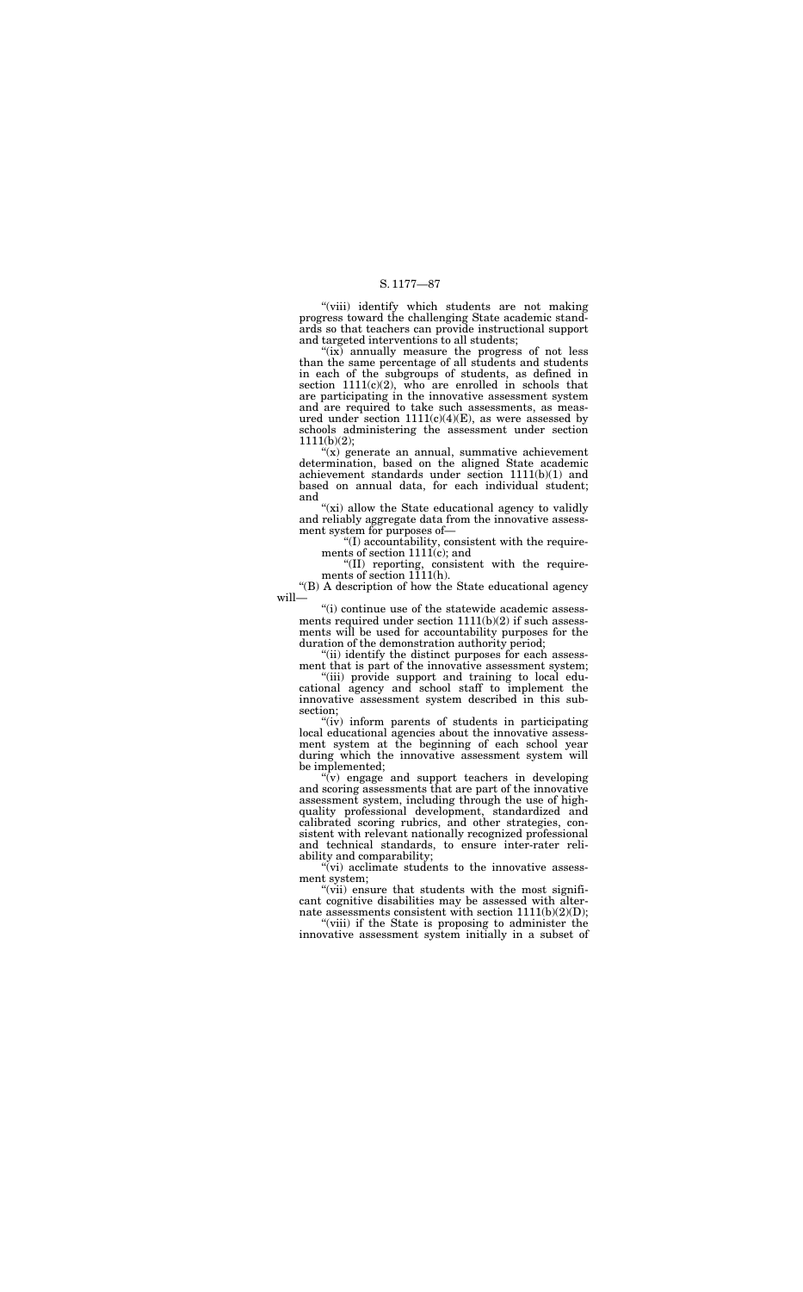"(viii) identify which students are not making progress toward the challenging State academic standards so that teachers can provide instructional support and targeted interventions to all students;

"(ix) annually measure the progress of not less than the same percentage of all students and students in each of the subgroups of students, as defined in section  $1111(c)(2)$ , who are enrolled in schools that are participating in the innovative assessment system and are required to take such assessments, as measured under section  $1111(c)(4)(E)$ , as were assessed by schools administering the assessment under section 1111(b)(2);

"(xi) allow the State educational agency to validly and reliably aggregate data from the innovative assessment system for purposes of—

''(x) generate an annual, summative achievement determination, based on the aligned State academic achievement standards under section 1111(b)(1) and based on annual data, for each individual student; and

"(ii) identify the distinct purposes for each assessment that is part of the innovative assessment system;

"(iii) provide support and training to local educational agency and school staff to implement the innovative assessment system described in this subsection;

"(iv) inform parents of students in participating local educational agencies about the innovative assessment system at the beginning of each school year during which the innovative assessment system will be implemented;

''(I) accountability, consistent with the requirements of section 1111(c); and

''(II) reporting, consistent with the requirements of section 1111(h).

 $\sqrt[n]{v}$  engage and support teachers in developing and scoring assessments that are part of the innovative assessment system, including through the use of highquality professional development, standardized and calibrated scoring rubrics, and other strategies, consistent with relevant nationally recognized professional and technical standards, to ensure inter-rater reliability and comparability;

''(B) A description of how the State educational agency will—

"(vi) acclimate students to the innovative assessment system;

''(vii) ensure that students with the most significant cognitive disabilities may be assessed with alternate assessments consistent with section  $1111(b)(2)(D)$ ;

''(i) continue use of the statewide academic assessments required under section 1111(b)(2) if such assessments will be used for accountability purposes for the duration of the demonstration authority period;

"(viii) if the State is proposing to administer the innovative assessment system initially in a subset of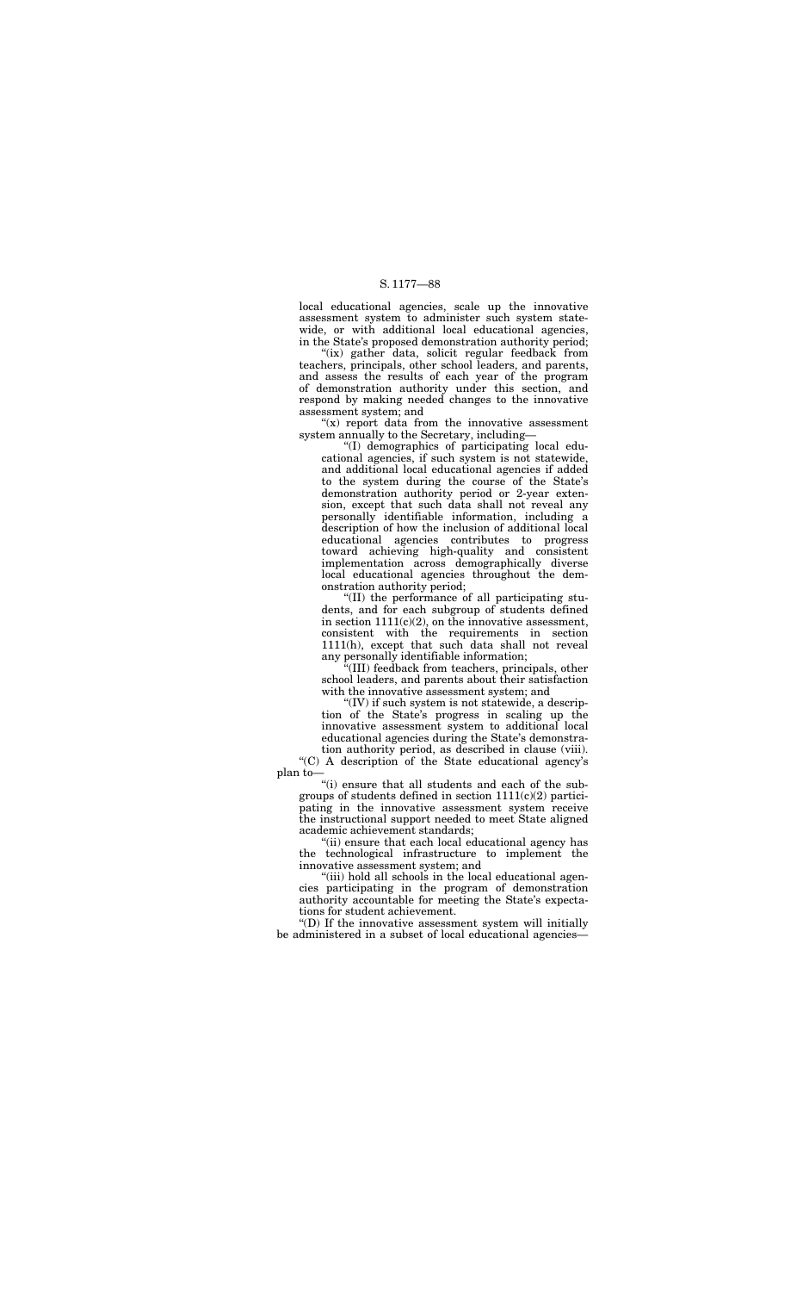local educational agencies, scale up the innovative assessment system to administer such system statewide, or with additional local educational agencies, in the State's proposed demonstration authority period;

"(ix) gather data, solicit regular feedback from teachers, principals, other school leaders, and parents, and assess the results of each year of the program of demonstration authority under this section, and respond by making needed changes to the innovative assessment system; and

" $(x)$  report data from the innovative assessment system annually to the Secretary, including—

''(I) demographics of participating local educational agencies, if such system is not statewide, and additional local educational agencies if added to the system during the course of the State's demonstration authority period or 2-year extension, except that such data shall not reveal any personally identifiable information, including a description of how the inclusion of additional local educational agencies contributes to progress toward achieving high-quality and consistent implementation across demographically diverse local educational agencies throughout the demonstration authority period;

 $''(IV)$  if such system is not statewide, a description of the State's progress in scaling up the innovative assessment system to additional local educational agencies during the State's demonstration authority period, as described in clause (viii).

"(ii) ensure that each local educational agency has the technological infrastructure to implement the innovative assessment system; and

"(iii) hold all schools in the local educational agencies participating in the program of demonstration authority accountable for meeting the State's expectations for student achievement.

''(II) the performance of all participating students, and for each subgroup of students defined in section  $1111(c)(2)$ , on the innovative assessment, consistent with the requirements in section 1111(h), except that such data shall not reveal any personally identifiable information;

''(III) feedback from teachers, principals, other school leaders, and parents about their satisfaction with the innovative assessment system; and

''(C) A description of the State educational agency's plan to—

''(i) ensure that all students and each of the subgroups of students defined in section  $1111(c)(2)$  participating in the innovative assessment system receive the instructional support needed to meet State aligned academic achievement standards;

''(D) If the innovative assessment system will initially be administered in a subset of local educational agencies—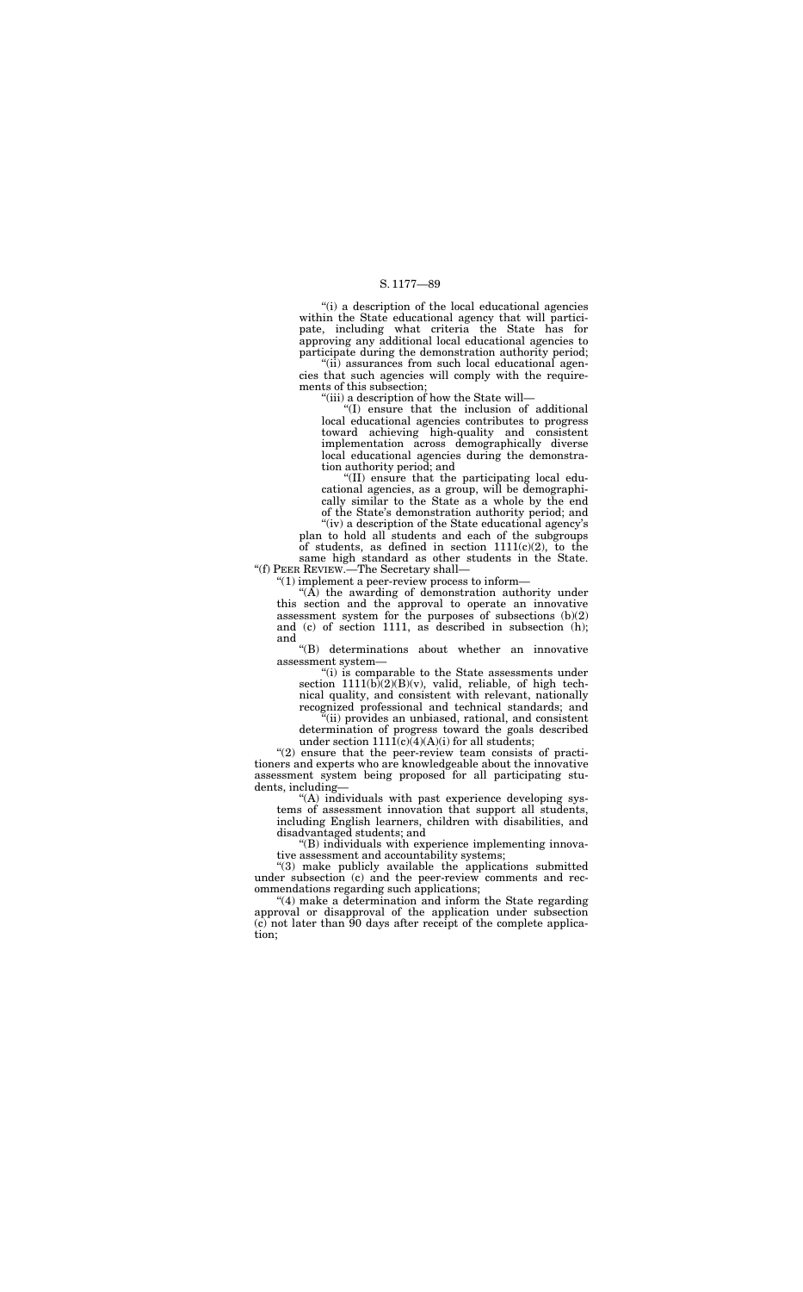''(i) a description of the local educational agencies within the State educational agency that will participate, including what criteria the State has for approving any additional local educational agencies to participate during the demonstration authority period;

"(ii) assurances from such local educational agencies that such agencies will comply with the requirements of this subsection;

> $f(I)$  ensure that the inclusion of additional local educational agencies contributes to progress toward achieving high-quality and consistent implementation across demographically diverse local educational agencies during the demonstration authority period; and

> ''(II) ensure that the participating local educational agencies, as a group, will be demographically similar to the State as a whole by the end of the State's demonstration authority period; and  $\frac{u}{v}$  and  $\frac{v}{v}$  are state's demonstration authority period; and "(iv) a description of the State educational agency's

''(iii) a description of how the State will—

plan to hold all students and each of the subgroups of students, as defined in section  $1111(c)(2)$ , to the same high standard as other students in the State. ''(f) PEER REVIEW.—The Secretary shall—

" $(\hat{A})$  the awarding of demonstration authority under this section and the approval to operate an innovative assessment system for the purposes of subsections  $(b)(2)$ and (c) of section 1111, as described in subsection (h); and

''(i) is comparable to the State assessments under section  $1111(b)(2)(B)(v)$ , valid, reliable, of high technical quality, and consistent with relevant, nationally recognized professional and technical standards; and "(ii) provides an unbiased, rational, and consistent determination of progress toward the goals described under section  $111\overline{1}(c)(4)(A)(i)$  for all students;

"(2) ensure that the peer-review team consists of practitioners and experts who are knowledgeable about the innovative assessment system being proposed for all participating students, including—

"(A) individuals with past experience developing systems of assessment innovation that support all students, including English learners, children with disabilities, and disadvantaged students; and

''(1) implement a peer-review process to inform—

"(3) make publicly available the applications submitted under subsection (c) and the peer-review comments and recommendations regarding such applications;

"(4) make a determination and inform the State regarding approval or disapproval of the application under subsection (c) not later than 90 days after receipt of the complete application;

''(B) determinations about whether an innovative assessment system—

''(B) individuals with experience implementing innovative assessment and accountability systems;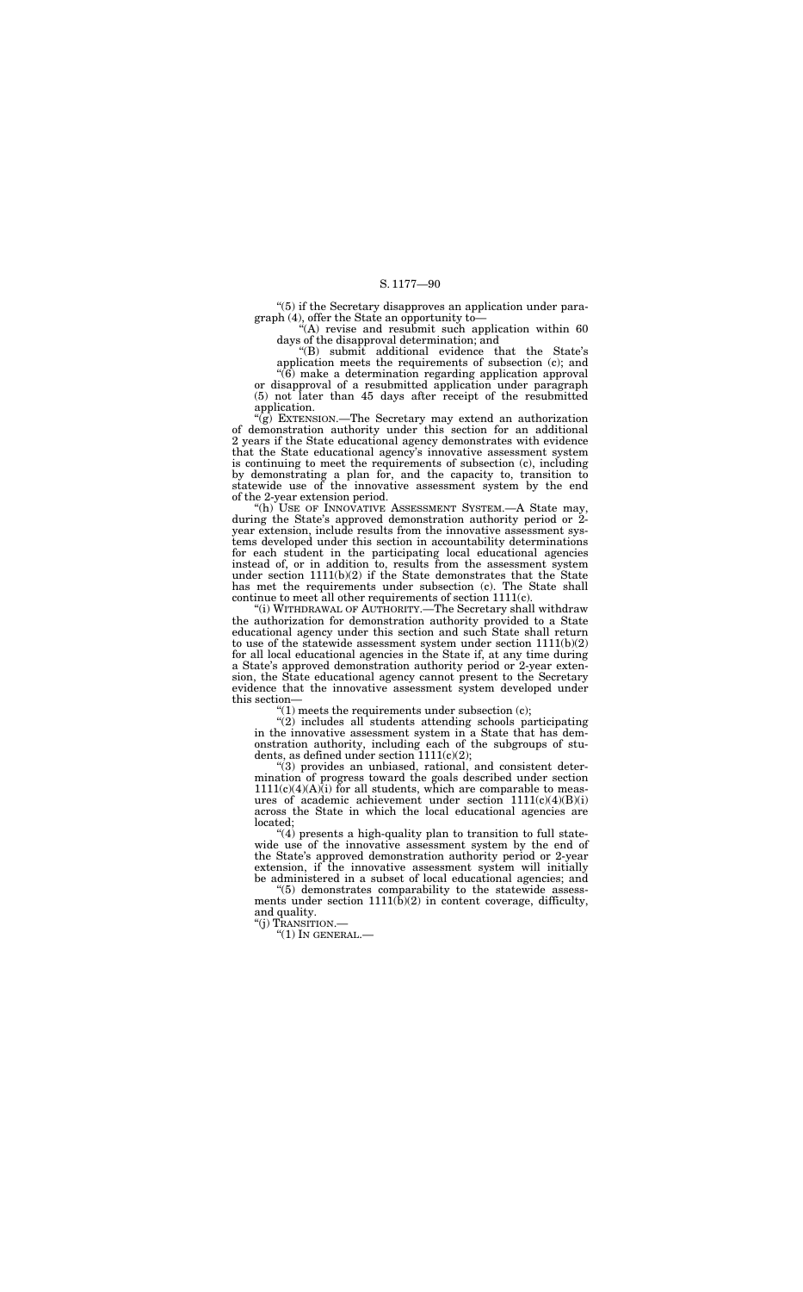''(5) if the Secretary disapproves an application under paragraph (4), offer the State an opportunity to—

"(A) revise and resubmit such application within 60 days of the disapproval determination; and

''(B) submit additional evidence that the State's application meets the requirements of subsection (c); and ''(6) make a determination regarding application approval

or disapproval of a resubmitted application under paragraph (5) not later than 45 days after receipt of the resubmitted application.

''(g) EXTENSION.—The Secretary may extend an authorization of demonstration authority under this section for an additional 2 years if the State educational agency demonstrates with evidence that the State educational agency's innovative assessment system is continuing to meet the requirements of subsection (c), including by demonstrating a plan for, and the capacity to, transition to statewide use of the innovative assessment system by the end of the 2-year extension period.

"(h) USE OF INNOVATIVE ASSESSMENT SYSTEM.—A State may, during the State's approved demonstration authority period or 2 year extension, include results from the innovative assessment systems developed under this section in accountability determinations for each student in the participating local educational agencies instead of, or in addition to, results from the assessment system under section  $1111(b)(2)$  if the State demonstrates that the State has met the requirements under subsection (c). The State shall continue to meet all other requirements of section 1111(c).

"(4) presents a high-quality plan to transition to full statewide use of the innovative assessment system by the end of the State's approved demonstration authority period or 2-year extension, if the innovative assessment system will initially be administered in a subset of local educational agencies; and

''(5) demonstrates comparability to the statewide assessments under section  $1111(b)(2)$  in content coverage, difficulty, and quality.<br>"(j) TRANSITION.—

 $''(1)$  In general.—

''(i) WITHDRAWAL OF AUTHORITY.—The Secretary shall withdraw the authorization for demonstration authority provided to a State educational agency under this section and such State shall return to use of the statewide assessment system under section  $1111(b)(2)$ for all local educational agencies in the State if, at any time during a State's approved demonstration authority period or 2-year extension, the State educational agency cannot present to the Secretary evidence that the innovative assessment system developed under this section—

 $''(1)$  meets the requirements under subsection  $(c)$ ;

 $''(2)$  includes all students attending schools participating in the innovative assessment system in a State that has demonstration authority, including each of the subgroups of students, as defined under section  $1111(c)(2)$ ;

''(3) provides an unbiased, rational, and consistent determination of progress toward the goals described under section  $1111(c)(4)(A)(i)$  for all students, which are comparable to measures of academic achievement under section  $1111(c)(4)(B)(i)$ across the State in which the local educational agencies are located;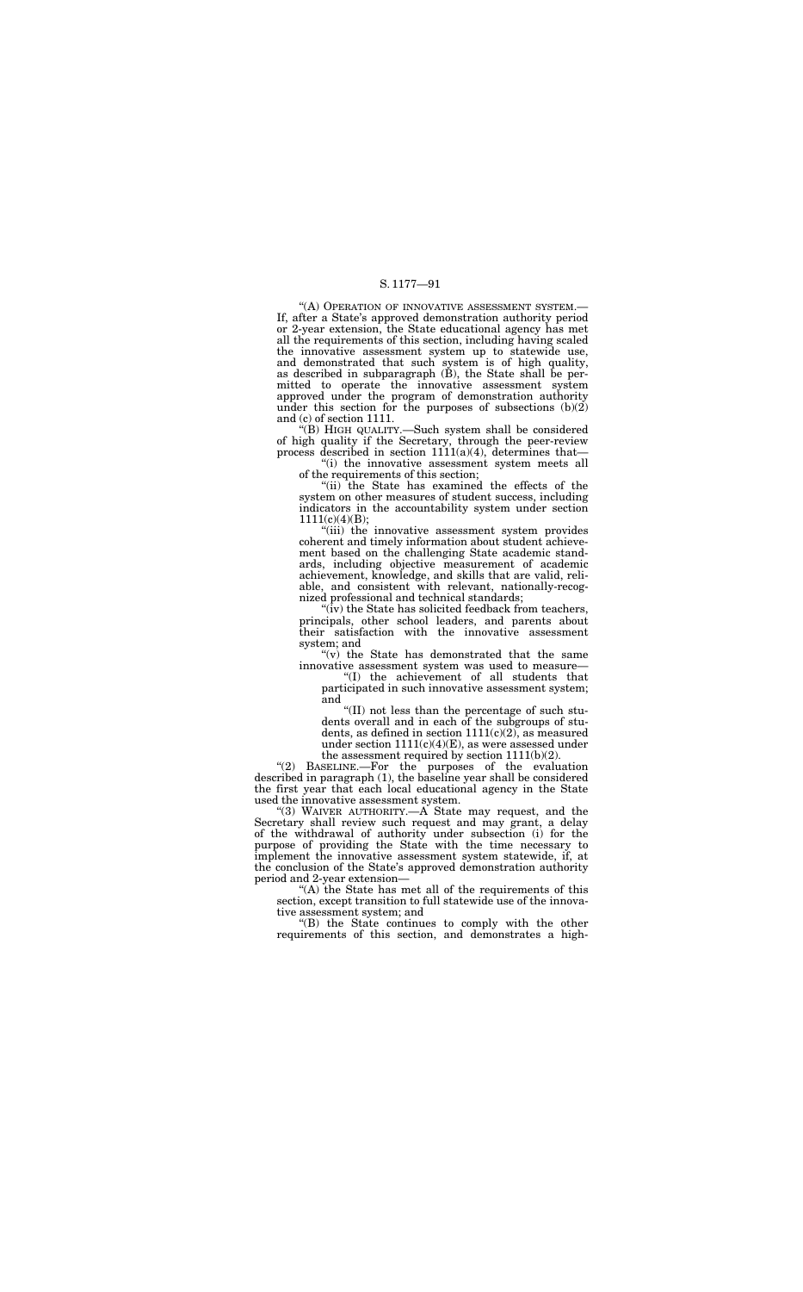''(B) HIGH QUALITY.—Such system shall be considered of high quality if the Secretary, through the peer-review process described in section  $1111(a)(4)$ , determines that—

''(A) OPERATION OF INNOVATIVE ASSESSMENT SYSTEM.— If, after a State's approved demonstration authority period or 2-year extension, the State educational agency has met all the requirements of this section, including having scaled the innovative assessment system up to statewide use, and demonstrated that such system is of high quality, as described in subparagraph (B), the State shall be permitted to operate the innovative assessment system approved under the program of demonstration authority under this section for the purposes of subsections  $(b)(2)$ and (c) of section 1111.

''(ii) the State has examined the effects of the system on other measures of student success, including indicators in the accountability system under section  $1111(c)(4)(B);$ 

"(iv) the State has solicited feedback from teachers, principals, other school leaders, and parents about their satisfaction with the innovative assessment system; and

''(i) the innovative assessment system meets all of the requirements of this section;

" $(v)$  the State has demonstrated that the same innovative assessment system was used to measure—

''(II) not less than the percentage of such students overall and in each of the subgroups of students, as defined in section  $1111(c)(2)$ , as measured under section  $1111(c)(4)(E)$ , as were assessed under the assessment required by section  $1111(b)(2)$ .

"(2) BASELINE.—For the purposes of the evaluation described in paragraph (1), the baseline year shall be considered the first year that each local educational agency in the State used the innovative assessment system.

''(iii) the innovative assessment system provides coherent and timely information about student achievement based on the challenging State academic standards, including objective measurement of academic achievement, knowledge, and skills that are valid, reliable, and consistent with relevant, nationally-recognized professional and technical standards;

"(3) WAIVER AUTHORITY.—A State may request, and the Secretary shall review such request and may grant, a delay of the withdrawal of authority under subsection (i) for the purpose of providing the State with the time necessary to implement the innovative assessment system statewide, if, at the conclusion of the State's approved demonstration authority period and 2-year extension—

"(A) the State has met all of the requirements of this section, except transition to full statewide use of the innovative assessment system; and

''(I) the achievement of all students that participated in such innovative assessment system; and

''(B) the State continues to comply with the other requirements of this section, and demonstrates a high-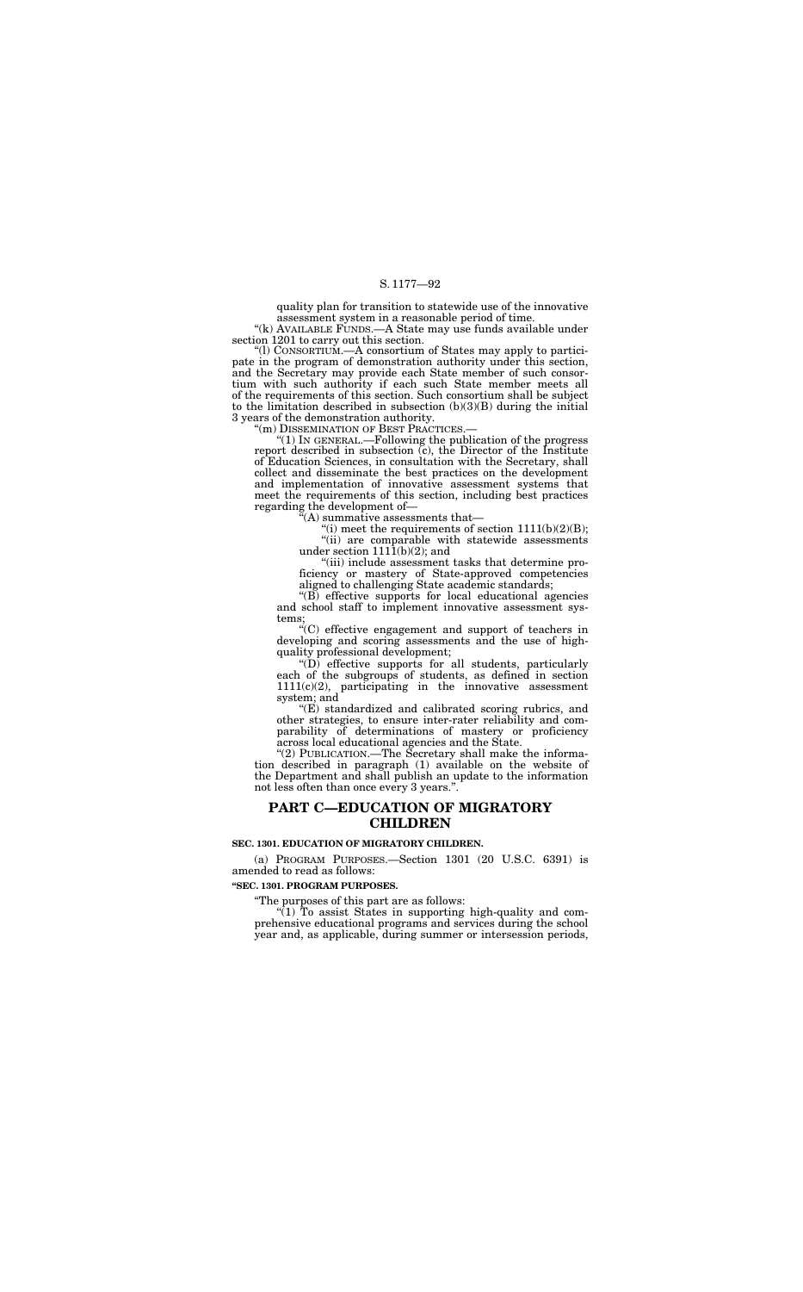quality plan for transition to statewide use of the innovative assessment system in a reasonable period of time.

"(k) AVAILABLE FUNDS.—A State may use funds available under section 1201 to carry out this section.

''(l) CONSORTIUM.—A consortium of States may apply to participate in the program of demonstration authority under this section, and the Secretary may provide each State member of such consortium with such authority if each such State member meets all of the requirements of this section. Such consortium shall be subject to the limitation described in subsection  $(b)(3)(B)$  during the initial 3 years of the demonstration authority.<br>"(m) DISSEMINATION OF BEST PRACTICES.

" $(1)$  In GENERAL.—Following the publication of the progress. report described in subsection (c), the Director of the Institute of Education Sciences, in consultation with the Secretary, shall collect and disseminate the best practices on the development and implementation of innovative assessment systems that meet the requirements of this section, including best practices regarding the development of—

 $\mathbf{H}^{\alpha}$ (A) summative assessments that—

"(i) meet the requirements of section  $1111(b)(2)(B);$ 

''(ii) are comparable with statewide assessments under section  $111\overline{1}$ (b)(2); and

"(B) effective supports for local educational agencies and school staff to implement innovative assessment systems;

"(2) PUBLICATION.—The Secretary shall make the information described in paragraph (1) available on the website of the Department and shall publish an update to the information not less often than once every 3 years.''.

''(iii) include assessment tasks that determine proficiency or mastery of State-approved competencies aligned to challenging State academic standards;

 $"$ (1) To assist States in supporting high-quality and comprehensive educational programs and services during the school year and, as applicable, during summer or intersession periods,

''(C) effective engagement and support of teachers in developing and scoring assessments and the use of highquality professional development;

''(D) effective supports for all students, particularly each of the subgroups of students, as defined in section 1111(c)(2), participating in the innovative assessment system; and

''(E) standardized and calibrated scoring rubrics, and other strategies, to ensure inter-rater reliability and comparability of determinations of mastery or proficiency across local educational agencies and the State.

# **PART C—EDUCATION OF MIGRATORY CHILDREN**

#### **SEC. 1301. EDUCATION OF MIGRATORY CHILDREN.**

(a) PROGRAM PURPOSES.—Section 1301 (20 U.S.C. 6391) is amended to read as follows:

#### **''SEC. 1301. PROGRAM PURPOSES.**

''The purposes of this part are as follows: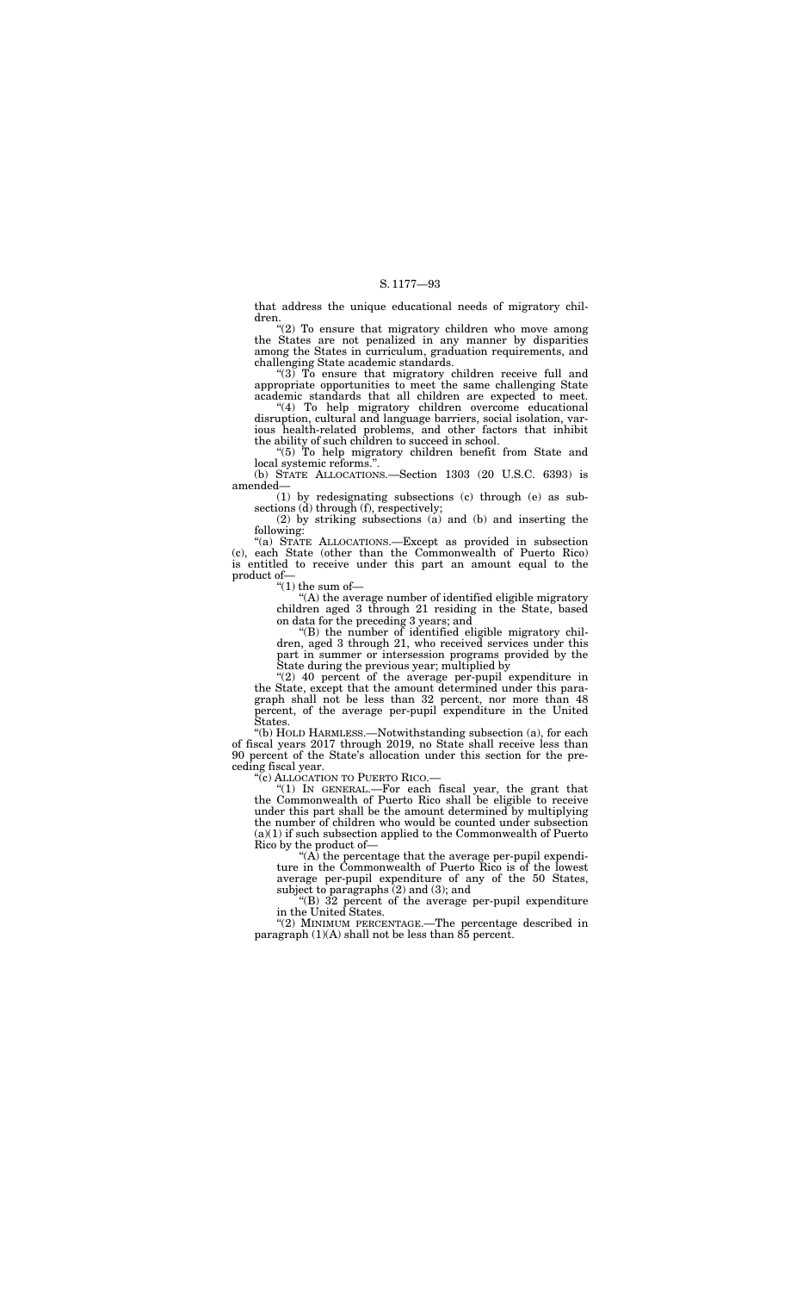that address the unique educational needs of migratory children.

"(2) To ensure that migratory children who move among the States are not penalized in any manner by disparities among the States in curriculum, graduation requirements, and challenging State academic standards.

"(3) To ensure that migratory children receive full and appropriate opportunities to meet the same challenging State academic standards that all children are expected to meet.

(1) by redesignating subsections (c) through (e) as subsections  $(d)$  through (f), respectively;

''(4) To help migratory children overcome educational disruption, cultural and language barriers, social isolation, various health-related problems, and other factors that inhibit the ability of such children to succeed in school.

"(a) STATE ALLOCATIONS.—Except as provided in subsection (c), each State (other than the Commonwealth of Puerto Rico) is entitled to receive under this part an amount equal to the product of—

" $(1)$  the sum of-

''(5) To help migratory children benefit from State and local systemic reforms.''.

(b) STATE ALLOCATIONS.—Section 1303 (20 U.S.C. 6393) is amended—

"(2) 40 percent of the average per-pupil expenditure in the State, except that the amount determined under this paragraph shall not be less than 32 percent, nor more than 48 percent, of the average per-pupil expenditure in the United States.

(2) by striking subsections (a) and (b) and inserting the following:

''(A) the average number of identified eligible migratory children aged 3 through 21 residing in the State, based on data for the preceding 3 years; and

"(B)  $32$  percent of the average per-pupil expenditure in the United States.

''(B) the number of identified eligible migratory children, aged 3 through 21, who received services under this part in summer or intersession programs provided by the State during the previous year; multiplied by

''(b) HOLD HARMLESS.—Notwithstanding subsection (a), for each of fiscal years 2017 through 2019, no State shall receive less than 90 percent of the State's allocation under this section for the preceding fiscal year.

"(c) ALLOCATION TO PUERTO RICO.-

''(1) IN GENERAL.—For each fiscal year, the grant that the Commonwealth of Puerto Rico shall be eligible to receive under this part shall be the amount determined by multiplying the number of children who would be counted under subsection  $(a)(1)$  if such subsection applied to the Commonwealth of Puerto Rico by the product of—

" $(A)$  the percentage that the average per-pupil expenditure in the Commonwealth of Puerto Rico is of the lowest average per-pupil expenditure of any of the 50 States, subject to paragraphs  $(2)$  and  $(3)$ ; and

''(2) MINIMUM PERCENTAGE.—The percentage described in paragraph (1)(A) shall not be less than 85 percent.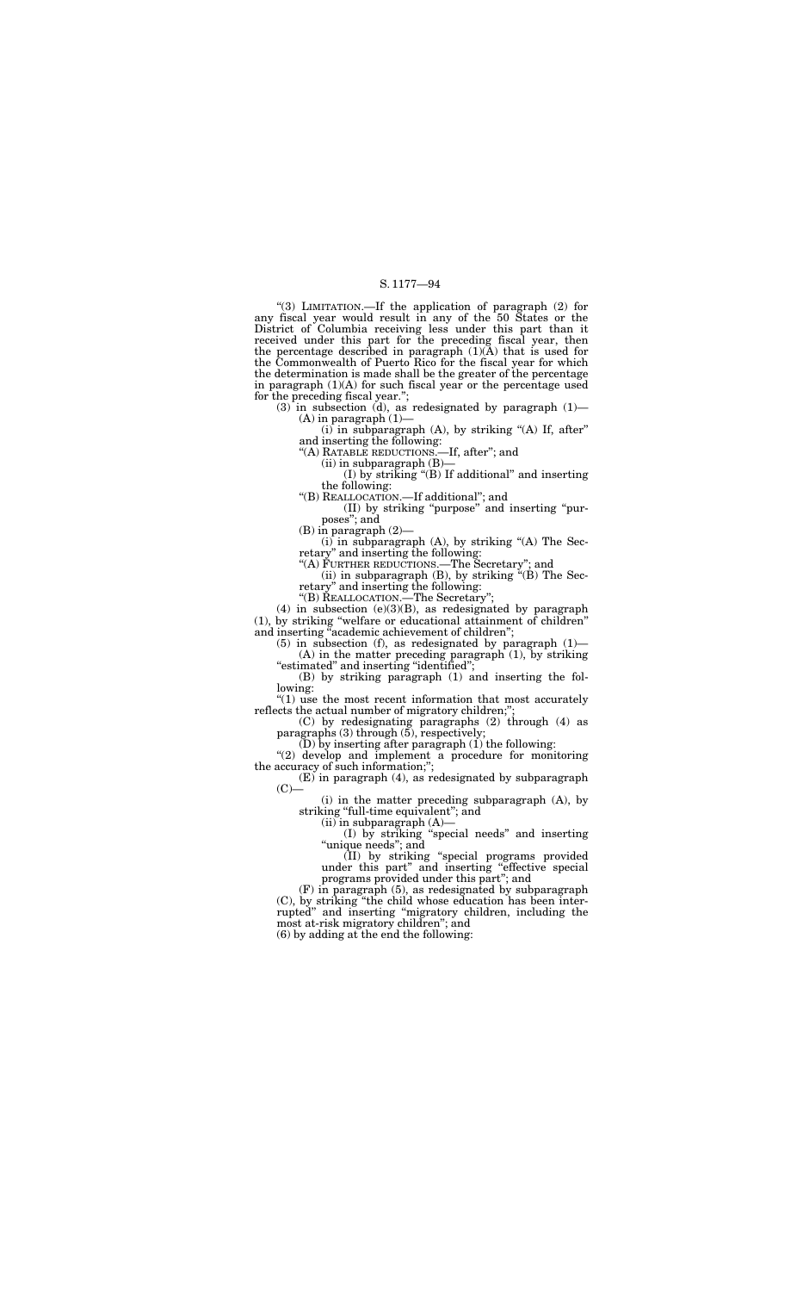''(3) LIMITATION.—If the application of paragraph (2) for any fiscal year would result in any of the 50 States or the District of Columbia receiving less under this part than it received under this part for the preceding fiscal year, then the percentage described in paragraph  $(1)(\overline{A})$  that is used for the Commonwealth of Puerto Rico for the fiscal year for which the determination is made shall be the greater of the percentage in paragraph (1)(A) for such fiscal year or the percentage used for the preceding fiscal year.'';

(3) in subsection (d), as redesignated by paragraph  $(1)$ —  $(A)$  in paragraph  $(1)$ —

 $(i)$  in subparagraph  $(A)$ , by striking " $(A)$  If, after" and inserting the following:

"(A) RATABLE REDUCTIONS.—If, after"; and

 $(ii)$  in subparagraph  $(B)$ -

 $(i)$  in subparagraph  $(A)$ , by striking " $(A)$  The Secretary'' and inserting the following:

 $(ii)$  in subparagraph  $(B)$ , by striking " $(B)$  The Secretary'' and inserting the following:

 $(5)$  in subsection  $(f)$ , as redesignated by paragraph  $(1)$ — (A) in the matter preceding paragraph (1), by striking ''estimated'' and inserting ''identified'';

(I) by striking ''(B) If additional'' and inserting the following:

''(1) use the most recent information that most accurately reflects the actual number of migratory children;"

''(B) REALLOCATION.—If additional''; and

(II) by striking ''purpose'' and inserting ''purposes''; and

(B) in paragraph (2)—

"(2) develop and implement a procedure for monitoring the accuracy of such information;'';

(E) in paragraph (4), as redesignated by subparagraph  $(C)$ —

(i) in the matter preceding subparagraph (A), by striking "full-time equivalent"; and

 $(iii)$  in subparagraph  $(A)$ –

(I) by striking ''special needs'' and inserting "unique needs"; and

''(A) FURTHER REDUCTIONS.—The Secretary''; and

''(B) REALLOCATION.—The Secretary'';

 $(4)$  in subsection  $(e)(3)(B)$ , as redesignated by paragraph (1), by striking ''welfare or educational attainment of children'' and inserting "academic achievement of children";

(B) by striking paragraph (1) and inserting the following:

(C) by redesignating paragraphs (2) through (4) as paragraphs (3) through (5), respectively;

(D) by inserting after paragraph  $(1)$  the following:

(II) by striking ''special programs provided under this part'' and inserting ''effective special programs provided under this part''; and

(F) in paragraph (5), as redesignated by subparagraph (C), by striking ''the child whose education has been interrupted'' and inserting ''migratory children, including the most at-risk migratory children''; and

(6) by adding at the end the following: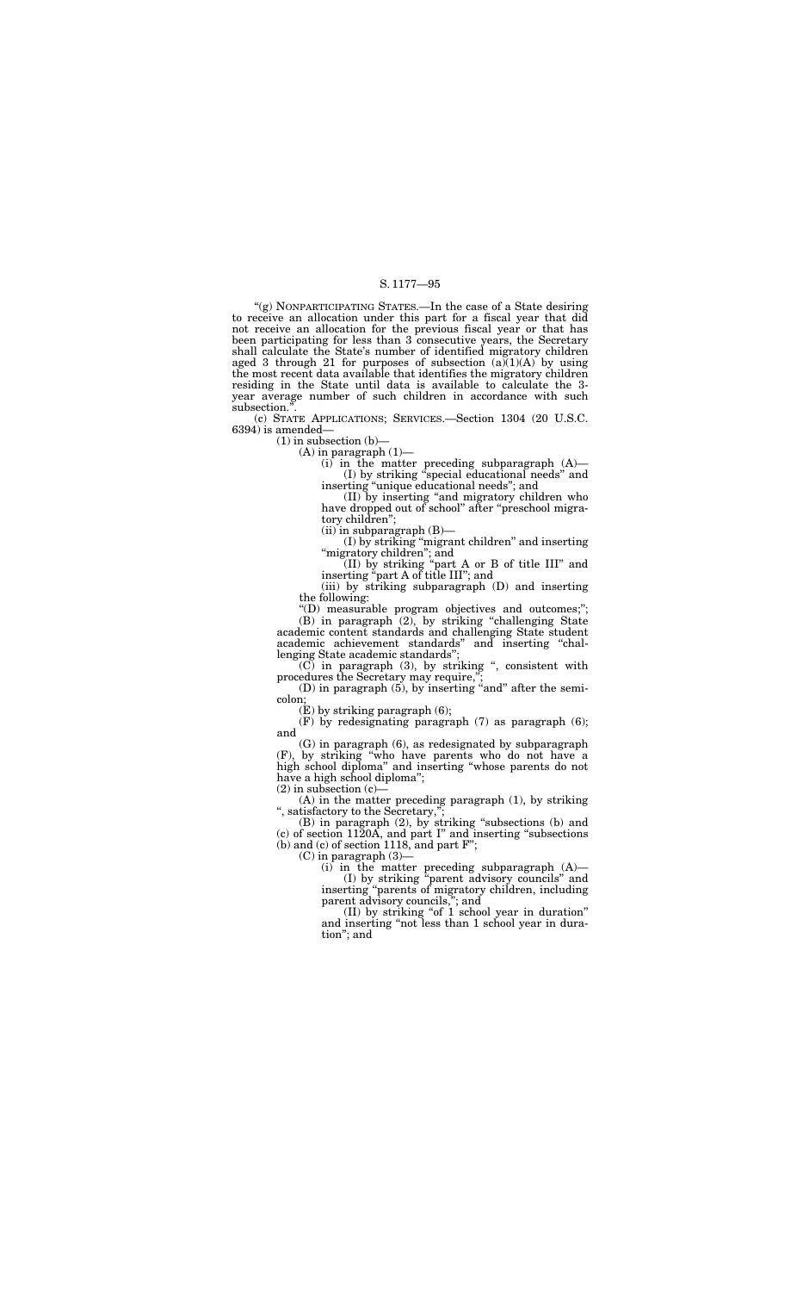''(g) NONPARTICIPATING STATES.—In the case of a State desiring to receive an allocation under this part for a fiscal year that did not receive an allocation for the previous fiscal year or that has been participating for less than 3 consecutive years, the Secretary shall calculate the State's number of identified migratory children aged 3 through 21 for purposes of subsection  $(a)(1)(A)$  by using the most recent data available that identifies the migratory children residing in the State until data is available to calculate the 3 year average number of such children in accordance with such subsection."

> (I) by striking ''migrant children'' and inserting "migratory children"; and

> (II) by striking ''part A or B of title III'' and inserting "part A of title III"; and

(c) STATE APPLICATIONS; SERVICES.—Section 1304 (20 U.S.C. 6394) is amended—

(1) in subsection (b)—

 $(A)$  in paragraph  $(1)$ —

(C) in paragraph (3), by striking '', consistent with procedures the Secretary may require,'

(i) in the matter preceding subparagraph (A)— (I) by striking ''special educational needs'' and inserting ''unique educational needs''; and

(D) in paragraph  $(5)$ , by inserting "and" after the semicolon;

(G) in paragraph (6), as redesignated by subparagraph (F), by striking ''who have parents who do not have a high school diploma" and inserting "whose parents do not have a high school diploma";

 $(2)$  in subsection  $(c)$ 

(II) by inserting ''and migratory children who have dropped out of school'' after ''preschool migratory children'';

(ii) in subparagraph (B)—

(B) in paragraph (2), by striking ''subsections (b) and (c) of section 1120A, and part I'' and inserting ''subsections (b) and (c) of section 1118, and part  $F''$ ;

 $(C)$  in paragraph  $(3)$ —

(iii) by striking subparagraph (D) and inserting the following:

''(D) measurable program objectives and outcomes;''; (B) in paragraph (2), by striking ''challenging State academic content standards and challenging State student academic achievement standards'' and inserting ''challenging State academic standards'';

(E) by striking paragraph (6);

(F) by redesignating paragraph (7) as paragraph (6); and

(A) in the matter preceding paragraph (1), by striking '', satisfactory to the Secretary,'';

> (i) in the matter preceding subparagraph (A)— (I) by striking ''parent advisory councils'' and inserting ''parents of migratory children, including parent advisory councils,''; and

(II) by striking ''of 1 school year in duration'' and inserting ''not less than 1 school year in duration''; and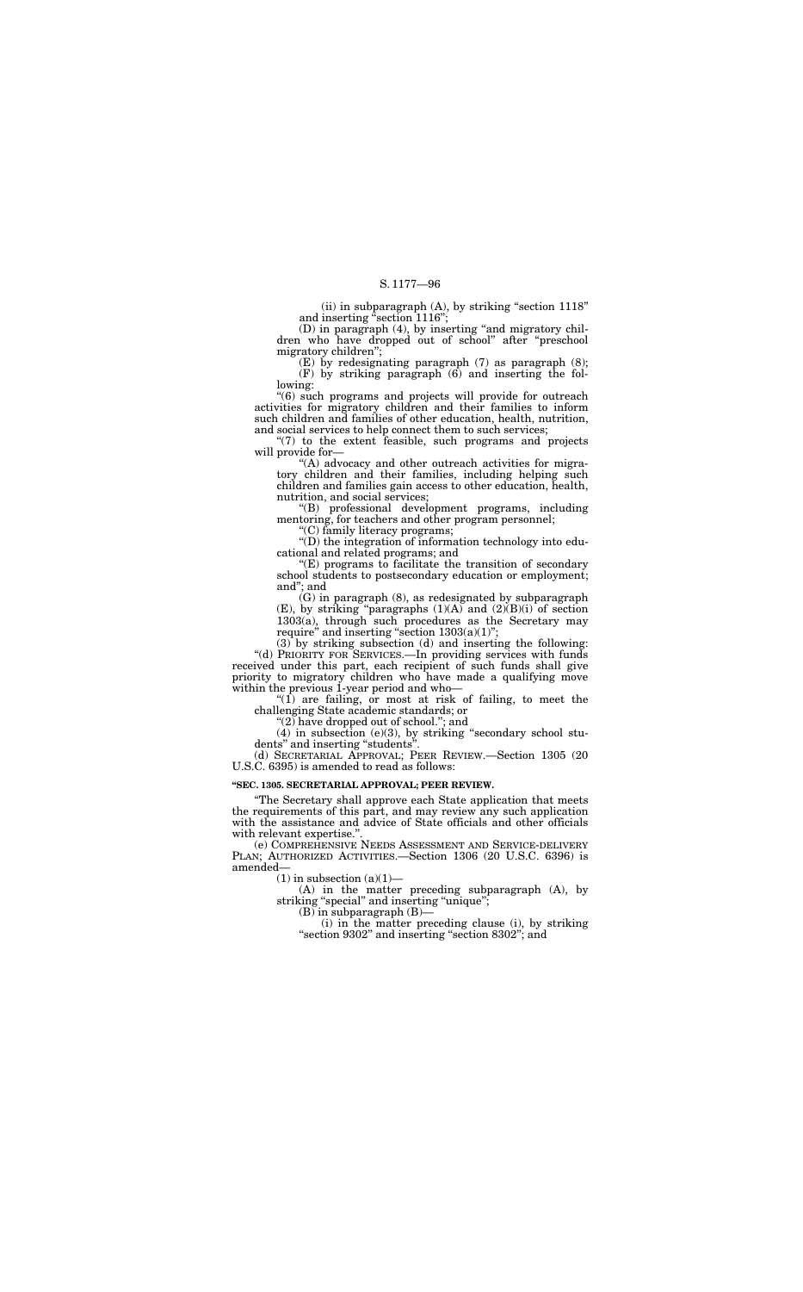(ii) in subparagraph  $(A)$ , by striking "section  $1118$ " and inserting ''section 1116'';

(D) in paragraph (4), by inserting ''and migratory children who have dropped out of school'' after ''preschool migratory children'';

(E) by redesignating paragraph (7) as paragraph (8); (F) by striking paragraph (6) and inserting the following:

" $(7)$  to the extent feasible, such programs and projects will provide for—

''(6) such programs and projects will provide for outreach activities for migratory children and their families to inform such children and families of other education, health, nutrition, and social services to help connect them to such services;

"(B) professional development programs, including mentoring, for teachers and other program personnel;

''(A) advocacy and other outreach activities for migratory children and their families, including helping such children and families gain access to other education, health, nutrition, and social services;

" $(1)$  are failing, or most at risk of failing, to meet the challenging State academic standards; or

''(C) family literacy programs;

''(D) the integration of information technology into educational and related programs; and

''The Secretary shall approve each State application that meets the requirements of this part, and may review any such application with the assistance and advice of State officials and other officials with relevant expertise.'

''(E) programs to facilitate the transition of secondary school students to postsecondary education or employment; and''; and

 $(G)$  in paragraph  $(8)$ , as redesignated by subparagraph  $(E)$ , by striking "paragraphs  $(1)(A)$  and  $(2)(B)(i)$  of section 1303(a), through such procedures as the Secretary may require" and inserting "section  $1303(a)(1)$ ";

(A) in the matter preceding subparagraph (A), by striking "special" and inserting "unique";

(3) by striking subsection (d) and inserting the following: "(d) PRIORITY FOR SERVICES.—In providing services with funds received under this part, each recipient of such funds shall give priority to migratory children who have made a qualifying move within the previous 1-year period and who—

''(2) have dropped out of school.''; and

 $(4)$  in subsection  $(e)(3)$ , by striking "secondary school students" and inserting "students"

(d) SECRETARIAL APPROVAL; PEER REVIEW.—Section 1305 (20 U.S.C. 6395) is amended to read as follows:

#### **''SEC. 1305. SECRETARIAL APPROVAL; PEER REVIEW.**

(e) COMPREHENSIVE NEEDS ASSESSMENT AND SERVICE-DELIVERY PLAN; AUTHORIZED ACTIVITIES.—Section 1306 (20 U.S.C. 6396) is amended—

 $(1)$  in subsection  $(a)(1)$ —

(B) in subparagraph (B)—

(i) in the matter preceding clause (i), by striking ''section 9302'' and inserting ''section 8302''; and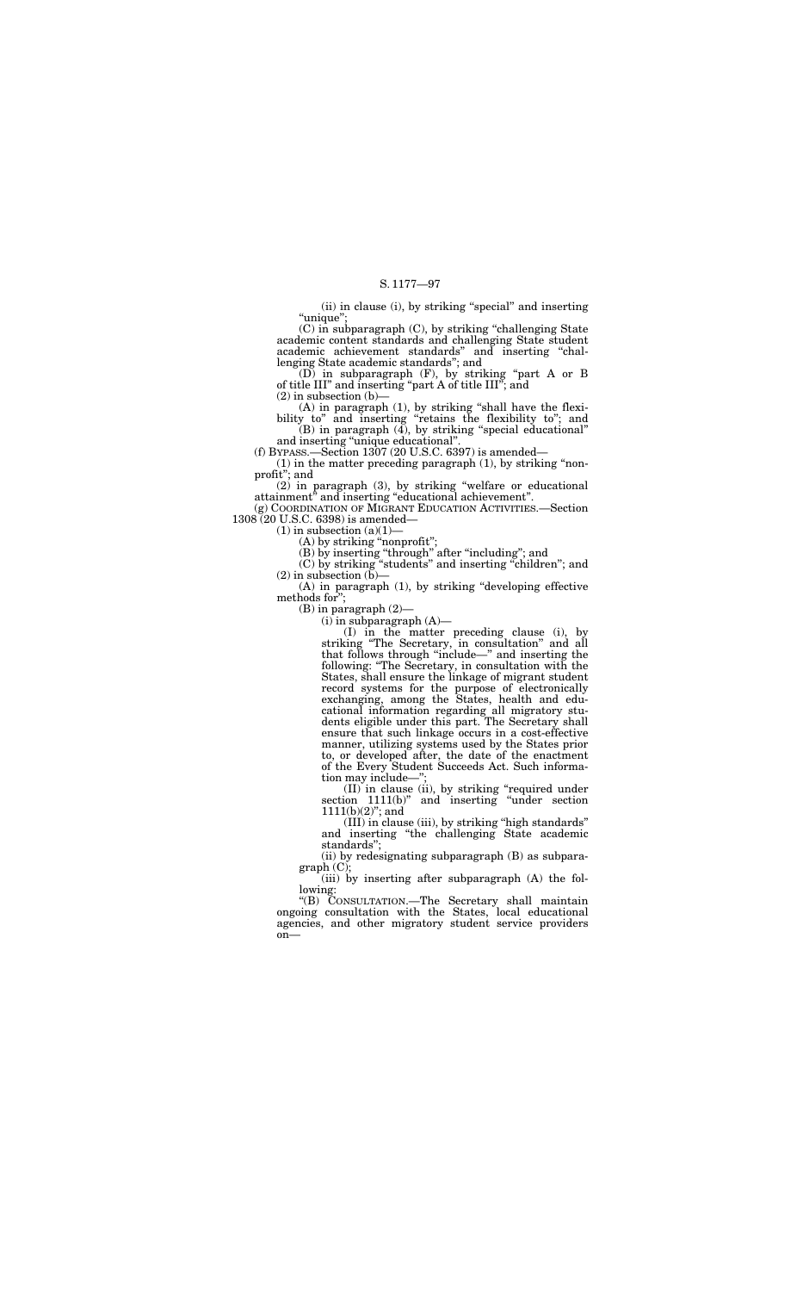(ii) in clause (i), by striking "special" and inserting "unique";

 $(C)$  in subparagraph  $(C)$ , by striking "challenging State academic content standards and challenging State student academic achievement standards'' and inserting ''challenging State academic standards''; and

(D) in subparagraph (F), by striking ''part A or B of title III'' and inserting ''part A of title III''; and  $(2)$  in subsection  $(b)$ –

(A) in paragraph (1), by striking ''shall have the flexibility to" and inserting "retains the flexibility to"; and

 $(1)$  in the matter preceding paragraph  $(1)$ , by striking "nonprofit''; and

(C) by striking ''students'' and inserting ''children''; and  $(2)$  in subsection  $(b)$ -

(B) in paragraph (4), by striking ''special educational'' and inserting ''unique educational''.

> (I) in the matter preceding clause (i), by striking ''The Secretary, in consultation'' and all that follows through ''include—'' and inserting the following: ''The Secretary, in consultation with the States, shall ensure the linkage of migrant student record systems for the purpose of electronically exchanging, among the States, health and educational information regarding all migratory students eligible under this part. The Secretary shall ensure that such linkage occurs in a cost-effective manner, utilizing systems used by the States prior to, or developed after, the date of the enactment of the Every Student Succeeds Act. Such information may include-

(f) BYPASS.—Section 1307 (20 U.S.C. 6397) is amended—

(2) in paragraph (3), by striking ''welfare or educational attainment'' and inserting ''educational achievement''.

(g) COORDINATION OF MIGRANT EDUCATION ACTIVITIES.—Section 1308 (20 U.S.C. 6398) is amended—

 $(1)$  in subsection  $(a)(1)$ —

(A) by striking "nonprofit";

(II) in clause (ii), by striking ''required under and inserting "under section section  $1111(b)''$ <br> $1111(b)(2)''$ ; and

(B) by inserting ''through'' after ''including''; and

(A) in paragraph (1), by striking ''developing effective methods for'';

(B) in paragraph (2)—

 $(i)$  in subparagraph  $(A)$ —

(III) in clause (iii), by striking ''high standards'' and inserting ''the challenging State academic standards'';

(ii) by redesignating subparagraph (B) as subparagraph (C);

(iii) by inserting after subparagraph (A) the following:

''(B) CONSULTATION.—The Secretary shall maintain ongoing consultation with the States, local educational agencies, and other migratory student service providers on—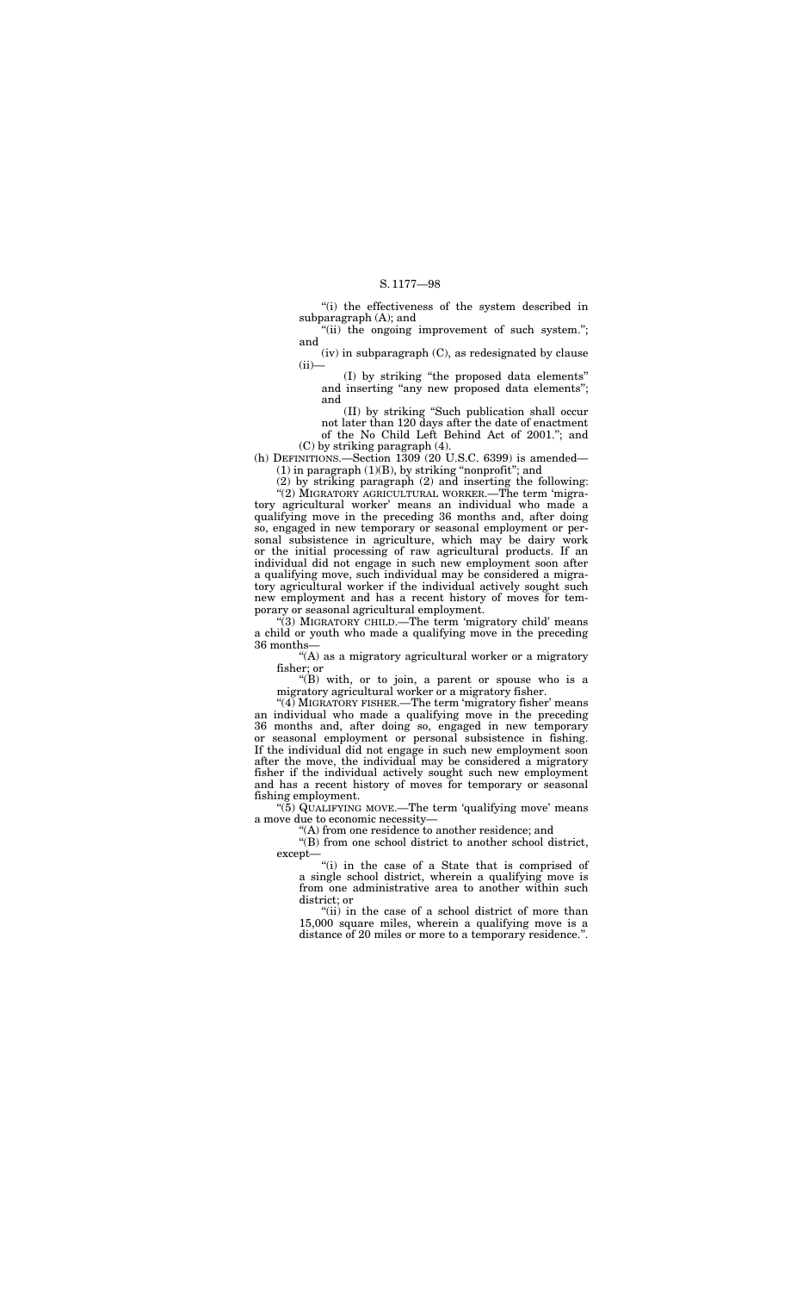''(i) the effectiveness of the system described in subparagraph (A); and

"(ii) the ongoing improvement of such system."; and

(iv) in subparagraph (C), as redesignated by clause  $(ii)$ 

(h) DEFINITIONS.—Section 1309 (20 U.S.C. 6399) is amended— (1) in paragraph  $(1)(B)$ , by striking "nonprofit"; and

(2) by striking paragraph (2) and inserting the following:

(I) by striking ''the proposed data elements'' and inserting "any new proposed data elements"; and

(II) by striking ''Such publication shall occur not later than 120 days after the date of enactment of the No Child Left Behind Act of 2001.''; and (C) by striking paragraph (4).

"(3) MIGRATORY CHILD.—The term 'migratory child' means a child or youth who made a qualifying move in the preceding 36 months—

''(2) MIGRATORY AGRICULTURAL WORKER.—The term 'migratory agricultural worker' means an individual who made a qualifying move in the preceding 36 months and, after doing so, engaged in new temporary or seasonal employment or personal subsistence in agriculture, which may be dairy work or the initial processing of raw agricultural products. If an individual did not engage in such new employment soon after a qualifying move, such individual may be considered a migratory agricultural worker if the individual actively sought such new employment and has a recent history of moves for temporary or seasonal agricultural employment.

" $(4)$  MIGRATORY FISHER.—The term 'migratory fisher' means an individual who made a qualifying move in the preceding 36 months and, after doing so, engaged in new temporary or seasonal employment or personal subsistence in fishing. If the individual did not engage in such new employment soon after the move, the individual may be considered a migratory fisher if the individual actively sought such new employment and has a recent history of moves for temporary or seasonal fishing employment.

"(5) QUALIFYING MOVE.—The term 'qualifying move' means a move due to economic necessity—

> "(ii) in the case of a school district of more than 15,000 square miles, wherein a qualifying move is a distance of 20 miles or more to a temporary residence.''.

''(A) as a migratory agricultural worker or a migratory fisher; or

''(B) with, or to join, a parent or spouse who is a migratory agricultural worker or a migratory fisher.

''(A) from one residence to another residence; and

''(B) from one school district to another school district, except—

''(i) in the case of a State that is comprised of a single school district, wherein a qualifying move is from one administrative area to another within such district; or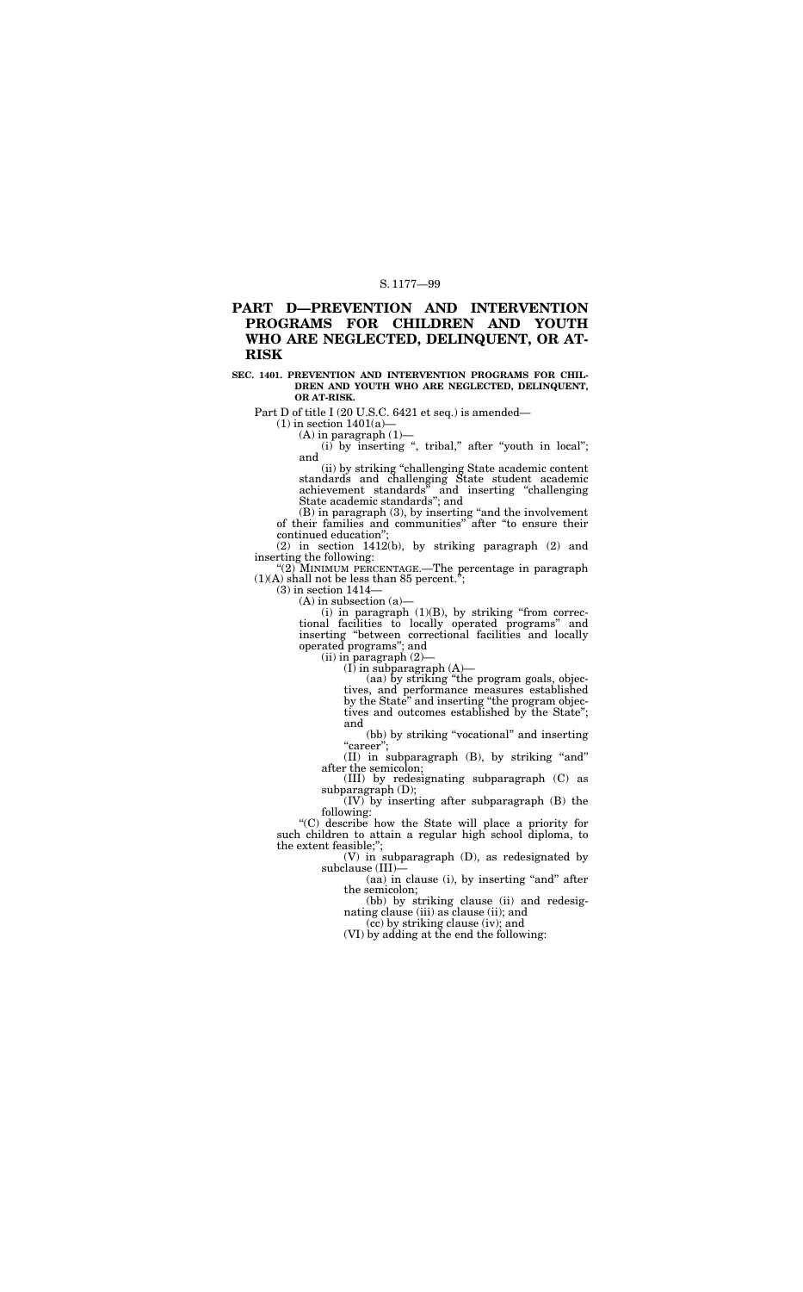# **PART D—PREVENTION AND INTERVENTION PROGRAMS FOR CHILDREN AND YOUTH WHO ARE NEGLECTED, DELINQUENT, OR AT-RISK**

#### **SEC. 1401. PREVENTION AND INTERVENTION PROGRAMS FOR CHIL-DREN AND YOUTH WHO ARE NEGLECTED, DELINQUENT, OR AT-RISK.**

(i) by inserting ", tribal," after "youth in local"; and

Part D of title I (20 U.S.C. 6421 et seq.) is amended—

 $(1)$  in section 1401(a)–

(A) in paragraph (1)—

(ii) by striking ''challenging State academic content standards and challenging State student academic achievement standards'' and inserting ''challenging State academic standards''; and

 $(i)$  in paragraph  $(1)(B)$ , by striking "from correctional facilities to locally operated programs'' and inserting ''between correctional facilities and locally operated programs''; and

(B) in paragraph (3), by inserting ''and the involvement of their families and communities'' after ''to ensure their continued education'';

> (bb) by striking ''vocational'' and inserting "career";

 $(II)$  in subparagraph  $(B)$ , by striking "and" after the semicolon;

(2) in section 1412(b), by striking paragraph (2) and inserting the following:

"(2) MINIMUM PERCENTAGE.—The percentage in paragraph  $(1)(A)$  shall not be less than 85 percent.";

(3) in section 1414—

(A) in subsection (a)—

(aa) in clause (i), by inserting "and" after the semicolon;

(ii) in paragraph (2)—

 $(I)$  in subparagraph  $(A)$ —

(aa) by striking ''the program goals, objectives, and performance measures established by the State'' and inserting ''the program objectives and outcomes established by the State''; and

(III) by redesignating subparagraph (C) as subparagraph (D);

(IV) by inserting after subparagraph (B) the following:

''(C) describe how the State will place a priority for such children to attain a regular high school diploma, to the extent feasible;'';

(V) in subparagraph (D), as redesignated by subclause (III)—

> (bb) by striking clause (ii) and redesignating clause (iii) as clause (ii); and

(cc) by striking clause (iv); and

(VI) by adding at the end the following: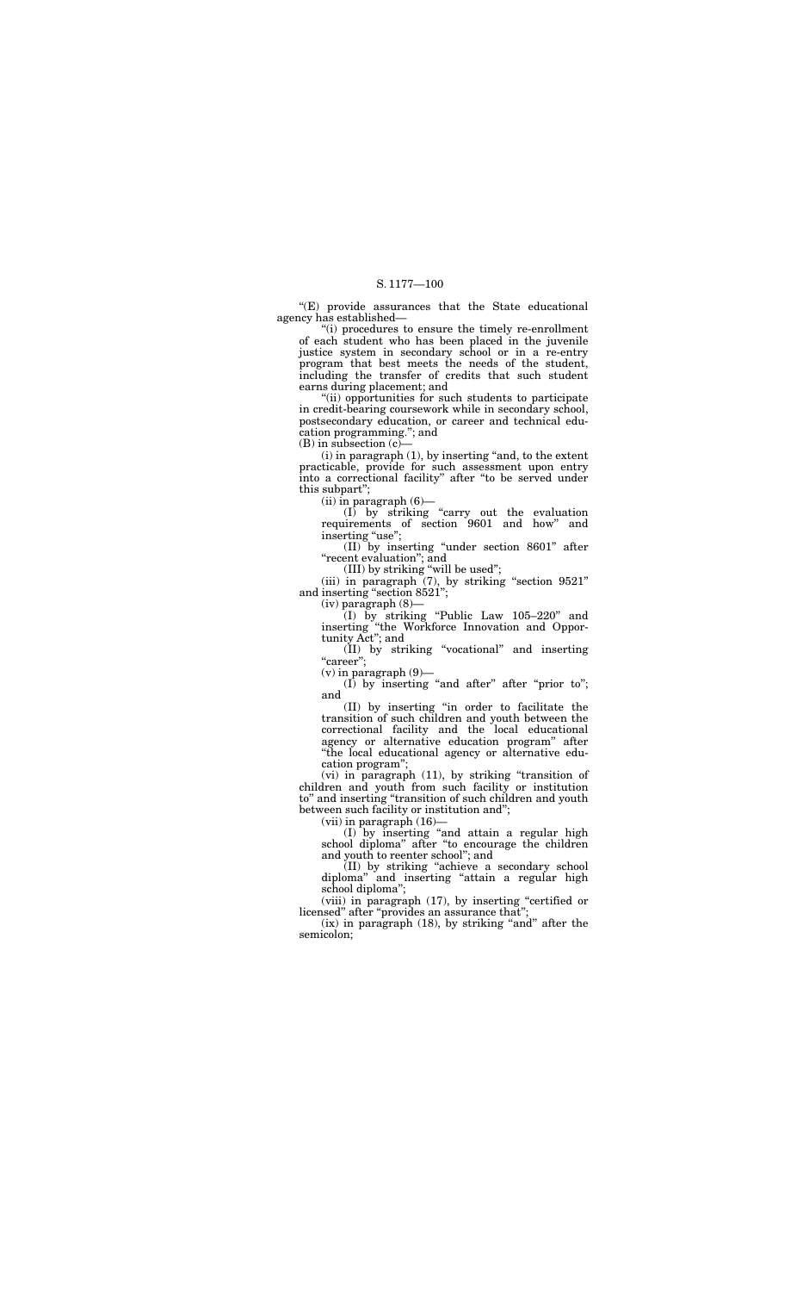''(E) provide assurances that the State educational agency has established—

''(i) procedures to ensure the timely re-enrollment of each student who has been placed in the juvenile justice system in secondary school or in a re-entry program that best meets the needs of the student, including the transfer of credits that such student earns during placement; and

"(ii) opportunities for such students to participate in credit-bearing coursework while in secondary school, postsecondary education, or career and technical education programming.''; and

 $(B)$  in subsection  $(c)$ –

(i) in paragraph (1), by inserting "and, to the extent practicable, provide for such assessment upon entry into a correctional facility'' after ''to be served under this subpart'';

 $(iii)$  in paragraph  $(6)$ —

(I) by striking ''carry out the evaluation requirements of section 9601 and how'' and inserting "use":

(II) by inserting ''under section 8601'' after "recent evaluation"; and

(iii) in paragraph (7), by striking ''section 9521'' and inserting "section 8521";

(II) by striking ''vocational'' and inserting "career";

 $(v)$  in paragraph  $(9)$ —

 $(I)$  by inserting "and after" after "prior to"; and

 $(vi)$  in paragraph  $(11)$ , by striking "transition of children and youth from such facility or institution to'' and inserting ''transition of such children and youth between such facility or institution and'';

(III) by striking ''will be used'';

(viii) in paragraph (17), by inserting "certified or licensed'' after ''provides an assurance that'';

(iv) paragraph (8)—

 $(ix)$  in paragraph  $(18)$ , by striking "and" after the semicolon;

(I) by striking ''Public Law 105–220'' and inserting ''the Workforce Innovation and Opportunity Act''; and

(II) by inserting ''in order to facilitate the transition of such children and youth between the correctional facility and the local educational agency or alternative education program'' after ''the local educational agency or alternative education program'';

(vii) in paragraph (16)—

(I) by inserting ''and attain a regular high school diploma'' after ''to encourage the children and youth to reenter school''; and

(II) by striking ''achieve a secondary school diploma'' and inserting ''attain a regular high school diploma'';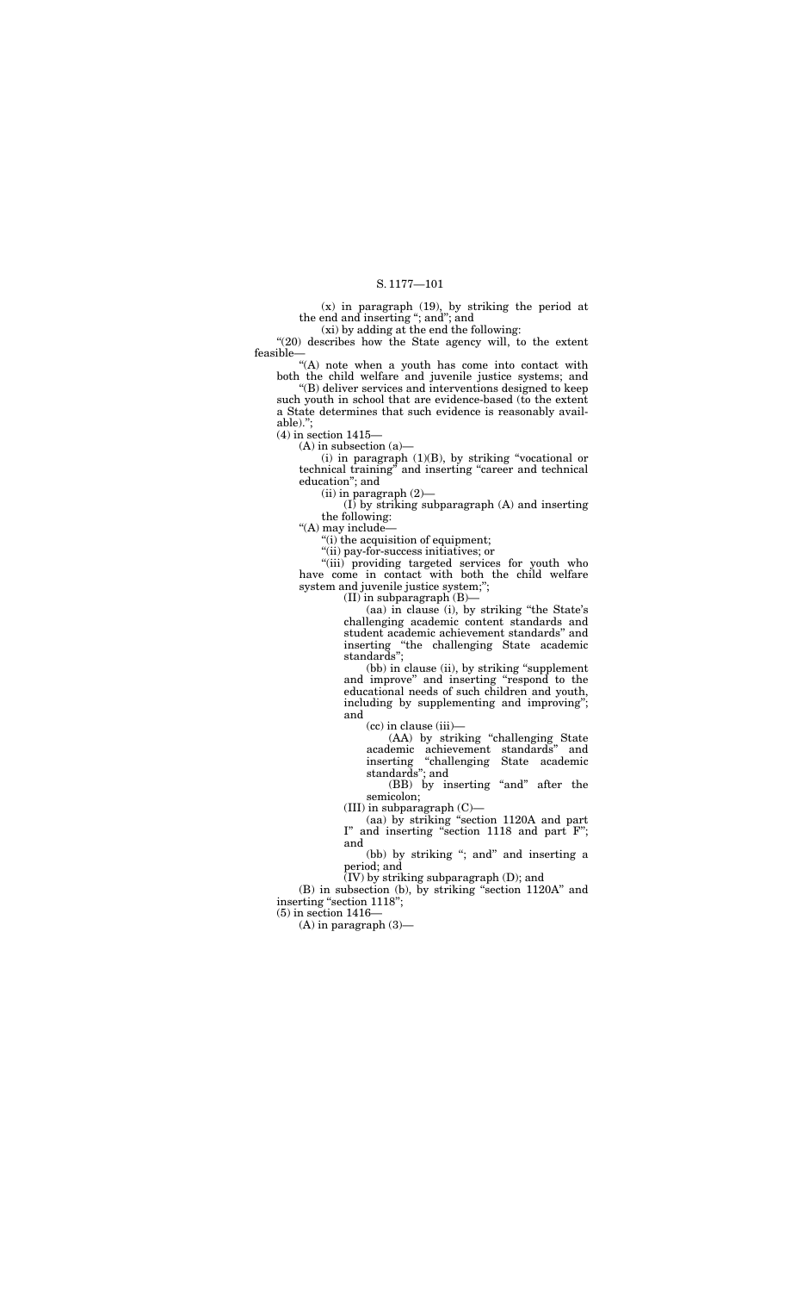(x) in paragraph (19), by striking the period at the end and inserting "; and"; and

"(20) describes how the State agency will, to the extent feasible—

(xi) by adding at the end the following:

"(A) note when a youth has come into contact with both the child welfare and juvenile justice systems; and

 $(i)$  in paragraph  $(1)(B)$ , by striking "vocational or technical training'' and inserting ''career and technical education''; and

''(B) deliver services and interventions designed to keep such youth in school that are evidence-based (to the extent a State determines that such evidence is reasonably available).'';

(4) in section 1415—

 $(A)$  in subsection  $(a)$ —

(ii) in paragraph (2)—

(bb) in clause (ii), by striking "supplement and improve'' and inserting ''respond to the educational needs of such children and youth, including by supplementing and improving''; and

(I) by striking subparagraph (A) and inserting the following:

"(A) may include-

''(i) the acquisition of equipment;

(BB) by inserting "and" after the semicolon;

''(ii) pay-for-success initiatives; or

(bb) by striking "; and" and inserting a period; and

(B) in subsection (b), by striking ''section 1120A'' and inserting "section 1118";

''(iii) providing targeted services for youth who have come in contact with both the child welfare system and juvenile justice system;'';

(II) in subparagraph (B)—

(aa) in clause (i), by striking ''the State's challenging academic content standards and student academic achievement standards'' and inserting ''the challenging State academic standards'';

(cc) in clause (iii)—

(AA) by striking ''challenging State academic achievement standards'' and inserting ''challenging State academic standards''; and

(III) in subparagraph (C)—

(aa) by striking ''section 1120A and part I" and inserting "section 1118 and part F"; and

(IV) by striking subparagraph (D); and

(5) in section 1416—

 $(A)$  in paragraph  $(3)$ —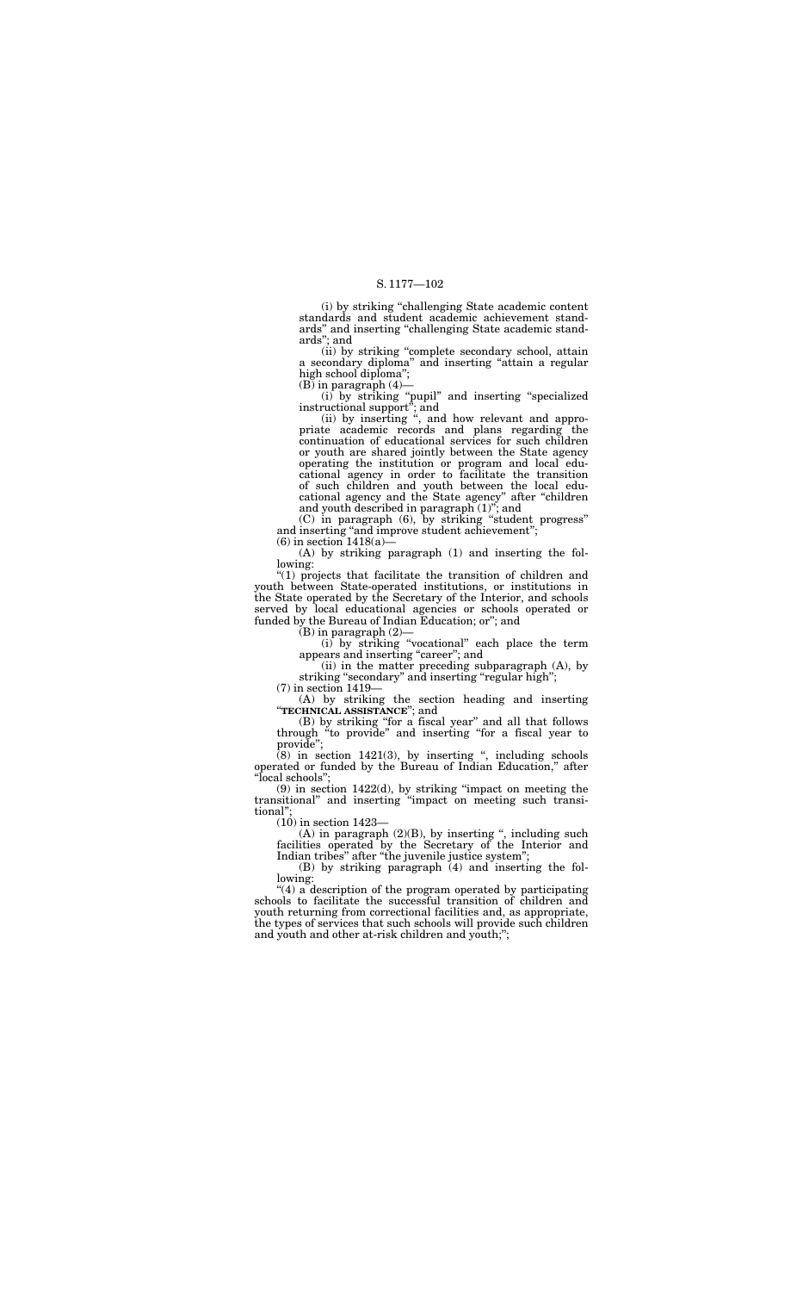(ii) by striking ''complete secondary school, attain a secondary diploma'' and inserting ''attain a regular high school diploma";

 $(B)$  in paragraph  $(4)$ 

(i) by striking ''challenging State academic content standards and student academic achievement standards'' and inserting ''challenging State academic standards''; and

(i) by striking ''pupil'' and inserting ''specialized instructional support''; and

(C) in paragraph (6), by striking ''student progress'' and inserting "and improve student achievement";

 $(6)$  in section  $1418(a)$ —

''(1) projects that facilitate the transition of children and youth between State-operated institutions, or institutions in the State operated by the Secretary of the Interior, and schools served by local educational agencies or schools operated or funded by the Bureau of Indian Education; or"; and

(ii) by inserting '', and how relevant and appropriate academic records and plans regarding the continuation of educational services for such children or youth are shared jointly between the State agency operating the institution or program and local educational agency in order to facilitate the transition of such children and youth between the local educational agency and the State agency'' after ''children and youth described in paragraph (1)''; and

(i) by striking ''vocational'' each place the term appears and inserting "career"; and

(ii) in the matter preceding subparagraph (A), by striking "secondary" and inserting "regular high";

 $(8)$  in section 1421 $(3)$ , by inserting ", including schools operated or funded by the Bureau of Indian Education,'' after ''local schools'';

(A) by striking paragraph (1) and inserting the following:

 $(A)$  in paragraph  $(2)(B)$ , by inserting ", including such facilities operated by the Secretary of the Interior and Indian tribes'' after ''the juvenile justice system'';

(B) in paragraph (2)—

(7) in section 1419—

(A) by striking the section heading and inserting ''**TECHNICAL ASSISTANCE**''; and

(B) by striking ''for a fiscal year'' and all that follows through ''to provide'' and inserting ''for a fiscal year to provide'';

(9) in section 1422(d), by striking ''impact on meeting the transitional'' and inserting ''impact on meeting such transitional'';

(10) in section 1423—

(B) by striking paragraph (4) and inserting the following:

''(4) a description of the program operated by participating schools to facilitate the successful transition of children and youth returning from correctional facilities and, as appropriate, the types of services that such schools will provide such children and youth and other at-risk children and youth;'';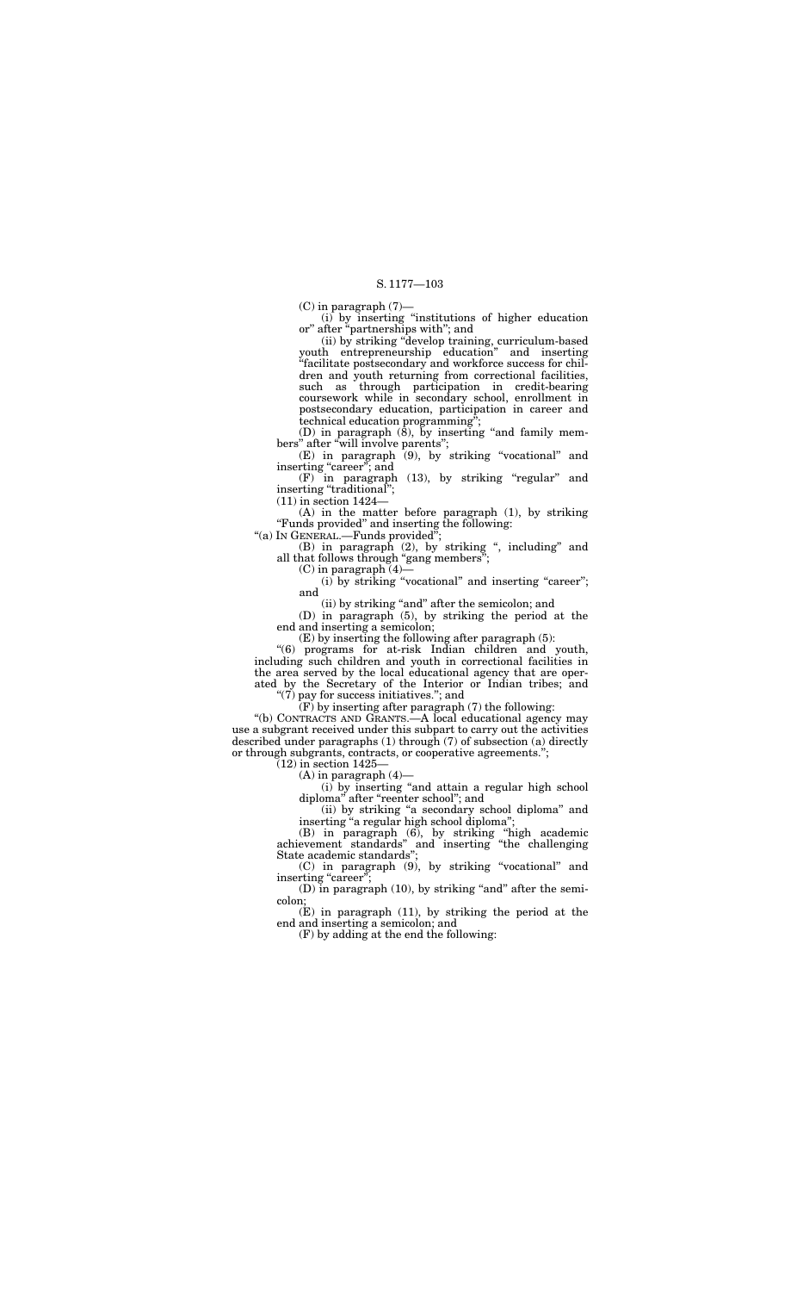$(C)$  in paragraph  $(7)$ —

(i) by inserting ''institutions of higher education or'' after ''partnerships with''; and

(ii) by striking ''develop training, curriculum-based youth entrepreneurship education'' and inserting ''facilitate postsecondary and workforce success for children and youth returning from correctional facilities, such as through participation in credit-bearing coursework while in secondary school, enrollment in postsecondary education, participation in career and technical education programming'';

(i) by striking "vocational" and inserting "career"; and

(ii) by striking "and" after the semicolon; and

(D) in paragraph (8), by inserting ''and family members'' after ''will involve parents'';

 $(E)$  in paragraph  $(9)$ , by striking "vocational" and inserting "career"; and

(F) in paragraph (13), by striking "regular" and inserting "traditional";

(11) in section 1424—

(A) in the matter before paragraph (1), by striking ''Funds provided'' and inserting the following:

''(a) IN GENERAL.—Funds provided'';

 $(B)$  in paragraph  $(2)$ , by striking ", including" and all that follows through "gang members";

 $(C)$  in paragraph  $(4)$ —

"(b) CONTRACTS AND GRANTS.—A local educational agency may use a subgrant received under this subpart to carry out the activities described under paragraphs (1) through (7) of subsection (a) directly or through subgrants, contracts, or cooperative agreements.'';

> (C) in paragraph (9), by striking ''vocational'' and inserting "career";

> (D) in paragraph  $(10)$ , by striking "and" after the semicolon;

(D) in paragraph (5), by striking the period at the end and inserting a semicolon;

 $(E)$  in paragraph (11), by striking the period at the end and inserting a semicolon; and

(E) by inserting the following after paragraph (5):

''(6) programs for at-risk Indian children and youth, including such children and youth in correctional facilities in the area served by the local educational agency that are operated by the Secretary of the Interior or Indian tribes; and ''(7) pay for success initiatives.''; and

 $(F)$  by inserting after paragraph  $(7)$  the following:

(12) in section 1425—

 $(A)$  in paragraph  $(4)$ —

(i) by inserting ''and attain a regular high school diploma'' after ''reenter school''; and

(ii) by striking ''a secondary school diploma'' and inserting ''a regular high school diploma'';

(B) in paragraph (6), by striking ''high academic achievement standards'' and inserting ''the challenging State academic standards'';

(F) by adding at the end the following: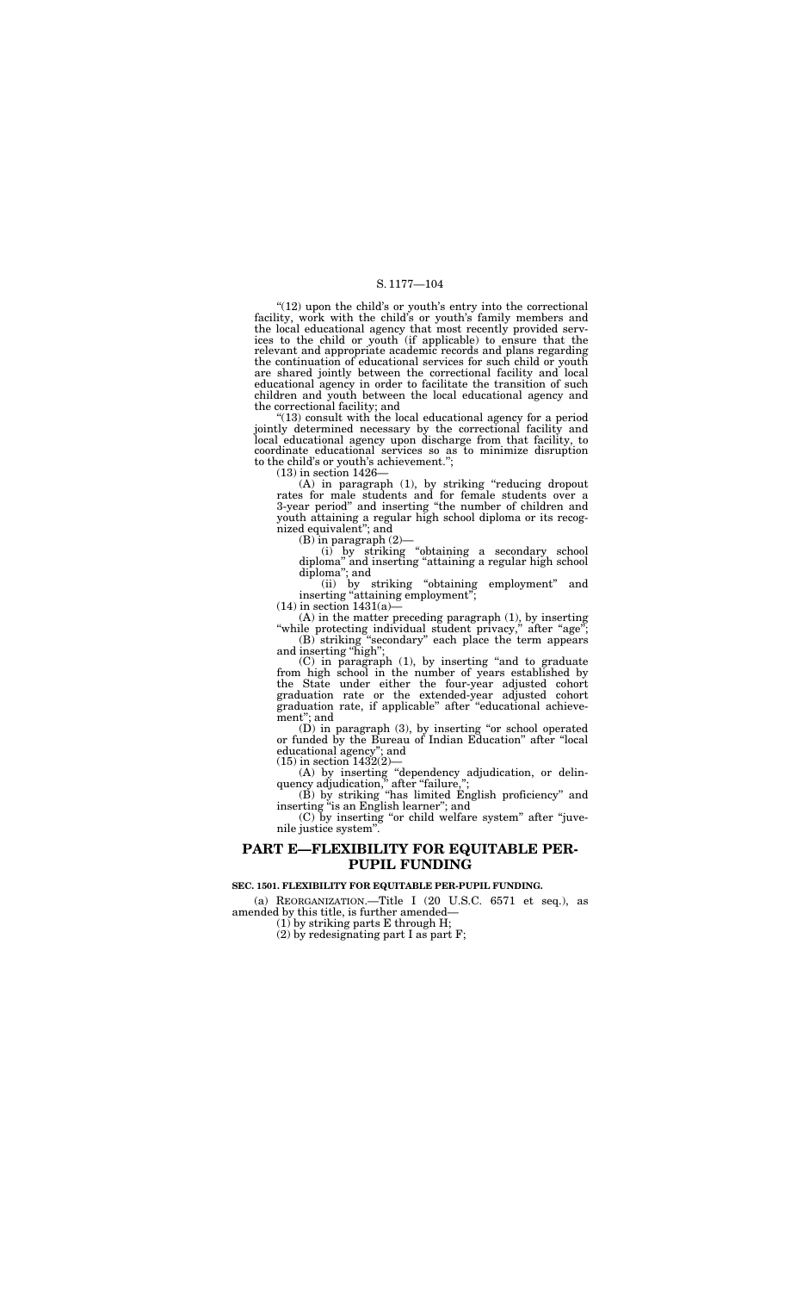"(12) upon the child's or youth's entry into the correctional facility, work with the child's or youth's family members and the local educational agency that most recently provided services to the child or youth (if applicable) to ensure that the relevant and appropriate academic records and plans regarding the continuation of educational services for such child or youth are shared jointly between the correctional facility and local educational agency in order to facilitate the transition of such children and youth between the local educational agency and the correctional facility; and

"(13) consult with the local educational agency for a period jointly determined necessary by the correctional facility and local educational agency upon discharge from that facility, to coordinate educational services so as to minimize disruption to the child's or youth's achievement.'';

> (ii) by striking ''obtaining employment'' and inserting "attaining employment";

 $(14)$  in section 1431(a)-

 $(A)$  in the matter preceding paragraph  $(1)$ , by inserting "while protecting individual student privacy," after "age";

(B) striking ''secondary'' each place the term appears and inserting "high";

(13) in section 1426—

(A) by inserting ''dependency adjudication, or delinquency adjudication," after "failure,";

(A) in paragraph (1), by striking ''reducing dropout rates for male students and for female students over a 3-year period'' and inserting ''the number of children and youth attaining a regular high school diploma or its recognized equivalent''; and

(C) by inserting "or child welfare system" after "juvenile justice system''.

(B) in paragraph (2)—

(i) by striking ''obtaining a secondary school diploma'' and inserting ''attaining a regular high school diploma''; and

(C) in paragraph (1), by inserting ''and to graduate from high school in the number of years established by the State under either the four-year adjusted cohort graduation rate or the extended-year adjusted cohort graduation rate, if applicable'' after ''educational achievement''; and

(D) in paragraph (3), by inserting ''or school operated or funded by the Bureau of Indian Education'' after ''local educational agency''; and

 $(15)$  in section  $1432(2)$ 

(B) by striking ''has limited English proficiency'' and inserting ''is an English learner''; and

# **PART E—FLEXIBILITY FOR EQUITABLE PER-PUPIL FUNDING**

#### **SEC. 1501. FLEXIBILITY FOR EQUITABLE PER-PUPIL FUNDING.**

(a) REORGANIZATION.—Title I (20 U.S.C. 6571 et seq.), as amended by this title, is further amended—

(1) by striking parts E through H;

(2) by redesignating part I as part F;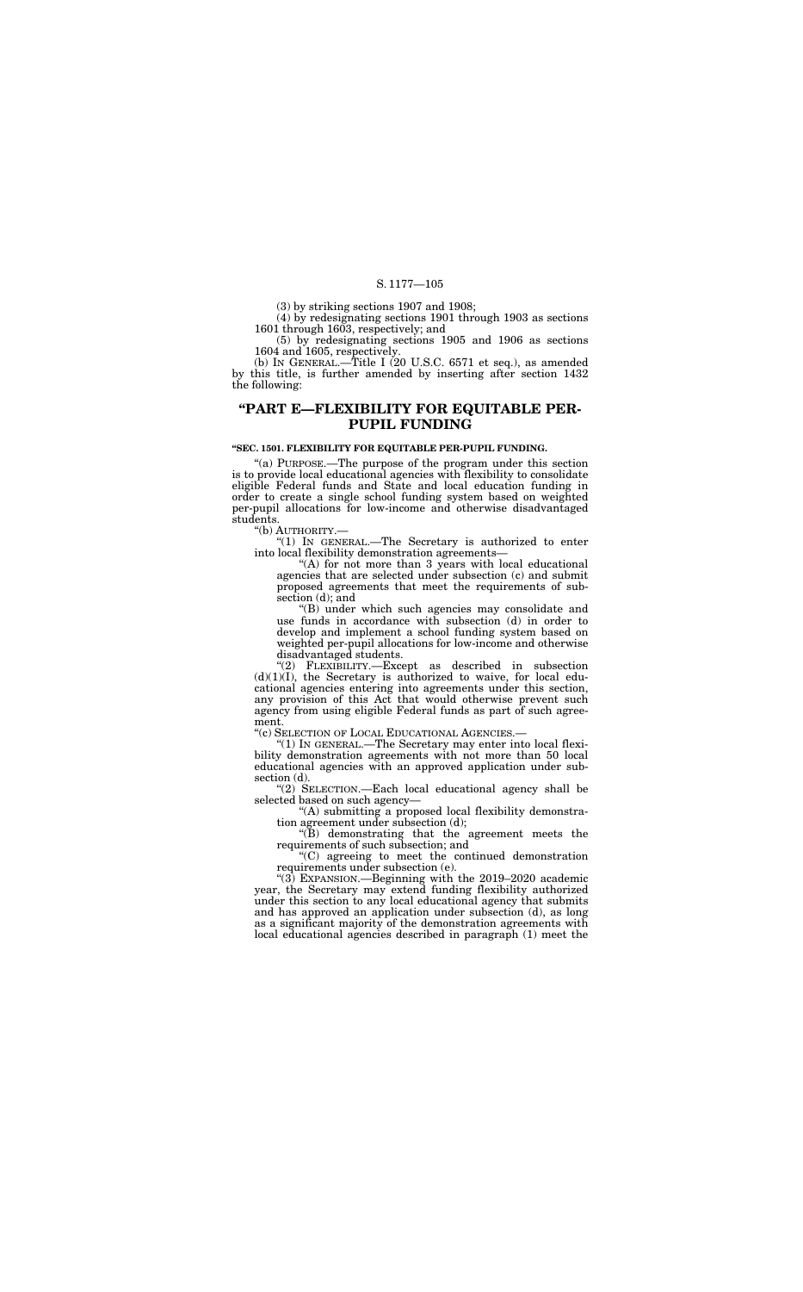(3) by striking sections 1907 and 1908;

(4) by redesignating sections 1901 through 1903 as sections 1601 through 1603, respectively; and

(5) by redesignating sections 1905 and 1906 as sections 1604 and 1605, respectively.

(b) IN GENERAL.—Title I (20 U.S.C. 6571 et seq.), as amended by this title, is further amended by inserting after section 1432 the following:

## **''PART E—FLEXIBILITY FOR EQUITABLE PER-PUPIL FUNDING**

#### **''SEC. 1501. FLEXIBILITY FOR EQUITABLE PER-PUPIL FUNDING.**

"(a) PURPOSE.—The purpose of the program under this section is to provide local educational agencies with flexibility to consolidate eligible Federal funds and State and local education funding in order to create a single school funding system based on weighted per-pupil allocations for low-income and otherwise disadvantaged students.<br>"(b) AUTHORITY.—

"(1) IN GENERAL.—The Secretary is authorized to enter into local flexibility demonstration agreements—

"(A) for not more than 3 years with local educational agencies that are selected under subsection (c) and submit proposed agreements that meet the requirements of subsection (d); and

"(2) SELECTION.-Each local educational agency shall be selected based on such agency—

"(A) submitting a proposed local flexibility demonstration agreement under subsection (d);

''(B) under which such agencies may consolidate and use funds in accordance with subsection (d) in order to develop and implement a school funding system based on weighted per-pupil allocations for low-income and otherwise disadvantaged students.

''(2) FLEXIBILITY.—Except as described in subsection  $(d)(1)(I)$ , the Secretary is authorized to waive, for local educational agencies entering into agreements under this section, any provision of this Act that would otherwise prevent such agency from using eligible Federal funds as part of such agreement.

''(c) SELECTION OF LOCAL EDUCATIONAL AGENCIES.—

''(1) IN GENERAL.—The Secretary may enter into local flexibility demonstration agreements with not more than 50 local educational agencies with an approved application under subsection (d).

''(B) demonstrating that the agreement meets the requirements of such subsection; and

''(C) agreeing to meet the continued demonstration requirements under subsection (e).

''(3) EXPANSION.—Beginning with the 2019–2020 academic year, the Secretary may extend funding flexibility authorized under this section to any local educational agency that submits and has approved an application under subsection (d), as long as a significant majority of the demonstration agreements with local educational agencies described in paragraph (1) meet the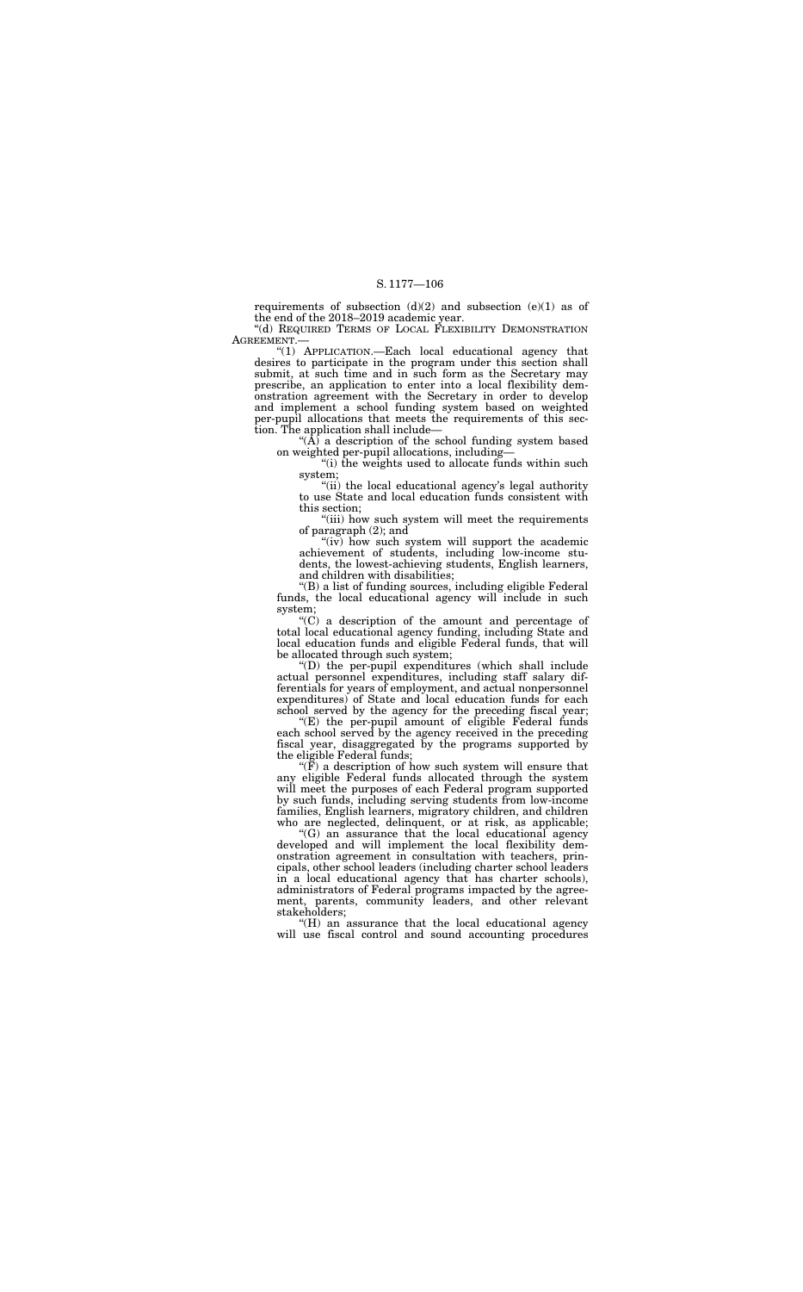requirements of subsection  $(d)(2)$  and subsection  $(e)(1)$  as of the end of the 2018–2019 academic year.

"(d) REQUIRED TERMS OF LOCAL FLEXIBILITY DEMONSTRATION AGREEMENT.—

"(1) APPLICATION.—Each local educational agency that desires to participate in the program under this section shall submit, at such time and in such form as the Secretary may prescribe, an application to enter into a local flexibility demonstration agreement with the Secretary in order to develop and implement a school funding system based on weighted per-pupil allocations that meets the requirements of this section. The application shall include—

" $(\dot{A})$  a description of the school funding system based on weighted per-pupil allocations, including—

"(i) the weights used to allocate funds within such system;

"(ii) the local educational agency's legal authority to use State and local education funds consistent with this section;

 $(C)$  a description of the amount and percentage of total local educational agency funding, including State and local education funds and eligible Federal funds, that will be allocated through such system;

''(iii) how such system will meet the requirements of paragraph (2); and

"(iv) how such system will support the academic achievement of students, including low-income students, the lowest-achieving students, English learners, and children with disabilities;

"(E) the per-pupil amount of eligible Federal funds each school served by the agency received in the preceding fiscal year, disaggregated by the programs supported by the eligible Federal funds;

 $\mathcal{F}(\mathbf{F})$  a description of how such system will ensure that any eligible Federal funds allocated through the system will meet the purposes of each Federal program supported by such funds, including serving students from low-income families, English learners, migratory children, and children who are neglected, delinquent, or at risk, as applicable;

''(B) a list of funding sources, including eligible Federal funds, the local educational agency will include in such system;

"(H) an assurance that the local educational agency will use fiscal control and sound accounting procedures

''(D) the per-pupil expenditures (which shall include actual personnel expenditures, including staff salary differentials for years of employment, and actual nonpersonnel expenditures) of State and local education funds for each school served by the agency for the preceding fiscal year;

''(G) an assurance that the local educational agency developed and will implement the local flexibility demonstration agreement in consultation with teachers, principals, other school leaders (including charter school leaders in a local educational agency that has charter schools), administrators of Federal programs impacted by the agreement, parents, community leaders, and other relevant stakeholders;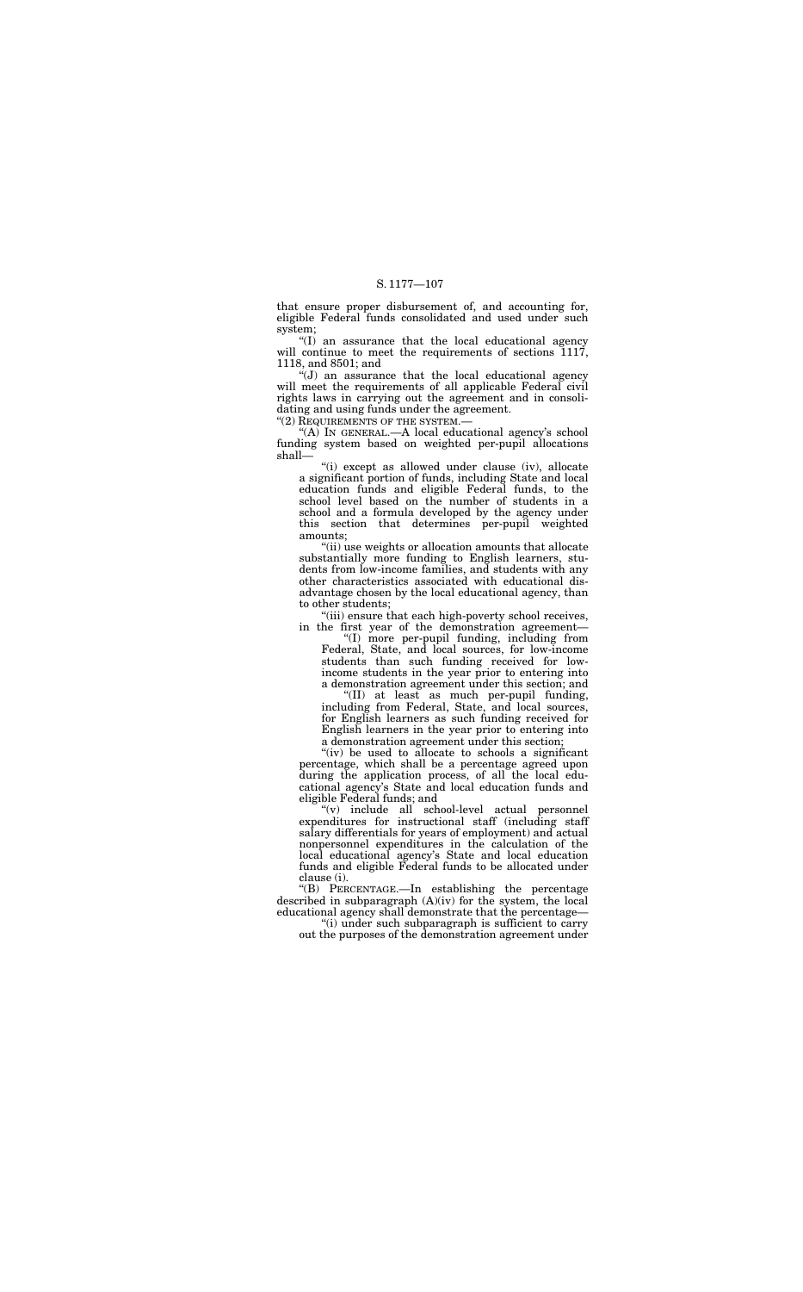that ensure proper disbursement of, and accounting for, eligible Federal funds consolidated and used under such system;

" $(I)$  an assurance that the local educational agency will continue to meet the requirements of sections 1117, 1118, and 8501; and

"(A) IN GENERAL.-A local educational agency's school funding system based on weighted per-pupil allocations shall—

''(J) an assurance that the local educational agency will meet the requirements of all applicable Federal civil rights laws in carrying out the agreement and in consolidating and using funds under the agreement.

"(2) REQUIREMENTS OF THE SYSTEM.

"(i) except as allowed under clause (iv), allocate a significant portion of funds, including State and local education funds and eligible Federal funds, to the school level based on the number of students in a school and a formula developed by the agency under this section that determines per-pupil weighted amounts;

"(iii) ensure that each high-poverty school receives, in the first year of the demonstration agreement—

"(iv) be used to allocate to schools a significant percentage, which shall be a percentage agreed upon during the application process, of all the local educational agency's State and local education funds and eligible Federal funds; and

''(ii) use weights or allocation amounts that allocate substantially more funding to English learners, students from low-income families, and students with any other characteristics associated with educational disadvantage chosen by the local educational agency, than to other students;

"(i) under such subparagraph is sufficient to carry out the purposes of the demonstration agreement under

''(I) more per-pupil funding, including from Federal, State, and local sources, for low-income students than such funding received for lowincome students in the year prior to entering into a demonstration agreement under this section; and

''(II) at least as much per-pupil funding, including from Federal, State, and local sources, for English learners as such funding received for English learners in the year prior to entering into a demonstration agreement under this section;

''(v) include all school-level actual personnel expenditures for instructional staff (including staff salary differentials for years of employment) and actual nonpersonnel expenditures in the calculation of the local educational agency's State and local education funds and eligible Federal funds to be allocated under clause (i).

''(B) PERCENTAGE.—In establishing the percentage described in subparagraph (A)(iv) for the system, the local educational agency shall demonstrate that the percentage—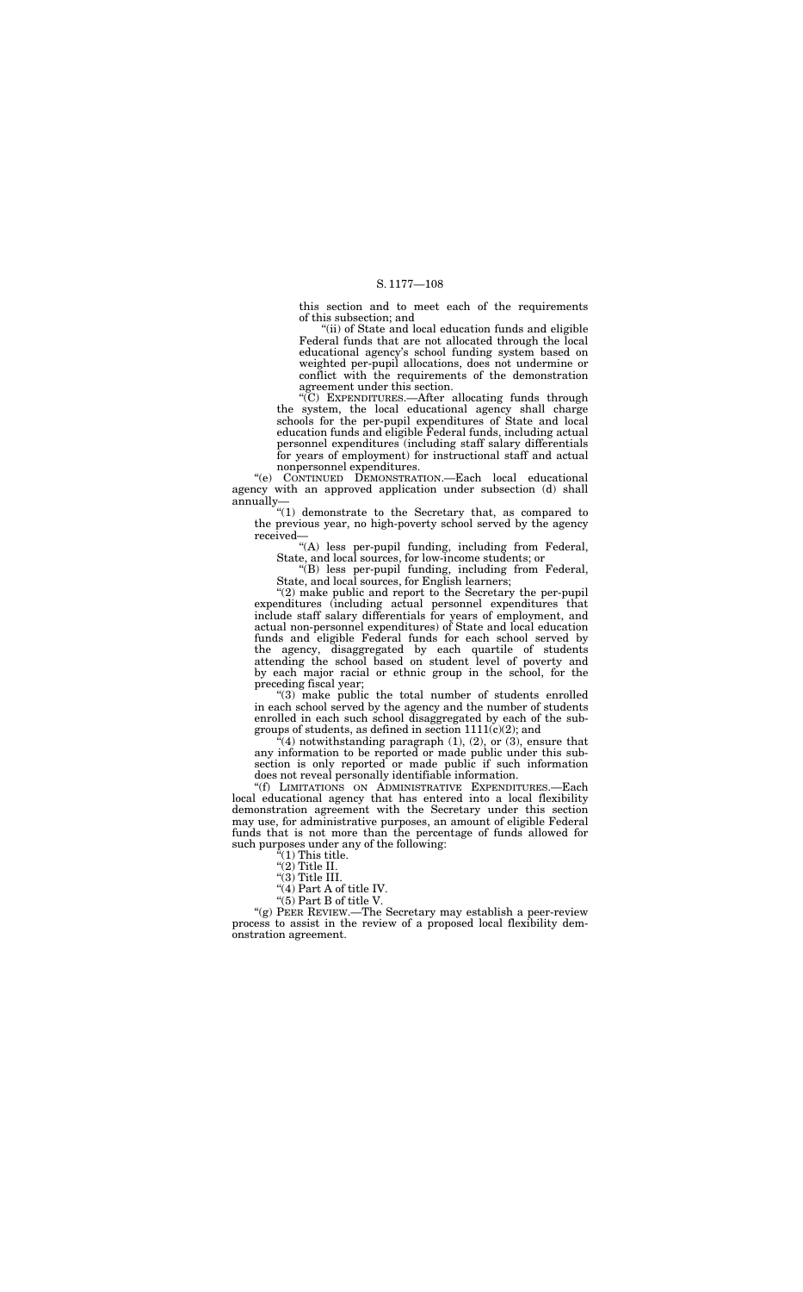this section and to meet each of the requirements of this subsection; and

"(ii) of State and local education funds and eligible Federal funds that are not allocated through the local educational agency's school funding system based on weighted per-pupil allocations, does not undermine or conflict with the requirements of the demonstration agreement under this section.

''(C) EXPENDITURES.—After allocating funds through the system, the local educational agency shall charge schools for the per-pupil expenditures of State and local education funds and eligible Federal funds, including actual personnel expenditures (including staff salary differentials for years of employment) for instructional staff and actual nonpersonnel expenditures.

"(B) less per-pupil funding, including from Federal, State, and local sources, for English learners;

''(e) CONTINUED DEMONSTRATION.—Each local educational agency with an approved application under subsection (d) shall annually—

"(2) make public and report to the Secretary the per-pupil expenditures (including actual personnel expenditures that include staff salary differentials for years of employment, and actual non-personnel expenditures) of State and local education funds and eligible Federal funds for each school served by the agency, disaggregated by each quartile of students attending the school based on student level of poverty and by each major racial or ethnic group in the school, for the preceding fiscal year;

"(3) make public the total number of students enrolled in each school served by the agency and the number of students enrolled in each such school disaggregated by each of the subgroups of students, as defined in section  $1111(c)(2)$ ; and

''(1) demonstrate to the Secretary that, as compared to the previous year, no high-poverty school served by the agency received—

''(A) less per-pupil funding, including from Federal, State, and local sources, for low-income students; or

 $^{4}(4)$  notwithstanding paragraph (1), (2), or (3), ensure that any information to be reported or made public under this subsection is only reported or made public if such information does not reveal personally identifiable information.

"(g) PEER REVIEW.—The Secretary may establish a peer-review process to assist in the review of a proposed local flexibility demonstration agreement.

''(f) LIMITATIONS ON ADMINISTRATIVE EXPENDITURES.—Each local educational agency that has entered into a local flexibility demonstration agreement with the Secretary under this section may use, for administrative purposes, an amount of eligible Federal funds that is not more than the percentage of funds allowed for such purposes under any of the following:

 $f(1)$  This title.

" $\overline{2}$ ) Title II.

" $(3)$  Title III.

"(4) Part A of title IV.

" $(5)$  Part B of title V.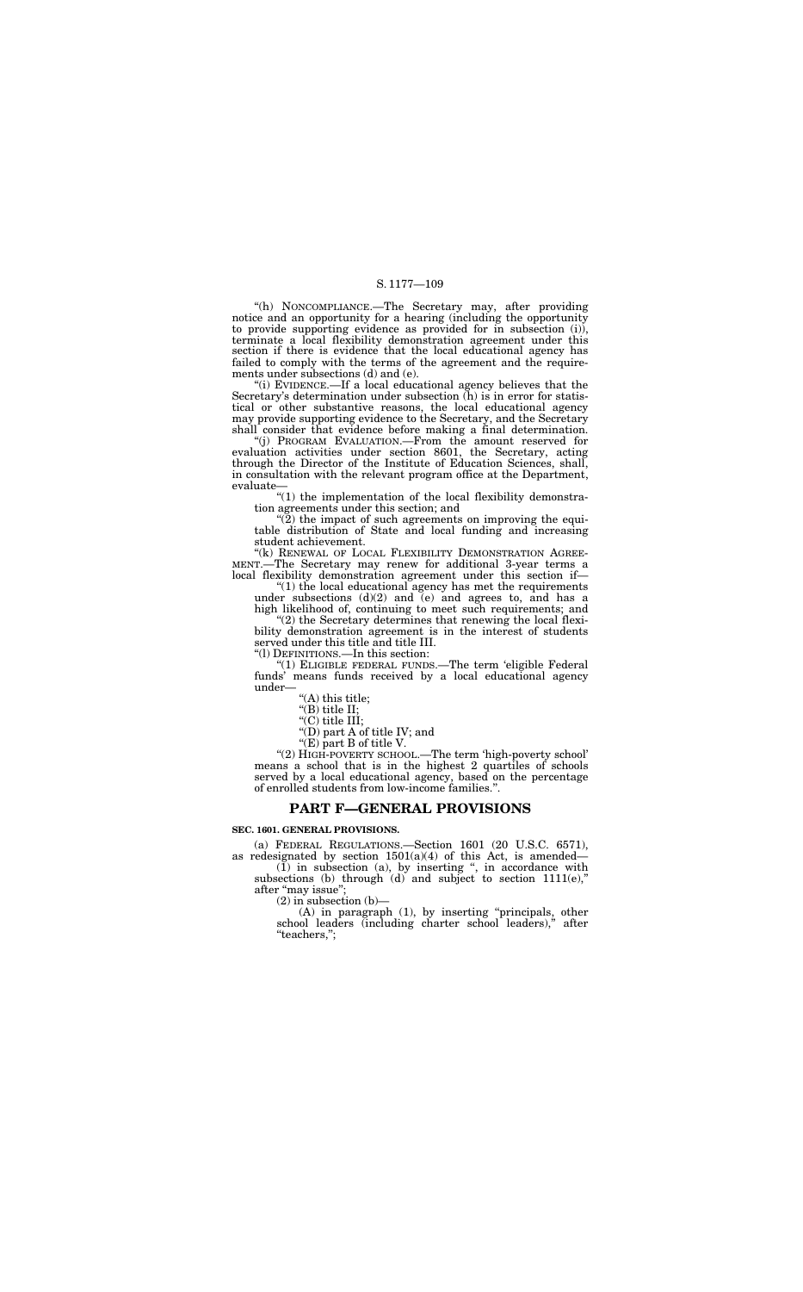''(h) NONCOMPLIANCE.—The Secretary may, after providing notice and an opportunity for a hearing (including the opportunity to provide supporting evidence as provided for in subsection (i)), terminate a local flexibility demonstration agreement under this section if there is evidence that the local educational agency has failed to comply with the terms of the agreement and the requirements under subsections (d) and (e).

 $"(1)$  the implementation of the local flexibility demonstration agreements under this section; and

''(i) EVIDENCE.—If a local educational agency believes that the Secretary's determination under subsection (h) is in error for statistical or other substantive reasons, the local educational agency may provide supporting evidence to the Secretary, and the Secretary shall consider that evidence before making a final determination.

 $\tilde{P}(2)$  the impact of such agreements on improving the equitable distribution of State and local funding and increasing student achievement.

"(k) RENEWAL OF LOCAL FLEXIBILITY DEMONSTRATION AGREE-MENT.—The Secretary may renew for additional 3-year terms a local flexibility demonstration agreement under this section if—

''(1) the local educational agency has met the requirements under subsections  $(d)(2)$  and  $(e)$  and agrees to, and has a

''(j) PROGRAM EVALUATION.—From the amount reserved for evaluation activities under section 8601, the Secretary, acting through the Director of the Institute of Education Sciences, shall, in consultation with the relevant program office at the Department, evaluate—

'(1) ELIGIBLE FEDERAL FUNDS.—The term 'eligible Federal funds' means funds received by a local educational agency under—

"(A) this title;

" $(B)$  title II; ''(C) title III;

(a) FEDERAL REGULATIONS.—Section 1601 (20 U.S.C. 6571), as redesignated by section  $1501(a)(4)$  of this Act, is amended—

 $(1)$  in subsection  $(a)$ , by inserting ", in accordance with subsections (b) through (d) and subject to section  $1111(e)$ ," after "may issue";

 $(2)$  in subsection  $(b)$ –

high likelihood of, continuing to meet such requirements; and " $(2)$  the Secretary determines that renewing the local flexibility demonstration agreement is in the interest of students served under this title and title III.

''(l) DEFINITIONS.—In this section:

''(D) part A of title IV; and

''(E) part B of title V.

''(2) HIGH-POVERTY SCHOOL.—The term 'high-poverty school' means a school that is in the highest 2 quartiles of schools served by a local educational agency, based on the percentage of enrolled students from low-income families.''.

### **PART F—GENERAL PROVISIONS**

#### **SEC. 1601. GENERAL PROVISIONS.**

(A) in paragraph (1), by inserting ''principals, other school leaders (including charter school leaders)," after ''teachers,'';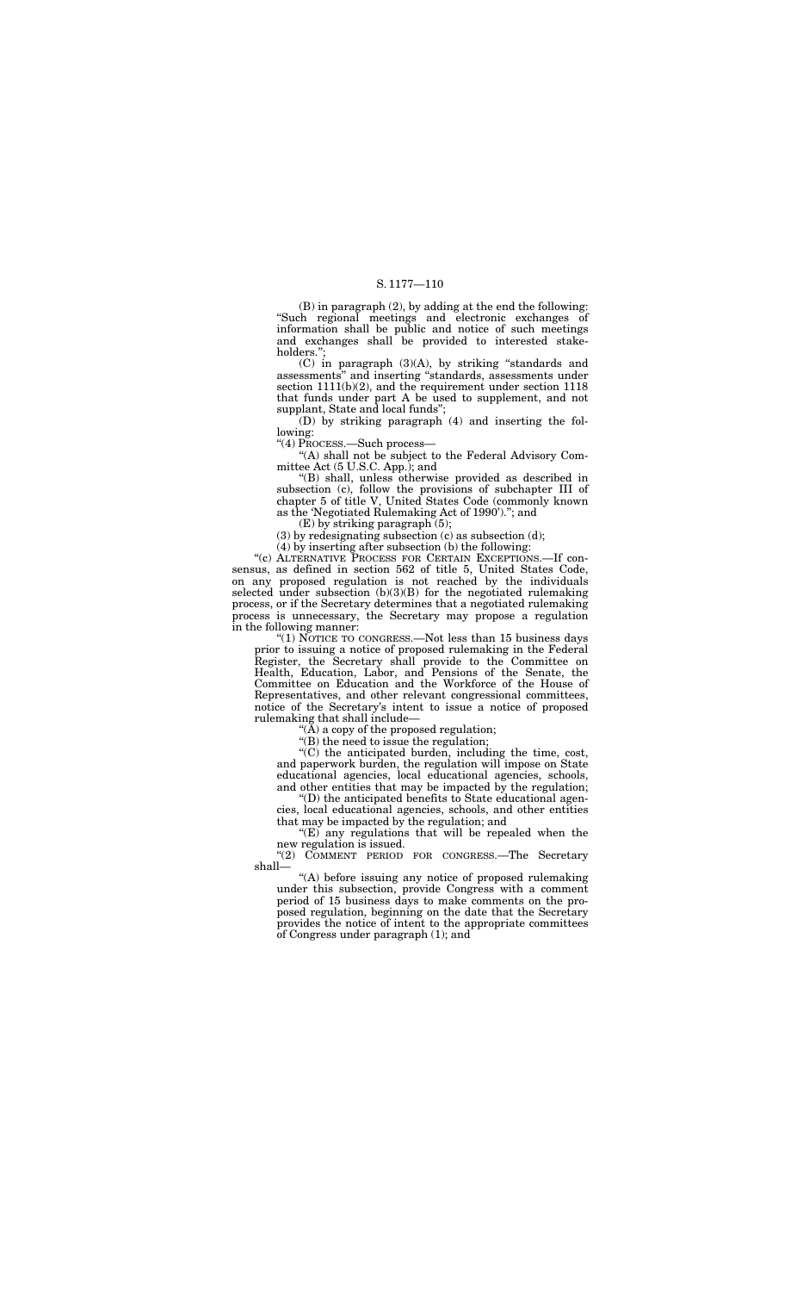(B) in paragraph (2), by adding at the end the following: ''Such regional meetings and electronic exchanges of information shall be public and notice of such meetings and exchanges shall be provided to interested stakeholders.'';

(C) in paragraph (3)(A), by striking ''standards and assessments'' and inserting ''standards, assessments under section 1111(b)(2), and the requirement under section 1118 that funds under part A be used to supplement, and not supplant, State and local funds'';

(D) by striking paragraph (4) and inserting the following:

''(4) PROCESS.—Such process—

''(A) shall not be subject to the Federal Advisory Committee Act (5 U.S.C. App.); and

''(B) shall, unless otherwise provided as described in subsection (c), follow the provisions of subchapter III of chapter 5 of title V, United States Code (commonly known as the 'Negotiated Rulemaking Act of 1990').''; and

 $(E)$  by striking paragraph  $(5)$ ;

'(1) NOTICE TO CONGRESS.—Not less than 15 business days prior to issuing a notice of proposed rulemaking in the Federal Register, the Secretary shall provide to the Committee on Health, Education, Labor, and Pensions of the Senate, the Committee on Education and the Workforce of the House of Representatives, and other relevant congressional committees, notice of the Secretary's intent to issue a notice of proposed rulemaking that shall include—

"( $\overline{A}$ ) a copy of the proposed regulation;

(3) by redesignating subsection (c) as subsection (d);

(4) by inserting after subsection (b) the following:

"(E) any regulations that will be repealed when the new regulation is issued.

''(c) ALTERNATIVE PROCESS FOR CERTAIN EXCEPTIONS.—If consensus, as defined in section 562 of title 5, United States Code, on any proposed regulation is not reached by the individuals selected under subsection  $(b)(3)(B)$  for the negotiated rulemaking process, or if the Secretary determines that a negotiated rulemaking process is unnecessary, the Secretary may propose a regulation in the following manner:

''(B) the need to issue the regulation;

''(C) the anticipated burden, including the time, cost, and paperwork burden, the regulation will impose on State educational agencies, local educational agencies, schools, and other entities that may be impacted by the regulation;

''(D) the anticipated benefits to State educational agencies, local educational agencies, schools, and other entities that may be impacted by the regulation; and

''(2) COMMENT PERIOD FOR CONGRESS.—The Secretary shall—

''(A) before issuing any notice of proposed rulemaking under this subsection, provide Congress with a comment period of 15 business days to make comments on the proposed regulation, beginning on the date that the Secretary provides the notice of intent to the appropriate committees of Congress under paragraph (1); and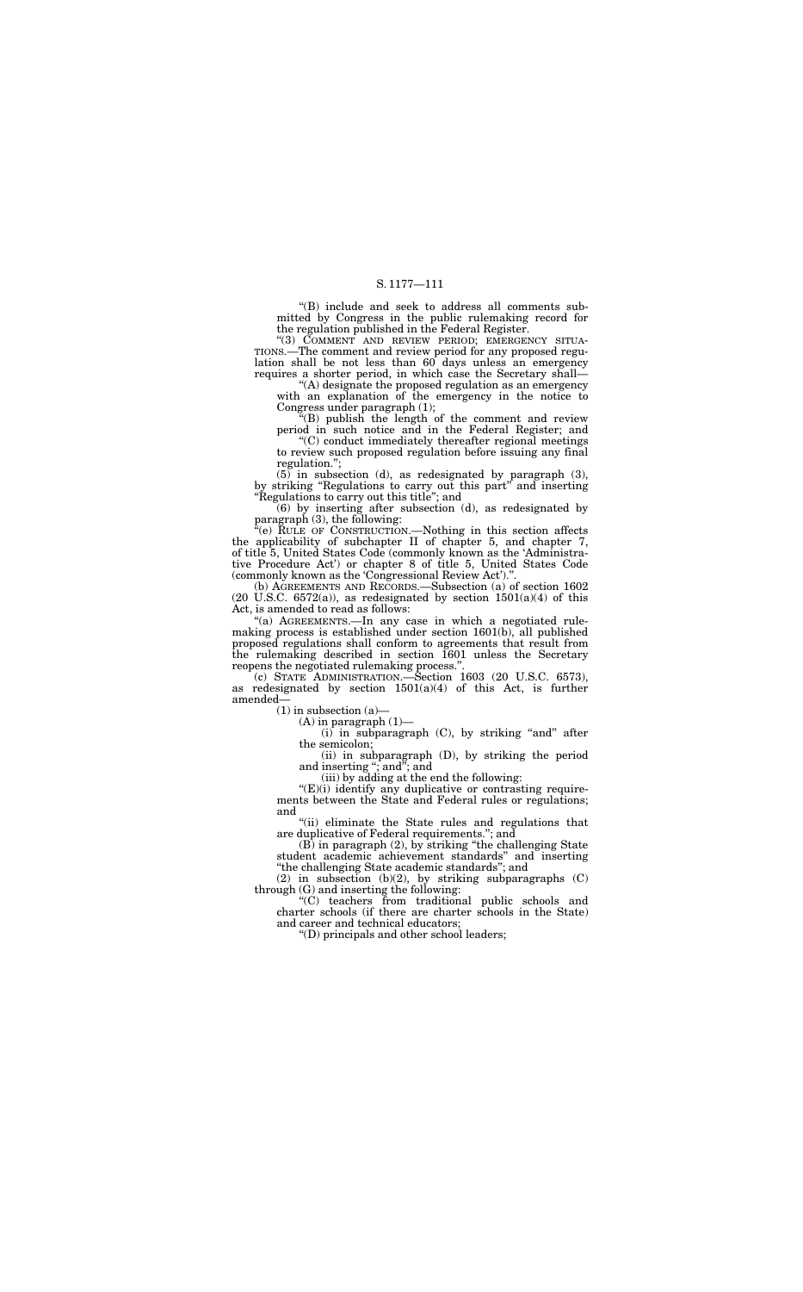''(B) include and seek to address all comments submitted by Congress in the public rulemaking record for

the regulation published in the Federal Register.<br>"(3) COMMENT AND REVIEW PERIOD; EMERGENCY SITUA-''(3) COMMENT AND REVIEW PERIOD; EMERGENCY SITUA- TIONS.—The comment and review period for any proposed regulation shall be not less than 60 days unless an emergency requires a shorter period, in which case the Secretary shall—

"(A) designate the proposed regulation as an emergency with an explanation of the emergency in the notice to Congress under paragraph (1);

 $f^*(B)$  publish the length of the comment and review period in such notice and in the Federal Register; and

''(C) conduct immediately thereafter regional meetings to review such proposed regulation before issuing any final regulation.'';

(5) in subsection (d), as redesignated by paragraph (3), by striking ''Regulations to carry out this part'' and inserting ''Regulations to carry out this title''; and

 $(6)$  by inserting after subsection (d), as redesignated by paragraph  $(3)$ , the following:

> $(i)$  in subparagraph  $(C)$ , by striking "and" after the semicolon;

"(E)(i) identify any duplicative or contrasting requirements between the State and Federal rules or regulations; and

''(e) RULE OF CONSTRUCTION.—Nothing in this section affects the applicability of subchapter II of chapter 5, and chapter 7, of title 5, United States Code (commonly known as the 'Administrative Procedure Act') or chapter 8 of title 5, United States Code (commonly known as the 'Congressional Review Act').''.

(b) AGREEMENTS AND RECORDS.—Subsection (a) of section 1602  $(20 \text{ U.S.C. } 6572(a))$ , as redesignated by section  $1501(a)(4)$  of this Act, is amended to read as follows:

''(a) AGREEMENTS.—In any case in which a negotiated rulemaking process is established under section 1601(b), all published proposed regulations shall conform to agreements that result from the rulemaking described in section 1601 unless the Secretary reopens the negotiated rulemaking process.''.

(c) STATE ADMINISTRATION.—Section 1603 (20 U.S.C. 6573), as redesignated by section 1501(a)(4) of this Act, is further amended—

 $(1)$  in subsection  $(a)$ 

 $(A)$  in paragraph  $(1)$ —

(ii) in subparagraph (D), by striking the period and inserting ''; and''; and

(iii) by adding at the end the following:

''(ii) eliminate the State rules and regulations that are duplicative of Federal requirements.''; and

(B) in paragraph (2), by striking ''the challenging State student academic achievement standards'' and inserting ''the challenging State academic standards''; and

(2) in subsection (b)(2), by striking subparagraphs (C) through (G) and inserting the following:

''(C) teachers from traditional public schools and charter schools (if there are charter schools in the State) and career and technical educators;

''(D) principals and other school leaders;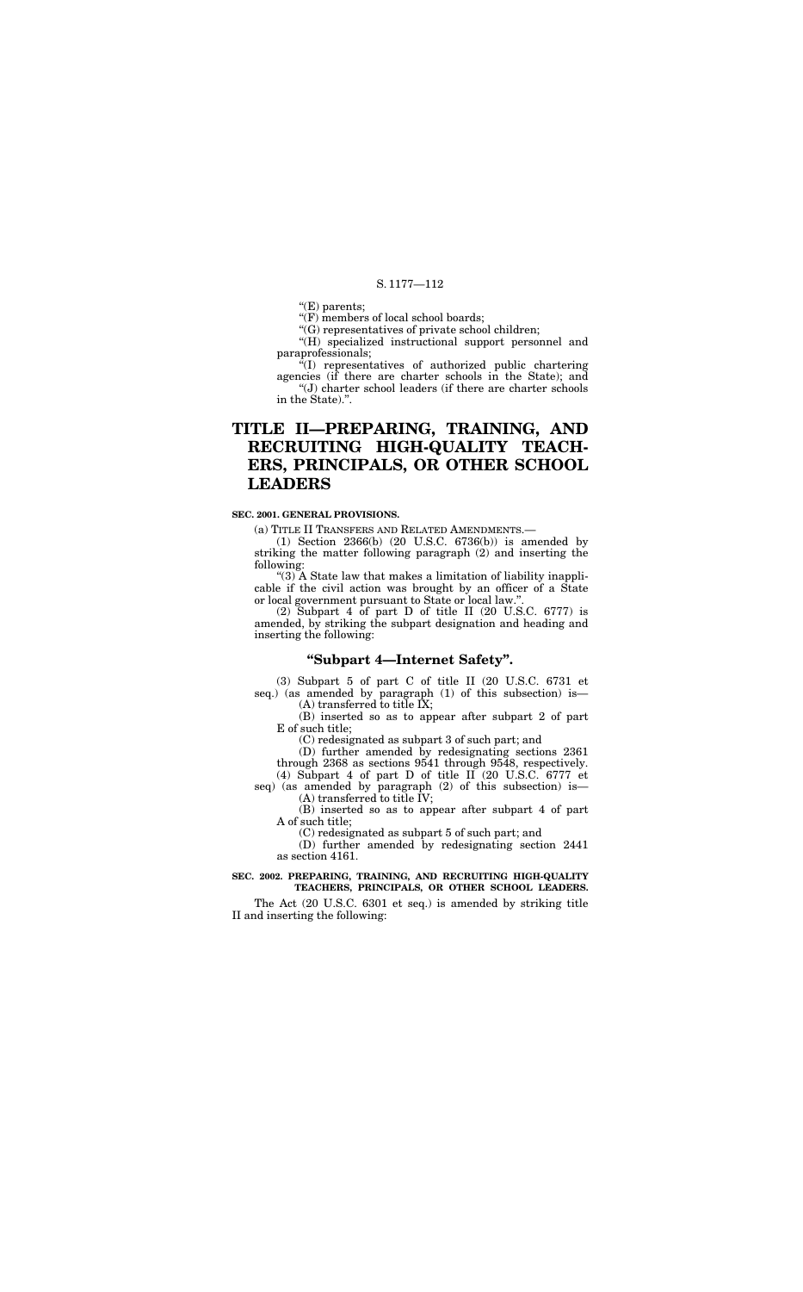''(E) parents;

"(F) members of local school boards;

''(G) representatives of private school children;

''(H) specialized instructional support personnel and paraprofessionals;

 $\sqrt{a}$ (I) representatives of authorized public chartering agencies (if there are charter schools in the State); and ''(J) charter school leaders (if there are charter schools in the State).''.

# **TITLE II—PREPARING, TRAINING, AND RECRUITING HIGH-QUALITY TEACH-ERS, PRINCIPALS, OR OTHER SCHOOL LEADERS**

" $(3)$  A State law that makes a limitation of liability inapplicable if the civil action was brought by an officer of a State or local government pursuant to State or local law.''.

#### **SEC. 2001. GENERAL PROVISIONS.**

(a) TITLE II TRANSFERS AND RELATED AMENDMENTS.—

(1) Section 2366(b) (20 U.S.C. 6736(b)) is amended by striking the matter following paragraph (2) and inserting the following:

(2) Subpart 4 of part D of title II (20 U.S.C. 6777) is amended, by striking the subpart designation and heading and inserting the following:

# **''Subpart 4—Internet Safety''.**

(3) Subpart 5 of part C of title II (20 U.S.C. 6731 et seq.) (as amended by paragraph (1) of this subsection) is— (A) transferred to title IX;

(B) inserted so as to appear after subpart 2 of part E of such title;

(C) redesignated as subpart 3 of such part; and

(D) further amended by redesignating sections 2361 through 2368 as sections 9541 through 9548, respectively. (4) Subpart 4 of part D of title II (20 U.S.C. 6777 et

seq) (as amended by paragraph (2) of this subsection) is— (A) transferred to title IV;

(B) inserted so as to appear after subpart 4 of part A of such title;

(C) redesignated as subpart 5 of such part; and

(D) further amended by redesignating section 2441 as section 4161.

### **SEC. 2002. PREPARING, TRAINING, AND RECRUITING HIGH-QUALITY TEACHERS, PRINCIPALS, OR OTHER SCHOOL LEADERS.**

The Act (20 U.S.C. 6301 et seq.) is amended by striking title II and inserting the following: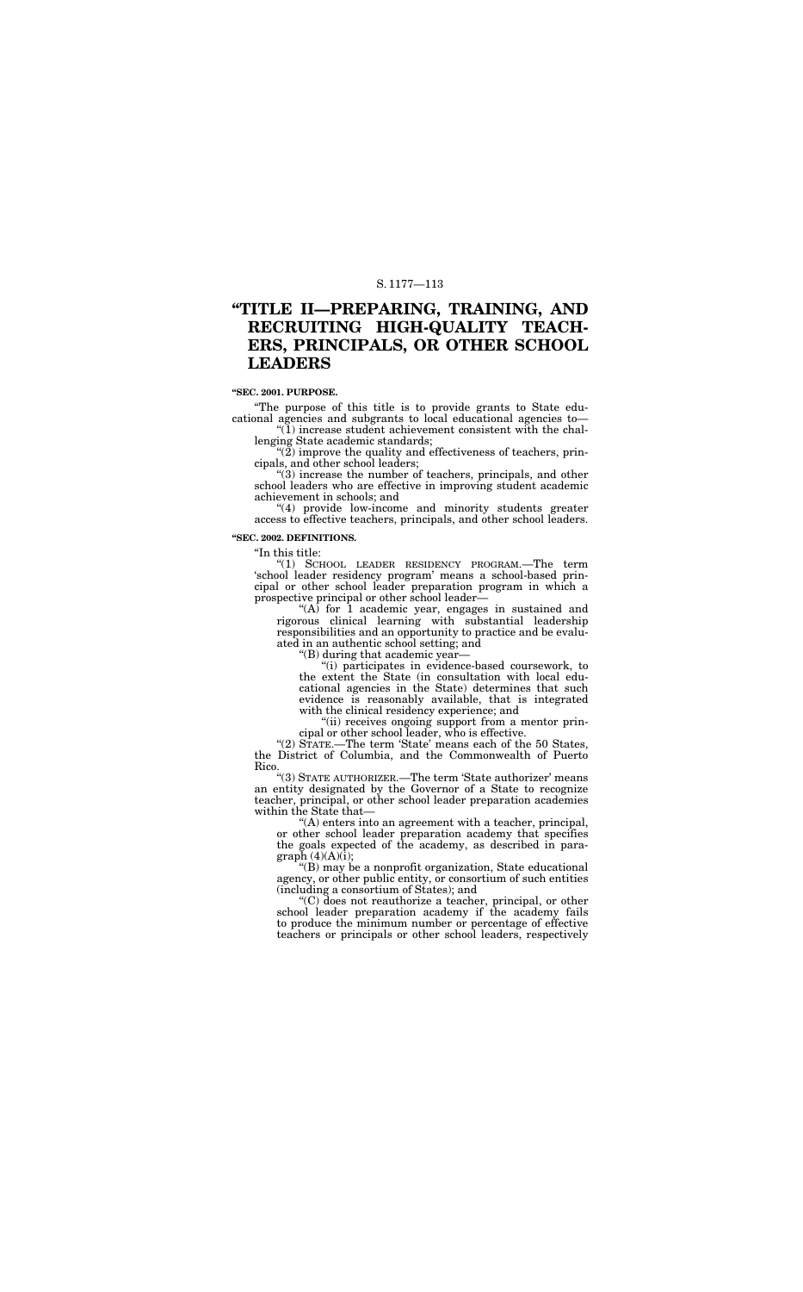# **''TITLE II—PREPARING, TRAINING, AND RECRUITING HIGH-QUALITY TEACH-ERS, PRINCIPALS, OR OTHER SCHOOL LEADERS**

#### **''SEC. 2001. PURPOSE.**

 $\cdot$ (1) increase student achievement consistent with the challenging State academic standards;

''The purpose of this title is to provide grants to State educational agencies and subgrants to local educational agencies to—

" $(2)$  improve the quality and effectiveness of teachers, principals, and other school leaders;

"(4) provide low-income and minority students greater access to effective teachers, principals, and other school leaders.

''(3) increase the number of teachers, principals, and other school leaders who are effective in improving student academic achievement in schools; and

### **''SEC. 2002. DEFINITIONS.**

''In this title:

"(ii) receives ongoing support from a mentor principal or other school leader, who is effective.

"(2) STATE.—The term 'State' means each of the 50 States, the District of Columbia, and the Commonwealth of Puerto Rico.

''(1) SCHOOL LEADER RESIDENCY PROGRAM.—The term 'school leader residency program' means a school-based principal or other school leader preparation program in which a prospective principal or other school leader—

''(A) enters into an agreement with a teacher, principal, or other school leader preparation academy that specifies the goals expected of the academy, as described in paragraph  $(4)(A)(i)$ ;

''(A) for 1 academic year, engages in sustained and rigorous clinical learning with substantial leadership responsibilities and an opportunity to practice and be evaluated in an authentic school setting; and

''(B) during that academic year—

''(i) participates in evidence-based coursework, to the extent the State (in consultation with local educational agencies in the State) determines that such evidence is reasonably available, that is integrated with the clinical residency experience; and

''(3) STATE AUTHORIZER.—The term 'State authorizer' means an entity designated by the Governor of a State to recognize teacher, principal, or other school leader preparation academies within the State that—

''(B) may be a nonprofit organization, State educational agency, or other public entity, or consortium of such entities (including a consortium of States); and

''(C) does not reauthorize a teacher, principal, or other school leader preparation academy if the academy fails to produce the minimum number or percentage of effective teachers or principals or other school leaders, respectively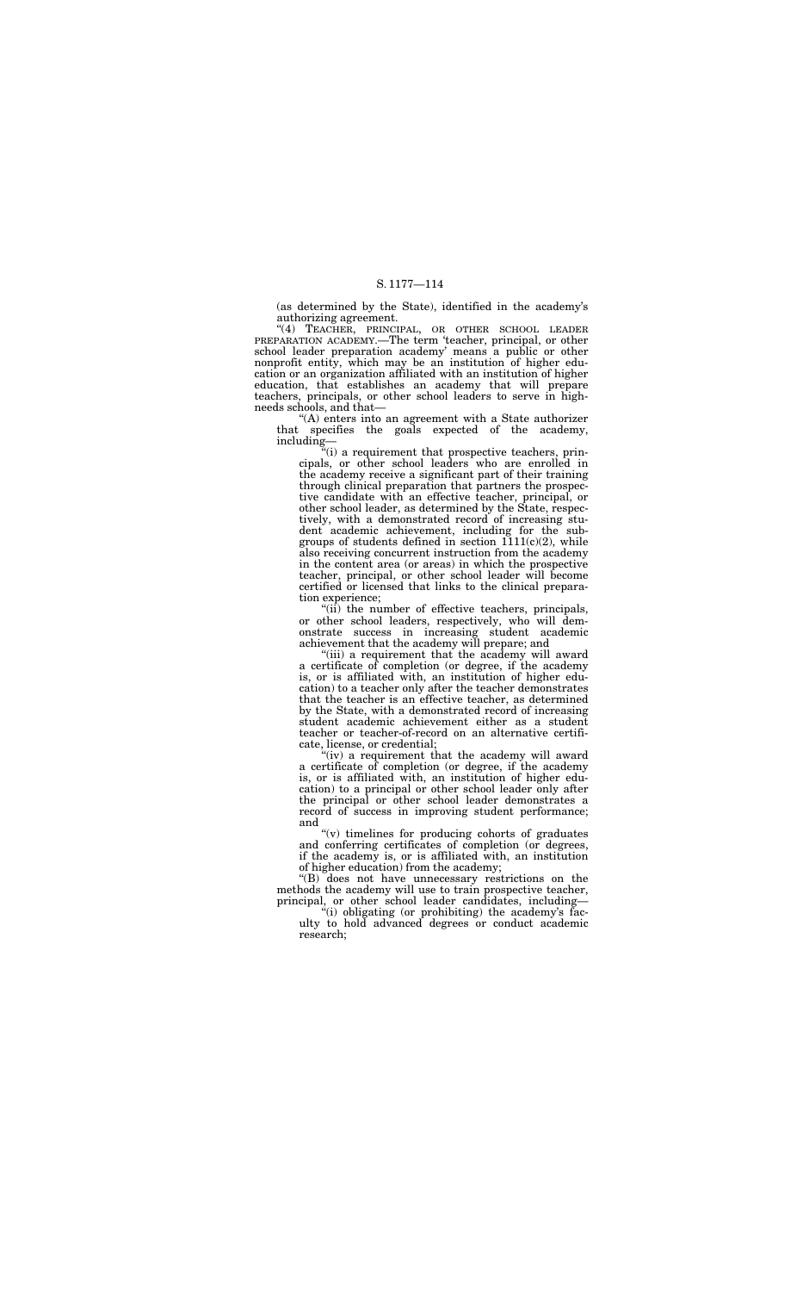(as determined by the State), identified in the academy's authorizing agreement.

''(4) TEACHER, PRINCIPAL, OR OTHER SCHOOL LEADER PREPARATION ACADEMY.—The term 'teacher, principal, or other school leader preparation academy' means a public or other nonprofit entity, which may be an institution of higher education or an organization affiliated with an institution of higher education, that establishes an academy that will prepare teachers, principals, or other school leaders to serve in highneeds schools, and that—

''(A) enters into an agreement with a State authorizer that specifies the goals expected of the academy, including—

''(i) a requirement that prospective teachers, principals, or other school leaders who are enrolled in the academy receive a significant part of their training through clinical preparation that partners the prospective candidate with an effective teacher, principal, or other school leader, as determined by the State, respectively, with a demonstrated record of increasing student academic achievement, including for the subgroups of students defined in section  $1111(c)(2)$ , while also receiving concurrent instruction from the academy in the content area (or areas) in which the prospective teacher, principal, or other school leader will become certified or licensed that links to the clinical preparation experience;

"(iii) a requirement that the academy will award a certificate of completion (or degree, if the academy is, or is affiliated with, an institution of higher education) to a teacher only after the teacher demonstrates that the teacher is an effective teacher, as determined by the State, with a demonstrated record of increasing student academic achievement either as a student teacher or teacher-of-record on an alternative certificate, license, or credential;

"(iv) a requirement that the academy will award a certificate of completion (or degree, if the academy is, or is affiliated with, an institution of higher education) to a principal or other school leader only after the principal or other school leader demonstrates a record of success in improving student performance; and

"(B) does not have unnecessary restrictions on the methods the academy will use to train prospective teacher, principal, or other school leader candidates, including—

''(ii) the number of effective teachers, principals, or other school leaders, respectively, who will demonstrate success in increasing student academic achievement that the academy will prepare; and

''(v) timelines for producing cohorts of graduates and conferring certificates of completion (or degrees, if the academy is, or is affiliated with, an institution of higher education) from the academy;

''(i) obligating (or prohibiting) the academy's faculty to hold advanced degrees or conduct academic research;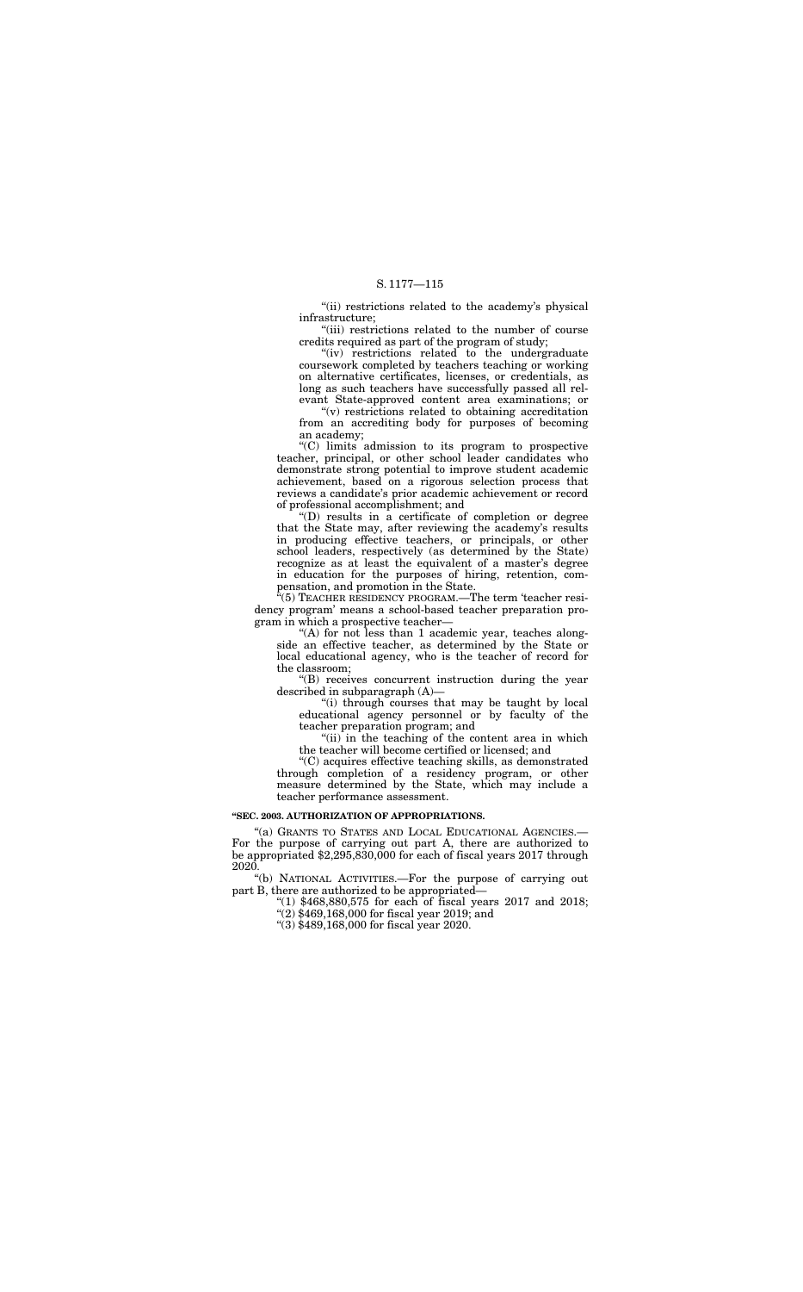"(ii) restrictions related to the academy's physical infrastructure;

''(iii) restrictions related to the number of course credits required as part of the program of study;

"(iv) restrictions related to the undergraduate coursework completed by teachers teaching or working on alternative certificates, licenses, or credentials, as long as such teachers have successfully passed all relevant State-approved content area examinations; or

''(v) restrictions related to obtaining accreditation from an accrediting body for purposes of becoming an academy;

''(C) limits admission to its program to prospective teacher, principal, or other school leader candidates who demonstrate strong potential to improve student academic achievement, based on a rigorous selection process that reviews a candidate's prior academic achievement or record of professional accomplishment; and

" $(A)$  for not less than 1 academic year, teaches alongside an effective teacher, as determined by the State or local educational agency, who is the teacher of record for the classroom;

"(ii) in the teaching of the content area in which the teacher will become certified or licensed; and

''(D) results in a certificate of completion or degree that the State may, after reviewing the academy's results in producing effective teachers, or principals, or other school leaders, respectively (as determined by the State) recognize as at least the equivalent of a master's degree in education for the purposes of hiring, retention, compensation, and promotion in the State.

"(a) GRANTS TO STATES AND LOCAL EDUCATIONAL AGENCIES.-For the purpose of carrying out part A, there are authorized to be appropriated \$2,295,830,000 for each of fiscal years 2017 through 2020.

''(5) TEACHER RESIDENCY PROGRAM.—The term 'teacher residency program' means a school-based teacher preparation program in which a prospective teacher—

''(B) receives concurrent instruction during the year described in subparagraph (A)—

''(i) through courses that may be taught by local educational agency personnel or by faculty of the teacher preparation program; and

''(C) acquires effective teaching skills, as demonstrated through completion of a residency program, or other measure determined by the State, which may include a teacher performance assessment.

### **''SEC. 2003. AUTHORIZATION OF APPROPRIATIONS.**

''(b) NATIONAL ACTIVITIES.—For the purpose of carrying out part B, there are authorized to be appropriated—

"(1)  $$468,880,575$  for each of fiscal years 2017 and 2018;

 $(2)$  \$469,168,000 for fiscal year 2019; and

''(3) \$489,168,000 for fiscal year 2020.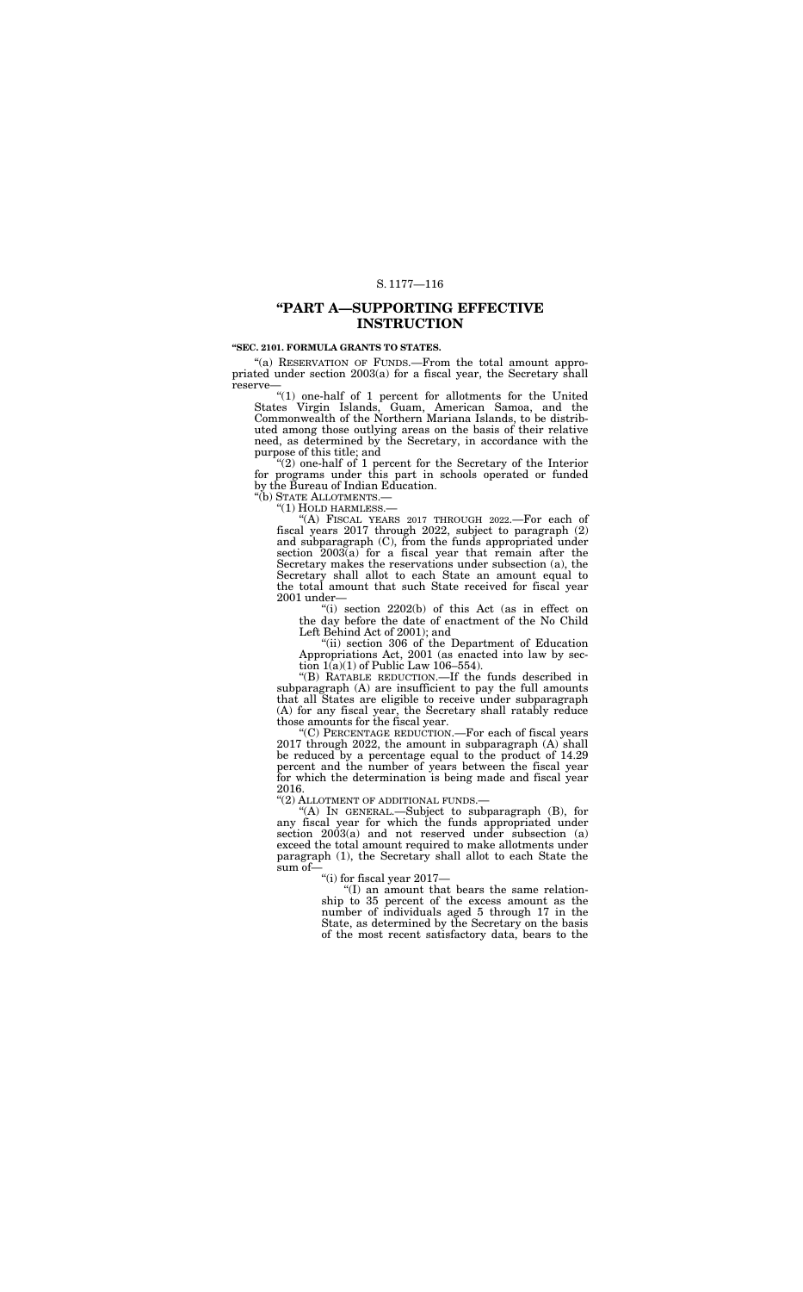# **''PART A—SUPPORTING EFFECTIVE INSTRUCTION**

#### **''SEC. 2101. FORMULA GRANTS TO STATES.**

"(a) RESERVATION OF FUNDS.—From the total amount appropriated under section 2003(a) for a fiscal year, the Secretary shall reserve—

"(1) one-half of 1 percent for allotments for the United States Virgin Islands, Guam, American Samoa, and the Commonwealth of the Northern Mariana Islands, to be distributed among those outlying areas on the basis of their relative need, as determined by the Secretary, in accordance with the purpose of this title; and

" $(2)$  one-half of 1 percent for the Secretary of the Interior for programs under this part in schools operated or funded by the Bureau of Indian Education.

"(A) FISCAL YEARS 2017 THROUGH 2022.—For each of fiscal years 2017 through 2022, subject to paragraph (2) and subparagraph (C), from the funds appropriated under section 2003(a) for a fiscal year that remain after the Secretary makes the reservations under subsection (a), the Secretary shall allot to each State an amount equal to the total amount that such State received for fiscal year 2001 under—

''(b) STATE ALLOTMENTS.—

''(1) HOLD HARMLESS.—

"(C) PERCENTAGE REDUCTION.—For each of fiscal years 2017 through 2022, the amount in subparagraph (A) shall be reduced by a percentage equal to the product of 14.29 percent and the number of years between the fiscal year for which the determination is being made and fiscal year 2016.

"(2) ALLOTMENT OF ADDITIONAL FUNDS.—

''(i) section 2202(b) of this Act (as in effect on the day before the date of enactment of the No Child Left Behind Act of 2001); and

"(ii) section 306 of the Department of Education Appropriations Act, 2001 (as enacted into law by section  $1(a)(1)$  of Public Law 106–554).

''(B) RATABLE REDUCTION.—If the funds described in subparagraph (A) are insufficient to pay the full amounts that all States are eligible to receive under subparagraph (A) for any fiscal year, the Secretary shall ratably reduce those amounts for the fiscal year.

''(A) IN GENERAL.—Subject to subparagraph (B), for any fiscal year for which the funds appropriated under section 2003(a) and not reserved under subsection (a) exceed the total amount required to make allotments under paragraph (1), the Secretary shall allot to each State the sum of—

''(i) for fiscal year 2017—

''(I) an amount that bears the same relationship to 35 percent of the excess amount as the number of individuals aged 5 through 17 in the State, as determined by the Secretary on the basis of the most recent satisfactory data, bears to the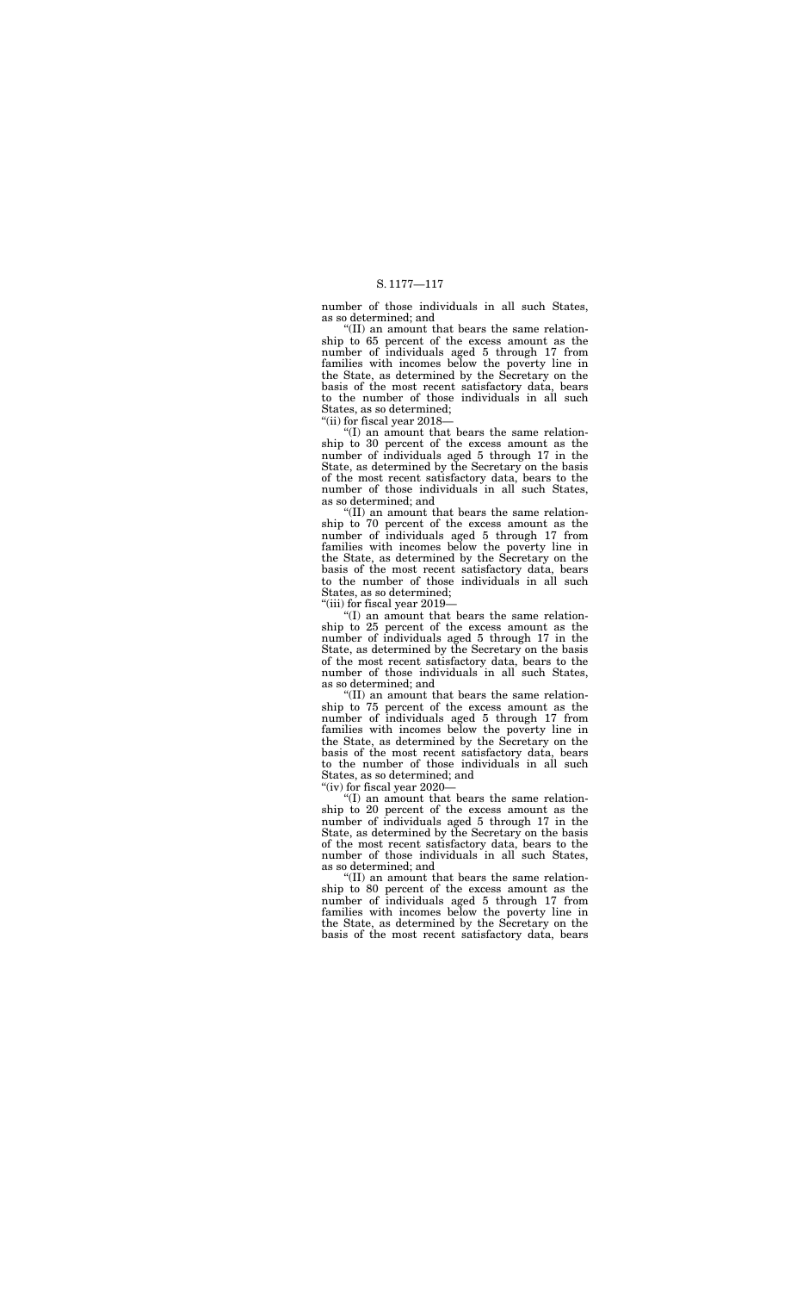number of those individuals in all such States, as so determined; and

''(II) an amount that bears the same relationship to 65 percent of the excess amount as the number of individuals aged 5 through 17 from families with incomes below the poverty line in the State, as determined by the Secretary on the basis of the most recent satisfactory data, bears to the number of those individuals in all such States, as so determined;

''(ii) for fiscal year 2018—

''(I) an amount that bears the same relationship to 30 percent of the excess amount as the number of individuals aged 5 through 17 in the State, as determined by the Secretary on the basis of the most recent satisfactory data, bears to the number of those individuals in all such States, as so determined; and

''(II) an amount that bears the same relationship to 70 percent of the excess amount as the number of individuals aged 5 through 17 from families with incomes below the poverty line in the State, as determined by the Secretary on the basis of the most recent satisfactory data, bears to the number of those individuals in all such States, as so determined;

''(iii) for fiscal year 2019—

''(I) an amount that bears the same relationship to 25 percent of the excess amount as the number of individuals aged 5 through 17 in the State, as determined by the Secretary on the basis of the most recent satisfactory data, bears to the number of those individuals in all such States, as so determined; and

''(II) an amount that bears the same relationship to 75 percent of the excess amount as the number of individuals aged 5 through 17 from families with incomes below the poverty line in the State, as determined by the Secretary on the basis of the most recent satisfactory data, bears to the number of those individuals in all such States, as so determined; and

''(iv) for fiscal year 2020—

''(I) an amount that bears the same relationship to 20 percent of the excess amount as the number of individuals aged 5 through 17 in the State, as determined by the Secretary on the basis of the most recent satisfactory data, bears to the number of those individuals in all such States, as so determined; and

''(II) an amount that bears the same relationship to 80 percent of the excess amount as the number of individuals aged 5 through 17 from families with incomes below the poverty line in the State, as determined by the Secretary on the basis of the most recent satisfactory data, bears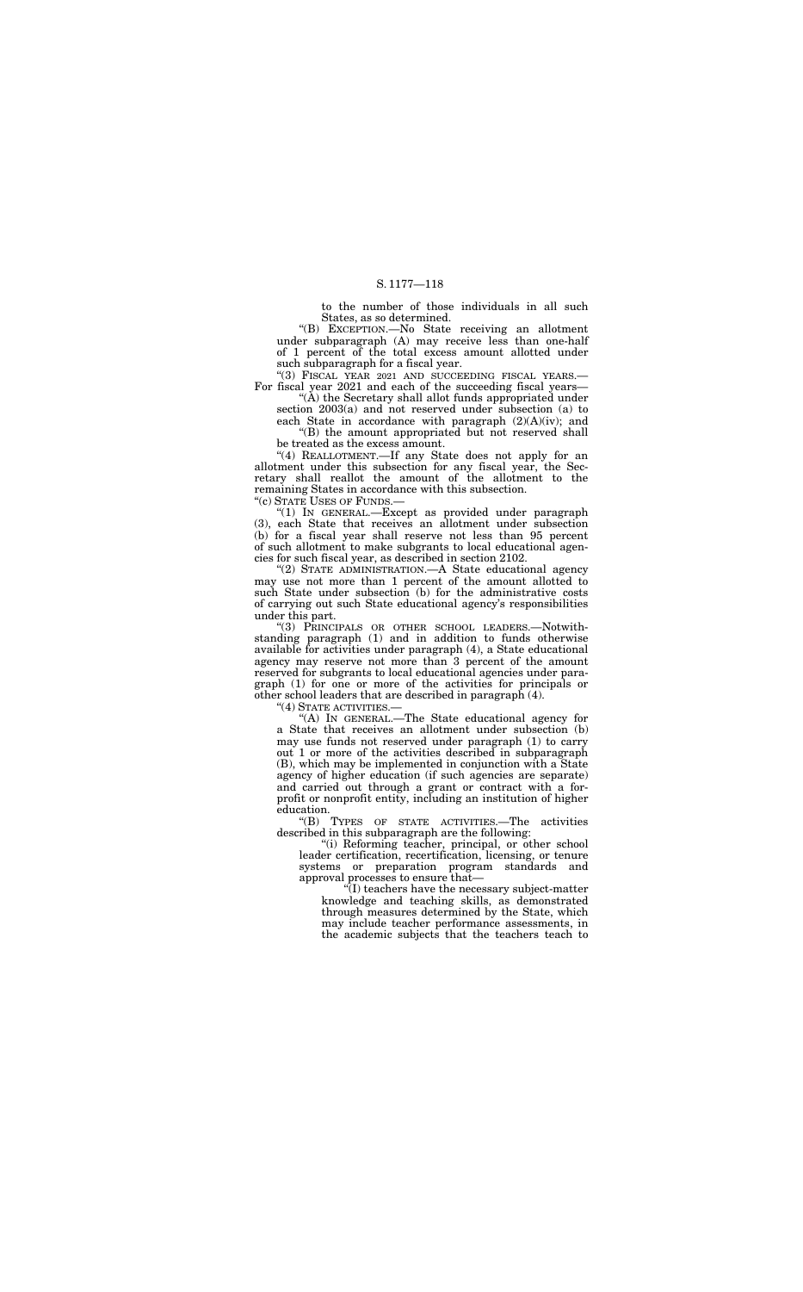to the number of those individuals in all such States, as so determined.

''(B) EXCEPTION.—No State receiving an allotment under subparagraph (A) may receive less than one-half of 1 percent of the total excess amount allotted under such subparagraph for a fiscal year.

"(A) the Secretary shall allot funds appropriated under section 2003(a) and not reserved under subsection (a) to each State in accordance with paragraph (2)(A)(iv); and

''(3) FISCAL YEAR 2021 AND SUCCEEDING FISCAL YEARS.— For fiscal year 2021 and each of the succeeding fiscal years—

"(4) REALLOTMENT. If any State does not apply for an allotment under this subsection for any fiscal year, the Secretary shall reallot the amount of the allotment to the remaining States in accordance with this subsection.

''(B) the amount appropriated but not reserved shall be treated as the excess amount.

''(c) STATE USES OF FUNDS.—

''(1) IN GENERAL.—Except as provided under paragraph (3), each State that receives an allotment under subsection (b) for a fiscal year shall reserve not less than 95 percent of such allotment to make subgrants to local educational agencies for such fiscal year, as described in section 2102.

> "(i) Reforming teacher, principal, or other school leader certification, recertification, licensing, or tenure systems or preparation program standards and approval processes to ensure that—

''(2) STATE ADMINISTRATION.—A State educational agency may use not more than 1 percent of the amount allotted to such State under subsection (b) for the administrative costs of carrying out such State educational agency's responsibilities under this part.

> $\sqrt{\text{I}}$  teachers have the necessary subject-matter knowledge and teaching skills, as demonstrated through measures determined by the State, which may include teacher performance assessments, in the academic subjects that the teachers teach to

''(3) PRINCIPALS OR OTHER SCHOOL LEADERS.—Notwithstanding paragraph (1) and in addition to funds otherwise available for activities under paragraph (4), a State educational agency may reserve not more than 3 percent of the amount reserved for subgrants to local educational agencies under paragraph (1) for one or more of the activities for principals or other school leaders that are described in paragraph (4).

"(4) STATE ACTIVITIES.-

''(A) IN GENERAL.—The State educational agency for a State that receives an allotment under subsection (b) may use funds not reserved under paragraph (1) to carry out 1 or more of the activities described in subparagraph (B), which may be implemented in conjunction with a State agency of higher education (if such agencies are separate) and carried out through a grant or contract with a forprofit or nonprofit entity, including an institution of higher education.

''(B) TYPES OF STATE ACTIVITIES.—The activities described in this subparagraph are the following: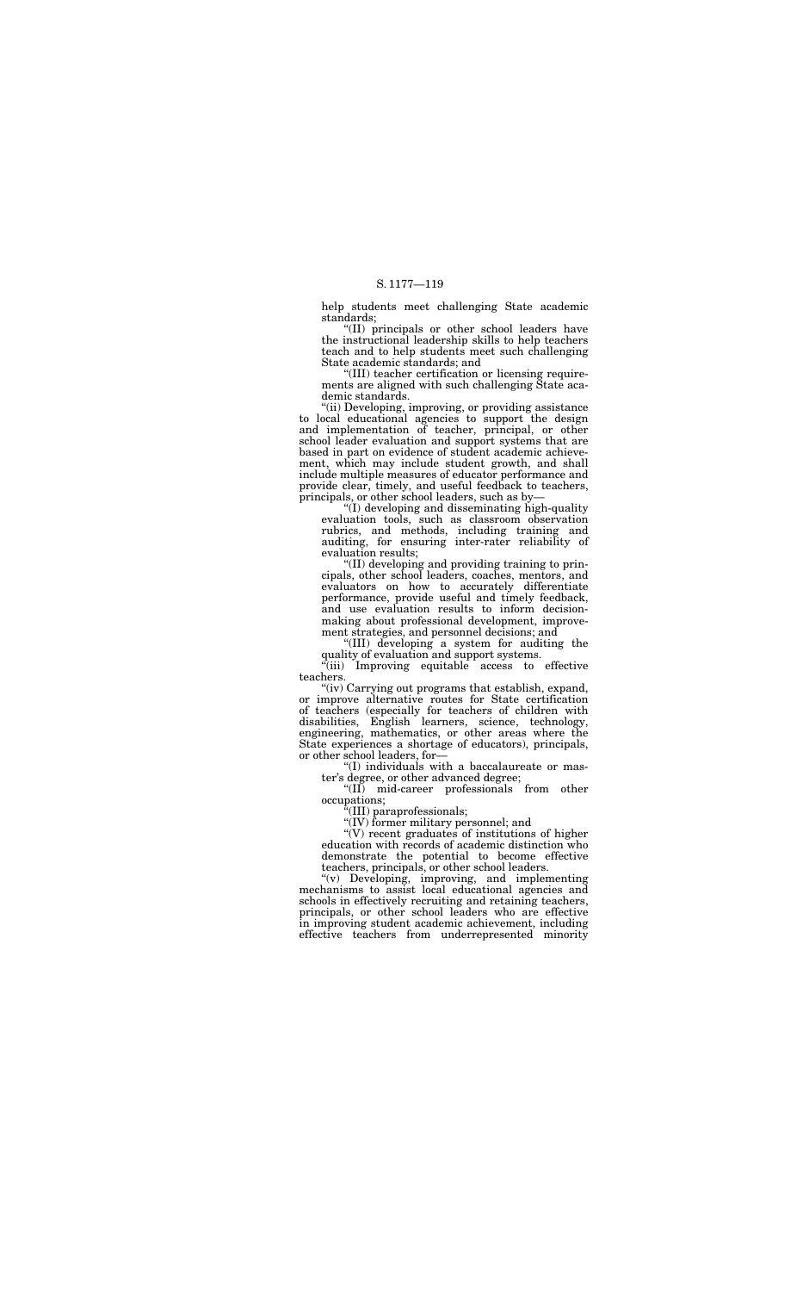help students meet challenging State academic standards;

''(II) principals or other school leaders have the instructional leadership skills to help teachers teach and to help students meet such challenging State academic standards; and

''(III) teacher certification or licensing requirements are aligned with such challenging State academic standards.

''(ii) Developing, improving, or providing assistance to local educational agencies to support the design and implementation of teacher, principal, or other school leader evaluation and support systems that are based in part on evidence of student academic achievement, which may include student growth, and shall include multiple measures of educator performance and provide clear, timely, and useful feedback to teachers, principals, or other school leaders, such as by—

"(iv) Carrying out programs that establish, expand, or improve alternative routes for State certification of teachers (especially for teachers of children with disabilities, English learners, science, technology, engineering, mathematics, or other areas where the State experiences a shortage of educators), principals, or other school leaders, for—

''(I) developing and disseminating high-quality evaluation tools, such as classroom observation rubrics, and methods, including training and auditing, for ensuring inter-rater reliability of evaluation results;

''(II) developing and providing training to principals, other school leaders, coaches, mentors, and evaluators on how to accurately differentiate performance, provide useful and timely feedback, and use evaluation results to inform decisionmaking about professional development, improvement strategies, and personnel decisions; and

''(III) developing a system for auditing the

quality of evaluation and support systems. ''(iii) Improving equitable access to effective teachers.

''(I) individuals with a baccalaureate or master's degree, or other advanced degree;

''(II) mid-career professionals from other occupations;

''(III) paraprofessionals;

''(IV) former military personnel; and

''(V) recent graduates of institutions of higher education with records of academic distinction who demonstrate the potential to become effective teachers, principals, or other school leaders.

''(v) Developing, improving, and implementing mechanisms to assist local educational agencies and schools in effectively recruiting and retaining teachers, principals, or other school leaders who are effective in improving student academic achievement, including effective teachers from underrepresented minority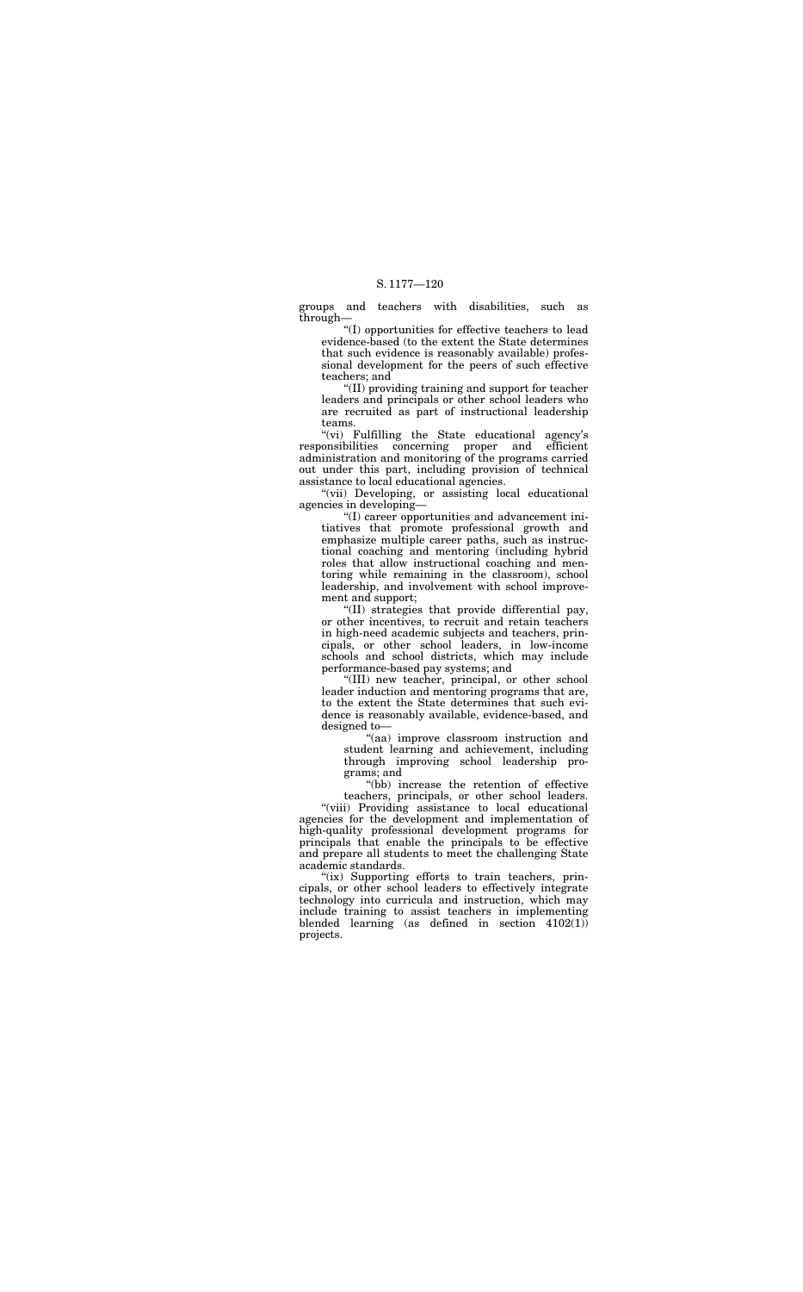groups and teachers with disabilities, such as through—

''(I) opportunities for effective teachers to lead evidence-based (to the extent the State determines that such evidence is reasonably available) professional development for the peers of such effective teachers; and

"(vi) Fulfilling the State educational agency's responsibilities concerning proper and efficient administration and monitoring of the programs carried out under this part, including provision of technical assistance to local educational agencies.

''(II) providing training and support for teacher leaders and principals or other school leaders who are recruited as part of instructional leadership teams.

"(vii) Developing, or assisting local educational agencies in developing—

''(I) career opportunities and advancement initiatives that promote professional growth and emphasize multiple career paths, such as instructional coaching and mentoring (including hybrid roles that allow instructional coaching and mentoring while remaining in the classroom), school leadership, and involvement with school improvement and support;

"(ix) Supporting efforts to train teachers, principals, or other school leaders to effectively integrate technology into curricula and instruction, which may include training to assist teachers in implementing blended learning (as defined in section 4102(1)) projects.

''(II) strategies that provide differential pay, or other incentives, to recruit and retain teachers in high-need academic subjects and teachers, principals, or other school leaders, in low-income schools and school districts, which may include performance-based pay systems; and

''(III) new teacher, principal, or other school leader induction and mentoring programs that are, to the extent the State determines that such evidence is reasonably available, evidence-based, and designed to—

''(aa) improve classroom instruction and student learning and achievement, including through improving school leadership programs; and

''(bb) increase the retention of effective teachers, principals, or other school leaders.

''(viii) Providing assistance to local educational agencies for the development and implementation of high-quality professional development programs for principals that enable the principals to be effective and prepare all students to meet the challenging State academic standards.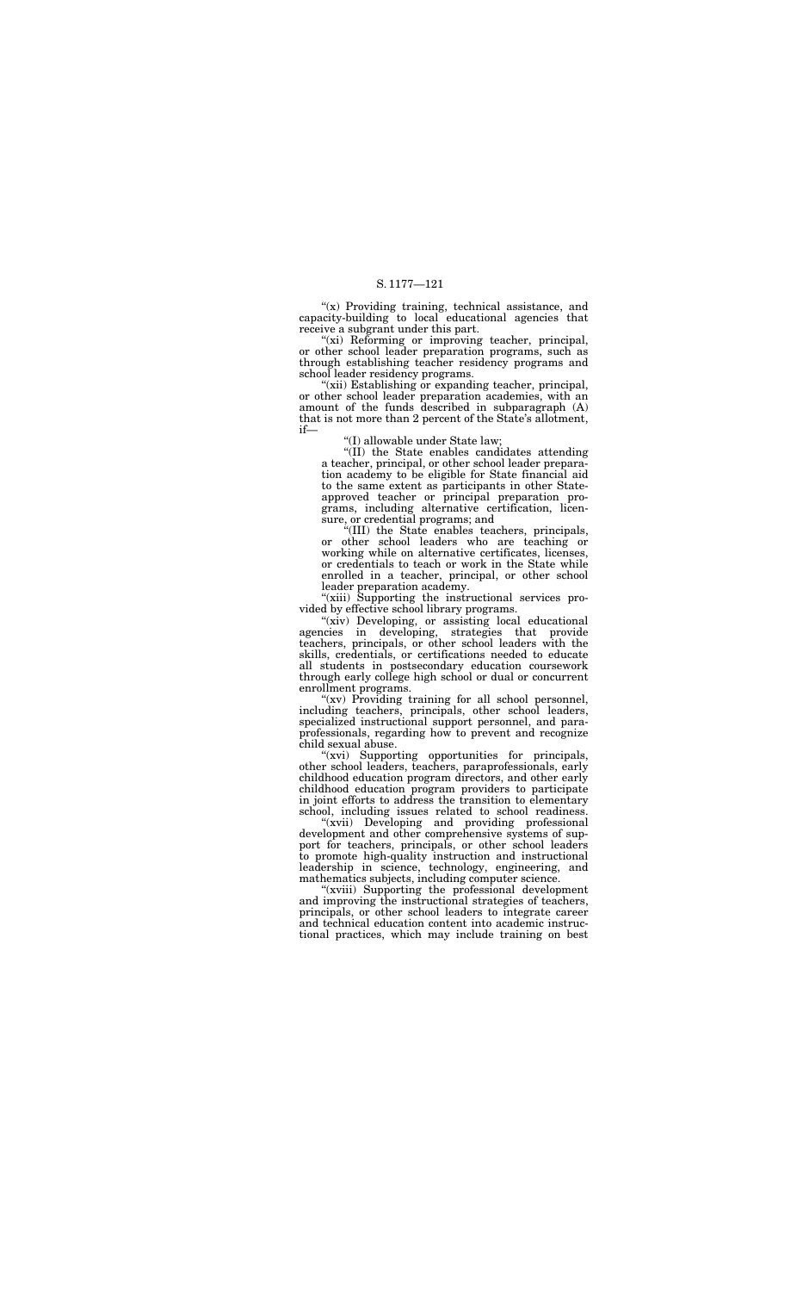''(x) Providing training, technical assistance, and capacity-building to local educational agencies that receive a subgrant under this part.

"(xi) Reforming or improving teacher, principal, or other school leader preparation programs, such as through establishing teacher residency programs and school leader residency programs.

"(xii) Establishing or expanding teacher, principal, or other school leader preparation academies, with an amount of the funds described in subparagraph (A) that is not more than 2 percent of the State's allotment, if—

''(I) allowable under State law;

''(xiii) Supporting the instructional services provided by effective school library programs.

''(II) the State enables candidates attending a teacher, principal, or other school leader preparation academy to be eligible for State financial aid to the same extent as participants in other Stateapproved teacher or principal preparation programs, including alternative certification, licensure, or credential programs; and

"(xiv) Developing, or assisting local educational agencies in developing, strategies that provide teachers, principals, or other school leaders with the skills, credentials, or certifications needed to educate all students in postsecondary education coursework through early college high school or dual or concurrent enrollment programs.

"(xv) Providing training for all school personnel, including teachers, principals, other school leaders, specialized instructional support personnel, and paraprofessionals, regarding how to prevent and recognize child sexual abuse.

''(III) the State enables teachers, principals, or other school leaders who are teaching or working while on alternative certificates, licenses, or credentials to teach or work in the State while enrolled in a teacher, principal, or other school leader preparation academy.

"(xvi) Supporting opportunities for principals, other school leaders, teachers, paraprofessionals, early childhood education program directors, and other early childhood education program providers to participate in joint efforts to address the transition to elementary school, including issues related to school readiness.

''(xvii) Developing and providing professional development and other comprehensive systems of support for teachers, principals, or other school leaders to promote high-quality instruction and instructional leadership in science, technology, engineering, and mathematics subjects, including computer science.

''(xviii) Supporting the professional development and improving the instructional strategies of teachers, principals, or other school leaders to integrate career and technical education content into academic instructional practices, which may include training on best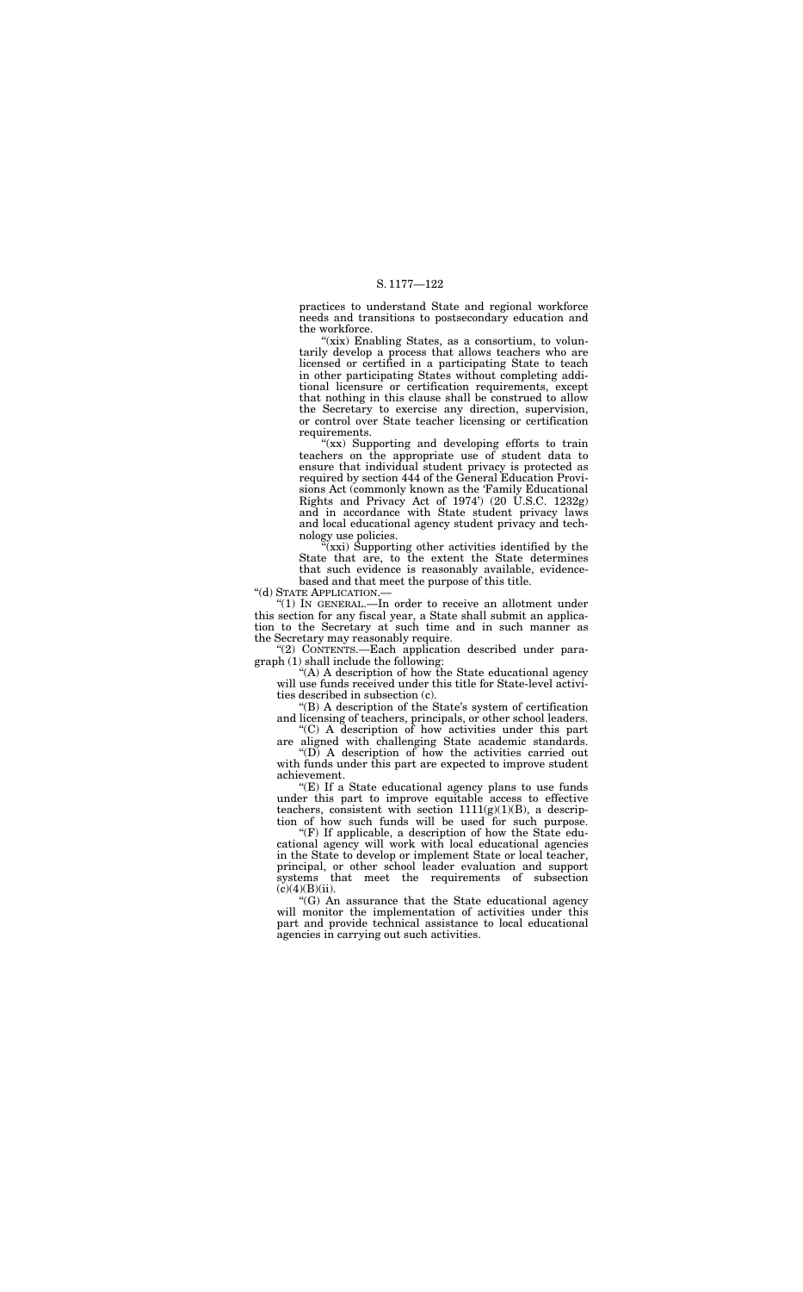practices to understand State and regional workforce needs and transitions to postsecondary education and the workforce.

"(xix) Enabling States, as a consortium, to voluntarily develop a process that allows teachers who are licensed or certified in a participating State to teach in other participating States without completing additional licensure or certification requirements, except that nothing in this clause shall be construed to allow the Secretary to exercise any direction, supervision, or control over State teacher licensing or certification requirements.

"(xx) Supporting and developing efforts to train teachers on the appropriate use of student data to ensure that individual student privacy is protected as required by section 444 of the General Education Provisions Act (commonly known as the 'Family Educational Rights and Privacy Act of 1974') (20 U.S.C. 1232g) and in accordance with State student privacy laws and local educational agency student privacy and technology use policies.

"(xxi) Supporting other activities identified by the State that are, to the extent the State determines that such evidence is reasonably available, evidencebased and that meet the purpose of this title.

"(1) IN GENERAL.—In order to receive an allotment under this section for any fiscal year, a State shall submit an application to the Secretary at such time and in such manner as the Secretary may reasonably require.

"(2) CONTENTS.—Each application described under paragraph (1) shall include the following:

(A) A description of how the State educational agency will use funds received under this title for State-level activities described in subsection (c).

"(D) A description of how the activities carried out with funds under this part are expected to improve student achievement.

 $E(E)$  If a State educational agency plans to use funds under this part to improve equitable access to effective teachers, consistent with section  $1111(g)(1)(B)$ , a description of how such funds will be used for such purpose.

''(F) If applicable, a description of how the State educational agency will work with local educational agencies in the State to develop or implement State or local teacher, principal, or other school leader evaluation and support systems that meet the requirements of subsection  $(c)(4)(B)(ii).$ 

''(d) STATE APPLICATION.—

''(B) A description of the State's system of certification and licensing of teachers, principals, or other school leaders.

''(C) A description of how activities under this part are aligned with challenging State academic standards.

''(G) An assurance that the State educational agency will monitor the implementation of activities under this part and provide technical assistance to local educational agencies in carrying out such activities.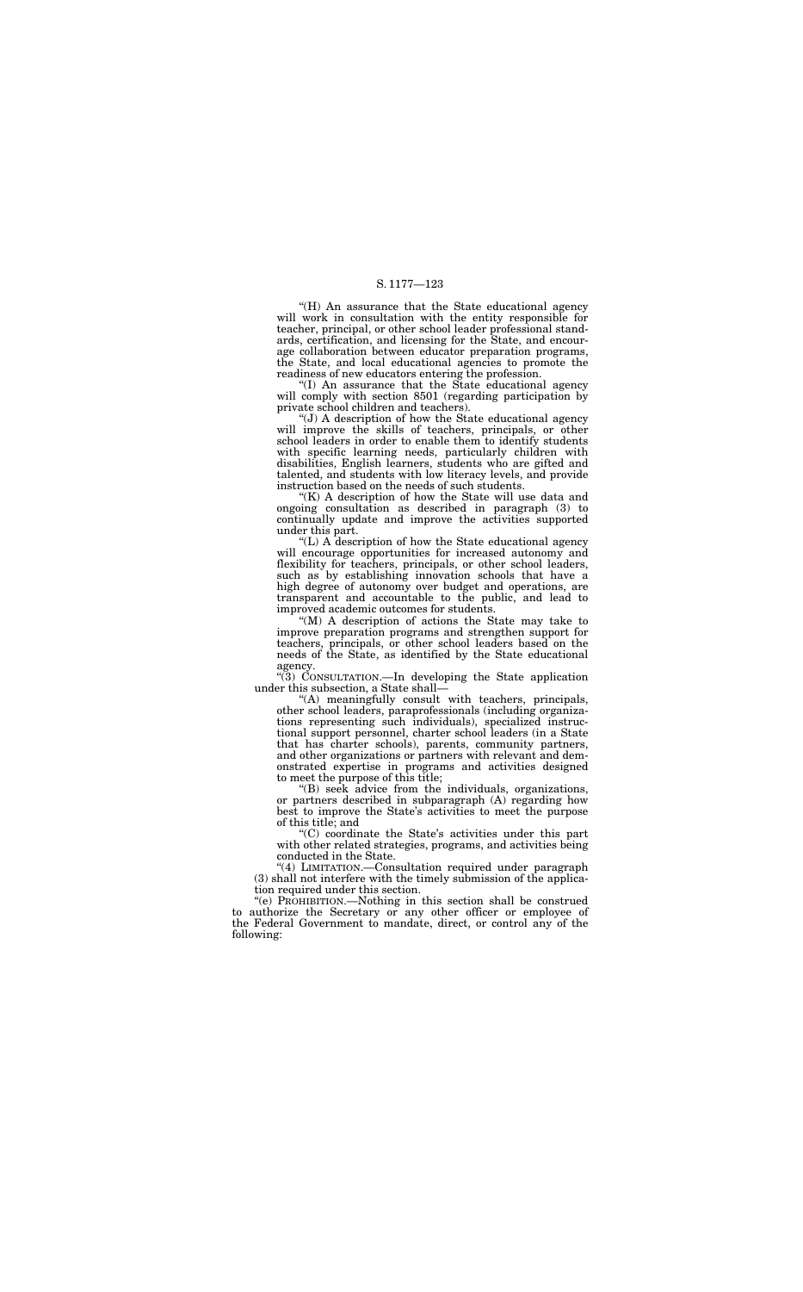''(H) An assurance that the State educational agency will work in consultation with the entity responsible for teacher, principal, or other school leader professional standards, certification, and licensing for the State, and encourage collaboration between educator preparation programs, the State, and local educational agencies to promote the readiness of new educators entering the profession.

''(I) An assurance that the State educational agency will comply with section 8501 (regarding participation by private school children and teachers).

"(K) A description of how the State will use data and ongoing consultation as described in paragraph (3) to continually update and improve the activities supported under this part.

''(L) A description of how the State educational agency will encourage opportunities for increased autonomy and flexibility for teachers, principals, or other school leaders, such as by establishing innovation schools that have a high degree of autonomy over budget and operations, are transparent and accountable to the public, and lead to improved academic outcomes for students.

''(J) A description of how the State educational agency will improve the skills of teachers, principals, or other school leaders in order to enable them to identify students with specific learning needs, particularly children with disabilities, English learners, students who are gifted and talented, and students with low literacy levels, and provide instruction based on the needs of such students.

"(4) LIMITATION.—Consultation required under paragraph (3) shall not interfere with the timely submission of the application required under this section.

''(M) A description of actions the State may take to improve preparation programs and strengthen support for teachers, principals, or other school leaders based on the needs of the State, as identified by the State educational agency.

''(3) CONSULTATION.—In developing the State application under this subsection, a State shall—

''(A) meaningfully consult with teachers, principals, other school leaders, paraprofessionals (including organizations representing such individuals), specialized instructional support personnel, charter school leaders (in a State that has charter schools), parents, community partners, and other organizations or partners with relevant and demonstrated expertise in programs and activities designed to meet the purpose of this title;

''(B) seek advice from the individuals, organizations, or partners described in subparagraph (A) regarding how best to improve the State's activities to meet the purpose of this title; and

''(C) coordinate the State's activities under this part with other related strategies, programs, and activities being conducted in the State.

''(e) PROHIBITION.—Nothing in this section shall be construed to authorize the Secretary or any other officer or employee of the Federal Government to mandate, direct, or control any of the following: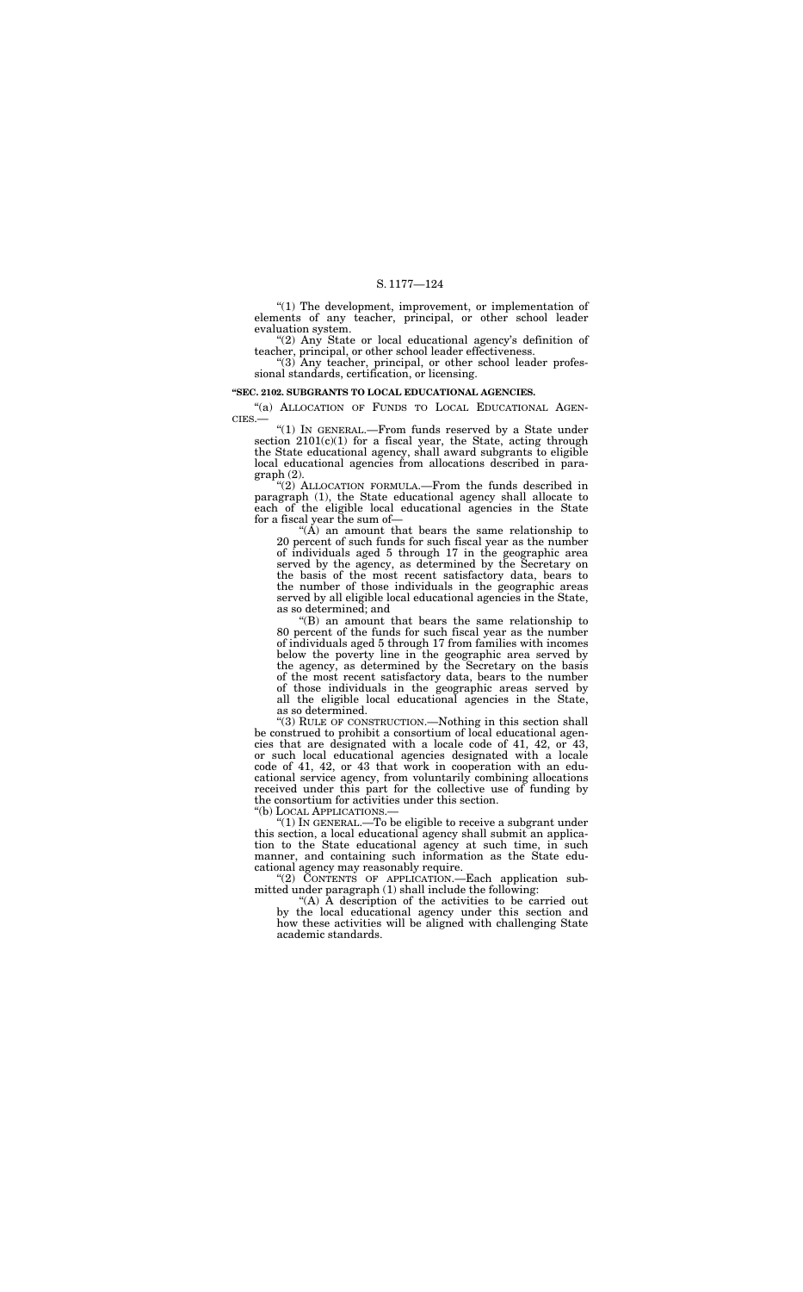"(1) The development, improvement, or implementation of elements of any teacher, principal, or other school leader evaluation system.

"(3) Any teacher, principal, or other school leader professional standards, certification, or licensing.

''(2) Any State or local educational agency's definition of teacher, principal, or other school leader effectiveness.

section  $2101(c)(1)$  for a fiscal year, the State, acting through the State educational agency, shall award subgrants to eligible local educational agencies from allocations described in paragraph (2).

#### **''SEC. 2102. SUBGRANTS TO LOCAL EDUCATIONAL AGENCIES.**

"(a) ALLOCATION OF FUNDS TO LOCAL EDUCATIONAL AGENCIES.— "(1) IN GENERAL.—From funds reserved by a State under

" $(\tilde{A})$  an amount that bears the same relationship to 20 percent of such funds for such fiscal year as the number of individuals aged 5 through 17 in the geographic area served by the agency, as determined by the Secretary on the basis of the most recent satisfactory data, bears to the number of those individuals in the geographic areas served by all eligible local educational agencies in the State, as so determined; and

''(2) ALLOCATION FORMULA.—From the funds described in paragraph (1), the State educational agency shall allocate to each of the eligible local educational agencies in the State for a fiscal year the sum of—

"(2) CONTENTS OF APPLICATION.—Each application submitted under paragraph (1) shall include the following:

''(B) an amount that bears the same relationship to 80 percent of the funds for such fiscal year as the number of individuals aged 5 through 17 from families with incomes below the poverty line in the geographic area served by the agency, as determined by the Secretary on the basis of the most recent satisfactory data, bears to the number of those individuals in the geographic areas served by all the eligible local educational agencies in the State, as so determined.

''(3) RULE OF CONSTRUCTION.—Nothing in this section shall be construed to prohibit a consortium of local educational agencies that are designated with a locale code of 41, 42, or 43, or such local educational agencies designated with a locale code of 41, 42, or 43 that work in cooperation with an educational service agency, from voluntarily combining allocations received under this part for the collective use of funding by the consortium for activities under this section.

''(b) LOCAL APPLICATIONS.—

''(1) IN GENERAL.—To be eligible to receive a subgrant under this section, a local educational agency shall submit an application to the State educational agency at such time, in such manner, and containing such information as the State educational agency may reasonably require.

''(A) A description of the activities to be carried out by the local educational agency under this section and how these activities will be aligned with challenging State academic standards.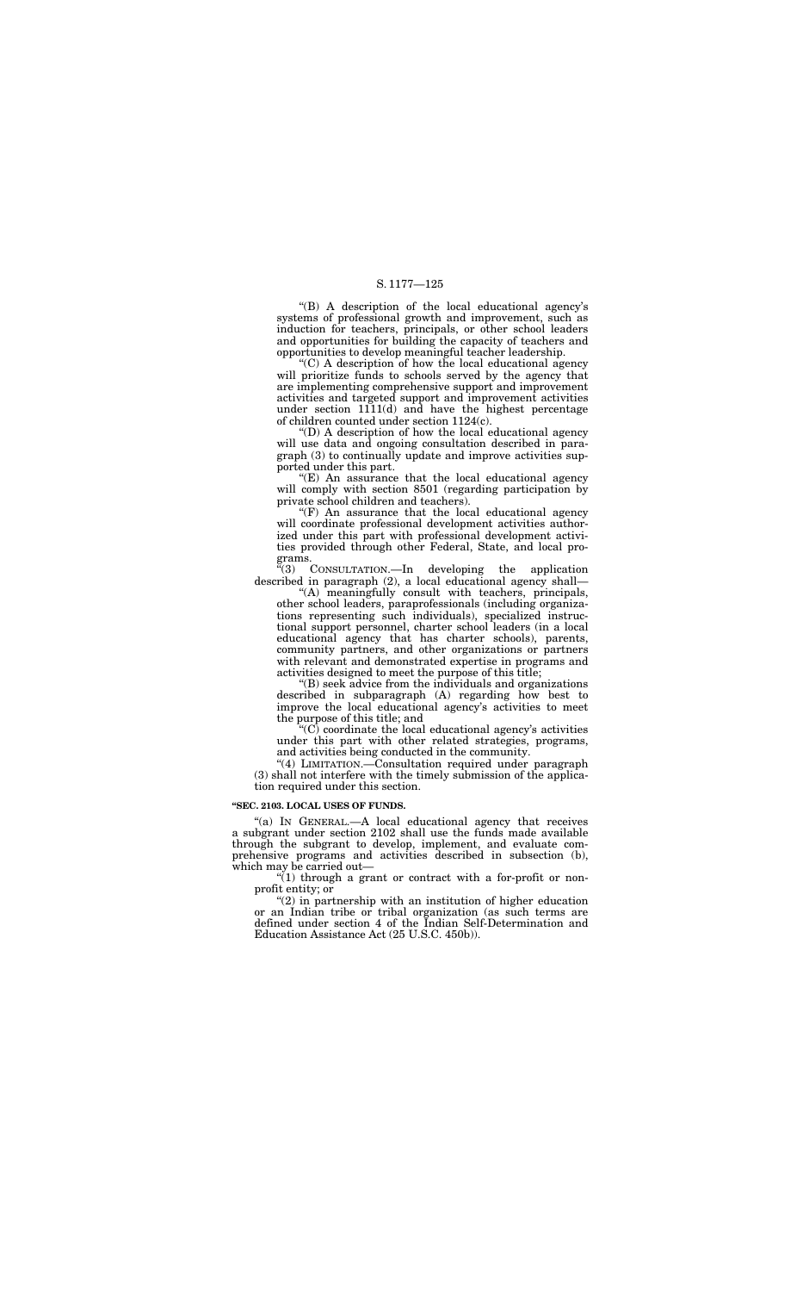''(B) A description of the local educational agency's systems of professional growth and improvement, such as induction for teachers, principals, or other school leaders and opportunities for building the capacity of teachers and opportunities to develop meaningful teacher leadership.

 $C$ <sup>'</sup>(C) A description of how the local educational agency will prioritize funds to schools served by the agency that are implementing comprehensive support and improvement activities and targeted support and improvement activities under section 1111(d) and have the highest percentage of children counted under section 1124(c).

 $E(E)$  An assurance that the local educational agency will comply with section 8501 (regarding participation by private school children and teachers).

 $(F)$  An assurance that the local educational agency will coordinate professional development activities authorized under this part with professional development activities provided through other Federal, State, and local programs.

 $\sqrt{4}(3)$  CONSULTATION.—In developing the application described in paragraph (2), a local educational agency shall—

''(D) A description of how the local educational agency will use data and ongoing consultation described in paragraph (3) to continually update and improve activities supported under this part.

"(A) meaningfully consult with teachers, principals, other school leaders, paraprofessionals (including organizations representing such individuals), specialized instructional support personnel, charter school leaders (in a local educational agency that has charter schools), parents, community partners, and other organizations or partners with relevant and demonstrated expertise in programs and activities designed to meet the purpose of this title;

 $(C)$  coordinate the local educational agency's activities under this part with other related strategies, programs, and activities being conducted in the community.

"(4) LIMITATION.—Consultation required under paragraph (3) shall not interfere with the timely submission of the application required under this section.

"(a) IN GENERAL.—A local educational agency that receives a subgrant under section 2102 shall use the funds made available through the subgrant to develop, implement, and evaluate comprehensive programs and activities described in subsection (b), which may be carried out—

 $\sqrt[4]{(1)}$  through a grant or contract with a for-profit or nonprofit entity; or

 $(2)$  in partnership with an institution of higher education or an Indian tribe or tribal organization (as such terms are defined under section 4 of the Indian Self-Determination and Education Assistance Act (25 U.S.C. 450b)).

''(B) seek advice from the individuals and organizations described in subparagraph (A) regarding how best to improve the local educational agency's activities to meet the purpose of this title; and

#### **''SEC. 2103. LOCAL USES OF FUNDS.**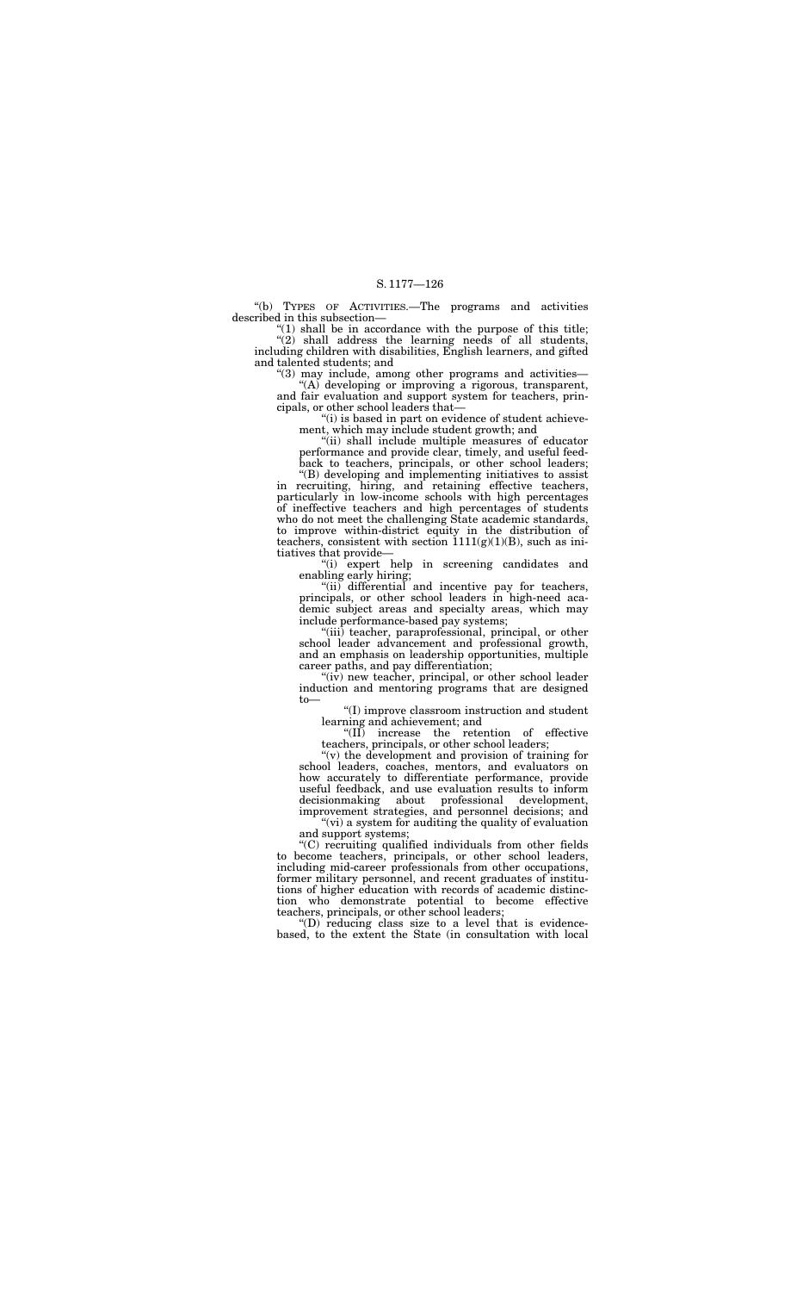''(b) TYPES OF ACTIVITIES.—The programs and activities described in this subsection—

" $(1)$  shall be in accordance with the purpose of this title;  $(2)$  shall address the learning needs of all students, including children with disabilities, English learners, and gifted and talented students; and

"(3) may include, among other programs and activities-

"(A) developing or improving a rigorous, transparent, and fair evaluation and support system for teachers, principals, or other school leaders that—

''(i) is based in part on evidence of student achievement, which may include student growth; and

''(ii) shall include multiple measures of educator performance and provide clear, timely, and useful feed-

"(ii) differential and incentive pay for teachers, principals, or other school leaders in high-need academic subject areas and specialty areas, which may include performance-based pay systems;

back to teachers, principals, or other school leaders; ''(B) developing and implementing initiatives to assist

"(iv) new teacher, principal, or other school leader induction and mentoring programs that are designed to—

in recruiting, hiring, and retaining effective teachers, particularly in low-income schools with high percentages of ineffective teachers and high percentages of students who do not meet the challenging State academic standards, to improve within-district equity in the distribution of teachers, consistent with section  $1111(g)(1)(B)$ , such as initiatives that provide—

"(v) the development and provision of training for school leaders, coaches, mentors, and evaluators on how accurately to differentiate performance, provide useful feedback, and use evaluation results to inform decisionmaking about professional development, improvement strategies, and personnel decisions; and

"(vi) a system for auditing the quality of evaluation and support systems;

''(i) expert help in screening candidates and enabling early hiring;

''(iii) teacher, paraprofessional, principal, or other school leader advancement and professional growth, and an emphasis on leadership opportunities, multiple career paths, and pay differentiation;

''(I) improve classroom instruction and student learning and achievement; and

''(II) increase the retention of effective teachers, principals, or other school leaders;

''(C) recruiting qualified individuals from other fields to become teachers, principals, or other school leaders, including mid-career professionals from other occupations, former military personnel, and recent graduates of institutions of higher education with records of academic distinction who demonstrate potential to become effective teachers, principals, or other school leaders;

''(D) reducing class size to a level that is evidencebased, to the extent the State (in consultation with local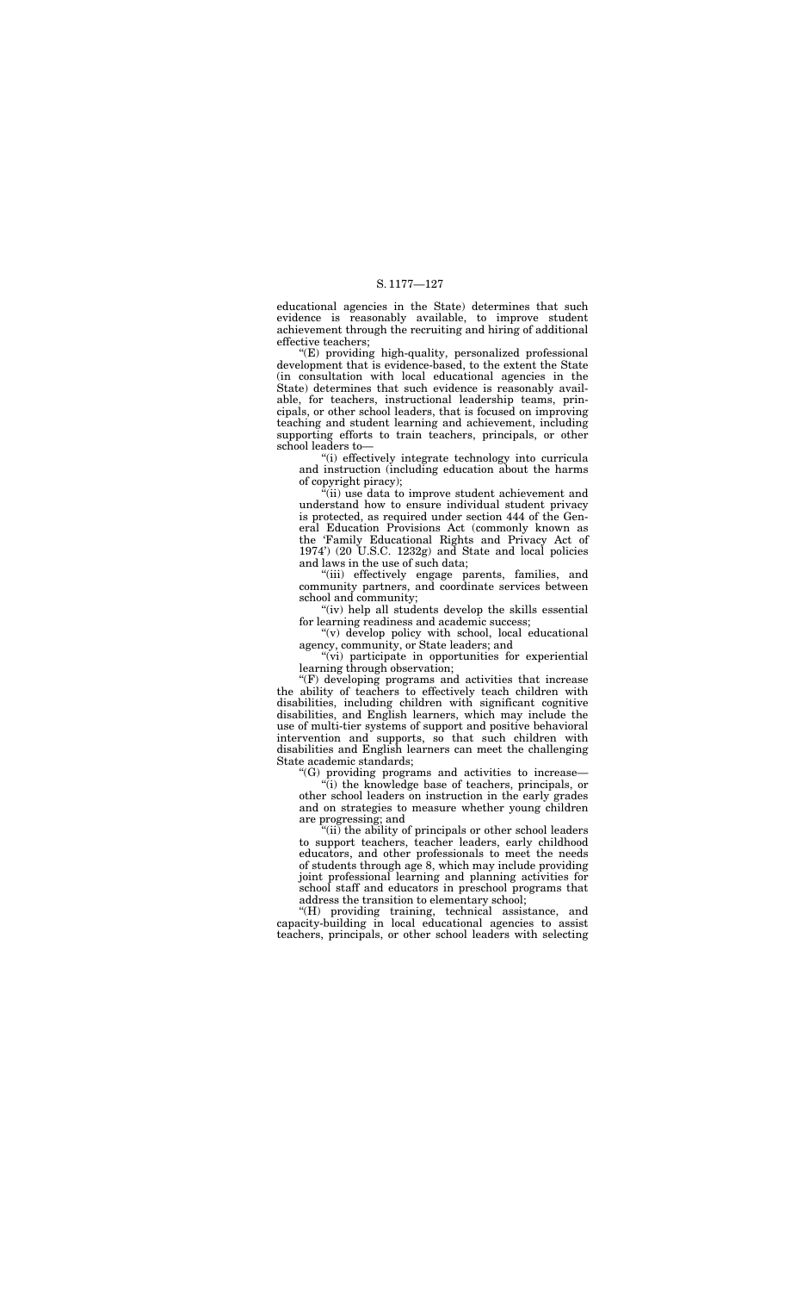educational agencies in the State) determines that such evidence is reasonably available, to improve student achievement through the recruiting and hiring of additional effective teachers;

''(E) providing high-quality, personalized professional development that is evidence-based, to the extent the State (in consultation with local educational agencies in the State) determines that such evidence is reasonably available, for teachers, instructional leadership teams, principals, or other school leaders, that is focused on improving teaching and student learning and achievement, including supporting efforts to train teachers, principals, or other school leaders to—

"(iii) effectively engage parents, families, and community partners, and coordinate services between school and community;

"(iv) help all students develop the skills essential for learning readiness and academic success;

''(i) effectively integrate technology into curricula and instruction (including education about the harms of copyright piracy);

''(ii) use data to improve student achievement and understand how to ensure individual student privacy is protected, as required under section 444 of the General Education Provisions Act (commonly known as the 'Family Educational Rights and Privacy Act of 1974') (20 U.S.C. 1232g) and State and local policies and laws in the use of such data;

''(v) develop policy with school, local educational agency, community, or State leaders; and

''(vi) participate in opportunities for experiential learning through observation;

''(F) developing programs and activities that increase the ability of teachers to effectively teach children with disabilities, including children with significant cognitive disabilities, and English learners, which may include the use of multi-tier systems of support and positive behavioral intervention and supports, so that such children with disabilities and English learners can meet the challenging State academic standards;

''(G) providing programs and activities to increase—

''(i) the knowledge base of teachers, principals, or other school leaders on instruction in the early grades and on strategies to measure whether young children are progressing; and

''(ii) the ability of principals or other school leaders to support teachers, teacher leaders, early childhood educators, and other professionals to meet the needs of students through age 8, which may include providing joint professional learning and planning activities for school staff and educators in preschool programs that address the transition to elementary school;

''(H) providing training, technical assistance, and capacity-building in local educational agencies to assist teachers, principals, or other school leaders with selecting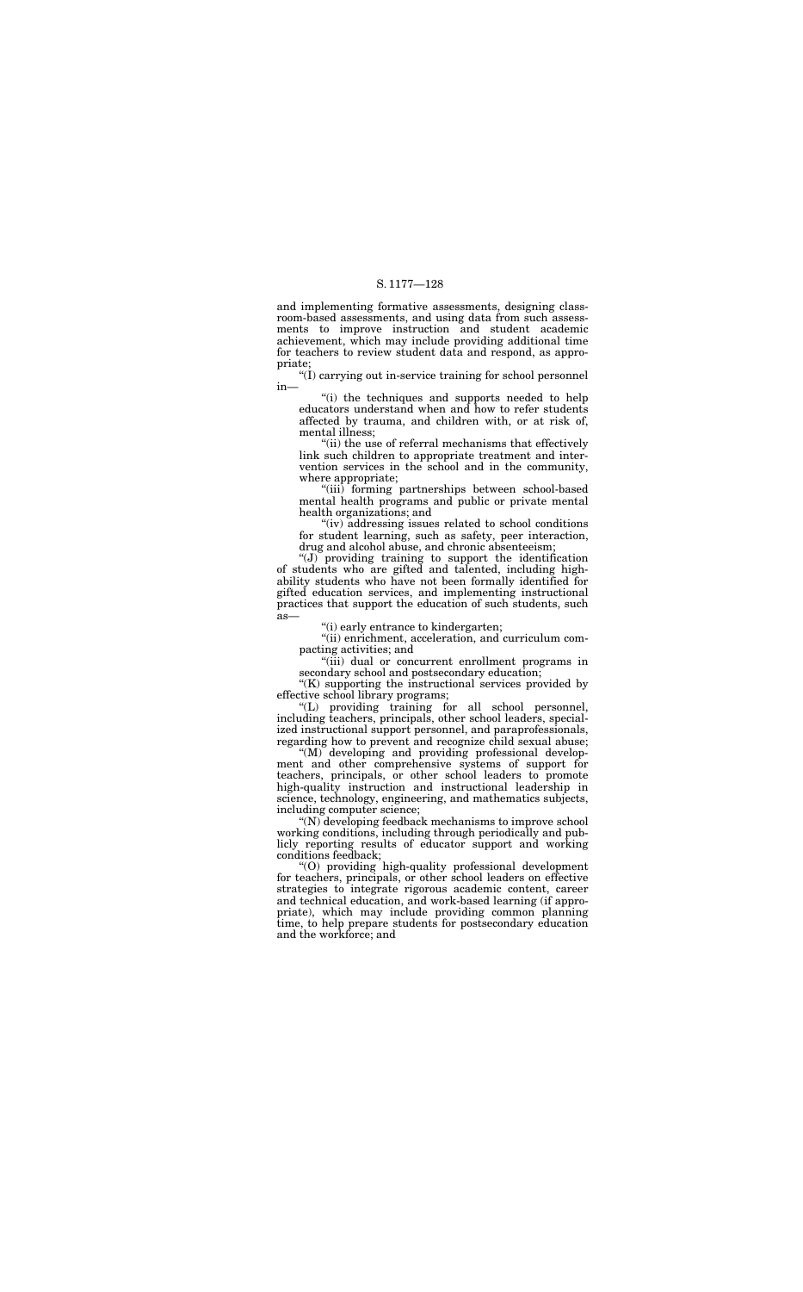and implementing formative assessments, designing classroom-based assessments, and using data from such assessments to improve instruction and student academic achievement, which may include providing additional time for teachers to review student data and respond, as appropriate;

"(i) the techniques and supports needed to help educators understand when and how to refer students affected by trauma, and children with, or at risk of, mental illness;

''(ii) the use of referral mechanisms that effectively link such children to appropriate treatment and intervention services in the school and in the community, where appropriate:

''(I) carrying out in-service training for school personnel in—

"(iv) addressing issues related to school conditions for student learning, such as safety, peer interaction, drug and alcohol abuse, and chronic absenteeism;

''(iii) forming partnerships between school-based mental health programs and public or private mental health organizations; and

"(K) supporting the instructional services provided by effective school library programs;

"(M) developing and providing professional development and other comprehensive systems of support for teachers, principals, or other school leaders to promote high-quality instruction and instructional leadership in science, technology, engineering, and mathematics subjects, including computer science;

''(J) providing training to support the identification of students who are gifted and talented, including highability students who have not been formally identified for gifted education services, and implementing instructional practices that support the education of such students, such as—

''(i) early entrance to kindergarten;

''(ii) enrichment, acceleration, and curriculum compacting activities; and

''(iii) dual or concurrent enrollment programs in secondary school and postsecondary education;

''(L) providing training for all school personnel, including teachers, principals, other school leaders, specialized instructional support personnel, and paraprofessionals, regarding how to prevent and recognize child sexual abuse;

''(N) developing feedback mechanisms to improve school working conditions, including through periodically and publicly reporting results of educator support and working conditions feedback;

''(O) providing high-quality professional development for teachers, principals, or other school leaders on effective strategies to integrate rigorous academic content, career and technical education, and work-based learning (if appropriate), which may include providing common planning time, to help prepare students for postsecondary education and the workforce; and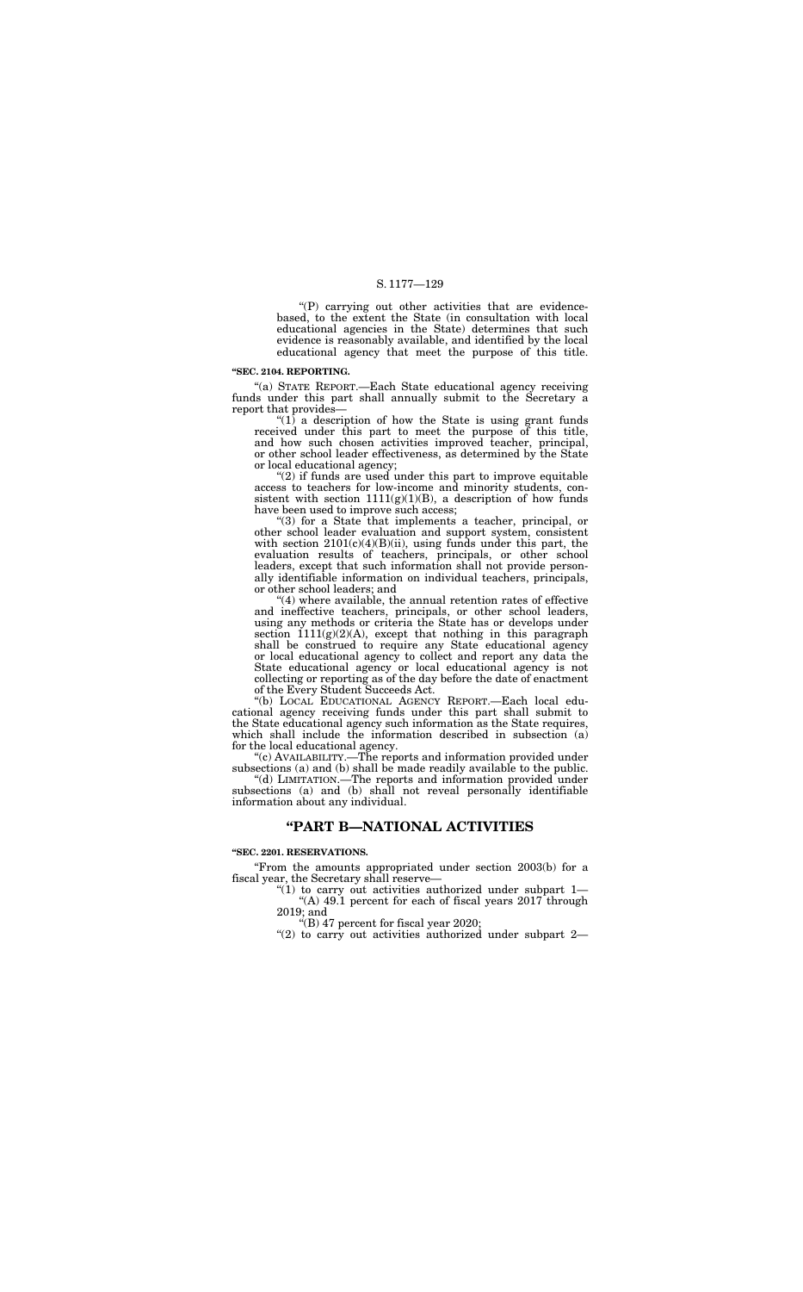''(P) carrying out other activities that are evidencebased, to the extent the State (in consultation with local educational agencies in the State) determines that such evidence is reasonably available, and identified by the local educational agency that meet the purpose of this title.

#### **''SEC. 2104. REPORTING.**

 $''(1)$  a description of how the State is using grant funds received under this part to meet the purpose of this title, and how such chosen activities improved teacher, principal, or other school leader effectiveness, as determined by the State or local educational agency;

''(a) STATE REPORT.—Each State educational agency receiving funds under this part shall annually submit to the Secretary a report that provides—

 $(2)$  if funds are used under this part to improve equitable access to teachers for low-income and minority students, consistent with section  $1111(g)(1)(B)$ , a description of how funds have been used to improve such access;

''(c) AVAILABILITY.—The reports and information provided under subsections (a) and (b) shall be made readily available to the public.

''(3) for a State that implements a teacher, principal, or other school leader evaluation and support system, consistent with section  $2101(c)(4)(B)(ii)$ , using funds under this part, the evaluation results of teachers, principals, or other school leaders, except that such information shall not provide personally identifiable information on individual teachers, principals, or other school leaders; and

"(1) to carry out activities authorized under subpart  $1-$ "(A)  $49.1$  percent for each of fiscal years  $2017$  through 2019; and

''(4) where available, the annual retention rates of effective and ineffective teachers, principals, or other school leaders, using any methods or criteria the State has or develops under section  $1111(g)(2)(A)$ , except that nothing in this paragraph shall be construed to require any State educational agency or local educational agency to collect and report any data the State educational agency or local educational agency is not collecting or reporting as of the day before the date of enactment of the Every Student Succeeds Act.

''(b) LOCAL EDUCATIONAL AGENCY REPORT.—Each local educational agency receiving funds under this part shall submit to the State educational agency such information as the State requires, which shall include the information described in subsection (a) for the local educational agency.

''(d) LIMITATION.—The reports and information provided under subsections (a) and (b) shall not reveal personally identifiable information about any individual.

### **''PART B—NATIONAL ACTIVITIES**

#### **''SEC. 2201. RESERVATIONS.**

''From the amounts appropriated under section 2003(b) for a fiscal year, the Secretary shall reserve—

''(B) 47 percent for fiscal year 2020;

" $(2)$  to carry out activities authorized under subpart 2-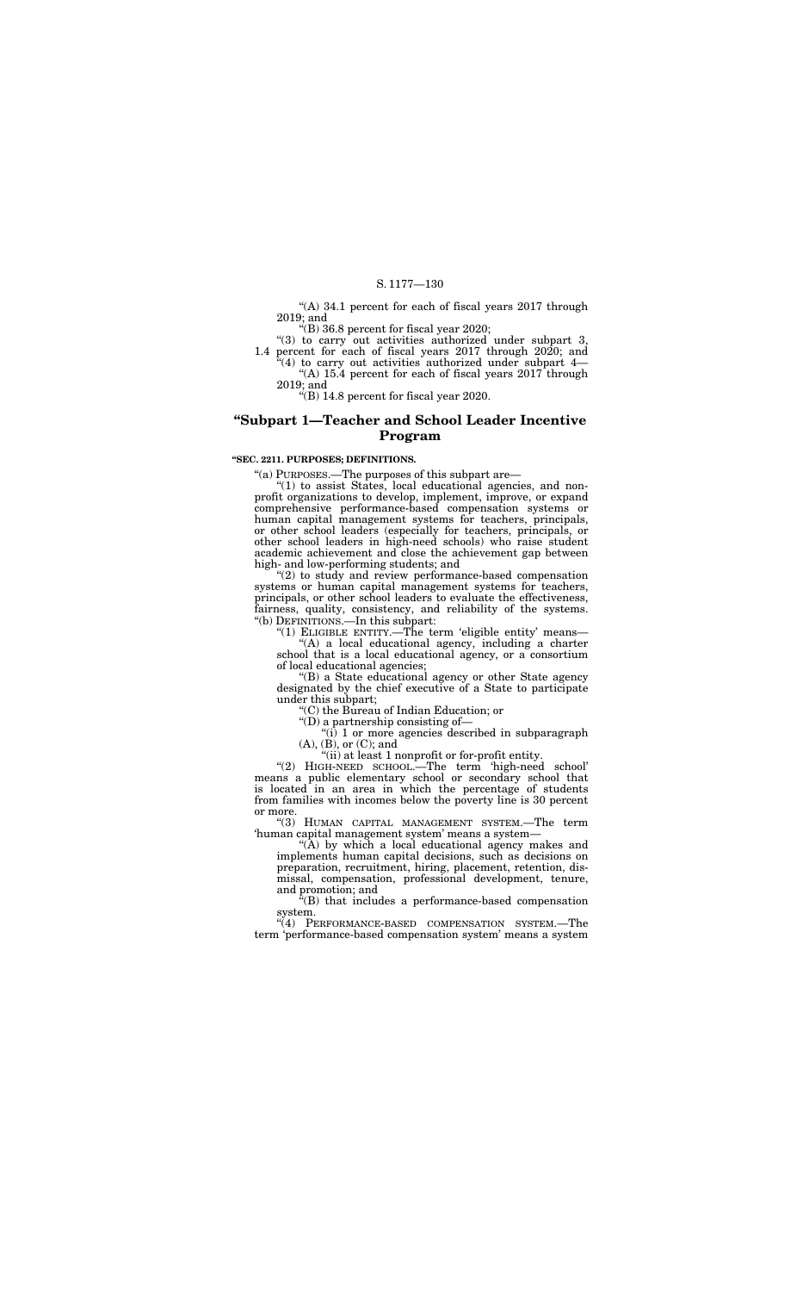"(A) 34.1 percent for each of fiscal years 2017 through 2019; and

''(B) 36.8 percent for fiscal year 2020;

"(3) to carry out activities authorized under subpart 3, 1.4 percent for each of fiscal years 2017 through 2020; and

 $(4)$  to carry out activities authorized under subpart 4— "(A)  $15.4$  percent for each of fiscal years  $2017$  through 2019; and

''(B) 14.8 percent for fiscal year 2020.

# **''Subpart 1—Teacher and School Leader Incentive Program**

### **''SEC. 2211. PURPOSES; DEFINITIONS.**

''(a) PURPOSES.—The purposes of this subpart are—

"(2) to study and review performance-based compensation systems or human capital management systems for teachers, principals, or other school leaders to evaluate the effectiveness, fairness, quality, consistency, and reliability of the systems. ''(b) DEFINITIONS.—In this subpart:

"(1) ELIGIBLE ENTITY.—The term 'eligible entity' means—

''(1) to assist States, local educational agencies, and nonprofit organizations to develop, implement, improve, or expand comprehensive performance-based compensation systems or human capital management systems for teachers, principals, or other school leaders (especially for teachers, principals, or other school leaders in high-need schools) who raise student academic achievement and close the achievement gap between high- and low-performing students; and

"(2) HIGH-NEED SCHOOL. The term 'high-need school' means a public elementary school or secondary school that is located in an area in which the percentage of students from families with incomes below the poverty line is 30 percent or more.

" $(A)$  by which a local educational agency makes and implements human capital decisions, such as decisions on preparation, recruitment, hiring, placement, retention, dismissal, compensation, professional development, tenure, and promotion; and

''(A) a local educational agency, including a charter school that is a local educational agency, or a consortium of local educational agencies;

''(B) a State educational agency or other State agency designated by the chief executive of a State to participate under this subpart;

''(C) the Bureau of Indian Education; or

 $\mathrm{``(D)}$  a partnership consisting of-

''(i) 1 or more agencies described in subparagraph (A), (B), or (C); and

''(ii) at least 1 nonprofit or for-profit entity.

''(3) HUMAN CAPITAL MANAGEMENT SYSTEM.—The term 'human capital management system' means a system—

''(B) that includes a performance-based compensation system.

''(4) PERFORMANCE-BASED COMPENSATION SYSTEM.—The term 'performance-based compensation system' means a system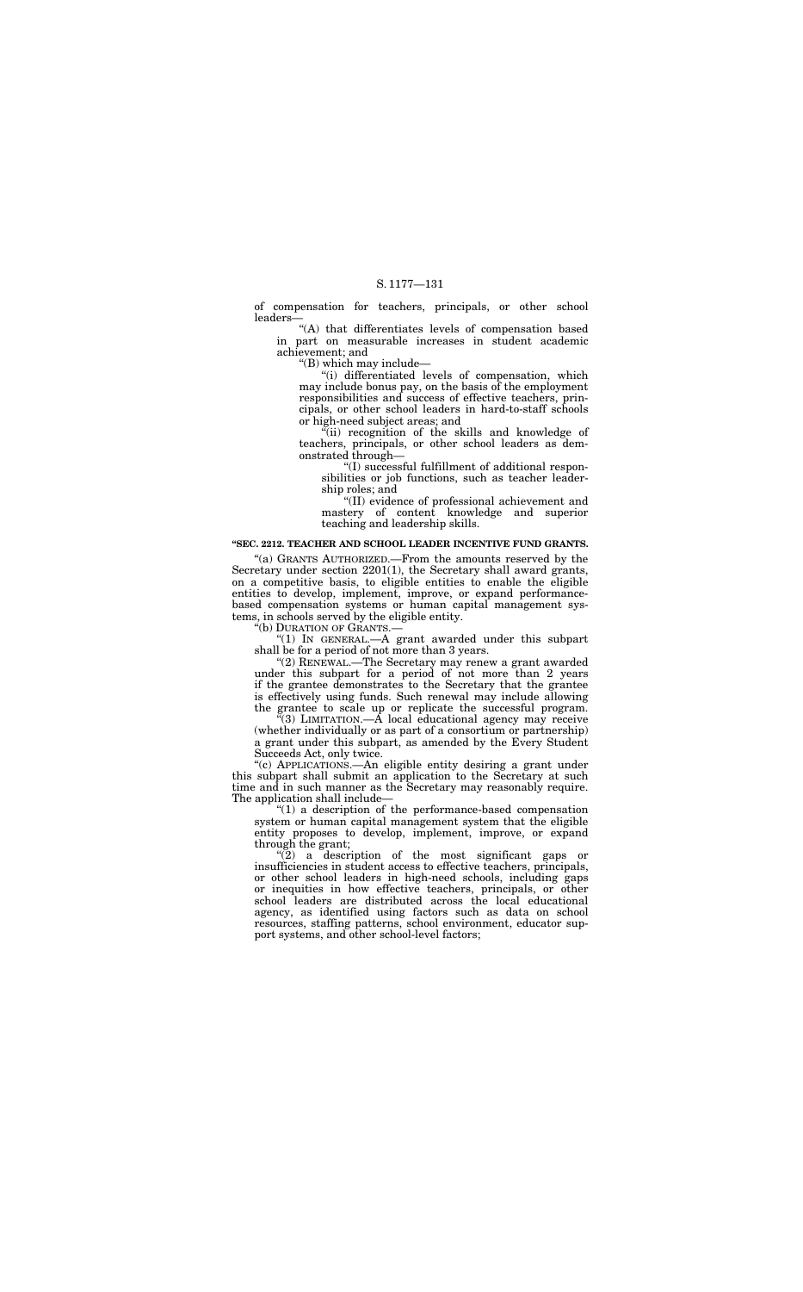of compensation for teachers, principals, or other school leaders—

''(A) that differentiates levels of compensation based in part on measurable increases in student academic achievement; and

''(B) which may include—

''(i) differentiated levels of compensation, which may include bonus pay, on the basis of the employment responsibilities and success of effective teachers, principals, or other school leaders in hard-to-staff schools or high-need subject areas; and

''(ii) recognition of the skills and knowledge of teachers, principals, or other school leaders as demonstrated through—

''(I) successful fulfillment of additional responsibilities or job functions, such as teacher leadership roles; and

" $(1)$  In GENERAL.—A grant awarded under this subpart shall be for a period of not more than 3 years.

''(II) evidence of professional achievement and mastery of content knowledge and superior teaching and leadership skills.

### **''SEC. 2212. TEACHER AND SCHOOL LEADER INCENTIVE FUND GRANTS.**

(3) LIMITATION.—A local educational agency may receive (whether individually or as part of a consortium or partnership) a grant under this subpart, as amended by the Every Student Succeeds Act, only twice.

''(a) GRANTS AUTHORIZED.—From the amounts reserved by the Secretary under section 2201(1), the Secretary shall award grants, on a competitive basis, to eligible entities to enable the eligible entities to develop, implement, improve, or expand performancebased compensation systems or human capital management systems, in schools served by the eligible entity.

''(b) DURATION OF GRANTS.—

''(2) RENEWAL.—The Secretary may renew a grant awarded under this subpart for a period of not more than 2 years if the grantee demonstrates to the Secretary that the grantee is effectively using funds. Such renewal may include allowing the grantee to scale up or replicate the successful program.

''(c) APPLICATIONS.—An eligible entity desiring a grant under this subpart shall submit an application to the Secretary at such time and in such manner as the Secretary may reasonably require. The application shall include—

''(1) a description of the performance-based compensation system or human capital management system that the eligible entity proposes to develop, implement, improve, or expand through the grant;

''(2) a description of the most significant gaps or insufficiencies in student access to effective teachers, principals, or other school leaders in high-need schools, including gaps or inequities in how effective teachers, principals, or other school leaders are distributed across the local educational agency, as identified using factors such as data on school resources, staffing patterns, school environment, educator support systems, and other school-level factors;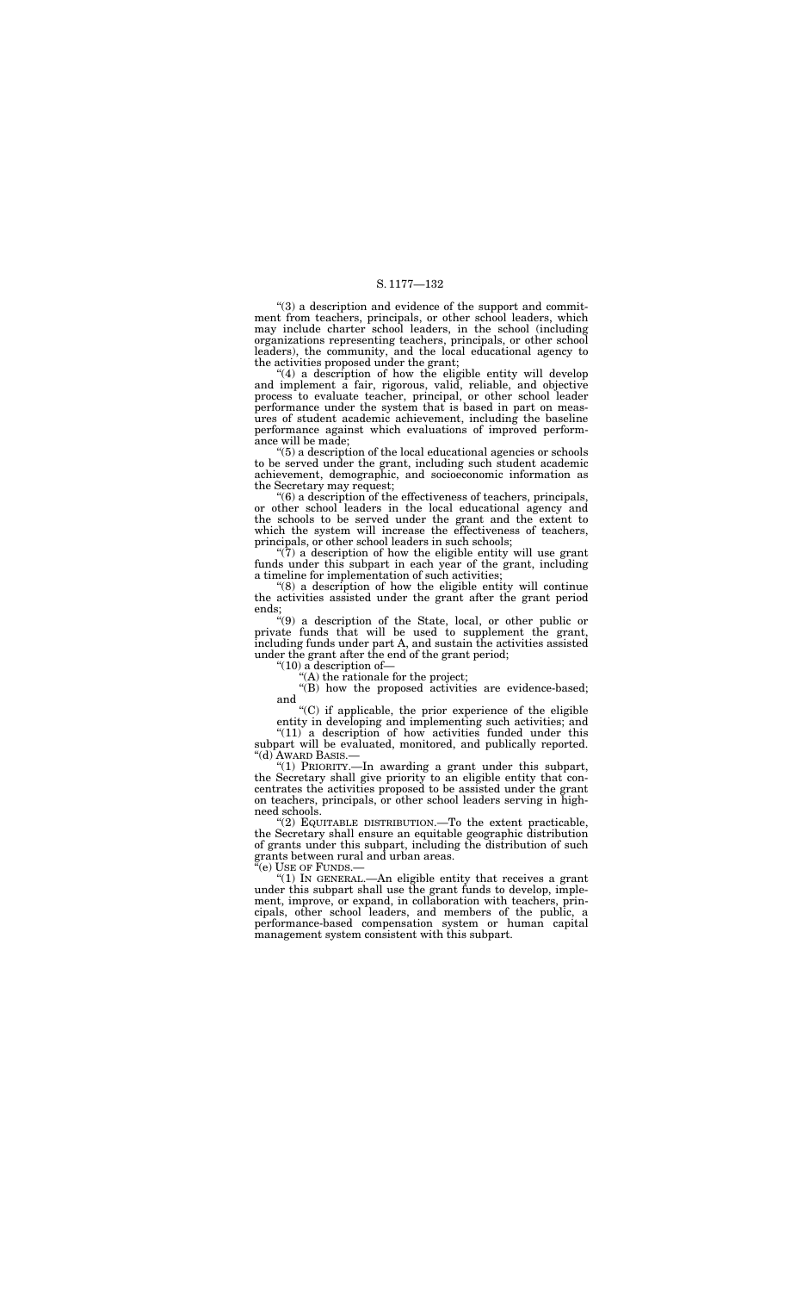''(3) a description and evidence of the support and commitment from teachers, principals, or other school leaders, which may include charter school leaders, in the school (including organizations representing teachers, principals, or other school leaders), the community, and the local educational agency to the activities proposed under the grant;

"(4) a description of how the eligible entity will develop and implement a fair, rigorous, valid, reliable, and objective process to evaluate teacher, principal, or other school leader performance under the system that is based in part on measures of student academic achievement, including the baseline performance against which evaluations of improved performance will be made;

"(7) a description of how the eligible entity will use grant funds under this subpart in each year of the grant, including a timeline for implementation of such activities;

"(8) a description of how the eligible entity will continue the activities assisted under the grant after the grant period ends;

''(5) a description of the local educational agencies or schools to be served under the grant, including such student academic achievement, demographic, and socioeconomic information as the Secretary may request;

"(B) how the proposed activities are evidence-based; and

''(6) a description of the effectiveness of teachers, principals, or other school leaders in the local educational agency and the schools to be served under the grant and the extent to which the system will increase the effectiveness of teachers, principals, or other school leaders in such schools;

''(2) EQUITABLE DISTRIBUTION.—To the extent practicable, the Secretary shall ensure an equitable geographic distribution of grants under this subpart, including the distribution of such grants between rural and urban areas.<br>"(e) USE OF FUNDS.—

"(1) IN GENERAL.—An eligible entity that receives a grant under this subpart shall use the grant funds to develop, implement, improve, or expand, in collaboration with teachers, principals, other school leaders, and members of the public, a performance-based compensation system or human capital management system consistent with this subpart.

''(9) a description of the State, local, or other public or private funds that will be used to supplement the grant, including funds under part A, and sustain the activities assisted under the grant after the end of the grant period;

''(10) a description of—

''(A) the rationale for the project;

''(C) if applicable, the prior experience of the eligible entity in developing and implementing such activities; and

"(11) a description of how activities funded under this subpart will be evaluated, monitored, and publically reported. "(d) AWARD BASIS.-

''(1) PRIORITY.—In awarding a grant under this subpart, the Secretary shall give priority to an eligible entity that concentrates the activities proposed to be assisted under the grant on teachers, principals, or other school leaders serving in highneed schools.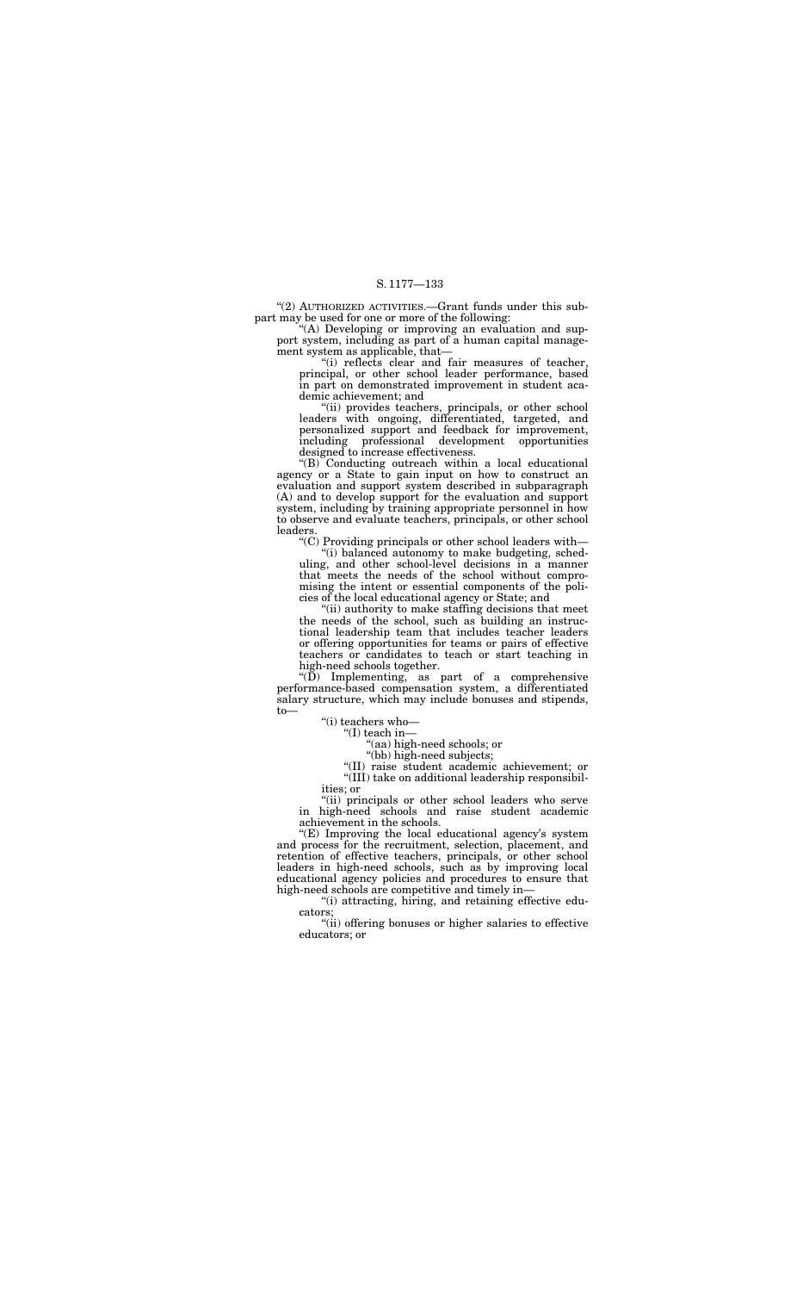''(2) AUTHORIZED ACTIVITIES.—Grant funds under this subpart may be used for one or more of the following:

''(A) Developing or improving an evaluation and support system, including as part of a human capital management system as applicable, that—

"(i) reflects clear and fair measures of teacher, principal, or other school leader performance, based in part on demonstrated improvement in student academic achievement; and

"(ii) provides teachers, principals, or other school leaders with ongoing, differentiated, targeted, and personalized support and feedback for improvement, including professional development opportunities designed to increase effectiveness.

''(B) Conducting outreach within a local educational agency or a State to gain input on how to construct an evaluation and support system described in subparagraph (A) and to develop support for the evaluation and support system, including by training appropriate personnel in how to observe and evaluate teachers, principals, or other school leaders.

''(C) Providing principals or other school leaders with—

"(ii) principals or other school leaders who serve in high-need schools and raise student academic achievement in the schools.

''(i) balanced autonomy to make budgeting, scheduling, and other school-level decisions in a manner that meets the needs of the school without compromising the intent or essential components of the policies of the local educational agency or State; and

"(E) Improving the local educational agency's system and process for the recruitment, selection, placement, and retention of effective teachers, principals, or other school leaders in high-need schools, such as by improving local educational agency policies and procedures to ensure that high-need schools are competitive and timely in—

''(ii) authority to make staffing decisions that meet the needs of the school, such as building an instructional leadership team that includes teacher leaders or offering opportunities for teams or pairs of effective teachers or candidates to teach or start teaching in high-need schools together.

''(D) Implementing, as part of a comprehensive performance-based compensation system, a differentiated salary structure, which may include bonuses and stipends, to—

''(i) teachers who—

''(I) teach in—

''(aa) high-need schools; or

"(bb) high-need subjects;

''(II) raise student academic achievement; or ''(III) take on additional leadership responsibil-

ities; or

''(i) attracting, hiring, and retaining effective educators;

''(ii) offering bonuses or higher salaries to effective educators; or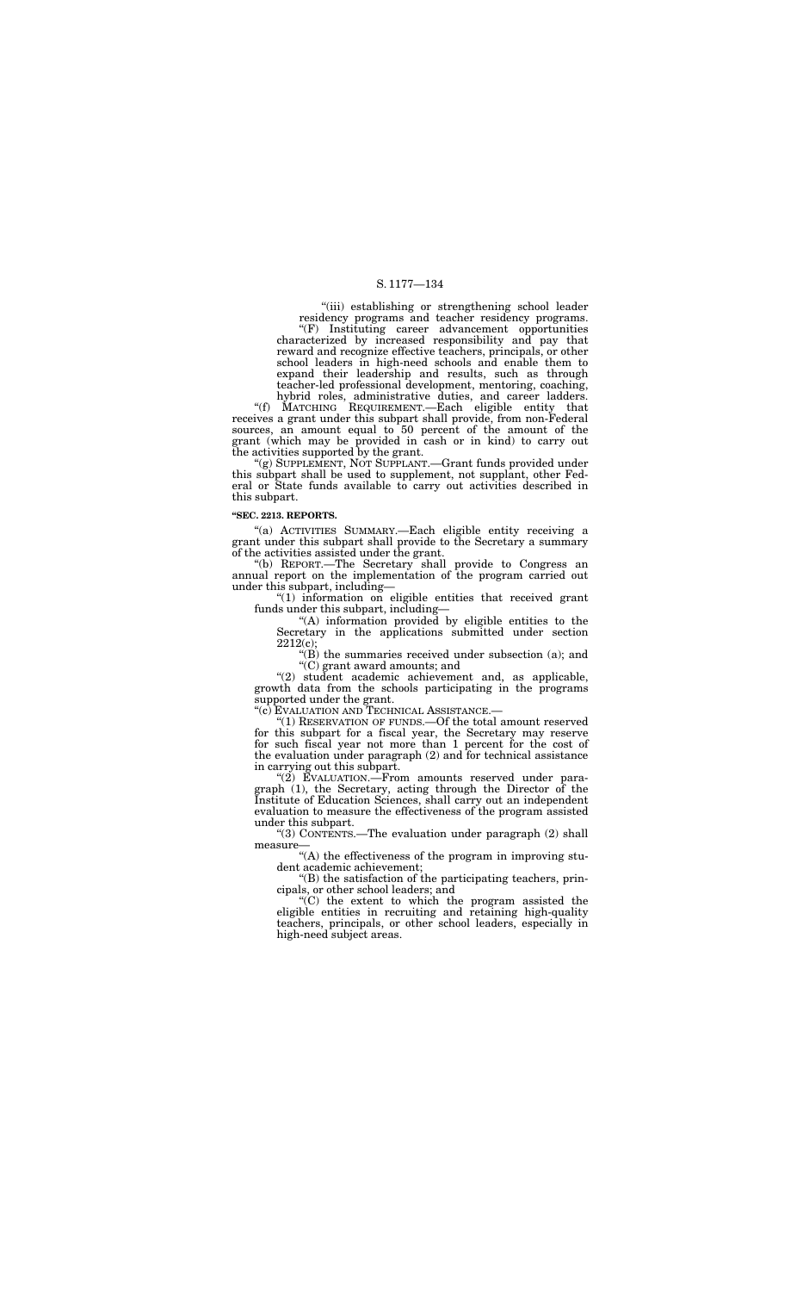''(iii) establishing or strengthening school leader residency programs and teacher residency programs. ''(F) Instituting career advancement opportunities characterized by increased responsibility and pay that reward and recognize effective teachers, principals, or other school leaders in high-need schools and enable them to expand their leadership and results, such as through teacher-led professional development, mentoring, coaching,

"(g) SUPPLEMENT, NOT SUPPLANT.—Grant funds provided under this subpart shall be used to supplement, not supplant, other Federal or State funds available to carry out activities described in this subpart.

hybrid roles, administrative duties, and career ladders. ''(f) MATCHING REQUIREMENT.—Each eligible entity that receives a grant under this subpart shall provide, from non-Federal sources, an amount equal to 50 percent of the amount of the grant (which may be provided in cash or in kind) to carry out the activities supported by the grant.

" $(1)$  information on eligible entities that received grant funds under this subpart, including—

> $\mathcal{L}(B)$  the summaries received under subsection (a); and ''(C) grant award amounts; and

"(2) student academic achievement and, as applicable, growth data from the schools participating in the programs supported under the grant.

#### **''SEC. 2213. REPORTS.**

"(1) RESERVATION OF FUNDS. - Of the total amount reserved for this subpart for a fiscal year, the Secretary may reserve for such fiscal year not more than 1 percent for the cost of the evaluation under paragraph (2) and for technical assistance in carrying out this subpart.

''(a) ACTIVITIES SUMMARY.—Each eligible entity receiving a grant under this subpart shall provide to the Secretary a summary of the activities assisted under the grant.

" $(2)$  EVALUATION.—From amounts reserved under paragraph (1), the Secretary, acting through the Director of the Institute of Education Sciences, shall carry out an independent evaluation to measure the effectiveness of the program assisted under this subpart.

"(3) CONTENTS.—The evaluation under paragraph (2) shall measure—

"(A) the effectiveness of the program in improving student academic achievement;

''(b) REPORT.—The Secretary shall provide to Congress an annual report on the implementation of the program carried out under this subpart, including—

> ''(A) information provided by eligible entities to the Secretary in the applications submitted under section 2212(c);

''(c) EVALUATION AND TECHNICAL ASSISTANCE.—

''(B) the satisfaction of the participating teachers, principals, or other school leaders; and

''(C) the extent to which the program assisted the eligible entities in recruiting and retaining high-quality teachers, principals, or other school leaders, especially in high-need subject areas.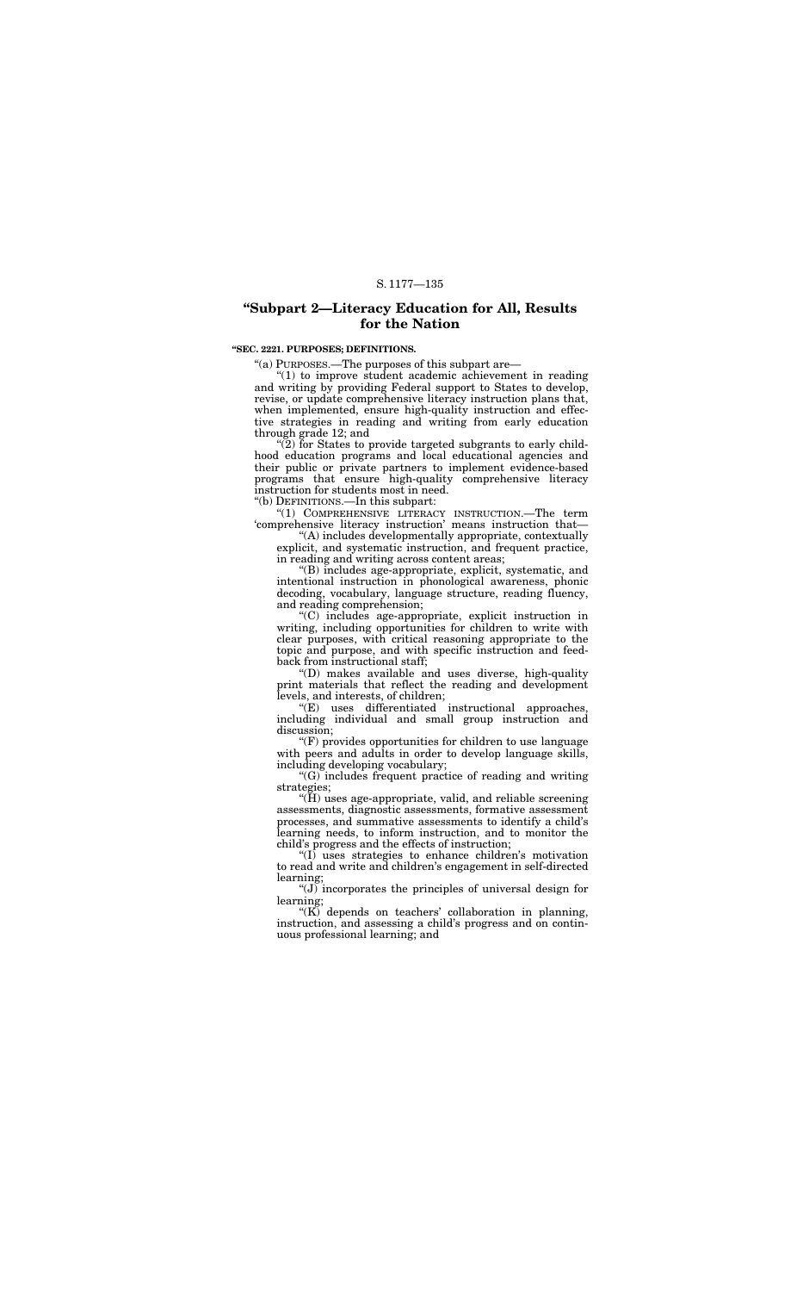# **''Subpart 2—Literacy Education for All, Results for the Nation**

#### **''SEC. 2221. PURPOSES; DEFINITIONS.**

''(a) PURPOSES.—The purposes of this subpart are—

 $(1)$  to improve student academic achievement in reading and writing by providing Federal support to States to develop, revise, or update comprehensive literacy instruction plans that, when implemented, ensure high-quality instruction and effective strategies in reading and writing from early education through grade 12; and

" $(2)$  for States to provide targeted subgrants to early childhood education programs and local educational agencies and their public or private partners to implement evidence-based programs that ensure high-quality comprehensive literacy instruction for students most in need.

''(b) DEFINITIONS.—In this subpart:

''(1) COMPREHENSIVE LITERACY INSTRUCTION.—The term 'comprehensive literacy instruction' means instruction that—

''(A) includes developmentally appropriate, contextually explicit, and systematic instruction, and frequent practice, in reading and writing across content areas;

"(H) uses age-appropriate, valid, and reliable screening assessments, diagnostic assessments, formative assessment processes, and summative assessments to identify a child's learning needs, to inform instruction, and to monitor the child's progress and the effects of instruction;

''(B) includes age-appropriate, explicit, systematic, and intentional instruction in phonological awareness, phonic decoding, vocabulary, language structure, reading fluency, and reading comprehension;

" $(K)$  depends on teachers' collaboration in planning, instruction, and assessing a child's progress and on continuous professional learning; and

''(C) includes age-appropriate, explicit instruction in writing, including opportunities for children to write with clear purposes, with critical reasoning appropriate to the topic and purpose, and with specific instruction and feedback from instructional staff;

''(D) makes available and uses diverse, high-quality print materials that reflect the reading and development levels, and interests, of children;

''(E) uses differentiated instructional approaches, including individual and small group instruction and discussion;

''(F) provides opportunities for children to use language with peers and adults in order to develop language skills, including developing vocabulary;

''(G) includes frequent practice of reading and writing strategies;

''(I) uses strategies to enhance children's motivation to read and write and children's engagement in self-directed learning;

''(J) incorporates the principles of universal design for learning;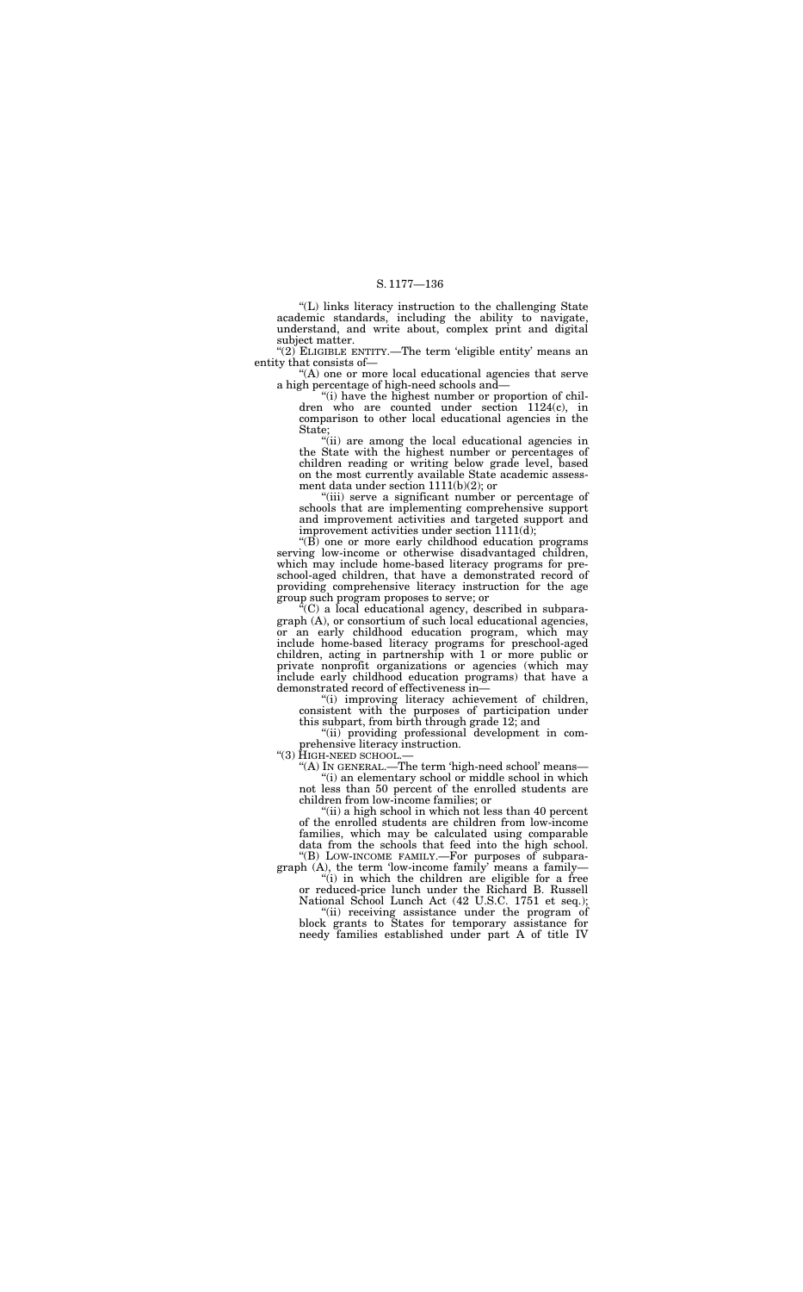''(L) links literacy instruction to the challenging State academic standards, including the ability to navigate, understand, and write about, complex print and digital subject matter.

'(2) ELIGIBLE ENTITY.—The term 'eligible entity' means an entity that consists of—

"(A) one or more local educational agencies that serve a high percentage of high-need schools and—

"(ii) are among the local educational agencies in the State with the highest number or percentages of children reading or writing below grade level, based on the most currently available State academic assessment data under section 1111(b)(2); or

''(i) have the highest number or proportion of children who are counted under section 1124(c), in comparison to other local educational agencies in the State;

 $\mathrm{``(B)}$  one or more early childhood education programs serving low-income or otherwise disadvantaged children, which may include home-based literacy programs for preschool-aged children, that have a demonstrated record of providing comprehensive literacy instruction for the age group such program proposes to serve; or

''(iii) serve a significant number or percentage of schools that are implementing comprehensive support and improvement activities and targeted support and improvement activities under section 1111(d);

"(A) IN GENERAL.—The term 'high-need school' means-"(i) an elementary school or middle school in which not less than 50 percent of the enrolled students are children from low-income families; or

"(ii) a high school in which not less than 40 percent of the enrolled students are children from low-income families, which may be calculated using comparable data from the schools that feed into the high school. ''(B) LOW-INCOME FAMILY.—For purposes of subpara-

graph (A), the term 'low-income family' means a family— "(i) in which the children are eligible for a free

''(C) a local educational agency, described in subparagraph (A), or consortium of such local educational agencies, or an early childhood education program, which may include home-based literacy programs for preschool-aged children, acting in partnership with 1 or more public or private nonprofit organizations or agencies (which may include early childhood education programs) that have a demonstrated record of effectiveness in—

''(i) improving literacy achievement of children, consistent with the purposes of participation under this subpart, from birth through grade 12; and

''(ii) providing professional development in comprehensive literacy instruction.

''(3) HIGH-NEED SCHOOL.—

or reduced-price lunch under the Richard B. Russell National School Lunch Act (42 U.S.C. 1751 et seq.);

''(ii) receiving assistance under the program of block grants to States for temporary assistance for needy families established under part A of title IV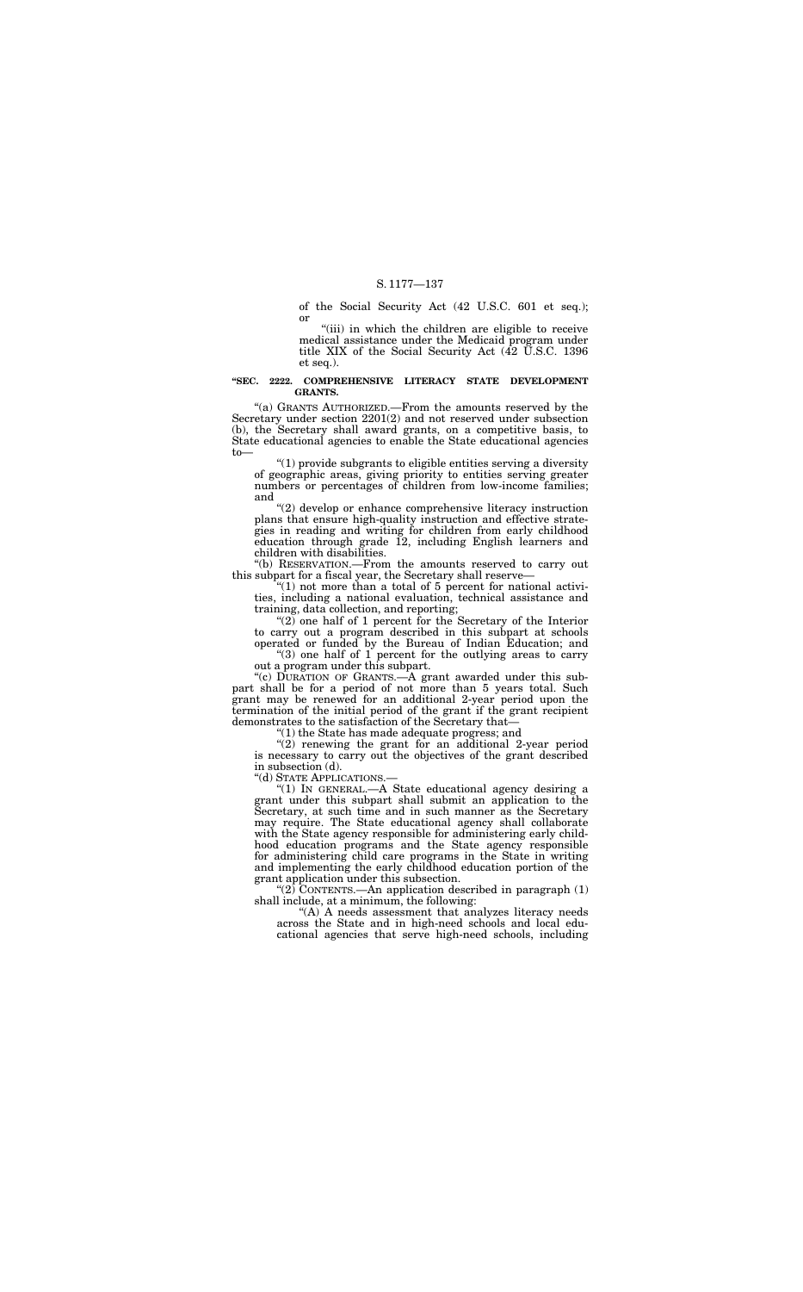of the Social Security Act (42 U.S.C. 601 et seq.); or

''(iii) in which the children are eligible to receive medical assistance under the Medicaid program under title XIX of the Social Security Act (42 U.S.C. 1396 et seq.).

#### **''SEC. 2222. COMPREHENSIVE LITERACY STATE DEVELOPMENT GRANTS.**

"(a) GRANTS AUTHORIZED.—From the amounts reserved by the Secretary under section 2201(2) and not reserved under subsection (b), the Secretary shall award grants, on a competitive basis, to State educational agencies to enable the State educational agencies to—

" $(1)$  not more than a total of 5 percent for national activities, including a national evaluation, technical assistance and training, data collection, and reporting;

''(1) provide subgrants to eligible entities serving a diversity of geographic areas, giving priority to entities serving greater numbers or percentages of children from low-income families; and

"(2) one half of 1 percent for the Secretary of the Interior to carry out a program described in this subpart at schools operated or funded by the Bureau of Indian Education; and

''(2) develop or enhance comprehensive literacy instruction plans that ensure high-quality instruction and effective strategies in reading and writing for children from early childhood education through grade 12, including English learners and children with disabilities.

"(2) renewing the grant for an additional 2-year period is necessary to carry out the objectives of the grant described in subsection (d).

''(b) RESERVATION.—From the amounts reserved to carry out this subpart for a fiscal year, the Secretary shall reserve—

> "(A) A needs assessment that analyzes literacy needs across the State and in high-need schools and local educational agencies that serve high-need schools, including

''(3) one half of 1 percent for the outlying areas to carry out a program under this subpart.

''(c) DURATION OF GRANTS.—A grant awarded under this subpart shall be for a period of not more than 5 years total. Such grant may be renewed for an additional 2-year period upon the termination of the initial period of the grant if the grant recipient demonstrates to the satisfaction of the Secretary that—

 $^{\prime\prime}(1)$  the State has made adequate progress; and

''(d) STATE APPLICATIONS.—

''(1) IN GENERAL.—A State educational agency desiring a grant under this subpart shall submit an application to the Secretary, at such time and in such manner as the Secretary may require. The State educational agency shall collaborate with the State agency responsible for administering early childhood education programs and the State agency responsible for administering child care programs in the State in writing and implementing the early childhood education portion of the grant application under this subsection.

''(2) CONTENTS.—An application described in paragraph (1) shall include, at a minimum, the following: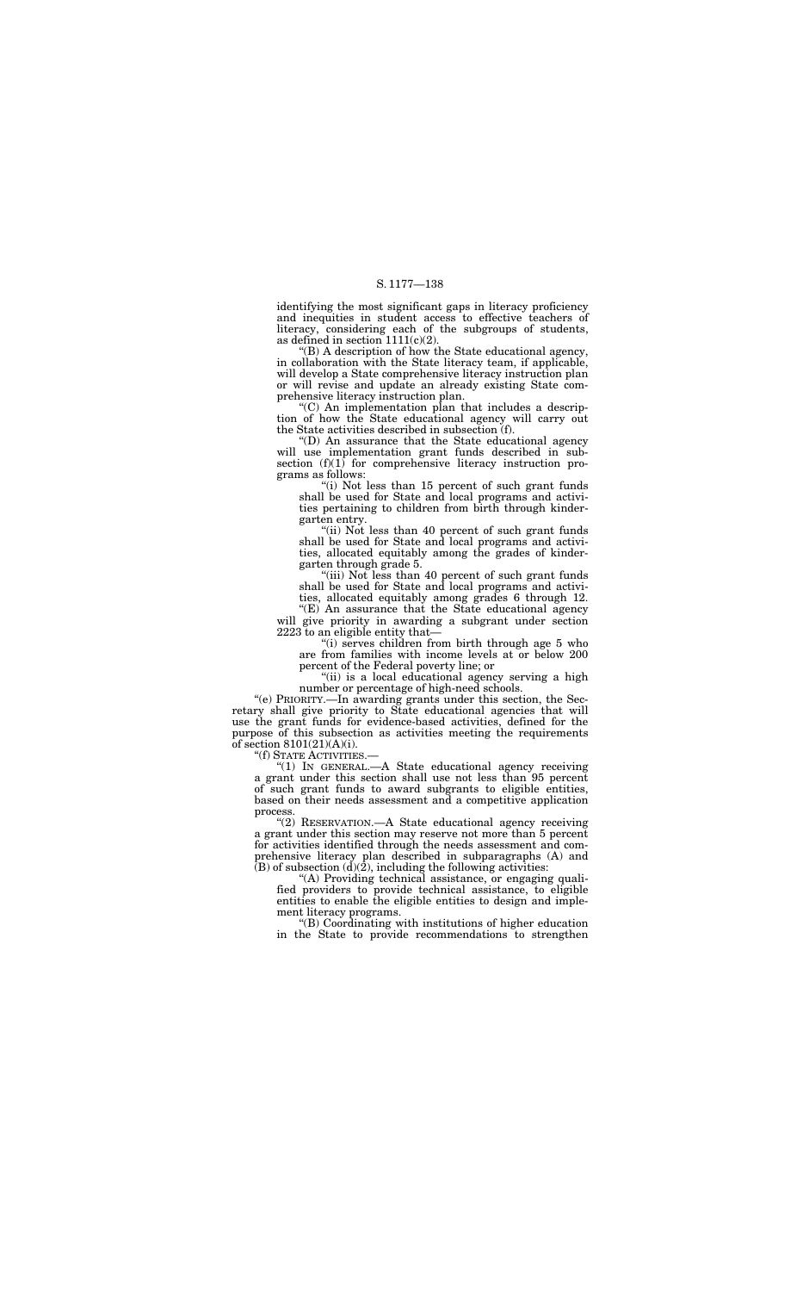identifying the most significant gaps in literacy proficiency and inequities in student access to effective teachers of literacy, considering each of the subgroups of students, as defined in section  $1111(c)(2)$ .

''(B) A description of how the State educational agency, in collaboration with the State literacy team, if applicable, will develop a State comprehensive literacy instruction plan or will revise and update an already existing State comprehensive literacy instruction plan.

"(i) Not less than 15 percent of such grant funds shall be used for State and local programs and activities pertaining to children from birth through kindergarten entry.

''(C) An implementation plan that includes a description of how the State educational agency will carry out the State activities described in subsection (f).

"(ii) Not less than 40 percent of such grant funds shall be used for State and local programs and activities, allocated equitably among the grades of kindergarten through grade 5.

 $E$ ) An assurance that the State educational agency will give priority in awarding a subgrant under section 2223 to an eligible entity that—

''(D) An assurance that the State educational agency will use implementation grant funds described in subsection  $(f)(1)$  for comprehensive literacy instruction programs as follows:

"(i) serves children from birth through age 5 who are from families with income levels at or below 200 percent of the Federal poverty line; or

"(ii) is a local educational agency serving a high number or percentage of high-need schools.

''(iii) Not less than 40 percent of such grant funds shall be used for State and local programs and activities, allocated equitably among grades 6 through 12.

"(A) Providing technical assistance, or engaging qualified providers to provide technical assistance, to eligible entities to enable the eligible entities to design and implement literacy programs.

''(e) PRIORITY.—In awarding grants under this section, the Secretary shall give priority to State educational agencies that will use the grant funds for evidence-based activities, defined for the purpose of this subsection as activities meeting the requirements of section 8101(21)(A)(i).

''(f) STATE ACTIVITIES.—

''(1) IN GENERAL.—A State educational agency receiving a grant under this section shall use not less than 95 percent of such grant funds to award subgrants to eligible entities, based on their needs assessment and a competitive application process.

"(2) RESERVATION.—A State educational agency receiving a grant under this section may reserve not more than 5 percent for activities identified through the needs assessment and comprehensive literacy plan described in subparagraphs (A) and  $(B)$  of subsection  $(d)(\overline{2})$ , including the following activities:

''(B) Coordinating with institutions of higher education in the State to provide recommendations to strengthen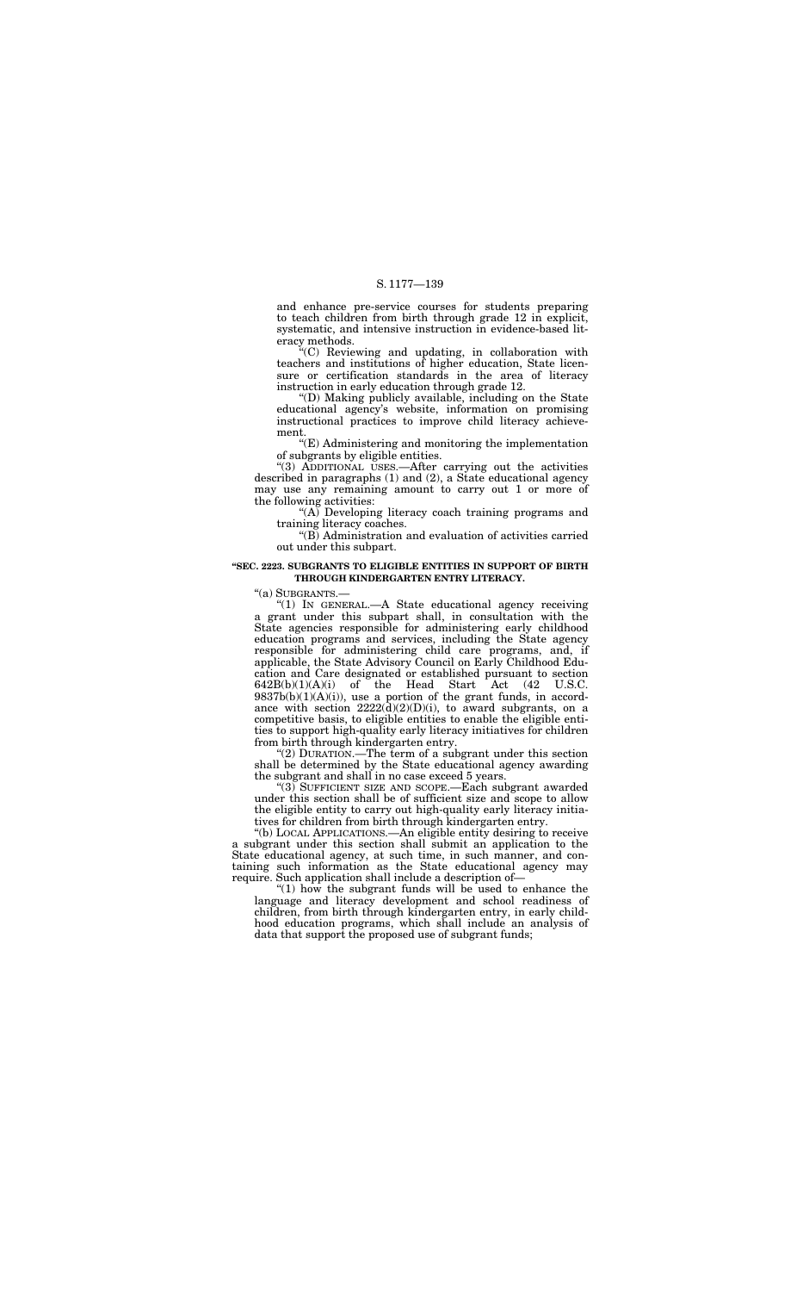and enhance pre-service courses for students preparing to teach children from birth through grade 12 in explicit, systematic, and intensive instruction in evidence-based literacy methods.

''(C) Reviewing and updating, in collaboration with teachers and institutions of higher education, State licensure or certification standards in the area of literacy instruction in early education through grade 12.

"(A) Developing literacy coach training programs and training literacy coaches.

''(D) Making publicly available, including on the State educational agency's website, information on promising instructional practices to improve child literacy achievement.

''(E) Administering and monitoring the implementation of subgrants by eligible entities.

''(3) ADDITIONAL USES.—After carrying out the activities described in paragraphs (1) and (2), a State educational agency may use any remaining amount to carry out 1 or more of the following activities:

''(B) Administration and evaluation of activities carried out under this subpart.

#### **''SEC. 2223. SUBGRANTS TO ELIGIBLE ENTITIES IN SUPPORT OF BIRTH THROUGH KINDERGARTEN ENTRY LITERACY.**

''(a) SUBGRANTS.—

" $(1)$  how the subgrant funds will be used to enhance the language and literacy development and school readiness of children, from birth through kindergarten entry, in early childhood education programs, which shall include an analysis of data that support the proposed use of subgrant funds;

''(1) IN GENERAL.—A State educational agency receiving a grant under this subpart shall, in consultation with the State agencies responsible for administering early childhood education programs and services, including the State agency responsible for administering child care programs, and, if applicable, the State Advisory Council on Early Childhood Education and Care designated or established pursuant to section  $642B(b)(1)(A)(i)$  of the Head Start Act  $(42 \text{ U.S.C.})$  $9837b(b)(1)(A)(i)$ , use a portion of the grant funds, in accordance with section  $2222(d)(2)(D)(i)$ , to award subgrants, on a competitive basis, to eligible entities to enable the eligible entities to support high-quality early literacy initiatives for children from birth through kindergarten entry.

''(2) DURATION.—The term of a subgrant under this section shall be determined by the State educational agency awarding the subgrant and shall in no case exceed 5 years.

''(3) SUFFICIENT SIZE AND SCOPE.—Each subgrant awarded under this section shall be of sufficient size and scope to allow the eligible entity to carry out high-quality early literacy initiatives for children from birth through kindergarten entry.

''(b) LOCAL APPLICATIONS.—An eligible entity desiring to receive a subgrant under this section shall submit an application to the State educational agency, at such time, in such manner, and containing such information as the State educational agency may require. Such application shall include a description of—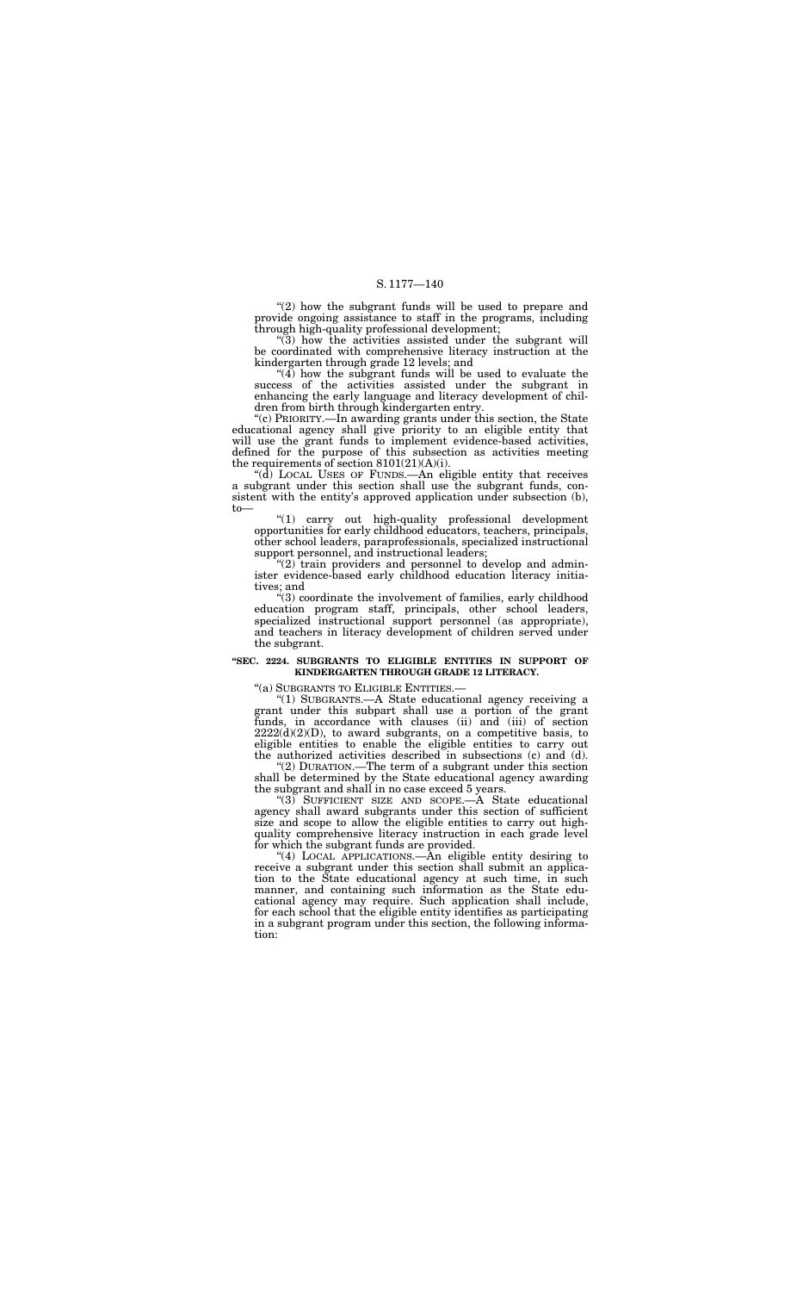"(2) how the subgrant funds will be used to prepare and provide ongoing assistance to staff in the programs, including through high-quality professional development;

 $(3)$  how the activities assisted under the subgrant will be coordinated with comprehensive literacy instruction at the kindergarten through grade 12 levels; and

" $(4)$  how the subgrant funds will be used to evaluate the success of the activities assisted under the subgrant in enhancing the early language and literacy development of children from birth through kindergarten entry.

''(c) PRIORITY.—In awarding grants under this section, the State educational agency shall give priority to an eligible entity that will use the grant funds to implement evidence-based activities, defined for the purpose of this subsection as activities meeting the requirements of section  $8101(21)(A)(i)$ .

" $(2)$  train providers and personnel to develop and administer evidence-based early childhood education literacy initiatives; and

''(d) LOCAL USES OF FUNDS.—An eligible entity that receives a subgrant under this section shall use the subgrant funds, consistent with the entity's approved application under subsection (b), to—

''(1) carry out high-quality professional development opportunities for early childhood educators, teachers, principals, other school leaders, paraprofessionals, specialized instructional support personnel, and instructional leaders;

"(4) LOCAL APPLICATIONS.—An eligible entity desiring to receive a subgrant under this section shall submit an application to the State educational agency at such time, in such manner, and containing such information as the State educational agency may require. Such application shall include, for each school that the eligible entity identifies as participating in a subgrant program under this section, the following information:

''(3) coordinate the involvement of families, early childhood education program staff, principals, other school leaders, specialized instructional support personnel (as appropriate), and teachers in literacy development of children served under the subgrant.

#### **''SEC. 2224. SUBGRANTS TO ELIGIBLE ENTITIES IN SUPPORT OF KINDERGARTEN THROUGH GRADE 12 LITERACY.**

''(a) SUBGRANTS TO ELIGIBLE ENTITIES.—

''(1) SUBGRANTS.—A State educational agency receiving a grant under this subpart shall use a portion of the grant funds, in accordance with clauses (ii) and (iii) of section  $2222(d)(2)(D)$ , to award subgrants, on a competitive basis, to eligible entities to enable the eligible entities to carry out the authorized activities described in subsections (c) and (d).

''(2) DURATION.—The term of a subgrant under this section shall be determined by the State educational agency awarding the subgrant and shall in no case exceed 5 years.

''(3) SUFFICIENT SIZE AND SCOPE.—A State educational agency shall award subgrants under this section of sufficient size and scope to allow the eligible entities to carry out highquality comprehensive literacy instruction in each grade level for which the subgrant funds are provided.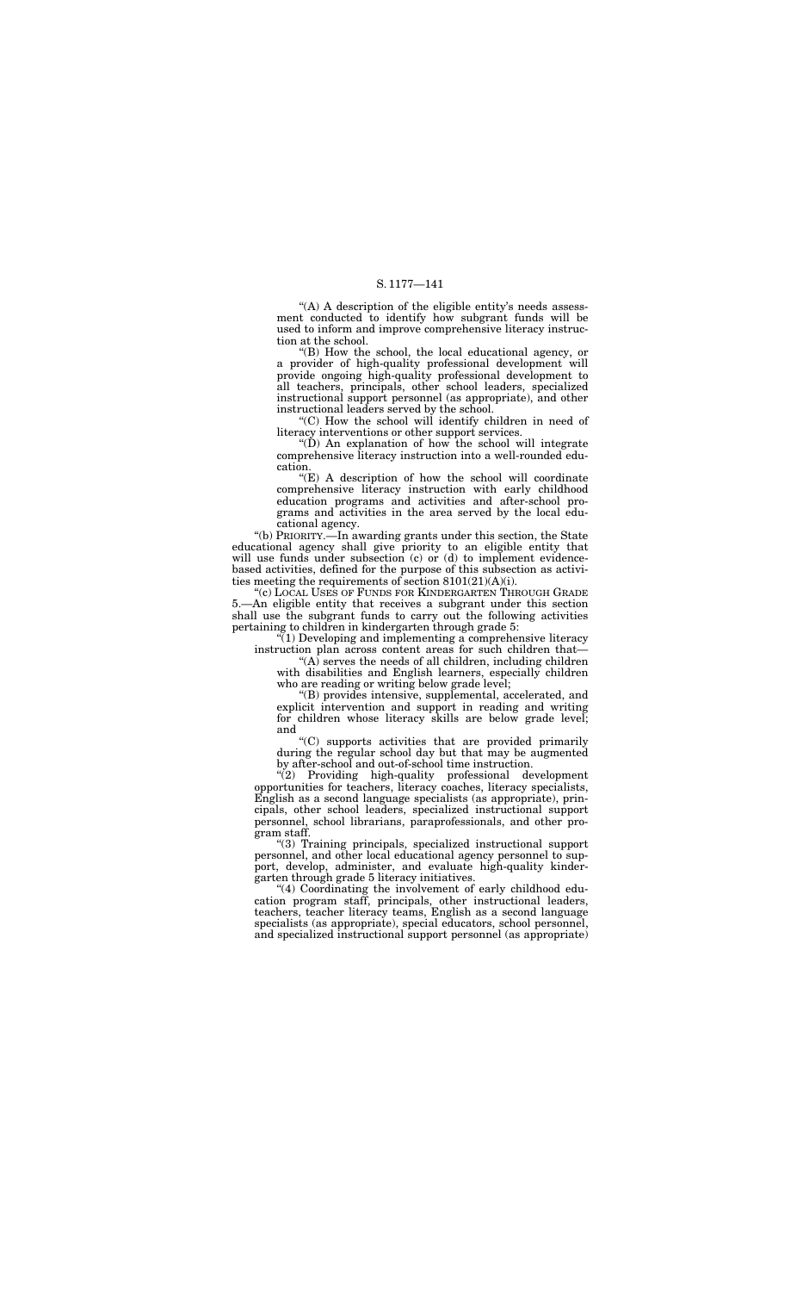''(A) A description of the eligible entity's needs assessment conducted to identify how subgrant funds will be used to inform and improve comprehensive literacy instruction at the school.

''(B) How the school, the local educational agency, or a provider of high-quality professional development will provide ongoing high-quality professional development to all teachers, principals, other school leaders, specialized instructional support personnel (as appropriate), and other instructional leaders served by the school.

 $\mathrm{``(D)}$  An explanation of how the school will integrate comprehensive literacy instruction into a well-rounded education.

''(C) How the school will identify children in need of literacy interventions or other support services.

"(c) LOCAL USES OF FUNDS FOR KINDERGARTEN THROUGH GRADE 5.—An eligible entity that receives a subgrant under this section shall use the subgrant funds to carry out the following activities pertaining to children in kindergarten through grade 5:

 $\sqrt{1}$ ) Developing and implementing a comprehensive literacy instruction plan across content areas for such children that-

" $(A)$  serves the needs of all children, including children with disabilities and English learners, especially children who are reading or writing below grade level;

''(E) A description of how the school will coordinate comprehensive literacy instruction with early childhood education programs and activities and after-school programs and activities in the area served by the local educational agency.

''(b) PRIORITY.—In awarding grants under this section, the State educational agency shall give priority to an eligible entity that will use funds under subsection (c) or (d) to implement evidencebased activities, defined for the purpose of this subsection as activities meeting the requirements of section 8101(21)(A)(i).

"(4) Coordinating the involvement of early childhood education program staff, principals, other instructional leaders, teachers, teacher literacy teams, English as a second language specialists (as appropriate), special educators, school personnel, and specialized instructional support personnel (as appropriate)

''(B) provides intensive, supplemental, accelerated, and explicit intervention and support in reading and writing for children whose literacy skills are below grade level; and

''(C) supports activities that are provided primarily during the regular school day but that may be augmented by after-school and out-of-school time instruction.

''(2) Providing high-quality professional development opportunities for teachers, literacy coaches, literacy specialists, English as a second language specialists (as appropriate), principals, other school leaders, specialized instructional support personnel, school librarians, paraprofessionals, and other program staff.

''(3) Training principals, specialized instructional support personnel, and other local educational agency personnel to support, develop, administer, and evaluate high-quality kindergarten through grade 5 literacy initiatives.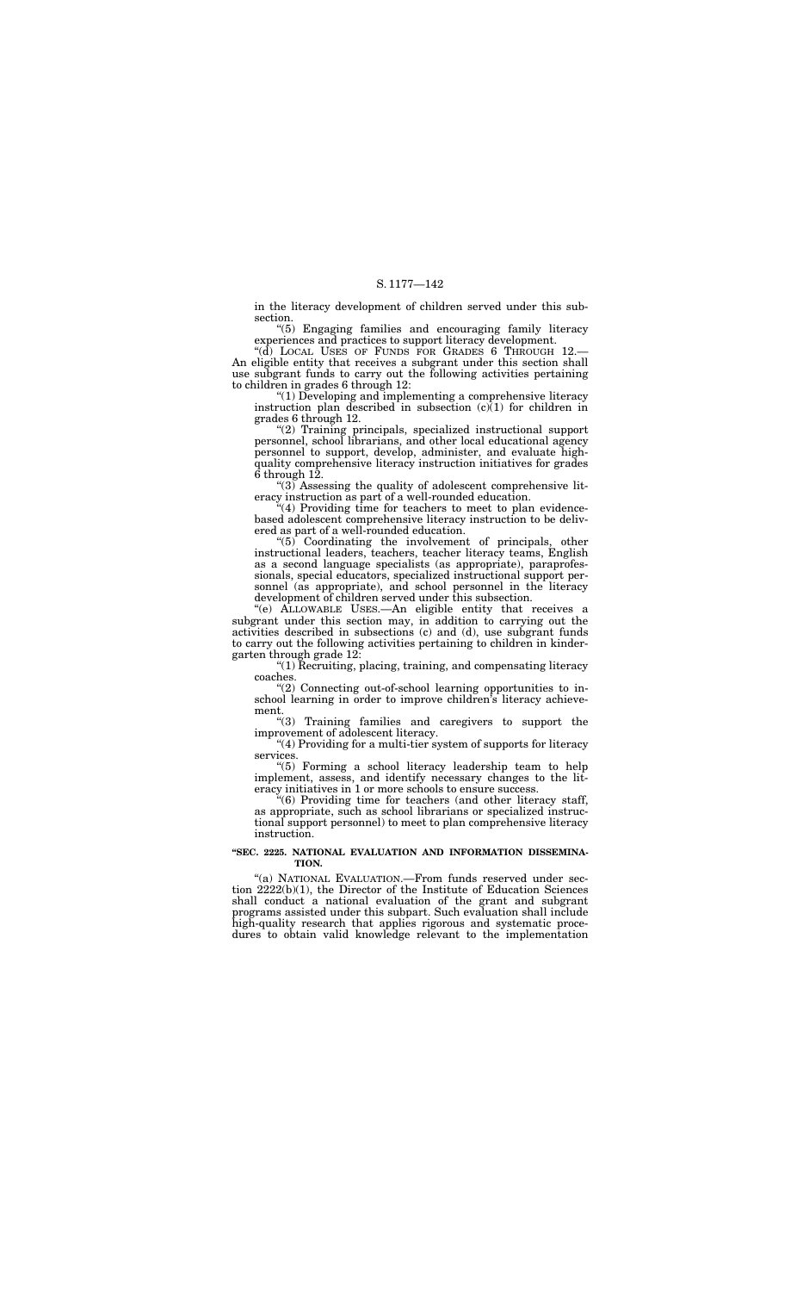in the literacy development of children served under this subsection.

''(5) Engaging families and encouraging family literacy experiences and practices to support literacy development.

''(d) LOCAL USES OF FUNDS FOR GRADES 6 THROUGH 12.— An eligible entity that receives a subgrant under this section shall use subgrant funds to carry out the following activities pertaining to children in grades 6 through 12:

''(1) Developing and implementing a comprehensive literacy instruction plan described in subsection  $(c)(1)$  for children in grades 6 through 12.

"(4) Providing time for teachers to meet to plan evidencebased adolescent comprehensive literacy instruction to be delivered as part of a well-rounded education.

" $(5)$  Coordinating the involvement of principals, other instructional leaders, teachers, teacher literacy teams, English as a second language specialists (as appropriate), paraprofessionals, special educators, specialized instructional support personnel (as appropriate), and school personnel in the literacy development of children served under this subsection.

''(2) Training principals, specialized instructional support personnel, school librarians, and other local educational agency personnel to support, develop, administer, and evaluate highquality comprehensive literacy instruction initiatives for grades 6 through 12.

''(3) Assessing the quality of adolescent comprehensive literacy instruction as part of a well-rounded education.

"(a) NATIONAL EVALUATION.—From funds reserved under section 2222(b)(1), the Director of the Institute of Education Sciences shall conduct a national evaluation of the grant and subgrant programs assisted under this subpart. Such evaluation shall include high-quality research that applies rigorous and systematic procedures to obtain valid knowledge relevant to the implementation

''(e) ALLOWABLE USES.—An eligible entity that receives a subgrant under this section may, in addition to carrying out the activities described in subsections (c) and (d), use subgrant funds to carry out the following activities pertaining to children in kindergarten through grade 12:

''(1) Recruiting, placing, training, and compensating literacy coaches.

''(2) Connecting out-of-school learning opportunities to inschool learning in order to improve children's literacy achievement.

''(3) Training families and caregivers to support the improvement of adolescent literacy.

''(4) Providing for a multi-tier system of supports for literacy services.

''(5) Forming a school literacy leadership team to help implement, assess, and identify necessary changes to the literacy initiatives in 1 or more schools to ensure success.

''(6) Providing time for teachers (and other literacy staff, as appropriate, such as school librarians or specialized instructional support personnel) to meet to plan comprehensive literacy instruction.

#### **''SEC. 2225. NATIONAL EVALUATION AND INFORMATION DISSEMINA-TION.**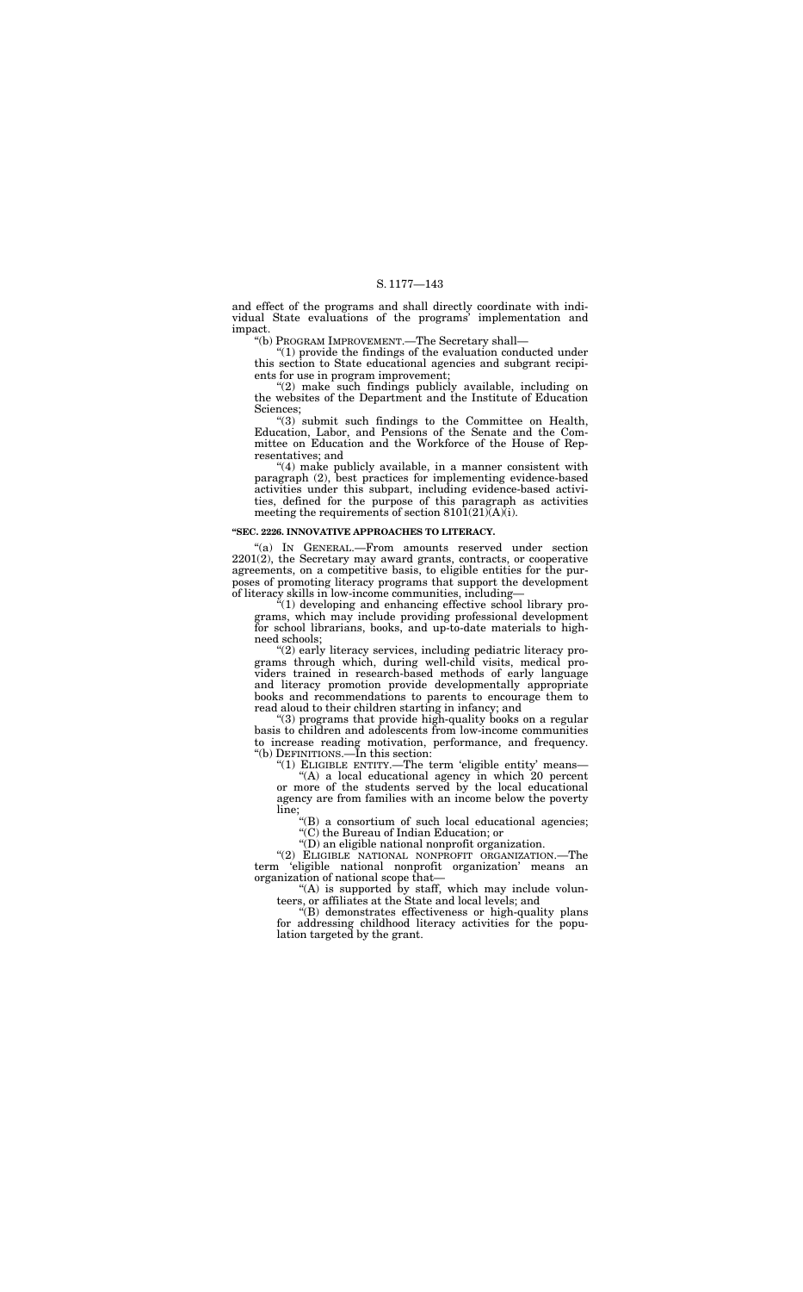and effect of the programs and shall directly coordinate with individual State evaluations of the programs' implementation and impact.

''(b) PROGRAM IMPROVEMENT.—The Secretary shall—

"(2) make such findings publicly available, including on the websites of the Department and the Institute of Education Sciences;

''(1) provide the findings of the evaluation conducted under this section to State educational agencies and subgrant recipients for use in program improvement;

''(3) submit such findings to the Committee on Health, Education, Labor, and Pensions of the Senate and the Committee on Education and the Workforce of the House of Representatives; and

 $(4)$  make publicly available, in a manner consistent with paragraph (2), best practices for implementing evidence-based activities under this subpart, including evidence-based activities, defined for the purpose of this paragraph as activities meeting the requirements of section  $8101(21)(A)(i)$ .

#### **''SEC. 2226. INNOVATIVE APPROACHES TO LITERACY.**

''(a) IN GENERAL.—From amounts reserved under section  $2201(2)$ , the Secretary may award grants, contracts, or cooperative agreements, on a competitive basis, to eligible entities for the purposes of promoting literacy programs that support the development of literacy skills in low-income communities, including—

"(2) ELIGIBLE NATIONAL NONPROFIT ORGANIZATION.—The term 'eligible national nonprofit organization' means an organization of national scope that—

"(A) is supported by staff, which may include volunteers, or affiliates at the State and local levels; and

''(1) developing and enhancing effective school library programs, which may include providing professional development for school librarians, books, and up-to-date materials to highneed schools;

''(2) early literacy services, including pediatric literacy programs through which, during well-child visits, medical providers trained in research-based methods of early language and literacy promotion provide developmentally appropriate books and recommendations to parents to encourage them to read aloud to their children starting in infancy; and

''(3) programs that provide high-quality books on a regular basis to children and adolescents from low-income communities to increase reading motivation, performance, and frequency. ''(b) DEFINITIONS.—In this section:

"(1) ELIGIBLE ENTITY.—The term 'eligible entity' means—

''(A) a local educational agency in which 20 percent or more of the students served by the local educational agency are from families with an income below the poverty line;

''(B) a consortium of such local educational agencies; ''(C) the Bureau of Indian Education; or

 $\mathrm{``(D)}$  an eligible national nonprofit organization.

''(B) demonstrates effectiveness or high-quality plans for addressing childhood literacy activities for the population targeted by the grant.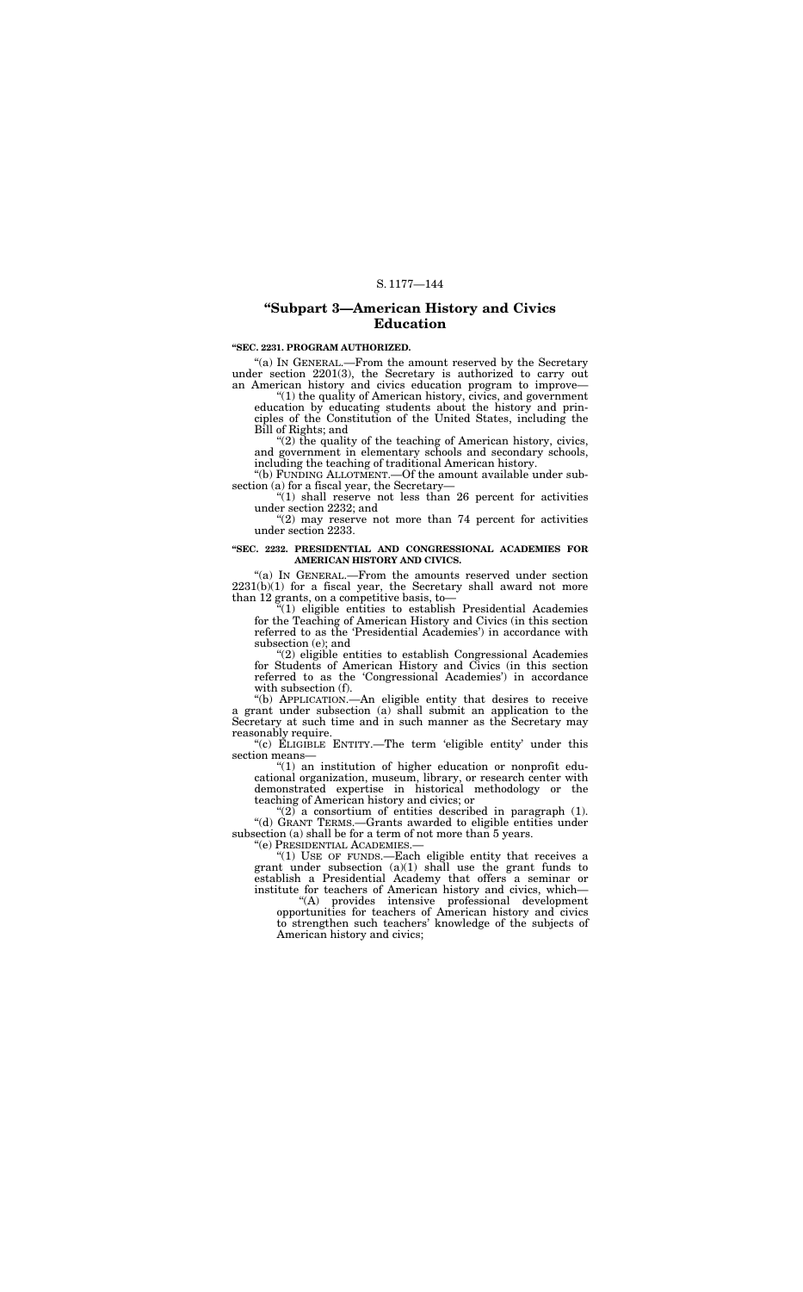# **''Subpart 3—American History and Civics Education**

#### **''SEC. 2231. PROGRAM AUTHORIZED.**

"(a) In GENERAL.—From the amount reserved by the Secretary under section 2201(3), the Secretary is authorized to carry out an American history and civics education program to improve—

" $(2)$  the quality of the teaching of American history, civics, and government in elementary schools and secondary schools, including the teaching of traditional American history.

''(1) the quality of American history, civics, and government education by educating students about the history and principles of the Constitution of the United States, including the Bill of Rights; and

" $(1)$  shall reserve not less than 26 percent for activities under section 2232; and

" $(2)$  may reserve not more than 74 percent for activities under section 2233.

"(a) IN GENERAL.—From the amounts reserved under section 2231(b)(1) for a fiscal year, the Secretary shall award not more than 12 grants, on a competitive basis, to—

''(b) FUNDING ALLOTMENT.—Of the amount available under subsection (a) for a fiscal year, the Secretary—

"(c) ELIGIBLE ENTITY.—The term 'eligible entity' under this section means—

#### **''SEC. 2232. PRESIDENTIAL AND CONGRESSIONAL ACADEMIES FOR AMERICAN HISTORY AND CIVICS.**

"(1) an institution of higher education or nonprofit educational organization, museum, library, or research center with demonstrated expertise in historical methodology or the teaching of American history and civics; or

" $(2)$ " a consortium of entities described in paragraph  $(1)$ . ''(d) GRANT TERMS.—Grants awarded to eligible entities under subsection (a) shall be for a term of not more than 5 years.<br>"(e) PRESIDENTIAL ACADEMIES.—

"(1) USE OF FUNDS.—Each eligible entity that receives a grant under subsection (a)(1) shall use the grant funds to establish a Presidential Academy that offers a seminar or institute for teachers of American history and civics, which—

''(1) eligible entities to establish Presidential Academies for the Teaching of American History and Civics (in this section referred to as the 'Presidential Academies') in accordance with subsection (e); and

''(2) eligible entities to establish Congressional Academies for Students of American History and Civics (in this section referred to as the 'Congressional Academies') in accordance with subsection (f).

''(b) APPLICATION.—An eligible entity that desires to receive a grant under subsection (a) shall submit an application to the Secretary at such time and in such manner as the Secretary may reasonably require.

> ''(A) provides intensive professional development opportunities for teachers of American history and civics to strengthen such teachers' knowledge of the subjects of American history and civics;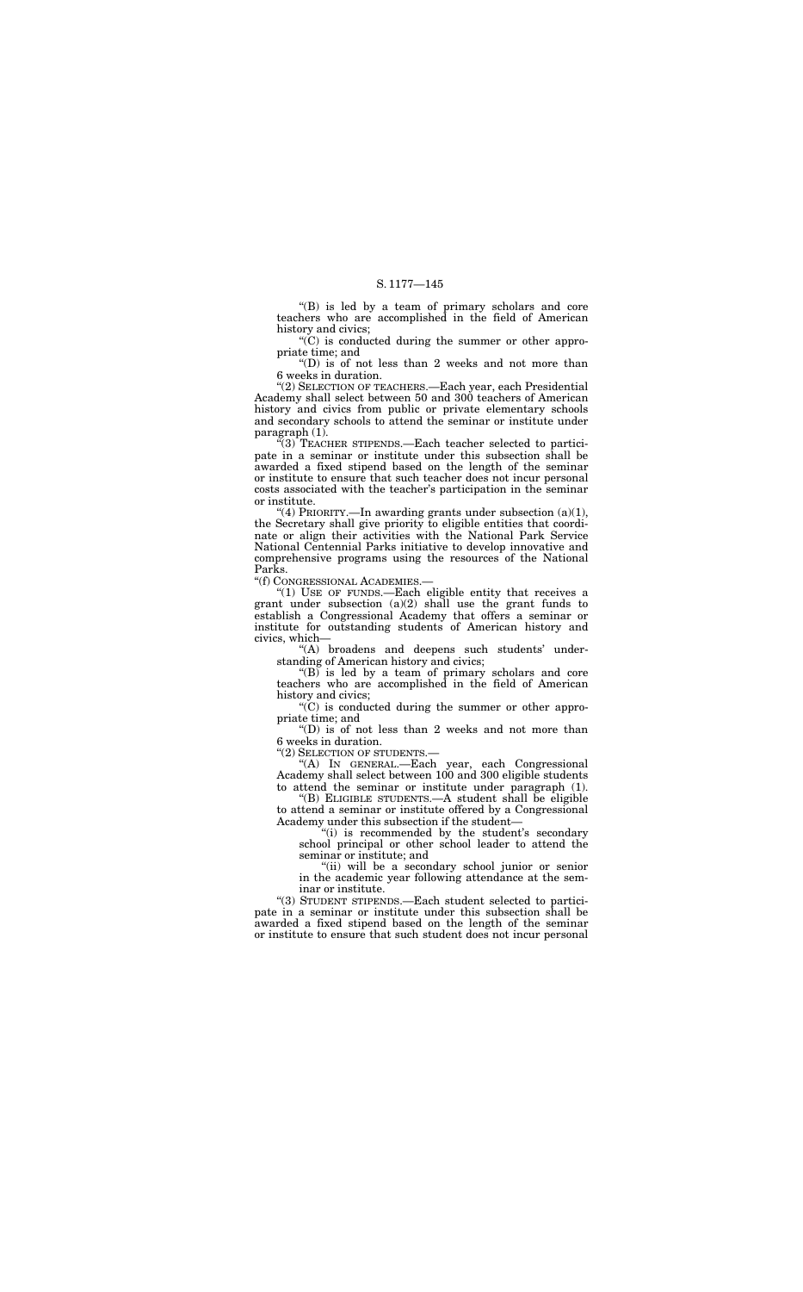''(B) is led by a team of primary scholars and core teachers who are accomplished in the field of American history and civics;

" $(C)$  is conducted during the summer or other appropriate time; and

" $(D)$  is of not less than 2 weeks and not more than 6 weeks in duration.

''(2) SELECTION OF TEACHERS.—Each year, each Presidential Academy shall select between 50 and 300 teachers of American history and civics from public or private elementary schools and secondary schools to attend the seminar or institute under paragraph (1).

"(4) PRIORITY.—In awarding grants under subsection  $(a)(1)$ , the Secretary shall give priority to eligible entities that coordinate or align their activities with the National Park Service National Centennial Parks initiative to develop innovative and comprehensive programs using the resources of the National Parks.

''(3) TEACHER STIPENDS.—Each teacher selected to participate in a seminar or institute under this subsection shall be awarded a fixed stipend based on the length of the seminar or institute to ensure that such teacher does not incur personal costs associated with the teacher's participation in the seminar or institute.

"(1) USE OF FUNDS.—Each eligible entity that receives a grant under subsection (a)(2) shall use the grant funds to establish a Congressional Academy that offers a seminar or institute for outstanding students of American history and civics, which—

"(A) broadens and deepens such students' understanding of American history and civics;

" $(B)$  is led by a team of primary scholars and core teachers who are accomplished in the field of American history and civics;

 $C$ ) is conducted during the summer or other appropriate time; and

" $(D)$  is of not less than 2 weeks and not more than 6 weeks in duration.

''(f) CONGRESSIONAL ACADEMIES.—

"(ii) will be a secondary school junior or senior in the academic year following attendance at the seminar or institute.

''(2) SELECTION OF STUDENTS.—

''(A) IN GENERAL.—Each year, each Congressional Academy shall select between 100 and 300 eligible students to attend the seminar or institute under paragraph (1).

''(B) ELIGIBLE STUDENTS.—A student shall be eligible to attend a seminar or institute offered by a Congressional Academy under this subsection if the student—

''(i) is recommended by the student's secondary school principal or other school leader to attend the seminar or institute; and

''(3) STUDENT STIPENDS.—Each student selected to participate in a seminar or institute under this subsection shall be awarded a fixed stipend based on the length of the seminar or institute to ensure that such student does not incur personal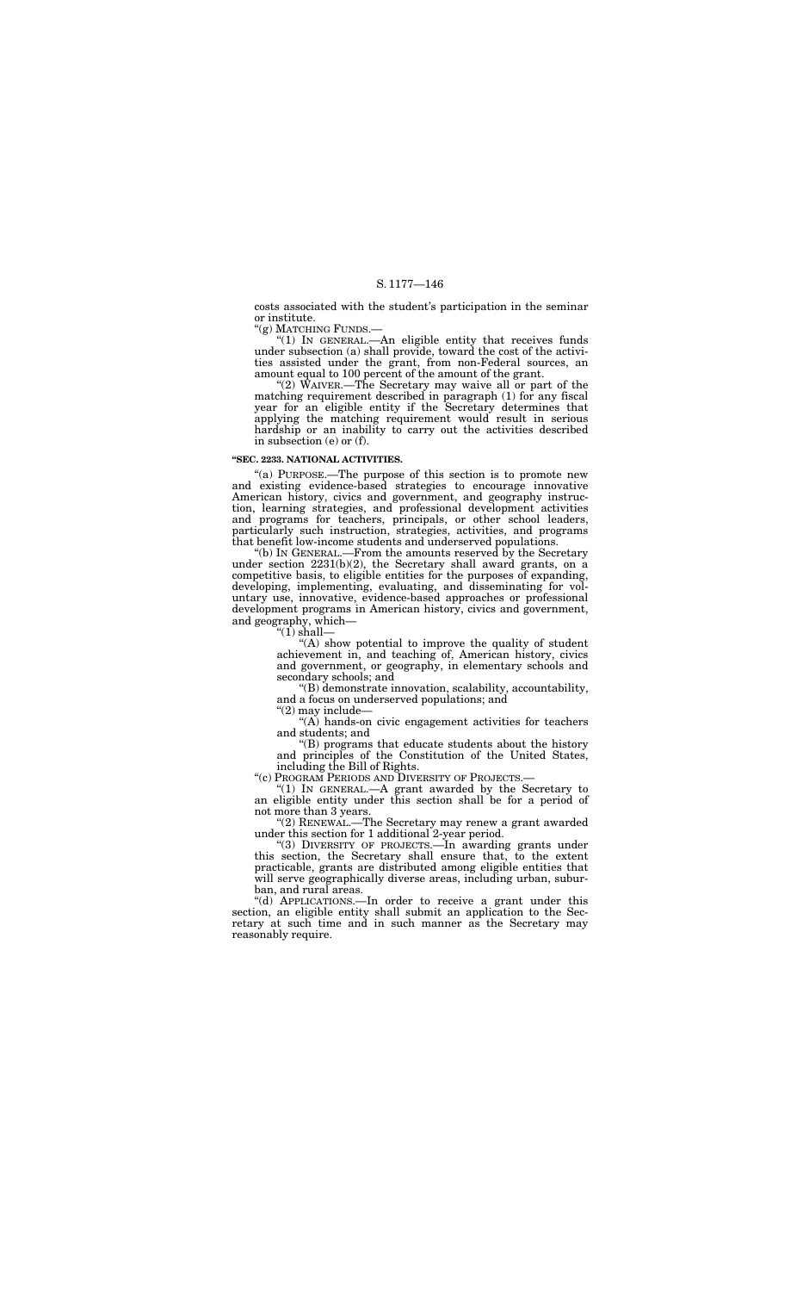costs associated with the student's participation in the seminar

or institute.<br>"(g) MATCHING FUNDS.–

"(1) IN GENERAL.—An eligible entity that receives funds under subsection (a) shall provide, toward the cost of the activities assisted under the grant, from non-Federal sources, an amount equal to 100 percent of the amount of the grant.

"(2) WAIVER.—The Secretary may waive all or part of the matching requirement described in paragraph (1) for any fiscal year for an eligible entity if the Secretary determines that applying the matching requirement would result in serious hardship or an inability to carry out the activities described in subsection (e) or (f).

#### **''SEC. 2233. NATIONAL ACTIVITIES.**

"(A) show potential to improve the quality of student achievement in, and teaching of, American history, civics and government, or geography, in elementary schools and secondary schools; and

''(a) PURPOSE.—The purpose of this section is to promote new and existing evidence-based strategies to encourage innovative American history, civics and government, and geography instruction, learning strategies, and professional development activities and programs for teachers, principals, or other school leaders, particularly such instruction, strategies, activities, and programs that benefit low-income students and underserved populations.

> "(A) hands-on civic engagement activities for teachers and students; and

''(3) DIVERSITY OF PROJECTS.—In awarding grants under this section, the Secretary shall ensure that, to the extent practicable, grants are distributed among eligible entities that will serve geographically diverse areas, including urban, suburban, and rural areas.

''(b) IN GENERAL.—From the amounts reserved by the Secretary under section 2231(b)(2), the Secretary shall award grants, on a competitive basis, to eligible entities for the purposes of expanding, developing, implementing, evaluating, and disseminating for voluntary use, innovative, evidence-based approaches or professional development programs in American history, civics and government, and geography, which—

" $(1)$  shall–

''(B) demonstrate innovation, scalability, accountability, and a focus on underserved populations; and

" $(2)$  may include-

''(B) programs that educate students about the history and principles of the Constitution of the United States, including the Bill of Rights.

"(c) PROGRAM PERIODS AND DIVERSITY OF PROJECTS.-

''(1) IN GENERAL.—A grant awarded by the Secretary to an eligible entity under this section shall be for a period of not more than 3 years.

''(2) RENEWAL.—The Secretary may renew a grant awarded under this section for 1 additional 2-year period.

''(d) APPLICATIONS.—In order to receive a grant under this section, an eligible entity shall submit an application to the Secretary at such time and in such manner as the Secretary may reasonably require.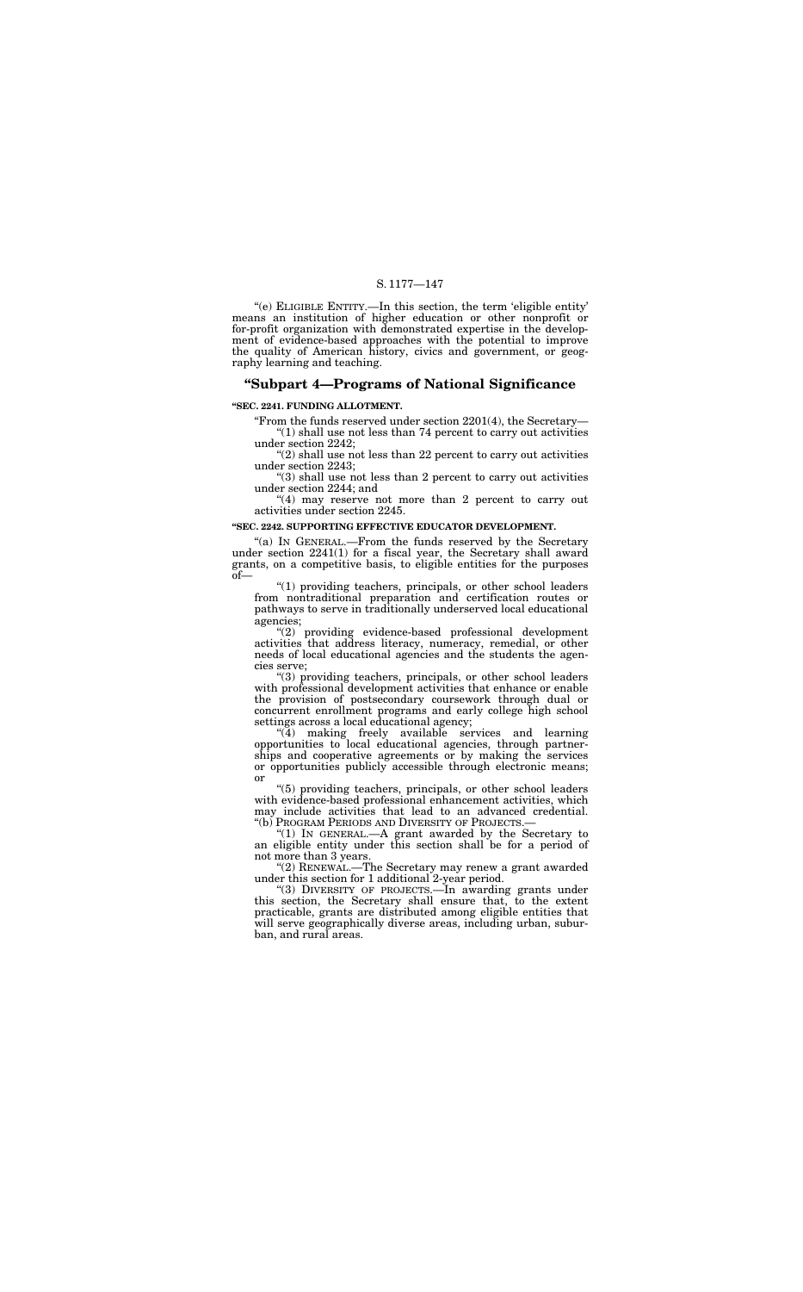''(e) ELIGIBLE ENTITY.—In this section, the term 'eligible entity' means an institution of higher education or other nonprofit or for-profit organization with demonstrated expertise in the development of evidence-based approaches with the potential to improve the quality of American history, civics and government, or geography learning and teaching.

''From the funds reserved under section 2201(4), the Secretary—  $(1)$  shall use not less than 74 percent to carry out activities

 $(2)$  shall use not less than 22 percent to carry out activities under section 2243;

 $(3)$  shall use not less than 2 percent to carry out activities under section 2244; and

## **''Subpart 4—Programs of National Significance**

#### **''SEC. 2241. FUNDING ALLOTMENT.**

"(4) may reserve not more than 2 percent to carry out activities under section 2245.

"(a) IN GENERAL.—From the funds reserved by the Secretary under section 2241(1) for a fiscal year, the Secretary shall award grants, on a competitive basis, to eligible entities for the purposes of—

under section 2242;

### **''SEC. 2242. SUPPORTING EFFECTIVE EDUCATOR DEVELOPMENT.**

"(4) making freely available services and learning opportunities to local educational agencies, through partnerships and cooperative agreements or by making the services or opportunities publicly accessible through electronic means; or

"(5) providing teachers, principals, or other school leaders with evidence-based professional enhancement activities, which may include activities that lead to an advanced credential. "(b) PROGRAM PERIODS AND DIVERSITY OF PROJECTS.-

"(1) IN GENERAL.—A grant awarded by the Secretary to an eligible entity under this section shall be for a period of not more than 3 years.

''(1) providing teachers, principals, or other school leaders from nontraditional preparation and certification routes or pathways to serve in traditionally underserved local educational agencies;

''(2) providing evidence-based professional development activities that address literacy, numeracy, remedial, or other needs of local educational agencies and the students the agencies serve;

''(3) providing teachers, principals, or other school leaders with professional development activities that enhance or enable the provision of postsecondary coursework through dual or concurrent enrollment programs and early college high school settings across a local educational agency;

''(2) RENEWAL.—The Secretary may renew a grant awarded under this section for 1 additional 2-year period.

''(3) DIVERSITY OF PROJECTS.—In awarding grants under this section, the Secretary shall ensure that, to the extent practicable, grants are distributed among eligible entities that will serve geographically diverse areas, including urban, suburban, and rural areas.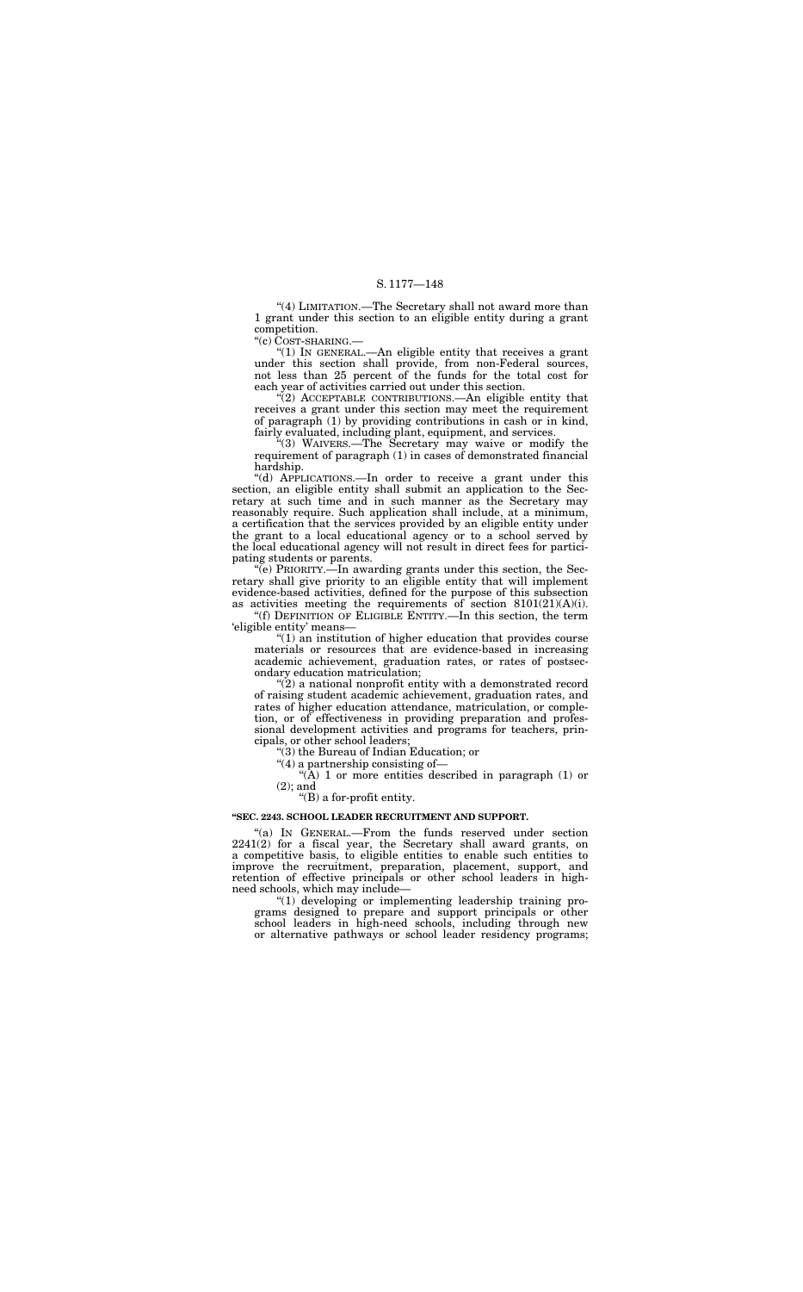''(4) LIMITATION.—The Secretary shall not award more than 1 grant under this section to an eligible entity during a grant competition.

''(c) COST-SHARING.—

''(1) IN GENERAL.—An eligible entity that receives a grant under this section shall provide, from non-Federal sources, not less than 25 percent of the funds for the total cost for each year of activities carried out under this section.

 $\mathcal{L}(2)$  ACCEPTABLE CONTRIBUTIONS.—An eligible entity that receives a grant under this section may meet the requirement of paragraph (1) by providing contributions in cash or in kind, fairly evaluated, including plant, equipment, and services.

"(d) APPLICATIONS.—In order to receive a grant under this section, an eligible entity shall submit an application to the Secretary at such time and in such manner as the Secretary may reasonably require. Such application shall include, at a minimum, a certification that the services provided by an eligible entity under the grant to a local educational agency or to a school served by the local educational agency will not result in direct fees for participating students or parents.

''(3) WAIVERS.—The Secretary may waive or modify the requirement of paragraph (1) in cases of demonstrated financial hardship.

 $(1)$  an institution of higher education that provides course materials or resources that are evidence-based in increasing academic achievement, graduation rates, or rates of postsecondary education matriculation;

 $\tilde{P}(2)$  a national nonprofit entity with a demonstrated record of raising student academic achievement, graduation rates, and rates of higher education attendance, matriculation, or completion, or of effectiveness in providing preparation and professional development activities and programs for teachers, principals, or other school leaders;

"(A) 1 or more entities described in paragraph  $(1)$  or (2); and

"(a) IN GENERAL.-From the funds reserved under section 2241(2) for a fiscal year, the Secretary shall award grants, on a competitive basis, to eligible entities to enable such entities to improve the recruitment, preparation, placement, support, and retention of effective principals or other school leaders in highneed schools, which may include—

''(e) PRIORITY.—In awarding grants under this section, the Secretary shall give priority to an eligible entity that will implement evidence-based activities, defined for the purpose of this subsection as activities meeting the requirements of section 8101(21)(A)(i).

''(f) DEFINITION OF ELIGIBLE ENTITY.—In this section, the term 'eligible entity' means—

''(3) the Bureau of Indian Education; or

"(4) a partnership consisting of-

''(B) a for-profit entity.

#### **''SEC. 2243. SCHOOL LEADER RECRUITMENT AND SUPPORT.**

''(1) developing or implementing leadership training programs designed to prepare and support principals or other school leaders in high-need schools, including through new or alternative pathways or school leader residency programs;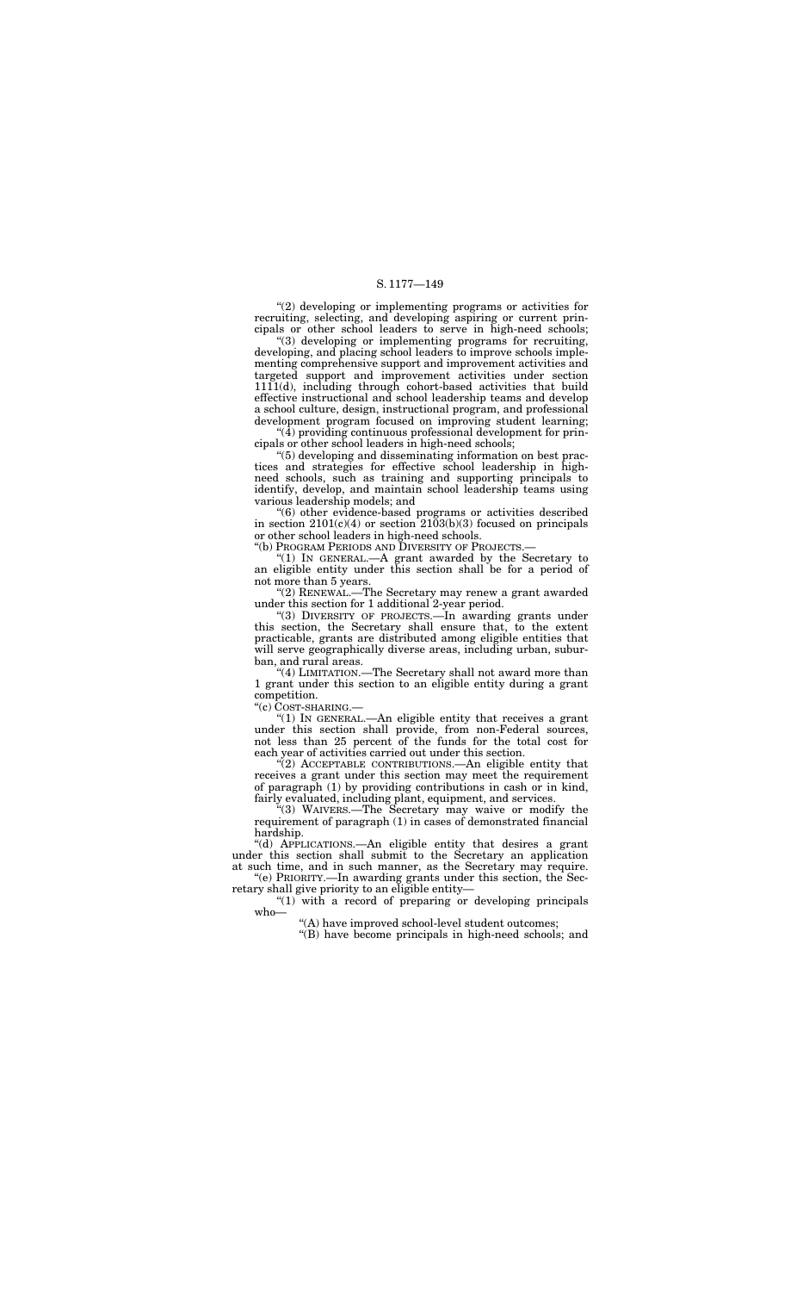''(2) developing or implementing programs or activities for recruiting, selecting, and developing aspiring or current principals or other school leaders to serve in high-need schools;

''(3) developing or implementing programs for recruiting, developing, and placing school leaders to improve schools implementing comprehensive support and improvement activities and targeted support and improvement activities under section 1111(d), including through cohort-based activities that build effective instructional and school leadership teams and develop a school culture, design, instructional program, and professional development program focused on improving student learning;

"(1) IN GENERAL.—A grant awarded by the Secretary to an eligible entity under this section shall be for a period of not more than 5 years.

''(4) providing continuous professional development for principals or other school leaders in high-need schools;

"(2) RENEWAL.-The Secretary may renew a grant awarded under this section for 1 additional 2-year period.

''(5) developing and disseminating information on best practices and strategies for effective school leadership in highneed schools, such as training and supporting principals to identify, develop, and maintain school leadership teams using various leadership models; and

"(4) LIMITATION.—The Secretary shall not award more than 1 grant under this section to an eligible entity during a grant competition.

" $(1)$  In GENERAL.—An eligible entity that receives a grant under this section shall provide, from non-Federal sources, not less than 25 percent of the funds for the total cost for each year of activities carried out under this section.

''(6) other evidence-based programs or activities described in section  $2101(c)(4)$  or section  $2103(b)(3)$  focused on principals or other school leaders in high-need schools.

"(2) ACCEPTABLE CONTRIBUTIONS.—An eligible entity that receives a grant under this section may meet the requirement of paragraph (1) by providing contributions in cash or in kind, fairly evaluated, including plant, equipment, and services.

''(b) PROGRAM PERIODS AND DIVERSITY OF PROJECTS.—

"(3) WAIVERS.—The Secretary may waive or modify the requirement of paragraph (1) in cases of demonstrated financial hardship.

" $(1)$  with a record of preparing or developing principals who—

''(3) DIVERSITY OF PROJECTS.—In awarding grants under this section, the Secretary shall ensure that, to the extent practicable, grants are distributed among eligible entities that will serve geographically diverse areas, including urban, suburban, and rural areas.

''(c) COST-SHARING.—

''(d) APPLICATIONS.—An eligible entity that desires a grant under this section shall submit to the Secretary an application at such time, and in such manner, as the Secretary may require.

''(e) PRIORITY.—In awarding grants under this section, the Secretary shall give priority to an eligible entity—

''(A) have improved school-level student outcomes;

"(B) have become principals in high-need schools; and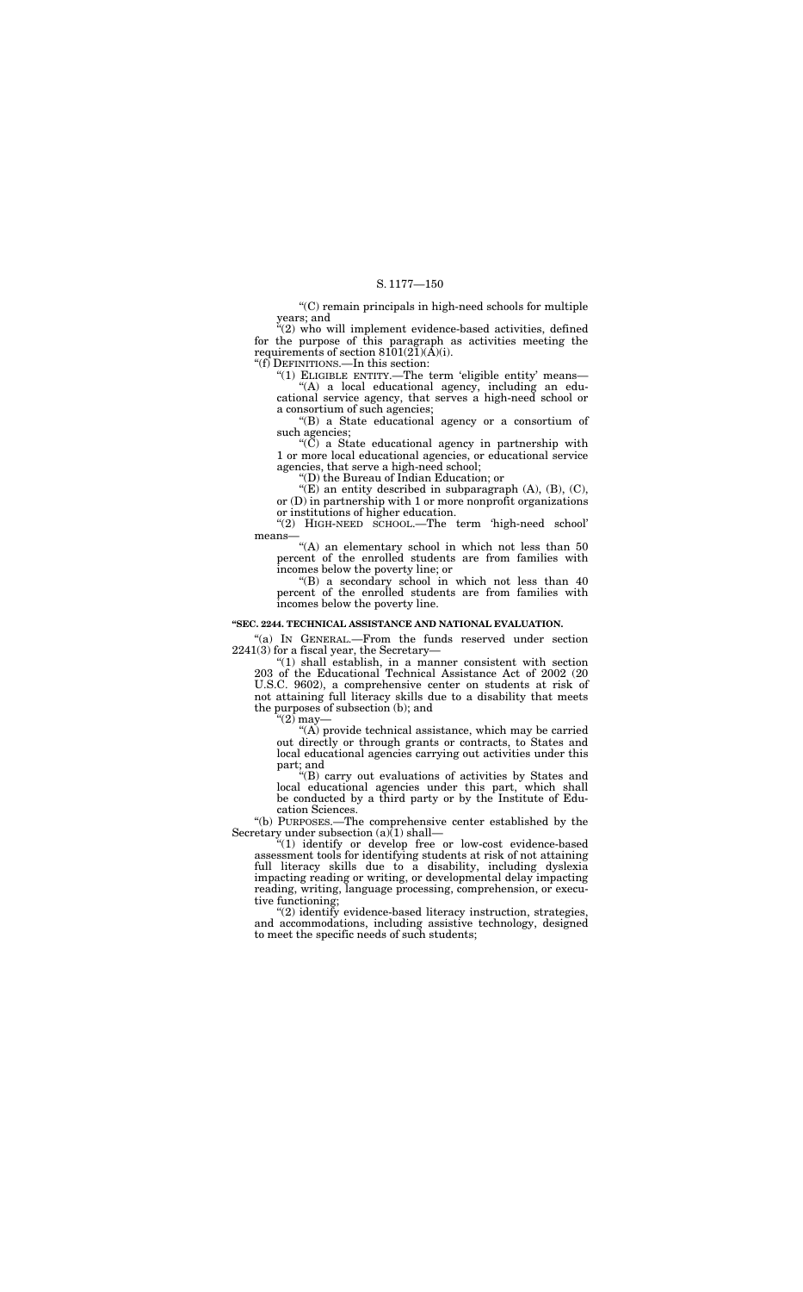''(C) remain principals in high-need schools for multiple years; and

"(2) who will implement evidence-based activities, defined for the purpose of this paragraph as activities meeting the requirements of section  $8101(21)(A)(i)$ .

"(1) ELIGIBLE ENTITY.—The term 'eligible entity' means— ''(A) a local educational agency, including an edu-

''(f) DEFINITIONS.—In this section:

 $\rm ^{\prime\prime}(\bar{C})$  a State educational agency in partnership with 1 or more local educational agencies, or educational service agencies, that serve a high-need school;

cational service agency, that serves a high-need school or a consortium of such agencies;

" $(E)$  an entity described in subparagraph  $(A)$ ,  $(B)$ ,  $(C)$ , or (D) in partnership with 1 or more nonprofit organizations or institutions of higher education.

''(B) a State educational agency or a consortium of such agencies;

"(a) IN GENERAL.—From the funds reserved under section 2241(3) for a fiscal year, the Secretary—

''(D) the Bureau of Indian Education; or

" $(1)$  shall establish, in a manner consistent with section 203 of the Educational Technical Assistance Act of 2002 (20 U.S.C. 9602), a comprehensive center on students at risk of not attaining full literacy skills due to a disability that meets the purposes of subsection (b); and

ʻ(2) may-

''(2) HIGH-NEED SCHOOL.—The term 'high-need school' means—

" $(A)$  provide technical assistance, which may be carried out directly or through grants or contracts, to States and local educational agencies carrying out activities under this part; and

''(A) an elementary school in which not less than 50 percent of the enrolled students are from families with incomes below the poverty line; or

''(B) a secondary school in which not less than 40 percent of the enrolled students are from families with incomes below the poverty line.

"(1) identify or develop free or low-cost evidence-based assessment tools for identifying students at risk of not attaining full literacy skills due to a disability, including dyslexia impacting reading or writing, or developmental delay impacting reading, writing, language processing, comprehension, or executive functioning;

#### **''SEC. 2244. TECHNICAL ASSISTANCE AND NATIONAL EVALUATION.**

''(B) carry out evaluations of activities by States and local educational agencies under this part, which shall be conducted by a third party or by the Institute of Education Sciences.

''(b) PURPOSES.—The comprehensive center established by the Secretary under subsection (a)(1) shall—

''(2) identify evidence-based literacy instruction, strategies, and accommodations, including assistive technology, designed to meet the specific needs of such students;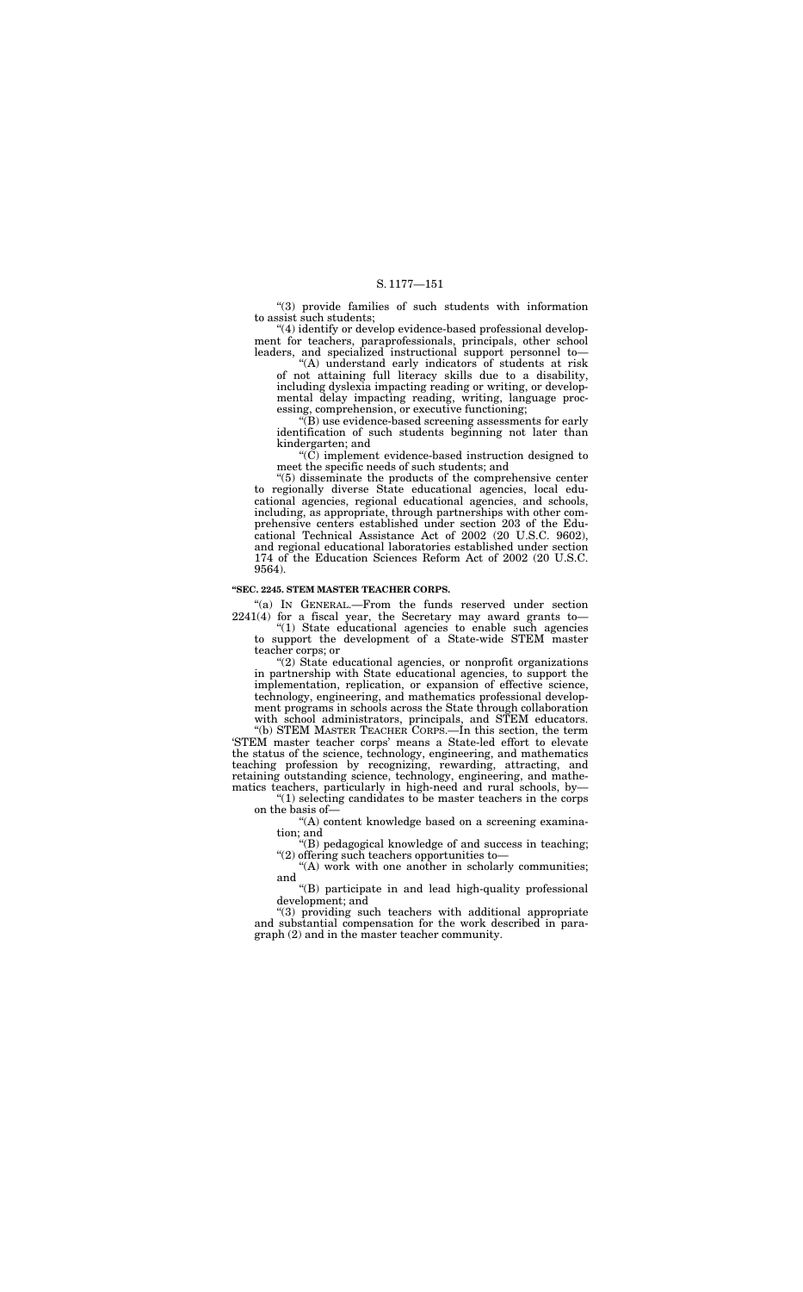''(3) provide families of such students with information to assist such students;

''(4) identify or develop evidence-based professional development for teachers, paraprofessionals, principals, other school leaders, and specialized instructional support personnel to—

"(A) understand early indicators of students at risk of not attaining full literacy skills due to a disability, including dyslexia impacting reading or writing, or developmental delay impacting reading, writing, language processing, comprehension, or executive functioning;

" $(\tilde{C})$  implement evidence-based instruction designed to meet the specific needs of such students; and

''(B) use evidence-based screening assessments for early identification of such students beginning not later than kindergarten; and

"(a) IN GENERAL.—From the funds reserved under section 2241(4) for a fiscal year, the Secretary may award grants to—

"(2) State educational agencies, or nonprofit organizations in partnership with State educational agencies, to support the implementation, replication, or expansion of effective science, technology, engineering, and mathematics professional development programs in schools across the State through collaboration with school administrators, principals, and STEM educators.

''(5) disseminate the products of the comprehensive center to regionally diverse State educational agencies, local educational agencies, regional educational agencies, and schools, including, as appropriate, through partnerships with other comprehensive centers established under section 203 of the Educational Technical Assistance Act of 2002 (20 U.S.C. 9602), and regional educational laboratories established under section 174 of the Education Sciences Reform Act of 2002 (20 U.S.C. 9564).

#### **''SEC. 2245. STEM MASTER TEACHER CORPS.**

''(1) State educational agencies to enable such agencies to support the development of a State-wide STEM master teacher corps; or

''(b) STEM MASTER TEACHER CORPS.—In this section, the term 'STEM master teacher corps' means a State-led effort to elevate the status of the science, technology, engineering, and mathematics teaching profession by recognizing, rewarding, attracting, and retaining outstanding science, technology, engineering, and mathematics teachers, particularly in high-need and rural schools, by—

''(1) selecting candidates to be master teachers in the corps on the basis of—

''(A) content knowledge based on a screening examination; and

''(B) pedagogical knowledge of and success in teaching; ''(2) offering such teachers opportunities to—

''(A) work with one another in scholarly communities; and

''(B) participate in and lead high-quality professional development; and

''(3) providing such teachers with additional appropriate and substantial compensation for the work described in paragraph (2) and in the master teacher community.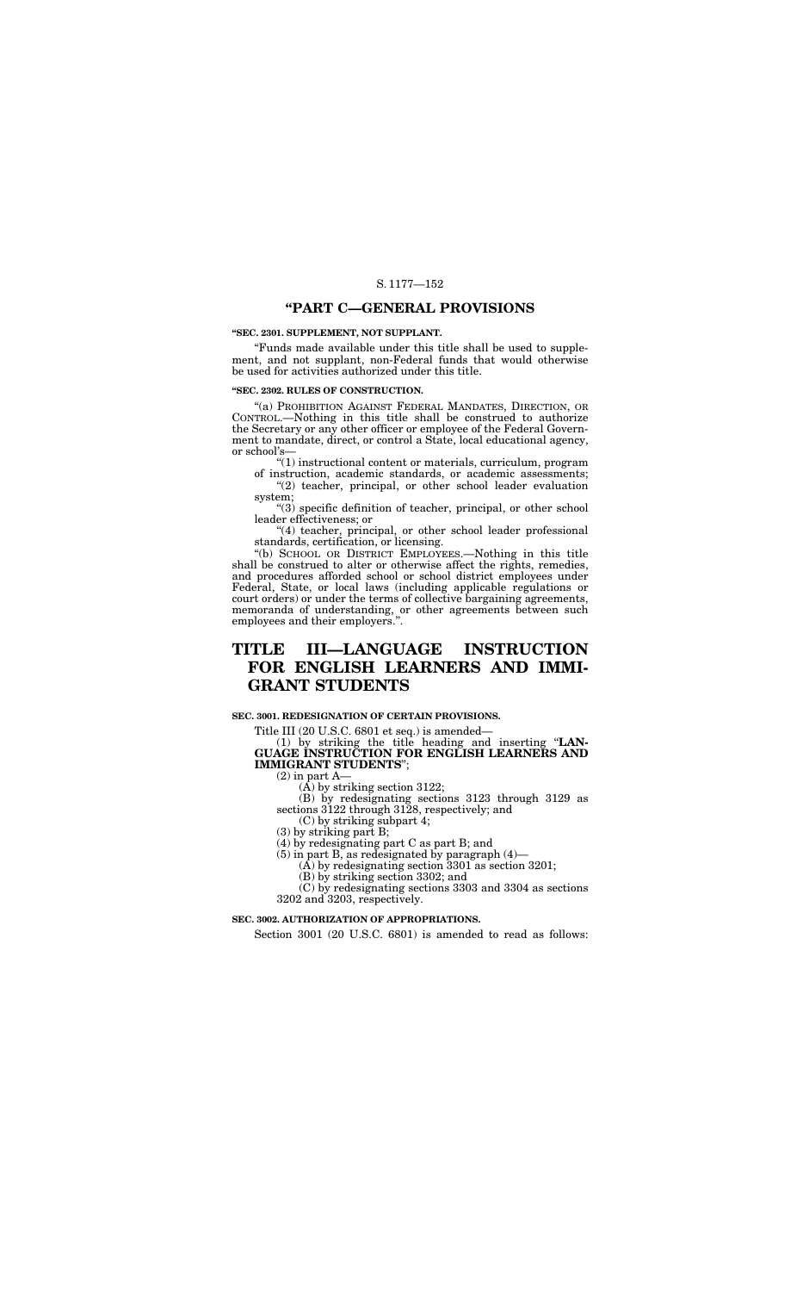### **''PART C—GENERAL PROVISIONS**

#### **''SEC. 2301. SUPPLEMENT, NOT SUPPLANT.**

''Funds made available under this title shall be used to supplement, and not supplant, non-Federal funds that would otherwise be used for activities authorized under this title.

#### **''SEC. 2302. RULES OF CONSTRUCTION.**

"(a) PROHIBITION AGAINST FEDERAL MANDATES, DIRECTION, OR CONTROL.—Nothing in this title shall be construed to authorize the Secretary or any other officer or employee of the Federal Government to mandate, direct, or control a State, local educational agency, or school's—

"(2) teacher, principal, or other school leader evaluation system;

" $(3)$  specific definition of teacher, principal, or other school leader effectiveness; or

"(4) teacher, principal, or other school leader professional standards, certification, or licensing.

''(1) instructional content or materials, curriculum, program of instruction, academic standards, or academic assessments;

''(b) SCHOOL OR DISTRICT EMPLOYEES.—Nothing in this title shall be construed to alter or otherwise affect the rights, remedies, and procedures afforded school or school district employees under Federal, State, or local laws (including applicable regulations or court orders) or under the terms of collective bargaining agreements, memoranda of understanding, or other agreements between such employees and their employers.''.

# **TITLE III—LANGUAGE INSTRUCTION FOR ENGLISH LEARNERS AND IMMI-GRANT STUDENTS**

#### **SEC. 3001. REDESIGNATION OF CERTAIN PROVISIONS.**

Title III (20 U.S.C. 6801 et seq.) is amended—

(1) by striking the title heading and inserting ''**LAN-GUAGE INSTRUCTION FOR ENGLISH LEARNERS AND IMMIGRANT STUDENTS**'';

 $(2)$  in part A-

 $(A)$  by striking section 3122;

(B) by redesignating sections 3123 through 3129 as sections 3122 through 3128, respectively; and

(C) by striking subpart 4;

(3) by striking part B;

(4) by redesignating part C as part B; and

(5) in part B, as redesignated by paragraph (4)—

(A) by redesignating section 3301 as section 3201; (B) by striking section 3302; and

(C) by redesignating sections 3303 and 3304 as sections 3202 and 3203, respectively.

#### **SEC. 3002. AUTHORIZATION OF APPROPRIATIONS.**

Section 3001 (20 U.S.C. 6801) is amended to read as follows: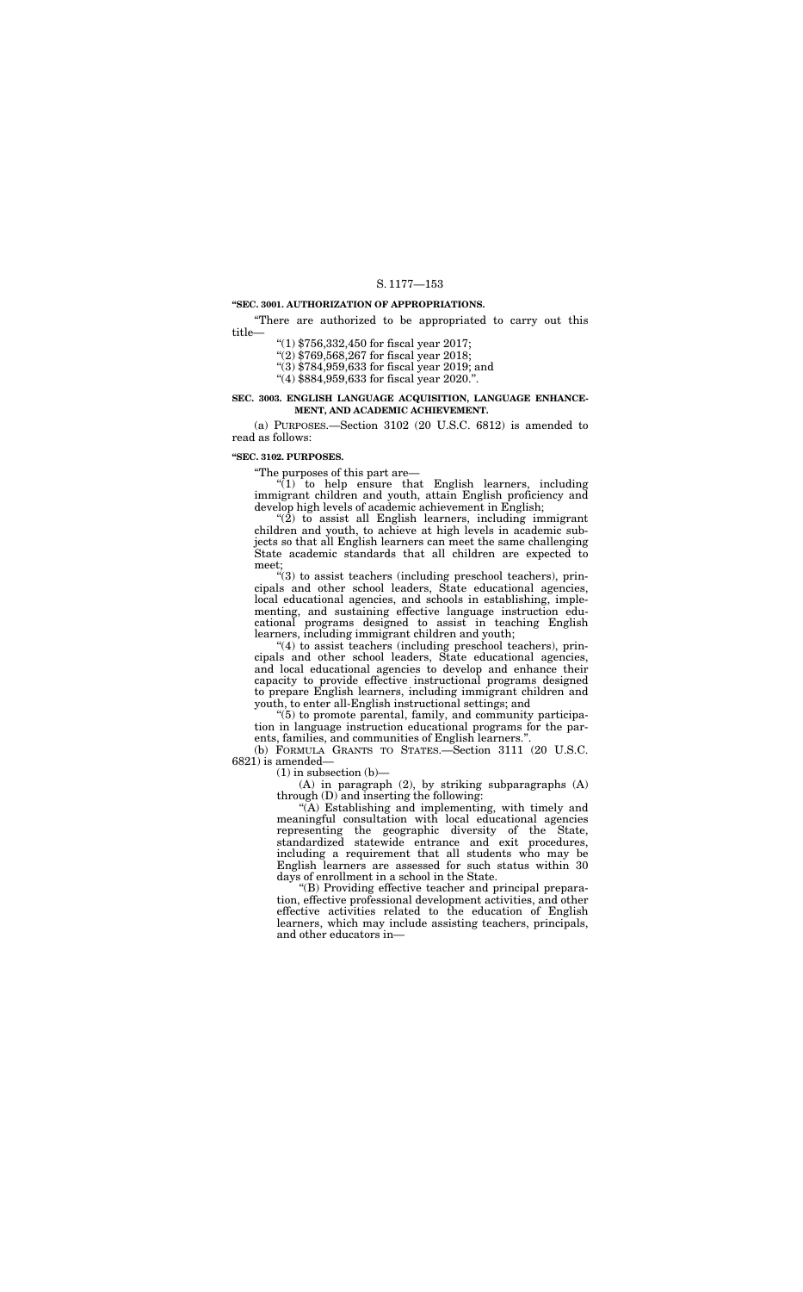#### **''SEC. 3001. AUTHORIZATION OF APPROPRIATIONS.**

''There are authorized to be appropriated to carry out this title—

''(1) \$756,332,450 for fiscal year 2017;

''(2) \$769,568,267 for fiscal year 2018;

''(3) \$784,959,633 for fiscal year 2019; and

''(4) \$884,959,633 for fiscal year 2020.''.

#### **SEC. 3003. ENGLISH LANGUAGE ACQUISITION, LANGUAGE ENHANCE-MENT, AND ACADEMIC ACHIEVEMENT.**

 $\sqrt[n]{(1)}$  to help ensure that English learners, including immigrant children and youth, attain English proficiency and develop high levels of academic achievement in English;

(a) PURPOSES.—Section 3102 (20 U.S.C. 6812) is amended to read as follows:

" $(2)$  to assist all English learners, including immigrant children and youth, to achieve at high levels in academic subjects so that all English learners can meet the same challenging State academic standards that all children are expected to meet;

#### **''SEC. 3102. PURPOSES.**

''The purposes of this part are—

 $\cdot$ (3) to assist teachers (including preschool teachers), principals and other school leaders, State educational agencies, local educational agencies, and schools in establishing, implementing, and sustaining effective language instruction educational programs designed to assist in teaching English learners, including immigrant children and youth;

 $''(4)$  to assist teachers (including preschool teachers), principals and other school leaders, State educational agencies, and local educational agencies to develop and enhance their capacity to provide effective instructional programs designed to prepare English learners, including immigrant children and youth, to enter all-English instructional settings; and

''(5) to promote parental, family, and community participation in language instruction educational programs for the parents, families, and communities of English learners.'

(b) FORMULA GRANTS TO STATES.—Section 3111 (20 U.S.C. 6821) is amended—

 $(1)$  in subsection  $(b)$ —

(A) in paragraph (2), by striking subparagraphs (A) through (D) and inserting the following:

''(A) Establishing and implementing, with timely and meaningful consultation with local educational agencies representing the geographic diversity of the State, standardized statewide entrance and exit procedures, including a requirement that all students who may be English learners are assessed for such status within 30 days of enrollment in a school in the State.

''(B) Providing effective teacher and principal preparation, effective professional development activities, and other effective activities related to the education of English learners, which may include assisting teachers, principals, and other educators in—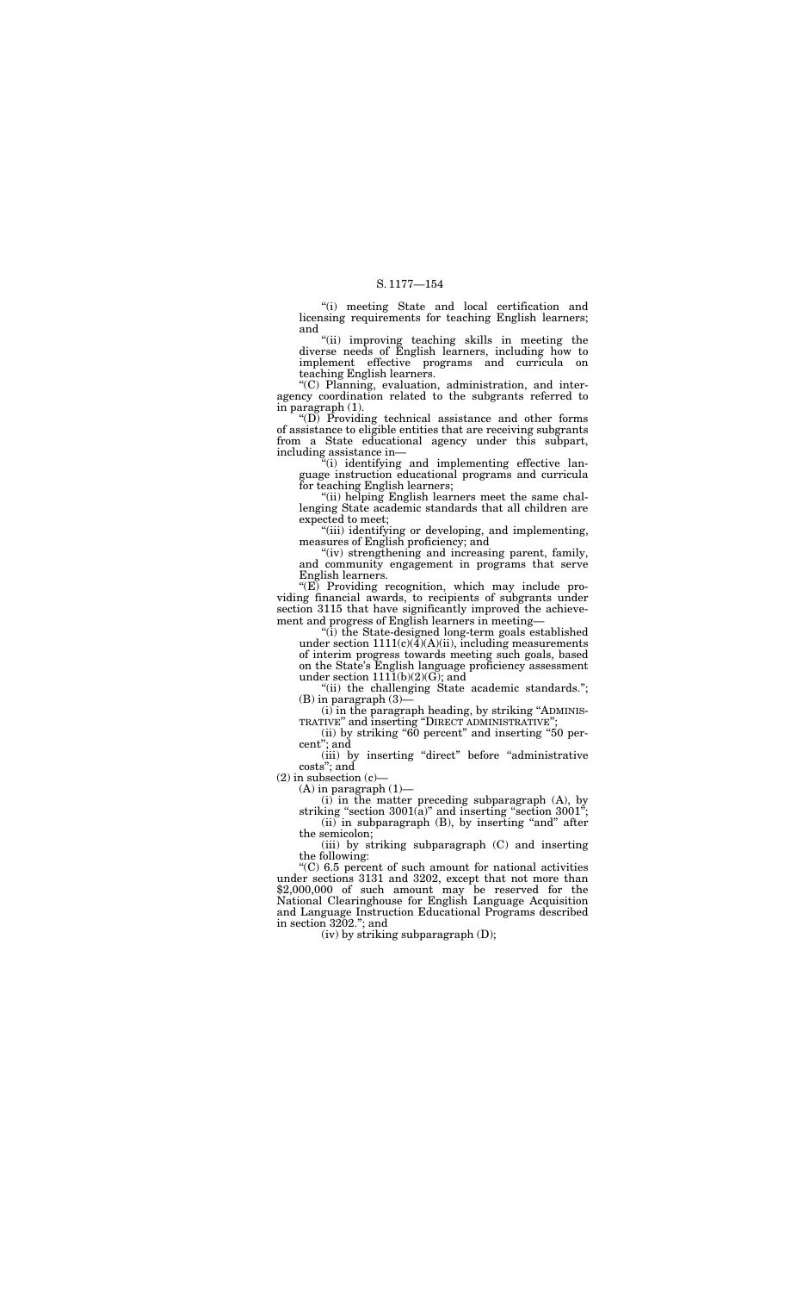''(i) meeting State and local certification and licensing requirements for teaching English learners; and

''(ii) improving teaching skills in meeting the diverse needs of English learners, including how to implement effective programs and curricula on teaching English learners.

''(C) Planning, evaluation, administration, and interagency coordination related to the subgrants referred to in paragraph (1).

''(D) Providing technical assistance and other forms of assistance to eligible entities that are receiving subgrants from a State educational agency under this subpart, including assistance in—

"(iv) strengthening and increasing parent, family, and community engagement in programs that serve English learners.

"(E) Providing recognition, which may include providing financial awards, to recipients of subgrants under section 3115 that have significantly improved the achievement and progress of English learners in meeting—

''(i) the State-designed long-term goals established under section  $1111(c)(4)(A)(ii)$ , including measurements of interim progress towards meeting such goals, based on the State's English language proficiency assessment under section  $111\tilde{1}(b)(2)(G)$ ; and

''(i) identifying and implementing effective language instruction educational programs and curricula for teaching English learners;

''(ii) helping English learners meet the same challenging State academic standards that all children are expected to meet;

(ii) by striking " $60$  percent" and inserting " $50$  percent''; and

''(iii) identifying or developing, and implementing, measures of English proficiency; and

(iii) by inserting "direct" before "administrative costs''; and

''(ii) the challenging State academic standards.'';

(B) in paragraph (3)—<br>(i) in the paragraph heading, by striking "ADMINIS-TRATIVE" and inserting "DIRECT ADMINISTRATIVE";

(2) in subsection (c)—

(A) in paragraph (1)—

(i) in the matter preceding subparagraph (A), by striking "section 3001(a)" and inserting "section 3001"; (ii) in subparagraph (B), by inserting "and" after the semicolon;

(iii) by striking subparagraph (C) and inserting the following:

''(C) 6.5 percent of such amount for national activities under sections 3131 and 3202, except that not more than \$2,000,000 of such amount may be reserved for the National Clearinghouse for English Language Acquisition and Language Instruction Educational Programs described in section 3202.''; and

(iv) by striking subparagraph (D);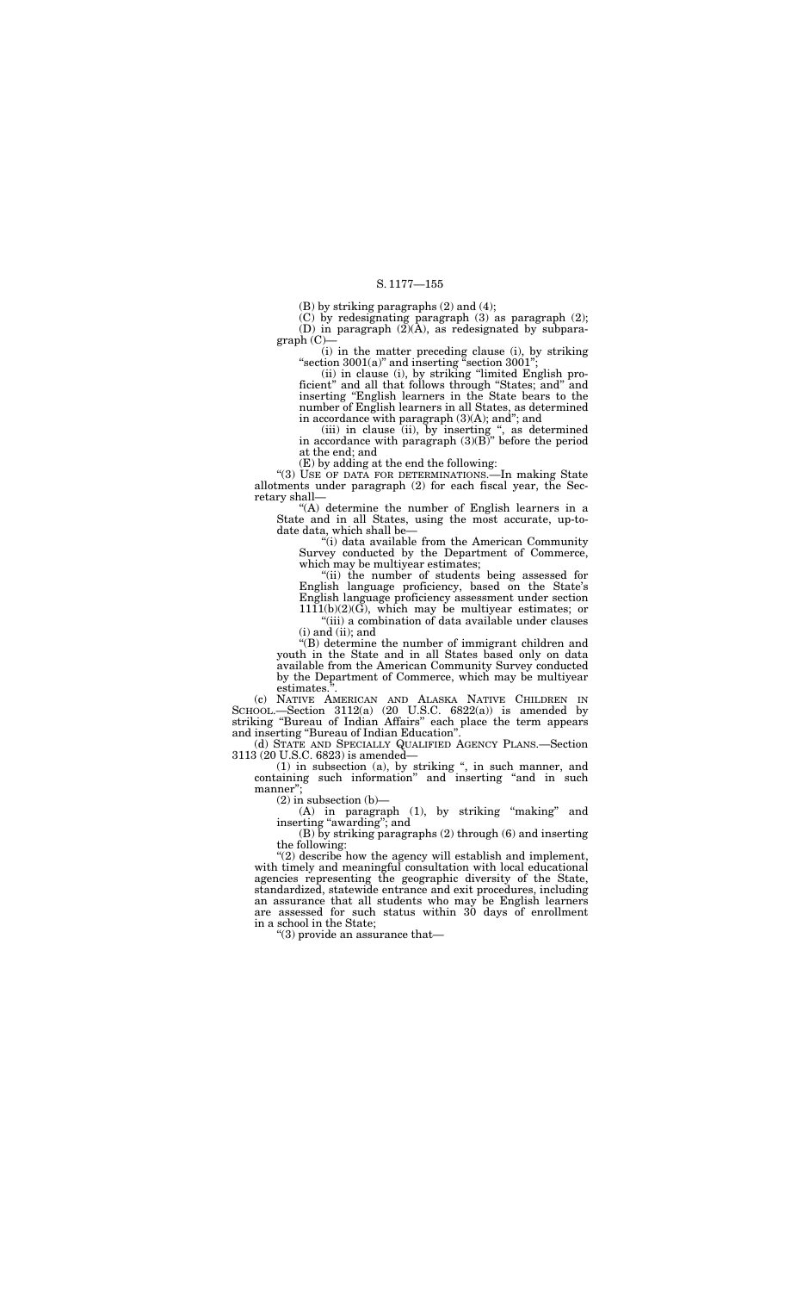(B) by striking paragraphs (2) and (4);

(i) in the matter preceding clause (i), by striking "section  $3001(a)$ " and inserting "section  $3001$ ";

(C) by redesignating paragraph (3) as paragraph (2); (D) in paragraph  $(2)(A)$ , as redesignated by subparagraph (C)—

 $(iii)$  in clause  $(ii)$ , by inserting ", as determined in accordance with paragraph (3)(B)'' before the period at the end; and

(ii) in clause (i), by striking ''limited English proficient" and all that follows through "States; and" and inserting ''English learners in the State bears to the number of English learners in all States, as determined in accordance with paragraph (3)(A); and''; and

''(A) determine the number of English learners in a State and in all States, using the most accurate, up-todate data, which shall be-

''(ii) the number of students being assessed for English language proficiency, based on the State's English language proficiency assessment under section  $1111(b)(2)(G)$ , which may be multiyear estimates; or

(E) by adding at the end the following:

''(3) USE OF DATA FOR DETERMINATIONS.—In making State allotments under paragraph (2) for each fiscal year, the Secretary shall—

> ''(i) data available from the American Community Survey conducted by the Department of Commerce, which may be multiyear estimates;

"(2) describe how the agency will establish and implement, with timely and meaningful consultation with local educational agencies representing the geographic diversity of the State, standardized, statewide entrance and exit procedures, including an assurance that all students who may be English learners are assessed for such status within 30 days of enrollment in a school in the State;

''(iii) a combination of data available under clauses (i) and (ii); and

''(B) determine the number of immigrant children and youth in the State and in all States based only on data available from the American Community Survey conducted by the Department of Commerce, which may be multiyear estimates.''.

(c) NATIVE AMERICAN AND ALASKA NATIVE CHILDREN IN SCHOOL.—Section 3112(a) (20 U.S.C. 6822(a)) is amended by striking ''Bureau of Indian Affairs'' each place the term appears and inserting ''Bureau of Indian Education''.

(d) STATE AND SPECIALLY QUALIFIED AGENCY PLANS.—Section 3113 (20 U.S.C. 6823) is amended—

(1) in subsection (a), by striking '', in such manner, and containing such information'' and inserting ''and in such manner'';

 $(2)$  in subsection  $(b)$ –

 $(A)$  in paragraph  $(1)$ , by striking "making" and inserting "awarding"; and

(B) by striking paragraphs (2) through (6) and inserting the following:

''(3) provide an assurance that—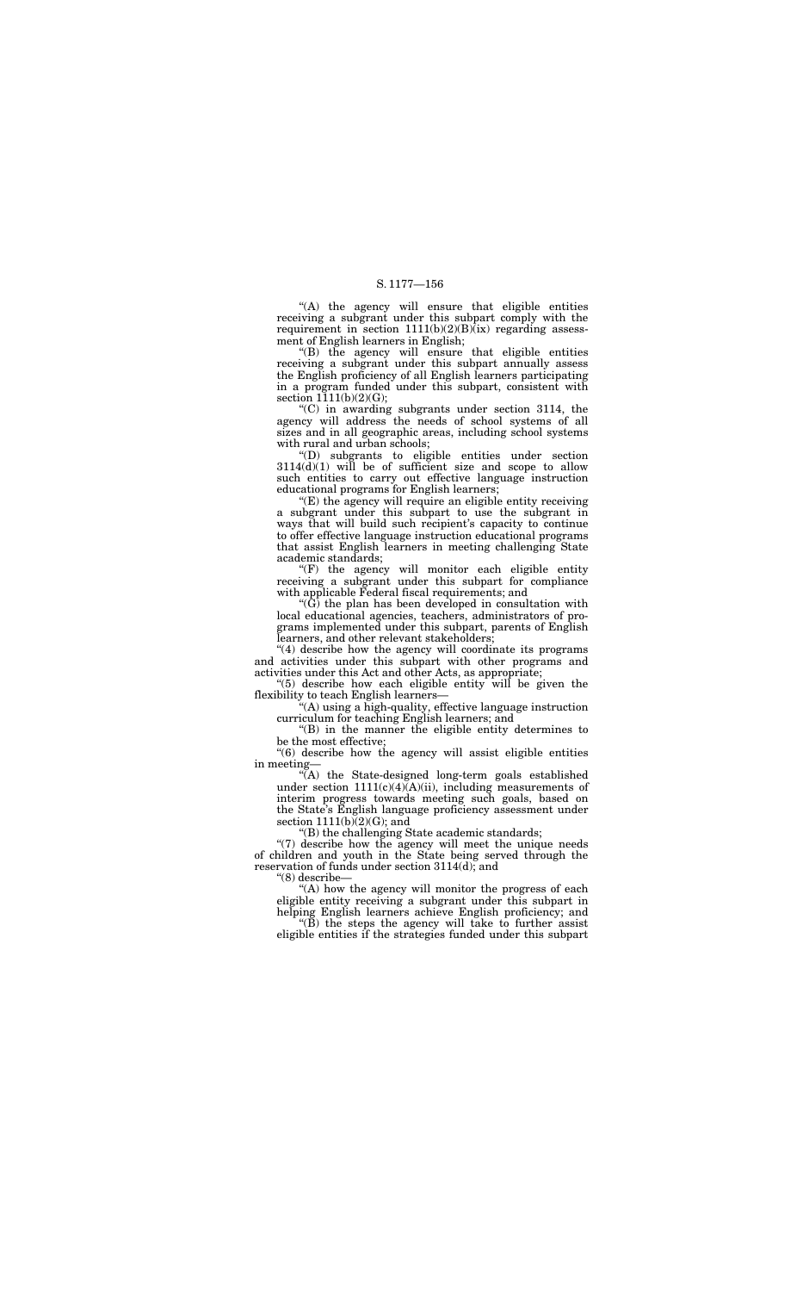"(A) the agency will ensure that eligible entities receiving a subgrant under this subpart comply with the requirement in section  $1111(b)(2)(B)(ix)$  regarding assessment of English learners in English;

''(B) the agency will ensure that eligible entities receiving a subgrant under this subpart annually assess the English proficiency of all English learners participating in a program funded under this subpart, consistent with section 1111(b)(2)(G);

''(C) in awarding subgrants under section 3114, the agency will address the needs of school systems of all sizes and in all geographic areas, including school systems with rural and urban schools;

 $E$ ) the agency will require an eligible entity receiving a subgrant under this subpart to use the subgrant in ways that will build such recipient's capacity to continue to offer effective language instruction educational programs that assist English learners in meeting challenging State academic standards;

"(F) the agency will monitor each eligible entity receiving a subgrant under this subpart for compliance with applicable Federal fiscal requirements; and

''(D) subgrants to eligible entities under section  $3114(d)(1)$  will be of sufficient size and scope to allow such entities to carry out effective language instruction educational programs for English learners;

"(4) describe how the agency will coordinate its programs and activities under this subpart with other programs and activities under this Act and other Acts, as appropriate;

" $(5)$  describe how each eligible entity will be given the flexibility to teach English learners—

''(A) the State-designed long-term goals established under section  $1111(c)(4)(\overline{A})(ii)$ , including measurements of interim progress towards meeting such goals, based on the State's English language proficiency assessment under section  $1111(b)(2)(G)$ ; and

" $(7)$  describe how the agency will meet the unique needs of children and youth in the State being served through the reservation of funds under section 3114(d); and

 $\mathcal{L}(\mathbf{B})$  the steps the agency will take to further assist eligible entities if the strategies funded under this subpart

''(G) the plan has been developed in consultation with local educational agencies, teachers, administrators of programs implemented under this subpart, parents of English learners, and other relevant stakeholders;

''(A) using a high-quality, effective language instruction curriculum for teaching English learners; and

''(B) in the manner the eligible entity determines to be the most effective;

''(6) describe how the agency will assist eligible entities in meeting—

''(B) the challenging State academic standards;

''(8) describe—

"(A) how the agency will monitor the progress of each eligible entity receiving a subgrant under this subpart in helping English learners achieve English proficiency; and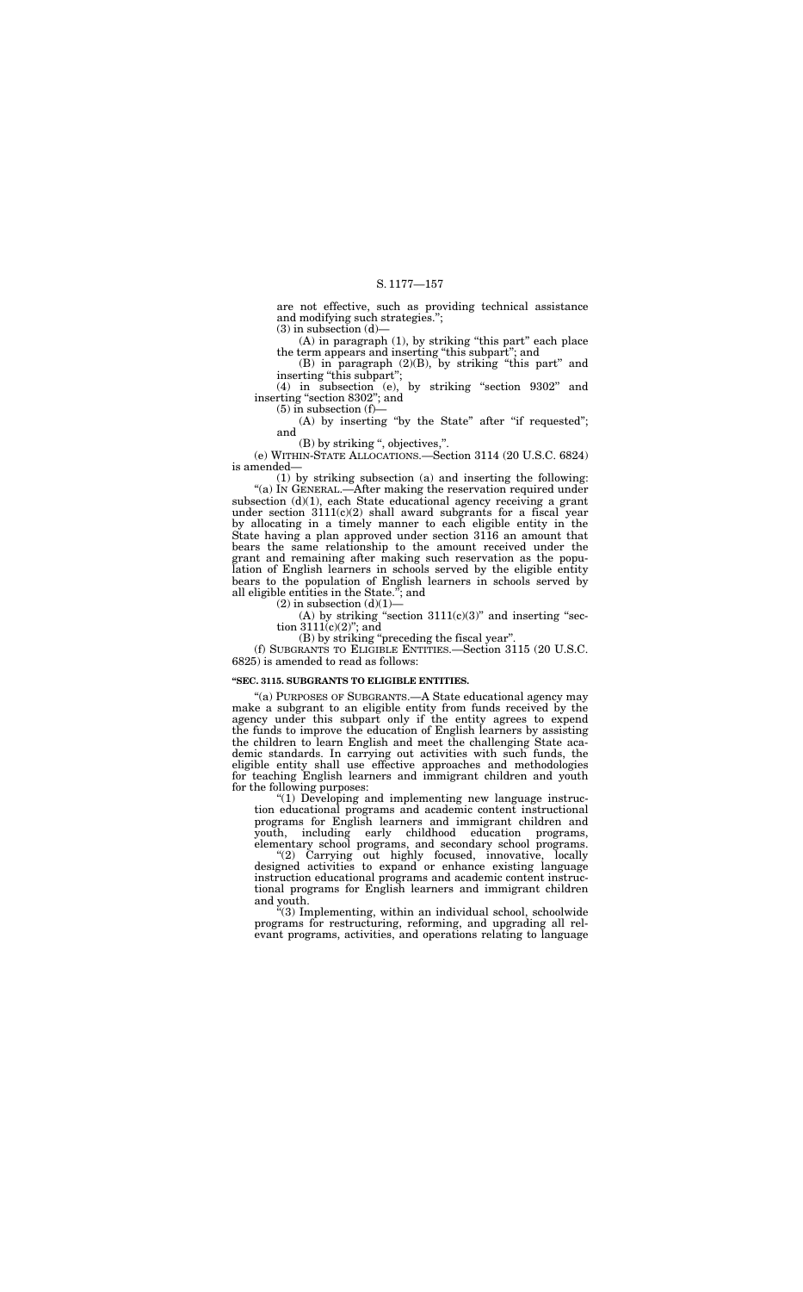are not effective, such as providing technical assistance and modifying such strategies.'';

 $(3)$  in subsection  $(d)$ –

(A) in paragraph (1), by striking "this part" each place the term appears and inserting ''this subpart''; and

(B) in paragraph (2)(B), by striking ''this part'' and inserting "this subpart";

(4) in subsection (e), by striking ''section 9302'' and inserting "section 8302"; and

 $(5)$  in subsection  $(f)$ -

(A) by inserting "by the State" after "if requested"; and

(B) by striking '', objectives,''.

(e) WITHIN-STATE ALLOCATIONS.—Section 3114 (20 U.S.C. 6824) is amended—

(1) by striking subsection (a) and inserting the following: "(a) IN GENERAL.—After making the reservation required under subsection (d)(1), each State educational agency receiving a grant under section  $3111(c)(2)$  shall award subgrants for a fiscal year by allocating in a timely manner to each eligible entity in the State having a plan approved under section 3116 an amount that bears the same relationship to the amount received under the grant and remaining after making such reservation as the population of English learners in schools served by the eligible entity bears to the population of English learners in schools served by all eligible entities in the State.''; and

 $(2)$  in subsection  $(d)(1)$ –

(A) by striking "section  $3111(c)(3)$ " and inserting "section  $3111(c)(2)$ "; and

 $(1)$  Developing and implementing new language instruction educational programs and academic content instructional programs for English learners and immigrant children and youth, including early childhood education programs, elementary school programs, and secondary school programs.

"(2) Carrying out highly focused, innovative, locally designed activities to expand or enhance existing language instruction educational programs and academic content instructional programs for English learners and immigrant children and youth.

(B) by striking ''preceding the fiscal year''.

(f) SUBGRANTS TO ELIGIBLE ENTITIES.—Section 3115 (20 U.S.C. 6825) is amended to read as follows:

#### **''SEC. 3115. SUBGRANTS TO ELIGIBLE ENTITIES.**

''(a) PURPOSES OF SUBGRANTS.—A State educational agency may make a subgrant to an eligible entity from funds received by the agency under this subpart only if the entity agrees to expend the funds to improve the education of English learners by assisting the children to learn English and meet the challenging State academic standards. In carrying out activities with such funds, the eligible entity shall use effective approaches and methodologies for teaching English learners and immigrant children and youth for the following purposes:

''(3) Implementing, within an individual school, schoolwide programs for restructuring, reforming, and upgrading all relevant programs, activities, and operations relating to language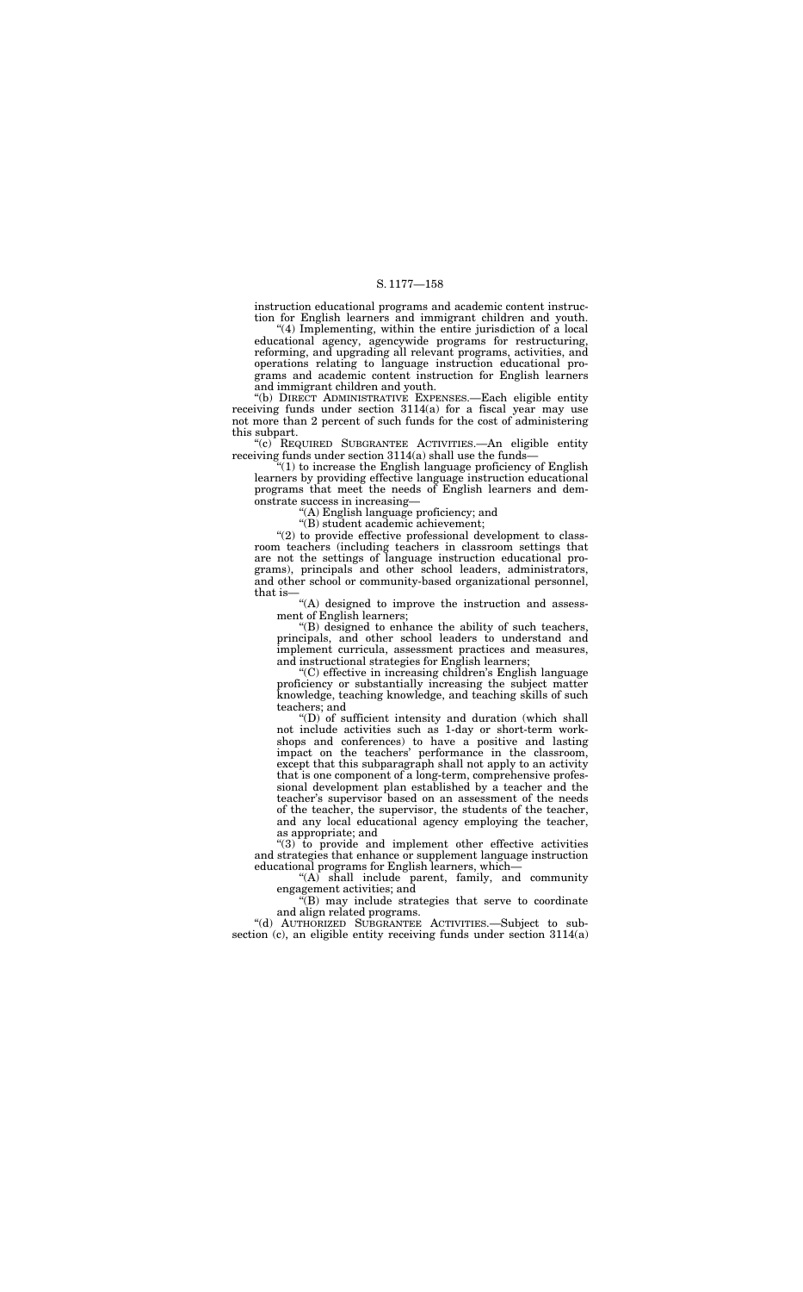instruction educational programs and academic content instruction for English learners and immigrant children and youth.

''(4) Implementing, within the entire jurisdiction of a local educational agency, agencywide programs for restructuring, reforming, and upgrading all relevant programs, activities, and operations relating to language instruction educational programs and academic content instruction for English learners and immigrant children and youth.

"(c) REQUIRED SUBGRANTEE ACTIVITIES.—An eligible entity receiving funds under section 3114(a) shall use the funds—

"(1) to increase the English language proficiency of English learners by providing effective language instruction educational programs that meet the needs of English learners and demonstrate success in increasing—

''(b) DIRECT ADMINISTRATIVE EXPENSES.—Each eligible entity receiving funds under section 3114(a) for a fiscal year may use not more than 2 percent of such funds for the cost of administering this subpart.

> "(A) designed to improve the instruction and assessment of English learners;

''(A) English language proficiency; and

''(B) student academic achievement;

"(2) to provide effective professional development to classroom teachers (including teachers in classroom settings that are not the settings of language instruction educational programs), principals and other school leaders, administrators, and other school or community-based organizational personnel, that is-

" $(3)$  to provide and implement other effective activities and strategies that enhance or supplement language instruction educational programs for English learners, which—

 $(A)$  shall include parent, family, and community engagement activities; and

''(d) AUTHORIZED SUBGRANTEE ACTIVITIES.—Subject to subsection (c), an eligible entity receiving funds under section 3114(a)

''(B) designed to enhance the ability of such teachers, principals, and other school leaders to understand and implement curricula, assessment practices and measures, and instructional strategies for English learners;

''(C) effective in increasing children's English language proficiency or substantially increasing the subject matter knowledge, teaching knowledge, and teaching skills of such teachers; and

''(D) of sufficient intensity and duration (which shall not include activities such as 1-day or short-term workshops and conferences) to have a positive and lasting impact on the teachers' performance in the classroom, except that this subparagraph shall not apply to an activity that is one component of a long-term, comprehensive professional development plan established by a teacher and the teacher's supervisor based on an assessment of the needs of the teacher, the supervisor, the students of the teacher, and any local educational agency employing the teacher, as appropriate; and

''(B) may include strategies that serve to coordinate and align related programs.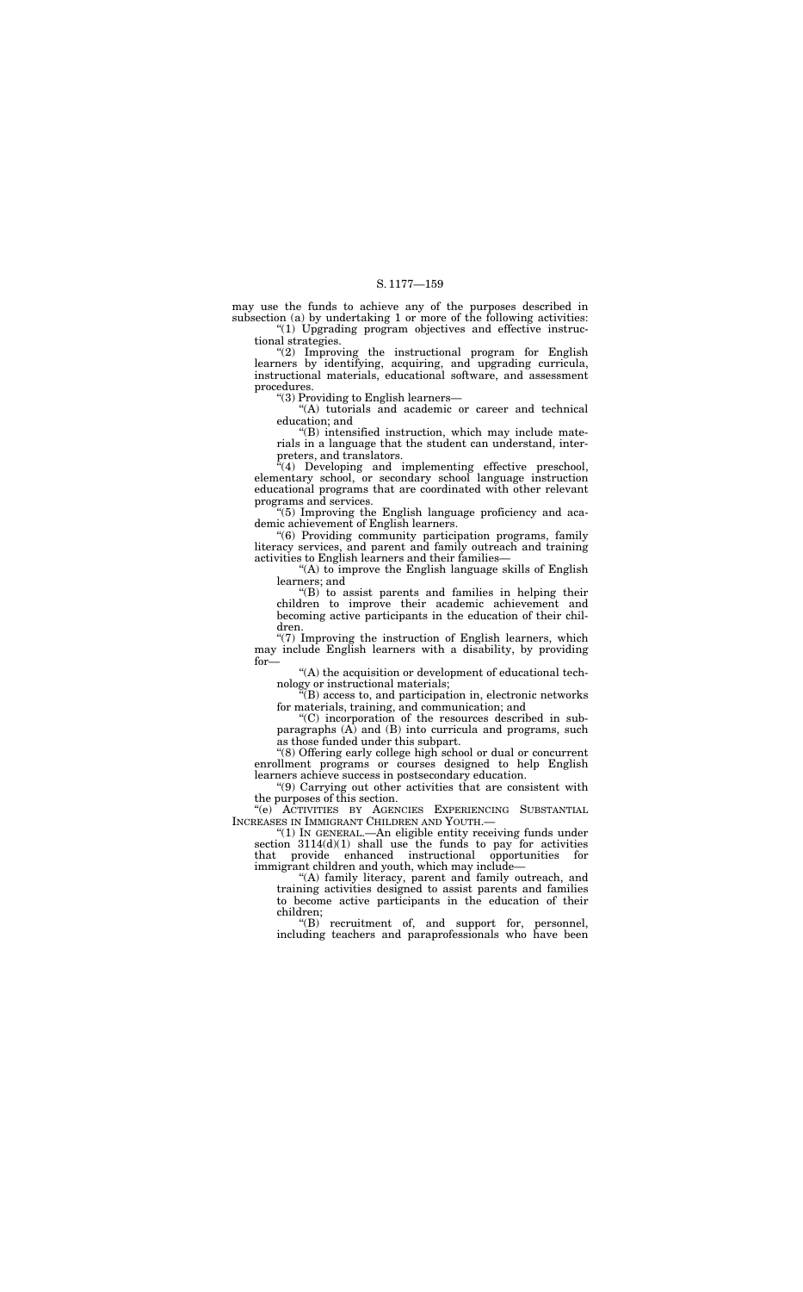may use the funds to achieve any of the purposes described in subsection (a) by undertaking 1 or more of the following activities:

''(1) Upgrading program objectives and effective instructional strategies.

"(2) Improving the instructional program for English learners by identifying, acquiring, and upgrading curricula, instructional materials, educational software, and assessment procedures.

"(A) tutorials and academic or career and technical education; and

"(4) Developing and implementing effective preschool, elementary school, or secondary school language instruction educational programs that are coordinated with other relevant programs and services.

''(3) Providing to English learners—

"(6) Providing community participation programs, family literacy services, and parent and family outreach and training activities to English learners and their families—

''(B) intensified instruction, which may include materials in a language that the student can understand, interpreters, and translators.

"(A) to improve the English language skills of English learners; and

"(7) Improving the instruction of English learners, which may include English learners with a disability, by providing for—

''(5) Improving the English language proficiency and academic achievement of English learners.

''(B) to assist parents and families in helping their children to improve their academic achievement and becoming active participants in the education of their children.

''(A) the acquisition or development of educational technology or instructional materials;

''(B) access to, and participation in, electronic networks for materials, training, and communication; and

''(C) incorporation of the resources described in subparagraphs  $(A)$  and  $(B)$  into curricula and programs, such as those funded under this subpart.

''(8) Offering early college high school or dual or concurrent enrollment programs or courses designed to help English learners achieve success in postsecondary education.

''(9) Carrying out other activities that are consistent with the purposes of this section.

''(e) ACTIVITIES BY AGENCIES EXPERIENCING SUBSTANTIAL INCREASES IN IMMIGRANT CHILDREN AND YOUTH.—

''(1) IN GENERAL.—An eligible entity receiving funds under section 3114(d)(1) shall use the funds to pay for activities that provide enhanced instructional opportunities for immigrant children and youth, which may include—

''(A) family literacy, parent and family outreach, and training activities designed to assist parents and families to become active participants in the education of their children;

''(B) recruitment of, and support for, personnel, including teachers and paraprofessionals who have been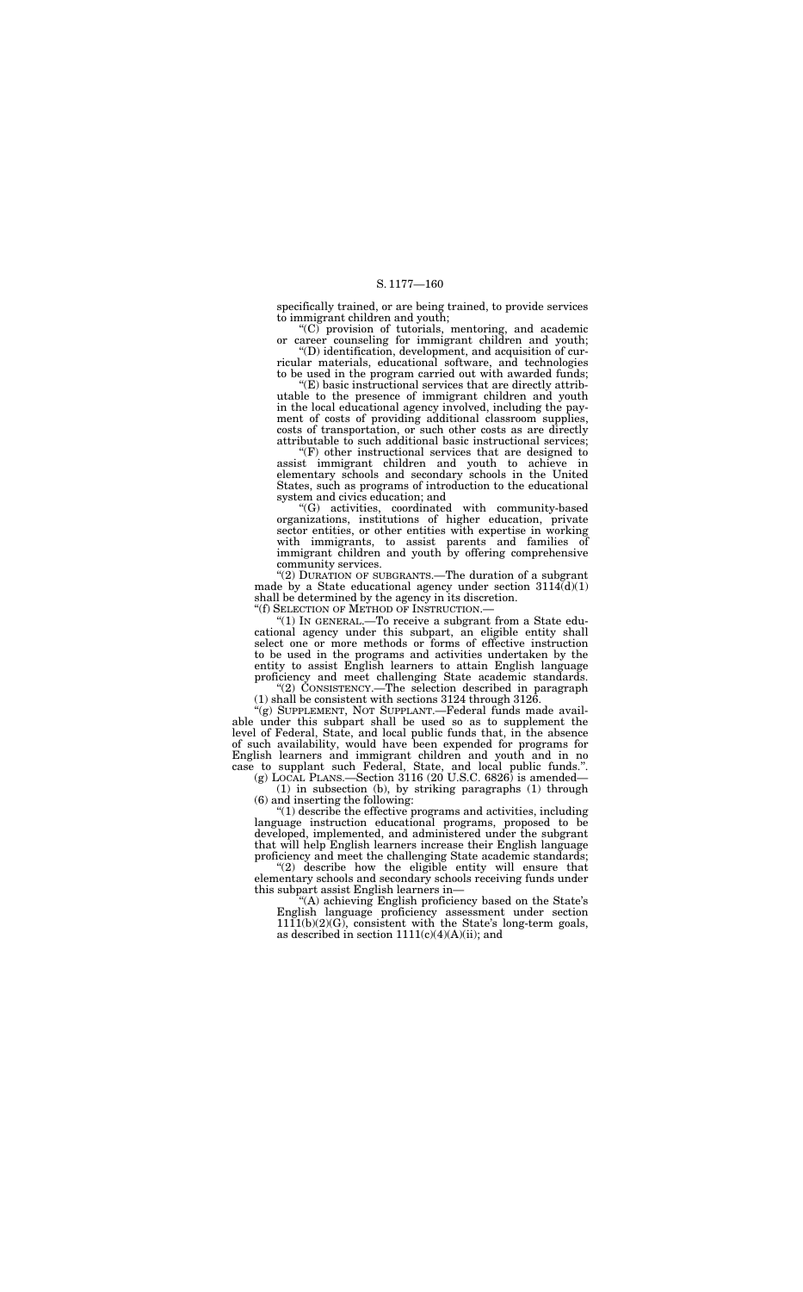specifically trained, or are being trained, to provide services to immigrant children and youth;

''(C) provision of tutorials, mentoring, and academic or career counseling for immigrant children and youth;

''(D) identification, development, and acquisition of curricular materials, educational software, and technologies to be used in the program carried out with awarded funds;

 $(F)$  other instructional services that are designed to assist immigrant children and youth to achieve in elementary schools and secondary schools in the United States, such as programs of introduction to the educational system and civics education; and

''(E) basic instructional services that are directly attributable to the presence of immigrant children and youth in the local educational agency involved, including the payment of costs of providing additional classroom supplies, costs of transportation, or such other costs as are directly attributable to such additional basic instructional services;

"(1) IN GENERAL.—To receive a subgrant from a State educational agency under this subpart, an eligible entity shall select one or more methods or forms of effective instruction to be used in the programs and activities undertaken by the entity to assist English learners to attain English language proficiency and meet challenging State academic standards.

"(2) CONSISTENCY.—The selection described in paragraph (1) shall be consistent with sections 3124 through 3126.

''(G) activities, coordinated with community-based organizations, institutions of higher education, private sector entities, or other entities with expertise in working with immigrants, to assist parents and families of immigrant children and youth by offering comprehensive community services.

"(2) DURATION OF SUBGRANTS.—The duration of a subgrant made by a State educational agency under section  $3114\frac{d}{d}$ shall be determined by the agency in its discretion.<br>"(f) SELECTION OF METHOD OF INSTRUCTION.—

"(g) SUPPLEMENT, NOT SUPPLANT.—Federal funds made available under this subpart shall be used so as to supplement the level of Federal, State, and local public funds that, in the absence of such availability, would have been expended for programs for English learners and immigrant children and youth and in no case to supplant such Federal, State, and local public funds.''.

"(2) describe how the eligible entity will ensure that elementary schools and secondary schools receiving funds under this subpart assist English learners in—

''(A) achieving English proficiency based on the State's English language proficiency assessment under section  $1111(b)(2)(G)$ , consistent with the State's long-term goals, as described in section  $1111(c)(4)(A)(ii)$ ; and

(g) LOCAL PLANS.—Section 3116 (20 U.S.C. 6826) is amended— (1) in subsection (b), by striking paragraphs (1) through (6) and inserting the following:

''(1) describe the effective programs and activities, including language instruction educational programs, proposed to be developed, implemented, and administered under the subgrant that will help English learners increase their English language proficiency and meet the challenging State academic standards;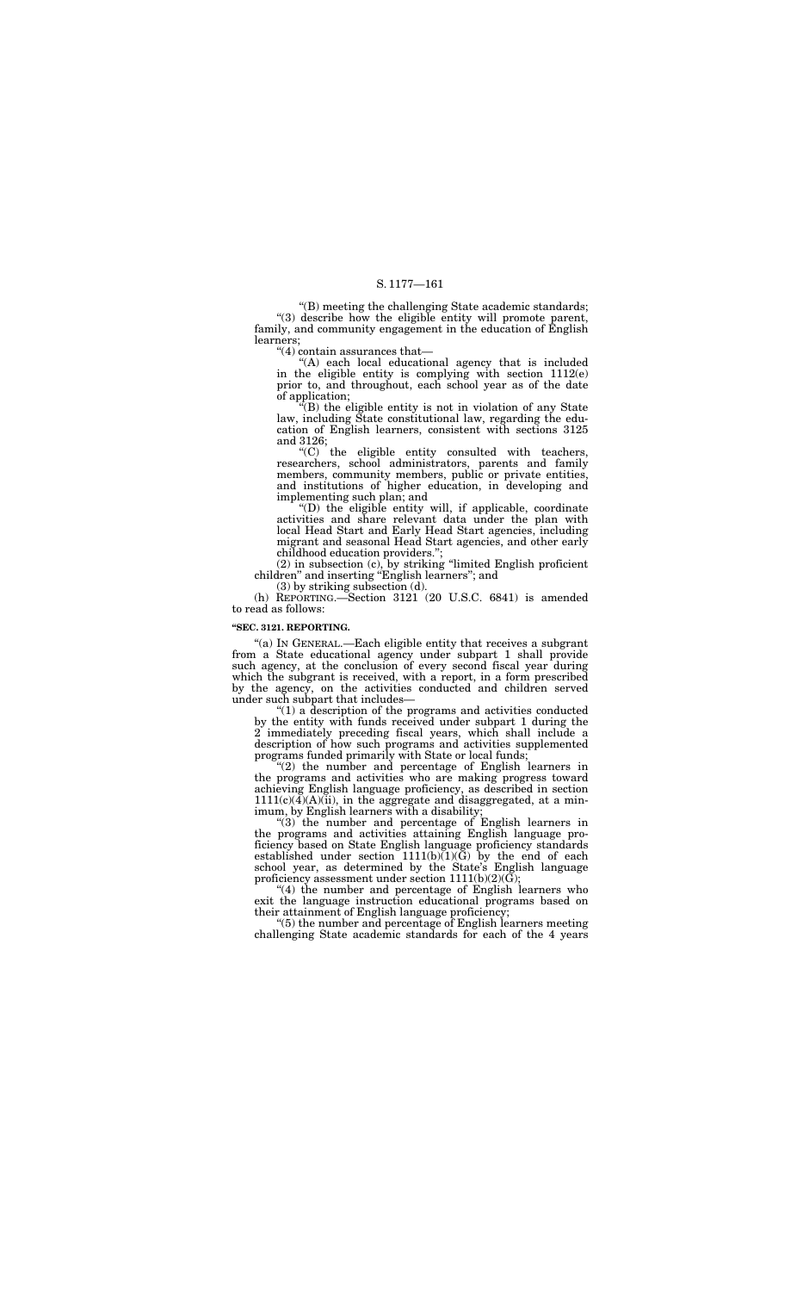''(B) meeting the challenging State academic standards; ''(3) describe how the eligible entity will promote parent, family, and community engagement in the education of English learners;

''(4) contain assurances that—

 $\hat{H}(B)$  the eligible entity is not in violation of any State law, including State constitutional law, regarding the education of English learners, consistent with sections 3125 and 3126;

''(A) each local educational agency that is included in the eligible entity is complying with section  $1112(e)$ prior to, and throughout, each school year as of the date of application;

"(C) the eligible entity consulted with teachers, researchers, school administrators, parents and family members, community members, public or private entities, and institutions of higher education, in developing and implementing such plan; and

"(a) IN GENERAL.—Each eligible entity that receives a subgrant from a State educational agency under subpart 1 shall provide such agency, at the conclusion of every second fiscal year during which the subgrant is received, with a report, in a form prescribed by the agency, on the activities conducted and children served under such subpart that includes—

''(D) the eligible entity will, if applicable, coordinate activities and share relevant data under the plan with local Head Start and Early Head Start agencies, including migrant and seasonal Head Start agencies, and other early childhood education providers.'';

"(2) the number and percentage of English learners in the programs and activities who are making progress toward achieving English language proficiency, as described in section  $1111(c)(4)(A)(ii)$ , in the aggregate and disaggregated, at a minimum, by English learners with a disability;

''(3) the number and percentage of English learners in the programs and activities attaining English language proficiency based on State English language proficiency standards established under section  $1111(b)(1)(G)$  by the end of each school year, as determined by the State's English language proficiency assessment under section  $1111(b)(2)(G);$ 

(2) in subsection (c), by striking ''limited English proficient children'' and inserting ''English learners''; and

(3) by striking subsection (d).

(h) REPORTING.—Section 3121 (20 U.S.C. 6841) is amended to read as follows:

#### **''SEC. 3121. REPORTING.**

"(4) the number and percentage of English learners who exit the language instruction educational programs based on their attainment of English language proficiency;

''(1) a description of the programs and activities conducted by the entity with funds received under subpart 1 during the 2 immediately preceding fiscal years, which shall include a description of how such programs and activities supplemented programs funded primarily with State or local funds;

''(5) the number and percentage of English learners meeting challenging State academic standards for each of the 4 years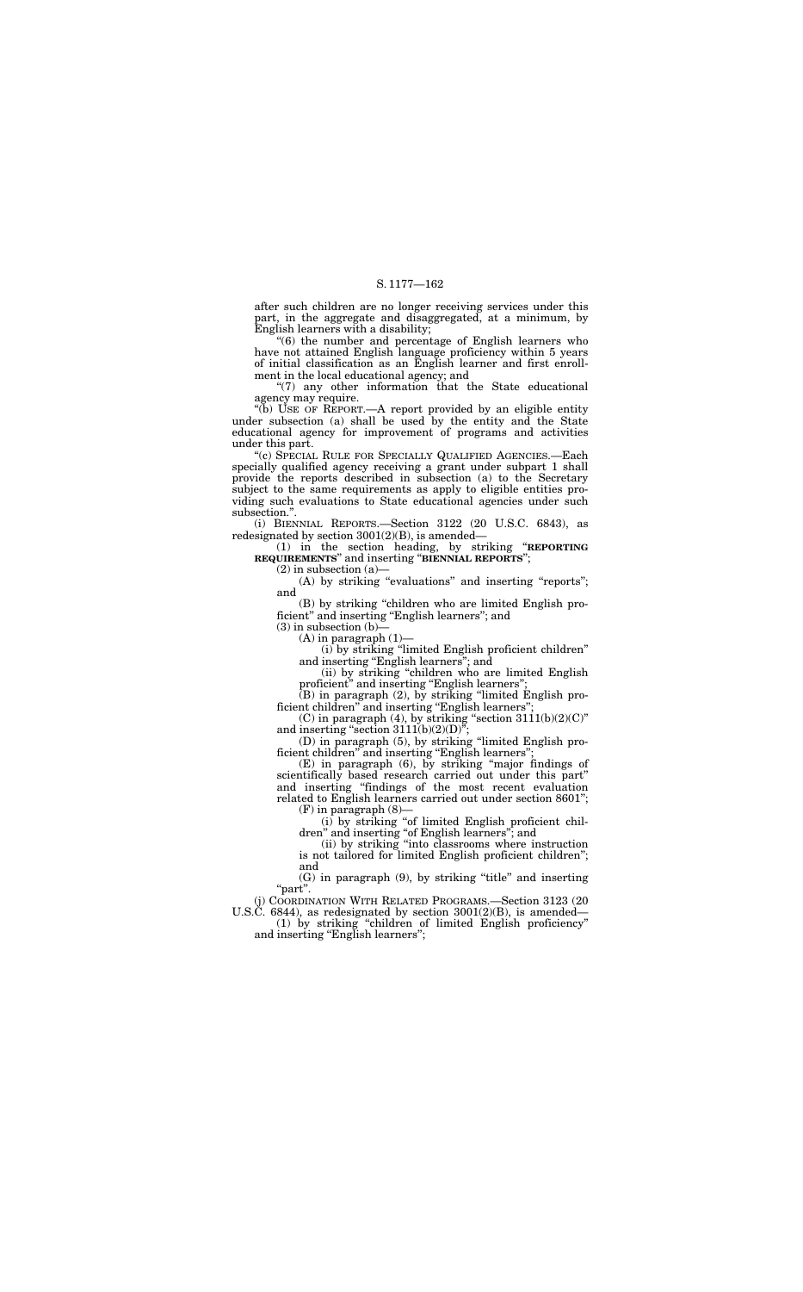after such children are no longer receiving services under this part, in the aggregate and disaggregated, at a minimum, by English learners with a disability;

"(6) the number and percentage of English learners who have not attained English language proficiency within 5 years of initial classification as an English learner and first enrollment in the local educational agency; and

''(7) any other information that the State educational agency may require.

''(b) USE OF REPORT.—A report provided by an eligible entity under subsection (a) shall be used by the entity and the State educational agency for improvement of programs and activities under this part.

> $(A)$  by striking "evaluations" and inserting "reports"; and

> (B) by striking ''children who are limited English proficient" and inserting "English learners"; and

 $(3)$  in subsection  $(b)$ –

 $(A)$  in paragraph  $(1)$ —

(ii) by striking ''children who are limited English proficient" and inserting "English learners";

 $(B)$  in paragraph  $(2)$ , by striking "limited English proficient children" and inserting "English learners"

(C) in paragraph  $(4)$ , by striking "section  $3111(b)(2)(C)$ " and inserting "section  $3111(b)(2)(D)$ "

''(c) SPECIAL RULE FOR SPECIALLY QUALIFIED AGENCIES.—Each specially qualified agency receiving a grant under subpart 1 shall provide the reports described in subsection (a) to the Secretary subject to the same requirements as apply to eligible entities providing such evaluations to State educational agencies under such subsection.''.

(i) BIENNIAL REPORTS.—Section 3122 (20 U.S.C. 6843), as redesignated by section 3001(2)(B), is amended—

(1) in the section heading, by striking ''**REPORTING REQUIREMENTS**'' and inserting ''**BIENNIAL REPORTS**'';

 $(2)$  in subsection  $(a)$ —

(j) COORDINATION WITH RELATED PROGRAMS.—Section 3123 (20 U.S.C. 6844), as redesignated by section  $3001(2)(B)$ , is amended—

(1) by striking ''children of limited English proficiency'' and inserting "English learners";

(i) by striking ''limited English proficient children'' and inserting ''English learners''; and

(D) in paragraph (5), by striking ''limited English proficient children'' and inserting ''English learners'';

(E) in paragraph (6), by striking ''major findings of scientifically based research carried out under this part'' and inserting ''findings of the most recent evaluation related to English learners carried out under section 8601''; (F) in paragraph (8)—

(i) by striking ''of limited English proficient chil-

dren'' and inserting ''of English learners''; and (ii) by striking ''into classrooms where instruction is not tailored for limited English proficient children''; and

(G) in paragraph (9), by striking ''title'' and inserting ''part''.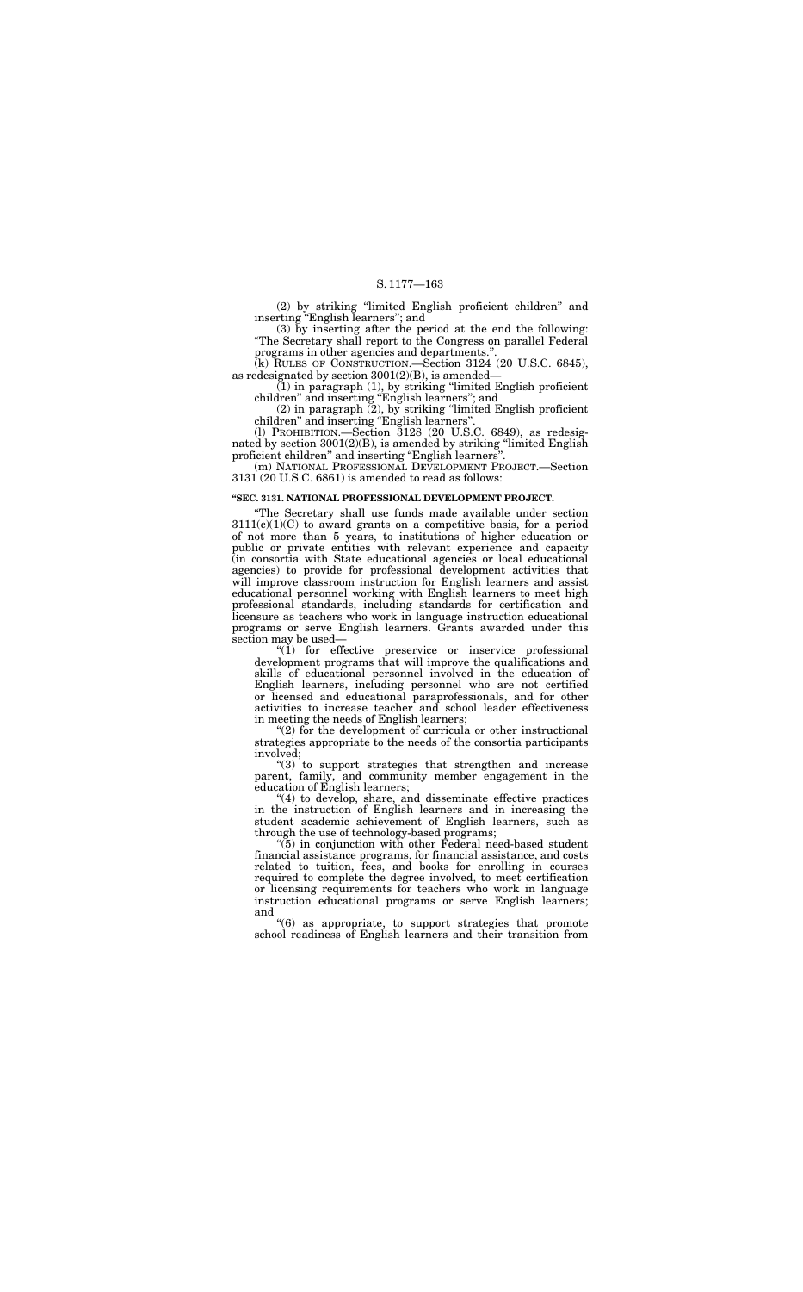(2) by striking ''limited English proficient children'' and inserting "English learners"; and

(3) by inserting after the period at the end the following: ''The Secretary shall report to the Congress on parallel Federal programs in other agencies and departments."

(k) RULES OF CONSTRUCTION.—Section 3124 (20 U.S.C. 6845), as redesignated by section  $3001(2)(B)$ , is amended-

 $(1)$  in paragraph  $(1)$ , by striking "limited English proficient children'' and inserting ''English learners''; and

(l) PROHIBITION.—Section 3128 (20 U.S.C. 6849), as redesignated by section  $3001(2)(B)$ , is amended by striking "limited English" proficient children" and inserting "English learners"

(2) in paragraph (2), by striking ''limited English proficient children'' and inserting ''English learners''.

(m) NATIONAL PROFESSIONAL DEVELOPMENT PROJECT.—Section 3131 (20 U.S.C. 6861) is amended to read as follows:

#### **''SEC. 3131. NATIONAL PROFESSIONAL DEVELOPMENT PROJECT.**

" $(i)$  for effective preservice or inservice professional development programs that will improve the qualifications and skills of educational personnel involved in the education of English learners, including personnel who are not certified or licensed and educational paraprofessionals, and for other activities to increase teacher and school leader effectiveness in meeting the needs of English learners;

 $"(2)$  for the development of curricula or other instructional strategies appropriate to the needs of the consortia participants involved;

"(3) to support strategies that strengthen and increase parent, family, and community member engagement in the education of English learners;

''The Secretary shall use funds made available under section  $3111(c)(1)(C)$  to award grants on a competitive basis, for a period of not more than 5 years, to institutions of higher education or public or private entities with relevant experience and capacity (in consortia with State educational agencies or local educational agencies) to provide for professional development activities that will improve classroom instruction for English learners and assist educational personnel working with English learners to meet high professional standards, including standards for certification and licensure as teachers who work in language instruction educational programs or serve English learners. Grants awarded under this section may be used—

 $\degree$ (5) in conjunction with other Federal need-based student financial assistance programs, for financial assistance, and costs related to tuition, fees, and books for enrolling in courses required to complete the degree involved, to meet certification or licensing requirements for teachers who work in language instruction educational programs or serve English learners; and

''(4) to develop, share, and disseminate effective practices in the instruction of English learners and in increasing the student academic achievement of English learners, such as through the use of technology-based programs;

''(6) as appropriate, to support strategies that promote school readiness of English learners and their transition from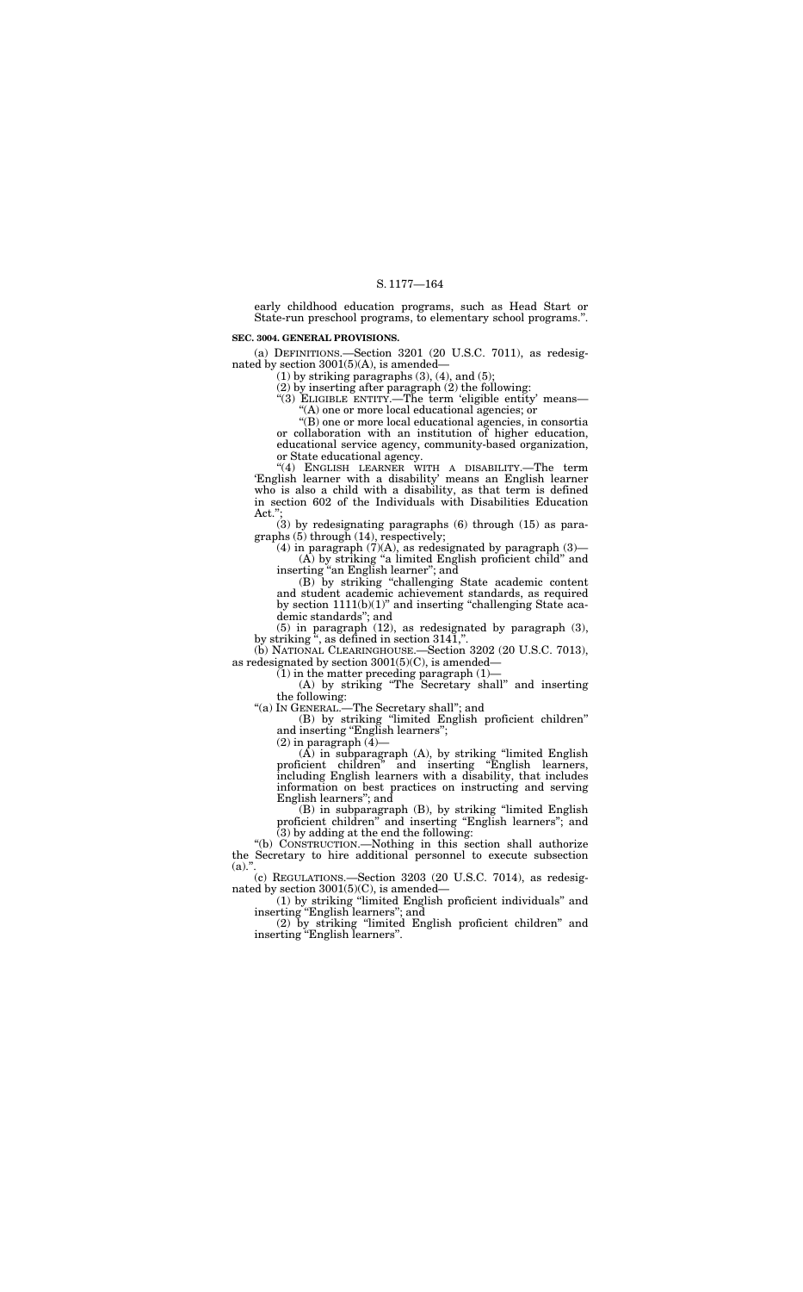early childhood education programs, such as Head Start or State-run preschool programs, to elementary school programs.''.

#### **SEC. 3004. GENERAL PROVISIONS.**

(a) DEFINITIONS.—Section 3201 (20 U.S.C. 7011), as redesignated by section 3001(5)(A), is amended—

 $(1)$  by striking paragraphs  $(3)$ ,  $(4)$ , and  $(5)$ ;

"(3) ELIGIBLE ENTITY.—The term 'eligible entity' means— ''(A) one or more local educational agencies; or

(2) by inserting after paragraph (2) the following:

"(4) ENGLISH LEARNER WITH A DISABILITY.—The term 'English learner with a disability' means an English learner who is also a child with a disability, as that term is defined in section 602 of the Individuals with Disabilities Education Act.'';

''(B) one or more local educational agencies, in consortia or collaboration with an institution of higher education, educational service agency, community-based organization, or State educational agency.

(4) in paragraph  $(7)(A)$ , as redesignated by paragraph  $(3)$ -(A) by striking ''a limited English proficient child'' and inserting ''an English learner''; and

(5) in paragraph (12), as redesignated by paragraph (3), by striking ", as defined in section 3141,".

(B) by striking ''limited English proficient children'' and inserting "English learners";

(2) in paragraph  $(4)$ —

(3) by redesignating paragraphs (6) through (15) as paragraphs (5) through (14), respectively;

 $(A)$  in subparagraph  $(A)$ , by striking "limited English" proficient children'' and inserting ''English learners, including English learners with a disability, that includes information on best practices on instructing and serving English learners''; and

''(b) CONSTRUCTION.—Nothing in this section shall authorize the Secretary to hire additional personnel to execute subsection  $(a)$ .".

(B) by striking ''challenging State academic content and student academic achievement standards, as required by section  $1111(b)(1)$ " and inserting "challenging State academic standards''; and

(b) NATIONAL CLEARINGHOUSE.—Section 3202 (20 U.S.C. 7013), as redesignated by section 3001(5)(C), is amended—

 $(1)$  in the matter preceding paragraph  $(1)$ —

(A) by striking ''The Secretary shall'' and inserting the following:

''(a) IN GENERAL.—The Secretary shall''; and

(B) in subparagraph (B), by striking ''limited English proficient children'' and inserting ''English learners''; and (3) by adding at the end the following:

(c) REGULATIONS.—Section 3203 (20 U.S.C. 7014), as redesignated by section 3001(5)(C), is amended—

(1) by striking ''limited English proficient individuals'' and inserting ''English learners''; and

(2) by striking ''limited English proficient children'' and inserting ''English learners''.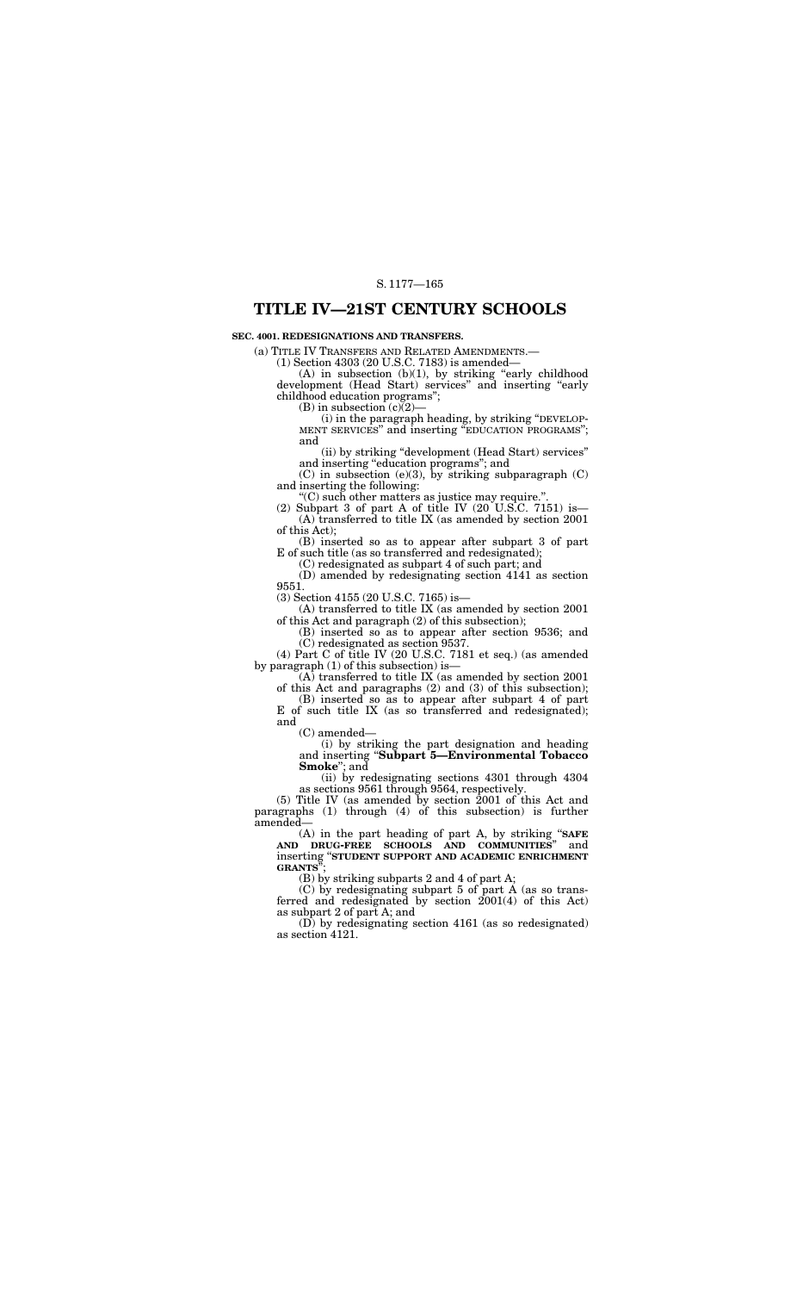## **TITLE IV—21ST CENTURY SCHOOLS**

#### **SEC. 4001. REDESIGNATIONS AND TRANSFERS.**

(a) TITLE IV TRANSFERS AND RELATED AMENDMENTS.— (1) Section 4303 (20 U.S.C. 7183) is amended—

 $(A)$  in subsection  $(b)(1)$ , by striking "early childhood development (Head Start) services'' and inserting ''early childhood education programs'';

(B) in subsection  $(c)(2)$ –

 $(C)$  in subsection (e)(3), by striking subparagraph  $(C)$ and inserting the following:

(i) in the paragraph heading, by striking ''DEVELOP-MENT SERVICES'' and inserting ''EDUCATION PROGRAMS''; and

(ii) by striking ''development (Head Start) services'' and inserting ''education programs''; and

''(C) such other matters as justice may require.''.

(2) Subpart 3 of part A of title IV (20 U.S.C. 7151) is— (A) transferred to title IX (as amended by section 2001

of this Act); (B) inserted so as to appear after subpart 3 of part E of such title (as so transferred and redesignated);

(C) redesignated as subpart 4 of such part; and

(A) in the part heading of part A, by striking ''**SAFE AND DRUG-FREE SCHOOLS AND COMMUNITIES**'' and inserting ''**STUDENT SUPPORT AND ACADEMIC ENRICHMENT** GRANTS<sup>'</sup>

(D) amended by redesignating section 4141 as section

9551.

(3) Section 4155 (20 U.S.C. 7165) is—

(A) transferred to title IX (as amended by section 2001 of this Act and paragraph (2) of this subsection);

 $(C)$  by redesignating subpart 5 of part  $\vec{A}$  (as so transferred and redesignated by section 2001(4) of this Act) as subpart 2 of part A; and

(B) inserted so as to appear after section 9536; and (C) redesignated as section 9537.

(4) Part C of title IV (20 U.S.C. 7181 et seq.) (as amended by paragraph (1) of this subsection) is—

(A) transferred to title IX (as amended by section 2001 of this Act and paragraphs (2) and (3) of this subsection);

(B) inserted so as to appear after subpart 4 of part E of such title IX (as so transferred and redesignated); and

(C) amended—

(i) by striking the part designation and heading and inserting ''**Subpart 5—Environmental Tobacco Smoke**''; and

(ii) by redesignating sections 4301 through 4304 as sections 9561 through 9564, respectively.

(5) Title IV (as amended by section 2001 of this Act and paragraphs (1) through (4) of this subsection) is further amended—

(B) by striking subparts 2 and 4 of part A;

(D) by redesignating section 4161 (as so redesignated) as section 4121.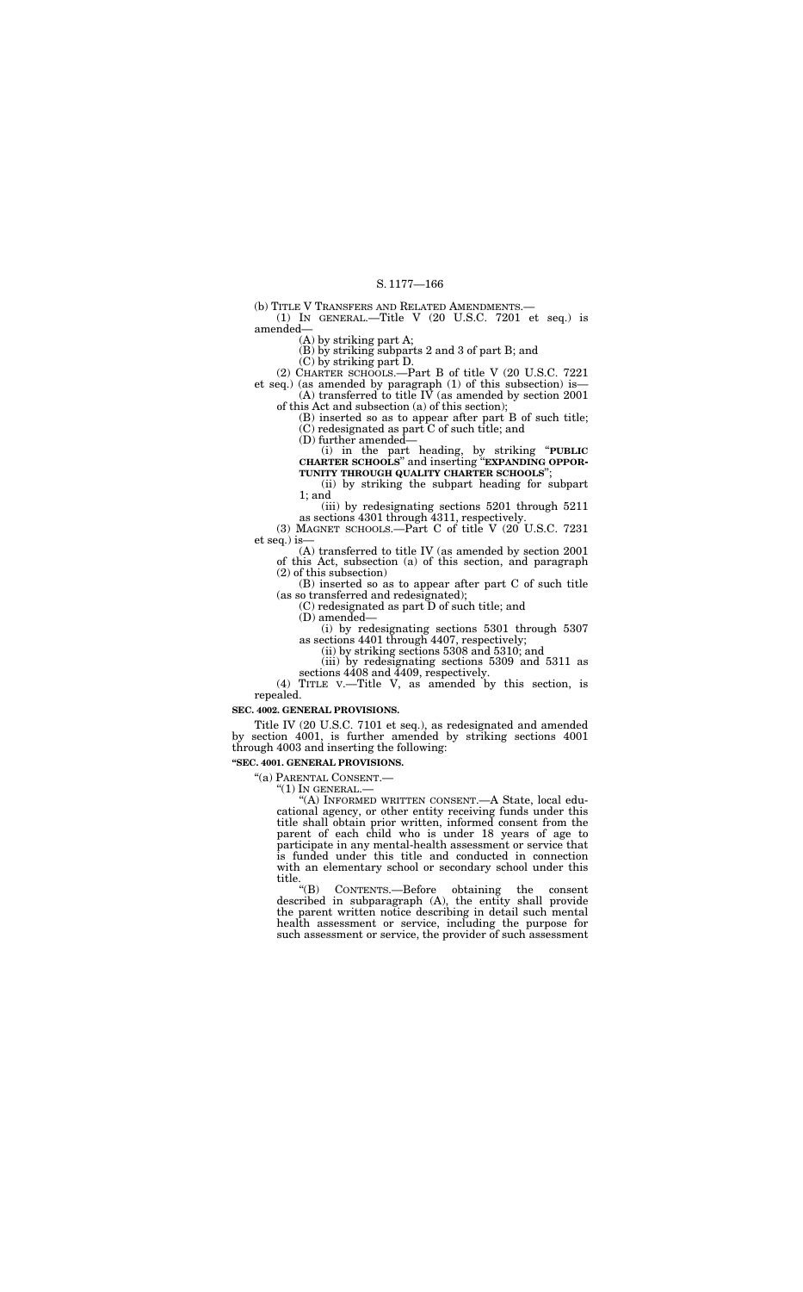(b) TITLE V TRANSFERS AND RELATED AMENDMENTS.— (1) IN GENERAL.—Title V (20 U.S.C. 7201 et seq.) is amended—

(A) by striking part A;

(B) by striking subparts 2 and 3 of part B; and

(C) by striking part D.

(2) CHARTER SCHOOLS.—Part B of title V (20 U.S.C. 7221

et seq.) (as amended by paragraph (1) of this subsection) is— (A) transferred to title IV (as amended by section 2001

of this Act and subsection (a) of this section);

(B) inserted so as to appear after part B of such title;

(C) redesignated as part C of such title; and

(D) further amended-

(i) in the part heading, by striking ''**PUBLIC CHARTER SCHOOLS**'' and inserting ''**EXPANDING OPPOR- TUNITY THROUGH QUALITY CHARTER SCHOOLS**'';

(iii) by redesignating sections 5309 and 5311 as sections  $4408$  and  $4409$ , respectively.

(ii) by striking the subpart heading for subpart 1; and

(iii) by redesignating sections 5201 through 5211 as sections 4301 through 4311, respectively.

''(a) PARENTAL CONSENT.— ''(1) IN GENERAL.— ''(A) INFORMED WRITTEN CONSENT.—A State, local educational agency, or other entity receiving funds under this title shall obtain prior written, informed consent from the parent of each child who is under 18 years of age to participate in any mental-health assessment or service that is funded under this title and conducted in connection with an elementary school or secondary school under this  $W_1$ .<br>title.<br>"(B)

(3) MAGNET SCHOOLS.—Part C of title V (20 U.S.C. 7231 et seq.) is—

(A) transferred to title IV (as amended by section 2001 of this Act, subsection (a) of this section, and paragraph (2) of this subsection)

(B) inserted so as to appear after part C of such title (as so transferred and redesignated);

(C) redesignated as part D of such title; and

(D) amended—

(i) by redesignating sections 5301 through 5307 as sections 4401 through 4407, respectively;

(ii) by striking sections 5308 and 5310; and

(4) TITLE V.—Title V, as amended by this section, is repealed.

#### **SEC. 4002. GENERAL PROVISIONS.**

Title IV (20 U.S.C. 7101 et seq.), as redesignated and amended by section 4001, is further amended by striking sections 4001 through 4003 and inserting the following:

#### **''SEC. 4001. GENERAL PROVISIONS.**

''(B) CONTENTS.—Before obtaining the consent described in subparagraph (A), the entity shall provide the parent written notice describing in detail such mental health assessment or service, including the purpose for such assessment or service, the provider of such assessment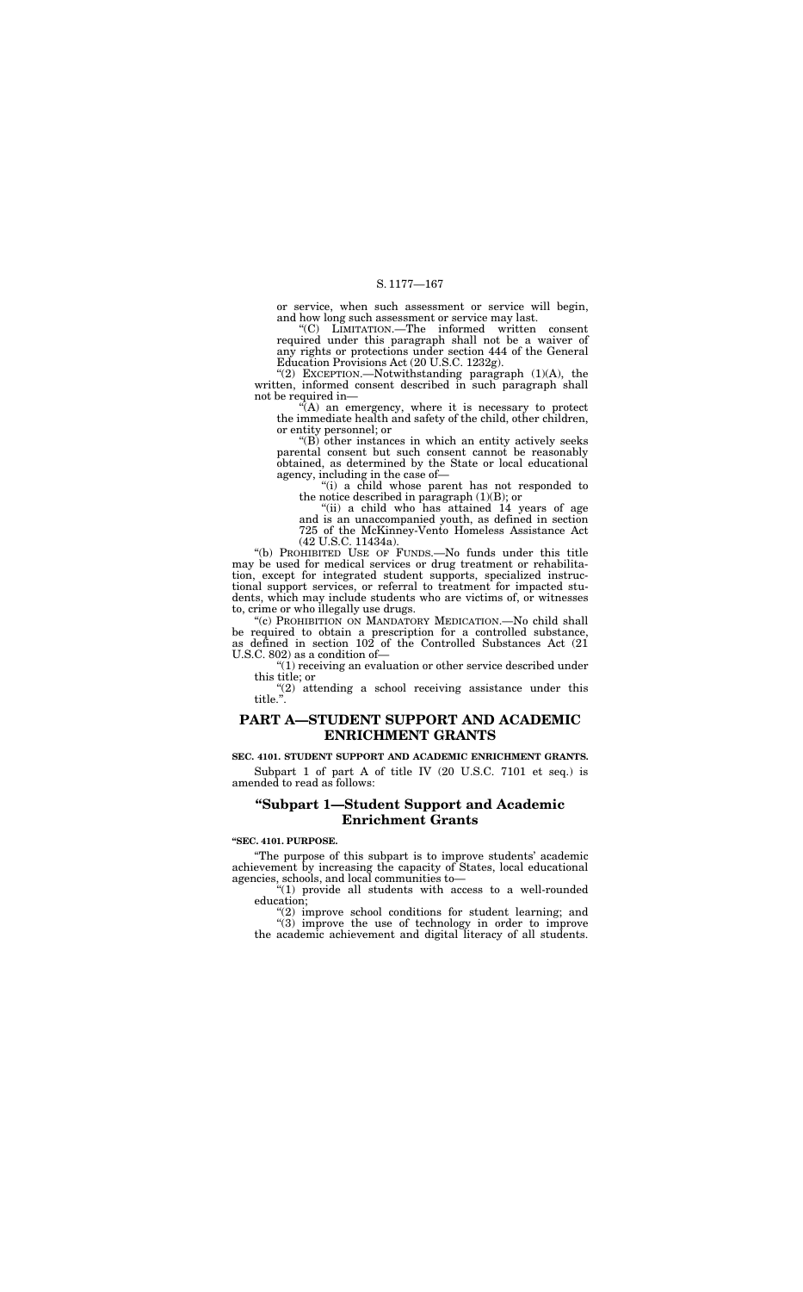or service, when such assessment or service will begin, and how long such assessment or service may last.

''(C) LIMITATION.—The informed written consent required under this paragraph shall not be a waiver of any rights or protections under section 444 of the General Education Provisions Act (20 U.S.C. 1232g).

"(2) EXCEPTION.—Notwithstanding paragraph (1)(A), the written, informed consent described in such paragraph shall not be required in—

 $\sqrt{\hat{A}}$  an emergency, where it is necessary to protect the immediate health and safety of the child, other children, or entity personnel; or

''(i) a child whose parent has not responded to the notice described in paragraph  $(1)(B)$ ; or

"(ii) a child who has attained 14 years of age and is an unaccompanied youth, as defined in section 725 of the McKinney-Vento Homeless Assistance Act (42 U.S.C. 11434a).

''(B) other instances in which an entity actively seeks parental consent but such consent cannot be reasonably obtained, as determined by the State or local educational agency, including in the case of—

"(2) attending a school receiving assistance under this title.''.

''(b) PROHIBITED USE OF FUNDS.—No funds under this title may be used for medical services or drug treatment or rehabilitation, except for integrated student supports, specialized instructional support services, or referral to treatment for impacted students, which may include students who are victims of, or witnesses to, crime or who illegally use drugs.

"(3) improve the use of technology in order to improve the academic achievement and digital literacy of all students.

''(c) PROHIBITION ON MANDATORY MEDICATION.—No child shall be required to obtain a prescription for a controlled substance, as defined in section 102 of the Controlled Substances Act (21 U.S.C. 802) as a condition of—

''(1) receiving an evaluation or other service described under this title; or

## **PART A—STUDENT SUPPORT AND ACADEMIC ENRICHMENT GRANTS**

### **SEC. 4101. STUDENT SUPPORT AND ACADEMIC ENRICHMENT GRANTS.**

Subpart 1 of part A of title IV (20 U.S.C. 7101 et seq.) is amended to read as follows:

## **''Subpart 1—Student Support and Academic Enrichment Grants**

### **''SEC. 4101. PURPOSE.**

''The purpose of this subpart is to improve students' academic achievement by increasing the capacity of States, local educational agencies, schools, and local communities to—

''(1) provide all students with access to a well-rounded education;

''(2) improve school conditions for student learning; and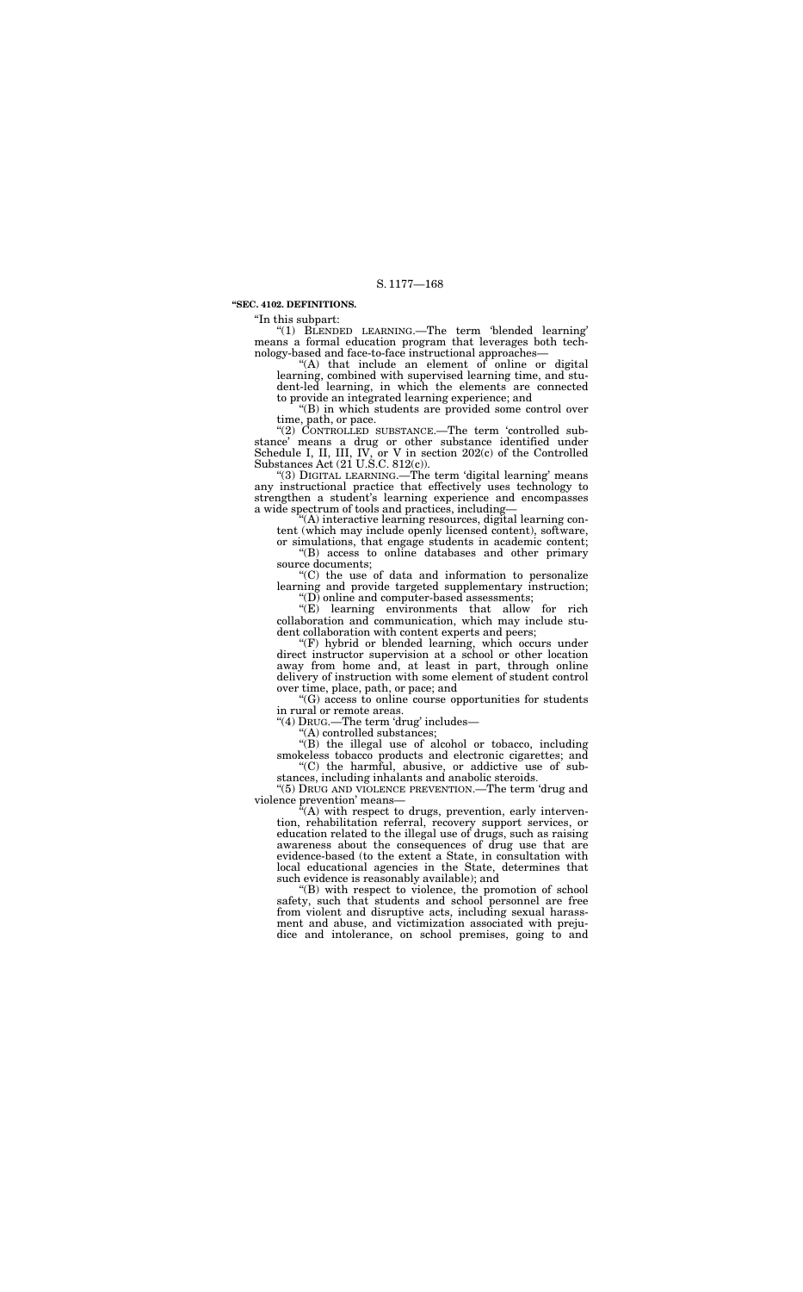#### **''SEC. 4102. DEFINITIONS.**

''In this subpart:

"(1) BLENDED LEARNING.—The term 'blended learning' means a formal education program that leverages both technology-based and face-to-face instructional approaches—

"(B) in which students are provided some control over time, path, or pace.

''(A) that include an element of online or digital learning, combined with supervised learning time, and student-led learning, in which the elements are connected to provide an integrated learning experience; and

"(2) CONTROLLED SUBSTANCE.—The term 'controlled substance' means a drug or other substance identified under Schedule I, II, III, IV, or V in section 202(c) of the Controlled Substances Act (21 U.S.C. 812(c)).

" $(C)$  the use of data and information to personalize learning and provide targeted supplementary instruction;

''(3) DIGITAL LEARNING.—The term 'digital learning' means any instructional practice that effectively uses technology to strengthen a student's learning experience and encompasses a wide spectrum of tools and practices, including—

''(A) interactive learning resources, digital learning content (which may include openly licensed content), software,

"(B) the illegal use of alcohol or tobacco, including smokeless tobacco products and electronic cigarettes; and ''(C) the harmful, abusive, or addictive use of sub-

or simulations, that engage students in academic content; ''(B) access to online databases and other primary source documents;

 $(A)$  with respect to drugs, prevention, early intervention, rehabilitation referral, recovery support services, or education related to the illegal use of drugs, such as raising awareness about the consequences of drug use that are evidence-based (to the extent a State, in consultation with local educational agencies in the State, determines that such evidence is reasonably available); and

''(D) online and computer-based assessments;

''(E) learning environments that allow for rich collaboration and communication, which may include student collaboration with content experts and peers;

''(F) hybrid or blended learning, which occurs under direct instructor supervision at a school or other location away from home and, at least in part, through online delivery of instruction with some element of student control over time, place, path, or pace; and

''(G) access to online course opportunities for students in rural or remote areas.

''(4) DRUG.—The term 'drug' includes—

''(A) controlled substances;

stances, including inhalants and anabolic steroids. ''(5) DRUG AND VIOLENCE PREVENTION.—The term 'drug and

violence prevention' means—

''(B) with respect to violence, the promotion of school safety, such that students and school personnel are free from violent and disruptive acts, including sexual harassment and abuse, and victimization associated with prejudice and intolerance, on school premises, going to and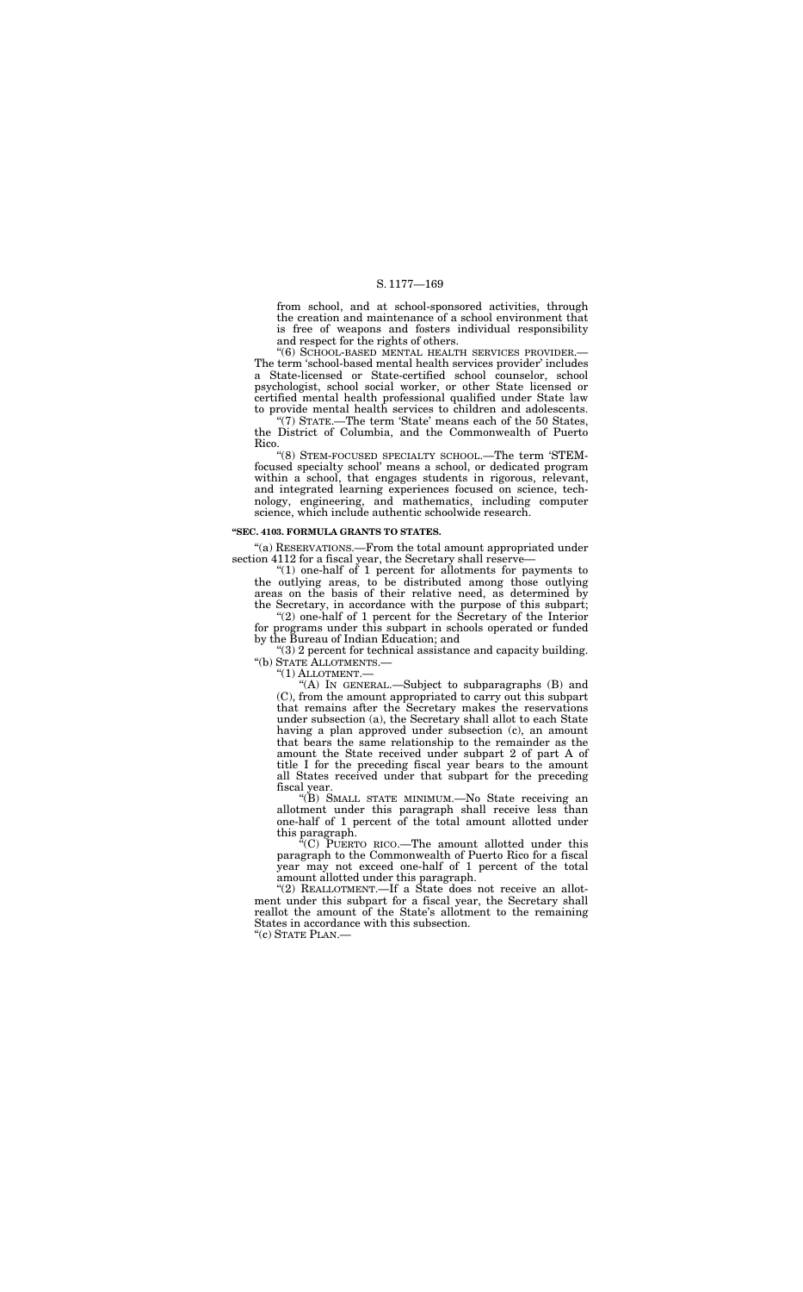from school, and at school-sponsored activities, through the creation and maintenance of a school environment that is free of weapons and fosters individual responsibility and respect for the rights of others.

''(6) SCHOOL-BASED MENTAL HEALTH SERVICES PROVIDER.— The term 'school-based mental health services provider' includes a State-licensed or State-certified school counselor, school psychologist, school social worker, or other State licensed or certified mental health professional qualified under State law to provide mental health services to children and adolescents.

''(7) STATE.—The term 'State' means each of the 50 States, the District of Columbia, and the Commonwealth of Puerto Rico.

" $(1)$  one-half of 1 percent for allotments for payments to the outlying areas, to be distributed among those outlying areas on the basis of their relative need, as determined by the Secretary, in accordance with the purpose of this subpart;

"(2) one-half of 1 percent for the Secretary of the Interior for programs under this subpart in schools operated or funded by the Bureau of Indian Education; and

''(8) STEM-FOCUSED SPECIALTY SCHOOL.—The term 'STEMfocused specialty school' means a school, or dedicated program within a school, that engages students in rigorous, relevant, and integrated learning experiences focused on science, technology, engineering, and mathematics, including computer science, which include authentic schoolwide research.

#### **''SEC. 4103. FORMULA GRANTS TO STATES.**

''(a) RESERVATIONS.—From the total amount appropriated under section 4112 for a fiscal year, the Secretary shall reserve—

"(2) REALLOTMENT.—If a State does not receive an allotment under this subpart for a fiscal year, the Secretary shall reallot the amount of the State's allotment to the remaining States in accordance with this subsection.

''(3) 2 percent for technical assistance and capacity building. ''(b) STATE ALLOTMENTS.—

"(1) ALLOTMENT.-

''(A) IN GENERAL.—Subject to subparagraphs (B) and (C), from the amount appropriated to carry out this subpart that remains after the Secretary makes the reservations under subsection (a), the Secretary shall allot to each State having a plan approved under subsection (c), an amount that bears the same relationship to the remainder as the amount the State received under subpart 2 of part A of title I for the preceding fiscal year bears to the amount all States received under that subpart for the preceding fiscal year.

''(B) SMALL STATE MINIMUM.—No State receiving an allotment under this paragraph shall receive less than one-half of 1 percent of the total amount allotted under this paragraph.

''(C) PUERTO RICO.—The amount allotted under this paragraph to the Commonwealth of Puerto Rico for a fiscal year may not exceed one-half of 1 percent of the total amount allotted under this paragraph.

''(c) STATE PLAN.—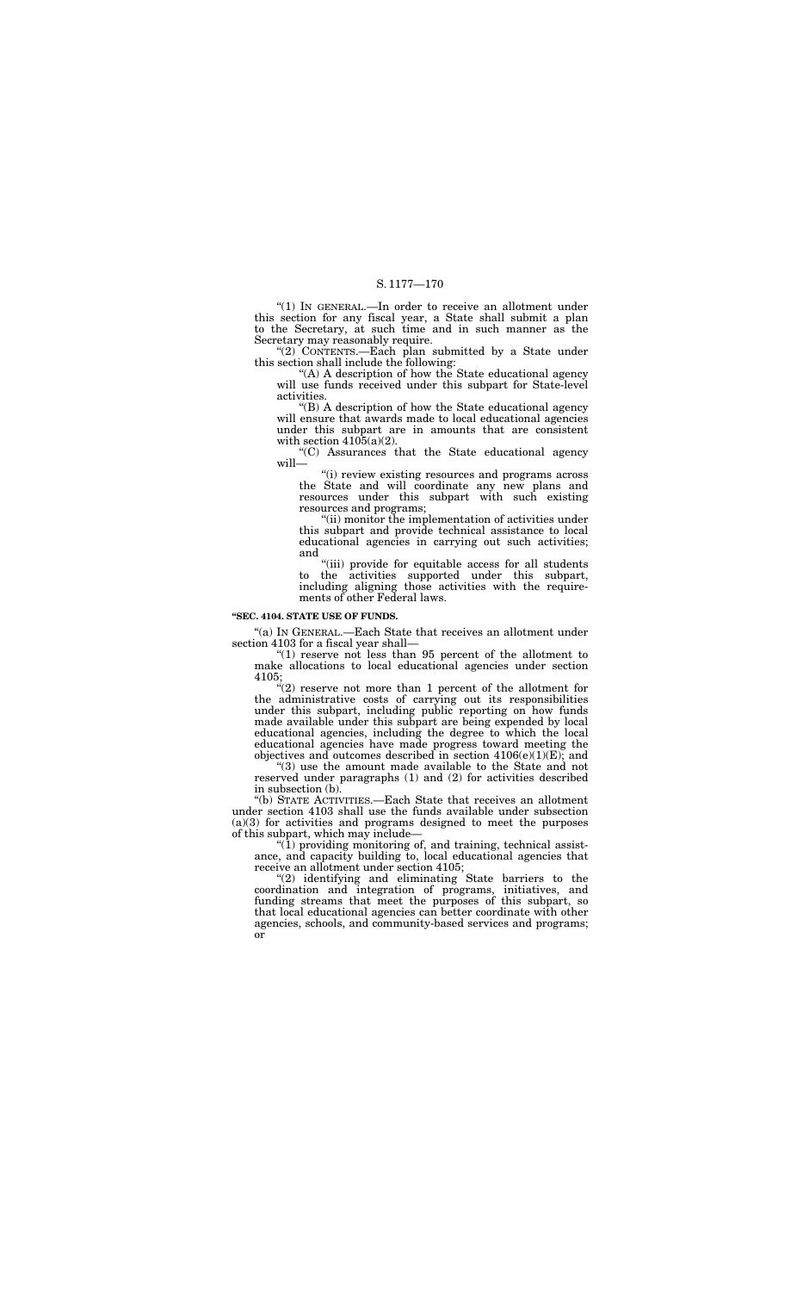"(1) IN GENERAL.—In order to receive an allotment under this section for any fiscal year, a State shall submit a plan to the Secretary, at such time and in such manner as the Secretary may reasonably require.

"(A) A description of how the State educational agency will use funds received under this subpart for State-level activities.

''(B) A description of how the State educational agency will ensure that awards made to local educational agencies under this subpart are in amounts that are consistent with section  $410\overline{5}(a)(2)$ .

''(2) CONTENTS.—Each plan submitted by a State under this section shall include the following:

''(C) Assurances that the State educational agency will—

"(a) In GENERAL.—Each State that receives an allotment under section 4103 for a fiscal year shall—

"(1) reserve not less than 95 percent of the allotment to make allocations to local educational agencies under section 4105;

" $(2)$  reserve not more than 1 percent of the allotment for the administrative costs of carrying out its responsibilities under this subpart, including public reporting on how funds made available under this subpart are being expended by local educational agencies, including the degree to which the local educational agencies have made progress toward meeting the objectives and outcomes described in section  $4106(e)(1)(E)$ ; and

''(i) review existing resources and programs across the State and will coordinate any new plans and resources under this subpart with such existing resources and programs;

''(ii) monitor the implementation of activities under this subpart and provide technical assistance to local educational agencies in carrying out such activities; and

"(3) use the amount made available to the State and not reserved under paragraphs (1) and (2) for activities described in subsection (b).

''(iii) provide for equitable access for all students to the activities supported under this subpart, including aligning those activities with the requirements of other Federal laws.

" $(1)$  providing monitoring of, and training, technical assistance, and capacity building to, local educational agencies that receive an allotment under section 4105;

#### **''SEC. 4104. STATE USE OF FUNDS.**

"(2) identifying and eliminating State barriers to the coordination and integration of programs, initiatives, and funding streams that meet the purposes of this subpart, so that local educational agencies can better coordinate with other agencies, schools, and community-based services and programs; or

''(b) STATE ACTIVITIES.—Each State that receives an allotment under section 4103 shall use the funds available under subsection (a)(3) for activities and programs designed to meet the purposes of this subpart, which may include—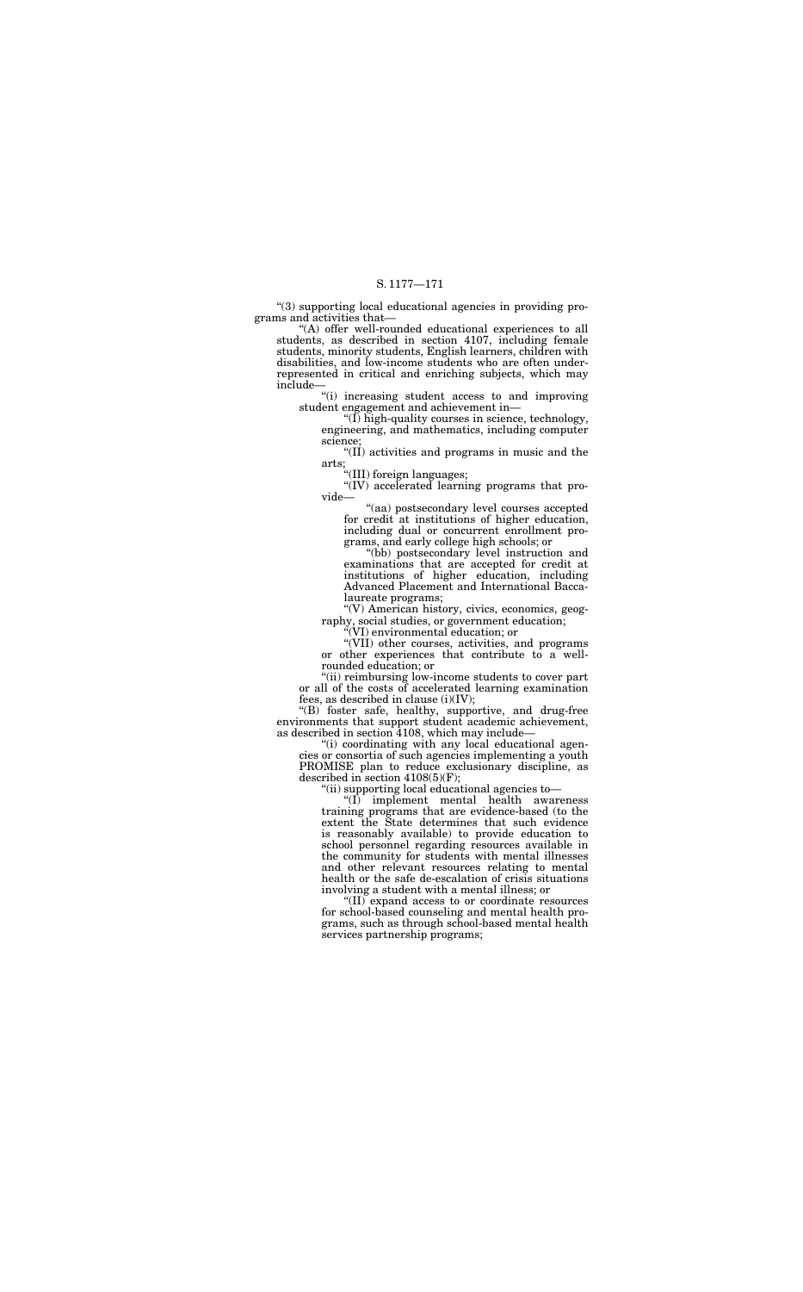''(3) supporting local educational agencies in providing programs and activities that—

''(A) offer well-rounded educational experiences to all students, as described in section 4107, including female students, minority students, English learners, children with disabilities, and low-income students who are often underrepresented in critical and enriching subjects, which may include—

> $\sqrt{\text{III}}$ ) activities and programs in music and the arts;

''(i) increasing student access to and improving student engagement and achievement in—

''(I) high-quality courses in science, technology, engineering, and mathematics, including computer science;

''(III) foreign languages;

''(IV) accelerated learning programs that provide—

"(ii) reimbursing low-income students to cover part or all of the costs of accelerated learning examination fees, as described in clause (i)(IV);

''(aa) postsecondary level courses accepted for credit at institutions of higher education, including dual or concurrent enrollment programs, and early college high schools; or

''(i) coordinating with any local educational agencies or consortia of such agencies implementing a youth PROMISE plan to reduce exclusionary discipline, as described in section  $4108(5)(F)$ ;

''(bb) postsecondary level instruction and examinations that are accepted for credit at institutions of higher education, including Advanced Placement and International Baccalaureate programs;

''(V) American history, civics, economics, geography, social studies, or government education;

''(VI) environmental education; or

''(VII) other courses, activities, and programs or other experiences that contribute to a wellrounded education; or

''(B) foster safe, healthy, supportive, and drug-free environments that support student academic achievement, as described in section 4108, which may include—

''(ii) supporting local educational agencies to—

''(I) implement mental health awareness training programs that are evidence-based (to the extent the State determines that such evidence is reasonably available) to provide education to school personnel regarding resources available in the community for students with mental illnesses and other relevant resources relating to mental health or the safe de-escalation of crisis situations involving a student with a mental illness; or

''(II) expand access to or coordinate resources for school-based counseling and mental health programs, such as through school-based mental health services partnership programs;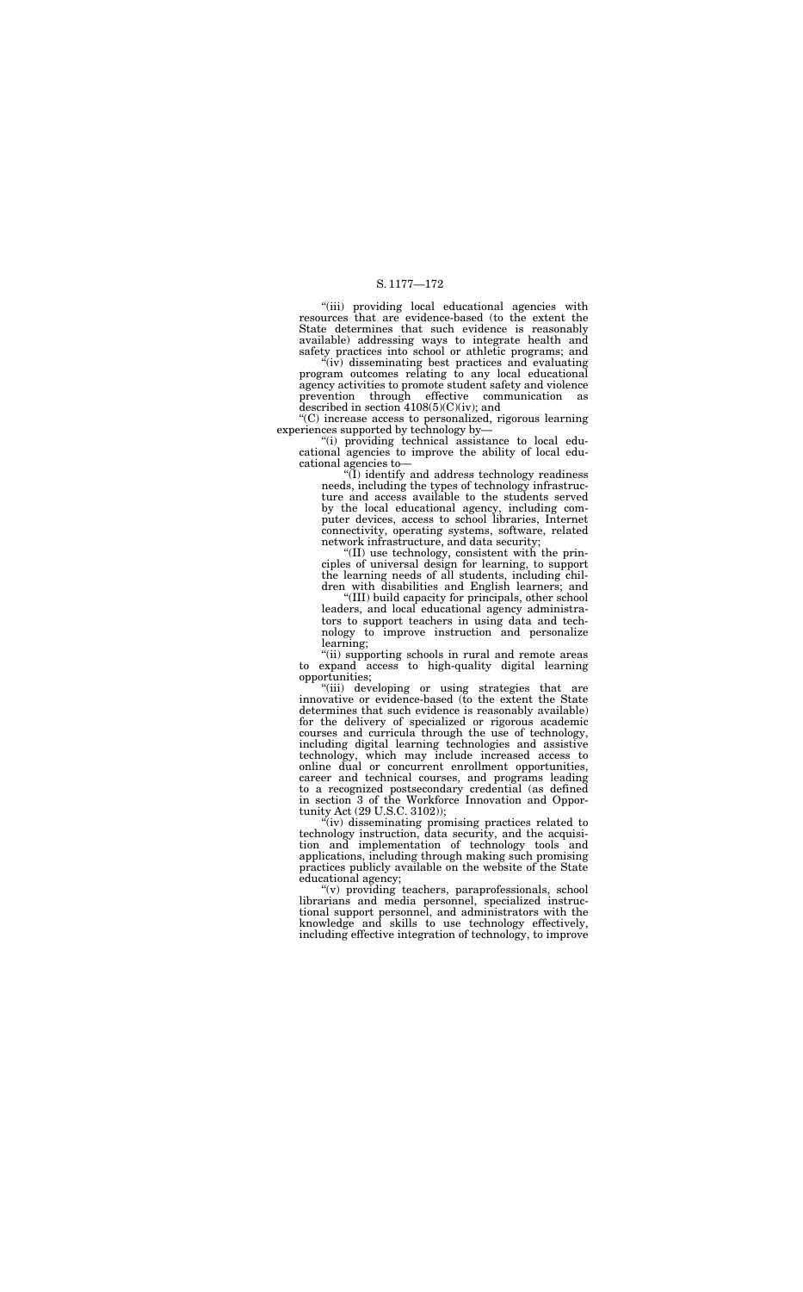"(iii) providing local educational agencies with resources that are evidence-based (to the extent the State determines that such evidence is reasonably available) addressing ways to integrate health and safety practices into school or athletic programs; and

"(iv) disseminating best practices and evaluating program outcomes relating to any local educational agency activities to promote student safety and violence prevention through effective communication as described in section  $4108(5)(C)(iv)$ ; and

''(C) increase access to personalized, rigorous learning experiences supported by technology by—

''(i) providing technical assistance to local educational agencies to improve the ability of local educational agencies to—

"(ii) supporting schools in rural and remote areas to expand access to high-quality digital learning opportunities;

''(I) identify and address technology readiness needs, including the types of technology infrastructure and access available to the students served by the local educational agency, including computer devices, access to school libraries, Internet connectivity, operating systems, software, related network infrastructure, and data security;

"(iii) developing or using strategies that are innovative or evidence-based (to the extent the State determines that such evidence is reasonably available) for the delivery of specialized or rigorous academic courses and curricula through the use of technology, including digital learning technologies and assistive technology, which may include increased access to online dual or concurrent enrollment opportunities, career and technical courses, and programs leading to a recognized postsecondary credential (as defined in section 3 of the Workforce Innovation and Opportunity Act (29 U.S.C. 3102));

''(II) use technology, consistent with the principles of universal design for learning, to support the learning needs of all students, including children with disabilities and English learners; and

''(III) build capacity for principals, other school leaders, and local educational agency administrators to support teachers in using data and technology to improve instruction and personalize learning;

''(iv) disseminating promising practices related to technology instruction, data security, and the acquisition and implementation of technology tools and applications, including through making such promising practices publicly available on the website of the State educational agency;

''(v) providing teachers, paraprofessionals, school librarians and media personnel, specialized instructional support personnel, and administrators with the knowledge and skills to use technology effectively, including effective integration of technology, to improve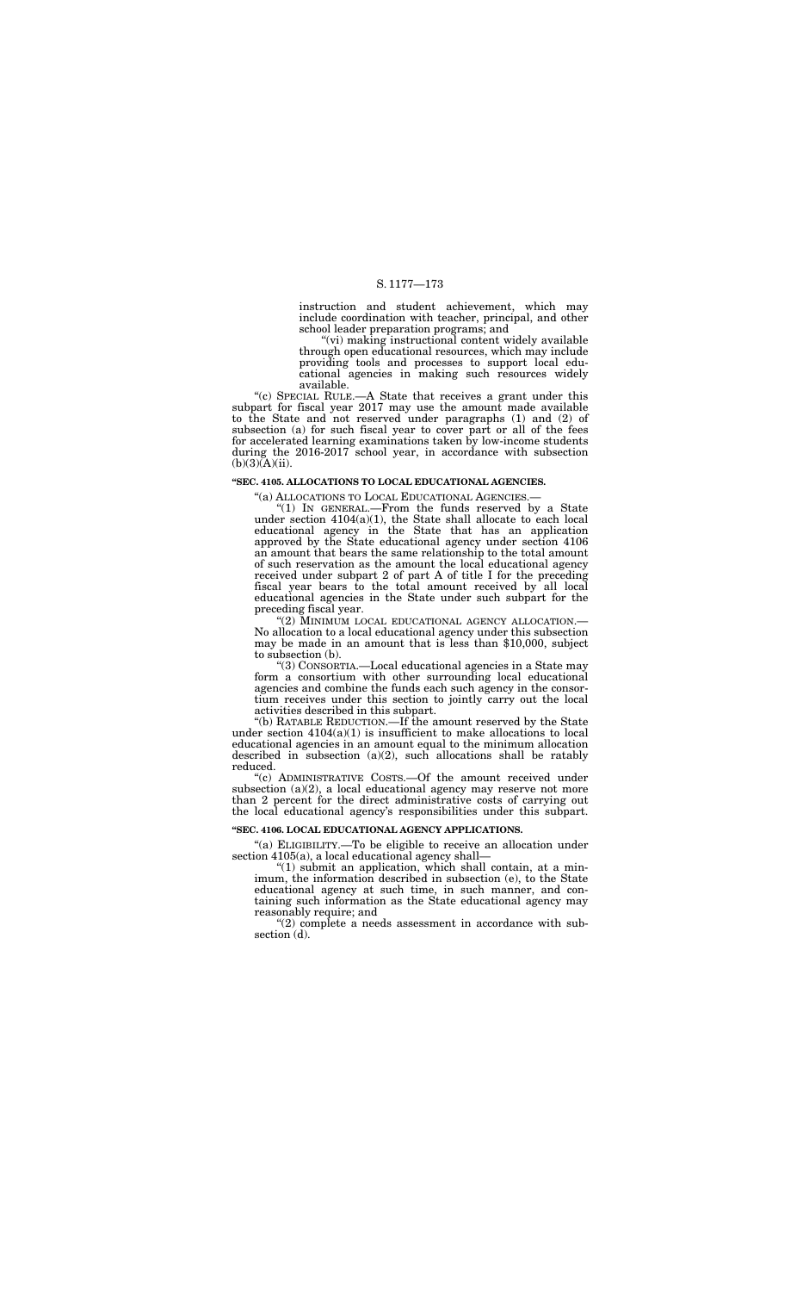instruction and student achievement, which may include coordination with teacher, principal, and other school leader preparation programs; and

"(vi) making instructional content widely available through open educational resources, which may include providing tools and processes to support local educational agencies in making such resources widely available.

''(c) SPECIAL RULE.—A State that receives a grant under this subpart for fiscal year 2017 may use the amount made available to the State and not reserved under paragraphs (1) and (2) of subsection (a) for such fiscal year to cover part or all of the fees for accelerated learning examinations taken by low-income students during the 2016-2017 school year, in accordance with subsection  $(b)(3)(A)(ii)$ .

#### **''SEC. 4105. ALLOCATIONS TO LOCAL EDUCATIONAL AGENCIES.**

preceding fiscal year.<br>"(2) MINIMUM LOCAL EDUCATIONAL AGENCY ALLOCATION.— No allocation to a local educational agency under this subsection may be made in an amount that is less than \$10,000, subject to subsection (b).

''(a) ALLOCATIONS TO LOCAL EDUCATIONAL AGENCIES.— ''(1) IN GENERAL.—From the funds reserved by a State under section 4104(a)(1), the State shall allocate to each local educational agency in the State that has an application approved by the State educational agency under section 4106 an amount that bears the same relationship to the total amount of such reservation as the amount the local educational agency received under subpart 2 of part A of title I for the preceding fiscal year bears to the total amount received by all local educational agencies in the State under such subpart for the

"(c) ADMINISTRATIVE COSTS.—Of the amount received under subsection (a)(2), a local educational agency may reserve not more than 2 percent for the direct administrative costs of carrying out the local educational agency's responsibilities under this subpart.

''(a) ELIGIBILITY.—To be eligible to receive an allocation under section 4105(a), a local educational agency shall-

" $(2)$  complete a needs assessment in accordance with subsection (d).

''(3) CONSORTIA.—Local educational agencies in a State may form a consortium with other surrounding local educational agencies and combine the funds each such agency in the consortium receives under this section to jointly carry out the local activities described in this subpart.

''(b) RATABLE REDUCTION.—If the amount reserved by the State under section  $4104(a)(1)$  is insufficient to make allocations to local educational agencies in an amount equal to the minimum allocation described in subsection (a)(2), such allocations shall be ratably reduced.

#### **''SEC. 4106. LOCAL EDUCATIONAL AGENCY APPLICATIONS.**

''(1) submit an application, which shall contain, at a minimum, the information described in subsection (e), to the State educational agency at such time, in such manner, and containing such information as the State educational agency may reasonably require; and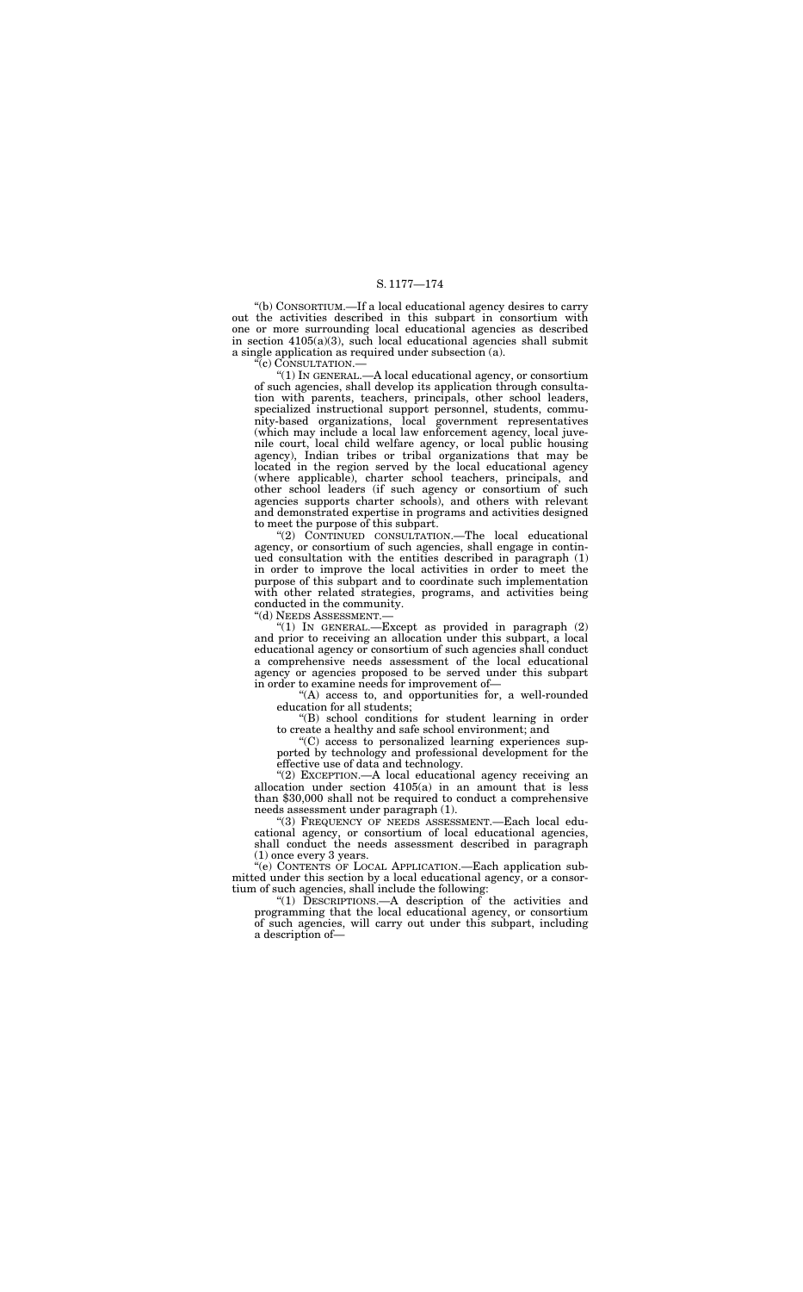''(b) CONSORTIUM.—If a local educational agency desires to carry out the activities described in this subpart in consortium with one or more surrounding local educational agencies as described in section 4105(a)(3), such local educational agencies shall submit a single application as required under subsection (a).

''(c) CONSULTATION.—

''(1) IN GENERAL.—A local educational agency, or consortium of such agencies, shall develop its application through consultation with parents, teachers, principals, other school leaders, specialized instructional support personnel, students, community-based organizations, local government representatives (which may include a local law enforcement agency, local juvenile court, local child welfare agency, or local public housing agency), Indian tribes or tribal organizations that may be located in the region served by the local educational agency (where applicable), charter school teachers, principals, and other school leaders (if such agency or consortium of such agencies supports charter schools), and others with relevant and demonstrated expertise in programs and activities designed to meet the purpose of this subpart.

"(2) EXCEPTION.—A local educational agency receiving an allocation under section 4105(a) in an amount that is less than \$30,000 shall not be required to conduct a comprehensive needs assessment under paragraph (1).

''(2) CONTINUED CONSULTATION.—The local educational agency, or consortium of such agencies, shall engage in continued consultation with the entities described in paragraph (1) in order to improve the local activities in order to meet the purpose of this subpart and to coordinate such implementation with other related strategies, programs, and activities being conducted in the community.

"(1) DESCRIPTIONS.—A description of the activities and programming that the local educational agency, or consortium of such agencies, will carry out under this subpart, including a description of—

''(d) NEEDS ASSESSMENT.—

''(1) IN GENERAL.—Except as provided in paragraph (2) and prior to receiving an allocation under this subpart, a local educational agency or consortium of such agencies shall conduct a comprehensive needs assessment of the local educational agency or agencies proposed to be served under this subpart in order to examine needs for improvement of—

''(A) access to, and opportunities for, a well-rounded education for all students;

''(B) school conditions for student learning in order to create a healthy and safe school environment; and

''(C) access to personalized learning experiences supported by technology and professional development for the effective use of data and technology.

''(3) FREQUENCY OF NEEDS ASSESSMENT.—Each local educational agency, or consortium of local educational agencies, shall conduct the needs assessment described in paragraph (1) once every 3 years.

''(e) CONTENTS OF LOCAL APPLICATION.—Each application submitted under this section by a local educational agency, or a consortium of such agencies, shall include the following: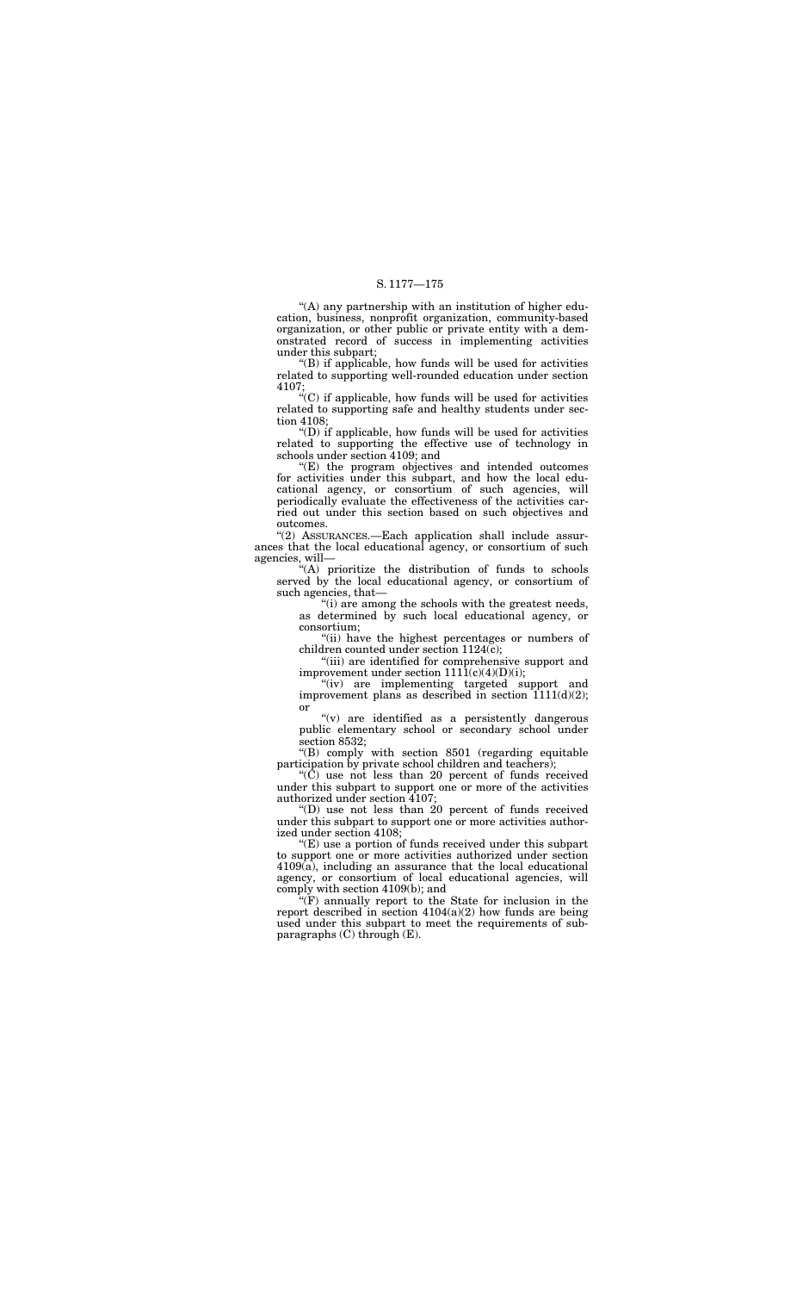''(A) any partnership with an institution of higher education, business, nonprofit organization, community-based organization, or other public or private entity with a demonstrated record of success in implementing activities under this subpart;

 $\dddot{H}$ <sup>"</sup>(C) if applicable, how funds will be used for activities related to supporting safe and healthy students under section 4108;

''(B) if applicable, how funds will be used for activities related to supporting well-rounded education under section 4107;

''(D) if applicable, how funds will be used for activities related to supporting the effective use of technology in schools under section 4109; and

''(iii) are identified for comprehensive support and improvement under section  $111\overline{1}$ (c)(4)(D)(i);

''(E) the program objectives and intended outcomes for activities under this subpart, and how the local educational agency, or consortium of such agencies, will periodically evaluate the effectiveness of the activities carried out under this section based on such objectives and outcomes.

"(iv) are implementing targeted support and improvement plans as described in section  $\overline{1111(d)(2)}$ ; or

''(2) ASSURANCES.—Each application shall include assurances that the local educational agency, or consortium of such agencies, will—

''(A) prioritize the distribution of funds to schools served by the local educational agency, or consortium of such agencies, that—

''(i) are among the schools with the greatest needs, as determined by such local educational agency, or consortium;

''(ii) have the highest percentages or numbers of children counted under section 1124(c);

''(v) are identified as a persistently dangerous public elementary school or secondary school under section 8532;

''(B) comply with section 8501 (regarding equitable participation by private school children and teachers);

''(C) use not less than 20 percent of funds received under this subpart to support one or more of the activities authorized under section 4107;

''(D) use not less than 20 percent of funds received under this subpart to support one or more activities authorized under section 4108;

''(E) use a portion of funds received under this subpart to support one or more activities authorized under section 4109(a), including an assurance that the local educational agency, or consortium of local educational agencies, will comply with section 4109(b); and

''(F) annually report to the State for inclusion in the report described in section  $4104(a)(2)$  how funds are being used under this subpart to meet the requirements of subparagraphs (C) through (E).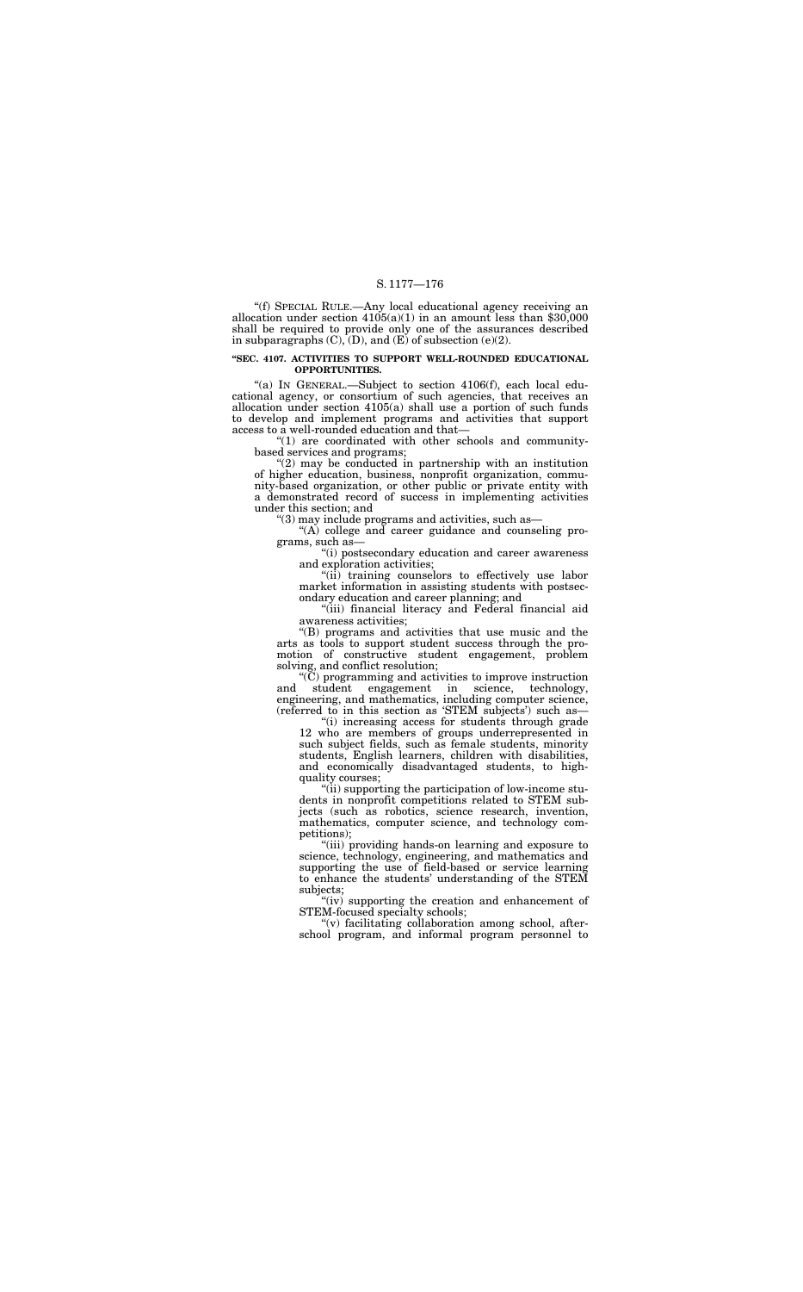"(f) SPECIAL RULE.—Any local educational agency receiving an allocation under section  $4105(a)(1)$  in an amount less than \$30,000 shall be required to provide only one of the assurances described in subparagraphs  $(C)$ ,  $(D)$ , and  $(E)$  of subsection  $(e)(2)$ .

#### **''SEC. 4107. ACTIVITIES TO SUPPORT WELL-ROUNDED EDUCATIONAL OPPORTUNITIES.**

"(a) IN GENERAL.—Subject to section 4106(f), each local educational agency, or consortium of such agencies, that receives an allocation under section 4105(a) shall use a portion of such funds to develop and implement programs and activities that support access to a well-rounded education and that—

"(1) are coordinated with other schools and communitybased services and programs;

"(2) may be conducted in partnership with an institution of higher education, business, nonprofit organization, community-based organization, or other public or private entity with a demonstrated record of success in implementing activities under this section; and

''(3) may include programs and activities, such as—

''(A) college and career guidance and counseling programs, such as—

''(i) postsecondary education and career awareness and exploration activities;

''(ii) training counselors to effectively use labor market information in assisting students with postsecondary education and career planning; and

"(iv) supporting the creation and enhancement of STEM-focused specialty schools;

''(iii) financial literacy and Federal financial aid awareness activities;

''(B) programs and activities that use music and the arts as tools to support student success through the promotion of constructive student engagement, problem solving, and conflict resolution;

''(C) programming and activities to improve instruction and student engagement in science, technology, engineering, and mathematics, including computer science, (referred to in this section as 'STEM subjects') such as—

''(i) increasing access for students through grade 12 who are members of groups underrepresented in such subject fields, such as female students, minority students, English learners, children with disabilities, and economically disadvantaged students, to highquality courses;

''(ii) supporting the participation of low-income students in nonprofit competitions related to STEM subjects (such as robotics, science research, invention, mathematics, computer science, and technology competitions);

''(iii) providing hands-on learning and exposure to science, technology, engineering, and mathematics and supporting the use of field-based or service learning to enhance the students' understanding of the STEM subjects;

''(v) facilitating collaboration among school, afterschool program, and informal program personnel to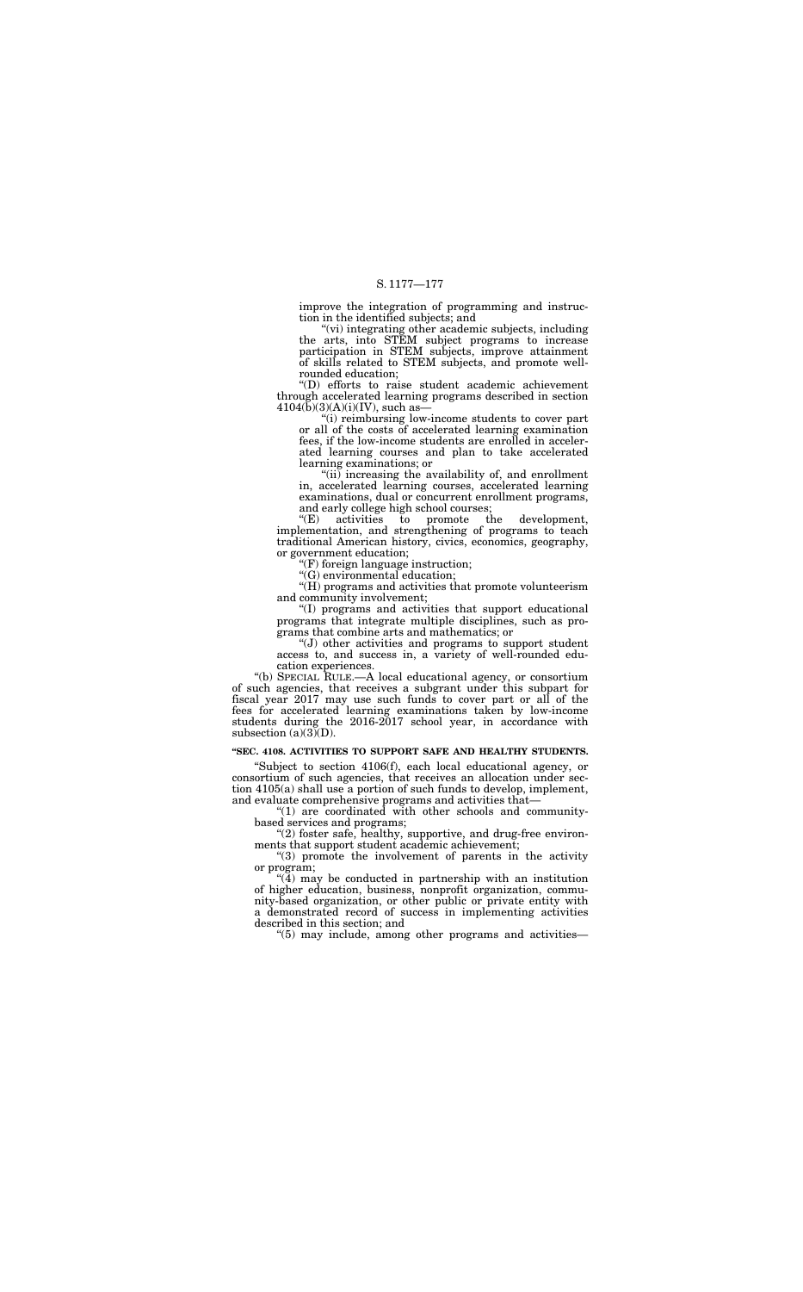improve the integration of programming and instruction in the identified subjects; and

''(D) efforts to raise student academic achievement through accelerated learning programs described in section  $4104(\bar{b})(3)(A)(i)(IV)$ , such as-

''(vi) integrating other academic subjects, including the arts, into STEM subject programs to increase participation in STEM subjects, improve attainment of skills related to STEM subjects, and promote wellrounded education;

"(E) activities to promote the development, implementation, and strengthening of programs to teach traditional American history, civics, economics, geography, or government education;

''(i) reimbursing low-income students to cover part or all of the costs of accelerated learning examination fees, if the low-income students are enrolled in accelerated learning courses and plan to take accelerated learning examinations; or

"(ii) increasing the availability of, and enrollment in, accelerated learning courses, accelerated learning examinations, dual or concurrent enrollment programs, and early college high school courses;<br>"(E) activities to promote the

''(b) SPECIAL RULE.—A local educational agency, or consortium of such agencies, that receives a subgrant under this subpart for fiscal year 2017 may use such funds to cover part or all of the fees for accelerated learning examinations taken by low-income students during the 2016-2017 school year, in accordance with subsection  $(a)(3)$ (D).

''(F) foreign language instruction;

"(1) are coordinated with other schools and communitybased services and programs;

''(G) environmental education;

"(2) foster safe, healthy, supportive, and drug-free environments that support student academic achievement;

''(H) programs and activities that promote volunteerism and community involvement;

''(I) programs and activities that support educational programs that integrate multiple disciplines, such as programs that combine arts and mathematics; or

 $\sqrt[4]{(4)}$  may be conducted in partnership with an institution of higher education, business, nonprofit organization, community-based organization, or other public or private entity with a demonstrated record of success in implementing activities described in this section; and

''(J) other activities and programs to support student access to, and success in, a variety of well-rounded education experiences.

#### **''SEC. 4108. ACTIVITIES TO SUPPORT SAFE AND HEALTHY STUDENTS.**

''Subject to section 4106(f), each local educational agency, or consortium of such agencies, that receives an allocation under section 4105(a) shall use a portion of such funds to develop, implement, and evaluate comprehensive programs and activities that—

''(3) promote the involvement of parents in the activity or program;

''(5) may include, among other programs and activities—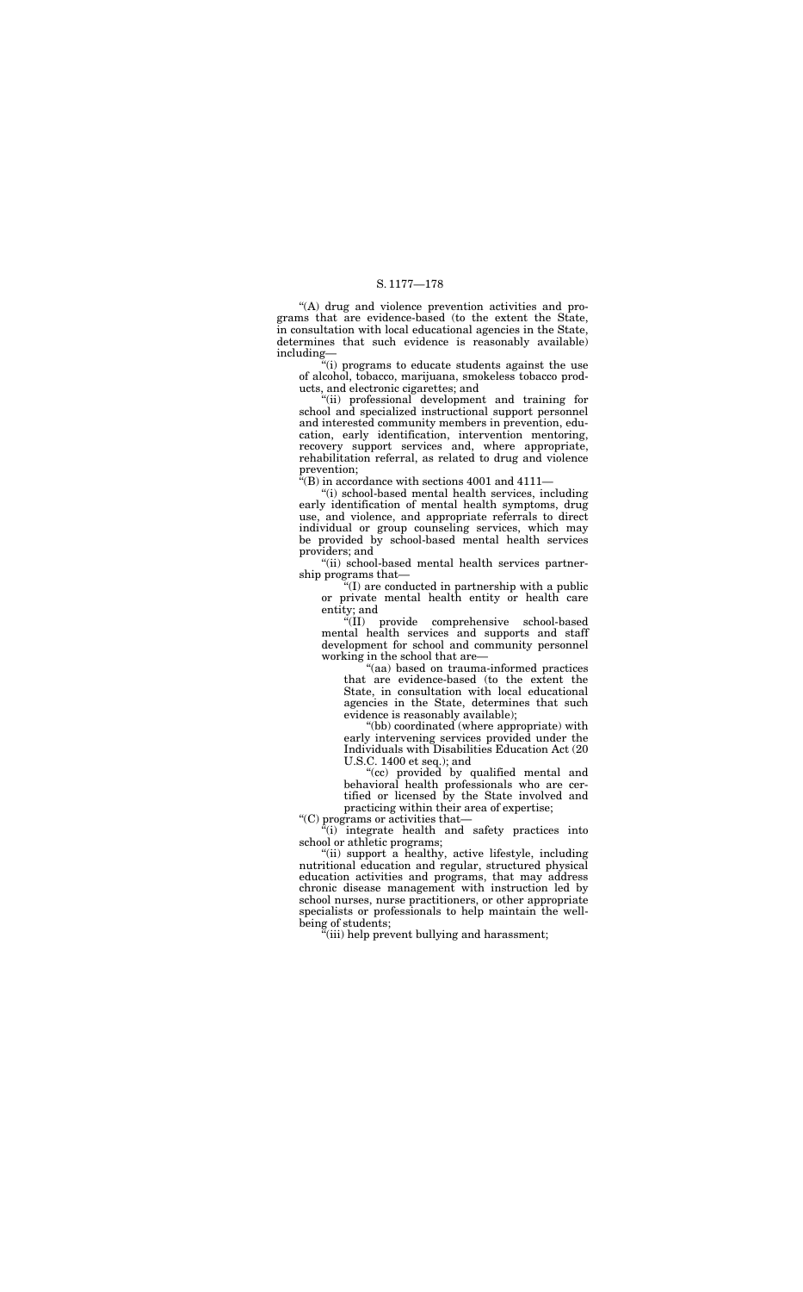"(A) drug and violence prevention activities and programs that are evidence-based (to the extent the State, in consultation with local educational agencies in the State, determines that such evidence is reasonably available) including—

''(i) programs to educate students against the use of alcohol, tobacco, marijuana, smokeless tobacco products, and electronic cigarettes; and

''(ii) professional development and training for school and specialized instructional support personnel and interested community members in prevention, education, early identification, intervention mentoring, recovery support services and, where appropriate, rehabilitation referral, as related to drug and violence prevention;

 $\sqrt[\alpha]{B}$  in accordance with sections 4001 and 4111—

''(i) school-based mental health services, including early identification of mental health symptoms, drug use, and violence, and appropriate referrals to direct individual or group counseling services, which may be provided by school-based mental health services providers; and

> "(cc) provided by qualified mental and behavioral health professionals who are certified or licensed by the State involved and practicing within their area of expertise;

 $\tilde{f}(i)$  integrate health and safety practices into school or athletic programs;

''(ii) school-based mental health services partnership programs that—

''(I) are conducted in partnership with a public or private mental health entity or health care entity; and

"(ii) support a healthy, active lifestyle, including nutritional education and regular, structured physical education activities and programs, that may address chronic disease management with instruction led by school nurses, nurse practitioners, or other appropriate specialists or professionals to help maintain the wellbeing of students;

''(II) provide comprehensive school-based mental health services and supports and staff development for school and community personnel working in the school that are—

''(aa) based on trauma-informed practices that are evidence-based (to the extent the State, in consultation with local educational agencies in the State, determines that such evidence is reasonably available);

''(bb) coordinated (where appropriate) with early intervening services provided under the Individuals with Disabilities Education Act (20 U.S.C. 1400 et seq.); and

''(C) programs or activities that—

''(iii) help prevent bullying and harassment;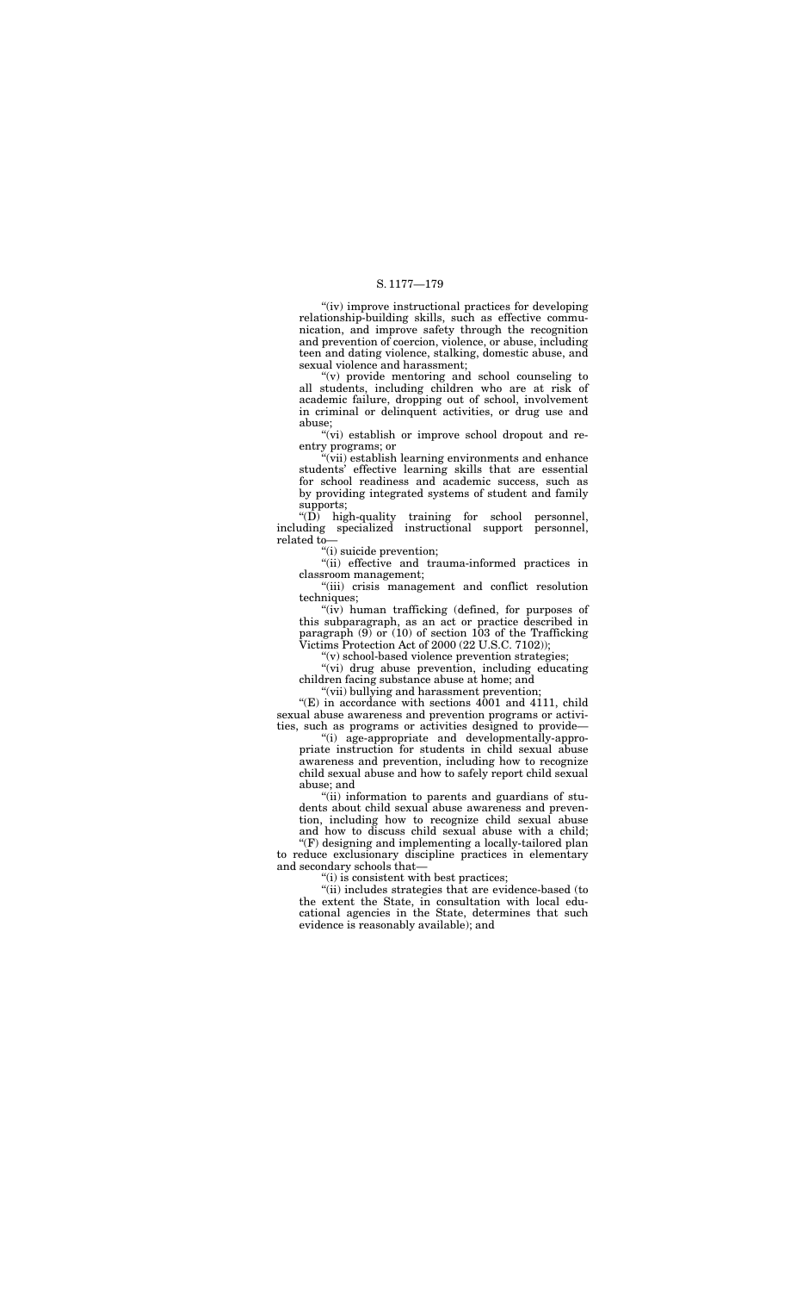"(iv) improve instructional practices for developing relationship-building skills, such as effective communication, and improve safety through the recognition and prevention of coercion, violence, or abuse, including teen and dating violence, stalking, domestic abuse, and sexual violence and harassment;

"(vi) establish or improve school dropout and reentry programs; or

''(v) provide mentoring and school counseling to all students, including children who are at risk of academic failure, dropping out of school, involvement in criminal or delinquent activities, or drug use and abuse;

 $\text{``(D)}$  high-quality training for school personnel, including specialized instructional support personnel, related to—

"(iv) human trafficking (defined, for purposes of this subparagraph, as an act or practice described in paragraph (9) or (10) of section 103 of the Trafficking Victims Protection Act of 2000 (22 U.S.C. 7102));

''(vii) establish learning environments and enhance students' effective learning skills that are essential for school readiness and academic success, such as by providing integrated systems of student and family supports;

"(vi) drug abuse prevention, including educating children facing substance abuse at home; and

 $E(E)$  in accordance with sections  $4001$  and  $4111$ , child sexual abuse awareness and prevention programs or activities, such as programs or activities designed to provide—

''(i) suicide prevention;

''(ii) effective and trauma-informed practices in classroom management;

''(iii) crisis management and conflict resolution techniques;

"(ii) information to parents and guardians of students about child sexual abuse awareness and prevention, including how to recognize child sexual abuse and how to discuss child sexual abuse with a child; ''(F) designing and implementing a locally-tailored plan

''(v) school-based violence prevention strategies;

''(vii) bullying and harassment prevention;

''(i) age-appropriate and developmentally-appropriate instruction for students in child sexual abuse awareness and prevention, including how to recognize child sexual abuse and how to safely report child sexual abuse; and

to reduce exclusionary discipline practices in elementary and secondary schools that—

''(i) is consistent with best practices;

''(ii) includes strategies that are evidence-based (to the extent the State, in consultation with local educational agencies in the State, determines that such evidence is reasonably available); and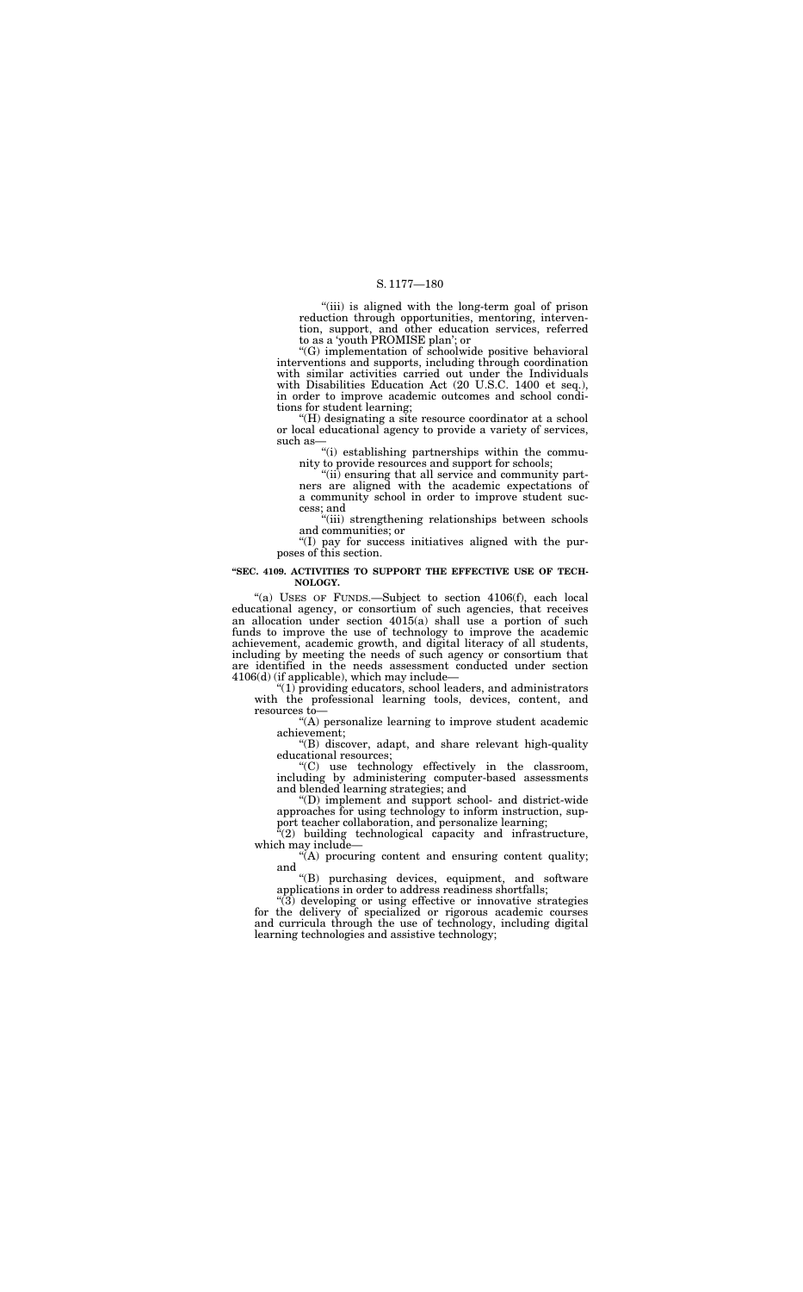"(iii) is aligned with the long-term goal of prison reduction through opportunities, mentoring, intervention, support, and other education services, referred to as a 'youth PROMISE plan'; or

''(H) designating a site resource coordinator at a school or local educational agency to provide a variety of services, such as-

''(G) implementation of schoolwide positive behavioral interventions and supports, including through coordination with similar activities carried out under the Individuals with Disabilities Education Act (20 U.S.C. 1400 et seq.), in order to improve academic outcomes and school conditions for student learning;

''(i) establishing partnerships within the community to provide resources and support for schools;

"(a) USES OF FUNDS.—Subject to section 4106(f), each local educational agency, or consortium of such agencies, that receives an allocation under section 4015(a) shall use a portion of such funds to improve the use of technology to improve the academic achievement, academic growth, and digital literacy of all students, including by meeting the needs of such agency or consortium that are identified in the needs assessment conducted under section 4106(d) (if applicable), which may include—

''(ii) ensuring that all service and community partners are aligned with the academic expectations of a community school in order to improve student success; and

''(iii) strengthening relationships between schools and communities; or

''(I) pay for success initiatives aligned with the purposes of this section.

#### **''SEC. 4109. ACTIVITIES TO SUPPORT THE EFFECTIVE USE OF TECH-NOLOGY.**

 $\sqrt[n]{(2)}$  building technological capacity and infrastructure, which may include—

 $(3)$  developing or using effective or innovative strategies for the delivery of specialized or rigorous academic courses and curricula through the use of technology, including digital learning technologies and assistive technology;

''(1) providing educators, school leaders, and administrators with the professional learning tools, devices, content, and resources to—

''(A) personalize learning to improve student academic achievement;

''(B) discover, adapt, and share relevant high-quality educational resources;

''(C) use technology effectively in the classroom, including by administering computer-based assessments and blended learning strategies; and

''(D) implement and support school- and district-wide approaches for using technology to inform instruction, support teacher collaboration, and personalize learning;

''(A) procuring content and ensuring content quality; and

''(B) purchasing devices, equipment, and software applications in order to address readiness shortfalls;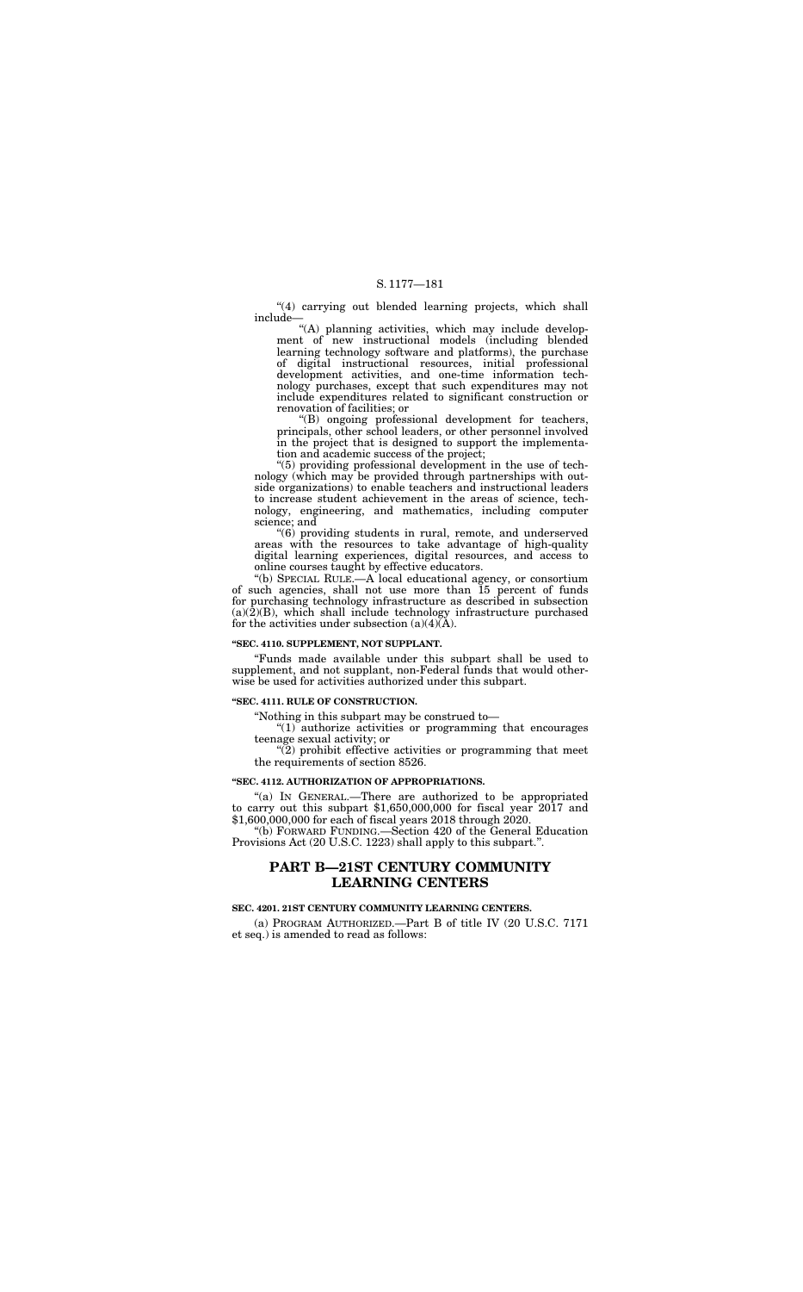"(4) carrying out blended learning projects, which shall include—

''(A) planning activities, which may include development of new instructional models (including blended learning technology software and platforms), the purchase of digital instructional resources, initial professional development activities, and one-time information technology purchases, except that such expenditures may not include expenditures related to significant construction or renovation of facilities; or

''(B) ongoing professional development for teachers, principals, other school leaders, or other personnel involved in the project that is designed to support the implementation and academic success of the project;

 $\degree$ (6) providing students in rural, remote, and underserved areas with the resources to take advantage of high-quality digital learning experiences, digital resources, and access to online courses taught by effective educators.

''(5) providing professional development in the use of technology (which may be provided through partnerships with outside organizations) to enable teachers and instructional leaders to increase student achievement in the areas of science, technology, engineering, and mathematics, including computer science; and

"(1) authorize activities or programming that encourages teenage sexual activity; or

 $(2)$  prohibit effective activities or programming that meet the requirements of section 8526.

"(a) IN GENERAL.—There are authorized to be appropriated to carry out this subpart \$1,650,000,000 for fiscal year 2017 and \$1,600,000,000 for each of fiscal years 2018 through 2020.

''(b) SPECIAL RULE.—A local educational agency, or consortium of such agencies, shall not use more than 15 percent of funds for purchasing technology infrastructure as described in subsection (a)(2)(B), which shall include technology infrastructure purchased for the activities under subsection (a)(4)(A).

#### **''SEC. 4110. SUPPLEMENT, NOT SUPPLANT.**

''Funds made available under this subpart shall be used to supplement, and not supplant, non-Federal funds that would otherwise be used for activities authorized under this subpart.

#### **''SEC. 4111. RULE OF CONSTRUCTION.**

''Nothing in this subpart may be construed to—

#### **''SEC. 4112. AUTHORIZATION OF APPROPRIATIONS.**

''(b) FORWARD FUNDING.—Section 420 of the General Education Provisions Act (20 U.S.C. 1223) shall apply to this subpart.''.

# **PART B—21ST CENTURY COMMUNITY LEARNING CENTERS**

#### **SEC. 4201. 21ST CENTURY COMMUNITY LEARNING CENTERS.**

(a) PROGRAM AUTHORIZED.—Part B of title IV (20 U.S.C. 7171 et seq.) is amended to read as follows: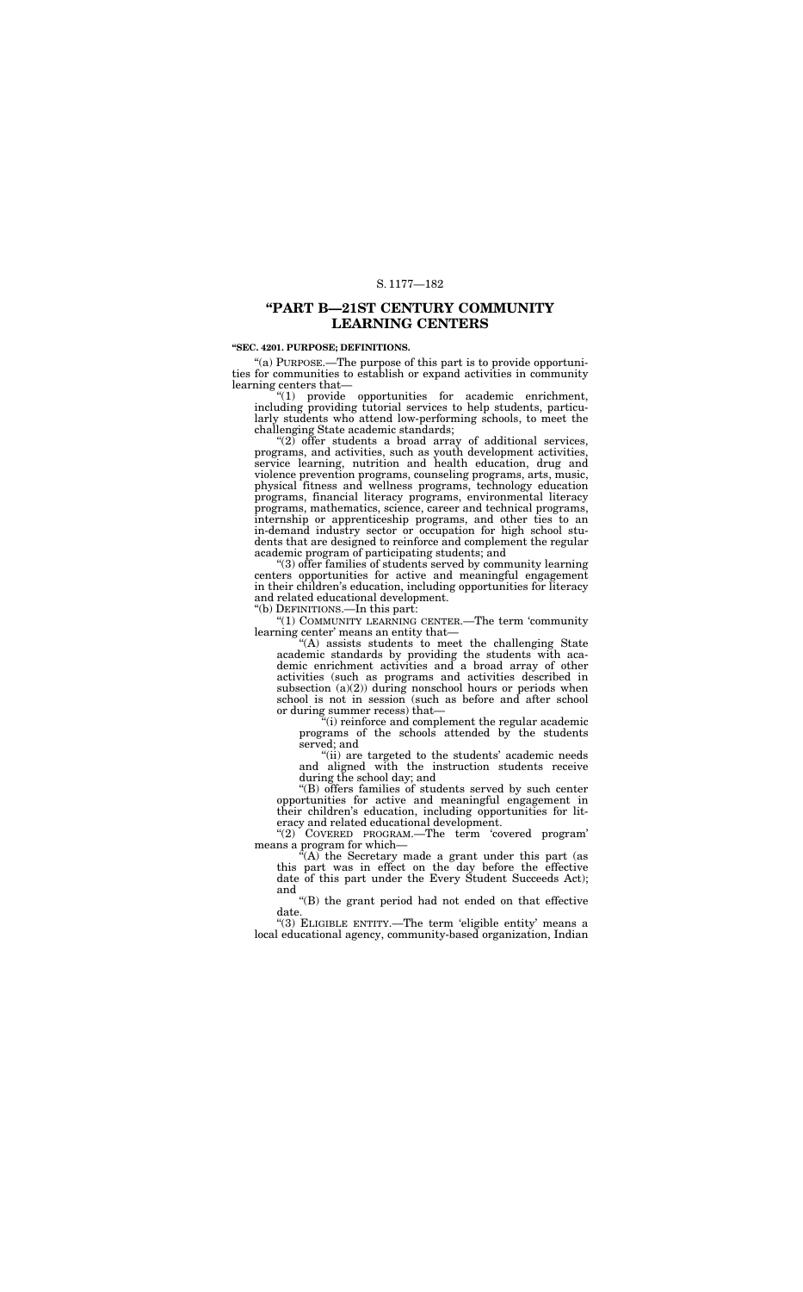# **''PART B—21ST CENTURY COMMUNITY LEARNING CENTERS**

#### **''SEC. 4201. PURPOSE; DEFINITIONS.**

''(a) PURPOSE.—The purpose of this part is to provide opportunities for communities to establish or expand activities in community learning centers that—

''(1) provide opportunities for academic enrichment, including providing tutorial services to help students, particularly students who attend low-performing schools, to meet the challenging State academic standards;

" $(2)$  offer students a broad array of additional services, programs, and activities, such as youth development activities, service learning, nutrition and health education, drug and violence prevention programs, counseling programs, arts, music, physical fitness and wellness programs, technology education programs, financial literacy programs, environmental literacy programs, mathematics, science, career and technical programs, internship or apprenticeship programs, and other ties to an in-demand industry sector or occupation for high school students that are designed to reinforce and complement the regular academic program of participating students; and

"(A) assists students to meet the challenging State academic standards by providing the students with academic enrichment activities and a broad array of other activities (such as programs and activities described in subsection (a)(2)) during nonschool hours or periods when school is not in session (such as before and after school or during summer recess) that—

"(ii) are targeted to the students' academic needs and aligned with the instruction students receive during the school day; and

"(2) COVERED PROGRAM.—The term 'covered program' means a program for which—

''(3) offer families of students served by community learning centers opportunities for active and meaningful engagement in their children's education, including opportunities for literacy and related educational development.

 $\sqrt{a^2(A)}$  the Secretary made a grant under this part (as this part was in effect on the day before the effective date of this part under the Every Student Succeeds Act); and

''(b) DEFINITIONS.—In this part:

''(1) COMMUNITY LEARNING CENTER.—The term 'community learning center' means an entity that—

> ''(i) reinforce and complement the regular academic programs of the schools attended by the students served; and

''(B) offers families of students served by such center opportunities for active and meaningful engagement in their children's education, including opportunities for literacy and related educational development.

''(B) the grant period had not ended on that effective date.

''(3) ELIGIBLE ENTITY.—The term 'eligible entity' means a local educational agency, community-based organization, Indian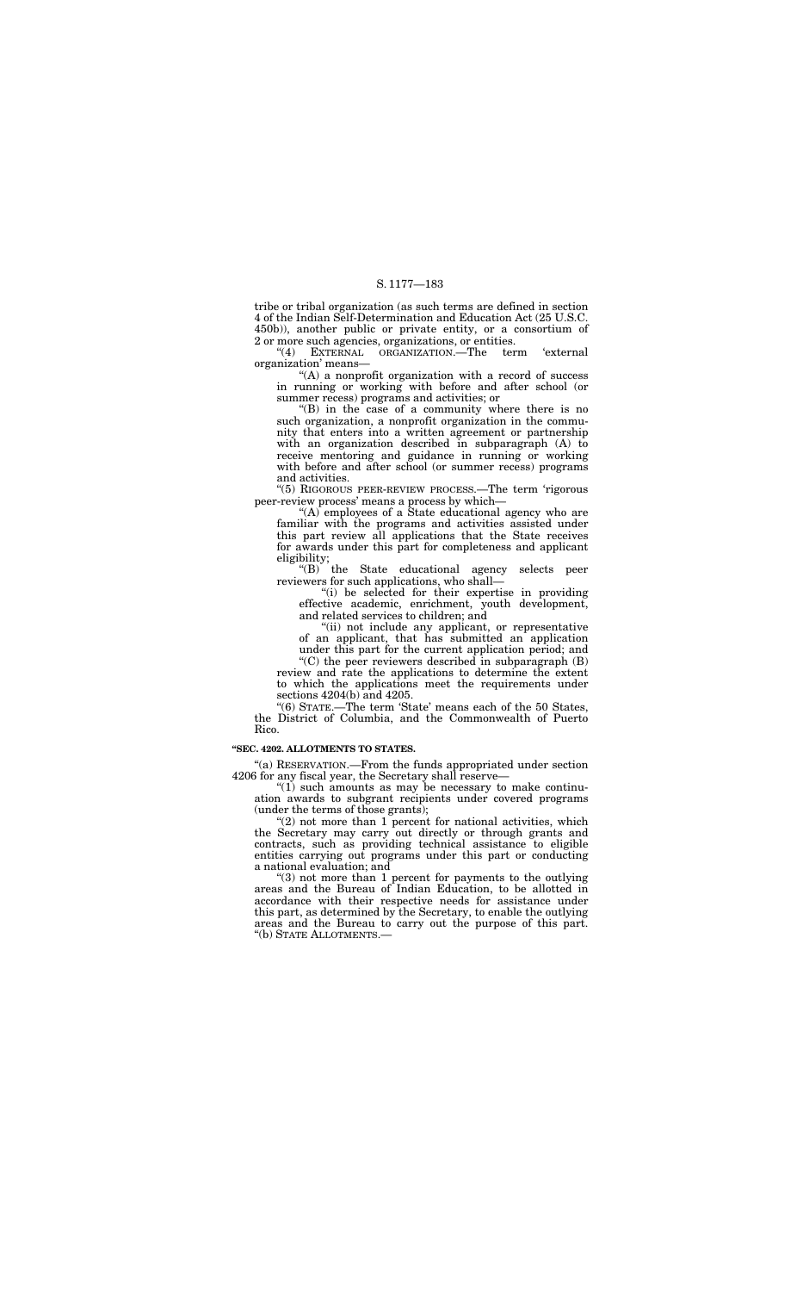tribe or tribal organization (as such terms are defined in section 4 of the Indian Self-Determination and Education Act (25 U.S.C. 450b)), another public or private entity, or a consortium of 2 or more such agencies, organizations, or entities.

''(4) EXTERNAL ORGANIZATION.—The term 'external organization' means—

''(A) a nonprofit organization with a record of success in running or working with before and after school (or summer recess) programs and activities; or

 $f(B)$  in the case of a community where there is no such organization, a nonprofit organization in the community that enters into a written agreement or partnership with an organization described in subparagraph (A) to receive mentoring and guidance in running or working with before and after school (or summer recess) programs and activities.

" $(A)$  employees of a State educational agency who are familiar with the programs and activities assisted under this part review all applications that the State receives for awards under this part for completeness and applicant eligibility;

"(B) the State educational agency selects peer reviewers for such applications, who shall—

"(i) be selected for their expertise in providing effective academic, enrichment, youth development, and related services to children; and

"(ii) not include any applicant, or representative of an applicant, that has submitted an application under this part for the current application period; and

''(5) RIGOROUS PEER-REVIEW PROCESS.—The term 'rigorous peer-review process' means a process by which—

"(C) the peer reviewers described in subparagraph  $(B)$ review and rate the applications to determine the extent to which the applications meet the requirements under sections 4204(b) and 4205.

" $(1)$  such amounts as may be necessary to make continuation awards to subgrant recipients under covered programs (under the terms of those grants);

" $(2)$  not more than 1 percent for national activities, which the Secretary may carry out directly or through grants and contracts, such as providing technical assistance to eligible entities carrying out programs under this part or conducting a national evaluation; and

''(6) STATE.—The term 'State' means each of the 50 States, the District of Columbia, and the Commonwealth of Puerto Rico.

#### **''SEC. 4202. ALLOTMENTS TO STATES.**

''(a) RESERVATION.—From the funds appropriated under section 4206 for any fiscal year, the Secretary shall reserve—

''(3) not more than 1 percent for payments to the outlying areas and the Bureau of Indian Education, to be allotted in accordance with their respective needs for assistance under this part, as determined by the Secretary, to enable the outlying areas and the Bureau to carry out the purpose of this part. ''(b) STATE ALLOTMENTS.—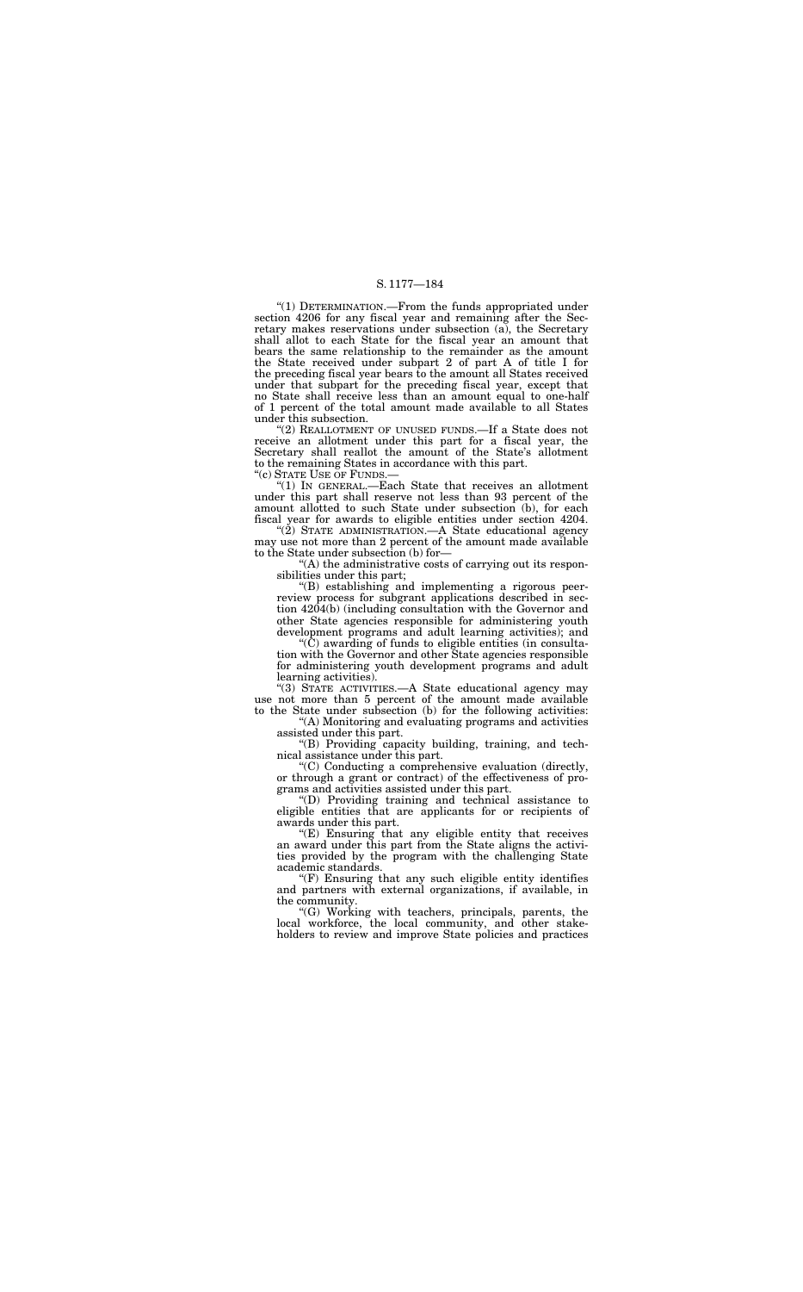''(1) DETERMINATION.—From the funds appropriated under section 4206 for any fiscal year and remaining after the Secretary makes reservations under subsection (a), the Secretary shall allot to each State for the fiscal year an amount that bears the same relationship to the remainder as the amount the State received under subpart 2 of part A of title I for the preceding fiscal year bears to the amount all States received under that subpart for the preceding fiscal year, except that no State shall receive less than an amount equal to one-half of 1 percent of the total amount made available to all States under this subsection.

"(2) REALLOTMENT OF UNUSED FUNDS.—If a State does not receive an allotment under this part for a fiscal year, the Secretary shall reallot the amount of the State's allotment to the remaining States in accordance with this part.<br>"(c) STATE USE OF FUNDS.—

"(1) In GENERAL.—Each State that receives an allotment under this part shall reserve not less than 93 percent of the amount allotted to such State under subsection (b), for each fiscal year for awards to eligible entities under section 4204.

"(2) STATE ADMINISTRATION.—A State educational agency may use not more than 2 percent of the amount made available to the State under subsection (b) for—

 $<sup>4</sup>(A)$  the administrative costs of carrying out its respon-</sup> sibilities under this part;

 $\rm(C)$  awarding of funds to eligible entities (in consultation with the Governor and other State agencies responsible for administering youth development programs and adult learning activities).

 $f(D)$  Providing training and technical assistance to eligible entities that are applicants for or recipients of awards under this part.

 $(F)$  Ensuring that any such eligible entity identifies and partners with external organizations, if available, in the community.

''(B) establishing and implementing a rigorous peerreview process for subgrant applications described in section 4204(b) (including consultation with the Governor and other State agencies responsible for administering youth development programs and adult learning activities); and

''(3) STATE ACTIVITIES.—A State educational agency may use not more than 5 percent of the amount made available to the State under subsection (b) for the following activities:

''(A) Monitoring and evaluating programs and activities assisted under this part.

''(B) Providing capacity building, training, and technical assistance under this part.

''(C) Conducting a comprehensive evaluation (directly, or through a grant or contract) of the effectiveness of programs and activities assisted under this part.

''(E) Ensuring that any eligible entity that receives an award under this part from the State aligns the activities provided by the program with the challenging State academic standards.

''(G) Working with teachers, principals, parents, the local workforce, the local community, and other stakeholders to review and improve State policies and practices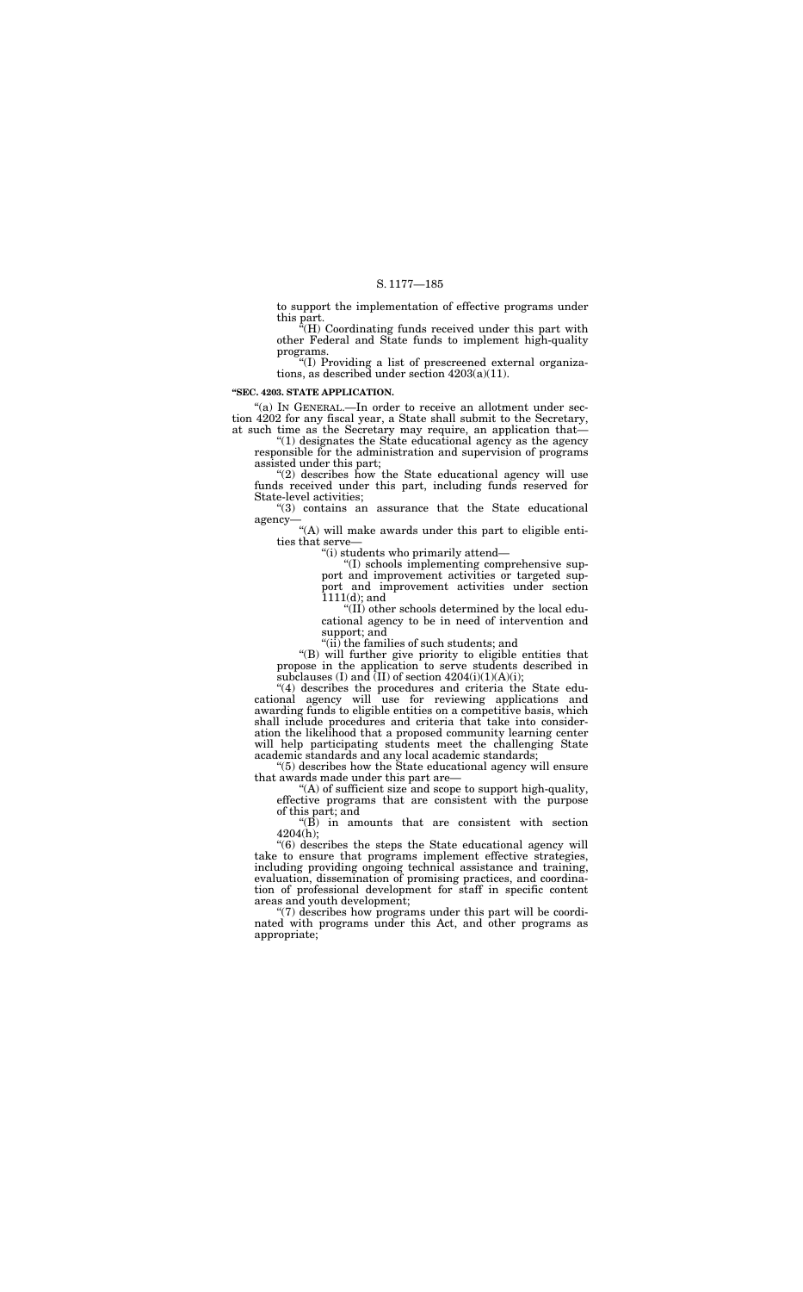to support the implementation of effective programs under this part.

''(H) Coordinating funds received under this part with other Federal and State funds to implement high-quality programs.

''(I) Providing a list of prescreened external organizations, as described under section 4203(a)(11).

"(a) IN GENERAL.—In order to receive an allotment under section 4202 for any fiscal year, a State shall submit to the Secretary, at such time as the Secretary may require, an application that—

#### **''SEC. 4203. STATE APPLICATION.**

" $(2)$  describes how the State educational agency will use funds received under this part, including funds reserved for State-level activities;

> ''(I) schools implementing comprehensive support and improvement activities or targeted support and improvement activities under section  $1111(d)$ ; and

''(1) designates the State educational agency as the agency responsible for the administration and supervision of programs assisted under this part;

''(B) will further give priority to eligible entities that propose in the application to serve students described in subclauses (I) and  $\tilde{I}$  (II) of section 4204(i)(1)(A)(i);

''(3) contains an assurance that the State educational agency—

''(A) will make awards under this part to eligible entities that serve—

''(i) students who primarily attend—

 $\sqrt[4]{(B)}$  in amounts that are consistent with section 4204(h);

''(II) other schools determined by the local educational agency to be in need of intervention and support; and

''(ii) the families of such students; and

''(4) describes the procedures and criteria the State educational agency will use for reviewing applications and awarding funds to eligible entities on a competitive basis, which shall include procedures and criteria that take into consideration the likelihood that a proposed community learning center will help participating students meet the challenging State academic standards and any local academic standards;

''(5) describes how the State educational agency will ensure that awards made under this part are—

''(A) of sufficient size and scope to support high-quality, effective programs that are consistent with the purpose of this part; and

''(6) describes the steps the State educational agency will take to ensure that programs implement effective strategies, including providing ongoing technical assistance and training, evaluation, dissemination of promising practices, and coordination of professional development for staff in specific content areas and youth development;

''(7) describes how programs under this part will be coordinated with programs under this Act, and other programs as appropriate;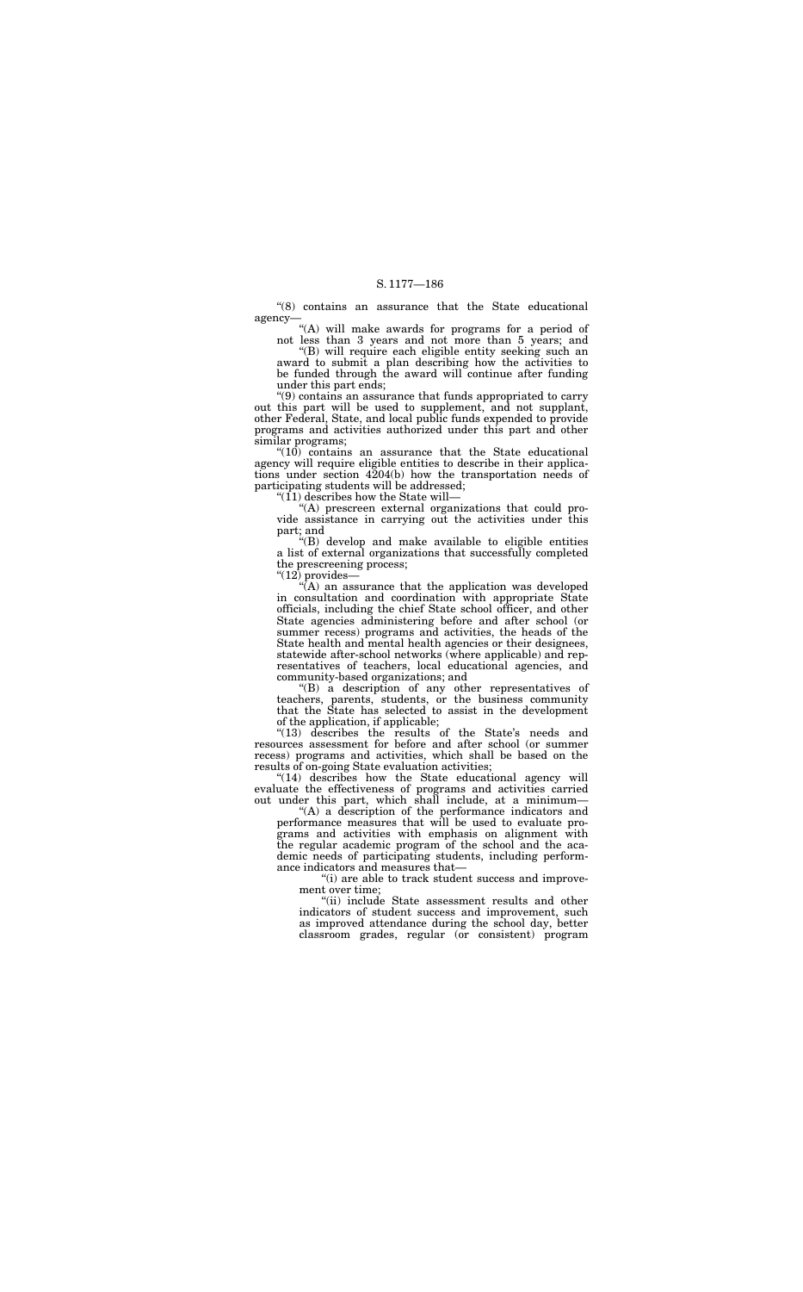''(8) contains an assurance that the State educational agency—

"(A) will make awards for programs for a period of not less than 3 years and not more than 5 years; and

''(B) will require each eligible entity seeking such an award to submit a plan describing how the activities to be funded through the award will continue after funding under this part ends;

 $\degree$ (10) contains an assurance that the State educational agency will require eligible entities to describe in their applications under section 4204(b) how the transportation needs of participating students will be addressed;

" $(1)$  describes how the State will—

''(9) contains an assurance that funds appropriated to carry out this part will be used to supplement, and not supplant, other Federal, State, and local public funds expended to provide programs and activities authorized under this part and other similar programs;

"(A) prescreen external organizations that could provide assistance in carrying out the activities under this part; and

 $\sqrt{\rm A}$  an assurance that the application was developed in consultation and coordination with appropriate State officials, including the chief State school officer, and other State agencies administering before and after school (or summer recess) programs and activities, the heads of the State health and mental health agencies or their designees, statewide after-school networks (where applicable) and representatives of teachers, local educational agencies, and community-based organizations; and

"(13) describes the results of the State's needs and resources assessment for before and after school (or summer recess) programs and activities, which shall be based on the results of on-going State evaluation activities;

''(B) develop and make available to eligible entities a list of external organizations that successfully completed the prescreening process;

"(14) describes how the State educational agency will evaluate the effectiveness of programs and activities carried out under this part, which shall include, at a minimum—

''(12) provides—

''(B) a description of any other representatives of teachers, parents, students, or the business community that the State has selected to assist in the development of the application, if applicable;

''(A) a description of the performance indicators and performance measures that will be used to evaluate programs and activities with emphasis on alignment with the regular academic program of the school and the academic needs of participating students, including performance indicators and measures that—

''(i) are able to track student success and improvement over time;

''(ii) include State assessment results and other indicators of student success and improvement, such as improved attendance during the school day, better classroom grades, regular (or consistent) program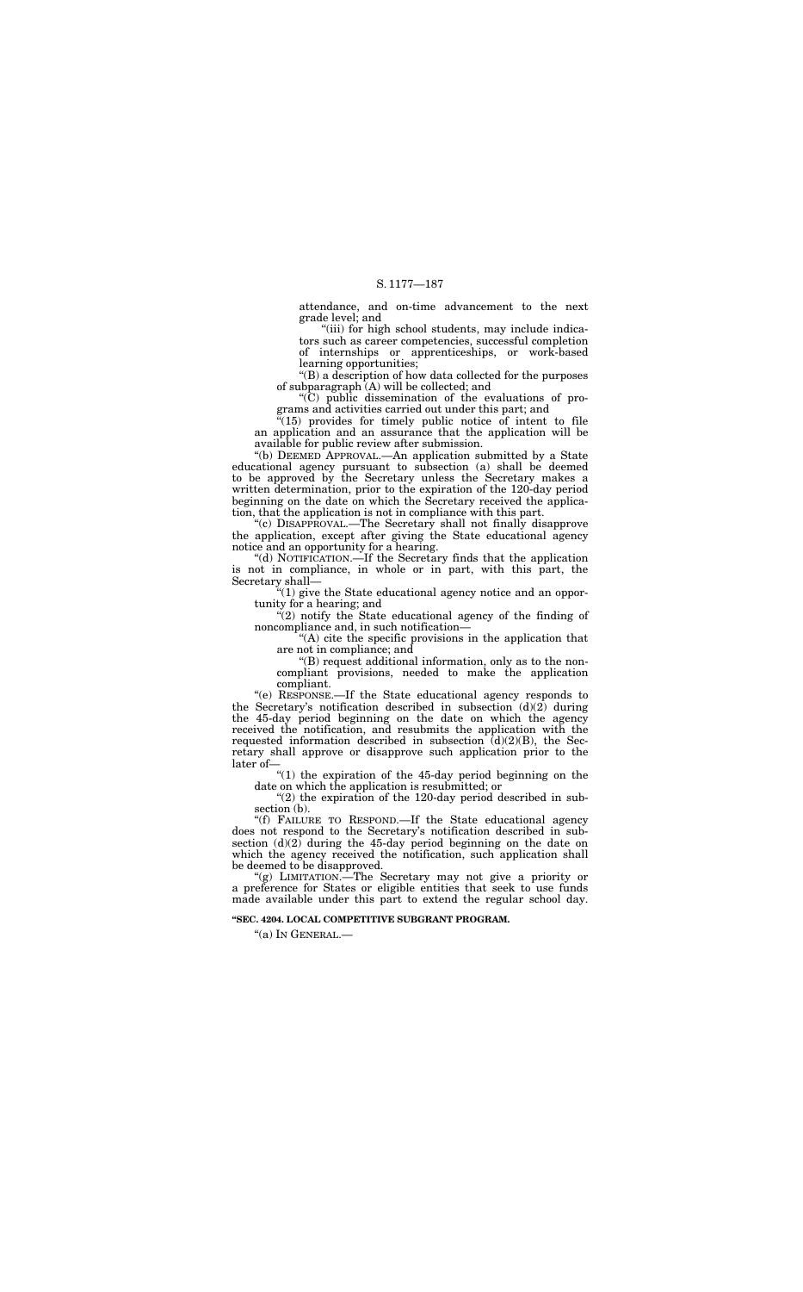attendance, and on-time advancement to the next grade level; and

"(iii) for high school students, may include indicators such as career competencies, successful completion of internships or apprenticeships, or work-based learning opportunities;

''(B) a description of how data collected for the purposes of subparagraph  $(A)$  will be collected; and

"(15) provides for timely public notice of intent to file an application and an assurance that the application will be available for public review after submission.

''(C) public dissemination of the evaluations of programs and activities carried out under this part; and

"(c) DISAPPROVAL.—The Secretary shall not finally disapprove the application, except after giving the State educational agency notice and an opportunity for a hearing.

 $(2)$  notify the State educational agency of the finding of noncompliance and, in such notification—

''(b) DEEMED APPROVAL.—An application submitted by a State educational agency pursuant to subsection (a) shall be deemed to be approved by the Secretary unless the Secretary makes a written determination, prior to the expiration of the 120-day period beginning on the date on which the Secretary received the application, that the application is not in compliance with this part.

" $(1)$  the expiration of the 45-day period beginning on the date on which the application is resubmitted; or

" $(2)$  the expiration of the 120-day period described in subsection (b).

''(d) NOTIFICATION.—If the Secretary finds that the application is not in compliance, in whole or in part, with this part, the Secretary shall—

''(1) give the State educational agency notice and an opportunity for a hearing; and

''(A) cite the specific provisions in the application that are not in compliance; and

''(B) request additional information, only as to the noncompliant provisions, needed to make the application compliant.

''(e) RESPONSE.—If the State educational agency responds to the Secretary's notification described in subsection  $(d)(2)$  during the 45-day period beginning on the date on which the agency received the notification, and resubmits the application with the requested information described in subsection  $\vec{d}$ (d)(2)(B), the Secretary shall approve or disapprove such application prior to the later of—

''(f) FAILURE TO RESPOND.—If the State educational agency does not respond to the Secretary's notification described in subsection (d)(2) during the 45-day period beginning on the date on which the agency received the notification, such application shall be deemed to be disapproved.

''(g) LIMITATION.—The Secretary may not give a priority or a preference for States or eligible entities that seek to use funds made available under this part to extend the regular school day.

#### **''SEC. 4204. LOCAL COMPETITIVE SUBGRANT PROGRAM.**

''(a) IN GENERAL.—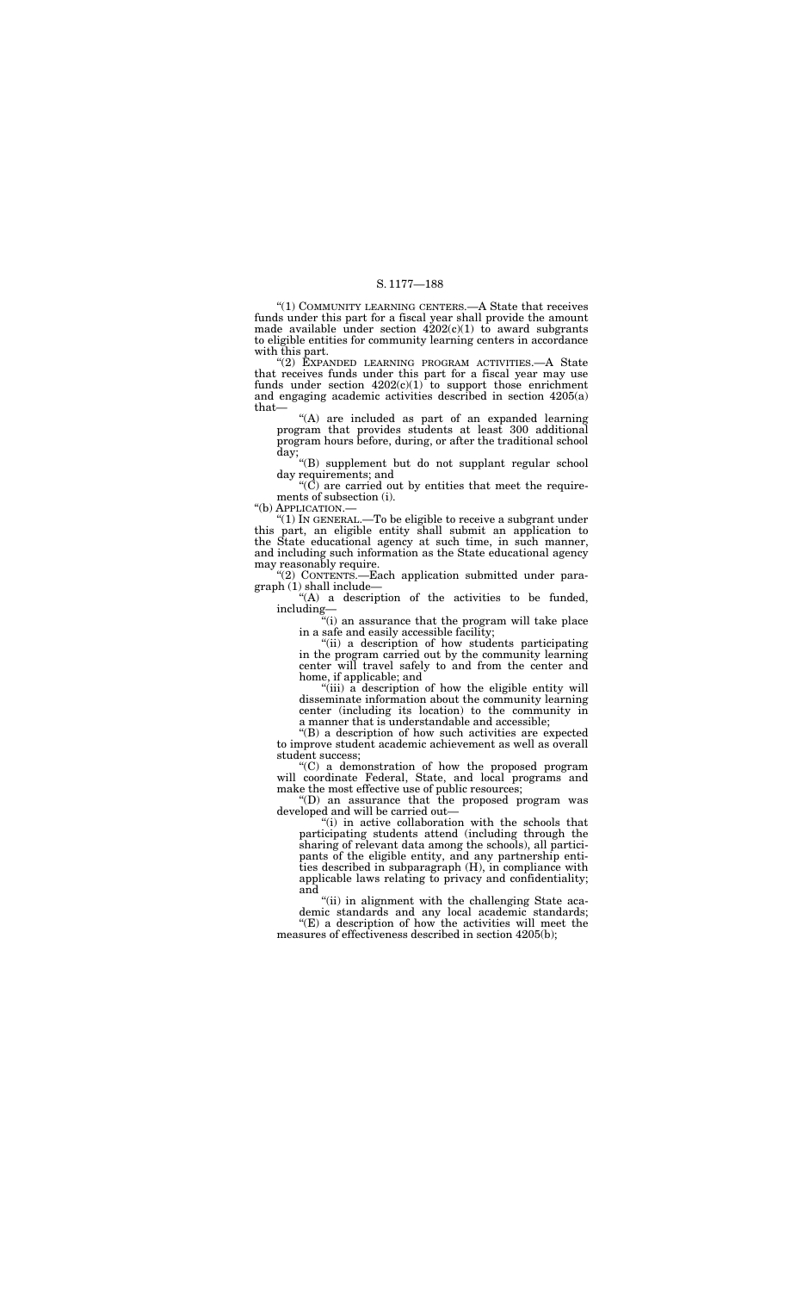''(1) COMMUNITY LEARNING CENTERS.—A State that receives funds under this part for a fiscal year shall provide the amount made available under section  $4202(c)(1)$  to award subgrants to eligible entities for community learning centers in accordance with this part.

"(2) EXPANDED LEARNING PROGRAM ACTIVITIES.—A State that receives funds under this part for a fiscal year may use funds under section  $4202(c)(1)$  to support those enrichment and engaging academic activities described in section 4205(a) that—

"(1) IN GENERAL.—To be eligible to receive a subgrant under this part, an eligible entity shall submit an application to the State educational agency at such time, in such manner, and including such information as the State educational agency may reasonably require.

''(A) are included as part of an expanded learning program that provides students at least 300 additional program hours before, during, or after the traditional school day;

"(2) CONTENTS.—Each application submitted under paragraph (1) shall include—

"(A) a description of the activities to be funded, including—

''(B) supplement but do not supplant regular school day requirements; and

" $(\overline{C})$  are carried out by entities that meet the requirements of subsection (i).<br>
"(b) APPLICATION.—

"(iii) a description of how the eligible entity will disseminate information about the community learning center (including its location) to the community in a manner that is understandable and accessible;

''(i) an assurance that the program will take place in a safe and easily accessible facility;

"(ii) in alignment with the challenging State academic standards and any local academic standards; " $(E)$  a description of how the activities will meet the measures of effectiveness described in section 4205(b);

''(ii) a description of how students participating in the program carried out by the community learning center will travel safely to and from the center and home, if applicable; and

''(B) a description of how such activities are expected to improve student academic achievement as well as overall student success;

''(C) a demonstration of how the proposed program will coordinate Federal, State, and local programs and make the most effective use of public resources;

''(D) an assurance that the proposed program was developed and will be carried out—

''(i) in active collaboration with the schools that participating students attend (including through the sharing of relevant data among the schools), all participants of the eligible entity, and any partnership entities described in subparagraph (H), in compliance with applicable laws relating to privacy and confidentiality; and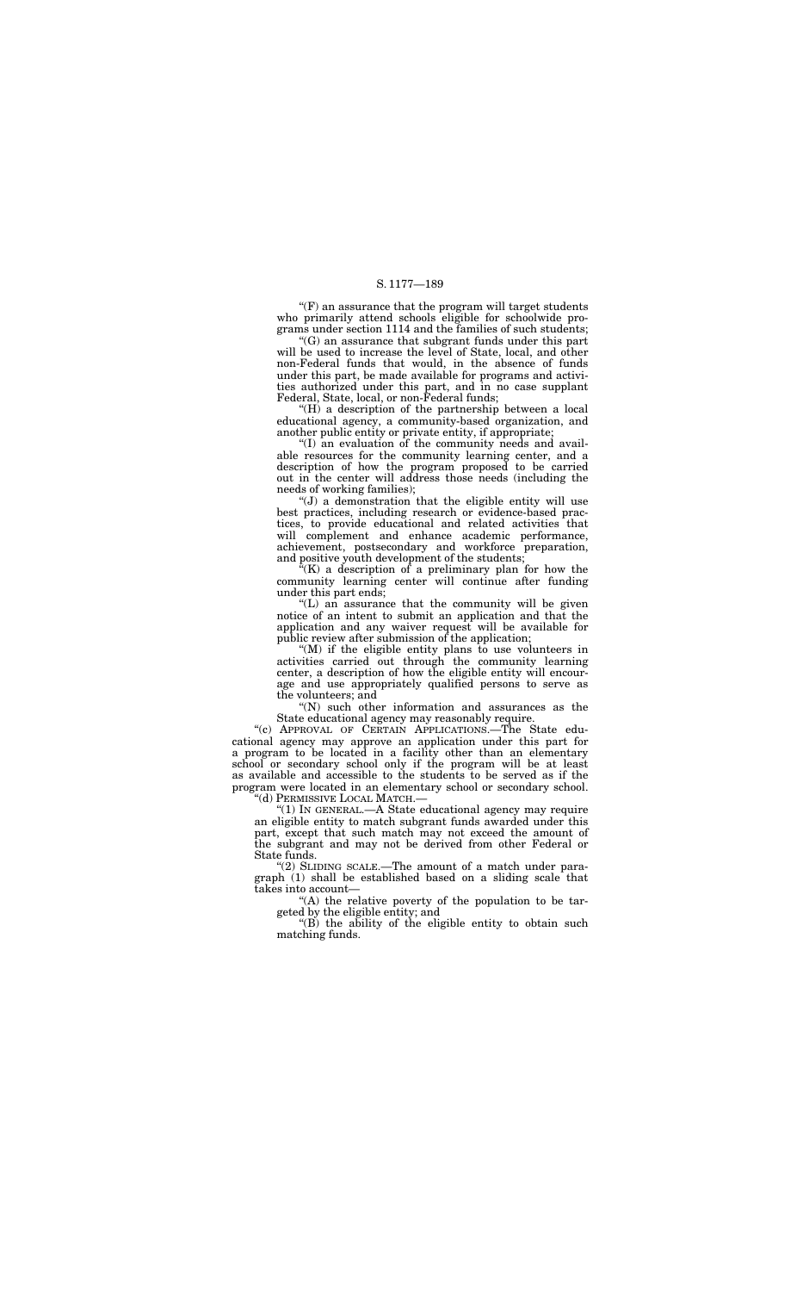$F(F)$  an assurance that the program will target students who primarily attend schools eligible for schoolwide programs under section 1114 and the families of such students;

''(G) an assurance that subgrant funds under this part will be used to increase the level of State, local, and other non-Federal funds that would, in the absence of funds under this part, be made available for programs and activities authorized under this part, and in no case supplant Federal, State, local, or non-Federal funds;

''(H) a description of the partnership between a local educational agency, a community-based organization, and another public entity or private entity, if appropriate;

"(J) a demonstration that the eligible entity will use best practices, including research or evidence-based practices, to provide educational and related activities that will complement and enhance academic performance, achievement, postsecondary and workforce preparation, and positive youth development of the students;

 $K^*(K)$  a description of a preliminary plan for how the community learning center will continue after funding under this part ends;

 $f(L)$  an assurance that the community will be given notice of an intent to submit an application and that the application and any waiver request will be available for public review after submission of the application;

''(I) an evaluation of the community needs and available resources for the community learning center, and a description of how the program proposed to be carried out in the center will address those needs (including the needs of working families);

"(M) if the eligible entity plans to use volunteers in activities carried out through the community learning center, a description of how the eligible entity will encourage and use appropriately qualified persons to serve as the volunteers; and

 $(N)$  such other information and assurances as the State educational agency may reasonably require.

"(2) SLIDING SCALE.—The amount of a match under paragraph (1) shall be established based on a sliding scale that takes into account—

"(A) the relative poverty of the population to be targeted by the eligible entity; and

"(B) the ability of the eligible entity to obtain such matching funds.

''(c) APPROVAL OF CERTAIN APPLICATIONS.—The State educational agency may approve an application under this part for a program to be located in a facility other than an elementary school or secondary school only if the program will be at least as available and accessible to the students to be served as if the program were located in an elementary school or secondary school. ''(d) PERMISSIVE LOCAL MATCH.—

''(1) IN GENERAL.—A State educational agency may require an eligible entity to match subgrant funds awarded under this part, except that such match may not exceed the amount of the subgrant and may not be derived from other Federal or State funds.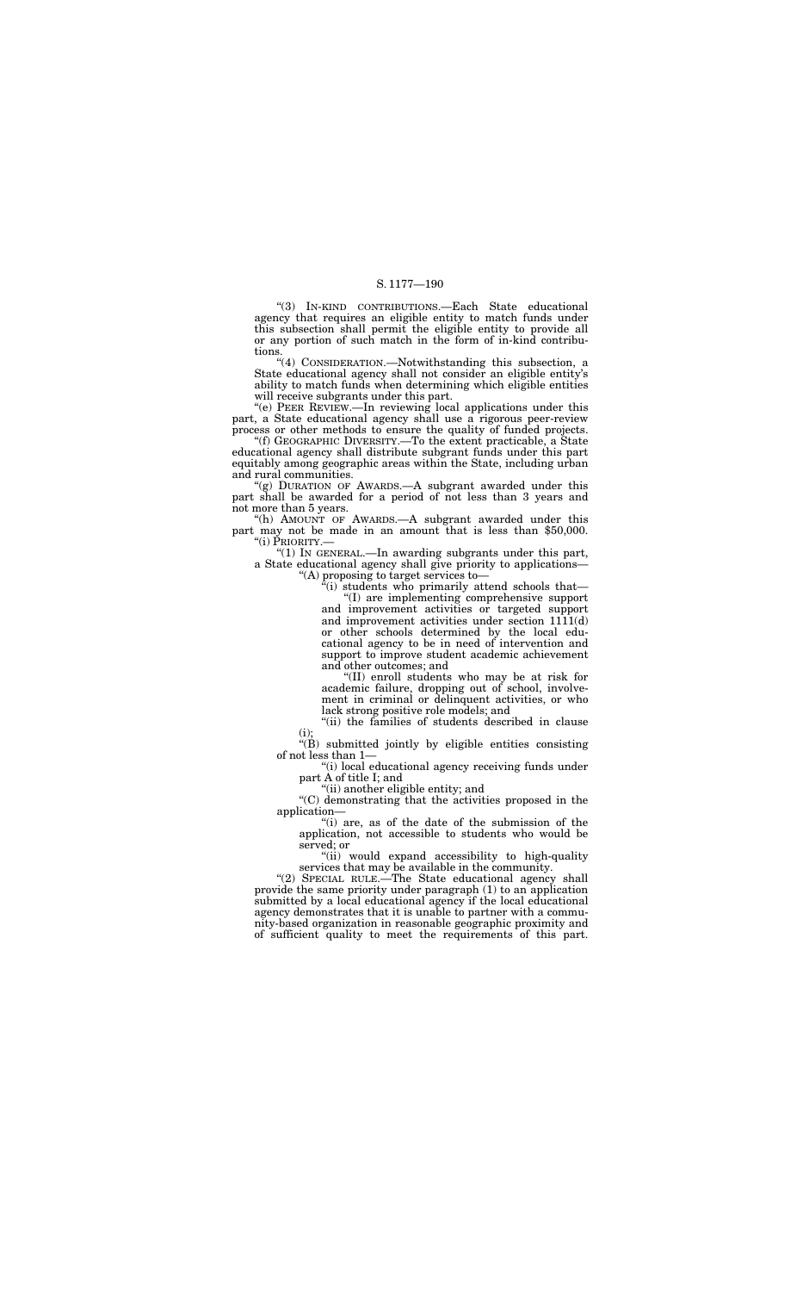''(3) IN-KIND CONTRIBUTIONS.—Each State educational agency that requires an eligible entity to match funds under this subsection shall permit the eligible entity to provide all or any portion of such match in the form of in-kind contributions.

"(4) CONSIDERATION.--Notwithstanding this subsection, a State educational agency shall not consider an eligible entity's ability to match funds when determining which eligible entities will receive subgrants under this part.

"(e) PEER REVIEW.—In reviewing local applications under this part, a State educational agency shall use a rigorous peer-review process or other methods to ensure the quality of funded projects.

''(f) GEOGRAPHIC DIVERSITY.—To the extent practicable, a State educational agency shall distribute subgrant funds under this part equitably among geographic areas within the State, including urban and rural communities.

"(g) DURATION OF AWARDS.—A subgrant awarded under this part shall be awarded for a period of not less than 3 years and not more than 5 years.<br>"(h) AMOUNT OF AWARDS.—A subgrant awarded under this

> "(ii) the families of students described in clause (i);

''(h) AMOUNT OF AWARDS.—A subgrant awarded under this part may not be made in an amount that is less than \$50,000.

''(i) PRIORITY.— ''(1) IN GENERAL.—In awarding subgrants under this part,  $(1)$  IN GENERAL.—In awarding subgrants under this part, a State educational agency shall give priority to applications— ''(A) proposing to target services to—

''(i) students who primarily attend schools that—

"(2) SPECIAL RULE.—The State educational agency shall provide the same priority under paragraph (1) to an application submitted by a local educational agency if the local educational agency demonstrates that it is unable to partner with a community-based organization in reasonable geographic proximity and of sufficient quality to meet the requirements of this part.

''(I) are implementing comprehensive support and improvement activities or targeted support and improvement activities under section 1111(d) or other schools determined by the local educational agency to be in need of intervention and support to improve student academic achievement and other outcomes; and

''(II) enroll students who may be at risk for academic failure, dropping out of school, involvement in criminal or delinquent activities, or who lack strong positive role models; and

''(B) submitted jointly by eligible entities consisting of not less than 1—

''(i) local educational agency receiving funds under part A of title I; and

''(ii) another eligible entity; and

''(C) demonstrating that the activities proposed in the application—

''(i) are, as of the date of the submission of the application, not accessible to students who would be served; or

''(ii) would expand accessibility to high-quality services that may be available in the community.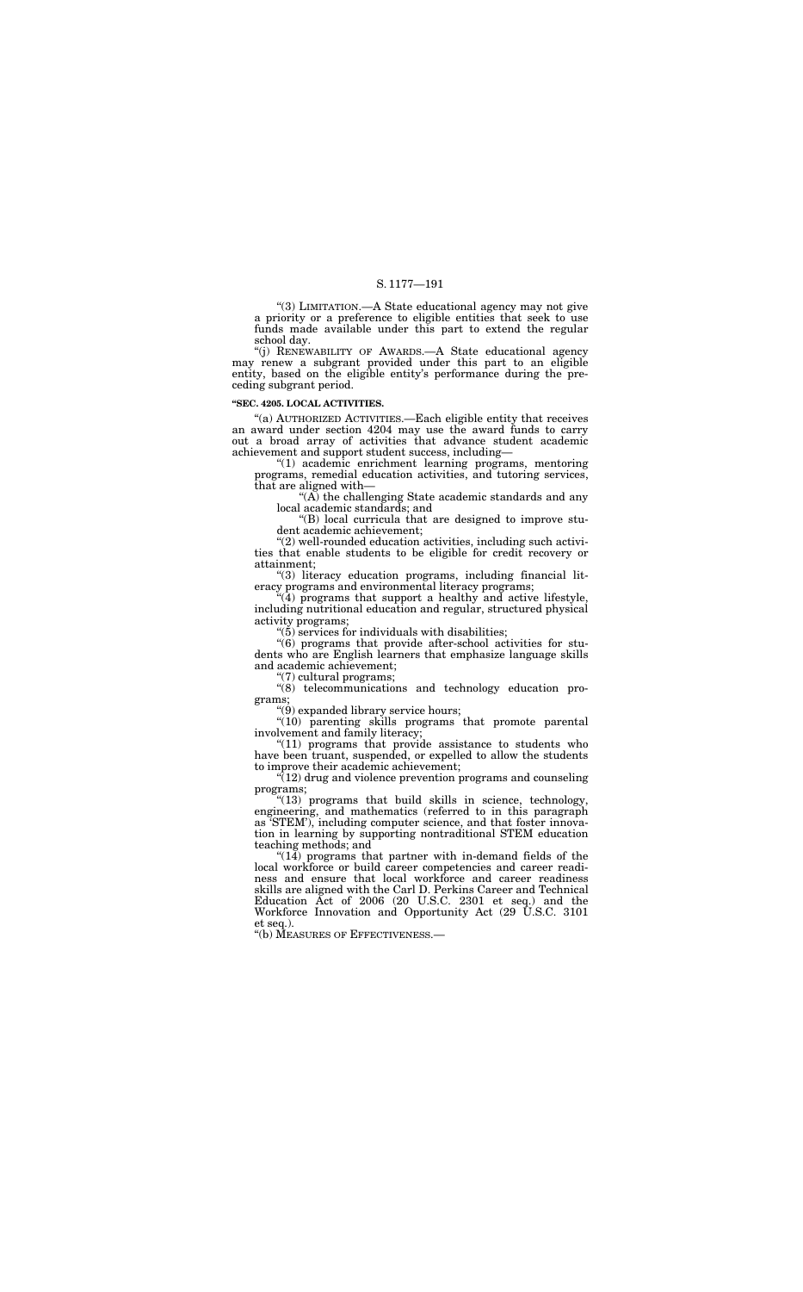''(3) LIMITATION.—A State educational agency may not give a priority or a preference to eligible entities that seek to use funds made available under this part to extend the regular school day.

''(j) RENEWABILITY OF AWARDS.—A State educational agency may renew a subgrant provided under this part to an eligible entity, based on the eligible entity's performance during the preceding subgrant period.

#### **''SEC. 4205. LOCAL ACTIVITIES.**

"(A) the challenging State academic standards and any local academic standards; and

''(a) AUTHORIZED ACTIVITIES.—Each eligible entity that receives an award under section 4204 may use the award funds to carry out a broad array of activities that advance student academic achievement and support student success, including—

 $''(2)$  well-rounded education activities, including such activities that enable students to be eligible for credit recovery or attainment;

''(1) academic enrichment learning programs, mentoring programs, remedial education activities, and tutoring services, that are aligned with—

 $'(6)$  programs that provide after-school activities for students who are English learners that emphasize language skills and academic achievement;

''(B) local curricula that are designed to improve student academic achievement;

"(11) programs that provide assistance to students who have been truant, suspended, or expelled to allow the students to improve their academic achievement;

"(13) programs that build skills in science, technology, engineering, and mathematics (referred to in this paragraph as 'STEM'), including computer science, and that foster innovation in learning by supporting nontraditional STEM education teaching methods; and

''(3) literacy education programs, including financial literacy programs and environmental literacy programs;

''(4) programs that support a healthy and active lifestyle, including nutritional education and regular, structured physical activity programs;

" $(5)$  services for individuals with disabilities;

" $(14)$  programs that partner with in-demand fields of the local workforce or build career competencies and career readiness and ensure that local workforce and career readiness skills are aligned with the Carl D. Perkins Career and Technical Education Act of 2006 (20 U.S.C. 2301 et seq.) and the Workforce Innovation and Opportunity Act (29 U.S.C. 3101 et seq.).

''(7) cultural programs;

''(8) telecommunications and technology education programs;

" $(9)$  expanded library service hours;

''(10) parenting skills programs that promote parental involvement and family literacy;

''(12) drug and violence prevention programs and counseling programs;

''(b) MEASURES OF EFFECTIVENESS.—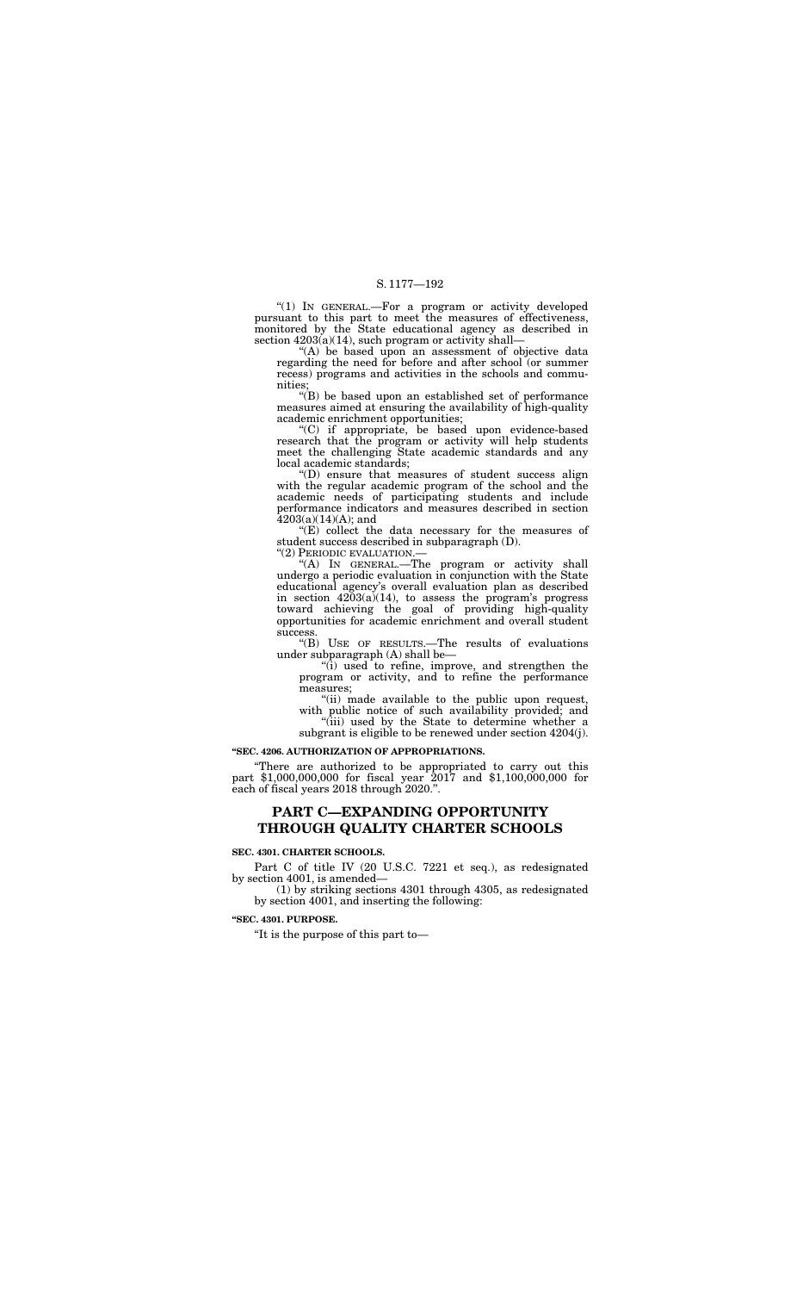"(1) In GENERAL.—For a program or activity developed pursuant to this part to meet the measures of effectiveness, monitored by the State educational agency as described in section  $4203(a)(14)$ , such program or activity shall-

"(A) be based upon an assessment of objective data regarding the need for before and after school (or summer recess) programs and activities in the schools and communities;

''(D) ensure that measures of student success align with the regular academic program of the school and the academic needs of participating students and include performance indicators and measures described in section  $4203(a)(14)(A);$  and

''(B) be based upon an established set of performance measures aimed at ensuring the availability of high-quality academic enrichment opportunities;

''(E) collect the data necessary for the measures of student success described in subparagraph (D).<br>"(2) PERIODIC EVALUATION.—

''(C) if appropriate, be based upon evidence-based research that the program or activity will help students meet the challenging State academic standards and any local academic standards;

"(A) In GENERAL.—The program or activity shall undergo a periodic evaluation in conjunction with the State educational agency's overall evaluation plan as described in section  $4203(a)(14)$ , to assess the program's progress toward achieving the goal of providing high-quality opportunities for academic enrichment and overall student success.

''(B) USE OF RESULTS.—The results of evaluations under subparagraph (A) shall be—

''(i) used to refine, improve, and strengthen the program or activity, and to refine the performance measures;

''(ii) made available to the public upon request, with public notice of such availability provided; and ''(iii) used by the State to determine whether a

subgrant is eligible to be renewed under section 4204(j).

#### **''SEC. 4206. AUTHORIZATION OF APPROPRIATIONS.**

''There are authorized to be appropriated to carry out this part \$1,000,000,000 for fiscal year 2017 and \$1,100,000,000 for each of fiscal years 2018 through 2020.''.

# **PART C—EXPANDING OPPORTUNITY THROUGH QUALITY CHARTER SCHOOLS**

#### **SEC. 4301. CHARTER SCHOOLS.**

Part C of title IV (20 U.S.C. 7221 et seq.), as redesignated by section 4001, is amended—

(1) by striking sections 4301 through 4305, as redesignated by section 4001, and inserting the following:

#### **''SEC. 4301. PURPOSE.**

''It is the purpose of this part to—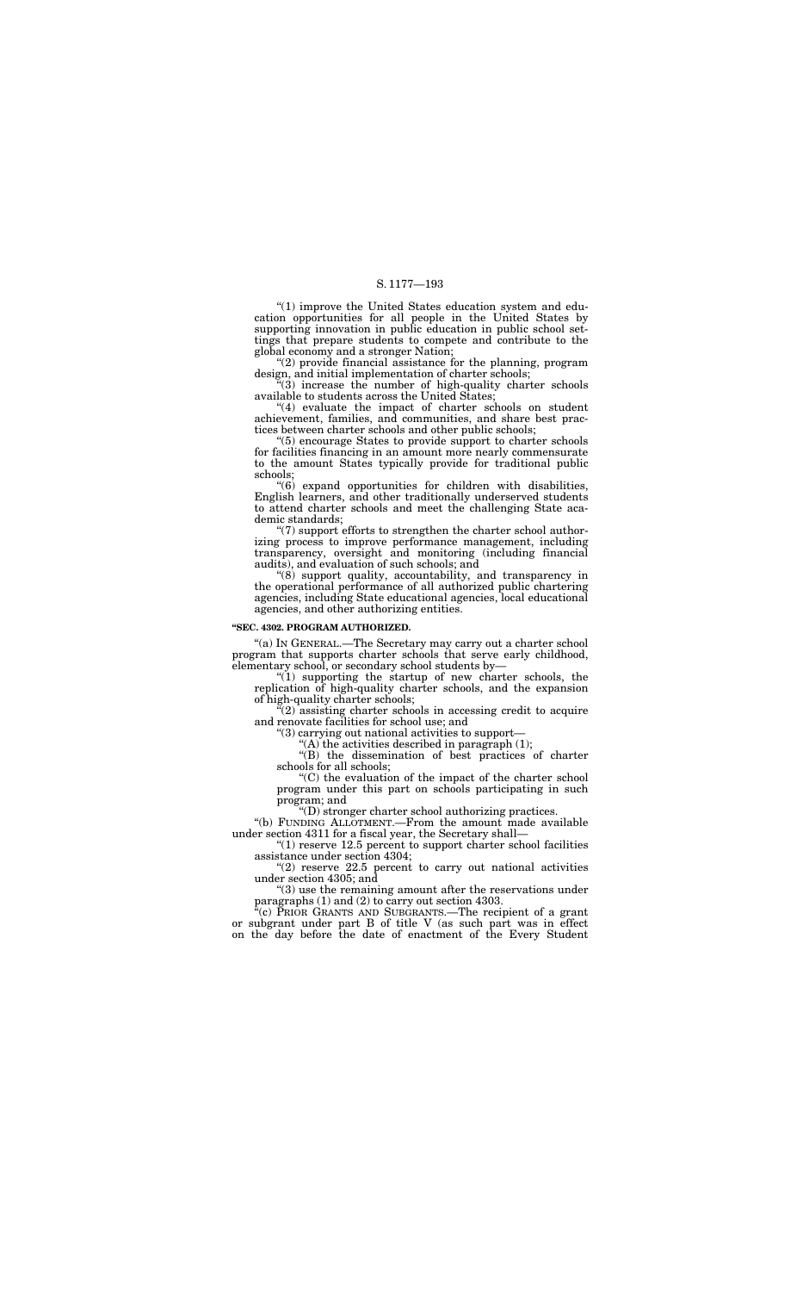''(1) improve the United States education system and education opportunities for all people in the United States by supporting innovation in public education in public school settings that prepare students to compete and contribute to the global economy and a stronger Nation;

"(2) provide financial assistance for the planning, program design, and initial implementation of charter schools;

 $\cdot$ (3) increase the number of high-quality charter schools available to students across the United States;

"(4) evaluate the impact of charter schools on student achievement, families, and communities, and share best practices between charter schools and other public schools;

 $\cdot (6)$  expand opportunities for children with disabilities, English learners, and other traditionally underserved students to attend charter schools and meet the challenging State academic standards;

''(5) encourage States to provide support to charter schools for facilities financing in an amount more nearly commensurate to the amount States typically provide for traditional public schools;

 $(1)$  supporting the startup of new charter schools, the replication of high-quality charter schools, and the expansion of high-quality charter schools;

 $\sqrt[\alpha]{2}$  assisting charter schools in accessing credit to acquire and renovate facilities for school use; and

''(7) support efforts to strengthen the charter school authorizing process to improve performance management, including transparency, oversight and monitoring (including financial audits), and evaluation of such schools; and

 $"(1)$  reserve 12.5 percent to support charter school facilities assistance under section 4304;

" $(2)$  reserve 22.5 percent to carry out national activities under section 4305; and

''(8) support quality, accountability, and transparency in the operational performance of all authorized public chartering agencies, including State educational agencies, local educational agencies, and other authorizing entities.

#### **''SEC. 4302. PROGRAM AUTHORIZED.**

''(a) IN GENERAL.—The Secretary may carry out a charter school program that supports charter schools that serve early childhood, elementary school, or secondary school students by—

''(3) carrying out national activities to support—

"(A) the activities described in paragraph  $(1)$ ;

''(B) the dissemination of best practices of charter schools for all schools;

''(C) the evaluation of the impact of the charter school program under this part on schools participating in such program; and

''(D) stronger charter school authorizing practices.

''(b) FUNDING ALLOTMENT.—From the amount made available under section 4311 for a fiscal year, the Secretary shall—

''(3) use the remaining amount after the reservations under paragraphs (1) and (2) to carry out section 4303.

''(c) PRIOR GRANTS AND SUBGRANTS.—The recipient of a grant or subgrant under part B of title V (as such part was in effect on the day before the date of enactment of the Every Student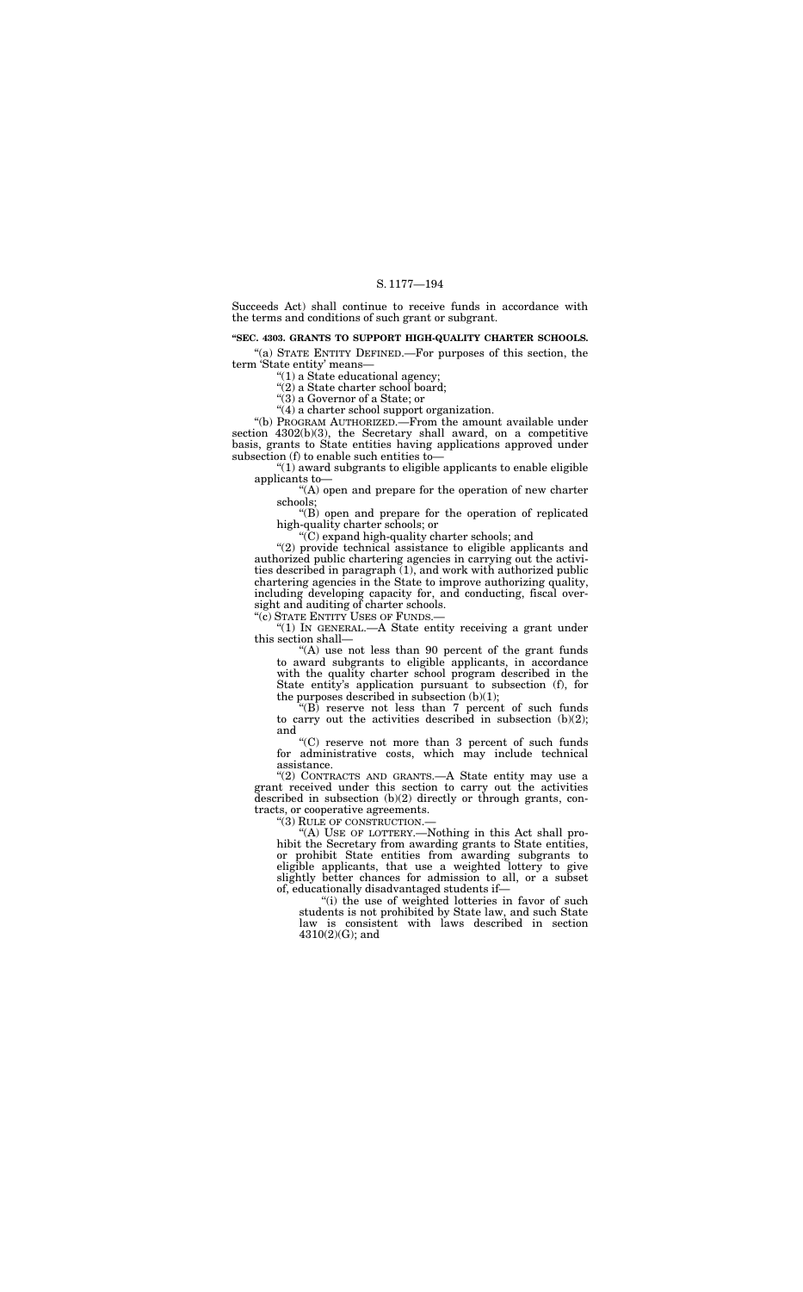Succeeds Act) shall continue to receive funds in accordance with the terms and conditions of such grant or subgrant.

#### **''SEC. 4303. GRANTS TO SUPPORT HIGH-QUALITY CHARTER SCHOOLS.**

''(a) STATE ENTITY DEFINED.—For purposes of this section, the term 'State entity' means—

''(1) a State educational agency;

"(2) a State charter school board;

''(3) a Governor of a State; or

''(4) a charter school support organization.

''(b) PROGRAM AUTHORIZED.—From the amount available under section 4302(b)(3), the Secretary shall award, on a competitive basis, grants to State entities having applications approved under subsection (f) to enable such entities to—

''(1) award subgrants to eligible applicants to enable eligible applicants to—

"(1) IN GENERAL.—A State entity receiving a grant under this section shall—

''(A) open and prepare for the operation of new charter schools;

"(A) use not less than 90 percent of the grant funds to award subgrants to eligible applicants, in accordance with the quality charter school program described in the State entity's application pursuant to subsection (f), for the purposes described in subsection (b)(1);

''(B) open and prepare for the operation of replicated high-quality charter schools; or

''(C) expand high-quality charter schools; and

''(2) provide technical assistance to eligible applicants and authorized public chartering agencies in carrying out the activities described in paragraph (1), and work with authorized public chartering agencies in the State to improve authorizing quality, including developing capacity for, and conducting, fiscal oversight and auditing of charter schools.

"(A) USE OF LOTTERY.--Nothing in this Act shall prohibit the Secretary from awarding grants to State entities, or prohibit State entities from awarding subgrants to eligible applicants, that use a weighted lottery to give slightly better chances for admission to all, or a subset of, educationally disadvantaged students if—

''(c) STATE ENTITY USES OF FUNDS.—

"(i) the use of weighted lotteries in favor of such students is not prohibited by State law, and such State law is consistent with laws described in section 4310(2)(G); and

''(B) reserve not less than 7 percent of such funds to carry out the activities described in subsection  $(b)(2)$ ; and

''(C) reserve not more than 3 percent of such funds for administrative costs, which may include technical assistance.

''(2) CONTRACTS AND GRANTS.—A State entity may use a grant received under this section to carry out the activities described in subsection (b)(2) directly or through grants, contracts, or cooperative agreements.

''(3) RULE OF CONSTRUCTION.—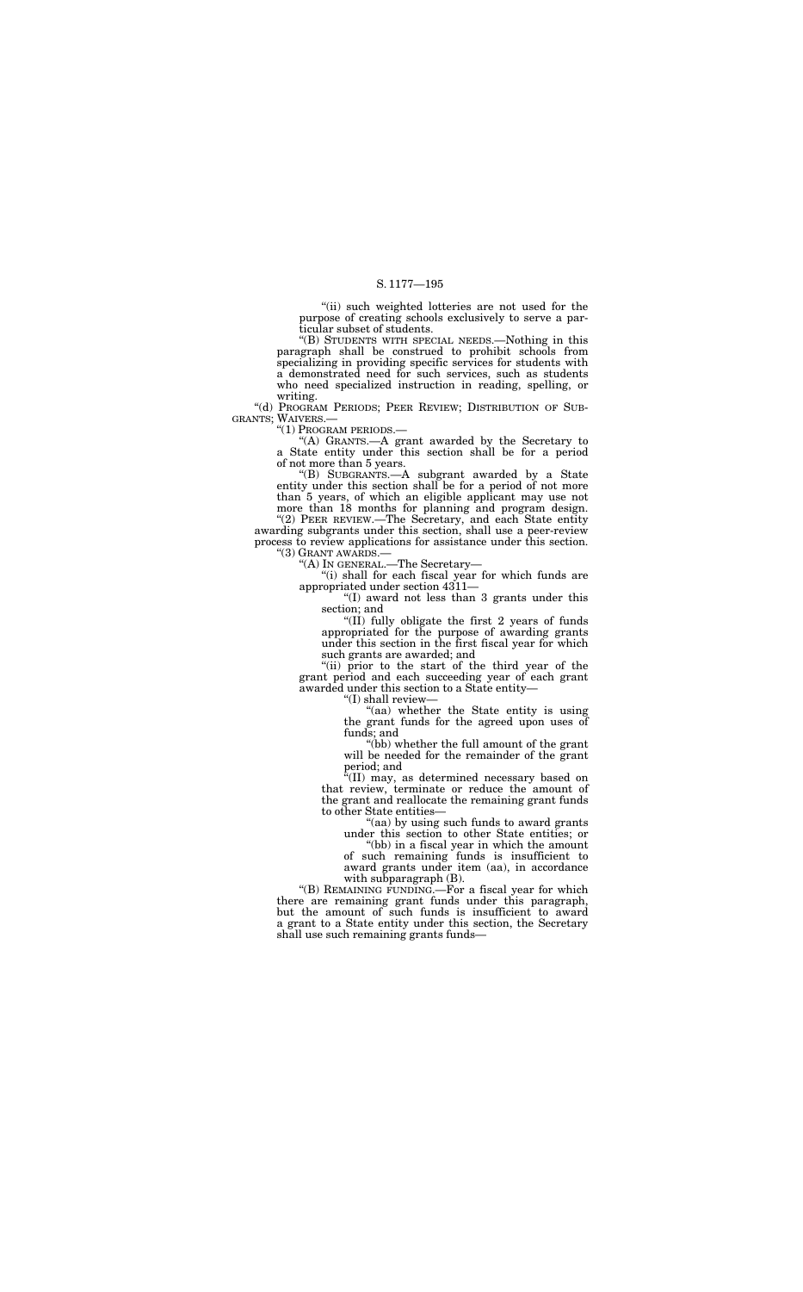''(ii) such weighted lotteries are not used for the purpose of creating schools exclusively to serve a particular subset of students.

''(B) STUDENTS WITH SPECIAL NEEDS.—Nothing in this paragraph shall be construed to prohibit schools from specializing in providing specific services for students with a demonstrated need for such services, such as students who need specialized instruction in reading, spelling, or writing.

"(d) PROGRAM PERIODS; PEER REVIEW; DISTRIBUTION OF SUBGRANTS; WAIVERS.— "(1) PROGRAM PERIODS.— "(A) GRANTS.—A grant awarded by the Secretary to

"(2) PEER REVIEW.—The Secretary, and each State entity awarding subgrants under this section, shall use a peer-review process to review applications for assistance under this section.

> "(i) shall for each fiscal year for which funds are appropriated under section 4311—

a State entity under this section shall be for a period of not more than 5 years.

''(B) SUBGRANTS.—A subgrant awarded by a State entity under this section shall be for a period of not more than 5 years, of which an eligible applicant may use not more than 18 months for planning and program design.

''(3) GRANT AWARDS.— ''(A) IN GENERAL.—The Secretary—

''(I) award not less than 3 grants under this section; and

''(II) fully obligate the first 2 years of funds appropriated for the purpose of awarding grants under this section in the first fiscal year for which such grants are awarded; and

''(ii) prior to the start of the third year of the grant period and each succeeding year of each grant awarded under this section to a State entity—

''(I) shall review—

''(aa) whether the State entity is using the grant funds for the agreed upon uses of funds; and

''(bb) whether the full amount of the grant will be needed for the remainder of the grant period; and

''(II) may, as determined necessary based on that review, terminate or reduce the amount of the grant and reallocate the remaining grant funds to other State entities—

"(aa) by using such funds to award grants under this section to other State entities; or "(bb) in a fiscal year in which the amount of such remaining funds is insufficient to award grants under item (aa), in accordance with subparagraph  $(B)$ .

''(B) REMAINING FUNDING.—For a fiscal year for which there are remaining grant funds under this paragraph, but the amount of such funds is insufficient to award a grant to a State entity under this section, the Secretary shall use such remaining grants funds—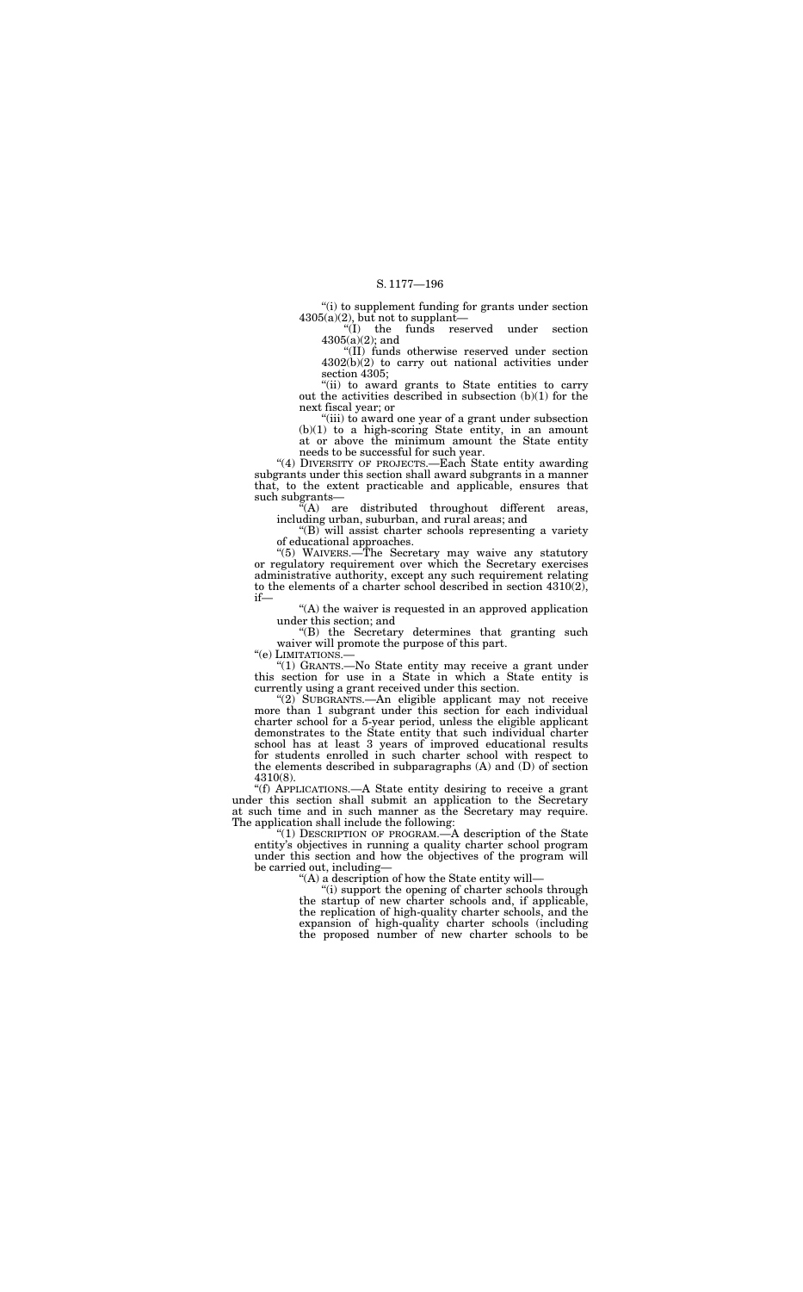''(i) to supplement funding for grants under section  $4305(a)(2)$ , but not to supplant—

''(I) the funds reserved under section 4305(a)(2); and

"(ii) to award grants to State entities to carry out the activities described in subsection (b)(1) for the next fiscal year; or

''(II) funds otherwise reserved under section 4302(b)(2) to carry out national activities under section 4305;

"(iii) to award one year of a grant under subsection (b)(1) to a high-scoring State entity, in an amount at or above the minimum amount the State entity needs to be successful for such year.

"(4) DIVERSITY OF PROJECTS.—Each State entity awarding subgrants under this section shall award subgrants in a manner that, to the extent practicable and applicable, ensures that such subgrants—

"(A) the waiver is requested in an approved application under this section; and

''(B) the Secretary determines that granting such waiver will promote the purpose of this part.<br>"(e) LIMITATIONS.—

"(1) GRANTS.—No State entity may receive a grant under this section for use in a State in which a State entity is currently using a grant received under this section.

''(A) are distributed throughout different areas, including urban, suburban, and rural areas; and

''(B) will assist charter schools representing a variety of educational approaches.

"(2) SUBGRANTS.—An eligible applicant may not receive more than 1 subgrant under this section for each individual charter school for a 5-year period, unless the eligible applicant demonstrates to the State entity that such individual charter school has at least 3 years of improved educational results for students enrolled in such charter school with respect to the elements described in subparagraphs (A) and (D) of section 4310(8).

''(5) WAIVERS.—The Secretary may waive any statutory or regulatory requirement over which the Secretary exercises administrative authority, except any such requirement relating to the elements of a charter school described in section 4310(2), if—

"(1) DESCRIPTION OF PROGRAM.—A description of the State entity's objectives in running a quality charter school program under this section and how the objectives of the program will be carried out, including—

> "(i) support the opening of charter schools through the startup of new charter schools and, if applicable, the replication of high-quality charter schools, and the expansion of high-quality charter schools (including the proposed number of new charter schools to be

''(f) APPLICATIONS.—A State entity desiring to receive a grant under this section shall submit an application to the Secretary at such time and in such manner as the Secretary may require. The application shall include the following:

''(A) a description of how the State entity will—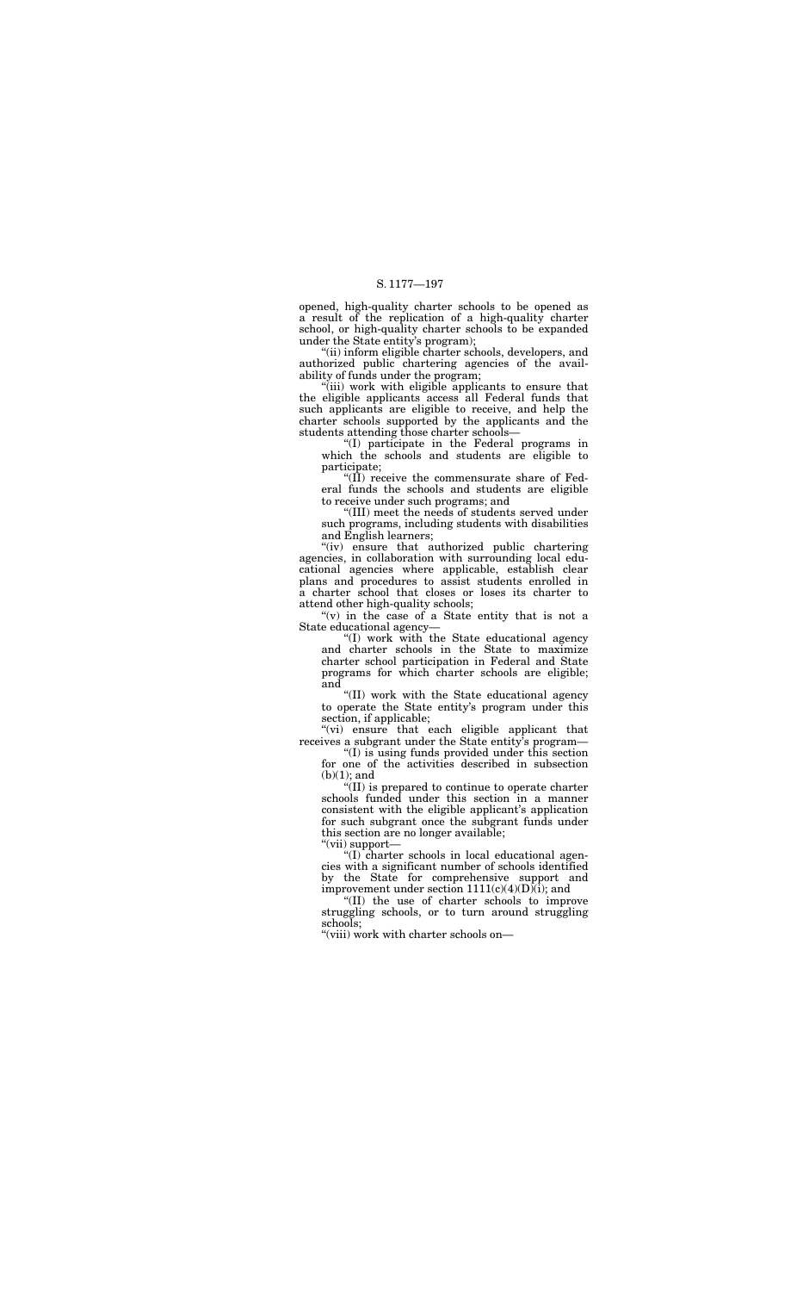opened, high-quality charter schools to be opened as a result of the replication of a high-quality charter school, or high-quality charter schools to be expanded under the State entity's program);

''(ii) inform eligible charter schools, developers, and authorized public chartering agencies of the availability of funds under the program;

"(iii) work with eligible applicants to ensure that the eligible applicants access all Federal funds that such applicants are eligible to receive, and help the charter schools supported by the applicants and the students attending those charter schools—

" $(II)$  receive the commensurate share of Federal funds the schools and students are eligible to receive under such programs; and

"(iv) ensure that authorized public chartering agencies, in collaboration with surrounding local educational agencies where applicable, establish clear plans and procedures to assist students enrolled in a charter school that closes or loses its charter to attend other high-quality schools;

''(I) participate in the Federal programs in which the schools and students are eligible to participate;

" $(v)$  in the case of a State entity that is not a State educational agency—

'(I) work with the State educational agency and charter schools in the State to maximize charter school participation in Federal and State programs for which charter schools are eligible; and

''(I) is using funds provided under this section for one of the activities described in subsection  $(b)(1)$ ; and

''(III) meet the needs of students served under such programs, including students with disabilities and English learners;

''(I) charter schools in local educational agencies with a significant number of schools identified by the State for comprehensive support and improvement under section  $1111(c)(4)(D)\hat{i}$ ; and

''(II) work with the State educational agency to operate the State entity's program under this section, if applicable;

''(vi) ensure that each eligible applicant that receives a subgrant under the State entity's program—

''(II) is prepared to continue to operate charter schools funded under this section in a manner consistent with the eligible applicant's application for such subgrant once the subgrant funds under this section are no longer available;

''(vii) support—

''(II) the use of charter schools to improve struggling schools, or to turn around struggling schools;

''(viii) work with charter schools on—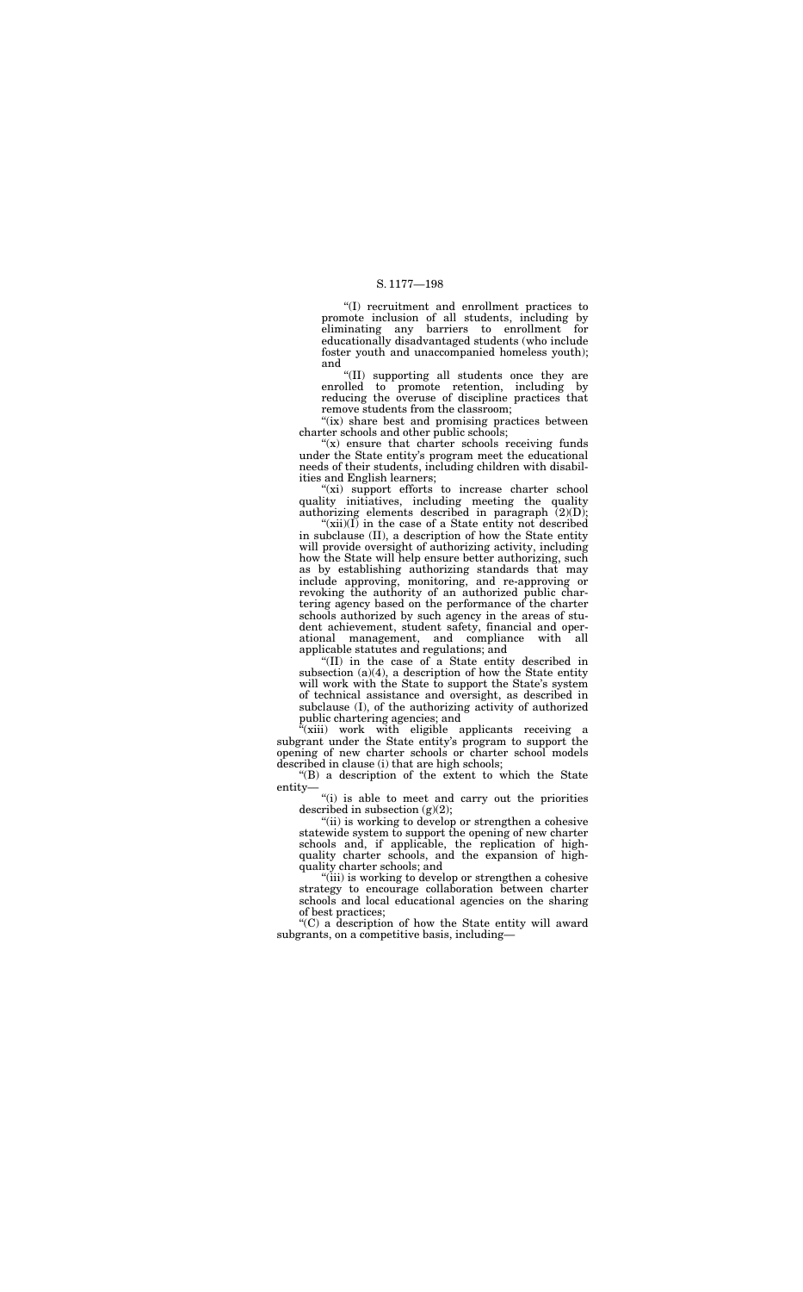''(I) recruitment and enrollment practices to promote inclusion of all students, including by eliminating any barriers to enrollment for educationally disadvantaged students (who include foster youth and unaccompanied homeless youth); and

"(ix) share best and promising practices between charter schools and other public schools;

''(II) supporting all students once they are enrolled to promote retention, including by reducing the overuse of discipline practices that remove students from the classroom;

" $(x)$  ensure that charter schools receiving funds under the State entity's program meet the educational needs of their students, including children with disabilities and English learners;

"(xi) support efforts to increase charter school quality initiatives, including meeting the quality authorizing elements described in paragraph  $(2)(D)$ ;

" $(xii)(\overline{I})$  in the case of a State entity not described in subclause (II), a description of how the State entity will provide oversight of authorizing activity, including how the State will help ensure better authorizing, such as by establishing authorizing standards that may include approving, monitoring, and re-approving or revoking the authority of an authorized public chartering agency based on the performance of the charter schools authorized by such agency in the areas of student achievement, student safety, financial and operational management, and compliance with all applicable statutes and regulations; and

(xiii) work with eligible applicants receiving a subgrant under the State entity's program to support the opening of new charter schools or charter school models described in clause (i) that are high schools;

''(i) is able to meet and carry out the priorities described in subsection  $(g)(2)$ ;

''(II) in the case of a State entity described in subsection  $(a)(4)$ , a description of how the State entity will work with the State to support the State's system of technical assistance and oversight, as described in subclause (I), of the authorizing activity of authorized public chartering agencies; and

''(B) a description of the extent to which the State entity—

''(ii) is working to develop or strengthen a cohesive statewide system to support the opening of new charter schools and, if applicable, the replication of highquality charter schools, and the expansion of highquality charter schools; and

''(iii) is working to develop or strengthen a cohesive strategy to encourage collaboration between charter schools and local educational agencies on the sharing of best practices;

''(C) a description of how the State entity will award subgrants, on a competitive basis, including—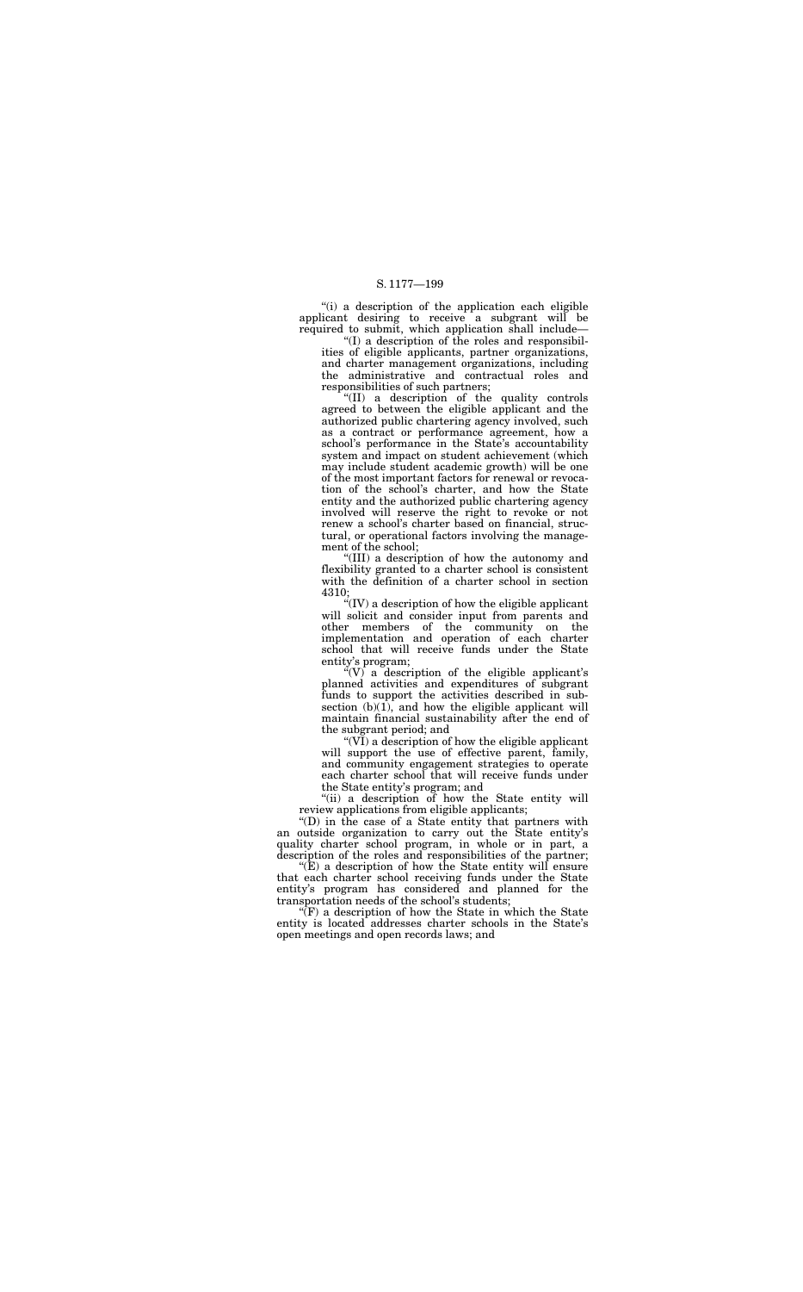"(i) a description of the application each eligible applicant desiring to receive a subgrant will be required to submit, which application shall include—

''(I) a description of the roles and responsibilities of eligible applicants, partner organizations, and charter management organizations, including the administrative and contractual roles and responsibilities of such partners;

''(II) a description of the quality controls agreed to between the eligible applicant and the authorized public chartering agency involved, such as a contract or performance agreement, how a school's performance in the State's accountability system and impact on student achievement (which may include student academic growth) will be one of the most important factors for renewal or revocation of the school's charter, and how the State entity and the authorized public chartering agency involved will reserve the right to revoke or not renew a school's charter based on financial, structural, or operational factors involving the management of the school;

 $\rm ^{\circ}\rm (IV)$  a description of how the eligible applicant will solicit and consider input from parents and other members of the community on the implementation and operation of each charter school that will receive funds under the State entity's program;

 $\sqrt[\mu]{(V)}$  a description of the eligible applicant's planned activities and expenditures of subgrant funds to support the activities described in subsection  $(b)(1)$ , and how the eligible applicant will maintain financial sustainability after the end of the subgrant period; and

"(ii) a description of how the State entity will review applications from eligible applicants;

''(III) a description of how the autonomy and flexibility granted to a charter school is consistent with the definition of a charter school in section 4310;

"(E) a description of how the State entity will ensure that each charter school receiving funds under the State entity's program has considered and planned for the transportation needs of the school's students;

 $\sqrt{\text{F}}$ ) a description of how the State in which the State entity is located addresses charter schools in the State's open meetings and open records laws; and

''(VI) a description of how the eligible applicant will support the use of effective parent, family, and community engagement strategies to operate each charter school that will receive funds under the State entity's program; and

''(D) in the case of a State entity that partners with an outside organization to carry out the State entity's quality charter school program, in whole or in part, a description of the roles and responsibilities of the partner;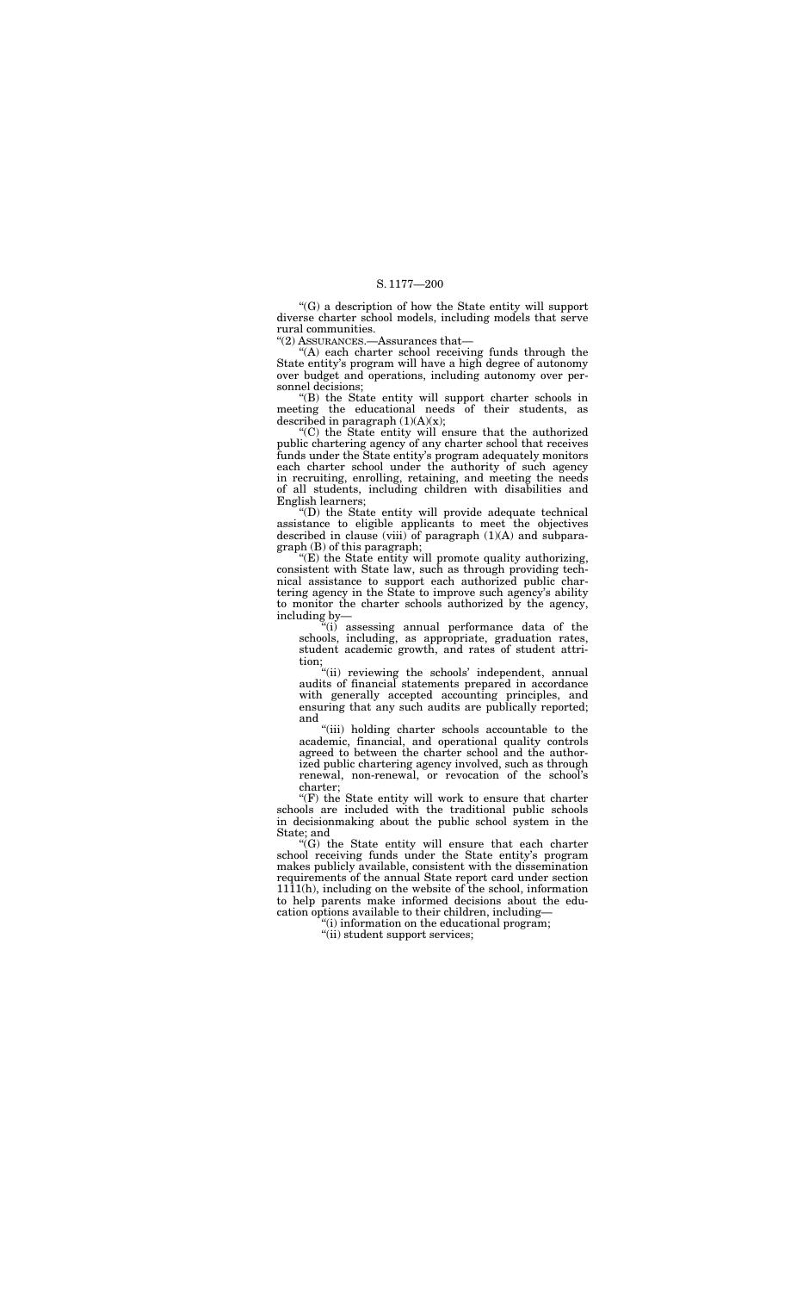''(G) a description of how the State entity will support diverse charter school models, including models that serve rural communities.

''(2) ASSURANCES.—Assurances that—

"(A) each charter school receiving funds through the State entity's program will have a high degree of autonomy over budget and operations, including autonomy over personnel decisions;

''(B) the State entity will support charter schools in meeting the educational needs of their students, as described in paragraph  $(1)(A)(x)$ ;

 $E(E)$  the State entity will promote quality authorizing, consistent with State law, such as through providing technical assistance to support each authorized public chartering agency in the State to improve such agency's ability to monitor the charter schools authorized by the agency, including by—

''(C) the State entity will ensure that the authorized public chartering agency of any charter school that receives funds under the State entity's program adequately monitors each charter school under the authority of such agency in recruiting, enrolling, retaining, and meeting the needs of all students, including children with disabilities and English learners;

"(ii) reviewing the schools' independent, annual audits of financial statements prepared in accordance with generally accepted accounting principles, and ensuring that any such audits are publically reported; and

''(D) the State entity will provide adequate technical assistance to eligible applicants to meet the objectives described in clause (viii) of paragraph (1)(A) and subparagraph (B) of this paragraph;

''(i) assessing annual performance data of the schools, including, as appropriate, graduation rates, student academic growth, and rates of student attrition;

''(iii) holding charter schools accountable to the academic, financial, and operational quality controls agreed to between the charter school and the authorized public chartering agency involved, such as through renewal, non-renewal, or revocation of the school's charter;

''(F) the State entity will work to ensure that charter schools are included with the traditional public schools in decisionmaking about the public school system in the State; and

''(G) the State entity will ensure that each charter school receiving funds under the State entity's program makes publicly available, consistent with the dissemination requirements of the annual State report card under section 1111(h), including on the website of the school, information to help parents make informed decisions about the education options available to their children, including—

''(i) information on the educational program;

"(ii) student support services;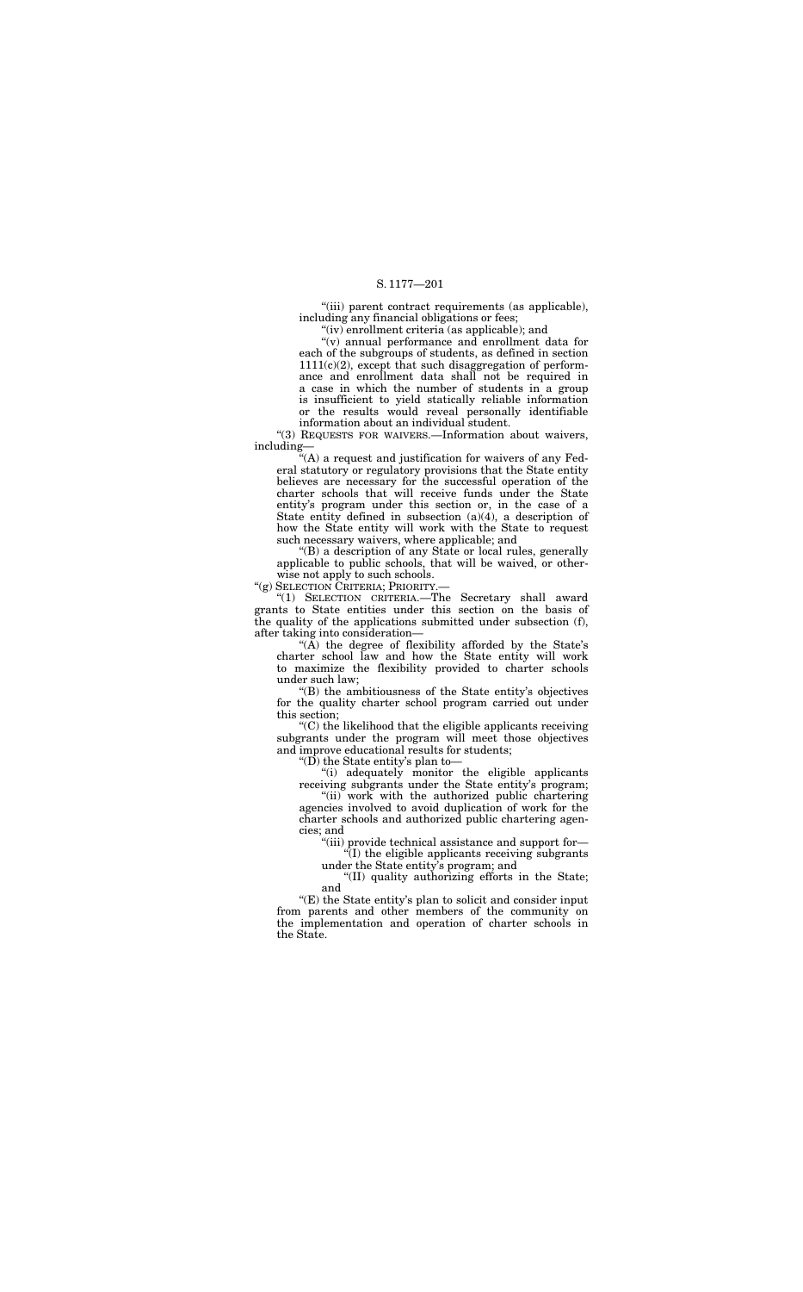"(iii) parent contract requirements (as applicable), including any financial obligations or fees;

''(iv) enrollment criteria (as applicable); and

"(3) REQUESTS FOR WAIVERS.-Information about waivers, including—

''(v) annual performance and enrollment data for each of the subgroups of students, as defined in section  $1111(c)(2)$ , except that such disaggregation of performance and enrollment data shall not be required in a case in which the number of students in a group is insufficient to yield statically reliable information or the results would reveal personally identifiable information about an individual student.

"(A) a request and justification for waivers of any Federal statutory or regulatory provisions that the State entity believes are necessary for the successful operation of the charter schools that will receive funds under the State entity's program under this section or, in the case of a State entity defined in subsection (a)(4), a description of how the State entity will work with the State to request such necessary waivers, where applicable; and

" $(A)$  the degree of flexibility afforded by the State's charter school law and how the State entity will work to maximize the flexibility provided to charter schools under such law;

 $C$ ) the likelihood that the eligible applicants receiving subgrants under the program will meet those objectives and improve educational results for students;

"(ii) work with the authorized public chartering agencies involved to avoid duplication of work for the charter schools and authorized public chartering agencies; and

''(iii) provide technical assistance and support for—  $(1)$  the eligible applicants receiving subgrants

''(B) a description of any State or local rules, generally applicable to public schools, that will be waived, or otherwise not apply to such schools.

''(g) SELECTION CRITERIA; PRIORITY.—

''(1) SELECTION CRITERIA.—The Secretary shall award grants to State entities under this section on the basis of the quality of the applications submitted under subsection (f), after taking into consideration—

''(B) the ambitiousness of the State entity's objectives for the quality charter school program carried out under this section;

''(D) the State entity's plan to—

''(i) adequately monitor the eligible applicants receiving subgrants under the State entity's program;

under the State entity's program; and

''(II) quality authorizing efforts in the State; and

''(E) the State entity's plan to solicit and consider input from parents and other members of the community on the implementation and operation of charter schools in the State.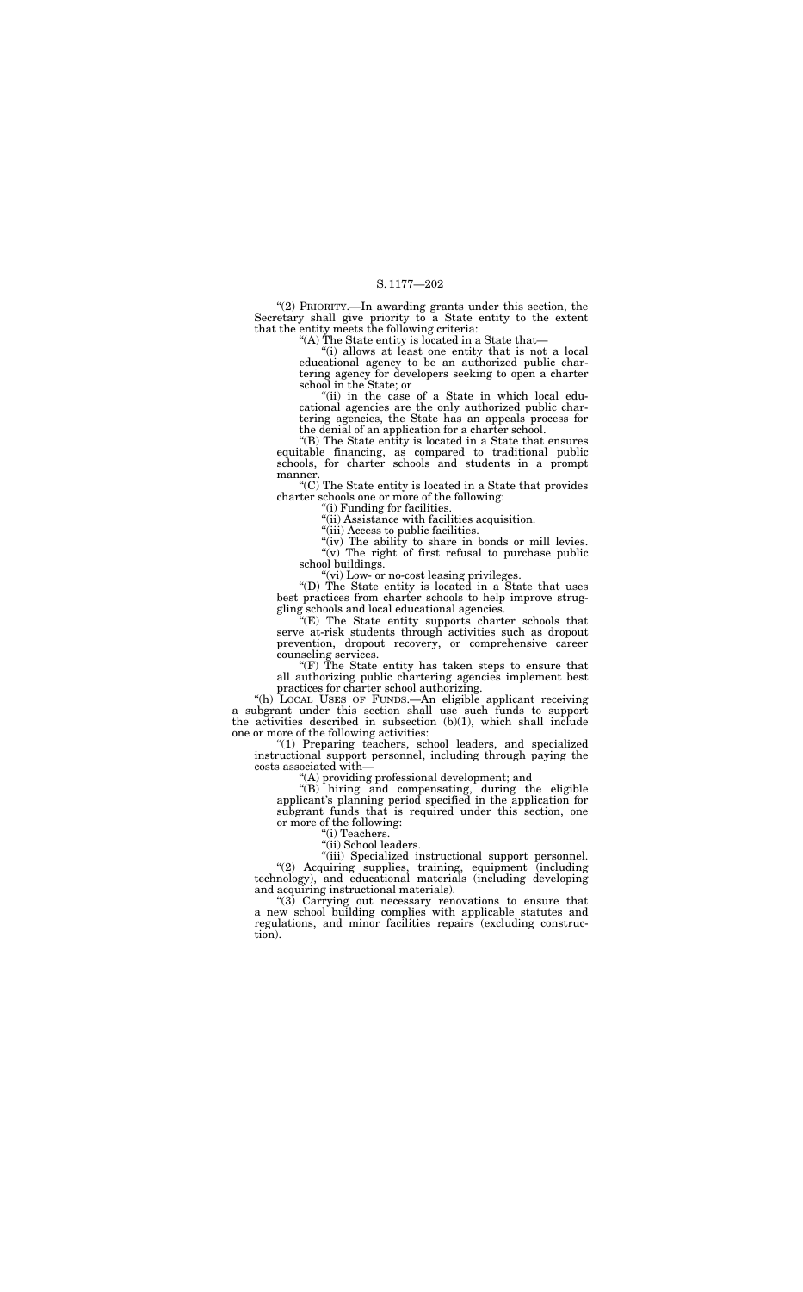"(2) PRIORITY.—In awarding grants under this section, the Secretary shall give priority to a State entity to the extent that the entity meets the following criteria:

''(A) The State entity is located in a State that—

"(i) allows at least one entity that is not a local educational agency to be an authorized public chartering agency for developers seeking to open a charter school in the State; or

''(ii) in the case of a State in which local educational agencies are the only authorized public chartering agencies, the State has an appeals process for the denial of an application for a charter school.

" $(v)$  The right of first refusal to purchase public school buildings.

"(vi) Low- or no-cost leasing privileges.

''(B) The State entity is located in a State that ensures equitable financing, as compared to traditional public schools, for charter schools and students in a prompt manner.

" $(F)$  The State entity has taken steps to ensure that all authorizing public chartering agencies implement best practices for charter school authorizing.

''(C) The State entity is located in a State that provides charter schools one or more of the following:

''(i) Funding for facilities.

''(ii) Assistance with facilities acquisition.

"(iii) Access to public facilities.

"(iv) The ability to share in bonds or mill levies.

 $H(B)$  hiring and compensating, during the eligible applicant's planning period specified in the application for subgrant funds that is required under this section, one or more of the following:

''(iii) Specialized instructional support personnel. "(2) Acquiring supplies, training, equipment (including)

''(D) The State entity is located in a State that uses best practices from charter schools to help improve struggling schools and local educational agencies.

"(3) Carrying out necessary renovations to ensure that a new school building complies with applicable statutes and regulations, and minor facilities repairs (excluding construction).

''(E) The State entity supports charter schools that serve at-risk students through activities such as dropout prevention, dropout recovery, or comprehensive career counseling services.

''(h) LOCAL USES OF FUNDS.—An eligible applicant receiving a subgrant under this section shall use such funds to support the activities described in subsection (b)(1), which shall include one or more of the following activities:

''(1) Preparing teachers, school leaders, and specialized instructional support personnel, including through paying the costs associated with—

''(A) providing professional development; and

''(i) Teachers.

"(ii) School leaders.

technology), and educational materials (including developing and acquiring instructional materials).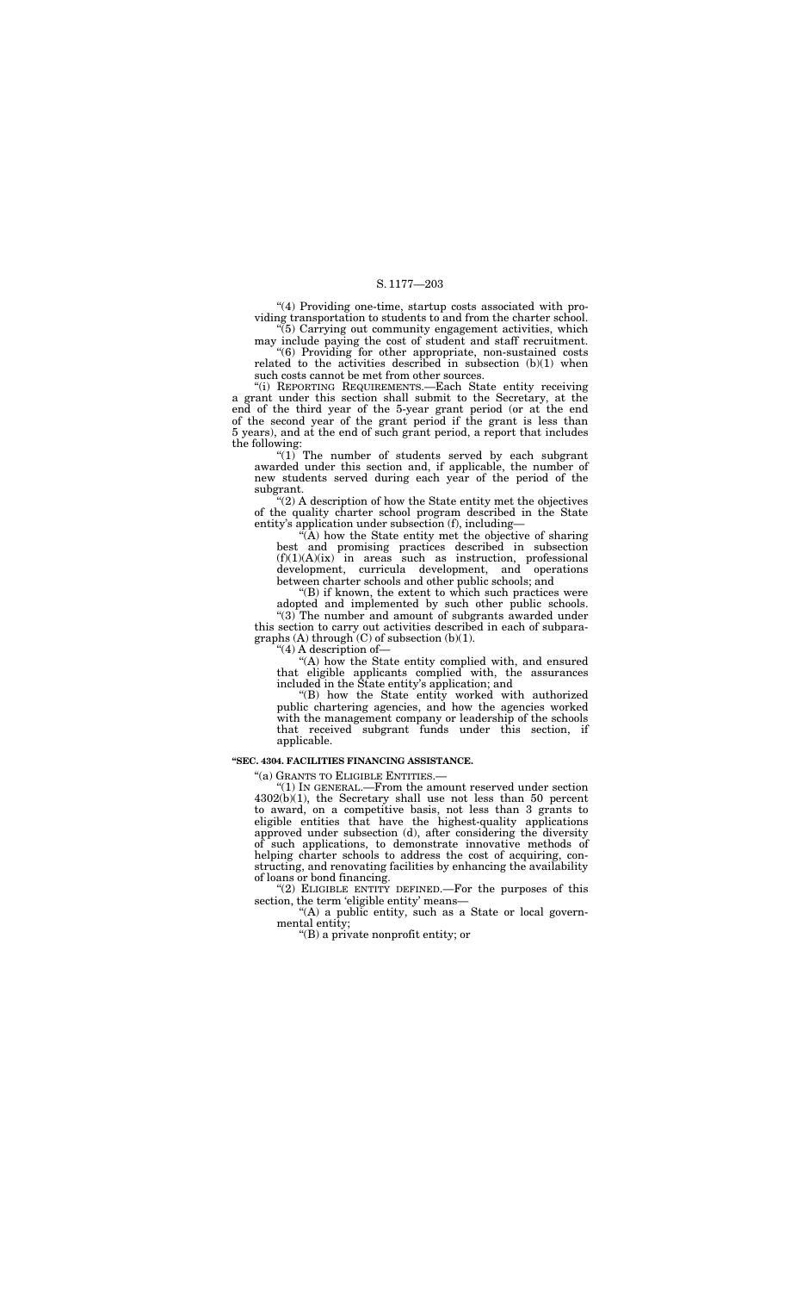''(4) Providing one-time, startup costs associated with providing transportation to students to and from the charter school.

 $(5)$  Carrying out community engagement activities, which may include paying the cost of student and staff recruitment.

''(6) Providing for other appropriate, non-sustained costs related to the activities described in subsection  $(b)(1)$  when such costs cannot be met from other sources.

" $(1)$  The number of students served by each subgrant awarded under this section and, if applicable, the number of new students served during each year of the period of the subgrant.

 $(2)$  A description of how the State entity met the objectives of the quality charter school program described in the State entity's application under subsection (f), including—

''(i) REPORTING REQUIREMENTS.—Each State entity receiving a grant under this section shall submit to the Secretary, at the end of the third year of the 5-year grant period (or at the end of the second year of the grant period if the grant is less than 5 years), and at the end of such grant period, a report that includes the following:

> $\hat{A}$ ) how the State entity met the objective of sharing best and promising practices described in subsection  $(f)(1)(A)(ix)$  in areas such as instruction, professional development, curricula development, and operations between charter schools and other public schools; and

adopted and implemented by such other public schools. " $(3)$  The number and amount of subgrants awarded under this section to carry out activities described in each of subparagraphs  $(A)$  through  $(C)$  of subsection  $(b)(1)$ .

"(4) A description of-

''(B) if known, the extent to which such practices were

''(A) how the State entity complied with, and ensured that eligible applicants complied with, the assurances included in the State entity's application; and

''(B) how the State entity worked with authorized public chartering agencies, and how the agencies worked with the management company or leadership of the schools that received subgrant funds under this section, if applicable.

#### **''SEC. 4304. FACILITIES FINANCING ASSISTANCE.**

''(a) GRANTS TO ELIGIBLE ENTITIES.—

''(1) IN GENERAL.—From the amount reserved under section 4302(b)(1), the Secretary shall use not less than 50 percent to award, on a competitive basis, not less than 3 grants to eligible entities that have the highest-quality applications approved under subsection (d), after considering the diversity of such applications, to demonstrate innovative methods of helping charter schools to address the cost of acquiring, constructing, and renovating facilities by enhancing the availability of loans or bond financing.

"(2) ELIGIBLE ENTITY DEFINED.—For the purposes of this section, the term 'eligible entity' means-

"(A) a public entity, such as a State or local governmental entity;

''(B) a private nonprofit entity; or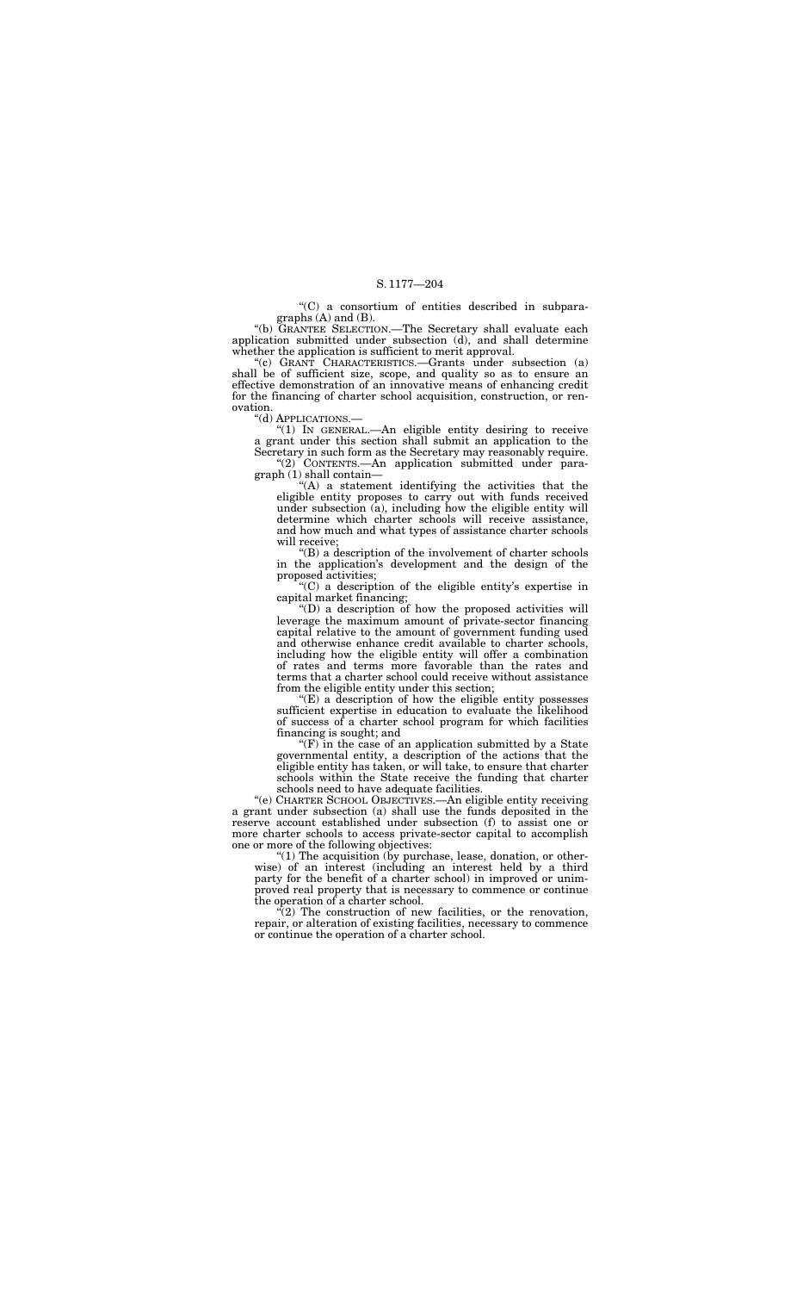''(b) GRANTEE SELECTION.—The Secretary shall evaluate each application submitted under subsection (d), and shall determine whether the application is sufficient to merit approval.

"(c) GRANT CHARACTERISTICS.—Grants under subsection (a) shall be of sufficient size, scope, and quality so as to ensure an effective demonstration of an innovative means of enhancing credit for the financing of charter school acquisition, construction, or renovation.<br>"(d) APPLICATIONS.—

''(C) a consortium of entities described in subparagraphs (A) and (B).

" $(1)$  In GENERAL.—An eligible entity desiring to receive a grant under this section shall submit an application to the Secretary in such form as the Secretary may reasonably require.

"(2) CONTENTS.—An application submitted under paragraph (1) shall contain—

"(D) a description of how the proposed activities will leverage the maximum amount of private-sector financing capital relative to the amount of government funding used and otherwise enhance credit available to charter schools, including how the eligible entity will offer a combination of rates and terms more favorable than the rates and terms that a charter school could receive without assistance from the eligible entity under this section;

''(A) a statement identifying the activities that the eligible entity proposes to carry out with funds received under subsection (a), including how the eligible entity will determine which charter schools will receive assistance, and how much and what types of assistance charter schools will receive;

" $(F)$  in the case of an application submitted by a State governmental entity, a description of the actions that the eligible entity has taken, or will take, to ensure that charter schools within the State receive the funding that charter schools need to have adequate facilities.

''(B) a description of the involvement of charter schools in the application's development and the design of the proposed activities;

''(C) a description of the eligible entity's expertise in capital market financing;

 $\mathcal{L}(2)$  The construction of new facilities, or the renovation, repair, or alteration of existing facilities, necessary to commence or continue the operation of a charter school.

''(E) a description of how the eligible entity possesses sufficient expertise in education to evaluate the likelihood of success of a charter school program for which facilities financing is sought; and

''(e) CHARTER SCHOOL OBJECTIVES.—An eligible entity receiving a grant under subsection (a) shall use the funds deposited in the reserve account established under subsection (f) to assist one or more charter schools to access private-sector capital to accomplish one or more of the following objectives:

''(1) The acquisition (by purchase, lease, donation, or otherwise) of an interest (including an interest held by a third party for the benefit of a charter school) in improved or unimproved real property that is necessary to commence or continue the operation of a charter school.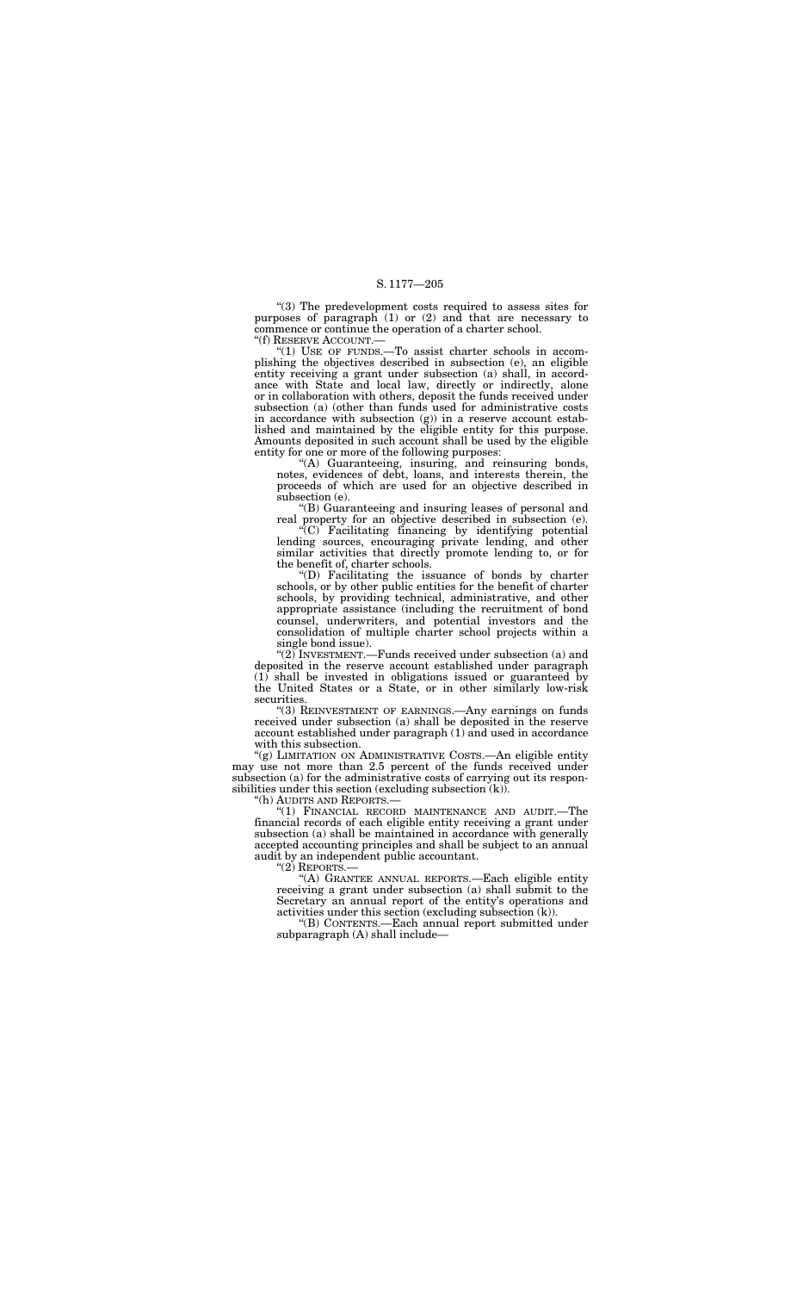''(3) The predevelopment costs required to assess sites for purposes of paragraph (1) or (2) and that are necessary to commence or continue the operation of a charter school.<br>"(f) RESERVE ACCOUNT.—

"(1) USE OF FUNDS.—To assist charter schools in accomplishing the objectives described in subsection (e), an eligible entity receiving a grant under subsection (a) shall, in accordance with State and local law, directly or indirectly, alone or in collaboration with others, deposit the funds received under subsection (a) (other than funds used for administrative costs in accordance with subsection  $(g)$  in a reserve account established and maintained by the eligible entity for this purpose. Amounts deposited in such account shall be used by the eligible entity for one or more of the following purposes:

 $(C)$  Facilitating financing by identifying potential lending sources, encouraging private lending, and other similar activities that directly promote lending to, or for the benefit of, charter schools.

''(A) Guaranteeing, insuring, and reinsuring bonds, notes, evidences of debt, loans, and interests therein, the proceeds of which are used for an objective described in subsection (e).

" $(2)$  INVESTMENT.—Funds received under subsection (a) and deposited in the reserve account established under paragraph (1) shall be invested in obligations issued or guaranteed by the United States or a State, or in other similarly low-risk securities.

''(B) Guaranteeing and insuring leases of personal and real property for an objective described in subsection (e).

"(A) GRANTEE ANNUAL REPORTS.—Each eligible entity receiving a grant under subsection (a) shall submit to the Secretary an annual report of the entity's operations and activities under this section (excluding subsection (k)).

''(D) Facilitating the issuance of bonds by charter schools, or by other public entities for the benefit of charter schools, by providing technical, administrative, and other appropriate assistance (including the recruitment of bond counsel, underwriters, and potential investors and the consolidation of multiple charter school projects within a single bond issue).

''(3) REINVESTMENT OF EARNINGS.—Any earnings on funds received under subsection (a) shall be deposited in the reserve account established under paragraph (1) and used in accordance with this subsection.

''(g) LIMITATION ON ADMINISTRATIVE COSTS.—An eligible entity may use not more than 2.5 percent of the funds received under subsection (a) for the administrative costs of carrying out its responsibilities under this section (excluding subsection (k)).

''(h) AUDITS AND REPORTS.—

"(1) FINANCIAL RECORD MAINTENANCE AND AUDIT.—The financial records of each eligible entity receiving a grant under subsection (a) shall be maintained in accordance with generally accepted accounting principles and shall be subject to an annual audit by an independent public accountant.<br>"(2) REPORTS.—

''(B) CONTENTS.—Each annual report submitted under subparagraph (A) shall include—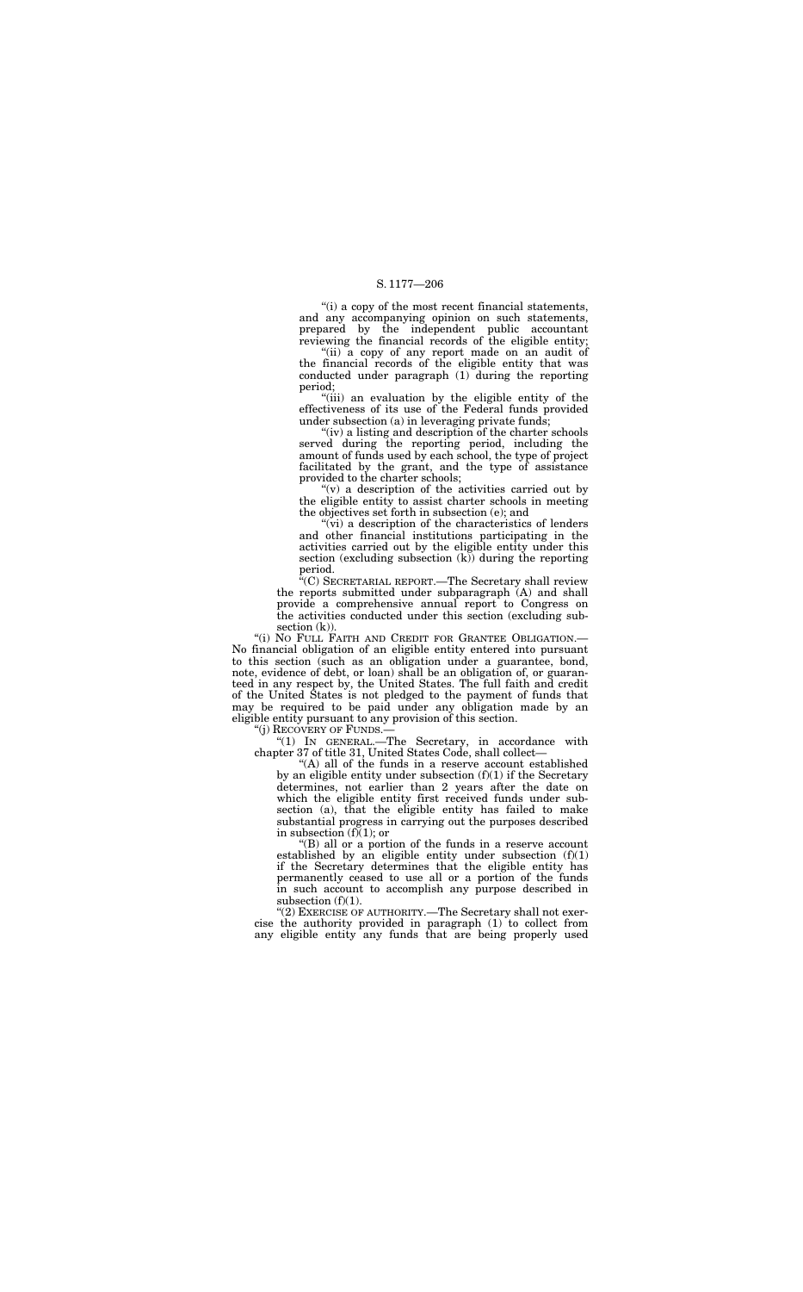''(i) a copy of the most recent financial statements, and any accompanying opinion on such statements, prepared by the independent public accountant reviewing the financial records of the eligible entity;

"(ii) a copy of any report made on an audit of the financial records of the eligible entity that was conducted under paragraph (1) during the reporting period;

"(iii) an evaluation by the eligible entity of the effectiveness of its use of the Federal funds provided under subsection (a) in leveraging private funds;

"(iv) a listing and description of the charter schools served during the reporting period, including the amount of funds used by each school, the type of project facilitated by the grant, and the type of assistance provided to the charter schools;

 $f'(v)$  a description of the activities carried out by the eligible entity to assist charter schools in meeting the objectives set forth in subsection (e); and

 $(vi)$  a description of the characteristics of lenders and other financial institutions participating in the activities carried out by the eligible entity under this section (excluding subsection  $(k)$ ) during the reporting period.

''(C) SECRETARIAL REPORT.—The Secretary shall review the reports submitted under subparagraph (A) and shall provide a comprehensive annual report to Congress on the activities conducted under this section (excluding subsection  $(k)$ ).

"(i) NO FULL FAITH AND CREDIT FOR GRANTEE OBLIGATION.-No financial obligation of an eligible entity entered into pursuant to this section (such as an obligation under a guarantee, bond, note, evidence of debt, or loan) shall be an obligation of, or guaranteed in any respect by, the United States. The full faith and credit of the United States is not pledged to the payment of funds that may be required to be paid under any obligation made by an eligible entity pursuant to any provision of this section.

> ''(A) all of the funds in a reserve account established by an eligible entity under subsection  $(f)(1)$  if the Secretary determines, not earlier than 2 years after the date on which the eligible entity first received funds under subsection (a), that the eligible entity has failed to make substantial progress in carrying out the purposes described in subsection  $(f)(1)$ ; or

> ''(B) all or a portion of the funds in a reserve account established by an eligible entity under subsection  $(f)(1)$ if the Secretary determines that the eligible entity has permanently ceased to use all or a portion of the funds in such account to accomplish any purpose described in subsection  $(f)(1)$ .

''(j) RECOVERY OF FUNDS.—

''(1) IN GENERAL.—The Secretary, in accordance with chapter 37 of title 31, United States Code, shall collect—

''(2) EXERCISE OF AUTHORITY.—The Secretary shall not exercise the authority provided in paragraph (1) to collect from any eligible entity any funds that are being properly used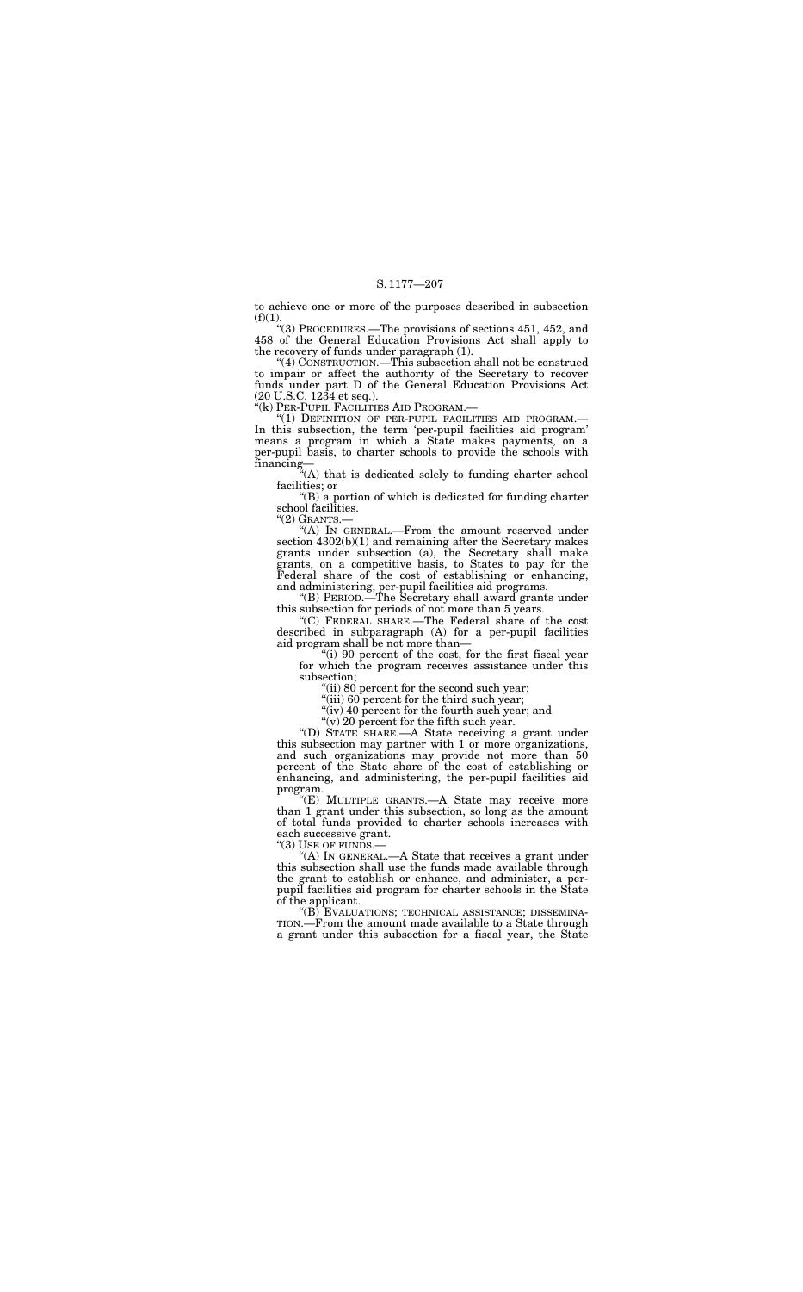to achieve one or more of the purposes described in subsection  $(f)(1)$ .

''(3) PROCEDURES.—The provisions of sections 451, 452, and 458 of the General Education Provisions Act shall apply to the recovery of funds under paragraph (1).

''(4) CONSTRUCTION.—This subsection shall not be construed to impair or affect the authority of the Secretary to recover funds under part D of the General Education Provisions Act (20 U.S.C. 1234 et seq.).

"(1) DEFINITION OF PER-PUPIL FACILITIES AID PROGRAM.— In this subsection, the term 'per-pupil facilities aid program' means a program in which a State makes payments, on a per-pupil basis, to charter schools to provide the schools with financing—

''(A) that is dedicated solely to funding charter school facilities; or

''(B) a portion of which is dedicated for funding charter school facilities.

''(E) MULTIPLE GRANTS.—A State may receive more than 1 grant under this subsection, so long as the amount of total funds provided to charter schools increases with each successive grant.<br>"(3) USE OF FUNDS.—

"(A) IN GENERAL.—A State that receives a grant under this subsection shall use the funds made available through the grant to establish or enhance, and administer, a perpupil facilities aid program for charter schools in the State of the applicant.<br>"(B) EVALUATIONS; TECHNICAL ASSISTANCE; DISSEMINA-

''(2) GRANTS.— ''(A) IN GENERAL.—From the amount reserved under section 4302(b)(1) and remaining after the Secretary makes grants under subsection (a), the Secretary shall make grants, on a competitive basis, to States to pay for the Federal share of the cost of establishing or enhancing, and administering, per-pupil facilities aid programs.

''(B) PERIOD.—The Secretary shall award grants under this subsection for periods of not more than 5 years.

TION.—From the amount made available to a State through a grant under this subsection for a fiscal year, the State

''(C) FEDERAL SHARE.—The Federal share of the cost described in subparagraph (A) for a per-pupil facilities aid program shall be not more than—

''(i) 90 percent of the cost, for the first fiscal year for which the program receives assistance under this subsection;

"(ii) 80 percent for the second such year;

"(iii) 60 percent for the third such year;

"(iv) 40 percent for the fourth such year; and

''(v) 20 percent for the fifth such year.

''(D) STATE SHARE.—A State receiving a grant under this subsection may partner with 1 or more organizations, and such organizations may provide not more than 50 percent of the State share of the cost of establishing or enhancing, and administering, the per-pupil facilities aid program.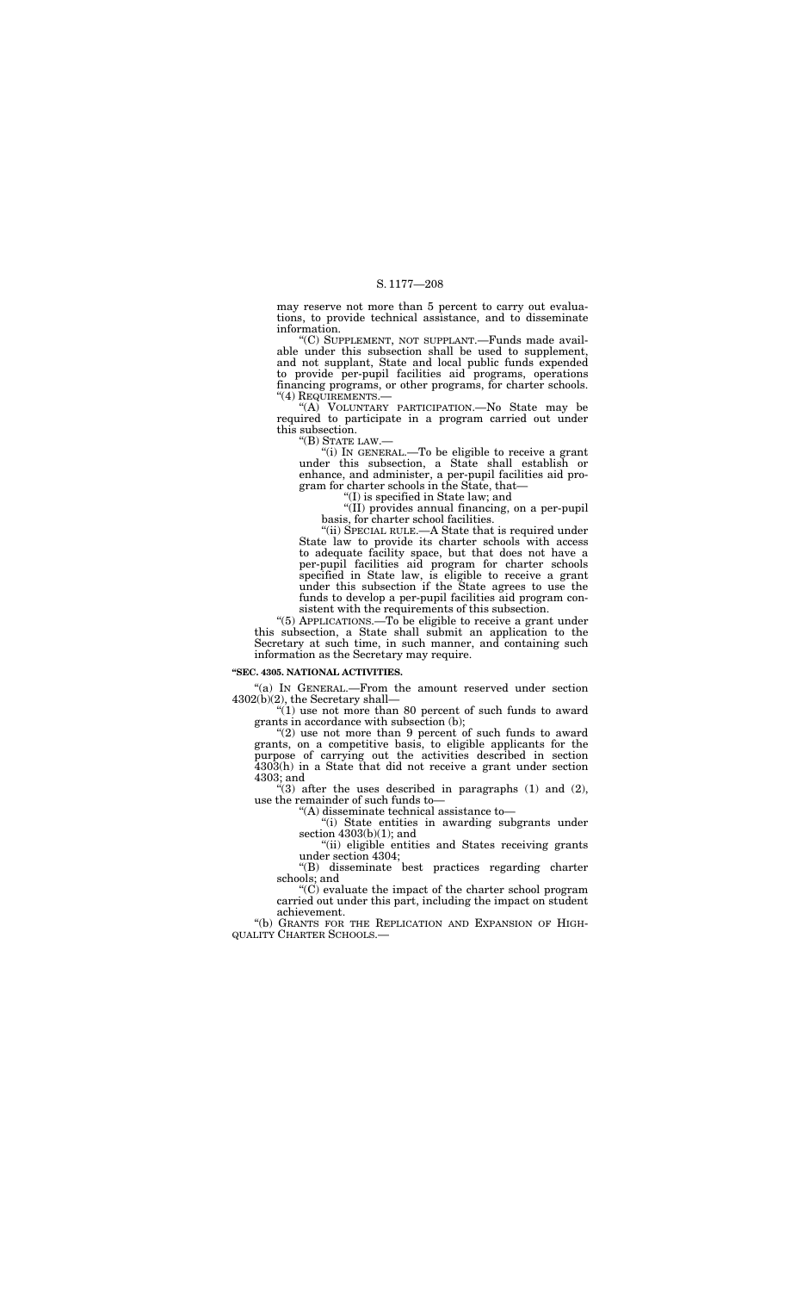''(C) SUPPLEMENT, NOT SUPPLANT.—Funds made available under this subsection shall be used to supplement, and not supplant, State and local public funds expended to provide per-pupil facilities aid programs, operations financing programs, or other programs, for charter schools.<br>"(4) REQUIREMENTS.—

may reserve not more than 5 percent to carry out evaluations, to provide technical assistance, and to disseminate information.

"(A) VOLUNTARY PARTICIPATION.—No State may be required to participate in a program carried out under this subsection.

''(B) STATE LAW.—

''(i) IN GENERAL.—To be eligible to receive a grant under this subsection, a State shall establish or enhance, and administer, a per-pupil facilities aid program for charter schools in the State, that—

"(5) APPLICATIONS.—To be eligible to receive a grant under this subsection, a State shall submit an application to the Secretary at such time, in such manner, and containing such information as the Secretary may require.

''(I) is specified in State law; and

"(a) IN GENERAL.—From the amount reserved under section 4302(b)(2), the Secretary shall—

''(II) provides annual financing, on a per-pupil basis, for charter school facilities.

 $(1)$  use not more than 80 percent of such funds to award grants in accordance with subsection (b);

"(2) use not more than 9 percent of such funds to award grants, on a competitive basis, to eligible applicants for the purpose of carrying out the activities described in section 4303(h) in a State that did not receive a grant under section 4303; and

 $\cdot$ (3) after the uses described in paragraphs (1) and (2), use the remainder of such funds to—

''(ii) SPECIAL RULE.—A State that is required under State law to provide its charter schools with access to adequate facility space, but that does not have a per-pupil facilities aid program for charter schools specified in State law, is eligible to receive a grant under this subsection if the State agrees to use the funds to develop a per-pupil facilities aid program consistent with the requirements of this subsection.

#### **''SEC. 4305. NATIONAL ACTIVITIES.**

''(A) disseminate technical assistance to—

''(i) State entities in awarding subgrants under section 4303(b)(1); and

''(ii) eligible entities and States receiving grants under section 4304;

''(B) disseminate best practices regarding charter schools; and

''(C) evaluate the impact of the charter school program carried out under this part, including the impact on student achievement.

 $\!$   $\!$   $\!$   $\!$   $\!$   $\!$  (k) GRANTS FOR THE REPLICATION AND EXPANSION OF HIGH-QUALITY CHARTER SCHOOLS.—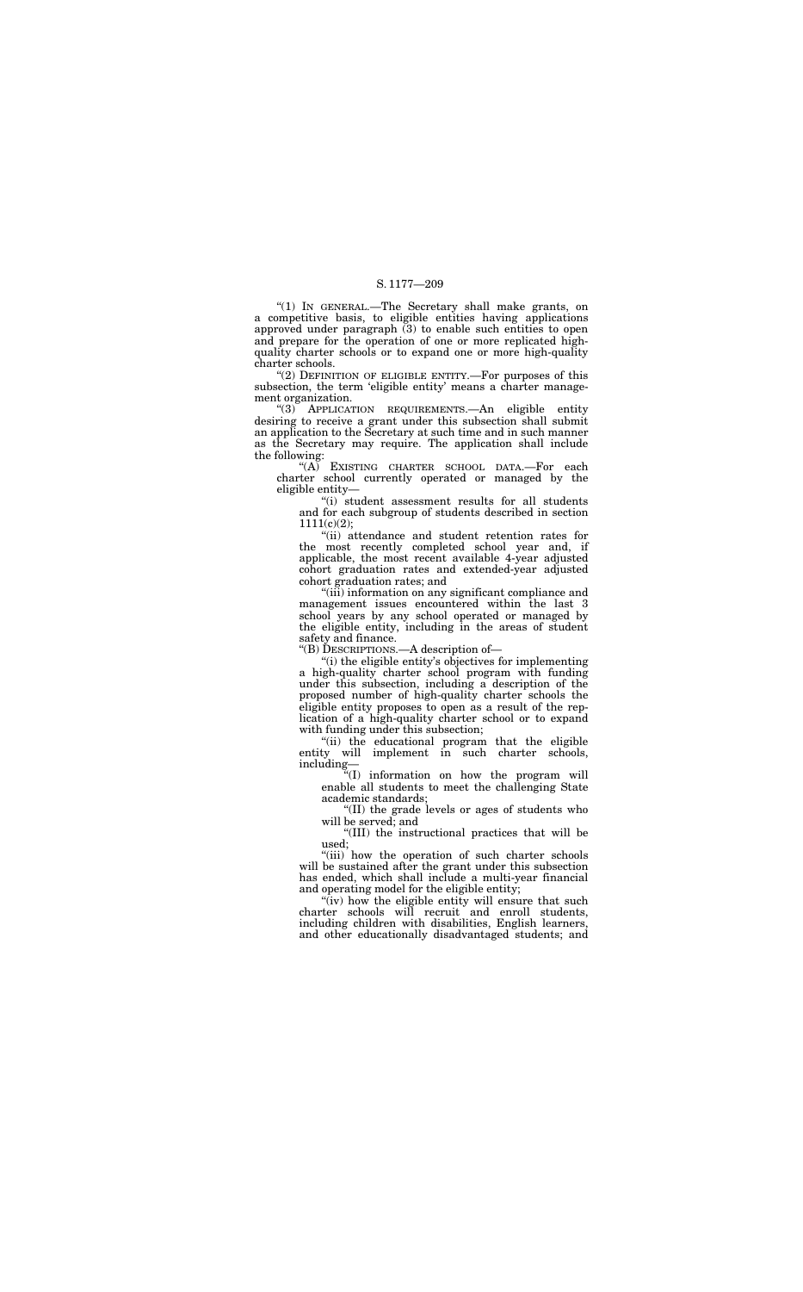''(1) IN GENERAL.—The Secretary shall make grants, on a competitive basis, to eligible entities having applications approved under paragraph  $(3)$  to enable such entities to open and prepare for the operation of one or more replicated highquality charter schools or to expand one or more high-quality charter schools.

"(2) DEFINITION OF ELIGIBLE ENTITY.—For purposes of this subsection, the term 'eligible entity' means a charter management organization.

"(A) EXISTING CHARTER SCHOOL DATA.-For each charter school currently operated or managed by the eligible entity—

''(i) student assessment results for all students and for each subgroup of students described in section  $1111(c)(2);$ 

''(3) APPLICATION REQUIREMENTS.—An eligible entity desiring to receive a grant under this subsection shall submit an application to the Secretary at such time and in such manner as the Secretary may require. The application shall include the following:

> "(ii) attendance and student retention rates for the most recently completed school year and, if applicable, the most recent available 4-year adjusted cohort graduation rates and extended-year adjusted cohort graduation rates; and

> "(ii) the educational program that the eligible entity will implement in such charter schools, including—

"(iii) how the operation of such charter schools will be sustained after the grant under this subsection has ended, which shall include a multi-year financial and operating model for the eligible entity;

 $f(iv)$  how the eligible entity will ensure that such charter schools will recruit and enroll students, including children with disabilities, English learners, and other educationally disadvantaged students; and

''(iii) information on any significant compliance and management issues encountered within the last 3 school years by any school operated or managed by the eligible entity, including in the areas of student safety and finance.

''(B) DESCRIPTIONS.—A description of—

''(i) the eligible entity's objectives for implementing a high-quality charter school program with funding under this subsection, including a description of the proposed number of high-quality charter schools the eligible entity proposes to open as a result of the replication of a high-quality charter school or to expand with funding under this subsection;

''(I) information on how the program will enable all students to meet the challenging State academic standards;

''(II) the grade levels or ages of students who will be served; and

''(III) the instructional practices that will be used;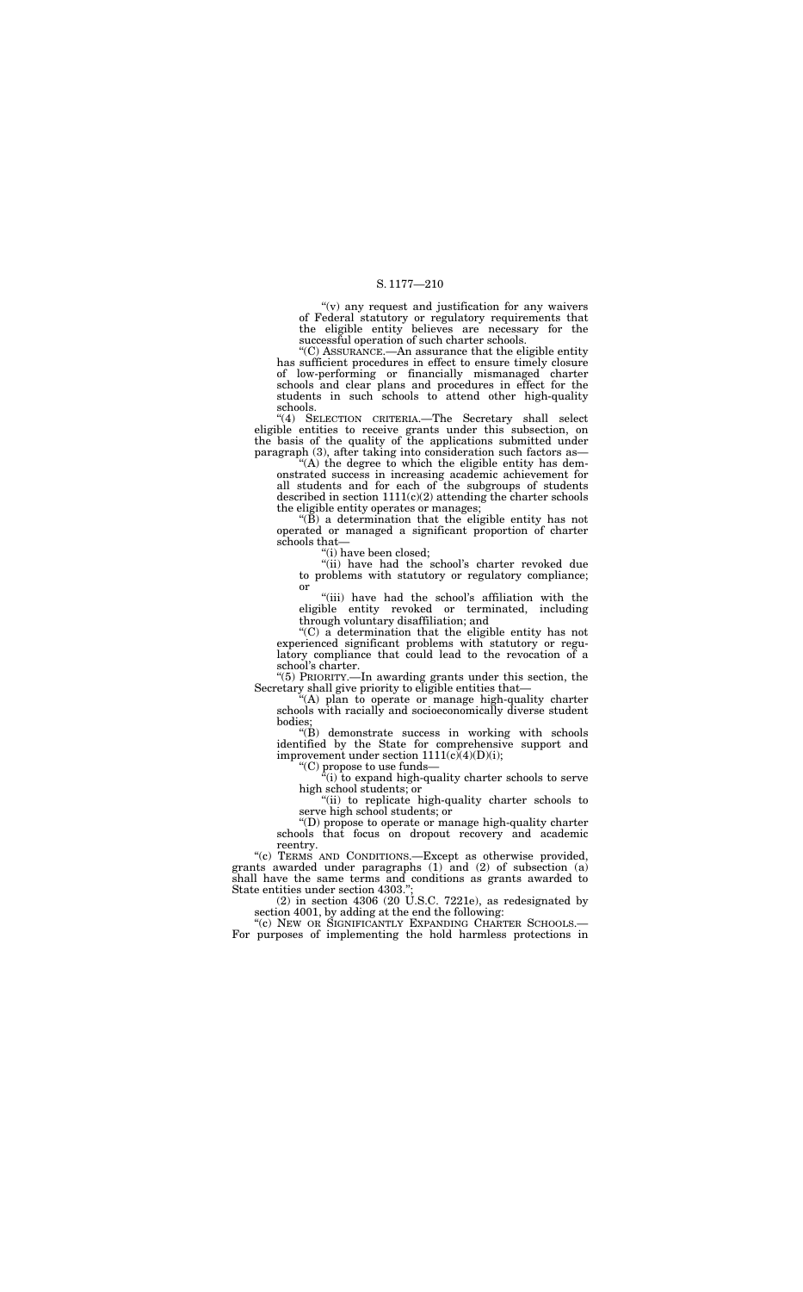" $(v)$  any request and justification for any waivers of Federal statutory or regulatory requirements that the eligible entity believes are necessary for the successful operation of such charter schools.

''(C) ASSURANCE.—An assurance that the eligible entity has sufficient procedures in effect to ensure timely closure of low-performing or financially mismanaged charter schools and clear plans and procedures in effect for the students in such schools to attend other high-quality schools.

"(4) SELECTION CRITERIA.—The Secretary shall select eligible entities to receive grants under this subsection, on the basis of the quality of the applications submitted under paragraph (3), after taking into consideration such factors as—

"(A) the degree to which the eligible entity has demonstrated success in increasing academic achievement for all students and for each of the subgroups of students described in section  $1111(c)(2)$  attending the charter schools the eligible entity operates or manages;

" $(\bar{B})$  a determination that the eligible entity has not operated or managed a significant proportion of charter schools that—

"(ii) have had the school's charter revoked due to problems with statutory or regulatory compliance; or

''(B) demonstrate success in working with schools identified by the State for comprehensive support and improvement under section  $1111(c)(4)(D)(i);$ 

"(ii) to replicate high-quality charter schools to serve high school students; or

''(i) have been closed;

''(iii) have had the school's affiliation with the eligible entity revoked or terminated, including through voluntary disaffiliation; and

''(C) a determination that the eligible entity has not experienced significant problems with statutory or regulatory compliance that could lead to the revocation of a school's charter.

''(5) PRIORITY.—In awarding grants under this section, the Secretary shall give priority to eligible entities that—

''(A) plan to operate or manage high-quality charter schools with racially and socioeconomically diverse student bodies;

''(C) propose to use funds—

''(i) to expand high-quality charter schools to serve high school students; or

''(D) propose to operate or manage high-quality charter schools that focus on dropout recovery and academic reentry.

"(c) TERMS AND CONDITIONS.—Except as otherwise provided, grants awarded under paragraphs (1) and (2) of subsection (a) shall have the same terms and conditions as grants awarded to State entities under section 4303.'

(2) in section 4306 (20 U.S.C. 7221e), as redesignated by section 4001, by adding at the end the following:<br>"(c) NEW OR SIGNIFICANTLY EXPANDING CHARTER SCHOOLS.—

For purposes of implementing the hold harmless protections in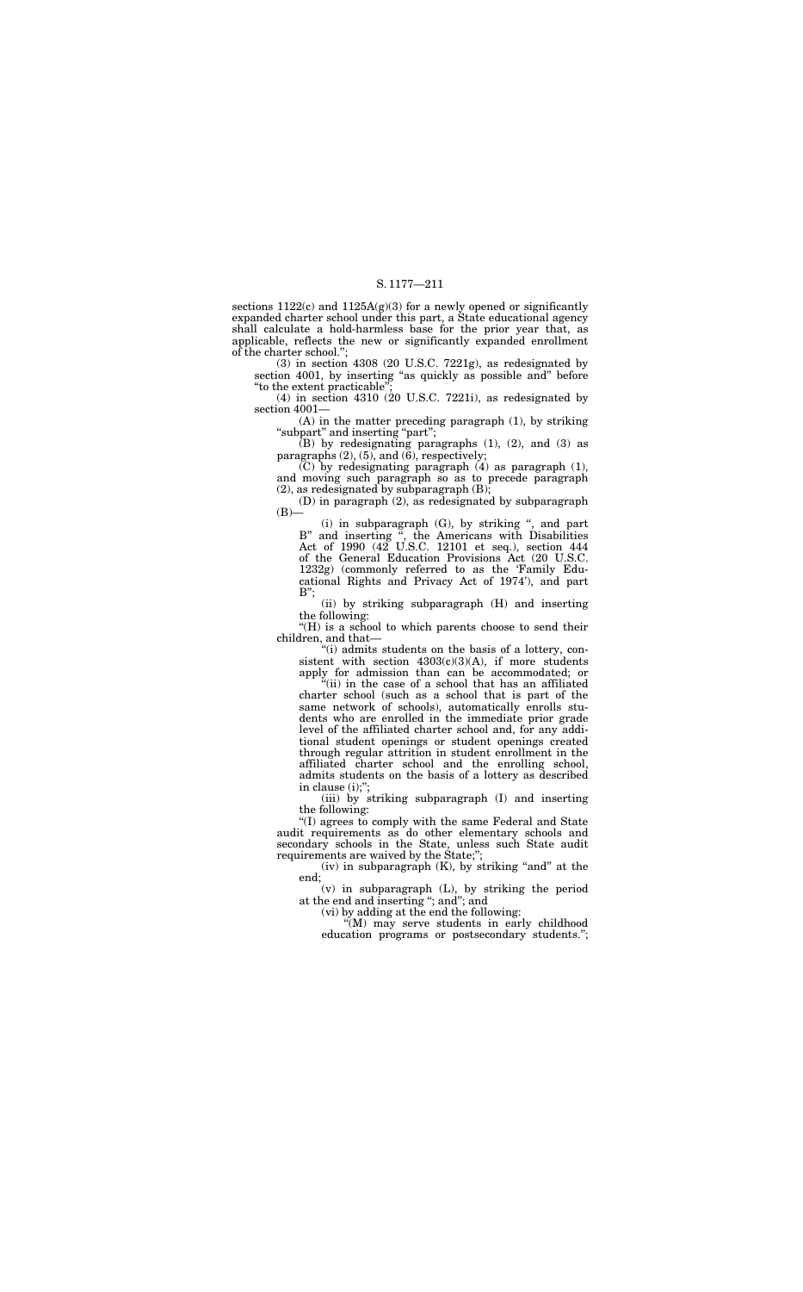sections  $1122(c)$  and  $1125A(g)(3)$  for a newly opened or significantly expanded charter school under this part, a State educational agency shall calculate a hold-harmless base for the prior year that, as applicable, reflects the new or significantly expanded enrollment of the charter school.'';

> (A) in the matter preceding paragraph (1), by striking "subpart" and inserting "part";

(3) in section 4308 (20 U.S.C. 7221g), as redesignated by section 4001, by inserting "as quickly as possible and" before ''to the extent practicable'';

 $(C)$  by redesignating paragraph  $(4)$  as paragraph  $(1)$ , and moving such paragraph so as to precede paragraph (2), as redesignated by subparagraph (B);

(D) in paragraph (2), as redesignated by subparagraph  $(B)$ —

(4) in section 4310 (20 U.S.C. 7221i), as redesignated by section 4001—

(B) by redesignating paragraphs (1), (2), and (3) as paragraphs (2), (5), and (6), respectively;

''(I) agrees to comply with the same Federal and State audit requirements as do other elementary schools and secondary schools in the State, unless such State audit requirements are waived by the State;";

(i) in subparagraph (G), by striking '', and part B'' and inserting '', the Americans with Disabilities Act of 1990 (42 U.S.C. 12101 et seq.), section 444 of the General Education Provisions Act (20 U.S.C. 1232g) (commonly referred to as the 'Family Educational Rights and Privacy Act of 1974'), and part B'';

 $(iv)$  in subparagraph  $(K)$ , by striking "and" at the end;

(ii) by striking subparagraph (H) and inserting the following:

"(M) may serve students in early childhood education programs or postsecondary students.'';

''(H) is a school to which parents choose to send their children, and that—

''(i) admits students on the basis of a lottery, consistent with section  $4303(c)(3)(A)$ , if more students apply for admission than can be accommodated; or

 $i$ <sup>"</sup>(ii) in the case of a school that has an affiliated charter school (such as a school that is part of the same network of schools), automatically enrolls students who are enrolled in the immediate prior grade level of the affiliated charter school and, for any additional student openings or student openings created through regular attrition in student enrollment in the affiliated charter school and the enrolling school, admits students on the basis of a lottery as described in clause  $(i)$ ;";

(iii) by striking subparagraph (I) and inserting the following:

(v) in subparagraph (L), by striking the period at the end and inserting ''; and''; and

(vi) by adding at the end the following: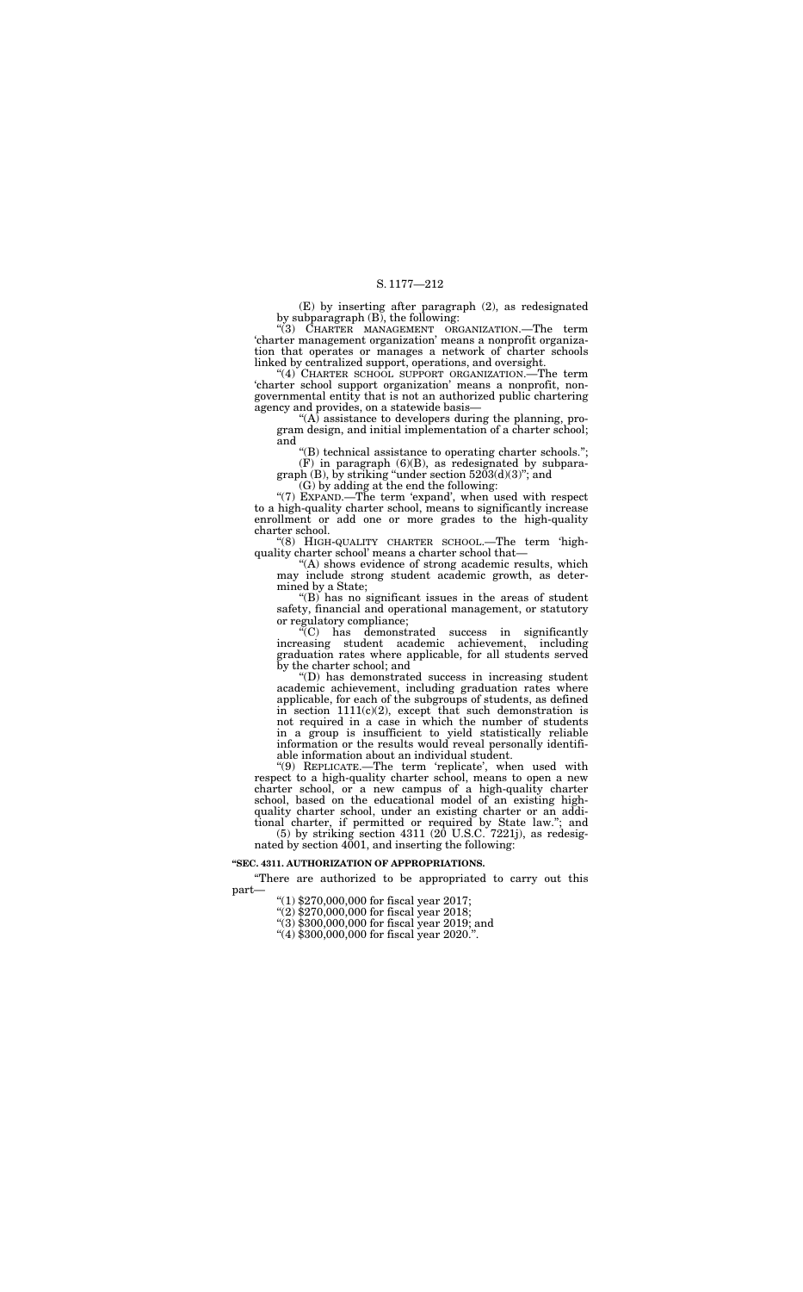(E) by inserting after paragraph (2), as redesignated by subparagraph  $(B)$ , the following:

''(3) CHARTER MANAGEMENT ORGANIZATION.—The term 'charter management organization' means a nonprofit organization that operates or manages a network of charter schools linked by centralized support, operations, and oversight.

"(4) CHARTER SCHOOL SUPPORT ORGANIZATION.—The term 'charter school support organization' means a nonprofit, nongovernmental entity that is not an authorized public chartering agency and provides, on a statewide basis—

" $(A)$  assistance to developers during the planning, program design, and initial implementation of a charter school; and

''(B) technical assistance to operating charter schools.'';  $(F)$  in paragraph  $(6)(B)$ , as redesignated by subpara-

graph (B), by striking "under section  $5203(d)(3)$ "; and

"(7) EXPAND.—The term 'expand', when used with respect to a high-quality charter school, means to significantly increase enrollment or add one or more grades to the high-quality charter school.

"(8) HIGH-QUALITY CHARTER SCHOOL.—The term 'highquality charter school' means a charter school that—

"(A) shows evidence of strong academic results, which may include strong student academic growth, as determined by a State;

(G) by adding at the end the following:

 $(5)$  by striking section 4311  $(20 \text{ U.S.C. } 7221 \text{j})$ , as redesignated by section 4001, and inserting the following:

''There are authorized to be appropriated to carry out this part—<br>
"(1) \$270,000,000 for fiscal year 2017;

 $(2)$  \$270,000,000 for fiscal year 2018;

''(B) has no significant issues in the areas of student safety, financial and operational management, or statutory or regulatory compliance;

''(C) has demonstrated success in significantly increasing student academic achievement, including graduation rates where applicable, for all students served by the charter school; and

''(D) has demonstrated success in increasing student academic achievement, including graduation rates where applicable, for each of the subgroups of students, as defined in section  $1111(c)(2)$ , except that such demonstration is not required in a case in which the number of students in a group is insufficient to yield statistically reliable information or the results would reveal personally identifiable information about an individual student.

''(9) REPLICATE.—The term 'replicate', when used with respect to a high-quality charter school, means to open a new charter school, or a new campus of a high-quality charter school, based on the educational model of an existing highquality charter school, under an existing charter or an additional charter, if permitted or required by State law.''; and

#### **''SEC. 4311. AUTHORIZATION OF APPROPRIATIONS.**

''(3) \$300,000,000 for fiscal year 2019; and

 $(4)$  \$300,000,000 for fiscal year 2020.".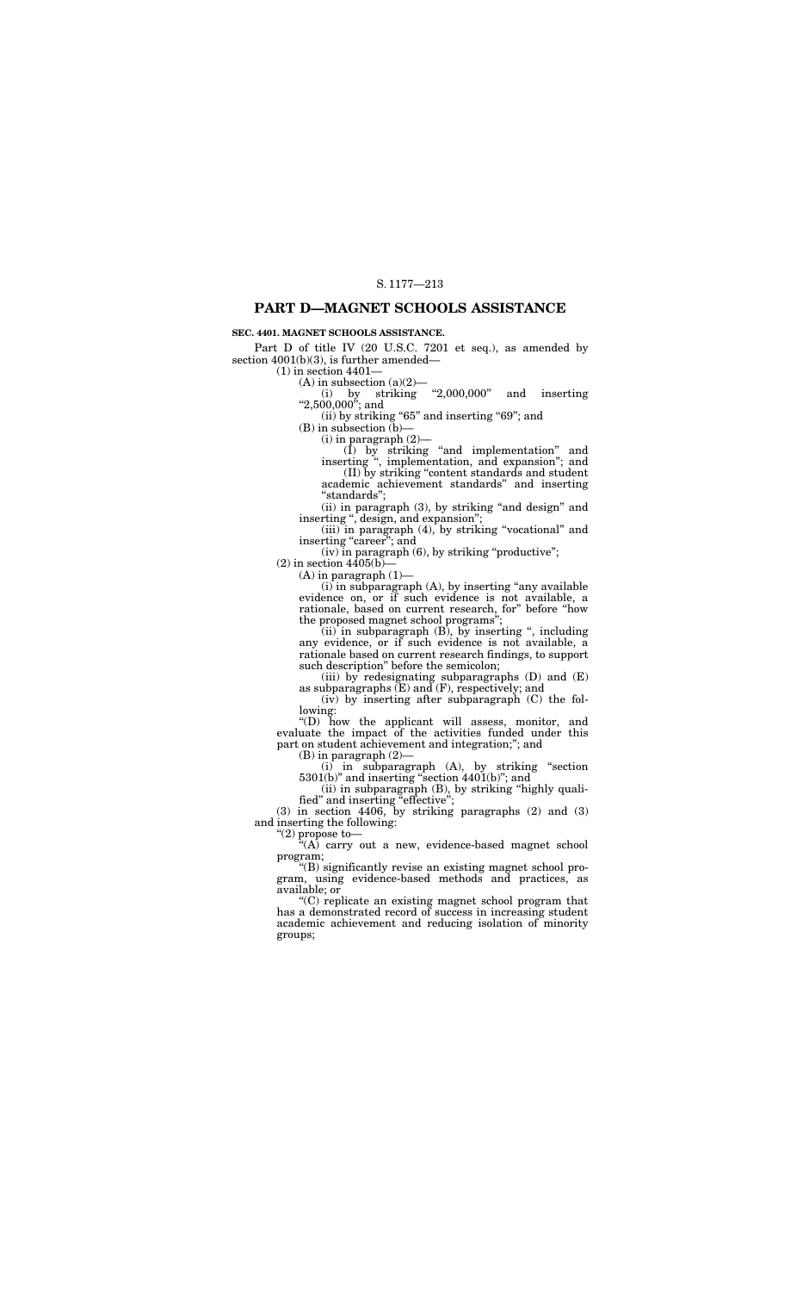### **PART D—MAGNET SCHOOLS ASSISTANCE**

#### **SEC. 4401. MAGNET SCHOOLS ASSISTANCE.**

Part D of title IV (20 U.S.C. 7201 et seq.), as amended by section 4001(b)(3), is further amended—

(1) in section 4401—

(A) in subsection  $(a)(2)$ —

(i) by striking ''2,000,000'' and inserting ''2,500,000''; and

 $(ii)$  by striking "65" and inserting "69"; and

(ii) in paragraph (3), by striking "and design" and inserting '', design, and expansion'';

(iii) in paragraph (4), by striking ''vocational'' and inserting "career"; and

 $(iv)$  in paragraph  $(6)$ , by striking "productive";

(2) in section  $4405(b)$ 

 $(A)$  in paragraph  $(1)$ —

(B) in subsection (b)—

(i) in paragraph (2)—

(I) by striking ''and implementation'' and inserting '', implementation, and expansion''; and (II) by striking ''content standards and student academic achievement standards'' and inserting ''standards'';

 $(i)$  in subparagraph  $(A)$ , by inserting "any available" evidence on, or if such evidence is not available, a rationale, based on current research, for'' before ''how the proposed magnet school programs'';

''(D) how the applicant will assess, monitor, and evaluate the impact of the activities funded under this part on student achievement and integration;"; and

(ii) in subparagraph (B), by inserting '', including any evidence, or if such evidence is not available, a rationale based on current research findings, to support such description'' before the semicolon;

(iii) by redesignating subparagraphs  $(D)$  and  $(E)$ as subparagraphs  $(E)$  and  $(F)$ , respectively; and

(iv) by inserting after subparagraph (C) the following:

(B) in paragraph (2)—

 $(i)$  in subparagraph  $(A)$ , by striking "section  $5301(b)$ " and inserting "section  $4401(b)$ "; and

(ii) in subparagraph (B), by striking ''highly qualified'' and inserting ''effective'';

(3) in section 4406, by striking paragraphs (2) and (3) and inserting the following:

''(2) propose to—

''(A) carry out a new, evidence-based magnet school program;

''(B) significantly revise an existing magnet school program, using evidence-based methods and practices, as available; or

''(C) replicate an existing magnet school program that has a demonstrated record of success in increasing student academic achievement and reducing isolation of minority groups;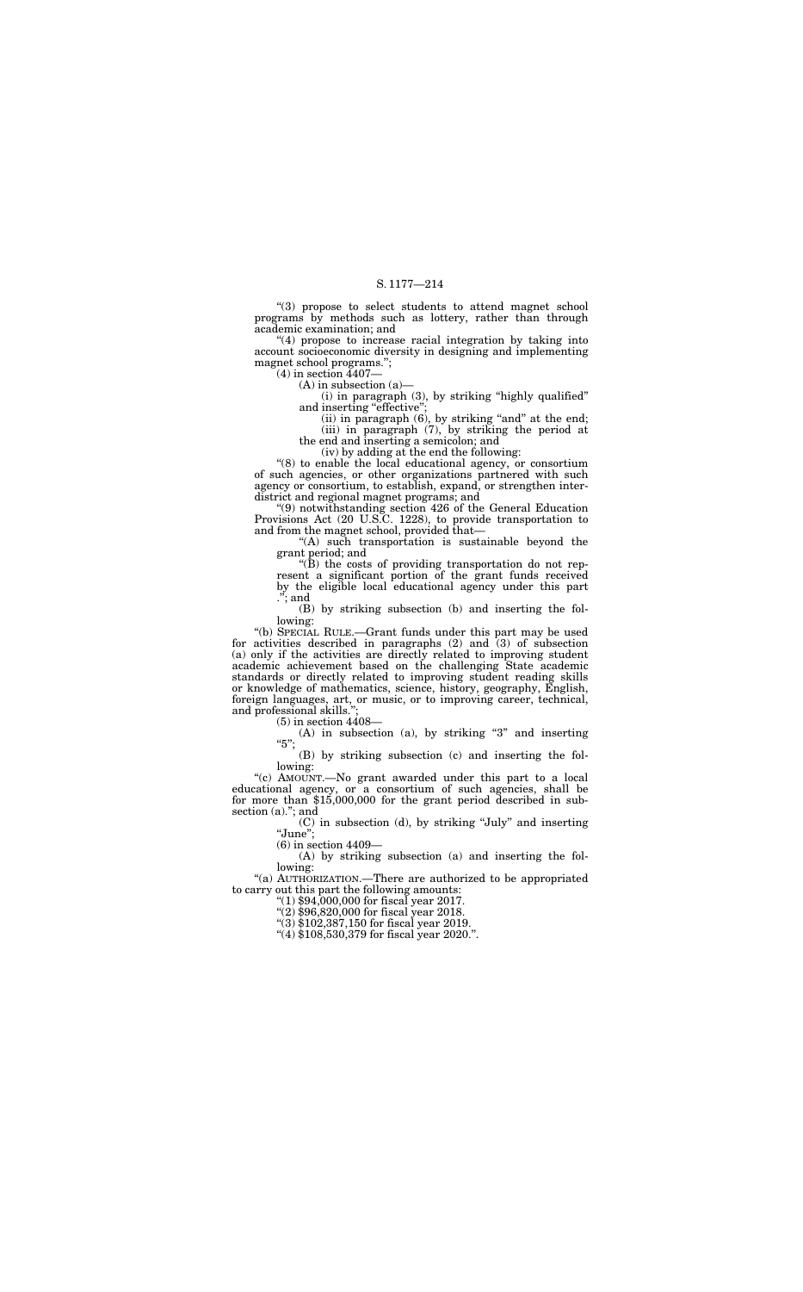''(3) propose to select students to attend magnet school programs by methods such as lottery, rather than through academic examination; and

"(4) propose to increase racial integration by taking into account socioeconomic diversity in designing and implementing magnet school programs.'';

 $(4)$  in section  $\overline{4}407-$ 

(i) in paragraph (3), by striking ''highly qualified'' and inserting "effective"

(ii) in paragraph  $(6)$ , by striking "and" at the end; (iii) in paragraph (7), by striking the period at

(A) in subsection (a)—

''(9) notwithstanding section 426 of the General Education Provisions Act (20 U.S.C. 1228), to provide transportation to and from the magnet school, provided that-

"(A) such transportation is sustainable beyond the grant period; and

the end and inserting a semicolon; and

(iv) by adding at the end the following:

 $\mathrm{``}(\mathrm{\tilde{B}})$  the costs of providing transportation do not represent a significant portion of the grant funds received by the eligible local educational agency under this part .''; and

''(b) SPECIAL RULE.—Grant funds under this part may be used for activities described in paragraphs  $(2)$  and  $(3)$  of subsection (a) only if the activities are directly related to improving student academic achievement based on the challenging State academic standards or directly related to improving student reading skills or knowledge of mathematics, science, history, geography, English, foreign languages, art, or music, or to improving career, technical, and professional skills.

 $(5)$  in section  $4408-$ 

 $(A)$  in subsection  $(a)$ , by striking "3" and inserting  $"5"$ ;

''(8) to enable the local educational agency, or consortium of such agencies, or other organizations partnered with such agency or consortium, to establish, expand, or strengthen interdistrict and regional magnet programs; and

''(a) AUTHORIZATION.—There are authorized to be appropriated to carry out this part the following amounts:<br>"(1) \$94,000,000 for fiscal year 2017.

 $(2)$  \$96,820,000 for fiscal year 2018.

(B) by striking subsection (b) and inserting the following:

(B) by striking subsection (c) and inserting the following:

"(c) AMOUNT.—No grant awarded under this part to a local educational agency, or a consortium of such agencies, shall be for more than \$15,000,000 for the grant period described in subsection (a)."; and

(C) in subsection (d), by striking ''July'' and inserting ''June'';

(6) in section 4409—

(A) by striking subsection (a) and inserting the following:

''(3) \$102,387,150 for fiscal year 2019.

 $(4)$  \$108,530,379 for fiscal year 2020.".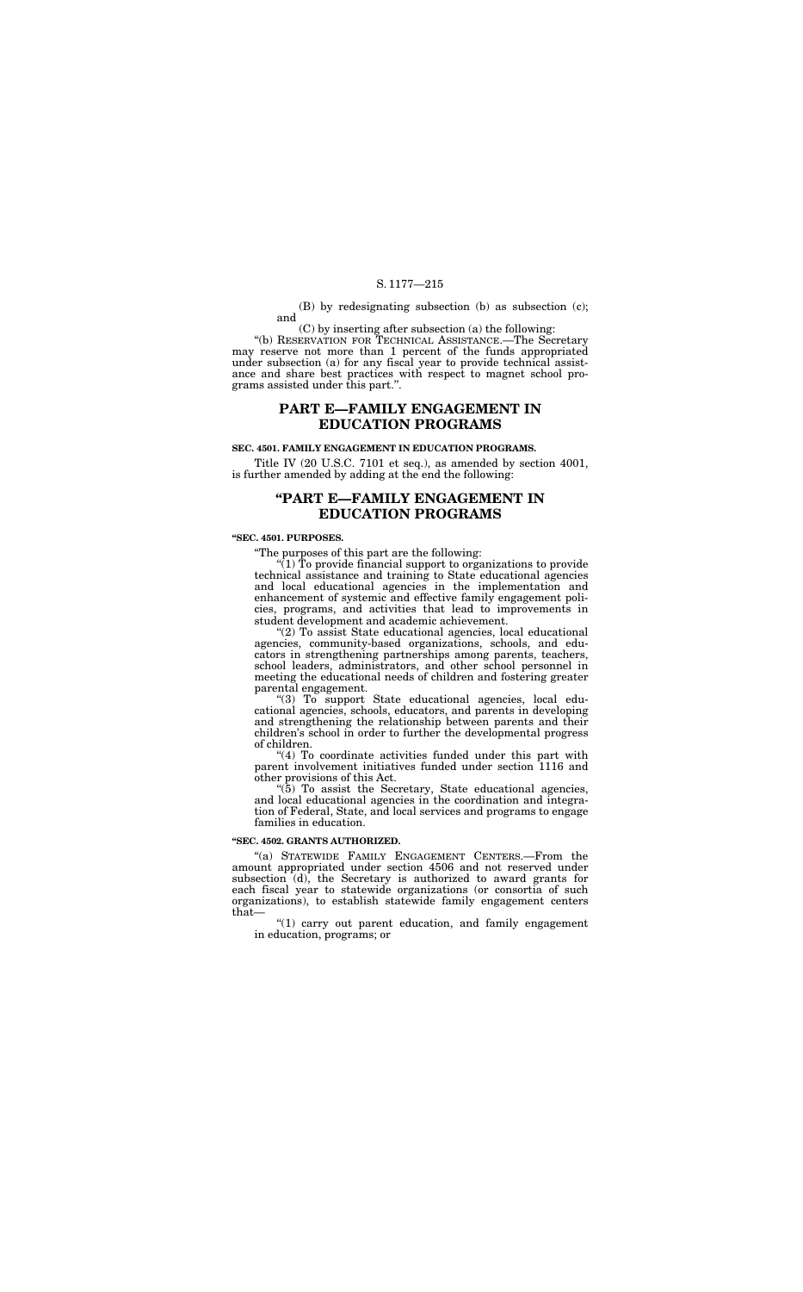(B) by redesignating subsection (b) as subsection (c); and

(C) by inserting after subsection (a) the following:

''(b) RESERVATION FOR TECHNICAL ASSISTANCE.—The Secretary may reserve not more than 1 percent of the funds appropriated under subsection (a) for any fiscal year to provide technical assistance and share best practices with respect to magnet school programs assisted under this part.''.

# **PART E—FAMILY ENGAGEMENT IN EDUCATION PROGRAMS**

#### **SEC. 4501. FAMILY ENGAGEMENT IN EDUCATION PROGRAMS.**

Title IV (20 U.S.C. 7101 et seq.), as amended by section 4001, is further amended by adding at the end the following:

# **''PART E—FAMILY ENGAGEMENT IN EDUCATION PROGRAMS**

#### **''SEC. 4501. PURPOSES.**

''The purposes of this part are the following:

"(4) To coordinate activities funded under this part with parent involvement initiatives funded under section 1116 and other provisions of this Act.

''(1) To provide financial support to organizations to provide technical assistance and training to State educational agencies and local educational agencies in the implementation and enhancement of systemic and effective family engagement policies, programs, and activities that lead to improvements in student development and academic achievement.

"(a) STATEWIDE FAMILY ENGAGEMENT CENTERS.-From the amount appropriated under section 4506 and not reserved under subsection (d), the Secretary is authorized to award grants for each fiscal year to statewide organizations (or consortia of such organizations), to establish statewide family engagement centers that—

''(2) To assist State educational agencies, local educational agencies, community-based organizations, schools, and educators in strengthening partnerships among parents, teachers, school leaders, administrators, and other school personnel in meeting the educational needs of children and fostering greater parental engagement.

''(3) To support State educational agencies, local educational agencies, schools, educators, and parents in developing and strengthening the relationship between parents and their children's school in order to further the developmental progress of children.

''(5) To assist the Secretary, State educational agencies, and local educational agencies in the coordination and integration of Federal, State, and local services and programs to engage families in education.

#### **''SEC. 4502. GRANTS AUTHORIZED.**

''(1) carry out parent education, and family engagement in education, programs; or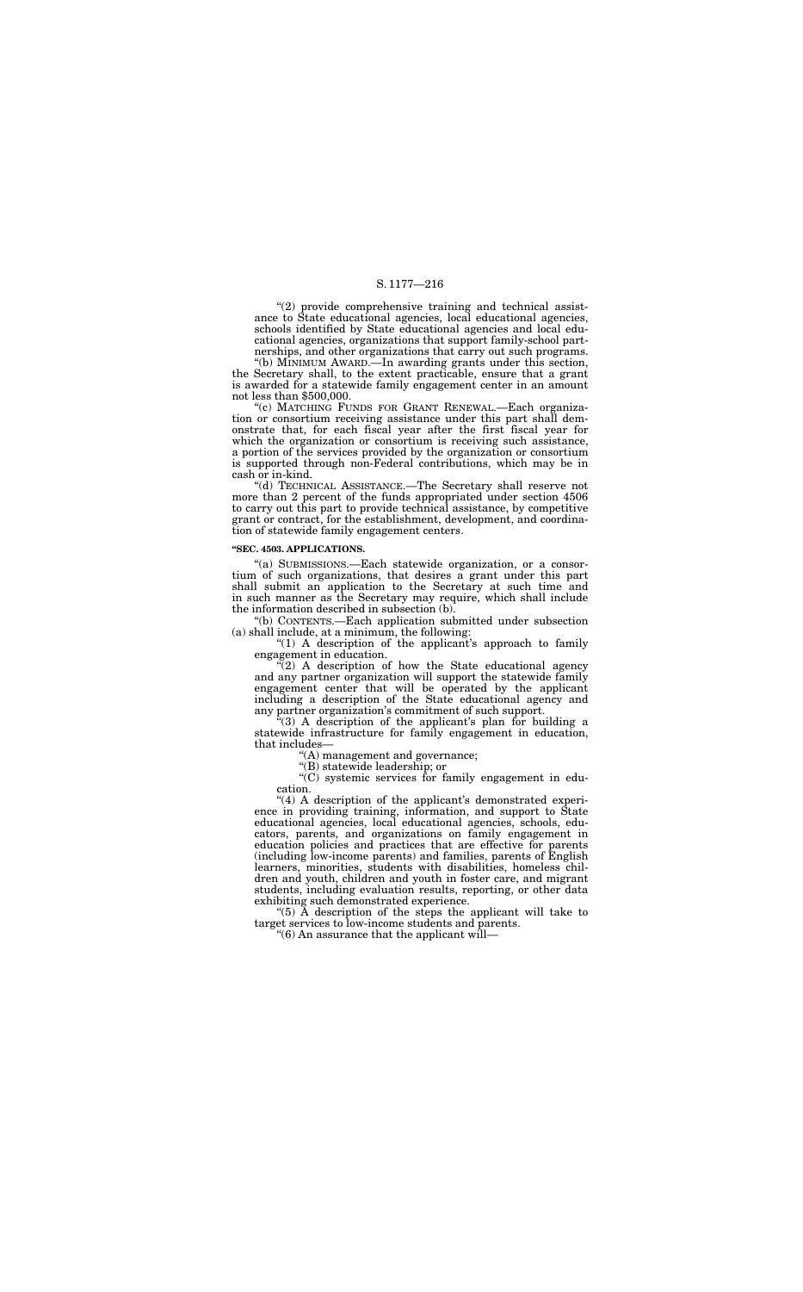''(2) provide comprehensive training and technical assistance to State educational agencies, local educational agencies, schools identified by State educational agencies and local educational agencies, organizations that support family-school partnerships, and other organizations that carry out such programs.

''(b) MINIMUM AWARD.—In awarding grants under this section, the Secretary shall, to the extent practicable, ensure that a grant is awarded for a statewide family engagement center in an amount not less than \$500,000.

"(c) MATCHING FUNDS FOR GRANT RENEWAL.—Each organization or consortium receiving assistance under this part shall demonstrate that, for each fiscal year after the first fiscal year for which the organization or consortium is receiving such assistance, a portion of the services provided by the organization or consortium is supported through non-Federal contributions, which may be in cash or in-kind.

" $(1)$  A description of the applicant's approach to family engagement in education.

 $\mathcal{F}(2)$  A description of how the State educational agency and any partner organization will support the statewide family engagement center that will be operated by the applicant including a description of the State educational agency and any partner organization's commitment of such support.

''(d) TECHNICAL ASSISTANCE.—The Secretary shall reserve not more than 2 percent of the funds appropriated under section 4506 to carry out this part to provide technical assistance, by competitive grant or contract, for the establishment, development, and coordination of statewide family engagement centers.

#### **''SEC. 4503. APPLICATIONS.**

''(a) SUBMISSIONS.—Each statewide organization, or a consortium of such organizations, that desires a grant under this part shall submit an application to the Secretary at such time and in such manner as the Secretary may require, which shall include the information described in subsection (b).

"(4) A description of the applicant's demonstrated experience in providing training, information, and support to State educational agencies, local educational agencies, schools, educators, parents, and organizations on family engagement in education policies and practices that are effective for parents (including low-income parents) and families, parents of English learners, minorities, students with disabilities, homeless children and youth, children and youth in foster care, and migrant students, including evaluation results, reporting, or other data exhibiting such demonstrated experience.

" $(5)$  A description of the steps the applicant will take to target services to low-income students and parents.

''(b) CONTENTS.—Each application submitted under subsection (a) shall include, at a minimum, the following:

''(3) A description of the applicant's plan for building a statewide infrastructure for family engagement in education, that includes—

''(A) management and governance;

''(B) statewide leadership; or

''(C) systemic services for family engagement in education.

''(6) An assurance that the applicant will—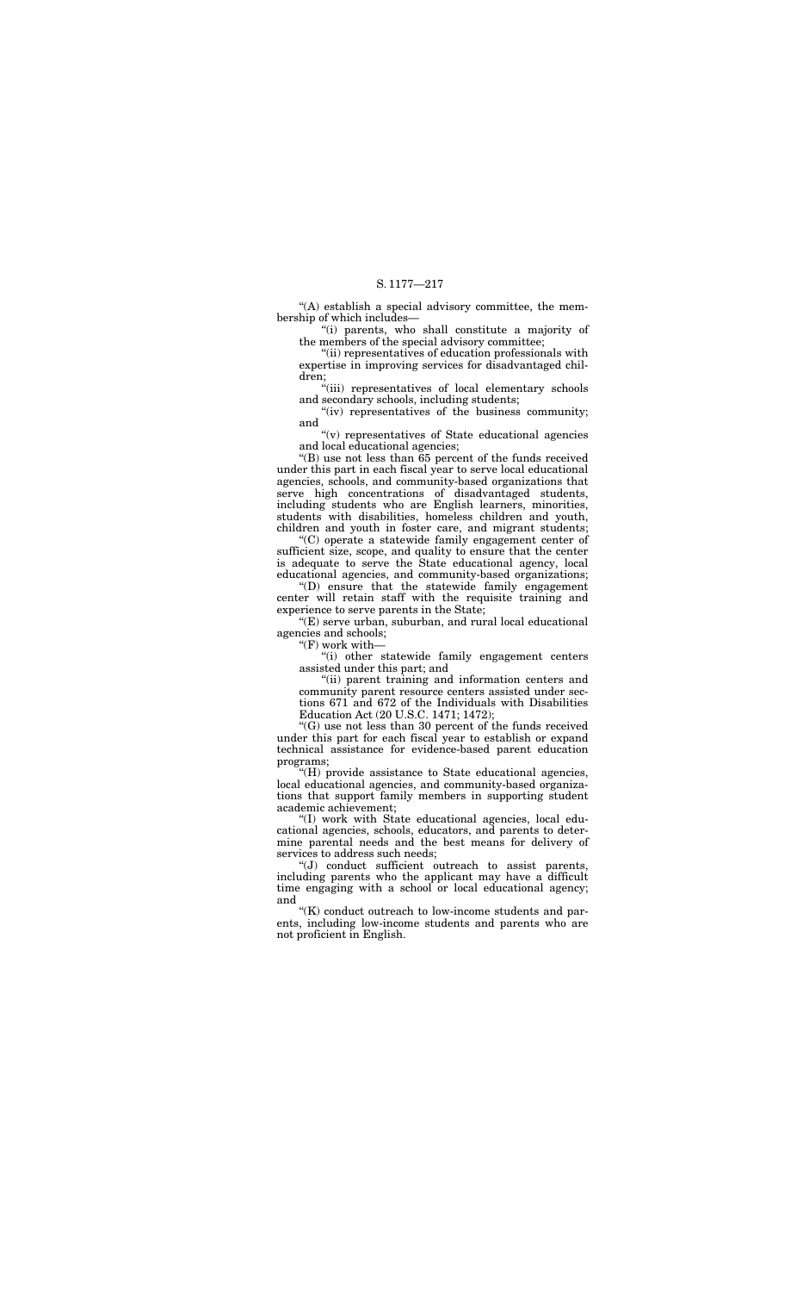"(A) establish a special advisory committee, the membership of which includes—

''(i) parents, who shall constitute a majority of the members of the special advisory committee;

"(iii) representatives of local elementary schools and secondary schools, including students;

"(iv) representatives of the business community; and

''(ii) representatives of education professionals with expertise in improving services for disadvantaged children;

''(v) representatives of State educational agencies and local educational agencies;

''(B) use not less than 65 percent of the funds received under this part in each fiscal year to serve local educational agencies, schools, and community-based organizations that serve high concentrations of disadvantaged students, including students who are English learners, minorities, students with disabilities, homeless children and youth, children and youth in foster care, and migrant students;

"(ii) parent training and information centers and community parent resource centers assisted under sections 671 and 672 of the Individuals with Disabilities Education Act (20 U.S.C. 1471; 1472);

 $C'(G)$  use not less than 30 percent of the funds received under this part for each fiscal year to establish or expand technical assistance for evidence-based parent education programs;

 $(H)$  provide assistance to State educational agencies, local educational agencies, and community-based organizations that support family members in supporting student academic achievement;

''(C) operate a statewide family engagement center of sufficient size, scope, and quality to ensure that the center is adequate to serve the State educational agency, local educational agencies, and community-based organizations;

''(D) ensure that the statewide family engagement center will retain staff with the requisite training and experience to serve parents in the State;

''(E) serve urban, suburban, and rural local educational agencies and schools;

 $\rm ^{\omega}(F)$  work with–

''(i) other statewide family engagement centers assisted under this part; and

''(I) work with State educational agencies, local educational agencies, schools, educators, and parents to determine parental needs and the best means for delivery of services to address such needs;

''(J) conduct sufficient outreach to assist parents, including parents who the applicant may have a difficult time engaging with a school or local educational agency; and

''(K) conduct outreach to low-income students and parents, including low-income students and parents who are not proficient in English.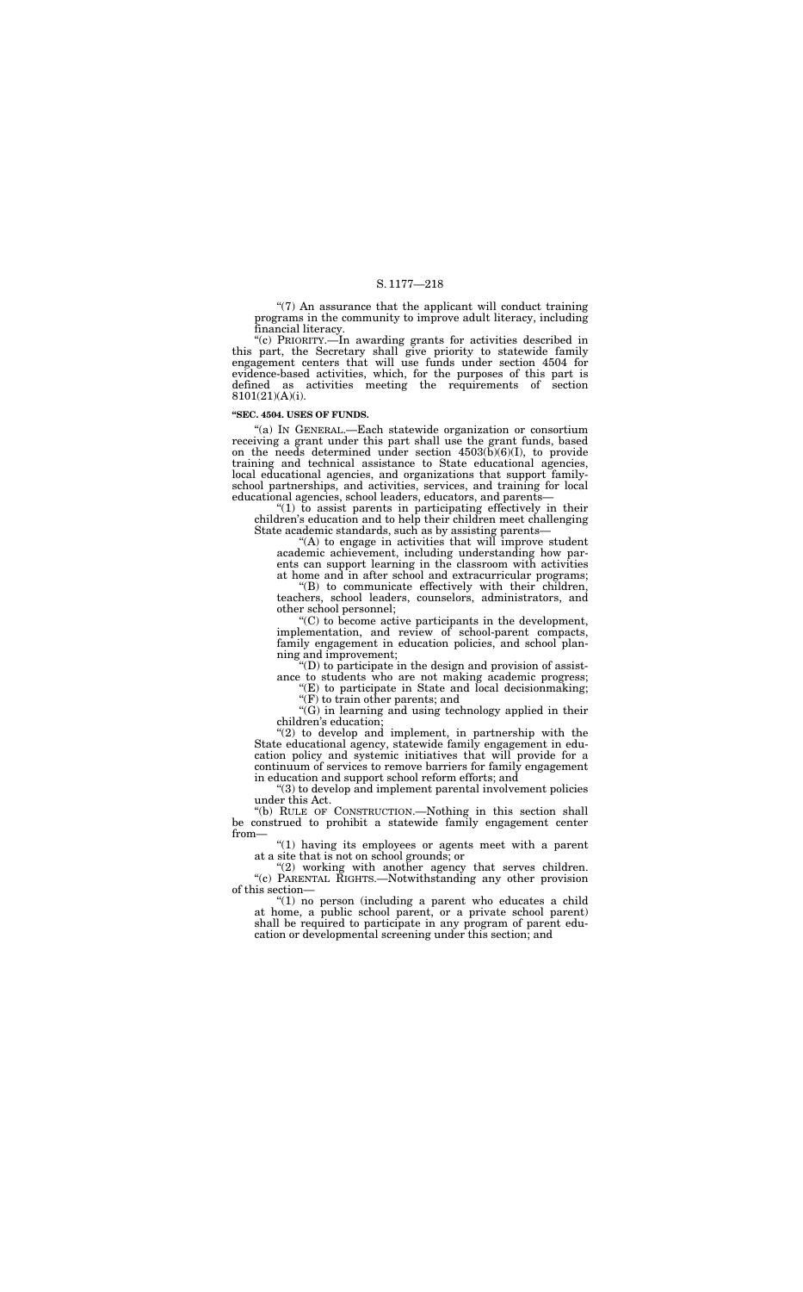''(7) An assurance that the applicant will conduct training programs in the community to improve adult literacy, including financial literacy.

''(c) PRIORITY.—In awarding grants for activities described in this part, the Secretary shall give priority to statewide family engagement centers that will use funds under section 4504 for evidence-based activities, which, for the purposes of this part is defined as activities meeting the requirements of section 8101(21)(A)(i).

#### **''SEC. 4504. USES OF FUNDS.**

" $(1)$  to assist parents in participating effectively in their children's education and to help their children meet challenging State academic standards, such as by assisting parents—

''(a) IN GENERAL.—Each statewide organization or consortium receiving a grant under this part shall use the grant funds, based on the needs determined under section  $4503(b)(6)(I)$ , to provide training and technical assistance to State educational agencies, local educational agencies, and organizations that support familyschool partnerships, and activities, services, and training for local educational agencies, school leaders, educators, and parents—

> "(B) to communicate effectively with their children, teachers, school leaders, counselors, administrators, and other school personnel;

"(E) to participate in State and local decisionmaking; ''(F) to train other parents; and

"(2) to develop and implement, in partnership with the State educational agency, statewide family engagement in education policy and systemic initiatives that will provide for a continuum of services to remove barriers for family engagement in education and support school reform efforts; and

''(b) RULE OF CONSTRUCTION.—Nothing in this section shall be construed to prohibit a statewide family engagement center from

''(A) to engage in activities that will improve student academic achievement, including understanding how parents can support learning in the classroom with activities at home and in after school and extracurricular programs;

"(1) having its employees or agents meet with a parent at a site that is not on school grounds; or

"(2) working with another agency that serves children. ''(c) PARENTAL RIGHTS.—Notwithstanding any other provision of this section—

" $(1)$  no person (including a parent who educates a child at home, a public school parent, or a private school parent) shall be required to participate in any program of parent education or developmental screening under this section; and

''(C) to become active participants in the development, implementation, and review of school-parent compacts, family engagement in education policies, and school planning and improvement;

''(D) to participate in the design and provision of assistance to students who are not making academic progress;

''(G) in learning and using technology applied in their children's education;

''(3) to develop and implement parental involvement policies under this Act.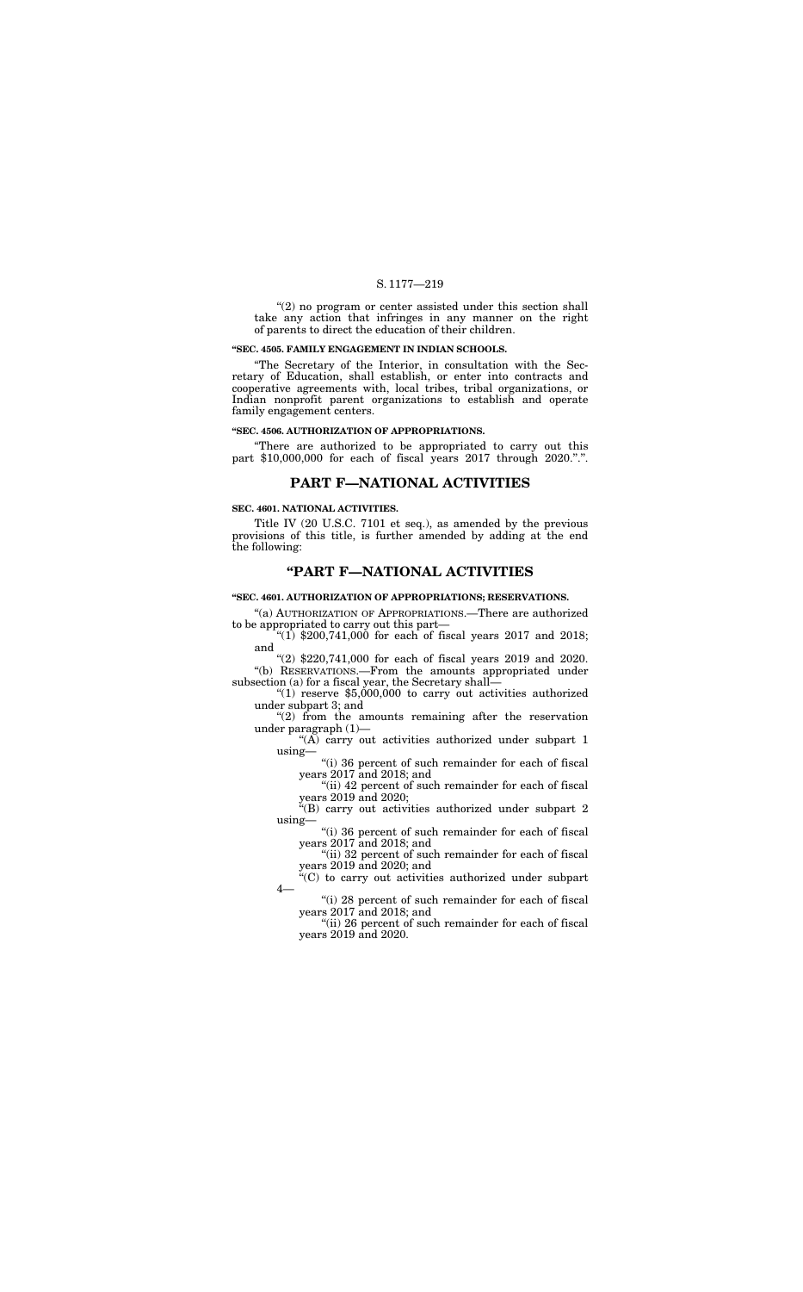" $(2)$  no program or center assisted under this section shall take any action that infringes in any manner on the right of parents to direct the education of their children.

#### **''SEC. 4505. FAMILY ENGAGEMENT IN INDIAN SCHOOLS.**

''There are authorized to be appropriated to carry out this part  $$10,000,000$  for each of fiscal years 2017 through 2020.".".

''The Secretary of the Interior, in consultation with the Secretary of Education, shall establish, or enter into contracts and cooperative agreements with, local tribes, tribal organizations, or Indian nonprofit parent organizations to establish and operate family engagement centers.

#### **''SEC. 4506. AUTHORIZATION OF APPROPRIATIONS.**

"(1)  $$200,741,000$  for each of fiscal years 2017 and 2018; and

''(2) \$220,741,000 for each of fiscal years 2019 and 2020. ''(b) RESERVATIONS.—From the amounts appropriated under subsection (a) for a fiscal year, the Secretary shall-

 $(1)$  reserve \$5,000,000 to carry out activities authorized under subpart 3; and

### **PART F—NATIONAL ACTIVITIES**

#### **SEC. 4601. NATIONAL ACTIVITIES.**

" $(2)$  from the amounts remaining after the reservation under paragraph (1)—

" $(A)$  carry out activities authorized under subpart 1 using—

Title IV (20 U.S.C. 7101 et seq.), as amended by the previous provisions of this title, is further amended by adding at the end the following:

# **''PART F—NATIONAL ACTIVITIES**

"(i) 36 percent of such remainder for each of fiscal years 2017 and 2018; and

#### **''SEC. 4601. AUTHORIZATION OF APPROPRIATIONS; RESERVATIONS.**

"(ii) 32 percent of such remainder for each of fiscal years 2019 and 2020; and

"(i) 28 percent of such remainder for each of fiscal years 2017 and 2018; and

''(a) AUTHORIZATION OF APPROPRIATIONS.—There are authorized to be appropriated to carry out this part—

> "(ii) 26 percent of such remainder for each of fiscal years 2019 and 2020.

''(i) 36 percent of such remainder for each of fiscal years 2017 and 2018; and

''(ii) 42 percent of such remainder for each of fiscal years 2019 and 2020;

''(B) carry out activities authorized under subpart 2 using—

''(C) to carry out activities authorized under subpart 4—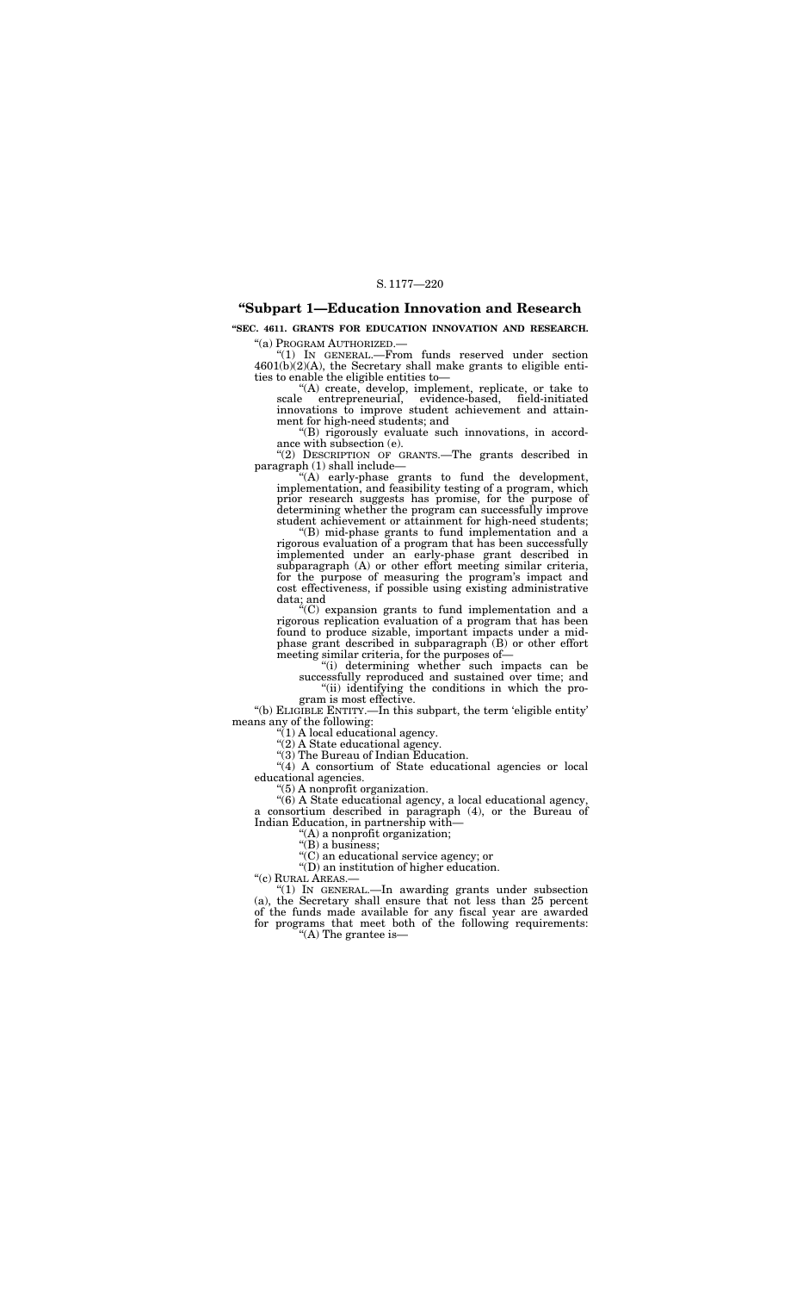### **''Subpart 1—Education Innovation and Research**

**''SEC. 4611. GRANTS FOR EDUCATION INNOVATION AND RESEARCH.** 

''(a) PROGRAM AUTHORIZED.— ''(1) IN GENERAL.—From funds reserved under section  $4601(b)(2)(A)$ , the Secretary shall make grants to eligible entities to enable the eligible entities to—

''(A) create, develop, implement, replicate, or take to scale entrepreneurial, evidence-based, field-initiated innovations to improve student achievement and attainment for high-need students; and

''(B) rigorously evaluate such innovations, in accordance with subsection (e).

''(2) DESCRIPTION OF GRANTS.—The grants described in paragraph (1) shall include—

''(A) early-phase grants to fund the development, implementation, and feasibility testing of a program, which prior research suggests has promise, for the purpose of determining whether the program can successfully improve student achievement or attainment for high-need students;

"(4) A consortium of State educational agencies or local educational agencies.

 $\cdot$ (6) A State educational agency, a local educational agency, a consortium described in paragraph (4), or the Bureau of Indian Education, in partnership with—

''(B) mid-phase grants to fund implementation and a rigorous evaluation of a program that has been successfully implemented under an early-phase grant described in subparagraph (A) or other effort meeting similar criteria, for the purpose of measuring the program's impact and cost effectiveness, if possible using existing administrative data; and

''(C) expansion grants to fund implementation and a rigorous replication evaluation of a program that has been rigorous replication evaluation of a program that has been<br>found to produce sizable, important impacts under a midphase grant described in subparagraph (B) or other effort meeting similar criteria, for the purposes of—

''(i) determining whether such impacts can be successfully reproduced and sustained over time; and ''(ii) identifying the conditions in which the program is most effective.

''(b) ELIGIBLE ENTITY.—In this subpart, the term 'eligible entity' means any of the following:

''(1) A local educational agency.

"(2) A State educational agency.

"(3) The Bureau of Indian Education.

''(5) A nonprofit organization.

''(A) a nonprofit organization;

 $\mathbf{H}(\mathbf{B})$  a business;

''(C) an educational service agency; or

''(D) an institution of higher education.

''(c) RURAL AREAS.—

''(1) IN GENERAL.—In awarding grants under subsection (a), the Secretary shall ensure that not less than 25 percent of the funds made available for any fiscal year are awarded for programs that meet both of the following requirements:

''(A) The grantee is—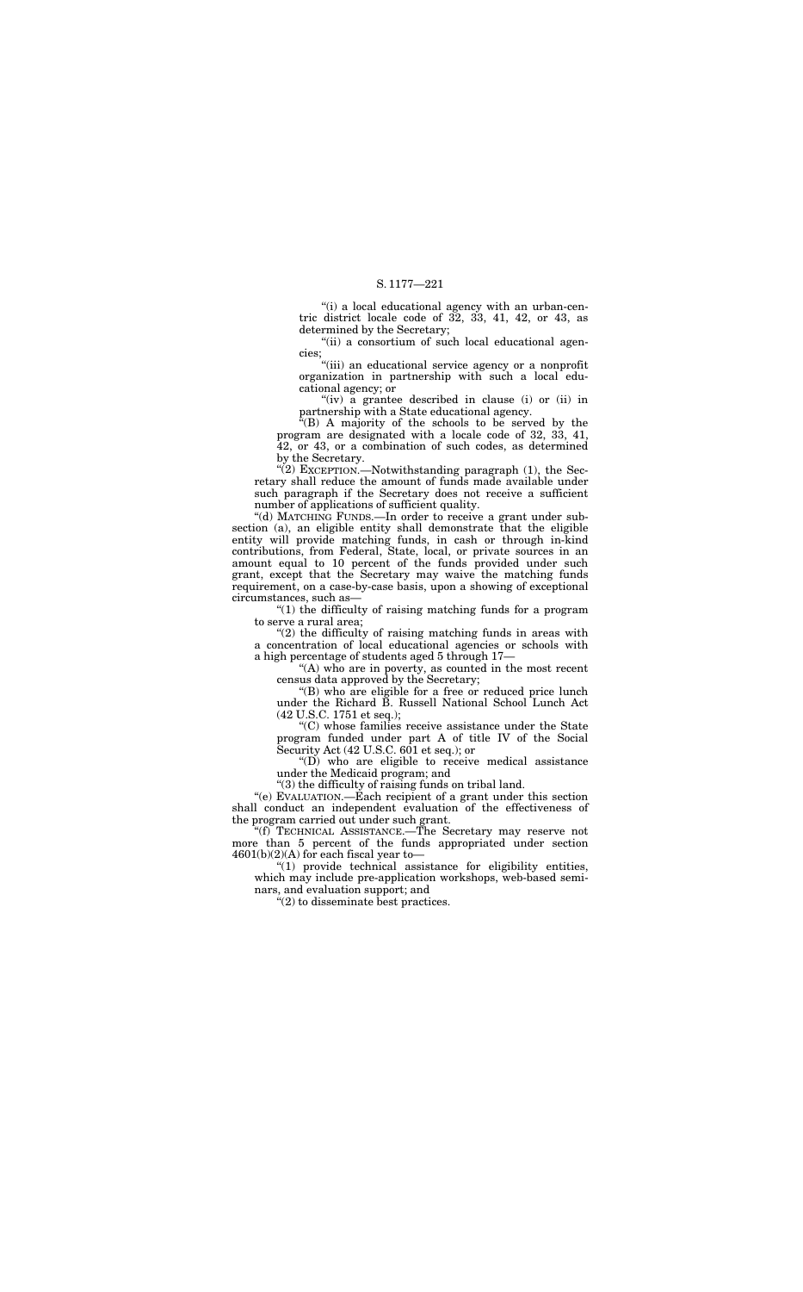''(i) a local educational agency with an urban-centric district locale code of 32, 33, 41, 42, or 43, as determined by the Secretary;

"(iii) an educational service agency or a nonprofit organization in partnership with such a local educational agency; or

''(ii) a consortium of such local educational agencies;

"(iv) a grantee described in clause (i) or (ii) in partnership with a State educational agency.

"(2) EXCEPTION.—Notwithstanding paragraph  $(1)$ , the Secretary shall reduce the amount of funds made available under such paragraph if the Secretary does not receive a sufficient number of applications of sufficient quality.

''(B) A majority of the schools to be served by the program are designated with a locale code of 32, 33, 41, 42, or 43, or a combination of such codes, as determined by the Secretary.

"(d) MATCHING FUNDS.—In order to receive a grant under subsection (a), an eligible entity shall demonstrate that the eligible entity will provide matching funds, in cash or through in-kind contributions, from Federal, State, local, or private sources in an amount equal to 10 percent of the funds provided under such grant, except that the Secretary may waive the matching funds requirement, on a case-by-case basis, upon a showing of exceptional circumstances, such as—

" $(1)$  the difficulty of raising matching funds for a program to serve a rural area;

 $''(2)$  the difficulty of raising matching funds in areas with a concentration of local educational agencies or schools with a high percentage of students aged 5 through 17—

"(A) who are in poverty, as counted in the most recent census data approved by the Secretary;

"(B) who are eligible for a free or reduced price lunch under the Richard B. Russell National School Lunch Act (42 U.S.C. 1751 et seq.);

 $"(1)$  provide technical assistance for eligibility entities, which may include pre-application workshops, web-based seminars, and evaluation support; and

''(C) whose families receive assistance under the State program funded under part A of title IV of the Social Security Act (42 U.S.C. 601 et seq.); or

''(D) who are eligible to receive medical assistance under the Medicaid program; and

''(3) the difficulty of raising funds on tribal land.

''(e) EVALUATION.—Each recipient of a grant under this section shall conduct an independent evaluation of the effectiveness of the program carried out under such grant.

''(f) TECHNICAL ASSISTANCE.—The Secretary may reserve not more than 5 percent of the funds appropriated under section 4601(b)(2)(A) for each fiscal year to—

''(2) to disseminate best practices.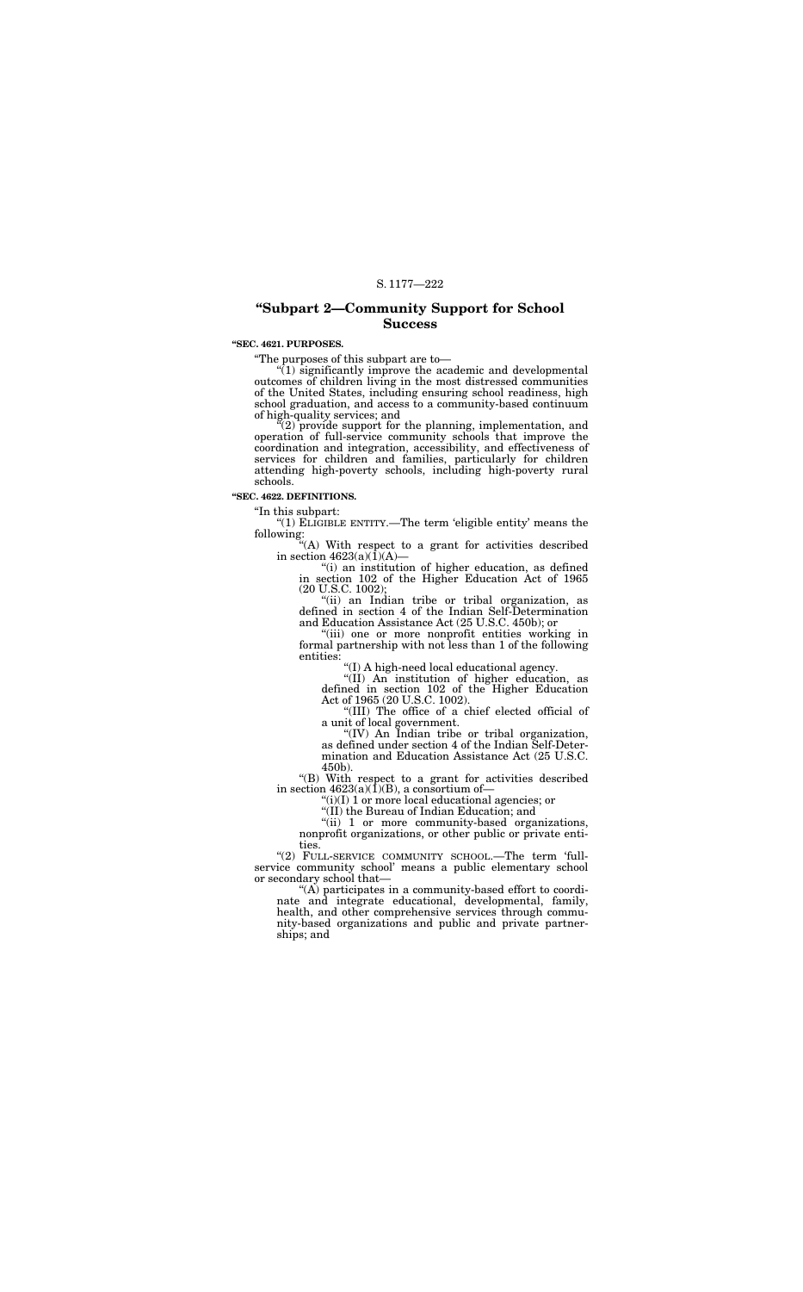# **''Subpart 2—Community Support for School Success**

#### **''SEC. 4621. PURPOSES.**

''The purposes of this subpart are to—

 $(1)$  significantly improve the academic and developmental outcomes of children living in the most distressed communities of the United States, including ensuring school readiness, high school graduation, and access to a community-based continuum of high-quality services; and

 $\tilde{f}(2)$  provide support for the planning, implementation, and operation of full-service community schools that improve the coordination and integration, accessibility, and effectiveness of services for children and families, particularly for children attending high-poverty schools, including high-poverty rural schools.

"(1) ELIGIBLE ENTITY.—The term 'eligible entity' means the following:

''(A) With respect to a grant for activities described in section  $4623(a)(1)(A)$ —

"(iii) one or more nonprofit entities working in formal partnership with not less than 1 of the following entities:

#### **''SEC. 4622. DEFINITIONS.**

''In this subpart:

''(B) With respect to a grant for activities described in section  $4623(a)(1)(B)$ , a consortium of-

 $(ii)(I)$  1 or more local educational agencies; or

''(i) an institution of higher education, as defined in section 102 of the Higher Education Act of 1965 (20 U.S.C. 1002);

''(ii) an Indian tribe or tribal organization, as defined in section 4 of the Indian Self-Determination and Education Assistance Act (25 U.S.C. 450b); or

" $(A)$  participates in a community-based effort to coordinate and integrate educational, developmental, family, health, and other comprehensive services through community-based organizations and public and private partnerships; and

''(I) A high-need local educational agency.

''(II) An institution of higher education, as defined in section 102 of the Higher Education Act of 1965 (20 U.S.C. 1002).

''(III) The office of a chief elected official of a unit of local government.

''(IV) An Indian tribe or tribal organization, as defined under section 4 of the Indian Self-Determination and Education Assistance Act (25 U.S.C. 450b).

''(II) the Bureau of Indian Education; and

''(ii) 1 or more community-based organizations, nonprofit organizations, or other public or private entities.

''(2) FULL-SERVICE COMMUNITY SCHOOL.—The term 'fullservice community school' means a public elementary school or secondary school that—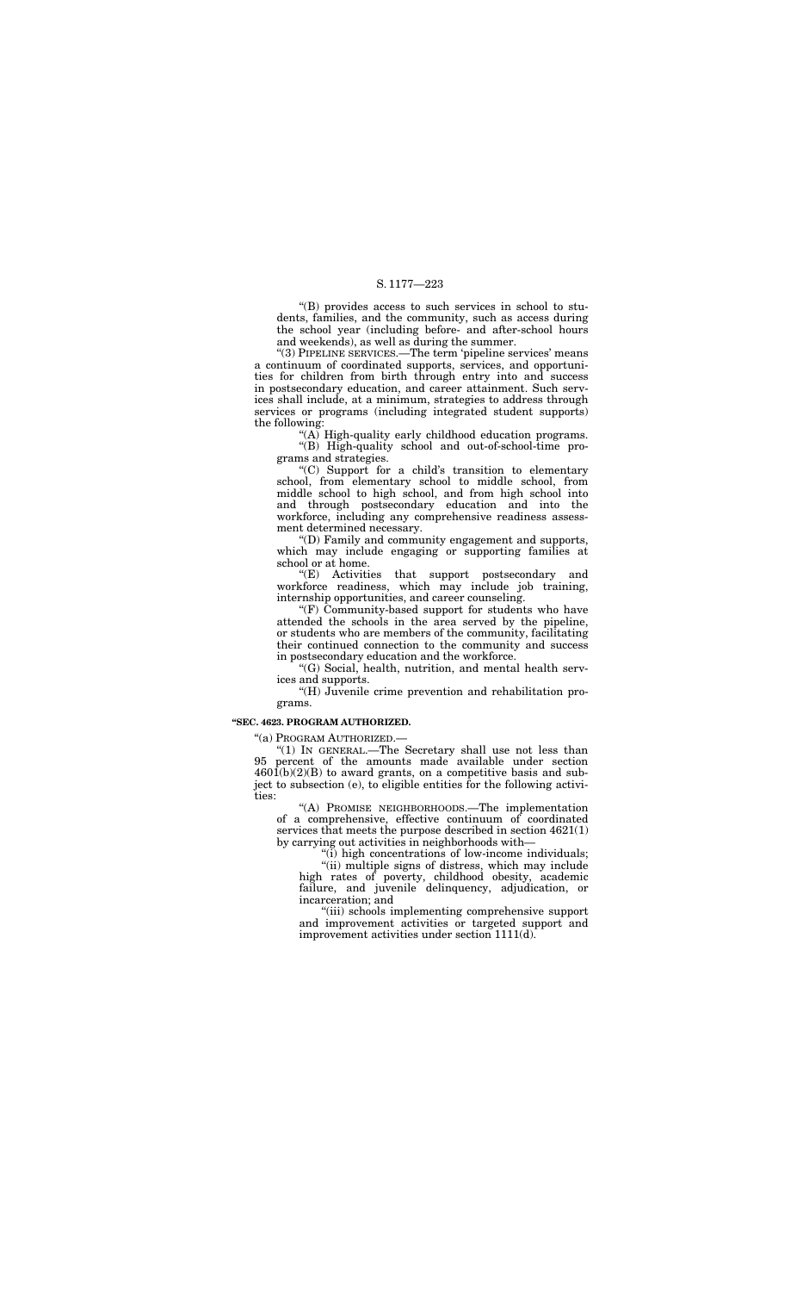''(B) provides access to such services in school to students, families, and the community, such as access during the school year (including before- and after-school hours and weekends), as well as during the summer.

" $(A)$  High-quality early childhood education programs. ''(B) High-quality school and out-of-school-time programs and strategies.

''(3) PIPELINE SERVICES.—The term 'pipeline services' means a continuum of coordinated supports, services, and opportunities for children from birth through entry into and success in postsecondary education, and career attainment. Such services shall include, at a minimum, strategies to address through services or programs (including integrated student supports) the following:

''(C) Support for a child's transition to elementary school, from elementary school to middle school, from middle school to high school, and from high school into and through postsecondary education and into the workforce, including any comprehensive readiness assessment determined necessary.

"(1) IN GENERAL.—The Secretary shall use not less than 95 percent of the amounts made available under section  $4601(b)(2)(B)$  to award grants, on a competitive basis and subject to subsection (e), to eligible entities for the following activities:

''(D) Family and community engagement and supports, which may include engaging or supporting families at school or at home.

''(E) Activities that support postsecondary and workforce readiness, which may include job training, internship opportunities, and career counseling.

"(ii) multiple signs of distress, which may include high rates of poverty, childhood obesity, academic failure, and juvenile delinquency, adjudication, or incarceration; and

''(F) Community-based support for students who have attended the schools in the area served by the pipeline, or students who are members of the community, facilitating their continued connection to the community and success in postsecondary education and the workforce.

''(G) Social, health, nutrition, and mental health services and supports.

''(H) Juvenile crime prevention and rehabilitation programs.

#### **''SEC. 4623. PROGRAM AUTHORIZED.**

''(a) PROGRAM AUTHORIZED.—

''(A) PROMISE NEIGHBORHOODS.—The implementation of a comprehensive, effective continuum of coordinated services that meets the purpose described in section 4621(1) by carrying out activities in neighborhoods with—

 $\mathcal{F}(i)$  high concentrations of low-income individuals;

''(iii) schools implementing comprehensive support and improvement activities or targeted support and improvement activities under section 1111(d).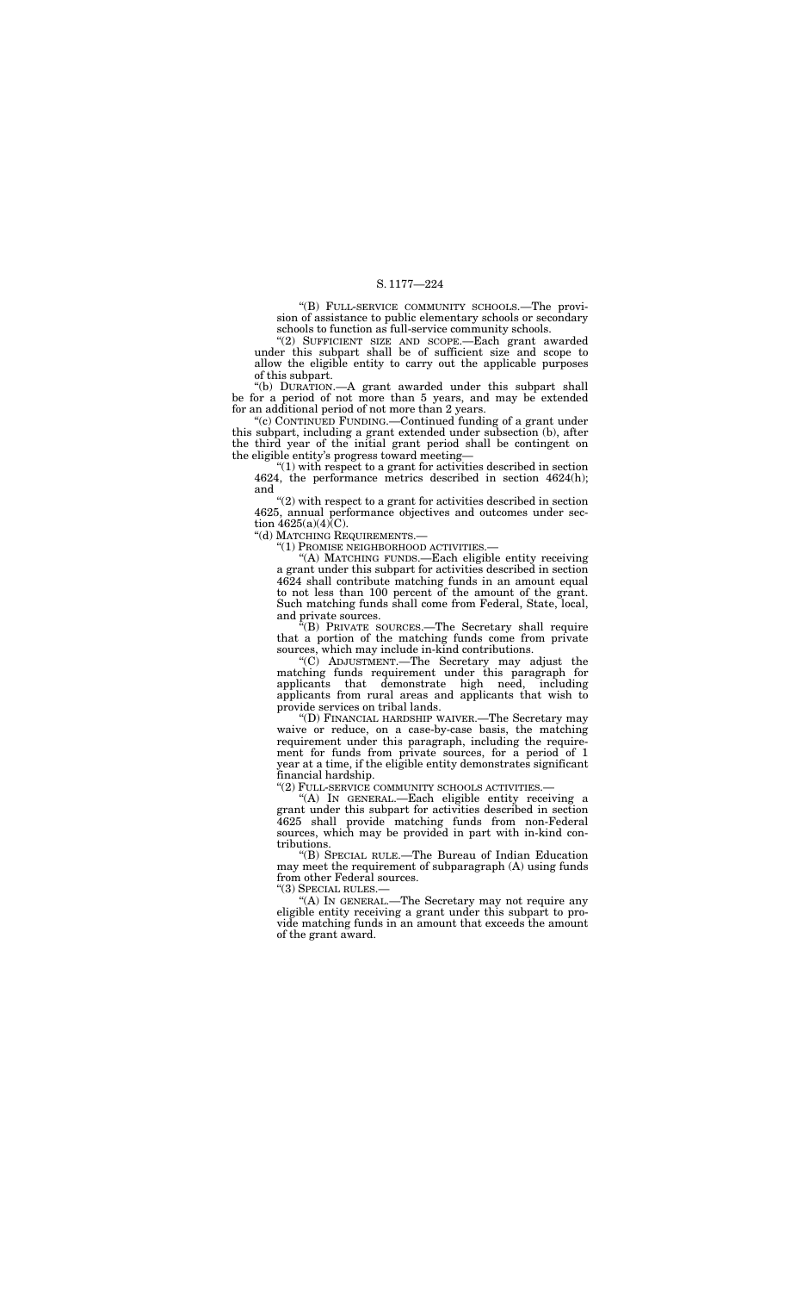''(B) FULL-SERVICE COMMUNITY SCHOOLS.—The provision of assistance to public elementary schools or secondary schools to function as full-service community schools.

''(2) SUFFICIENT SIZE AND SCOPE.—Each grant awarded under this subpart shall be of sufficient size and scope to allow the eligible entity to carry out the applicable purposes of this subpart.

''(b) DURATION.—A grant awarded under this subpart shall be for a period of not more than 5 years, and may be extended for an additional period of not more than 2 years.

''(c) CONTINUED FUNDING.—Continued funding of a grant under this subpart, including a grant extended under subsection (b), after the third year of the initial grant period shall be contingent on the eligible entity's progress toward meeting—

''(1) with respect to a grant for activities described in section 4624, the performance metrics described in section 4624(h); and

 $"(2)$  with respect to a grant for activities described in section 4625, annual performance objectives and outcomes under section  $4625(a)(4)(C)$ .

''(d) MATCHING REQUIREMENTS.—

''(1) PROMISE NEIGHBORHOOD ACTIVITIES.—

''(A) MATCHING FUNDS.—Each eligible entity receiving a grant under this subpart for activities described in section 4624 shall contribute matching funds in an amount equal to not less than 100 percent of the amount of the grant. Such matching funds shall come from Federal, State, local, and private sources.

''(B) PRIVATE SOURCES.—The Secretary shall require that a portion of the matching funds come from private sources, which may include in-kind contributions.

''(C) ADJUSTMENT.—The Secretary may adjust the matching funds requirement under this paragraph for applicants that demonstrate high need, including applicants from rural areas and applicants that wish to provide services on tribal lands.

''(D) FINANCIAL HARDSHIP WAIVER.—The Secretary may waive or reduce, on a case-by-case basis, the matching requirement under this paragraph, including the requirement for funds from private sources, for a period of 1 year at a time, if the eligible entity demonstrates significant financial hardship.

"(2) FULL-SERVICE COMMUNITY SCHOOLS ACTIVITIES.-

''(A) IN GENERAL.—Each eligible entity receiving a grant under this subpart for activities described in section 4625 shall provide matching funds from non-Federal sources, which may be provided in part with in-kind contributions.

''(B) SPECIAL RULE.—The Bureau of Indian Education may meet the requirement of subparagraph (A) using funds from other Federal sources.

''(3) SPECIAL RULES.—

''(A) IN GENERAL.—The Secretary may not require any eligible entity receiving a grant under this subpart to provide matching funds in an amount that exceeds the amount of the grant award.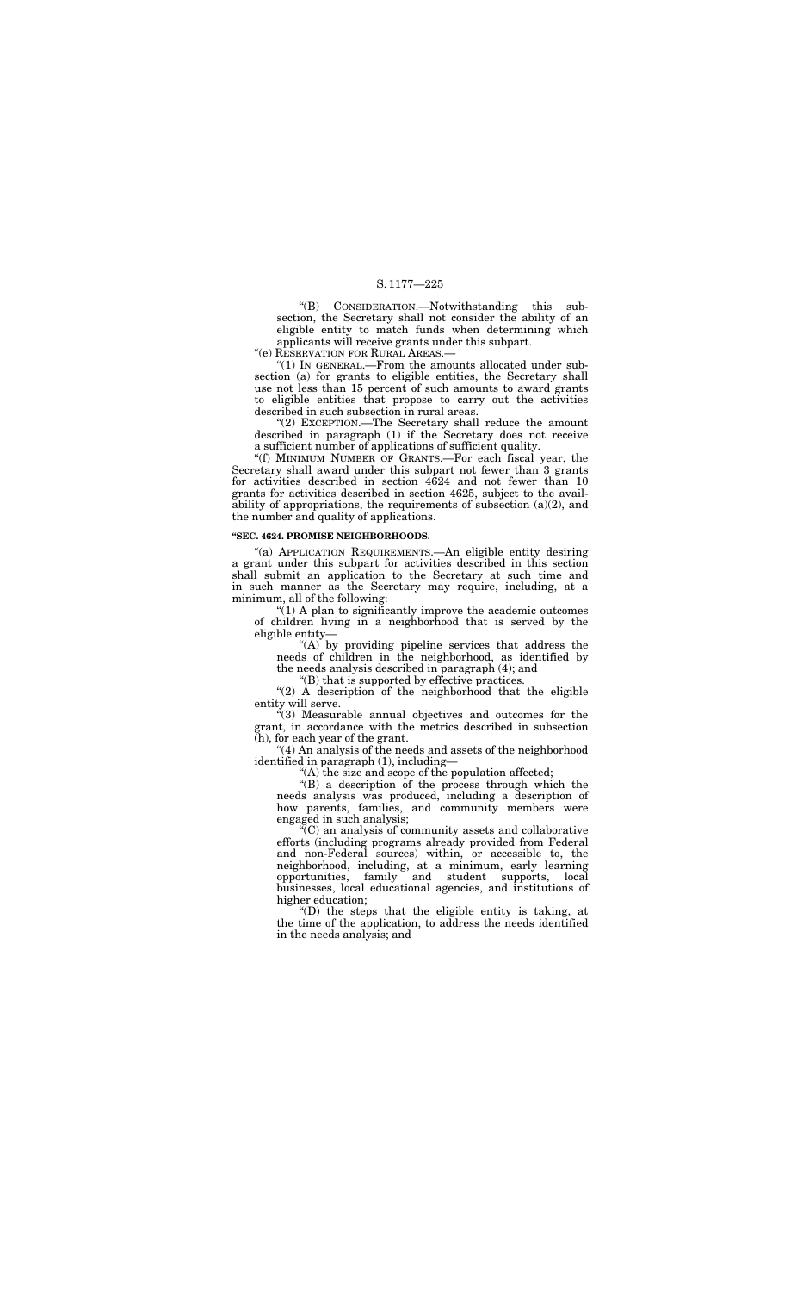''(B) CONSIDERATION.—Notwithstanding this subsection, the Secretary shall not consider the ability of an eligible entity to match funds when determining which applicants will receive grants under this subpart.

''(e) RESERVATION FOR RURAL AREAS.—

"(1) In GENERAL.—From the amounts allocated under subsection (a) for grants to eligible entities, the Secretary shall use not less than 15 percent of such amounts to award grants to eligible entities that propose to carry out the activities described in such subsection in rural areas.

''(2) EXCEPTION.—The Secretary shall reduce the amount described in paragraph (1) if the Secretary does not receive a sufficient number of applications of sufficient quality.

" $(1)$  A plan to significantly improve the academic outcomes of children living in a neighborhood that is served by the eligible entity—

''(f) MINIMUM NUMBER OF GRANTS.—For each fiscal year, the Secretary shall award under this subpart not fewer than 3 grants for activities described in section 4624 and not fewer than 10 grants for activities described in section 4625, subject to the availability of appropriations, the requirements of subsection  $(a)(2)$ , and the number and quality of applications.

"(2) A description of the neighborhood that the eligible entity will serve.

#### **''SEC. 4624. PROMISE NEIGHBORHOODS.**

''(a) APPLICATION REQUIREMENTS.—An eligible entity desiring a grant under this subpart for activities described in this section shall submit an application to the Secretary at such time and in such manner as the Secretary may require, including, at a minimum, all of the following:

> $C<sup>u</sup>(C)$  an analysis of community assets and collaborative efforts (including programs already provided from Federal and non-Federal sources) within, or accessible to, the neighborhood, including, at a minimum, early learning opportunities, family and student supports, local businesses, local educational agencies, and institutions of higher education;

> $'(D)$  the steps that the eligible entity is taking, at the time of the application, to address the needs identified in the needs analysis; and

''(A) by providing pipeline services that address the needs of children in the neighborhood, as identified by the needs analysis described in paragraph (4); and

''(B) that is supported by effective practices.

''(3) Measurable annual objectives and outcomes for the grant, in accordance with the metrics described in subsection (h), for each year of the grant.

''(4) An analysis of the needs and assets of the neighborhood identified in paragraph (1), including—

 $f(A)$  the size and scope of the population affected;

''(B) a description of the process through which the needs analysis was produced, including a description of how parents, families, and community members were engaged in such analysis;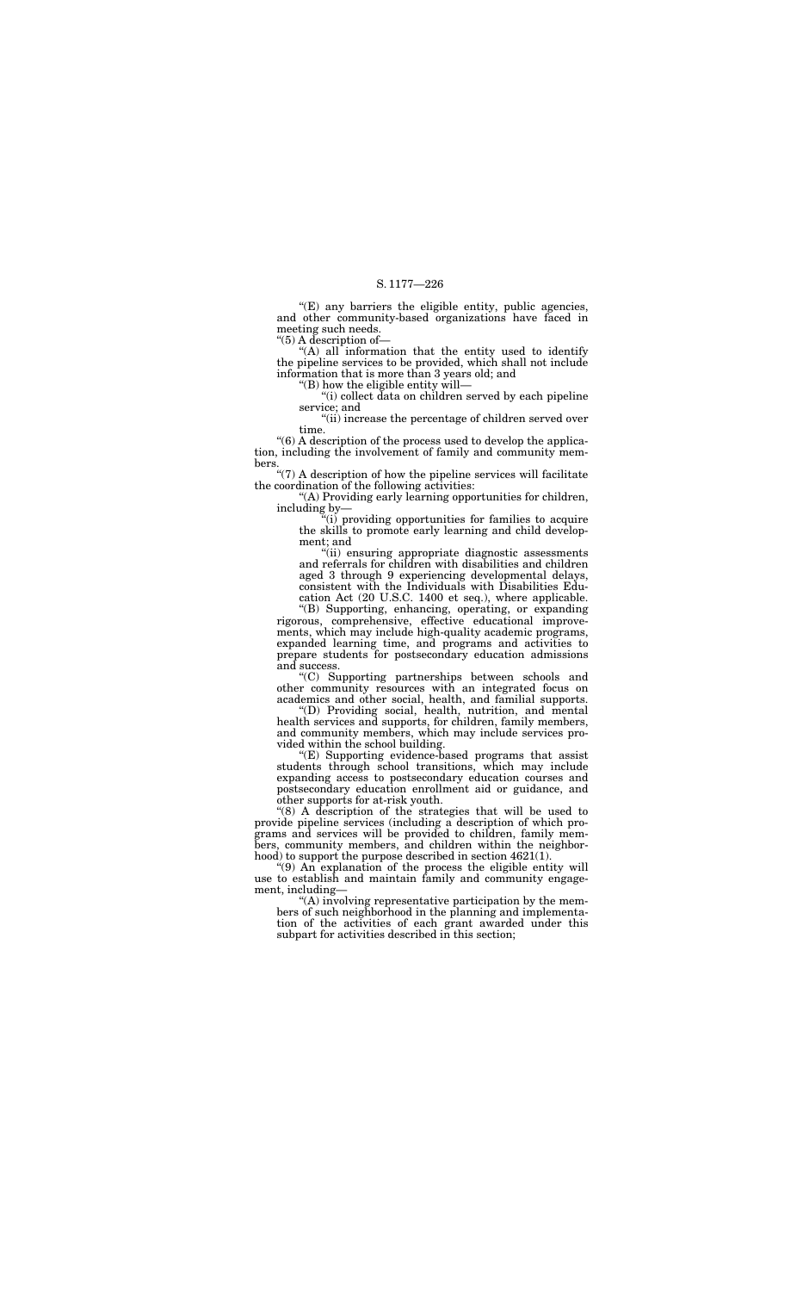"(E) any barriers the eligible entity, public agencies, and other community-based organizations have faced in meeting such needs.

''(5) A description of—

"(A) all information that the entity used to identify the pipeline services to be provided, which shall not include information that is more than 3 years old; and

''(B) how the eligible entity will—

" $(7)$  A description of how the pipeline services will facilitate the coordination of the following activities:

''(i) collect data on children served by each pipeline service; and

''(ii) increase the percentage of children served over time.

''(6) A description of the process used to develop the application, including the involvement of family and community members.

''(A) Providing early learning opportunities for children, including by—

''(i) providing opportunities for families to acquire the skills to promote early learning and child development; and

''(ii) ensuring appropriate diagnostic assessments and referrals for children with disabilities and children aged 3 through 9 experiencing developmental delays, consistent with the Individuals with Disabilities Education Act (20 U.S.C. 1400 et seq.), where applicable.

''(B) Supporting, enhancing, operating, or expanding rigorous, comprehensive, effective educational improvements, which may include high-quality academic programs, expanded learning time, and programs and activities to prepare students for postsecondary education admissions and success.

''(C) Supporting partnerships between schools and other community resources with an integrated focus on academics and other social, health, and familial supports.

''(D) Providing social, health, nutrition, and mental health services and supports, for children, family members, and community members, which may include services provided within the school building.

''(E) Supporting evidence-based programs that assist students through school transitions, which may include expanding access to postsecondary education courses and postsecondary education enrollment aid or guidance, and other supports for at-risk youth.

''(8) A description of the strategies that will be used to provide pipeline services (including a description of which programs and services will be provided to children, family members, community members, and children within the neighborhood) to support the purpose described in section 4621(1).

''(9) An explanation of the process the eligible entity will use to establish and maintain family and community engagement, including—

''(A) involving representative participation by the members of such neighborhood in the planning and implementation of the activities of each grant awarded under this subpart for activities described in this section;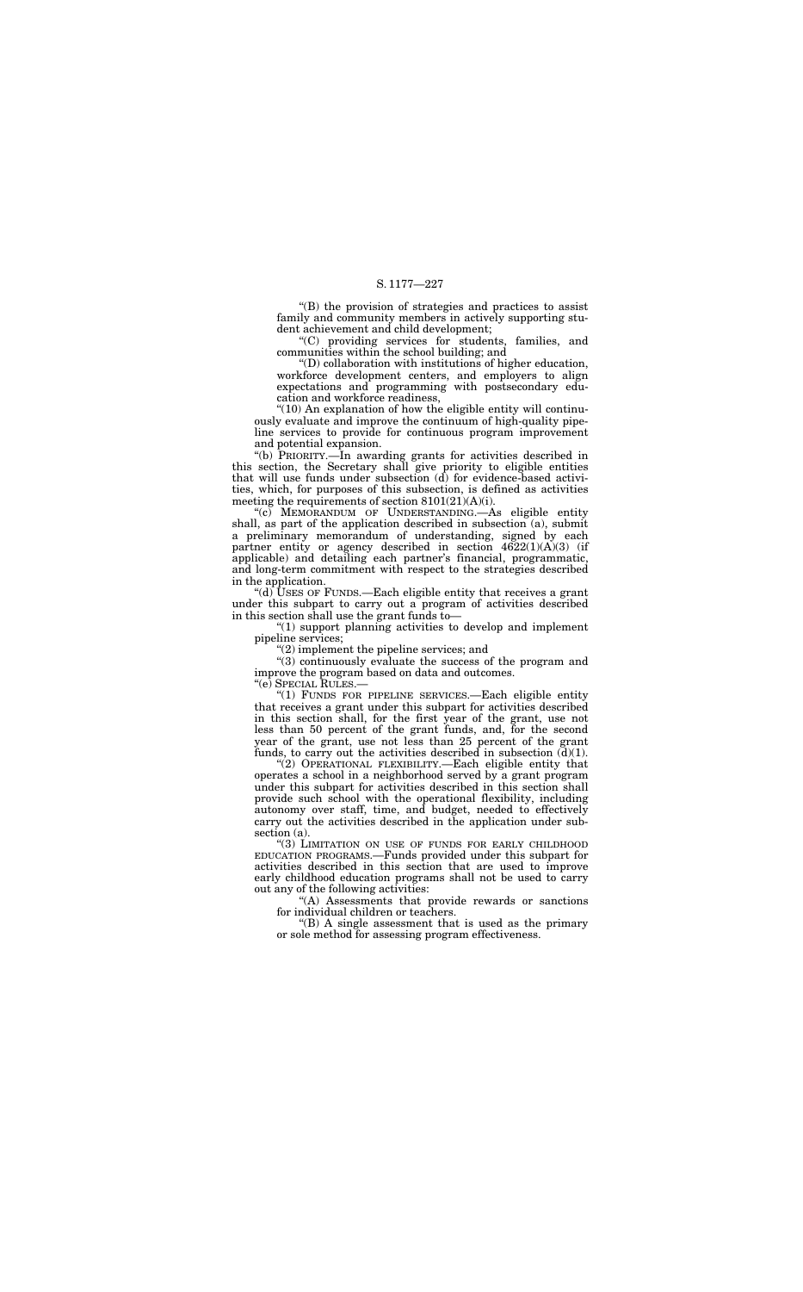''(B) the provision of strategies and practices to assist family and community members in actively supporting student achievement and child development;

''(D) collaboration with institutions of higher education, workforce development centers, and employers to align expectations and programming with postsecondary education and workforce readiness,

''(C) providing services for students, families, and communities within the school building; and

"(10) An explanation of how the eligible entity will continuously evaluate and improve the continuum of high-quality pipeline services to provide for continuous program improvement and potential expansion.

''(b) PRIORITY.—In awarding grants for activities described in this section, the Secretary shall give priority to eligible entities that will use funds under subsection (d) for evidence-based activities, which, for purposes of this subsection, is defined as activities meeting the requirements of section  $8101(21)(A)(i)$ .

"(d) USES OF FUNDS.—Each eligible entity that receives a grant under this subpart to carry out a program of activities described in this section shall use the grant funds to—

''(1) FUNDS FOR PIPELINE SERVICES.—Each eligible entity that receives a grant under this subpart for activities described in this section shall, for the first year of the grant, use not less than 50 percent of the grant funds, and, for the second year of the grant, use not less than 25 percent of the grant funds, to carry out the activities described in subsection  $(d)(1)$ .

''(c) MEMORANDUM OF UNDERSTANDING.—As eligible entity shall, as part of the application described in subsection (a), submit a preliminary memorandum of understanding, signed by each partner entity or agency described in section  $4622(1)(A)(3)$  (if applicable) and detailing each partner's financial, programmatic, and long-term commitment with respect to the strategies described in the application.

"(2) OPERATIONAL FLEXIBILITY.—Each eligible entity that operates a school in a neighborhood served by a grant program under this subpart for activities described in this section shall provide such school with the operational flexibility, including autonomy over staff, time, and budget, needed to effectively carry out the activities described in the application under subsection (a).

"(3) LIMITATION ON USE OF FUNDS FOR EARLY CHILDHOOD EDUCATION PROGRAMS.—Funds provided under this subpart for activities described in this section that are used to improve early childhood education programs shall not be used to carry out any of the following activities:

''(1) support planning activities to develop and implement pipeline services;

''(2) implement the pipeline services; and

''(3) continuously evaluate the success of the program and improve the program based on data and outcomes.

''(e) SPECIAL RULES.—

''(A) Assessments that provide rewards or sanctions for individual children or teachers.

''(B) A single assessment that is used as the primary or sole method for assessing program effectiveness.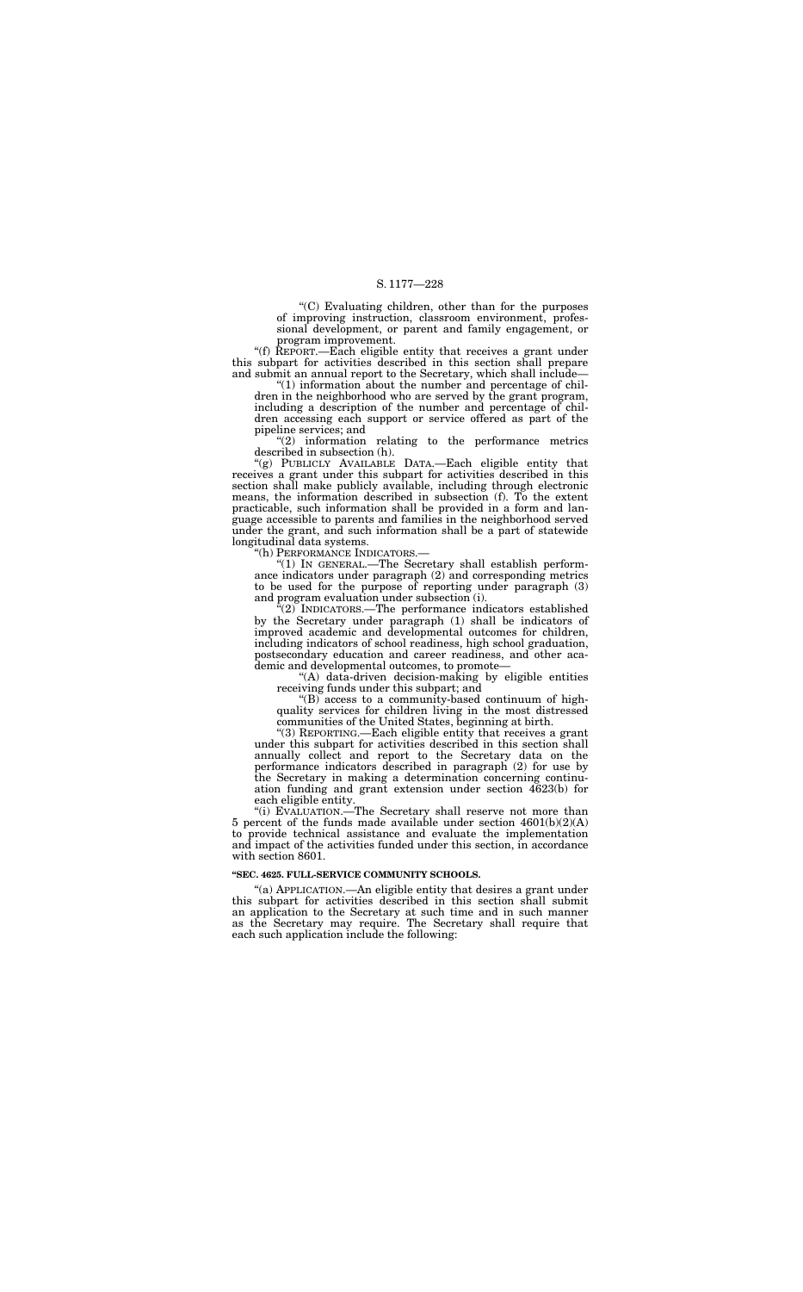''(C) Evaluating children, other than for the purposes of improving instruction, classroom environment, professional development, or parent and family engagement, or program improvement.

''(f) REPORT.—Each eligible entity that receives a grant under this subpart for activities described in this section shall prepare and submit an annual report to the Secretary, which shall include—

 $"(1)$  information about the number and percentage of children in the neighborhood who are served by the grant program, including a description of the number and percentage of children accessing each support or service offered as part of the pipeline services; and

 $''(2)$  information relating to the performance metrics described in subsection (h).

''(g) PUBLICLY AVAILABLE DATA.—Each eligible entity that receives a grant under this subpart for activities described in this section shall make publicly available, including through electronic means, the information described in subsection (f). To the extent practicable, such information shall be provided in a form and language accessible to parents and families in the neighborhood served under the grant, and such information shall be a part of statewide longitudinal data systems.

 $\mathrm{``(B)}$  access to a community-based continuum of highquality services for children living in the most distressed communities of the United States, beginning at birth.

''(h) PERFORMANCE INDICATORS.— ''(1) IN GENERAL.—The Secretary shall establish performance indicators under paragraph (2) and corresponding metrics to be used for the purpose of reporting under paragraph (3) and program evaluation under subsection (i).

"(a) APPLICATION.—An eligible entity that desires a grant under this subpart for activities described in this section shall submit an application to the Secretary at such time and in such manner as the Secretary may require. The Secretary shall require that each such application include the following:

''(2) INDICATORS.—The performance indicators established by the Secretary under paragraph (1) shall be indicators of improved academic and developmental outcomes for children, including indicators of school readiness, high school graduation, postsecondary education and career readiness, and other academic and developmental outcomes, to promote—

''(A) data-driven decision-making by eligible entities receiving funds under this subpart; and

''(3) REPORTING.—Each eligible entity that receives a grant under this subpart for activities described in this section shall annually collect and report to the Secretary data on the performance indicators described in paragraph (2) for use by the Secretary in making a determination concerning continuation funding and grant extension under section 4623(b) for each eligible entity.

''(i) EVALUATION.—The Secretary shall reserve not more than 5 percent of the funds made available under section 4601(b)(2)(A) to provide technical assistance and evaluate the implementation and impact of the activities funded under this section, in accordance with section 8601.

#### **''SEC. 4625. FULL-SERVICE COMMUNITY SCHOOLS.**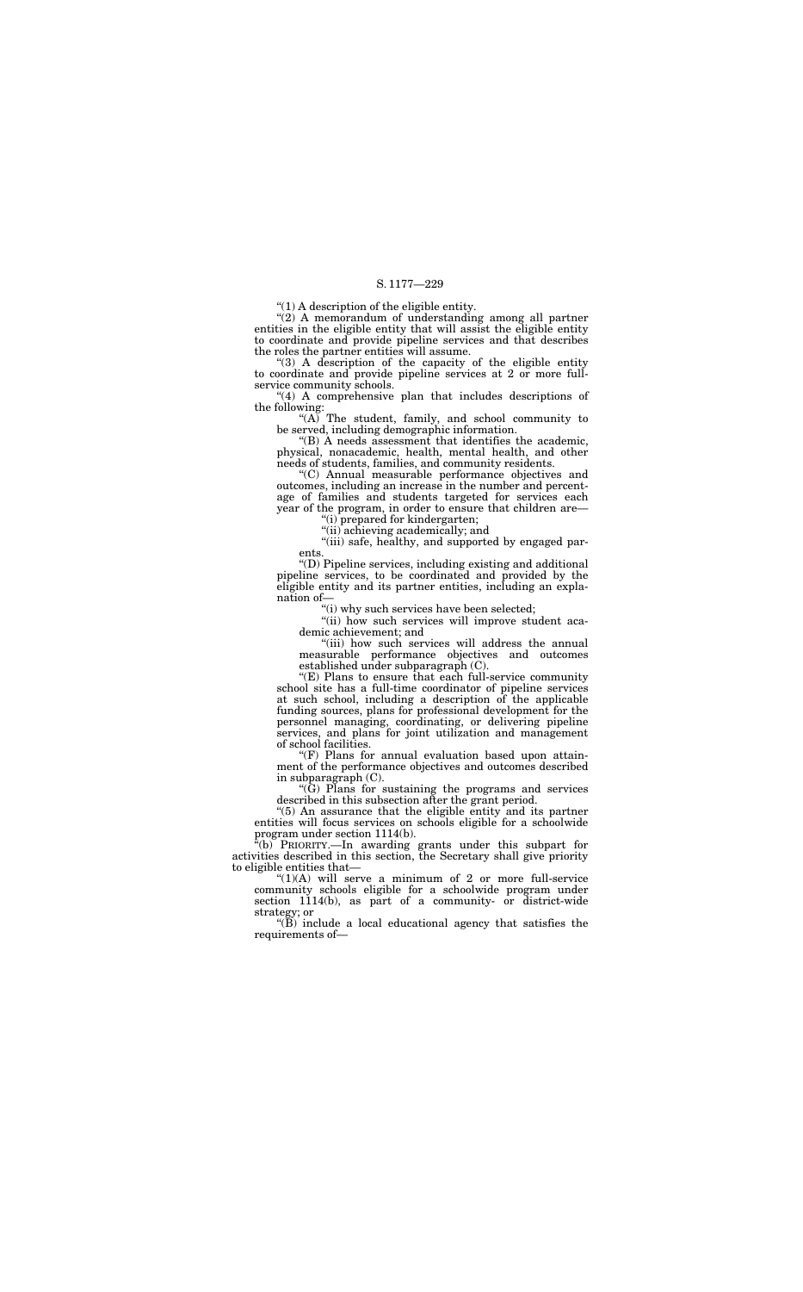$''(1)$  A description of the eligible entity.

"(2) A memorandum of understanding among all partner entities in the eligible entity that will assist the eligible entity to coordinate and provide pipeline services and that describes the roles the partner entities will assume.

"(4) A comprehensive plan that includes descriptions of the following:

" $(A)$  The student, family, and school community to be served, including demographic information.

''(3) A description of the capacity of the eligible entity to coordinate and provide pipeline services at 2 or more fullservice community schools.

''(C) Annual measurable performance objectives and outcomes, including an increase in the number and percentage of families and students targeted for services each year of the program, in order to ensure that children are-

''(B) A needs assessment that identifies the academic, physical, nonacademic, health, mental health, and other needs of students, families, and community residents.

"(ii) how such services will improve student academic achievement; and

"(iii) how such services will address the annual measurable performance objectives and outcomes established under subparagraph (C).

''(i) prepared for kindergarten;

"(ii) achieving academically; and

''(iii) safe, healthy, and supported by engaged parents.

''(D) Pipeline services, including existing and additional pipeline services, to be coordinated and provided by the eligible entity and its partner entities, including an explanation of—

"(i) why such services have been selected;

" $(1)(A)$  will serve a minimum of 2 or more full-service community schools eligible for a schoolwide program under section 1114(b), as part of a community- or district-wide strategy; or

 $\mathrm{``(B)}$  include a local educational agency that satisfies the requirements of—

''(E) Plans to ensure that each full-service community school site has a full-time coordinator of pipeline services at such school, including a description of the applicable funding sources, plans for professional development for the personnel managing, coordinating, or delivering pipeline services, and plans for joint utilization and management of school facilities.

''(F) Plans for annual evaluation based upon attainment of the performance objectives and outcomes described in subparagraph (C).

''(G) Plans for sustaining the programs and services described in this subsection after the grant period.

''(5) An assurance that the eligible entity and its partner entities will focus services on schools eligible for a schoolwide program under section 1114(b).

''(b) PRIORITY.—In awarding grants under this subpart for activities described in this section, the Secretary shall give priority to eligible entities that—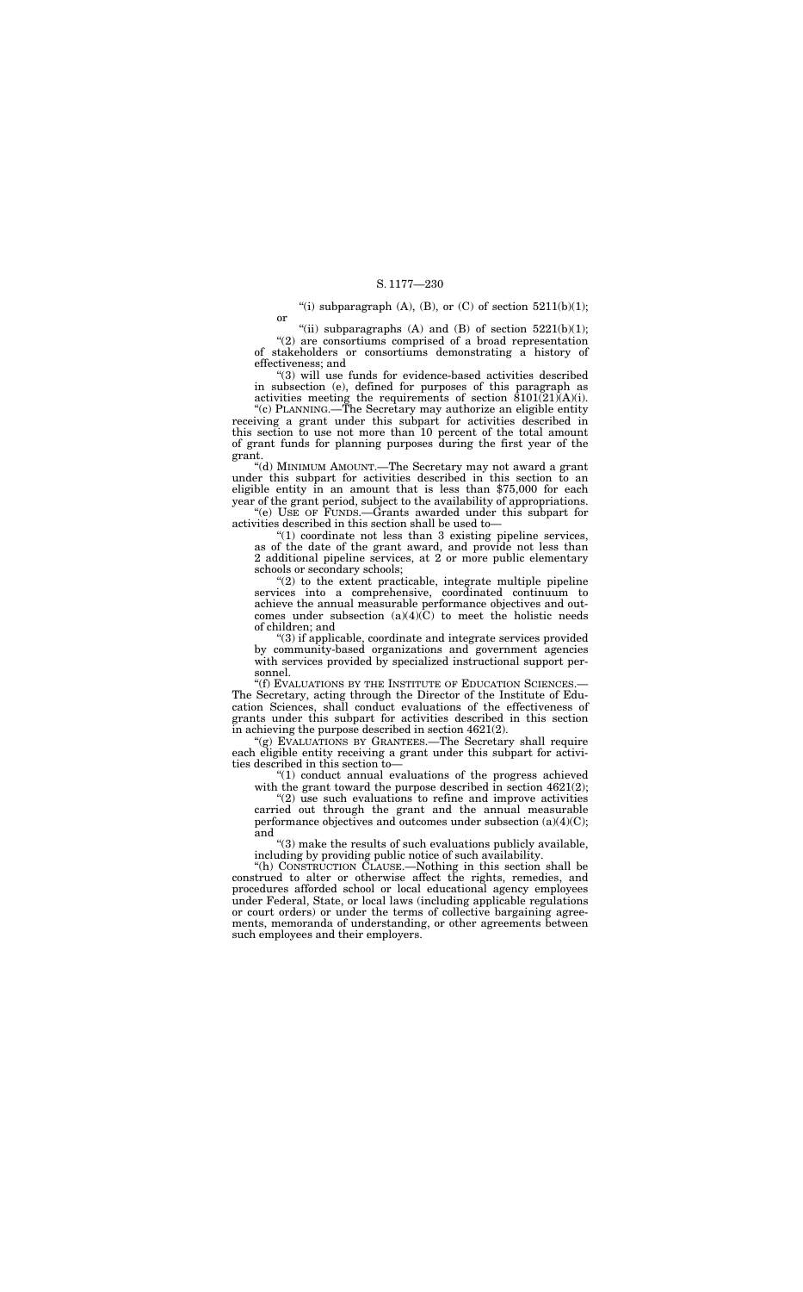"(i) subparagraph  $(A)$ ,  $(B)$ , or  $(C)$  of section 5211(b)(1); or

"(ii) subparagraphs (A) and (B) of section  $5221(b)(1)$ ; ''(2) are consortiums comprised of a broad representation of stakeholders or consortiums demonstrating a history of effectiveness; and

''(3) will use funds for evidence-based activities described in subsection (e), defined for purposes of this paragraph as activities meeting the requirements of section  $\delta 101(21)(A)(i)$ .

''(c) PLANNING.—The Secretary may authorize an eligible entity receiving a grant under this subpart for activities described in this section to use not more than 10 percent of the total amount of grant funds for planning purposes during the first year of the grant.

 $"(1)$  coordinate not less than 3 existing pipeline services, as of the date of the grant award, and provide not less than 2 additional pipeline services, at 2 or more public elementary schools or secondary schools;

 $(2)$  to the extent practicable, integrate multiple pipeline services into a comprehensive, coordinated continuum to achieve the annual measurable performance objectives and outcomes under subsection  $(a)(4)(C)$  to meet the holistic needs of children; and

''(d) MINIMUM AMOUNT.—The Secretary may not award a grant under this subpart for activities described in this section to an eligible entity in an amount that is less than \$75,000 for each year of the grant period, subject to the availability of appropriations.

''(e) USE OF FUNDS.—Grants awarded under this subpart for activities described in this section shall be used to—

"(g) EVALUATIONS BY GRANTEES.—The Secretary shall require each eligible entity receiving a grant under this subpart for activities described in this section to—

''(1) conduct annual evaluations of the progress achieved with the grant toward the purpose described in section 4621(2);

" $(2)$  use such evaluations to refine and improve activities carried out through the grant and the annual measurable performance objectives and outcomes under subsection (a)(4)(C); and

''(3) if applicable, coordinate and integrate services provided by community-based organizations and government agencies with services provided by specialized instructional support personnel.

''(f) EVALUATIONS BY THE INSTITUTE OF EDUCATION SCIENCES.— The Secretary, acting through the Director of the Institute of Education Sciences, shall conduct evaluations of the effectiveness of grants under this subpart for activities described in this section in achieving the purpose described in section 4621(2).

''(3) make the results of such evaluations publicly available, including by providing public notice of such availability.

''(h) CONSTRUCTION CLAUSE.—Nothing in this section shall be construed to alter or otherwise affect the rights, remedies, and procedures afforded school or local educational agency employees under Federal, State, or local laws (including applicable regulations or court orders) or under the terms of collective bargaining agreements, memoranda of understanding, or other agreements between such employees and their employers.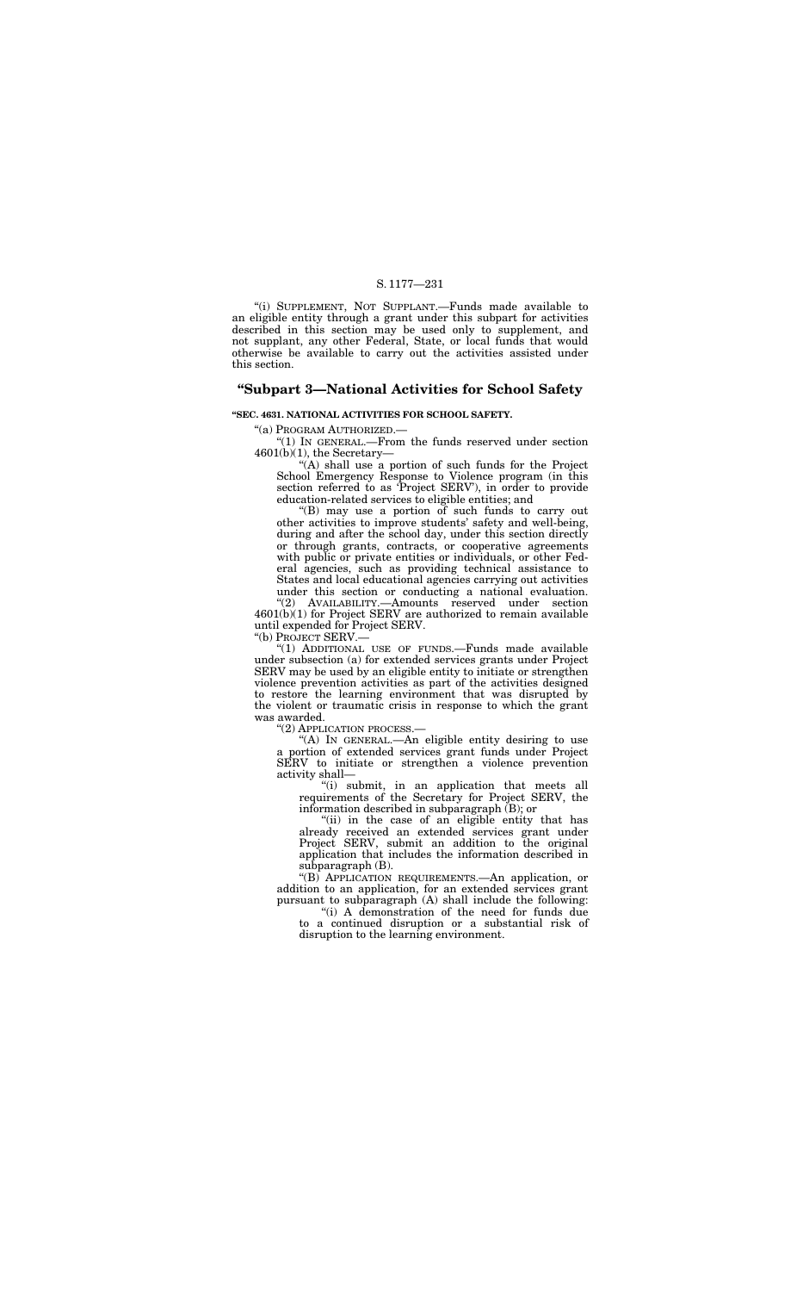''(i) SUPPLEMENT, NOT SUPPLANT.—Funds made available to an eligible entity through a grant under this subpart for activities described in this section may be used only to supplement, and not supplant, any other Federal, State, or local funds that would otherwise be available to carry out the activities assisted under this section.

### **''Subpart 3—National Activities for School Safety**

 $f(A)$  shall use a portion of such funds for the Project School Emergency Response to Violence program (in this section referred to as 'Project SERV'), in order to provide education-related services to eligible entities; and

#### **''SEC. 4631. NATIONAL ACTIVITIES FOR SCHOOL SAFETY.**

''(a) PROGRAM AUTHORIZED.—

''(1) IN GENERAL.—From the funds reserved under section 4601(b)(1), the Secretary—

"(1) ADDITIONAL USE OF FUNDS.—Funds made available under subsection (a) for extended services grants under Project SERV may be used by an eligible entity to initiate or strengthen violence prevention activities as part of the activities designed to restore the learning environment that was disrupted by the violent or traumatic crisis in response to which the grant was awarded.

''(B) may use a portion of such funds to carry out other activities to improve students' safety and well-being, during and after the school day, under this section directly or through grants, contracts, or cooperative agreements with public or private entities or individuals, or other Federal agencies, such as providing technical assistance to States and local educational agencies carrying out activities under this section or conducting a national evaluation.

"(ii) in the case of an eligible entity that has already received an extended services grant under Project SERV, submit an addition to the original application that includes the information described in subparagraph (B).

''(2) AVAILABILITY.—Amounts reserved under section 4601(b)(1) for Project SERV are authorized to remain available until expended for Project SERV.

''(b) PROJECT SERV.—

''(2) APPLICATION PROCESS.—

''(A) IN GENERAL.—An eligible entity desiring to use a portion of extended services grant funds under Project SERV to initiate or strengthen a violence prevention activity shall—

''(i) submit, in an application that meets all requirements of the Secretary for Project SERV, the information described in subparagraph (B); or

''(B) APPLICATION REQUIREMENTS.—An application, or addition to an application, for an extended services grant pursuant to subparagraph (A) shall include the following:

''(i) A demonstration of the need for funds due to a continued disruption or a substantial risk of disruption to the learning environment.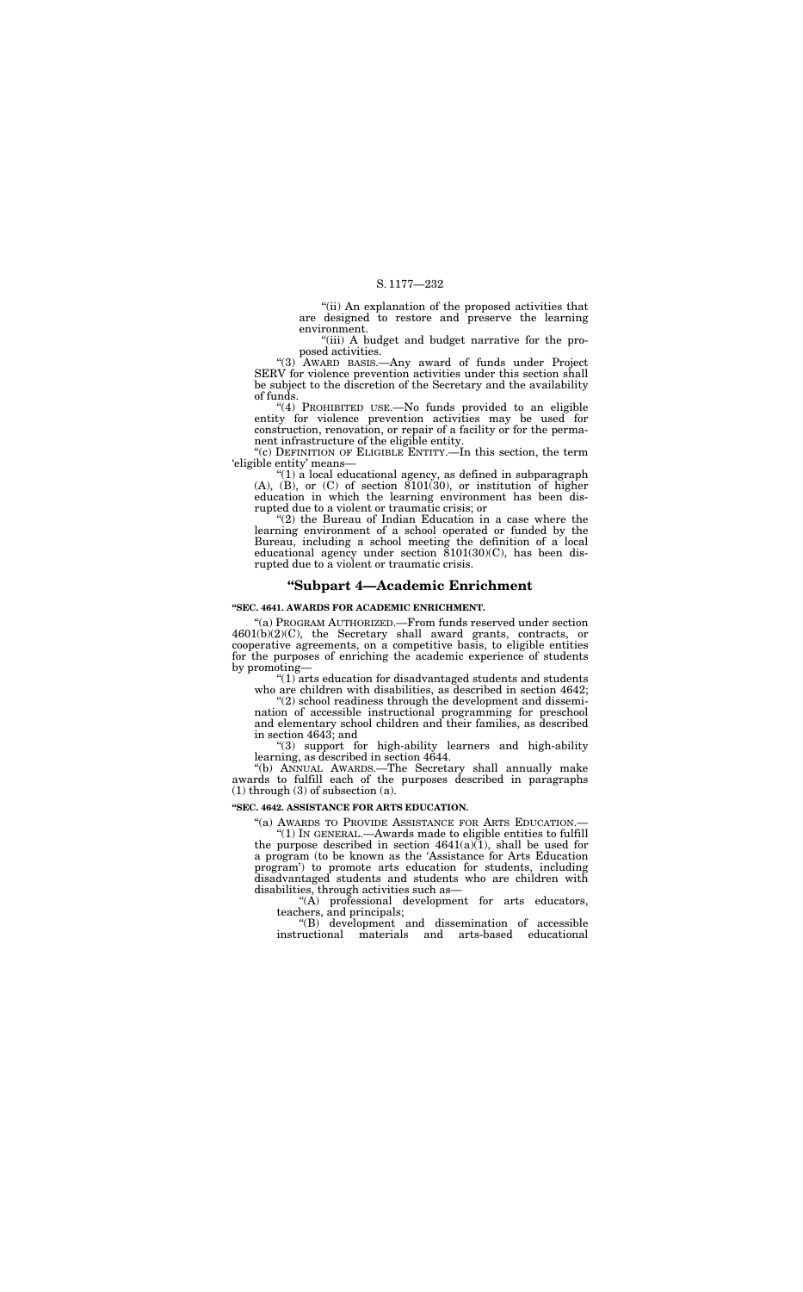''(ii) An explanation of the proposed activities that are designed to restore and preserve the learning environment.

"(iii) A budget and budget narrative for the proposed activities.

''(3) AWARD BASIS.—Any award of funds under Project SERV for violence prevention activities under this section shall be subject to the discretion of the Secretary and the availability of funds.

"(4) PROHIBITED USE.—No funds provided to an eligible entity for violence prevention activities may be used for construction, renovation, or repair of a facility or for the permanent infrastructure of the eligible entity.

"(c) DEFINITION OF ELIGIBLE ENTITY.—In this section, the term 'eligible entity' means—

"(1) a local educational agency, as defined in subparagraph (A), (B), or (C) of section 8101(30), or institution of higher education in which the learning environment has been disrupted due to a violent or traumatic crisis; or

"(2) the Bureau of Indian Education in a case where the learning environment of a school operated or funded by the Bureau, including a school meeting the definition of a local educational agency under section 8101(30)(C), has been disrupted due to a violent or traumatic crisis.

" $(1)$  arts education for disadvantaged students and students who are children with disabilities, as described in section 4642;

### **''Subpart 4—Academic Enrichment**

#### **''SEC. 4641. AWARDS FOR ACADEMIC ENRICHMENT.**

"(A) professional development for arts educators, teachers, and principals;

''(a) PROGRAM AUTHORIZED.—From funds reserved under section 4601(b)(2)(C), the Secretary shall award grants, contracts, or cooperative agreements, on a competitive basis, to eligible entities for the purposes of enriching the academic experience of students by promoting—

''(2) school readiness through the development and dissemination of accessible instructional programming for preschool and elementary school children and their families, as described in section 4643; and

''(3) support for high-ability learners and high-ability learning, as described in section 4644.

''(b) ANNUAL AWARDS.—The Secretary shall annually make awards to fulfill each of the purposes described in paragraphs (1) through (3) of subsection (a).

#### **''SEC. 4642. ASSISTANCE FOR ARTS EDUCATION.**

"(a) AWARDS TO PROVIDE ASSISTANCE FOR ARTS EDUCATION.-

''(1) IN GENERAL.—Awards made to eligible entities to fulfill the purpose described in section  $4641(a)(1)$ , shall be used for a program (to be known as the 'Assistance for Arts Education program') to promote arts education for students, including disadvantaged students and students who are children with disabilities, through activities such as—

''(B) development and dissemination of accessible instructional materials and arts-based educational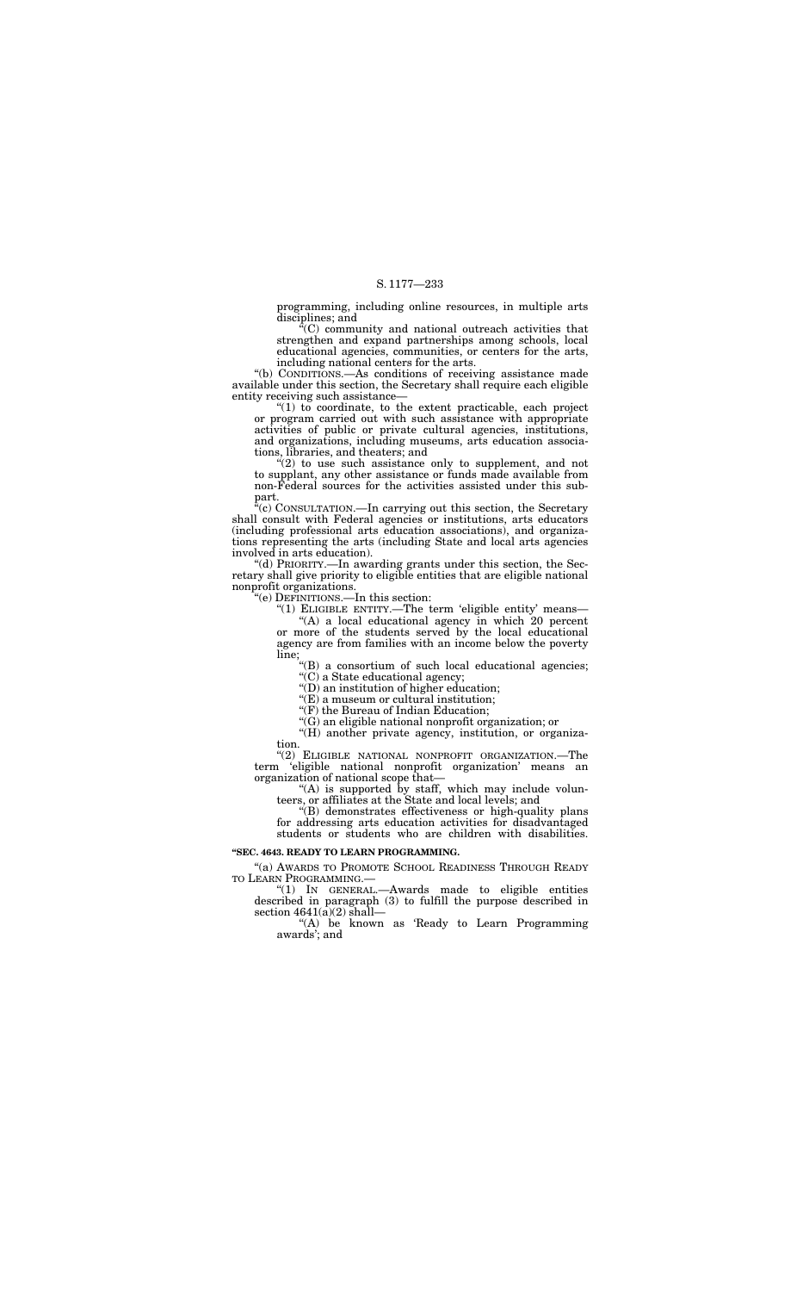programming, including online resources, in multiple arts disciplines; and

 $C^{\prime\prime}(C)$  community and national outreach activities that strengthen and expand partnerships among schools, local educational agencies, communities, or centers for the arts, including national centers for the arts.

"(1) to coordinate, to the extent practicable, each project or program carried out with such assistance with appropriate activities of public or private cultural agencies, institutions, and organizations, including museums, arts education associations, libraries, and theaters; and

''(b) CONDITIONS.—As conditions of receiving assistance made available under this section, the Secretary shall require each eligible entity receiving such assistance—

" $(2)$  to use such assistance only to supplement, and not to supplant, any other assistance or funds made available from non-Federal sources for the activities assisted under this subpart.

"(A) a local educational agency in which 20 percent or more of the students served by the local educational agency are from families with an income below the poverty line;

"(H) another private agency, institution, or organization.

"(2) ELIGIBLE NATIONAL NONPROFIT ORGANIZATION.-The term 'eligible national nonprofit organization' means an organization of national scope that—

''(c) CONSULTATION.—In carrying out this section, the Secretary shall consult with Federal agencies or institutions, arts educators (including professional arts education associations), and organizations representing the arts (including State and local arts agencies involved in arts education).

> "(A) is supported by staff, which may include volunteers, or affiliates at the State and local levels; and

''(d) PRIORITY.—In awarding grants under this section, the Secretary shall give priority to eligible entities that are eligible national nonprofit organizations.

> "(A) be known as 'Ready to Learn Programming awards'; and

''(e) DEFINITIONS.—In this section:

"(1) ELIGIBLE ENTITY.—The term 'eligible entity' means—

''(B) a consortium of such local educational agencies;

''(C) a State educational agency;

''(D) an institution of higher education;

 $\widetilde{E}$ ) a museum or cultural institution;

''(F) the Bureau of Indian Education;

''(G) an eligible national nonprofit organization; or

''(B) demonstrates effectiveness or high-quality plans for addressing arts education activities for disadvantaged students or students who are children with disabilities.

#### **''SEC. 4643. READY TO LEARN PROGRAMMING.**

"(a) AWARDS TO PROMOTE SCHOOL READINESS THROUGH READY TO LEARN PROGRAMMING.—

"(1) IN GENERAL.—Awards made to eligible entities described in paragraph (3) to fulfill the purpose described in section  $4641(a)(2)$  shall-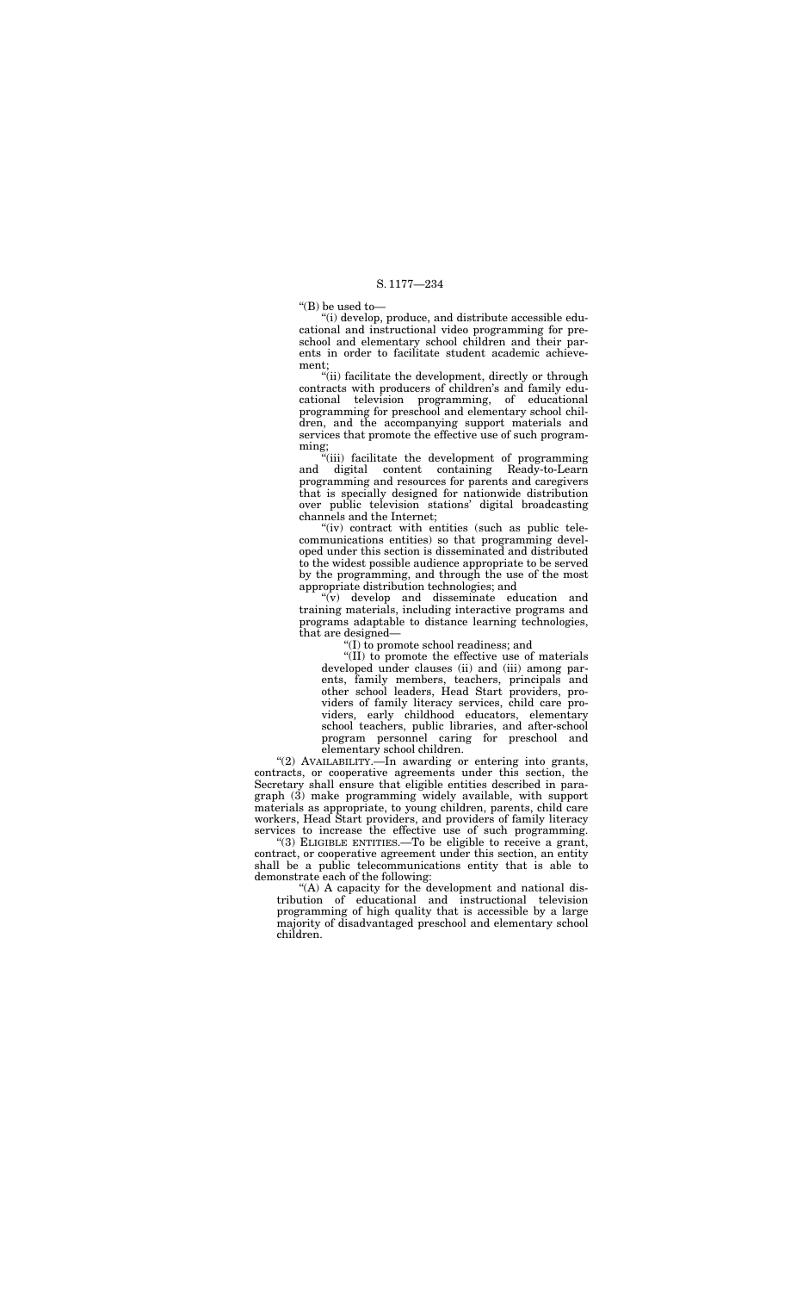"(B) be used to-

''(i) develop, produce, and distribute accessible educational and instructional video programming for preschool and elementary school children and their parents in order to facilitate student academic achievement;

"(ii) facilitate the development, directly or through contracts with producers of children's and family educational television programming, of educational programming for preschool and elementary school children, and the accompanying support materials and services that promote the effective use of such programming;

"(iii) facilitate the development of programming and digital content containing Ready-to-Learn programming and resources for parents and caregivers that is specially designed for nationwide distribution over public television stations' digital broadcasting channels and the Internet;

"(iv) contract with entities (such as public telecommunications entities) so that programming developed under this section is disseminated and distributed to the widest possible audience appropriate to be served by the programming, and through the use of the most appropriate distribution technologies; and

"(2) AVAILABILITY.—In awarding or entering into grants, contracts, or cooperative agreements under this section, the Secretary shall ensure that eligible entities described in paragraph (3) make programming widely available, with support materials as appropriate, to young children, parents, child care workers, Head Start providers, and providers of family literacy services to increase the effective use of such programming.

''(v) develop and disseminate education and training materials, including interactive programs and programs adaptable to distance learning technologies, that are designed—

"(A) A capacity for the development and national distribution of educational and instructional television programming of high quality that is accessible by a large majority of disadvantaged preschool and elementary school children.

''(I) to promote school readiness; and

''(II) to promote the effective use of materials developed under clauses (ii) and (iii) among parents, family members, teachers, principals and other school leaders, Head Start providers, providers of family literacy services, child care providers, early childhood educators, elementary school teachers, public libraries, and after-school program personnel caring for preschool and elementary school children.

''(3) ELIGIBLE ENTITIES.—To be eligible to receive a grant, contract, or cooperative agreement under this section, an entity shall be a public telecommunications entity that is able to demonstrate each of the following: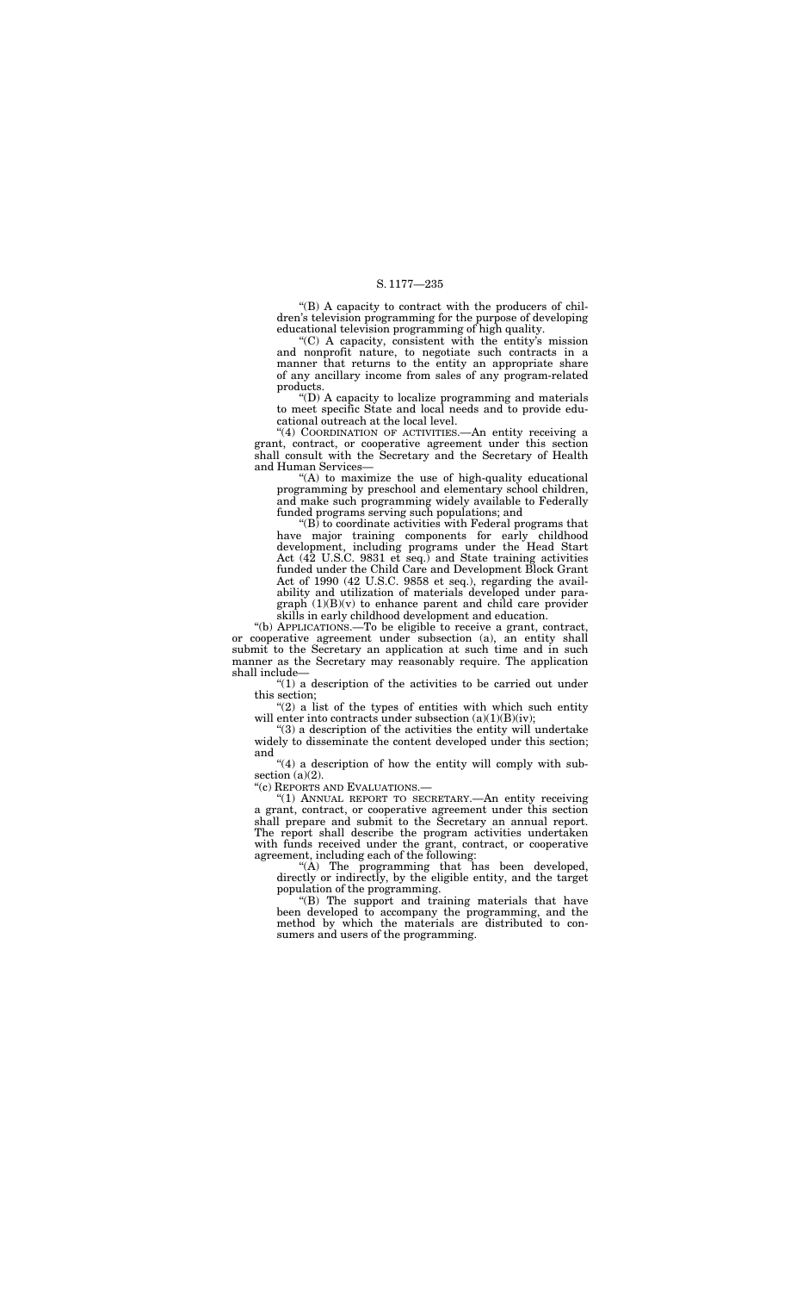$\mathrm{``(B)}$  A capacity to contract with the producers of children's television programming for the purpose of developing educational television programming of high quality.

''(C) A capacity, consistent with the entity's mission and nonprofit nature, to negotiate such contracts in a manner that returns to the entity an appropriate share of any ancillary income from sales of any program-related products.

"(4) COORDINATION OF ACTIVITIES. An entity receiving a grant, contract, or cooperative agreement under this section shall consult with the Secretary and the Secretary of Health and Human Services—

"(A) to maximize the use of high-quality educational programming by preschool and elementary school children, and make such programming widely available to Federally funded programs serving such populations; and

''(D) A capacity to localize programming and materials to meet specific State and local needs and to provide educational outreach at the local level.

 $(3)$  a description of the activities the entity will undertake widely to disseminate the content developed under this section; and

" $(4)$  a description of how the entity will comply with subsection (a)(2).

''(B) to coordinate activities with Federal programs that have major training components for early childhood development, including programs under the Head Start Act (42 U.S.C. 9831 et seq.) and State training activities funded under the Child Care and Development Block Grant Act of 1990 (42 U.S.C. 9858 et seq.), regarding the availability and utilization of materials developed under paragraph  $(1)(B)(v)$  to enhance parent and child care provider skills in early childhood development and education.

"(A) The programming that has been developed, directly or indirectly, by the eligible entity, and the target population of the programming.

"(B) The support and training materials that have been developed to accompany the programming, and the method by which the materials are distributed to consumers and users of the programming.

''(b) APPLICATIONS.—To be eligible to receive a grant, contract, or cooperative agreement under subsection (a), an entity shall submit to the Secretary an application at such time and in such manner as the Secretary may reasonably require. The application shall include—

''(1) a description of the activities to be carried out under this section;

" $(2)$  a list of the types of entities with which such entity will enter into contracts under subsection  $(a)(1)(B)(iv)$ ;

''(c) REPORTS AND EVALUATIONS.—

''(1) ANNUAL REPORT TO SECRETARY.—An entity receiving a grant, contract, or cooperative agreement under this section shall prepare and submit to the Secretary an annual report. The report shall describe the program activities undertaken with funds received under the grant, contract, or cooperative agreement, including each of the following: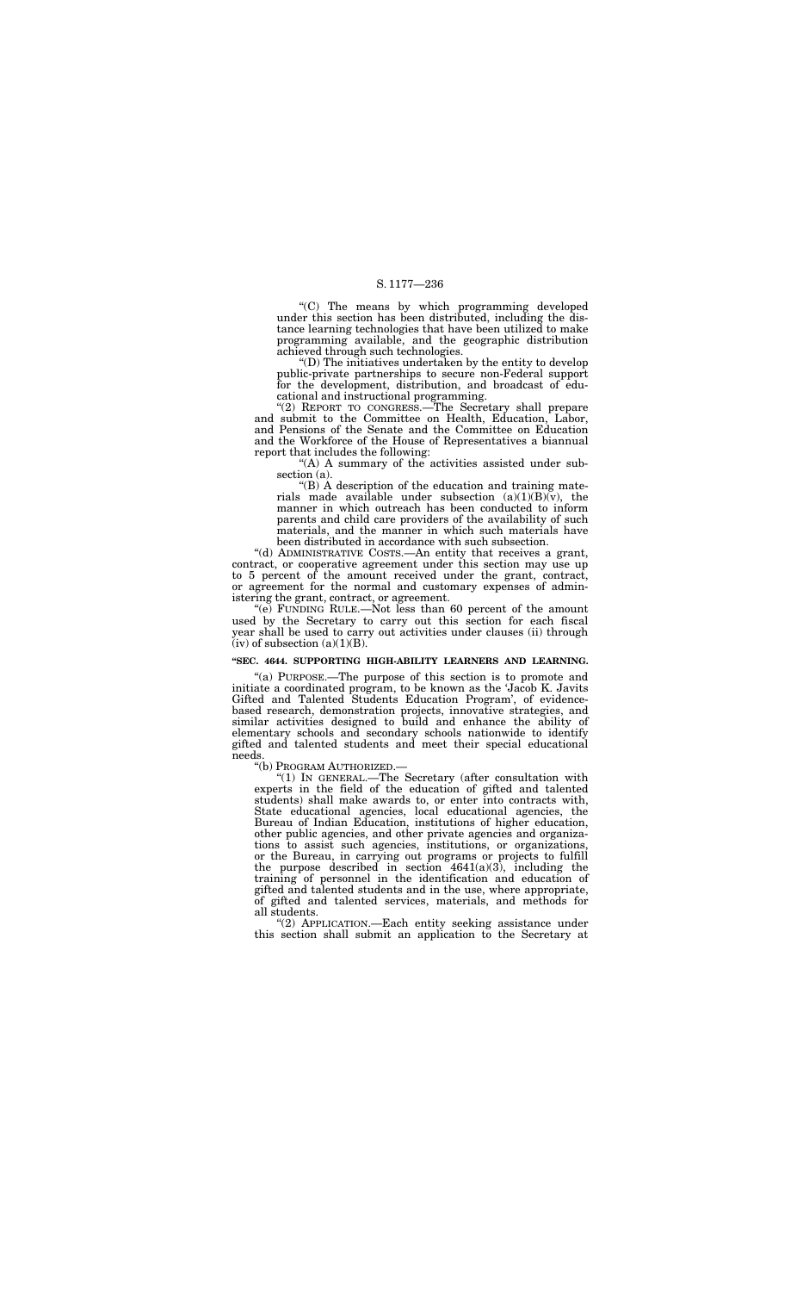''(C) The means by which programming developed under this section has been distributed, including the distance learning technologies that have been utilized to make programming available, and the geographic distribution achieved through such technologies.

"(2) REPORT TO CONGRESS.—The Secretary shall prepare and submit to the Committee on Health, Education, Labor, and Pensions of the Senate and the Committee on Education and the Workforce of the House of Representatives a biannual report that includes the following:

''(D) The initiatives undertaken by the entity to develop public-private partnerships to secure non-Federal support for the development, distribution, and broadcast of educational and instructional programming.

"(A) A summary of the activities assisted under subsection (a).

 $H(B)$  A description of the education and training materials made available under subsection  $(a)(1)(B)(v)$ , the manner in which outreach has been conducted to inform parents and child care providers of the availability of such materials, and the manner in which such materials have been distributed in accordance with such subsection.

''(e) FUNDING RULE.—Not less than 60 percent of the amount used by the Secretary to carry out this section for each fiscal year shall be used to carry out activities under clauses (ii) through  $(iv)$  of subsection  $(a)(1)(B)$ .

"(a) PURPOSE.—The purpose of this section is to promote and initiate a coordinated program, to be known as the 'Jacob K. Javits Gifted and Talented Students Education Program', of evidencebased research, demonstration projects, innovative strategies, and similar activities designed to build and enhance the ability of elementary schools and secondary schools nationwide to identify gifted and talented students and meet their special educational needs.

''(d) ADMINISTRATIVE COSTS.—An entity that receives a grant, contract, or cooperative agreement under this section may use up to 5 percent of the amount received under the grant, contract, or agreement for the normal and customary expenses of administering the grant, contract, or agreement.

"(1) IN GENERAL.—The Secretary (after consultation with experts in the field of the education of gifted and talented students) shall make awards to, or enter into contracts with, State educational agencies, local educational agencies, the Bureau of Indian Education, institutions of higher education, other public agencies, and other private agencies and organizations to assist such agencies, institutions, or organizations, or the Bureau, in carrying out programs or projects to fulfill the purpose described in section  $4641(a)(3)$ , including the training of personnel in the identification and education of gifted and talented students and in the use, where appropriate, of gifted and talented services, materials, and methods for all students.

#### **''SEC. 4644. SUPPORTING HIGH-ABILITY LEARNERS AND LEARNING.**

''(b) PROGRAM AUTHORIZED.—

''(2) APPLICATION.—Each entity seeking assistance under this section shall submit an application to the Secretary at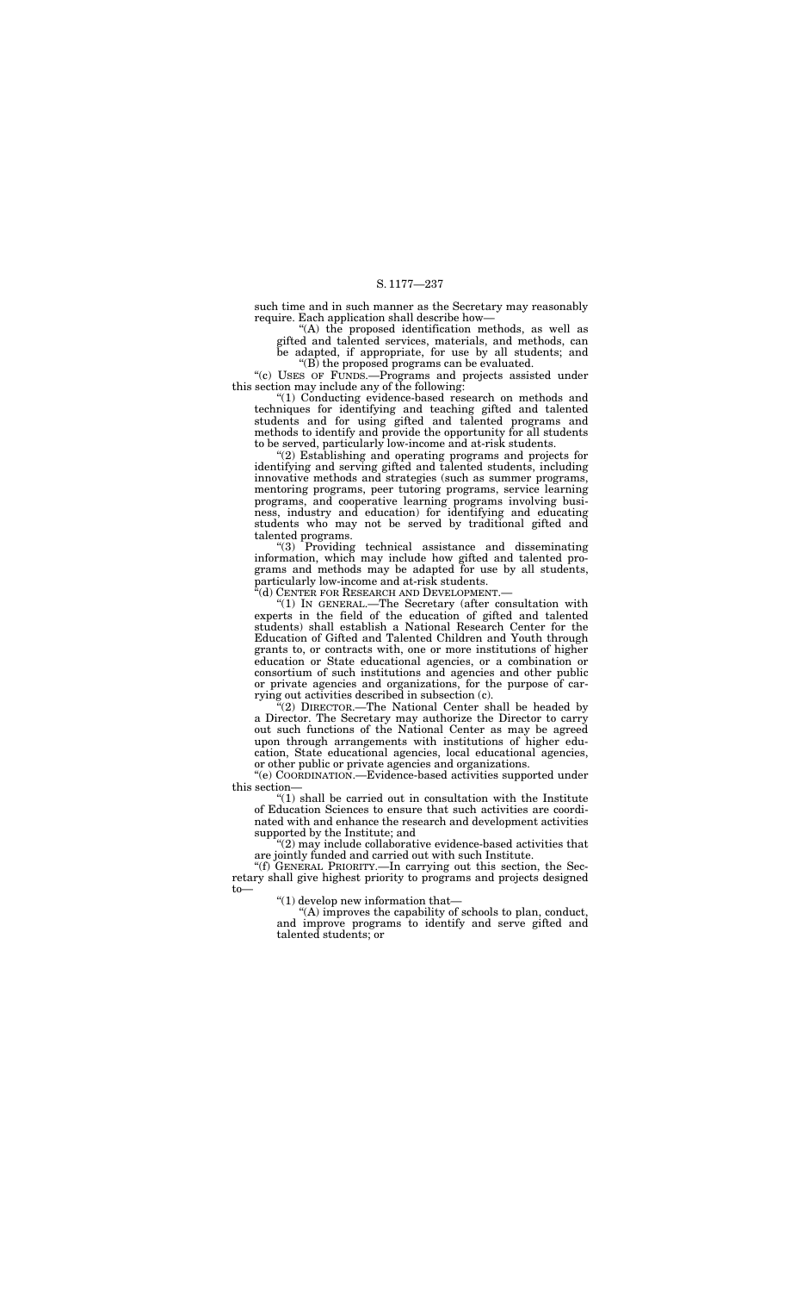such time and in such manner as the Secretary may reasonably require. Each application shall describe how—

"(A) the proposed identification methods, as well as gifted and talented services, materials, and methods, can be adapted, if appropriate, for use by all students; and ''(B) the proposed programs can be evaluated.

"(c) USES OF FUNDS.—Programs and projects assisted under this section may include any of the following:

"(1) Conducting evidence-based research on methods and techniques for identifying and teaching gifted and talented students and for using gifted and talented programs and methods to identify and provide the opportunity for all students to be served, particularly low-income and at-risk students.

''(2) Establishing and operating programs and projects for identifying and serving gifted and talented students, including innovative methods and strategies (such as summer programs, mentoring programs, peer tutoring programs, service learning programs, and cooperative learning programs involving business, industry and education) for identifying and educating students who may not be served by traditional gifted and talented programs.

"(1) IN GENERAL.—The Secretary (after consultation with experts in the field of the education of gifted and talented students) shall establish a National Research Center for the Education of Gifted and Talented Children and Youth through grants to, or contracts with, one or more institutions of higher education or State educational agencies, or a combination or consortium of such institutions and agencies and other public or private agencies and organizations, for the purpose of carrying out activities described in subsection (c).

''(3) Providing technical assistance and disseminating information, which may include how gifted and talented programs and methods may be adapted for use by all students, particularly low-income and at-risk students.

 $''(1)$  shall be carried out in consultation with the Institute of Education Sciences to ensure that such activities are coordinated with and enhance the research and development activities supported by the Institute; and

''(d) CENTER FOR RESEARCH AND DEVELOPMENT.—

''(2) DIRECTOR.—The National Center shall be headed by a Director. The Secretary may authorize the Director to carry out such functions of the National Center as may be agreed upon through arrangements with institutions of higher education, State educational agencies, local educational agencies, or other public or private agencies and organizations.

''(e) COORDINATION.—Evidence-based activities supported under this section—

''(2) may include collaborative evidence-based activities that are jointly funded and carried out with such Institute.

''(f) GENERAL PRIORITY.—In carrying out this section, the Secretary shall give highest priority to programs and projects designed to—

''(1) develop new information that—

''(A) improves the capability of schools to plan, conduct, and improve programs to identify and serve gifted and talented students; or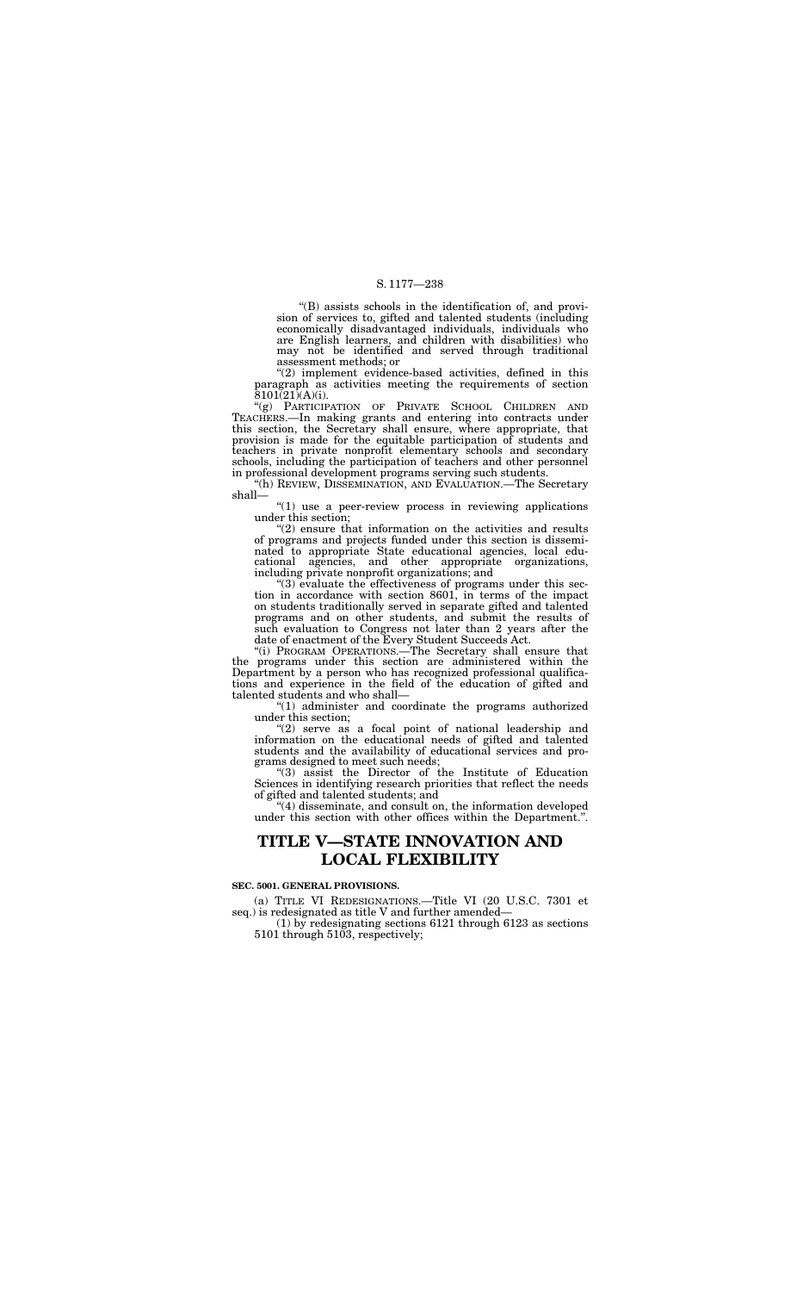''(B) assists schools in the identification of, and provision of services to, gifted and talented students (including economically disadvantaged individuals, individuals who are English learners, and children with disabilities) who may not be identified and served through traditional assessment methods; or

 $''(2)$  implement evidence-based activities, defined in this paragraph as activities meeting the requirements of section 8101(21)(A)(i).

"(g) PARTICIPATION OF PRIVATE SCHOOL CHILDREN AND TEACHERS.—In making grants and entering into contracts under this section, the Secretary shall ensure, where appropriate, that provision is made for the equitable participation of students and teachers in private nonprofit elementary schools and secondary schools, including the participation of teachers and other personnel in professional development programs serving such students.

"(1) use a peer-review process in reviewing applications under this section;

 $(3)$  evaluate the effectiveness of programs under this section in accordance with section 8601, in terms of the impact on students traditionally served in separate gifted and talented programs and on other students, and submit the results of such evaluation to Congress not later than 2 years after the date of enactment of the Every Student Succeeds Act.

''(h) REVIEW, DISSEMINATION, AND EVALUATION.—The Secretary shall—

"(i) PROGRAM OPERATIONS.—The Secretary shall ensure that the programs under this section are administered within the Department by a person who has recognized professional qualifications and experience in the field of the education of gifted and talented students and who shall—

"(2) serve as a focal point of national leadership and information on the educational needs of gifted and talented students and the availability of educational services and programs designed to meet such needs;

''(2) ensure that information on the activities and results of programs and projects funded under this section is disseminated to appropriate State educational agencies, local educational agencies, and other appropriate organizations, including private nonprofit organizations; and

''(1) administer and coordinate the programs authorized under this section;

''(3) assist the Director of the Institute of Education Sciences in identifying research priorities that reflect the needs of gifted and talented students; and

''(4) disseminate, and consult on, the information developed under this section with other offices within the Department.''.

# **TITLE V—STATE INNOVATION AND LOCAL FLEXIBILITY**

#### **SEC. 5001. GENERAL PROVISIONS.**

(a) TITLE VI REDESIGNATIONS.—Title VI (20 U.S.C. 7301 et seq.) is redesignated as title V and further amended—

(1) by redesignating sections 6121 through 6123 as sections 5101 through 5103, respectively;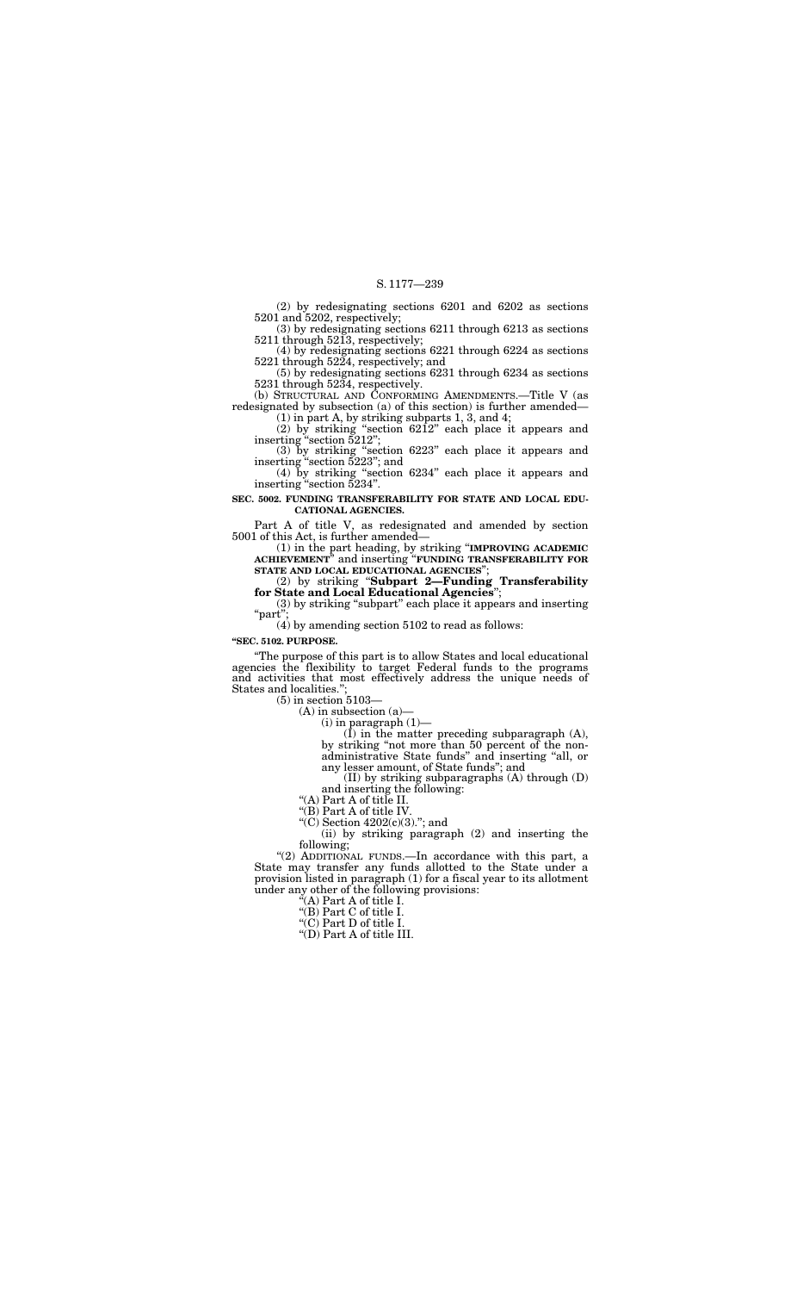(2) by redesignating sections 6201 and 6202 as sections 5201 and 5202, respectively;

(3) by redesignating sections 6211 through 6213 as sections 5211 through 5213, respectively;

(4) by redesignating sections 6221 through 6224 as sections 5221 through 5224, respectively; and

(5) by redesignating sections 6231 through 6234 as sections 5231 through 5234, respectively.

(b) STRUCTURAL AND CONFORMING AMENDMENTS.—Title V (as redesignated by subsection (a) of this section) is further amended—

(1) in part A, by striking subparts 1, 3, and 4; (2) by striking ''section 6212'' each place it appears and

(3) by striking ''subpart'' each place it appears and inserting "part"

 $(4)$  by amending section 5102 to read as follows:

inserting ''section 5212'';

(3) by striking ''section 6223'' each place it appears and inserting ''section 5223''; and

(4) by striking ''section 6234'' each place it appears and inserting ''section 5234''.

#### **SEC. 5002. FUNDING TRANSFERABILITY FOR STATE AND LOCAL EDU-CATIONAL AGENCIES.**

Part A of title V, as redesignated and amended by section 5001 of this Act, is further amended—

(1) in the part heading, by striking ''**IMPROVING ACADEMIC ACHIEVEMENT**'' and inserting ''**FUNDING TRANSFERABILITY FOR STATE AND LOCAL EDUCATIONAL AGENCIES**'';

"(2) ADDITIONAL FUNDS.—In accordance with this part, a State may transfer any funds allotted to the State under a provision listed in paragraph (1) for a fiscal year to its allotment under any other of the following provisions:

(2) by striking ''**Subpart 2—Funding Transferability for State and Local Educational Agencies**'';

**''SEC. 5102. PURPOSE.** 

''The purpose of this part is to allow States and local educational agencies the flexibility to target Federal funds to the programs and activities that most effectively address the unique needs of States and localities.'';

 $(5)$  in section 5103-

 $(A)$  in subsection  $(a)$ 

(i) in paragraph (1)—

(I) in the matter preceding subparagraph (A), by striking ''not more than 50 percent of the nonadministrative State funds'' and inserting ''all, or any lesser amount, of State funds''; and

(II) by striking subparagraphs (A) through (D) and inserting the following:

"(A) Part A of title II.

''(B) Part A of title IV.

"(C) Section 4202(c)(3)."; and

(ii) by striking paragraph (2) and inserting the following;

''(A) Part A of title I.

''(B) Part C of title I.

"(C) Part D of title I.

''(D) Part A of title III.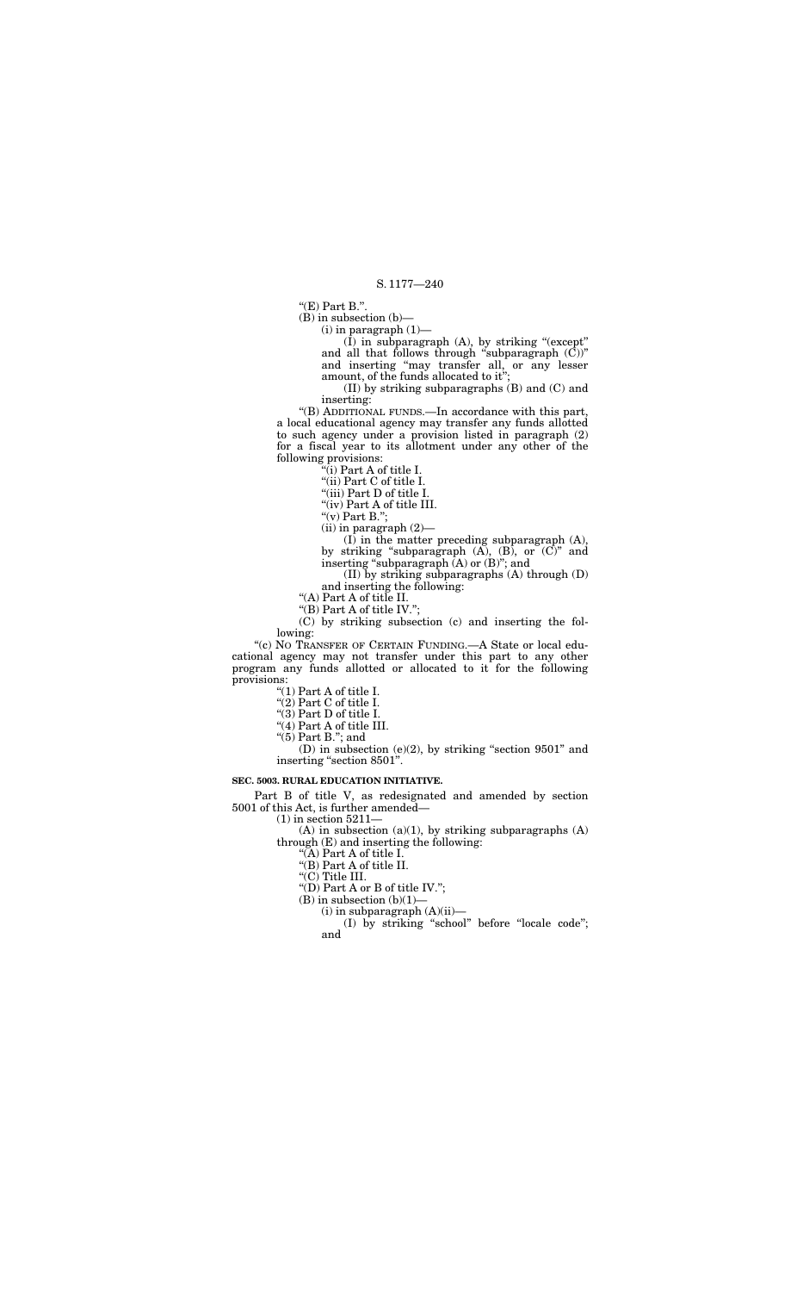''(E) Part B.''.

(B) in subsection (b)—

(i) in paragraph (1)—

 $(I)$  in subparagraph  $(A)$ , by striking "(except" and all that follows through "subparagraph  $(C)$ " and inserting ''may transfer all, or any lesser amount, of the funds allocated to it'';

(II) by striking subparagraphs (B) and (C) and inserting:

(I) in the matter preceding subparagraph (A), by striking ''subparagraph (A), (B), or (C)'' and inserting "subparagraph  $(A)$  or  $(B)$ "; and

''(B) ADDITIONAL FUNDS.—In accordance with this part, a local educational agency may transfer any funds allotted to such agency under a provision listed in paragraph (2) for a fiscal year to its allotment under any other of the following provisions:

''(i) Part A of title I.

"(ii) Part C of title I.

"(iii) Part D of title I.

''(iv) Part A of title III.

''(v) Part B.'';

(ii) in paragraph (2)—

 $(A)$  in subsection  $(a)(1)$ , by striking subparagraphs  $(A)$ through (E) and inserting the following:

(II) by striking subparagraphs (A) through (D) and inserting the following:

"(A) Part A of title II.

''(B) Part A of title IV.'';

(C) by striking subsection (c) and inserting the following:

''(c) NO TRANSFER OF CERTAIN FUNDING.—A State or local educational agency may not transfer under this part to any other program any funds allotted or allocated to it for the following provisions:

''(1) Part A of title I.

"(2) Part C of title I.

"(3) Part D of title I.

"(4) Part A of title III.

" $(5)$  Part B."; and

(D) in subsection (e)(2), by striking "section 9501" and inserting "section 8501".

#### **SEC. 5003. RURAL EDUCATION INITIATIVE.**

Part B of title V, as redesignated and amended by section 5001 of this Act, is further amended—

(1) in section 5211—

''(A) Part A of title I.

''(B) Part A of title II.

"(C) Title III.

''(D) Part A or B of title IV.'';

 $(B)$  in subsection  $(b)(1)$ –

 $(i)$  in subparagraph  $(A)(ii)$ —

(I) by striking ''school'' before ''locale code''; and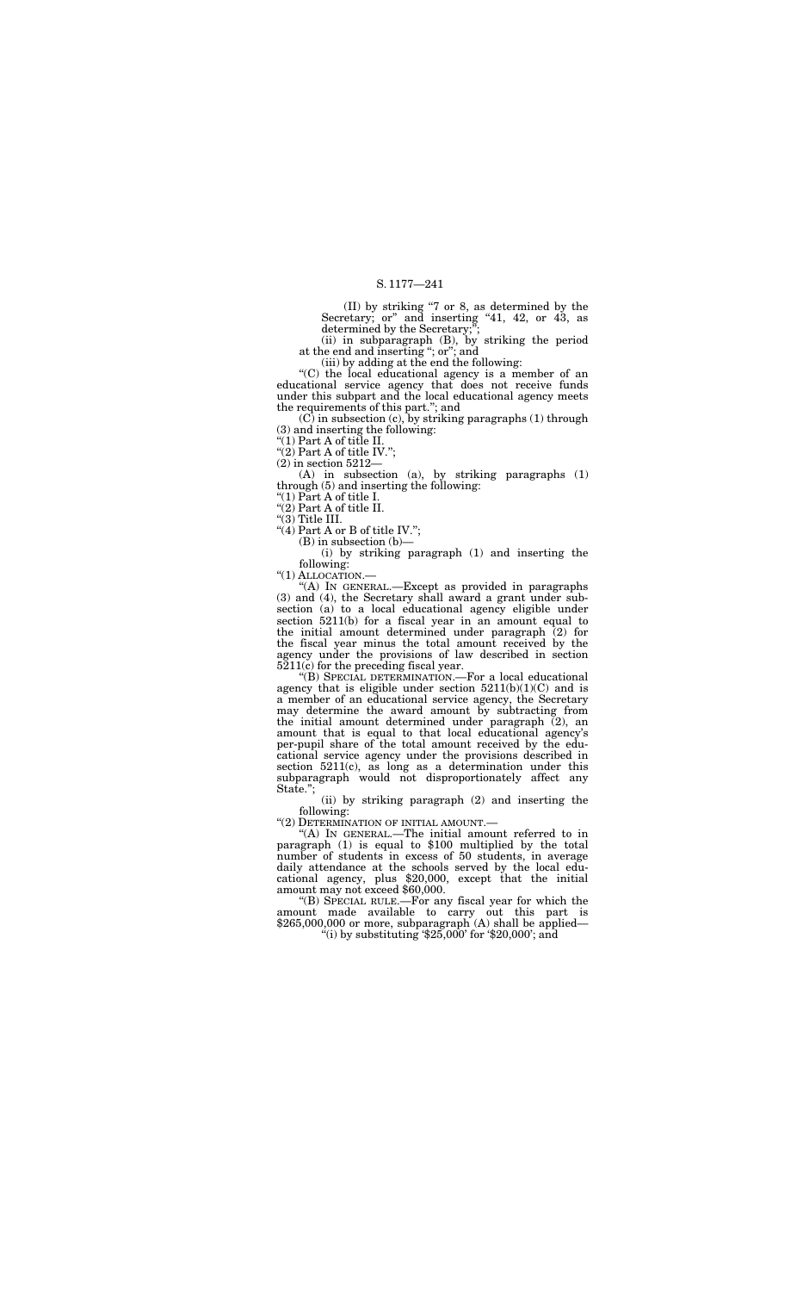(II) by striking ''7 or 8, as determined by the Secretary; or" and inserting "41, 42, or 43, as determined by the Secretary;";

(ii) in subparagraph (B), by striking the period at the end and inserting ''; or''; and

(iii) by adding at the end the following:

''(C) the local educational agency is a member of an educational service agency that does not receive funds under this subpart and the local educational agency meets the requirements of this part.''; and

(i) by striking paragraph (1) and inserting the following:<br>"(1) ALLOCATION.-

(C) in subsection (c), by striking paragraphs (1) through (3) and inserting the following:

''(1) Part A of title II.

"(2) Part A of title IV.";

(2) in section 5212—

"(A) IN GENERAL.—Except as provided in paragraphs (3) and (4), the Secretary shall award a grant under subsection (a) to a local educational agency eligible under section 5211(b) for a fiscal year in an amount equal to the initial amount determined under paragraph (2) for the fiscal year minus the total amount received by the agency under the provisions of law described in section 5211(c) for the preceding fiscal year.

(A) in subsection (a), by striking paragraphs (1) through (5) and inserting the following:

''(1) Part A of title I.

"(2) Part A of title II.

"(3) Title III.

"(4) Part A or B of title IV.";

(B) in subsection (b)—

"(A) In GENERAL.—The initial amount referred to in paragraph (1) is equal to \$100 multiplied by the total number of students in excess of 50 students, in average daily attendance at the schools served by the local educational agency, plus \$20,000, except that the initial amount may not exceed \$60,000.

''(B) SPECIAL DETERMINATION.—For a local educational agency that is eligible under section  $5211(b)(1)(C)$  and is a member of an educational service agency, the Secretary may determine the award amount by subtracting from the initial amount determined under paragraph (2), an amount that is equal to that local educational agency's per-pupil share of the total amount received by the educational service agency under the provisions described in section 5211(c), as long as a determination under this subparagraph would not disproportionately affect any State.'';

(ii) by striking paragraph (2) and inserting the following:

"(2) DETERMINATION OF INITIAL AMOUNT.

''(B) SPECIAL RULE.—For any fiscal year for which the amount made available to carry out this part is \$265,000,000 or more, subparagraph (A) shall be applied— ''(i) by substituting '\$25,000' for '\$20,000'; and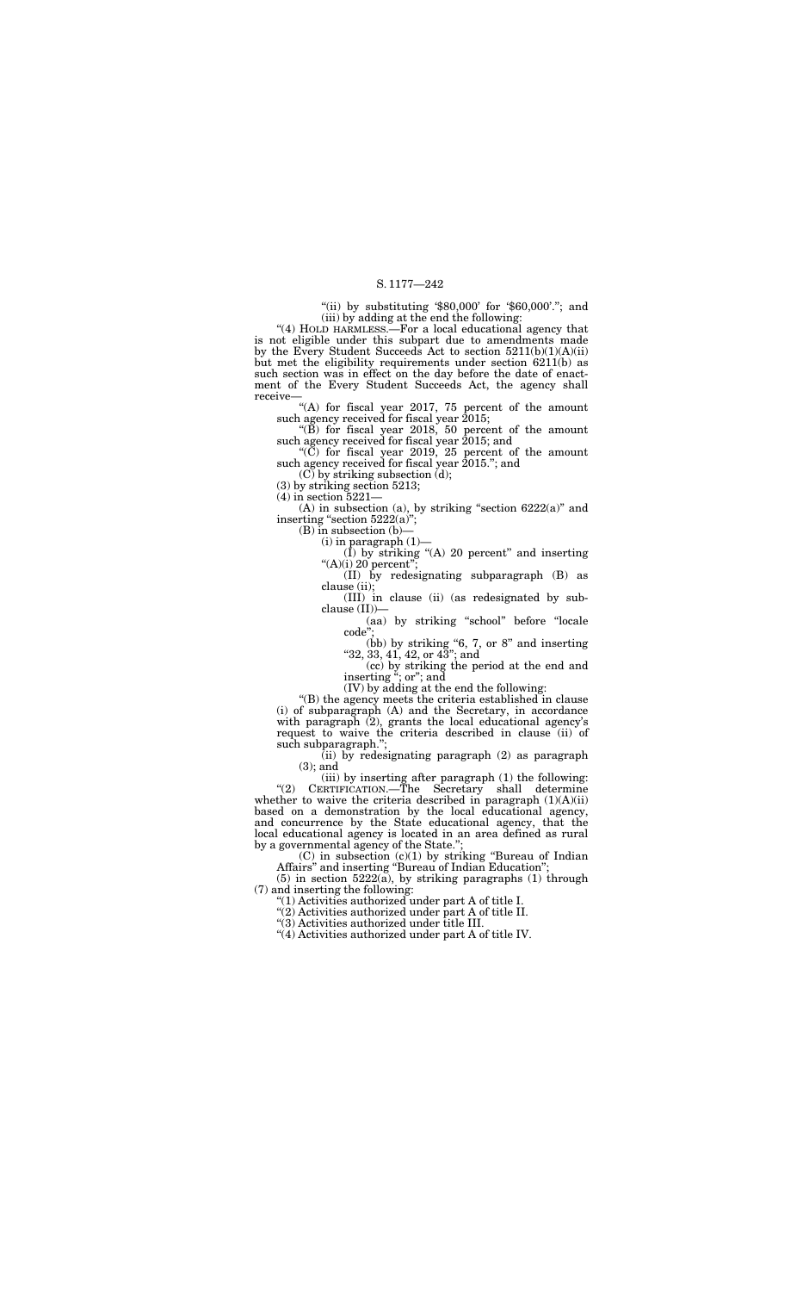"(ii) by substituting  $\$80,000$  for  $\$60,000$ "; and (iii) by adding at the end the following:

"(4) HOLD HARMLESS.—For a local educational agency that is not eligible under this subpart due to amendments made by the Every Student Succeeds Act to section 5211(b)(1)(A)(ii) but met the eligibility requirements under section 6211(b) as such section was in effect on the day before the date of enactment of the Every Student Succeeds Act, the agency shall receive—

"(A) for fiscal year 2017, 75 percent of the amount such agency received for fiscal year  $2015$ ;

"( $\bar{C}$ ) for fiscal year 2019, 25 percent of the amount such agency received for fiscal year 2015.''; and

 $(C)$  by striking subsection  $(d)$ ;

(aa) by striking "school" before "locale code'';

''(B) for fiscal year 2018, 50 percent of the amount such agency received for fiscal year 2015; and

(3) by striking section 5213;

 $(4)$  in section 5221–

(A) in subsection (a), by striking "section  $6222(a)$ " and inserting "section  $5222(a)$ ";

 $(B)$  in subsection  $(b)$ –

 $(i)$  in paragraph  $(1)$ –

 $(I)$  by striking "(A) 20 percent" and inserting "(A)(i)  $20$  percent";

 $(iii)$  by redesignating paragraph  $(2)$  as paragraph (3); and

(iii) by inserting after paragraph (1) the following: ''(2) CERTIFICATION.—The Secretary shall determine whether to waive the criteria described in paragraph  $(1)(A)(ii)$ based on a demonstration by the local educational agency, and concurrence by the State educational agency, that the local educational agency is located in an area defined as rural by a governmental agency of the State.";

(II) by redesignating subparagraph (B) as clause (ii);

(III) in clause (ii) (as redesignated by subclause (II))—

 $(5)$  in section  $5222(a)$ , by striking paragraphs  $(1)$  through (7) and inserting the following:

"(1) Activities authorized under part A of title I.

(bb) by striking ''6, 7, or 8'' and inserting ''32, 33, 41, 42, or 43''; and

(cc) by striking the period at the end and inserting ''; or''; and

(IV) by adding at the end the following:

''(B) the agency meets the criteria established in clause (i) of subparagraph (A) and the Secretary, in accordance with paragraph (2), grants the local educational agency's request to waive the criteria described in clause (ii) of such subparagraph.'';

(C) in subsection (c)(1) by striking ''Bureau of Indian Affairs'' and inserting ''Bureau of Indian Education'';

''(2) Activities authorized under part A of title II.

"(3) Activities authorized under title III.

''(4) Activities authorized under part A of title IV.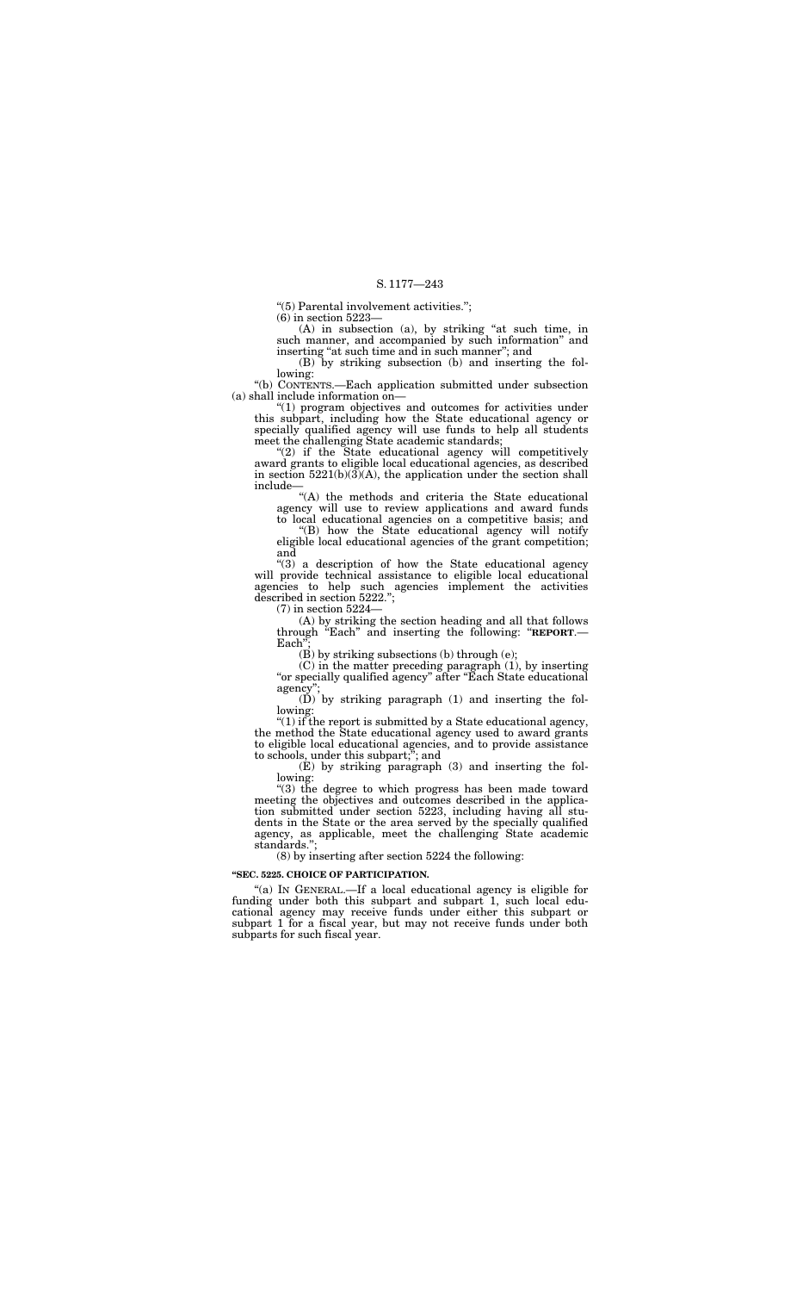''(5) Parental involvement activities.'';

(6) in section 5223—

(A) in subsection (a), by striking "at such time, in such manner, and accompanied by such information'' and inserting "at such time and in such manner"; and

(B) by striking subsection (b) and inserting the following:

''(b) CONTENTS.—Each application submitted under subsection (a) shall include information on—

"(2) if the State educational agency will competitively award grants to eligible local educational agencies, as described in section  $5221(b)(3)(A)$ , the application under the section shall include—

"(A) the methods and criteria the State educational agency will use to review applications and award funds to local educational agencies on a competitive basis; and

''(1) program objectives and outcomes for activities under this subpart, including how the State educational agency or specially qualified agency will use funds to help all students meet the challenging State academic standards;

"(3) a description of how the State educational agency will provide technical assistance to eligible local educational agencies to help such agencies implement the activities described in section 5222.'';

" $(1)$  if the report is submitted by a State educational agency, the method the State educational agency used to award grants to eligible local educational agencies, and to provide assistance to schools, under this subpart;''; and

''(B) how the State educational agency will notify eligible local educational agencies of the grant competition; and

"(3) the degree to which progress has been made toward meeting the objectives and outcomes described in the application submitted under section 5223, including having all students in the State or the area served by the specially qualified agency, as applicable, meet the challenging State academic standards.'';

(7) in section 5224—

(A) by striking the section heading and all that follows through ''Each'' and inserting the following: ''**REPORT**.— Each'';

(B) by striking subsections (b) through (e);

(C) in the matter preceding paragraph (1), by inserting "or specially qualified agency" after "Each State educational agency'';

(D) by striking paragraph (1) and inserting the following:

(E) by striking paragraph (3) and inserting the following:

(8) by inserting after section 5224 the following:

#### **''SEC. 5225. CHOICE OF PARTICIPATION.**

''(a) IN GENERAL.—If a local educational agency is eligible for funding under both this subpart and subpart 1, such local educational agency may receive funds under either this subpart or subpart 1 for a fiscal year, but may not receive funds under both subparts for such fiscal year.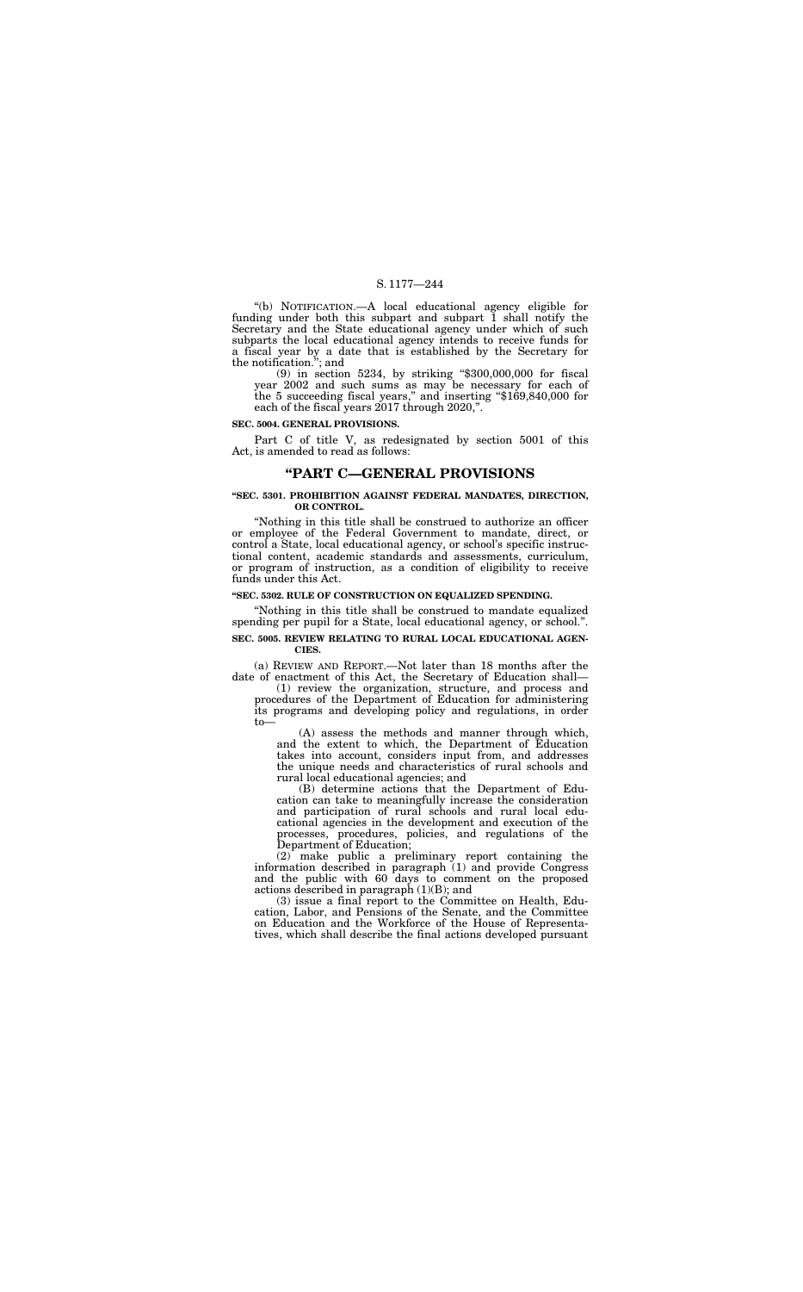''(b) NOTIFICATION.—A local educational agency eligible for funding under both this subpart and subpart  $\overline{1}$  shall notify the Secretary and the State educational agency under which of such subparts the local educational agency intends to receive funds for a fiscal year by a date that is established by the Secretary for the notification.''; and

Part C of title V, as redesignated by section 5001 of this Act, is amended to read as follows:

(9) in section 5234, by striking ''\$300,000,000 for fiscal year 2002 and such sums as may be necessary for each of the 5 succeeding fiscal years,'' and inserting ''\$169,840,000 for each of the fiscal years 2017 through 2020,''.

#### **SEC. 5004. GENERAL PROVISIONS.**

#### **''PART C—GENERAL PROVISIONS**

#### **''SEC. 5301. PROHIBITION AGAINST FEDERAL MANDATES, DIRECTION, OR CONTROL.**

''Nothing in this title shall be construed to authorize an officer or employee of the Federal Government to mandate, direct, or control a State, local educational agency, or school's specific instructional content, academic standards and assessments, curriculum, or program of instruction, as a condition of eligibility to receive funds under this Act.

(2) make public a preliminary report containing the information described in paragraph (1) and provide Congress and the public with 60 days to comment on the proposed actions described in paragraph  $(1)(B)$ ; and

### **''SEC. 5302. RULE OF CONSTRUCTION ON EQUALIZED SPENDING.**

''Nothing in this title shall be construed to mandate equalized spending per pupil for a State, local educational agency, or school.''.

#### **SEC. 5005. REVIEW RELATING TO RURAL LOCAL EDUCATIONAL AGEN-CIES.**

(a) REVIEW AND REPORT.—Not later than 18 months after the date of enactment of this Act, the Secretary of Education shall—

(1) review the organization, structure, and process and procedures of the Department of Education for administering its programs and developing policy and regulations, in order to—

(A) assess the methods and manner through which, and the extent to which, the Department of Education takes into account, considers input from, and addresses the unique needs and characteristics of rural schools and rural local educational agencies; and

(B) determine actions that the Department of Education can take to meaningfully increase the consideration and participation of rural schools and rural local educational agencies in the development and execution of the processes, procedures, policies, and regulations of the Department of Education;

(3) issue a final report to the Committee on Health, Education, Labor, and Pensions of the Senate, and the Committee on Education and the Workforce of the House of Representatives, which shall describe the final actions developed pursuant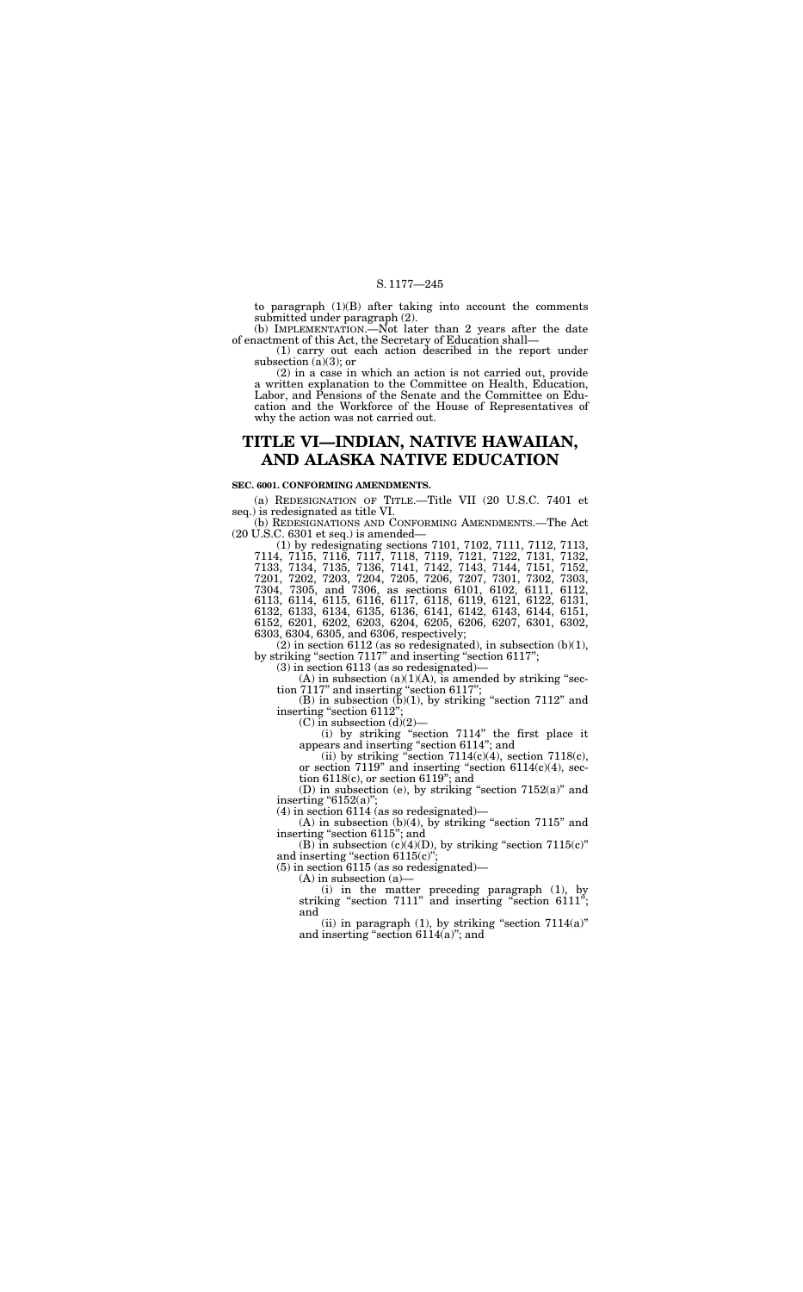to paragraph (1)(B) after taking into account the comments submitted under paragraph (2).

(1) carry out each action described in the report under subsection  $(a)(3)$ ; or

(b) IMPLEMENTATION.—Not later than 2 years after the date of enactment of this Act, the Secretary of Education shall—

(2) in a case in which an action is not carried out, provide a written explanation to the Committee on Health, Education, Labor, and Pensions of the Senate and the Committee on Education and the Workforce of the House of Representatives of why the action was not carried out.

# **TITLE VI—INDIAN, NATIVE HAWAIIAN, AND ALASKA NATIVE EDUCATION**

#### **SEC. 6001. CONFORMING AMENDMENTS.**

(a) REDESIGNATION OF TITLE.—Title VII (20 U.S.C. 7401 et seq.) is redesignated as title VI.

> (3) in section 6113 (as so redesignated)—  $(A)$  in subsection  $(a)(1)(A)$ , is amended by striking "sec-

> tion 7117" and inserting "section 6117"; (B) in subsection  $(b)(1)$ , by striking "section 7112" and

> inserting "section 6112"

(C) in subsection  $(d)(2)$ —

(b) REDESIGNATIONS AND CONFORMING AMENDMENTS.—The Act (20 U.S.C. 6301 et seq.) is amended—

> (ii) by striking "section  $7114(c)(4)$ , section  $7118(c)$ , or section  $7119$ " and inserting "section  $6114(c)(4)$ , section 6118(c), or section 6119''; and

(D) in subsection (e), by striking "section  $7152(a)$ " and inserting " $6152(a)$ ";

 $(4)$  in section 6114 (as so redesignated)—

| $(1)$ by redesignating sections 7101, 7102, 7111, 7112, 7113,                                                                                                                                                                                                                                                                                                                                                                                              |
|------------------------------------------------------------------------------------------------------------------------------------------------------------------------------------------------------------------------------------------------------------------------------------------------------------------------------------------------------------------------------------------------------------------------------------------------------------|
| 7114, 7115, 7116, 7117, 7118, 7119, 7121, 7122, 7131, 7132,                                                                                                                                                                                                                                                                                                                                                                                                |
| 7133, 7134, 7135, 7136, 7141, 7142, 7143, 7144, 7151, 7152,                                                                                                                                                                                                                                                                                                                                                                                                |
| 7201, 7202, 7203, 7204, 7205, 7206, 7207, 7301, 7302, 7303,                                                                                                                                                                                                                                                                                                                                                                                                |
| 7304, 7305, and 7306, as sections 6101, 6102, 6111, 6112,                                                                                                                                                                                                                                                                                                                                                                                                  |
| 6113, 6114, 6115, 6116, 6117, 6118, 6119, 6121, 6122, 6131,                                                                                                                                                                                                                                                                                                                                                                                                |
| 6132, 6133, 6134, 6135, 6136, 6141, 6142, 6143, 6144, 6151,                                                                                                                                                                                                                                                                                                                                                                                                |
| 6152, 6201, 6202, 6203, 6204, 6205, 6206, 6207, 6301, 6302,                                                                                                                                                                                                                                                                                                                                                                                                |
| $\cos \theta$ $\cos \theta$ $\cos \theta$ $\cos \theta$ $\sin \theta$ $\sin \theta$ $\cos \theta$ $\sin \theta$ $\sin \theta$ $\sin \theta$ $\sin \theta$ $\sin \theta$ $\sin \theta$ $\sin \theta$ $\sin \theta$ $\sin \theta$ $\sin \theta$ $\sin \theta$ $\sin \theta$ $\sin \theta$ $\sin \theta$ $\sin \theta$ $\sin \theta$ $\sin \theta$ $\sin \theta$ $\sin \theta$ $\sin \theta$ $\sin \theta$ $\sin \theta$ $\sin \theta$ $\sin \theta$ $\sin \$ |

(A) in subsection  $(b)(4)$ , by striking "section 7115" and inserting ''section 6115''; and

(B) in subsection  $(c)(4)(D)$ , by striking "section  $7115(c)$ " and inserting "section 6115(c)"

6303, 6304, 6305, and 6306, respectively;

 $(2)$  in section 6112 (as so redesignated), in subsection  $(b)(1)$ , by striking "section 7117" and inserting "section 6117";

> (i) by striking ''section 7114'' the first place it appears and inserting ''section 6114''; and

(5) in section 6115 (as so redesignated)—

(A) in subsection (a)—

(i) in the matter preceding paragraph (1), by striking "section 7111" and inserting "section 6111"; and

(ii) in paragraph  $(1)$ , by striking "section  $7114(a)$ " and inserting "section  $6114(a)$ "; and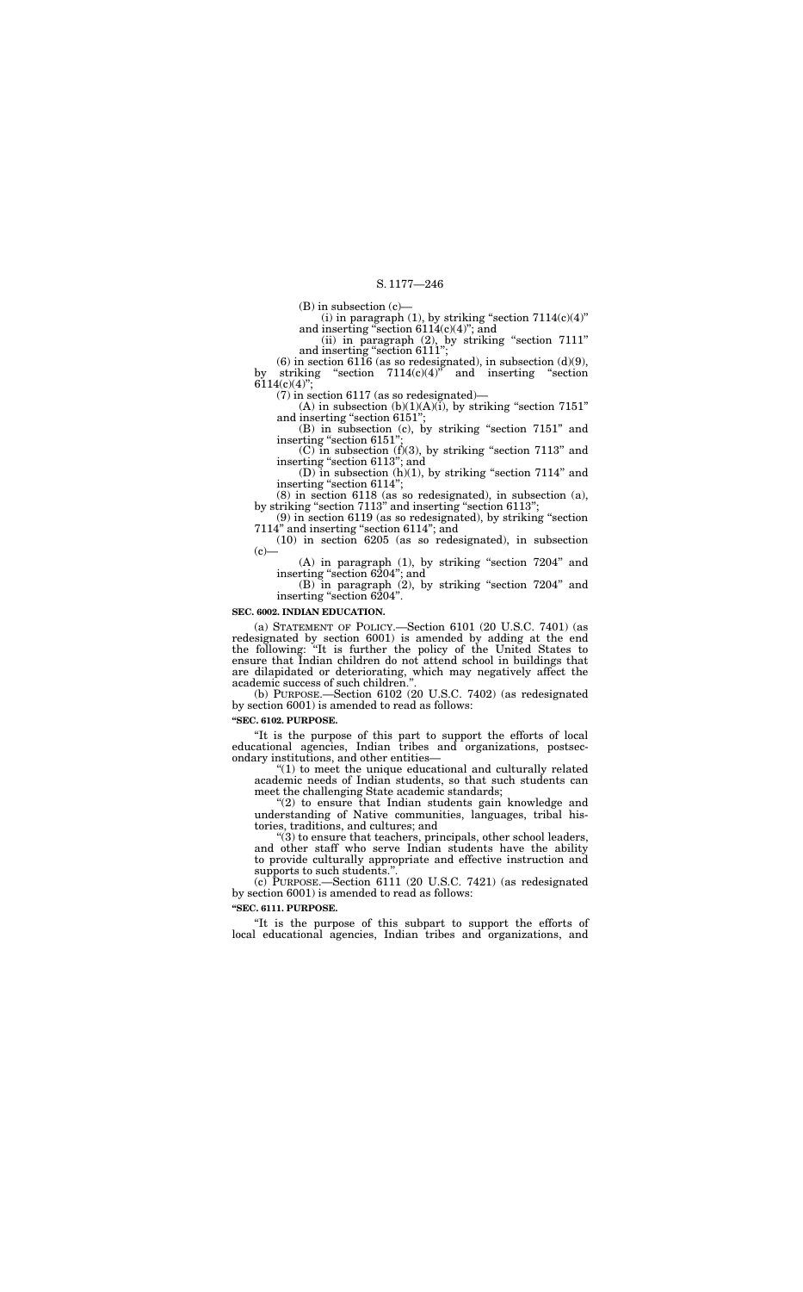(B) in subsection (c)—

(i) in paragraph  $(1)$ , by striking "section  $7114(c)(4)$ " and inserting "section  $6114(c)(4)$ "; and

(ii) in paragraph (2), by striking "section 7111" and inserting "section 6111";

 $(6)$  in section 6116 (as so redesignated), in subsection  $(d)(9)$ , by striking "section  $7114(c)(4)$ " and inserting "section  $6114(c)(4)$ ";

(B) in subsection (c), by striking ''section 7151'' and inserting "section 6151"

(C) in subsection (f)(3), by striking "section 7113" and inserting "section 6113"; and

(D) in subsection  $(h)(1)$ , by striking "section 7114" and inserting "section 6114";

(8) in section 6118 (as so redesignated), in subsection (a), by striking "section 7113" and inserting "section 6113";

(7) in section 6117 (as so redesignated)—

(A) in subsection  $(b)(1)(A)(i)$ , by striking "section 7151" and inserting "section 6151";

(10) in section 6205 (as so redesignated), in subsection  $(c)$ —

(A) in paragraph  $(1)$ , by striking "section 7204" and inserting ''section 6204''; and

(B) in paragraph (2), by striking ''section 7204'' and inserting "section 6204".

(a) STATEMENT OF POLICY.—Section 6101 (20 U.S.C. 7401) (as redesignated by section 6001) is amended by adding at the end the following: ''It is further the policy of the United States to ensure that Indian children do not attend school in buildings that are dilapidated or deteriorating, which may negatively affect the academic success of such children."

(9) in section 6119 (as so redesignated), by striking ''section 7114'' and inserting ''section 6114''; and

"(2) to ensure that Indian students gain knowledge and understanding of Native communities, languages, tribal histories, traditions, and cultures; and

''(3) to ensure that teachers, principals, other school leaders, and other staff who serve Indian students have the ability to provide culturally appropriate and effective instruction and supports to such students."

#### **SEC. 6002. INDIAN EDUCATION.**

(b) PURPOSE.—Section 6102 (20 U.S.C. 7402) (as redesignated by section 6001) is amended to read as follows:

#### **''SEC. 6102. PURPOSE.**

''It is the purpose of this part to support the efforts of local educational agencies, Indian tribes and organizations, postsecondary institutions, and other entities—

''(1) to meet the unique educational and culturally related academic needs of Indian students, so that such students can meet the challenging State academic standards;

(c) PURPOSE.—Section 6111 (20 U.S.C. 7421) (as redesignated by section 6001) is amended to read as follows:

#### **''SEC. 6111. PURPOSE.**

''It is the purpose of this subpart to support the efforts of local educational agencies, Indian tribes and organizations, and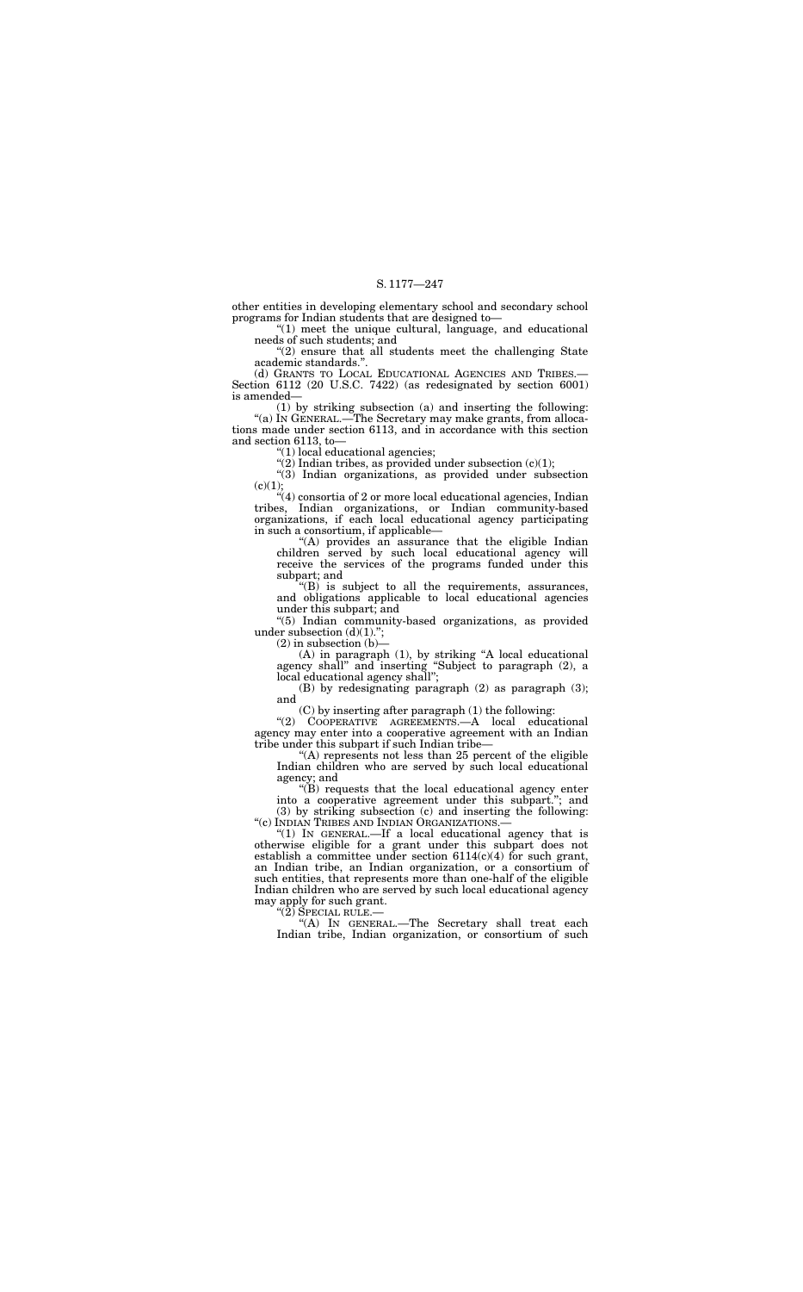other entities in developing elementary school and secondary school programs for Indian students that are designed to—

"(1) meet the unique cultural, language, and educational needs of such students; and

academic standards.".<br>(d) GRANTS TO LOCAL EDUCATIONAL AGENCIES AND TRIBES.-Section 6112 (20 U.S.C. 7422) (as redesignated by section 6001) is amended—

''(2) ensure that all students meet the challenging State

''(3) Indian organizations, as provided under subsection  $(c)(1);$ 

(1) by striking subsection (a) and inserting the following: "(a) In GENERAL.—The Secretary may make grants, from allocations made under section 6113, and in accordance with this section and section 6113, to—

> "(A) provides an assurance that the eligible Indian children served by such local educational agency will receive the services of the programs funded under this subpart; and

''(1) local educational agencies;

"(2) Indian tribes, as provided under subsection (c)(1);

''(5) Indian community-based organizations, as provided under subsection  $(d)(1)$ .";

 $(2)$  in subsection  $(b)$ -

''(4) consortia of 2 or more local educational agencies, Indian tribes, Indian organizations, or Indian community-based tribes, Indian organizations, or Indian community-based<br>organizations, if each local educational agency participating in such a consortium, if applicable—

"(2) COOPERATIVE AGREEMENTS.—A local educational agency may enter into a cooperative agreement with an Indian tribe under this subpart if such Indian tribe—

"(A) represents not less than 25 percent of the eligible Indian children who are served by such local educational agency; and

''(B) is subject to all the requirements, assurances, and obligations applicable to local educational agencies under this subpart; and

"(1) IN GENERAL.—If a local educational agency that is otherwise eligible for a grant under this subpart does not establish a committee under section 6114(c)(4) for such grant, an Indian tribe, an Indian organization, or a consortium of such entities, that represents more than one-half of the eligible Indian children who are served by such local educational agency may apply for such grant.

" $(2)$  SPECIAL RULE.—<br>"(A) IN GENERAL.—The Secretary shall treat each Indian tribe, Indian organization, or consortium of such

(A) in paragraph (1), by striking ''A local educational agency shall'' and inserting ''Subject to paragraph (2), a local educational agency shall'';

(B) by redesignating paragraph (2) as paragraph (3); and

(C) by inserting after paragraph (1) the following:

''(B) requests that the local educational agency enter into a cooperative agreement under this subpart.''; and (3) by striking subsection (c) and inserting the following: ''(c) INDIAN TRIBES AND INDIAN ORGANIZATIONS.—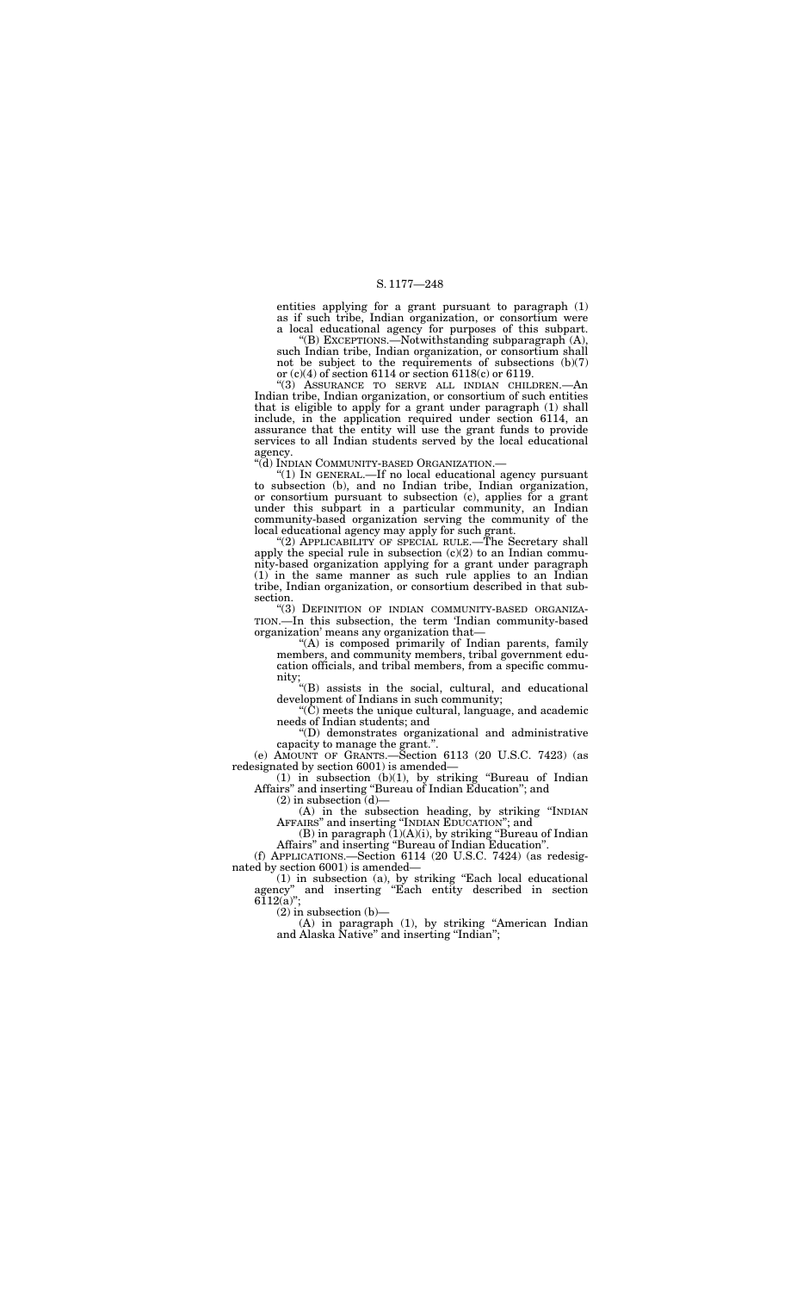entities applying for a grant pursuant to paragraph (1) as if such tribe, Indian organization, or consortium were a local educational agency for purposes of this subpart.

''(3) ASSURANCE TO SERVE ALL INDIAN CHILDREN.—An Indian tribe, Indian organization, or consortium of such entities that is eligible to apply for a grant under paragraph (1) shall include, in the application required under section 6114, an assurance that the entity will use the grant funds to provide services to all Indian students served by the local educational agency.<br>"(d) INDIAN COMMUNITY-BASED ORGANIZATION.—

''(B) EXCEPTIONS.—Notwithstanding subparagraph (A), such Indian tribe, Indian organization, or consortium shall not be subject to the requirements of subsections  $(b)(7)$ or (c)(4) of section 6114 or section 6118(c) or 6119.

"(1) IN GENERAL.—If no local educational agency pursuant to subsection (b), and no Indian tribe, Indian organization, or consortium pursuant to subsection (c), applies for a grant under this subpart in a particular community, an Indian community-based organization serving the community of the local educational agency may apply for such grant.

"(2) APPLICABILITY OF SPECIAL RULE.—The Secretary shall apply the special rule in subsection  $(c)(2)$  to an Indian community-based organization applying for a grant under paragraph (1) in the same manner as such rule applies to an Indian tribe, Indian organization, or consortium described in that subsection.<br>"(3) DEFINITION OF INDIAN COMMUNITY-BASED ORGANIZA-

TION.—In this subsection, the term 'Indian community-based organization' means any organization that—

"(A) is composed primarily of Indian parents, family members, and community members, tribal government education officials, and tribal members, from a specific community;

 $(C)$  meets the unique cultural, language, and academic needs of Indian students; and

(1) in subsection  $(b)(1)$ , by striking "Bureau of Indian Affairs'' and inserting ''Bureau of Indian Education''; and

 $(2)$  in subsection  $(d)$ 

(A) in the subsection heading, by striking ''INDIAN AFFAIRS" and inserting "INDIAN EDUCATION"; and

 $(B)$  in paragraph  $(1)(A)(i)$ , by striking "Bureau of Indian" Affairs'' and inserting ''Bureau of Indian Education''.

(1) in subsection (a), by striking ''Each local educational agency'' and inserting ''Each entity described in section  $6112(a)$ ";

 $(2)$  in subsection  $(b)$ —

(A) in paragraph (1), by striking ''American Indian and Alaska Native" and inserting "Indian";

''(B) assists in the social, cultural, and educational development of Indians in such community;

''(D) demonstrates organizational and administrative capacity to manage the grant.''.

(e) AMOUNT OF GRANTS.—Section 6113 (20 U.S.C. 7423) (as redesignated by section 6001) is amended—

(f) APPLICATIONS.—Section 6114 (20 U.S.C. 7424) (as redesignated by section 6001) is amended—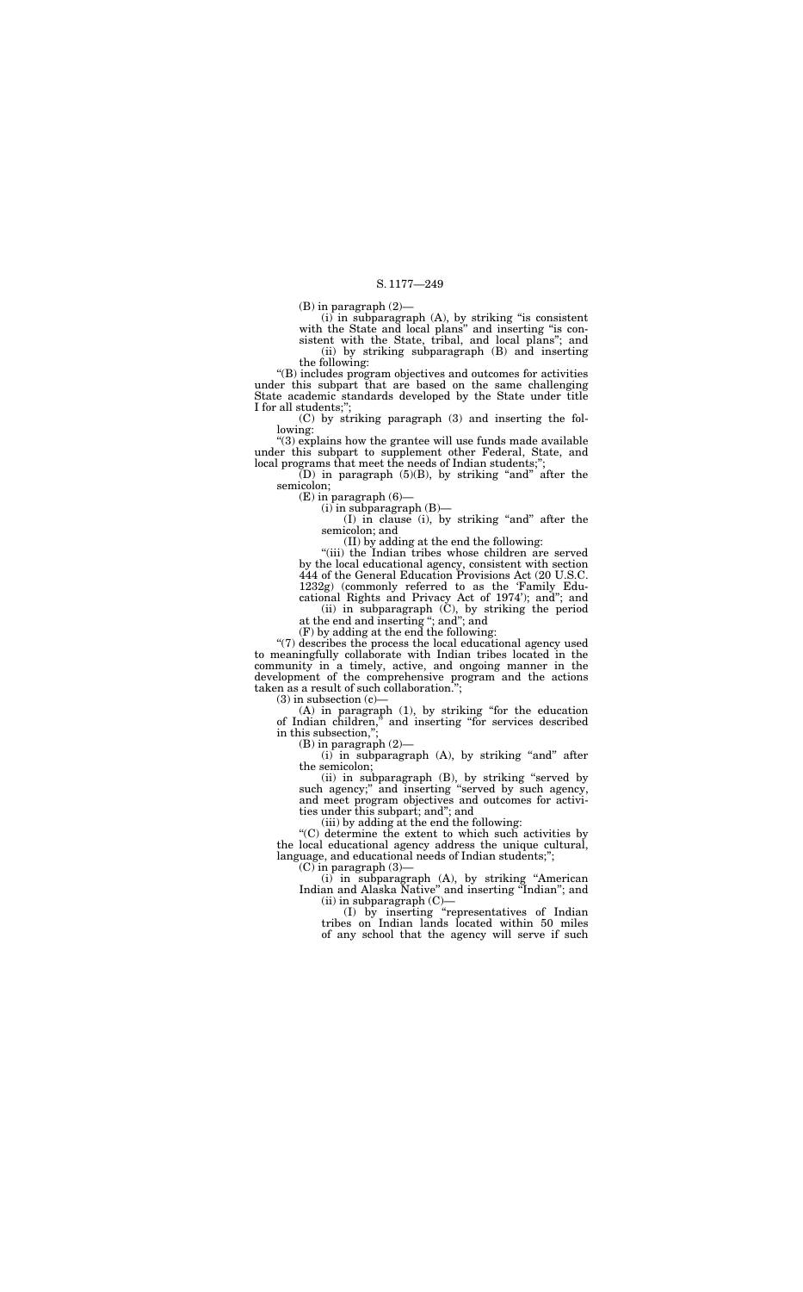(B) in paragraph (2)—

''(B) includes program objectives and outcomes for activities under this subpart that are based on the same challenging State academic standards developed by the State under title I for all students;"

(i) in subparagraph (A), by striking ''is consistent with the State and local plans'' and inserting ''is consistent with the State, tribal, and local plans''; and (ii) by striking subparagraph (B) and inserting

the following:

(D) in paragraph  $(5)(B)$ , by striking "and" after the semicolon;

 $(E)$  in paragraph  $(6)$ —

 $(i)$  in subparagraph  $(B)$ —

(I) in clause (i), by striking "and" after the semicolon; and

(C) by striking paragraph (3) and inserting the following:

"(iii) the Indian tribes whose children are served by the local educational agency, consistent with section 444 of the General Education Provisions Act (20 U.S.C. 1232g) (commonly referred to as the 'Family Educational Rights and Privacy Act of 1974'); and''; and

''(3) explains how the grantee will use funds made available under this subpart to supplement other Federal, State, and local programs that meet the needs of Indian students;'';

"(7) describes the process the local educational agency used to meaningfully collaborate with Indian tribes located in the community in a timely, active, and ongoing manner in the development of the comprehensive program and the actions taken as a result of such collaboration.'';

 $(3)$  in subsection  $(c)$ -

(A) in paragraph (1), by striking ''for the education of Indian children,'' and inserting ''for services described in this subsection,

(II) by adding at the end the following:

(i) in subparagraph (A), by striking "and" after the semicolon;

(ii) in subparagraph (B), by striking ''served by such agency;" and inserting "served by such agency, and meet program objectives and outcomes for activities under this subpart; and"; and

''(C) determine the extent to which such activities by the local educational agency address the unique cultural, language, and educational needs of Indian students;";

 $(C)$  in paragraph  $(3)$ —

(i) in subparagraph (A), by striking ''American Indian and Alaska Native'' and inserting ''Indian''; and (ii) in subparagraph  $(C)$ —

(ii) in subparagraph (C), by striking the period at the end and inserting ''; and''; and

(F) by adding at the end the following:

(B) in paragraph (2)—

(iii) by adding at the end the following:

(I) by inserting ''representatives of Indian tribes on Indian lands located within 50 miles of any school that the agency will serve if such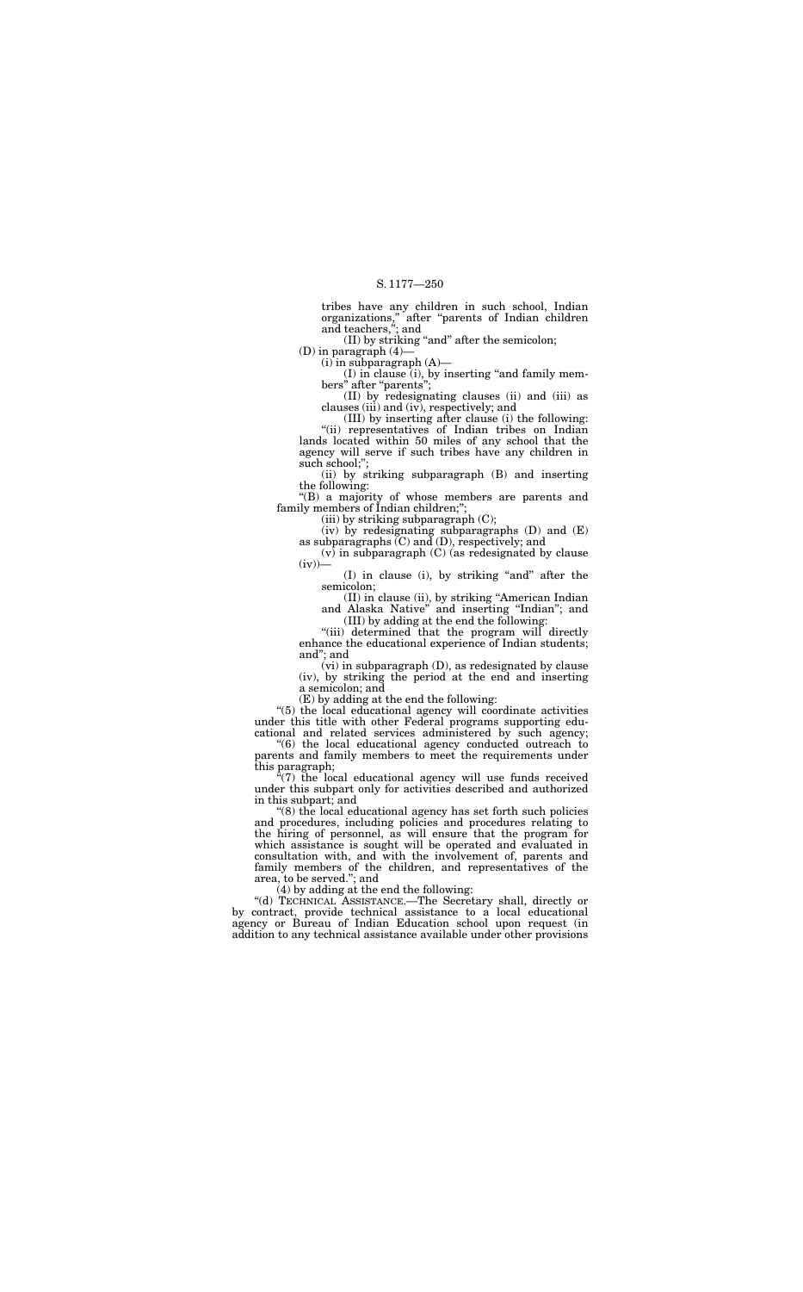tribes have any children in such school, Indian organizations,'' after ''parents of Indian children and teachers,''; and

(I) in clause (i), by inserting ''and family members" after "parents";

(II) by striking ''and'' after the semicolon; (D) in paragraph (4)—

 $(i)$  in subparagraph  $(A)$ —

(III) by inserting after clause (i) the following: "(ii) representatives of Indian tribes on Indian lands located within 50 miles of any school that the agency will serve if such tribes have any children in such school;";

''(B) a majority of whose members are parents and family members of Indian children;";

(II) by redesignating clauses (ii) and (iii) as clauses (iii) and (iv), respectively; and

(v) in subparagraph (C) (as redesignated by clause  $(iv)$ —

(I) in clause (i), by striking "and" after the semicolon;

(ii) by striking subparagraph (B) and inserting the following:

(iii) by striking subparagraph (C);

(iv) by redesignating subparagraphs (D) and (E) as subparagraphs (C) and (D), respectively; and

 $E^*(7)$  the local educational agency will use funds received under this subpart only for activities described and authorized in this subpart; and

(II) in clause (ii), by striking ''American Indian and Alaska Native'' and inserting ''Indian''; and

(III) by adding at the end the following: ''(iii) determined that the program will directly

enhance the educational experience of Indian students; and''; and

(vi) in subparagraph (D), as redesignated by clause (iv), by striking the period at the end and inserting a semicolon; and

(E) by adding at the end the following:

''(5) the local educational agency will coordinate activities under this title with other Federal programs supporting educational and related services administered by such agency;

''(6) the local educational agency conducted outreach to parents and family members to meet the requirements under this paragraph;

''(8) the local educational agency has set forth such policies and procedures, including policies and procedures relating to the hiring of personnel, as will ensure that the program for which assistance is sought will be operated and evaluated in consultation with, and with the involvement of, parents and family members of the children, and representatives of the area, to be served.''; and

(4) by adding at the end the following:

''(d) TECHNICAL ASSISTANCE.—The Secretary shall, directly or by contract, provide technical assistance to a local educational agency or Bureau of Indian Education school upon request (in addition to any technical assistance available under other provisions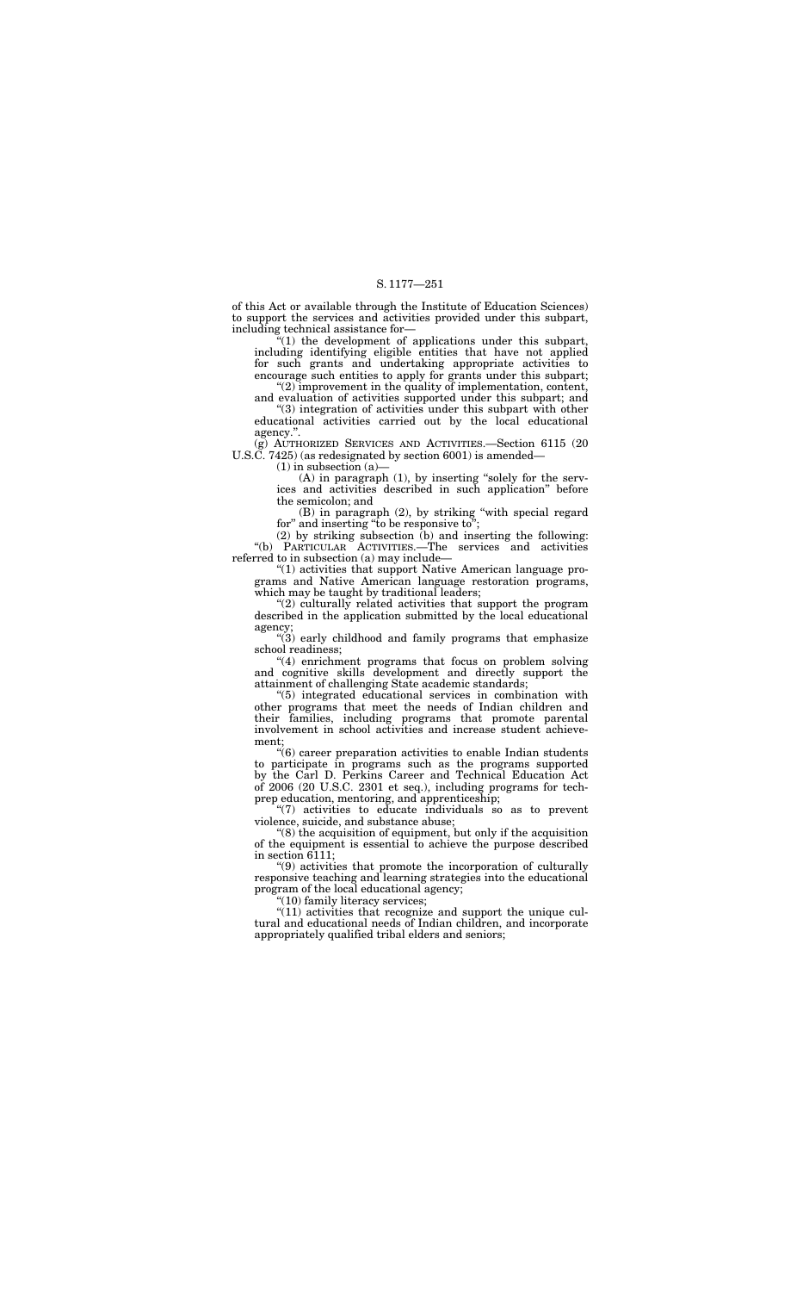of this Act or available through the Institute of Education Sciences) to support the services and activities provided under this subpart, including technical assistance for—

 $f''(1)$  the development of applications under this subpart, including identifying eligible entities that have not applied for such grants and undertaking appropriate activities to encourage such entities to apply for grants under this subpart;

 $"(2)$  improvement in the quality of implementation, content, and evaluation of activities supported under this subpart; and

 $(A)$  in paragraph  $(1)$ , by inserting "solely for the services and activities described in such application'' before the semicolon; and

(B) in paragraph (2), by striking ''with special regard for" and inserting "to be responsive to";

''(3) integration of activities under this subpart with other educational activities carried out by the local educational agency.''.

(g) AUTHORIZED SERVICES AND ACTIVITIES.—Section 6115 (20 U.S.C. 7425) (as redesignated by section 6001) is amended—

 $(1)$  in subsection  $(a)$ 

"(3) early childhood and family programs that emphasize school readiness;

"(4) enrichment programs that focus on problem solving and cognitive skills development and directly support the attainment of challenging State academic standards;

(2) by striking subsection (b) and inserting the following: ''(b) PARTICULAR ACTIVITIES.—The services and activities referred to in subsection (a) may include—

"(1) activities that support Native American language programs and Native American language restoration programs, which may be taught by traditional leaders;

"(7) activities to educate individuals so as to prevent violence, suicide, and substance abuse;

''(2) culturally related activities that support the program described in the application submitted by the local educational agency;

''(5) integrated educational services in combination with other programs that meet the needs of Indian children and their families, including programs that promote parental involvement in school activities and increase student achievement;

''(6) career preparation activities to enable Indian students to participate in programs such as the programs supported by the Carl D. Perkins Career and Technical Education Act of 2006 (20 U.S.C. 2301 et seq.), including programs for techprep education, mentoring, and apprenticeship;

''(8) the acquisition of equipment, but only if the acquisition of the equipment is essential to achieve the purpose described in section 6111;

''(9) activities that promote the incorporation of culturally responsive teaching and learning strategies into the educational program of the local educational agency;

"(10) family literacy services;

''(11) activities that recognize and support the unique cultural and educational needs of Indian children, and incorporate appropriately qualified tribal elders and seniors;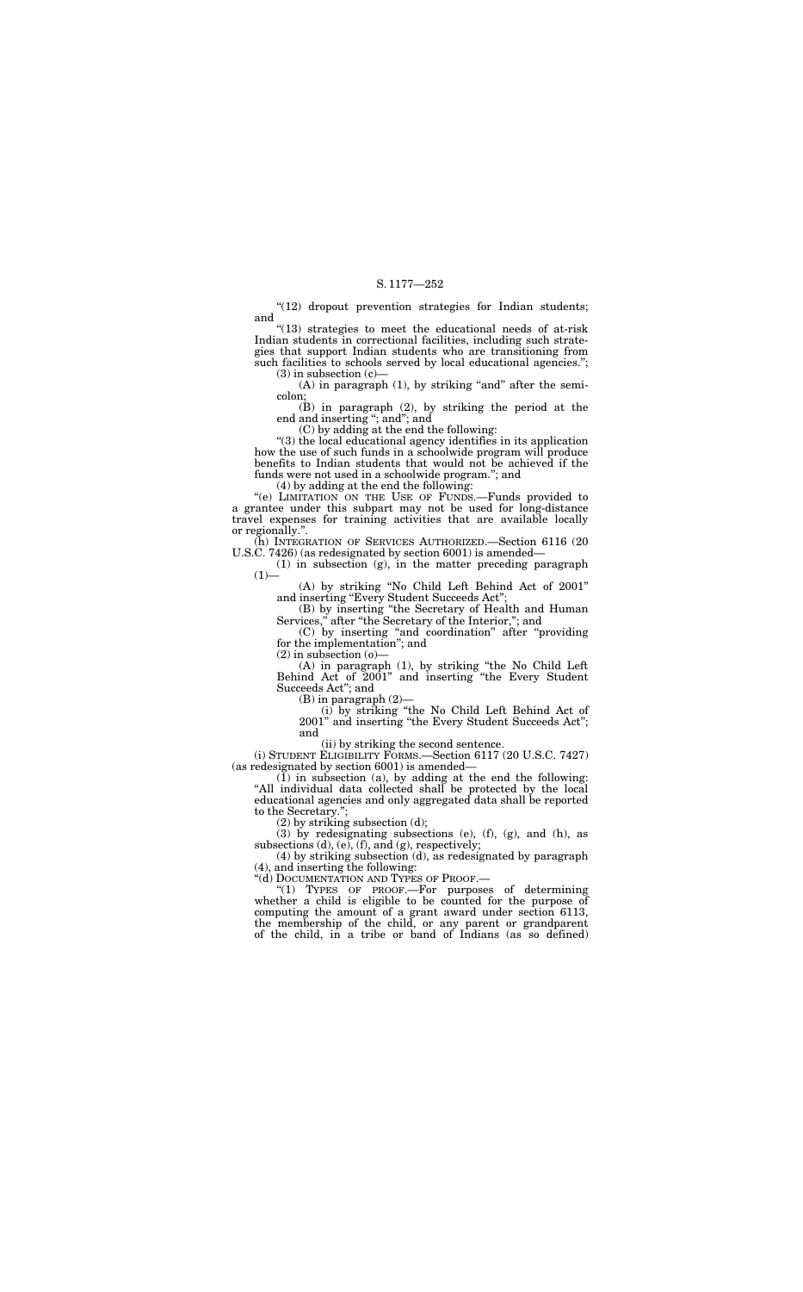"(12) dropout prevention strategies for Indian students; and

"(13) strategies to meet the educational needs of at-risk Indian students in correctional facilities, including such strategies that support Indian students who are transitioning from such facilities to schools served by local educational agencies.";

 $(A)$  in paragraph  $(1)$ , by striking "and" after the semicolon;

(3) in subsection (c)—

(B) in paragraph (2), by striking the period at the end and inserting ''; and''; and

(C) by adding at the end the following:

(1) in subsection (g), in the matter preceding paragraph  $(1)$ 

(B) by inserting ''the Secretary of Health and Human Services," after "the Secretary of the Interior,"; and

''(3) the local educational agency identifies in its application how the use of such funds in a schoolwide program will produce benefits to Indian students that would not be achieved if the funds were not used in a schoolwide program.''; and

(4) by adding at the end the following:

"(e) LIMITATION ON THE USE OF FUNDS.-Funds provided to a grantee under this subpart may not be used for long-distance travel expenses for training activities that are available locally or regionally."

(h) INTEGRATION OF SERVICES AUTHORIZED.—Section 6116 (20 U.S.C. 7426) (as redesignated by section 6001) is amended—

(3) by redesignating subsections (e), (f), (g), and (h), as subsections (d), (e), (f), and (g), respectively;

(A) by striking ''No Child Left Behind Act of 2001'' and inserting ''Every Student Succeeds Act'';

"(1) TYPES OF PROOF.—For purposes of determining whether a child is eligible to be counted for the purpose of computing the amount of a grant award under section 6113, the membership of the child, or any parent or grandparent of the child, in a tribe or band of Indians (as so defined)

(C) by inserting ''and coordination'' after ''providing for the implementation''; and

 $(2)$  in subsection  $(0)$ —

(A) in paragraph (1), by striking ''the No Child Left Behind Act of 2001'' and inserting ''the Every Student Succeeds Act''; and

(B) in paragraph (2)—

(i) by striking ''the No Child Left Behind Act of 2001'' and inserting ''the Every Student Succeeds Act''; and

(ii) by striking the second sentence.

(i) STUDENT ELIGIBILITY FORMS.—Section 6117 (20 U.S.C. 7427) (as redesignated by section 6001) is amended—

(1) in subsection (a), by adding at the end the following: ''All individual data collected shall be protected by the local educational agencies and only aggregated data shall be reported to the Secretary.'';

(2) by striking subsection (d);

(4) by striking subsection (d), as redesignated by paragraph

(4), and inserting the following: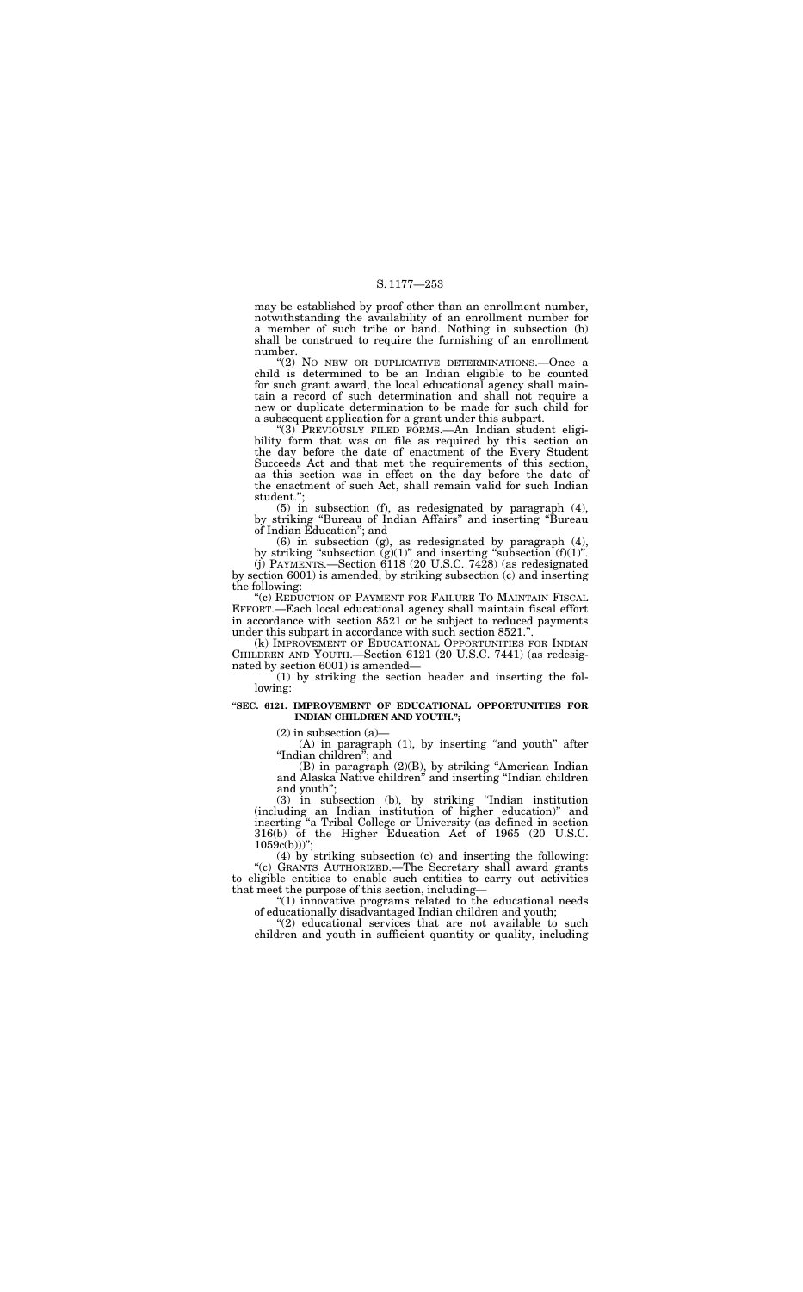may be established by proof other than an enrollment number, notwithstanding the availability of an enrollment number for a member of such tribe or band. Nothing in subsection (b) shall be construed to require the furnishing of an enrollment number.

"(2) NO NEW OR DUPLICATIVE DETERMINATIONS.—Once a child is determined to be an Indian eligible to be counted for such grant award, the local educational agency shall maintain a record of such determination and shall not require a new or duplicate determination to be made for such child for a subsequent application for a grant under this subpart.

(6) in subsection (g), as redesignated by paragraph (4), by striking "subsection  $(g)(1)$ " and inserting "subsection  $(f)(1)$ ".

''(3) PREVIOUSLY FILED FORMS.—An Indian student eligibility form that was on file as required by this section on the day before the date of enactment of the Every Student Succeeds Act and that met the requirements of this section, as this section was in effect on the day before the date of the enactment of such Act, shall remain valid for such Indian student.'';

(A) in paragraph (1), by inserting "and youth" after ''Indian children''; and

(5) in subsection (f), as redesignated by paragraph (4), by striking ''Bureau of Indian Affairs'' and inserting ''Bureau of Indian Education''; and

(3) in subsection (b), by striking ''Indian institution (including an Indian institution of higher education)'' and inserting ''a Tribal College or University (as defined in section 316(b) of the Higher Education Act of 1965 (20 U.S.C.  $1059c(b))$ ";

(j) PAYMENTS.—Section 6118 (20 U.S.C. 7428) (as redesignated by section 6001) is amended, by striking subsection (c) and inserting the following:

"(c) REDUCTION OF PAYMENT FOR FAILURE TO MAINTAIN FISCAL EFFORT.—Each local educational agency shall maintain fiscal effort in accordance with section 8521 or be subject to reduced payments under this subpart in accordance with such section 8521.'

"(2) educational services that are not available to such children and youth in sufficient quantity or quality, including

(k) IMPROVEMENT OF EDUCATIONAL OPPORTUNITIES FOR INDIAN CHILDREN AND YOUTH.—Section 6121 (20 U.S.C. 7441) (as redesignated by section 6001) is amended—

(1) by striking the section header and inserting the following:

#### **''SEC. 6121. IMPROVEMENT OF EDUCATIONAL OPPORTUNITIES FOR INDIAN CHILDREN AND YOUTH.'';**

 $(2)$  in subsection  $(a)$ 

(B) in paragraph (2)(B), by striking ''American Indian and Alaska Native children'' and inserting ''Indian children and youth'';

(4) by striking subsection (c) and inserting the following: ''(c) GRANTS AUTHORIZED.—The Secretary shall award grants to eligible entities to enable such entities to carry out activities that meet the purpose of this section, including—

''(1) innovative programs related to the educational needs of educationally disadvantaged Indian children and youth;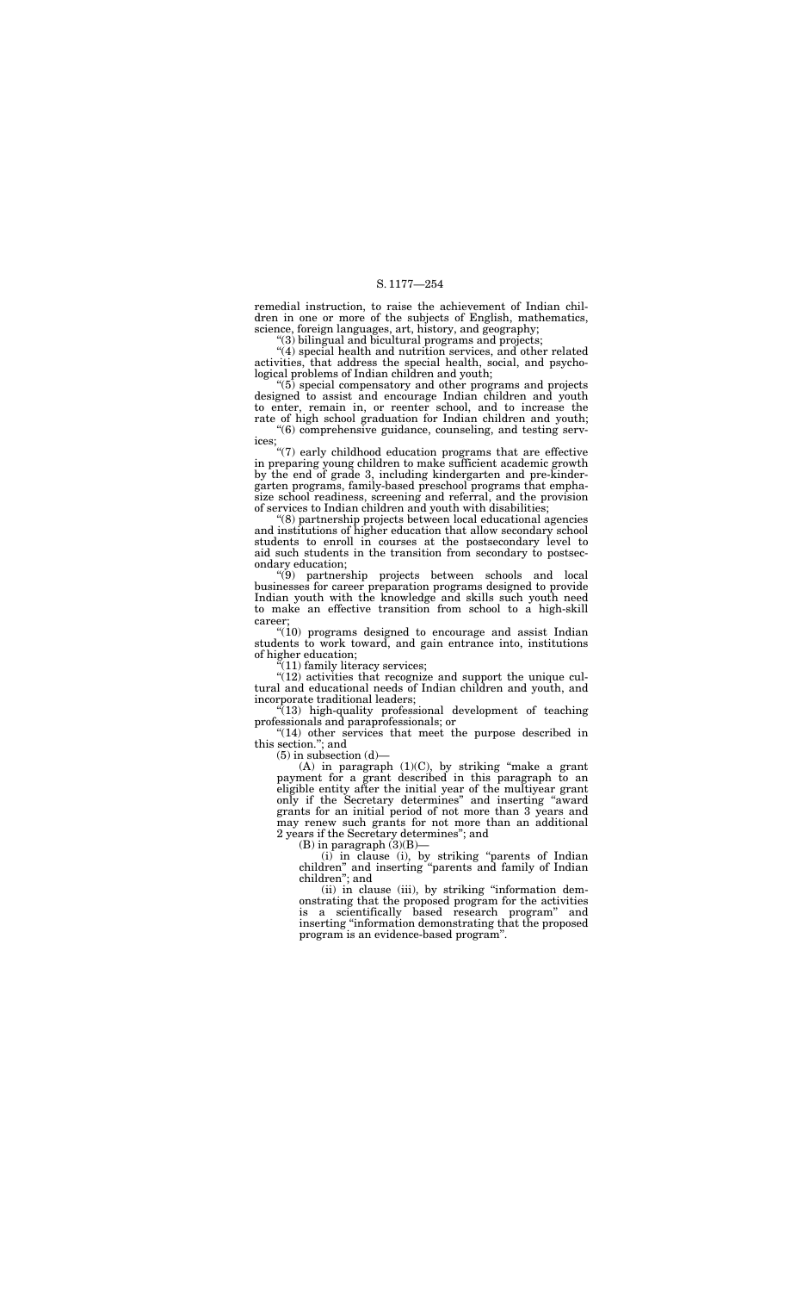remedial instruction, to raise the achievement of Indian children in one or more of the subjects of English, mathematics, science, foreign languages, art, history, and geography;

"(4) special health and nutrition services, and other related activities, that address the special health, social, and psychological problems of Indian children and youth;

''(3) bilingual and bicultural programs and projects;

''(5) special compensatory and other programs and projects designed to assist and encourage Indian children and youth to enter, remain in, or reenter school, and to increase the rate of high school graduation for Indian children and youth;

''(6) comprehensive guidance, counseling, and testing services;

 $"(10)$  programs designed to encourage and assist Indian students to work toward, and gain entrance into, institutions of higher education;

(11) family literacy services;

''(7) early childhood education programs that are effective in preparing young children to make sufficient academic growth by the end of grade 3, including kindergarten and pre-kindergarten programs, family-based preschool programs that emphasize school readiness, screening and referral, and the provision of services to Indian children and youth with disabilities;

 $\sqrt[4]{(12)}$  activities that recognize and support the unique cultural and educational needs of Indian children and youth, and incorporate traditional leaders;

 $\sqrt{13}$  high-quality professional development of teaching professionals and paraprofessionals; or

"(14) other services that meet the purpose described in this section.''; and

 $(5)$  in subsection  $(d)$ —

''(8) partnership projects between local educational agencies and institutions of higher education that allow secondary school students to enroll in courses at the postsecondary level to aid such students in the transition from secondary to postsecondary education;

(A) in paragraph  $(1)(C)$ , by striking "make a grant payment for a grant described in this paragraph to an eligible entity after the initial year of the multiyear grant only if the Secretary determines'' and inserting ''award grants for an initial period of not more than 3 years and may renew such grants for not more than an additional 2 years if the Secretary determines''; and

(B) in paragraph  $(3)(B)$ —

''(9) partnership projects between schools and local businesses for career preparation programs designed to provide Indian youth with the knowledge and skills such youth need to make an effective transition from school to a high-skill career;

> (i) in clause (i), by striking ''parents of Indian children'' and inserting ''parents and family of Indian children''; and

> (ii) in clause (iii), by striking ''information demonstrating that the proposed program for the activities is a scientifically based research program" and inserting ''information demonstrating that the proposed program is an evidence-based program''.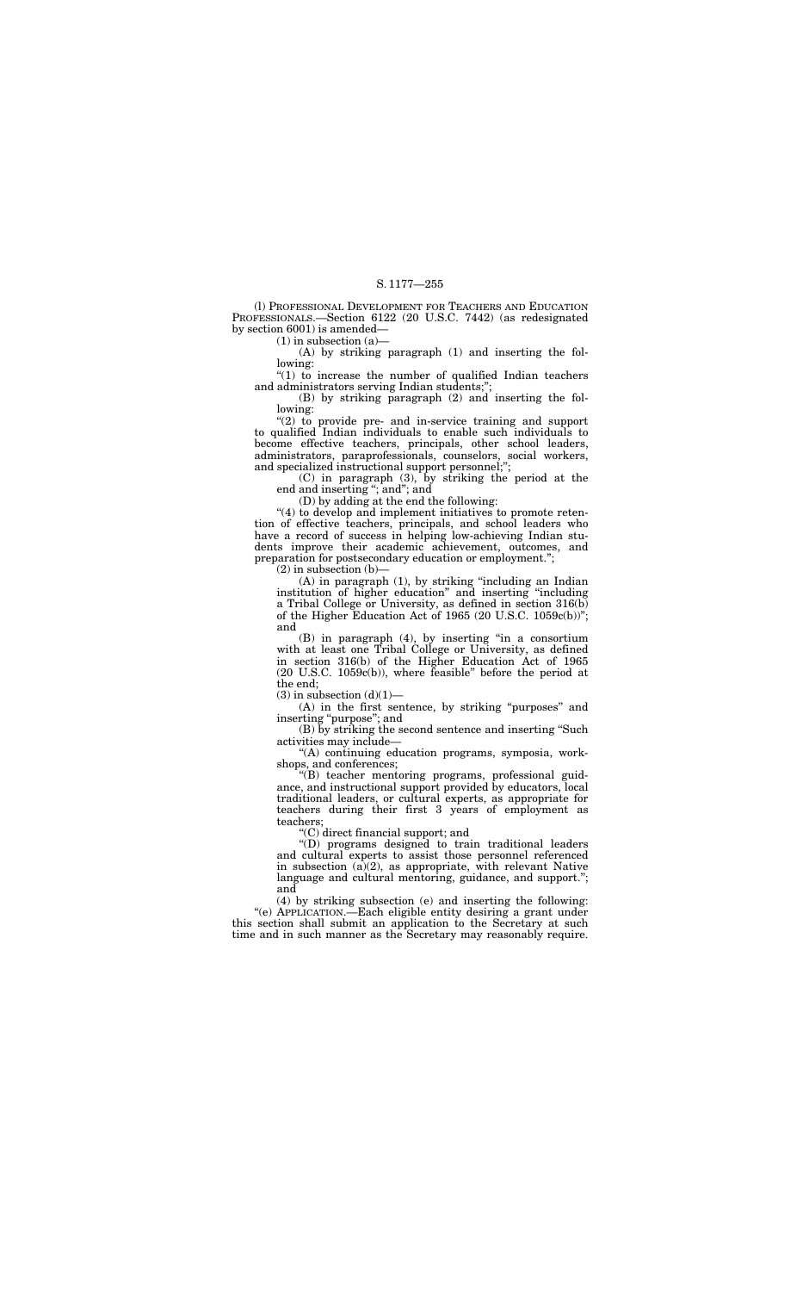(l) PROFESSIONAL DEVELOPMENT FOR TEACHERS AND EDUCATION PROFESSIONALS.—Section 6122 (20 U.S.C. 7442) (as redesignated by section 6001) is amended—

 $(1)$  in subsection  $(a)$ —

"(1) to increase the number of qualified Indian teachers and administrators serving Indian students;'';

(A) by striking paragraph (1) and inserting the following:

" $(2)$  to provide pre- and in-service training and support to qualified Indian individuals to enable such individuals to become effective teachers, principals, other school leaders, administrators, paraprofessionals, counselors, social workers, and specialized instructional support personnel;'';

(B) by striking paragraph (2) and inserting the following:

(A) in paragraph (1), by striking "including an Indian institution of higher education'' and inserting ''including a Tribal College or University, as defined in section 316(b) of the Higher Education Act of 1965 (20 U.S.C. 1059c(b))''; and

(C) in paragraph (3), by striking the period at the end and inserting ''; and''; and

(D) by adding at the end the following:

(A) in the first sentence, by striking ''purposes'' and inserting "purpose"; and

''(4) to develop and implement initiatives to promote retention of effective teachers, principals, and school leaders who have a record of success in helping low-achieving Indian students improve their academic achievement, outcomes, and preparation for postsecondary education or employment.'';

(2) in subsection (b)—

(B) in paragraph (4), by inserting ''in a consortium with at least one Tribal College or University, as defined in section 316(b) of the Higher Education Act of 1965 (20 U.S.C. 1059c(b)), where feasible'' before the period at the end;

 $(3)$  in subsection  $(d)(1)$ —

(B) by striking the second sentence and inserting ''Such activities may include—

''(A) continuing education programs, symposia, workshops, and conferences;

''(B) teacher mentoring programs, professional guidance, and instructional support provided by educators, local traditional leaders, or cultural experts, as appropriate for teachers during their first 3 years of employment as teachers;

''(C) direct financial support; and

''(D) programs designed to train traditional leaders and cultural experts to assist those personnel referenced in subsection  $(a)(2)$ , as appropriate, with relevant Native language and cultural mentoring, guidance, and support."; and

(4) by striking subsection (e) and inserting the following: ''(e) APPLICATION.—Each eligible entity desiring a grant under this section shall submit an application to the Secretary at such time and in such manner as the Secretary may reasonably require.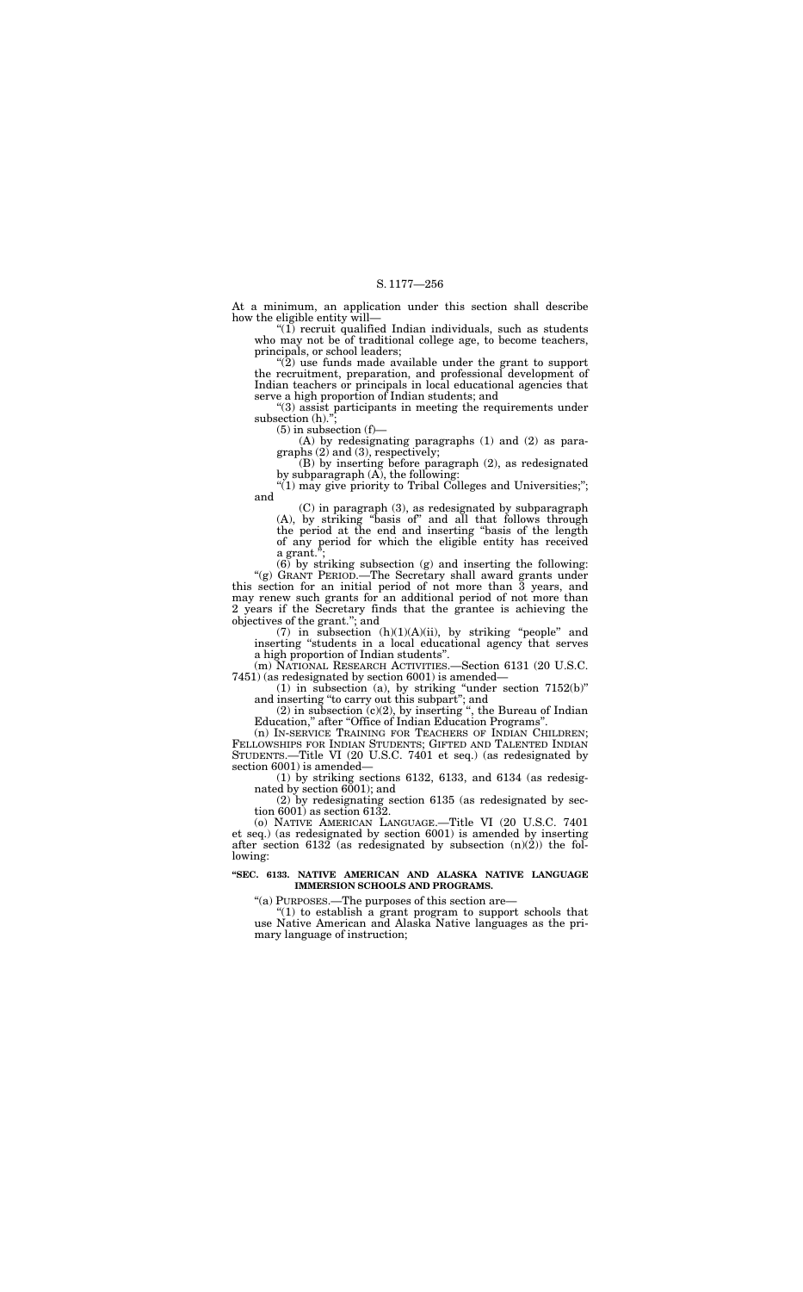At a minimum, an application under this section shall describe how the eligible entity will—

''(1) recruit qualified Indian individuals, such as students who may not be of traditional college age, to become teachers, principals, or school leaders;

 $(2)$  use funds made available under the grant to support the recruitment, preparation, and professional development of Indian teachers or principals in local educational agencies that serve a high proportion of Indian students; and

''(3) assist participants in meeting the requirements under subsection (h).";

 $(5)$  in subsection  $(f)$ –

"(1) may give priority to Tribal Colleges and Universities;"; and

(A) by redesignating paragraphs (1) and (2) as paragraphs (2) and (3), respectively;

 $(6)$  by striking subsection  $(g)$  and inserting the following: "(g) GRANT PERIOD.—The Secretary shall award grants under this section for an initial period of not more than 3 years, and may renew such grants for an additional period of not more than 2 years if the Secretary finds that the grantee is achieving the objectives of the grant.''; and

(B) by inserting before paragraph (2), as redesignated by subparagraph (A), the following:

(7) in subsection  $(h)(1)(A)(ii)$ , by striking "people" and inserting ''students in a local educational agency that serves a high proportion of Indian students''.

(1) in subsection (a), by striking "under section  $7152(b)$ " and inserting ''to carry out this subpart''; and

 $(2)$  in subsection  $(c)(2)$ , by inserting ", the Bureau of Indian Education," after "Office of Indian Education Programs".

(C) in paragraph (3), as redesignated by subparagraph (A), by striking ''basis of'' and all that follows through the period at the end and inserting ''basis of the length of any period for which the eligible entity has received a grant.'';

" $(1)$  to establish a grant program to support schools that use Native American and Alaska Native languages as the primary language of instruction;

(m) NATIONAL RESEARCH ACTIVITIES.—Section 6131 (20 U.S.C. 7451) (as redesignated by section 6001) is amended—

(n) IN-SERVICE TRAINING FOR TEACHERS OF INDIAN CHILDREN; FELLOWSHIPS FOR INDIAN STUDENTS; GIFTED AND TALENTED INDIAN STUDENTS.—Title VI (20 U.S.C. 7401 et seq.) (as redesignated by section 6001) is amended—

(1) by striking sections 6132, 6133, and 6134 (as redesignated by section 6001); and

(2) by redesignating section 6135 (as redesignated by section 6001) as section 6132.

(o) NATIVE AMERICAN LANGUAGE.—Title VI (20 U.S.C. 7401 et seq.) (as redesignated by section 6001) is amended by inserting after section  $6132$  (as redesignated by subsection  $(n)(2)$ ) the following:

#### **''SEC. 6133. NATIVE AMERICAN AND ALASKA NATIVE LANGUAGE IMMERSION SCHOOLS AND PROGRAMS.**

''(a) PURPOSES.—The purposes of this section are—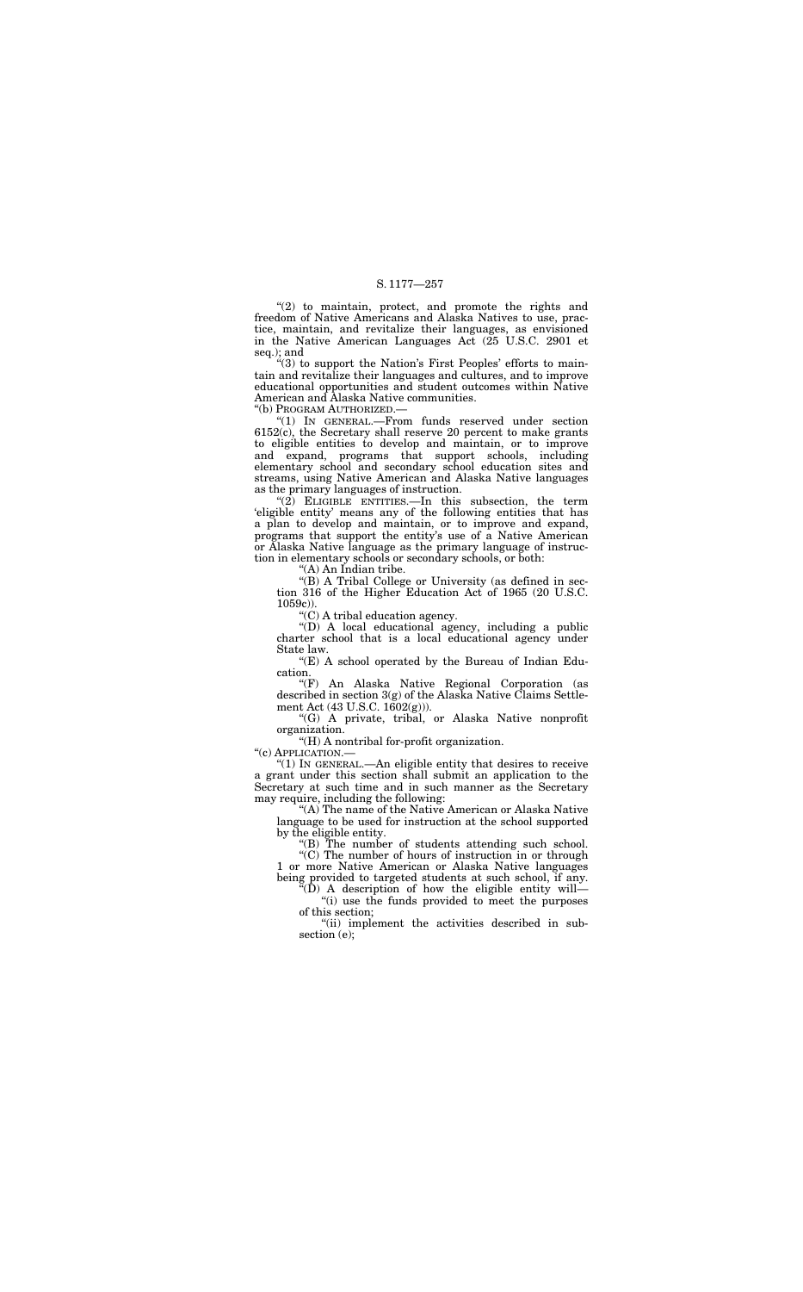"(2) to maintain, protect, and promote the rights and freedom of Native Americans and Alaska Natives to use, practice, maintain, and revitalize their languages, as envisioned in the Native American Languages Act (25 U.S.C. 2901 et seq.); and

 $\cdot$ (3) to support the Nation's First Peoples' efforts to maintain and revitalize their languages and cultures, and to improve educational opportunities and student outcomes within Native American and Alaska Native communities.

''(b) PROGRAM AUTHORIZED.—

" $(2)$  ELIGIBLE ENTITIES.—In this subsection, the term 'eligible entity' means any of the following entities that has a plan to develop and maintain, or to improve and expand, programs that support the entity's use of a Native American or Alaska Native language as the primary language of instruction in elementary schools or secondary schools, or both:

"(B) A Tribal College or University (as defined in section 316 of the Higher Education Act of 1965 (20 U.S.C. 1059c)).

''(1) IN GENERAL.—From funds reserved under section 6152(c), the Secretary shall reserve 20 percent to make grants to eligible entities to develop and maintain, or to improve and expand, programs that support schools, including elementary school and secondary school education sites and streams, using Native American and Alaska Native languages as the primary languages of instruction.

"(D) A local educational agency, including a public charter school that is a local educational agency under State law.

" $(E)$  A school operated by the Bureau of Indian Education.

" $(1)$  In GENERAL.—An eligible entity that desires to receive a grant under this section shall submit an application to the Secretary at such time and in such manner as the Secretary may require, including the following:

"(A) The name of the Native American or Alaska Native language to be used for instruction at the school supported by the eligible entity.

"(C) The number of hours of instruction in or through 1 or more Native American or Alaska Native languages

being provided to targeted students at such school, if any.  $\rm^4(D)$  A description of how the eligible entity will—

''(A) An Indian tribe.

(i) use the funds provided to meet the purposes of this section;

"(ii) implement the activities described in subsection (e);

''(C) A tribal education agency.

''(F) An Alaska Native Regional Corporation (as described in section 3(g) of the Alaska Native Claims Settlement Act (43 U.S.C. 1602(g))).

''(G) A private, tribal, or Alaska Native nonprofit organization.

''(H) A nontribal for-profit organization.

"(c) APPLICATION.

''(B) The number of students attending such school.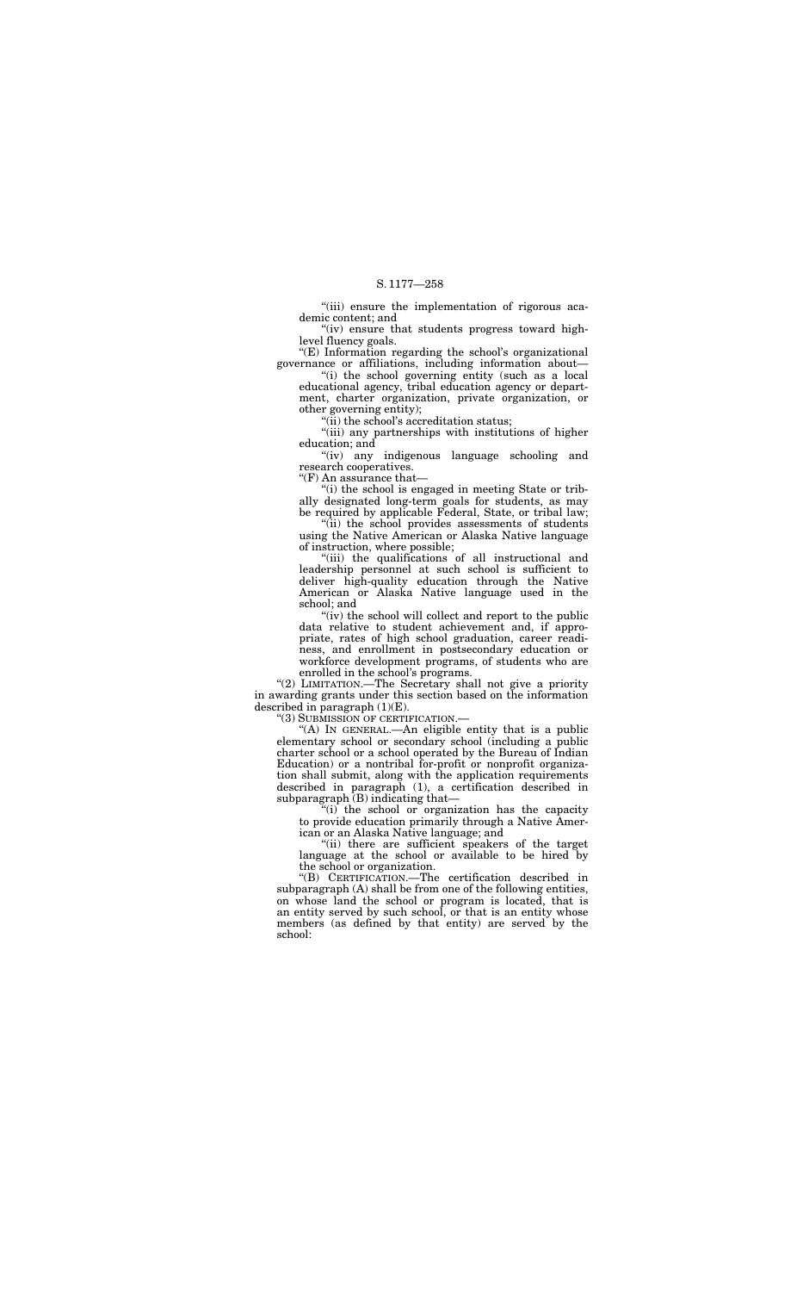"(iii) ensure the implementation of rigorous academic content; and

"(iv) ensure that students progress toward highlevel fluency goals.

''(E) Information regarding the school's organizational governance or affiliations, including information about—

"(iv) any indigenous language schooling and research cooperatives.

" $(F)$  An assurance that-

''(i) the school governing entity (such as a local educational agency, tribal education agency or department, charter organization, private organization, or other governing entity);

 $f(i)$  the school is engaged in meeting State or tribally designated long-term goals for students, as may be required by applicable Federal, State, or tribal law;

''(ii) the school's accreditation status;

"(ii) the school provides assessments of students using the Native American or Alaska Native language of instruction, where possible;

''(iii) any partnerships with institutions of higher education; and

"(iv) the school will collect and report to the public data relative to student achievement and, if appropriate, rates of high school graduation, career readiness, and enrollment in postsecondary education or workforce development programs, of students who are enrolled in the school's programs.

"(2) LIMITATION.—The Secretary shall not give a priority in awarding grants under this section based on the information described in paragraph  $(1)(E)$ .

"(A) IN GENERAL.—An eligible entity that is a public elementary school or secondary school (including a public charter school or a school operated by the Bureau of Indian Education) or a nontribal for-profit or nonprofit organization shall submit, along with the application requirements described in paragraph (1), a certification described in subparagraph (B) indicating that—

''(iii) the qualifications of all instructional and leadership personnel at such school is sufficient to deliver high-quality education through the Native American or Alaska Native language used in the school; and

"(ii) there are sufficient speakers of the target language at the school or available to be hired by the school or organization.

''(3) SUBMISSION OF CERTIFICATION.—

''(i) the school or organization has the capacity to provide education primarily through a Native American or an Alaska Native language; and

''(B) CERTIFICATION.—The certification described in subparagraph (A) shall be from one of the following entities, on whose land the school or program is located, that is an entity served by such school, or that is an entity whose members (as defined by that entity) are served by the school: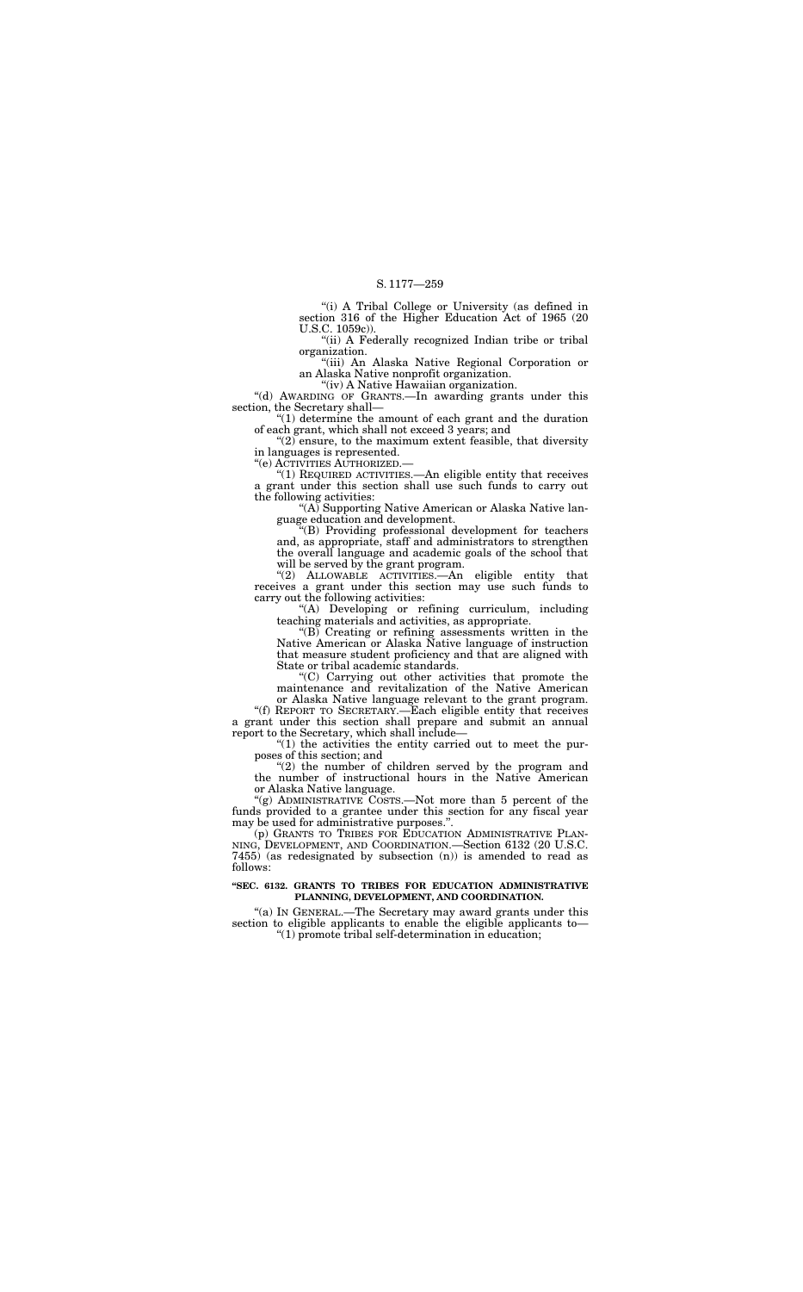"(i) A Tribal College or University (as defined in section 316 of the Higher Education Act of 1965 (20 U.S.C. 1059c)).

"(ii) A Federally recognized Indian tribe or tribal organization.

"(d) AWARDING OF GRANTS.—In awarding grants under this section, the Secretary shall—

''(iii) An Alaska Native Regional Corporation or an Alaska Native nonprofit organization.

"(iv) A Native Hawaiian organization.

"(1) determine the amount of each grant and the duration of each grant, which shall not exceed 3 years; and

 $(2)$  ensure, to the maximum extent feasible, that diversity in languages is represented.

"(1) REQUIRED ACTIVITIES.—An eligible entity that receives a grant under this section shall use such funds to carry out the following activities:

"(A) Supporting Native American or Alaska Native language education and development.

''(B) Providing professional development for teachers and, as appropriate, staff and administrators to strengthen the overall language and academic goals of the school that will be served by the grant program.

"(2) ALLOWABLE ACTIVITIES.—An eligible entity that receives a grant under this section may use such funds to carry out the following activities:

" $(B)$  Creating or refining assessments written in the Native American or Alaska Native language of instruction that measure student proficiency and that are aligned with State or tribal academic standards.

" $(1)$  the activities the entity carried out to meet the purposes of this section; and

"(2) the number of children served by the program and the number of instructional hours in the Native American or Alaska Native language.

''(g) ADMINISTRATIVE COSTS.—Not more than 5 percent of the funds provided to a grantee under this section for any fiscal year may be used for administrative purposes.".<br>
(p) GRANTS TO TRIBES FOR EDUCATION ADMINISTRATIVE PLAN-

NING, DEVELOPMENT, AND COORDINATION.—Section 6132 (20 U.S.C. 7455) (as redesignated by subsection (n)) is amended to read as follows:

''(A) Developing or refining curriculum, including teaching materials and activities, as appropriate.

''(C) Carrying out other activities that promote the maintenance and revitalization of the Native American

or Alaska Native language relevant to the grant program. ''(f) REPORT TO SECRETARY.—Each eligible entity that receives a grant under this section shall prepare and submit an annual report to the Secretary, which shall include—

#### **''SEC. 6132. GRANTS TO TRIBES FOR EDUCATION ADMINISTRATIVE PLANNING, DEVELOPMENT, AND COORDINATION.**

''(a) IN GENERAL.—The Secretary may award grants under this section to eligible applicants to enable the eligible applicants to— ''(1) promote tribal self-determination in education;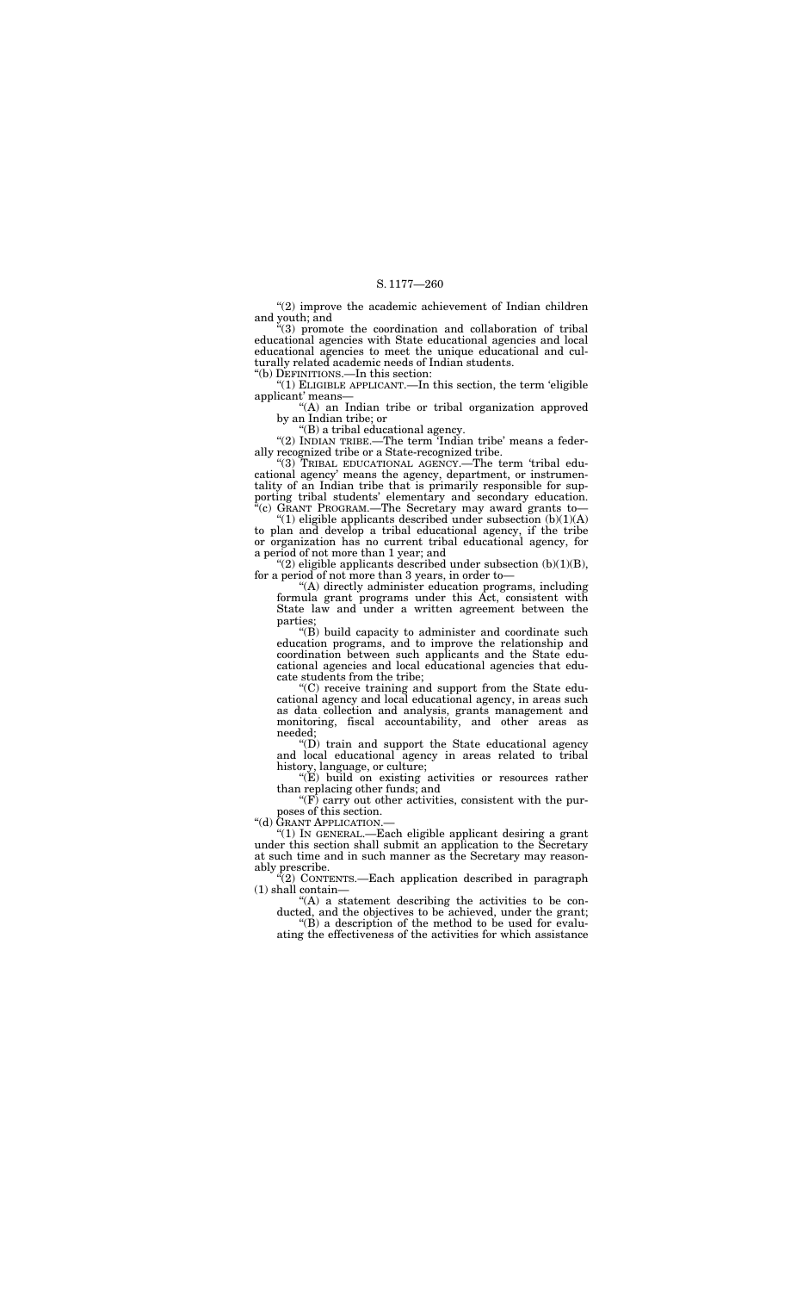$''(2)$  improve the academic achievement of Indian children and youth; and

''(3) promote the coordination and collaboration of tribal educational agencies with State educational agencies and local educational agencies to meet the unique educational and culturally related academic needs of Indian students.

"(A) an Indian tribe or tribal organization approved by an Indian tribe; or

"(2) INDIAN TRIBE.—The term 'Indian tribe' means a federally recognized tribe or a State-recognized tribe.

''(b) DEFINITIONS.—In this section:

''(1) ELIGIBLE APPLICANT.—In this section, the term 'eligible applicant' means—

"(3) TRIBAL EDUCATIONAL AGENCY.—The term 'tribal educational agency' means the agency, department, or instrumentality of an Indian tribe that is primarily responsible for supporting tribal students' elementary and secondary education. ''(c) GRANT PROGRAM.—The Secretary may award grants to—

''(B) a tribal educational agency.

"(1) eligible applicants described under subsection  $(b)(1)(A)$ to plan and develop a tribal educational agency, if the tribe or organization has no current tribal educational agency, for a period of not more than 1 year; and

" $(2)$  eligible applicants described under subsection  $(b)(1)(B)$ , for a period of not more than 3 years, in order to—

" $(D)$  train and support the State educational agency and local educational agency in areas related to tribal history, language, or culture;

"(E) build on existing activities or resources rather than replacing other funds; and

 $\mathcal{F}(\mathbf{F})$  carry out other activities, consistent with the purposes of this section.

" $(A)$  a statement describing the activities to be conducted, and the objectives to be achieved, under the grant;

''(A) directly administer education programs, including formula grant programs under this Act, consistent with State law and under a written agreement between the parties;

''(B) build capacity to administer and coordinate such education programs, and to improve the relationship and coordination between such applicants and the State educational agencies and local educational agencies that educate students from the tribe;

''(C) receive training and support from the State educational agency and local educational agency, in areas such as data collection and analysis, grants management and monitoring, fiscal accountability, and other areas as needed;

''(d) GRANT APPLICATION.—

''(1) IN GENERAL.—Each eligible applicant desiring a grant under this section shall submit an application to the Secretary at such time and in such manner as the Secretary may reasonably prescribe.

''(2) CONTENTS.—Each application described in paragraph (1) shall contain—

''(B) a description of the method to be used for evaluating the effectiveness of the activities for which assistance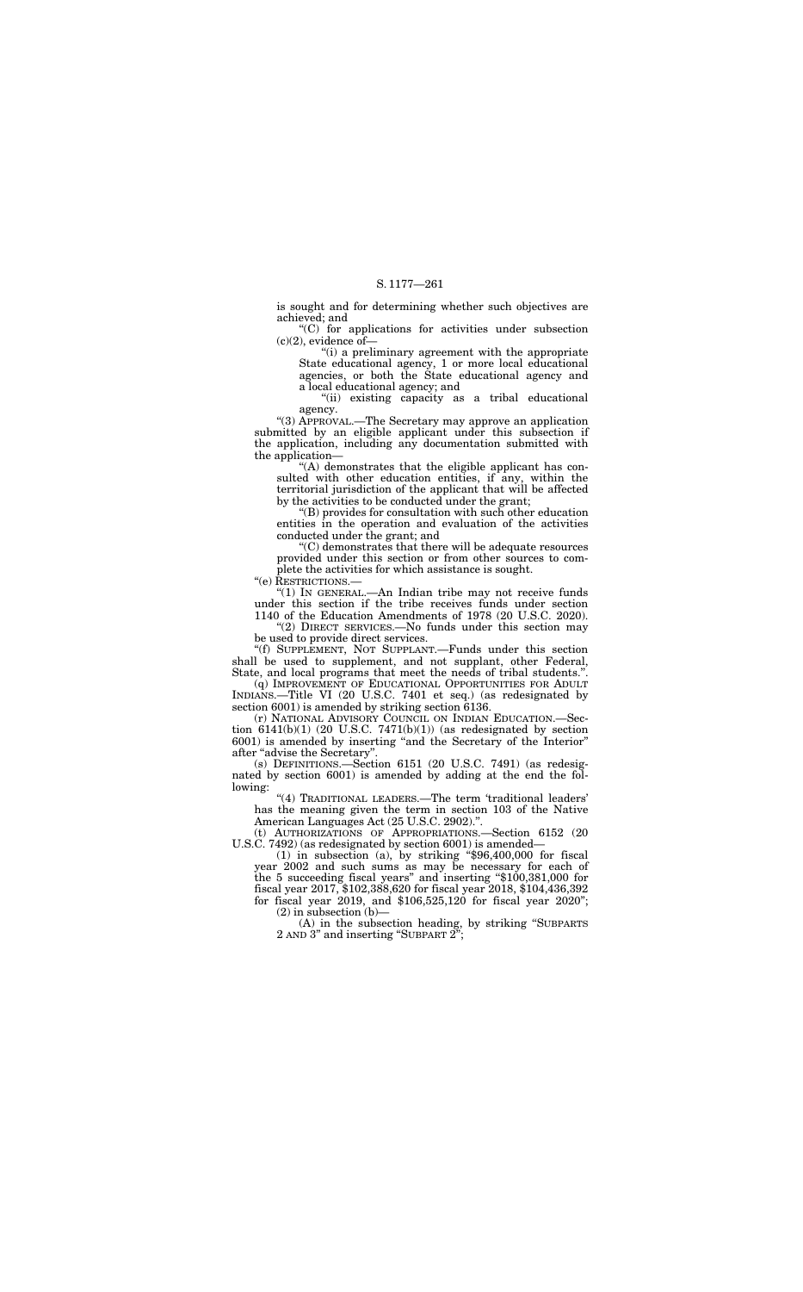''(C) for applications for activities under subsection  $(c)(2)$ , evidence of-

is sought and for determining whether such objectives are achieved; and

''(i) a preliminary agreement with the appropriate State educational agency, 1 or more local educational agencies, or both the State educational agency and a local educational agency; and

"(3) APPROVAL.—The Secretary may approve an application submitted by an eligible applicant under this subsection if the application, including any documentation submitted with the application—

''(ii) existing capacity as a tribal educational agency.

 $(A)$  demonstrates that the eligible applicant has consulted with other education entities, if any, within the territorial jurisdiction of the applicant that will be affected by the activities to be conducted under the grant;

"(1) In GENERAL.—An Indian tribe may not receive funds under this section if the tribe receives funds under section 1140 of the Education Amendments of 1978 (20 U.S.C. 2020).

(r) NATIONAL ADVISORY COUNCIL ON INDIAN EDUCATION.—Section  $6141(b)(1)$  (20 U.S.C. 7471(b)(1)) (as redesignated by section 6001) is amended by inserting ''and the Secretary of the Interior'' after "advise the Secretary".

''(B) provides for consultation with such other education entities in the operation and evaluation of the activities conducted under the grant; and

''(C) demonstrates that there will be adequate resources provided under this section or from other sources to complete the activities for which assistance is sought.

"(e) RESTRICTIONS.-

(A) in the subsection heading, by striking ''SUBPARTS 2 AND 3" and inserting "SUBPART 2";

''(2) DIRECT SERVICES.—No funds under this section may be used to provide direct services.

''(f) SUPPLEMENT, NOT SUPPLANT.—Funds under this section shall be used to supplement, and not supplant, other Federal, State, and local programs that meet the needs of tribal students.''.

(q) IMPROVEMENT OF EDUCATIONAL OPPORTUNITIES FOR ADULT INDIANS.—Title VI (20 U.S.C. 7401 et seq.) (as redesignated by section 6001) is amended by striking section 6136.

(s) DEFINITIONS.—Section 6151 (20 U.S.C. 7491) (as redesignated by section 6001) is amended by adding at the end the following:

''(4) TRADITIONAL LEADERS.—The term 'traditional leaders' has the meaning given the term in section 103 of the Native American Languages Act (25 U.S.C. 2902).''.

(t) AUTHORIZATIONS OF APPROPRIATIONS.—Section 6152 (20 U.S.C. 7492) (as redesignated by section 6001) is amended—

 $(1)$  in subsection  $(a)$ , by striking "\$96,400,000 for fiscal year 2002 and such sums as may be necessary for each of the 5 succeeding fiscal years'' and inserting ''\$100,381,000 for fiscal year 2017, \$102,388,620 for fiscal year 2018, \$104,436,392 for fiscal year  $2019$ , and  $$106,525,120$  for fiscal year  $2020$ ";

(2) in subsection (b)—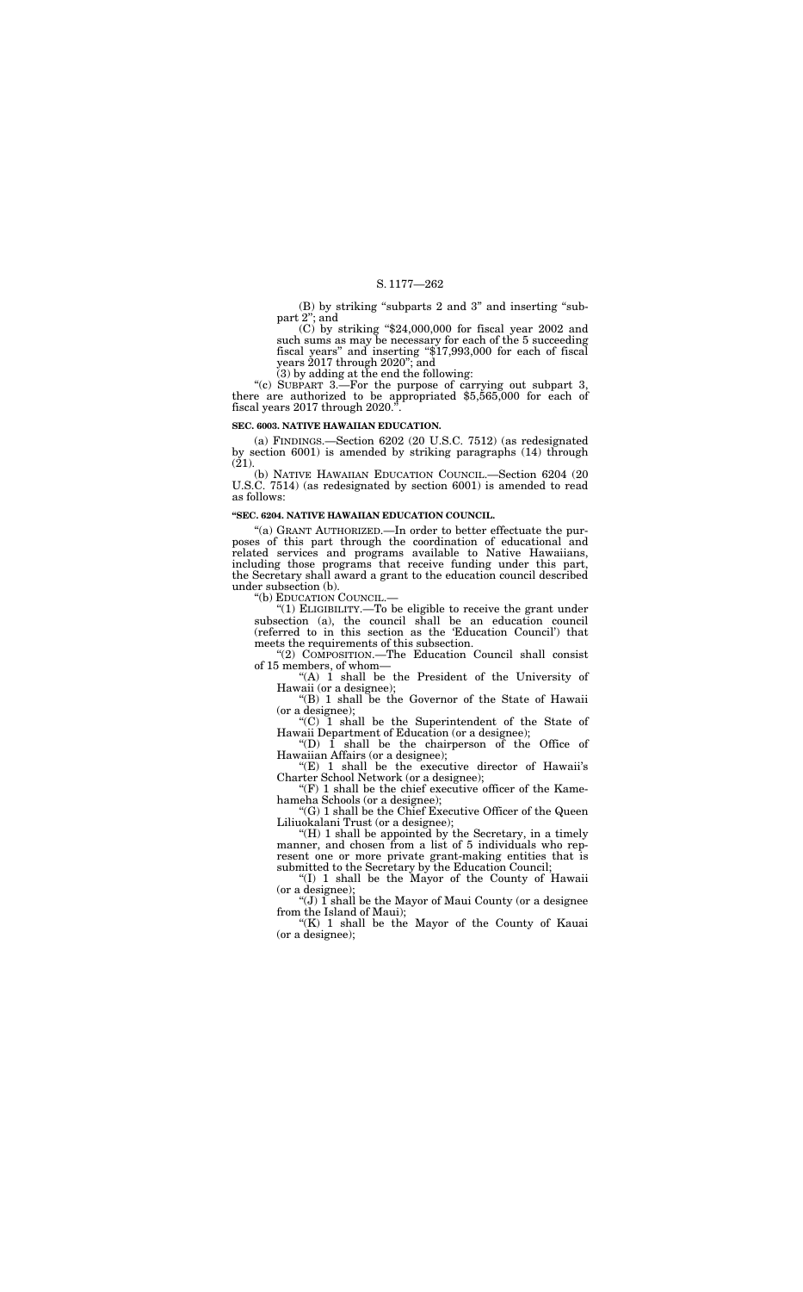(B) by striking "subparts 2 and 3" and inserting "sub-<br>part  $2$ "; and

part  $2$ "; and<br>(C) by striking "\$24,000,000 for fiscal year 2002 and such sums as may be necessary for each of the 5 succeeding fiscal years'' and inserting ''\$17,993,000 for each of fiscal years 2017 through 2020''; and

''(c) SUBPART 3.—For the purpose of carrying out subpart 3, there are authorized to be appropriated \$5,565,000 for each of fiscal years 2017 through 2020.'

(3) by adding at the end the following:

#### **SEC. 6003. NATIVE HAWAIIAN EDUCATION.**

(a) FINDINGS.—Section 6202 (20 U.S.C. 7512) (as redesignated by section 6001) is amended by striking paragraphs (14) through (21).

(b) NATIVE HAWAIIAN EDUCATION COUNCIL.—Section 6204 (20 U.S.C. 7514) (as redesignated by section 6001) is amended to read as follows:

"(2) COMPOSITION.—The Education Council shall consist of 15 members, of whom—

"(A)  $\dot{1}$  shall be the President of the University of Hawaii (or a designee);

#### **''SEC. 6204. NATIVE HAWAIIAN EDUCATION COUNCIL.**

" $(D)$   $\hat{1}$  shall be the chairperson of the Office of Hawaiian Affairs (or a designee);

" $(E)$  1 shall be the executive director of Hawaii's Charter School Network (or a designee);

''(a) GRANT AUTHORIZED.—In order to better effectuate the purposes of this part through the coordination of educational and related services and programs available to Native Hawaiians, including those programs that receive funding under this part, the Secretary shall award a grant to the education council described under subsection (b).

> "(F) 1 shall be the chief executive officer of the Kamehameha Schools (or a designee);

"(H) 1 shall be appointed by the Secretary, in a timely manner, and chosen from a list of 5 individuals who represent one or more private grant-making entities that is submitted to the Secretary by the Education Council;

''(b) EDUCATION COUNCIL.—

"(J)  $1$  shall be the Mayor of Maui County (or a designee from the Island of Maui);

"(K) 1 shall be the Mayor of the County of Kauai (or a designee);

''(1) ELIGIBILITY.—To be eligible to receive the grant under subsection (a), the council shall be an education council (referred to in this section as the 'Education Council') that meets the requirements of this subsection.

''(B) 1 shall be the Governor of the State of Hawaii (or a designee);

''(C) 1 shall be the Superintendent of the State of Hawaii Department of Education (or a designee);

''(G) 1 shall be the Chief Executive Officer of the Queen Liliuokalani Trust (or a designee);

''(I) 1 shall be the Mayor of the County of Hawaii (or a designee);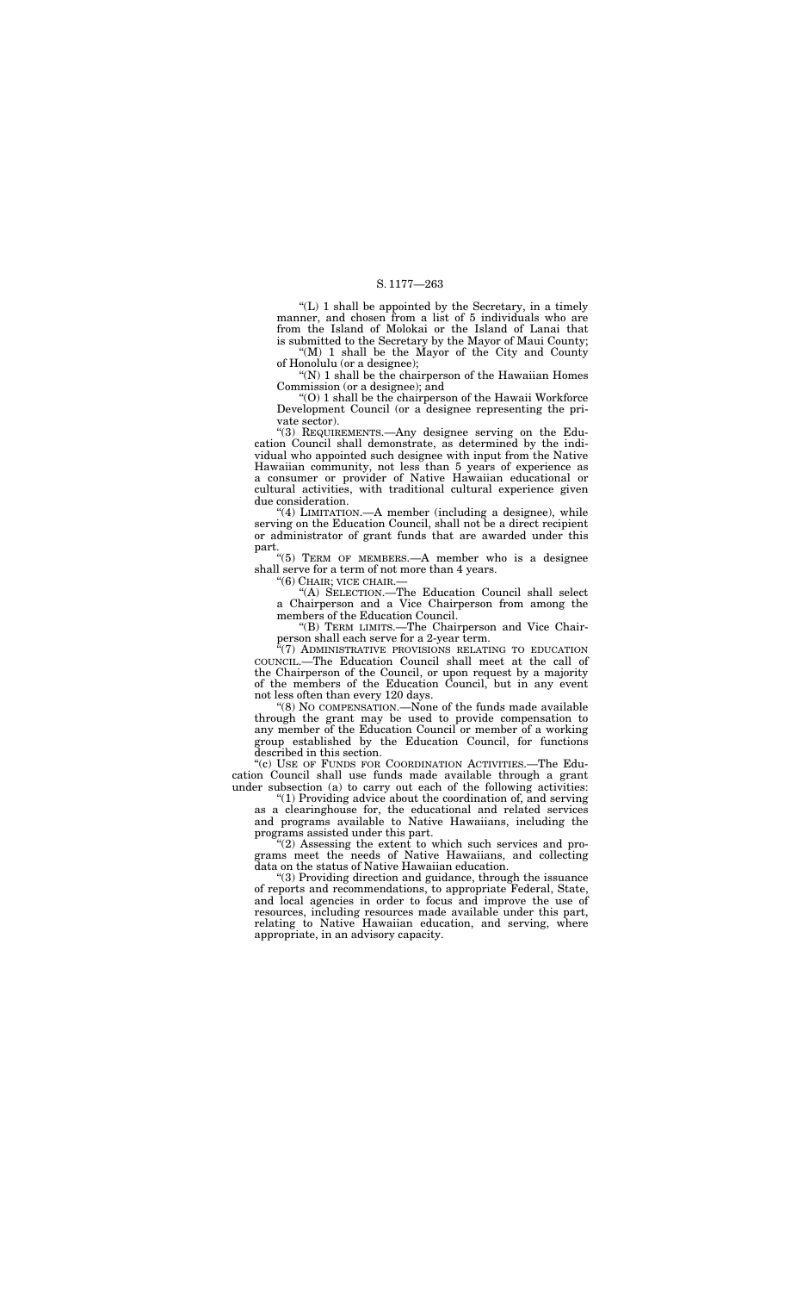" $(L)$  1 shall be appointed by the Secretary, in a timely manner, and chosen from a list of 5 individuals who are from the Island of Molokai or the Island of Lanai that is submitted to the Secretary by the Mayor of Maui County;

"(M) 1 shall be the Mayor of the City and County of Honolulu (or a designee);

"(N) 1 shall be the chairperson of the Hawaiian Homes Commission (or a designee); and

''(O) 1 shall be the chairperson of the Hawaii Workforce Development Council (or a designee representing the private sector).

"(4) LIMITATION.—A member (including a designee), while serving on the Education Council, shall not be a direct recipient or administrator of grant funds that are awarded under this part.

"(5) TERM OF MEMBERS.—A member who is a designee shall serve for a term of not more than 4 years.

''(3) REQUIREMENTS.—Any designee serving on the Education Council shall demonstrate, as determined by the individual who appointed such designee with input from the Native Hawaiian community, not less than 5 years of experience as a consumer or provider of Native Hawaiian educational or cultural activities, with traditional cultural experience given due consideration.

 $\cdot$ <sup> $\cdot$ </sup>(7) ADMINISTRATIVE PROVISIONS RELATING TO EDUCATION COUNCIL.—The Education Council shall meet at the call of the Chairperson of the Council, or upon request by a majority of the members of the Education Council, but in any event not less often than every 120 days.

"(c) USE OF FUNDS FOR COORDINATION ACTIVITIES.—The Education Council shall use funds made available through a grant under subsection (a) to carry out each of the following activities:

''(6) CHAIR; VICE CHAIR.—

" $(2)$  Assessing the extent to which such services and programs meet the needs of Native Hawaiians, and collecting data on the status of Native Hawaiian education.

''(A) SELECTION.—The Education Council shall select a Chairperson and a Vice Chairperson from among the members of the Education Council.

''(B) TERM LIMITS.—The Chairperson and Vice Chairperson shall each serve for a 2-year term.

''(8) NO COMPENSATION.—None of the funds made available through the grant may be used to provide compensation to any member of the Education Council or member of a working group established by the Education Council, for functions described in this section.

''(1) Providing advice about the coordination of, and serving as a clearinghouse for, the educational and related services and programs available to Native Hawaiians, including the programs assisted under this part.

''(3) Providing direction and guidance, through the issuance of reports and recommendations, to appropriate Federal, State, and local agencies in order to focus and improve the use of resources, including resources made available under this part, relating to Native Hawaiian education, and serving, where appropriate, in an advisory capacity.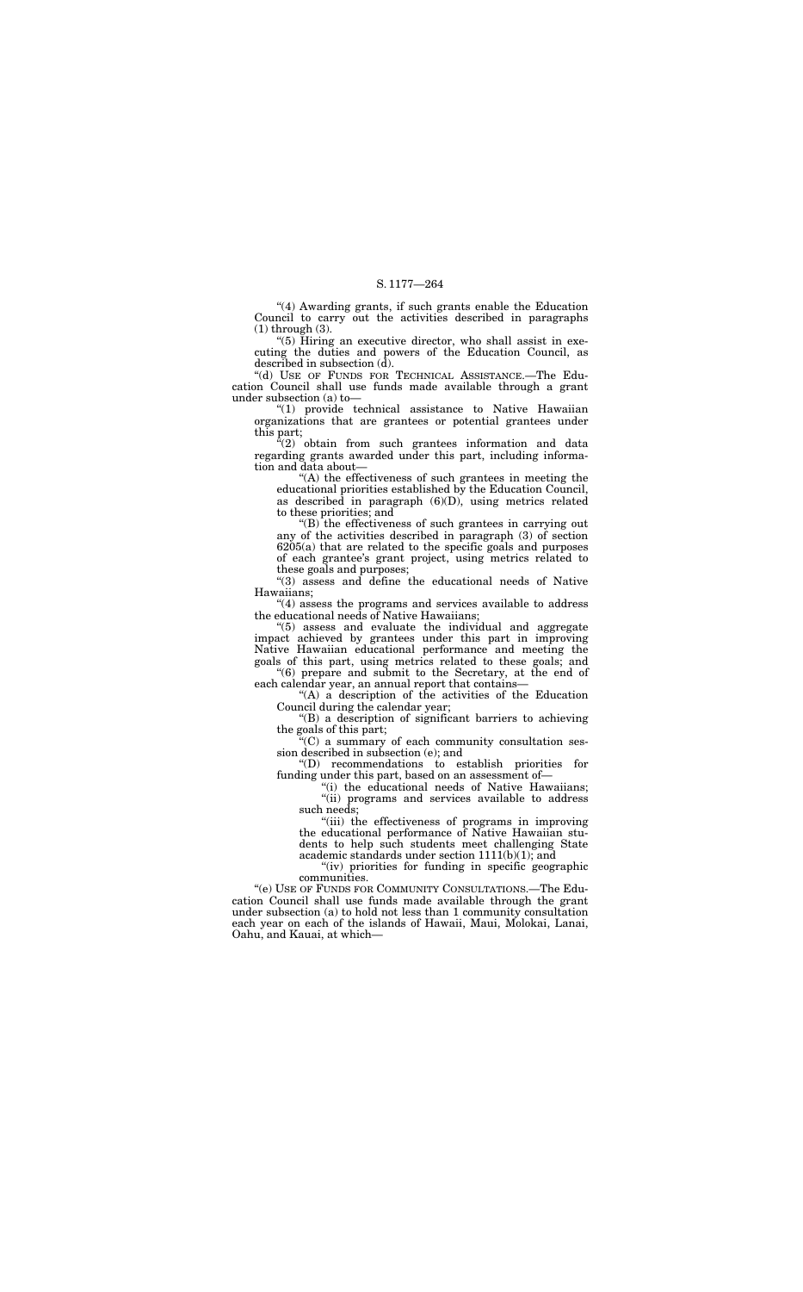''(5) Hiring an executive director, who shall assist in executing the duties and powers of the Education Council, as described in subsection  $(d)$ .

''(4) Awarding grants, if such grants enable the Education Council to carry out the activities described in paragraphs (1) through (3).

"(2) obtain from such grantees information and data regarding grants awarded under this part, including information and data about—

''(d) USE OF FUNDS FOR TECHNICAL ASSISTANCE.—The Education Council shall use funds made available through a grant under subsection (a) to—

''(1) provide technical assistance to Native Hawaiian organizations that are grantees or potential grantees under this part;

"(4) assess the programs and services available to address the educational needs of Native Hawaiians;

''(A) the effectiveness of such grantees in meeting the educational priorities established by the Education Council, as described in paragraph  $(6)(D)$ , using metrics related to these priorities; and

 $\mathcal{H}^{\mathcal{H}}(C)$  a summary of each community consultation session described in subsection (e); and

''(B) the effectiveness of such grantees in carrying out any of the activities described in paragraph (3) of section 6205(a) that are related to the specific goals and purposes of each grantee's grant project, using metrics related to these goals and purposes;

"(iii) the effectiveness of programs in improving the educational performance of Native Hawaiian students to help such students meet challenging State academic standards under section 1111(b)(1); and

''(3) assess and define the educational needs of Native Hawaiians;

> "(iv) priorities for funding in specific geographic communities.

''(5) assess and evaluate the individual and aggregate impact achieved by grantees under this part in improving Native Hawaiian educational performance and meeting the goals of this part, using metrics related to these goals; and

''(6) prepare and submit to the Secretary, at the end of each calendar year, an annual report that contains—

''(A) a description of the activities of the Education Council during the calendar year;

''(B) a description of significant barriers to achieving the goals of this part;

''(D) recommendations to establish priorities for funding under this part, based on an assessment of—

''(i) the educational needs of Native Hawaiians; ''(ii) programs and services available to address such needs;

''(e) USE OF FUNDS FOR COMMUNITY CONSULTATIONS.—The Education Council shall use funds made available through the grant under subsection (a) to hold not less than 1 community consultation each year on each of the islands of Hawaii, Maui, Molokai, Lanai, Oahu, and Kauai, at which—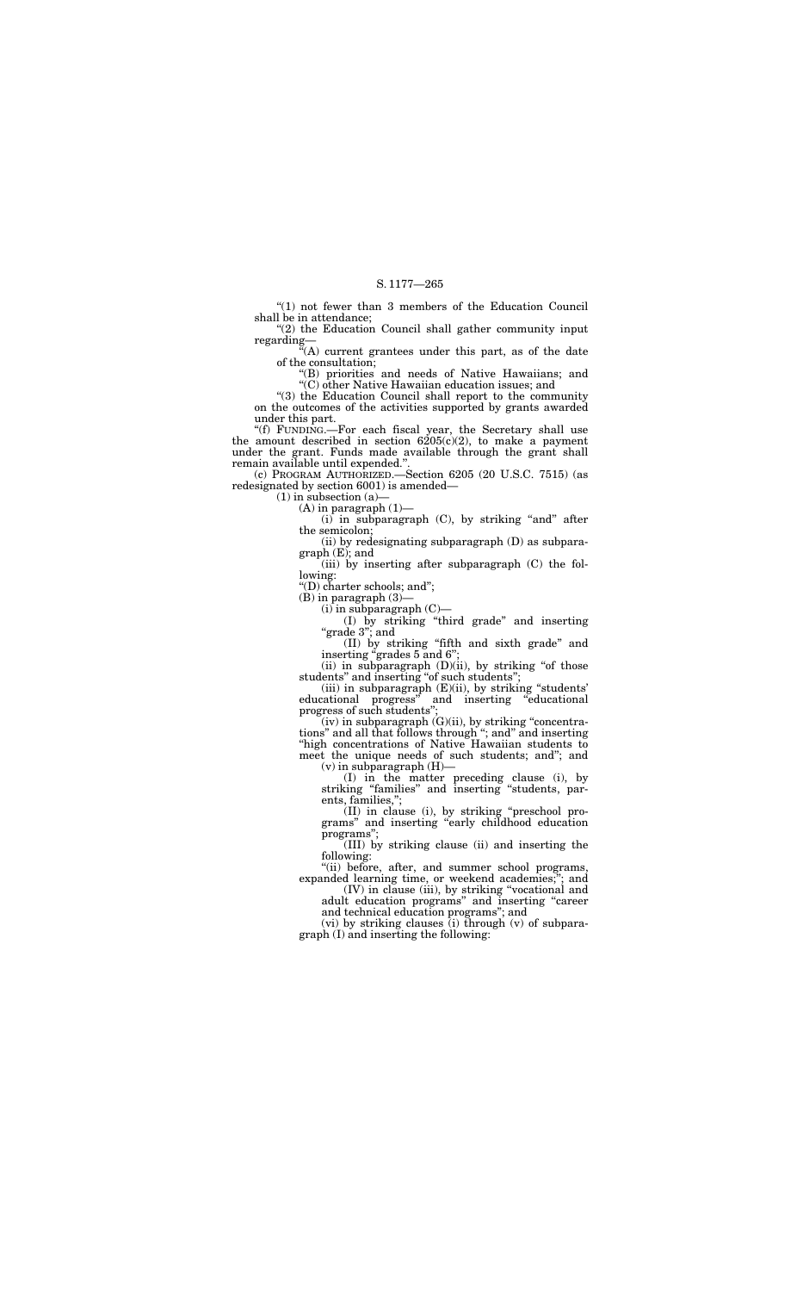''(1) not fewer than 3 members of the Education Council shall be in attendance;

"(2) the Education Council shall gather community input regarding—

 ${}^{\alpha}$ (A) current grantees under this part, as of the date of the consultation;

''(f) FUNDING.—For each fiscal year, the Secretary shall use the amount described in section  $6205(c)(2)$ , to make a payment under the grant. Funds made available through the grant shall remain available until expended.

''(B) priorities and needs of Native Hawaiians; and

''(C) other Native Hawaiian education issues; and

''(3) the Education Council shall report to the community on the outcomes of the activities supported by grants awarded under this part.

> $(i)$  in subparagraph  $(C)$ , by striking "and" after the semicolon;

> (ii) by redesignating subparagraph (D) as subpara $graph(E)$ ; and

> $(iii)$  by inserting after subparagraph  $(C)$  the following:

(II) by striking ''fifth and sixth grade'' and inserting "grades 5 and 6";

(ii) in subparagraph  $(D)(ii)$ , by striking "of those students'' and inserting ''of such students'';

 $(iii)$  in subparagraph  $(E)(ii)$ , by striking "students' educational progress'' and inserting ''educational progress of such students"

(c) PROGRAM AUTHORIZED.—Section 6205 (20 U.S.C. 7515) (as redesignated by section 6001) is amended—

 $(1)$  in subsection  $(a)$ 

(A) in paragraph (1)—

 $(iv)$  in subparagraph  $(G)(ii)$ , by striking "concentrations'' and all that follows through ''; and'' and inserting ''high concentrations of Native Hawaiian students to meet the unique needs of such students; and''; and

 $(v)$  in subparagraph  $(H)$ —

''(D) charter schools; and'';

 $(B)$  in paragraph  $(3)$ –

(i) in subparagraph (C)—

(I) by striking ''third grade'' and inserting ''grade 3''; and

(I) in the matter preceding clause (i), by striking "families" and inserting "students, parents, families,'';

(II) in clause (i), by striking ''preschool programs'' and inserting ''early childhood education programs'';

(III) by striking clause (ii) and inserting the following:

"(ii) before, after, and summer school programs, expanded learning time, or weekend academies;"; and

(IV) in clause (iii), by striking ''vocational and adult education programs'' and inserting ''career

and technical education programs''; and (vi) by striking clauses (i) through (v) of subpara-

graph (I) and inserting the following: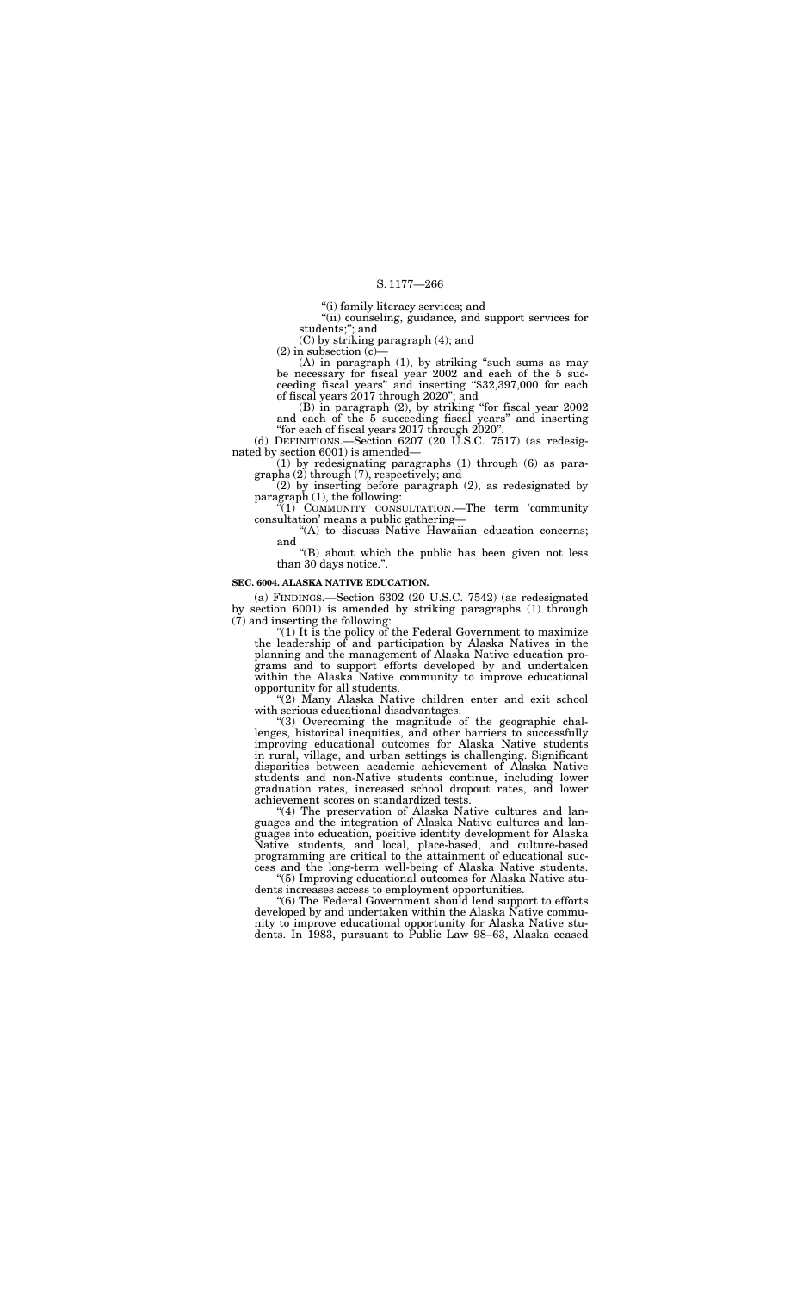''(i) family literacy services; and

"(ii) counseling, guidance, and support services for students;''; and

(C) by striking paragraph (4); and

(2) in subsection (c)—

(A) in paragraph (1), by striking ''such sums as may be necessary for fiscal year 2002 and each of the 5 succeeding fiscal years'' and inserting ''\$32,397,000 for each of fiscal years 2017 through 2020''; and

(B) in paragraph (2), by striking ''for fiscal year 2002 and each of the 5 succeeding fiscal years'' and inserting ''for each of fiscal years 2017 through 2020''.

(a) FINDINGS.—Section 6302 (20 U.S.C. 7542) (as redesignated by section 6001) is amended by striking paragraphs (1) through  $(7)$  and inserting the following:

(d) DEFINITIONS.—Section 6207 (20 U.S.C. 7517) (as redesignated by section 6001) is amended—

(1) by redesignating paragraphs (1) through (6) as paragraphs (2) through (7), respectively; and

(2) by inserting before paragraph (2), as redesignated by paragraph (1), the following:

"(1) It is the policy of the Federal Government to maximize the leadership of and participation by Alaska Natives in the planning and the management of Alaska Native education programs and to support efforts developed by and undertaken within the Alaska Native community to improve educational opportunity for all students.

"(2) Many Alaska Native children enter and exit school with serious educational disadvantages.

''(1) COMMUNITY CONSULTATION.—The term 'community consultation' means a public gathering—

''(A) to discuss Native Hawaiian education concerns; and

''(B) about which the public has been given not less than 30 days notice.''.

#### **SEC. 6004. ALASKA NATIVE EDUCATION.**

"(4) The preservation of Alaska Native cultures and languages and the integration of Alaska Native cultures and languages into education, positive identity development for Alaska Native students, and local, place-based, and culture-based programming are critical to the attainment of educational success and the long-term well-being of Alaska Native students.

''(3) Overcoming the magnitude of the geographic challenges, historical inequities, and other barriers to successfully improving educational outcomes for Alaska Native students in rural, village, and urban settings is challenging. Significant disparities between academic achievement of Alaska Native students and non-Native students continue, including lower graduation rates, increased school dropout rates, and lower achievement scores on standardized tests.

''(5) Improving educational outcomes for Alaska Native students increases access to employment opportunities.

''(6) The Federal Government should lend support to efforts developed by and undertaken within the Alaska Native community to improve educational opportunity for Alaska Native students. In 1983, pursuant to Public Law 98–63, Alaska ceased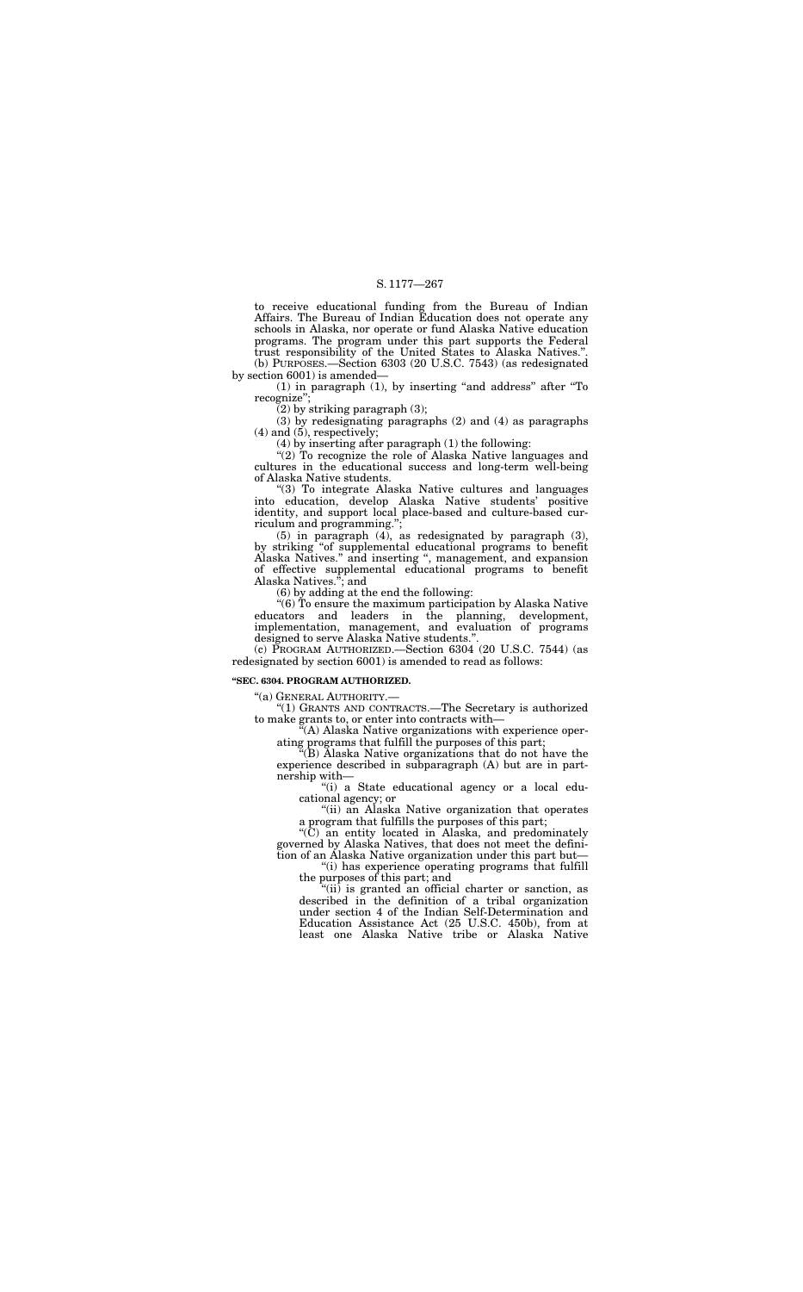to receive educational funding from the Bureau of Indian Affairs. The Bureau of Indian Education does not operate any schools in Alaska, nor operate or fund Alaska Native education programs. The program under this part supports the Federal trust responsibility of the United States to Alaska Natives.''. (b) PURPOSES.—Section 6303 (20 U.S.C. 7543) (as redesignated

 $(1)$  in paragraph  $(1)$ , by inserting "and address" after "To recognize'';

(3) by redesignating paragraphs (2) and (4) as paragraphs  $(4)$  and  $(5)$ , respectively;

by section 6001) is amended—

"(2) To recognize the role of Alaska Native languages and cultures in the educational success and long-term well-being of Alaska Native students.

(2) by striking paragraph (3);

(4) by inserting after paragraph (1) the following:

''(6) To ensure the maximum participation by Alaska Native educators and leaders in the planning, development, implementation, management, and evaluation of programs designed to serve Alaska Native students."

''(3) To integrate Alaska Native cultures and languages into education, develop Alaska Native students' positive identity, and support local place-based and culture-based curriculum and programming.'';

"(A) Alaska Native organizations with experience operating programs that fulfill the purposes of this part;

(5) in paragraph (4), as redesignated by paragraph (3), by striking ''of supplemental educational programs to benefit Alaska Natives.'' and inserting '', management, and expansion of effective supplemental educational programs to benefit Alaska Natives.''; and

(6) by adding at the end the following:

(c) PROGRAM AUTHORIZED.—Section 6304 (20 U.S.C. 7544) (as redesignated by section 6001) is amended to read as follows:

#### **''SEC. 6304. PROGRAM AUTHORIZED.**

''(a) GENERAL AUTHORITY.—

''(1) GRANTS AND CONTRACTS.—The Secretary is authorized to make grants to, or enter into contracts with—

''(B) Alaska Native organizations that do not have the experience described in subparagraph (A) but are in partnership with—

''(i) a State educational agency or a local educational agency; or

''(ii) an Alaska Native organization that operates a program that fulfills the purposes of this part;

''(C) an entity located in Alaska, and predominately governed by Alaska Natives, that does not meet the definition of an Alaska Native organization under this part but—

''(i) has experience operating programs that fulfill the purposes of this part; and

''(ii) is granted an official charter or sanction, as described in the definition of a tribal organization under section 4 of the Indian Self-Determination and Education Assistance Act (25 U.S.C. 450b), from at least one Alaska Native tribe or Alaska Native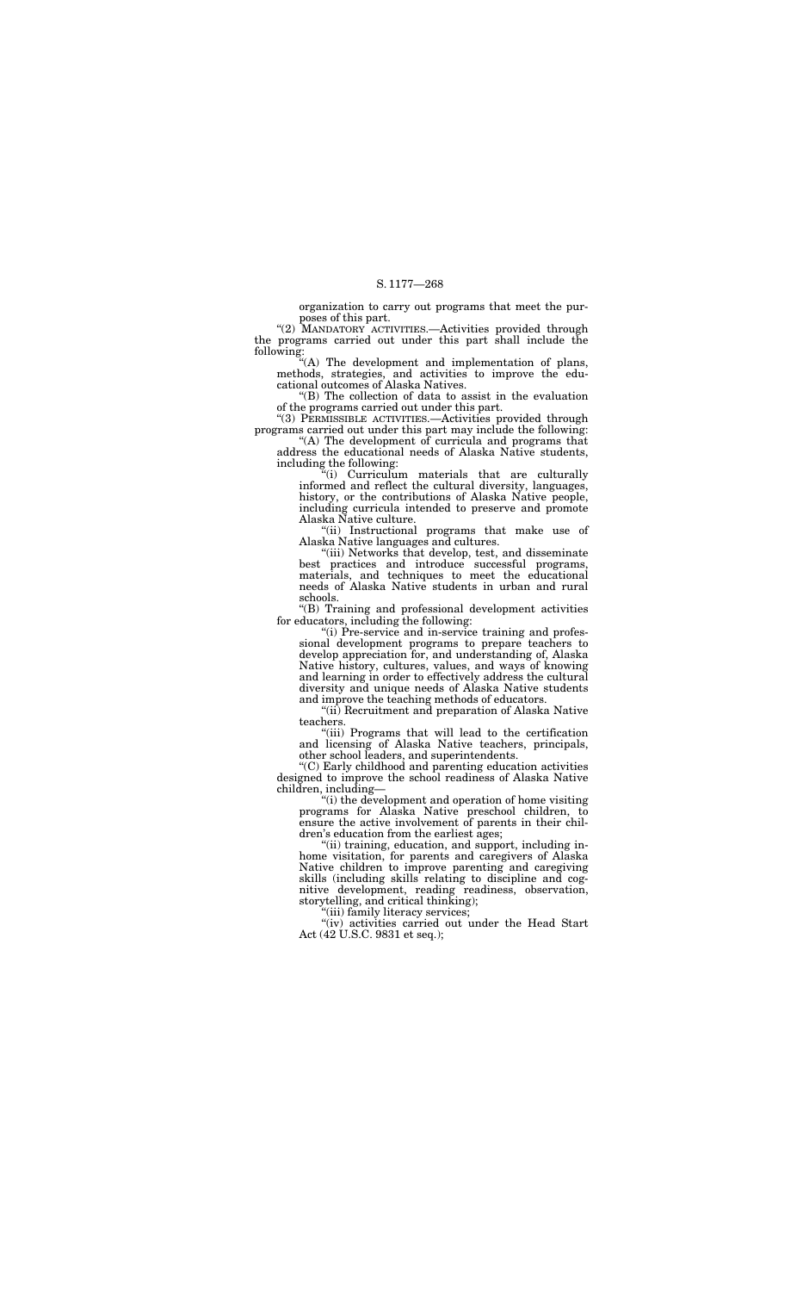organization to carry out programs that meet the purposes of this part.

"(2) MANDATORY ACTIVITIES.—Activities provided through the programs carried out under this part shall include the following:

''(A) The development and implementation of plans, methods, strategies, and activities to improve the edumethods, strategies, and activities to improve the educational outcomes of Alaska Natives.

"(3) PERMISSIBLE ACTIVITIES.—Activities provided through programs carried out under this part may include the following:

''(B) The collection of data to assist in the evaluation of the programs carried out under this part.

''(A) The development of curricula and programs that address the educational needs of Alaska Native students, including the following:

''(i) Curriculum materials that are culturally informed and reflect the cultural diversity, languages, history, or the contributions of Alaska Native people, including curricula intended to preserve and promote Alaska Native culture.

"(i) Pre-service and in-service training and professional development programs to prepare teachers to develop appreciation for, and understanding of, Alaska Native history, cultures, values, and ways of knowing and learning in order to effectively address the cultural diversity and unique needs of Alaska Native students and improve the teaching methods of educators.

"(ii) Recruitment and preparation of Alaska Native teachers.

(iii) Programs that will lead to the certification and licensing of Alaska Native teachers, principals, other school leaders, and superintendents.

''(ii) Instructional programs that make use of Alaska Native languages and cultures.

''(iii) Networks that develop, test, and disseminate best practices and introduce successful programs, materials, and techniques to meet the educational needs of Alaska Native students in urban and rural schools.

"(ii) training, education, and support, including inhome visitation, for parents and caregivers of Alaska Native children to improve parenting and caregiving skills (including skills relating to discipline and cognitive development, reading readiness, observation, storytelling, and critical thinking);

''(B) Training and professional development activities for educators, including the following:

"(iv) activities carried out under the Head Start Act (42 U.S.C. 9831 et seq.);

''(C) Early childhood and parenting education activities designed to improve the school readiness of Alaska Native children, including—

''(i) the development and operation of home visiting programs for Alaska Native preschool children, to ensure the active involvement of parents in their children's education from the earliest ages;

''(iii) family literacy services;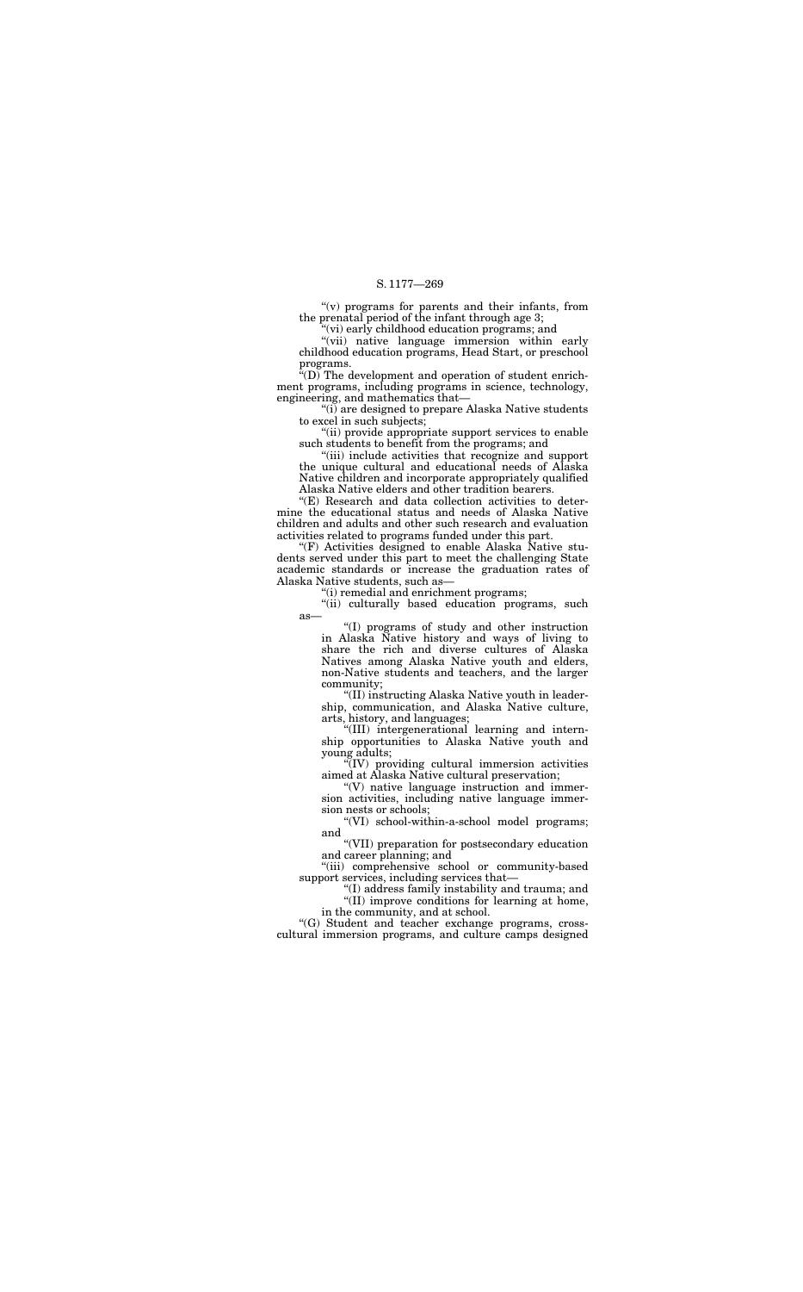" $(v)$  programs for parents and their infants, from the prenatal period of the infant through age 3;

''(vi) early childhood education programs; and

''(vii) native language immersion within early childhood education programs, Head Start, or preschool programs.

''(D) The development and operation of student enrichment programs, including programs in science, technology, engineering, and mathematics that—

"(iii) include activities that recognize and support the unique cultural and educational needs of Alaska Native children and incorporate appropriately qualified Alaska Native elders and other tradition bearers.

''(i) are designed to prepare Alaska Native students to excel in such subjects;

''(ii) provide appropriate support services to enable such students to benefit from the programs; and

''(E) Research and data collection activities to determine the educational status and needs of Alaska Native children and adults and other such research and evaluation activities related to programs funded under this part.

> $\mathcal{H}(V)$  native language instruction and immersion activities, including native language immersion nests or schools;

''(F) Activities designed to enable Alaska Native students served under this part to meet the challenging State academic standards or increase the graduation rates of Alaska Native students, such as—

''(i) remedial and enrichment programs;

''(ii) culturally based education programs, such as—

''(I) programs of study and other instruction in Alaska Native history and ways of living to share the rich and diverse cultures of Alaska Natives among Alaska Native youth and elders, non-Native students and teachers, and the larger community;

''(II) instructing Alaska Native youth in leadership, communication, and Alaska Native culture, arts, history, and languages;

''(III) intergenerational learning and internship opportunities to Alaska Native youth and young adults;

''(IV) providing cultural immersion activities aimed at Alaska Native cultural preservation;

''(VI) school-within-a-school model programs; and

''(VII) preparation for postsecondary education and career planning; and

''(iii) comprehensive school or community-based support services, including services that—

''(I) address family instability and trauma; and ''(II) improve conditions for learning at home, in the community, and at school.

''(G) Student and teacher exchange programs, crosscultural immersion programs, and culture camps designed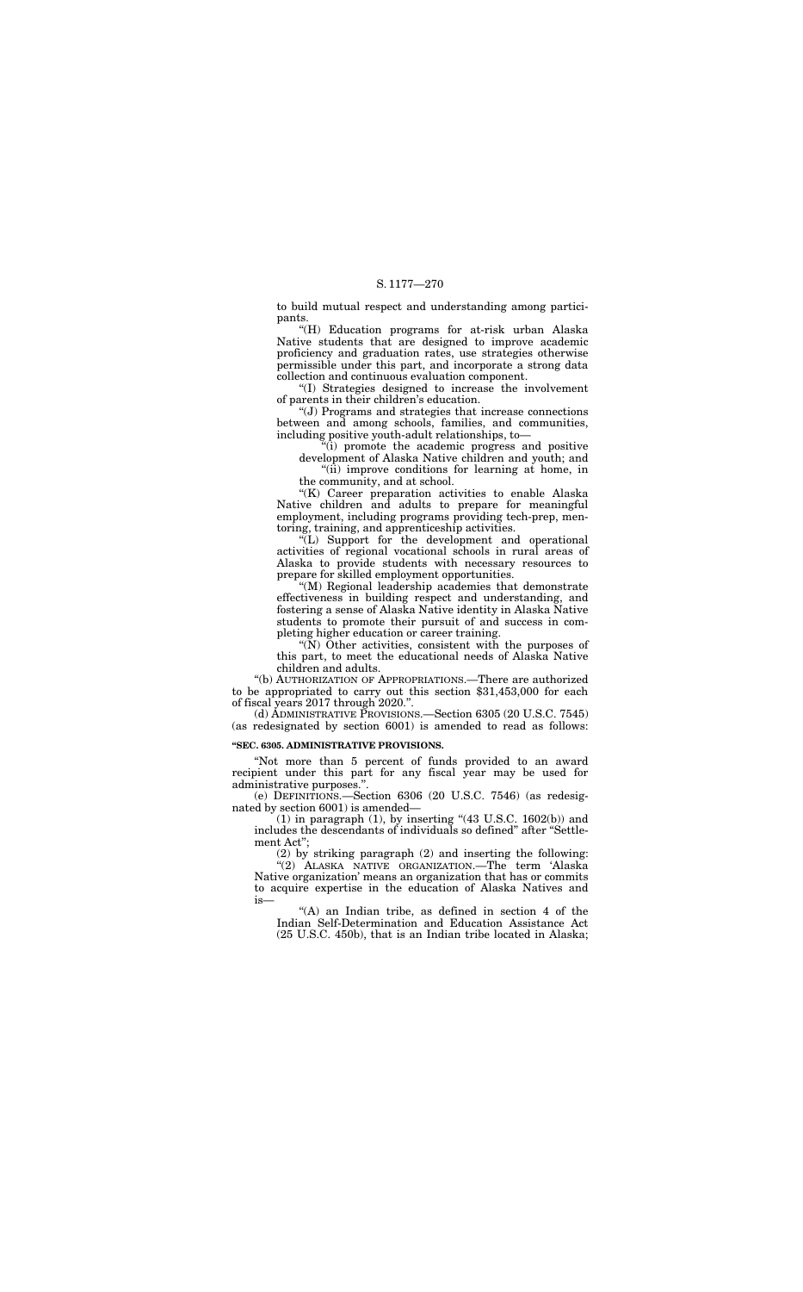to build mutual respect and understanding among participants.

"(H) Education programs for at-risk urban Alaska Native students that are designed to improve academic proficiency and graduation rates, use strategies otherwise permissible under this part, and incorporate a strong data collection and continuous evaluation component.

''(I) Strategies designed to increase the involvement of parents in their children's education.

''(J) Programs and strategies that increase connections between and among schools, families, and communities, including positive youth-adult relationships, to—

''(i) promote the academic progress and positive development of Alaska Native children and youth; and

''(ii) improve conditions for learning at home, in the community, and at school.

''(K) Career preparation activities to enable Alaska Native children and adults to prepare for meaningful employment, including programs providing tech-prep, mentoring, training, and apprenticeship activities.

''(L) Support for the development and operational activities of regional vocational schools in rural areas of Alaska to provide students with necessary resources to prepare for skilled employment opportunities.

(1) in paragraph  $(1)$ , by inserting " $(43 \text{ U.S.C. } 1602(b))$  and includes the descendants of individuals so defined'' after ''Settlement Act'';

''(M) Regional leadership academies that demonstrate effectiveness in building respect and understanding, and fostering a sense of Alaska Native identity in Alaska Native students to promote their pursuit of and success in completing higher education or career training.

"(A) an Indian tribe, as defined in section  $4$  of the Indian Self-Determination and Education Assistance Act (25 U.S.C. 450b), that is an Indian tribe located in Alaska;

''(N) Other activities, consistent with the purposes of this part, to meet the educational needs of Alaska Native children and adults.

''(b) AUTHORIZATION OF APPROPRIATIONS.—There are authorized to be appropriated to carry out this section \$31,453,000 for each of fiscal years 2017 through 2020.''.

(d) ADMINISTRATIVE PROVISIONS.—Section 6305 (20 U.S.C. 7545) (as redesignated by section 6001) is amended to read as follows:

#### **''SEC. 6305. ADMINISTRATIVE PROVISIONS.**

''Not more than 5 percent of funds provided to an award recipient under this part for any fiscal year may be used for administrative purposes.''.

(e) DEFINITIONS.—Section 6306 (20 U.S.C. 7546) (as redesignated by section 6001) is amended—

(2) by striking paragraph (2) and inserting the following: ''(2) ALASKA NATIVE ORGANIZATION.—The term 'Alaska Native organization' means an organization that has or commits to acquire expertise in the education of Alaska Natives and is—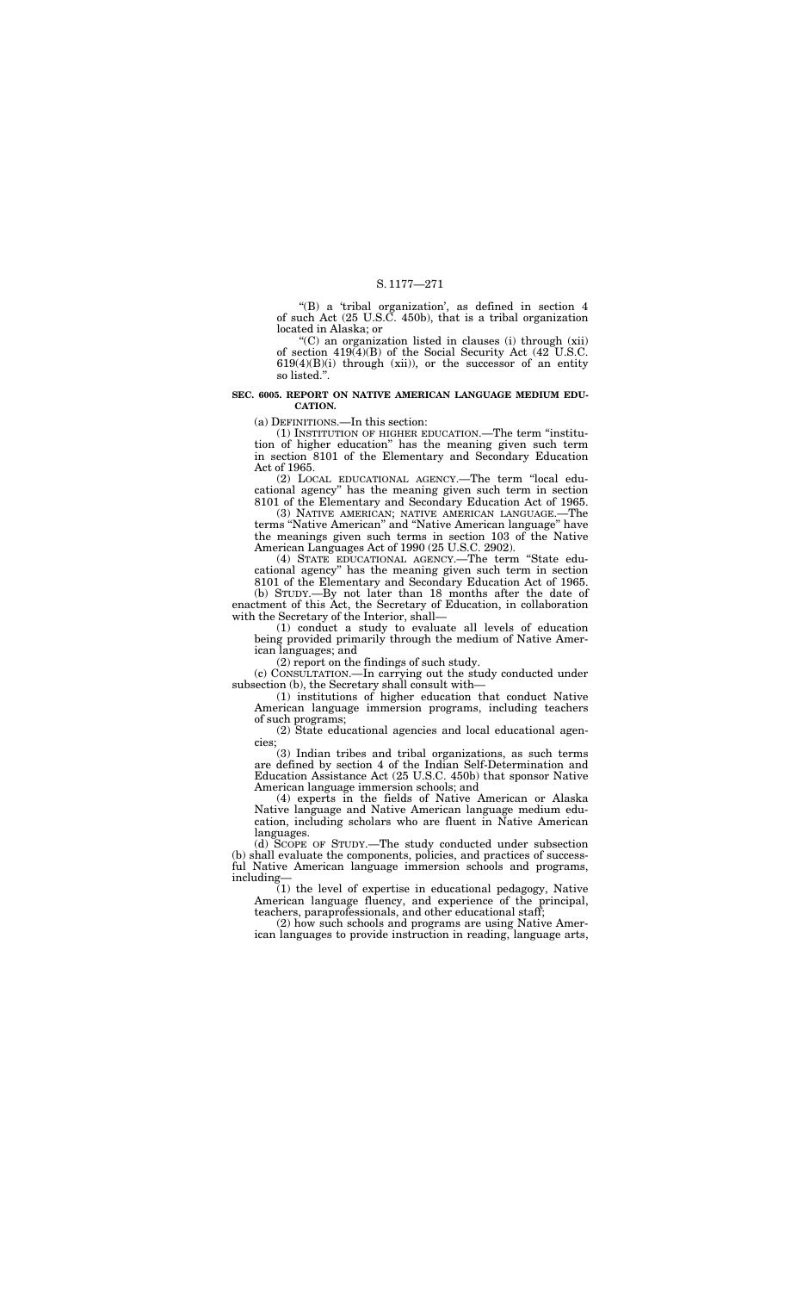''(B) a 'tribal organization', as defined in section 4 of such Act (25 U.S.C. 450b), that is a tribal organization located in Alaska; or

''(C) an organization listed in clauses (i) through (xii) of section 419(4)(B) of the Social Security Act (42 U.S.C.  $619(4)(B)(i)$  through (xii)), or the successor of an entity so listed.''.

#### **SEC. 6005. REPORT ON NATIVE AMERICAN LANGUAGE MEDIUM EDU-CATION.**

(a) DEFINITIONS.—In this section:

(1) INSTITUTION OF HIGHER EDUCATION.—The term ''institution of higher education'' has the meaning given such term in section 8101 of the Elementary and Secondary Education Act of 1965.

(2) LOCAL EDUCATIONAL AGENCY.—The term ''local educational agency'' has the meaning given such term in section 8101 of the Elementary and Secondary Education Act of 1965.

(3) NATIVE AMERICAN; NATIVE AMERICAN LANGUAGE.—The terms ''Native American'' and ''Native American language'' have the meanings given such terms in section 103 of the Native American Languages Act of 1990 (25 U.S.C. 2902).

(4) STATE EDUCATIONAL AGENCY.—The term ''State educational agency'' has the meaning given such term in section 8101 of the Elementary and Secondary Education Act of 1965.

(b) STUDY.—By not later than 18 months after the date of enactment of this Act, the Secretary of Education, in collaboration with the Secretary of the Interior, shall—

(1) conduct a study to evaluate all levels of education being provided primarily through the medium of Native American languages; and

(2) report on the findings of such study.

(c) CONSULTATION.—In carrying out the study conducted under subsection (b), the Secretary shall consult with—

(1) institutions of higher education that conduct Native American language immersion programs, including teachers of such programs;

(2) State educational agencies and local educational agencies;

(3) Indian tribes and tribal organizations, as such terms are defined by section 4 of the Indian Self-Determination and Education Assistance Act (25 U.S.C. 450b) that sponsor Native American language immersion schools; and

(4) experts in the fields of Native American or Alaska Native language and Native American language medium education, including scholars who are fluent in Native American languages.

(d) SCOPE OF STUDY.—The study conducted under subsection (b) shall evaluate the components, policies, and practices of successful Native American language immersion schools and programs, including—

(1) the level of expertise in educational pedagogy, Native American language fluency, and experience of the principal, teachers, paraprofessionals, and other educational staff;

(2) how such schools and programs are using Native American languages to provide instruction in reading, language arts,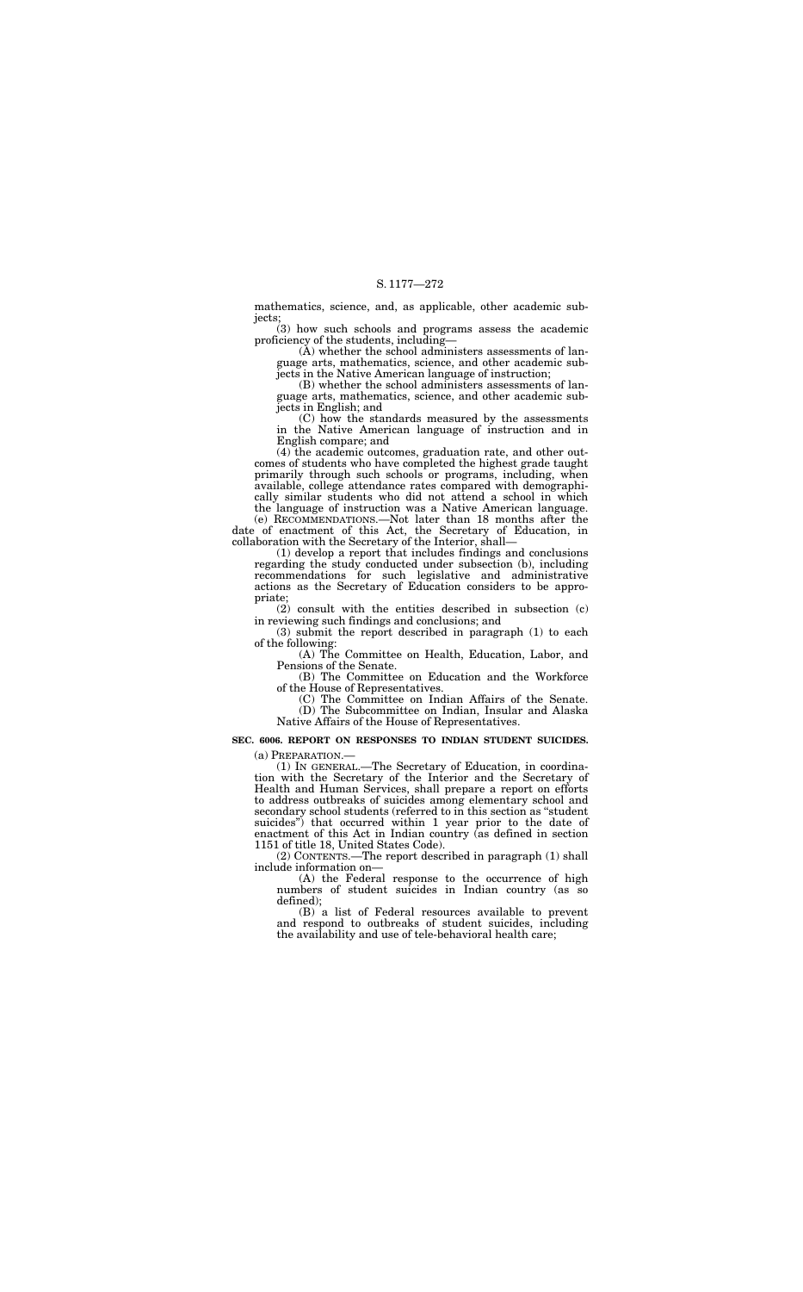mathematics, science, and, as applicable, other academic subjects;

(3) how such schools and programs assess the academic proficiency of the students, including—

(A) whether the school administers assessments of language arts, mathematics, science, and other academic subjects in the Native American language of instruction;

(B) whether the school administers assessments of language arts, mathematics, science, and other academic subjects in English; and

(C) how the standards measured by the assessments in the Native American language of instruction and in English compare; and

(4) the academic outcomes, graduation rate, and other outcomes of students who have completed the highest grade taught primarily through such schools or programs, including, when available, college attendance rates compared with demographically similar students who did not attend a school in which the language of instruction was a Native American language.

(e) RECOMMENDATIONS.—Not later than 18 months after the date of enactment of this Act, the Secretary of Education, in collaboration with the Secretary of the Interior, shall—

(1) develop a report that includes findings and conclusions regarding the study conducted under subsection (b), including recommendations for such legislative and administrative actions as the Secretary of Education considers to be appropriate;

(2) consult with the entities described in subsection (c) in reviewing such findings and conclusions; and

(3) submit the report described in paragraph (1) to each of the following:

(A) The Committee on Health, Education, Labor, and Pensions of the Senate.

(B) The Committee on Education and the Workforce of the House of Representatives.

(C) The Committee on Indian Affairs of the Senate.

(D) The Subcommittee on Indian, Insular and Alaska Native Affairs of the House of Representatives.

### **SEC. 6006. REPORT ON RESPONSES TO INDIAN STUDENT SUICIDES.**  (a) PREPARATION.—

(1) IN GENERAL.—The Secretary of Education, in coordination with the Secretary of the Interior and the Secretary of Health and Human Services, shall prepare a report on efforts to address outbreaks of suicides among elementary school and secondary school students (referred to in this section as ''student suicides'') that occurred within 1 year prior to the date of enactment of this Act in Indian country (as defined in section 1151 of title 18, United States Code).

(2) CONTENTS.—The report described in paragraph (1) shall include information on—

(A) the Federal response to the occurrence of high numbers of student suicides in Indian country (as so defined);

(B) a list of Federal resources available to prevent and respond to outbreaks of student suicides, including the availability and use of tele-behavioral health care;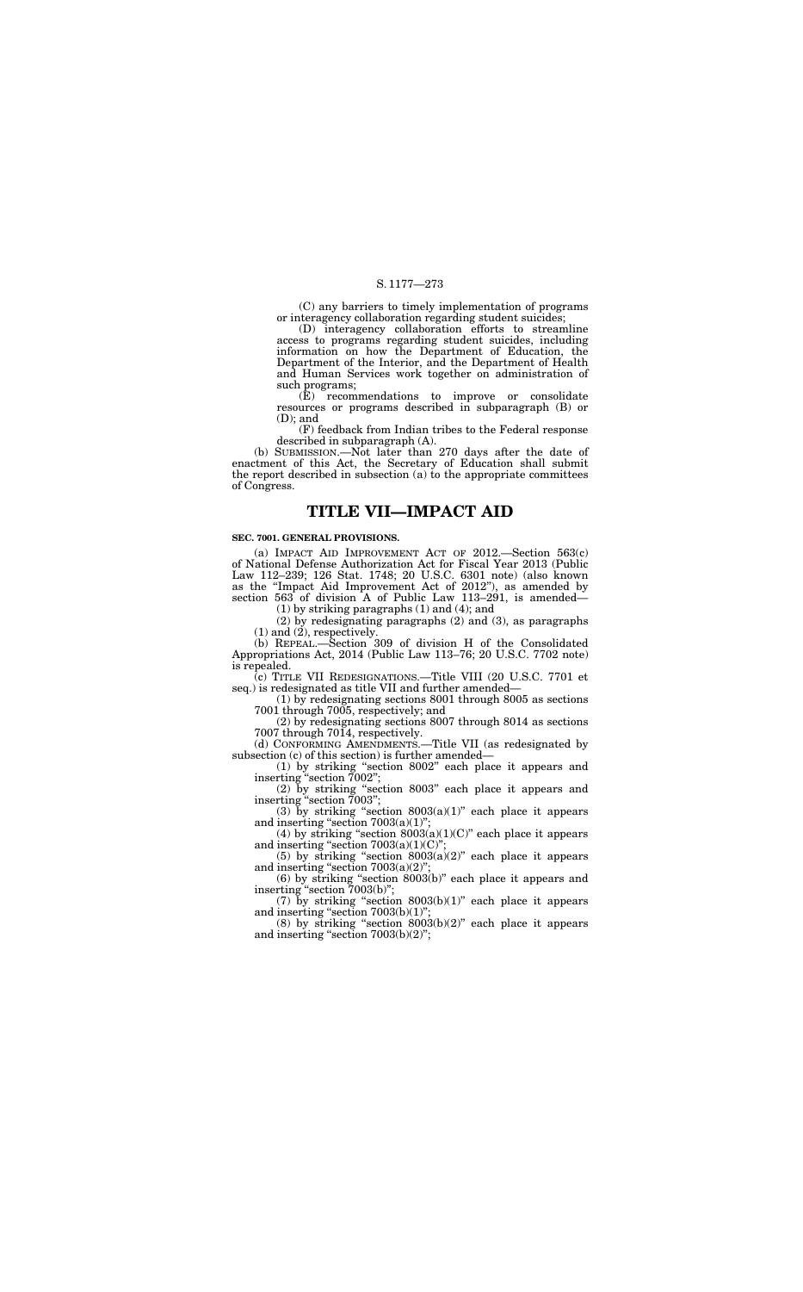(C) any barriers to timely implementation of programs or interagency collaboration regarding student suicides;

(D) interagency collaboration efforts to streamline access to programs regarding student suicides, including information on how the Department of Education, the Department of the Interior, and the Department of Health and Human Services work together on administration of such programs;

(E) recommendations to improve or consolidate resources or programs described in subparagraph (B) or (D); and

(F) feedback from Indian tribes to the Federal response described in subparagraph (A).

(2) by redesignating paragraphs (2) and (3), as paragraphs  $(1)$  and  $(2)$ , respectively.

(b) SUBMISSION.—Not later than 270 days after the date of enactment of this Act, the Secretary of Education shall submit the report described in subsection (a) to the appropriate committees of Congress.

## **TITLE VII—IMPACT AID**

#### **SEC. 7001. GENERAL PROVISIONS.**

(a) IMPACT AID IMPROVEMENT ACT OF 2012.—Section 563(c) of National Defense Authorization Act for Fiscal Year 2013 (Public Law 112–239; 126 Stat. 1748; 20 U.S.C. 6301 note) (also known as the ''Impact Aid Improvement Act of 2012''), as amended by section 563 of division A of Public Law 113–291, is amended—

(6) by striking ''section 8003(b)'' each place it appears and inserting "section 7003(b)";

(7) by striking "section  $8003(b)(1)$ " each place it appears and inserting "section  $7003(b)(1)$ ";

(8) by striking "section  $8003(b)(2)$ " each place it appears and inserting "section  $7003(b)(2)$ ";

(1) by striking paragraphs (1) and (4); and

(b) REPEAL.—Section 309 of division H of the Consolidated Appropriations Act, 2014 (Public Law 113–76; 20 U.S.C. 7702 note) is repealed.

(c) TITLE VII REDESIGNATIONS.—Title VIII (20 U.S.C. 7701 et seq.) is redesignated as title VII and further amended—

(1) by redesignating sections 8001 through 8005 as sections 7001 through 7005, respectively; and

(2) by redesignating sections 8007 through 8014 as sections 7007 through 7014, respectively.

(d) CONFORMING AMENDMENTS.—Title VII (as redesignated by subsection (c) of this section) is further amended—

(1) by striking ''section 8002'' each place it appears and inserting ''section 7002'';

(2) by striking ''section 8003'' each place it appears and inserting ''section 7003'';

(3) by striking "section  $8003(a)(1)$ " each place it appears and inserting "section  $7003(a)(1)$ ";

(4) by striking "section  $8003(a)(1)(C)$ " each place it appears and inserting "section  $7003(a)(1)(C)$ ";

(5) by striking "section  $8003(a)(2)$ " each place it appears and inserting "section  $7003(a)(2)$ ";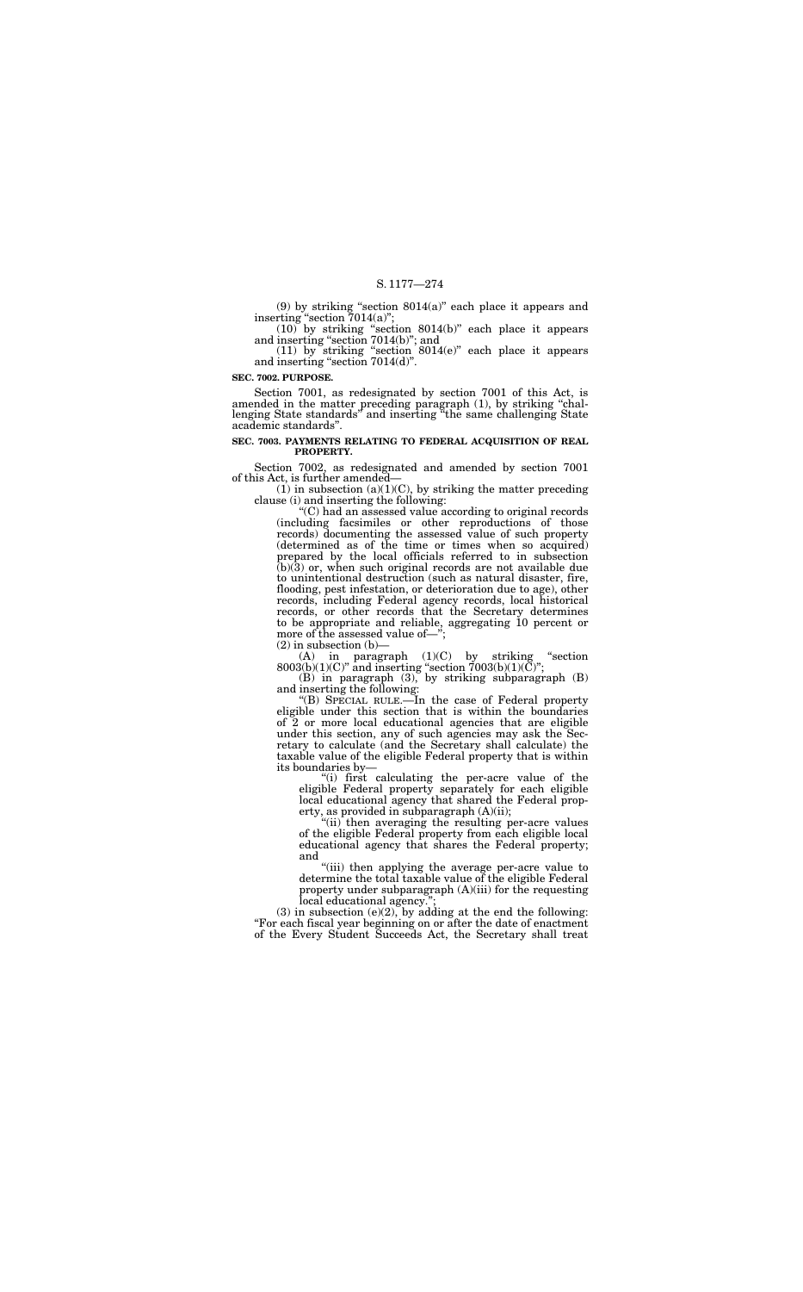(9) by striking ''section 8014(a)'' each place it appears and inserting "section  $7014(a)$ ";

(11) by striking ''section 8014(e)'' each place it appears and inserting "section  $7014(d)$ ".

(10) by striking ''section 8014(b)'' each place it appears and inserting ''section 7014(b)''; and

#### **SEC. 7002. PURPOSE.**

(1) in subsection (a)(1)(C), by striking the matter preceding clause (i) and inserting the following:

''(C) had an assessed value according to original records (including facsimiles or other reproductions of those records) documenting the assessed value of such property (determined as of the time or times when so acquired) prepared by the local officials referred to in subsection (b)(3) or, when such original records are not available due to unintentional destruction (such as natural disaster, fire, flooding, pest infestation, or deterioration due to age), other records, including Federal agency records, local historical records, or other records that the Secretary determines to be appropriate and reliable, aggregating 10 percent or more of the assessed value of—";

 $(2)$  in subsection  $(b)$ 

 $(A)$  in paragraph  $(1)(C)$  by striking "section  $8003(b)(1)(C)$ " and inserting "section  $7003(b)(1)(C)$ ";

Section 7001, as redesignated by section 7001 of this Act, is amended in the matter preceding paragraph (1), by striking "challenging State standards" and inserting "the same challenging State academic standards''.

#### **SEC. 7003. PAYMENTS RELATING TO FEDERAL ACQUISITION OF REAL PROPERTY.**

Section 7002, as redesignated and amended by section 7001 of this Act, is further amended—

> ''(i) first calculating the per-acre value of the eligible Federal property separately for each eligible local educational agency that shared the Federal property, as provided in subparagraph (A)(ii);

 $(3)$  in subsection  $(e)(2)$ , by adding at the end the following: ''For each fiscal year beginning on or after the date of enactment of the Every Student Succeeds Act, the Secretary shall treat

(B) in paragraph (3), by striking subparagraph (B) and inserting the following:

''(B) SPECIAL RULE.—In the case of Federal property eligible under this section that is within the boundaries of 2 or more local educational agencies that are eligible under this section, any of such agencies may ask the Secretary to calculate (and the Secretary shall calculate) the taxable value of the eligible Federal property that is within its boundaries by—

''(ii) then averaging the resulting per-acre values of the eligible Federal property from each eligible local educational agency that shares the Federal property; and

''(iii) then applying the average per-acre value to determine the total taxable value of the eligible Federal property under subparagraph (A)(iii) for the requesting local educational agency.'';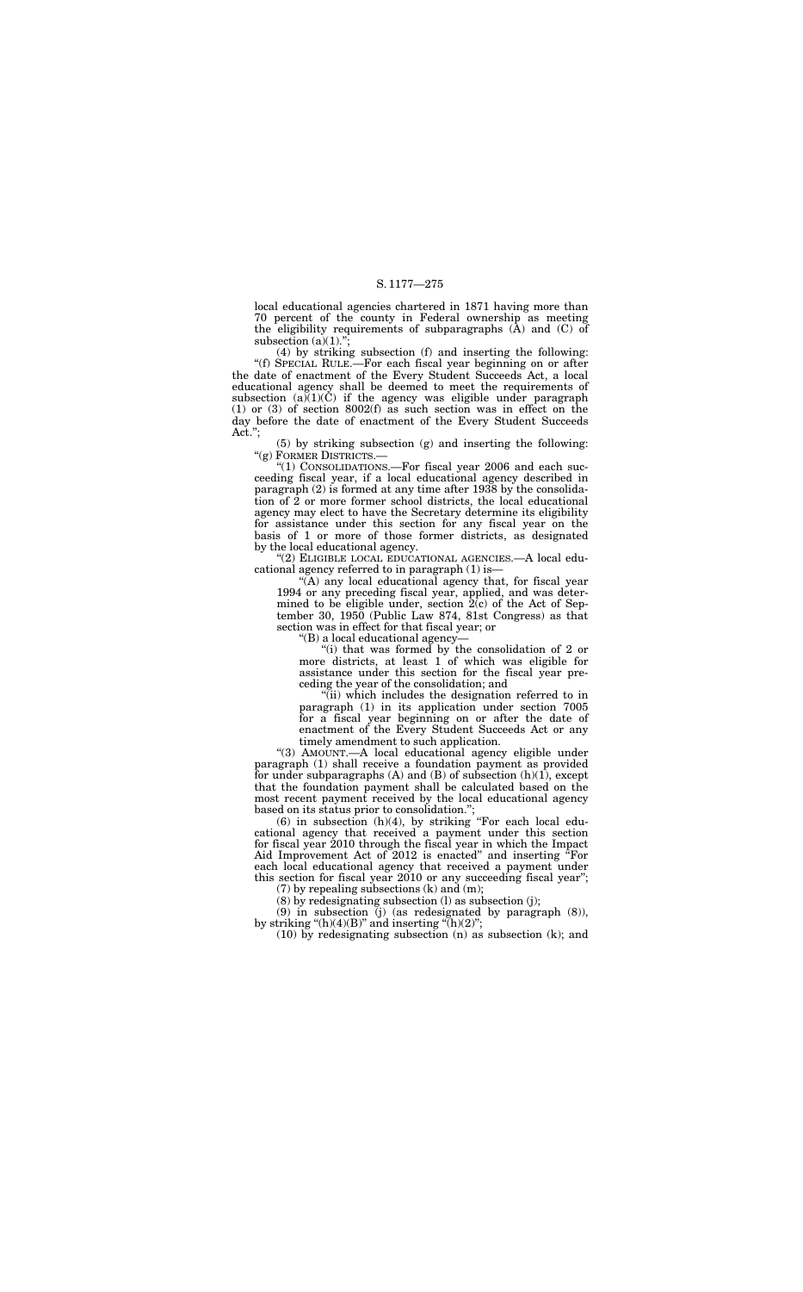local educational agencies chartered in 1871 having more than 70 percent of the county in Federal ownership as meeting the eligibility requirements of subparagraphs  $(A)$  and  $(C)$  of subsection  $(a)(1)$ .";

(4) by striking subsection (f) and inserting the following: ''(f) SPECIAL RULE.—For each fiscal year beginning on or after the date of enactment of the Every Student Succeeds Act, a local educational agency shall be deemed to meet the requirements of subsection  $(a)(1)(C)$  if the agency was eligible under paragraph (1) or (3) of section 8002(f) as such section was in effect on the day before the date of enactment of the Every Student Succeeds Act.'';

"(2) ELIGIBLE LOCAL EDUCATIONAL AGENCIES.—A local educational agency referred to in paragraph (1) is—

(5) by striking subsection (g) and inserting the following: ''(g) FORMER DISTRICTS.—

 $\widetilde{A}$ ) any local educational agency that, for fiscal year 1994 or any preceding fiscal year, applied, and was determined to be eligible under, section 2(c) of the Act of September 30, 1950 (Public Law 874, 81st Congress) as that section was in effect for that fiscal year; or

''(1) CONSOLIDATIONS.—For fiscal year 2006 and each succeeding fiscal year, if a local educational agency described in paragraph (2) is formed at any time after 1938 by the consolidation of 2 or more former school districts, the local educational agency may elect to have the Secretary determine its eligibility for assistance under this section for any fiscal year on the basis of 1 or more of those former districts, as designated by the local educational agency.

"(3) AMOUNT.--A local educational agency eligible under paragraph (1) shall receive a foundation payment as provided for under subparagraphs  $(A)$  and  $(B)$  of subsection  $(h)(1)$ , except that the foundation payment shall be calculated based on the most recent payment received by the local educational agency based on its status prior to consolidation.'';

 $(6)$  in subsection  $(h)(4)$ , by striking "For each local educational agency that received a payment under this section for fiscal year 2010 through the fiscal year in which the Impact Aid Improvement Act of 2012 is enacted" and inserting "For each local educational agency that received a payment under this section for fiscal year 2010 or any succeeding fiscal year'';

 $(8)$  by redesignating subsection  $(l)$  as subsection  $(j)$ ; (9) in subsection (j) (as redesignated by paragraph (8)),

by striking " $(h)(4)(B)$ " and inserting " $(h)(2)$ ";

''(B) a local educational agency—

''(i) that was formed by the consolidation of 2 or more districts, at least 1 of which was eligible for assistance under this section for the fiscal year preceding the year of the consolidation; and

''(ii) which includes the designation referred to in paragraph (1) in its application under section 7005 for a fiscal year beginning on or after the date of enactment of the Every Student Succeeds Act or any timely amendment to such application.

(7) by repealing subsections (k) and (m);

(10) by redesignating subsection (n) as subsection (k); and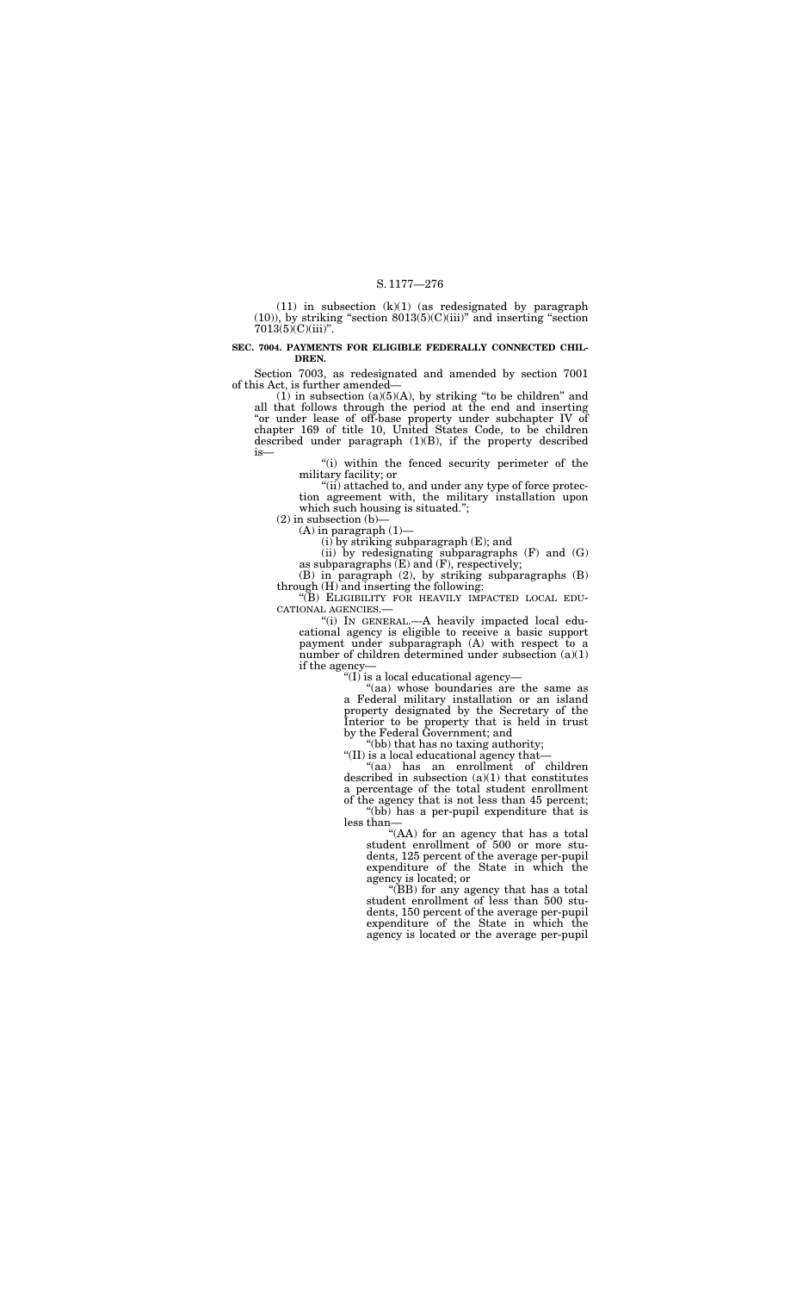(11) in subsection (k)(1) (as redesignated by paragraph  $(10)$ ), by striking "section  $8013(5)(C)(iii)$ " and inserting "section  $7013(5)(C)(iii)$ ".

#### **SEC. 7004. PAYMENTS FOR ELIGIBLE FEDERALLY CONNECTED CHIL-DREN.**

Section 7003, as redesignated and amended by section 7001 of this Act, is further amended—

 $(1)$  in subsection  $(a)(5)(A)$ , by striking "to be children" and all that follows through the period at the end and inserting "or under lease of off-base property under subchapter IV of chapter 169 of title 10, United States Code, to be children described under paragraph (1)(B), if the property described is—

"(i) within the fenced security perimeter of the military facility; or

"(ii) attached to, and under any type of force protection agreement with, the military installation upon which such housing is situated.'';

(ii) by redesignating subparagraphs (F) and (G) as subparagraphs  $(E)$  and  $(F)$ , respectively;

CATIONAL AGENCIES.—<br>"(i) IN GENERAL.—A heavily impacted local educational agency is eligible to receive a basic support payment under subparagraph (A) with respect to a number of children determined under subsection (a)(1) if the agency—

> "(aa) whose boundaries are the same as a Federal military installation or an island property designated by the Secretary of the Interior to be property that is held in trust by the Federal Government; and

"(bb) that has no taxing authority;

(2) in subsection (b)—

 $(A)$  in paragraph  $(1)$ —

(i) by striking subparagraph (E); and

(B) in paragraph (2), by striking subparagraphs (B)

through (H) and inserting the following:<br>"(B) ELIGIBILITY FOR HEAVILY IMPACTED LOCAL EDU-

"(AA) for an agency that has a total student enrollment of 500 or more students, 125 percent of the average per-pupil expenditure of the State in which the agency is located; or

''(I) is a local educational agency—

''(II) is a local educational agency that—

''(aa) has an enrollment of children described in subsection (a)(1) that constitutes a percentage of the total student enrollment of the agency that is not less than 45 percent;

''(bb) has a per-pupil expenditure that is less than—

''(BB) for any agency that has a total student enrollment of less than 500 students, 150 percent of the average per-pupil expenditure of the State in which the agency is located or the average per-pupil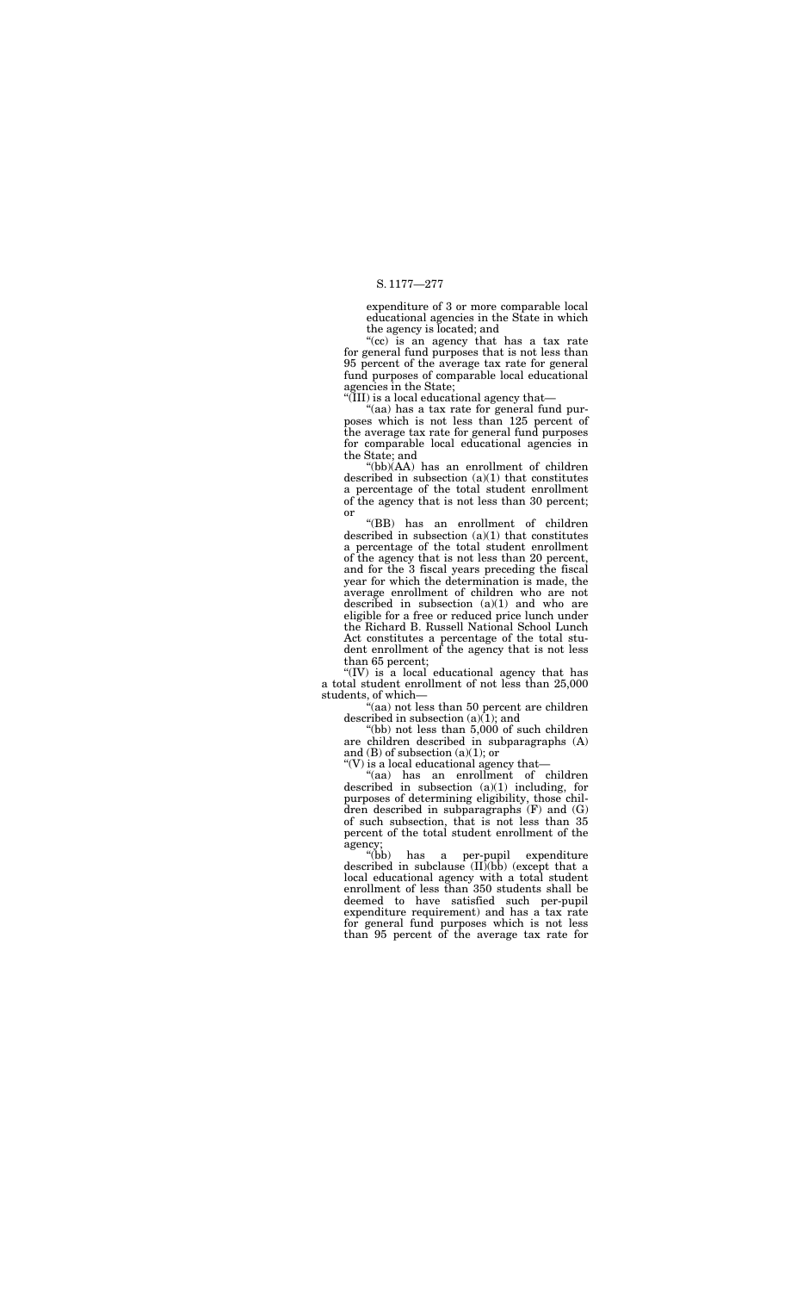expenditure of 3 or more comparable local educational agencies in the State in which the agency is located; and

"(cc) is an agency that has a tax rate for general fund purposes that is not less than 95 percent of the average tax rate for general fund purposes of comparable local educational agencies in the State;

''(III) is a local educational agency that—

''(aa) has a tax rate for general fund purposes which is not less than 125 percent of the average tax rate for general fund purposes for comparable local educational agencies in the State; and

''(bb)(AA) has an enrollment of children described in subsection  $(a)(1)$  that constitutes a percentage of the total student enrollment of the agency that is not less than 30 percent; or

" $(IV)$  is a local educational agency that has a total student enrollment of not less than 25,000 students, of which—

''(aa) not less than 50 percent are children described in subsection  $(a)(1)$ ; and

''(bb) not less than 5,000 of such children are children described in subparagraphs (A) and  $(B)$  of subsection  $(a)(1)$ ; or

"(V) is a local educational agency that-

''(aa) has an enrollment of children described in subsection (a)(1) including, for purposes of determining eligibility, those children described in subparagraphs (F) and (G) of such subsection, that is not less than 35 percent of the total student enrollment of the agency;<br>"(bb)

''(BB) has an enrollment of children described in subsection (a)(1) that constitutes a percentage of the total student enrollment of the agency that is not less than 20 percent, and for the 3 fiscal years preceding the fiscal year for which the determination is made, the average enrollment of children who are not described in subsection (a)(1) and who are eligible for a free or reduced price lunch under the Richard B. Russell National School Lunch Act constitutes a percentage of the total student enrollment of the agency that is not less than 65 percent;

has a per-pupil expenditure described in subclause  $(II)(b\bar{b})$  (except that a local educational agency with a total student enrollment of less than 350 students shall be deemed to have satisfied such per-pupil expenditure requirement) and has a tax rate for general fund purposes which is not less than 95 percent of the average tax rate for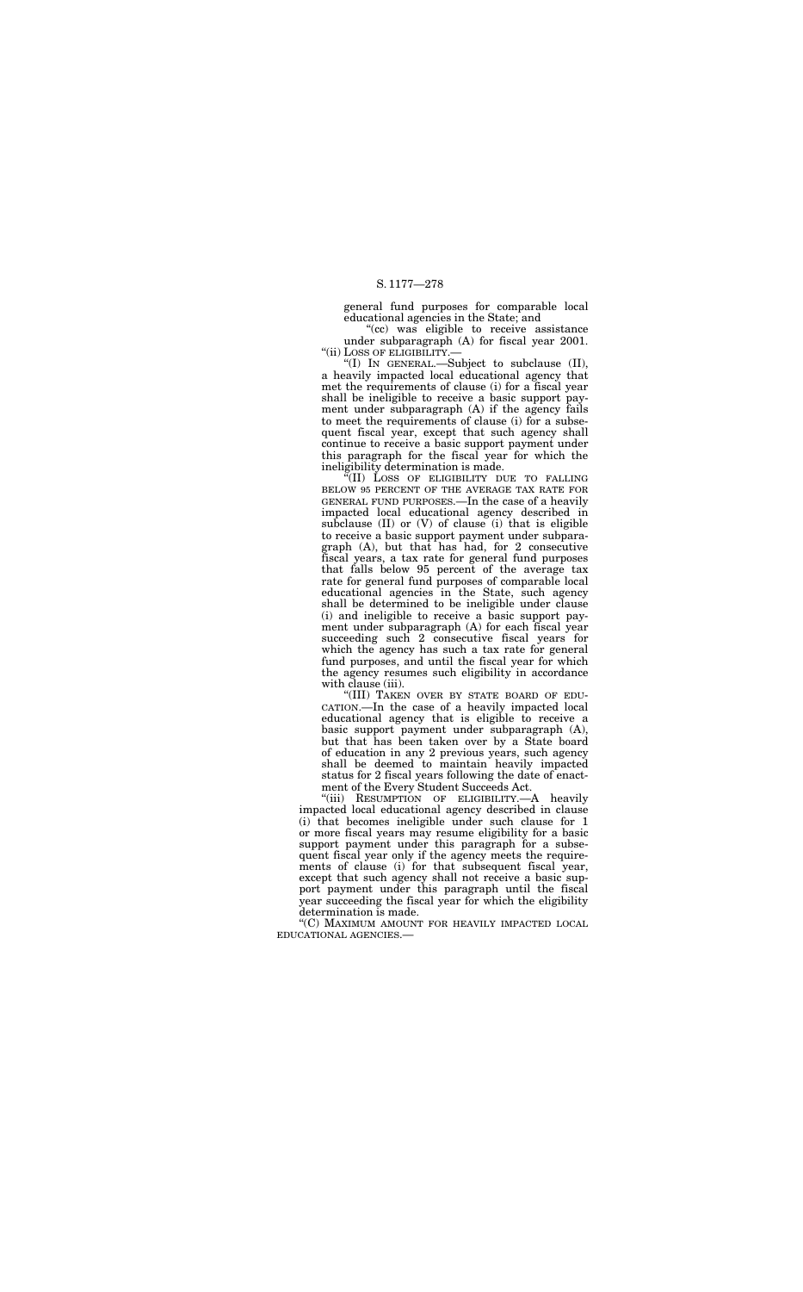''(cc) was eligible to receive assistance under subparagraph (A) for fiscal year 2001. "(ii) LOSS OF ELIGIBILITY.

general fund purposes for comparable local educational agencies in the State; and

''(I) IN GENERAL.—Subject to subclause (II), a heavily impacted local educational agency that met the requirements of clause (i) for a fiscal year shall be ineligible to receive a basic support payment under subparagraph (A) if the agency fails to meet the requirements of clause (i) for a subsequent fiscal year, except that such agency shall continue to receive a basic support payment under this paragraph for the fiscal year for which the ineligibility determination is made.

''(II) LOSS OF ELIGIBILITY DUE TO FALLING BELOW 95 PERCENT OF THE AVERAGE TAX RATE FOR GENERAL FUND PURPOSES.—In the case of a heavily impacted local educational agency described in subclause  $(II)$  or  $(V)$  of clause  $(i)$  that is eligible to receive a basic support payment under subparagraph (A), but that has had, for 2 consecutive fiscal years, a tax rate for general fund purposes that falls below 95 percent of the average tax rate for general fund purposes of comparable local educational agencies in the State, such agency shall be determined to be ineligible under clause (i) and ineligible to receive a basic support payment under subparagraph (A) for each fiscal year succeeding such 2 consecutive fiscal years for which the agency has such a tax rate for general fund purposes, and until the fiscal year for which the agency resumes such eligibility in accordance with clause (iii).

"(iii) RESUMPTION OF ELIGIBILITY.-A heavily impacted local educational agency described in clause (i) that becomes ineligible under such clause for 1 or more fiscal years may resume eligibility for a basic support payment under this paragraph for a subsequent fiscal year only if the agency meets the requirements of clause (i) for that subsequent fiscal year, except that such agency shall not receive a basic support payment under this paragraph until the fiscal year succeeding the fiscal year for which the eligibility determination is made.

''(III) TAKEN OVER BY STATE BOARD OF EDU-CATION.—In the case of a heavily impacted local educational agency that is eligible to receive a basic support payment under subparagraph (A), but that has been taken over by a State board of education in any 2 previous years, such agency shall be deemed to maintain heavily impacted status for 2 fiscal years following the date of enactment of the Every Student Succeeds Act.

''(C) MAXIMUM AMOUNT FOR HEAVILY IMPACTED LOCAL EDUCATIONAL AGENCIES.—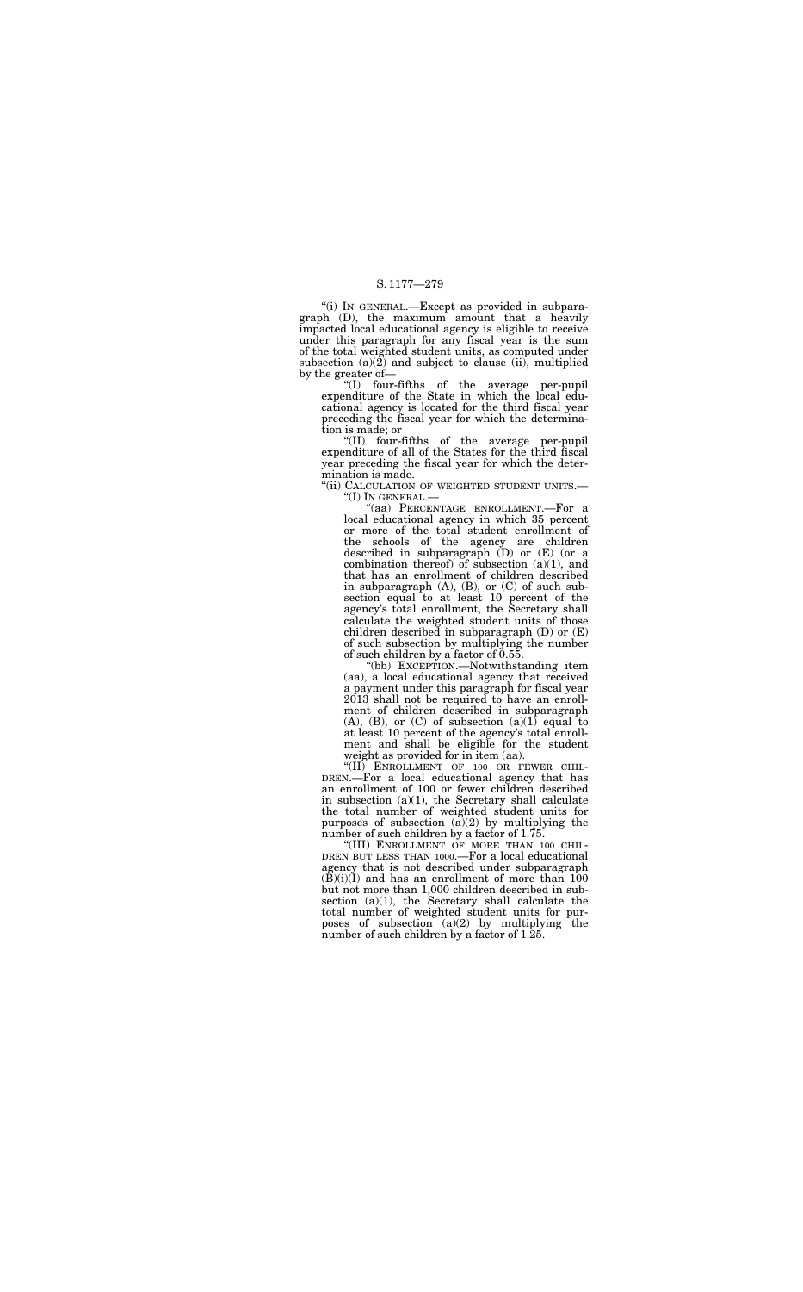''(i) IN GENERAL.—Except as provided in subparagraph (D), the maximum amount that a heavily impacted local educational agency is eligible to receive under this paragraph for any fiscal year is the sum of the total weighted student units, as computed under subsection  $(a)(2)$  and subject to clause  $(ii)$ , multiplied by the greater of—

''(I) four-fifths of the average per-pupil expenditure of the State in which the local educational agency is located for the third fiscal year preceding the fiscal year for which the determination is made; or

''(II) four-fifths of the average per-pupil expenditure of all of the States for the third fiscal year preceding the fiscal year for which the determination is made.

''(ii) CALCULATION OF WEIGHTED STUDENT UNITS.— ''(I) IN GENERAL.— ''(aa) PERCENTAGE ENROLLMENT.—For a

''(II) ENROLLMENT OF 100 OR FEWER CHIL-DREN.—For a local educational agency that has an enrollment of 100 or fewer children described in subsection  $(a)(1)$ , the Secretary shall calculate the total number of weighted student units for purposes of subsection  $(a)(2)$  by multiplying the

number of such children by a factor of 1.75.<br>
"(III) ENROLLMENT OF MORE THAN 100 CHIL-DREN BUT LESS THAN 1000.-For a local educational agency that is not described under subparagraph  $(\overline{B})(i)\tilde{I}$  and has an enrollment of more than 100 but not more than 1,000 children described in subsection  $(a)(1)$ , the Secretary shall calculate the total number of weighted student units for purposes of subsection  $(a)(2)$  by multiplying the number of such children by a factor of 1.25.

local educational agency in which 35 percent or more of the total student enrollment of the schools of the agency are children described in subparagraph  $(D)$  or  $(E)$  (or a combination thereof) of subsection (a)(1), and that has an enrollment of children described in subparagraph (A), (B), or (C) of such subsection equal to at least 10 percent of the agency's total enrollment, the Secretary shall calculate the weighted student units of those children described in subparagraph (D) or (E) of such subsection by multiplying the number of such children by a factor of 0.55.

''(bb) EXCEPTION.—Notwithstanding item (aa), a local educational agency that received a payment under this paragraph for fiscal year 2013 shall not be required to have an enrollment of children described in subparagraph (A), (B), or (C) of subsection  $(a)(1)$  equal to at least 10 percent of the agency's total enrollment and shall be eligible for the student weight as provided for in item (aa).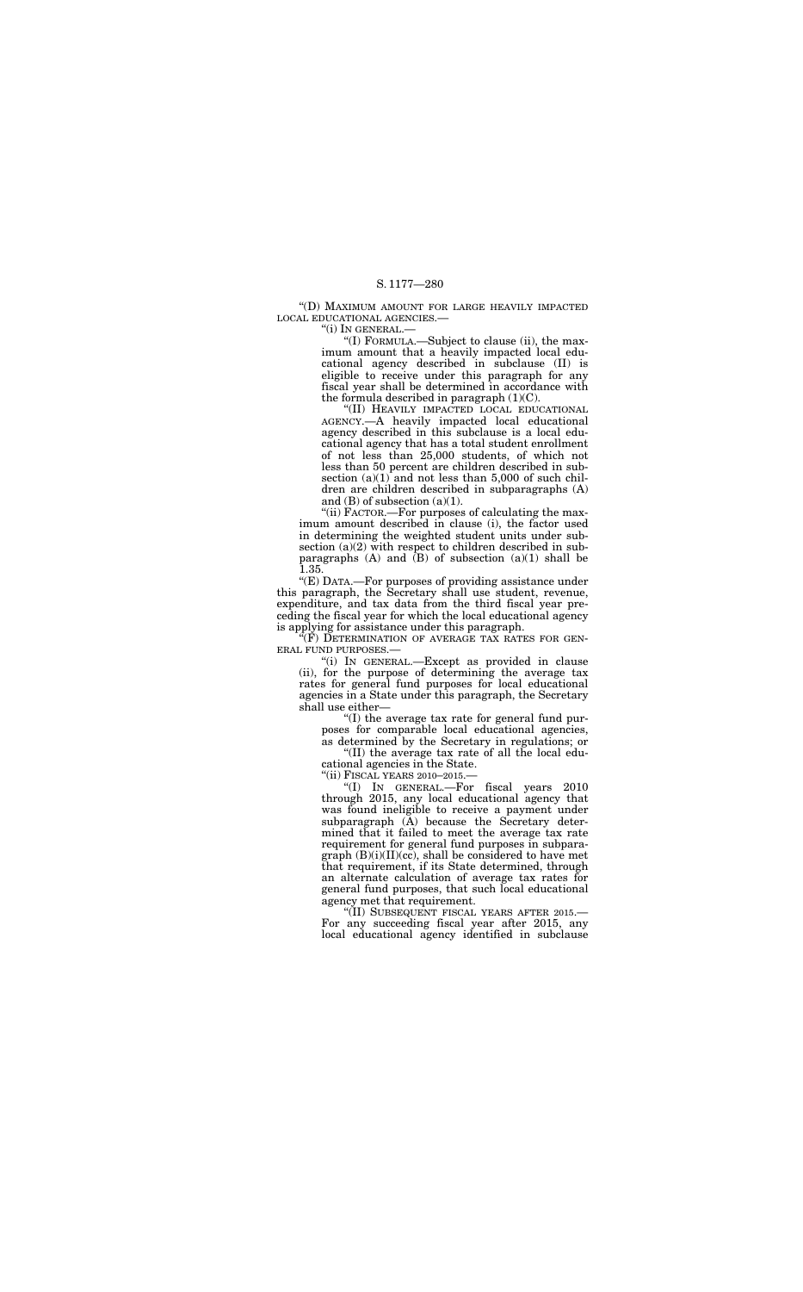''(D) MAXIMUM AMOUNT FOR LARGE HEAVILY IMPACTED LOCAL EDUCATIONAL AGENCIES.—

"(i) In GENERAL.-

''(I) FORMULA.—Subject to clause (ii), the maximum amount that a heavily impacted local educational agency described in subclause (II) is eligible to receive under this paragraph for any fiscal year shall be determined in accordance with the formula described in paragraph (1)(C).

"(ii) FACTOR.—For purposes of calculating the maximum amount described in clause (i), the factor used in determining the weighted student units under subsection (a)(2) with respect to children described in subparagraphs  $(A)$  and  $(B)$  of subsection  $(a)(1)$  shall be 1.35.

''(II) HEAVILY IMPACTED LOCAL EDUCATIONAL AGENCY.—A heavily impacted local educational agency described in this subclause is a local educational agency that has a total student enrollment of not less than 25,000 students, of which not less than 50 percent are children described in subsection  $(a)(1)$  and not less than 5,000 of such children are children described in subparagraphs (A) and (B) of subsection (a)(1).

"(F) DETERMINATION OF AVERAGE TAX RATES FOR GEN-ERAL FUND PURPOSES.—

''(E) DATA.—For purposes of providing assistance under this paragraph, the Secretary shall use student, revenue, expenditure, and tax data from the third fiscal year preceding the fiscal year for which the local educational agency is applying for assistance under this paragraph.

''(i) IN GENERAL.—Except as provided in clause (ii), for the purpose of determining the average tax rates for general fund purposes for local educational agencies in a State under this paragraph, the Secretary shall use either—

''(I) the average tax rate for general fund purposes for comparable local educational agencies, as determined by the Secretary in regulations; or

''(II) the average tax rate of all the local educational agencies in the State.

"(ii) FISCAL YEARS 2010-2015.-

''(I) IN GENERAL.—For fiscal years 2010 through 2015, any local educational agency that was found ineligible to receive a payment under subparagraph (A) because the Secretary determined that it failed to meet the average tax rate requirement for general fund purposes in subparagraph (B)(i)(II)(cc), shall be considered to have met that requirement, if its State determined, through an alternate calculation of average tax rates for general fund purposes, that such local educational agency met that requirement.

''(II) SUBSEQUENT FISCAL YEARS AFTER 2015.— For any succeeding fiscal year after 2015, any local educational agency identified in subclause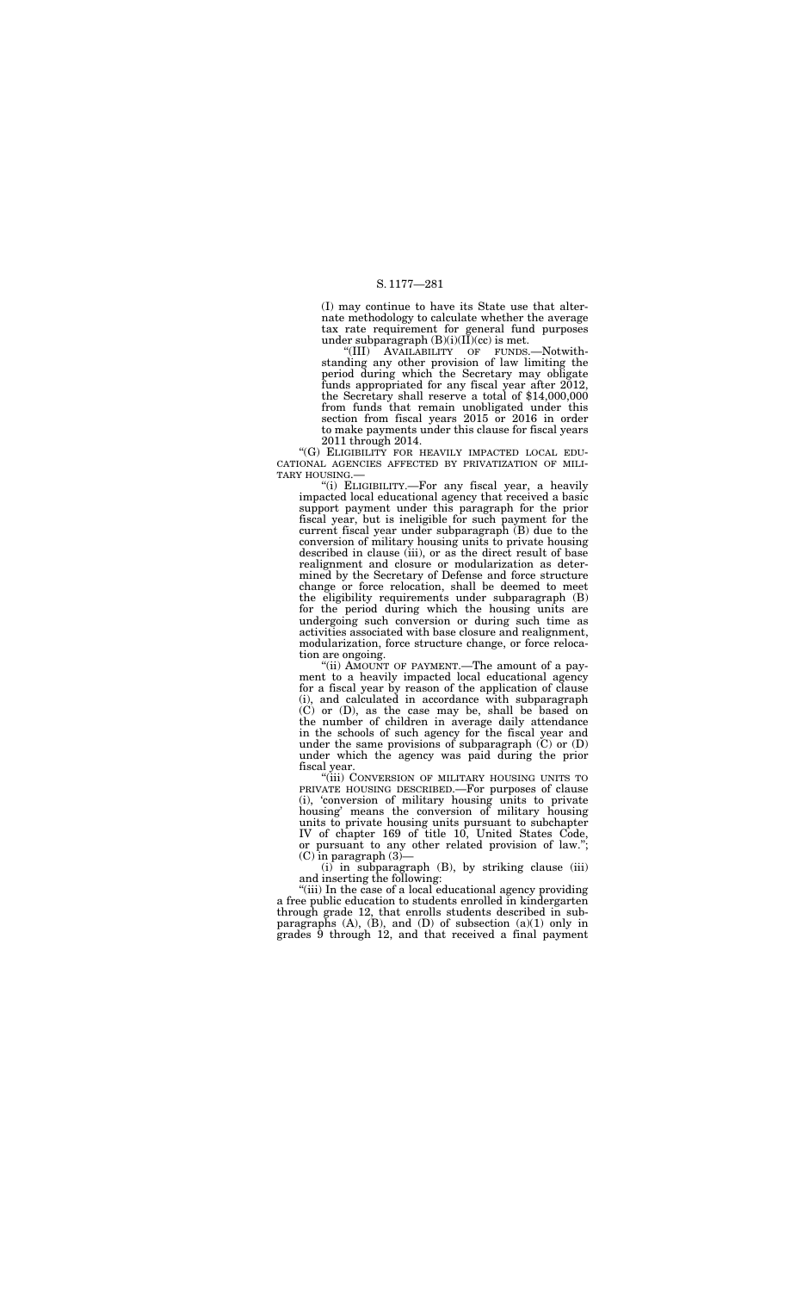(I) may continue to have its State use that alternate methodology to calculate whether the average tax rate requirement for general fund purposes under subparagraph  $(B)(i)(II)(cc)$  is met.

''(III) AVAILABILITY OF FUNDS.—Notwithstanding any other provision of law limiting the period during which the Secretary may obligate funds appropriated for any fiscal year after 2012, the Secretary shall reserve a total of \$14,000,000 from funds that remain unobligated under this section from fiscal years 2015 or 2016 in order to make payments under this clause for fiscal years 2011 through 2014.

"(G) ELIGIBILITY FOR HEAVILY IMPACTED LOCAL EDUCATIONAL AGENCIES AFFECTED BY PRIVATIZATION OF MILL-TARY HOUSING.—<br>"(i) ELIGIBILITY.—For any fiscal year, a heavily

"(ii) AMOUNT OF PAYMENT.—The amount of a payment to a heavily impacted local educational agency for a fiscal year by reason of the application of clause (i), and calculated in accordance with subparagraph (C) or (D), as the case may be, shall be based on the number of children in average daily attendance in the schools of such agency for the fiscal year and under the same provisions of subparagraph  $(C)$  or  $(D)$ under which the agency was paid during the prior fiscal year.

"(iii) CONVERSION OF MILITARY HOUSING UNITS TO PRIVATE HOUSING DESCRIBED.—For purposes of clause (i), 'conversion of military housing units to private housing' means the conversion of military housing units to private housing units pursuant to subchapter IV of chapter 169 of title 10, United States Code, or pursuant to any other related provision of law.'';  $(C)$  in paragraph  $(3)$ -

impacted local educational agency that received a basic support payment under this paragraph for the prior fiscal year, but is ineligible for such payment for the current fiscal year under subparagraph (B) due to the conversion of military housing units to private housing described in clause (iii), or as the direct result of base realignment and closure or modularization as determined by the Secretary of Defense and force structure change or force relocation, shall be deemed to meet the eligibility requirements under subparagraph (B) for the period during which the housing units are undergoing such conversion or during such time as activities associated with base closure and realignment, modularization, force structure change, or force relocation are ongoing.

"(iii) In the case of a local educational agency providing a free public education to students enrolled in kindergarten through grade 12, that enrolls students described in subparagraphs  $(A)$ ,  $(B)$ , and  $(D)$  of subsection  $(a)(1)$  only in grades 9 through 12, and that received a final payment

(i) in subparagraph (B), by striking clause (iii) and inserting the following: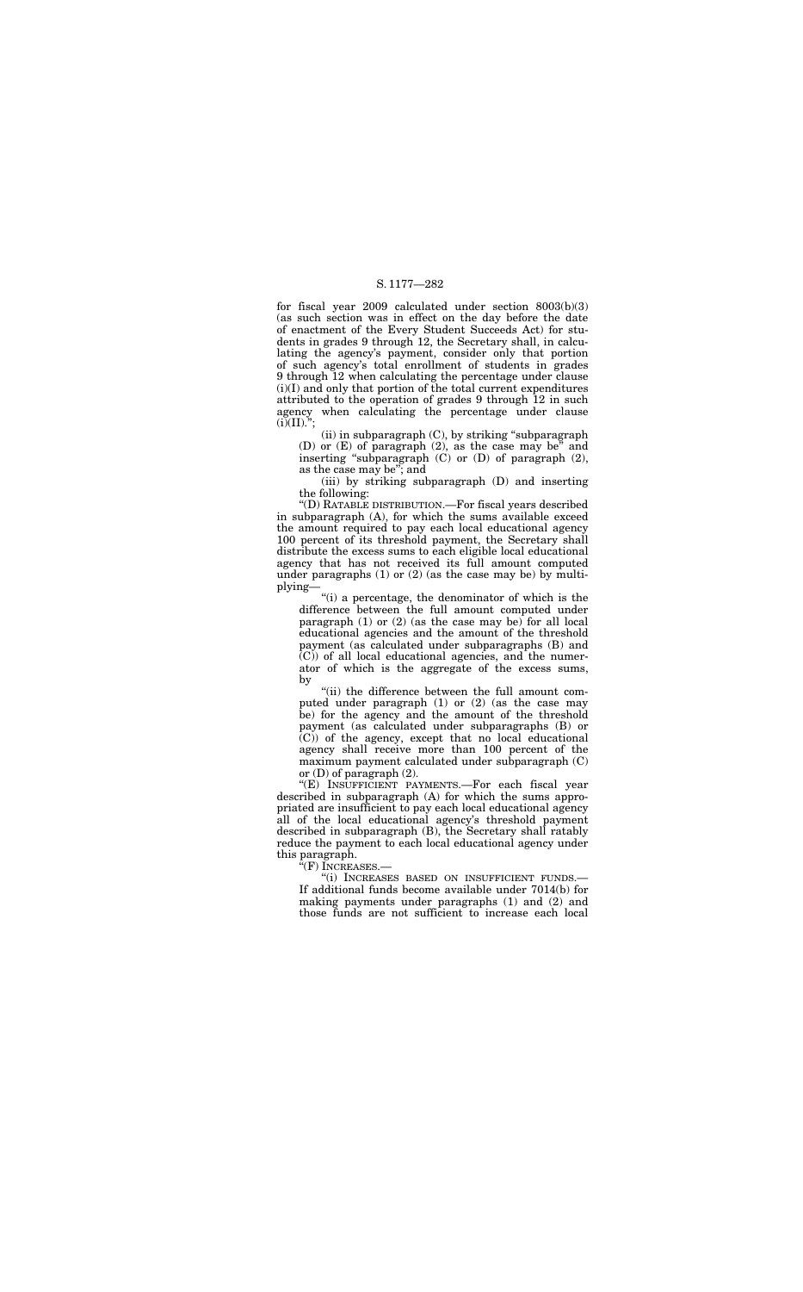for fiscal year 2009 calculated under section 8003(b)(3) (as such section was in effect on the day before the date of enactment of the Every Student Succeeds Act) for students in grades 9 through 12, the Secretary shall, in calculating the agency's payment, consider only that portion of such agency's total enrollment of students in grades 9 through 12 when calculating the percentage under clause (i)(I) and only that portion of the total current expenditures attributed to the operation of grades 9 through 12 in such agency when calculating the percentage under clause  $(i)(II).$ "

(ii) in subparagraph (C), by striking ''subparagraph (D) or (E) of paragraph (2), as the case may be'' and inserting "subparagraph (C) or (D) of paragraph (2), as the case may be''; and

(iii) by striking subparagraph (D) and inserting the following:

"(ii) the difference between the full amount computed under paragraph (1) or (2) (as the case may be) for the agency and the amount of the threshold payment (as calculated under subparagraphs (B) or  $(C)$ ) of the agency, except that no local educational agency shall receive more than 100 percent of the maximum payment calculated under subparagraph (C) or (D) of paragraph (2).

''(D) RATABLE DISTRIBUTION.—For fiscal years described in subparagraph (A), for which the sums available exceed the amount required to pay each local educational agency 100 percent of its threshold payment, the Secretary shall distribute the excess sums to each eligible local educational agency that has not received its full amount computed under paragraphs (1) or (2) (as the case may be) by multiplying—

"(E) INSUFFICIENT PAYMENTS.-For each fiscal year described in subparagraph (A) for which the sums appropriated are insufficient to pay each local educational agency all of the local educational agency's threshold payment described in subparagraph (B), the Secretary shall ratably reduce the payment to each local educational agency under this paragraph.

"(i) INCREASES BASED ON INSUFFICIENT FUNDS.-If additional funds become available under 7014(b) for making payments under paragraphs (1) and (2) and those funds are not sufficient to increase each local

''(i) a percentage, the denominator of which is the difference between the full amount computed under paragraph (1) or (2) (as the case may be) for all local educational agencies and the amount of the threshold payment (as calculated under subparagraphs (B) and (C)) of all local educational agencies, and the numerator of which is the aggregate of the excess sums, by

''(F) INCREASES.—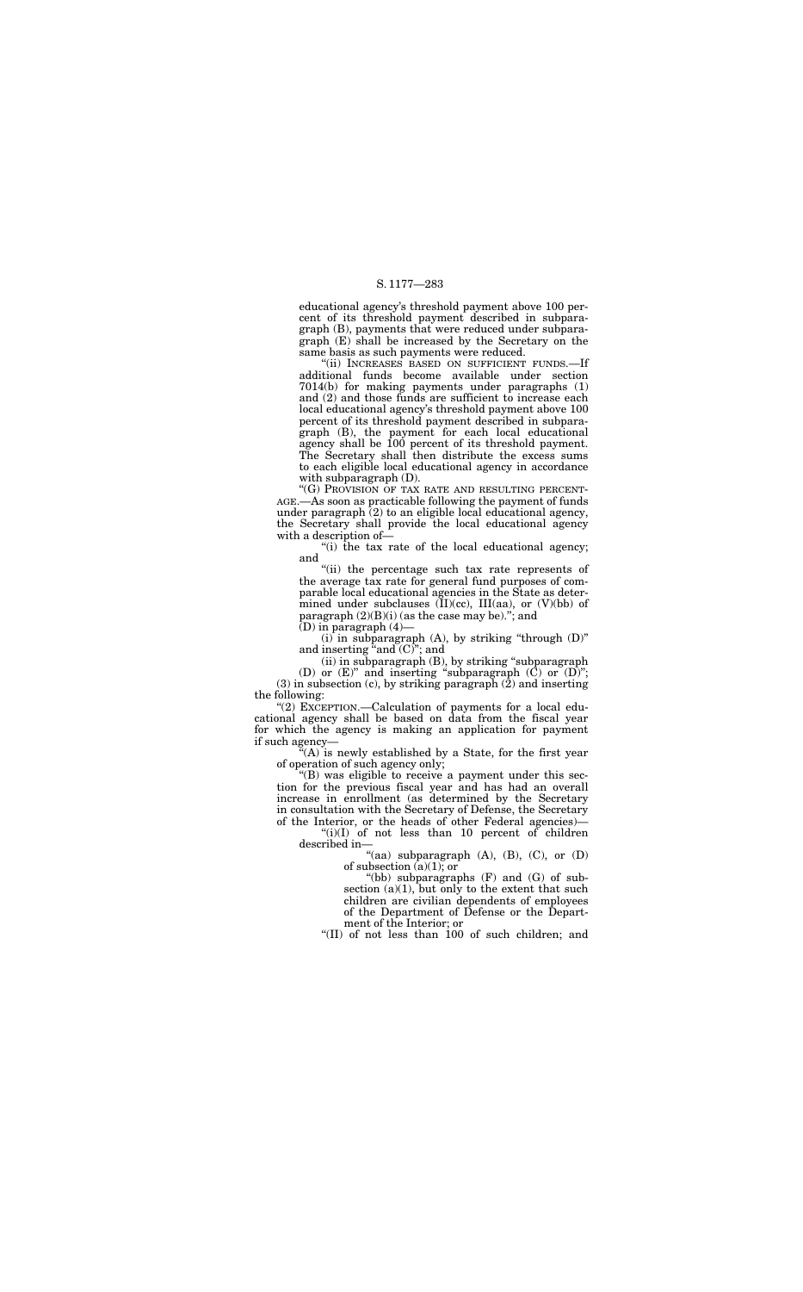educational agency's threshold payment above 100 percent of its threshold payment described in subparagraph (B), payments that were reduced under subparagraph (E) shall be increased by the Secretary on the same basis as such payments were reduced.

''(G) PROVISION OF TAX RATE AND RESULTING PERCENT-AGE.—As soon as practicable following the payment of funds under paragraph (2) to an eligible local educational agency, the Secretary shall provide the local educational agency with a description of-

''(ii) INCREASES BASED ON SUFFICIENT FUNDS.—If additional funds become available under section 7014(b) for making payments under paragraphs (1) and (2) and those funds are sufficient to increase each local educational agency's threshold payment above 100 percent of its threshold payment described in subparagraph (B), the payment for each local educational agency shall be 100 percent of its threshold payment. The Secretary shall then distribute the excess sums to each eligible local educational agency in accordance with subparagraph (D).

"(i) the tax rate of the local educational agency; and

"(ii) the percentage such tax rate represents of the average tax rate for general fund purposes of comparable local educational agencies in the State as determined under subclauses  $(II)(cc)$ ,  $III(aa)$ , or  $(V)(bb)$  of paragraph  $(2)(B)(i)$  (as the case may be)."; and

(ii) in subparagraph (B), by striking ''subparagraph (D) or  $(E)$ " and inserting "subparagraph  $(C)$  or  $(D)$ ";

 $(3)$  in subsection  $(c)$ , by striking paragraph  $(2)$  and inserting the following:

> $(ii)(I)$  of not less than 10 percent of children described in—

"(aa) subparagraph  $(A)$ ,  $(B)$ ,  $(C)$ , or  $(D)$ of subsection  $(a)(1)$ ; or

"(bb) subparagraphs  $(F)$  and  $(G)$  of subsection  $(a)(1)$ , but only to the extent that such children are civilian dependents of employees of the Department of Defense or the Department of the Interior; or

(D) in paragraph (4)—

 $(i)$  in subparagraph  $(A)$ , by striking "through  $(D)$ " and inserting  $\operatorname{and}$  (C)"; and

''(2) EXCEPTION.—Calculation of payments for a local educational agency shall be based on data from the fiscal year for which the agency is making an application for payment if such agency—

''(A) is newly established by a State, for the first year of operation of such agency only;

''(B) was eligible to receive a payment under this section for the previous fiscal year and has had an overall increase in enrollment (as determined by the Secretary in consultation with the Secretary of Defense, the Secretary of the Interior, or the heads of other Federal agencies)—

''(II) of not less than 100 of such children; and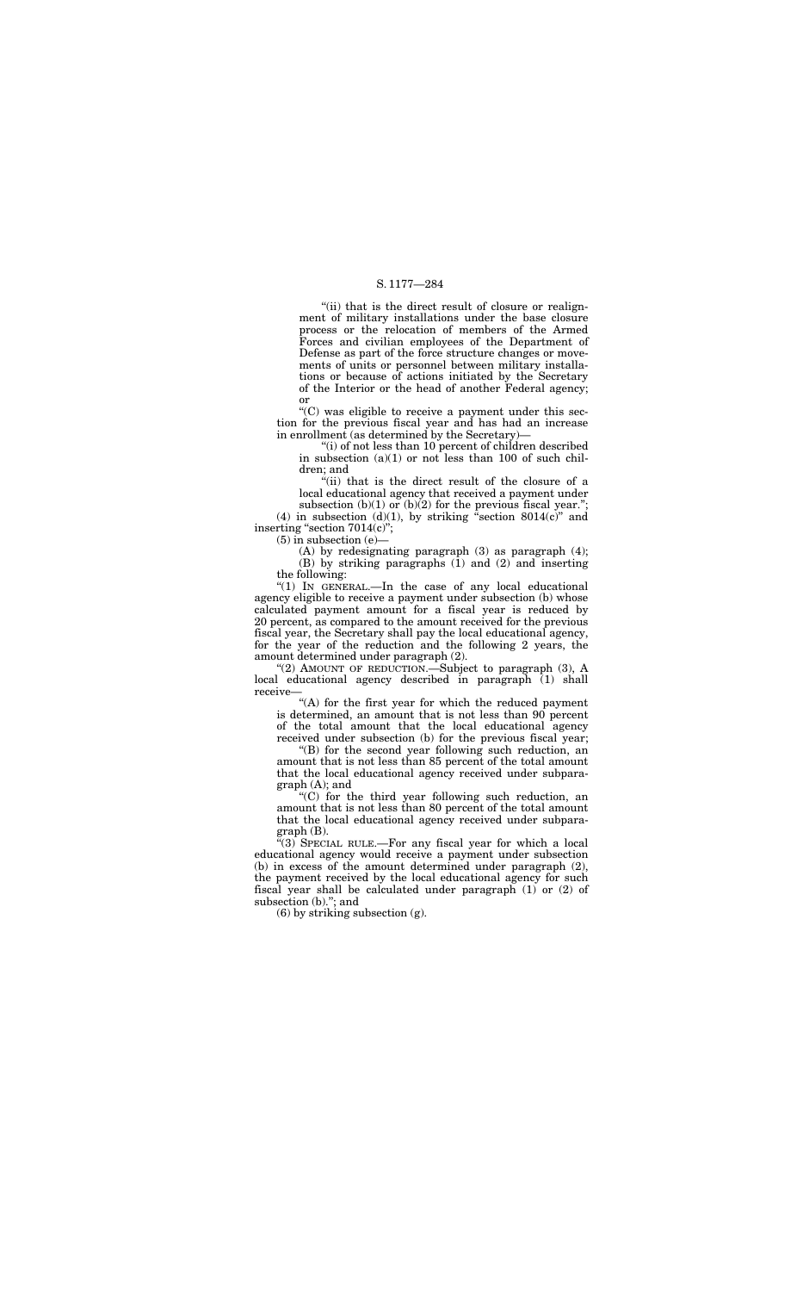"(ii) that is the direct result of closure or realignment of military installations under the base closure process or the relocation of members of the Armed Forces and civilian employees of the Department of Defense as part of the force structure changes or movements of units or personnel between military installations or because of actions initiated by the Secretary of the Interior or the head of another Federal agency; or

"(i) of not less than 10 percent of children described in subsection  $(a)(1)$  or not less than 100 of such children; and

"(ii) that is the direct result of the closure of a local educational agency that received a payment under

subsection  $(b)(1)$  or  $(b)(2)$  for the previous fiscal year."; (4) in subsection (d)(1), by striking "section  $8014(c)$ " and inserting "section  $7014(c)$ ";

 $(5)$  in subsection  $(e)$ 

''(C) was eligible to receive a payment under this section for the previous fiscal year and has had an increase in enrollment (as determined by the Secretary)—

"(2) AMOUNT OF REDUCTION.—Subject to paragraph (3), A local educational agency described in paragraph (1) shall receive—

"(A) for the first year for which the reduced payment is determined, an amount that is not less than 90 percent of the total amount that the local educational agency received under subsection (b) for the previous fiscal year;

(A) by redesignating paragraph (3) as paragraph (4); (B) by striking paragraphs  $(1)$  and  $(2)$  and inserting the following:

''(3) SPECIAL RULE.—For any fiscal year for which a local educational agency would receive a payment under subsection (b) in excess of the amount determined under paragraph (2), the payment received by the local educational agency for such fiscal year shall be calculated under paragraph (1) or (2) of subsection (b)."; and

''(1) IN GENERAL.—In the case of any local educational agency eligible to receive a payment under subsection (b) whose calculated payment amount for a fiscal year is reduced by 20 percent, as compared to the amount received for the previous fiscal year, the Secretary shall pay the local educational agency, for the year of the reduction and the following 2 years, the amount determined under paragraph (2).

''(B) for the second year following such reduction, an amount that is not less than 85 percent of the total amount that the local educational agency received under subparagraph (A); and

" $(C)$  for the third year following such reduction, an amount that is not less than 80 percent of the total amount that the local educational agency received under subpara $graph(B)$ .

(6) by striking subsection (g).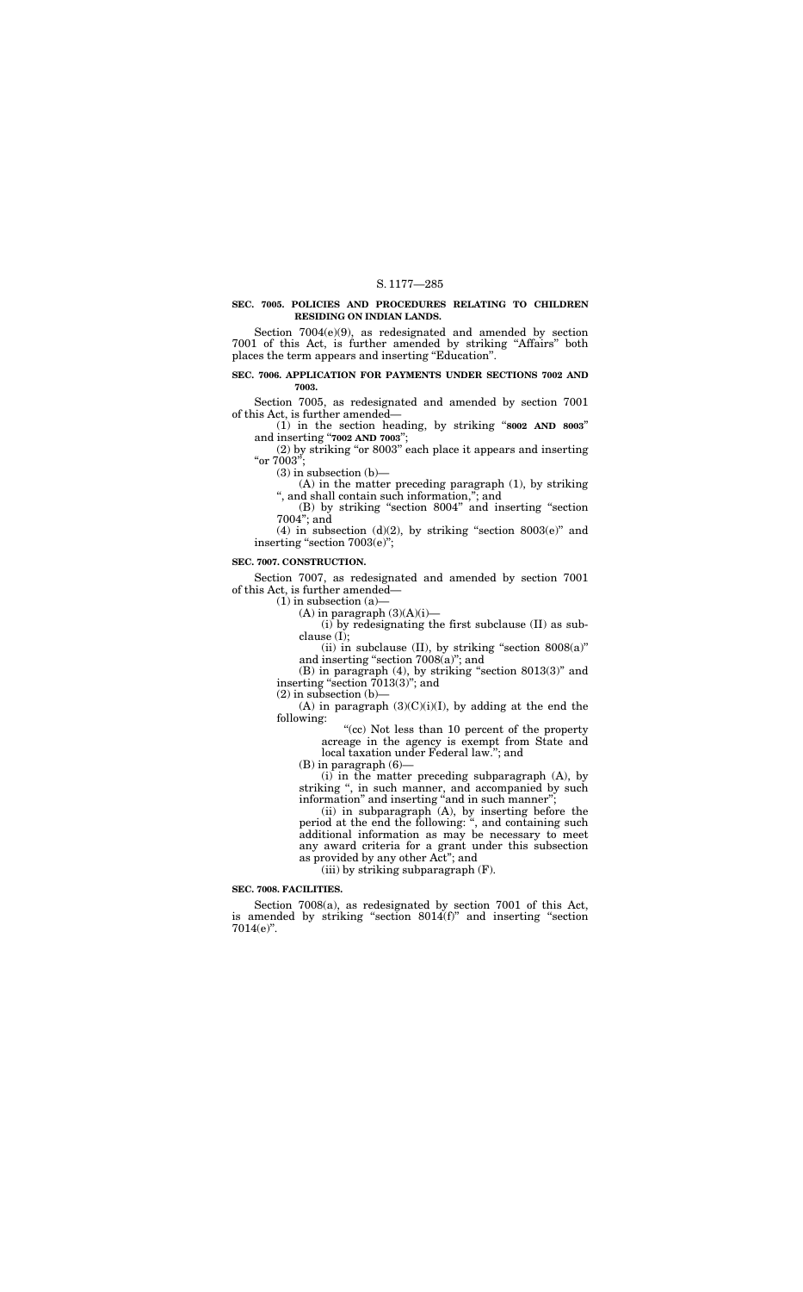#### **SEC. 7005. POLICIES AND PROCEDURES RELATING TO CHILDREN RESIDING ON INDIAN LANDS.**

Section 7004(e)(9), as redesignated and amended by section 7001 of this Act, is further amended by striking ''Affairs'' both places the term appears and inserting ''Education''.

#### **SEC. 7006. APPLICATION FOR PAYMENTS UNDER SECTIONS 7002 AND 7003.**

Section 7005, as redesignated and amended by section 7001 of this Act, is further amended—

(1) in the section heading, by striking ''**8002 AND 8003**'' and inserting ''**7002 AND 7003**'';

(2) by striking "or 8003" each place it appears and inserting "or 7003";

 $(3)$  in subsection  $(b)$ —

(A) in the matter preceding paragraph (1), by striking '', and shall contain such information,''; and

(A) in paragraph  $(3)(C)(i)(I)$ , by adding at the end the following:

(B) by striking ''section 8004'' and inserting ''section 7004''; and

(4) in subsection (d)(2), by striking "section  $8003(e)$ " and inserting "section 7003(e)";

> "(cc) Not less than 10 percent of the property acreage in the agency is exempt from State and local taxation under Federal law.''; and

(i) in the matter preceding subparagraph (A), by striking ", in such manner, and accompanied by such information" and inserting "and in such manner";

#### **SEC. 7007. CONSTRUCTION.**

Section 7007, as redesignated and amended by section 7001 of this Act, is further amended—

 $(1)$  in subsection  $(a)$ 

 $(A)$  in paragraph  $(3)(A)(i)$ —

(i) by redesignating the first subclause (II) as subclause (I);

(ii) in subclause (II), by striking "section  $8008(a)$ " and inserting "section 7008(a)"; and

(B) in paragraph  $(4)$ , by striking "section  $8013(3)$ " and inserting "section 7013(3)"; and

 $(2)$  in subsection  $(b)$ -

(B) in paragraph (6)—

(ii) in subparagraph (A), by inserting before the period at the end the following: '', and containing such additional information as may be necessary to meet any award criteria for a grant under this subsection as provided by any other Act''; and

(iii) by striking subparagraph (F).

#### **SEC. 7008. FACILITIES.**

Section 7008(a), as redesignated by section 7001 of this Act, is amended by striking "section 8014(f)" and inserting "section 7014(e)''.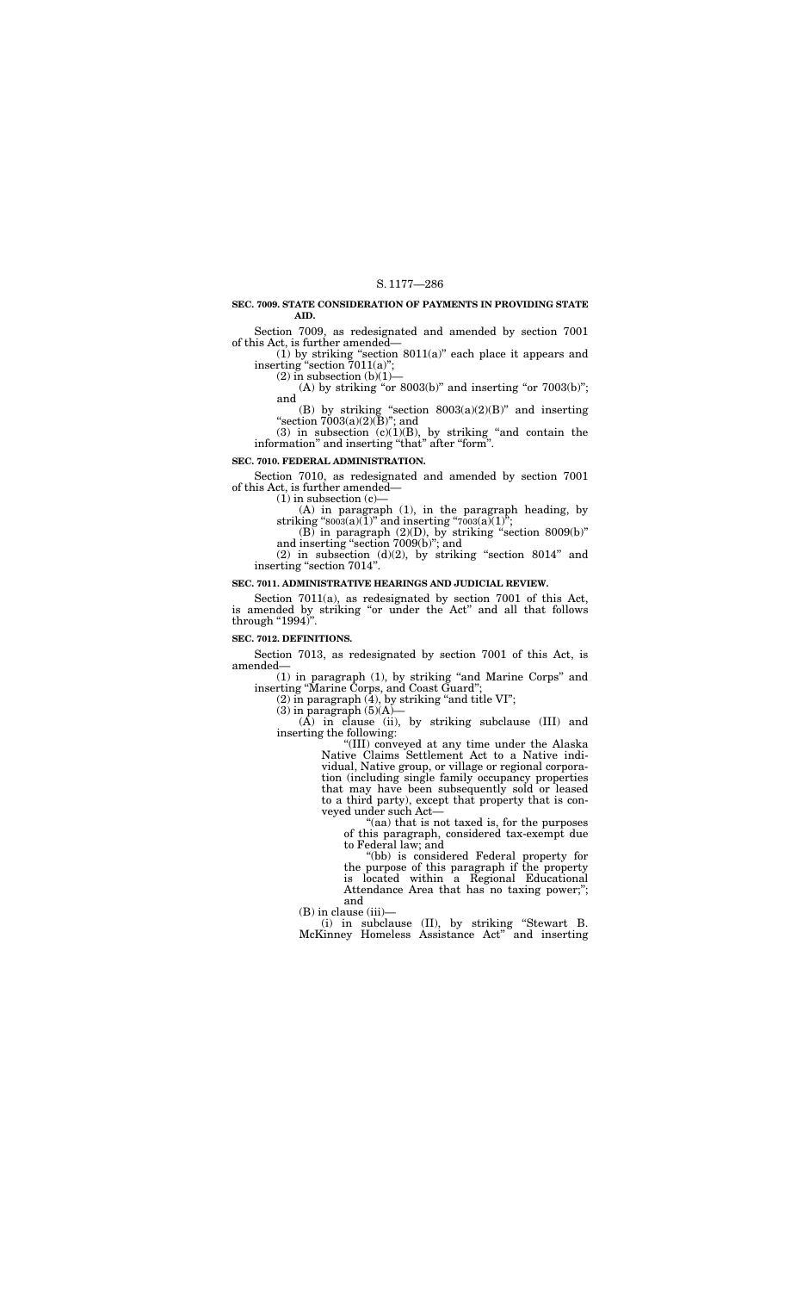#### **SEC. 7009. STATE CONSIDERATION OF PAYMENTS IN PROVIDING STATE AID.**

Section 7009, as redesignated and amended by section 7001 of this Act, is further amended—

(1) by striking "section  $8011(a)$ " each place it appears and inserting "section 7011(a)";

 $(2)$  in subsection  $(b)(1)$ –

(A) by striking "or  $8003(b)$ " and inserting "or  $7003(b)$ "; and

(B) by striking "section  $8003(a)(2)(B)$ " and inserting "section  $7003(a)(2)(B)$ "; and

(3) in subsection  $(c)(1)(B)$ , by striking "and contain the information" and inserting "that" after "form".

(A) in paragraph (1), in the paragraph heading, by striking " $8003(a)(1)$ " and inserting " $7003(a)(1)$ ";

(B) in paragraph  $(2)(D)$ , by striking "section 8009(b)" and inserting ''section 7009(b)''; and

(2) in subsection  $(d)(2)$ , by striking "section 8014" and inserting "section 7014".

Section 7011(a), as redesignated by section 7001 of this Act, is amended by striking "or under the Act" and all that follows through " $1994$ ".

### **SEC. 7010. FEDERAL ADMINISTRATION.**

Section 7010, as redesignated and amended by section 7001 of this Act, is further amended—

 $(1)$  in subsection  $(c)$ 

 $(A)$  in clause (ii), by striking subclause (III) and inserting the following:

#### **SEC. 7011. ADMINISTRATIVE HEARINGS AND JUDICIAL REVIEW.**

#### **SEC. 7012. DEFINITIONS.**

Section 7013, as redesignated by section 7001 of this Act, is amended—

(1) in paragraph (1), by striking ''and Marine Corps'' and inserting ''Marine Corps, and Coast Guard'';

 $(2)$  in paragraph  $(4)$ , by striking "and title VI";

(3) in paragraph  $(5)(A)$ -

''(III) conveyed at any time under the Alaska Native Claims Settlement Act to a Native individual, Native group, or village or regional corporation (including single family occupancy properties that may have been subsequently sold or leased to a third party), except that property that is conveyed under such Act—

''(aa) that is not taxed is, for the purposes of this paragraph, considered tax-exempt due to Federal law; and

''(bb) is considered Federal property for the purpose of this paragraph if the property is located within a Regional Educational Attendance Area that has no taxing power;''; and

(B) in clause (iii)—

(i) in subclause (II), by striking ''Stewart B. McKinney Homeless Assistance Act'' and inserting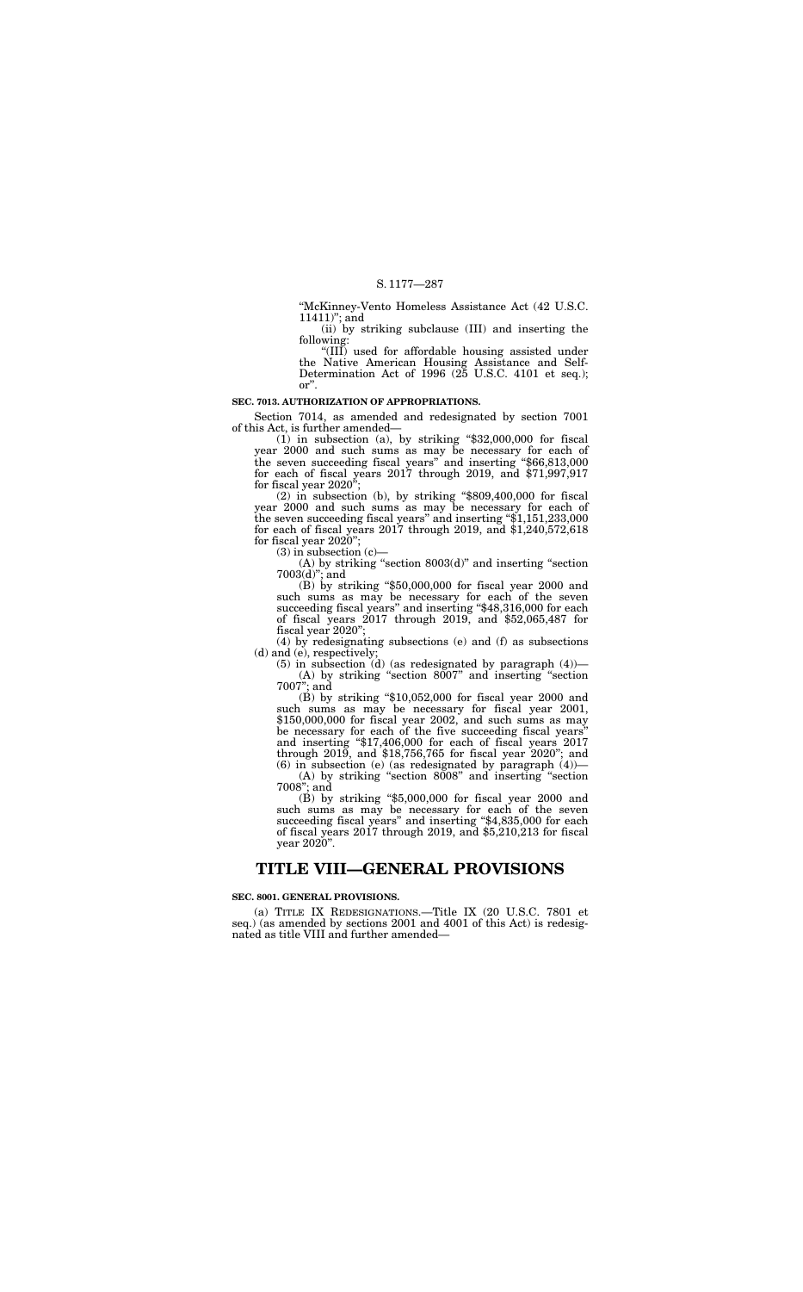''McKinney-Vento Homeless Assistance Act (42 U.S.C. 11411)''; and

(ii) by striking subclause (III) and inserting the following:

''(III) used for affordable housing assisted under the Native American Housing Assistance and Self-Determination Act of 1996 (25 U.S.C. 4101 et seq.); or''.

#### **SEC. 7013. AUTHORIZATION OF APPROPRIATIONS.**

 $(1)$  in subsection (a), by striking "\$32,000,000 for fiscal year 2000 and such sums as may be necessary for each of the seven succeeding fiscal years'' and inserting ''\$66,813,000 for each of fiscal years 2017 through 2019, and \$71,997,917 for fiscal year 2020'';

Section 7014, as amended and redesignated by section 7001 of this Act, is further amended—

 $(2)$  in subsection  $(b)$ , by striking "\$809,400,000 for fiscal year 2000 and such sums as may be necessary for each of the seven succeeding fiscal years" and inserting "\$1,151,233,000 for each of fiscal years 2017 through 2019, and \$1,240,572,618 for fiscal year 2020'';

 $(3)$  in subsection  $(c)$ —

(A) by striking "section 8003(d)" and inserting "section 7003(d)''; and

(5) in subsection (d) (as redesignated by paragraph  $(4)$ )— (A) by striking ''section 8007'' and inserting ''section 7007''; and

(B) by striking ''\$50,000,000 for fiscal year 2000 and such sums as may be necessary for each of the seven succeeding fiscal years" and inserting "\$48,316,000 for each of fiscal years 2017 through 2019, and \$52,065,487 for fiscal year 2020'';

(4) by redesignating subsections (e) and (f) as subsections (d) and (e), respectively;

(B) by striking ''\$10,052,000 for fiscal year 2000 and such sums as may be necessary for fiscal year 2001, \$150,000,000 for fiscal year 2002, and such sums as may be necessary for each of the five succeeding fiscal years'' and inserting ''\$17,406,000 for each of fiscal years 2017 through 2019, and  $$18,756,765$  for fiscal year 2020"; and (6) in subsection (e) (as redesignated by paragraph  $(4)$ )— (A) by striking ''section 8008'' and inserting ''section 7008''; and

(B) by striking ''\$5,000,000 for fiscal year 2000 and such sums as may be necessary for each of the seven succeeding fiscal years" and inserting "\$4,835,000 for each of fiscal years 2017 through 2019, and \$5,210,213 for fiscal year 2020''.

# **TITLE VIII—GENERAL PROVISIONS**

### **SEC. 8001. GENERAL PROVISIONS.**

(a) TITLE IX REDESIGNATIONS.—Title IX (20 U.S.C. 7801 et seq.) (as amended by sections 2001 and 4001 of this Act) is redesignated as title VIII and further amended—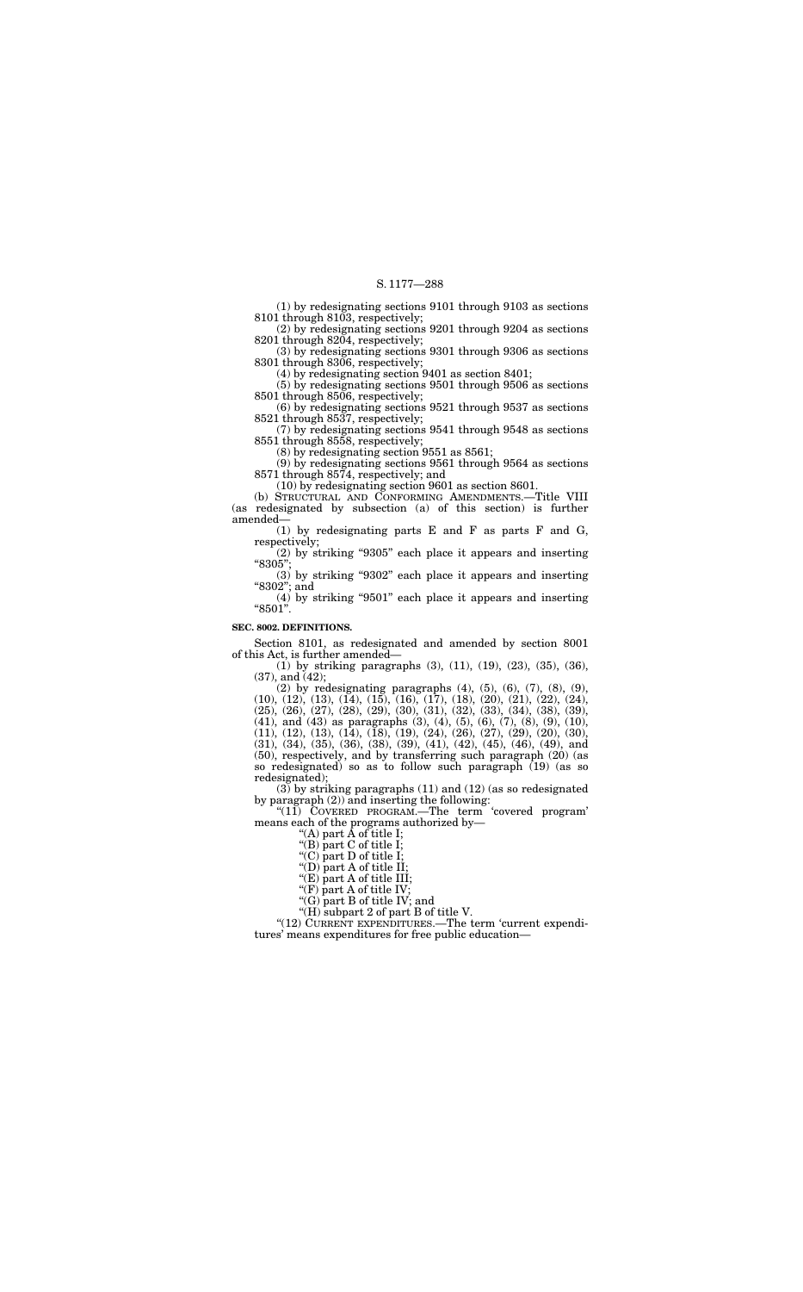(1) by redesignating sections 9101 through 9103 as sections 8101 through 8103, respectively;

(2) by redesignating sections 9201 through 9204 as sections 8201 through 8204, respectively;

(3) by redesignating sections 9301 through 9306 as sections 8301 through 8306, respectively;

(4) by redesignating section 9401 as section 8401;

(5) by redesignating sections 9501 through 9506 as sections 8501 through 8506, respectively;

(6) by redesignating sections 9521 through 9537 as sections 8521 through 8537, respectively;

(7) by redesignating sections 9541 through 9548 as sections 8551 through 8558, respectively;

(8) by redesignating section 9551 as 8561;

(9) by redesignating sections 9561 through 9564 as sections 8571 through 8574, respectively; and

(10) by redesignating section 9601 as section 8601.

(b) STRUCTURAL AND CONFORMING AMENDMENTS.—Title VIII (as redesignated by subsection (a) of this section) is further amended—

(1) by redesignating parts E and F as parts F and G, respectively;

 $(3)$  by striking paragraphs  $(11)$  and  $(12)$  (as so redesignated by paragraph (2)) and inserting the following:

(2) by striking ''9305'' each place it appears and inserting ''8305'';

 $(3)$  by striking "9302" each place it appears and inserting "8302"; and

"(11) COVERED PROGRAM.—The term 'covered program' means each of the programs authorized by—

(4) by striking ''9501'' each place it appears and inserting ''8501''.

### **SEC. 8002. DEFINITIONS.**

"(12) CURRENT EXPENDITURES.—The term 'current expenditures' means expenditures for free public education—

Section 8101, as redesignated and amended by section 8001 of this Act, is further amended—

(1) by striking paragraphs (3), (11), (19), (23), (35), (36), (37), and (42);

(2) by redesignating paragraphs (4), (5), (6), (7), (8), (9),  $(10), (12), (13), (14), (15), (16), (17), (18), (20), (21), (22), (24),$ (25), (26), (27), (28), (29), (30), (31), (32), (33), (34), (38), (39), (41), and (43) as paragraphs (3), (4), (5), (6), (7), (8), (9), (10), (11), (12), (13), (14), (18), (19), (24), (26), (27), (29), (20), (30), (31), (34), (35), (36), (38), (39), (41), (42), (45), (46), (49), and (50), respectively, and by transferring such paragraph (20) (as so redesignated) so as to follow such paragraph (19) (as so redesignated);

''(A) part A of title I;

''(B) part C of title I;

"(C) part D of title I;

"(D) part A of title II;

''(E) part A of title III;

''(F) part A of title IV;

''(G) part B of title IV; and

''(H) subpart 2 of part B of title V.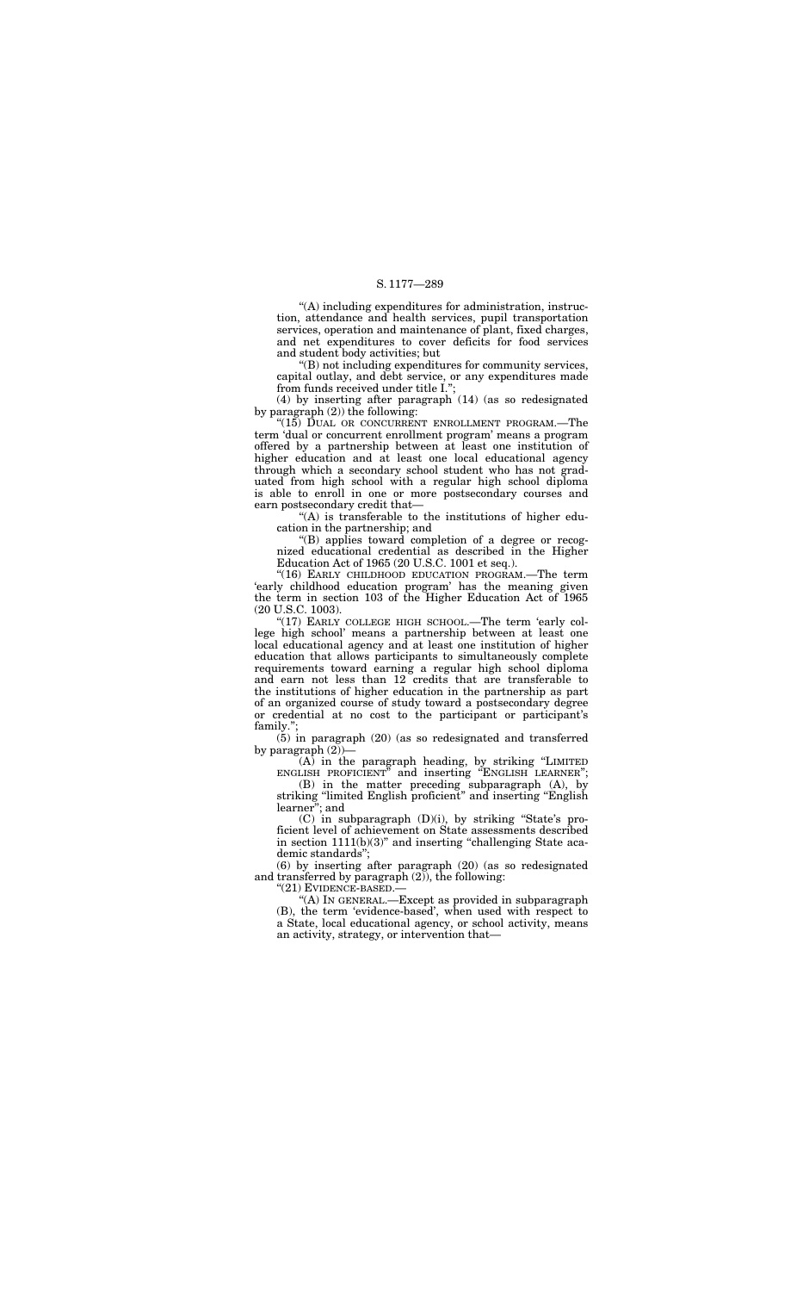''(A) including expenditures for administration, instruction, attendance and health services, pupil transportation services, operation and maintenance of plant, fixed charges, and net expenditures to cover deficits for food services and student body activities; but

''(B) not including expenditures for community services, capital outlay, and debt service, or any expenditures made from funds received under title I.'';

(4) by inserting after paragraph (14) (as so redesignated by paragraph (2)) the following:

"(15) DUAL OR CONCURRENT ENROLLMENT PROGRAM.—The term 'dual or concurrent enrollment program' means a program offered by a partnership between at least one institution of higher education and at least one local educational agency through which a secondary school student who has not graduated from high school with a regular high school diploma is able to enroll in one or more postsecondary courses and earn postsecondary credit that—

"(A) is transferable to the institutions of higher education in the partnership; and

"(16) EARLY CHILDHOOD EDUCATION PROGRAM.—The term 'early childhood education program' has the meaning given the term in section 103 of the Higher Education Act of 1965 (20 U.S.C. 1003).

"(17) EARLY COLLEGE HIGH SCHOOL.—The term 'early college high school' means a partnership between at least one local educational agency and at least one institution of higher education that allows participants to simultaneously complete requirements toward earning a regular high school diploma and earn not less than 12 credits that are transferable to the institutions of higher education in the partnership as part of an organized course of study toward a postsecondary degree or credential at no cost to the participant or participant's family."

''(B) applies toward completion of a degree or recognized educational credential as described in the Higher Education Act of 1965 (20 U.S.C. 1001 et seq.).

(5) in paragraph (20) (as so redesignated and transferred by paragraph (2))—

(A) in the paragraph heading, by striking ''LIMITED ENGLISH PROFICIENT'' and inserting ''ENGLISH LEARNER'';

(B) in the matter preceding subparagraph (A), by striking "limited English proficient" and inserting "English learner''; and

(C) in subparagraph (D)(i), by striking ''State's proficient level of achievement on State assessments described in section  $1111(b)(3)$ " and inserting "challenging State academic standards'';

(6) by inserting after paragraph (20) (as so redesignated and transferred by paragraph (2)), the following:

''(21) EVIDENCE-BASED.—

''(A) IN GENERAL.—Except as provided in subparagraph (B), the term 'evidence-based', when used with respect to a State, local educational agency, or school activity, means an activity, strategy, or intervention that—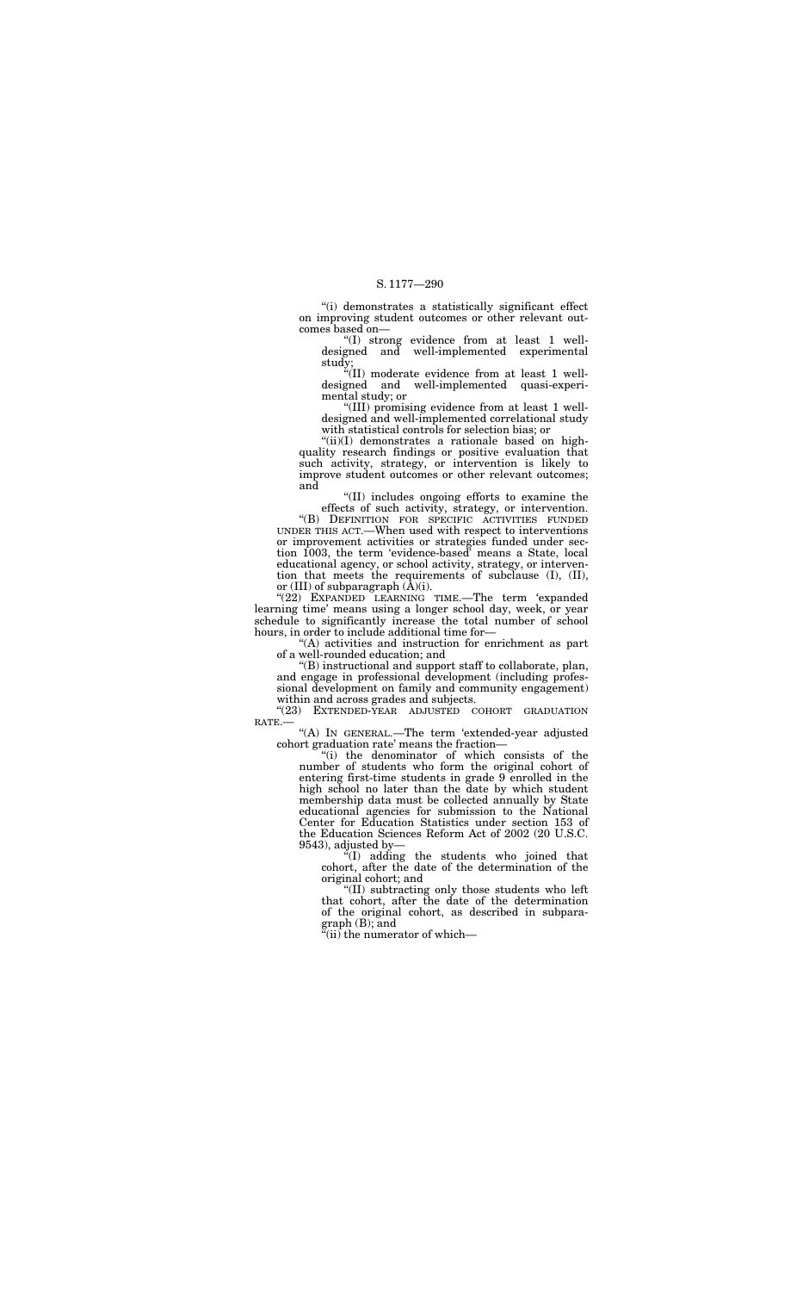''(i) demonstrates a statistically significant effect on improving student outcomes or other relevant outcomes based on—

''(I) strong evidence from at least 1 welldesigned and well-implemented experimental study;

''(II) moderate evidence from at least 1 welldesigned and well-implemented quasi-experimental study; or

 $(ii)(I)$  demonstrates a rationale based on highquality research findings or positive evaluation that such activity, strategy, or intervention is likely to improve student outcomes or other relevant outcomes; and

''(B) DEFINITION FOR SPECIFIC ACTIVITIES FUNDED UNDER THIS ACT.—When used with respect to interventions or improvement activities or strategies funded under section 1003, the term 'evidence-based' means a State, local educational agency, or school activity, strategy, or intervention that meets the requirements of subclause (I), (II), or (III) of subparagraph  $(\bar{A})(i)$ .

''(III) promising evidence from at least 1 welldesigned and well-implemented correlational study with statistical controls for selection bias; or

"(22) EXPANDED LEARNING TIME.—The term 'expanded learning time' means using a longer school day, week, or year schedule to significantly increase the total number of school hours, in order to include additional time for—

''(II) includes ongoing efforts to examine the effects of such activity, strategy, or intervention.

''(A) activities and instruction for enrichment as part of a well-rounded education; and

''(B) instructional and support staff to collaborate, plan, and engage in professional development (including professional development on family and community engagement) within and across grades and subjects.

''(23) EXTENDED-YEAR ADJUSTED COHORT GRADUATION RATE.—

''(A) IN GENERAL.—The term 'extended-year adjusted cohort graduation rate' means the fraction—

''(i) the denominator of which consists of the number of students who form the original cohort of entering first-time students in grade 9 enrolled in the high school no later than the date by which student membership data must be collected annually by State educational agencies for submission to the National Center for Education Statistics under section 153 of the Education Sciences Reform Act of 2002 (20 U.S.C. 9543), adjusted by—

''(I) adding the students who joined that cohort, after the date of the determination of the original cohort; and

''(II) subtracting only those students who left that cohort, after the date of the determination of the original cohort, as described in subparagraph (B); and

''(ii) the numerator of which—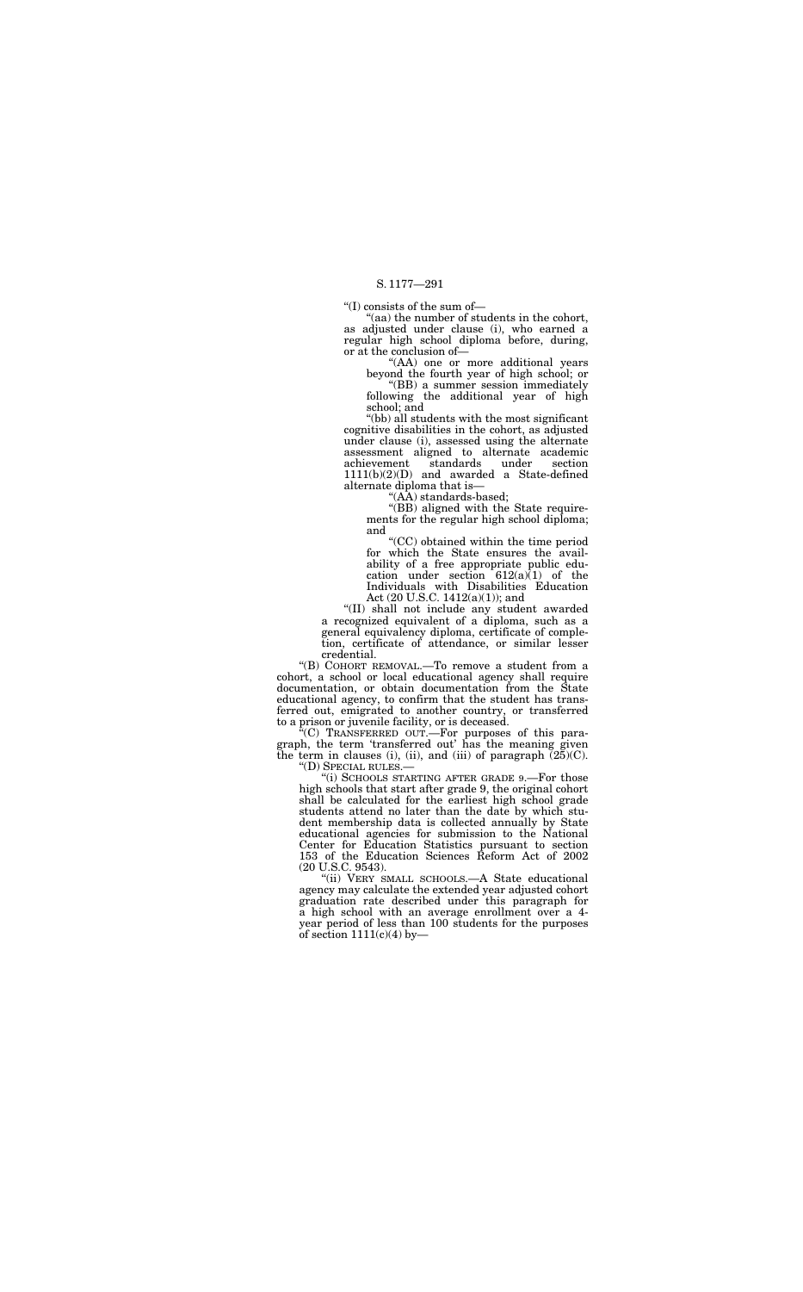''(I) consists of the sum of—

''(aa) the number of students in the cohort, as adjusted under clause (i), who earned a regular high school diploma before, during, or at the conclusion of—

''(AA) one or more additional years beyond the fourth year of high school; or

''(BB) a summer session immediately following the additional year of high school; and

''(bb) all students with the most significant cognitive disabilities in the cohort, as adjusted under clause (i), assessed using the alternate assessment aligned to alternate academic achievement 1111(b)(2)(D) and awarded a State-defined alternate diploma that is—

''(AA) standards-based;

''(BB) aligned with the State requirements for the regular high school diploma; and

''(C) TRANSFERRED OUT.—For purposes of this paragraph, the term 'transferred out' has the meaning given the term in clauses (i), (ii), and (iii) of paragraph  $(25)(C)$ .

''(CC) obtained within the time period for which the State ensures the availability of a free appropriate public education under section  $612(a)$ (1) of the Individuals with Disabilities Education Act (20 U.S.C. 1412(a)(1)); and

''(ii) VERY SMALL SCHOOLS.—A State educational agency may calculate the extended year adjusted cohort graduation rate described under this paragraph for a high school with an average enrollment over a 4 year period of less than 100 students for the purposes of section  $1111(c)(4)$  by-

''(II) shall not include any student awarded a recognized equivalent of a diploma, such as a general equivalency diploma, certificate of completion, certificate of attendance, or similar lesser credential.

''(B) COHORT REMOVAL.—To remove a student from a cohort, a school or local educational agency shall require documentation, or obtain documentation from the State educational agency, to confirm that the student has transferred out, emigrated to another country, or transferred to a prison or juvenile facility, or is deceased.

''(D) SPECIAL RULES.—

''(i) SCHOOLS STARTING AFTER GRADE 9.—For those high schools that start after grade 9, the original cohort shall be calculated for the earliest high school grade students attend no later than the date by which student membership data is collected annually by State educational agencies for submission to the National Center for Education Statistics pursuant to section 153 of the Education Sciences Reform Act of 2002 (20 U.S.C. 9543).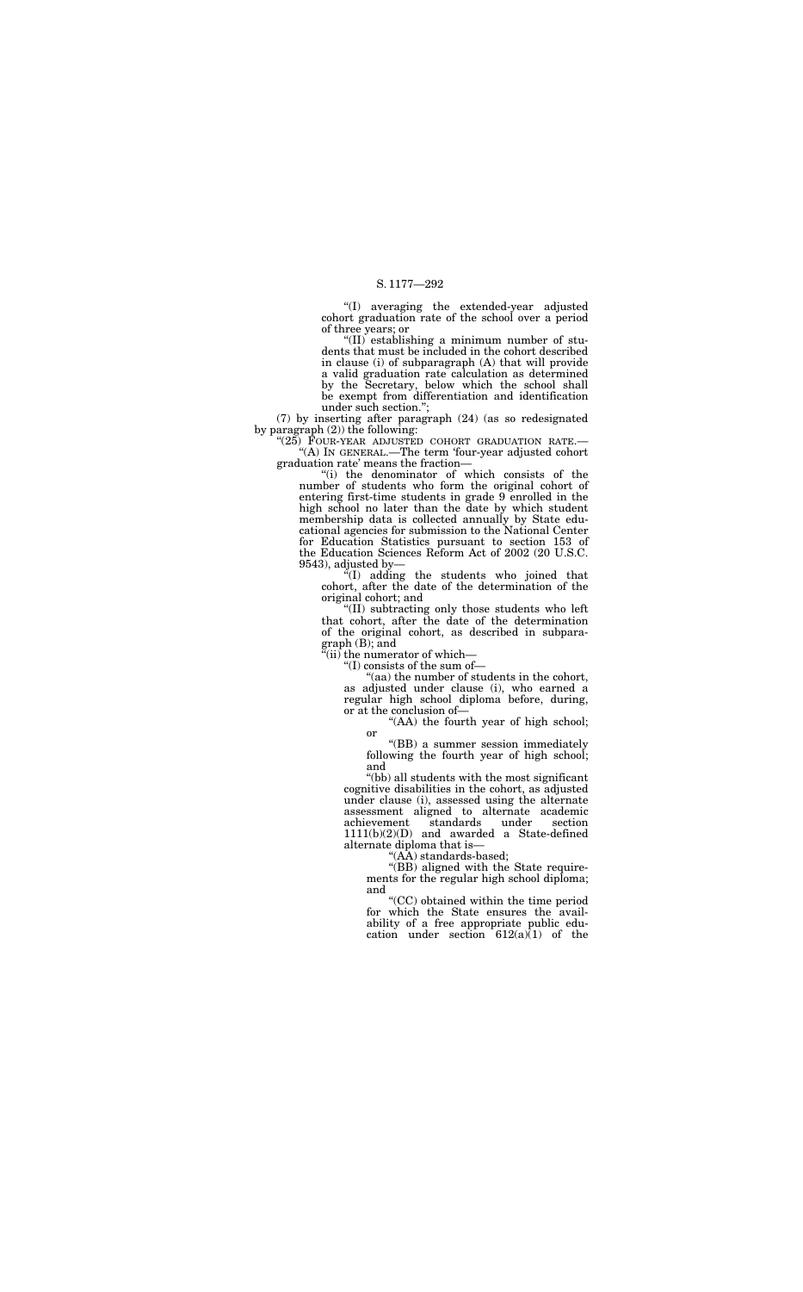''(I) averaging the extended-year adjusted cohort graduation rate of the school over a period of three years; or

"(II) establishing a minimum number of students that must be included in the cohort described in clause (i) of subparagraph (A) that will provide a valid graduation rate calculation as determined by the Secretary, below which the school shall be exempt from differentiation and identification under such section.'';

"(25) FOUR-YEAR ADJUSTED COHORT GRADUATION RATE.-''(A) IN GENERAL.—The term 'four-year adjusted cohort graduation rate' means the fraction—

(7) by inserting after paragraph (24) (as so redesignated by paragraph (2)) the following:

> ''(II) subtracting only those students who left that cohort, after the date of the determination of the original cohort, as described in subparagraph  $(B)$ ; and

'(ii) the numerator of which-

"(AA) the fourth year of high school; or

''(i) the denominator of which consists of the number of students who form the original cohort of entering first-time students in grade 9 enrolled in the high school no later than the date by which student membership data is collected annually by State educational agencies for submission to the National Center for Education Statistics pursuant to section 153 of the Education Sciences Reform Act of 2002 (20 U.S.C. 9543), adjusted by—

> ''(CC) obtained within the time period for which the State ensures the availability of a free appropriate public education under section  $612(a)$ (1) of the

''(I) adding the students who joined that cohort, after the date of the determination of the original cohort; and

''(I) consists of the sum of—

''(aa) the number of students in the cohort, as adjusted under clause (i), who earned a regular high school diploma before, during, or at the conclusion of—

''(BB) a summer session immediately following the fourth year of high school; and

''(bb) all students with the most significant cognitive disabilities in the cohort, as adjusted under clause (i), assessed using the alternate assessment aligned to alternate academic achievement standards under section 1111(b)(2)(D) and awarded a State-defined alternate diploma that is—

''(AA) standards-based;

''(BB) aligned with the State requirements for the regular high school diploma; and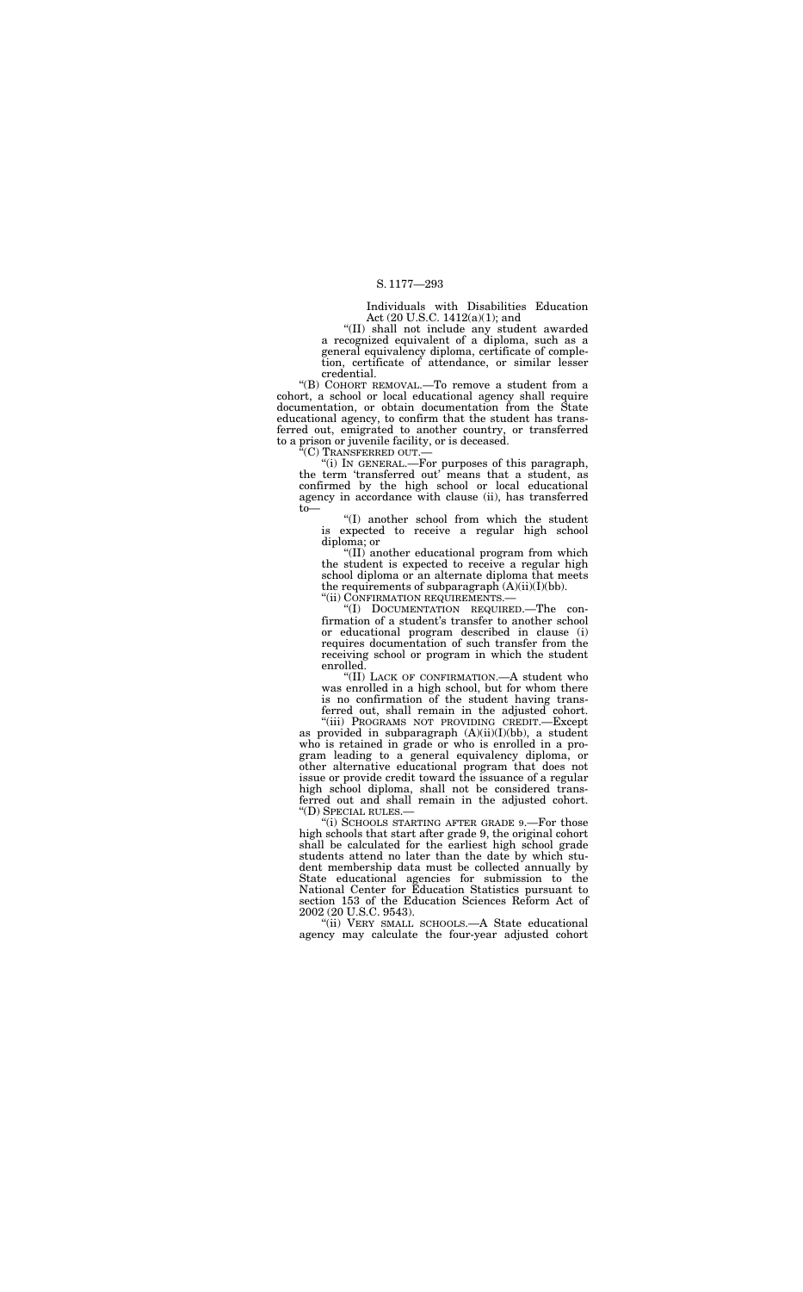Individuals with Disabilities Education Act (20 U.S.C. 1412(a)(1); and

''(II) shall not include any student awarded a recognized equivalent of a diploma, such as a general equivalency diploma, certificate of completion, certificate of attendance, or similar lesser credential.

''(B) COHORT REMOVAL.—To remove a student from a cohort, a school or local educational agency shall require documentation, or obtain documentation from the State educational agency, to confirm that the student has transferred out, emigrated to another country, or transferred to a prison or juvenile facility, or is deceased.

"(C) TRANSFERRED OUT.-

''(II) another educational program from which the student is expected to receive a regular high school diploma or an alternate diploma that meets the requirements of subparagraph  $(A)(ii)(I)(bb)$ .<br>"(ii) CONFIRMATION REQUIREMENTS.—

"(I) DOCUMENTATION REQUIRED.—The confirmation of a student's transfer to another school or educational program described in clause (i) requires documentation of such transfer from the receiving school or program in which the student enrolled.

''(i) IN GENERAL.—For purposes of this paragraph, the term 'transferred out' means that a student, as confirmed by the high school or local educational agency in accordance with clause (ii), has transferred to—

''(I) another school from which the student is expected to receive a regular high school diploma; or

''(II) LACK OF CONFIRMATION.—A student who was enrolled in a high school, but for whom there is no confirmation of the student having transferred out, shall remain in the adjusted cohort.

''(iii) PROGRAMS NOT PROVIDING CREDIT.—Except as provided in subparagraph  $(A)(ii)(I)(bb)$ , a student who is retained in grade or who is enrolled in a program leading to a general equivalency diploma, or other alternative educational program that does not issue or provide credit toward the issuance of a regular high school diploma, shall not be considered transferred out and shall remain in the adjusted cohort. ''(D) SPECIAL RULES.—

''(i) SCHOOLS STARTING AFTER GRADE 9.—For those high schools that start after grade 9, the original cohort shall be calculated for the earliest high school grade students attend no later than the date by which student membership data must be collected annually by State educational agencies for submission to the National Center for Education Statistics pursuant to section 153 of the Education Sciences Reform Act of 2002 (20 U.S.C. 9543).

''(ii) VERY SMALL SCHOOLS.—A State educational agency may calculate the four-year adjusted cohort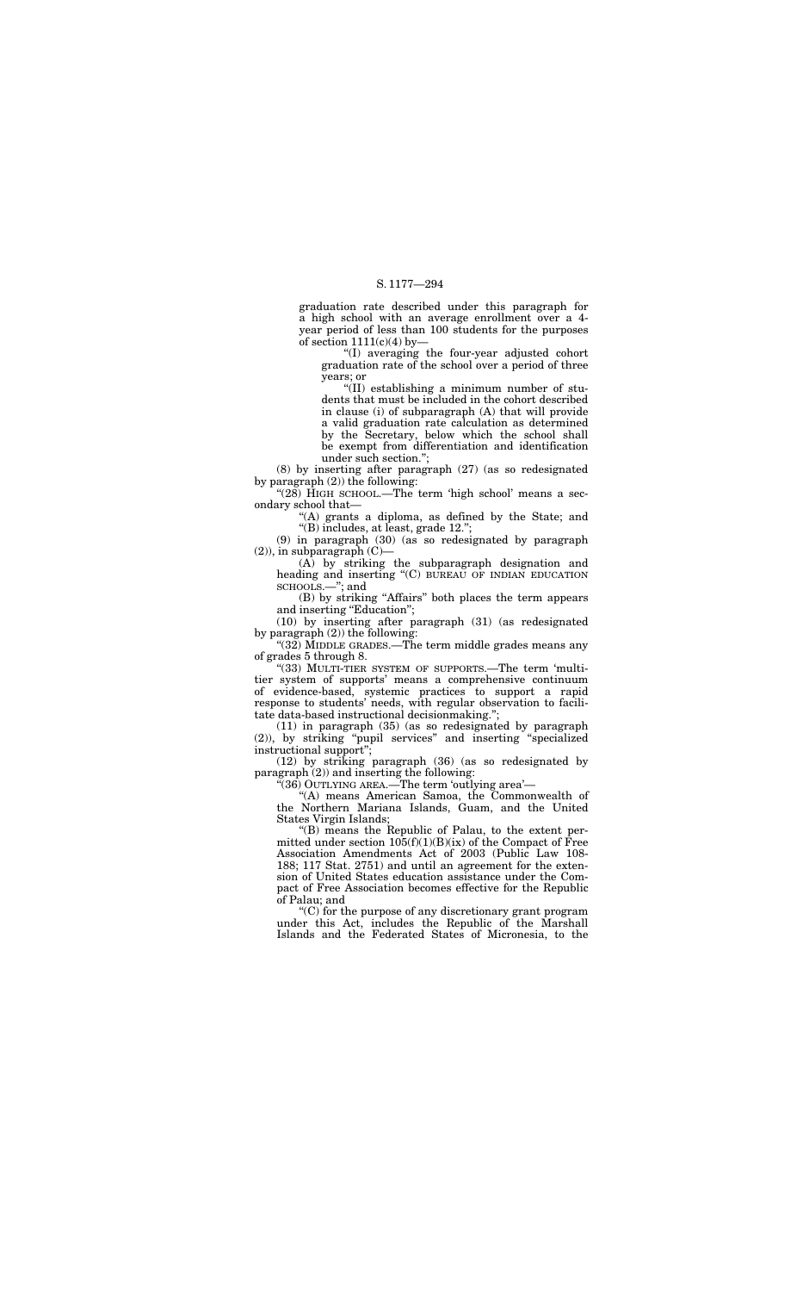graduation rate described under this paragraph for a high school with an average enrollment over a 4 year period of less than 100 students for the purposes of section  $1111(c)(4)$  by-

''(I) averaging the four-year adjusted cohort graduation rate of the school over a period of three years; or

"(28) HIGH SCHOOL.—The term 'high school' means a secondary school that—

(9) in paragraph (30) (as so redesignated by paragraph  $(2)$ ), in subparagraph  $(C)$ —

''(II) establishing a minimum number of students that must be included in the cohort described in clause (i) of subparagraph (A) that will provide a valid graduation rate calculation as determined by the Secretary, below which the school shall be exempt from differentiation and identification under such section.'';

(A) by striking the subparagraph designation and heading and inserting "(C) BUREAU OF INDIAN EDUCATION SCHOOLS.—"; and

(B) by striking ''Affairs'' both places the term appears and inserting "Education";

(8) by inserting after paragraph (27) (as so redesignated by paragraph (2)) the following:

" $(32)$  MIDDLE GRADES.—The term middle grades means any of grades 5 through 8.

"(33) MULTI-TIER SYSTEM OF SUPPORTS.—The term 'multitier system of supports' means a comprehensive continuum of evidence-based, systemic practices to support a rapid response to students' needs, with regular observation to facilitate data-based instructional decisionmaking.'';

''(A) grants a diploma, as defined by the State; and ''(B) includes, at least, grade 12.'';

(10) by inserting after paragraph (31) (as redesignated by paragraph (2)) the following:

(11) in paragraph (35) (as so redesignated by paragraph (2)), by striking ''pupil services'' and inserting ''specialized instructional support'';

(12) by striking paragraph (36) (as so redesignated by paragraph (2)) and inserting the following:

 $\cdot$ (36) OUTLYING AREA.—The term 'outlying area'—

''(A) means American Samoa, the Commonwealth of the Northern Mariana Islands, Guam, and the United States Virgin Islands;

''(B) means the Republic of Palau, to the extent permitted under section  $105(f)(1)(B)(ix)$  of the Compact of Free Association Amendments Act of 2003 (Public Law 108- 188; 117 Stat. 2751) and until an agreement for the extension of United States education assistance under the Compact of Free Association becomes effective for the Republic of Palau; and

''(C) for the purpose of any discretionary grant program under this Act, includes the Republic of the Marshall Islands and the Federated States of Micronesia, to the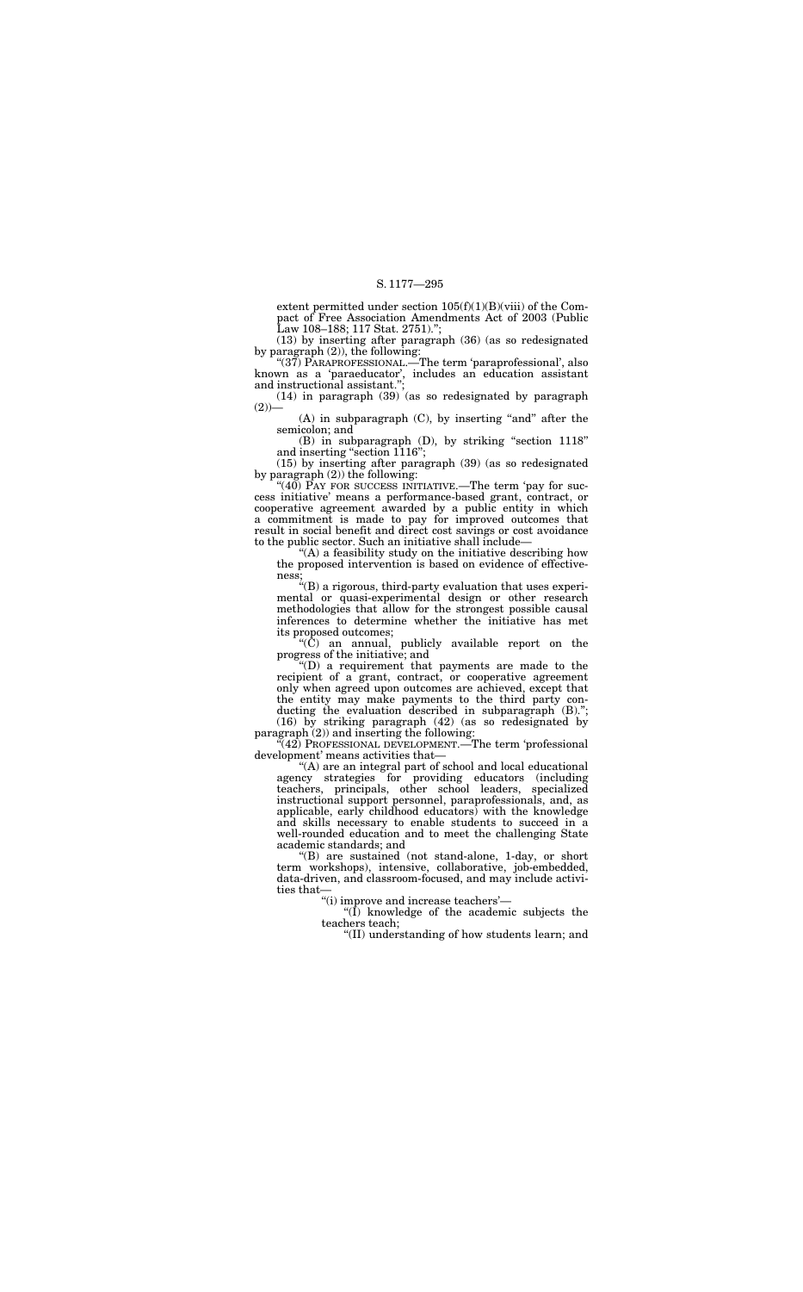extent permitted under section 105(f)(1)(B)(viii) of the Compact of Free Association Amendments Act of 2003 (Public Law 108–188; 117 Stat. 2751).'';

''(37) PARAPROFESSIONAL.—The term 'paraprofessional', also known as a 'paraeducator', includes an education assistant and instructional assistant."

(14) in paragraph (39) (as so redesignated by paragraph  $(2)$ 

(13) by inserting after paragraph (36) (as so redesignated by paragraph (2)), the following:

 $(A)$  in subparagraph  $(C)$ , by inserting "and" after the semicolon; and

(B) in subparagraph (D), by striking "section 1118" and inserting "section 1116";

"(40) PAY FOR SUCCESS INITIATIVE.—The term 'pay for success initiative' means a performance-based grant, contract, or cooperative agreement awarded by a public entity in which a commitment is made to pay for improved outcomes that result in social benefit and direct cost savings or cost avoidance to the public sector. Such an initiative shall include—

(15) by inserting after paragraph (39) (as so redesignated by paragraph (2)) the following:

"(42) PROFESSIONAL DEVELOPMENT.—The term 'professional development' means activities that—

''(A) a feasibility study on the initiative describing how the proposed intervention is based on evidence of effectiveness;

''(B) a rigorous, third-party evaluation that uses experimental or quasi-experimental design or other research methodologies that allow for the strongest possible causal inferences to determine whether the initiative has met its proposed outcomes;

> " $(\hat{I})$  knowledge of the academic subjects the teachers teach;

''(C) an annual, publicly available report on the progress of the initiative; and

''(D) a requirement that payments are made to the recipient of a grant, contract, or cooperative agreement only when agreed upon outcomes are achieved, except that the entity may make payments to the third party conducting the evaluation described in subparagraph (B)."; (16) by striking paragraph (42) (as so redesignated by

paragraph (2)) and inserting the following:

''(A) are an integral part of school and local educational agency strategies for providing educators (including teachers, principals, other school leaders, specialized instructional support personnel, paraprofessionals, and, as applicable, early childhood educators) with the knowledge and skills necessary to enable students to succeed in a well-rounded education and to meet the challenging State academic standards; and

''(B) are sustained (not stand-alone, 1-day, or short term workshops), intensive, collaborative, job-embedded, data-driven, and classroom-focused, and may include activities that—

''(i) improve and increase teachers'—

''(II) understanding of how students learn; and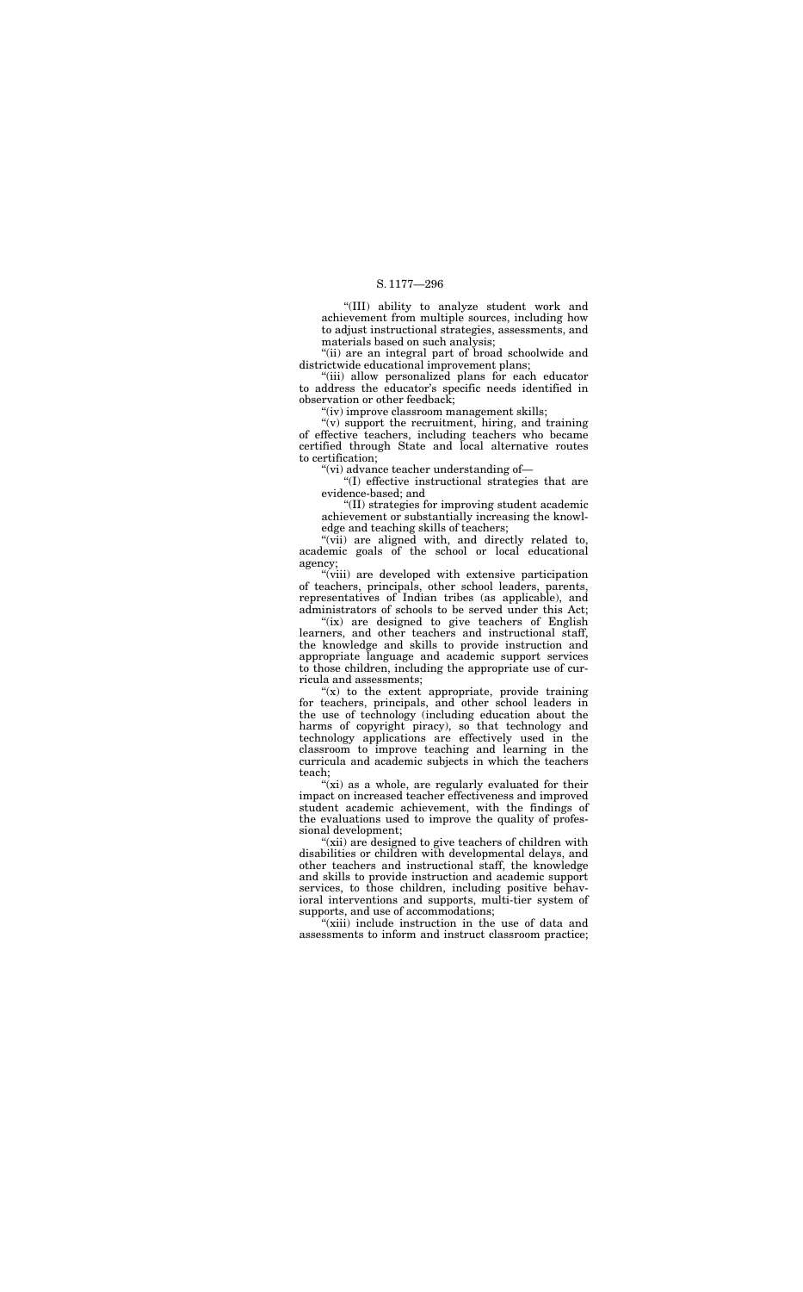''(III) ability to analyze student work and achievement from multiple sources, including how to adjust instructional strategies, assessments, and materials based on such analysis;

''(ii) are an integral part of broad schoolwide and districtwide educational improvement plans;

" $(v)$  support the recruitment, hiring, and training of effective teachers, including teachers who became certified through State and local alternative routes to certification;

''(iii) allow personalized plans for each educator to address the educator's specific needs identified in observation or other feedback;

''(iv) improve classroom management skills;

"(vii) are aligned with, and directly related to, academic goals of the school or local educational agency;

"(viii) are developed with extensive participation of teachers, principals, other school leaders, parents, representatives of Indian tribes (as applicable), and administrators of schools to be served under this Act;

''(vi) advance teacher understanding of—

''(I) effective instructional strategies that are evidence-based; and

"(ix) are designed to give teachers of English learners, and other teachers and instructional staff, the knowledge and skills to provide instruction and appropriate language and academic support services to those children, including the appropriate use of curricula and assessments;

''(II) strategies for improving student academic achievement or substantially increasing the knowledge and teaching skills of teachers;

 $f(x)$  to the extent appropriate, provide training for teachers, principals, and other school leaders in the use of technology (including education about the harms of copyright piracy), so that technology and technology applications are effectively used in the classroom to improve teaching and learning in the curricula and academic subjects in which the teachers teach;

" $(xi)$  as a whole, are regularly evaluated for their impact on increased teacher effectiveness and improved student academic achievement, with the findings of the evaluations used to improve the quality of professional development;

"(xiii) include instruction in the use of data and assessments to inform and instruct classroom practice;

''(xii) are designed to give teachers of children with disabilities or children with developmental delays, and other teachers and instructional staff, the knowledge and skills to provide instruction and academic support services, to those children, including positive behavioral interventions and supports, multi-tier system of supports, and use of accommodations;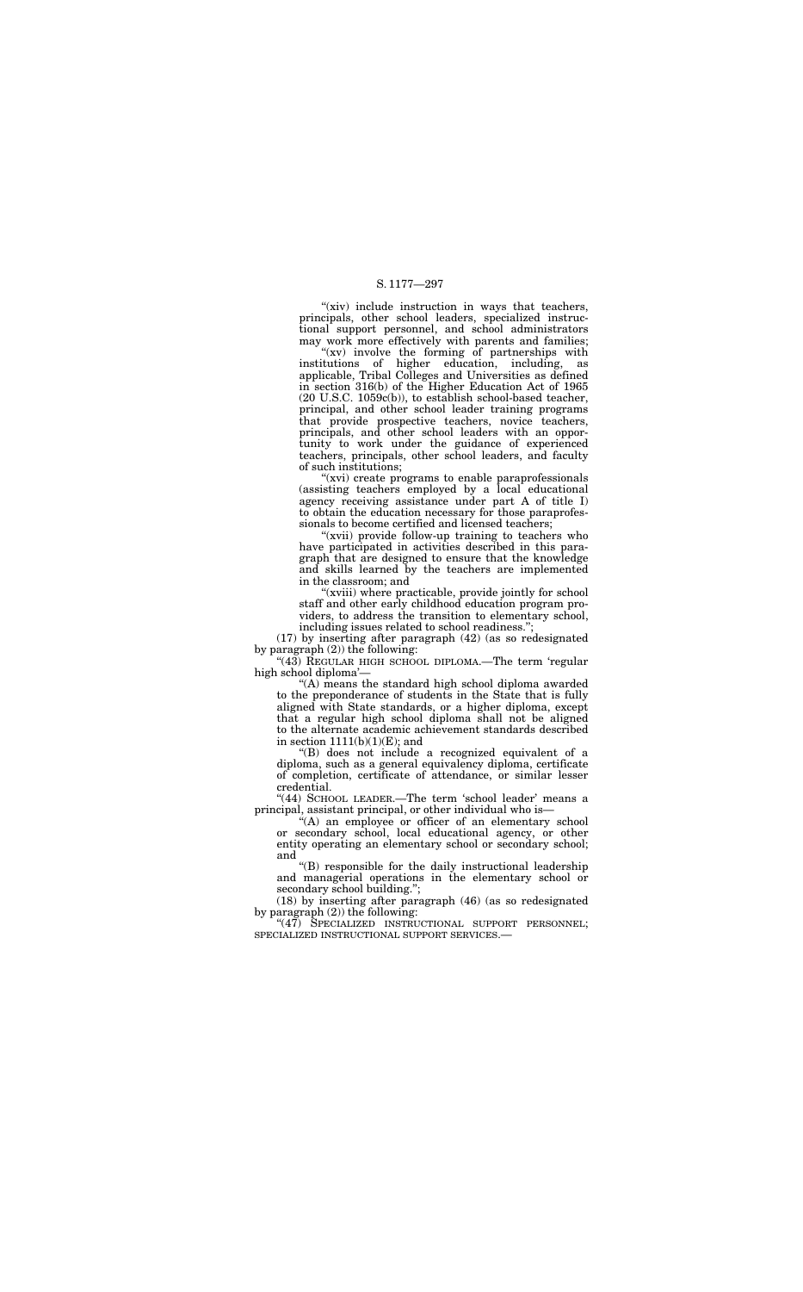"(xiv) include instruction in ways that teachers, principals, other school leaders, specialized instructional support personnel, and school administrators may work more effectively with parents and families;

"(xv) involve the forming of partnerships with institutions of higher education, including, as applicable, Tribal Colleges and Universities as defined in section 316(b) of the Higher Education Act of 1965 (20 U.S.C. 1059c(b)), to establish school-based teacher, principal, and other school leader training programs that provide prospective teachers, novice teachers, principals, and other school leaders with an opportunity to work under the guidance of experienced teachers, principals, other school leaders, and faculty of such institutions;

"(xvii) provide follow-up training to teachers who have participated in activities described in this paragraph that are designed to ensure that the knowledge and skills learned by the teachers are implemented in the classroom; and

"(xviii) where practicable, provide jointly for school staff and other early childhood education program providers, to address the transition to elementary school, including issues related to school readiness.'';

(17) by inserting after paragraph (42) (as so redesignated by paragraph  $(2)$ ) the following:

''(xvi) create programs to enable paraprofessionals (assisting teachers employed by a local educational agency receiving assistance under part A of title I) to obtain the education necessary for those paraprofessionals to become certified and licensed teachers;

"(44) SCHOOL LEADER.-The term 'school leader' means a principal, assistant principal, or other individual who is—

"(A) an employee or officer of an elementary school or secondary school, local educational agency, or other entity operating an elementary school or secondary school; and

''(B) responsible for the daily instructional leadership and managerial operations in the elementary school or secondary school building.";

"(47) SPECIALIZED INSTRUCTIONAL SUPPORT PERSONNEL: SPECIALIZED INSTRUCTIONAL SUPPORT SERVICES.—

''(43) REGULAR HIGH SCHOOL DIPLOMA.—The term 'regular high school diploma'—

"(A) means the standard high school diploma awarded to the preponderance of students in the State that is fully aligned with State standards, or a higher diploma, except that a regular high school diploma shall not be aligned to the alternate academic achievement standards described in section  $1111(b)(1)(E)$ ; and

''(B) does not include a recognized equivalent of a diploma, such as a general equivalency diploma, certificate of completion, certificate of attendance, or similar lesser credential.

(18) by inserting after paragraph (46) (as so redesignated by paragraph (2)) the following: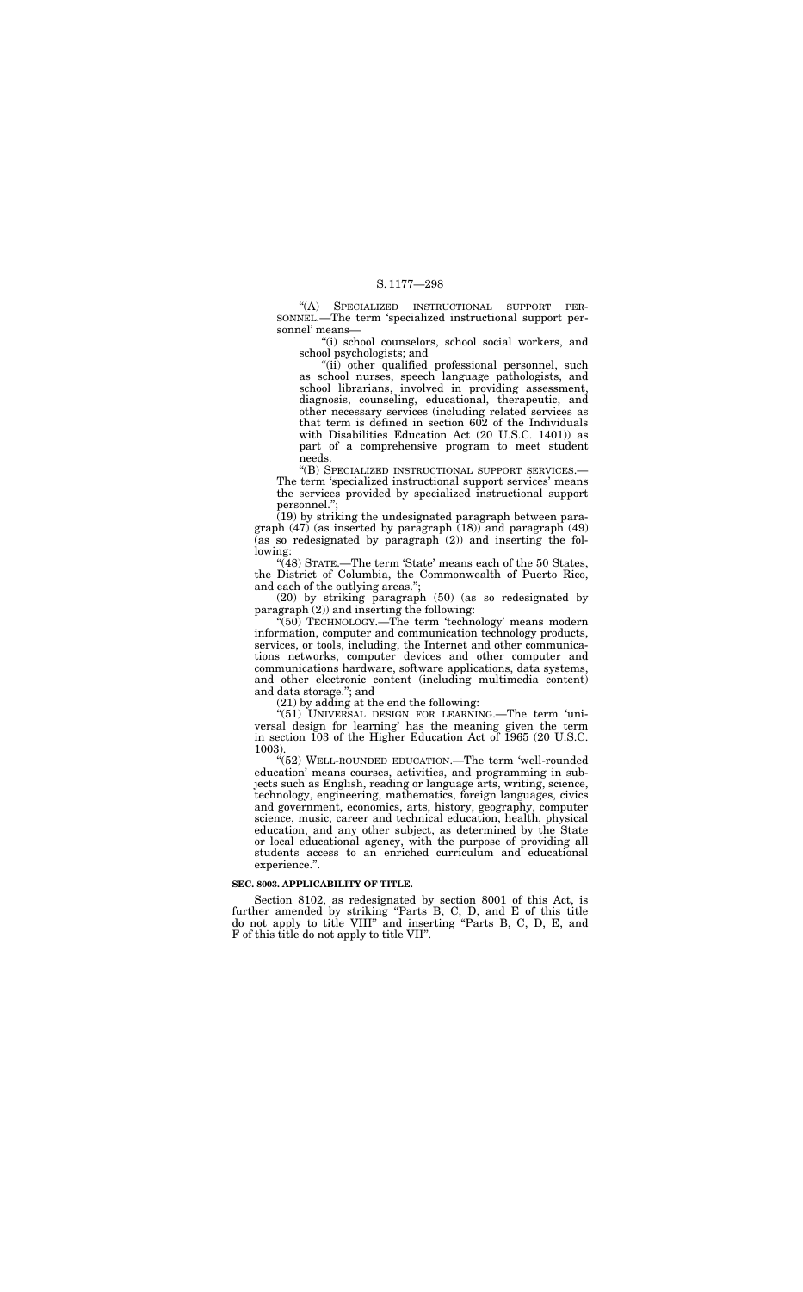''(A) SPECIALIZED INSTRUCTIONAL SUPPORT PER-SONNEL.—The term 'specialized instructional support personnel' means—

''(i) school counselors, school social workers, and school psychologists; and

''(B) SPECIALIZED INSTRUCTIONAL SUPPORT SERVICES.— The term 'specialized instructional support services' means the services provided by specialized instructional support personnel."

''(ii) other qualified professional personnel, such as school nurses, speech language pathologists, and school librarians, involved in providing assessment, diagnosis, counseling, educational, therapeutic, and other necessary services (including related services as that term is defined in section 602 of the Individuals with Disabilities Education Act (20 U.S.C. 1401)) as part of a comprehensive program to meet student needs.

"(48) STATE.—The term 'State' means each of the 50 States, the District of Columbia, the Commonwealth of Puerto Rico, and each of the outlying areas.'';

(19) by striking the undesignated paragraph between paragraph (47) (as inserted by paragraph (18)) and paragraph (49) (as so redesignated by paragraph (2)) and inserting the following:

(20) by striking paragraph (50) (as so redesignated by paragraph (2)) and inserting the following:

"(52) WELL-ROUNDED EDUCATION.—The term 'well-rounded education' means courses, activities, and programming in subjects such as English, reading or language arts, writing, science, technology, engineering, mathematics, foreign languages, civics and government, economics, arts, history, geography, computer science, music, career and technical education, health, physical education, and any other subject, as determined by the State or local educational agency, with the purpose of providing all students access to an enriched curriculum and educational experience.''.

''(50) TECHNOLOGY.—The term 'technology' means modern information, computer and communication technology products, services, or tools, including, the Internet and other communications networks, computer devices and other computer and communications hardware, software applications, data systems, and other electronic content (including multimedia content) and data storage.''; and

(21) by adding at the end the following:

''(51) UNIVERSAL DESIGN FOR LEARNING.—The term 'universal design for learning' has the meaning given the term in section 103 of the Higher Education Act of 1965 (20 U.S.C. 1003).

### **SEC. 8003. APPLICABILITY OF TITLE.**

Section 8102, as redesignated by section 8001 of this Act, is further amended by striking "Parts B, C, D, and E of this title do not apply to title VIII'' and inserting ''Parts B, C, D, E, and F of this title do not apply to title VII''.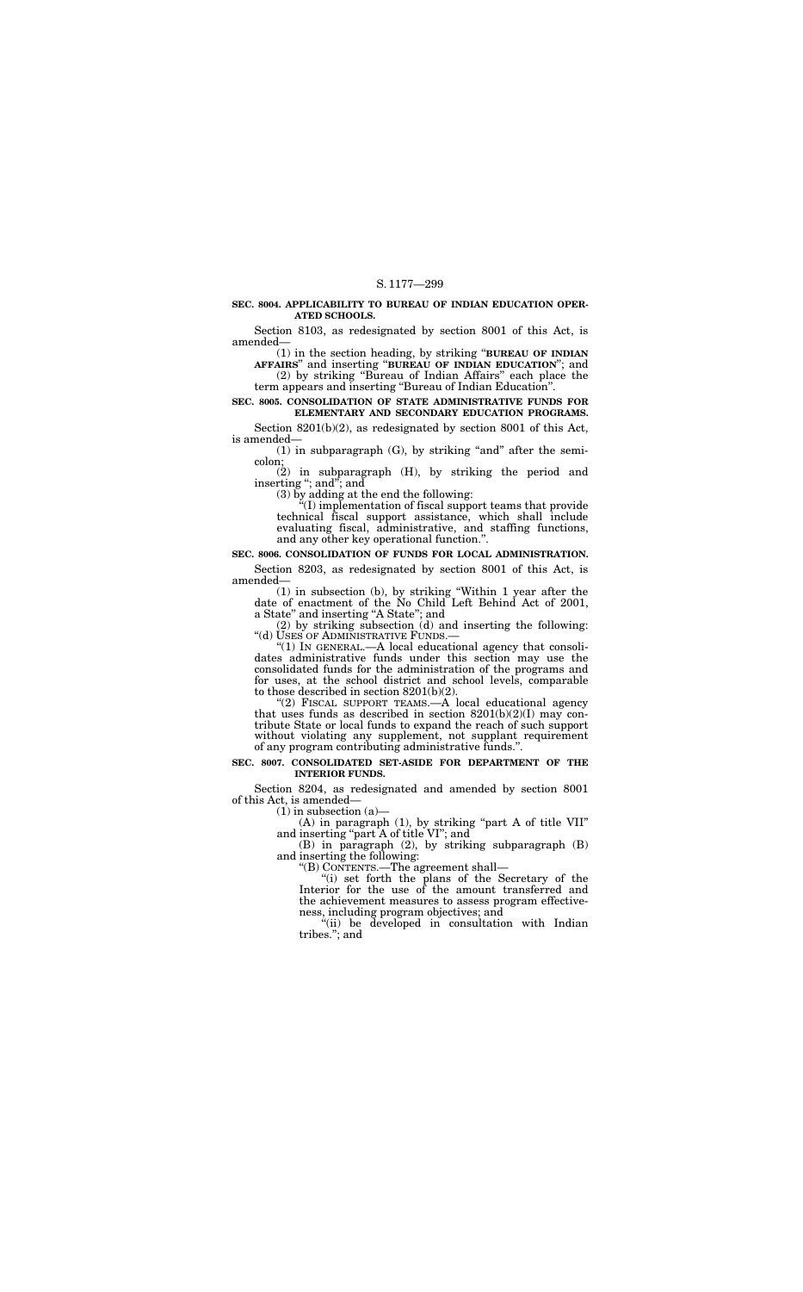### **SEC. 8004. APPLICABILITY TO BUREAU OF INDIAN EDUCATION OPER-ATED SCHOOLS.**

Section 8103, as redesignated by section 8001 of this Act, is amended—

(2) by striking ''Bureau of Indian Affairs'' each place the term appears and inserting "Bureau of Indian Education".

(1) in the section heading, by striking ''**BUREAU OF INDIAN AFFAIRS**'' and inserting ''**BUREAU OF INDIAN EDUCATION**''; and

(1) in subparagraph  $(G)$ , by striking "and" after the semicolon;

### **SEC. 8005. CONSOLIDATION OF STATE ADMINISTRATIVE FUNDS FOR ELEMENTARY AND SECONDARY EDUCATION PROGRAMS.**

Section 8201(b)(2), as redesignated by section 8001 of this Act, is amended—

(2) in subparagraph (H), by striking the period and inserting ''; and''; and

(3) by adding at the end the following:

''(I) implementation of fiscal support teams that provide technical fiscal support assistance, which shall include evaluating fiscal, administrative, and staffing functions, and any other key operational function.''.

"(2) FISCAL SUPPORT TEAMS.—A local educational agency that uses funds as described in section  $8201(b)(2)(I)$  may contribute State or local funds to expand the reach of such support without violating any supplement, not supplant requirement of any program contributing administrative funds.''.

### **SEC. 8006. CONSOLIDATION OF FUNDS FOR LOCAL ADMINISTRATION.**

Section 8203, as redesignated by section 8001 of this Act, is amended—

(1) in subsection (b), by striking ''Within 1 year after the date of enactment of the No Child Left Behind Act of 2001, a State'' and inserting ''A State''; and

(2) by striking subsection (d) and inserting the following: ''(d) USES OF ADMINISTRATIVE FUNDS.— ''(1) IN GENERAL.—A local educational agency that consoli-

dates administrative funds under this section may use the consolidated funds for the administration of the programs and for uses, at the school district and school levels, comparable to those described in section 8201(b)(2).

### **SEC. 8007. CONSOLIDATED SET-ASIDE FOR DEPARTMENT OF THE INTERIOR FUNDS.**

Section 8204, as redesignated and amended by section 8001 of this Act, is amended—

(1) in subsection (a)—

(A) in paragraph (1), by striking ''part A of title VII'' and inserting ''part A of title VI''; and

(B) in paragraph (2), by striking subparagraph (B) and inserting the following:

''(B) CONTENTS.—The agreement shall—

''(i) set forth the plans of the Secretary of the Interior for the use of the amount transferred and the achievement measures to assess program effectiveness, including program objectives; and

''(ii) be developed in consultation with Indian tribes.''; and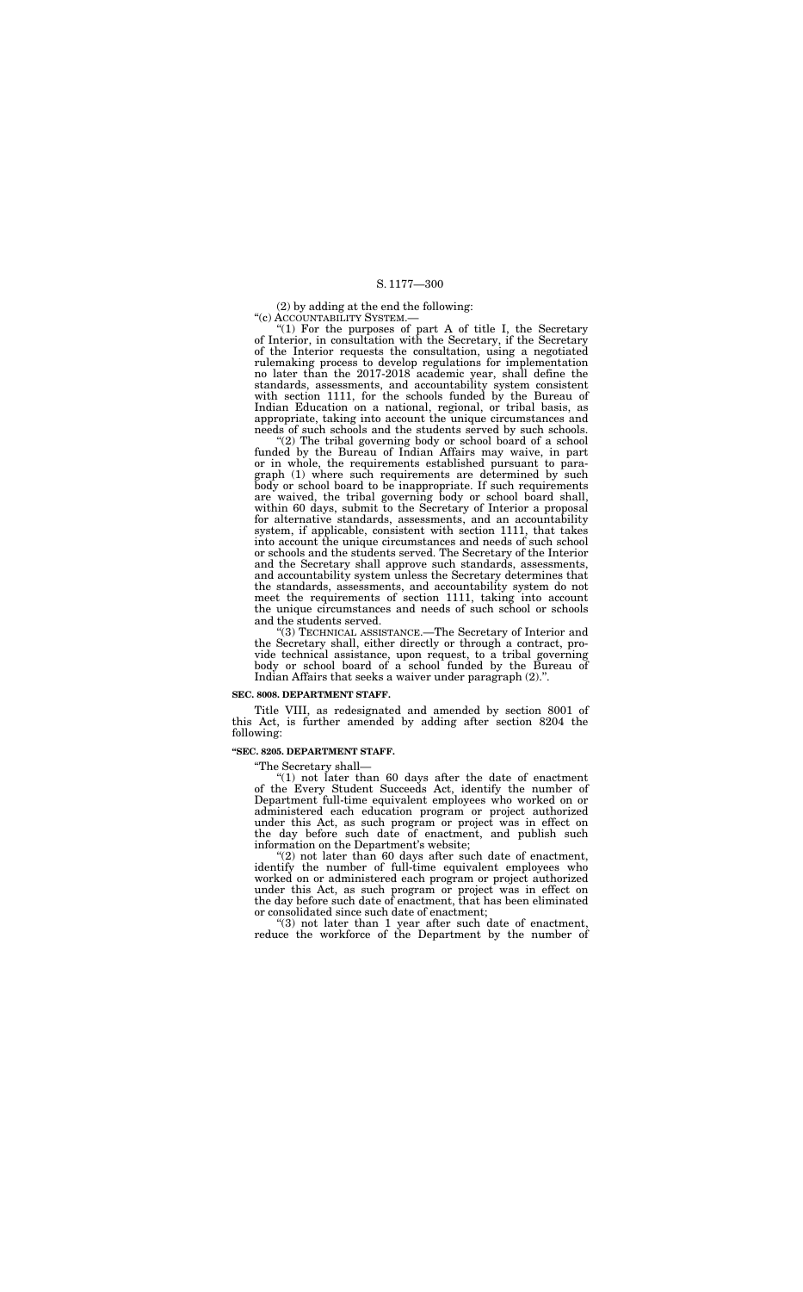(2) by adding at the end the following:<br>"(c)  $\text{ACCUNTABLEITY SYSTEM.}$ 

''(c) ACCOUNTABILITY SYSTEM.— ''(1) For the purposes of part A of title I, the Secretary of Interior, in consultation with the Secretary, if the Secretary of the Interior requests the consultation, using a negotiated rulemaking process to develop regulations for implementation no later than the 2017-2018 academic year, shall define the standards, assessments, and accountability system consistent with section 1111, for the schools funded by the Bureau of Indian Education on a national, regional, or tribal basis, as appropriate, taking into account the unique circumstances and needs of such schools and the students served by such schools.

"(2) The tribal governing body or school board of a school funded by the Bureau of Indian Affairs may waive, in part or in whole, the requirements established pursuant to paragraph (1) where such requirements are determined by such body or school board to be inappropriate. If such requirements are waived, the tribal governing body or school board shall, within 60 days, submit to the Secretary of Interior a proposal for alternative standards, assessments, and an accountability system, if applicable, consistent with section 1111, that takes into account the unique circumstances and needs of such school or schools and the students served. The Secretary of the Interior and the Secretary shall approve such standards, assessments, and accountability system unless the Secretary determines that the standards, assessments, and accountability system do not meet the requirements of section 1111, taking into account the unique circumstances and needs of such school or schools and the students served.

" $(1)$  not later than 60 days after the date of enactment of the Every Student Succeeds Act, identify the number of Department full-time equivalent employees who worked on or administered each education program or project authorized under this Act, as such program or project was in effect on the day before such date of enactment, and publish such information on the Department's website;

''(3) TECHNICAL ASSISTANCE.—The Secretary of Interior and the Secretary shall, either directly or through a contract, provide technical assistance, upon request, to a tribal governing body or school board of a school funded by the Bureau of Indian Affairs that seeks a waiver under paragraph (2).''.

#### **SEC. 8008. DEPARTMENT STAFF.**

Title VIII, as redesignated and amended by section 8001 of this Act, is further amended by adding after section 8204 the following:

#### **''SEC. 8205. DEPARTMENT STAFF.**

''The Secretary shall—

''(2) not later than 60 days after such date of enactment, identify the number of full-time equivalent employees who worked on or administered each program or project authorized under this Act, as such program or project was in effect on the day before such date of enactment, that has been eliminated or consolidated since such date of enactment;

''(3) not later than 1 year after such date of enactment, reduce the workforce of the Department by the number of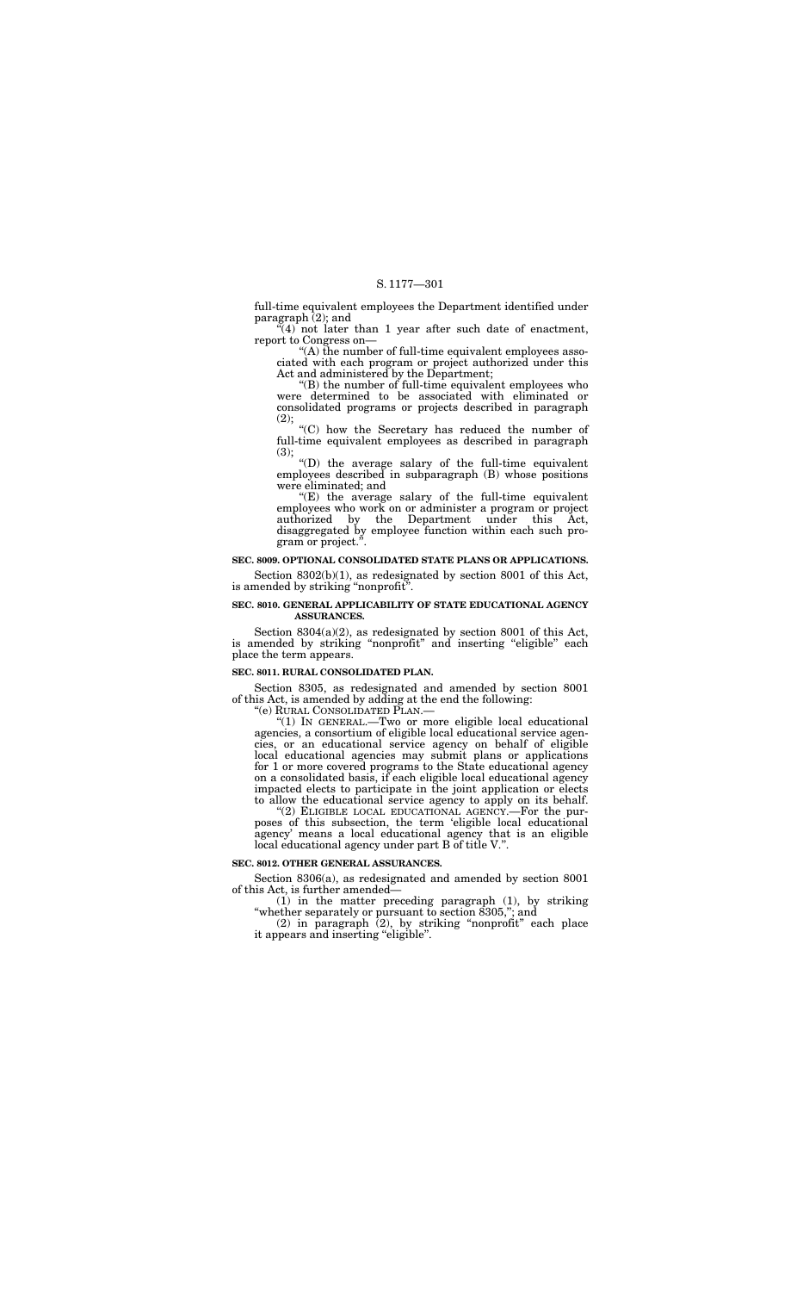full-time equivalent employees the Department identified under paragraph (2); and

 $(4)$  not later than 1 year after such date of enactment, report to Congress on—

"(A) the number of full-time equivalent employees associated with each program or project authorized under this Act and administered by the Department;

''(B) the number of full-time equivalent employees who were determined to be associated with eliminated or consolidated programs or projects described in paragraph (2);

Section 8302(b)(1), as redesignated by section 8001 of this Act, is amended by striking "nonprofit".

''(C) how the Secretary has reduced the number of full-time equivalent employees as described in paragraph (3);

''(D) the average salary of the full-time equivalent employees described in subparagraph (B) whose positions were eliminated; and

" $(E)$  the average salary of the full-time equivalent employees who work on or administer a program or project authorized by the Department under this Act, disaggregated by employee function within each such program or project.'

### **SEC. 8009. OPTIONAL CONSOLIDATED STATE PLANS OR APPLICATIONS.**

"(1) IN GENERAL.—Two or more eligible local educational agencies, a consortium of eligible local educational service agencies, or an educational service agency on behalf of eligible local educational agencies may submit plans or applications for 1 or more covered programs to the State educational agency on a consolidated basis, if each eligible local educational agency impacted elects to participate in the joint application or elects to allow the educational service agency to apply on its behalf.

"(2) ELIGIBLE LOCAL EDUCATIONAL AGENCY.—For the purposes of this subsection, the term 'eligible local educational agency' means a local educational agency that is an eligible local educational agency under part B of title V.''.

### **SEC. 8010. GENERAL APPLICABILITY OF STATE EDUCATIONAL AGENCY ASSURANCES.**

Section 8304(a)(2), as redesignated by section 8001 of this Act, is amended by striking "nonprofit" and inserting "eligible" each place the term appears.

### **SEC. 8011. RURAL CONSOLIDATED PLAN.**

Section 8305, as redesignated and amended by section 8001 of this Act, is amended by adding at the end the following:

### **SEC. 8012. OTHER GENERAL ASSURANCES.**

Section 8306(a), as redesignated and amended by section 8001 of this Act, is further amended—

(1) in the matter preceding paragraph (1), by striking ''whether separately or pursuant to section 8305,''; and

 $(2)$  in paragraph  $(2)$ , by striking "nonprofit" each place it appears and inserting "eligible".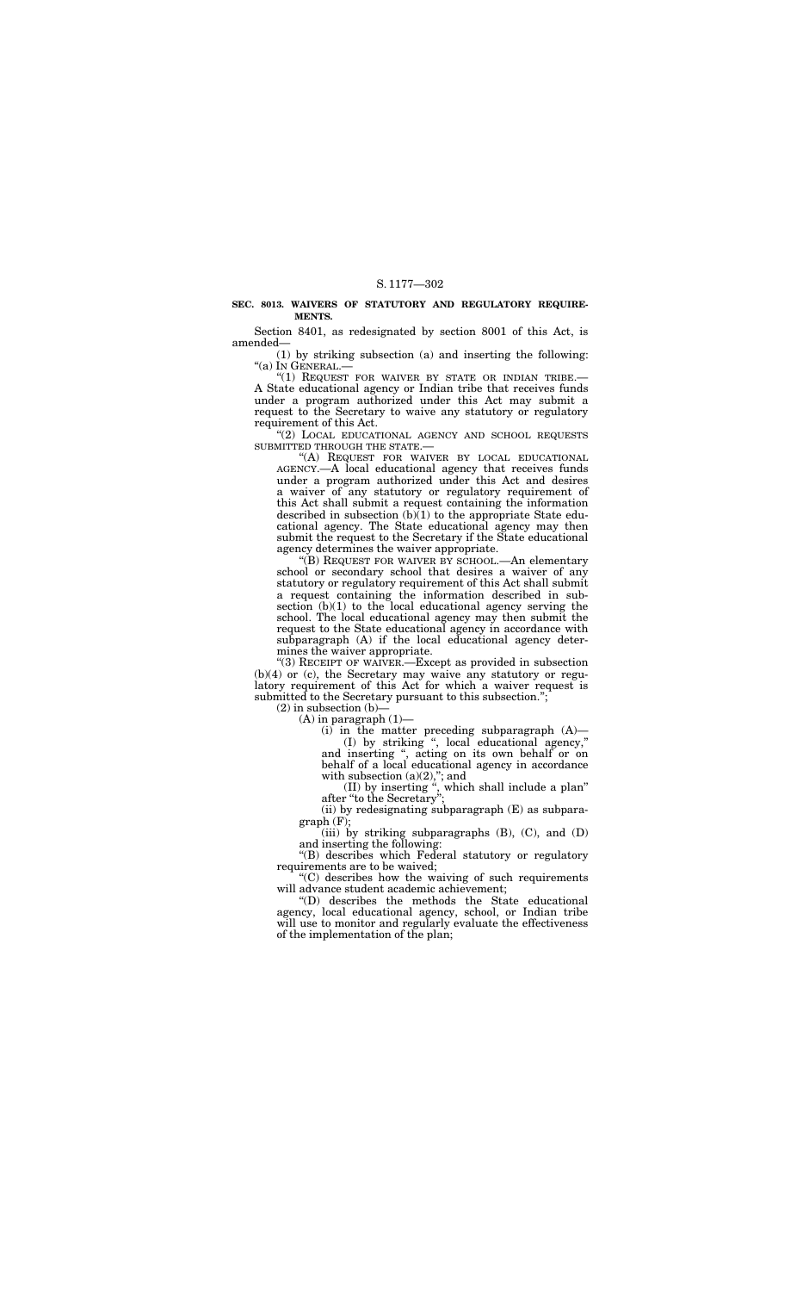### **SEC. 8013. WAIVERS OF STATUTORY AND REGULATORY REQUIRE-MENTS.**

(1) by striking subsection (a) and inserting the following: "(a) In GENERAL.-

Section 8401, as redesignated by section 8001 of this Act, is amended—

"(1) REQUEST FOR WAIVER BY STATE OR INDIAN TRIBE.-A State educational agency or Indian tribe that receives funds under a program authorized under this Act may submit a request to the Secretary to waive any statutory or regulatory requirement of this Act.

"(A) REQUEST FOR WAIVER BY LOCAL EDUCATIONAL AGENCY.—A local educational agency that receives funds under a program authorized under this Act and desires a waiver of any statutory or regulatory requirement of this Act shall submit a request containing the information described in subsection (b)(1) to the appropriate State educational agency. The State educational agency may then submit the request to the Secretary if the State educational agency determines the waiver appropriate.

''(2) LOCAL EDUCATIONAL AGENCY AND SCHOOL REQUESTS SUBMITTED THROUGH THE STATE.—

''(3) RECEIPT OF WAIVER.—Except as provided in subsection (b)(4) or (c), the Secretary may waive any statutory or regulatory requirement of this Act for which a waiver request is submitted to the Secretary pursuant to this subsection.";

 $(2)$  in subsection  $(b)$ –

 $(A)$  in paragraph  $(1)$ —

(i) in the matter preceding subparagraph (A)— (I) by striking '', local educational agency,'' and inserting '', acting on its own behalf or on behalf of a local educational agency in accordance with subsection  $(a)(2)$ ,"; and

(ii) by redesignating subparagraph (E) as subpara $graph$  (F);

 $(C)$  describes how the waiving of such requirements will advance student academic achievement;

''(B) REQUEST FOR WAIVER BY SCHOOL.—An elementary school or secondary school that desires a waiver of any statutory or regulatory requirement of this Act shall submit a request containing the information described in subsection (b)(1) to the local educational agency serving the school. The local educational agency may then submit the request to the State educational agency in accordance with subparagraph (A) if the local educational agency determines the waiver appropriate.

> (II) by inserting '', which shall include a plan'' after ''to the Secretary'';

(iii) by striking subparagraphs (B), (C), and (D) and inserting the following:

''(B) describes which Federal statutory or regulatory requirements are to be waived;

''(D) describes the methods the State educational agency, local educational agency, school, or Indian tribe will use to monitor and regularly evaluate the effectiveness of the implementation of the plan;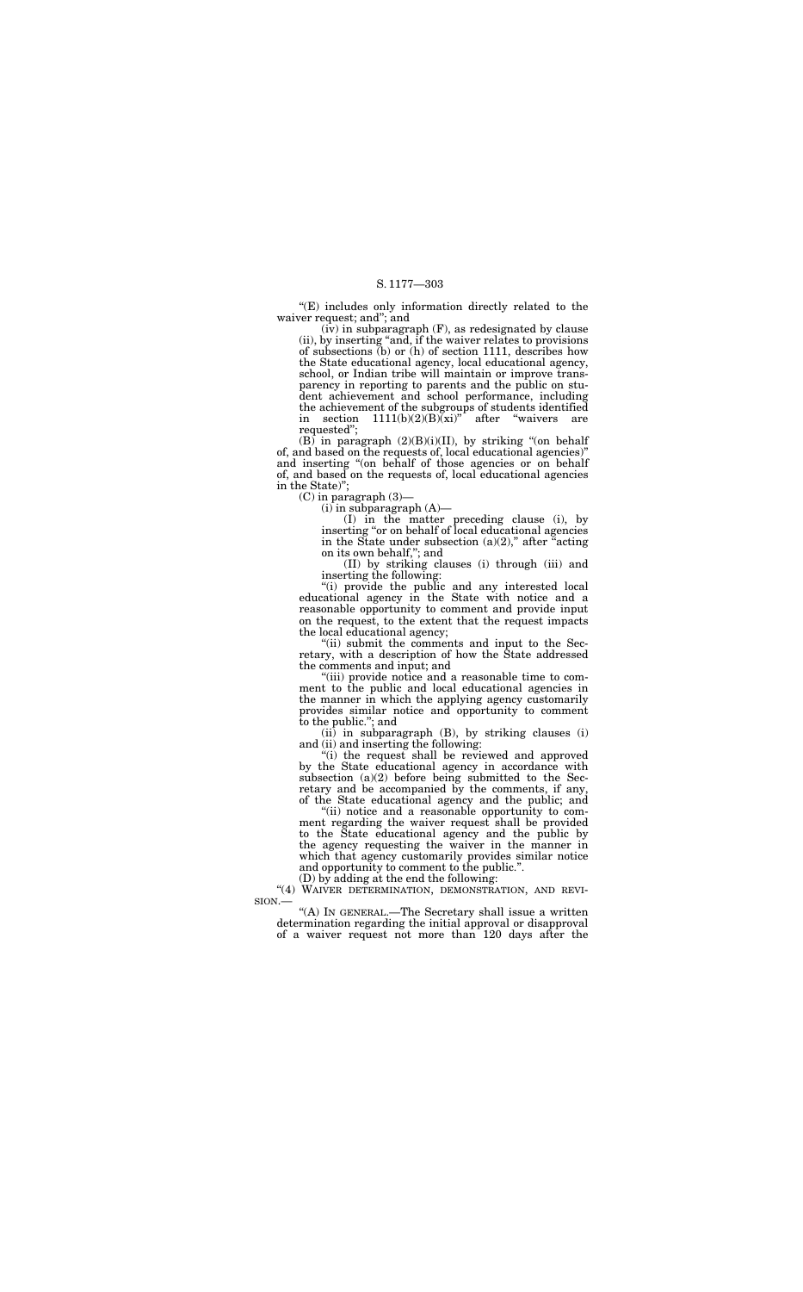"(E) includes only information directly related to the waiver request; and''; and

 $(iv)$  in subparagraph  $(F)$ , as redesignated by clause (ii), by inserting ''and, if the waiver relates to provisions of subsections (b) or (h) of section 1111, describes how the State educational agency, local educational agency, school, or Indian tribe will maintain or improve transparency in reporting to parents and the public on student achievement and school performance, including the achievement of the subgroups of students identified<br>in section  $1111(b)(2)(B)(xi)$ " after "waivers are in section  $1111(b)(2)(B)\tilde{c}x$ <sup>"</sup> after requested'';

(B) in paragraph  $(2)(B)(i)(II)$ , by striking "(on behalf of, and based on the requests of, local educational agencies)'' and inserting ''(on behalf of those agencies or on behalf of, and based on the requests of, local educational agencies in the State)'';

 $(C)$  in paragraph  $(3)$ –

 $(i)$  in subparagraph  $(A)$ —

(II) by striking clauses (i) through (iii) and inserting the following:

"(ii) submit the comments and input to the Secretary, with a description of how the State addressed the comments and input; and

(I) in the matter preceding clause (i), by inserting "or on behalf of local educational agencies in the State under subsection  $(a)(2)$ ," after "acting" on its own behalf,''; and

"(i) the request shall be reviewed and approved by the State educational agency in accordance with subsection (a)(2) before being submitted to the Secretary and be accompanied by the comments, if any, of the State educational agency and the public; and

"(ii) notice and a reasonable opportunity to comment regarding the waiver request shall be provided to the State educational agency and the public by the agency requesting the waiver in the manner in which that agency customarily provides similar notice and opportunity to comment to the public.''.

(D) by adding at the end the following:<br>"(4) WAIVER DETERMINATION, DEMONSTRATION, AND REVI-

''(i) provide the public and any interested local educational agency in the State with notice and a reasonable opportunity to comment and provide input on the request, to the extent that the request impacts the local educational agency;

 $SION.$  "(A) In GENERAL.—The Secretary shall issue a written determination regarding the initial approval or disapproval of a waiver request not more than 120 days after the

''(iii) provide notice and a reasonable time to comment to the public and local educational agencies in the manner in which the applying agency customarily provides similar notice and opportunity to comment to the public.''; and

(ii) in subparagraph (B), by striking clauses (i) and (ii) and inserting the following: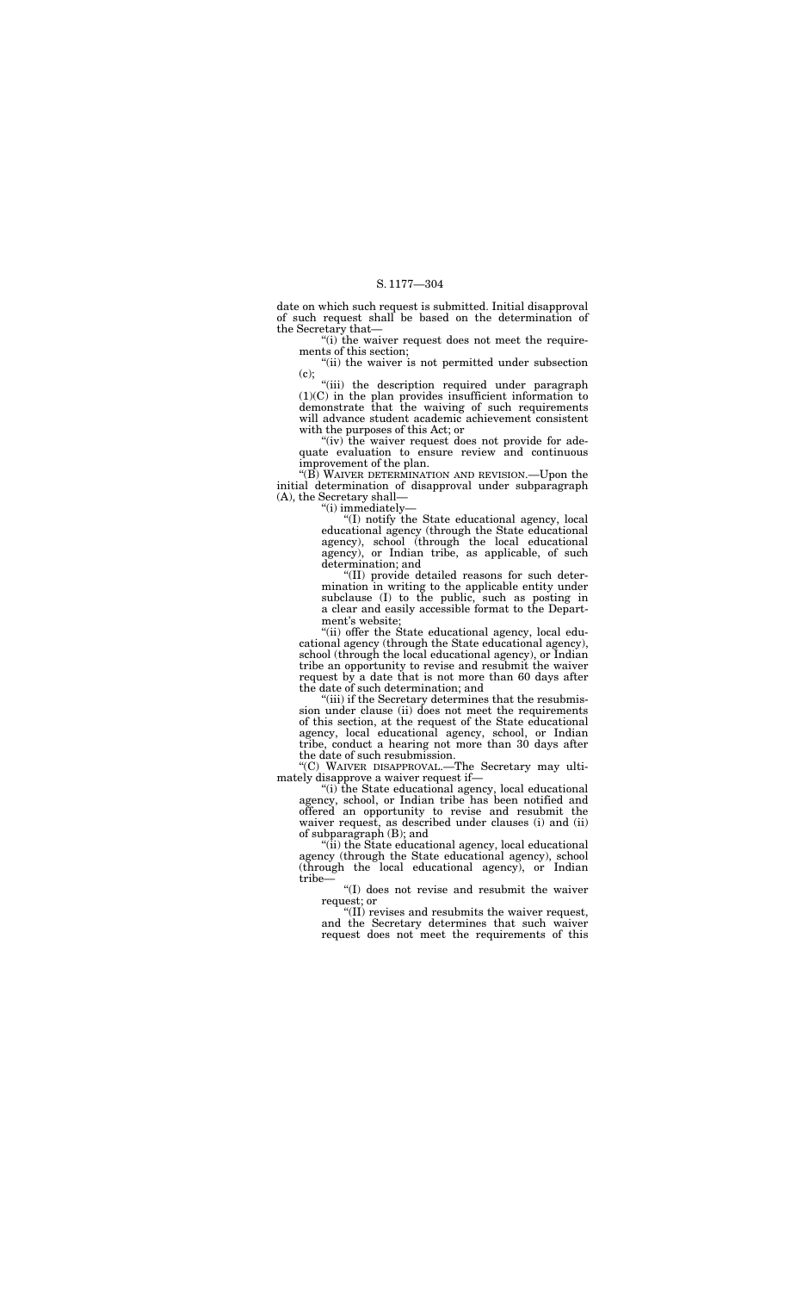date on which such request is submitted. Initial disapproval of such request shall be based on the determination of the Secretary that—

"(i) the waiver request does not meet the requirements of this section;

''(ii) the waiver is not permitted under subsection (c);

"(iv) the waiver request does not provide for adequate evaluation to ensure review and continuous improvement of the plan.

"(B) WAIVER DETERMINATION AND REVISION.—Upon the initial determination of disapproval under subparagraph (A), the Secretary shall—

''(iii) the description required under paragraph (1)(C) in the plan provides insufficient information to demonstrate that the waiving of such requirements will advance student academic achievement consistent with the purposes of this Act; or

''(i) immediately—

''(I) notify the State educational agency, local educational agency (through the State educational agency), school (through the local educational agency), or Indian tribe, as applicable, of such determination; and

"(iii) if the Secretary determines that the resubmission under clause (ii) does not meet the requirements of this section, at the request of the State educational agency, local educational agency, school, or Indian tribe, conduct a hearing not more than 30 days after the date of such resubmission.

"(i) the State educational agency, local educational agency, school, or Indian tribe has been notified and offered an opportunity to revise and resubmit the waiver request, as described under clauses (i) and (ii) of subparagraph (B); and

''(II) provide detailed reasons for such determination in writing to the applicable entity under subclause (I) to the public, such as posting in a clear and easily accessible format to the Department's website;

"(ii) the State educational agency, local educational agency (through the State educational agency), school (through the local educational agency), or Indian tribe—

''(ii) offer the State educational agency, local educational agency (through the State educational agency), school (through the local educational agency), or Indian tribe an opportunity to revise and resubmit the waiver request by a date that is not more than 60 days after the date of such determination; and

''(C) WAIVER DISAPPROVAL.—The Secretary may ultimately disapprove a waiver request if—

> ''(I) does not revise and resubmit the waiver request; or

> ''(II) revises and resubmits the waiver request, and the Secretary determines that such waiver request does not meet the requirements of this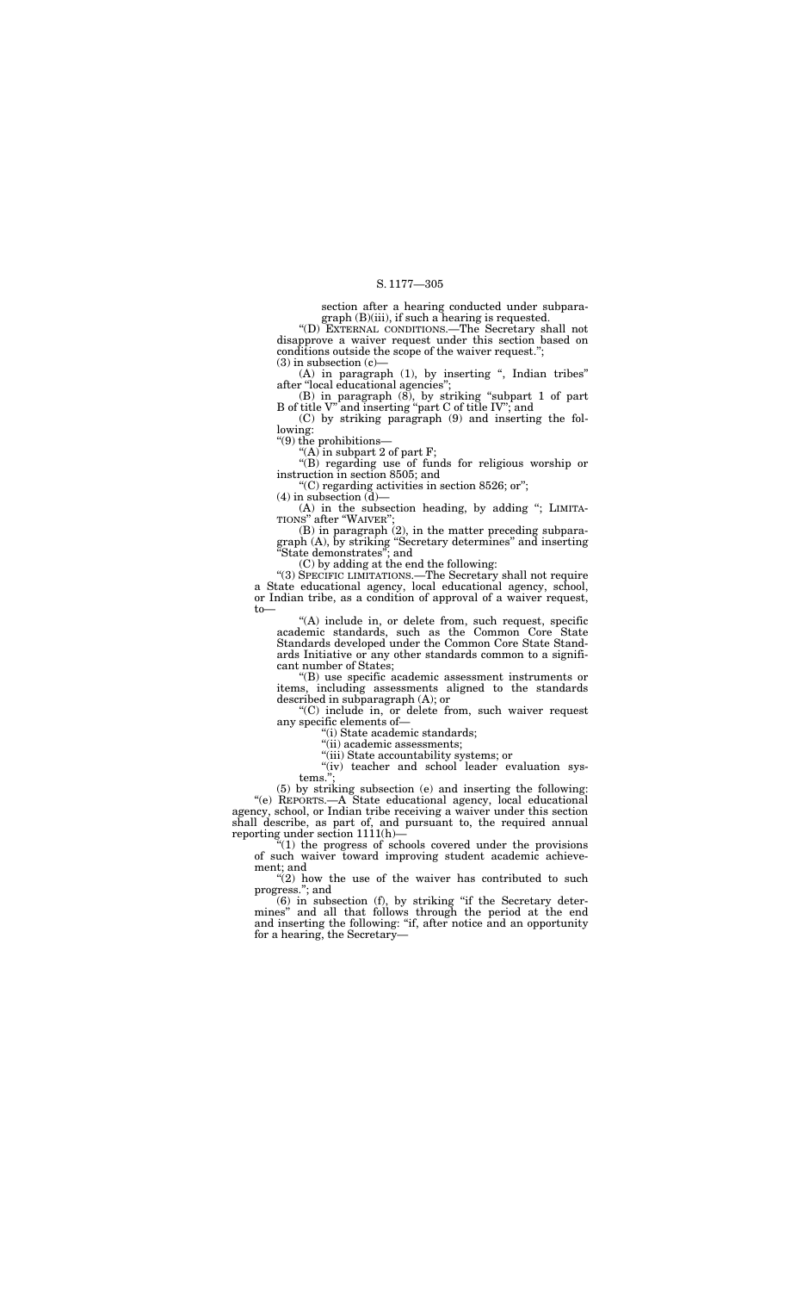''(D) EXTERNAL CONDITIONS.—The Secretary shall not disapprove a waiver request under this section based on conditions outside the scope of the waiver request.'';  $(3)$  in subsection  $(c)$ –

section after a hearing conducted under subparagraph (B)(iii), if such a hearing is requested.

(A) in paragraph (1), by inserting '', Indian tribes'' after "local educational agencies";

(B) in paragraph (8), by striking ''subpart 1 of part B of title V'' and inserting ''part C of title IV''; and

(C) by striking paragraph (9) and inserting the following:

''(9) the prohibitions—

"(A) in subpart 2 of part  $F$ ;

''(B) regarding use of funds for religious worship or instruction in section 8505; and

 $(C)$  regarding activities in section 8526; or";

 $(4)$  in subsection  $(d)$ —

"(A) include in, or delete from, such request, specific academic standards, such as the Common Core State Standards developed under the Common Core State Standards Initiative or any other standards common to a significant number of States;

(A) in the subsection heading, by adding ''; LIMITA- TIONS'' after ''WAIVER'';

(B) in paragraph (2), in the matter preceding subparagraph (A), by striking ''Secretary determines'' and inserting ''State demonstrates''; and

(C) by adding at the end the following:

''(3) SPECIFIC LIMITATIONS.—The Secretary shall not require a State educational agency, local educational agency, school, or Indian tribe, as a condition of approval of a waiver request, to—

 $''(2)$  how the use of the waiver has contributed to such progress.''; and

''(B) use specific academic assessment instruments or items, including assessments aligned to the standards described in subparagraph (A); or

''(C) include in, or delete from, such waiver request any specific elements of—

''(i) State academic standards;

''(ii) academic assessments;

''(iii) State accountability systems; or

"(iv) teacher and school leader evaluation systems."

(5) by striking subsection (e) and inserting the following: ''(e) REPORTS.—A State educational agency, local educational agency, school, or Indian tribe receiving a waiver under this section shall describe, as part of, and pursuant to, the required annual reporting under section 1111(h)—

''(1) the progress of schools covered under the provisions of such waiver toward improving student academic achievement; and

(6) in subsection (f), by striking ''if the Secretary determines'' and all that follows through the period at the end and inserting the following: "if, after notice and an opportunity for a hearing, the Secretary—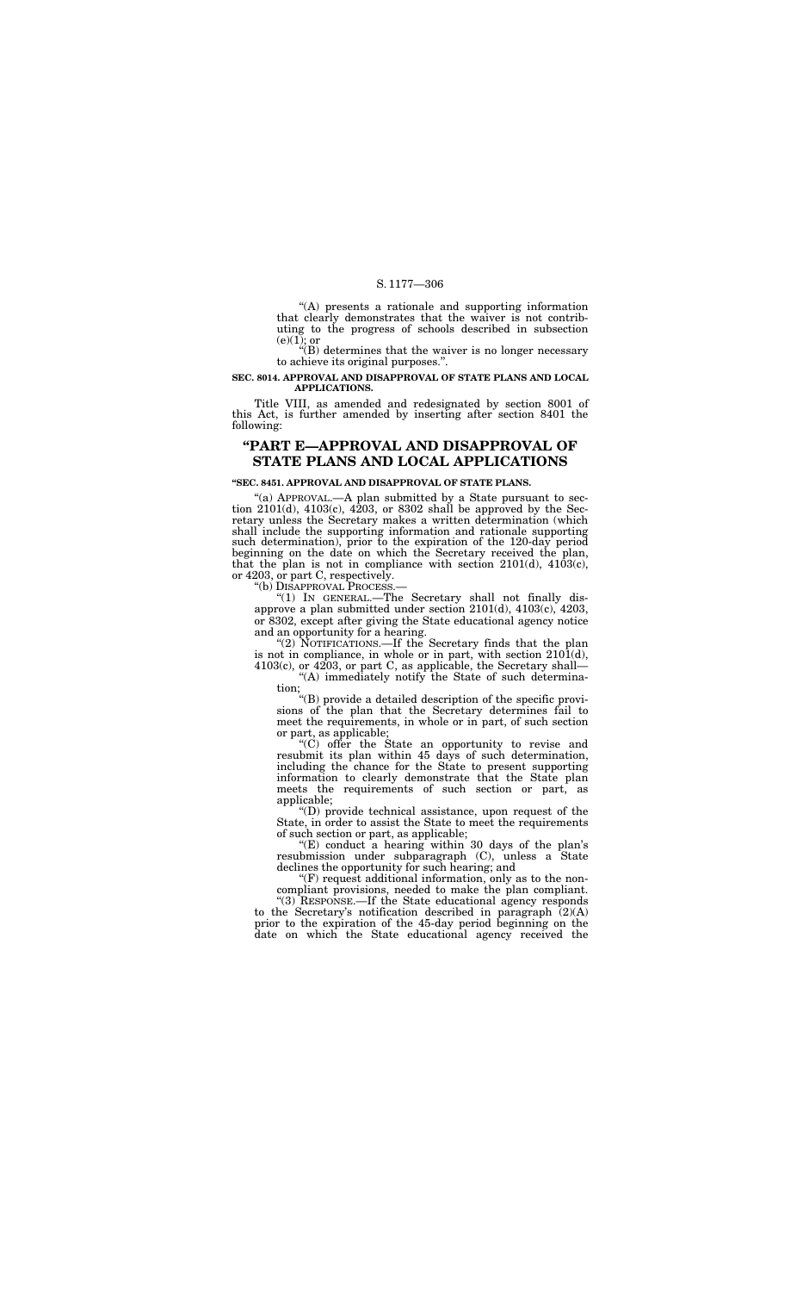''(A) presents a rationale and supporting information that clearly demonstrates that the waiver is not contributing to the progress of schools described in subsection  $(e)(1);$  or

''(B) determines that the waiver is no longer necessary to achieve its original purposes.''.

### **SEC. 8014. APPROVAL AND DISAPPROVAL OF STATE PLANS AND LOCAL APPLICATIONS.**

Title VIII, as amended and redesignated by section 8001 of this Act, is further amended by inserting after section 8401 the following:

## **''PART E—APPROVAL AND DISAPPROVAL OF STATE PLANS AND LOCAL APPLICATIONS**

### **''SEC. 8451. APPROVAL AND DISAPPROVAL OF STATE PLANS.**

"(a) APPROVAL $-$ A plan submitted by a State pursuant to section  $2101(d)$ ,  $4103(c)$ ,  $4203$ , or  $8302$  shall be approved by the Secretary unless the Secretary makes a written determination (which shall include the supporting information and rationale supporting such determination), prior to the expiration of the 120-day period beginning on the date on which the Secretary received the plan, that the plan is not in compliance with section 2101(d),  $4103(c)$ , or 4203, or part C, respectively.<br>"(b) DISAPPROVAL PROCESS.-

"(1) IN GENERAL.—The Secretary shall not finally disapprove a plan submitted under section  $2101(d)$ ,  $4103(c)$ ,  $4203$ , or 8302, except after giving the State educational agency notice and an opportunity for a hearing.

"(2) NOTIFICATIONS.—If the Secretary finds that the plan is not in compliance, in whole or in part, with section  $2101(d)$ , 4103(c), or 4203, or part C, as applicable, the Secretary shall—

"(A) immediately notify the State of such determination;

"(F) request additional information, only as to the noncompliant provisions, needed to make the plan compliant.

''(B) provide a detailed description of the specific provisions of the plan that the Secretary determines fail to meet the requirements, in whole or in part, of such section or part, as applicable;

''(C) offer the State an opportunity to revise and resubmit its plan within 45 days of such determination, including the chance for the State to present supporting information to clearly demonstrate that the State plan meets the requirements of such section or part, as applicable;

''(D) provide technical assistance, upon request of the State, in order to assist the State to meet the requirements of such section or part, as applicable;

''(E) conduct a hearing within 30 days of the plan's resubmission under subparagraph (C), unless a State declines the opportunity for such hearing; and

''(3) RESPONSE.—If the State educational agency responds to the Secretary's notification described in paragraph (2)(A) prior to the expiration of the 45-day period beginning on the date on which the State educational agency received the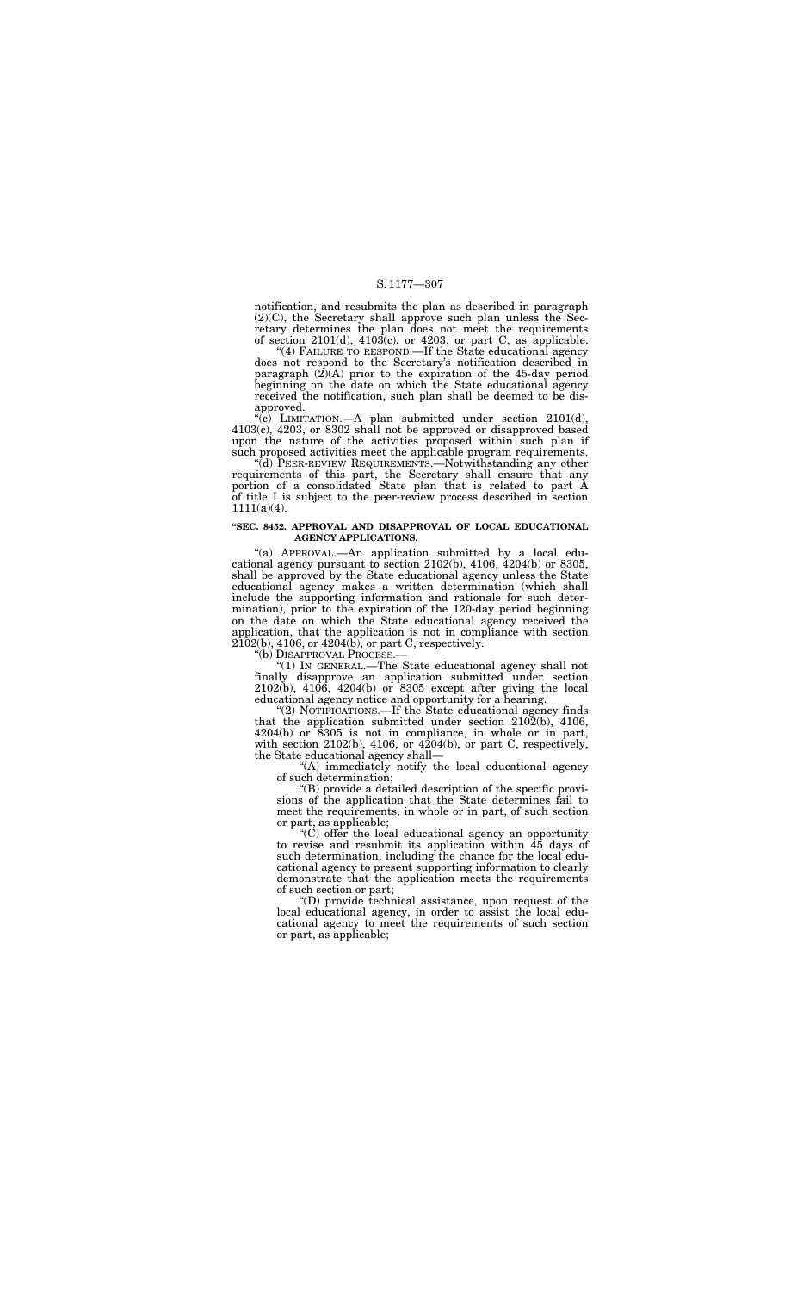notification, and resubmits the plan as described in paragraph (2)(C), the Secretary shall approve such plan unless the Secretary determines the plan does not meet the requirements of section 2101(d), 4103(c), or 4203, or part C, as applicable.

"(4) FAILURE TO RESPOND.—If the State educational agency does not respond to the Secretary's notification described in paragraph  $(2)(A)$  prior to the expiration of the 45-day period beginning on the date on which the State educational agency received the notification, such plan shall be deemed to be disapproved.

"(c) LIMITATION.—A plan submitted under section  $2101(d)$ , 4103(c), 4203, or 8302 shall not be approved or disapproved based upon the nature of the activities proposed within such plan if such proposed activities meet the applicable program requirements.

''(d) PEER-REVIEW REQUIREMENTS.—Notwithstanding any other requirements of this part, the Secretary shall ensure that any portion of a consolidated State plan that is related to part A of title I is subject to the peer-review process described in section  $1111(a)(4)$ .

''(a) APPROVAL.—An application submitted by a local educational agency pursuant to section 2102(b), 4106, 4204(b) or 8305, shall be approved by the State educational agency unless the State educational agency makes a written determination (which shall include the supporting information and rationale for such determination), prior to the expiration of the 120-day period beginning on the date on which the State educational agency received the application, that the application is not in compliance with section  $2102(b)$ ,  $4106$ , or  $4204(b)$ , or part C, respectively.<br>"(b) DISAPPROVAL PROCESS.—

" $(1)$  In GENERAL.—The State educational agency shall not finally disapprove an application submitted under section  $2102(b)$ ,  $4106$ ,  $4204(b)$  or  $8305$  except after giving the local educational agency notice and opportunity for a hearing.

### **''SEC. 8452. APPROVAL AND DISAPPROVAL OF LOCAL EDUCATIONAL AGENCY APPLICATIONS.**

"(2) NOTIFICATIONS.—If the State educational agency finds that the application submitted under section 2102(b), 4106, 4204(b) or 8305 is not in compliance, in whole or in part, with section 2102(b), 4106, or 4204(b), or part C, respectively, the State educational agency shall—

''(A) immediately notify the local educational agency of such determination;

''(B) provide a detailed description of the specific provisions of the application that the State determines fail to meet the requirements, in whole or in part, of such section or part, as applicable;

''(C) offer the local educational agency an opportunity to revise and resubmit its application within  $45$  days of such determination, including the chance for the local educational agency to present supporting information to clearly demonstrate that the application meets the requirements of such section or part;

''(D) provide technical assistance, upon request of the local educational agency, in order to assist the local educational agency to meet the requirements of such section or part, as applicable;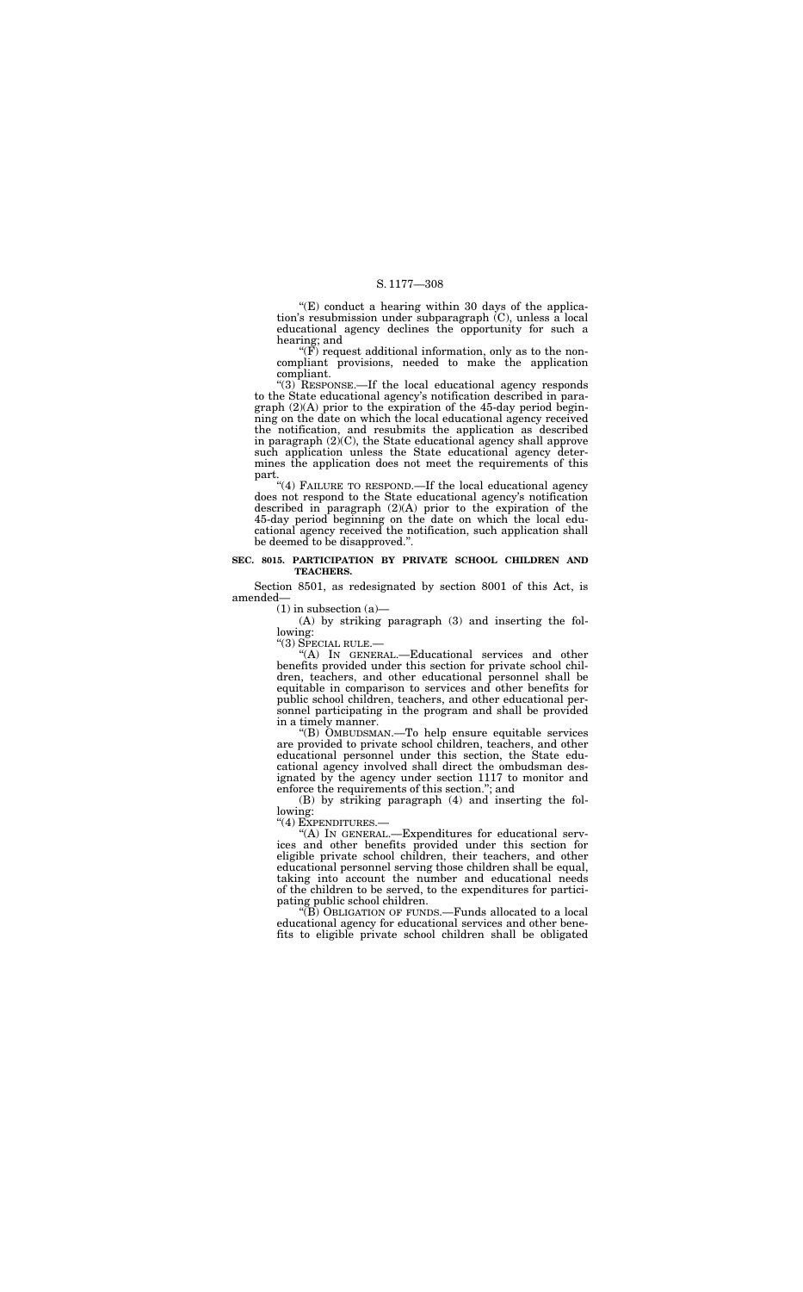$E$ ) conduct a hearing within 30 days of the application's resubmission under subparagraph (C), unless a local educational agency declines the opportunity for such a hearing; and

" $(F)$  request additional information, only as to the noncompliant provisions, needed to make the application compliant.

''(3) RESPONSE.—If the local educational agency responds to the State educational agency's notification described in paragraph (2)(A) prior to the expiration of the 45-day period beginning on the date on which the local educational agency received the notification, and resubmits the application as described in paragraph (2)(C), the State educational agency shall approve such application unless the State educational agency determines the application does not meet the requirements of this part.

(A) by striking paragraph (3) and inserting the following:<br>"(3) SPECIAL RULE.—

"(A) IN GENERAL.—Educational services and other benefits provided under this section for private school children, teachers, and other educational personnel shall be equitable in comparison to services and other benefits for public school children, teachers, and other educational personnel participating in the program and shall be provided in a timely manner.

''(4) FAILURE TO RESPOND.—If the local educational agency does not respond to the State educational agency's notification described in paragraph (2)(A) prior to the expiration of the 45-day period beginning on the date on which the local educational agency received the notification, such application shall be deemed to be disapproved.''.

### **SEC. 8015. PARTICIPATION BY PRIVATE SCHOOL CHILDREN AND TEACHERS.**

Section 8501, as redesignated by section 8001 of this Act, is amended—

 $(1)$  in subsection  $(a)$ —

" $(B)$  OBLIGATION OF FUNDS.—Funds allocated to a local educational agency for educational services and other benefits to eligible private school children shall be obligated

''(B) OMBUDSMAN.—To help ensure equitable services are provided to private school children, teachers, and other educational personnel under this section, the State educational agency involved shall direct the ombudsman designated by the agency under section 1117 to monitor and enforce the requirements of this section.''; and

(B) by striking paragraph (4) and inserting the following:

"(4) EXPENDITURES.-

''(A) IN GENERAL.—Expenditures for educational services and other benefits provided under this section for eligible private school children, their teachers, and other educational personnel serving those children shall be equal, taking into account the number and educational needs of the children to be served, to the expenditures for participating public school children.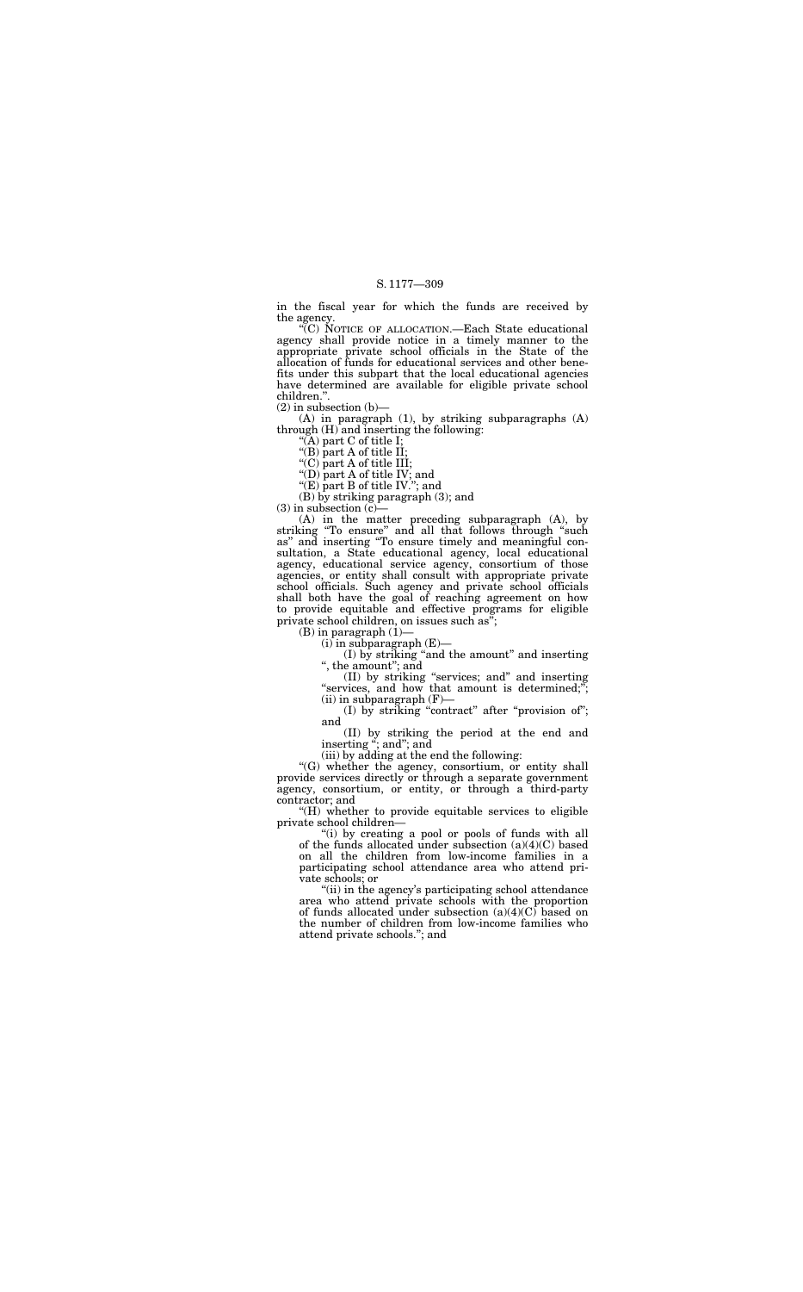in the fiscal year for which the funds are received by the agency.

''(C) NOTICE OF ALLOCATION.—Each State educational agency shall provide notice in a timely manner to the appropriate private school officials in the State of the allocation of funds for educational services and other benefits under this subpart that the local educational agencies have determined are available for eligible private school children.''.

(2) in subsection (b)—

(A) in paragraph (1), by striking subparagraphs (A) through (H) and inserting the following:

''(A) part C of title I;

"(B) part A of title II;

"(C) part A of title III;

''(D) part A of title IV; and

''(E) part B of title IV.''; and

(B) by striking paragraph (3); and

(II) by striking ''services; and'' and inserting "services, and how that amount is determined;";  $(iii)$  in subparagraph  $(F)$ –

 $(3)$  in subsection  $(c)$ —

"(G) whether the agency, consortium, or entity shall provide services directly or through a separate government agency, consortium, or entity, or through a third-party contractor; and

(A) in the matter preceding subparagraph (A), by striking ''To ensure'' and all that follows through ''such as'' and inserting ''To ensure timely and meaningful consultation, a State educational agency, local educational agency, educational service agency, consortium of those agencies, or entity shall consult with appropriate private school officials. Such agency and private school officials shall both have the goal of reaching agreement on how to provide equitable and effective programs for eligible private school children, on issues such as'';

 $(B)$  in paragraph  $(1)$ 

 $(i)$  in subparagraph  $(E)$ —

(I) by striking ''and the amount'' and inserting '', the amount''; and

(I) by striking ''contract'' after ''provision of''; and

(II) by striking the period at the end and inserting ''; and''; and

(iii) by adding at the end the following:

''(H) whether to provide equitable services to eligible private school children—

''(i) by creating a pool or pools of funds with all of the funds allocated under subsection (a)(4)(C) based on all the children from low-income families in a participating school attendance area who attend private schools; or

''(ii) in the agency's participating school attendance area who attend private schools with the proportion of funds allocated under subsection  $(a)(4)(C)$  based on the number of children from low-income families who attend private schools.''; and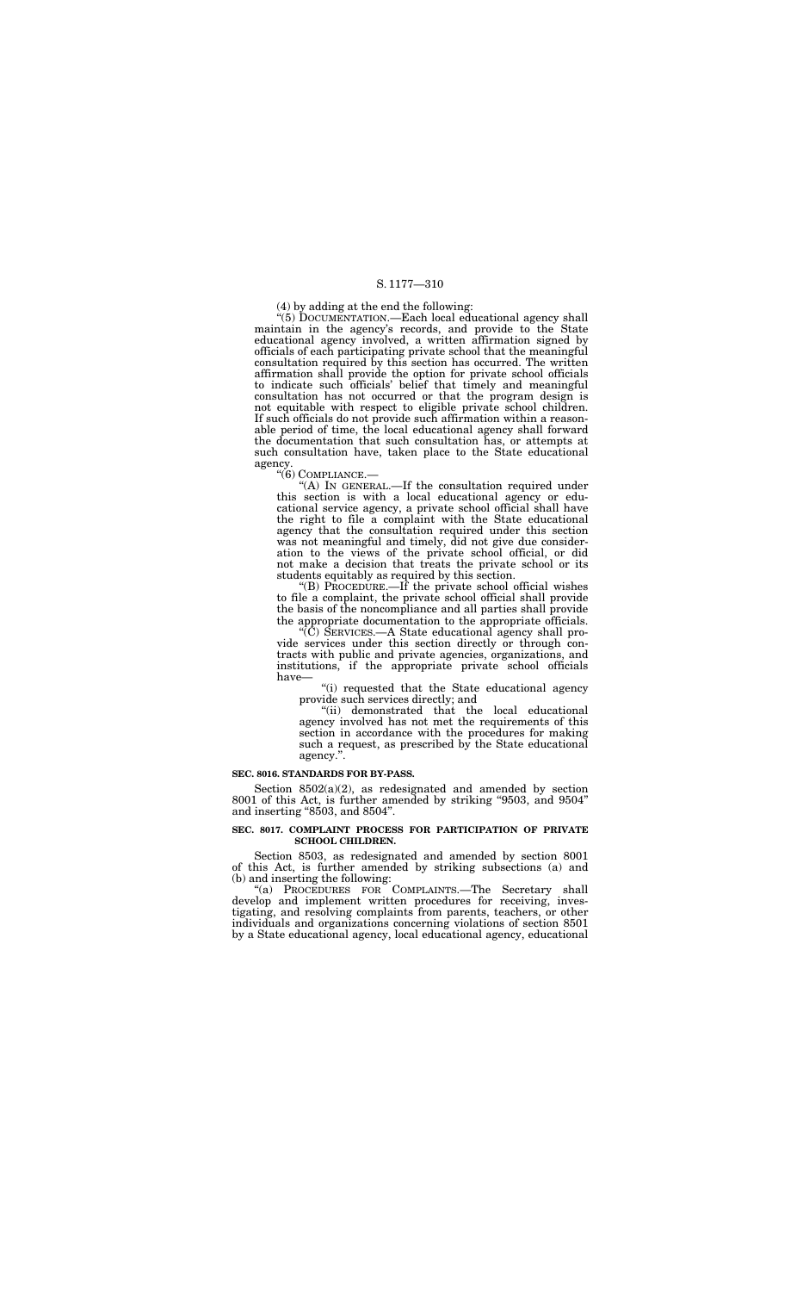(4) by adding at the end the following:

''(5) DOCUMENTATION.—Each local educational agency shall maintain in the agency's records, and provide to the State educational agency involved, a written affirmation signed by officials of each participating private school that the meaningful consultation required by this section has occurred. The written affirmation shall provide the option for private school officials to indicate such officials' belief that timely and meaningful consultation has not occurred or that the program design is not equitable with respect to eligible private school children. If such officials do not provide such affirmation within a reasonable period of time, the local educational agency shall forward the documentation that such consultation has, or attempts at such consultation have, taken place to the State educational

agency.<br>"(6) COMPLIANCE.—

"(A) IN GENERAL.—If the consultation required under this section is with a local educational agency or educational service agency, a private school official shall have the right to file a complaint with the State educational agency that the consultation required under this section was not meaningful and timely, did not give due consideration to the views of the private school official, or did not make a decision that treats the private school or its students equitably as required by this section.

Section 8502(a)(2), as redesignated and amended by section 8001 of this Act, is further amended by striking ''9503, and 9504'' and inserting "8503, and 8504".

"(a) PROCEDURES FOR COMPLAINTS.—The Secretary shall develop and implement written procedures for receiving, investigating, and resolving complaints from parents, teachers, or other individuals and organizations concerning violations of section 8501 by a State educational agency, local educational agency, educational

''(B) PROCEDURE.—If the private school official wishes to file a complaint, the private school official shall provide the basis of the noncompliance and all parties shall provide the appropriate documentation to the appropriate officials.

''(C) SERVICES.—A State educational agency shall provide services under this section directly or through contracts with public and private agencies, organizations, and institutions, if the appropriate private school officials have—

''(i) requested that the State educational agency provide such services directly; and

''(ii) demonstrated that the local educational agency involved has not met the requirements of this section in accordance with the procedures for making such a request, as prescribed by the State educational agency.''.

### **SEC. 8016. STANDARDS FOR BY-PASS.**

### **SEC. 8017. COMPLAINT PROCESS FOR PARTICIPATION OF PRIVATE SCHOOL CHILDREN.**

Section 8503, as redesignated and amended by section 8001 of this Act, is further amended by striking subsections (a) and (b) and inserting the following: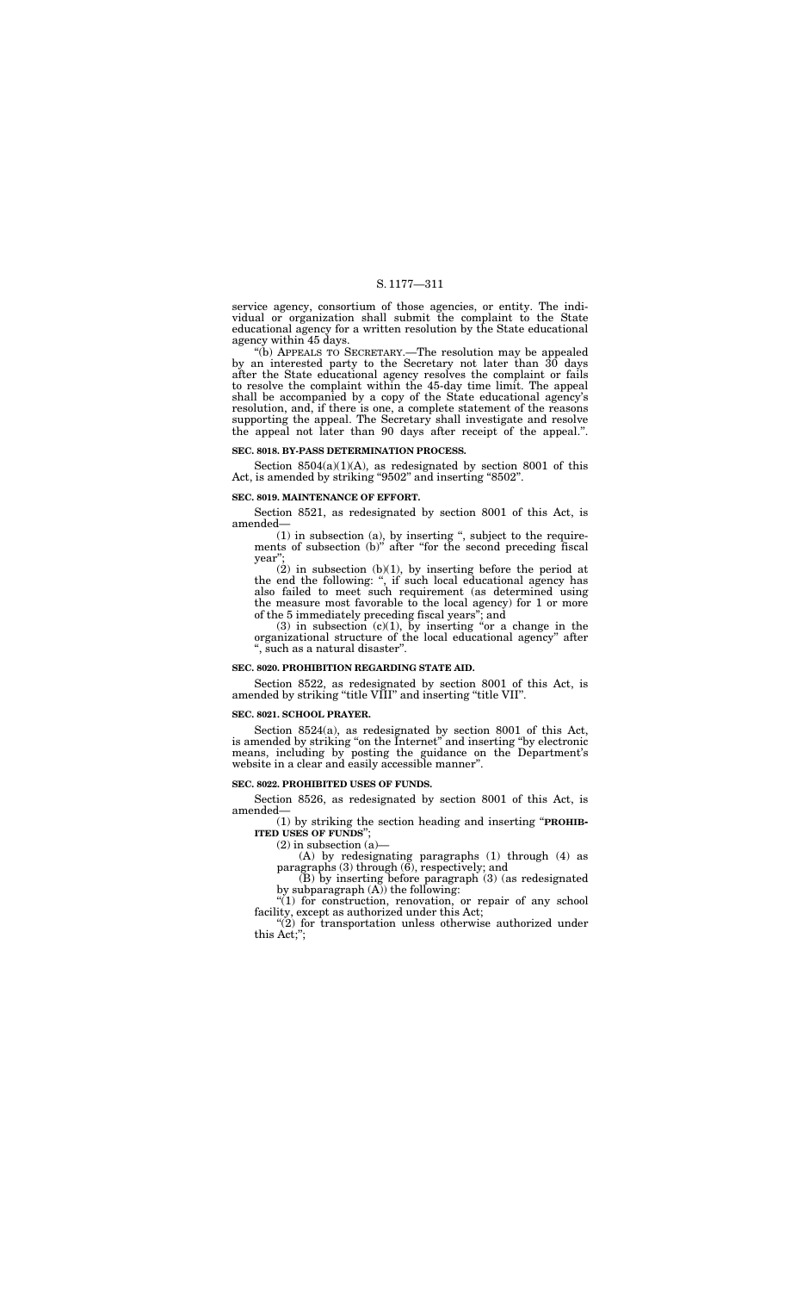service agency, consortium of those agencies, or entity. The individual or organization shall submit the complaint to the State educational agency for a written resolution by the State educational agency within 45 days.

''(b) APPEALS TO SECRETARY.—The resolution may be appealed by an interested party to the Secretary not later than 30 days after the State educational agency resolves the complaint or fails to resolve the complaint within the 45-day time limit. The appeal shall be accompanied by a copy of the State educational agency's resolution, and, if there is one, a complete statement of the reasons supporting the appeal. The Secretary shall investigate and resolve the appeal not later than 90 days after receipt of the appeal.''.

 $(2)$  in subsection  $(b)(1)$ , by inserting before the period at the end the following: ", if such local educational agency has also failed to meet such requirement (as determined using the measure most favorable to the local agency) for 1 or more of the 5 immediately preceding fiscal years''; and

### **SEC. 8018. BY-PASS DETERMINATION PROCESS.**

Section  $8504(a)(1)(A)$ , as redesignated by section  $8001$  of this Act, is amended by striking "9502" and inserting "8502".

 $(3)$  in subsection  $(c)(1)$ , by inserting "or a change in the organizational structure of the local educational agency'' after '', such as a natural disaster''.

Section 8522, as redesignated by section 8001 of this Act, is amended by striking "title VIII" and inserting "title VII".

#### **SEC. 8019. MAINTENANCE OF EFFORT.**

Section 8521, as redesignated by section 8001 of this Act, is amended—

(1) in subsection (a), by inserting ", subject to the requirements of subsection (b)" after "for the second preceding fiscal year"

"(1) for construction, renovation, or repair of any school facility, except as authorized under this Act;

"(2) for transportation unless otherwise authorized under this Act;'';

#### **SEC. 8020. PROHIBITION REGARDING STATE AID.**

#### **SEC. 8021. SCHOOL PRAYER.**

Section 8524(a), as redesignated by section 8001 of this Act, is amended by striking "on the Internet" and inserting "by electronic means, including by posting the guidance on the Department's website in a clear and easily accessible manner''.

### **SEC. 8022. PROHIBITED USES OF FUNDS.**

Section 8526, as redesignated by section 8001 of this Act, is amended—

(1) by striking the section heading and inserting ''**PROHIB-ITED USES OF FUNDS**'';

 $(2)$  in subsection  $(a)$ -

(A) by redesignating paragraphs (1) through (4) as paragraphs (3) through (6), respectively; and

(B) by inserting before paragraph (3) (as redesignated by subparagraph (A)) the following: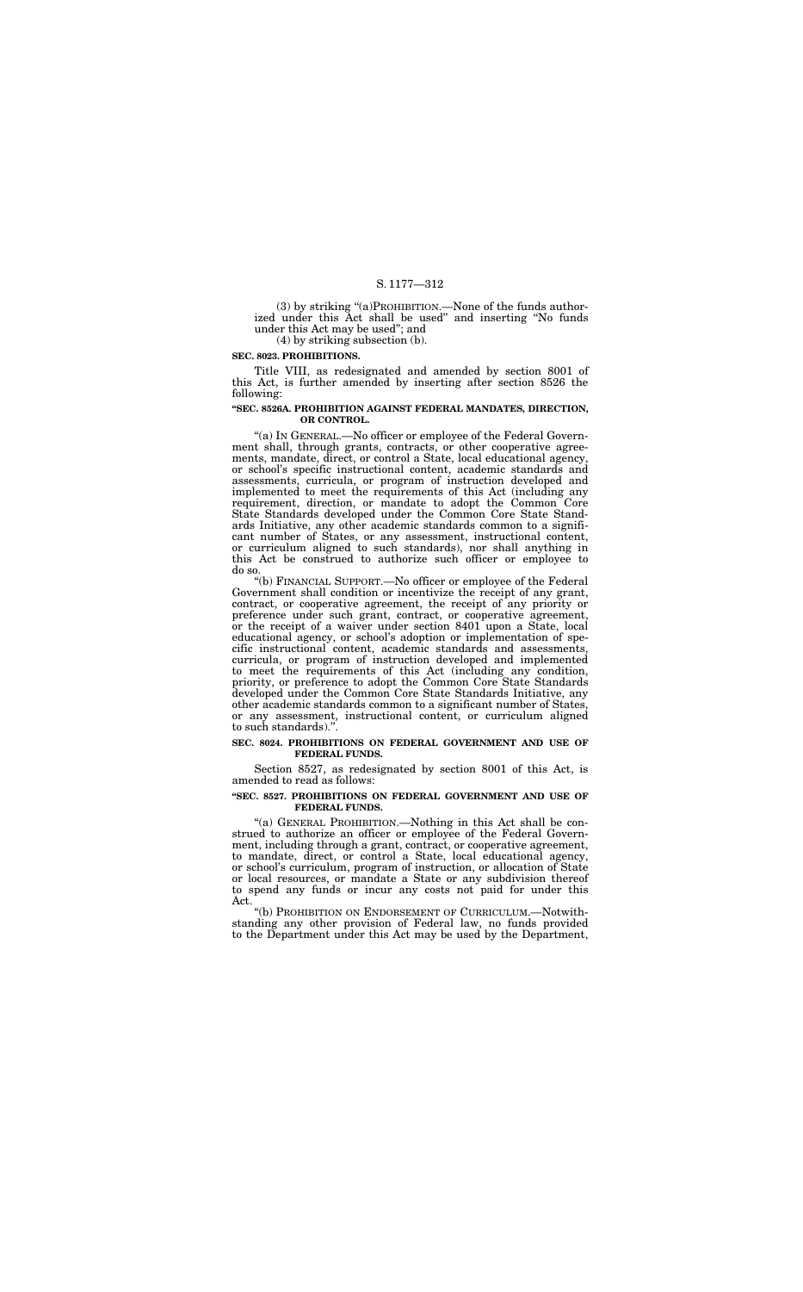(3) by striking ''(a)PROHIBITION.—None of the funds authorized under this Act shall be used'' and inserting ''No funds under this Act may be used''; and

(4) by striking subsection (b).

#### **SEC. 8023. PROHIBITIONS.**

Title VIII, as redesignated and amended by section 8001 of this Act, is further amended by inserting after section 8526 the following:

#### **''SEC. 8526A. PROHIBITION AGAINST FEDERAL MANDATES, DIRECTION, OR CONTROL.**

"(a) IN GENERAL.—No officer or employee of the Federal Government shall, through grants, contracts, or other cooperative agreements, mandate, direct, or control a State, local educational agency, or school's specific instructional content, academic standards and assessments, curricula, or program of instruction developed and implemented to meet the requirements of this Act (including any requirement, direction, or mandate to adopt the Common Core State Standards developed under the Common Core State Standards Initiative, any other academic standards common to a significant number of States, or any assessment, instructional content, or curriculum aligned to such standards), nor shall anything in this Act be construed to authorize such officer or employee to do so.

''(b) FINANCIAL SUPPORT.—No officer or employee of the Federal Government shall condition or incentivize the receipt of any grant, contract, or cooperative agreement, the receipt of any priority or preference under such grant, contract, or cooperative agreement, or the receipt of a waiver under section 8401 upon a State, local educational agency, or school's adoption or implementation of specific instructional content, academic standards and assessments, curricula, or program of instruction developed and implemented to meet the requirements of this Act (including any condition, priority, or preference to adopt the Common Core State Standards developed under the Common Core State Standards Initiative, any other academic standards common to a significant number of States, or any assessment, instructional content, or curriculum aligned to such standards).''.

### **SEC. 8024. PROHIBITIONS ON FEDERAL GOVERNMENT AND USE OF FEDERAL FUNDS.**

Section 8527, as redesignated by section 8001 of this Act, is amended to read as follows:

### **''SEC. 8527. PROHIBITIONS ON FEDERAL GOVERNMENT AND USE OF FEDERAL FUNDS.**

''(a) GENERAL PROHIBITION.—Nothing in this Act shall be construed to authorize an officer or employee of the Federal Government, including through a grant, contract, or cooperative agreement, to mandate, direct, or control a State, local educational agency, or school's curriculum, program of instruction, or allocation of State or local resources, or mandate a State or any subdivision thereof to spend any funds or incur any costs not paid for under this Act.

''(b) PROHIBITION ON ENDORSEMENT OF CURRICULUM.—Notwithstanding any other provision of Federal law, no funds provided to the Department under this Act may be used by the Department,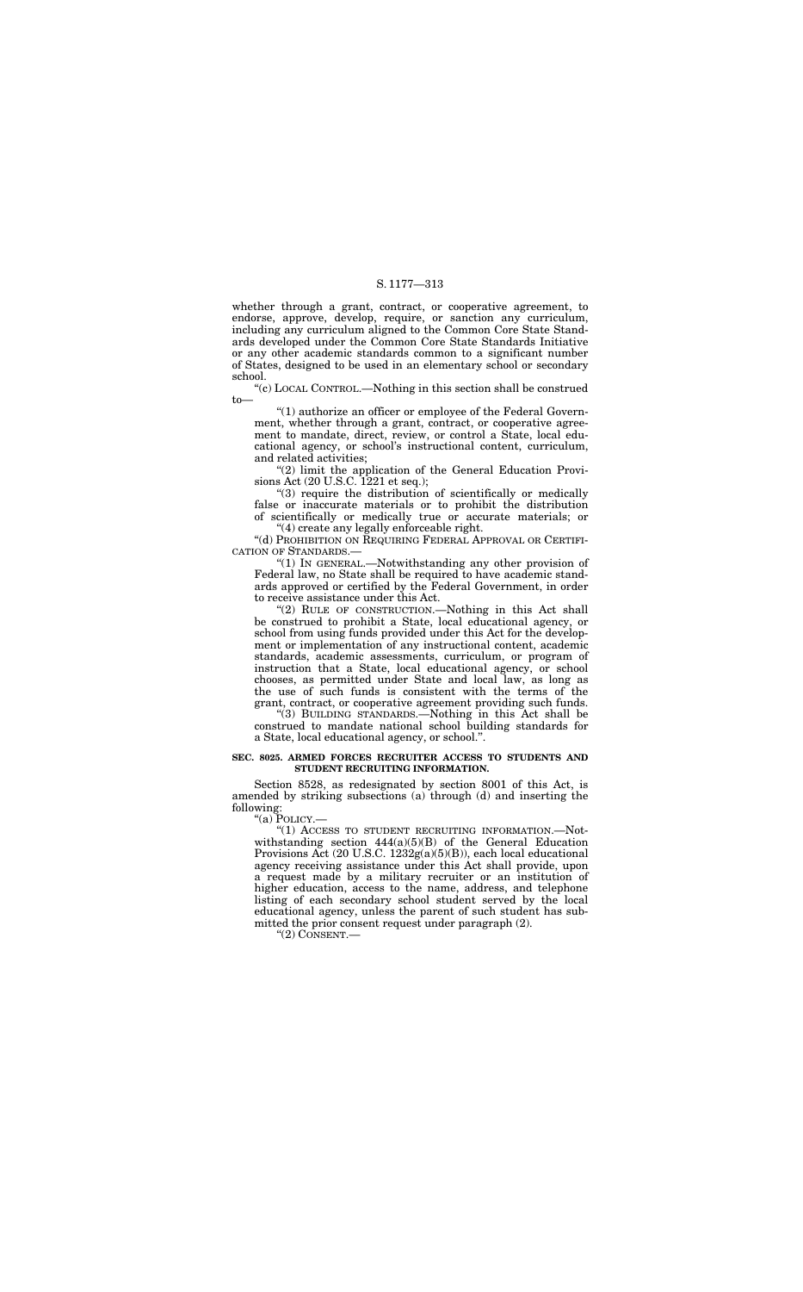whether through a grant, contract, or cooperative agreement, to endorse, approve, develop, require, or sanction any curriculum, including any curriculum aligned to the Common Core State Standards developed under the Common Core State Standards Initiative or any other academic standards common to a significant number of States, designed to be used in an elementary school or secondary school.

"(2) limit the application of the General Education Provisions Act (20 U.S.C. 1221 et seq.);

''(c) LOCAL CONTROL.—Nothing in this section shall be construed to—

"(3) require the distribution of scientifically or medically false or inaccurate materials or to prohibit the distribution of scientifically or medically true or accurate materials; or ''(4) create any legally enforceable right.

''(1) authorize an officer or employee of the Federal Government, whether through a grant, contract, or cooperative agreement to mandate, direct, review, or control a State, local educational agency, or school's instructional content, curriculum, and related activities;

"(2) RULE OF CONSTRUCTION.—Nothing in this Act shall be construed to prohibit a State, local educational agency, or school from using funds provided under this Act for the development or implementation of any instructional content, academic standards, academic assessments, curriculum, or program of instruction that a State, local educational agency, or school chooses, as permitted under State and local law, as long as the use of such funds is consistent with the terms of the grant, contract, or cooperative agreement providing such funds.

"(3) BUILDING STANDARDS.—Nothing in this Act shall be construed to mandate national school building standards for a State, local educational agency, or school.''.

''(d) PROHIBITION ON REQUIRING FEDERAL APPROVAL OR CERTIFI-CATION OF STANDARDS.—

''(1) IN GENERAL.—Notwithstanding any other provision of Federal law, no State shall be required to have academic standards approved or certified by the Federal Government, in order to receive assistance under this Act.

"(1) ACCESS TO STUDENT RECRUITING INFORMATION.-Notwithstanding section 444(a)(5)(B) of the General Education Provisions Act (20 U.S.C. 1232g(a)(5)(B)), each local educational agency receiving assistance under this Act shall provide, upon a request made by a military recruiter or an institution of higher education, access to the name, address, and telephone listing of each secondary school student served by the local educational agency, unless the parent of such student has submitted the prior consent request under paragraph (2).

### **SEC. 8025. ARMED FORCES RECRUITER ACCESS TO STUDENTS AND STUDENT RECRUITING INFORMATION.**

Section 8528, as redesignated by section 8001 of this Act, is amended by striking subsections (a) through (d) and inserting the following:

"(a) POLICY.—

''(2) CONSENT.—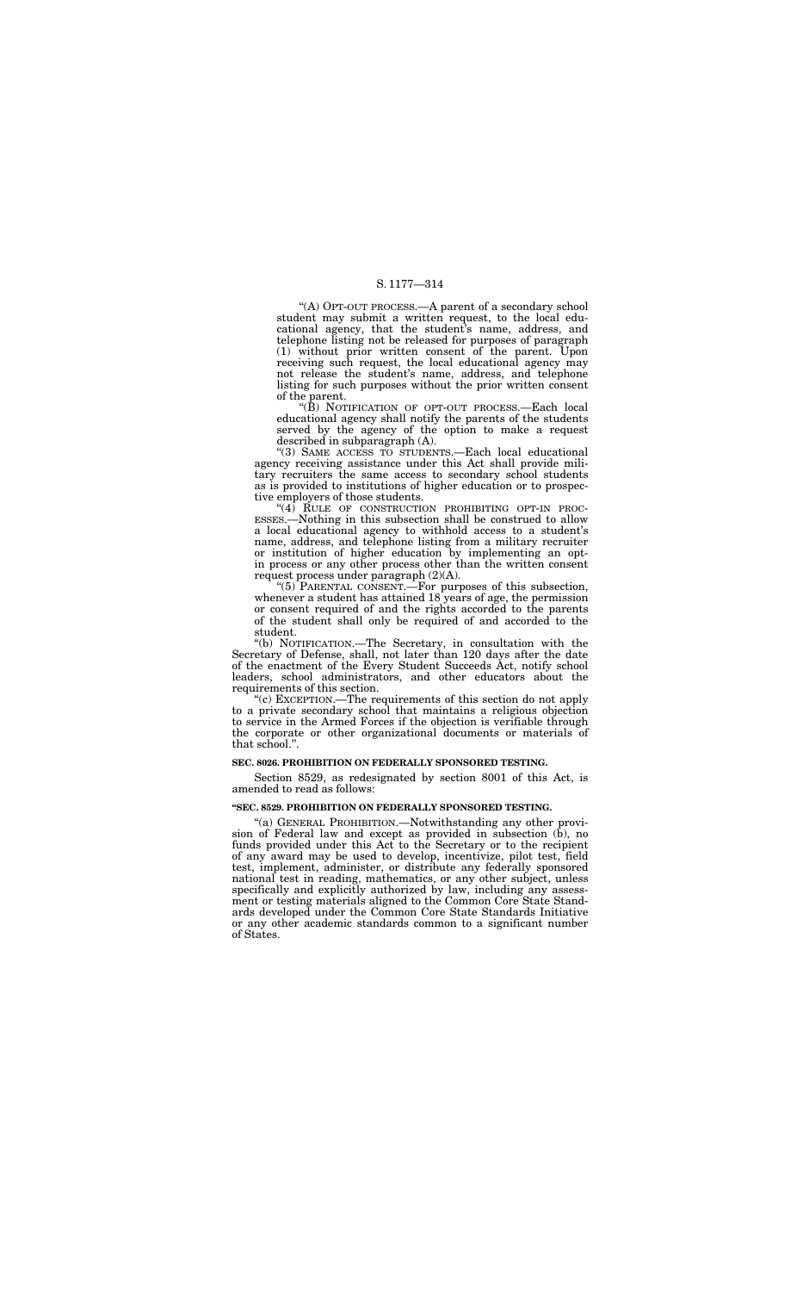''(A) OPT-OUT PROCESS.—A parent of a secondary school student may submit a written request, to the local educational agency, that the student's name, address, and telephone listing not be released for purposes of paragraph (1) without prior written consent of the parent. Upon receiving such request, the local educational agency may not release the student's name, address, and telephone listing for such purposes without the prior written consent of the parent.

"(B) NOTIFICATION OF OPT-OUT PROCESS.—Each local educational agency shall notify the parents of the students served by the agency of the option to make a request described in subparagraph (A).

''(3) SAME ACCESS TO STUDENTS.—Each local educational agency receiving assistance under this Act shall provide military recruiters the same access to secondary school students as is provided to institutions of higher education or to prospective employers of those students.<br>"(4) RULE OF CONSTRUCTION PROHIBITING OPT-IN PROC-

ESSES.—Nothing in this subsection shall be construed to allow a local educational agency to withhold access to a student's name, address, and telephone listing from a military recruiter or institution of higher education by implementing an optin process or any other process other than the written consent request process under paragraph (2)(A).

"(c) EXCEPTION.—The requirements of this section do not apply to a private secondary school that maintains a religious objection to service in the Armed Forces if the objection is verifiable through the corporate or other organizational documents or materials of that school.''.

''(5) PARENTAL CONSENT.—For purposes of this subsection, whenever a student has attained 18 years of age, the permission or consent required of and the rights accorded to the parents of the student shall only be required of and accorded to the student.

''(b) NOTIFICATION.—The Secretary, in consultation with the Secretary of Defense, shall, not later than 120 days after the date of the enactment of the Every Student Succeeds Act, notify school leaders, school administrators, and other educators about the requirements of this section.

### **SEC. 8026. PROHIBITION ON FEDERALLY SPONSORED TESTING.**

Section 8529, as redesignated by section 8001 of this Act, is amended to read as follows:

### **''SEC. 8529. PROHIBITION ON FEDERALLY SPONSORED TESTING.**

''(a) GENERAL PROHIBITION.—Notwithstanding any other provision of Federal law and except as provided in subsection (b), no funds provided under this Act to the Secretary or to the recipient of any award may be used to develop, incentivize, pilot test, field test, implement, administer, or distribute any federally sponsored national test in reading, mathematics, or any other subject, unless specifically and explicitly authorized by law, including any assessment or testing materials aligned to the Common Core State Standards developed under the Common Core State Standards Initiative or any other academic standards common to a significant number of States.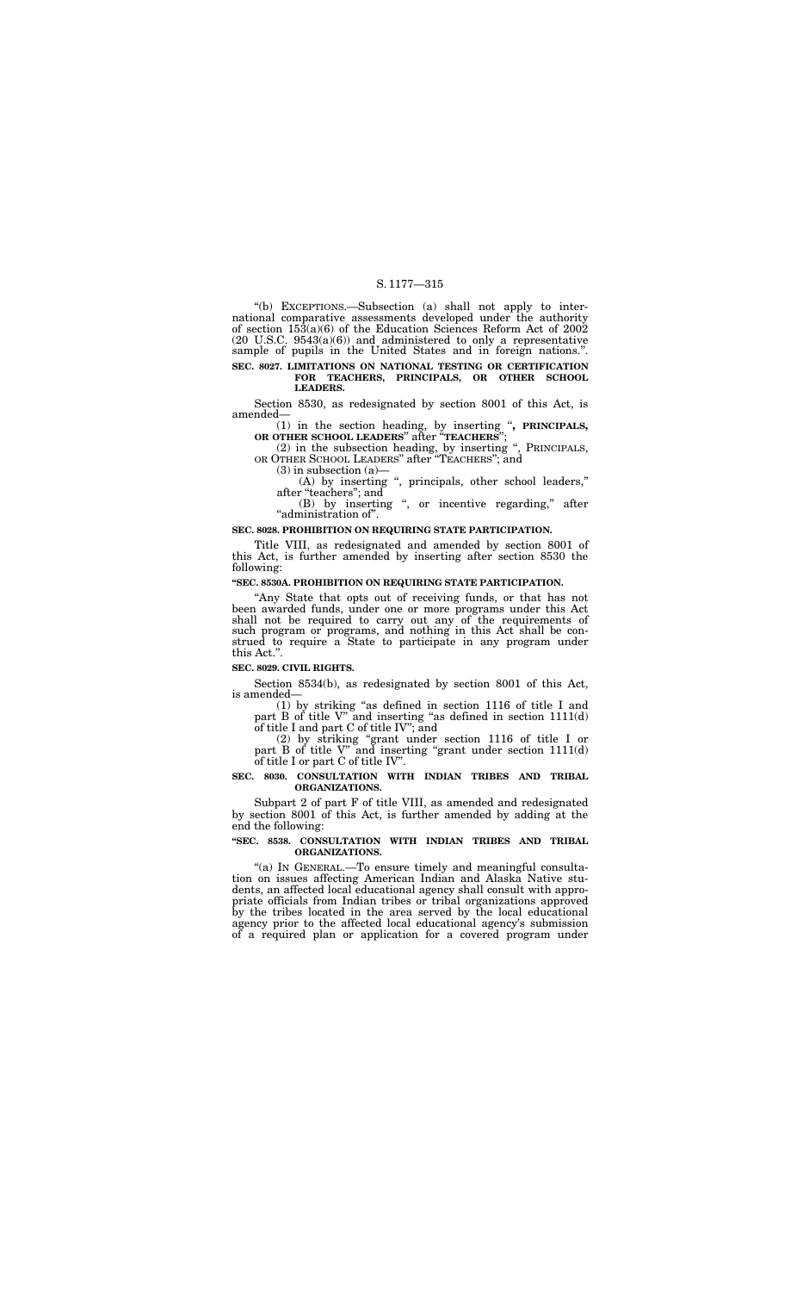''(b) EXCEPTIONS.—Subsection (a) shall not apply to international comparative assessments developed under the authority of section  $15\overline{3}(a)(6)$  of the Education Sciences Reform Act of  $200\overline{2}$ (20 U.S.C. 9543(a)(6)) and administered to only a representative sample of pupils in the United States and in foreign nations.''.

### **SEC. 8027. LIMITATIONS ON NATIONAL TESTING OR CERTIFICATION FOR TEACHERS, PRINCIPALS, OR OTHER SCHOOL LEADERS.**

(A) by inserting ", principals, other school leaders," after ''teachers''; and

(B) by inserting ", or incentive regarding," after ''administration of''.

Section 8530, as redesignated by section 8001 of this Act, is amended—

(1) in the section heading, by inserting ''**, PRINCIPALS, OR OTHER SCHOOL LEADERS**'' after ''**TEACHERS**'';

(2) in the subsection heading, by inserting '', PRINCIPALS, OR OTHER SCHOOL LEADERS'' after ''TEACHERS''; and

 $(3)$  in subsection  $(a)$ —

"Any State that opts out of receiving funds, or that has not been awarded funds, under one or more programs under this Act shall not be required to carry out any of the requirements of such program or programs, and nothing in this Act shall be construed to require a State to participate in any program under this Act.''.

### **SEC. 8028. PROHIBITION ON REQUIRING STATE PARTICIPATION.**

Title VIII, as redesignated and amended by section 8001 of this Act, is further amended by inserting after section 8530 the following:

### **''SEC. 8530A. PROHIBITION ON REQUIRING STATE PARTICIPATION.**

"(a) IN GENERAL.—To ensure timely and meaningful consultation on issues affecting American Indian and Alaska Native students, an affected local educational agency shall consult with appropriate officials from Indian tribes or tribal organizations approved by the tribes located in the area served by the local educational agency prior to the affected local educational agency's submission of a required plan or application for a covered program under

#### **SEC. 8029. CIVIL RIGHTS.**

Section 8534(b), as redesignated by section 8001 of this Act, is amended—

(1) by striking ''as defined in section 1116 of title I and part B of title V" and inserting "as defined in section 1111(d) of title I and part C of title IV''; and

(2) by striking ''grant under section 1116 of title I or part B of title V" and inserting "grant under section 1111(d) of title I or part C of title IV''.

### **SEC. 8030. CONSULTATION WITH INDIAN TRIBES AND TRIBAL ORGANIZATIONS.**

Subpart 2 of part F of title VIII, as amended and redesignated by section 8001 of this Act, is further amended by adding at the end the following:

#### **''SEC. 8538. CONSULTATION WITH INDIAN TRIBES AND TRIBAL ORGANIZATIONS.**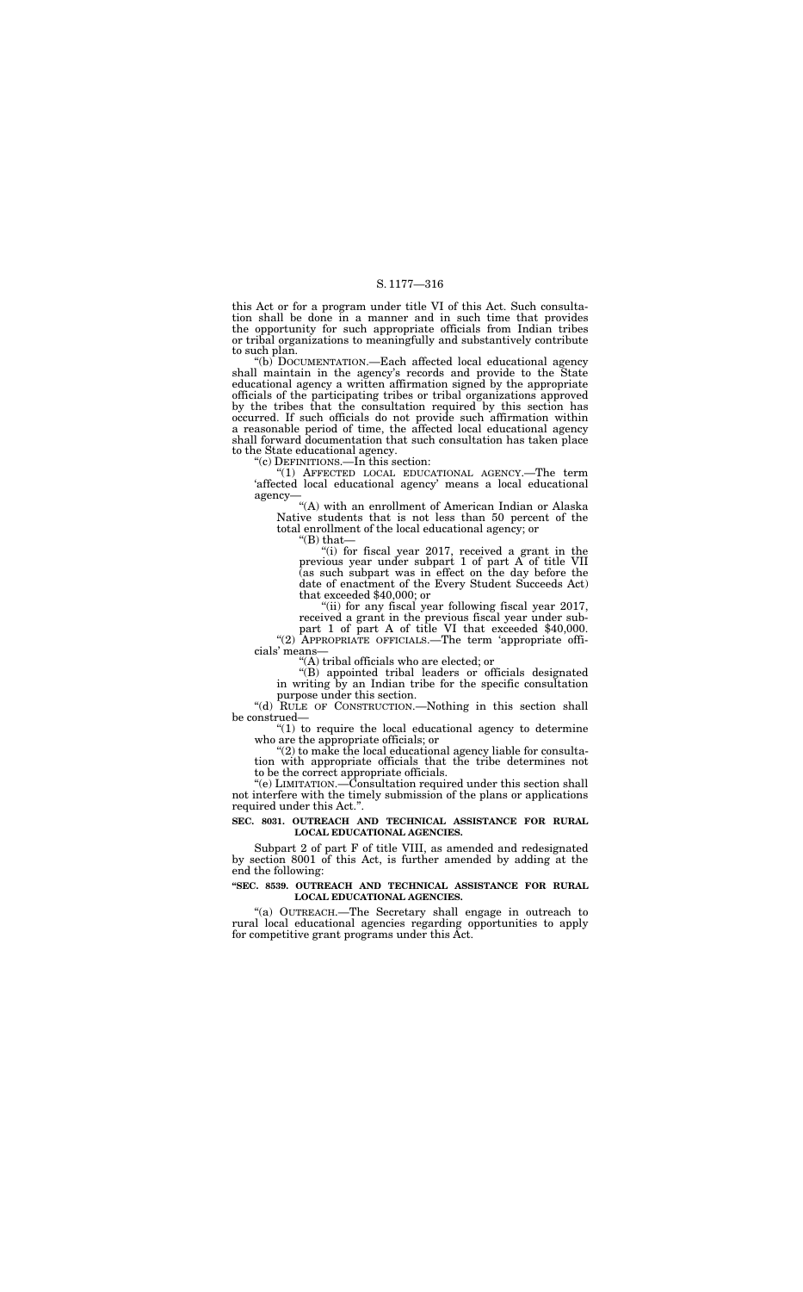this Act or for a program under title VI of this Act. Such consultation shall be done in a manner and in such time that provides the opportunity for such appropriate officials from Indian tribes or tribal organizations to meaningfully and substantively contribute to such plan.

''(b) DOCUMENTATION.—Each affected local educational agency shall maintain in the agency's records and provide to the State educational agency a written affirmation signed by the appropriate officials of the participating tribes or tribal organizations approved by the tribes that the consultation required by this section has occurred. If such officials do not provide such affirmation within a reasonable period of time, the affected local educational agency shall forward documentation that such consultation has taken place to the State educational agency.

> "(i) for fiscal year 2017, received a grant in the previous year under subpart 1 of part A of title VII (as such subpart was in effect on the day before the date of enactment of the Every Student Succeeds Act) that exceeded \$40,000; or

> "(ii) for any fiscal year following fiscal year 2017, received a grant in the previous fiscal year under subpart 1 of part A of title VI that exceeded \$40,000.

"(2) APPROPRIATE OFFICIALS.—The term 'appropriate officials' means—

''(c) DEFINITIONS.—In this section:

''(1) AFFECTED LOCAL EDUCATIONAL AGENCY.—The term 'affected local educational agency' means a local educational agency—

"(d) RULE OF CONSTRUCTION.—Nothing in this section shall be construed—

 $(1)$  to require the local educational agency to determine who are the appropriate officials; or

"(2) to make the local educational agency liable for consultation with appropriate officials that the tribe determines not to be the correct appropriate officials.

''(A) with an enrollment of American Indian or Alaska Native students that is not less than 50 percent of the total enrollment of the local educational agency; or

" $(B)$  that—

''(A) tribal officials who are elected; or

''(B) appointed tribal leaders or officials designated in writing by an Indian tribe for the specific consultation purpose under this section.

''(e) LIMITATION.—Consultation required under this section shall not interfere with the timely submission of the plans or applications required under this Act.''.

### **SEC. 8031. OUTREACH AND TECHNICAL ASSISTANCE FOR RURAL LOCAL EDUCATIONAL AGENCIES.**

Subpart 2 of part F of title VIII, as amended and redesignated by section 8001 of this Act, is further amended by adding at the end the following:

### **''SEC. 8539. OUTREACH AND TECHNICAL ASSISTANCE FOR RURAL LOCAL EDUCATIONAL AGENCIES.**

''(a) OUTREACH.—The Secretary shall engage in outreach to rural local educational agencies regarding opportunities to apply for competitive grant programs under this Act.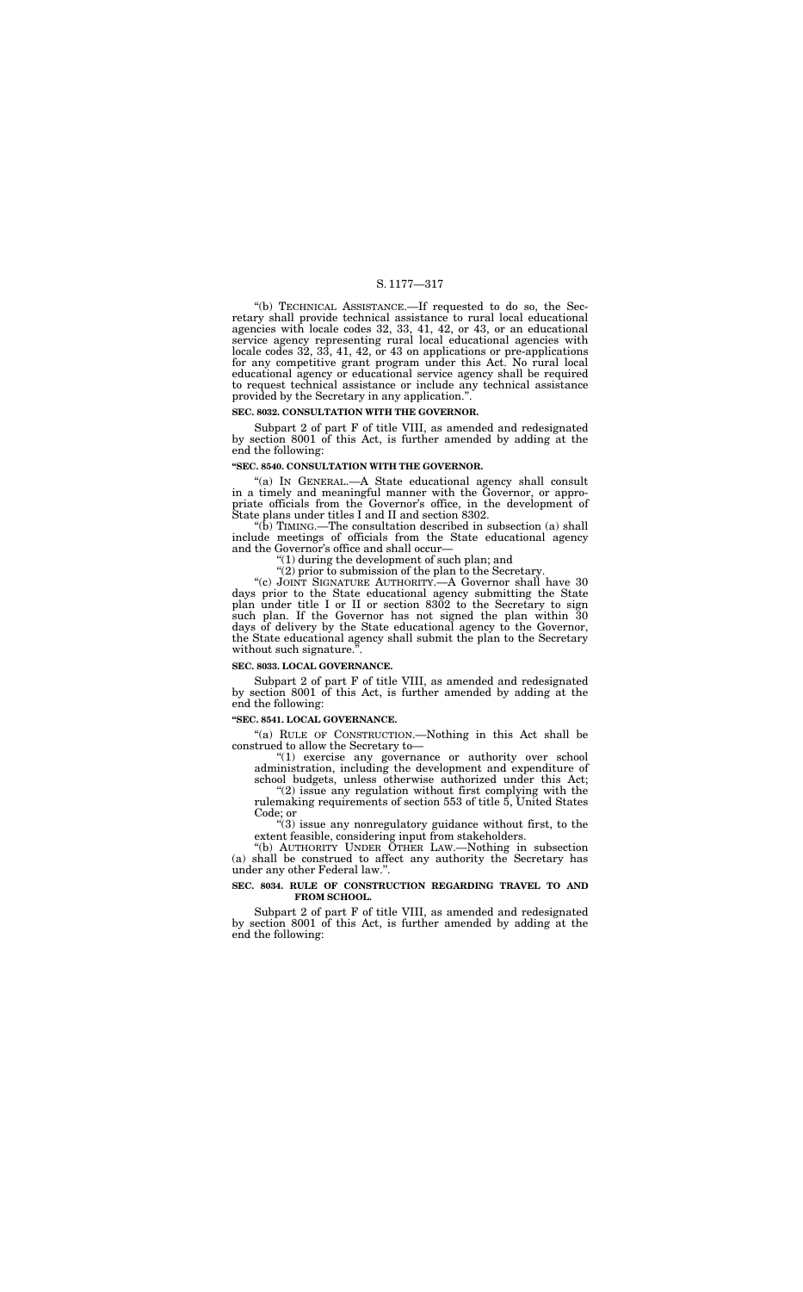''(b) TECHNICAL ASSISTANCE.—If requested to do so, the Secretary shall provide technical assistance to rural local educational agencies with locale codes 32, 33, 41, 42, or 43, or an educational service agency representing rural local educational agencies with locale codes 32, 33, 41, 42, or 43 on applications or pre-applications for any competitive grant program under this Act. No rural local educational agency or educational service agency shall be required to request technical assistance or include any technical assistance provided by the Secretary in any application.''.

### **SEC. 8032. CONSULTATION WITH THE GOVERNOR.**

"(b) TIMING.—The consultation described in subsection (a) shall include meetings of officials from the State educational agency and the Governor's office and shall occur—

Subpart 2 of part F of title VIII, as amended and redesignated by section 8001 of this Act, is further amended by adding at the end the following:

### **''SEC. 8540. CONSULTATION WITH THE GOVERNOR.**

''(a) IN GENERAL.—A State educational agency shall consult in a timely and meaningful manner with the Governor, or appropriate officials from the Governor's office, in the development of State plans under titles I and II and section 8302.

"(a) RULE OF CONSTRUCTION.—Nothing in this Act shall be construed to allow the Secretary to—

"(1) exercise any governance or authority over school administration, including the development and expenditure of school budgets, unless otherwise authorized under this Act;

''(1) during the development of such plan; and

 $\sqrt{\frac{2}{2}}$  prior to submission of the plan to the Secretary.

"(c) JOINT SIGNATURE AUTHORITY.—A Governor shall have 30 days prior to the State educational agency submitting the State plan under title I or II or section 8302 to the Secretary to sign such plan. If the Governor has not signed the plan within  $30$ days of delivery by the State educational agency to the Governor, the State educational agency shall submit the plan to the Secretary without such signature.

#### **SEC. 8033. LOCAL GOVERNANCE.**

Subpart 2 of part F of title VIII, as amended and redesignated by section 8001 of this Act, is further amended by adding at the end the following:

#### **''SEC. 8541. LOCAL GOVERNANCE.**

''(2) issue any regulation without first complying with the rulemaking requirements of section 553 of title 5, United States Code; or

''(3) issue any nonregulatory guidance without first, to the extent feasible, considering input from stakeholders.

''(b) AUTHORITY UNDER OTHER LAW.—Nothing in subsection (a) shall be construed to affect any authority the Secretary has under any other Federal law.''.

### **SEC. 8034. RULE OF CONSTRUCTION REGARDING TRAVEL TO AND FROM SCHOOL.**

Subpart 2 of part F of title VIII, as amended and redesignated by section 8001 of this Act, is further amended by adding at the end the following: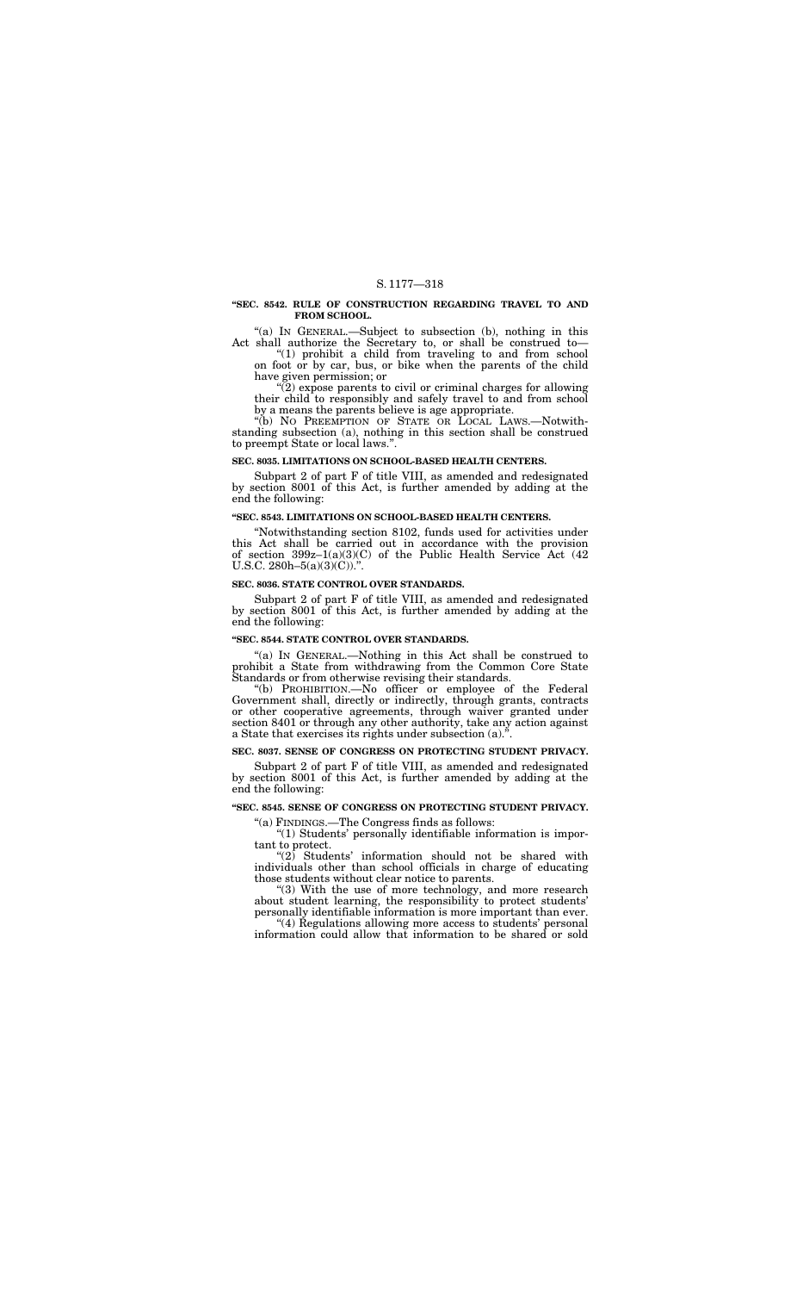### **''SEC. 8542. RULE OF CONSTRUCTION REGARDING TRAVEL TO AND FROM SCHOOL.**

''(a) IN GENERAL.—Subject to subsection (b), nothing in this Act shall authorize the Secretary to, or shall be construed to—

"(1) prohibit a child from traveling to and from school on foot or by car, bus, or bike when the parents of the child have given permission; or

"(b) NO PREEMPTION OF STATE OR LOCAL LAWS.—Notwithstanding subsection (a), nothing in this section shall be construed to preempt State or local laws.''.

''(2) expose parents to civil or criminal charges for allowing their child to responsibly and safely travel to and from school by a means the parents believe is age appropriate.

''Notwithstanding section 8102, funds used for activities under this Act shall be carried out in accordance with the provision of section  $399z-1(a)(3)(C)$  of the Public Health Service Act (42) U.S.C. 280h– $5(a)(3)(C)$ .".

### **SEC. 8035. LIMITATIONS ON SCHOOL-BASED HEALTH CENTERS.**

"(a) IN GENERAL.—Nothing in this Act shall be construed to prohibit a State from withdrawing from the Common Core State Standards or from otherwise revising their standards.

Subpart 2 of part F of title VIII, as amended and redesignated by section 8001 of this Act, is further amended by adding at the end the following:

#### **''SEC. 8543. LIMITATIONS ON SCHOOL-BASED HEALTH CENTERS.**

"(1) Students' personally identifiable information is important to protect.

#### **SEC. 8036. STATE CONTROL OVER STANDARDS.**

 $''(2)$  Students' information should not be shared with individuals other than school officials in charge of educating those students without clear notice to parents.

Subpart 2 of part F of title VIII, as amended and redesignated by section 8001 of this Act, is further amended by adding at the end the following:

"(4) Regulations allowing more access to students' personal information could allow that information to be shared or sold

### **''SEC. 8544. STATE CONTROL OVER STANDARDS.**

''(b) PROHIBITION.—No officer or employee of the Federal Government shall, directly or indirectly, through grants, contracts or other cooperative agreements, through waiver granted under section 8401 or through any other authority, take any action against a State that exercises its rights under subsection (a).''.

### **SEC. 8037. SENSE OF CONGRESS ON PROTECTING STUDENT PRIVACY.**

Subpart 2 of part F of title VIII, as amended and redesignated by section 8001 of this Act, is further amended by adding at the end the following:

### **''SEC. 8545. SENSE OF CONGRESS ON PROTECTING STUDENT PRIVACY.**

''(a) FINDINGS.—The Congress finds as follows:

''(3) With the use of more technology, and more research about student learning, the responsibility to protect students' personally identifiable information is more important than ever.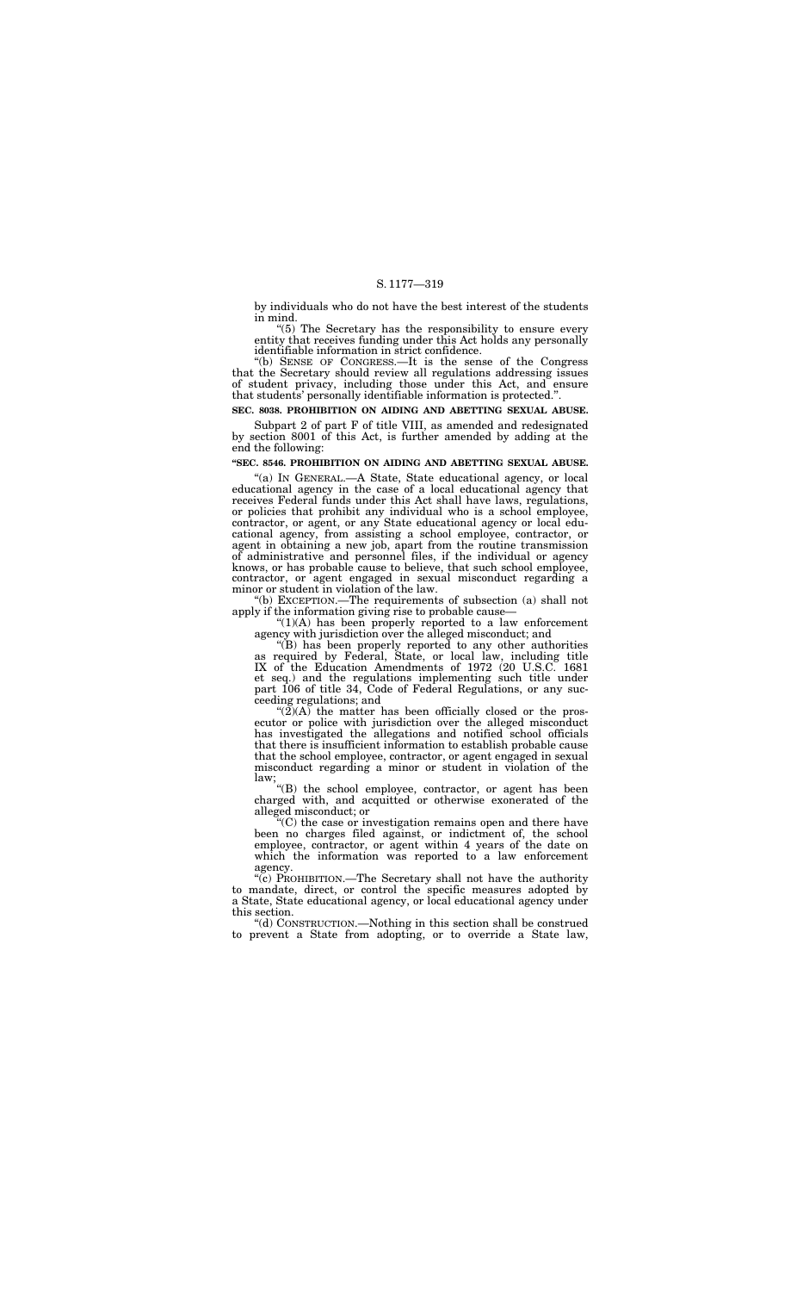by individuals who do not have the best interest of the students in mind.

''(5) The Secretary has the responsibility to ensure every entity that receives funding under this Act holds any personally identifiable information in strict confidence.

''(b) SENSE OF CONGRESS.—It is the sense of the Congress that the Secretary should review all regulations addressing issues of student privacy, including those under this Act, and ensure that students' personally identifiable information is protected.''.

### **SEC. 8038. PROHIBITION ON AIDING AND ABETTING SEXUAL ABUSE.**

Subpart 2 of part F of title VIII, as amended and redesignated by section 8001 of this Act, is further amended by adding at the end the following:

#### **''SEC. 8546. PROHIBITION ON AIDING AND ABETTING SEXUAL ABUSE.**

 $"(1)(A)$  has been properly reported to a law enforcement agency with jurisdiction over the alleged misconduct; and

''(a) IN GENERAL.—A State, State educational agency, or local educational agency in the case of a local educational agency that receives Federal funds under this Act shall have laws, regulations, or policies that prohibit any individual who is a school employee, contractor, or agent, or any State educational agency or local educational agency, from assisting a school employee, contractor, or agent in obtaining a new job, apart from the routine transmission of administrative and personnel files, if the individual or agency knows, or has probable cause to believe, that such school employee, contractor, or agent engaged in sexual misconduct regarding a minor or student in violation of the law.

" $(2)(A)$  the matter has been officially closed or the prosecutor or police with jurisdiction over the alleged misconduct has investigated the allegations and notified school officials that there is insufficient information to establish probable cause that the school employee, contractor, or agent engaged in sexual misconduct regarding a minor or student in violation of the law;

"(c) PROHIBITION.—The Secretary shall not have the authority to mandate, direct, or control the specific measures adopted by a State, State educational agency, or local educational agency under this section.

''(b) EXCEPTION.—The requirements of subsection (a) shall not apply if the information giving rise to probable cause—

''(B) has been properly reported to any other authorities as required by Federal, State, or local law, including title IX of the Education Amendments of 1972 (20 U.S.C. 1681 et seq.) and the regulations implementing such title under part 106 of title 34, Code of Federal Regulations, or any succeeding regulations; and

''(B) the school employee, contractor, or agent has been charged with, and acquitted or otherwise exonerated of the alleged misconduct; or

''(C) the case or investigation remains open and there have been no charges filed against, or indictment of, the school employee, contractor, or agent within 4 years of the date on which the information was reported to a law enforcement agency.

''(d) CONSTRUCTION.—Nothing in this section shall be construed to prevent a State from adopting, or to override a State law,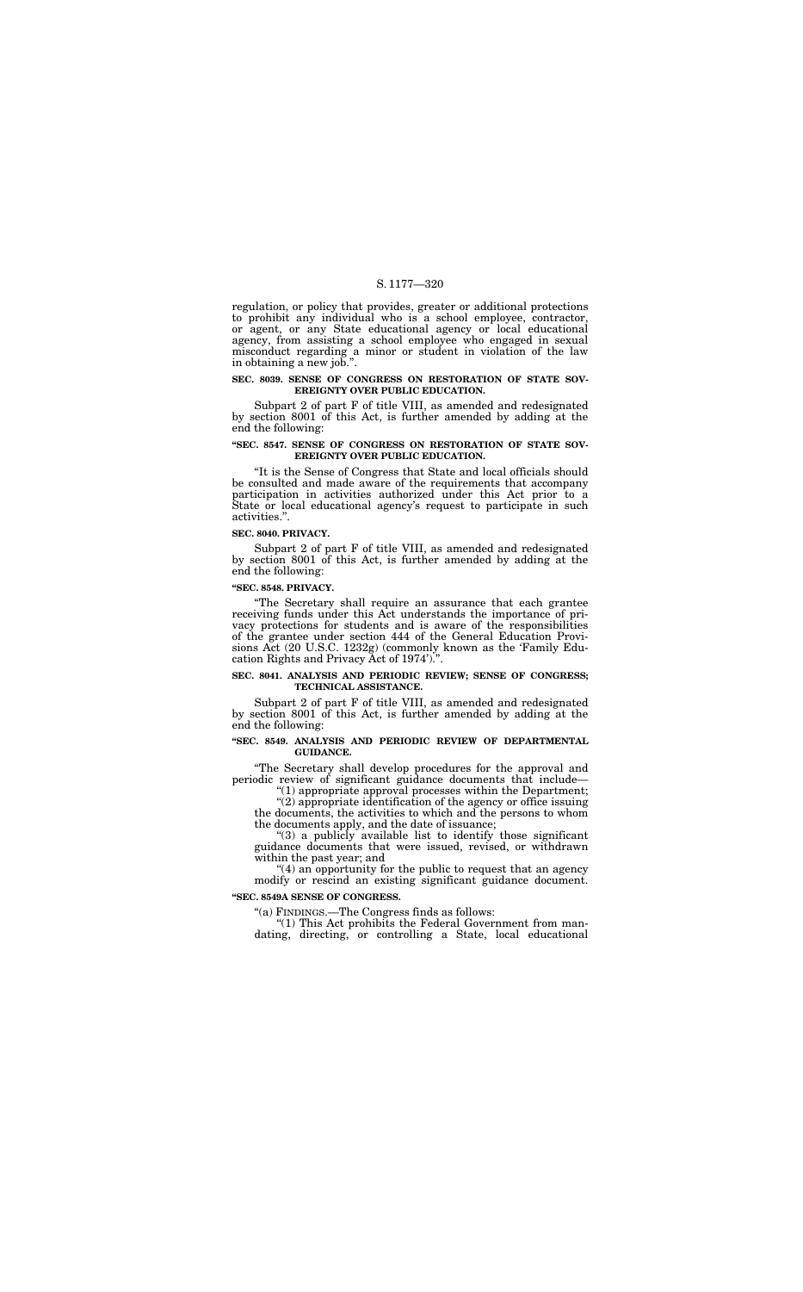regulation, or policy that provides, greater or additional protections to prohibit any individual who is a school employee, contractor, or agent, or any State educational agency or local educational agency, from assisting a school employee who engaged in sexual misconduct regarding a minor or student in violation of the law in obtaining a new job.''.

### **SEC. 8039. SENSE OF CONGRESS ON RESTORATION OF STATE SOV-EREIGNTY OVER PUBLIC EDUCATION.**

Subpart 2 of part F of title VIII, as amended and redesignated by section 8001 of this Act, is further amended by adding at the end the following:

### **''SEC. 8547. SENSE OF CONGRESS ON RESTORATION OF STATE SOV-EREIGNTY OVER PUBLIC EDUCATION.**

''It is the Sense of Congress that State and local officials should be consulted and made aware of the requirements that accompany participation in activities authorized under this Act prior to a State or local educational agency's request to participate in such activities.''.

#### **SEC. 8040. PRIVACY.**

Subpart 2 of part F of title VIII, as amended and redesignated by section 8001 of this Act, is further amended by adding at the end the following:

 $"(1)$  appropriate approval processes within the Department; ''(2) appropriate identification of the agency or office issuing the documents, the activities to which and the persons to whom

#### **''SEC. 8548. PRIVACY.**

"(1) This Act prohibits the Federal Government from mandating, directing, or controlling a State, local educational

''The Secretary shall require an assurance that each grantee receiving funds under this Act understands the importance of privacy protections for students and is aware of the responsibilities of the grantee under section 444 of the General Education Provisions Act (20 U.S.C. 1232g) (commonly known as the 'Family Education Rights and Privacy Act of 1974').''.

#### **SEC. 8041. ANALYSIS AND PERIODIC REVIEW; SENSE OF CONGRESS; TECHNICAL ASSISTANCE.**

Subpart 2 of part F of title VIII, as amended and redesignated by section 8001 of this Act, is further amended by adding at the end the following:

#### **''SEC. 8549. ANALYSIS AND PERIODIC REVIEW OF DEPARTMENTAL GUIDANCE.**

''The Secretary shall develop procedures for the approval and periodic review of significant guidance documents that include—

the documents apply, and the date of issuance; "(3) a publicly available list to identify those significant guidance documents that were issued, revised, or withdrawn within the past year; and

''(4) an opportunity for the public to request that an agency modify or rescind an existing significant guidance document.

#### **''SEC. 8549A SENSE OF CONGRESS.**

''(a) FINDINGS.—The Congress finds as follows: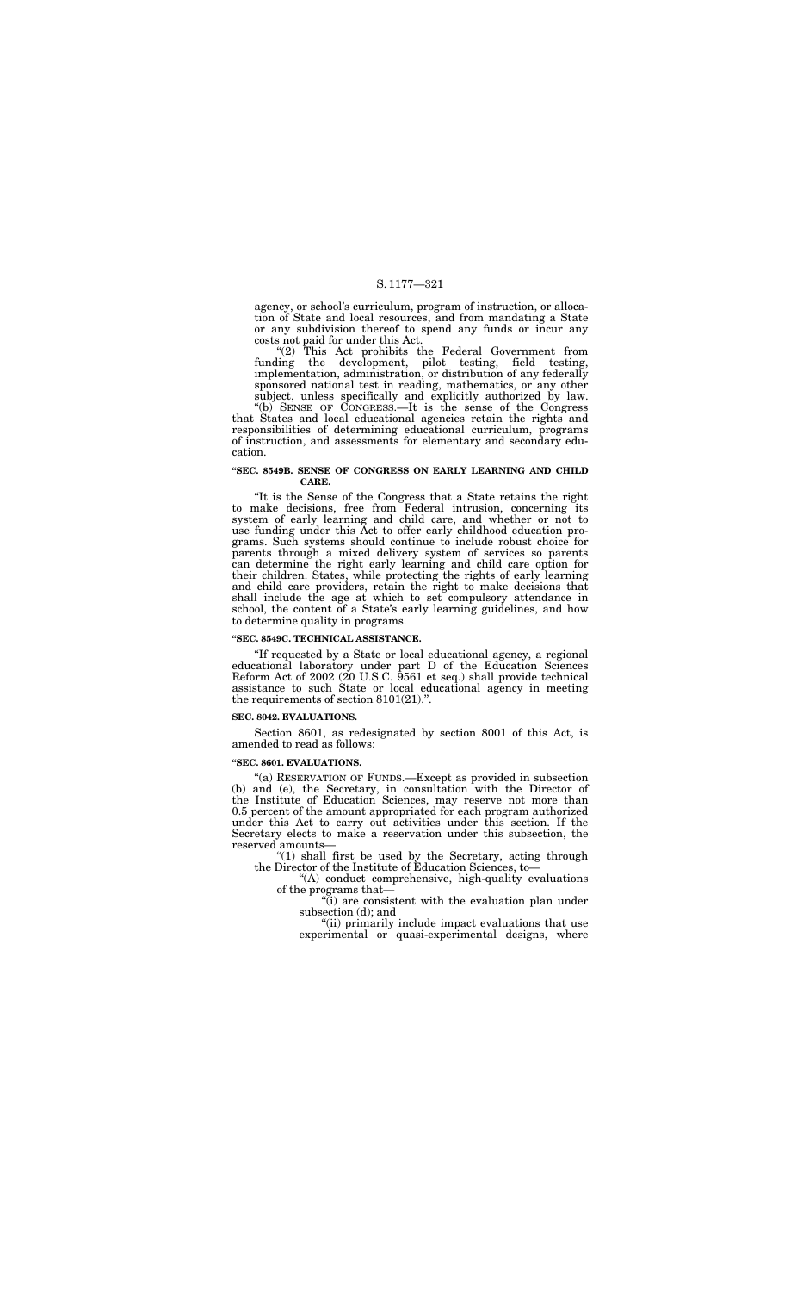agency, or school's curriculum, program of instruction, or allocation of State and local resources, and from mandating a State or any subdivision thereof to spend any funds or incur any costs not paid for under this Act.

''(2) This Act prohibits the Federal Government from funding the development, pilot testing, field testing, implementation, administration, or distribution of any federally sponsored national test in reading, mathematics, or any other subject, unless specifically and explicitly authorized by law.

''(b) SENSE OF CONGRESS.—It is the sense of the Congress that States and local educational agencies retain the rights and responsibilities of determining educational curriculum, programs of instruction, and assessments for elementary and secondary education.

#### **''SEC. 8549B. SENSE OF CONGRESS ON EARLY LEARNING AND CHILD CARE.**

''It is the Sense of the Congress that a State retains the right to make decisions, free from Federal intrusion, concerning its system of early learning and child care, and whether or not to use funding under this Act to offer early childhood education programs. Such systems should continue to include robust choice for parents through a mixed delivery system of services so parents can determine the right early learning and child care option for their children. States, while protecting the rights of early learning and child care providers, retain the right to make decisions that shall include the age at which to set compulsory attendance in school, the content of a State's early learning guidelines, and how to determine quality in programs.

### **''SEC. 8549C. TECHNICAL ASSISTANCE.**

''If requested by a State or local educational agency, a regional educational laboratory under part D of the Education Sciences Reform Act of 2002 (20 U.S.C. 9561 et seq.) shall provide technical assistance to such State or local educational agency in meeting the requirements of section 8101(21).''.

### **SEC. 8042. EVALUATIONS.**

Section 8601, as redesignated by section 8001 of this Act, is amended to read as follows:

#### **''SEC. 8601. EVALUATIONS.**

''(a) RESERVATION OF FUNDS.—Except as provided in subsection (b) and (e), the Secretary, in consultation with the Director of the Institute of Education Sciences, may reserve not more than 0.5 percent of the amount appropriated for each program authorized under this Act to carry out activities under this section. If the Secretary elects to make a reservation under this subsection, the reserved amounts—

''(1) shall first be used by the Secretary, acting through the Director of the Institute of Education Sciences, to—

''(A) conduct comprehensive, high-quality evaluations of the programs that—

''(i) are consistent with the evaluation plan under subsection (d); and

''(ii) primarily include impact evaluations that use experimental or quasi-experimental designs, where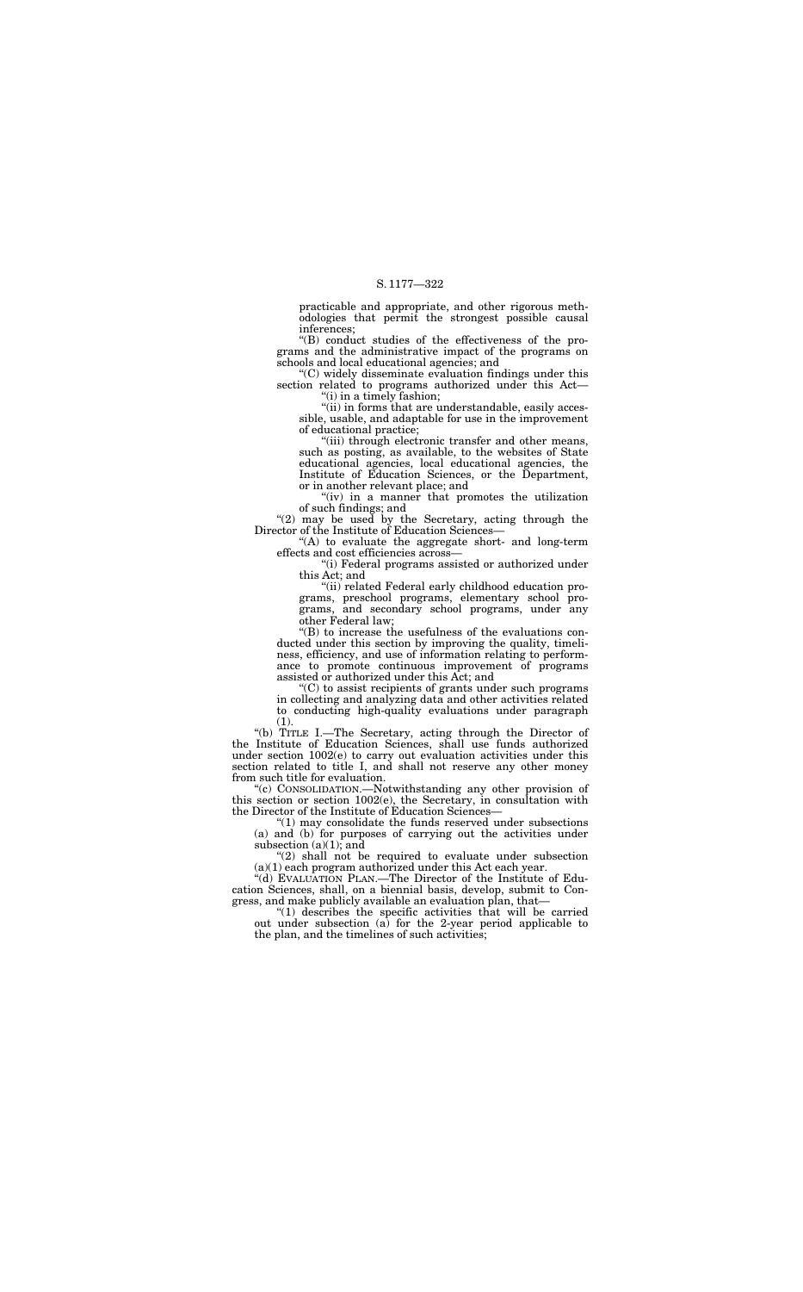practicable and appropriate, and other rigorous methodologies that permit the strongest possible causal inferences;

''(B) conduct studies of the effectiveness of the programs and the administrative impact of the programs on schools and local educational agencies; and

"(ii) in forms that are understandable, easily accessible, usable, and adaptable for use in the improvement of educational practice;

''(C) widely disseminate evaluation findings under this section related to programs authorized under this Act—

''(i) in a timely fashion;

"(iv) in a manner that promotes the utilization of such findings; and

"(2) may be used by the Secretary, acting through the Director of the Institute of Education Sciences—

" $(A)$  to evaluate the aggregate short- and long-term effects and cost efficiencies across—

"(ii) related Federal early childhood education programs, preschool programs, elementary school programs, and secondary school programs, under any other Federal law;

''(iii) through electronic transfer and other means, such as posting, as available, to the websites of State educational agencies, local educational agencies, the Institute of Education Sciences, or the Department, or in another relevant place; and

''(i) Federal programs assisted or authorized under this Act; and

''(1) may consolidate the funds reserved under subsections (a) and (b) for purposes of carrying out the activities under subsection  $(a)(1)$ ; and

"(2) shall not be required to evaluate under subsection (a)(1) each program authorized under this Act each year.

''(B) to increase the usefulness of the evaluations conducted under this section by improving the quality, timeliness, efficiency, and use of information relating to performance to promote continuous improvement of programs assisted or authorized under this Act; and

''(C) to assist recipients of grants under such programs in collecting and analyzing data and other activities related to conducting high-quality evaluations under paragraph (1).

''(b) TITLE I.—The Secretary, acting through the Director of the Institute of Education Sciences, shall use funds authorized under section 1002(e) to carry out evaluation activities under this section related to title I, and shall not reserve any other money from such title for evaluation.

''(c) CONSOLIDATION.—Notwithstanding any other provision of this section or section 1002(e), the Secretary, in consultation with the Director of the Institute of Education Sciences—

''(d) EVALUATION PLAN.—The Director of the Institute of Education Sciences, shall, on a biennial basis, develop, submit to Congress, and make publicly available an evaluation plan, that—

''(1) describes the specific activities that will be carried out under subsection (a) for the 2-year period applicable to the plan, and the timelines of such activities;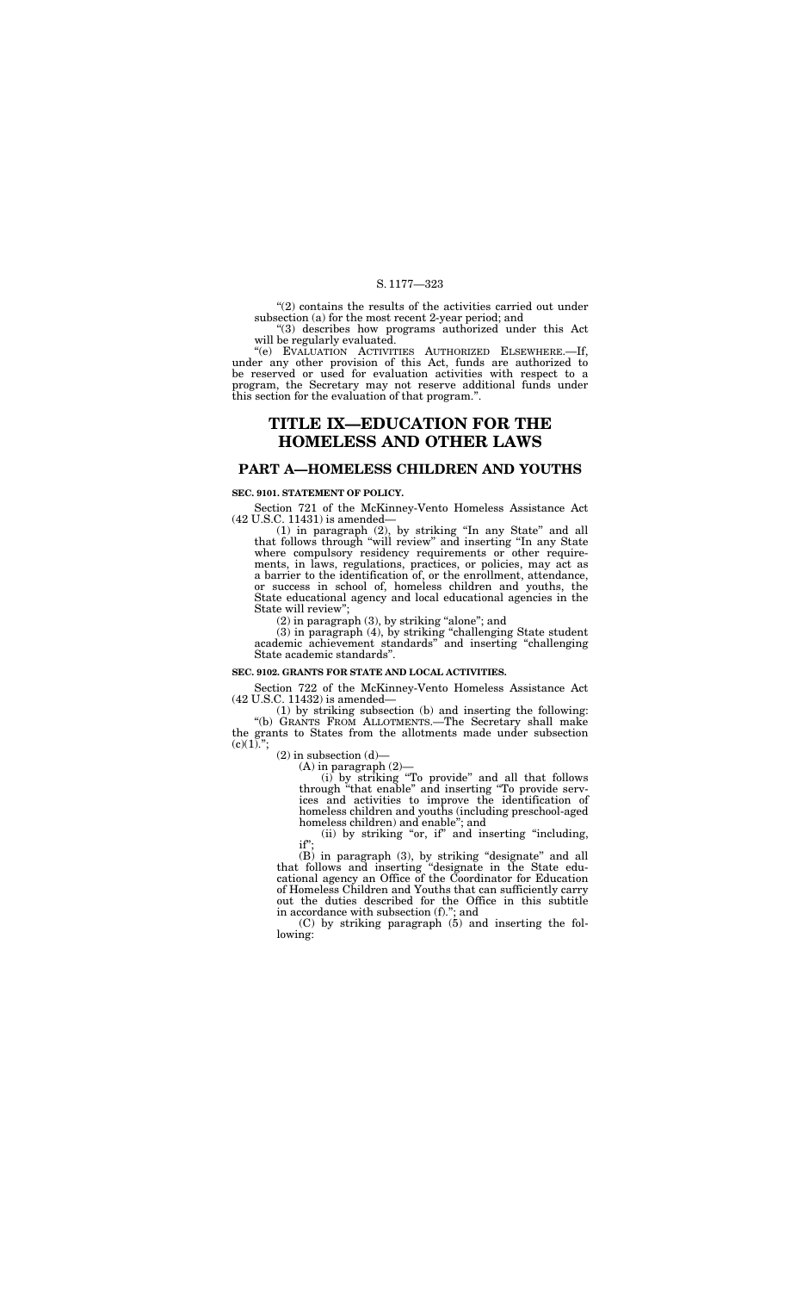"(2) contains the results of the activities carried out under subsection (a) for the most recent 2-year period; and

''(3) describes how programs authorized under this Act will be regularly evaluated.

''(e) EVALUATION ACTIVITIES AUTHORIZED ELSEWHERE.—If, under any other provision of this Act, funds are authorized to be reserved or used for evaluation activities with respect to a program, the Secretary may not reserve additional funds under this section for the evaluation of that program.''.

# **TITLE IX—EDUCATION FOR THE HOMELESS AND OTHER LAWS**

### **PART A—HOMELESS CHILDREN AND YOUTHS**

### **SEC. 9101. STATEMENT OF POLICY.**

Section 721 of the McKinney-Vento Homeless Assistance Act (42 U.S.C. 11431) is amended—

(1) by striking subsection (b) and inserting the following: ''(b) GRANTS FROM ALLOTMENTS.—The Secretary shall make the grants to States from the allotments made under subsection  $(c)(1).$ ";

 $(2)$  in subsection  $(d)$ -

 $(A)$  in paragraph  $(2)$ —

(1) in paragraph (2), by striking ''In any State'' and all that follows through ''will review'' and inserting ''In any State where compulsory residency requirements or other requirements, in laws, regulations, practices, or policies, may act as a barrier to the identification of, or the enrollment, attendance, or success in school of, homeless children and youths, the State educational agency and local educational agencies in the State will review'';

 $(2)$  in paragraph  $(3)$ , by striking "alone"; and

(ii) by striking "or, if" and inserting "including, if'';

 $(C)$  by striking paragraph  $(5)$  and inserting the following:

(3) in paragraph (4), by striking ''challenging State student academic achievement standards'' and inserting ''challenging State academic standards''.

### **SEC. 9102. GRANTS FOR STATE AND LOCAL ACTIVITIES.**

Section 722 of the McKinney-Vento Homeless Assistance Act (42 U.S.C. 11432) is amended—

> (i) by striking ''To provide'' and all that follows through ''that enable'' and inserting ''To provide services and activities to improve the identification of homeless children and youths (including preschool-aged homeless children) and enable''; and

(B) in paragraph (3), by striking ''designate'' and all that follows and inserting ''designate in the State educational agency an Office of the Coordinator for Education of Homeless Children and Youths that can sufficiently carry out the duties described for the Office in this subtitle in accordance with subsection (f).''; and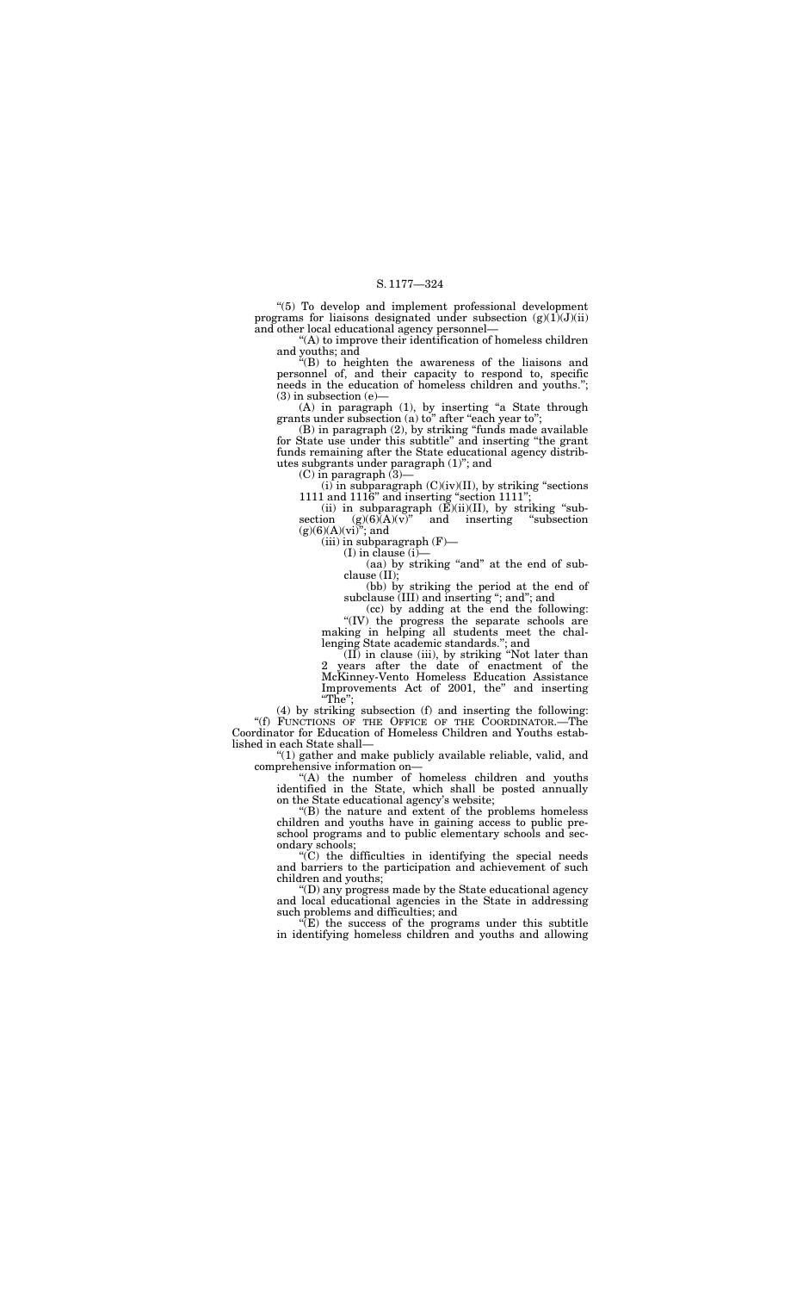''(5) To develop and implement professional development programs for liaisons designated under subsection  $(g)(1)(J)(ii)$ and other local educational agency personnel—

''(B) to heighten the awareness of the liaisons and personnel of, and their capacity to respond to, specific needs in the education of homeless children and youths.'';  $(3)$  in subsection  $(e)$ 

''(A) to improve their identification of homeless children and youths; and

 $(i)$  in subparagraph  $(C)(iv)(II)$ , by striking "sections 1111 and 1116'' and inserting ''section 1111'';

(ii) in subparagraph  $(E)(ii)(II)$ , by striking "subsection  $(g)(6)(A)(v)$  and inserting "subsection  $(g)(6)(A)(vi)^{y}$ ; and

 $(iii)$  in subparagraph  $(F)$ –

(A) in paragraph (1), by inserting ''a State through grants under subsection (a) to'' after ''each year to'';

> (aa) by striking "and" at the end of subclause (II);

> (bb) by striking the period at the end of subclause (III) and inserting "; and"; and

(B) in paragraph (2), by striking ''funds made available for State use under this subtitle'' and inserting ''the grant funds remaining after the State educational agency distributes subgrants under paragraph (1)''; and

 $(C)$  in paragraph  $(3)$ —

"(A) the number of homeless children and youths identified in the State, which shall be posted annually on the State educational agency's website;

(I) in clause (i)—

(cc) by adding at the end the following: ''(IV) the progress the separate schools are making in helping all students meet the challenging State academic standards.''; and

 $\sqrt{\text{E}}$ ) the success of the programs under this subtitle in identifying homeless children and youths and allowing

(II) in clause (iii), by striking ''Not later than years after the date of enactment of the McKinney-Vento Homeless Education Assistance Improvements Act of 2001, the'' and inserting ''The'';

(4) by striking subsection (f) and inserting the following: ''(f) FUNCTIONS OF THE OFFICE OF THE COORDINATOR.—The Coordinator for Education of Homeless Children and Youths established in each State shall—

''(1) gather and make publicly available reliable, valid, and comprehensive information on—

''(B) the nature and extent of the problems homeless children and youths have in gaining access to public preschool programs and to public elementary schools and secondary schools;

''(C) the difficulties in identifying the special needs and barriers to the participation and achievement of such children and youths;

''(D) any progress made by the State educational agency and local educational agencies in the State in addressing such problems and difficulties; and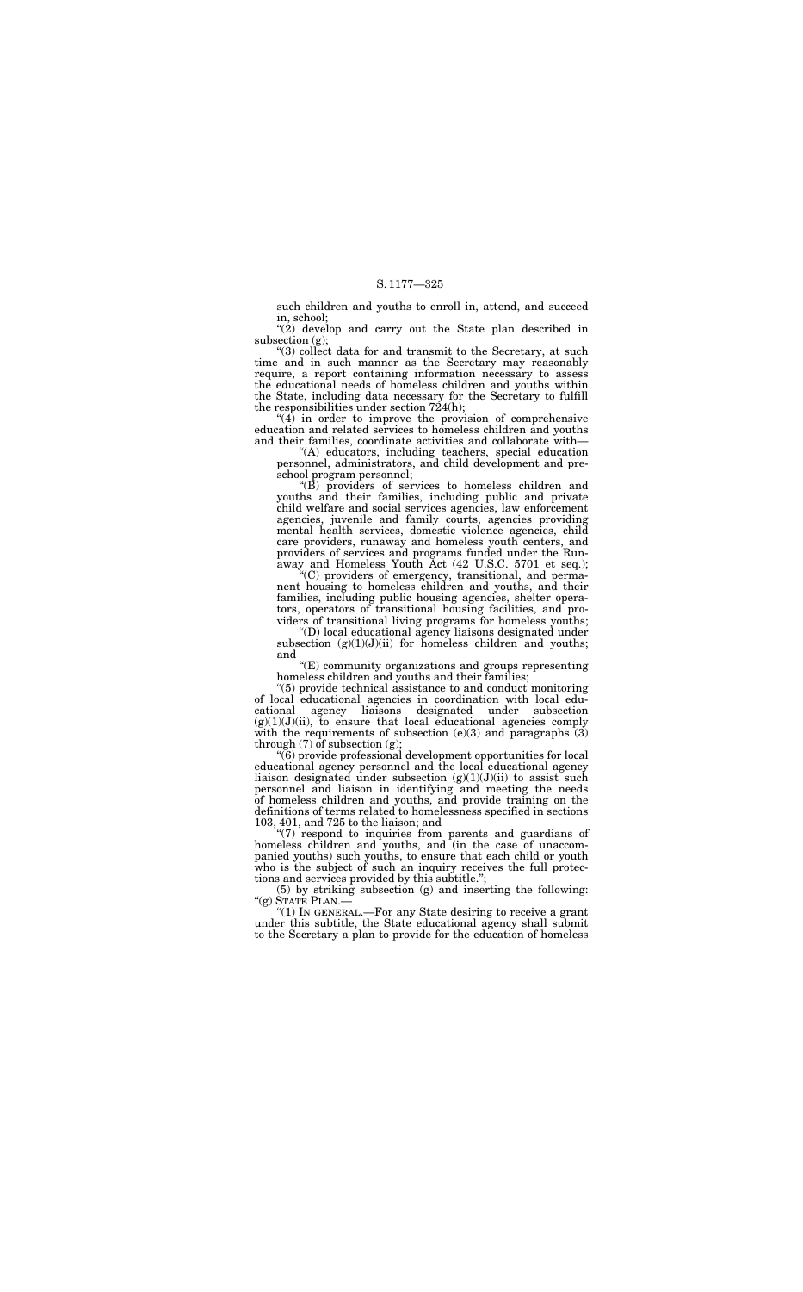such children and youths to enroll in, attend, and succeed in, school;

"(2) develop and carry out the State plan described in subsection (g);

"(3) collect data for and transmit to the Secretary, at such time and in such manner as the Secretary may reasonably require, a report containing information necessary to assess the educational needs of homeless children and youths within the State, including data necessary for the Secretary to fulfill the responsibilities under section 724(h);

"(4) in order to improve the provision of comprehensive education and related services to homeless children and youths and their families, coordinate activities and collaborate with—

''(A) educators, including teachers, special education personnel, administrators, and child development and preschool program personnel;

''(B) providers of services to homeless children and youths and their families, including public and private child welfare and social services agencies, law enforcement agencies, juvenile and family courts, agencies providing mental health services, domestic violence agencies, child care providers, runaway and homeless youth centers, and providers of services and programs funded under the Runaway and Homeless Youth Act (42 U.S.C. 5701 et seq.);

"(7) respond to inquiries from parents and guardians of homeless children and youths, and (in the case of unaccompanied youths) such youths, to ensure that each child or youth who is the subject of such an inquiry receives the full protections and services provided by this subtitle.'';

(5) by striking subsection (g) and inserting the following: "(g) STATE PLAN.—

''(C) providers of emergency, transitional, and permanent housing to homeless children and youths, and their families, including public housing agencies, shelter operators, operators of transitional housing facilities, and providers of transitional living programs for homeless youths;

"(1) IN GENERAL.—For any State desiring to receive a grant under this subtitle, the State educational agency shall submit to the Secretary a plan to provide for the education of homeless

''(D) local educational agency liaisons designated under subsection  $(g)(1)(J)(ii)$  for homeless children and youths; and

''(E) community organizations and groups representing homeless children and youths and their families;

''(5) provide technical assistance to and conduct monitoring of local educational agencies in coordination with local eduagency liaisons designated under subsection  $(g)(1)(J)(ii)$ , to ensure that local educational agencies comply with the requirements of subsection  $(e)(3)$  and paragraphs  $(3)$ through (7) of subsection (g);

''(6) provide professional development opportunities for local educational agency personnel and the local educational agency liaison designated under subsection  $(g)(1)(J)(ii)$  to assist such personnel and liaison in identifying and meeting the needs of homeless children and youths, and provide training on the definitions of terms related to homelessness specified in sections 103, 401, and 725 to the liaison; and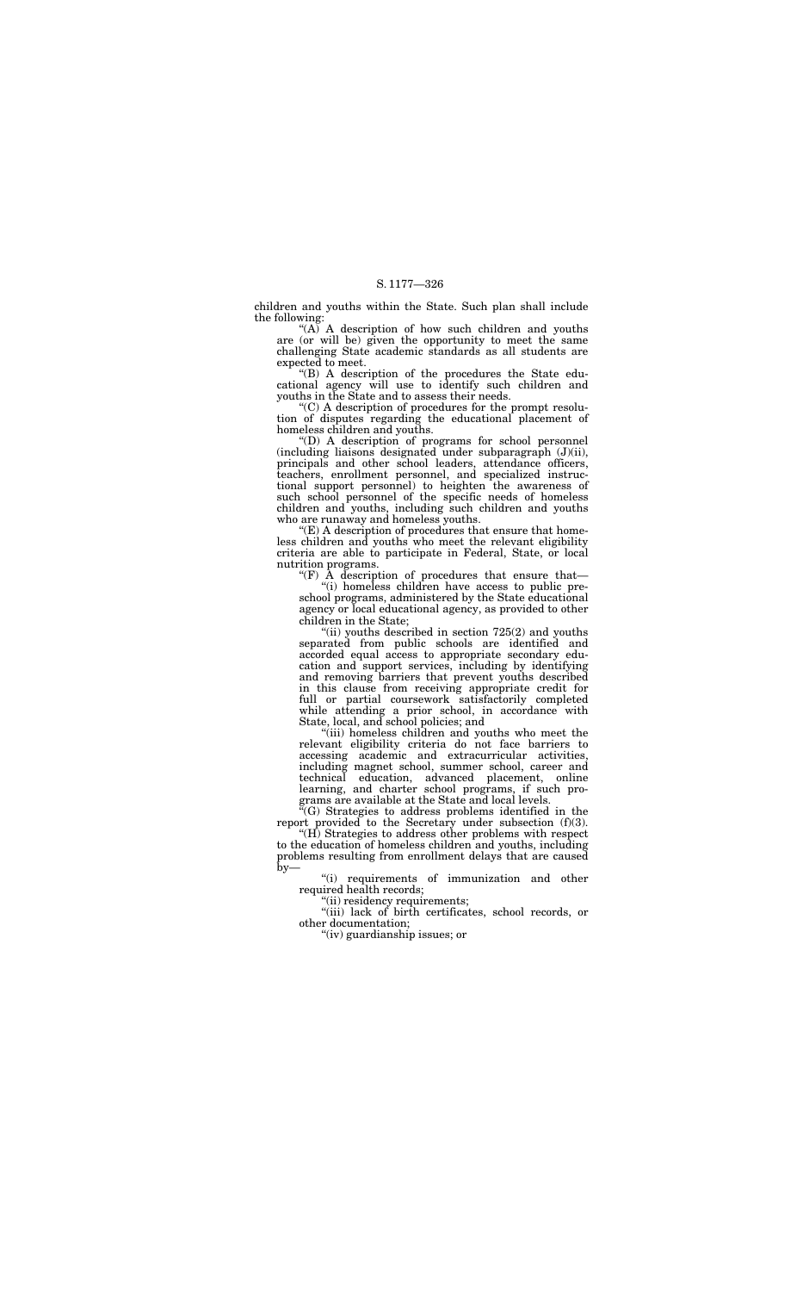children and youths within the State. Such plan shall include the following:

" $(A)$  A description of how such children and youths are (or will be) given the opportunity to meet the same challenging State academic standards as all students are expected to meet.

''(B) A description of the procedures the State educational agency will use to identify such children and youths in the State and to assess their needs.

''(C) A description of procedures for the prompt resolution of disputes regarding the educational placement of homeless children and youths.

 $E(E)$  A description of procedures that ensure that homeless children and youths who meet the relevant eligibility criteria are able to participate in Federal, State, or local nutrition programs.

" $(F)$  A description of procedures that ensure that-

''(D) A description of programs for school personnel (including liaisons designated under subparagraph (J)(ii), principals and other school leaders, attendance officers, teachers, enrollment personnel, and specialized instructional support personnel) to heighten the awareness of such school personnel of the specific needs of homeless children and youths, including such children and youths who are runaway and homeless youths.

"(ii) youths described in section 725(2) and youths separated from public schools are identified and accorded equal access to appropriate secondary education and support services, including by identifying and removing barriers that prevent youths described in this clause from receiving appropriate credit for full or partial coursework satisfactorily completed while attending a prior school, in accordance with State, local, and school policies; and

"(iii) homeless children and youths who meet the relevant eligibility criteria do not face barriers to accessing academic and extracurricular activities, including magnet school, summer school, career and technical education, advanced placement, online learning, and charter school programs, if such programs are available at the State and local levels.

''(H) Strategies to address other problems with respect to the education of homeless children and youths, including problems resulting from enrollment delays that are caused  $by-$ 

''(i) homeless children have access to public preschool programs, administered by the State educational agency or local educational agency, as provided to other children in the State;

''(G) Strategies to address problems identified in the report provided to the Secretary under subsection (f)(3).

''(i) requirements of immunization and other required health records;

"(ii) residency requirements;

''(iii) lack of birth certificates, school records, or other documentation;

''(iv) guardianship issues; or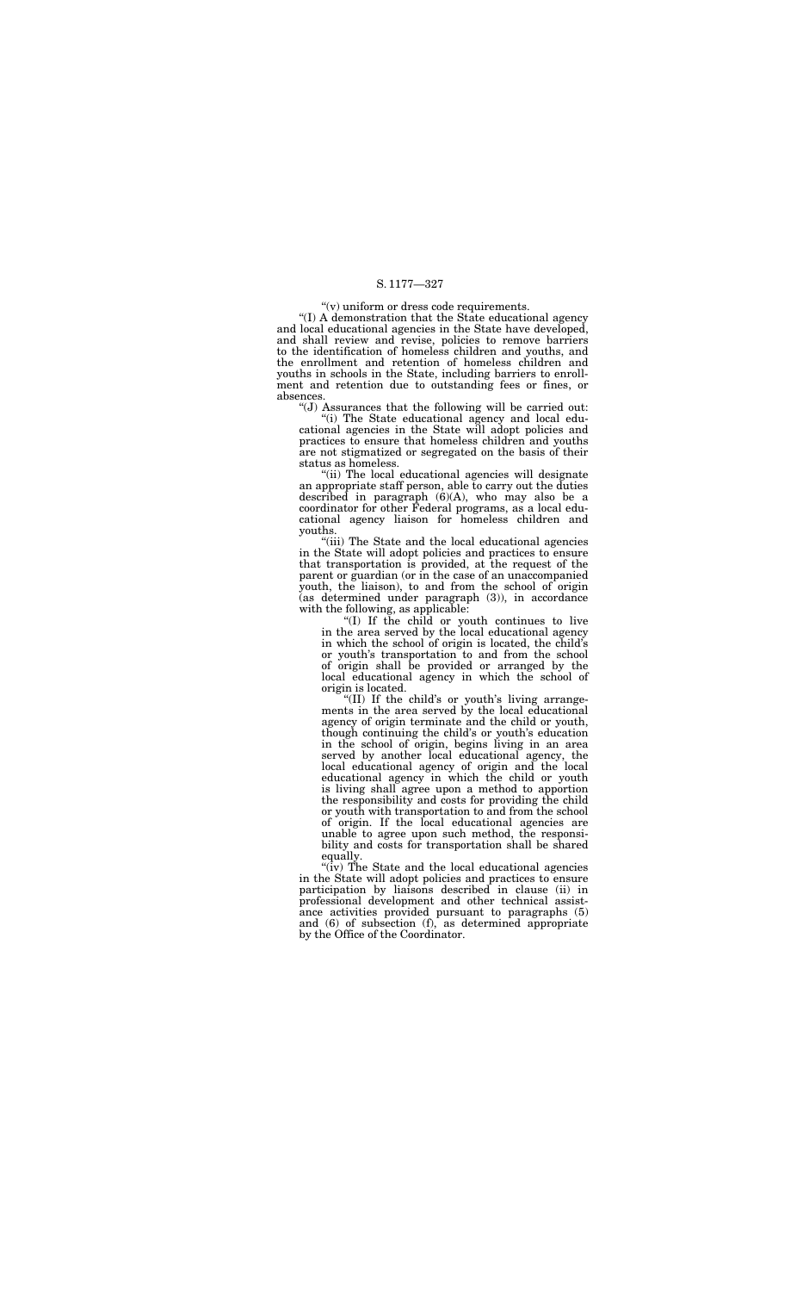''(v) uniform or dress code requirements.

''(I) A demonstration that the State educational agency and local educational agencies in the State have developed, and shall review and revise, policies to remove barriers to the identification of homeless children and youths, and the enrollment and retention of homeless children and youths in schools in the State, including barriers to enrollment and retention due to outstanding fees or fines, or absences.

''(J) Assurances that the following will be carried out:

"(ii) The local educational agencies will designate an appropriate staff person, able to carry out the duties described in paragraph (6)(A), who may also be a coordinator for other Federal programs, as a local educational agency liaison for homeless children and youths.

''(i) The State educational agency and local educational agencies in the State will adopt policies and practices to ensure that homeless children and youths are not stigmatized or segregated on the basis of their status as homeless.

''(iii) The State and the local educational agencies in the State will adopt policies and practices to ensure that transportation is provided, at the request of the parent or guardian (or in the case of an unaccompanied youth, the liaison), to and from the school of origin (as determined under paragraph (3)), in accordance with the following, as applicable:

"(iv) The State and the local educational agencies in the State will adopt policies and practices to ensure participation by liaisons described in clause (ii) in professional development and other technical assistance activities provided pursuant to paragraphs (5) and (6) of subsection (f), as determined appropriate by the Office of the Coordinator.

''(I) If the child or youth continues to live in the area served by the local educational agency in which the school of origin is located, the child's or youth's transportation to and from the school of origin shall be provided or arranged by the local educational agency in which the school of origin is located.

''(II) If the child's or youth's living arrangements in the area served by the local educational agency of origin terminate and the child or youth, though continuing the child's or youth's education in the school of origin, begins living in an area served by another local educational agency, the local educational agency of origin and the local educational agency in which the child or youth is living shall agree upon a method to apportion the responsibility and costs for providing the child or youth with transportation to and from the school of origin. If the local educational agencies are unable to agree upon such method, the responsibility and costs for transportation shall be shared equally.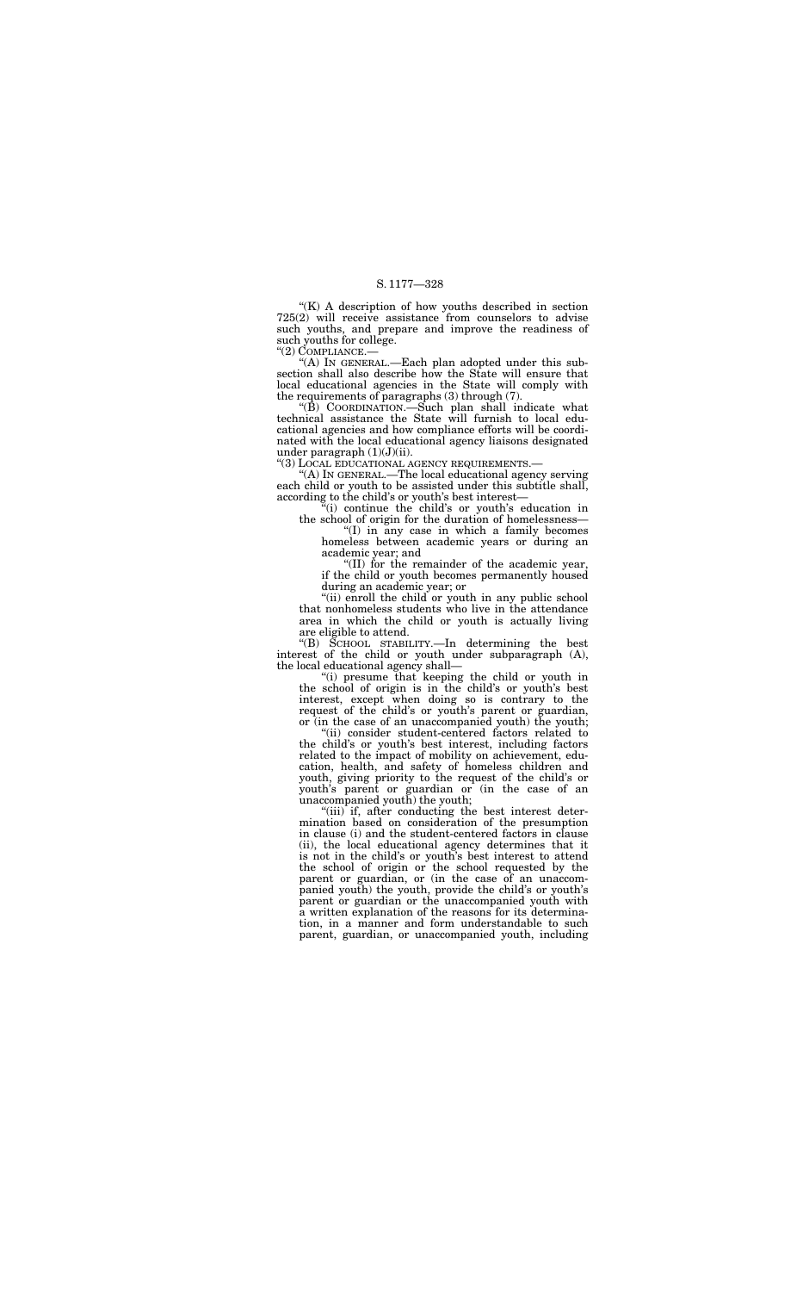"(K) A description of how youths described in section 725(2) will receive assistance from counselors to advise such youths, and prepare and improve the readiness of such youths for college.<br>"(2) COMPLIANCE.-

"(A) IN GENERAL.—Each plan adopted under this subsection shall also describe how the State will ensure that local educational agencies in the State will comply with the requirements of paragraphs (3) through (7).

''(B) COORDINATION.—Such plan shall indicate what technical assistance the State will furnish to local educational agencies and how compliance efforts will be coordinated with the local educational agency liaisons designated under paragraph (1)(J)(ii).<br>"(3) LOCAL EDUCATIONAL AGENCY REQUIREMENTS.—

"(A) IN GENERAL.—The local educational agency serving each child or youth to be assisted under this subtitle shall, according to the child's or youth's best interest—

''(i) continue the child's or youth's education in the school of origin for the duration of homelessness—

''(I) in any case in which a family becomes homeless between academic years or during an academic year; and

''(II) for the remainder of the academic year, if the child or youth becomes permanently housed during an academic year; or

''(ii) enroll the child or youth in any public school that nonhomeless students who live in the attendance area in which the child or youth is actually living are eligible to attend.

"(iii) if, after conducting the best interest determination based on consideration of the presumption in clause (i) and the student-centered factors in clause (ii), the local educational agency determines that it is not in the child's or youth's best interest to attend the school of origin or the school requested by the parent or guardian, or (in the case of an unaccompanied youth) the youth, provide the child's or youth's parent or guardian or the unaccompanied youth with a written explanation of the reasons for its determination, in a manner and form understandable to such parent, guardian, or unaccompanied youth, including

''(B) SCHOOL STABILITY.—In determining the best interest of the child or youth under subparagraph (A), the local educational agency shall—

''(i) presume that keeping the child or youth in the school of origin is in the child's or youth's best interest, except when doing so is contrary to the request of the child's or youth's parent or guardian, or (in the case of an unaccompanied youth) the youth;

''(ii) consider student-centered factors related to the child's or youth's best interest, including factors related to the impact of mobility on achievement, education, health, and safety of homeless children and youth, giving priority to the request of the child's or youth's parent or guardian or (in the case of an unaccompanied youth) the youth;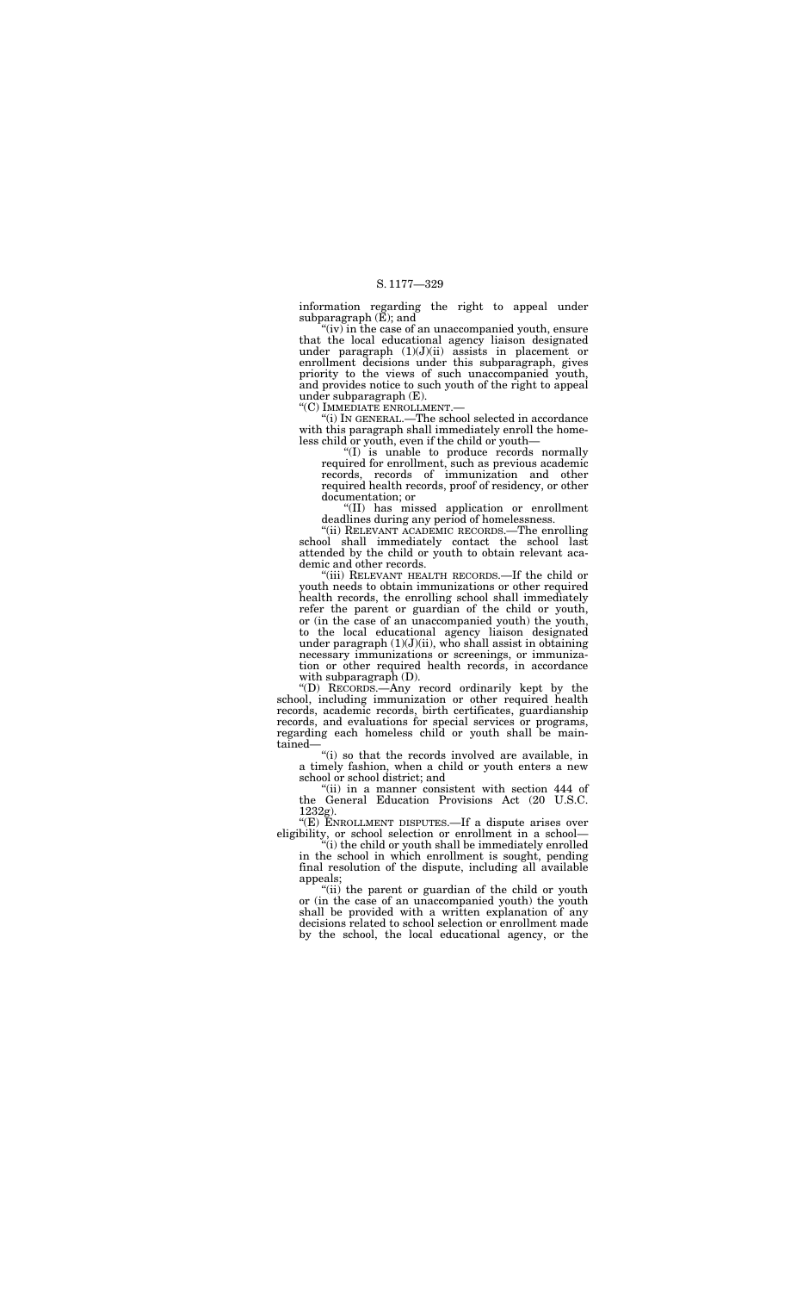''(iv) in the case of an unaccompanied youth, ensure that the local educational agency liaison designated under paragraph (1)(J)(ii) assists in placement or enrollment decisions under this subparagraph, gives priority to the views of such unaccompanied youth, and provides notice to such youth of the right to appeal under subparagraph (E).<br>"(C) IMMEDIATE ENROLLMENT.-

information regarding the right to appeal under subparagraph (E); and

"(i) IN GENERAL.—The school selected in accordance with this paragraph shall immediately enroll the homeless child or youth, even if the child or youth—

"(I) is unable to produce records normally required for enrollment, such as previous academic records, records of immunization and other required health records, proof of residency, or other documentation; or

''(II) has missed application or enrollment deadlines during any period of homelessness.

''(ii) RELEVANT ACADEMIC RECORDS.—The enrolling school shall immediately contact the school last attended by the child or youth to obtain relevant academic and other records.

"(E) ENROLLMENT DISPUTES.—If a dispute arises over eligibility, or school selection or enrollment in a school—

 $\hat{f}(i)$  the child or youth shall be immediately enrolled in the school in which enrollment is sought, pending final resolution of the dispute, including all available appeals;

"(ii) the parent or guardian of the child or youth or (in the case of an unaccompanied youth) the youth shall be provided with a written explanation of any decisions related to school selection or enrollment made by the school, the local educational agency, or the

''(iii) RELEVANT HEALTH RECORDS.—If the child or youth needs to obtain immunizations or other required health records, the enrolling school shall immediately refer the parent or guardian of the child or youth, or (in the case of an unaccompanied youth) the youth, to the local educational agency liaison designated under paragraph  $(1)(J)(ii)$ , who shall assist in obtaining necessary immunizations or screenings, or immunization or other required health records, in accordance with subparagraph (D).

''(D) RECORDS.—Any record ordinarily kept by the school, including immunization or other required health records, academic records, birth certificates, guardianship records, and evaluations for special services or programs, regarding each homeless child or youth shall be maintained—

''(i) so that the records involved are available, in a timely fashion, when a child or youth enters a new school or school district; and

''(ii) in a manner consistent with section 444 of the General Education Provisions Act (20 U.S.C. 1232g).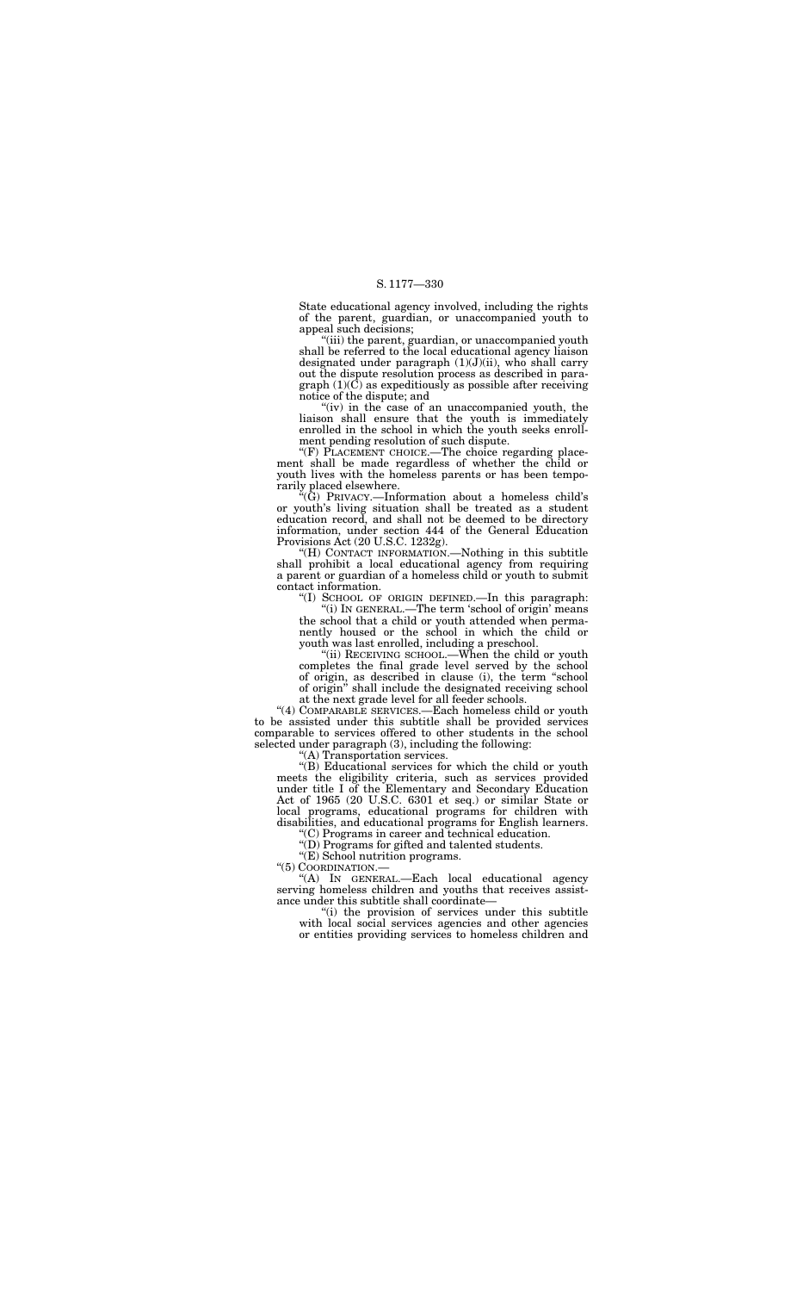State educational agency involved, including the rights of the parent, guardian, or unaccompanied youth to appeal such decisions;

''(iii) the parent, guardian, or unaccompanied youth shall be referred to the local educational agency liaison designated under paragraph  $(1)(J)(ii)$ , who shall carry out the dispute resolution process as described in para $graph (1)(\overrightarrow{C})$  as expeditiously as possible after receiving notice of the dispute; and

"(iv) in the case of an unaccompanied youth, the liaison shall ensure that the youth is immediately enrolled in the school in which the youth seeks enrollment pending resolution of such dispute.

"(F) PLACEMENT CHOICE.—The choice regarding placement shall be made regardless of whether the child or youth lives with the homeless parents or has been temporarily placed elsewhere.

"(H) CONTACT INFORMATION.—Nothing in this subtitle shall prohibit a local educational agency from requiring a parent or guardian of a homeless child or youth to submit contact information.

''(I) SCHOOL OF ORIGIN DEFINED.—In this paragraph: "(i) IN GENERAL.—The term 'school of origin' means

"(ii) RECEIVING SCHOOL.—When the child or youth completes the final grade level served by the school of origin, as described in clause (i), the term ''school of origin'' shall include the designated receiving school at the next grade level for all feeder schools.

''(G) PRIVACY.—Information about a homeless child's or youth's living situation shall be treated as a student education record, and shall not be deemed to be directory information, under section 444 of the General Education Provisions Act (20 U.S.C. 1232g).

"(4) COMPARABLE SERVICES.—Each homeless child or youth to be assisted under this subtitle shall be provided services comparable to services offered to other students in the school selected under paragraph (3), including the following:

"(A) IN GENERAL.—Each local educational agency serving homeless children and youths that receives assistance under this subtitle shall coordinate—

the school that a child or youth attended when permanently housed or the school in which the child or youth was last enrolled, including a preschool.

''(A) Transportation services.

''(B) Educational services for which the child or youth meets the eligibility criteria, such as services provided under title I of the Elementary and Secondary Education Act of 1965 (20 U.S.C. 6301 et seq.) or similar State or local programs, educational programs for children with disabilities, and educational programs for English learners.

''(C) Programs in career and technical education.

''(D) Programs for gifted and talented students.

"(E) School nutrition programs.<br>"(5) COORDINATION.—

''(i) the provision of services under this subtitle with local social services agencies and other agencies or entities providing services to homeless children and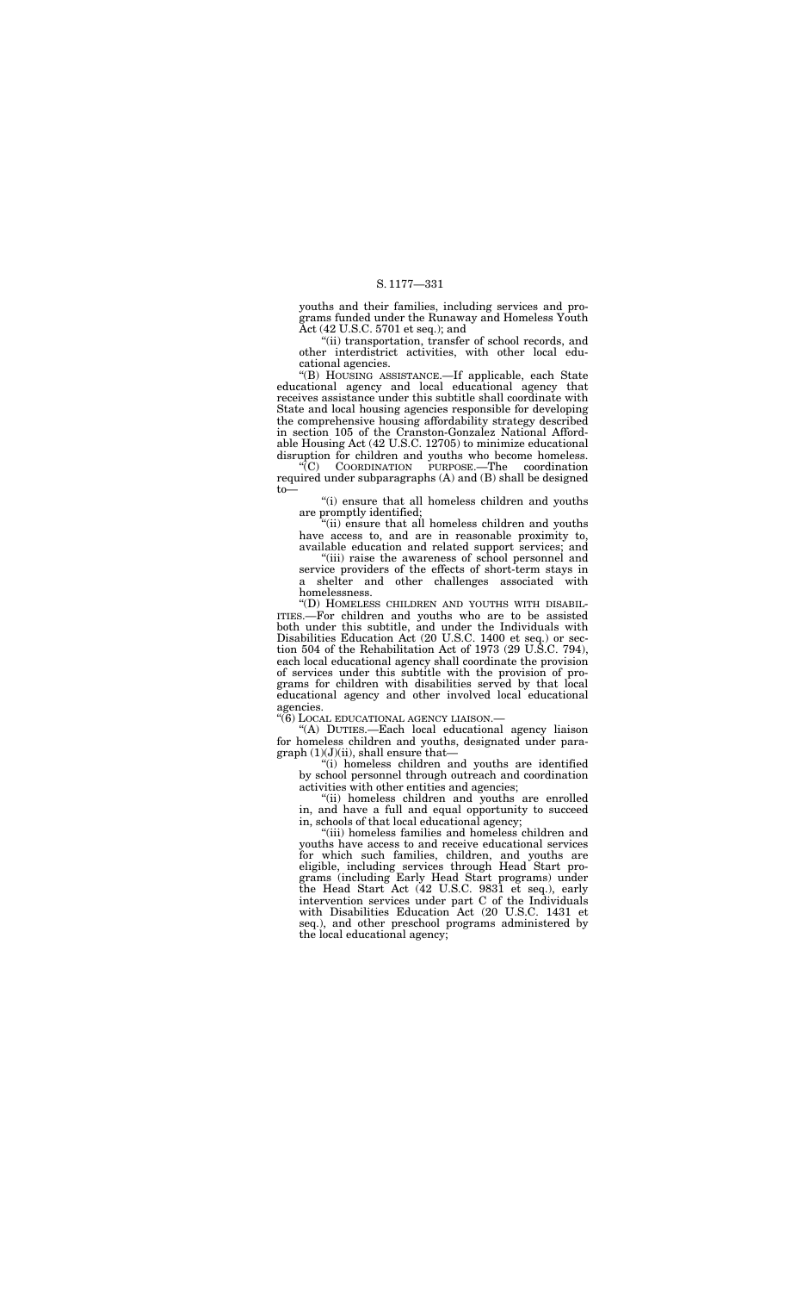youths and their families, including services and programs funded under the Runaway and Homeless Youth Act (42 U.S.C. 5701 et seq.); and

''(ii) transportation, transfer of school records, and other interdistrict activities, with other local educational agencies.

''(B) HOUSING ASSISTANCE.—If applicable, each State educational agency and local educational agency that receives assistance under this subtitle shall coordinate with State and local housing agencies responsible for developing the comprehensive housing affordability strategy described in section 105 of the Cranston-Gonzalez National Affordable Housing Act (42 U.S.C. 12705) to minimize educational disruption for children and youths who become homeless.

(ii) ensure that all homeless children and youths have access to, and are in reasonable proximity to, available education and related support services; and

''(C) COORDINATION PURPOSE.—The coordination required under subparagraphs (A) and (B) shall be designed to—

''(i) ensure that all homeless children and youths are promptly identified;

''(A) DUTIES.—Each local educational agency liaison for homeless children and youths, designated under para $graph (1)(J)(ii)$ , shall ensure that-

''(iii) raise the awareness of school personnel and service providers of the effects of short-term stays in

a shelter and other challenges associated with homelessness.

"(iii) homeless families and homeless children and youths have access to and receive educational services for which such families, children, and youths are eligible, including services through Head Start programs (including Early Head Start programs) under the Head Start Act (42 U.S.C. 9831 et seq.), early intervention services under part C of the Individuals with Disabilities Education Act (20 U.S.C. 1431 et seq.), and other preschool programs administered by the local educational agency;

''(D) HOMELESS CHILDREN AND YOUTHS WITH DISABIL-ITIES.—For children and youths who are to be assisted both under this subtitle, and under the Individuals with Disabilities Education Act (20 U.S.C. 1400 et seq.) or section 504 of the Rehabilitation Act of 1973 (29 U.S.C. 794), each local educational agency shall coordinate the provision of services under this subtitle with the provision of programs for children with disabilities served by that local educational agency and other involved local educational agencies.

''(6) LOCAL EDUCATIONAL AGENCY LIAISON.—

''(i) homeless children and youths are identified by school personnel through outreach and coordination activities with other entities and agencies;

''(ii) homeless children and youths are enrolled in, and have a full and equal opportunity to succeed in, schools of that local educational agency;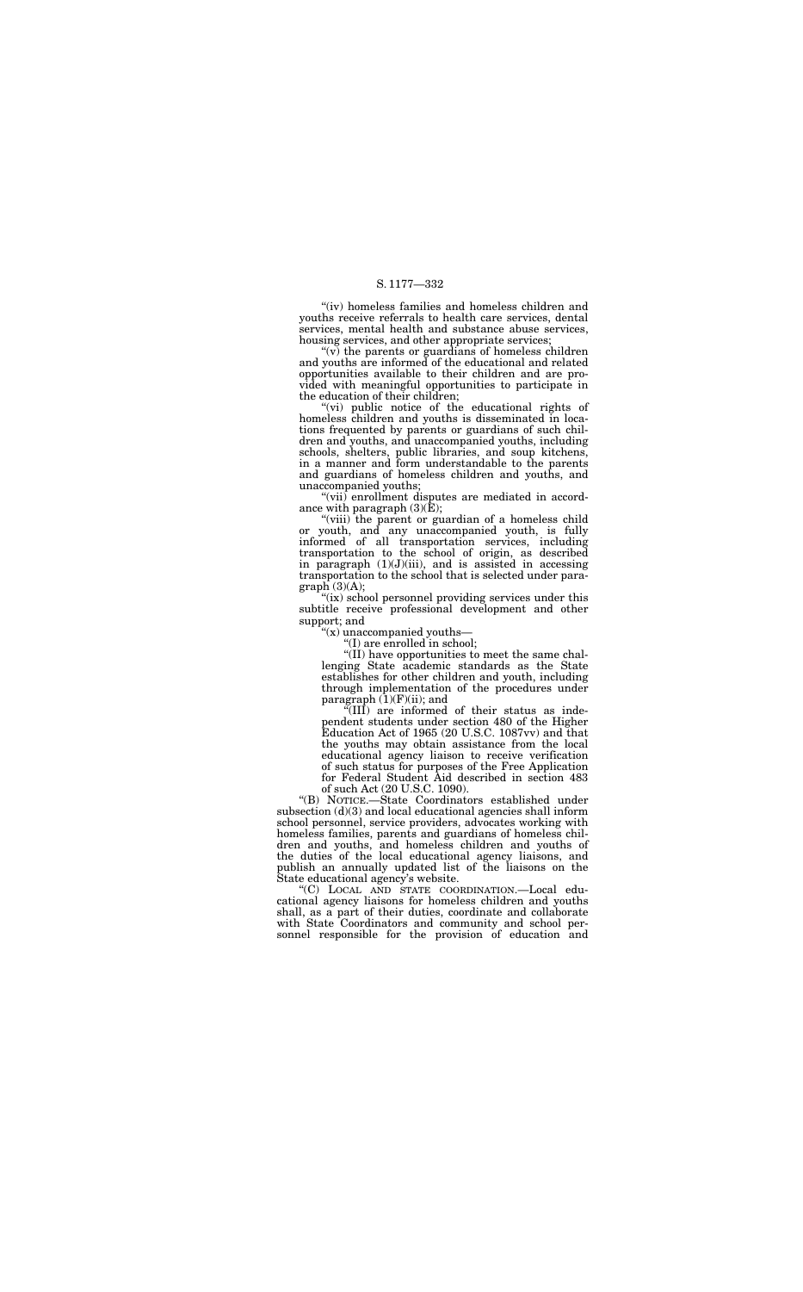''(iv) homeless families and homeless children and youths receive referrals to health care services, dental services, mental health and substance abuse services, housing services, and other appropriate services;

" $(v)$  the parents or guardians of homeless children and youths are informed of the educational and related opportunities available to their children and are provided with meaningful opportunities to participate in the education of their children;

"(vi) public notice of the educational rights of homeless children and youths is disseminated in locations frequented by parents or guardians of such children and youths, and unaccompanied youths, including schools, shelters, public libraries, and soup kitchens, in a manner and form understandable to the parents and guardians of homeless children and youths, and unaccompanied youths;

''(vii) enrollment disputes are mediated in accordance with paragraph  $(3)(\hat{E})$ ;

''(viii) the parent or guardian of a homeless child or youth, and any unaccompanied youth, is fully informed of all transportation services, including transportation to the school of origin, as described in paragraph  $(1)(J)(iii)$ , and is assisted in accessing transportation to the school that is selected under para $graph (3)(A);$ 

"(ix) school personnel providing services under this subtitle receive professional development and other support; and

''(II) have opportunities to meet the same challenging State academic standards as the State establishes for other children and youth, including through implementation of the procedures under paragraph  $(1)(F)(ii)$ ; and

''(x) unaccompanied youths—

''(I) are enrolled in school;

''(III) are informed of their status as independent students under section 480 of the Higher Education Act of 1965 (20 U.S.C. 1087vv) and that the youths may obtain assistance from the local educational agency liaison to receive verification of such status for purposes of the Free Application for Federal Student Aid described in section 483 of such Act (20 U.S.C. 1090).

''(B) NOTICE.—State Coordinators established under subsection (d)(3) and local educational agencies shall inform school personnel, service providers, advocates working with homeless families, parents and guardians of homeless children and youths, and homeless children and youths of the duties of the local educational agency liaisons, and publish an annually updated list of the liaisons on the State educational agency's website.

''(C) LOCAL AND STATE COORDINATION.—Local educational agency liaisons for homeless children and youths shall, as a part of their duties, coordinate and collaborate with State Coordinators and community and school personnel responsible for the provision of education and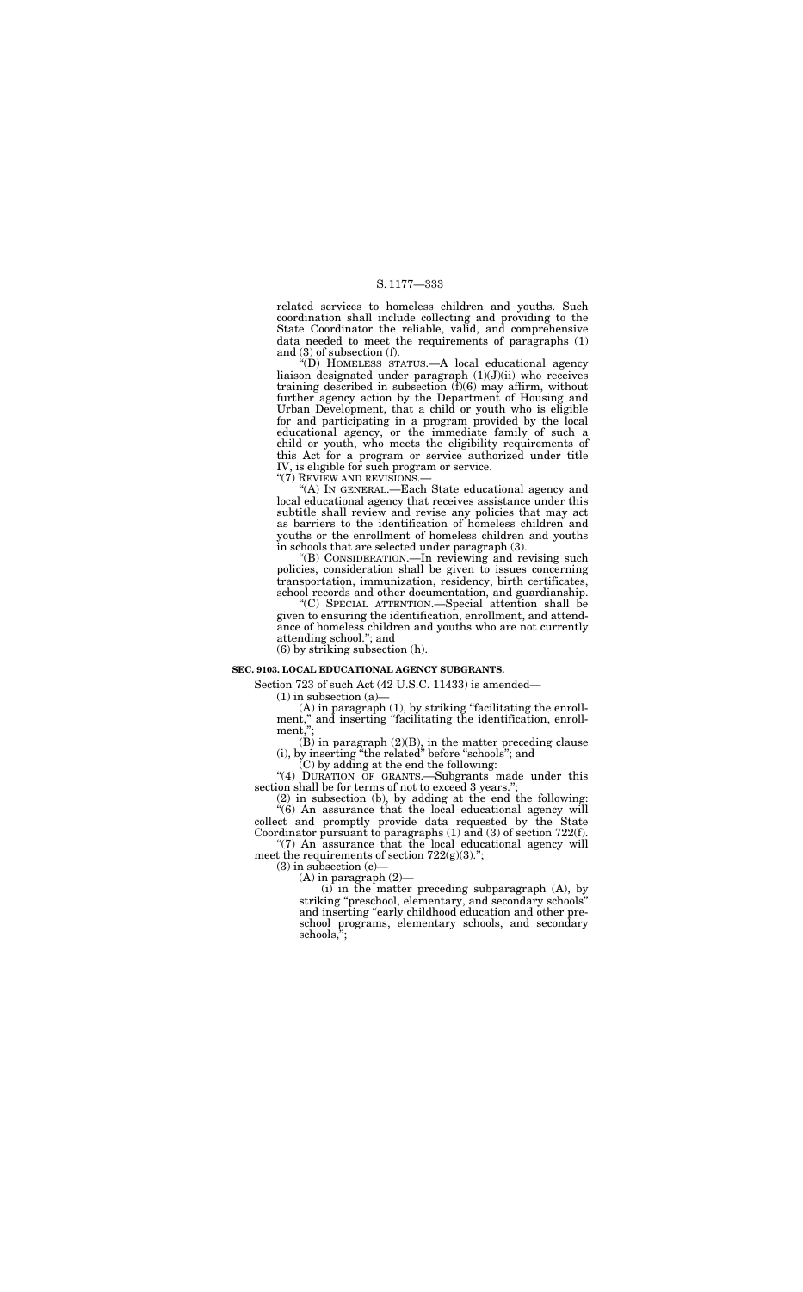related services to homeless children and youths. Such coordination shall include collecting and providing to the State Coordinator the reliable, valid, and comprehensive data needed to meet the requirements of paragraphs (1) and (3) of subsection (f).

''(D) HOMELESS STATUS.—A local educational agency liaison designated under paragraph  $(1)(J)(ii)$  who receives training described in subsection  $(f)(6)$  may affirm, without further agency action by the Department of Housing and Urban Development, that a child or youth who is eligible for and participating in a program provided by the local educational agency, or the immediate family of such a child or youth, who meets the eligibility requirements of this Act for a program or service authorized under title IV, is eligible for such program or service.

"(7) REVIEW AND REVISIONS .-

 $(A)$  in paragraph  $(1)$ , by striking "facilitating the enrollment," and inserting "facilitating the identification, enrollment,'';

''(A) IN GENERAL.—Each State educational agency and local educational agency that receives assistance under this subtitle shall review and revise any policies that may act as barriers to the identification of homeless children and youths or the enrollment of homeless children and youths in schools that are selected under paragraph (3).

"(4) DURATION OF GRANTS.—Subgrants made under this section shall be for terms of not to exceed 3 years.'';

''(B) CONSIDERATION.—In reviewing and revising such policies, consideration shall be given to issues concerning transportation, immunization, residency, birth certificates, school records and other documentation, and guardianship.

''(C) SPECIAL ATTENTION.—Special attention shall be given to ensuring the identification, enrollment, and attendance of homeless children and youths who are not currently attending school.''; and

(6) by striking subsection (h).

#### **SEC. 9103. LOCAL EDUCATIONAL AGENCY SUBGRANTS.**

Section 723 of such Act (42 U.S.C. 11433) is amended—

 $(1)$  in subsection  $(a)$ 

(B) in paragraph (2)(B), in the matter preceding clause (i), by inserting ''the related'' before ''schools''; and

(C) by adding at the end the following:

(2) in subsection (b), by adding at the end the following: ''(6) An assurance that the local educational agency will collect and promptly provide data requested by the State Coordinator pursuant to paragraphs (1) and (3) of section 722(f).

"(7) An assurance that the local educational agency will meet the requirements of section 722(g)(3).";

 $(3)$  in subsection  $(c)$ 

(A) in paragraph (2)—

(i) in the matter preceding subparagraph (A), by striking "preschool, elementary, and secondary schools" and inserting "early childhood education and other preschool programs, elementary schools, and secondary schools,'';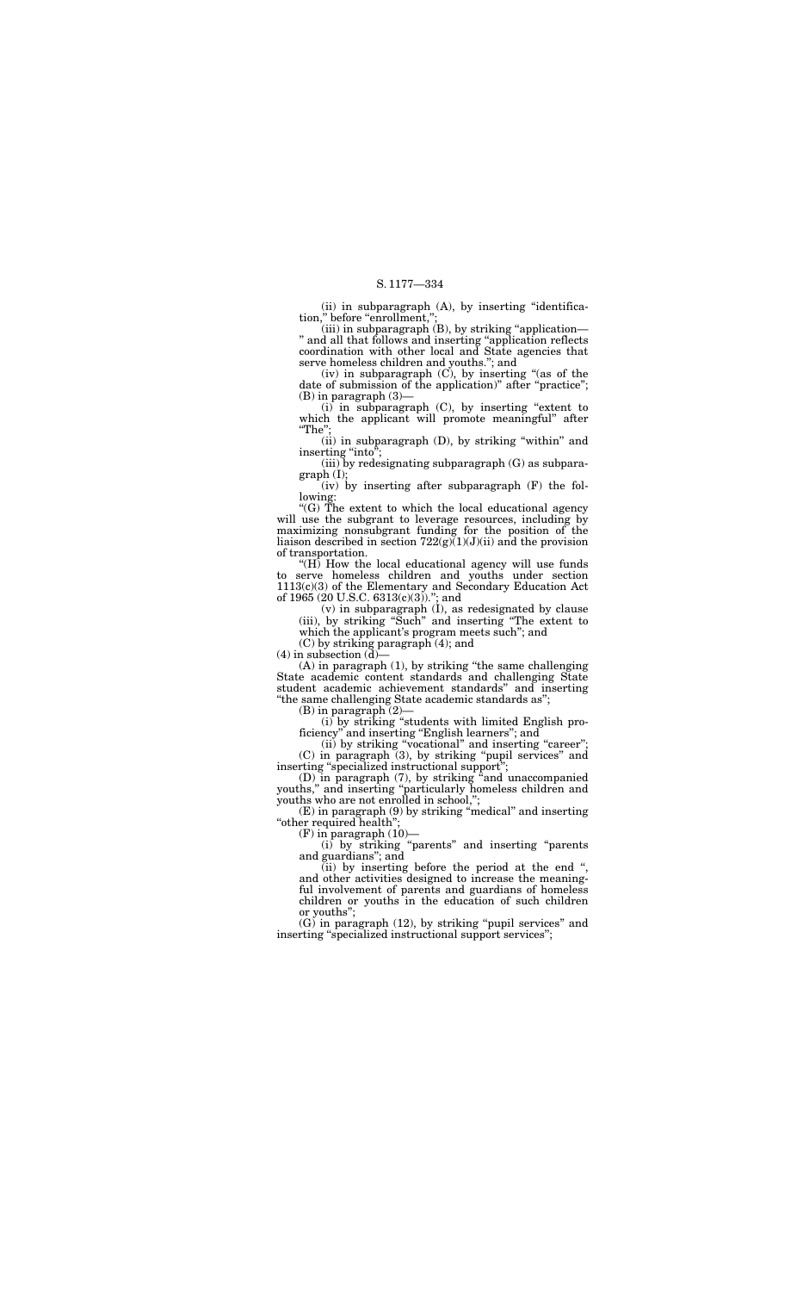(ii) in subparagraph (A), by inserting ''identification," before "enrollment,"

 $(iii)$  in subparagraph  $(B)$ , by striking "application-'' and all that follows and inserting ''application reflects coordination with other local and State agencies that serve homeless children and youths.''; and

(iv) in subparagraph  $(C)$ , by inserting "(as of the date of submission of the application)" after "practice"; (B) in paragraph (3)—

 $(i)$  in subparagraph  $(C)$ , by inserting "extent to which the applicant will promote meaningful" after ''The'';

(ii) in subparagraph (D), by striking ''within'' and inserting "into";

 $(iii)$  by redesignating subparagraph  $(G)$  as subparagraph (I);

"(H) How the local educational agency will use funds to serve homeless children and youths under section 1113(c)(3) of the Elementary and Secondary Education Act of 1965 (20 U.S.C. 6313(c)(3)).''; and

(iv) by inserting after subparagraph (F) the following:

 $(A)$  in paragraph  $(1)$ , by striking "the same challenging State academic content standards and challenging State student academic achievement standards'' and inserting ''the same challenging State academic standards as'';

(i) by striking ''students with limited English proficiency" and inserting "English learners"; and

''(G) The extent to which the local educational agency will use the subgrant to leverage resources, including by maximizing nonsubgrant funding for the position of the liaison described in section  $722(g)(1)(J)(ii)$  and the provision of transportation.

(ii) by striking "vocational" and inserting "career"; (C) in paragraph (3), by striking ''pupil services'' and inserting ''specialized instructional support'';

 $(ii)$  by inserting before the period at the end " and other activities designed to increase the meaningful involvement of parents and guardians of homeless children or youths in the education of such children or youths'';

(v) in subparagraph (I), as redesignated by clause (iii), by striking ''Such'' and inserting ''The extent to which the applicant's program meets such''; and

 $(G)$  in paragraph  $(12)$ , by striking "pupil services" and inserting ''specialized instructional support services'';

(C) by striking paragraph (4); and

 $(4)$  in subsection  $(d)$ 

(B) in paragraph (2)—

(D) in paragraph (7), by striking ''and unaccompanied youths,'' and inserting ''particularly homeless children and youths who are not enrolled in school,'';

(E) in paragraph (9) by striking ''medical'' and inserting ''other required health'';

 $(F)$  in paragraph  $(10)$ —

(i) by striking ''parents'' and inserting ''parents and guardians''; and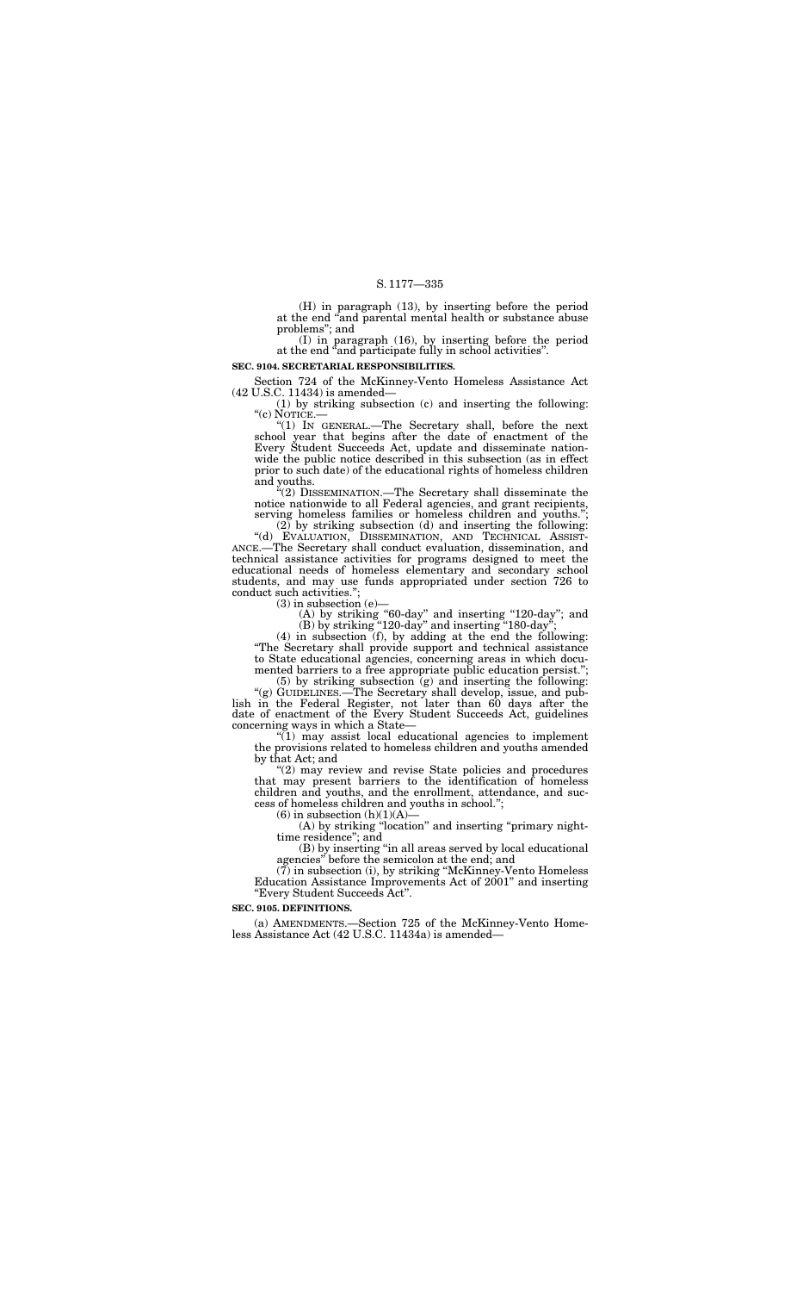(H) in paragraph (13), by inserting before the period at the end ''and parental mental health or substance abuse problems''; and

(I) in paragraph (16), by inserting before the period at the end ''and participate fully in school activities''.

#### **SEC. 9104. SECRETARIAL RESPONSIBILITIES.**

Section 724 of the McKinney-Vento Homeless Assistance Act (42 U.S.C. 11434) is amended—

(1) by striking subsection (c) and inserting the following:<br>"(c) NOTICE.—

"(1) IN GENERAL.—The Secretary shall, before the next school year that begins after the date of enactment of the Every Student Succeeds Act, update and disseminate nationwide the public notice described in this subsection (as in effect prior to such date) of the educational rights of homeless children and youths.

''(2) DISSEMINATION.—The Secretary shall disseminate the notice nationwide to all Federal agencies, and grant recipients, serving homeless families or homeless children and youths.";

(2) by striking subsection (d) and inserting the following: "(d) EVALUATION, DISSEMINATION, AND TECHNICAL ASSIST-ANCE.—The Secretary shall conduct evaluation, dissemination, and technical assistance activities for programs designed to meet the educational needs of homeless elementary and secondary school students, and may use funds appropriated under section 726 to conduct such activities."

 $(3)$  in subsection  $(e)$ 

 $(B)$  by striking "120-day" and inserting "180-day"; (4) in subsection (f), by adding at the end the following: ''The Secretary shall provide support and technical assistance to State educational agencies, concerning areas in which documented barriers to a free appropriate public education persist.'';

 $\sqrt[4]{1}$  may assist local educational agencies to implement the provisions related to homeless children and youths amended by that Act; and

"(2) may review and revise State policies and procedures that may present barriers to the identification of homeless children and youths, and the enrollment, attendance, and success of homeless children and youths in school.'';

 $(6)$  in subsection  $(h)(1)(A)$ –

(A) by striking "location" and inserting "primary nighttime residence''; and

(A) by striking ''60-day'' and inserting ''120-day''; and

(5) by striking subsection (g) and inserting the following: ''(g) GUIDELINES.—The Secretary shall develop, issue, and pub-

lish in the Federal Register, not later than 60 days after the date of enactment of the Every Student Succeeds Act, guidelines concerning ways in which a State—

> (B) by inserting ''in all areas served by local educational agencies'' before the semicolon at the end; and

(7) in subsection (i), by striking ''McKinney-Vento Homeless Education Assistance Improvements Act of 2001'' and inserting ''Every Student Succeeds Act''.

#### **SEC. 9105. DEFINITIONS.**

(a) AMENDMENTS.—Section 725 of the McKinney-Vento Homeless Assistance Act (42 U.S.C. 11434a) is amended—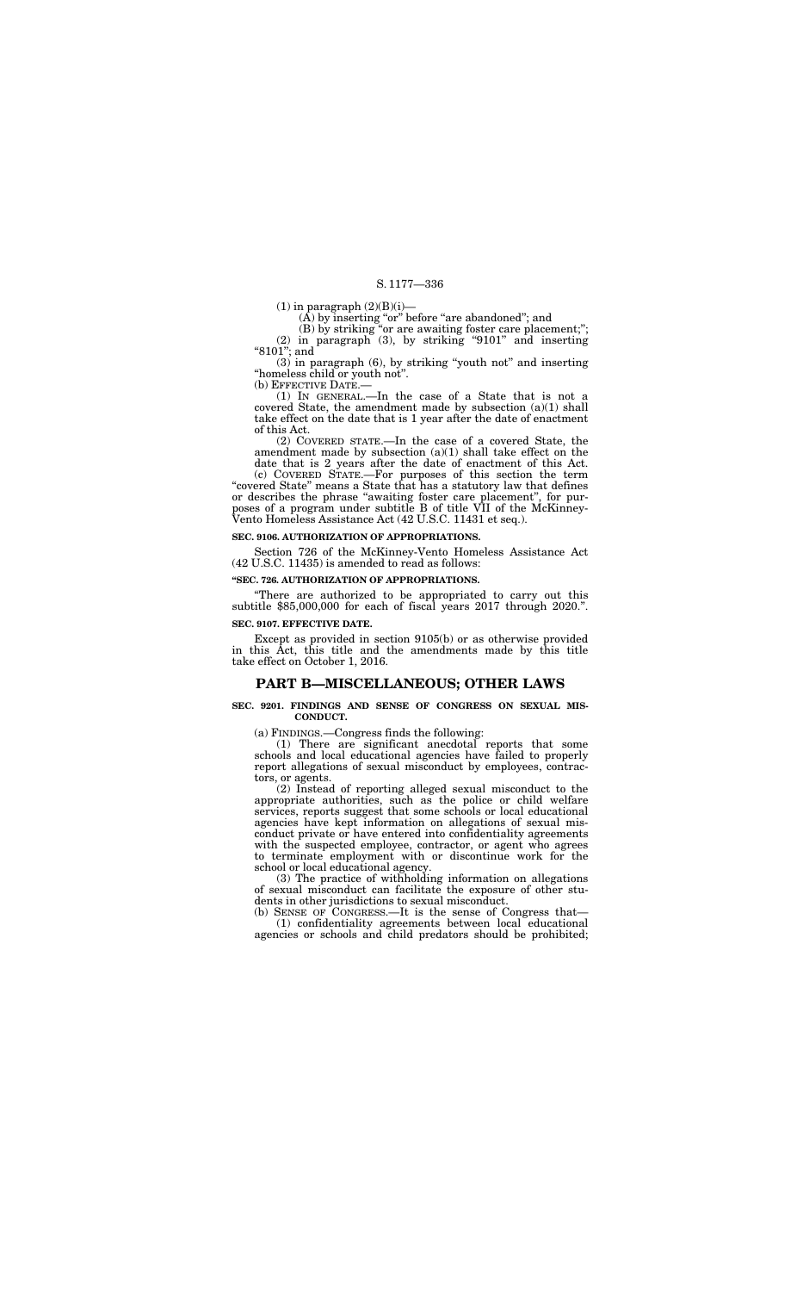$(1)$  in paragraph  $(2)(B)(i)$ —

 $(\overline{A})$  by inserting "or" before "are abandoned"; and

(2) in paragraph (3), by striking ''9101'' and inserting "8101"; and

(B) by striking ''or are awaiting foster care placement;'';

(3) in paragraph (6), by striking ''youth not'' and inserting ''homeless child or youth not''.

(b) EFFECTIVE DATE.— (1) IN GENERAL.—In the case of a State that is not a covered State, the amendment made by subsection (a)(1) shall take effect on the date that is 1 year after the date of enactment of this Act.

(2) COVERED STATE.—In the case of a covered State, the amendment made by subsection (a)(1) shall take effect on the date that is 2 years after the date of enactment of this Act.

(c) COVERED STATE.—For purposes of this section the term "covered State" means a State that has a statutory law that defines or describes the phrase ''awaiting foster care placement'', for purposes of a program under subtitle B of title VII of the McKinney-Vento Homeless Assistance Act (42 U.S.C. 11431 et seq.).

### **SEC. 9106. AUTHORIZATION OF APPROPRIATIONS.**

Section 726 of the McKinney-Vento Homeless Assistance Act (42 U.S.C. 11435) is amended to read as follows:

#### **''SEC. 726. AUTHORIZATION OF APPROPRIATIONS.**

''There are authorized to be appropriated to carry out this subtitle \$85,000,000 for each of fiscal years 2017 through 2020.''.

#### **SEC. 9107. EFFECTIVE DATE.**

Except as provided in section 9105(b) or as otherwise provided in this Act, this title and the amendments made by this title take effect on October 1, 2016.

### **PART B—MISCELLANEOUS; OTHER LAWS**

#### **SEC. 9201. FINDINGS AND SENSE OF CONGRESS ON SEXUAL MIS-CONDUCT.**

(a) FINDINGS.—Congress finds the following:

(1) There are significant anecdotal reports that some schools and local educational agencies have failed to properly report allegations of sexual misconduct by employees, contractors, or agents.

(2) Instead of reporting alleged sexual misconduct to the appropriate authorities, such as the police or child welfare services, reports suggest that some schools or local educational agencies have kept information on allegations of sexual misconduct private or have entered into confidentiality agreements with the suspected employee, contractor, or agent who agrees to terminate employment with or discontinue work for the school or local educational agency.

(3) The practice of withholding information on allegations of sexual misconduct can facilitate the exposure of other students in other jurisdictions to sexual misconduct.

(b) SENSE OF CONGRESS.—It is the sense of Congress that— (1) confidentiality agreements between local educational agencies or schools and child predators should be prohibited;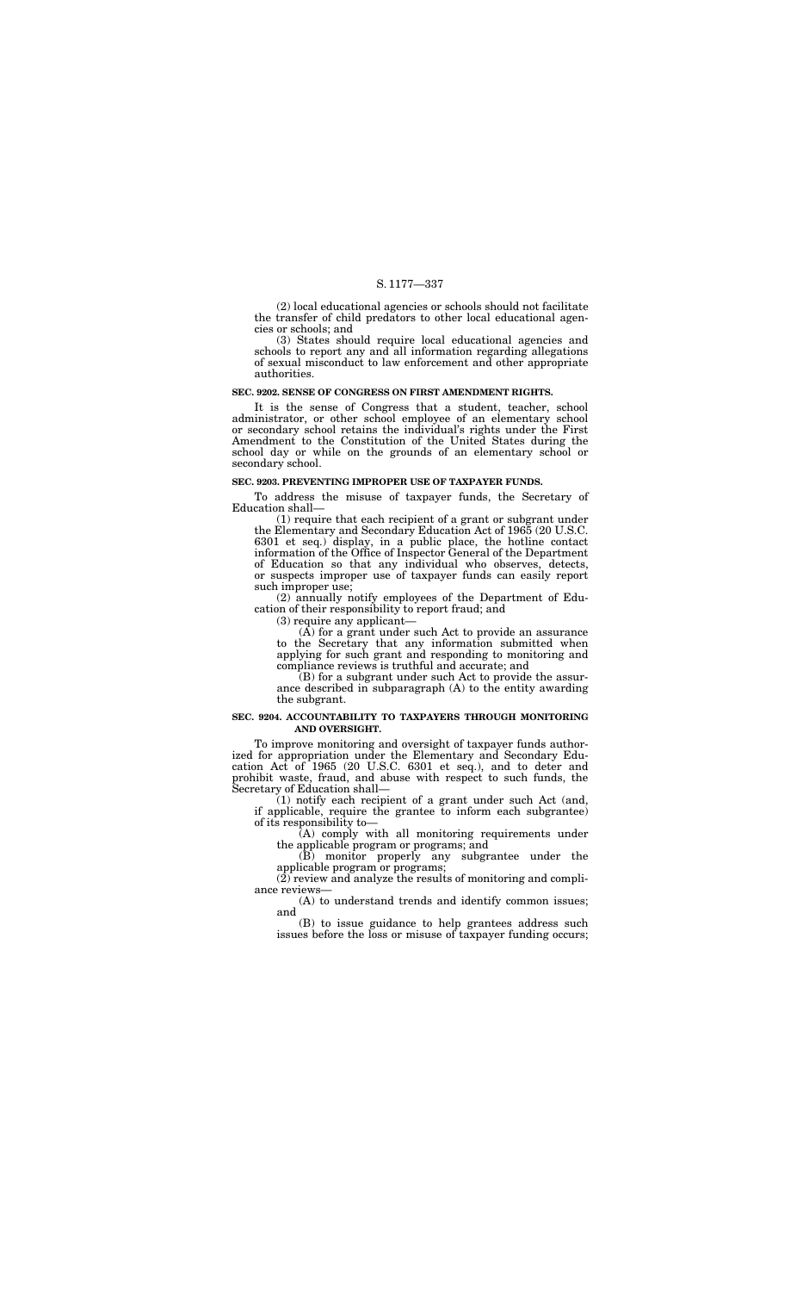(2) local educational agencies or schools should not facilitate the transfer of child predators to other local educational agencies or schools; and

(3) States should require local educational agencies and schools to report any and all information regarding allegations of sexual misconduct to law enforcement and other appropriate authorities.

#### **SEC. 9202. SENSE OF CONGRESS ON FIRST AMENDMENT RIGHTS.**

It is the sense of Congress that a student, teacher, school administrator, or other school employee of an elementary school or secondary school retains the individual's rights under the First Amendment to the Constitution of the United States during the school day or while on the grounds of an elementary school or secondary school.

#### **SEC. 9203. PREVENTING IMPROPER USE OF TAXPAYER FUNDS.**

To address the misuse of taxpayer funds, the Secretary of Education shall—

(1) require that each recipient of a grant or subgrant under the Elementary and Secondary Education Act of 1965 (20 U.S.C. 6301 et seq.) display, in a public place, the hotline contact information of the Office of Inspector General of the Department of Education so that any individual who observes, detects, or suspects improper use of taxpayer funds can easily report such improper use;

 $(2)$  review and analyze the results of monitoring and compliance reviews—

(2) annually notify employees of the Department of Education of their responsibility to report fraud; and

(3) require any applicant—

(A) for a grant under such Act to provide an assurance to the Secretary that any information submitted when applying for such grant and responding to monitoring and compliance reviews is truthful and accurate; and

(B) for a subgrant under such Act to provide the assurance described in subparagraph (A) to the entity awarding the subgrant.

#### **SEC. 9204. ACCOUNTABILITY TO TAXPAYERS THROUGH MONITORING AND OVERSIGHT.**

To improve monitoring and oversight of taxpayer funds authorized for appropriation under the Elementary and Secondary Education Act of 1965 (20 U.S.C. 6301 et seq.), and to deter and prohibit waste, fraud, and abuse with respect to such funds, the Secretary of Education shall—

(1) notify each recipient of a grant under such Act (and, if applicable, require the grantee to inform each subgrantee) of its responsibility to—

(A) comply with all monitoring requirements under the applicable program or programs; and

(B) monitor properly any subgrantee under the applicable program or programs;

(A) to understand trends and identify common issues; and

(B) to issue guidance to help grantees address such issues before the loss or misuse of taxpayer funding occurs;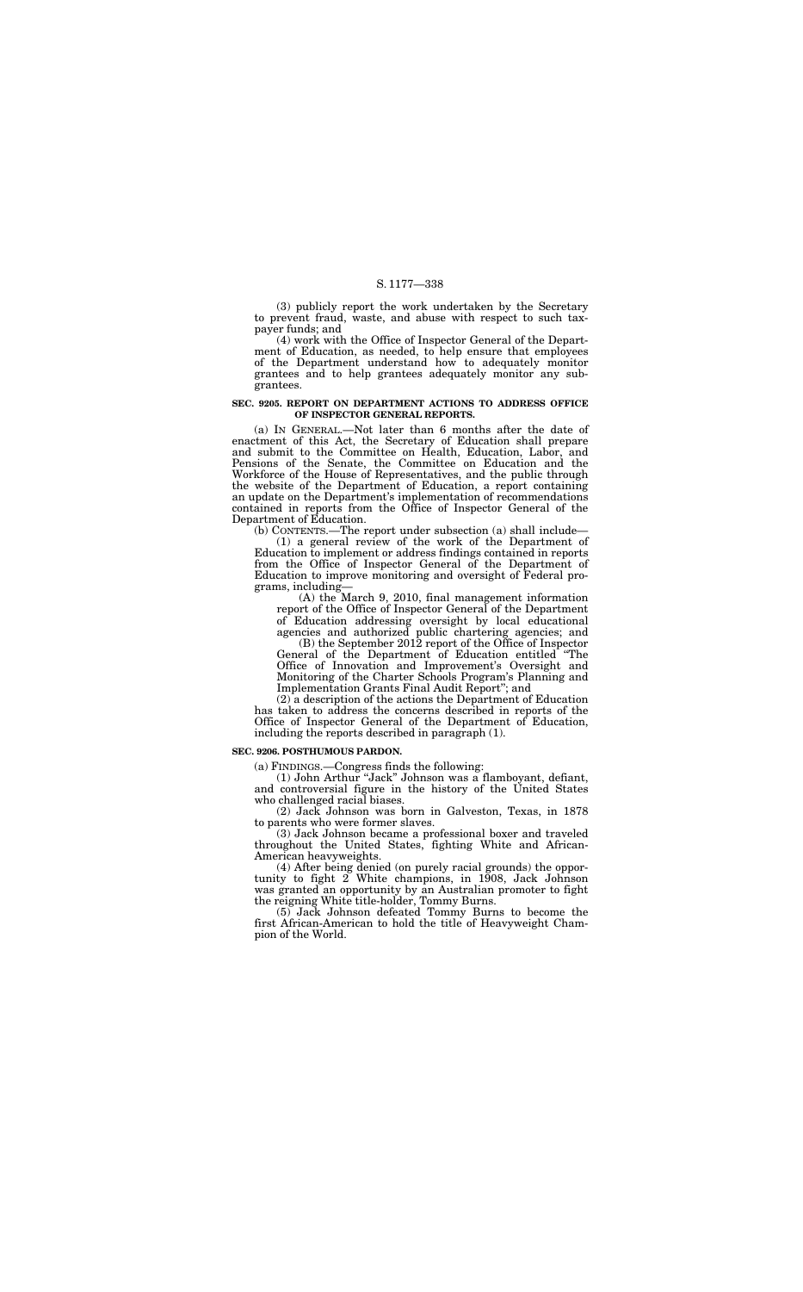(3) publicly report the work undertaken by the Secretary to prevent fraud, waste, and abuse with respect to such taxpayer funds; and

(4) work with the Office of Inspector General of the Department of Education, as needed, to help ensure that employees of the Department understand how to adequately monitor grantees and to help grantees adequately monitor any subgrantees.

#### **SEC. 9205. REPORT ON DEPARTMENT ACTIONS TO ADDRESS OFFICE OF INSPECTOR GENERAL REPORTS.**

(a) IN GENERAL.—Not later than 6 months after the date of enactment of this Act, the Secretary of Education shall prepare and submit to the Committee on Health, Education, Labor, and Pensions of the Senate, the Committee on Education and the Workforce of the House of Representatives, and the public through the website of the Department of Education, a report containing an update on the Department's implementation of recommendations contained in reports from the Office of Inspector General of the Department of Education.

(b) CONTENTS.—The report under subsection (a) shall include—

(1) a general review of the work of the Department of Education to implement or address findings contained in reports from the Office of Inspector General of the Department of Education to improve monitoring and oversight of Federal programs, including—

(A) the March 9, 2010, final management information report of the Office of Inspector General of the Department of Education addressing oversight by local educational agencies and authorized public chartering agencies; and

(B) the September 2012 report of the Office of Inspector General of the Department of Education entitled ''The Office of Innovation and Improvement's Oversight and Monitoring of the Charter Schools Program's Planning and Implementation Grants Final Audit Report''; and

(2) a description of the actions the Department of Education has taken to address the concerns described in reports of the Office of Inspector General of the Department of Education, including the reports described in paragraph (1).

#### **SEC. 9206. POSTHUMOUS PARDON.**

(a) FINDINGS.—Congress finds the following:

(1) John Arthur ''Jack'' Johnson was a flamboyant, defiant, and controversial figure in the history of the United States who challenged racial biases.

(2) Jack Johnson was born in Galveston, Texas, in 1878 to parents who were former slaves.

(3) Jack Johnson became a professional boxer and traveled throughout the United States, fighting White and African-American heavyweights.

(4) After being denied (on purely racial grounds) the opportunity to fight 2 White champions, in 1908, Jack Johnson was granted an opportunity by an Australian promoter to fight the reigning White title-holder, Tommy Burns.

(5) Jack Johnson defeated Tommy Burns to become the first African-American to hold the title of Heavyweight Champion of the World.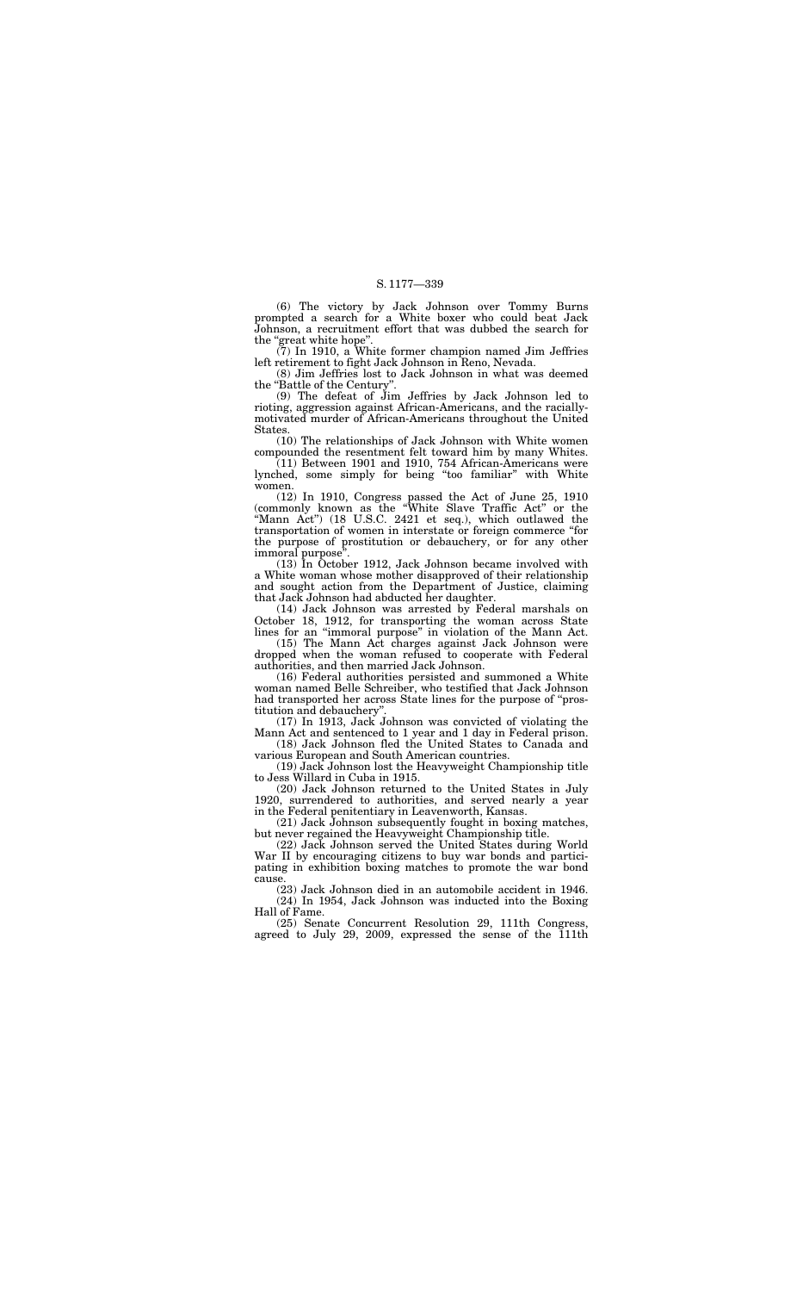(6) The victory by Jack Johnson over Tommy Burns prompted a search for a White boxer who could beat Jack Johnson, a recruitment effort that was dubbed the search for the "great white hope".

 $(7)$  In 1910, a White former champion named Jim Jeffries left retirement to fight Jack Johnson in Reno, Nevada.

(8) Jim Jeffries lost to Jack Johnson in what was deemed the ''Battle of the Century''.

(9) The defeat of Jim Jeffries by Jack Johnson led to rioting, aggression against African-Americans, and the raciallymotivated murder of African-Americans throughout the United States.

(10) The relationships of Jack Johnson with White women compounded the resentment felt toward him by many Whites.

(11) Between 1901 and 1910, 754 African-Americans were lynched, some simply for being ''too familiar'' with White women.

(16) Federal authorities persisted and summoned a White woman named Belle Schreiber, who testified that Jack Johnson had transported her across State lines for the purpose of "prostitution and debauchery'

(12) In 1910, Congress passed the Act of June 25, 1910 (commonly known as the ''White Slave Traffic Act'' or the "Mann Act") (18 U.S.C. 2421 et seq.), which outlawed the transportation of women in interstate or foreign commerce ''for the purpose of prostitution or debauchery, or for any other immoral purpose''.

(13) In October 1912, Jack Johnson became involved with a White woman whose mother disapproved of their relationship and sought action from the Department of Justice, claiming that Jack Johnson had abducted her daughter.

(14) Jack Johnson was arrested by Federal marshals on October 18, 1912, for transporting the woman across State lines for an ''immoral purpose'' in violation of the Mann Act.

(15) The Mann Act charges against Jack Johnson were dropped when the woman refused to cooperate with Federal authorities, and then married Jack Johnson.

(17) In 1913, Jack Johnson was convicted of violating the Mann Act and sentenced to 1 year and 1 day in Federal prison.

(18) Jack Johnson fled the United States to Canada and various European and South American countries.

(19) Jack Johnson lost the Heavyweight Championship title to Jess Willard in Cuba in 1915.

(20) Jack Johnson returned to the United States in July 1920, surrendered to authorities, and served nearly a year in the Federal penitentiary in Leavenworth, Kansas.

(21) Jack Johnson subsequently fought in boxing matches, but never regained the Heavyweight Championship title.

(22) Jack Johnson served the United States during World War II by encouraging citizens to buy war bonds and participating in exhibition boxing matches to promote the war bond cause.

(23) Jack Johnson died in an automobile accident in 1946. (24) In 1954, Jack Johnson was inducted into the Boxing Hall of Fame.

(25) Senate Concurrent Resolution 29, 111th Congress, agreed to July 29, 2009, expressed the sense of the 111th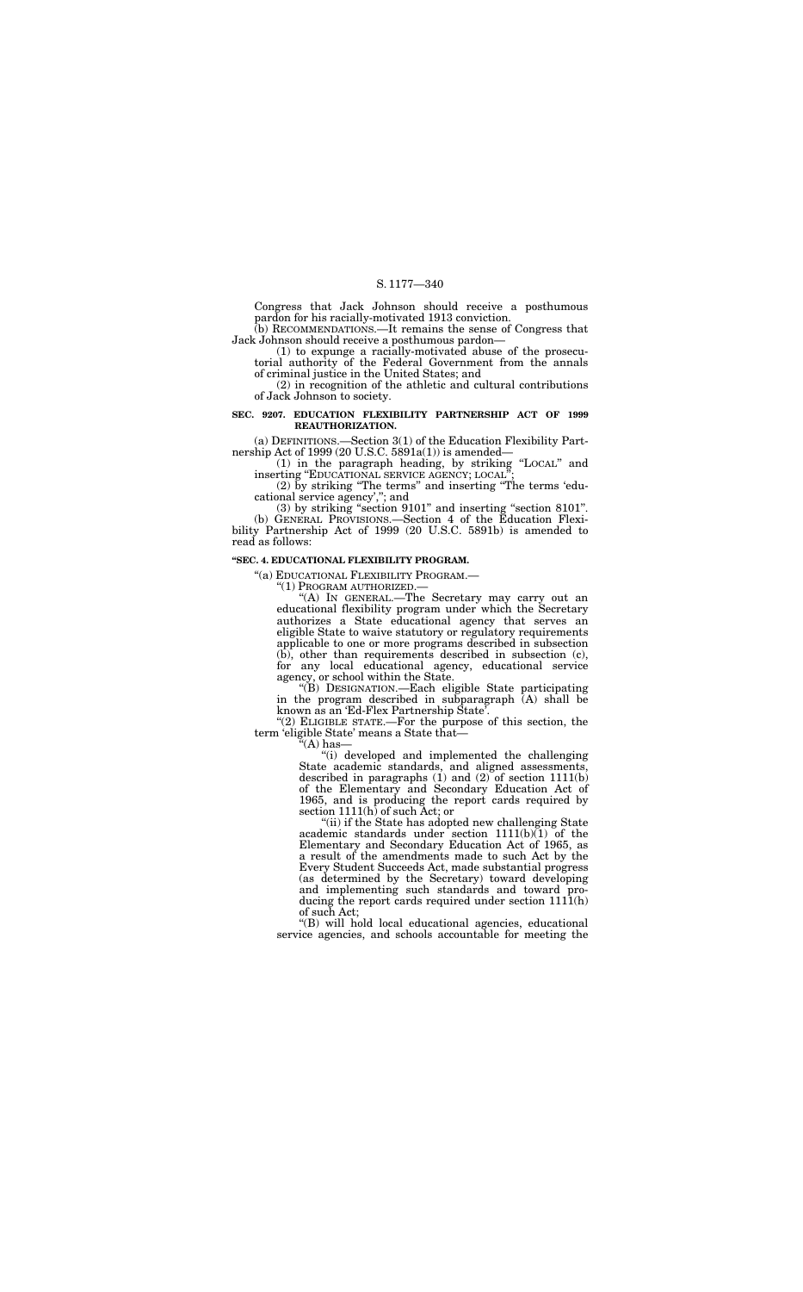Congress that Jack Johnson should receive a posthumous pardon for his racially-motivated 1913 conviction.

(b) RECOMMENDATIONS.—It remains the sense of Congress that Jack Johnson should receive a posthumous pardon—

(1) to expunge a racially-motivated abuse of the prosecutorial authority of the Federal Government from the annals of criminal justice in the United States; and

(1) in the paragraph heading, by striking ''LOCAL'' and inserting "EDUCATIONAL SERVICE AGENCY; LOCAL<sup>5</sup>

(2) in recognition of the athletic and cultural contributions of Jack Johnson to society.

#### **SEC. 9207. EDUCATION FLEXIBILITY PARTNERSHIP ACT OF 1999 REAUTHORIZATION.**

(a) DEFINITIONS.—Section 3(1) of the Education Flexibility Partnership Act of 1999 (20 U.S.C. 5891a(1)) is amended—

(2) by striking ''The terms'' and inserting ''The terms 'educational service agency',''; and

"(2) ELIGIBLE STATE.—For the purpose of this section, the term 'eligible State' means a State that—

 $\mathrm{``(A)~has-}$ 

(3) by striking ''section 9101'' and inserting ''section 8101''. (b) GENERAL PROVISIONS.—Section 4 of the Education Flexibility Partnership Act of 1999 (20 U.S.C. 5891b) is amended to read as follows:

#### **''SEC. 4. EDUCATIONAL FLEXIBILITY PROGRAM.**

"(ii) if the State has adopted new challenging State academic standards under section 1111(b)(1) of the Elementary and Secondary Education Act of 1965, as a result of the amendments made to such Act by the Every Student Succeeds Act, made substantial progress (as determined by the Secretary) toward developing and implementing such standards and toward producing the report cards required under section  $111\tilde{1}$ (h) of such Act;

''(a) EDUCATIONAL FLEXIBILITY PROGRAM.— ''(1) PROGRAM AUTHORIZED.— ''(A) IN GENERAL.—The Secretary may carry out an educational flexibility program under which the Secretary authorizes a State educational agency that serves an eligible State to waive statutory or regulatory requirements applicable to one or more programs described in subsection (b), other than requirements described in subsection (c), for any local educational agency, educational service agency, or school within the State.

''(B) DESIGNATION.—Each eligible State participating in the program described in subparagraph (A) shall be known as an 'Ed-Flex Partnership State'.

''(i) developed and implemented the challenging State academic standards, and aligned assessments, described in paragraphs (1) and (2) of section 1111(b) of the Elementary and Secondary Education Act of 1965, and is producing the report cards required by section 1111(h) of such Act; or

''(B) will hold local educational agencies, educational service agencies, and schools accountable for meeting the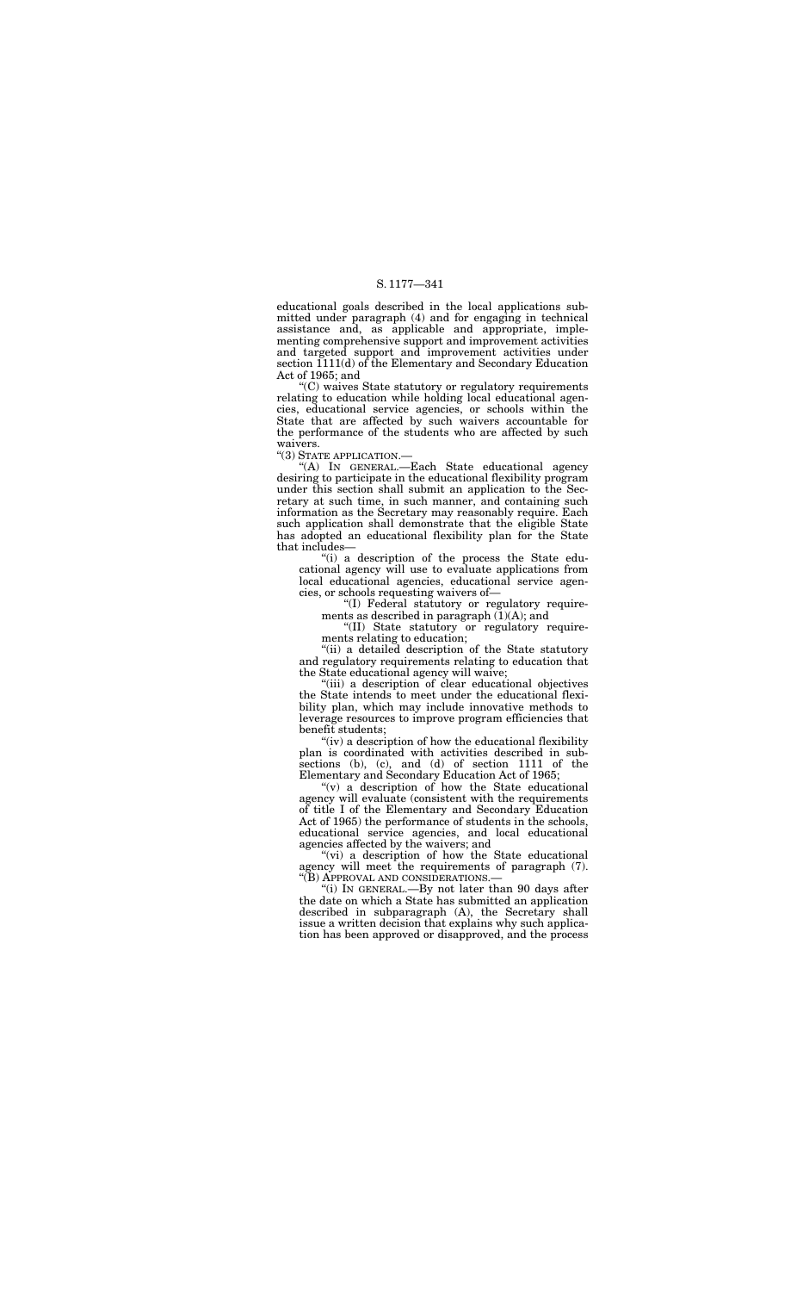educational goals described in the local applications submitted under paragraph (4) and for engaging in technical assistance and, as applicable and appropriate, implementing comprehensive support and improvement activities and targeted support and improvement activities under section  $\text{I111(d)}$  of the Elementary and Secondary Education Act of 1965; and

''(C) waives State statutory or regulatory requirements relating to education while holding local educational agencies, educational service agencies, or schools within the State that are affected by such waivers accountable for the performance of the students who are affected by such waivers.

> ''(I) Federal statutory or regulatory requirements as described in paragraph  $(1)(A)$ ; and

''(3) STATE APPLICATION.—

"(II) State statutory or regulatory requirements relating to education;

"(ii) a detailed description of the State statutory and regulatory requirements relating to education that the State educational agency will waive;

''(A) IN GENERAL.—Each State educational agency desiring to participate in the educational flexibility program under this section shall submit an application to the Secretary at such time, in such manner, and containing such information as the Secretary may reasonably require. Each such application shall demonstrate that the eligible State has adopted an educational flexibility plan for the State that includes—

"(iii) a description of clear educational objectives the State intends to meet under the educational flexibility plan, which may include innovative methods to leverage resources to improve program efficiencies that benefit students;

"(iv) a description of how the educational flexibility plan is coordinated with activities described in subsections (b), (c), and (d) of section 1111 of the Elementary and Secondary Education Act of 1965;

" $(v)$  a description of how the State educational agency will evaluate (consistent with the requirements of title I of the Elementary and Secondary Education Act of 1965) the performance of students in the schools, educational service agencies, and local educational agencies affected by the waivers; and

''(i) a description of the process the State educational agency will use to evaluate applications from local educational agencies, educational service agencies, or schools requesting waivers of—

"(vi) a description of how the State educational agency will meet the requirements of paragraph (7). ''(B) APPROVAL AND CONSIDERATIONS.—

''(i) IN GENERAL.—By not later than 90 days after the date on which a State has submitted an application described in subparagraph (A), the Secretary shall issue a written decision that explains why such application has been approved or disapproved, and the process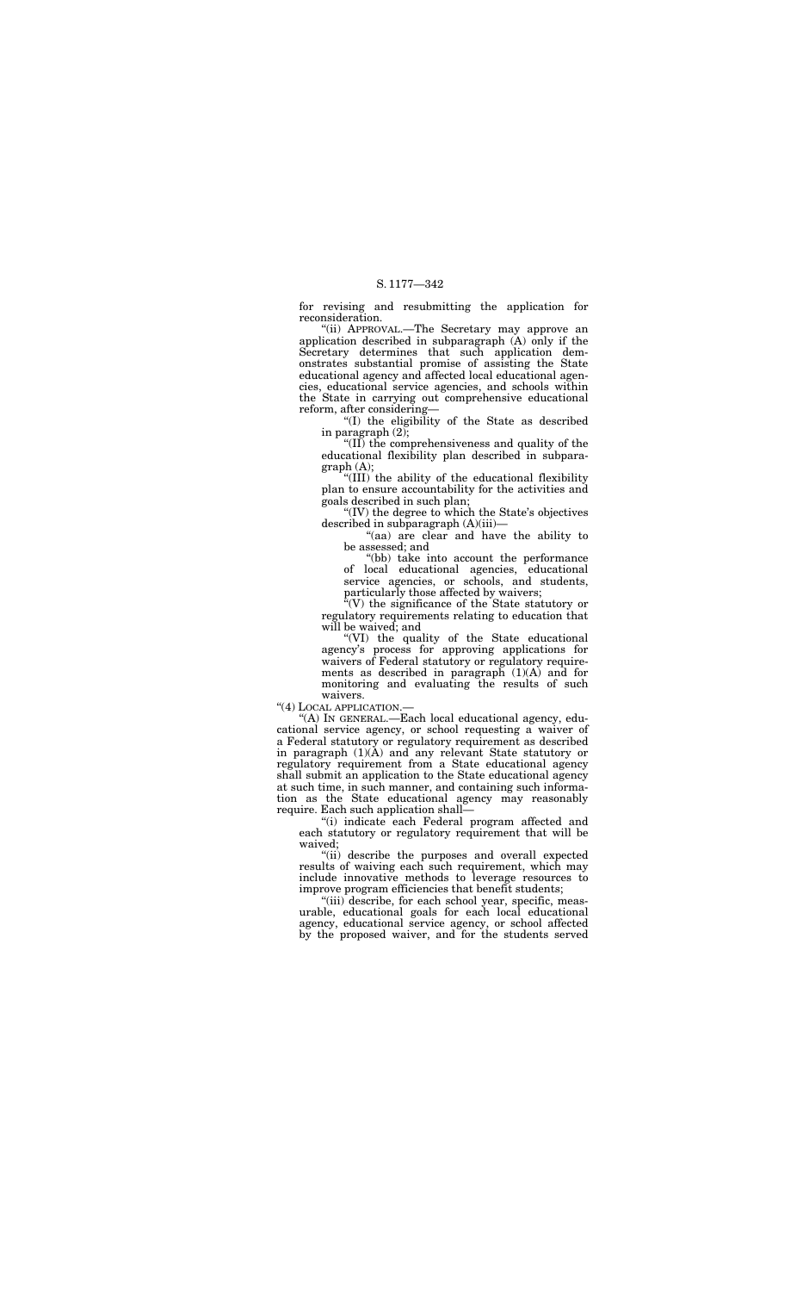for revising and resubmitting the application for reconsideration.

''(ii) APPROVAL.—The Secretary may approve an application described in subparagraph (A) only if the Secretary determines that such application demonstrates substantial promise of assisting the State educational agency and affected local educational agencies, educational service agencies, and schools within the State in carrying out comprehensive educational reform, after considering—

> "(aa) are clear and have the ability to be assessed; and

''(bb) take into account the performance of local educational agencies, educational service agencies, or schools, and students, particularly those affected by waivers;

''(I) the eligibility of the State as described in paragraph (2);

''(II) the comprehensiveness and quality of the educational flexibility plan described in subparagraph (A);

''(III) the ability of the educational flexibility plan to ensure accountability for the activities and goals described in such plan;

''(IV) the degree to which the State's objectives described in subparagraph (A)(iii)—

"(i) indicate each Federal program affected and each statutory or regulatory requirement that will be waived;

"(ii) describe the purposes and overall expected results of waiving each such requirement, which may include innovative methods to leverage resources to improve program efficiencies that benefit students;

''(V) the significance of the State statutory or regulatory requirements relating to education that will be waived; and

''(VI) the quality of the State educational agency's process for approving applications for waivers of Federal statutory or regulatory requirements as described in paragraph  $(1)(A)$  and for monitoring and evaluating the results of such waivers.

''(4) LOCAL APPLICATION.—

''(A) IN GENERAL.—Each local educational agency, educational service agency, or school requesting a waiver of a Federal statutory or regulatory requirement as described in paragraph (1)(A) and any relevant State statutory or regulatory requirement from a State educational agency shall submit an application to the State educational agency at such time, in such manner, and containing such information as the State educational agency may reasonably require. Each such application shall—

''(iii) describe, for each school year, specific, measurable, educational goals for each local educational agency, educational service agency, or school affected by the proposed waiver, and for the students served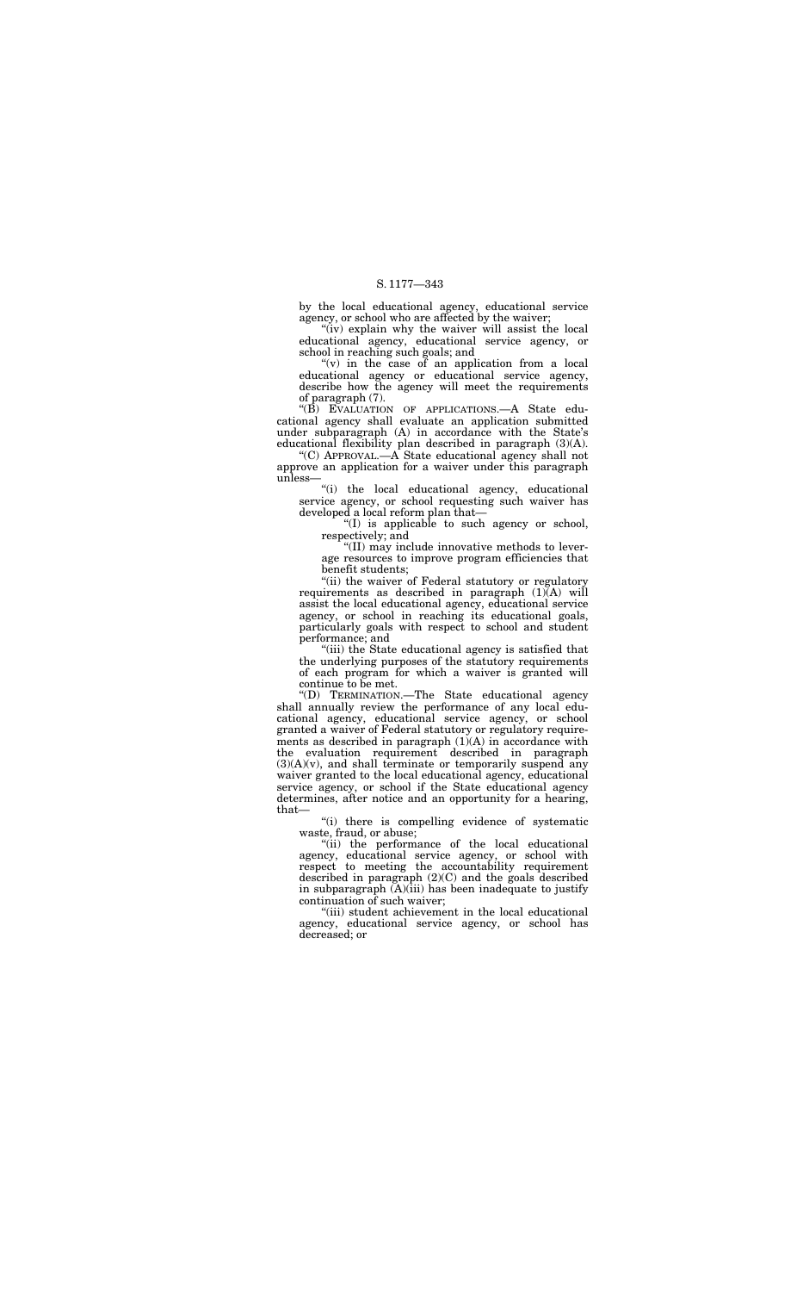by the local educational agency, educational service agency, or school who are affected by the waiver;

"(iv) explain why the waiver will assist the local educational agency, educational service agency, or school in reaching such goals; and

" $(v)$  in the case of an application from a local educational agency or educational service agency, describe how the agency will meet the requirements of paragraph (7).

''(i) the local educational agency, educational service agency, or school requesting such waiver has developed a local reform plan that-

''(B) EVALUATION OF APPLICATIONS.—A State educational agency shall evaluate an application submitted under subparagraph (A) in accordance with the State's educational flexibility plan described in paragraph (3)(A).

"(ii) the waiver of Federal statutory or regulatory requirements as described in paragraph  $(1)(A)$  will assist the local educational agency, educational service agency, or school in reaching its educational goals, particularly goals with respect to school and student performance; and

''(C) APPROVAL.—A State educational agency shall not approve an application for a waiver under this paragraph unless—

> ''(I) is applicable to such agency or school, respectively; and

''(II) may include innovative methods to leverage resources to improve program efficiencies that benefit students;

''(iii) the State educational agency is satisfied that the underlying purposes of the statutory requirements of each program for which a waiver is granted will continue to be met.

''(D) TERMINATION.—The State educational agency shall annually review the performance of any local educational agency, educational service agency, or school granted a waiver of Federal statutory or regulatory requirements as described in paragraph (1)(A) in accordance with the evaluation requirement described in paragraph  $(3)(A)(v)$ , and shall terminate or temporarily suspend any waiver granted to the local educational agency, educational service agency, or school if the State educational agency determines, after notice and an opportunity for a hearing, that—

''(i) there is compelling evidence of systematic waste, fraud, or abuse;

''(ii) the performance of the local educational agency, educational service agency, or school with respect to meeting the accountability requirement described in paragraph  $(2)(C)$  and the goals described in subparagraph (A)(iii) has been inadequate to justify continuation of such waiver;

''(iii) student achievement in the local educational agency, educational service agency, or school has decreased; or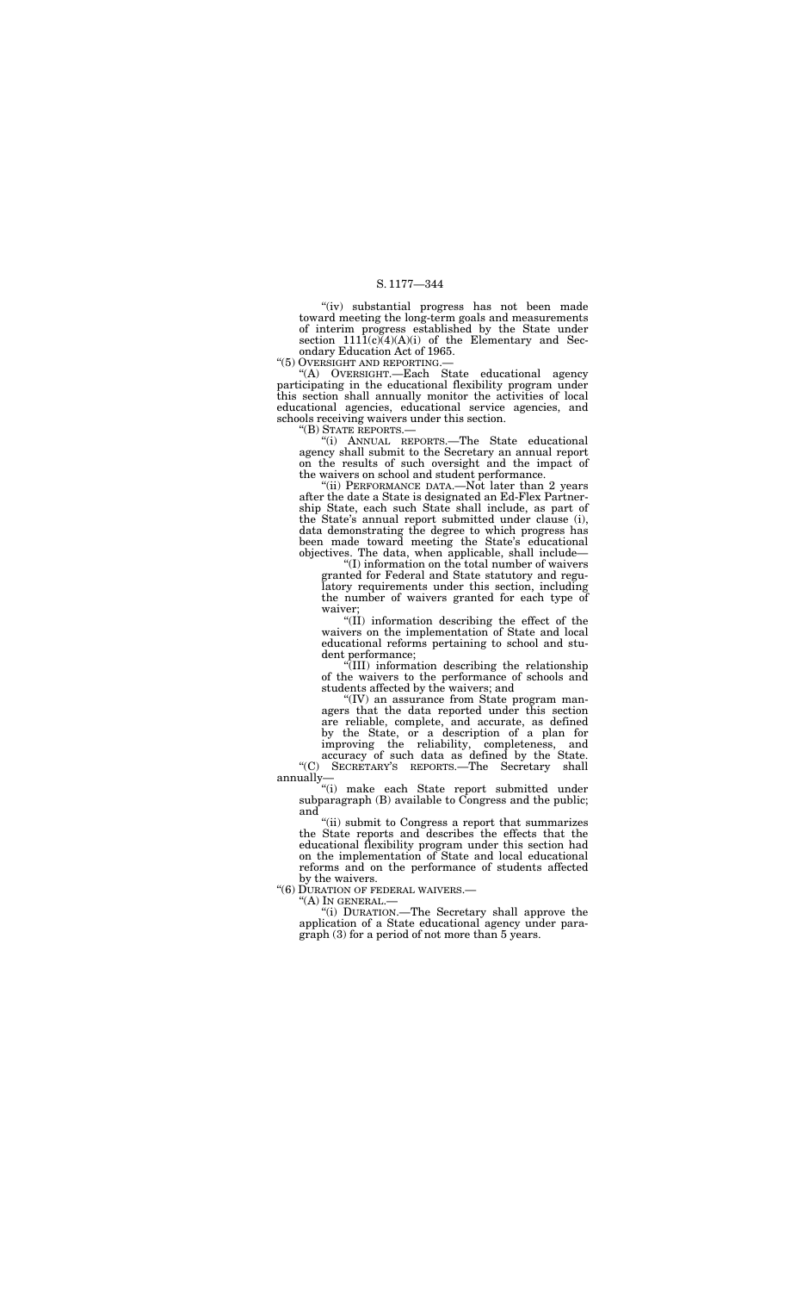''(iv) substantial progress has not been made toward meeting the long-term goals and measurements of interim progress established by the State under section  $1111(c)(4)(A)(i)$  of the Elementary and Secondary Education Act of 1965.<br>"(5) OVERSIGHT AND REPORTING.

"(A) OVERSIGHT.—Each State educational agency participating in the educational flexibility program under this section shall annually monitor the activities of local educational agencies, educational service agencies, and schools receiving waivers under this section.<br>"(B) STATE REPORTS.—

"(i) ANNUAL REPORTS.—The State educational agency shall submit to the Secretary an annual report on the results of such oversight and the impact of the waivers on school and student performance.

''(ii) PERFORMANCE DATA.—Not later than 2 years after the date a State is designated an Ed-Flex Partnership State, each such State shall include, as part of the State's annual report submitted under clause (i), data demonstrating the degree to which progress has been made toward meeting the State's educational objectives. The data, when applicable, shall include—

''(I) information on the total number of waivers granted for Federal and State statutory and regulatory requirements under this section, including the number of waivers granted for each type of waiver;

"(A) IN GENERAL.—<br>"(i) DURATION.—The Secretary shall approve the application of a State educational agency under paragraph (3) for a period of not more than 5 years.

''(II) information describing the effect of the waivers on the implementation of State and local educational reforms pertaining to school and student performance;

''(III) information describing the relationship of the waivers to the performance of schools and students affected by the waivers; and

''(IV) an assurance from State program managers that the data reported under this section are reliable, complete, and accurate, as defined by the State, or a description of a plan for improving the reliability, completeness, and accuracy of such data as defined by the State.

''(C) SECRETARY'S REPORTS.—The Secretary shall annually—

''(i) make each State report submitted under subparagraph (B) available to Congress and the public; and

''(ii) submit to Congress a report that summarizes the State reports and describes the effects that the educational flexibility program under this section had on the implementation of State and local educational reforms and on the performance of students affected

by the waivers.<br>"(6) DURATION OF FEDERAL WAIVERS.—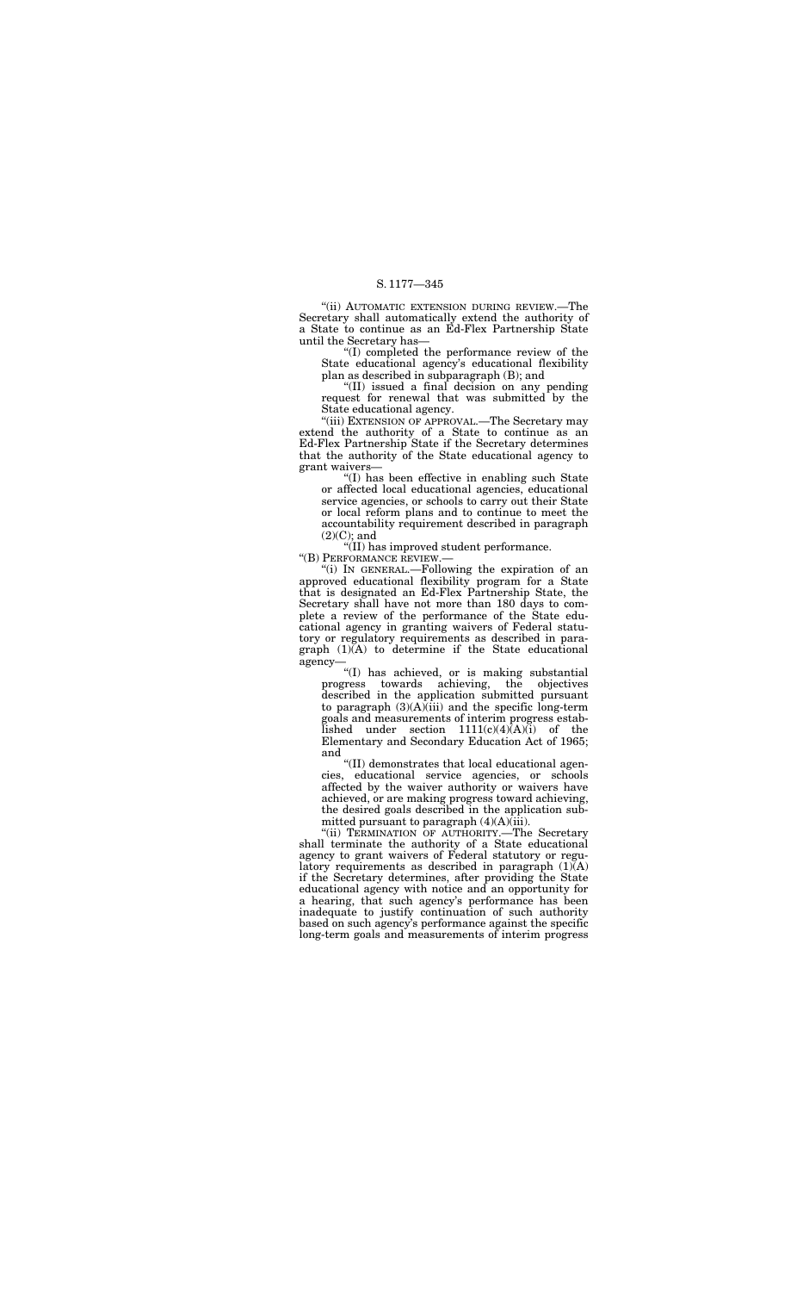''(ii) AUTOMATIC EXTENSION DURING REVIEW.—The Secretary shall automatically extend the authority of a State to continue as an Ed-Flex Partnership State until the Secretary has—

''(I) completed the performance review of the State educational agency's educational flexibility plan as described in subparagraph (B); and

''(II) issued a final decision on any pending request for renewal that was submitted by the State educational agency.

''(iii) EXTENSION OF APPROVAL.—The Secretary may extend the authority of a State to continue as an Ed-Flex Partnership State if the Secretary determines that the authority of the State educational agency to grant waivers—

''(I) has been effective in enabling such State or affected local educational agencies, educational service agencies, or schools to carry out their State or local reform plans and to continue to meet the accountability requirement described in paragraph (2)(C); and

''(II) demonstrates that local educational agencies, educational service agencies, or schools affected by the waiver authority or waivers have achieved, or are making progress toward achieving, the desired goals described in the application submitted pursuant to paragraph  $(4)(A)$ (iii).

''(II) has improved student performance.

''(B) PERFORMANCE REVIEW.—

''(i) IN GENERAL.—Following the expiration of an approved educational flexibility program for a State that is designated an Ed-Flex Partnership State, the Secretary shall have not more than 180 days to complete a review of the performance of the State educational agency in granting waivers of Federal statutory or regulatory requirements as described in paragraph  $(1)(A)$  to determine if the State educational agency—

"(ii) TERMINATION OF AUTHORITY. The Secretary shall terminate the authority of a State educational agency to grant waivers of Federal statutory or regulatory requirements as described in paragraph  $(1)$  $(A)$ if the Secretary determines, after providing the State educational agency with notice and an opportunity for a hearing, that such agency's performance has been inadequate to justify continuation of such authority based on such agency's performance against the specific long-term goals and measurements of interim progress

''(I) has achieved, or is making substantial progress towards achieving, the objectives described in the application submitted pursuant to paragraph  $(3)(A)\hat{i}$ iii) and the specific long-term goals and measurements of interim progress established under section  $1111(c)(4)(\overline{A})(\overline{i})$  of the Elementary and Secondary Education Act of 1965; and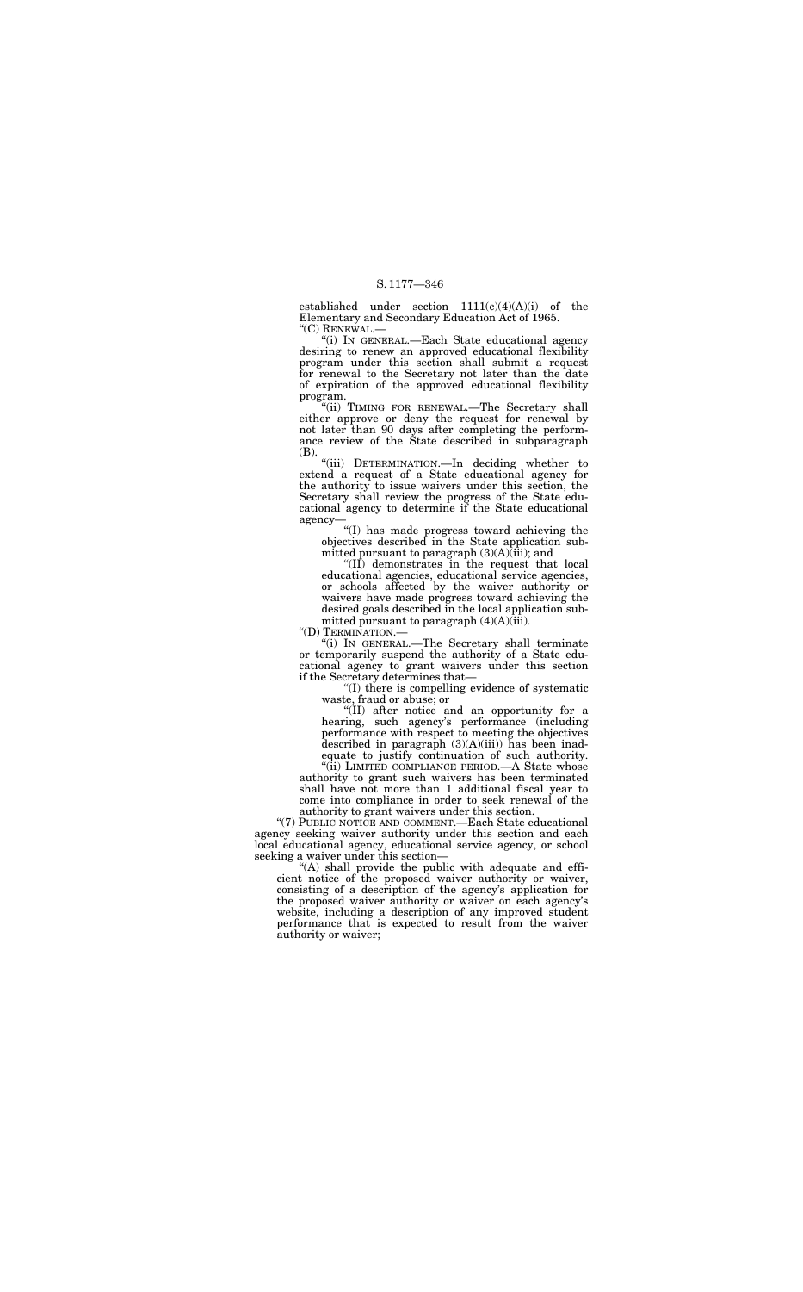established under section  $1111(c)(4)(A)(i)$  of the Elementary and Secondary Education Act of 1965.

"(i) IN GENERAL.—Each State educational agency desiring to renew an approved educational flexibility program under this section shall submit a request for renewal to the Secretary not later than the date of expiration of the approved educational flexibility program.

''(I) has made progress toward achieving the objectives described in the State application submitted pursuant to paragraph  $(3)(A)(iii)$ ; and

''(ii) TIMING FOR RENEWAL.—The Secretary shall either approve or deny the request for renewal by not later than 90 days after completing the performance review of the State described in subparagraph (B).

''(II) demonstrates in the request that local educational agencies, educational service agencies, or schools affected by the waiver authority or waivers have made progress toward achieving the desired goals described in the local application submitted pursuant to paragraph  $(4)(A)(iii)$ .<br>"(D) TERMINATION.—

''(iii) DETERMINATION.—In deciding whether to extend a request of a State educational agency for the authority to issue waivers under this section, the Secretary shall review the progress of the State educational agency to determine if the State educational agency—

"(i) IN GENERAL.—The Secretary shall terminate or temporarily suspend the authority of a State educational agency to grant waivers under this section if the Secretary determines that—

"(7) PUBLIC NOTICE AND COMMENT.—Each State educational agency seeking waiver authority under this section and each local educational agency, educational service agency, or school seeking a waiver under this section—

"(A) shall provide the public with adequate and efficient notice of the proposed waiver authority or waiver, consisting of a description of the agency's application for the proposed waiver authority or waiver on each agency's website, including a description of any improved student performance that is expected to result from the waiver authority or waiver;

''(I) there is compelling evidence of systematic waste, fraud or abuse; or

''(II) after notice and an opportunity for a hearing, such agency's performance (including performance with respect to meeting the objectives described in paragraph  $(3)(A)(iii)$  has been inadequate to justify continuation of such authority.

''(ii) LIMITED COMPLIANCE PERIOD.—A State whose authority to grant such waivers has been terminated shall have not more than 1 additional fiscal year to come into compliance in order to seek renewal of the authority to grant waivers under this section.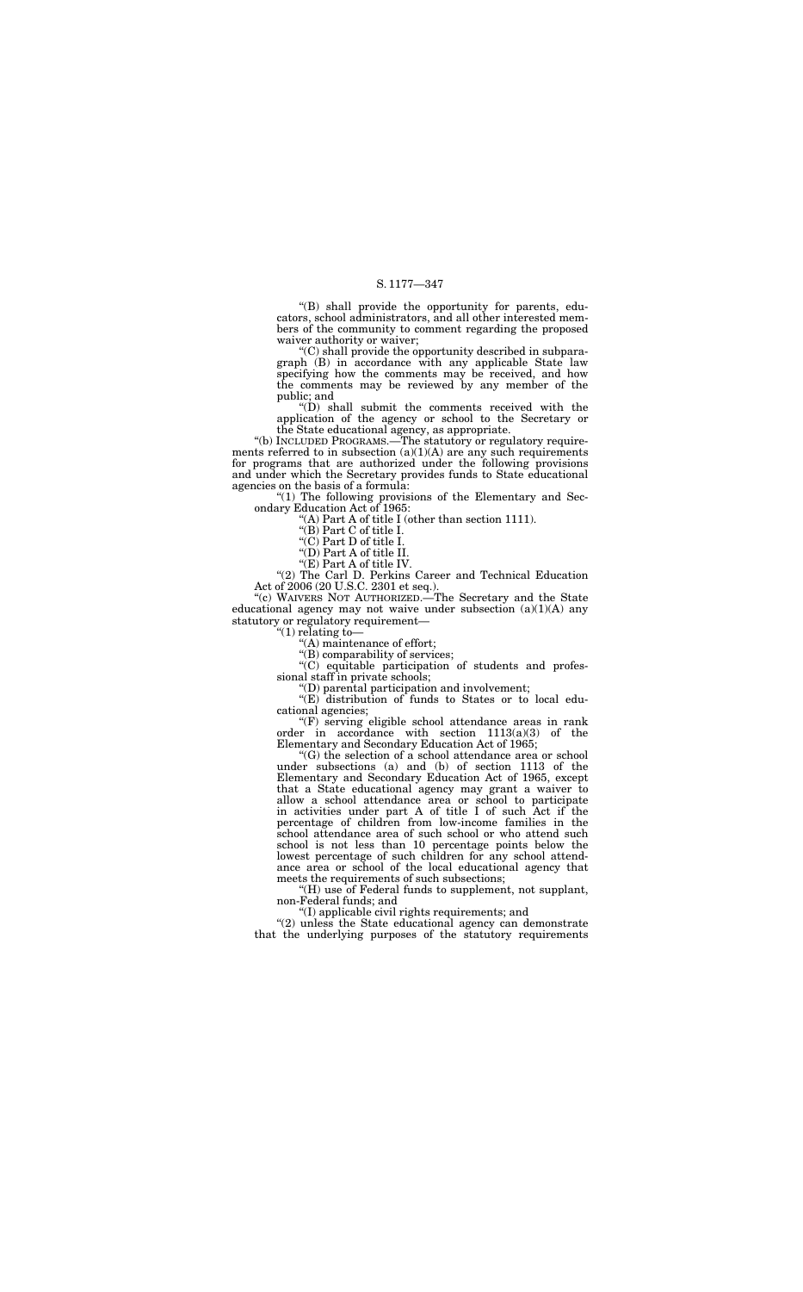''(B) shall provide the opportunity for parents, educators, school administrators, and all other interested members of the community to comment regarding the proposed waiver authority or waiver;

''(C) shall provide the opportunity described in subparagraph (B) in accordance with any applicable State law specifying how the comments may be received, and how the comments may be reviewed by any member of the public; and

" $(1)$  The following provisions of the Elementary and Secondary Education Act of 1965:

''(D) shall submit the comments received with the application of the agency or school to the Secretary or the State educational agency, as appropriate.

"(2) The Carl D. Perkins Career and Technical Education Act of 2006 (20 U.S.C. 2301 et seq.).

''(b) INCLUDED PROGRAMS.—The statutory or regulatory requirements referred to in subsection  $(a)(1)(A)$  are any such requirements for programs that are authorized under the following provisions and under which the Secretary provides funds to State educational agencies on the basis of a formula:

> $\mathcal{C}(C)$  equitable participation of students and professional staff in private schools;

''(A) Part A of title I (other than section 1111).

"(B) Part C of title I.

''(C) Part D of title I.

''(D) Part A of title II.

"(E) Part A of title IV.

''(c) WAIVERS NOT AUTHORIZED.—The Secretary and the State educational agency may not waive under subsection  $(a)(1)(A)$  any statutory or regulatory requirement—

" $(1)$  relating to-

"(2) unless the State educational agency can demonstrate that the underlying purposes of the statutory requirements

''(A) maintenance of effort;

''(B) comparability of services;

''(D) parental participation and involvement;

''(E) distribution of funds to States or to local educational agencies;

''(F) serving eligible school attendance areas in rank order in accordance with section 1113(a)(3) of the Elementary and Secondary Education Act of 1965;

''(G) the selection of a school attendance area or school under subsections (a) and (b) of section 1113 of the Elementary and Secondary Education Act of 1965, except that a State educational agency may grant a waiver to allow a school attendance area or school to participate in activities under part A of title I of such Act if the percentage of children from low-income families in the school attendance area of such school or who attend such school is not less than 10 percentage points below the lowest percentage of such children for any school attendance area or school of the local educational agency that meets the requirements of such subsections;

''(H) use of Federal funds to supplement, not supplant, non-Federal funds; and

''(I) applicable civil rights requirements; and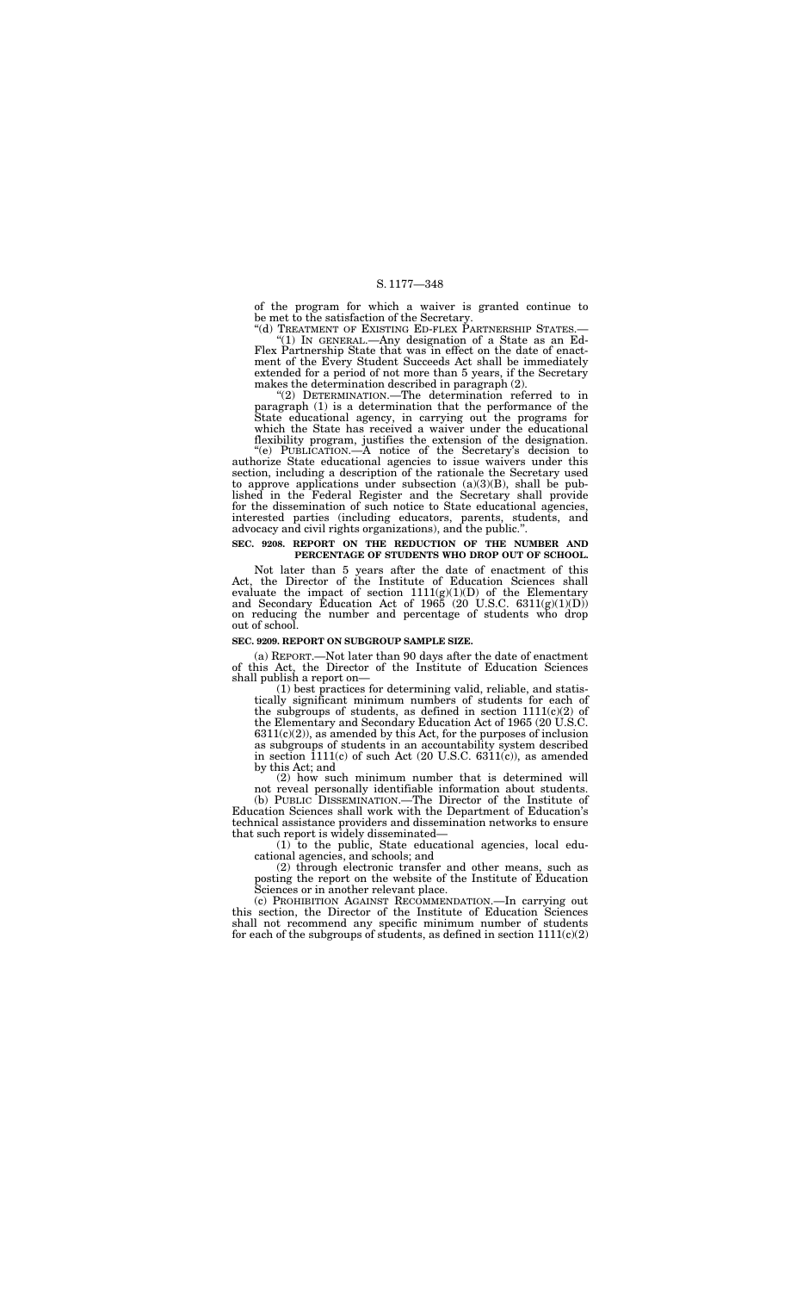of the program for which a waiver is granted continue to be met to the satisfaction of the Secretary.<br>"(d) TREATMENT OF EXISTING ED-FLEX PARTNERSHIP STATES.-

"(1) IN GENERAL.—Any designation of a State as an Ed-Flex Partnership State that was in effect on the date of enactment of the Every Student Succeeds Act shall be immediately extended for a period of not more than 5 years, if the Secretary makes the determination described in paragraph (2).

''(2) DETERMINATION.—The determination referred to in paragraph (1) is a determination that the performance of the State educational agency, in carrying out the programs for which the State has received a waiver under the educational flexibility program, justifies the extension of the designation.

''(e) PUBLICATION.—A notice of the Secretary's decision to authorize State educational agencies to issue waivers under this section, including a description of the rationale the Secretary used to approve applications under subsection  $(a)(3)(B)$ , shall be published in the Federal Register and the Secretary shall provide for the dissemination of such notice to State educational agencies, interested parties (including educators, parents, students, and advocacy and civil rights organizations), and the public.''.

#### **SEC. 9208. REPORT ON THE REDUCTION OF THE NUMBER AND PERCENTAGE OF STUDENTS WHO DROP OUT OF SCHOOL.**

(c) PROHIBITION AGAINST RECOMMENDATION.—In carrying out this section, the Director of the Institute of Education Sciences shall not recommend any specific minimum number of students for each of the subgroups of students, as defined in section  $1111(c)(2)$ 

Not later than 5 years after the date of enactment of this Act, the Director of the Institute of Education Sciences shall evaluate the impact of section  $1111(g)(1)(D)$  of the Elementary and Secondary Education Act of  $1965$  (20 U.S.C.  $6311(g)(1)(D)$ ) on reducing the number and percentage of students who drop out of school.

### **SEC. 9209. REPORT ON SUBGROUP SAMPLE SIZE.**

(a) REPORT.—Not later than 90 days after the date of enactment of this Act, the Director of the Institute of Education Sciences shall publish a report on—

(1) best practices for determining valid, reliable, and statistically significant minimum numbers of students for each of the subgroups of students, as defined in section  $1111(c)(2)$  of the Elementary and Secondary Education Act of 1965 (20 U.S.C.  $6311(c)(2)$ ), as amended by this Act, for the purposes of inclusion as subgroups of students in an accountability system described in section  $1111(c)$  of such Act  $(20 \text{ U.S.C. } 6311(c))$ , as amended by this Act; and

(2) how such minimum number that is determined will not reveal personally identifiable information about students. (b) PUBLIC DISSEMINATION.—The Director of the Institute of Education Sciences shall work with the Department of Education's technical assistance providers and dissemination networks to ensure that such report is widely disseminated—

(1) to the public, State educational agencies, local educational agencies, and schools; and

(2) through electronic transfer and other means, such as posting the report on the website of the Institute of Education Sciences or in another relevant place.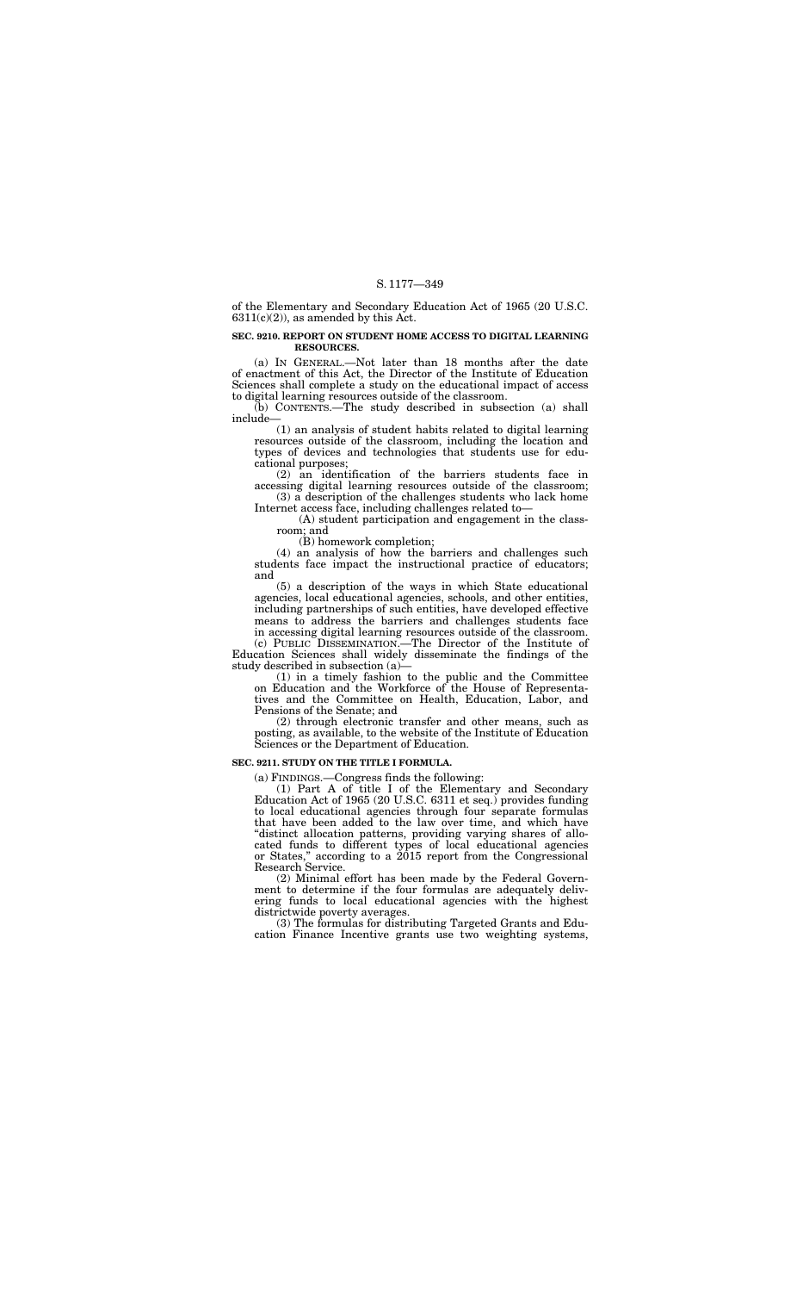of the Elementary and Secondary Education Act of 1965 (20 U.S.C.  $6311(c)(2)$ , as amended by this Act.

#### **SEC. 9210. REPORT ON STUDENT HOME ACCESS TO DIGITAL LEARNING RESOURCES.**

(a) IN GENERAL.—Not later than 18 months after the date of enactment of this Act, the Director of the Institute of Education Sciences shall complete a study on the educational impact of access to digital learning resources outside of the classroom.

(b) CONTENTS.—The study described in subsection (a) shall include—

(1) an analysis of student habits related to digital learning resources outside of the classroom, including the location and types of devices and technologies that students use for educational purposes;

(2) an identification of the barriers students face in accessing digital learning resources outside of the classroom;

(3) a description of the challenges students who lack home Internet access face, including challenges related to—

(A) student participation and engagement in the classroom; and

(B) homework completion;

(4) an analysis of how the barriers and challenges such students face impact the instructional practice of educators; and

(5) a description of the ways in which State educational agencies, local educational agencies, schools, and other entities, including partnerships of such entities, have developed effective means to address the barriers and challenges students face in accessing digital learning resources outside of the classroom.

(c) PUBLIC DISSEMINATION.—The Director of the Institute of Education Sciences shall widely disseminate the findings of the study described in subsection (a)—

(1) in a timely fashion to the public and the Committee on Education and the Workforce of the House of Representatives and the Committee on Health, Education, Labor, and Pensions of the Senate; and

(2) through electronic transfer and other means, such as posting, as available, to the website of the Institute of Education Sciences or the Department of Education.

#### **SEC. 9211. STUDY ON THE TITLE I FORMULA.**

(a) FINDINGS.—Congress finds the following:

(1) Part A of title I of the Elementary and Secondary Education Act of 1965 (20 U.S.C. 6311 et seq.) provides funding to local educational agencies through four separate formulas that have been added to the law over time, and which have ''distinct allocation patterns, providing varying shares of allocated funds to different types of local educational agencies or States,'' according to a 2015 report from the Congressional Research Service.

(2) Minimal effort has been made by the Federal Government to determine if the four formulas are adequately delivering funds to local educational agencies with the highest districtwide poverty averages.

(3) The formulas for distributing Targeted Grants and Education Finance Incentive grants use two weighting systems,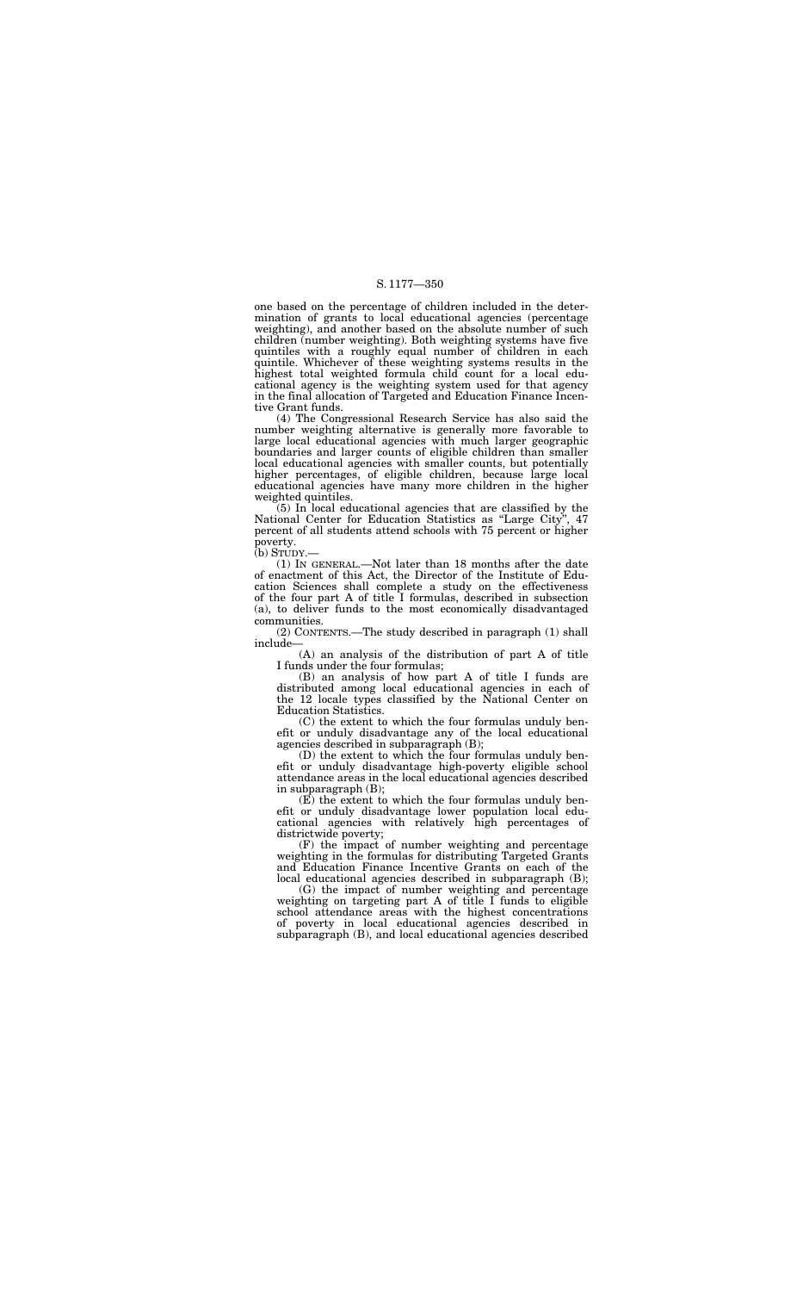one based on the percentage of children included in the determination of grants to local educational agencies (percentage weighting), and another based on the absolute number of such children (number weighting). Both weighting systems have five quintiles with a roughly equal number of children in each quintile. Whichever of these weighting systems results in the highest total weighted formula child count for a local educational agency is the weighting system used for that agency in the final allocation of Targeted and Education Finance Incentive Grant funds.

(5) In local educational agencies that are classified by the National Center for Education Statistics as "Large City", 47 percent of all students attend schools with 75 percent or higher poverty.<br>(b) STUDY.—

 $(1)$  In GENERAL.—Not later than 18 months after the date of enactment of this Act, the Director of the Institute of Education Sciences shall complete a study on the effectiveness of the four part A of title I formulas, described in subsection (a), to deliver funds to the most economically disadvantaged communities.

(4) The Congressional Research Service has also said the number weighting alternative is generally more favorable to large local educational agencies with much larger geographic boundaries and larger counts of eligible children than smaller local educational agencies with smaller counts, but potentially higher percentages, of eligible children, because large local educational agencies have many more children in the higher weighted quintiles.

(F) the impact of number weighting and percentage weighting in the formulas for distributing Targeted Grants and Education Finance Incentive Grants on each of the local educational agencies described in subparagraph (B);

(2) CONTENTS.—The study described in paragraph (1) shall include—

(A) an analysis of the distribution of part A of title I funds under the four formulas;

(B) an analysis of how part A of title I funds are distributed among local educational agencies in each of the 12 locale types classified by the National Center on Education Statistics.

(C) the extent to which the four formulas unduly benefit or unduly disadvantage any of the local educational agencies described in subparagraph (B);

(D) the extent to which the four formulas unduly benefit or unduly disadvantage high-poverty eligible school attendance areas in the local educational agencies described in subparagraph (B);

(E) the extent to which the four formulas unduly benefit or unduly disadvantage lower population local educational agencies with relatively high percentages of districtwide poverty;

(G) the impact of number weighting and percentage weighting on targeting part A of title I funds to eligible school attendance areas with the highest concentrations of poverty in local educational agencies described in subparagraph (B), and local educational agencies described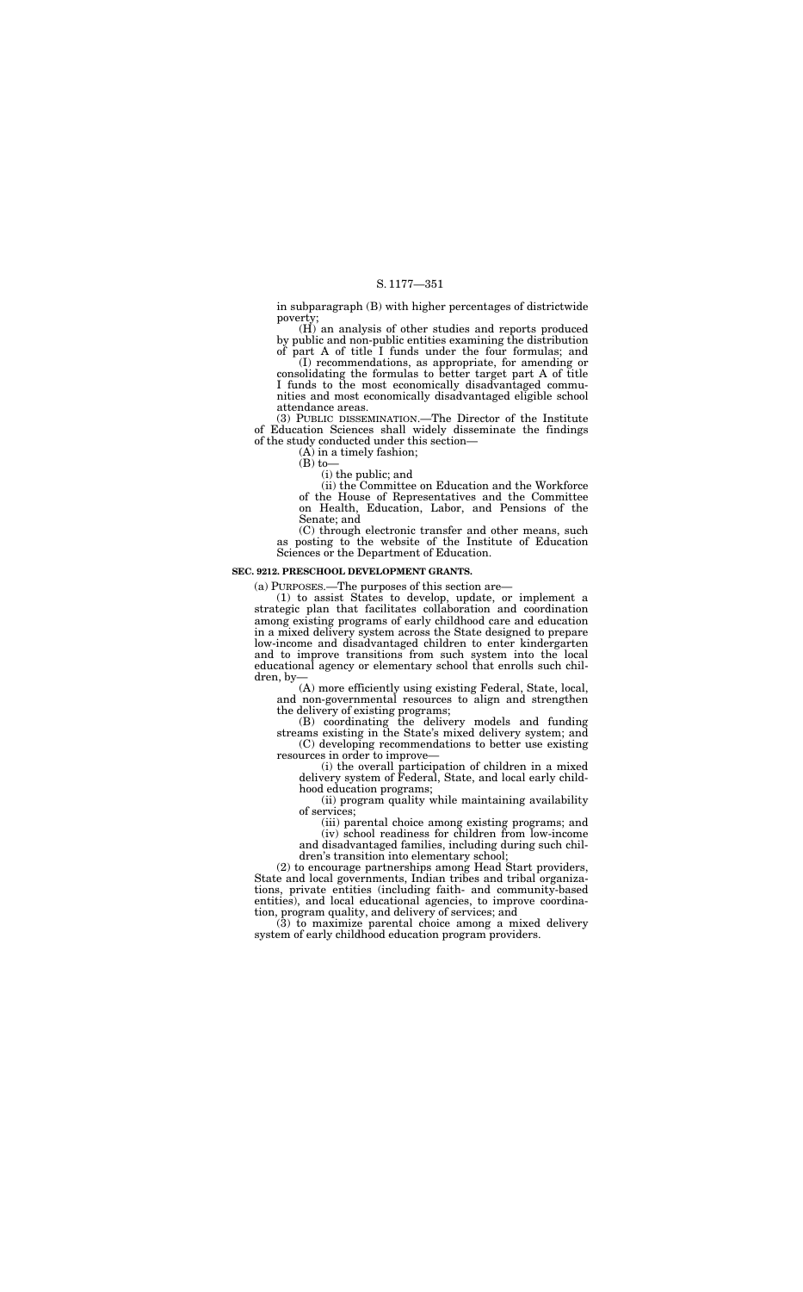in subparagraph (B) with higher percentages of districtwide poverty;

(H) an analysis of other studies and reports produced by public and non-public entities examining the distribution of part A of title I funds under the four formulas; and

(I) recommendations, as appropriate, for amending or consolidating the formulas to better target part A of title I funds to the most economically disadvantaged communities and most economically disadvantaged eligible school attendance areas.

(3) PUBLIC DISSEMINATION.—The Director of the Institute of Education Sciences shall widely disseminate the findings of the study conducted under this section—

(A) in a timely fashion;

 $(B)$  to-

(i) the public; and

(ii) the Committee on Education and the Workforce of the House of Representatives and the Committee on Health, Education, Labor, and Pensions of the Senate; and

(B) coordinating the delivery models and funding streams existing in the State's mixed delivery system; and

(C) through electronic transfer and other means, such as posting to the website of the Institute of Education Sciences or the Department of Education.

#### **SEC. 9212. PRESCHOOL DEVELOPMENT GRANTS.**

(a) PURPOSES.—The purposes of this section are—

(1) to assist States to develop, update, or implement a strategic plan that facilitates collaboration and coordination among existing programs of early childhood care and education in a mixed delivery system across the State designed to prepare low-income and disadvantaged children to enter kindergarten and to improve transitions from such system into the local educational agency or elementary school that enrolls such children, by—

(A) more efficiently using existing Federal, State, local, and non-governmental resources to align and strengthen the delivery of existing programs;

(C) developing recommendations to better use existing resources in order to improve—

(i) the overall participation of children in a mixed delivery system of Federal, State, and local early childhood education programs;

(ii) program quality while maintaining availability of services;

(iii) parental choice among existing programs; and (iv) school readiness for children from low-income and disadvantaged families, including during such children's transition into elementary school;

(2) to encourage partnerships among Head Start providers, State and local governments, Indian tribes and tribal organizations, private entities (including faith- and community-based entities), and local educational agencies, to improve coordination, program quality, and delivery of services; and

(3) to maximize parental choice among a mixed delivery system of early childhood education program providers.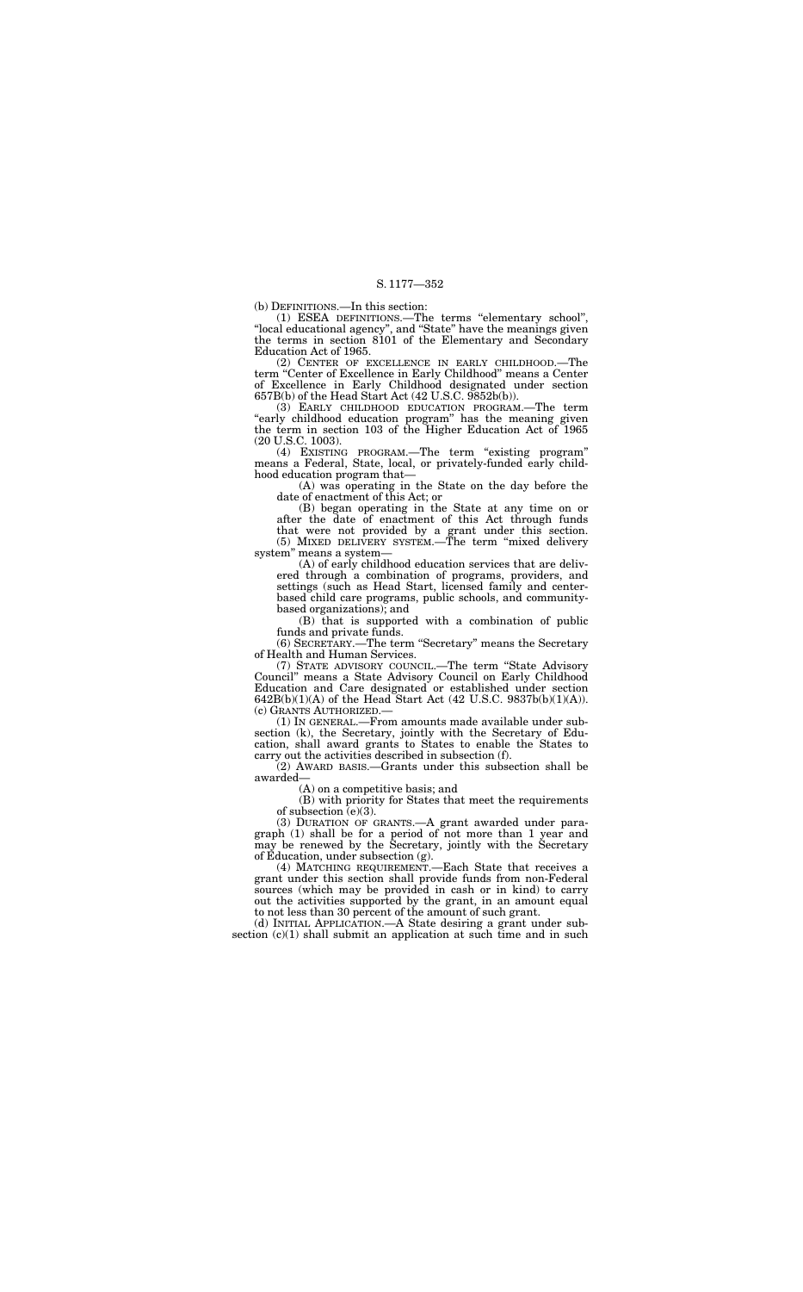(b) DEFINITIONS.—In this section:

(1) ESEA DEFINITIONS.—The terms ''elementary school'', ''local educational agency'', and ''State'' have the meanings given the terms in section 8101 of the Elementary and Secondary Education Act of 1965.

(2) CENTER OF EXCELLENCE IN EARLY CHILDHOOD.—The term ''Center of Excellence in Early Childhood'' means a Center of Excellence in Early Childhood designated under section 657B(b) of the Head Start Act (42 U.S.C. 9852b(b)).

(3) EARLY CHILDHOOD EDUCATION PROGRAM.—The term "early childhood education program" has the meaning given the term in section 103 of the Higher Education Act of 1965 (20 U.S.C. 1003).

(4) EXISTING PROGRAM.—The term ''existing program'' means a Federal, State, local, or privately-funded early childhood education program that—

(A) was operating in the State on the day before the date of enactment of this Act; or

(B) began operating in the State at any time on or after the date of enactment of this Act through funds that were not provided by a grant under this section. (5) MIXED DELIVERY SYSTEM.—The term ''mixed delivery

(B) with priority for States that meet the requirements of subsection  $(e)(3)$ .

system'' means a system— (A) of early childhood education services that are deliv-

ered through a combination of programs, providers, and settings (such as Head Start, licensed family and centerbased child care programs, public schools, and communitybased organizations); and

(d) INITIAL APPLICATION.—A State desiring a grant under subsection  $(c)(1)$  shall submit an application at such time and in such

(B) that is supported with a combination of public funds and private funds.

(6) SECRETARY.—The term ''Secretary'' means the Secretary of Health and Human Services.

(7) STATE ADVISORY COUNCIL.—The term ''State Advisory Council'' means a State Advisory Council on Early Childhood Education and Care designated or established under section 642B(b)(1)(A) of the Head Start Act (42 U.S.C. 9837b(b)(1)(A)). (c) GRANTS AUTHORIZED.—

(1) IN GENERAL.—From amounts made available under subsection (k), the Secretary, jointly with the Secretary of Education, shall award grants to States to enable the States to carry out the activities described in subsection (f).

(2) AWARD BASIS.—Grants under this subsection shall be awarded—

(A) on a competitive basis; and

(3) DURATION OF GRANTS.—A grant awarded under paragraph (1) shall be for a period of not more than 1 year and may be renewed by the Secretary, jointly with the Secretary of Education, under subsection (g).

(4) MATCHING REQUIREMENT.—Each State that receives a grant under this section shall provide funds from non-Federal sources (which may be provided in cash or in kind) to carry out the activities supported by the grant, in an amount equal to not less than 30 percent of the amount of such grant.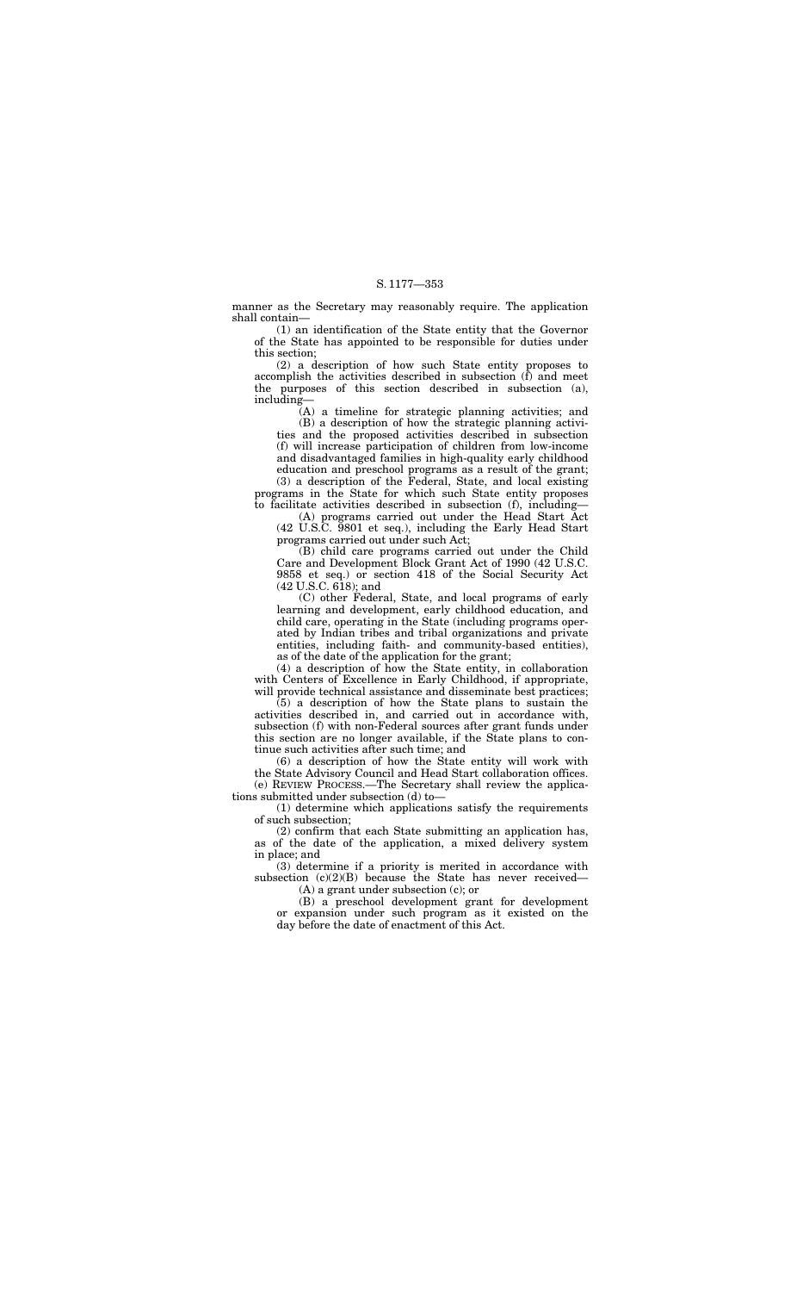manner as the Secretary may reasonably require. The application shall contain—

(1) an identification of the State entity that the Governor of the State has appointed to be responsible for duties under this section;

(2) a description of how such State entity proposes to accomplish the activities described in subsection (f) and meet the purposes of this section described in subsection (a), including—

(A) a timeline for strategic planning activities; and (B) a description of how the strategic planning activi-

ties and the proposed activities described in subsection (f) will increase participation of children from low-income and disadvantaged families in high-quality early childhood education and preschool programs as a result of the grant; (3) a description of the Federal, State, and local existing

programs in the State for which such State entity proposes to facilitate activities described in subsection (f), including—

(A) programs carried out under the Head Start Act (42 U.S.C. 9801 et seq.), including the Early Head Start programs carried out under such Act;

 $\tilde{B}(B)$  child care programs carried out under the Child Care and Development Block Grant Act of 1990 (42 U.S.C. 9858 et seq.) or section 418 of the Social Security Act  $(42 \text{ U.S.C. } 6\overline{1}8)$ ; and

(C) other Federal, State, and local programs of early learning and development, early childhood education, and child care, operating in the State (including programs operated by Indian tribes and tribal organizations and private entities, including faith- and community-based entities), as of the date of the application for the grant;

(4) a description of how the State entity, in collaboration with Centers of Excellence in Early Childhood, if appropriate, will provide technical assistance and disseminate best practices;

(5) a description of how the State plans to sustain the activities described in, and carried out in accordance with, subsection (f) with non-Federal sources after grant funds under this section are no longer available, if the State plans to continue such activities after such time; and

(6) a description of how the State entity will work with the State Advisory Council and Head Start collaboration offices. (e) REVIEW PROCESS.—The Secretary shall review the applications submitted under subsection (d) to—

(1) determine which applications satisfy the requirements of such subsection;

(2) confirm that each State submitting an application has, as of the date of the application, a mixed delivery system in place; and

(3) determine if a priority is merited in accordance with subsection (c)(2)(B) because the State has never received—

(A) a grant under subsection (c); or

(B) a preschool development grant for development or expansion under such program as it existed on the day before the date of enactment of this Act.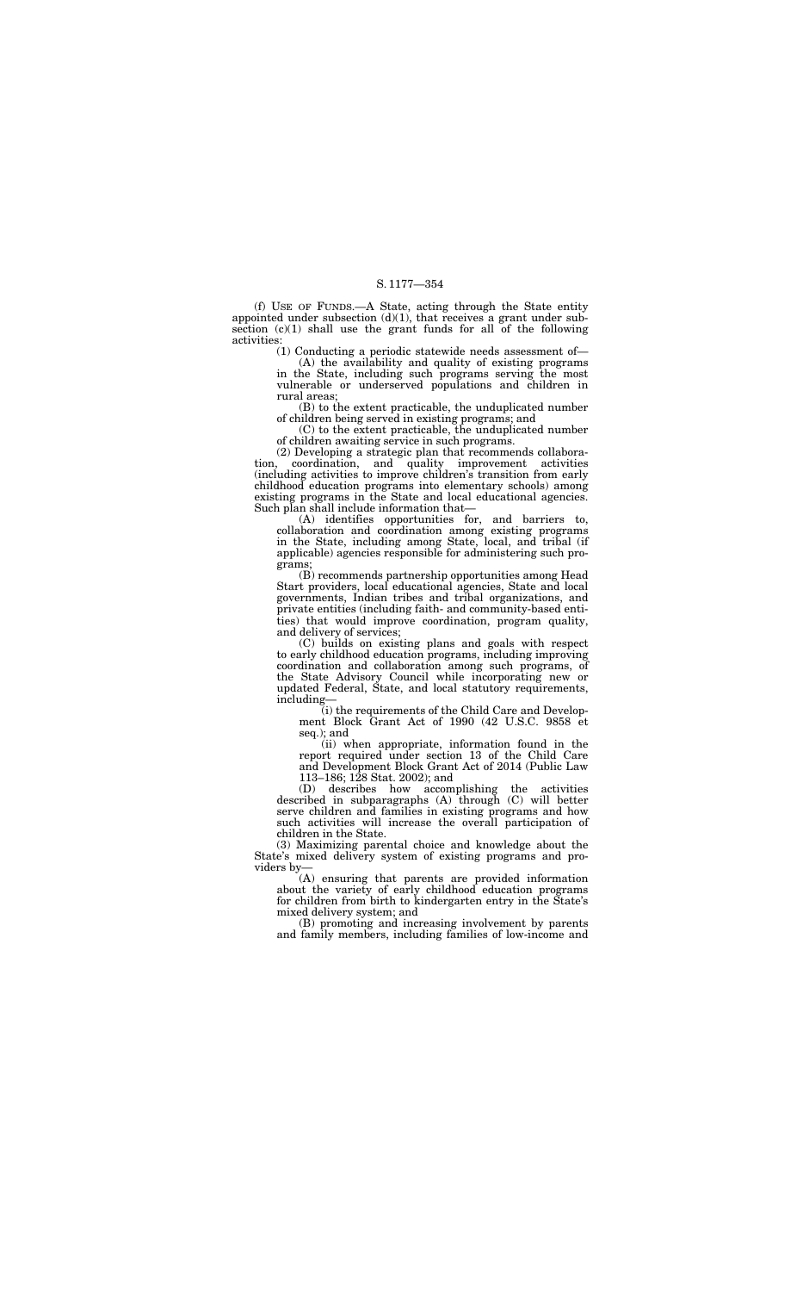(f) USE OF FUNDS.—A State, acting through the State entity appointed under subsection  $(d)(1)$ , that receives a grant under subsection  $(c)(1)$  shall use the grant funds for all of the following activities:

(1) Conducting a periodic statewide needs assessment of—

(B) to the extent practicable, the unduplicated number of children being served in existing programs; and

(A) the availability and quality of existing programs in the State, including such programs serving the most vulnerable or underserved populations and children in rural areas;

(C) to the extent practicable, the unduplicated number of children awaiting service in such programs.

(2) Developing a strategic plan that recommends collaboration, coordination, and quality improvement activities (including activities to improve children's transition from early childhood education programs into elementary schools) among existing programs in the State and local educational agencies. Such plan shall include information that—

(A) identifies opportunities for, and barriers to, collaboration and coordination among existing programs in the State, including among State, local, and tribal (if applicable) agencies responsible for administering such programs;

(B) recommends partnership opportunities among Head Start providers, local educational agencies, State and local governments, Indian tribes and tribal organizations, and private entities (including faith- and community-based entities) that would improve coordination, program quality, and delivery of services;

(C) builds on existing plans and goals with respect to early childhood education programs, including improving coordination and collaboration among such programs, of the State Advisory Council while incorporating new or updated Federal, State, and local statutory requirements, including—

(i) the requirements of the Child Care and Development Block Grant Act of 1990 (42 U.S.C. 9858 et seq.); and

(ii) when appropriate, information found in the report required under section 13 of the Child Care and Development Block Grant Act of 2014 (Public Law 113–186; 128 Stat. 2002); and

(D) describes how accomplishing the activities described in subparagraphs (A) through (C) will better serve children and families in existing programs and how such activities will increase the overall participation of children in the State.

(3) Maximizing parental choice and knowledge about the State's mixed delivery system of existing programs and providers by—

(A) ensuring that parents are provided information about the variety of early childhood education programs for children from birth to kindergarten entry in the State's mixed delivery system; and

(B) promoting and increasing involvement by parents and family members, including families of low-income and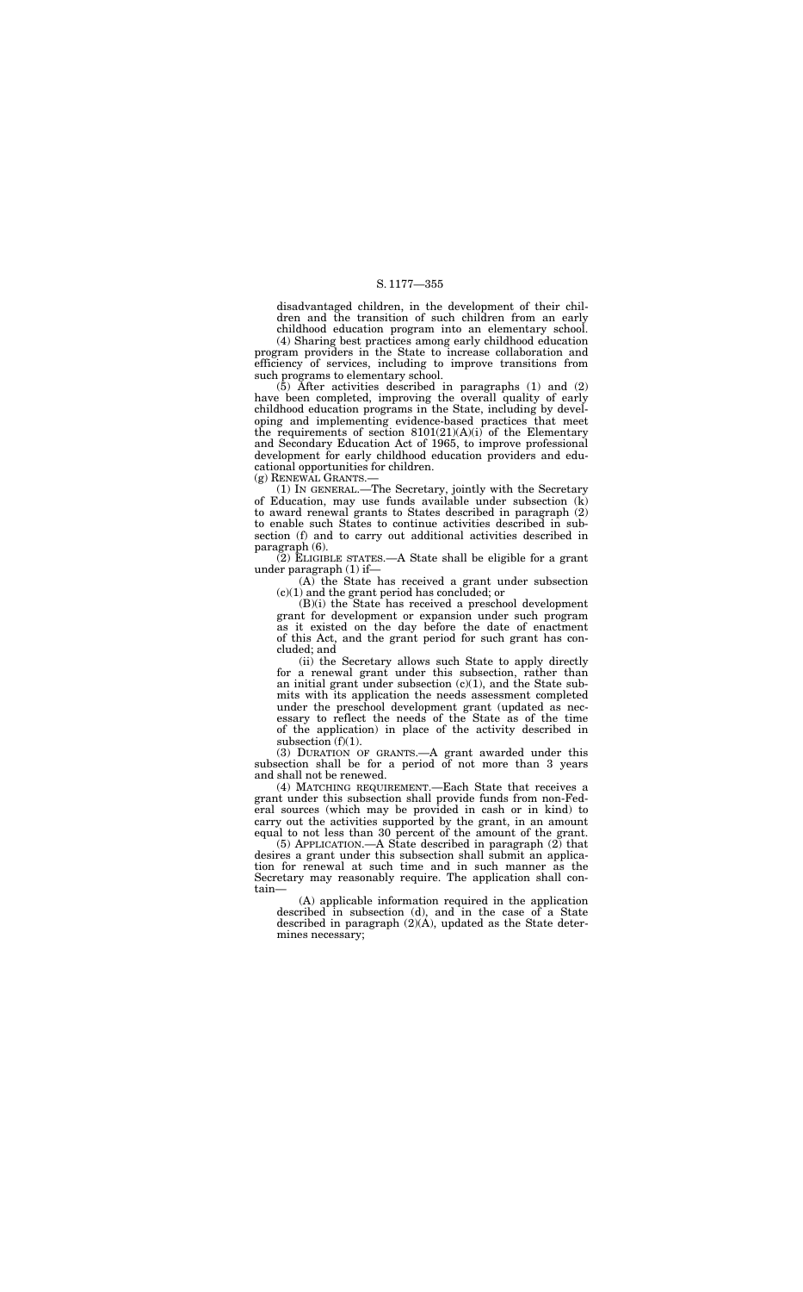disadvantaged children, in the development of their children and the transition of such children from an early childhood education program into an elementary school.

(4) Sharing best practices among early childhood education program providers in the State to increase collaboration and efficiency of services, including to improve transitions from such programs to elementary school.

(5) After activities described in paragraphs (1) and (2) have been completed, improving the overall quality of early childhood education programs in the State, including by developing and implementing evidence-based practices that meet the requirements of section  $8101(21)(A)(i)$  of the Elementary and Secondary Education Act of 1965, to improve professional development for early childhood education providers and educational opportunities for children.

(A) the State has received a grant under subsection  $(c)(1)$  and the grant period has concluded; or

(ii) the Secretary allows such State to apply directly for a renewal grant under this subsection, rather than an initial grant under subsection  $(c)(1)$ , and the State submits with its application the needs assessment completed under the preschool development grant (updated as necessary to reflect the needs of the State as of the time of the application) in place of the activity described in subsection  $(f)(1)$ .

(g) RENEWAL GRANTS.—

(1) IN GENERAL.—The Secretary, jointly with the Secretary of Education, may use funds available under subsection (k) to award renewal grants to States described in paragraph (2) to enable such States to continue activities described in subsection (f) and to carry out additional activities described in paragraph (6).

(2) ELIGIBLE STATES.—A State shall be eligible for a grant under paragraph (1) if—

 $(5)$  APPLICATION.—A State described in paragraph  $(2)$  that desires a grant under this subsection shall submit an application for renewal at such time and in such manner as the Secretary may reasonably require. The application shall contain—

(B)(i) the State has received a preschool development grant for development or expansion under such program as it existed on the day before the date of enactment of this Act, and the grant period for such grant has concluded; and

(3) DURATION OF GRANTS.—A grant awarded under this subsection shall be for a period of not more than 3 years and shall not be renewed.

(4) MATCHING REQUIREMENT.—Each State that receives a grant under this subsection shall provide funds from non-Federal sources (which may be provided in cash or in kind) to carry out the activities supported by the grant, in an amount equal to not less than 30 percent of the amount of the grant.

(A) applicable information required in the application described in subsection (d), and in the case of a State described in paragraph  $(2)(\overrightarrow{A})$ , updated as the State determines necessary;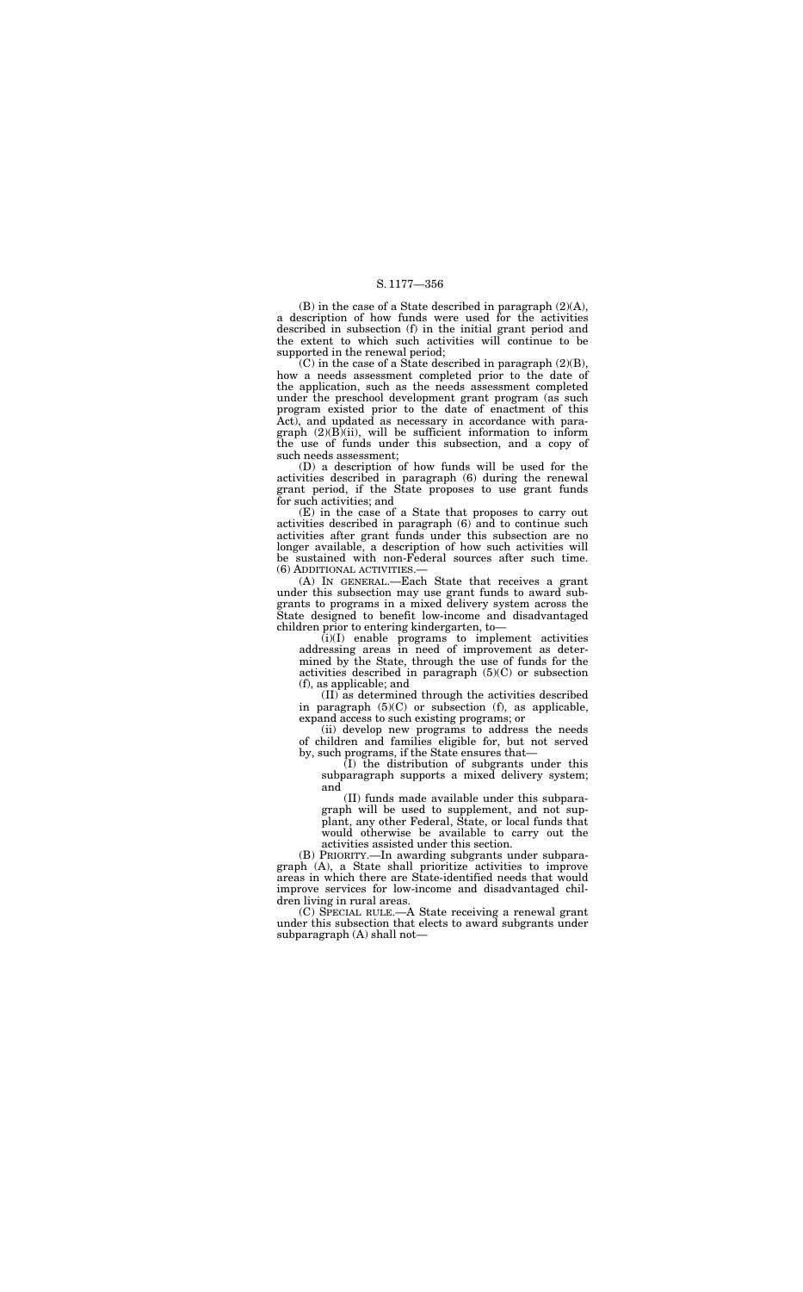(B) in the case of a State described in paragraph (2)(A), a description of how funds were used for the activities described in subsection (f) in the initial grant period and the extent to which such activities will continue to be supported in the renewal period;

 $(C)$  in the case of a State described in paragraph  $(2)(B)$ , how a needs assessment completed prior to the date of the application, such as the needs assessment completed under the preschool development grant program (as such program existed prior to the date of enactment of this Act), and updated as necessary in accordance with paragraph (2)(B)(ii), will be sufficient information to inform the use of funds under this subsection, and a copy of such needs assessment;

(D) a description of how funds will be used for the activities described in paragraph (6) during the renewal grant period, if the State proposes to use grant funds for such activities; and

 $(i)(I)$  enable programs to implement activities addressing areas in need of improvement as determined by the State, through the use of funds for the activities described in paragraph (5)(C) or subsection (f), as applicable; and

(E) in the case of a State that proposes to carry out activities described in paragraph (6) and to continue such activities after grant funds under this subsection are no longer available, a description of how such activities will be sustained with non-Federal sources after such time. (6) ADDITIONAL ACTIVITIES.—

(A) IN GENERAL.—Each State that receives a grant under this subsection may use grant funds to award subgrants to programs in a mixed delivery system across the State designed to benefit low-income and disadvantaged children prior to entering kindergarten, to—

(II) as determined through the activities described in paragraph  $(5)(C)$  or subsection  $(f)$ , as applicable, expand access to such existing programs; or

(ii) develop new programs to address the needs of children and families eligible for, but not served by, such programs, if the State ensures that—

(I) the distribution of subgrants under this subparagraph supports a mixed delivery system; and

(II) funds made available under this subparagraph will be used to supplement, and not supplant, any other Federal, State, or local funds that would otherwise be available to carry out the activities assisted under this section.

(B) PRIORITY.—In awarding subgrants under subparagraph (A), a State shall prioritize activities to improve areas in which there are State-identified needs that would improve services for low-income and disadvantaged children living in rural areas.

(C) SPECIAL RULE.—A State receiving a renewal grant under this subsection that elects to award subgrants under subparagraph (A) shall not—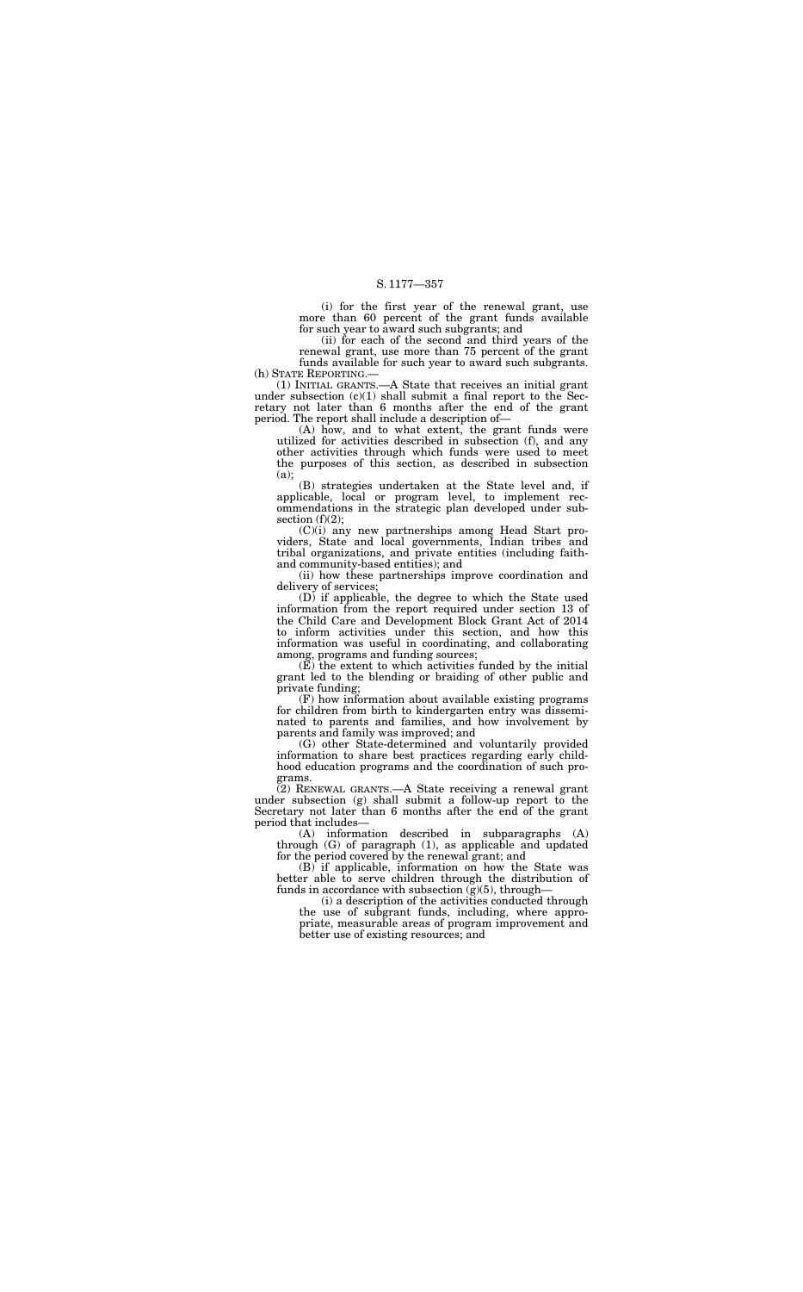(i) for the first year of the renewal grant, use more than 60 percent of the grant funds available for such year to award such subgrants; and

(ii) for each of the second and third years of the renewal grant, use more than 75 percent of the grant funds available for such year to award such subgrants.

 $(1)$  INITIAL GRANTS.—A State that receives an initial grant under subsection  $(c)(1)$  shall submit a final report to the Secretary not later than 6 months after the end of the grant period. The report shall include a description of—

(B) strategies undertaken at the State level and, if applicable, local or program level, to implement recommendations in the strategic plan developed under subsection (f)(2);

(A) how, and to what extent, the grant funds were utilized for activities described in subsection (f), and any other activities through which funds were used to meet the purposes of this section, as described in subsection (a);

(C)(i) any new partnerships among Head Start providers, State and local governments, Indian tribes and tribal organizations, and private entities (including faithand community-based entities); and

 $(2)$  RENEWAL GRANTS.—A State receiving a renewal grant under subsection (g) shall submit a follow-up report to the Secretary not later than 6 months after the end of the grant period that includes—

(ii) how these partnerships improve coordination and delivery of services;

(B) if applicable, information on how the State was better able to serve children through the distribution of funds in accordance with subsection  $(g)(5)$ , through-

(D) if applicable, the degree to which the State used information from the report required under section 13 of the Child Care and Development Block Grant Act of 2014 to inform activities under this section, and how this information was useful in coordinating, and collaborating among, programs and funding sources;

(E) the extent to which activities funded by the initial grant led to the blending or braiding of other public and private funding;

(F) how information about available existing programs for children from birth to kindergarten entry was disseminated to parents and families, and how involvement by parents and family was improved; and

(G) other State-determined and voluntarily provided information to share best practices regarding early childhood education programs and the coordination of such programs.

(A) information described in subparagraphs (A) through  $(G)$  of paragraph  $(1)$ , as applicable and updated for the period covered by the renewal grant; and

(i) a description of the activities conducted through the use of subgrant funds, including, where appropriate, measurable areas of program improvement and better use of existing resources; and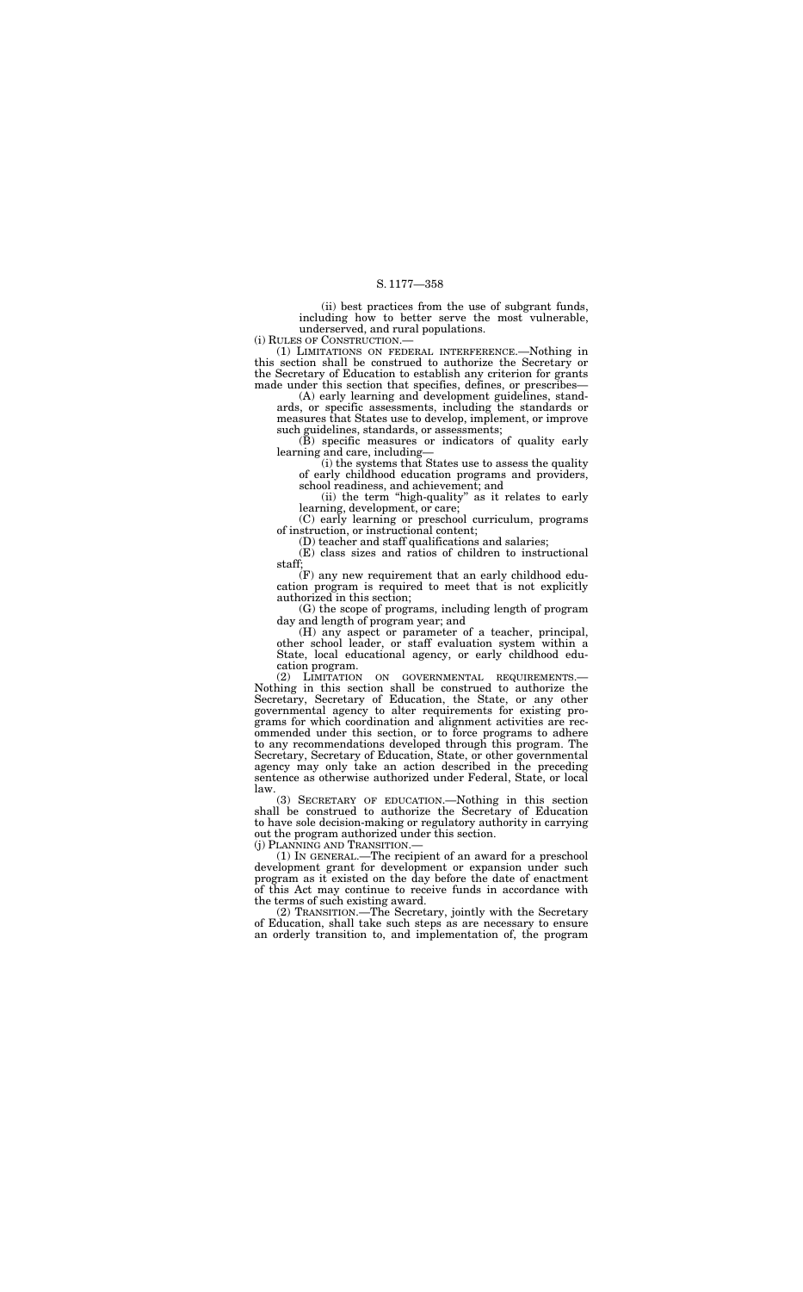(ii) best practices from the use of subgrant funds, including how to better serve the most vulnerable, underserved, and rural populations.<br>(i) RULES OF CONSTRUCTION.—

(1) LIMITATIONS ON FEDERAL INTERFERENCE.—Nothing in this section shall be construed to authorize the Secretary or the Secretary of Education to establish any criterion for grants made under this section that specifies, defines, or prescribes—

> (ii) the term "high-quality" as it relates to early learning, development, or care;

(A) early learning and development guidelines, standards, or specific assessments, including the standards or measures that States use to develop, implement, or improve such guidelines, standards, or assessments;

 $(F)$  any new requirement that an early childhood education program is required to meet that is not explicitly authorized in this section;

(B) specific measures or indicators of quality early learning and care, including—

(H) any aspect or parameter of a teacher, principal, other school leader, or staff evaluation system within a State, local educational agency, or early childhood education program.<br>(2) LIMITATION ON GOVERNMENTAL REQUIREMENTS.—

(i) the systems that States use to assess the quality of early childhood education programs and providers, school readiness, and achievement; and

(C) early learning or preschool curriculum, programs of instruction, or instructional content;

(D) teacher and staff qualifications and salaries;

Nothing in this section shall be construed to authorize the Secretary, Secretary of Education, the State, or any other governmental agency to alter requirements for existing programs for which coordination and alignment activities are recommended under this section, or to force programs to adhere to any recommendations developed through this program. The Secretary, Secretary of Education, State, or other governmental agency may only take an action described in the preceding sentence as otherwise authorized under Federal, State, or local law.

(3) SECRETARY OF EDUCATION.—Nothing in this section shall be construed to authorize the Secretary of Education to have sole decision-making or regulatory authority in carrying out the program authorized under this section.<br>(j) PLANNING AND TRANSITION.—

(E) class sizes and ratios of children to instructional staff;

(1) IN GENERAL.—The recipient of an award for a preschool development grant for development or expansion under such program as it existed on the day before the date of enactment of this Act may continue to receive funds in accordance with the terms of such existing award.

(G) the scope of programs, including length of program day and length of program year; and

(2) TRANSITION.—The Secretary, jointly with the Secretary of Education, shall take such steps as are necessary to ensure an orderly transition to, and implementation of, the program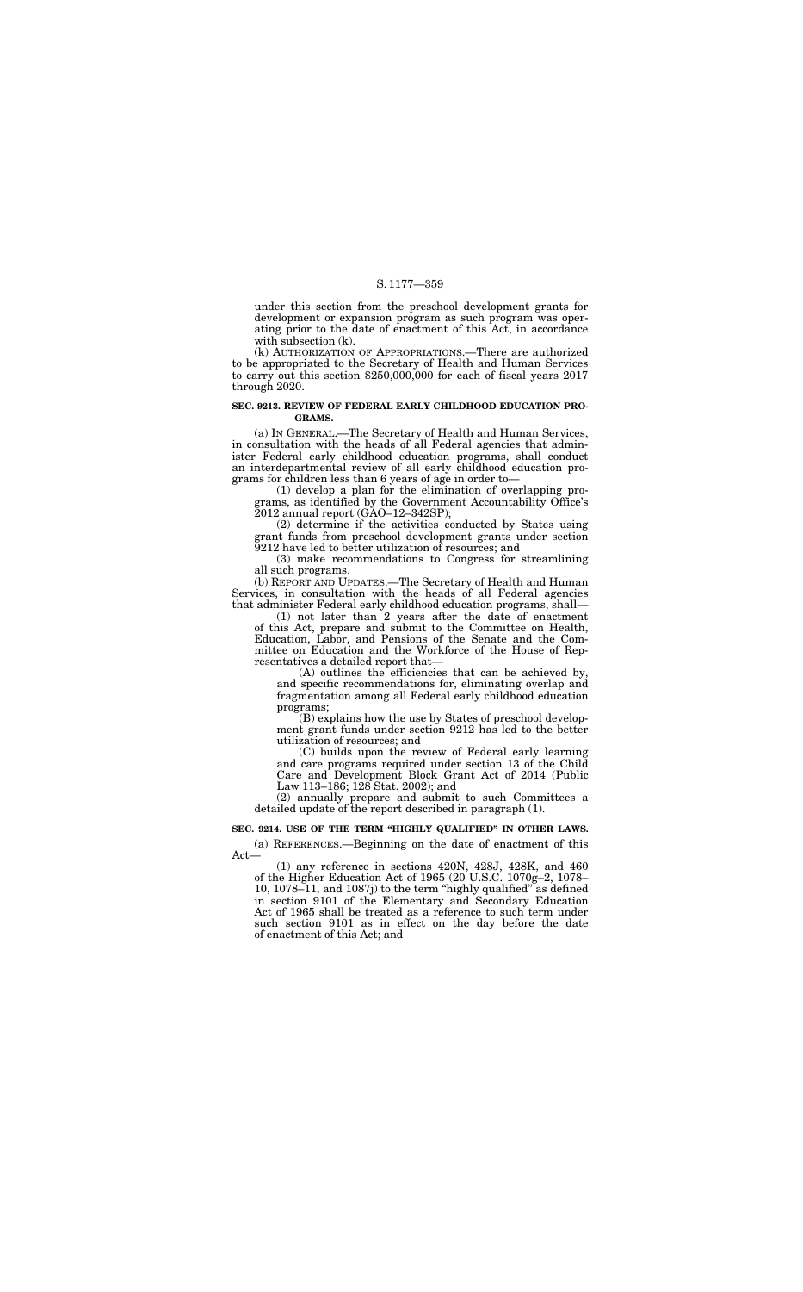under this section from the preschool development grants for development or expansion program as such program was operating prior to the date of enactment of this Act, in accordance with subsection (k).

(k) AUTHORIZATION OF APPROPRIATIONS.—There are authorized to be appropriated to the Secretary of Health and Human Services to carry out this section \$250,000,000 for each of fiscal years 2017 through 2020.

#### **SEC. 9213. REVIEW OF FEDERAL EARLY CHILDHOOD EDUCATION PRO-GRAMS.**

(a) IN GENERAL.—The Secretary of Health and Human Services, in consultation with the heads of all Federal agencies that administer Federal early childhood education programs, shall conduct an interdepartmental review of all early childhood education programs for children less than 6 years of age in order to—

(1) develop a plan for the elimination of overlapping programs, as identified by the Government Accountability Office's 2012 annual report (GAO–12–342SP);

(2) determine if the activities conducted by States using grant funds from preschool development grants under section 9212 have led to better utilization of resources; and

(3) make recommendations to Congress for streamlining all such programs.

(b) REPORT AND UPDATES.—The Secretary of Health and Human Services, in consultation with the heads of all Federal agencies that administer Federal early childhood education programs, shall—

(1) not later than 2 years after the date of enactment of this Act, prepare and submit to the Committee on Health, Education, Labor, and Pensions of the Senate and the Committee on Education and the Workforce of the House of Representatives a detailed report that—

(A) outlines the efficiencies that can be achieved by, and specific recommendations for, eliminating overlap and fragmentation among all Federal early childhood education programs;

(B) explains how the use by States of preschool development grant funds under section 9212 has led to the better utilization of resources; and

(C) builds upon the review of Federal early learning and care programs required under section 13 of the Child Care and Development Block Grant Act of 2014 (Public Law 113–186; 128 Stat. 2002); and

(2) annually prepare and submit to such Committees a detailed update of the report described in paragraph (1).

#### **SEC. 9214. USE OF THE TERM ''HIGHLY QUALIFIED'' IN OTHER LAWS.**

(a) REFERENCES.—Beginning on the date of enactment of this Act—

(1) any reference in sections 420N, 428J, 428K, and 460 of the Higher Education Act of 1965 (20 U.S.C. 1070g–2, 1078– 10, 1078–11, and 1087j) to the term ''highly qualified'' as defined in section 9101 of the Elementary and Secondary Education Act of 1965 shall be treated as a reference to such term under such section 9101 as in effect on the day before the date of enactment of this Act; and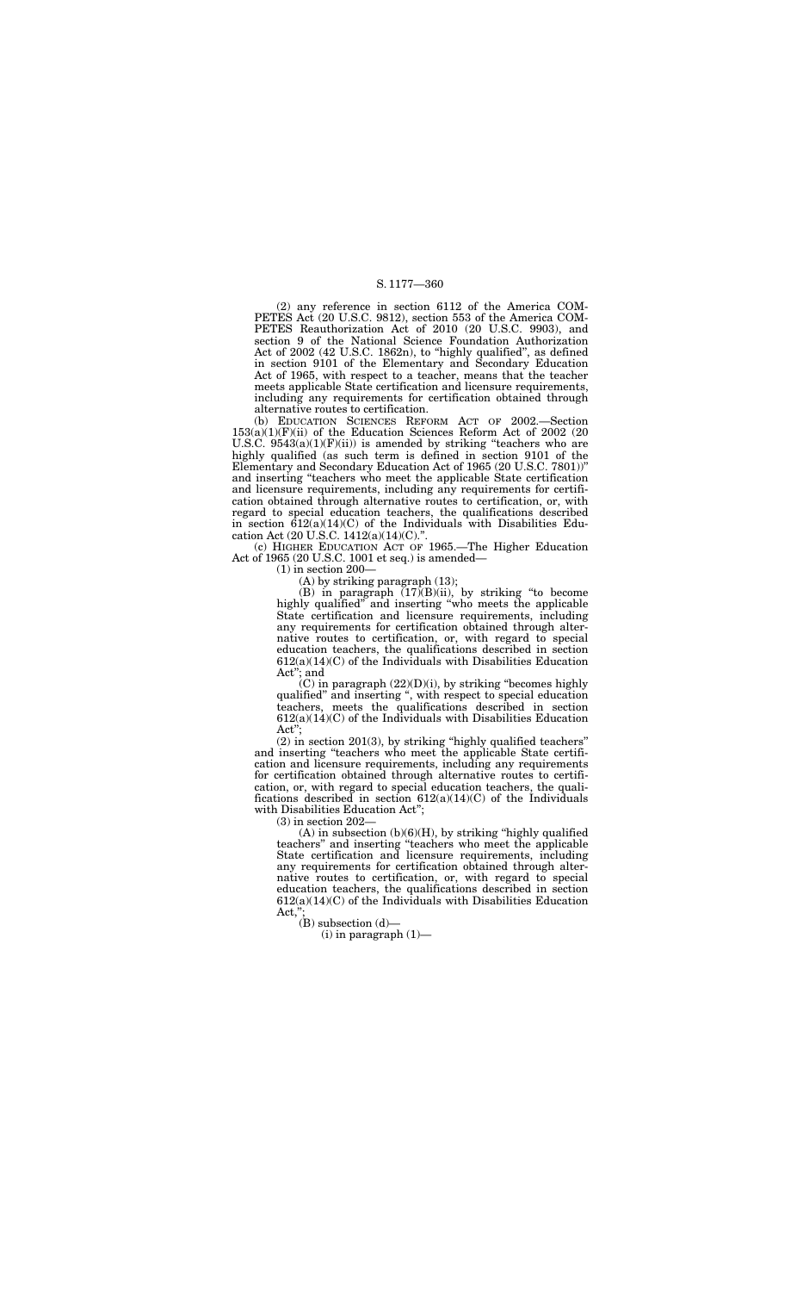(2) any reference in section 6112 of the America COM-PETES Act (20 U.S.C. 9812), section 553 of the America COM-PETES Reauthorization Act of 2010 (20 U.S.C. 9903), and section 9 of the National Science Foundation Authorization Act of 2002 (42 U.S.C. 1862n), to ''highly qualified'', as defined in section 9101 of the Elementary and Secondary Education Act of 1965, with respect to a teacher, means that the teacher meets applicable State certification and licensure requirements, including any requirements for certification obtained through alternative routes to certification.

(b) EDUCATION SCIENCES REFORM ACT OF 2002.—Section 153(a)(1)(F)(ii) of the Education Sciences Reform Act of 2002 (20 U.S.C.  $9543(a)(1)(F)(ii)$  is amended by striking "teachers who are highly qualified (as such term is defined in section 9101 of the Elementary and Secondary Education Act of 1965 (20 U.S.C. 7801))'' and inserting ''teachers who meet the applicable State certification and licensure requirements, including any requirements for certification obtained through alternative routes to certification, or, with regard to special education teachers, the qualifications described in section  $612(a)(14)(C)$  of the Individuals with Disabilities Education Act (20 U.S.C. 1412(a)(14)(C).''.

> $(C)$  in paragraph  $(22)(D)(i)$ , by striking "becomes highly qualified'' and inserting '', with respect to special education teachers, meets the qualifications described in section  $612(a)(14)(C)$  of the Individuals with Disabilities Education Act'';

(c) HIGHER EDUCATION ACT OF 1965.—The Higher Education Act of 1965 (20 U.S.C. 1001 et seq.) is amended—

(1) in section 200—

(A) by striking paragraph (13);

 $(A)$  in subsection  $(b)(6)(H)$ , by striking "highly qualified teachers'' and inserting ''teachers who meet the applicable State certification and licensure requirements, including any requirements for certification obtained through alternative routes to certification, or, with regard to special education teachers, the qualifications described in section  $612(a)(14)(C)$  of the Individuals with Disabilities Education Act,'';

(B) in paragraph (17)(B)(ii), by striking ''to become highly qualified'' and inserting ''who meets the applicable State certification and licensure requirements, including any requirements for certification obtained through alternative routes to certification, or, with regard to special education teachers, the qualifications described in section  $612(a)(14)(C)$  of the Individuals with Disabilities Education Act''; and

(2) in section 201(3), by striking ''highly qualified teachers'' and inserting ''teachers who meet the applicable State certification and licensure requirements, including any requirements for certification obtained through alternative routes to certification, or, with regard to special education teachers, the qualifications described in section 612(a)(14)(C) of the Individuals with Disabilities Education Act'';

(3) in section 202—

(B) subsection (d)—

 $(i)$  in paragraph  $(1)$ —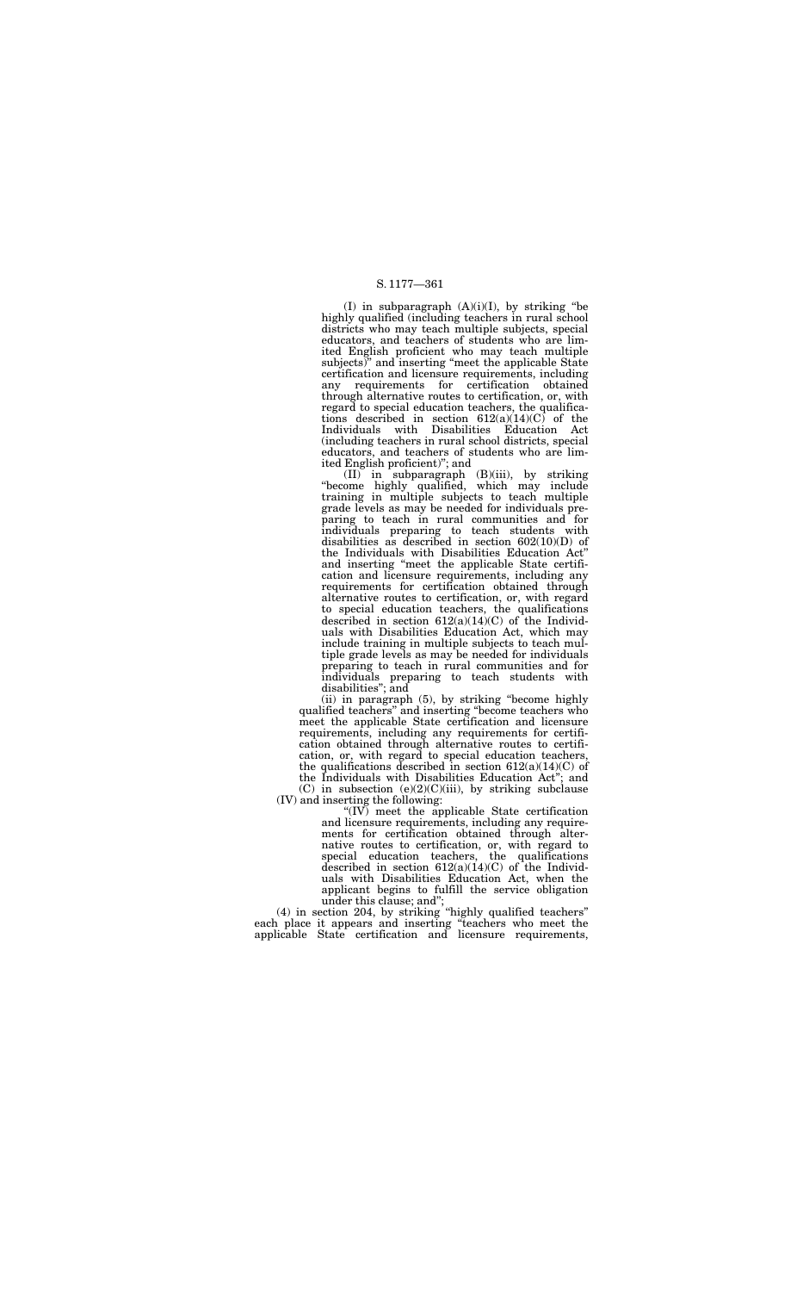(I) in subparagraph  $(A)(i)(I)$ , by striking "be highly qualified (including teachers in rural school districts who may teach multiple subjects, special educators, and teachers of students who are limited English proficient who may teach multiple subjects)'' and inserting ''meet the applicable State certification and licensure requirements, including any requirements for certification obtained through alternative routes to certification, or, with regard to special education teachers, the qualifications described in section  $612(a)(14)(C)$  of the Individuals with Disabilities Education Act (including teachers in rural school districts, special educators, and teachers of students who are limited English proficient)''; and

(ii) in paragraph (5), by striking ''become highly qualified teachers'' and inserting ''become teachers who meet the applicable State certification and licensure requirements, including any requirements for certification obtained through alternative routes to certification, or, with regard to special education teachers, the qualifications described in section  $612(a)(14)(C)$  of the Individuals with Disabilities Education Act''; and (C) in subsection  $(e)(2)(C)(iii)$ , by striking subclause

(II) in subparagraph (B)(iii), by striking ''become highly qualified, which may include training in multiple subjects to teach multiple grade levels as may be needed for individuals preparing to teach in rural communities and for individuals preparing to teach students with disabilities as described in section  $602(10)(D)$  of the Individuals with Disabilities Education Act'' and inserting ''meet the applicable State certification and licensure requirements, including any requirements for certification obtained through alternative routes to certification, or, with regard to special education teachers, the qualifications described in section 612(a)(14)(C) of the Individuals with Disabilities Education Act, which may include training in multiple subjects to teach multiple grade levels as may be needed for individuals preparing to teach in rural communities and for individuals preparing to teach students with disabilities''; and

(IV) and inserting the following:

''(IV) meet the applicable State certification and licensure requirements, including any requirements for certification obtained through alternative routes to certification, or, with regard to special education teachers, the qualifications described in section  $612(a)(14)(C)$  of the Individuals with Disabilities Education Act, when the applicant begins to fulfill the service obligation under this clause; and'';

(4) in section 204, by striking ''highly qualified teachers'' each place it appears and inserting ''teachers who meet the applicable State certification and licensure requirements,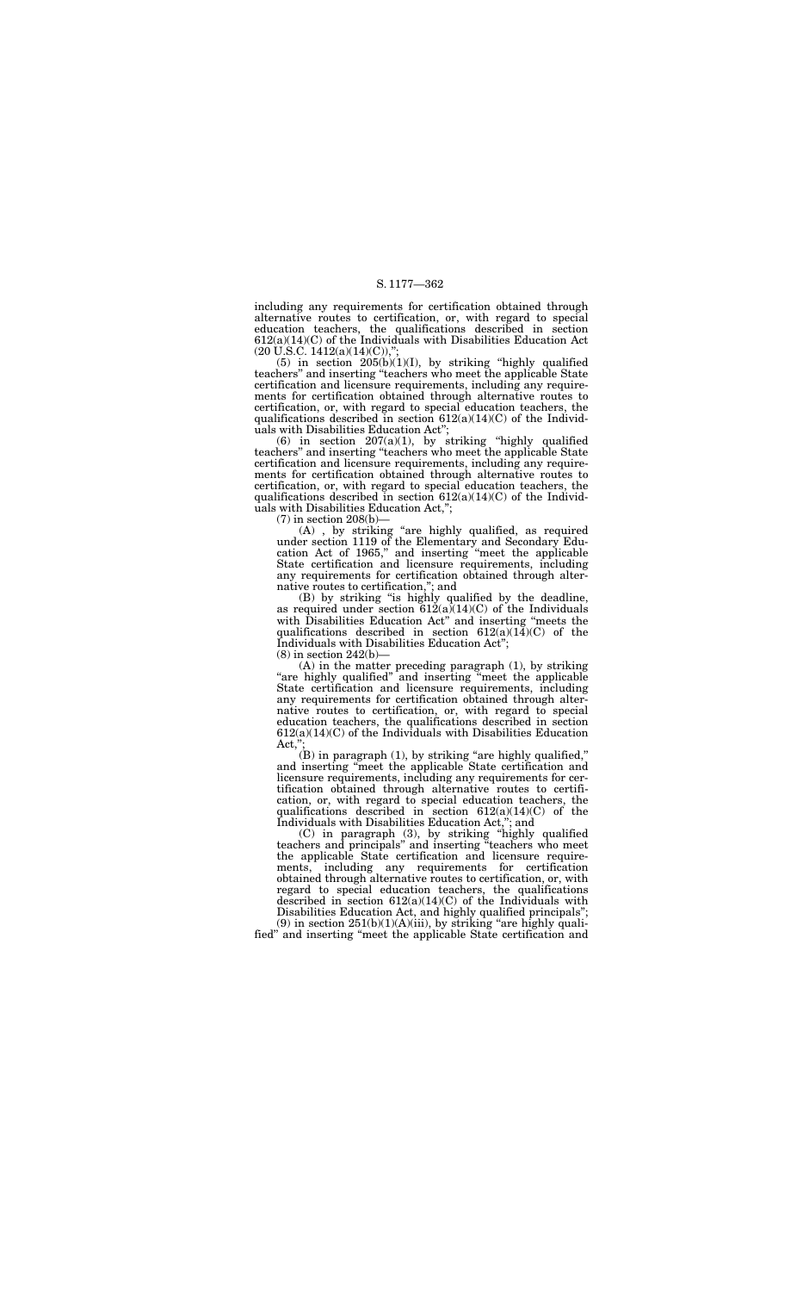including any requirements for certification obtained through alternative routes to certification, or, with regard to special education teachers, the qualifications described in section 612(a)(14)(C) of the Individuals with Disabilities Education Act  $(20 \text{ U.S.C. } 1412(a)(14)(\text{C})),$ "

(5) in section  $205(b)(1)(1)$ , by striking "highly qualified teachers'' and inserting ''teachers who meet the applicable State certification and licensure requirements, including any requirements for certification obtained through alternative routes to certification, or, with regard to special education teachers, the qualifications described in section 612(a)(14)(C) of the Individuals with Disabilities Education Act'';

 $(6)$  in section  $207(a)(1)$ , by striking "highly qualified teachers'' and inserting ''teachers who meet the applicable State certification and licensure requirements, including any requirements for certification obtained through alternative routes to certification, or, with regard to special education teachers, the qualifications described in section  $612(a)(14)(C)$  of the Individuals with Disabilities Education Act,'';

(A) in the matter preceding paragraph (1), by striking "are highly qualified" and inserting "meet the applicable State certification and licensure requirements, including any requirements for certification obtained through alternative routes to certification, or, with regard to special education teachers, the qualifications described in section  $612(a)(14)(C)$  of the Individuals with Disabilities Education Act,

(7) in section 208(b)—

 $(B)$  in paragraph  $(1)$ , by striking "are highly qualified," and inserting ''meet the applicable State certification and licensure requirements, including any requirements for certification obtained through alternative routes to certification, or, with regard to special education teachers, the qualifications described in section  $612(a)(14)(C)$  of the Individuals with Disabilities Education Act,''; and

(A) , by striking ''are highly qualified, as required under section 1119 of the Elementary and Secondary Education Act of 1965,'' and inserting ''meet the applicable State certification and licensure requirements, including any requirements for certification obtained through alternative routes to certification,''; and

 $(9)$  in section  $251(b)(1)(A)(iii)$ , by striking "are highly qualified'' and inserting ''meet the applicable State certification and

(B) by striking ''is highly qualified by the deadline, as required under section  $612(a)(14)(C)$  of the Individuals with Disabilities Education Act'' and inserting ''meets the qualifications described in section  $612(a)(14)(C)$  of the Individuals with Disabilities Education Act'';

 $(8)$  in section 242 $(b)$ 

(C) in paragraph (3), by striking ''highly qualified teachers and principals'' and inserting ''teachers who meet the applicable State certification and licensure requirements, including any requirements for certification obtained through alternative routes to certification, or, with regard to special education teachers, the qualifications described in section  $612(a)(14)(C)$  of the Individuals with Disabilities Education Act, and highly qualified principals'';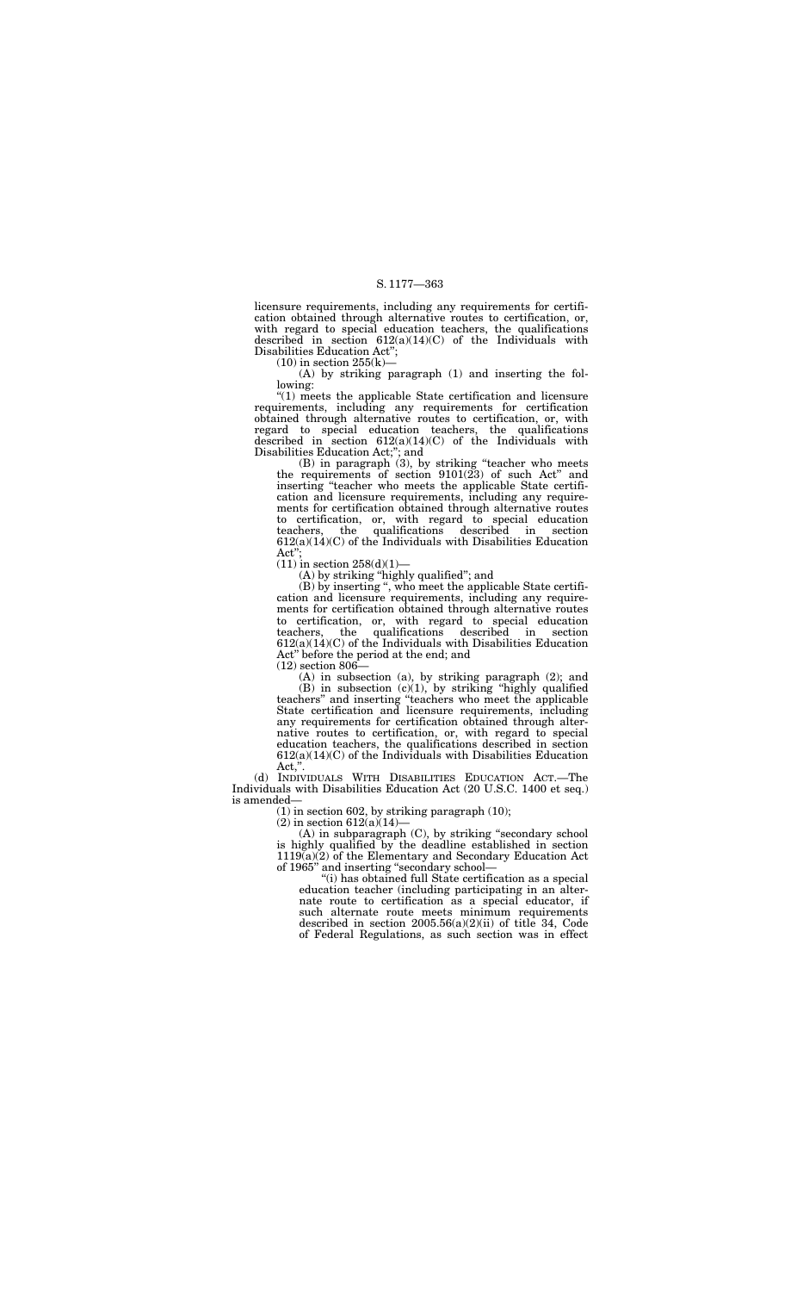licensure requirements, including any requirements for certification obtained through alternative routes to certification, or, with regard to special education teachers, the qualifications described in section 612(a)(14)(C) of the Individuals with Disabilities Education Act'';

 $(10)$  in section 255 $(k)$ 

(A) by striking paragraph (1) and inserting the following:

''(1) meets the applicable State certification and licensure requirements, including any requirements for certification obtained through alternative routes to certification, or, with regard to special education teachers, the qualifications described in section 612(a)(14)(C) of the Individuals with Disabilities Education Act;''; and

(A) in subsection (a), by striking paragraph (2); and  $(B)$  in subsection  $(c)(1)$ , by striking "highly qualified teachers'' and inserting ''teachers who meet the applicable State certification and licensure requirements, including any requirements for certification obtained through alternative routes to certification, or, with regard to special education teachers, the qualifications described in section 612(a)(14)(C) of the Individuals with Disabilities Education Act,

(B) in paragraph (3), by striking ''teacher who meets the requirements of section 9101(23) of such Act'' and inserting "teacher who meets the applicable State certification and licensure requirements, including any requirements for certification obtained through alternative routes to certification, or, with regard to special education teachers, the qualifications described in section  $612(a)(14)(C)$  of the Individuals with Disabilities Education Act'';

 $(11)$  in section 258 $(d)(1)$ 

(A) by striking ''highly qualified''; and

(B) by inserting '', who meet the applicable State certification and licensure requirements, including any requirements for certification obtained through alternative routes to certification, or, with regard to special education teachers, the qualifications described in section  $612(a)(14)(C)$  of the Individuals with Disabilities Education Act'' before the period at the end; and

(12) section 806—

(d) INDIVIDUALS WITH DISABILITIES EDUCATION ACT.—The Individuals with Disabilities Education Act (20 U.S.C. 1400 et seq.) is amended—

(1) in section 602, by striking paragraph (10);

 $(2)$  in section 612(a)(14)–

(A) in subparagraph (C), by striking ''secondary school is highly qualified by the deadline established in section 1119(a)(2) of the Elementary and Secondary Education Act of 1965'' and inserting ''secondary school—

''(i) has obtained full State certification as a special education teacher (including participating in an alternate route to certification as a special educator, if such alternate route meets minimum requirements described in section  $2005.56(a)(2)(ii)$  of title 34, Code of Federal Regulations, as such section was in effect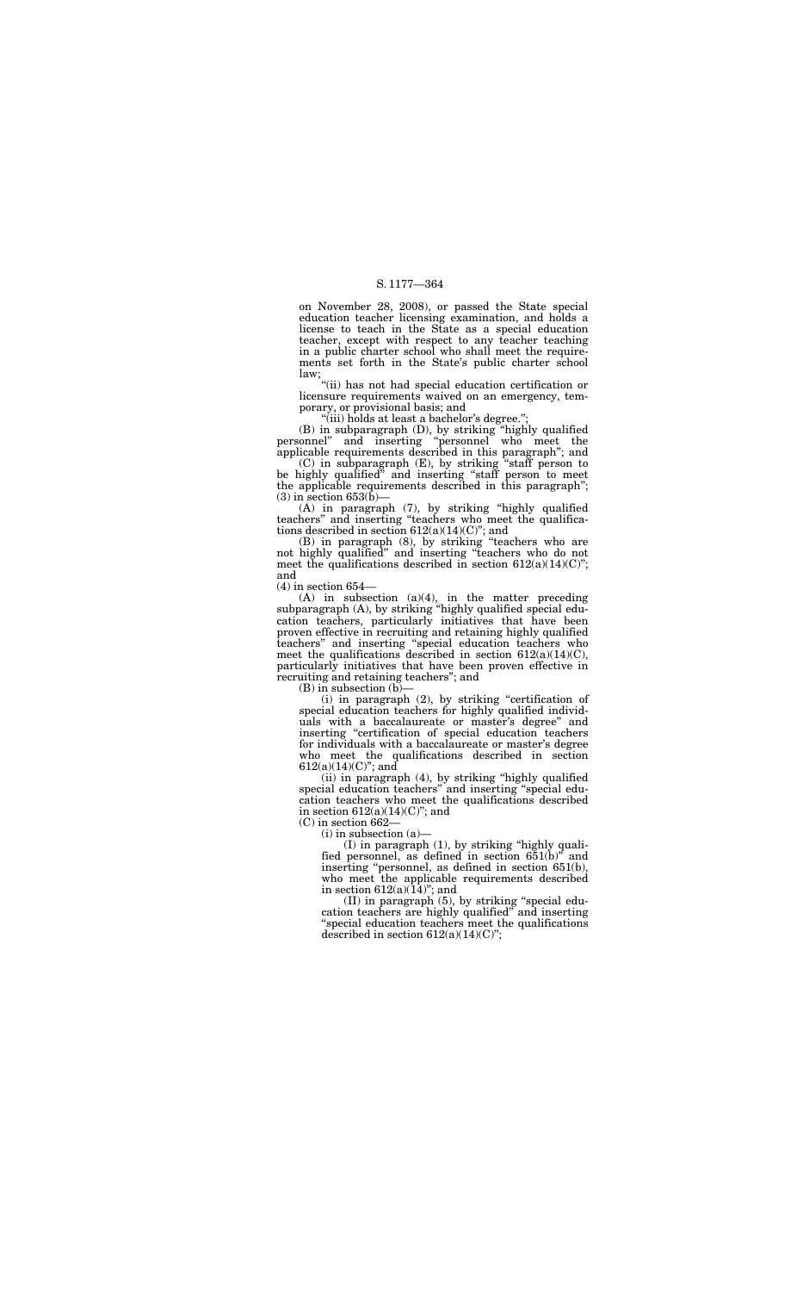on November 28, 2008), or passed the State special education teacher licensing examination, and holds a license to teach in the State as a special education teacher, except with respect to any teacher teaching in a public charter school who shall meet the requirements set forth in the State's public charter school law;

(C) in subparagraph (E), by striking ''staff person to be highly qualified'' and inserting ''staff person to meet the applicable requirements described in this paragraph'';  $(3)$  in section 653 $(b)$ –

''(ii) has not had special education certification or licensure requirements waived on an emergency, temporary, or provisional basis; and

"(iii) holds at least a bachelor's degree."

(A) in paragraph (7), by striking ''highly qualified teachers'' and inserting ''teachers who meet the qualifications described in section  $612(a)(14)(C)$ "; and

(B) in subparagraph (D), by striking ''highly qualified personnel'' and inserting ''personnel who meet the applicable requirements described in this paragraph''; and

(ii) in paragraph (4), by striking ''highly qualified special education teachers'' and inserting ''special education teachers who meet the qualifications described in section  $612(a)(14)(C)$ "; and

(B) in paragraph (8), by striking ''teachers who are not highly qualified'' and inserting ''teachers who do not meet the qualifications described in section  $612(a)(14)(C)$ "; and

> (I) in paragraph (1), by striking ''highly qualified personnel, as defined in section  $651(b)$ " and inserting ''personnel, as defined in section 651(b), who meet the applicable requirements described in section  $612(a)(14)$ "; and

(4) in section 654—

(II) in paragraph (5), by striking ''special education teachers are highly qualified'' and inserting ''special education teachers meet the qualifications described in section  $612(a)(14)(C)$ ";

(A) in subsection (a)(4), in the matter preceding subparagraph (A), by striking ''highly qualified special education teachers, particularly initiatives that have been proven effective in recruiting and retaining highly qualified teachers'' and inserting ''special education teachers who meet the qualifications described in section  $612(a)(14)(C)$ , particularly initiatives that have been proven effective in recruiting and retaining teachers''; and

(B) in subsection (b)—

(i) in paragraph  $(2)$ , by striking "certification of special education teachers for highly qualified individuals with a baccalaureate or master's degree'' and inserting ''certification of special education teachers for individuals with a baccalaureate or master's degree who meet the qualifications described in section 612(a)(14)(C)"; and

(C) in section 662—

(i) in subsection (a)—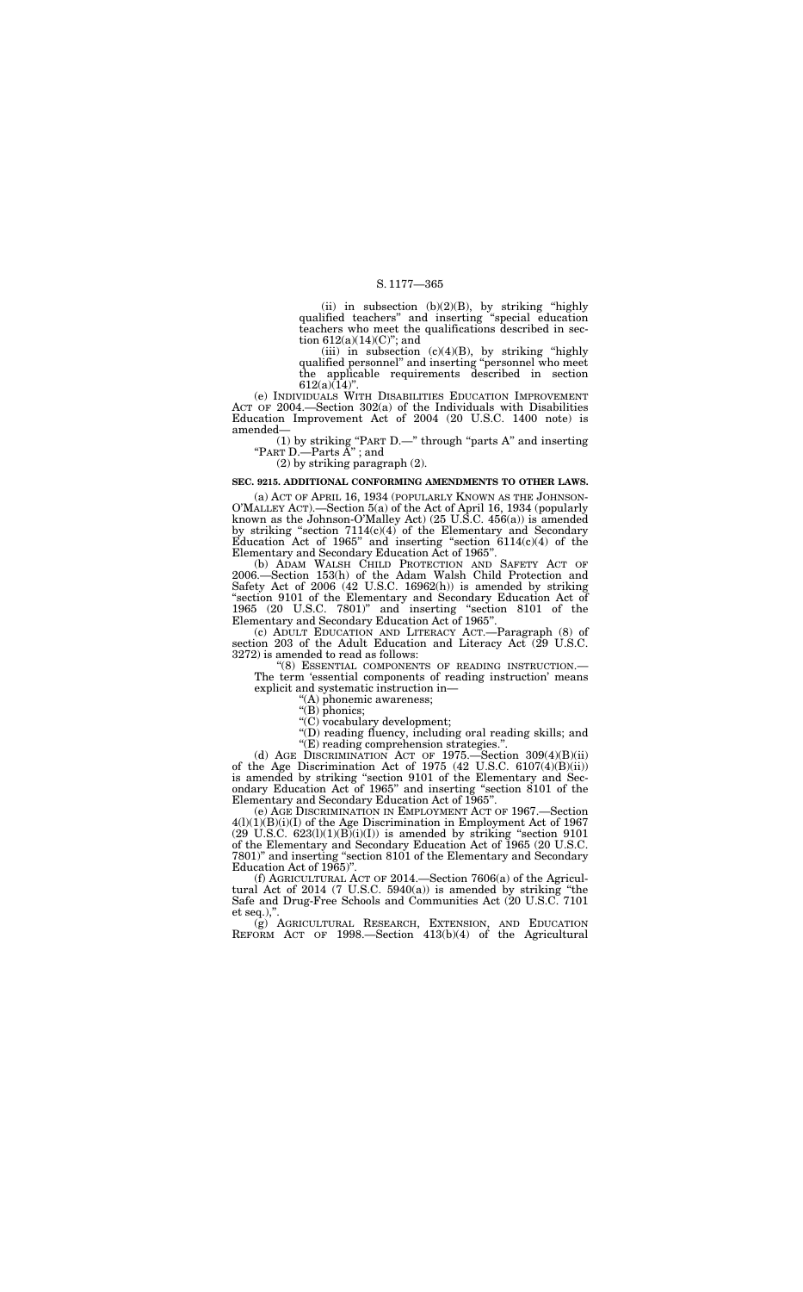(ii) in subsection  $(b)(2)(B)$ , by striking "highly qualified teachers'' and inserting ''special education teachers who meet the qualifications described in section  $612(a)(14)(C)$ "; and

(iii) in subsection  $(c)(4)(B)$ , by striking "highly qualified personnel'' and inserting ''personnel who meet the applicable requirements described in section  $612(a)(14)$ ".

(e) INDIVIDUALS WITH DISABILITIES EDUCATION IMPROVEMENT ACT OF 2004.—Section 302(a) of the Individuals with Disabilities Education Improvement Act of 2004 (20 U.S.C. 1400 note) is amended—

(1) by striking "PART  $D$ —" through "parts A" and inserting "PART  $D$ .—Parts  $\tilde{A}$ "; and

(2) by striking paragraph (2).

#### **SEC. 9215. ADDITIONAL CONFORMING AMENDMENTS TO OTHER LAWS.**

(c) ADULT EDUCATION AND LITERACY ACT.—Paragraph (8) of section 203 of the Adult Education and Literacy Act (29 U.S.C. 3272) is amended to read as follows:<br>"(8) ESSENTIAL COMPONENTS OF READING INSTRUCTION.—

The term 'essential components of reading instruction' means explicit and systematic instruction in—

(a) ACT OF APRIL 16, 1934 (POPULARLY KNOWN AS THE JOHNSON- O'MALLEY ACT).—Section 5(a) of the Act of April 16, 1934 (popularly known as the Johnson-O'Malley Act) (25 U.S.C. 456(a)) is amended by striking "section  $7114(c)(4)$  of the Elementary and Secondary Education Act of 1965" and inserting "section  $6114(c)(4)$  of the Elementary and Secondary Education Act of 1965''.

(b) ADAM WALSH CHILD PROTECTION AND SAFETY ACT OF 2006.—Section 153(h) of the Adam Walsh Child Protection and Safety Act of 2006 (42 U.S.C. 16962(h)) is amended by striking ''section 9101 of the Elementary and Secondary Education Act of 1965 (20 U.S.C. 7801)'' and inserting ''section 8101 of the Elementary and Secondary Education Act of 1965''.

(f) AGRICULTURAL ACT OF 2014.—Section 7606(a) of the Agricultural Act of 2014 (7 U.S.C. 5940(a)) is amended by striking ''the Safe and Drug-Free Schools and Communities Act (20 U.S.C. 7101  $et seq.$ ),".

''(A) phonemic awareness;

"(B) phonics;

''(C) vocabulary development;

''(D) reading fluency, including oral reading skills; and ''(E) reading comprehension strategies.''.

(d) AGE DISCRIMINATION ACT OF 1975.—Section 309(4)(B)(ii) of the Age Discrimination Act of 1975 (42 U.S.C. 6107(4)(B)(ii)) is amended by striking ''section 9101 of the Elementary and Secondary Education Act of 1965'' and inserting ''section 8101 of the Elementary and Secondary Education Act of 1965''.

(e) AGE DISCRIMINATION IN EMPLOYMENT ACT OF 1967.—Section  $4(l)(1)(B)(i)(I)$  of the Age Discrimination in Employment Act of 1967  $(29 \text{ U.S.C. } 623(l)(1)(B)(i)(I))$  is amended by striking "section 9101 of the Elementary and Secondary Education Act of 1965 (20 U.S.C. 7801)'' and inserting ''section 8101 of the Elementary and Secondary Education Act of 1965)''.

(g) AGRICULTURAL RESEARCH, EXTENSION, AND EDUCATION REFORM ACT OF 1998.—Section 413(b)(4) of the Agricultural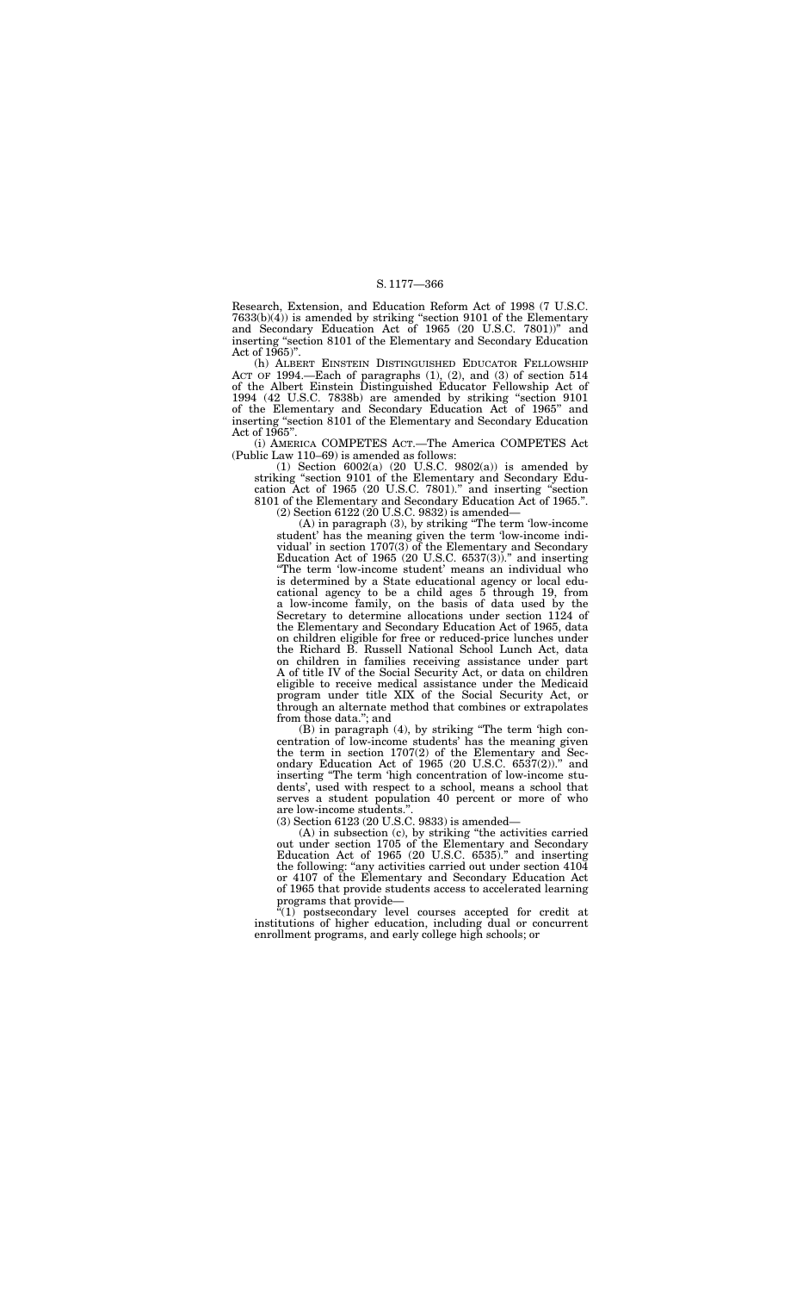Research, Extension, and Education Reform Act of 1998 (7 U.S.C. 7633(b)(4)) is amended by striking ''section 9101 of the Elementary and Secondary Education Act of 1965 (20 U.S.C. 7801))" and inserting "section 8101 of the Elementary and Secondary Education Act of 1965)".

(h) ALBERT EINSTEIN DISTINGUISHED EDUCATOR FELLOWSHIP ACT OF 1994.—Each of paragraphs (1), (2), and (3) of section 514 of the Albert Einstein Distinguished Educator Fellowship Act of 1994 (42 U.S.C. 7838b) are amended by striking ''section 9101 of the Elementary and Secondary Education Act of 1965'' and inserting "section 8101 of the Elementary and Secondary Education Act of 1965''.

(i) AMERICA COMPETES ACT.—The America COMPETES Act (Public Law 110–69) is amended as follows:

(1) Section 6002(a) (20 U.S.C. 9802(a)) is amended by striking ''section 9101 of the Elementary and Secondary Education Act of 1965 (20 U.S.C. 7801).'' and inserting ''section 8101 of the Elementary and Secondary Education Act of 1965.''.

(B) in paragraph (4), by striking ''The term 'high concentration of low-income students' has the meaning given the term in section 1707(2) of the Elementary and Secondary Education Act of 1965 (20 U.S.C.  $6537(2)$ )." and inserting "The term 'high concentration of low-income students', used with respect to a school, means a school that serves a student population 40 percent or more of who are low-income students.'

(2) Section 6122 (20 U.S.C. 9832) is amended—

 $\sqrt[n]{(1)}$  postsecondary level courses accepted for credit at institutions of higher education, including dual or concurrent enrollment programs, and early college high schools; or

(A) in paragraph (3), by striking ''The term 'low-income student' has the meaning given the term 'low-income individual' in section 1707(3) of the Elementary and Secondary Education Act of  $1965$  (20 U.S.C.  $6537(3)$ )." and inserting ''The term 'low-income student' means an individual who is determined by a State educational agency or local educational agency to be a child ages 5 through 19, from a low-income family, on the basis of data used by the Secretary to determine allocations under section 1124 of the Elementary and Secondary Education Act of 1965, data on children eligible for free or reduced-price lunches under the Richard B. Russell National School Lunch Act, data on children in families receiving assistance under part A of title IV of the Social Security Act, or data on children eligible to receive medical assistance under the Medicaid program under title XIX of the Social Security Act, or through an alternate method that combines or extrapolates from those data.''; and

(3) Section 6123 (20 U.S.C. 9833) is amended—

(A) in subsection (c), by striking ''the activities carried out under section 1705 of the Elementary and Secondary Education Act of 1965 (20 U.S.C. 6535).'' and inserting the following: "any activities carried out under section  $4104$ or 4107 of the Elementary and Secondary Education Act of 1965 that provide students access to accelerated learning programs that provide—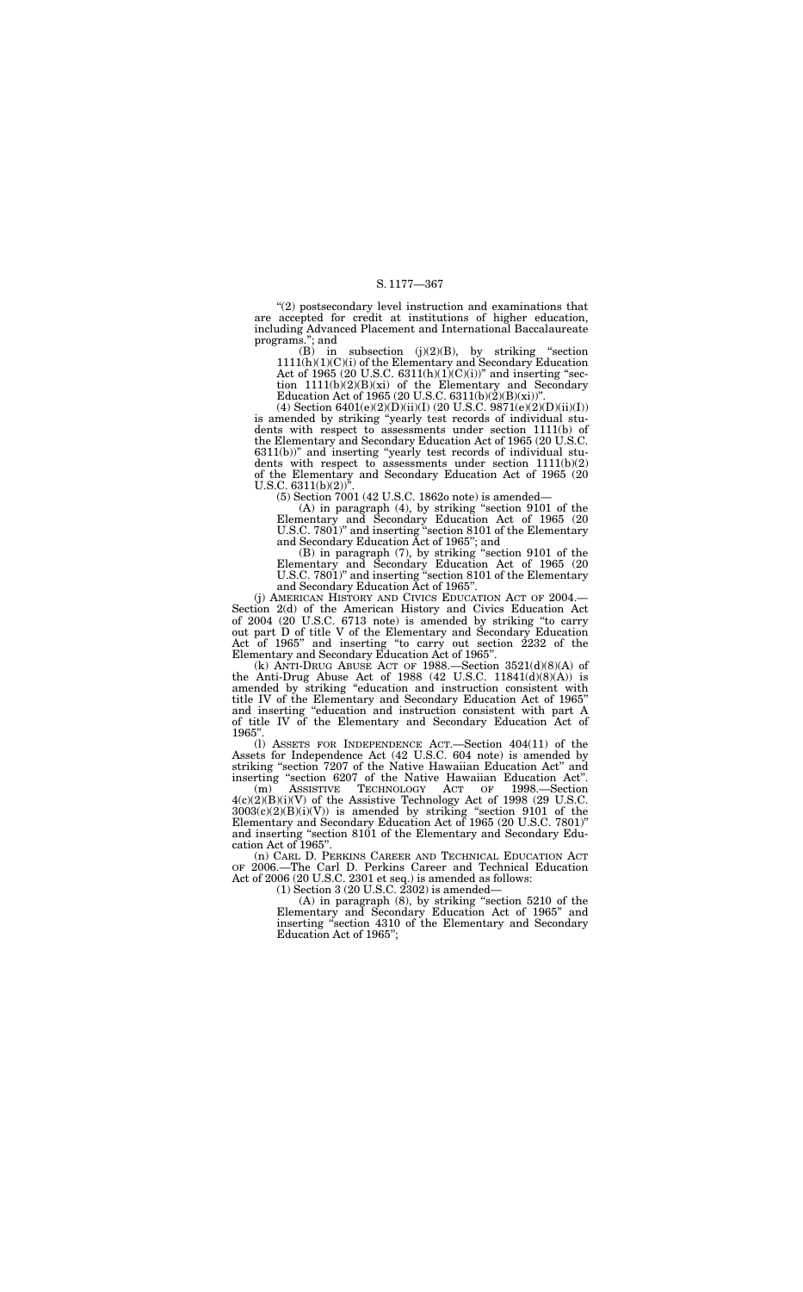(B) in subsection (j)(2)(B), by striking ''section 1111(h)(1)(C)(i) of the Elementary and Secondary Education Act of 1965 (20 U.S.C.  $6311(h)(1)(C)(i)$ )" and inserting "section 1111(b)(2)(B)(xi) of the Elementary and Secondary Education Act of 1965 (20 U.S.C. 6311(b)(2)(B)(xi))".

''(2) postsecondary level instruction and examinations that are accepted for credit at institutions of higher education, including Advanced Placement and International Baccalaureate programs.''; and

(4) Section 6401(e)(2)(D)(ii)(I) (20 U.S.C. 9871(e)(2)(D)(ii)(I)) is amended by striking ''yearly test records of individual students with respect to assessments under section 1111(b) of the Elementary and Secondary Education Act of 1965 (20 U.S.C. 6311(b))'' and inserting ''yearly test records of individual students with respect to assessments under section  $1111(b)(2)$ of the Elementary and Secondary Education Act of 1965 (20 U.S.C.  $6311(b)(2)$ <sup>"</sup>.

(5) Section 7001 (42 U.S.C. 1862o note) is amended—

(l) ASSETS FOR INDEPENDENCE ACT.—Section 404(11) of the Assets for Independence Act (42 U.S.C. 604 note) is amended by striking "section 7207 of the Native Hawaiian Education Act" and inserting "section 6207 of the Native Hawaiian Education Act".<br>
(m) ASSISTIVE TECHNOLOGY ACT OF 1998.—Section

(A) in paragraph (4), by striking ''section 9101 of the Elementary and Secondary Education Act of 1965 (20 U.S.C. 7801)'' and inserting ''section 8101 of the Elementary and Secondary Education Act of 1965''; and

(B) in paragraph (7), by striking ''section 9101 of the Elementary and Secondary Education Act of 1965 (20 U.S.C. 7801)'' and inserting ''section 8101 of the Elementary and Secondary Education Act of 1965''.

 $(m)$  ASSISTIVE TECHNOLOGY ACT  $4(c)(2)(B)(i)(V)$  of the Assistive Technology Act of 1998 (29 U.S.C.  $3003(c)(2)(B)(i)(V)$  is amended by striking "section 9101 of the Elementary and Secondary Education Act of 1965 (20 U.S.C. 7801)'' and inserting ''section 8101 of the Elementary and Secondary Education Act of 1965''.

(j) AMERICAN HISTORY AND CIVICS EDUCATION ACT OF 2004.— Section 2(d) of the American History and Civics Education Act of 2004 (20 U.S.C. 6713 note) is amended by striking ''to carry out part D of title V of the Elementary and Secondary Education Act of 1965" and inserting "to carry out section 2232 of the Elementary and Secondary Education Act of 1965''.

(k) ANTI-DRUG ABUSE ACT OF  $1988$ .—Section  $3521(d)(8)(A)$  of the Anti-Drug Abuse Act of 1988 (42 U.S.C. 11841(d)(8)(A)) is amended by striking ''education and instruction consistent with title IV of the Elementary and Secondary Education Act of 1965'' and inserting "education and instruction consistent with part A of title IV of the Elementary and Secondary Education Act of 1965'

(n) CARL D. PERKINS CAREER AND TECHNICAL EDUCATION ACT OF 2006.—The Carl D. Perkins Career and Technical Education Act of 2006 (20 U.S.C. 2301 et seq.) is amended as follows:

(1) Section 3 (20 U.S.C. 2302) is amended—

(A) in paragraph (8), by striking ''section 5210 of the Elementary and Secondary Education Act of 1965'' and inserting "section 4310 of the Elementary and Secondary Education Act of 1965'';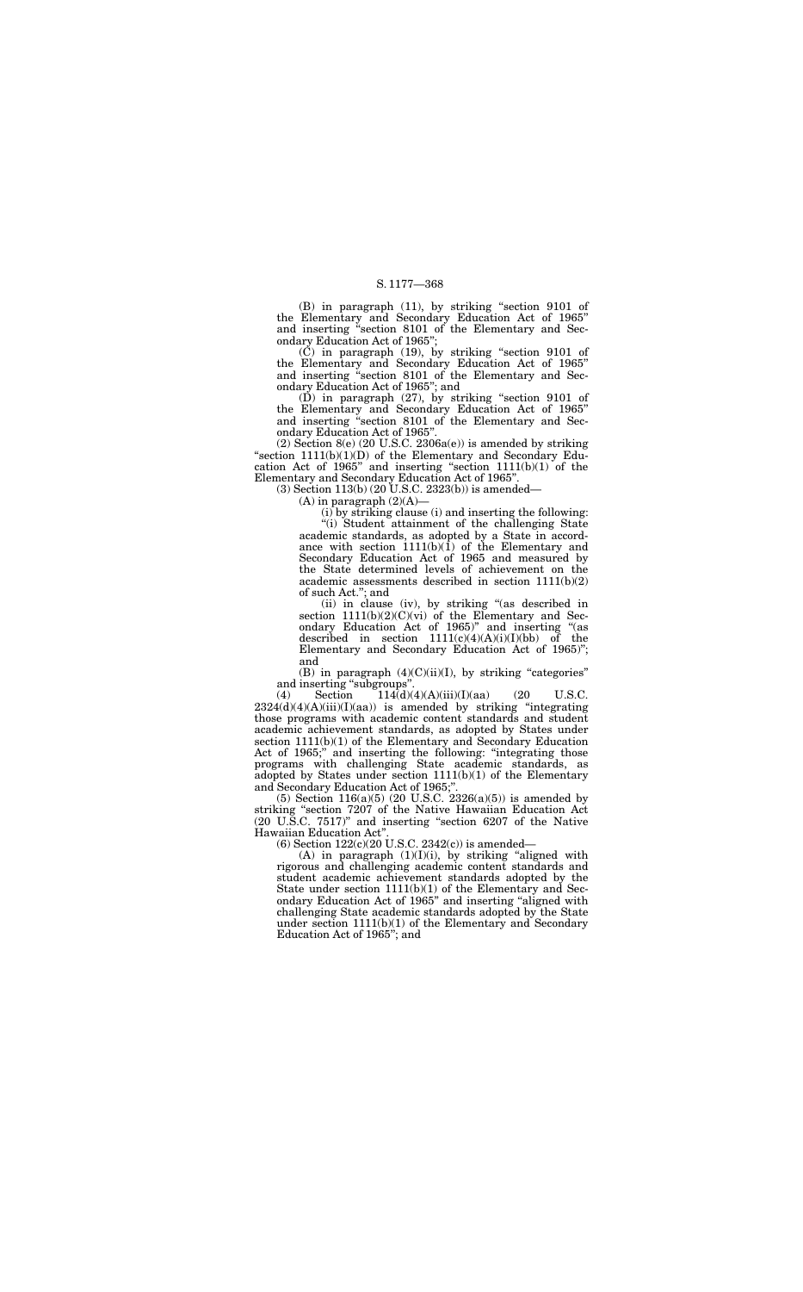(B) in paragraph (11), by striking "section 9101 of the Elementary and Secondary Education Act of 1965'' and inserting ''section 8101 of the Elementary and Secondary Education Act of 1965'';

 $($ C $)$  in paragraph  $(19)$ , by striking "section 9101 of the Elementary and Secondary Education Act of 1965'' and inserting ''section 8101 of the Elementary and Secondary Education Act of 1965''; and

 $(D)$  in paragraph  $(27)$ , by striking "section 9101 of the Elementary and Secondary Education Act of 1965'' and inserting ''section 8101 of the Elementary and Secondary Education Act of 1965''.

(2) Section  $8(e)$  (20 U.S.C. 2306a $(e)$ ) is amended by striking "section  $1111(b)(1)(D)$  of the Elementary and Secondary Education Act of 1965" and inserting "section  $1111(b)(1)$  of the Elementary and Secondary Education Act of 1965''.

(B) in paragraph  $(4)(C)(ii)(I)$ , by striking "categories" and inserting ''subgroups''.

(4) Section  $114\text{d}(d)(4)(A)(iii)(I)(aa)$  (20 U.S.C.  $2324(d)(4)(A)(iii)(I)(aa)$  is amended by striking "integrating those programs with academic content standards and student academic achievement standards, as adopted by States under section 1111(b)(1) of the Elementary and Secondary Education Act of 1965;" and inserting the following: "integrating those programs with challenging State academic standards, as adopted by States under section  $1111(b)(1)$  of the Elementary and Secondary Education Act of 1965;

(3) Section 113(b) (20 U.S.C. 2323(b)) is amended—

 $(A)$  in paragraph  $(2)(A)$ —

(i) by striking clause (i) and inserting the following: ''(i) Student attainment of the challenging State academic standards, as adopted by a State in accordance with section 1111(b)(1) of the Elementary and Secondary Education Act of 1965 and measured by the State determined levels of achievement on the academic assessments described in section  $1111(b)(2)$ of such Act.''; and

(5) Section  $116(a)(5)$  (20 U.S.C.  $2326(a)(5)$ ) is amended by striking ''section 7207 of the Native Hawaiian Education Act (20 U.S.C. 7517)'' and inserting ''section 6207 of the Native Hawaiian Education Act''.

 $(6)$  Section  $122(c)(20$  U.S.C.  $2342(c)$  is amended—

(A) in paragraph  $(1)(I)(i)$ , by striking "aligned with rigorous and challenging academic content standards and student academic achievement standards adopted by the State under section 1111(b)(1) of the Elementary and Secondary Education Act of 1965'' and inserting ''aligned with challenging State academic standards adopted by the State under section 1111(b)(1) of the Elementary and Secondary Education Act of 1965''; and

(ii) in clause (iv), by striking ''(as described in section  $1111(b)(2)(C)(vi)$  of the Elementary and Secondary Education Act of 1965)" and inserting "(as described in section  $1111(c)(4)(A)(i)(I)(bb)$  of the Elementary and Secondary Education Act of 1965)''; and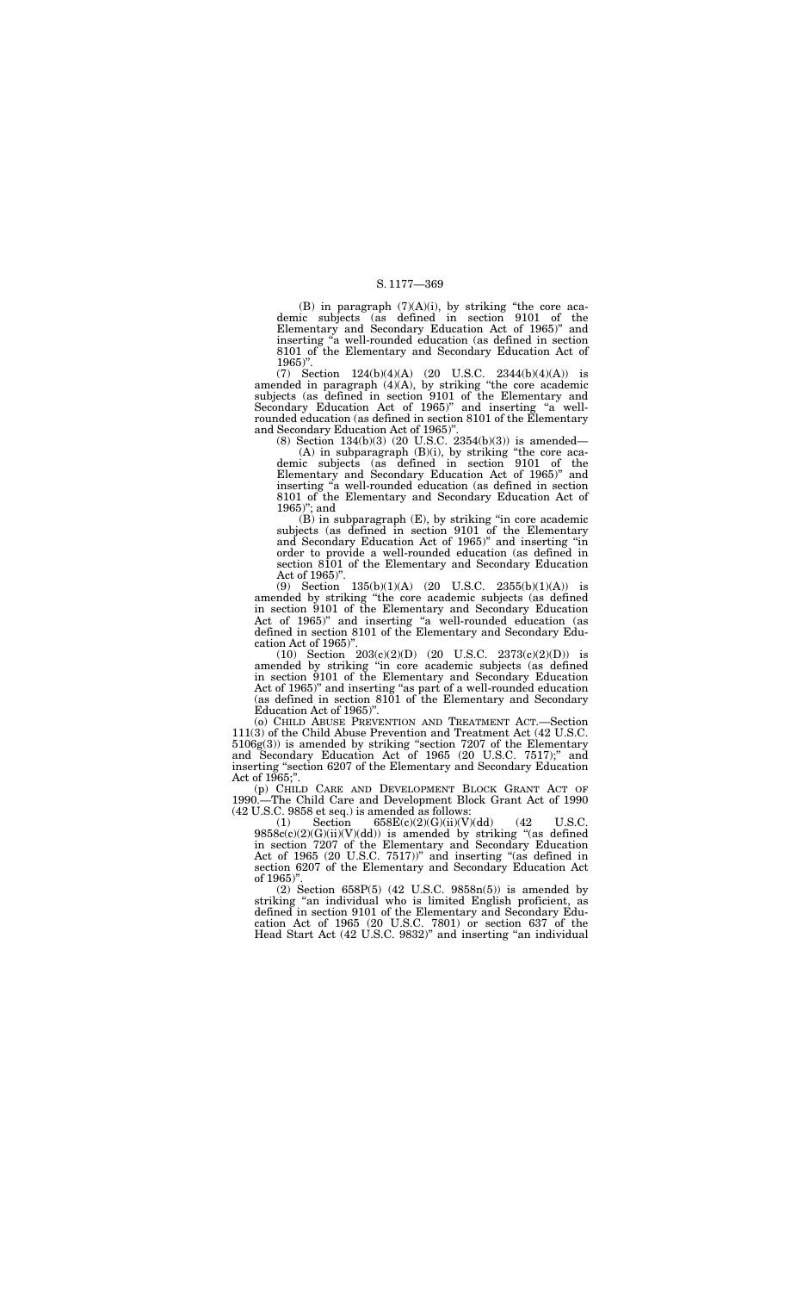$(B)$  in paragraph  $(7)(A)(i)$ , by striking "the core academic subjects (as defined in section 9101 of the Elementary and Secondary Education Act of 1965)'' and inserting ''a well-rounded education (as defined in section 8101 of the Elementary and Secondary Education Act of  $1965$ ".

(7) Section 124(b)(4)(A) (20 U.S.C. 2344(b)(4)(A)) is amended in paragraph  $(4)(A)$ , by striking "the core academic subjects (as defined in section 9101 of the Elementary and Secondary Education Act of 1965)" and inserting "a wellrounded education (as defined in section 8101 of the Elementary and Secondary Education Act of 1965)''.

(8) Section 134(b)(3) (20 U.S.C. 2354(b)(3)) is amended—  $(A)$  in subparagraph  $(B)(i)$ , by striking "the core academic subjects (as defined in section 9101 of the Elementary and Secondary Education Act of 1965)'' and inserting "a well-rounded education (as defined in section 8101 of the Elementary and Secondary Education Act of 1965)''; and

(B) in subparagraph (E), by striking ''in core academic subjects (as defined in section 9101 of the Elementary and Secondary Education Act of 1965)'' and inserting ''in order to provide a well-rounded education (as defined in section 8101 of the Elementary and Secondary Education Act of 1965)''.

(1) Section  $658E(c)(2)(G)(ii)(V)(dd)$  (42 U.S.C.  $9858c(c)(2)(G)(ii)(V)(dd))$  is amended by striking "(as defined in section 7207 of the Elementary and Secondary Education Act of 1965 (20 U.S.C. 7517))" and inserting "(as defined in section 6207 of the Elementary and Secondary Education Act of 1965)''.

(9) Section 135(b)(1)(A) (20 U.S.C. 2355(b)(1)(A)) is amended by striking ''the core academic subjects (as defined in section 9101 of the Elementary and Secondary Education Act of 1965)'' and inserting ''a well-rounded education (as defined in section 8101 of the Elementary and Secondary Education Act of 1965)''.

(10) Section 203(c)(2)(D) (20 U.S.C. 2373(c)(2)(D)) is amended by striking ''in core academic subjects (as defined in section 9101 of the Elementary and Secondary Education Act of 1965)" and inserting "as part of a well-rounded education (as defined in section 8101 of the Elementary and Secondary Education Act of 1965)''.

(o) CHILD ABUSE PREVENTION AND TREATMENT ACT.—Section 111(3) of the Child Abuse Prevention and Treatment Act (42 U.S.C. 5106g(3)) is amended by striking ''section 7207 of the Elementary and Secondary Education Act of 1965 (20 U.S.C. 7517);" and inserting "section 6207 of the Elementary and Secondary Education Act of 1965;''.

(p) CHILD CARE AND DEVELOPMENT BLOCK GRANT ACT OF 1990.—The Child Care and Development Block Grant Act of 1990 (42 U.S.C. 9858 et seq.) is amended as follows:

(2) Section 658P(5) (42 U.S.C. 9858n(5)) is amended by striking "an individual who is limited English proficient, as defined in section 9101 of the Elementary and Secondary Education Act of 1965 (20 U.S.C. 7801) or section 637 of the Head Start Act (42 U.S.C. 9832)'' and inserting ''an individual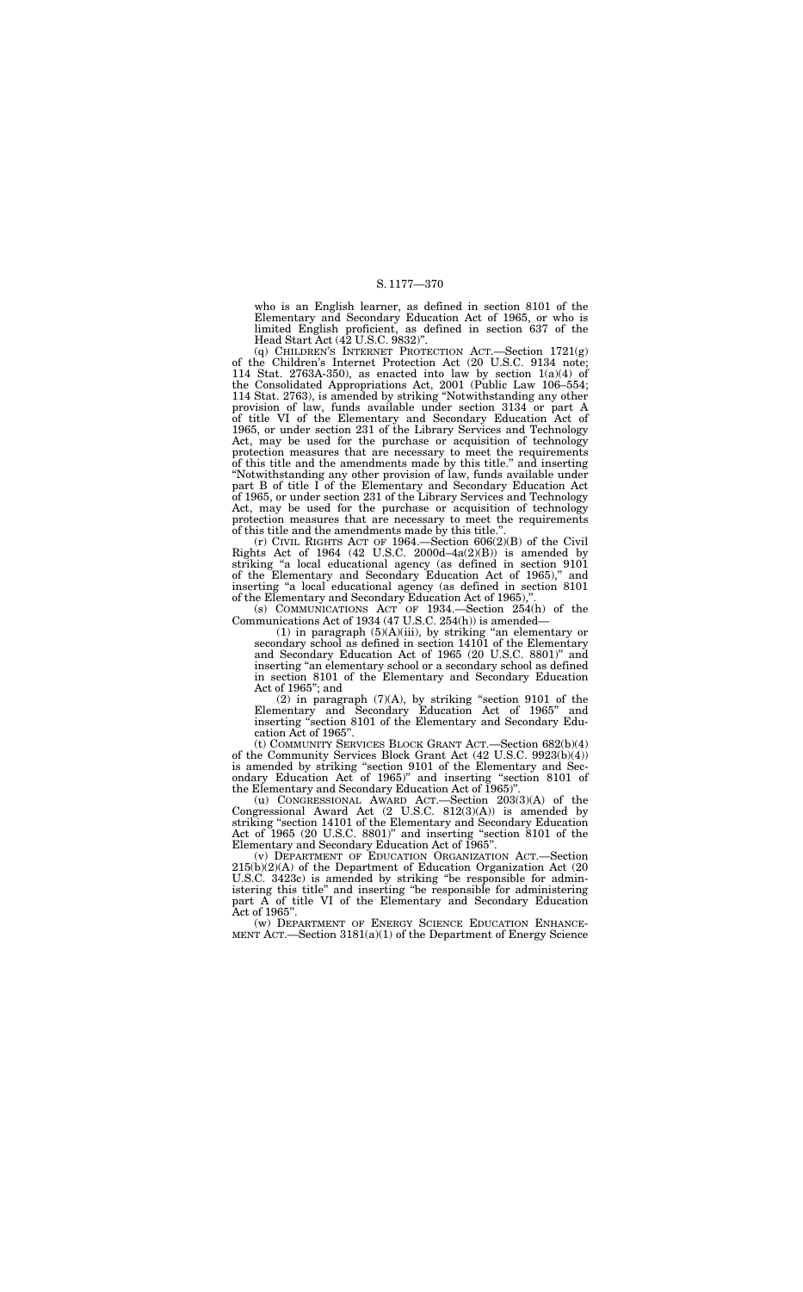(q) CHILDREN'S INTERNET PROTECTION ACT.—Section 1721(g) of the Children's Internet Protection Act (20 U.S.C. 9134 note; 114 Stat. 2763A-350), as enacted into law by section  $1(a)(4)$  of the Consolidated Appropriations Act, 2001 (Public Law 106–554; 114 Stat. 2763), is amended by striking ''Notwithstanding any other provision of law, funds available under section 3134 or part A of title VI of the Elementary and Secondary Education Act of 1965, or under section 231 of the Library Services and Technology Act, may be used for the purchase or acquisition of technology protection measures that are necessary to meet the requirements of this title and the amendments made by this title.'' and inserting ''Notwithstanding any other provision of law, funds available under part B of title I of the Elementary and Secondary Education Act of 1965, or under section 231 of the Library Services and Technology Act, may be used for the purchase or acquisition of technology protection measures that are necessary to meet the requirements of this title and the amendments made by this title.

who is an English learner, as defined in section 8101 of the Elementary and Secondary Education Act of 1965, or who is limited English proficient, as defined in section 637 of the Head Start Act (42 U.S.C. 9832)''.

(r) CIVIL RIGHTS ACT OF 1964.—Section 606(2)(B) of the Civil Rights Act of 1964 (42 U.S.C. 2000d-4a $(2)(B)$ ) is amended by striking "a local educational agency (as defined in section 9101) of the Elementary and Secondary Education Act of 1965)," and inserting ''a local educational agency (as defined in section 8101 of the Elementary and Secondary Education Act of 1965),

(s) COMMUNICATIONS  $ACT$  OF 1934.—Section  $254(h)$  of the Communications Act of 1934 (47 U.S.C. 254(h)) is amended—

 $(1)$  in paragraph  $(5)(A)(iii)$ , by striking "an elementary or secondary school as defined in section 14101 of the Elementary and Secondary Education Act of 1965 (20 U.S.C. 8801)'' and inserting "an elementary school or a secondary school as defined in section 8101 of the Elementary and Secondary Education Act of 1965''; and

(t) COMMUNITY SERVICES BLOCK GRANT ACT.—Section 682(b)(4) of the Community Services Block Grant Act (42 U.S.C. 9923(b)(4)) is amended by striking ''section 9101 of the Elementary and Secondary Education Act of 1965)'' and inserting ''section 8101 of the Elementary and Secondary Education Act of 1965)"

(2) in paragraph (7)(A), by striking ''section 9101 of the Elementary and Secondary Education Act of 1965'' and inserting ''section 8101 of the Elementary and Secondary Education Act of 1965''.

(u) CONGRESSIONAL AWARD ACT.—Section 203(3)(A) of the Congressional Award Act (2 U.S.C. 812(3)(A)) is amended by striking "section 14101 of the Elementary and Secondary Education Act of 1965 (20 U.S.C. 8801)'' and inserting ''section 8101 of the Elementary and Secondary Education Act of 1965''.

(v) DEPARTMENT OF EDUCATION ORGANIZATION ACT.—Section 215(b)(2)(A) of the Department of Education Organization Act (20 U.S.C. 3423c) is amended by striking ''be responsible for administering this title'' and inserting ''be responsible for administering part A of title VI of the Elementary and Secondary Education Act of 1965''.

(w) DEPARTMENT OF ENERGY SCIENCE EDUCATION ENHANCE- MENT ACT.—Section 3181(a)(1) of the Department of Energy Science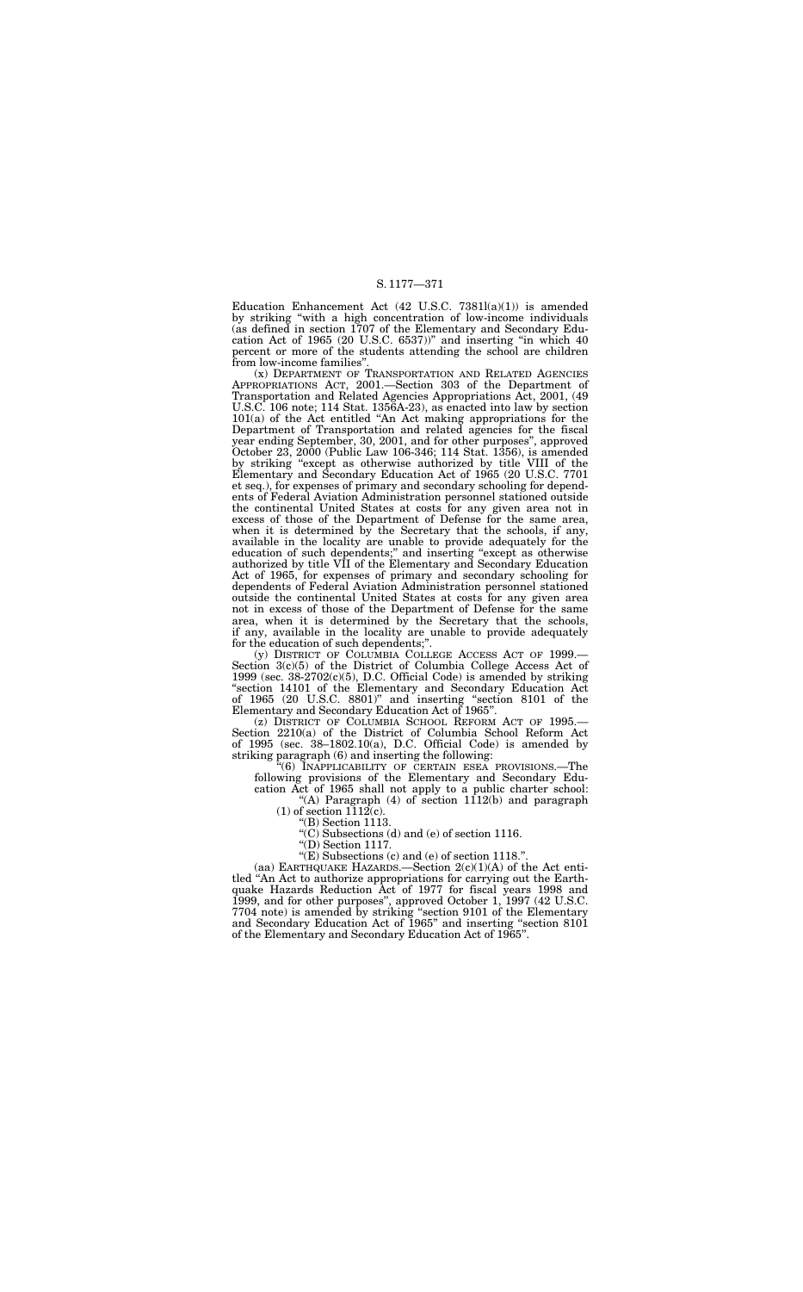Education Enhancement Act  $(42 \text{ U.S.C. } 7381l(a)(1))$  is amended by striking ''with a high concentration of low-income individuals (as defined in section 1707 of the Elementary and Secondary Education Act of  $1965$  (20 U.S.C.  $6537$ ))" and inserting "in which  $40$ percent or more of the students attending the school are children from low-income families'

(x) DEPARTMENT OF TRANSPORTATION AND RELATED AGENCIES APPROPRIATIONS ACT, 2001.—Section 303 of the Department of Transportation and Related Agencies Appropriations Act, 2001, (49 U.S.C. 106 note; 114 Stat. 1356A-23), as enacted into law by section 101(a) of the Act entitled ''An Act making appropriations for the Department of Transportation and related agencies for the fiscal year ending September, 30, 2001, and for other purposes'', approved October 23, 2000 (Public Law 106-346; 114 Stat. 1356), is amended by striking ''except as otherwise authorized by title VIII of the Elementary and Secondary Education Act of 1965 (20 U.S.C. 7701 et seq.), for expenses of primary and secondary schooling for dependents of Federal Aviation Administration personnel stationed outside the continental United States at costs for any given area not in excess of those of the Department of Defense for the same area, when it is determined by the Secretary that the schools, if any, available in the locality are unable to provide adequately for the education of such dependents;" and inserting "except as otherwise authorized by title VII of the Elementary and Secondary Education Act of 1965, for expenses of primary and secondary schooling for dependents of Federal Aviation Administration personnel stationed outside the continental United States at costs for any given area not in excess of those of the Department of Defense for the same area, when it is determined by the Secretary that the schools, if any, available in the locality are unable to provide adequately for the education of such dependents;"

(aa) EARTHQUAKE HAZARDS.—Section  $2(c)(1)(A)$  of the Act entitled ''An Act to authorize appropriations for carrying out the Earthquake Hazards Reduction Act of 1977 for fiscal years 1998 and 1999, and for other purposes'', approved October 1, 1997 (42 U.S.C. 7704 note) is amended by striking ''section 9101 of the Elementary and Secondary Education Act of 1965'' and inserting ''section 8101 of the Elementary and Secondary Education Act of 1965''.

(y) DISTRICT OF COLUMBIA COLLEGE ACCESS ACT OF 1999.— Section 3(c)(5) of the District of Columbia College Access Act of 1999 (sec. 38-2702(c)(5), D.C. Official Code) is amended by striking ''section 14101 of the Elementary and Secondary Education Act of 1965 (20 U.S.C. 8801)'' and inserting ''section 8101 of the Elementary and Secondary Education Act of 1965''.

(z) DISTRICT OF COLUMBIA SCHOOL REFORM ACT OF 1995.— Section 2210(a) of the District of Columbia School Reform Act of 1995 (sec. 38–1802.10(a), D.C. Official Code) is amended by striking paragraph (6) and inserting the following:

''(6) INAPPLICABILITY OF CERTAIN ESEA PROVISIONS.—The following provisions of the Elementary and Secondary Education Act of 1965 shall not apply to a public charter school:

"(A) Paragraph  $(4)$  of section 1112(b) and paragraph  $(1)$  of section  $1112(c)$ .

''(B) Section 1113.

 $\sqrt[\alpha]{C}$ ) Subsections (d) and (e) of section 1116.

''(D) Section 1117.

"(E) Subsections (c) and (e) of section 1118."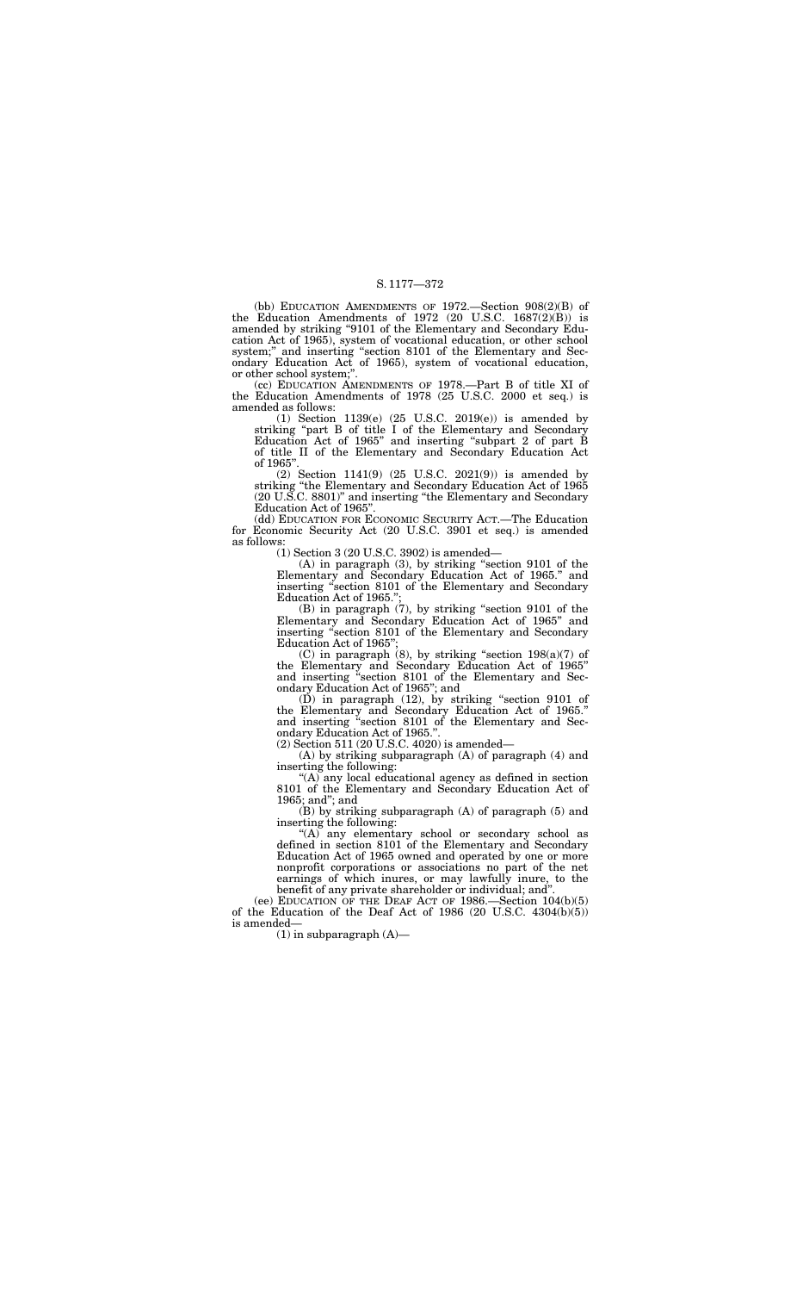(bb) EDUCATION AMENDMENTS OF 1972.—Section 908(2)(B) of the Education Amendments of 1972 (20 U.S.C. 1687(2)(B)) is amended by striking ''9101 of the Elementary and Secondary Education Act of 1965), system of vocational education, or other school system;" and inserting "section 8101 of the Elementary and Secondary Education Act of 1965), system of vocational education, or other school system;''.

(1) Section 1139(e) (25 U.S.C. 2019(e)) is amended by striking "part B of title I of the Elementary and Secondary Education Act of 1965'' and inserting ''subpart 2 of part B of title II of the Elementary and Secondary Education Act of 1965

(cc) EDUCATION AMENDMENTS OF 1978.—Part B of title XI of the Education Amendments of 1978 (25 U.S.C. 2000 et seq.) is amended as follows:

> (A) in paragraph (3), by striking ''section 9101 of the Elementary and Secondary Education Act of 1965.'' and inserting ''section 8101 of the Elementary and Secondary Education Act of 1965.

> (D) in paragraph (12), by striking ''section 9101 of the Elementary and Secondary Education Act of 1965.'' and inserting ''section 8101 of the Elementary and Secondary Education Act of 1965.

(2) Section 1141(9) (25 U.S.C. 2021(9)) is amended by striking ''the Elementary and Secondary Education Act of 1965 (20 U.S.C. 8801)'' and inserting ''the Elementary and Secondary Education Act of 1965''.

(dd) EDUCATION FOR ECONOMIC SECURITY ACT.—The Education for Economic Security Act (20 U.S.C. 3901 et seq.) is amended as follows:

 $(1)$  Section 3 (20 U.S.C. 3902) is amended—

"(A) any local educational agency as defined in section 8101 of the Elementary and Secondary Education Act of 1965; and''; and

 $(B)$  by striking subparagraph  $(A)$  of paragraph  $(5)$  and inserting the following:

"(A) any elementary school or secondary school as defined in section 8101 of the Elementary and Secondary Education Act of 1965 owned and operated by one or more nonprofit corporations or associations no part of the net earnings of which inures, or may lawfully inure, to the benefit of any private shareholder or individual; and".

(B) in paragraph (7), by striking ''section 9101 of the Elementary and Secondary Education Act of 1965'' and inserting ''section 8101 of the Elementary and Secondary Education Act of 1965'';

(C) in paragraph (8), by striking ''section 198(a)(7) of the Elementary and Secondary Education Act of 1965'' and inserting ''section 8101 of the Elementary and Secondary Education Act of 1965''; and

(2) Section 511 (20 U.S.C. 4020) is amended—

(A) by striking subparagraph (A) of paragraph (4) and inserting the following:

(ee) EDUCATION OF THE DEAF ACT OF 1986.—Section 104(b)(5) of the Education of the Deaf Act of 1986 (20 U.S.C. 4304(b)(5)) is amended—

 $(1)$  in subparagraph  $(A)$ —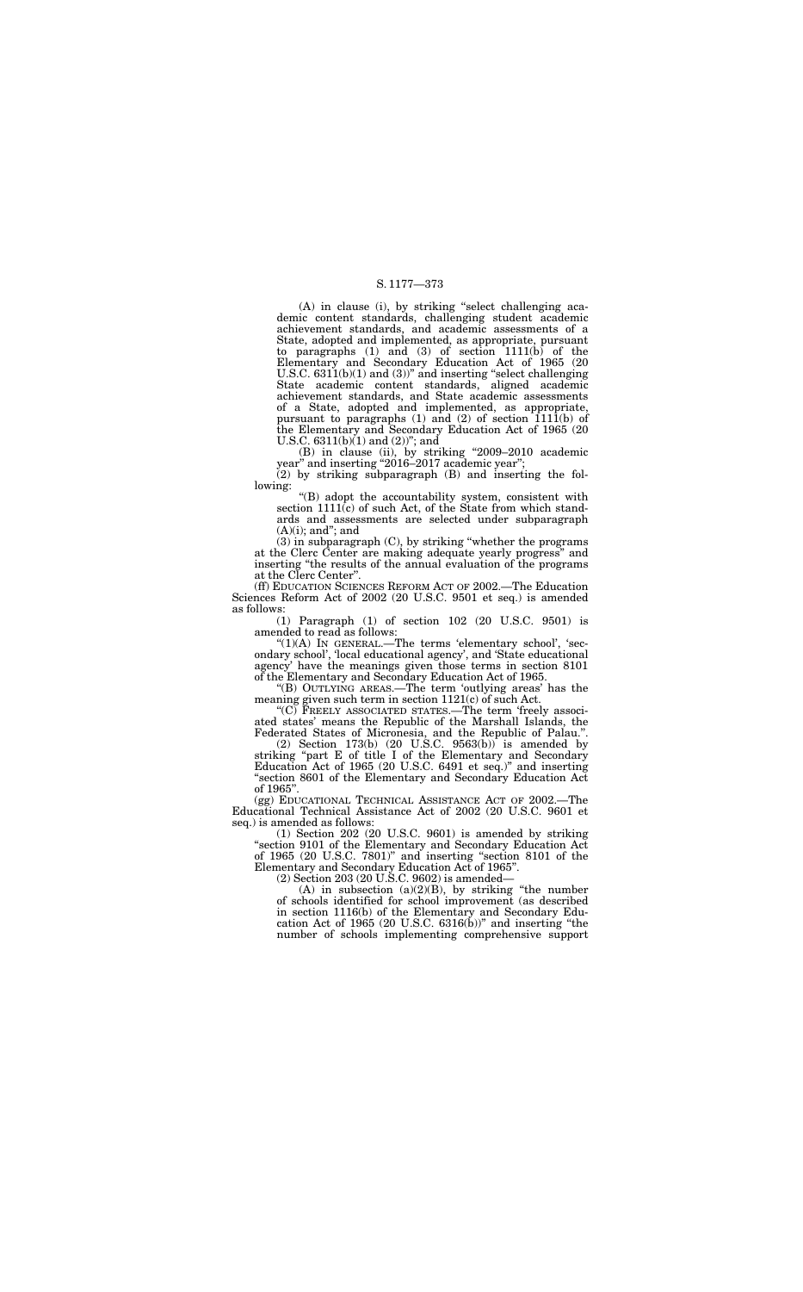(A) in clause (i), by striking ''select challenging academic content standards, challenging student academic achievement standards, and academic assessments of a State, adopted and implemented, as appropriate, pursuant to paragraphs (1) and (3) of section 1111(b) of the Elementary and Secondary Education Act of 1965 (20 U.S.C.  $6311(b)(1)$  and  $(3)$ " and inserting "select challenging State academic content standards, aligned academic achievement standards, and State academic assessments of a State, adopted and implemented, as appropriate, pursuant to paragraphs  $(1)$  and  $(2)$  of section 1111(b) of the Elementary and Secondary Education Act of 1965 (20 U.S.C. 6311(b)(1) and (2))"; and

(B) in clause (ii), by striking ''2009–2010 academic year" and inserting "2016–2017 academic year";

 $(2)$  by striking subparagraph  $(B)$  and inserting the following:

''(B) adopt the accountability system, consistent with section 1111(c) of such Act, of the State from which standards and assessments are selected under subparagraph  $(A)(i)$ ; and"; and

" $(1)(A)$  In GENERAL.—The terms 'elementary school', 'secondary school', 'local educational agency', and 'State educational agency' have the meanings given those terms in section 8101 of the Elementary and Secondary Education Act of 1965.

(3) in subparagraph (C), by striking ''whether the programs at the Clerc Center are making adequate yearly progress'' and inserting ''the results of the annual evaluation of the programs at the Clerc Center''.

(ff) EDUCATION SCIENCES REFORM ACT OF 2002.—The Education Sciences Reform Act of 2002 (20 U.S.C. 9501 et seq.) is amended as follows:

(1) Paragraph (1) of section 102 (20 U.S.C. 9501) is amended to read as follows:

''(B) OUTLYING AREAS.—The term 'outlying areas' has the meaning given such term in section 1121(c) of such Act.

''(C) FREELY ASSOCIATED STATES.—The term 'freely associated states' means the Republic of the Marshall Islands, the Federated States of Micronesia, and the Republic of Palau.''.

(2) Section 173(b) (20 U.S.C. 9563(b)) is amended by striking ''part E of title I of the Elementary and Secondary Education Act of 1965 (20 U.S.C. 6491 et seq.)'' and inserting "section 8601 of the Elementary and Secondary Education Act of 1965''.

(gg) EDUCATIONAL TECHNICAL ASSISTANCE ACT OF 2002.—The Educational Technical Assistance Act of 2002 (20 U.S.C. 9601 et seq.) is amended as follows:

(1) Section 202 (20 U.S.C. 9601) is amended by striking "section 9101 of the Elementary and Secondary Education Act of 1965 (20 U.S.C. 7801)'' and inserting ''section 8101 of the Elementary and Secondary Education Act of 1965''.

(2) Section 203 (20 U.S.C. 9602) is amended—

(A) in subsection (a)(2)(B), by striking ''the number of schools identified for school improvement (as described in section 1116(b) of the Elementary and Secondary Education Act of 1965 (20 U.S.C.  $6316(b)$ )" and inserting "the number of schools implementing comprehensive support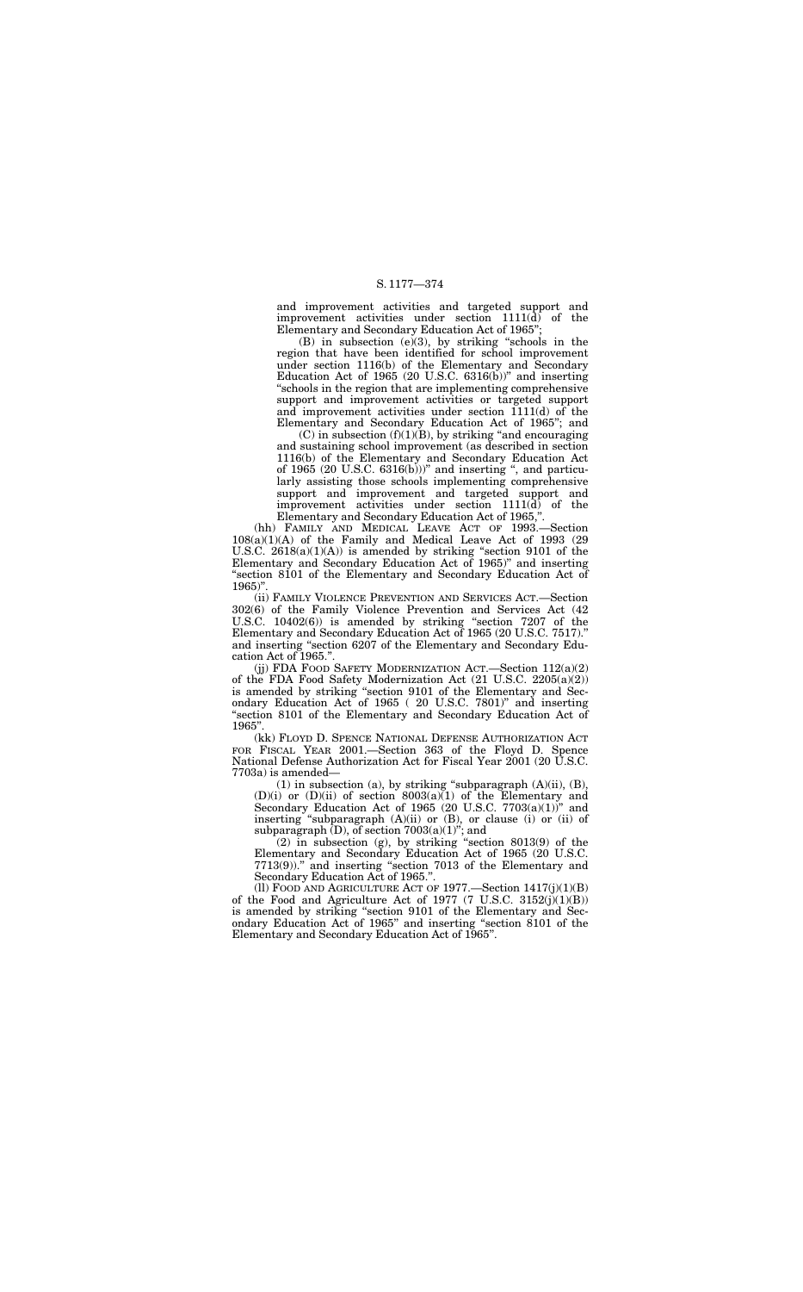and improvement activities and targeted support and improvement activities under section 1111(d) of the Elementary and Secondary Education Act of 1965"

(B) in subsection (e)(3), by striking ''schools in the region that have been identified for school improvement under section 1116(b) of the Elementary and Secondary Education Act of 1965 (20 U.S.C.  $6316(b)$ )" and inserting ''schools in the region that are implementing comprehensive support and improvement activities or targeted support and improvement activities under section 1111(d) of the Elementary and Secondary Education Act of 1965''; and

 $(C)$  in subsection  $(f)(1)(B)$ , by striking "and encouraging and sustaining school improvement (as described in section 1116(b) of the Elementary and Secondary Education Act of  $1965$   $(20 \text{ U.S.C. } 6316(b))$ " and inserting ", and particularly assisting those schools implementing comprehensive support and improvement and targeted support and improvement activities under section  $1111(\overline{d})$  of the Elementary and Secondary Education Act of 1965,

(hh) FAMILY AND MEDICAL LEAVE ACT OF 1993.—Section 108(a)(1)(A) of the Family and Medical Leave Act of 1993 (29 U.S.C.  $2618(a)(1)(A)$  is amended by striking "section 9101 of the Elementary and Secondary Education Act of 1965)'' and inserting ''section 8101 of the Elementary and Secondary Education Act of  $1965$ ".

(II) FOOD AND AGRICULTURE ACT OF  $1977$ . - Section  $1417(j)(1)(B)$ of the Food and Agriculture Act of 1977 (7 U.S.C.  $3152(j)(1)(B)$ ) is amended by striking "section 9101 of the Elementary and Secondary Education Act of 1965'' and inserting ''section 8101 of the Elementary and Secondary Education Act of 1965''.

(ii) FAMILY VIOLENCE PREVENTION AND SERVICES ACT.—Section 302(6) of the Family Violence Prevention and Services Act (42 U.S.C. 10402(6)) is amended by striking "section 7207 of the Elementary and Secondary Education Act of 1965 (20 U.S.C. 7517).'' and inserting ''section 6207 of the Elementary and Secondary Education Act of 1965.''.

(jj) FDA FOOD SAFETY MODERNIZATION ACT.—Section 112(a)(2) of the FDA Food Safety Modernization Act (21 U.S.C. 2205(a)(2)) is amended by striking ''section 9101 of the Elementary and Secondary Education Act of 1965 ( 20 U.S.C. 7801)'' and inserting ''section 8101 of the Elementary and Secondary Education Act of 1965''.

(kk) FLOYD D. SPENCE NATIONAL DEFENSE AUTHORIZATION ACT FOR FISCAL YEAR 2001.—Section 363 of the Floyd D. Spence National Defense Authorization Act for Fiscal Year 2001 (20 U.S.C. 7703a) is amended—

(1) in subsection (a), by striking "subparagraph  $(A)(ii)$ ,  $(B)$ , (D)(i) or (D)(ii) of section 8003(a)(1) of the Elementary and Secondary Education Act of 1965 (20 U.S.C. 7703(a)(1))" and inserting ''subparagraph (A)(ii) or (B), or clause (i) or (ii) of subparagraph  $(D)$ , of section  $7003(a)(1)$ "; and

(2) in subsection (g), by striking ''section 8013(9) of the Elementary and Secondary Education Act of 1965 (20 U.S.C. 7713(9)).'' and inserting ''section 7013 of the Elementary and Secondary Education Act of 1965.''.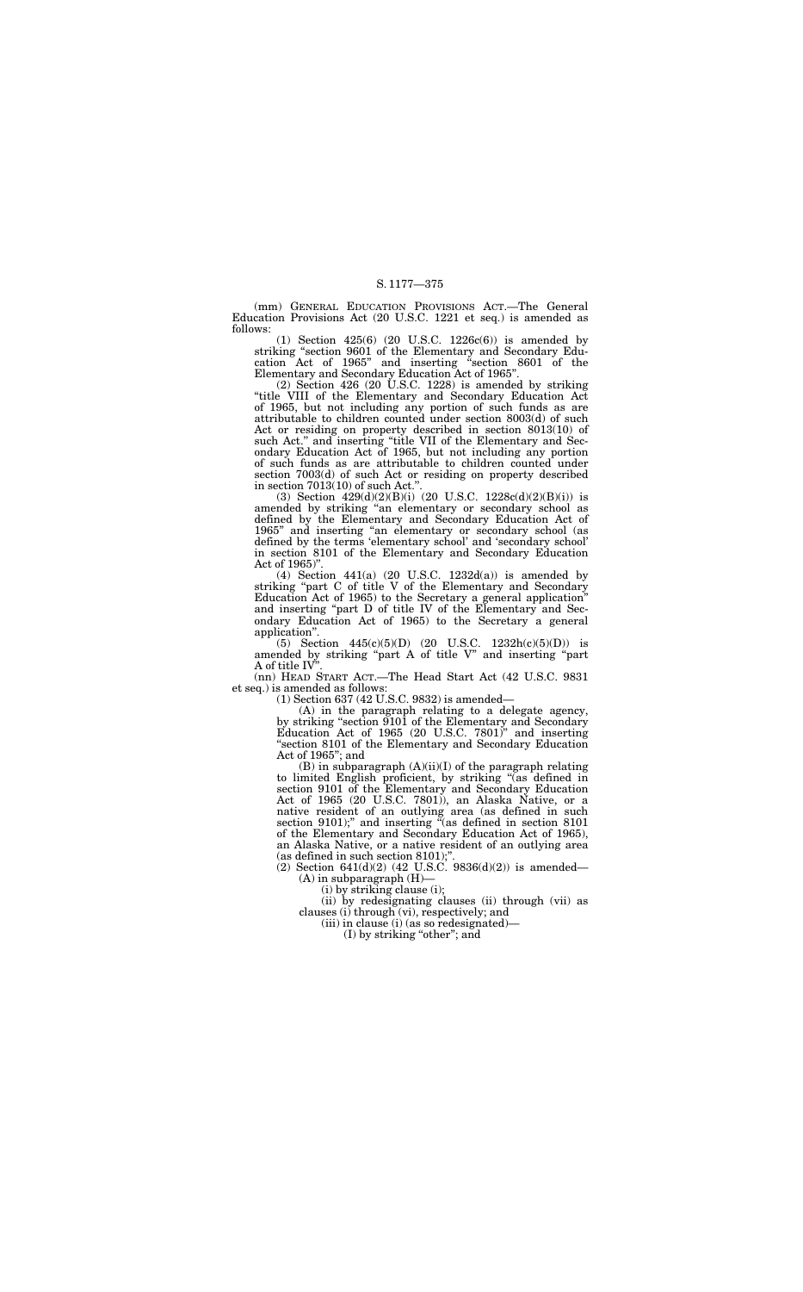(mm) GENERAL EDUCATION PROVISIONS ACT.—The General Education Provisions Act (20 U.S.C. 1221 et seq.) is amended as follows:

(2) Section 426 (20 U.S.C. 1228) is amended by striking ''title VIII of the Elementary and Secondary Education Act of 1965, but not including any portion of such funds as are attributable to children counted under section 8003(d) of such Act or residing on property described in section 8013(10) of such Act.'' and inserting ''title VII of the Elementary and Secondary Education Act of 1965, but not including any portion of such funds as are attributable to children counted under section 7003(d) of such Act or residing on property described in section  $7013(10)$  of such Act."

(3) Section  $429(d)(2)(B)(i)$  (20 U.S.C.  $1228c(d)(2)(B)(i)$ ) is amended by striking ''an elementary or secondary school as defined by the Elementary and Secondary Education Act of 1965" and inserting "an elementary or secondary school (as defined by the terms 'elementary school' and 'secondary school' in section 8101 of the Elementary and Secondary Education Act of 1965)"

(1) Section 425(6) (20 U.S.C. 1226c(6)) is amended by striking ''section 9601 of the Elementary and Secondary Education Act of 1965'' and inserting ''section 8601 of the Elementary and Secondary Education Act of 1965''.

(4) Section  $441(a)$  (20 U.S.C. 1232d(a)) is amended by striking ''part C of title V of the Elementary and Secondary Education Act of 1965) to the Secretary a general application'' and inserting "part D of title IV of the Elementary and Secondary Education Act of 1965) to the Secretary a general application''.

(5) Section  $445(c)(5)(D)$  (20 U.S.C. 1232h(c)(5)(D)) is amended by striking ''part A of title V'' and inserting ''part A of title IV

(nn) HEAD START ACT.—The Head Start Act (42 U.S.C. 9831 et seq.) is amended as follows:

(1) Section 637 (42 U.S.C. 9832) is amended—

(A) in the paragraph relating to a delegate agency, by striking ''section 9101 of the Elementary and Secondary Education Act of 1965 (20 U.S.C. 7801)'' and inserting "section 8101 of the Elementary and Secondary Education Act of 1965''; and

 $(B)$  in subparagraph  $(A)(ii)(I)$  of the paragraph relating to limited English proficient, by striking ''(as defined in section 9101 of the Elementary and Secondary Education Act of 1965 (20 U.S.C. 7801)), an Alaska Native, or a native resident of an outlying area (as defined in such section 9101);" and inserting  $\epsilon$  (as defined in section 8101 of the Elementary and Secondary Education Act of 1965), an Alaska Native, or a native resident of an outlying area  $(as defined in such section 8101);$ 

(2) Section  $641(d)(2)$  (42 U.S.C.  $9836(d)(2)$ ) is amended—  $(A)$  in subparagraph  $(H)$ –

(i) by striking clause (i);

(ii) by redesignating clauses (ii) through (vii) as clauses (i) through (vi), respectively; and

(iii) in clause (i) (as so redesignated)—

(I) by striking "other"; and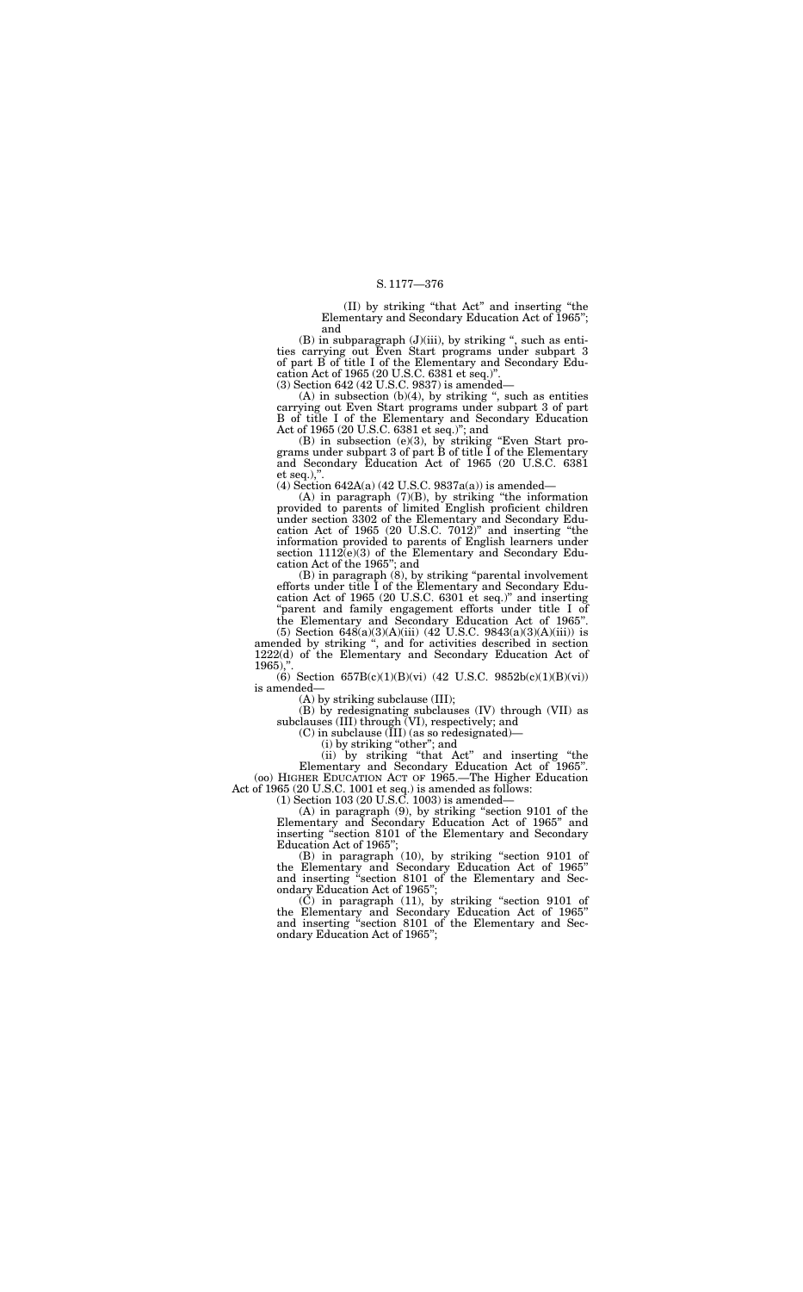(II) by striking ''that Act'' and inserting ''the Elementary and Secondary Education Act of 1965''; and

 $(B)$  in subparagraph  $(J)(iii)$ , by striking ", such as entities carrying out Even Start programs under subpart 3 of part B of title I of the Elementary and Secondary Education Act of 1965 (20 U.S.C. 6381 et seq.)''.

 $(A)$  in subsection  $(b)(4)$ , by striking ", such as entities carrying out Even Start programs under subpart 3 of part B of title I of the Elementary and Secondary Education Act of 1965 (20 U.S.C. 6381 et seq.)''; and

(B) in subsection (e)(3), by striking ''Even Start programs under subpart 3 of part B of title I of the Elementary and Secondary Education Act of 1965 (20 U.S.C. 6381 et seq.),".

(3) Section 642 (42 U.S.C. 9837) is amended—

 $(A)$  in paragraph  $(7)(B)$ , by striking "the information provided to parents of limited English proficient children under section 3302 of the Elementary and Secondary Education Act of 1965 (20 U.S.C. 7012)'' and inserting ''the information provided to parents of English learners under section  $1112(e)(3)$  of the Elementary and Secondary Education Act of the 1965''; and

(4) Section 642A(a) (42 U.S.C. 9837a(a)) is amended—

(6) Section  $657B(c)(1)(B)(vi)$  (42 U.S.C.  $9852b(c)(1)(B)(vi)$ ) is amended—

(B) in paragraph (10), by striking "section 9101 of the Elementary and Secondary Education Act of 1965'' and inserting ''section 8101 of the Elementary and Secondary Education Act of 1965'';

(B) in paragraph (8), by striking ''parental involvement efforts under title I of the Elementary and Secondary Education Act of 1965 (20 U.S.C. 6301 et seq.)'' and inserting 'parent and family engagement efforts under title I of the Elementary and Secondary Education Act of 1965''.

(5) Section  $648(a)(3)(A)(iii)$  (42 U.S.C.  $9843(a)(3)(A)(iii)$ ) is amended by striking '', and for activities described in section 1222(d) of the Elementary and Secondary Education Act of  $1965$ ),

(A) by striking subclause (III);

(B) by redesignating subclauses (IV) through (VII) as subclauses (III) through (VI), respectively; and

(C) in subclause (III) (as so redesignated)—

(i) by striking "other"; and

(ii) by striking ''that Act'' and inserting ''the Elementary and Secondary Education Act of 1965''. (oo) HIGHER EDUCATION ACT OF 1965.—The Higher Education Act of 1965 (20 U.S.C. 1001 et seq.) is amended as follows:

(1) Section 103 (20 U.S.C. 1003) is amended—

(A) in paragraph (9), by striking ''section 9101 of the Elementary and Secondary Education Act of 1965'' and inserting "section 8101 of the Elementary and Secondary Education Act of 1965'';

(C) in paragraph (11), by striking ''section 9101 of the Elementary and Secondary Education Act of 1965'' and inserting ''section 8101 of the Elementary and Secondary Education Act of 1965'';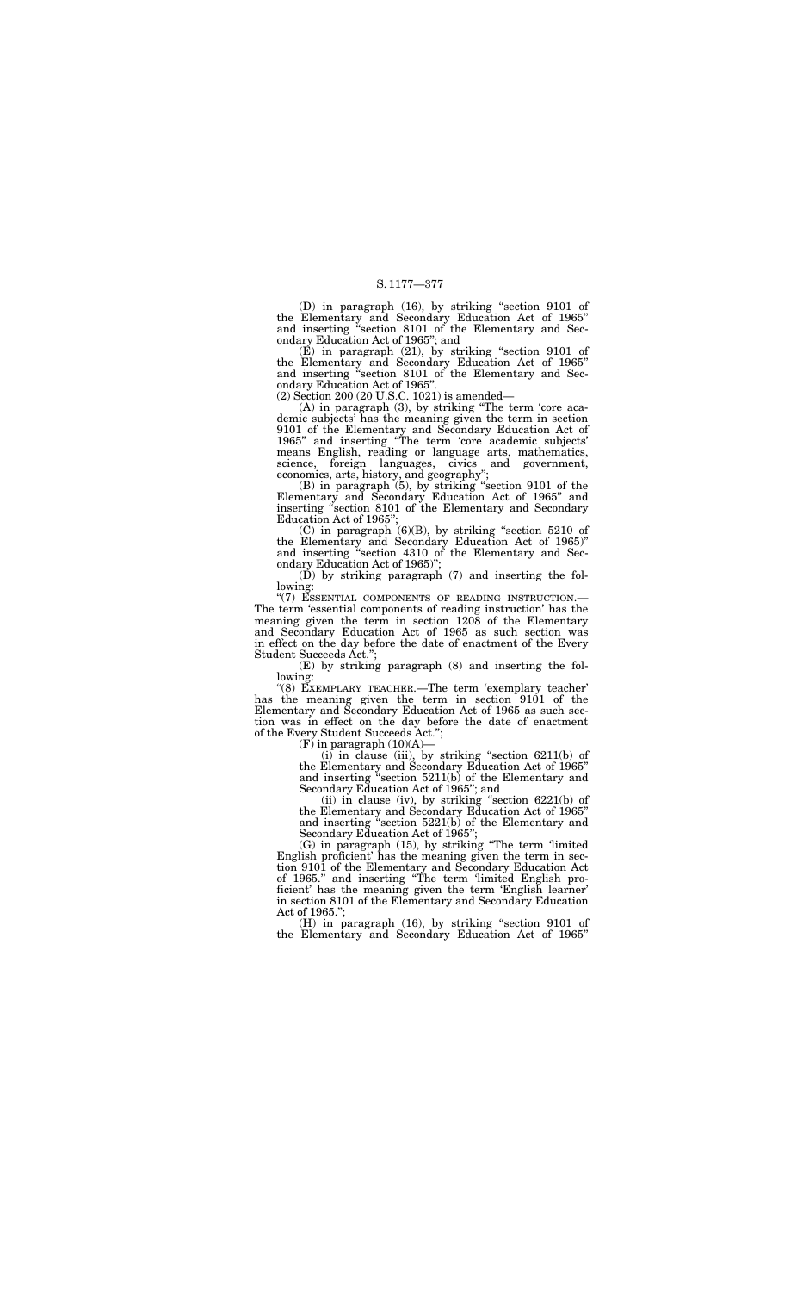(D) in paragraph (16), by striking ''section 9101 of the Elementary and Secondary Education Act of 1965'' and inserting ''section 8101 of the Elementary and Secondary Education Act of 1965''; and

 $(E)$  in paragraph  $(21)$ , by striking "section 9101 of the Elementary and Secondary Education Act of 1965'' and inserting ''section 8101 of the Elementary and Secondary Education Act of 1965''.

(2) Section 200 (20 U.S.C. 1021) is amended—

(A) in paragraph (3), by striking ''The term 'core academic subjects' has the meaning given the term in section 9101 of the Elementary and Secondary Education Act of 1965'' and inserting ''The term 'core academic subjects' means English, reading or language arts, mathematics, science, foreign languages, civics and government, economics, arts, history, and geography'';

lowing:<br>"(7) ESSENTIAL COMPONENTS OF READING INSTRUCTION.— The term 'essential components of reading instruction' has the meaning given the term in section 1208 of the Elementary and Secondary Education Act of 1965 as such section was in effect on the day before the date of enactment of the Every Student Succeeds Act.'';

(B) in paragraph (5), by striking ''section 9101 of the Elementary and Secondary Education Act of 1965'' and inserting ''section 8101 of the Elementary and Secondary Education Act of 1965'';

 $(C)$  in paragraph  $(6)(B)$ , by striking "section 5210 of the Elementary and Secondary Education Act of 1965)'' and inserting ''section 4310 of the Elementary and Secondary Education Act of 1965)"

(ii) in clause (iv), by striking "section  $6221(b)$  of the Elementary and Secondary Education Act of 1965'' and inserting ''section 5221(b) of the Elementary and Secondary Education Act of 1965'';

(D) by striking paragraph (7) and inserting the fol-

(E) by striking paragraph (8) and inserting the following:

''(8) EXEMPLARY TEACHER.—The term 'exemplary teacher' has the meaning given the term in section 9101 of the Elementary and Secondary Education Act of 1965 as such section was in effect on the day before the date of enactment of the Every Student Succeeds Act.'';

 $(F)$  in paragraph  $(10)(A)$ —

(i) in clause (iii), by striking ''section 6211(b) of the Elementary and Secondary Education Act of 1965'' and inserting ''section 5211(b) of the Elementary and Secondary Education Act of 1965''; and

(G) in paragraph (15), by striking ''The term 'limited English proficient' has the meaning given the term in section 9101 of the Elementary and Secondary Education Act of 1965.'' and inserting ''The term 'limited English proficient' has the meaning given the term 'English learner' in section 8101 of the Elementary and Secondary Education Act of 1965.'';

(H) in paragraph (16), by striking ''section 9101 of the Elementary and Secondary Education Act of 1965''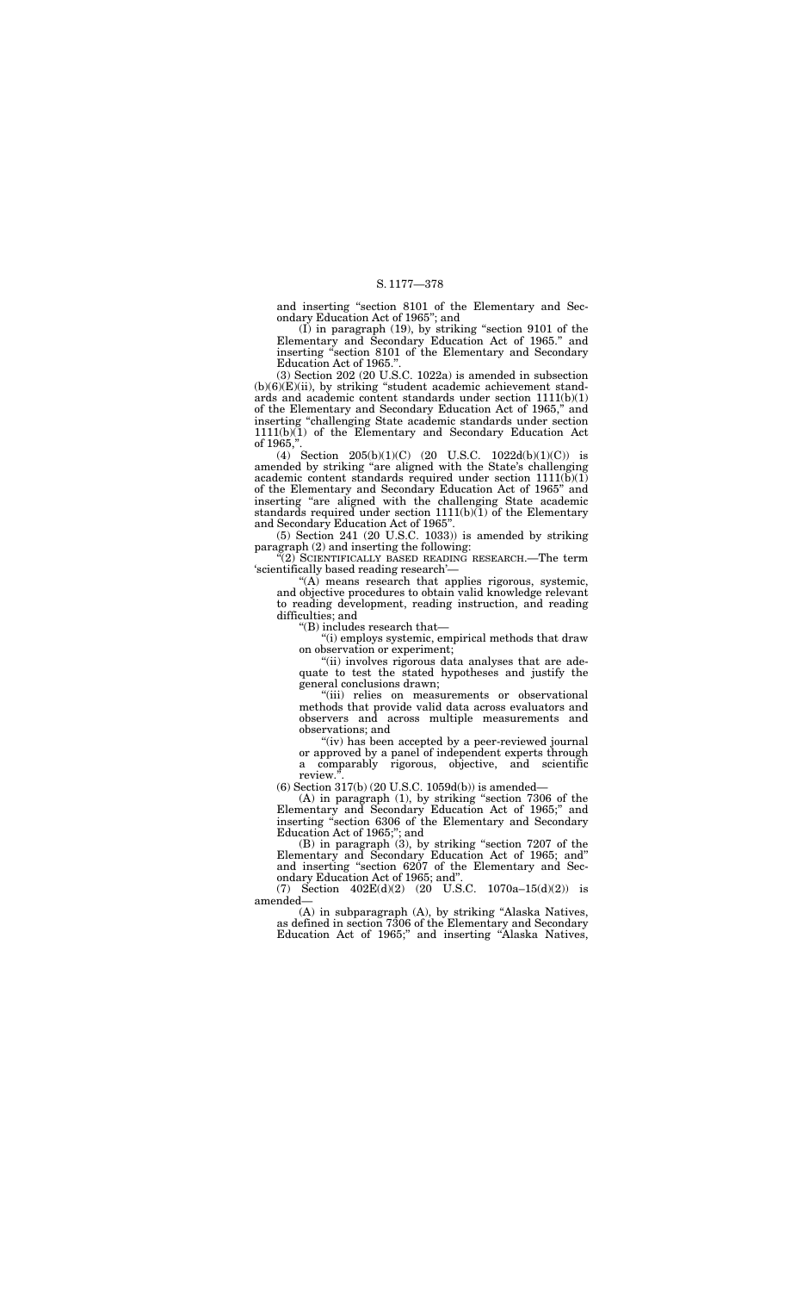and inserting ''section 8101 of the Elementary and Secondary Education Act of 1965''; and

(I) in paragraph (19), by striking ''section 9101 of the Elementary and Secondary Education Act of 1965.'' and inserting ''section 8101 of the Elementary and Secondary Education Act of 1965.''.

(3) Section 202 (20 U.S.C. 1022a) is amended in subsection  $(b)(6)(E)(ii)$ , by striking "student academic achievement standards and academic content standards under section 1111(b)(1) of the Elementary and Secondary Education Act of 1965,'' and inserting ''challenging State academic standards under section 1111(b)(1) of the Elementary and Secondary Education Act of 1965,''.

(4) Section  $205(b)(1)(C)$  (20 U.S.C.  $1022d(b)(1)(C)$ ) is amended by striking "are aligned with the State's challenging academic content standards required under section  $1111(b)(1)$ of the Elementary and Secondary Education Act of 1965'' and inserting "are aligned with the challenging State academic standards required under section  $1111(b)(1)$  of the Elementary and Secondary Education Act of 1965''.

"(A) means research that applies rigorous, systemic, and objective procedures to obtain valid knowledge relevant to reading development, reading instruction, and reading difficulties; and

"(i) employs systemic, empirical methods that draw on observation or experiment;

(5) Section 241 (20 U.S.C. 1033)) is amended by striking paragraph (2) and inserting the following:

''(2) SCIENTIFICALLY BASED READING RESEARCH.—The term 'scientifically based reading research'—

(7) Section  $402E(d)(2)$  (20 U.S.C. 1070a–15(d)(2)) is amended—

''(B) includes research that—

''(ii) involves rigorous data analyses that are adequate to test the stated hypotheses and justify the general conclusions drawn;

''(iii) relies on measurements or observational methods that provide valid data across evaluators and observers and across multiple measurements and observations; and

"(iv) has been accepted by a peer-reviewed journal or approved by a panel of independent experts through a comparably rigorous, objective, and scientific review.'

(6) Section 317(b) (20 U.S.C. 1059d(b)) is amended—

(A) in paragraph (1), by striking ''section 7306 of the Elementary and Secondary Education Act of 1965;'' and inserting ''section 6306 of the Elementary and Secondary Education Act of 1965;''; and

(B) in paragraph (3), by striking ''section 7207 of the Elementary and Secondary Education Act of 1965; and'' and inserting ''section 6207 of the Elementary and Secondary Education Act of 1965; and''.

(A) in subparagraph (A), by striking ''Alaska Natives, as defined in section 7306 of the Elementary and Secondary Education Act of 1965;'' and inserting ''Alaska Natives,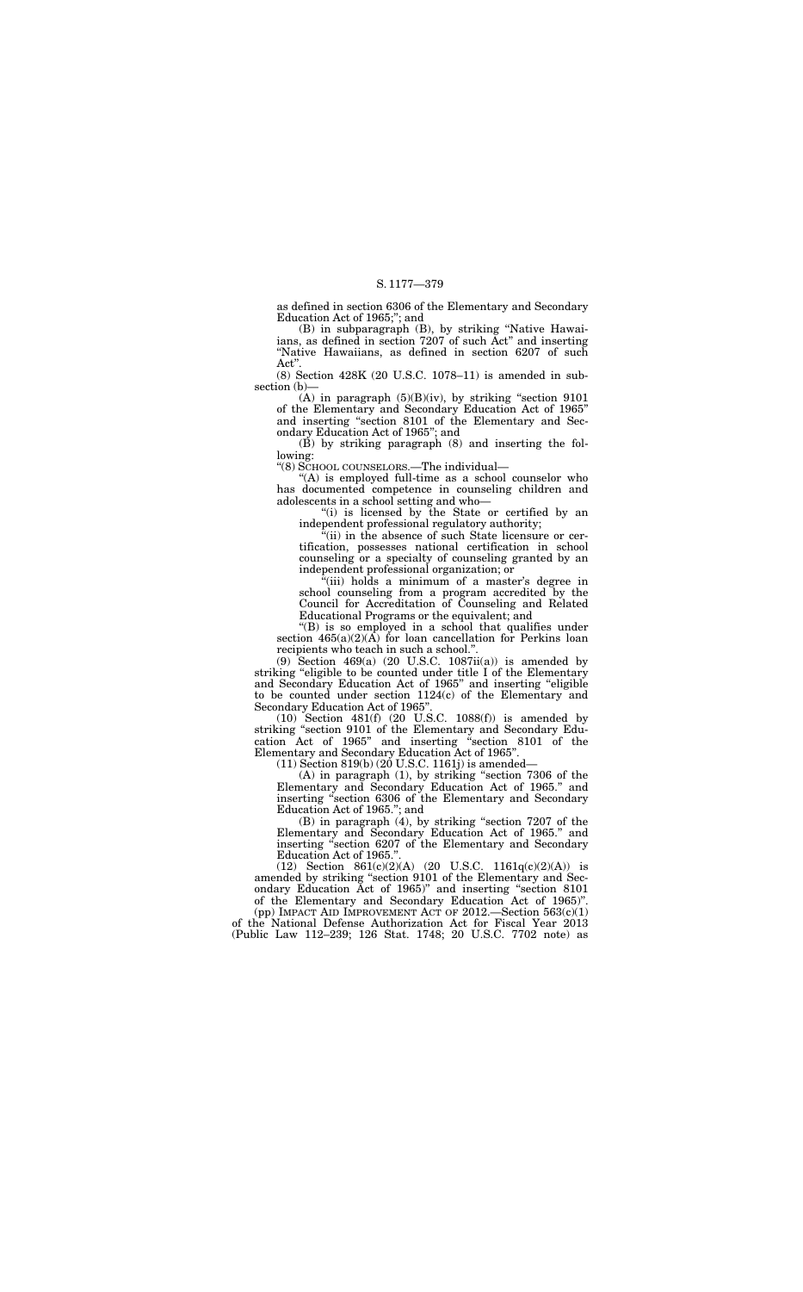as defined in section 6306 of the Elementary and Secondary Education Act of 1965;''; and

(B) in subparagraph (B), by striking ''Native Hawaiians, as defined in section 7207 of such Act" and inserting "Native Hawaiians, as defined in section 6207 of such Act''.

(A) in paragraph  $(5)(B)(iv)$ , by striking "section 9101 of the Elementary and Secondary Education Act of 1965'' and inserting ''section 8101 of the Elementary and Secondary Education Act of 1965''; and

(8) Section 428K (20 U.S.C. 1078–11) is amended in subsection (b)—

"(A) is employed full-time as a school counselor who has documented competence in counseling children and adolescents in a school setting and who—

"(i) is licensed by the State or certified by an independent professional regulatory authority;

 $i$ <sup>"</sup>(ii) in the absence of such State licensure or certification, possesses national certification in school counseling or a specialty of counseling granted by an independent professional organization; or

(B) by striking paragraph (8) and inserting the following:

''(8) SCHOOL COUNSELORS.—The individual—

"(iii) holds a minimum of a master's degree in school counseling from a program accredited by the Council for Accreditation of Counseling and Related Educational Programs or the equivalent; and

"(B) is so employed in a school that qualifies under section  $465(a)(2)(A)$  for loan cancellation for Perkins loan recipients who teach in such a school.''.

(9) Section  $469(a)$  (20 U.S.C. 1087ii(a)) is amended by striking "eligible to be counted under title I of the Elementary and Secondary Education Act of 1965'' and inserting ''eligible to be counted under section 1124(c) of the Elementary and Secondary Education Act of 1965''.

(10) Section 481(f) (20 U.S.C. 1088(f)) is amended by striking "section 9101 of the Elementary and Secondary Education Act of 1965" and inserting "section 8101 of the Elementary and Secondary Education Act of 1965<sup>'</sup>

 $(11)$  Section 819(b)  $(20$  U.S.C. 1161j) is amended-

(B) in paragraph (4), by striking ''section 7207 of the Elementary and Secondary Education Act of 1965.'' and inserting "section 6207 of the Elementary and Secondary Education Act of 1965.'

(12) Section  $861(c)(2)(A)$  (20 U.S.C. 1161q(c)(2)(A)) is amended by striking ''section 9101 of the Elementary and Secondary Education Act of 1965)'' and inserting ''section 8101 of the Elementary and Secondary Education Act of 1965)''.

(A) in paragraph (1), by striking ''section 7306 of the Elementary and Secondary Education Act of 1965.'' and inserting ''section 6306 of the Elementary and Secondary Education Act of 1965.''; and

(pp) IMPACT AID IMPROVEMENT ACT OF 2012.—Section 563(c)(1) of the National Defense Authorization Act for Fiscal Year 2013 (Public Law 112–239; 126 Stat. 1748; 20 U.S.C. 7702 note) as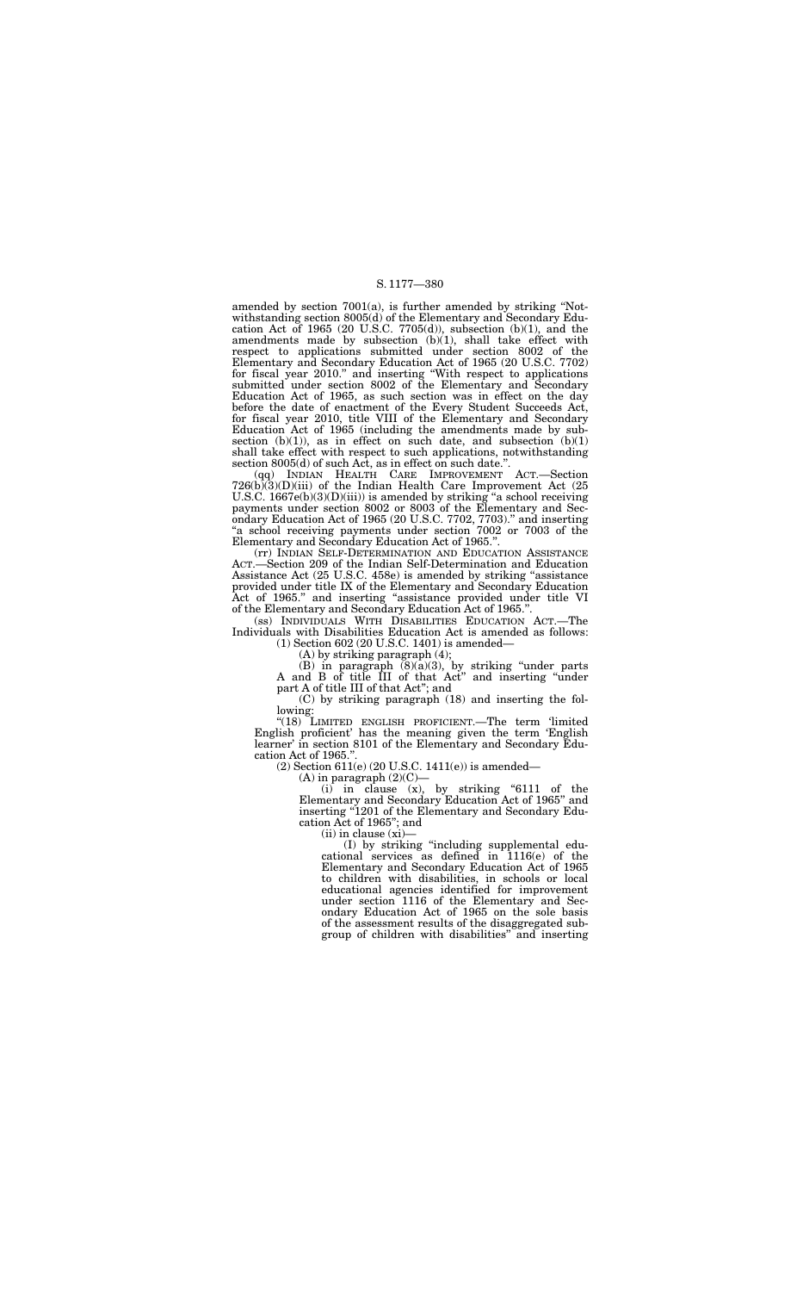amended by section 7001(a), is further amended by striking ''Notwithstanding section 8005(d) of the Elementary and Secondary Education Act of 1965 (20 U.S.C. 7705(d)), subsection  $(b)(1)$ , and the amendments made by subsection (b)(1), shall take effect with respect to applications submitted under section 8002 of the Elementary and Secondary Education Act of 1965 (20 U.S.C. 7702) for fiscal year 2010.'' and inserting ''With respect to applications submitted under section 8002 of the Elementary and Secondary Education Act of 1965, as such section was in effect on the day before the date of enactment of the Every Student Succeeds Act, for fiscal year 2010, title VIII of the Elementary and Secondary Education Act of 1965 (including the amendments made by subsection  $(b)(1)$ , as in effect on such date, and subsection  $(b)(1)$ shall take effect with respect to such applications, notwithstanding section  $8005(d)$  of such Act, as in effect on such date."

(qq) INDIAN HEALTH CARE IMPROVEMENT ACT.—Section  $726(b)(3)(D)(iii)$  of the Indian Health Care Improvement Act (25 U.S.C.  $1667e(b)(3)(D)(iii)$  is amended by striking "a school receiving payments under section 8002 or 8003 of the Elementary and Secondary Education Act of 1965 (20 U.S.C. 7702, 7703).'' and inserting "a school receiving payments under section 7002 or 7003 of the Elementary and Secondary Education Act of 1965."

> (B) in paragraph  $(8)(a)(3)$ , by striking "under parts" A and B of title III of that Act'' and inserting ''under part A of title III of that Act''; and

''(18) LIMITED ENGLISH PROFICIENT.—The term 'limited English proficient' has the meaning given the term 'English learner' in section 8101 of the Elementary and Secondary Education Act of 1965."

 $(2)$  Section 611(e) (20 U.S.C. 1411(e)) is amended–

(A) in paragraph  $(2)(C)$ -

 $(i)$  in clause  $(x)$ , by striking "6111 of the Elementary and Secondary Education Act of 1965'' and inserting "1201 of the Elementary and Secondary Education Act of 1965''; and

(rr) INDIAN SELF-DETERMINATION AND EDUCATION ASSISTANCE ACT.—Section 209 of the Indian Self-Determination and Education Assistance Act (25 U.S.C. 458e) is amended by striking "assistance provided under title IX of the Elementary and Secondary Education Act of 1965." and inserting "assistance provided under title VI of the Elementary and Secondary Education Act of 1965.''.

(ss) INDIVIDUALS WITH DISABILITIES EDUCATION ACT.—The Individuals with Disabilities Education Act is amended as follows: (1) Section 602 (20 U.S.C. 1401) is amended—

(A) by striking paragraph (4);

(C) by striking paragraph (18) and inserting the following:

(ii) in clause (xi)—

(I) by striking ''including supplemental educational services as defined in 1116(e) of the Elementary and Secondary Education Act of 1965 to children with disabilities, in schools or local educational agencies identified for improvement under section 1116 of the Elementary and Secondary Education Act of 1965 on the sole basis of the assessment results of the disaggregated subgroup of children with disabilities'' and inserting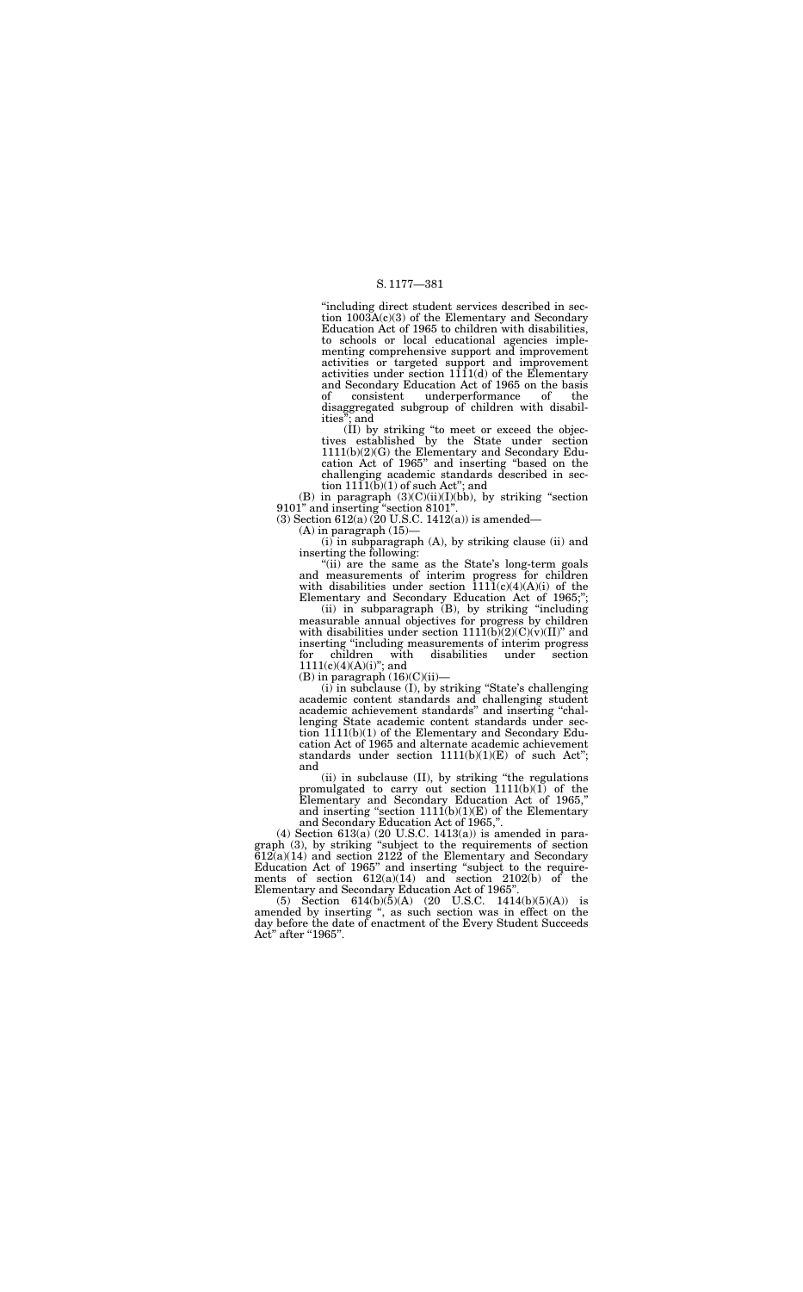(II) by striking ''to meet or exceed the objectives established by the State under section 1111(b)(2)(G) the Elementary and Secondary Education Act of 1965'' and inserting ''based on the challenging academic standards described in section  $11\tilde{1}1(\tilde{b})(1)$  of such Act"; and

''including direct student services described in section  $1003A(c)(3)$  of the Elementary and Secondary Education Act of 1965 to children with disabilities, to schools or local educational agencies implementing comprehensive support and improvement activities or targeted support and improvement activities under section 1111(d) of the Elementary and Secondary Education Act of 1965 on the basis of consistent underperformance of the disaggregated subgroup of children with disabilities''; and

(B) in paragraph  $(3)(C)(ii)(I)(bb)$ , by striking "section 9101'' and inserting ''section 8101''.

 $(3)$  Section 612(a) (20 U.S.C. 1412(a)) is amended—

 $(A)$  in paragraph  $(15)$ 

 $(i)$  in subparagraph  $(A)$ , by striking clause  $(ii)$  and inserting the following:

"(ii) are the same as the State's long-term goals and measurements of interim progress for children with disabilities under section  $111\tilde{1}(c)(4)(A)(i)$  of the Elementary and Secondary Education Act of 1965;'';

(ii) in subparagraph (B), by striking ''including measurable annual objectives for progress by children with disabilities under section  $111\overline{1(b)}(2)(C)(v)(II)^{n}$  and inserting "including measurements of interim progress<br>for children with disabilities under section for children with disabilities under section  $1111(c)(4)(A)(i)$ "; and

 $(B)$  in paragraph  $(16)(C)(ii)$ —

 $(4)$  Section 613 $(a)$  (20 U.S.C. 1413 $(a)$ ) is amended in paragraph (3), by striking ''subject to the requirements of section  $612(a)(14)$  and section 2122 of the Elementary and Secondary Education Act of 1965'' and inserting ''subject to the requirements of section  $612(a)(14)$  and section  $2102(b)$  of the Elementary and Secondary Education Act of 1965''.

(5) Section  $614(b)(5)(A)$  (20 U.S.C. 1414(b)(5)(A)) is amended by inserting '', as such section was in effect on the day before the date of enactment of the Every Student Succeeds Act" after "1965".

(i) in subclause (I), by striking ''State's challenging academic content standards and challenging student academic achievement standards'' and inserting ''challenging State academic content standards under section 1111(b)(1) of the Elementary and Secondary Education Act of 1965 and alternate academic achievement standards under section 1111(b)(1)(E) of such Act''; and

(ii) in subclause (II), by striking ''the regulations promulgated to carry out section  $1111(b)(1)$  of the Elementary and Secondary Education Act of 1965,'' and inserting "section  $1111(b)(1)(E)$  of the Elementary and Secondary Education Act of 1965,''.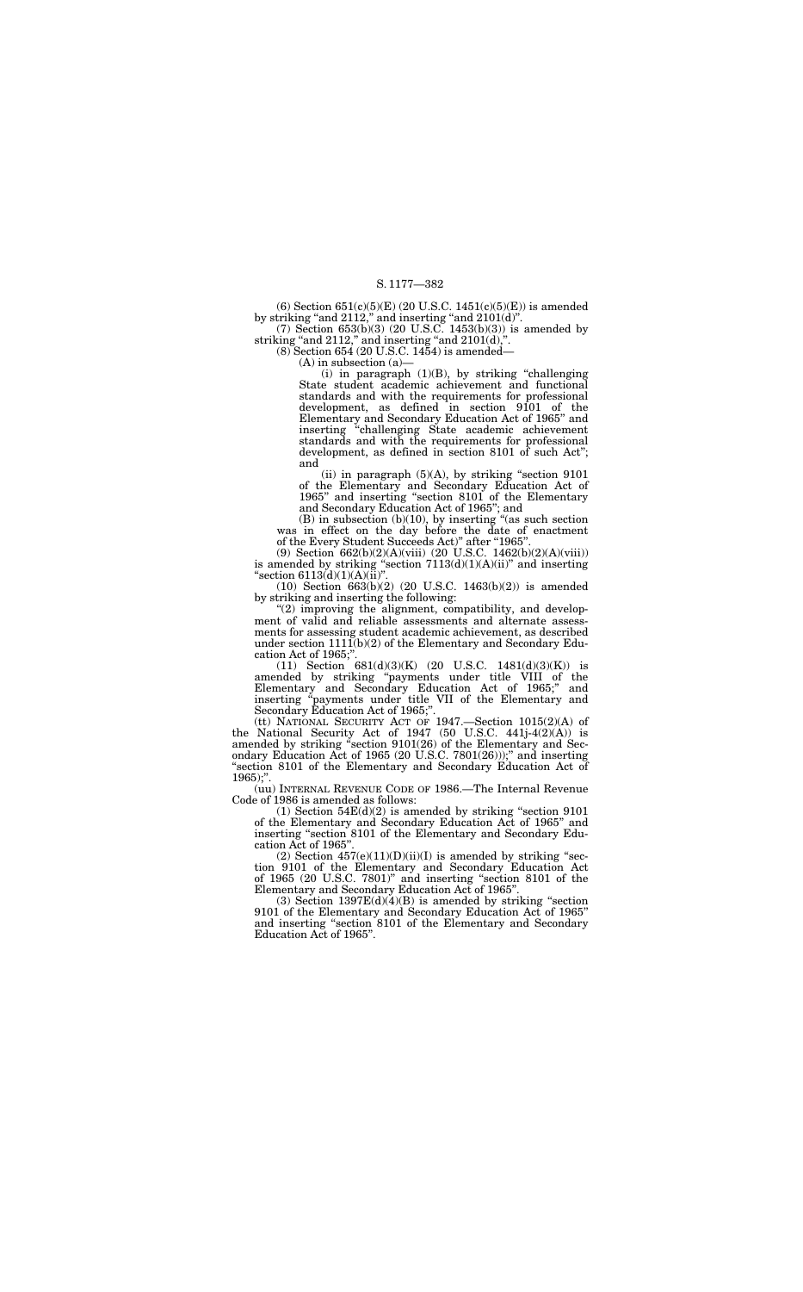(6) Section  $651(c)(5)(E)$  (20 U.S.C.  $1451(c)(5)(E)$ ) is amended by striking "and  $2112$ ," and inserting "and  $2101(d)$ ".

(7) Section  $653(b)(3)$  (20 U.S.C. 1453 $(b)(3)$ ) is amended by striking "and  $2112$ ," and inserting "and  $2101(d)$ ,".

(8) Section 654 (20 U.S.C. 1454) is amended—

 $(A)$  in subsection  $(a)$ 

(i) in paragraph  $(1)(B)$ , by striking "challenging State student academic achievement and functional standards and with the requirements for professional development, as defined in section 9101 of the Elementary and Secondary Education Act of 1965'' and inserting ''challenging State academic achievement standards and with the requirements for professional development, as defined in section 8101 of such Act''; and

(ii) in paragraph  $(5)(A)$ , by striking "section 9101 of the Elementary and Secondary Education Act of 1965'' and inserting ''section 8101 of the Elementary and Secondary Education Act of 1965''; and

 $(B)$  in subsection  $(b)(10)$ , by inserting "(as such section was in effect on the day before the date of enactment of the Every Student Succeeds Act)'' after ''1965''.

(9) Section 662(b)(2)(A)(viii) (20 U.S.C. 1462(b)(2)(A)(viii)) is amended by striking "section  $7113(d)(1)(A)(ii)$ " and inserting "section  $6113(d)(1)(A)(ii)$ ".

(11) Section  $681(d)(3)(K)$  (20 U.S.C. 1481 $(d)(3)(K)$ ) is amended by striking ''payments under title VIII of the Elementary and Secondary Education Act of 1965;'' and inserting ''payments under title VII of the Elementary and Secondary Education Act of 1965;''.

(tt) NATIONAL SECURITY ACT OF 1947.—Section 1015(2)(A) of the National Security Act of  $1947$  (50 U.S.C. 441j-4(2)(A)) is amended by striking "section 9101(26) of the Elementary and Secondary Education Act of 1965 (20 U.S.C. 7801(26)));'' and inserting ''section 8101 of the Elementary and Secondary Education Act of  $1965$ ;"

(10) Section 663(b)(2) (20 U.S.C. 1463(b)(2)) is amended by striking and inserting the following:

 $"(2)$  improving the alignment, compatibility, and development of valid and reliable assessments and alternate assessments for assessing student academic achievement, as described under section  $111\tilde{1}(b)(2)$  of the Elementary and Secondary Education Act of 1965;"

(2) Section  $457(e)(11)(D)(ii)(I)$  is amended by striking "section 9101 of the Elementary and Secondary Education Act of 1965 (20 U.S.C. 7801)'' and inserting ''section 8101 of the Elementary and Secondary Education Act of 1965''.

(3) Section  $1397E(d)(4)(B)$  is amended by striking "section 9101 of the Elementary and Secondary Education Act of 1965'' and inserting ''section 8101 of the Elementary and Secondary Education Act of 1965''.

(uu) INTERNAL REVENUE CODE OF 1986.—The Internal Revenue Code of 1986 is amended as follows:

(1) Section  $54E(d)(2)$  is amended by striking "section 9101 of the Elementary and Secondary Education Act of 1965'' and inserting "section 8101 of the Elementary and Secondary Education Act of 1965"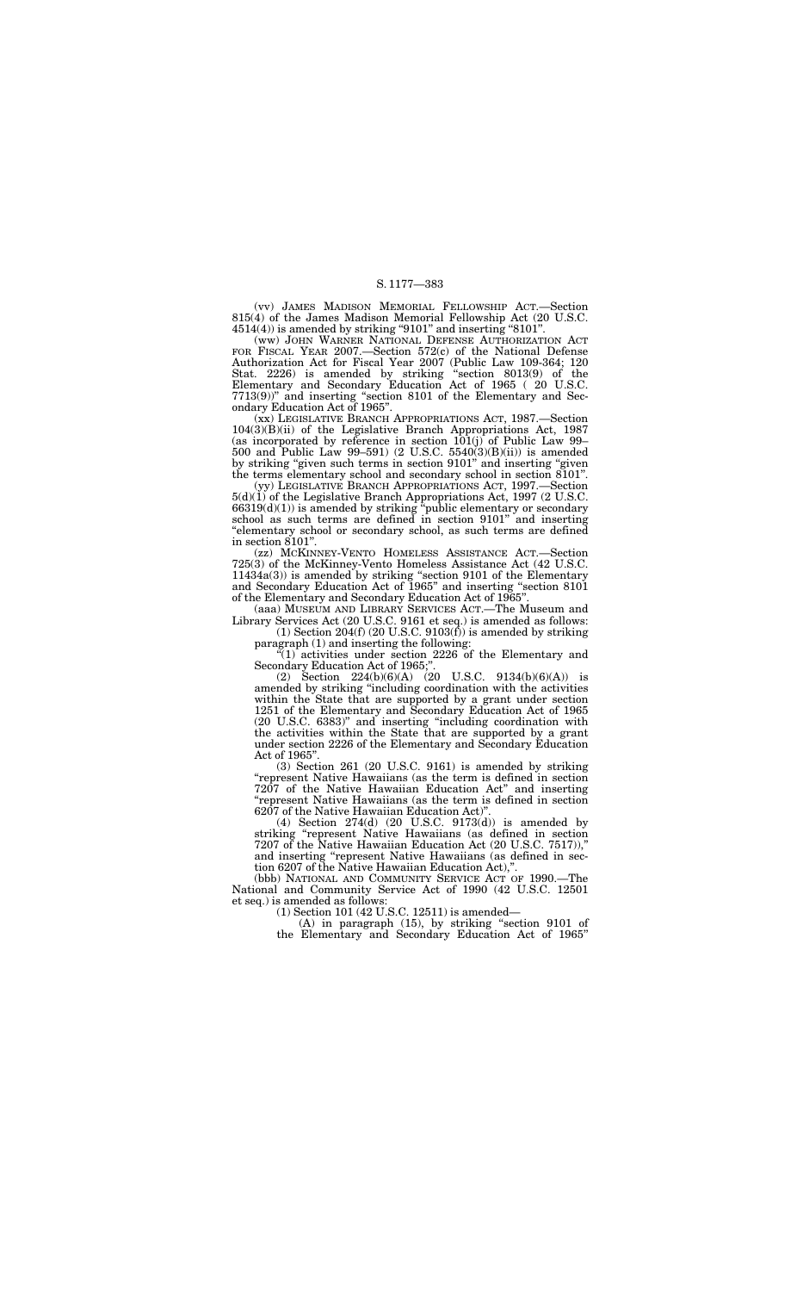(vv) JAMES MADISON MEMORIAL FELLOWSHIP ACT.—Section 815(4) of the James Madison Memorial Fellowship Act (20 U.S.C.  $4514(4)$ ) is amended by striking "9101" and inserting "8101"

(ww) JOHN WARNER NATIONAL DEFENSE AUTHORIZATION ACT FOR FISCAL YEAR 2007.—Section 572(c) of the National Defense Authorization Act for Fiscal Year 2007 (Public Law 109-364; 120 Stat. 2226) is amended by striking "section 8013(9) of the Elementary and Secondary Education Act of 1965 ( 20 U.S.C. 7713(9))'' and inserting ''section 8101 of the Elementary and Secondary Education Act of 1965''.

(xx) LEGISLATIVE BRANCH APPROPRIATIONS ACT, 1987.—Section 104(3)(B)(ii) of the Legislative Branch Appropriations Act, 1987 (as incorporated by reference in section  $101(j)$  of Public Law 99-500 and Public Law 99–591) (2 U.S.C. 5540(3)(B)(ii)) is amended by striking "given such terms in section 9101" and inserting "given the terms elementary school and secondary school in section 8101''.

 $(1)$  Section 204(f) (20 U.S.C. 9103(f)) is amended by striking paragraph (1) and inserting the following:

 $(1)$  activities under section 2226 of the Elementary and Secondary Education Act of 1965;

(yy) LEGISLATIVE BRANCH APPROPRIATIONS ACT, 1997.—Section 5(d)(1) of the Legislative Branch Appropriations Act, 1997 (2 U.S.C.  $66319(d)(1)$ ) is amended by striking "public elementary or secondary school as such terms are defined in section 9101'' and inserting ''elementary school or secondary school, as such terms are defined in section 8101''.

(2) Section  $224(b)(6)(A)$  (20 U.S.C. 9134(b)(6)(A)) is amended by striking ''including coordination with the activities within the State that are supported by a grant under section 1251 of the Elementary and Secondary Education Act of 1965 (20 U.S.C. 6383)'' and inserting ''including coordination with the activities within the State that are supported by a grant under section 2226 of the Elementary and Secondary Education Act of 1965''.

(4) Section 274(d) (20 U.S.C. 9173(d)) is amended by striking "represent Native Hawaiians (as defined in section 7207 of the Native Hawaiian Education Act (20 U.S.C. 7517)),'' and inserting "represent Native Hawaiians (as defined in section 6207 of the Native Hawaiian Education Act),

(zz) MCKINNEY-VENTO HOMELESS ASSISTANCE ACT.—Section 725(3) of the McKinney-Vento Homeless Assistance Act (42 U.S.C.  $11434a(3)$  is amended by striking "section 9101 of the Elementary and Secondary Education Act of 1965'' and inserting ''section 8101 of the Elementary and Secondary Education Act of 1965''.

> (A) in paragraph (15), by striking "section 9101 of the Elementary and Secondary Education Act of 1965''

(aaa) MUSEUM AND LIBRARY SERVICES ACT.—The Museum and Library Services Act (20 U.S.C. 9161 et seq.) is amended as follows:

(3) Section 261 (20 U.S.C. 9161) is amended by striking ''represent Native Hawaiians (as the term is defined in section 7207 of the Native Hawaiian Education Act'' and inserting ''represent Native Hawaiians (as the term is defined in section 6207 of the Native Hawaiian Education Act)''.

(bbb) NATIONAL AND COMMUNITY SERVICE ACT OF 1990.—The National and Community Service Act of 1990 (42 U.S.C. 12501 et seq.) is amended as follows:

(1) Section 101 (42 U.S.C. 12511) is amended—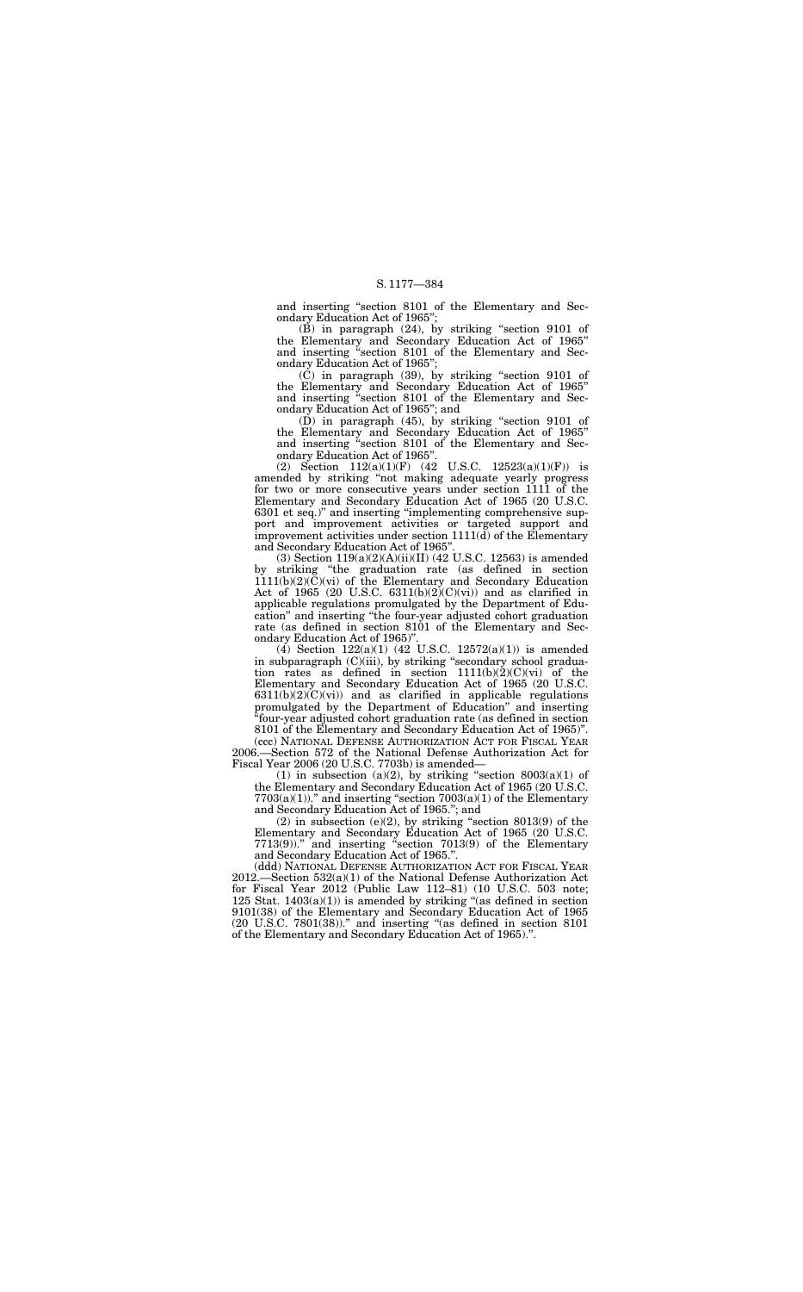and inserting ''section 8101 of the Elementary and Secondary Education Act of 1965'';

(B) in paragraph (24), by striking ''section 9101 of the Elementary and Secondary Education Act of 1965'' and inserting ''section 8101 of the Elementary and Secondary Education Act of 1965'';

 $(D)$  in paragraph  $(45)$ , by striking "section 9101 of the Elementary and Secondary Education Act of 1965'' and inserting ''section 8101 of the Elementary and Secondary Education Act of 1965''.

(C) in paragraph (39), by striking ''section 9101 of the Elementary and Secondary Education Act of 1965'' and inserting ''section 8101 of the Elementary and Secondary Education Act of 1965''; and

(2) Section  $112(a)(1)(F)$  (42 U.S.C.  $12523(a)(1)(F)$ ) is amended by striking ''not making adequate yearly progress for two or more consecutive years under section 1111 of the Elementary and Secondary Education Act of 1965 (20 U.S.C. 6301 et seq.)'' and inserting ''implementing comprehensive support and improvement activities or targeted support and improvement activities under section  $1111(\tilde{d})$  of the Elementary and Secondary Education Act of 1965''.

(3) Section  $119(a)(2)(A)(ii)(II)$  (42 U.S.C. 12563) is amended by striking ''the graduation rate (as defined in section  $1111(b)(2)(C)(vi)$  of the Elementary and Secondary Education Act of 1965 (20 U.S.C.  $6311(b)(2)(C)(vi)$ ) and as clarified in applicable regulations promulgated by the Department of Education'' and inserting ''the four-year adjusted cohort graduation rate (as defined in section 8101 of the Elementary and Secondary Education Act of 1965)''.

(4) Section 122(a)(1) (42 U.S.C. 12572(a)(1)) is amended in subparagraph (C)(iii), by striking ''secondary school graduation rates as defined in section  $1111(b)(2)(C)(vi)$  of the Elementary and Secondary Education Act of 1965 (20 U.S.C.  $6311(b)(2)(C)(vi)$  and as clarified in applicable regulations promulgated by the Department of Education'' and inserting ''four-year adjusted cohort graduation rate (as defined in section 8101 of the Elementary and Secondary Education Act of 1965)''.

(1) in subsection (a)(2), by striking "section  $8003(a)(1)$  of the Elementary and Secondary Education Act of 1965 (20 U.S.C.  $7703(a)(1)$ ." and inserting "section  $7003(a)(1)$  of the Elementary and Secondary Education Act of 1965.''; and

 $(2)$  in subsection  $(e)(2)$ , by striking "section 8013 $(9)$  of the Elementary and Secondary Education Act of 1965 (20 U.S.C.  $7713(9)$ ." and inserting "section  $7013(9)$  of the Elementary and Secondary Education Act of 1965.''.

(ddd) National Defense Authorization Act for Fiscal Year 2012.—Section 532(a)(1) of the National Defense Authorization Act for Fiscal Year 2012 (Public Law 112–81) (10 U.S.C. 503 note; 125 Stat.  $1403(a)(1)$  is amended by striking "(as defined in section 9101(38) of the Elementary and Secondary Education Act of 1965 (20 U.S.C. 7801(38)).'' and inserting ''(as defined in section 8101 of the Elementary and Secondary Education Act of 1965).''.

(ccc) NATIONAL DEFENSE AUTHORIZATION ACT FOR FISCAL YEAR 2006.—Section 572 of the National Defense Authorization Act for Fiscal Year 2006 (20 U.S.C. 7703b) is amended—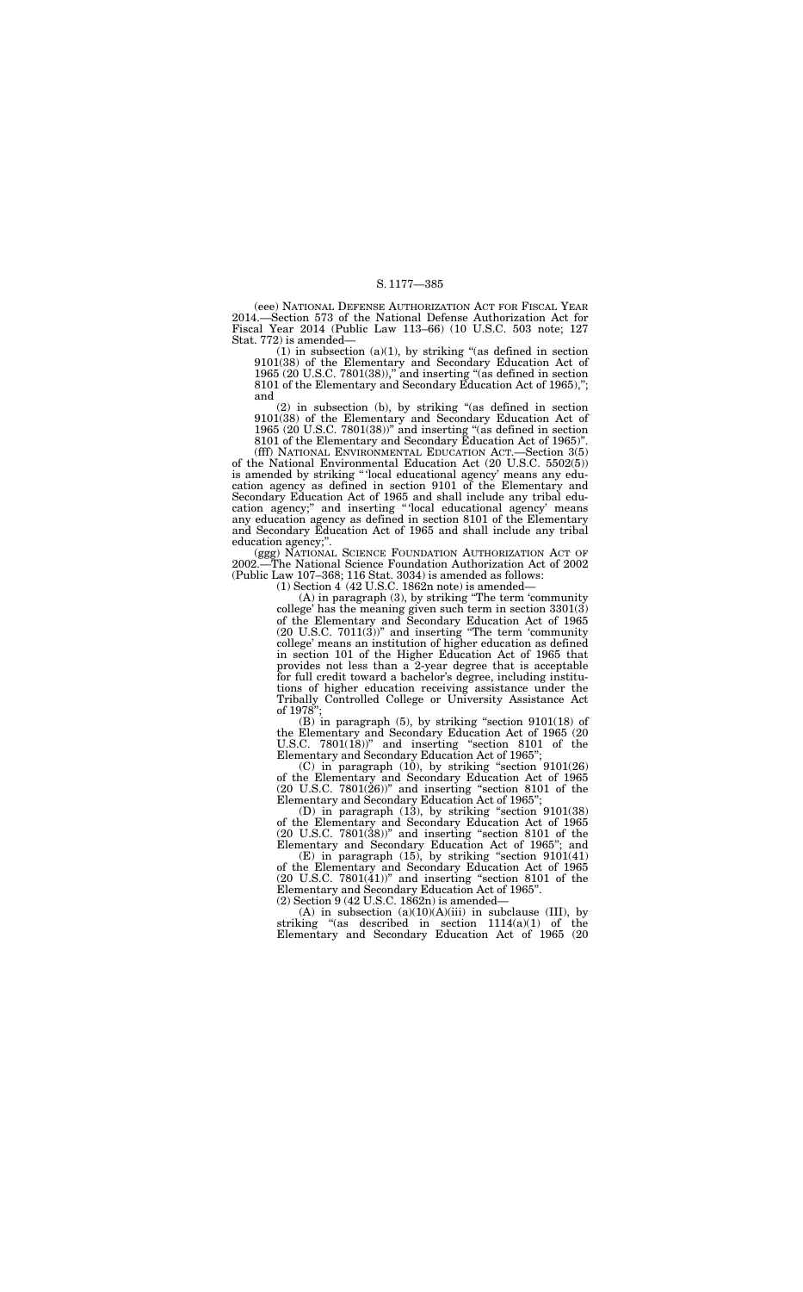(eee) NATIONAL DEFENSE AUTHORIZATION ACT FOR FISCAL YEAR 2014.—Section 573 of the National Defense Authorization Act for Fiscal Year 2014 (Public Law 113–66) (10 U.S.C. 503 note; 127 Stat. 772) is amended—

 $(1)$  in subsection  $(a)(1)$ , by striking "(as defined in section 9101(38) of the Elementary and Secondary Education Act of 1965 (20 U.S.C. 7801(38)),'' and inserting ''(as defined in section 8101 of the Elementary and Secondary Education Act of 1965),"; and

(fff) NATIONAL ENVIRONMENTAL EDUCATION ACT.—Section 3(5) of the National Environmental Education Act (20 U.S.C. 5502(5)) is amended by striking "local educational agency' means any education agency as defined in section 9101 of the Elementary and Secondary Education Act of 1965 and shall include any tribal education agency;'' and inserting '' 'local educational agency' means any education agency as defined in section 8101 of the Elementary and Secondary Education Act of 1965 and shall include any tribal education agency;"

(2) in subsection (b), by striking ''(as defined in section 9101(38) of the Elementary and Secondary Education Act of 1965 (20 U.S.C. 7801(38))'' and inserting ''(as defined in section 8101 of the Elementary and Secondary Education Act of 1965)''.

(A) in paragraph (3), by striking ''The term 'community college' has the meaning given such term in section 3301(3) of the Elementary and Secondary Education Act of 1965  $(20 \text{ U.S.C. } 7011(3))^n$  and inserting "The term 'community' college' means an institution of higher education as defined in section 101 of the Higher Education Act of 1965 that provides not less than a 2-year degree that is acceptable for full credit toward a bachelor's degree, including institutions of higher education receiving assistance under the Tribally Controlled College or University Assistance Act of 1978<sup>'</sup>

 $(B)$  in paragraph  $(5)$ , by striking "section  $9101(18)$  of the Elementary and Secondary Education Act of 1965 (20 U.S.C.  $7801(18)$ " and inserting "section 8101 of the Elementary and Secondary Education Act of 1965'';

 $(C)$  in paragraph  $(10)$ , by striking "section  $9101(26)$ of the Elementary and Secondary Education Act of 1965  $(20 \text{ U.S.C. } 7801(\dot{2}6))$ " and inserting "section 8101 of the Elementary and Secondary Education Act of 1965'';

(ggg) NATIONAL SCIENCE FOUNDATION AUTHORIZATION ACT OF 2002.—The National Science Foundation Authorization Act of 2002 (Public Law 107–368; 116 Stat. 3034) is amended as follows:

> (D) in paragraph  $(13)$ , by striking "section  $9101(38)$ of the Elementary and Secondary Education Act of 1965 (20 U.S.C. 7801(38))'' and inserting ''section 8101 of the Elementary and Secondary Education Act of 1965''; and

(1) Section 4 (42 U.S.C. 1862n note) is amended—

 $(E)$  in paragraph  $(15)$ , by striking "section  $9101(41)$ of the Elementary and Secondary Education Act of 1965 (20 U.S.C. 7801(41))'' and inserting ''section 8101 of the Elementary and Secondary Education Act of 1965''. (2) Section 9 (42 U.S.C. 1862n) is amended—

(A) in subsection  $(a)(10)(A)(iii)$  in subclause (III), by striking "(as described in section  $1114(a)(1)$  of the Elementary and Secondary Education Act of 1965 (20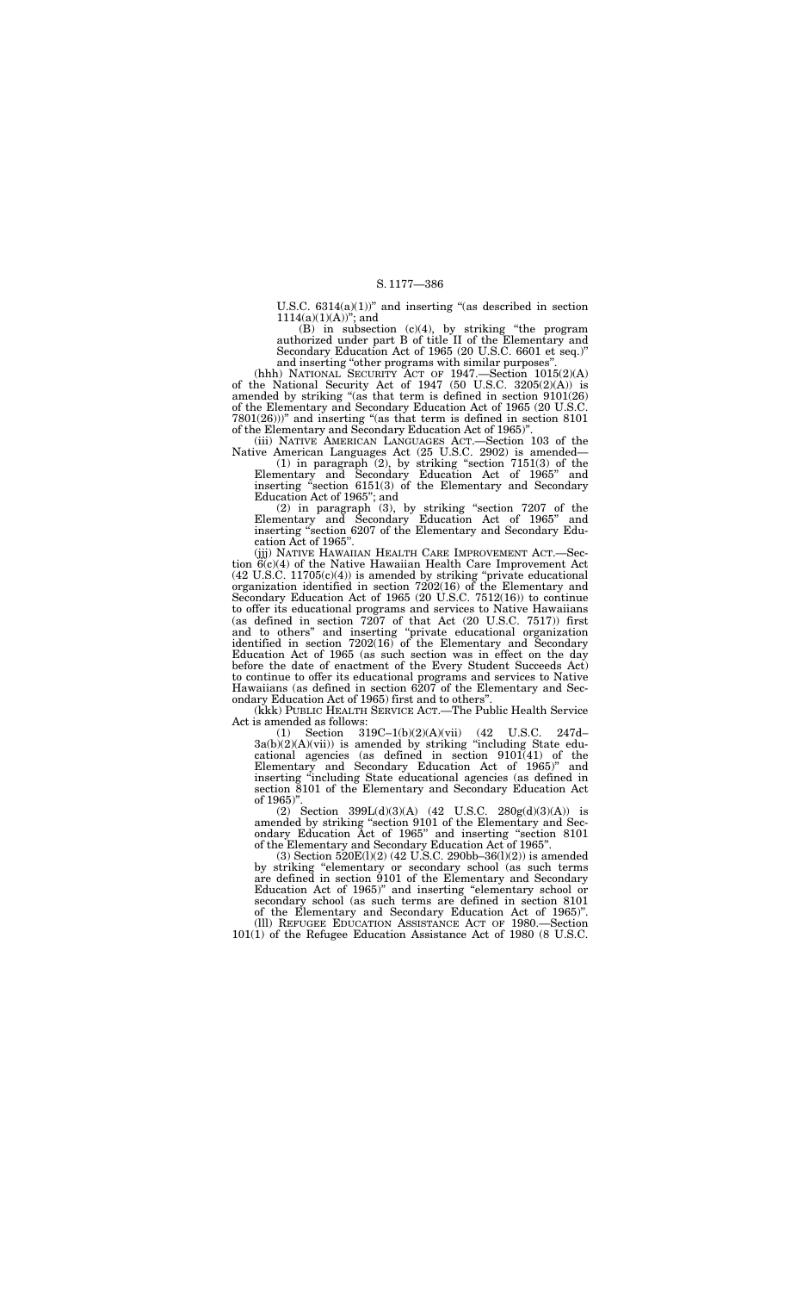U.S.C.  $6314(a)(1)$ <sup>"</sup> and inserting "(as described in section  $1114(a)(1)(A)$ "; and

(B) in subsection (c)(4), by striking ''the program authorized under part B of title II of the Elementary and Secondary Education Act of 1965 (20 U.S.C. 6601 et seq.)'' and inserting "other programs with similar purposes".

 $(1)$  in paragraph  $(2)$ , by striking "section 7151 $(3)$  of the Elementary and Secondary Education Act of 1965'' and inserting "section 6151(3) of the Elementary and Secondary Education Act of 1965''; and

(hhh) NATIONAL SECURITY ACT OF 1947.—Section 1015(2)(A) of the National Security Act of 1947 (50 U.S.C. 3205(2)(A)) is amended by striking "(as that term is defined in section  $9101(26)$ ) of the Elementary and Secondary Education Act of 1965 (20 U.S.C.  $7801(26)$ )" and inserting "(as that term is defined in section 8101 of the Elementary and Secondary Education Act of 1965)''.

(jjj) NATIVE HAWAIIAN HEALTH CARE IMPROVEMENT ACT.—Section  $\tilde{6}(c)(4)$  of the Native Hawaiian Health Care Improvement Act  $(42 \text{ U.S.C. } 11705(c)(4))$  is amended by striking "private educational organization identified in section 7202(16) of the Elementary and Secondary Education Act of 1965 (20 U.S.C. 7512(16)) to continue to offer its educational programs and services to Native Hawaiians (as defined in section 7207 of that Act (20 U.S.C. 7517)) first and to others'' and inserting ''private educational organization identified in section 7202(16) of the Elementary and Secondary Education Act of 1965 (as such section was in effect on the day before the date of enactment of the Every Student Succeeds Act) to continue to offer its educational programs and services to Native Hawaiians (as defined in section 6207 of the Elementary and Secondary Education Act of 1965) first and to others

(iii) NATIVE AMERICAN LANGUAGES ACT.—Section 103 of the Native American Languages Act (25 U.S.C. 2902) is amended—

(1) Section 319C–1(b)(2)(A)(vii) (42 U.S.C. 247d– 3a(b)(2)(A)(vii)) is amended by striking ''including State educational agencies (as defined in section 9101(41) of the Elementary and Secondary Education Act of 1965)'' and inserting ''including State educational agencies (as defined in section 8101 of the Elementary and Secondary Education Act of 1965)<sup>'</sup>

(2) in paragraph (3), by striking ''section 7207 of the Elementary and Secondary Education Act of 1965'' and inserting "section 6207 of the Elementary and Secondary Education Act of 1965''.

(2) Section  $399L(d)(3)(A)$  (42 U.S.C.  $280g(d)(3)(A)$ ) is amended by striking ''section 9101 of the Elementary and Secondary Education Act of 1965'' and inserting ''section 8101 of the Elementary and Secondary Education Act of 1965''.

 $(3)$  Section  $520E(1)(2)$   $(42 U.S.C. 290bb-36(1)(2))$  is amended by striking ''elementary or secondary school (as such terms are defined in section 9101 of the Elementary and Secondary Education Act of 1965)'' and inserting ''elementary school or secondary school (as such terms are defined in section 8101 of the Elementary and Secondary Education Act of 1965)''.

(kkk) PUBLIC HEALTH SERVICE ACT.—The Public Health Service Act is amended as follows:

(lll) REFUGEE EDUCATION ASSISTANCE ACT OF 1980.—Section 101(1) of the Refugee Education Assistance Act of 1980 (8 U.S.C.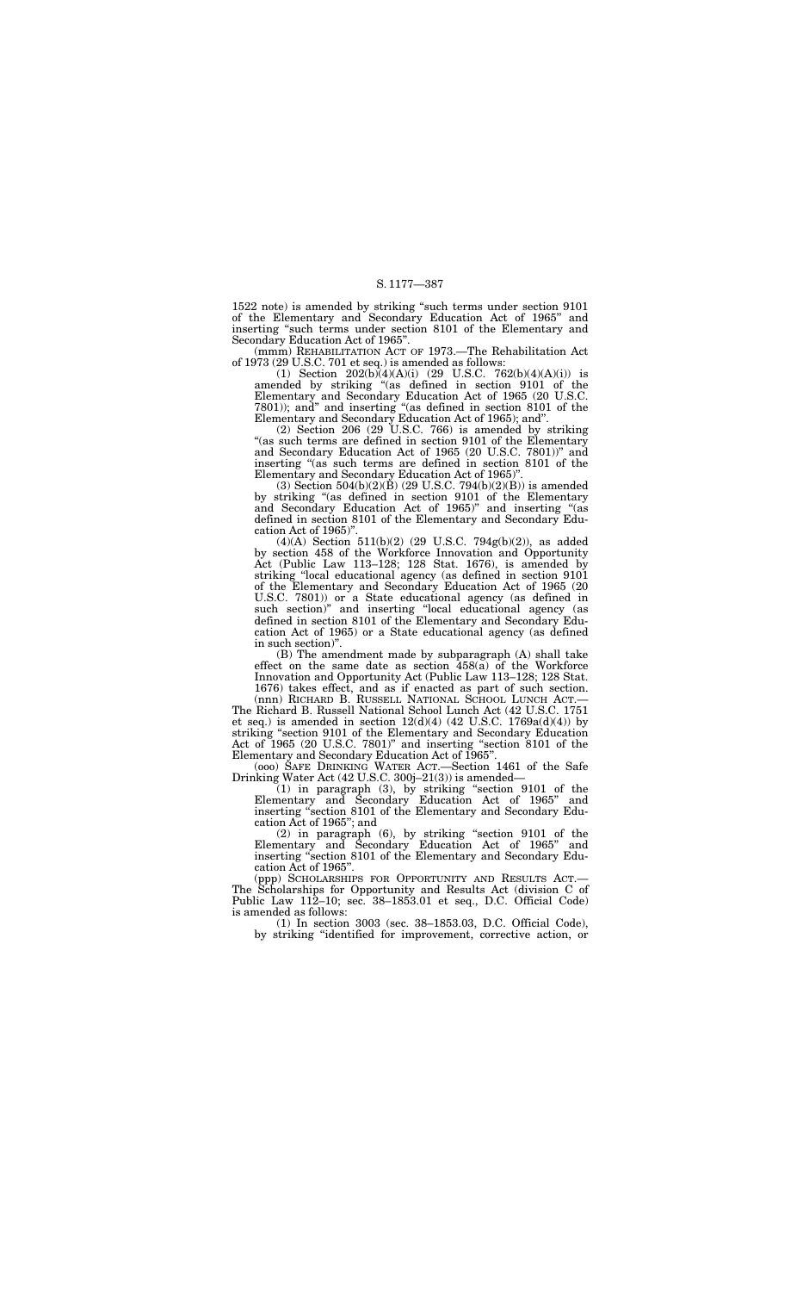1522 note) is amended by striking ''such terms under section 9101 of the Elementary and Secondary Education Act of 1965'' and inserting ''such terms under section 8101 of the Elementary and Secondary Education Act of 1965''.

(mmm) REHABILITATION ACT OF 1973.—The Rehabilitation Act of 1973 (29 U.S.C. 701 et seq.) is amended as follows:

(1) Section  $202(b)(4)(A)(i)$  (29 U.S.C. 762(b)(4)(A)(i)) is amended by striking ''(as defined in section 9101 of the Elementary and Secondary Education Act of 1965 (20 U.S.C. 7801)); and'' and inserting ''(as defined in section 8101 of the Elementary and Secondary Education Act of 1965); and''.

(2) Section 206 (29 U.S.C. 766) is amended by striking "(as such terms are defined in section 9101 of the Elementary and Secondary Education Act of 1965 (20 U.S.C. 7801))'' and inserting "(as such terms are defined in section 8101 of the Elementary and Secondary Education Act of 1965)"

(3) Section 504(b)(2)( $\check{B}$ ) (29 U.S.C. 794(b)(2)(B)) is amended by striking ''(as defined in section 9101 of the Elementary and Secondary Education Act of 1965)'' and inserting ''(as defined in section 8101 of the Elementary and Secondary Education Act of 1965)"

(2) in paragraph (6), by striking ''section 9101 of the Elementary and Secondary Education Act of 1965'' and inserting ''section 8101 of the Elementary and Secondary Education Act of 1965".<br>(ppp) SCHOLARSHIPS FOR OPPORTUNITY AND RESULTS ACT.—

(4)(A) Section 511(b)(2) (29 U.S.C. 794g(b)(2)), as added by section 458 of the Workforce Innovation and Opportunity Act (Public Law 113–128; 128 Stat. 1676), is amended by striking ''local educational agency (as defined in section 9101 of the Elementary and Secondary Education Act of 1965 (20 U.S.C. 7801)) or a State educational agency (as defined in such section)'' and inserting ''local educational agency (as defined in section 8101 of the Elementary and Secondary Education Act of 1965) or a State educational agency (as defined in such section)''.

The Scholarships for Opportunity and Results Act (division C of Public Law 112–10; sec. 38–1853.01 et seq., D.C. Official Code) is amended as follows:

(B) The amendment made by subparagraph (A) shall take effect on the same date as section  $458(a)$  of the Workforce Innovation and Opportunity Act (Public Law 113–128; 128 Stat.

1676) takes effect, and as if enacted as part of such section. The Richard B. Russell National School Lunch Act (42 U.S.C. 1751 et seq.) is amended in section  $12(d)(4)$  (42 U.S.C.  $1769a(d)(4)$ ) by striking ''section 9101 of the Elementary and Secondary Education Act of 1965 (20 U.S.C. 7801)'' and inserting ''section 8101 of the Elementary and Secondary Education Act of 1965''.

(ooo) SAFE DRINKING WATER ACT.—Section 1461 of the Safe Drinking Water Act (42 U.S.C. 300j–21(3)) is amended—

(1) in paragraph (3), by striking ''section 9101 of the Elementary and Secondary Education Act of 1965'' and inserting "section 8101 of the Elementary and Secondary Education Act of 1965''; and

(1) In section 3003 (sec. 38–1853.03, D.C. Official Code), by striking ''identified for improvement, corrective action, or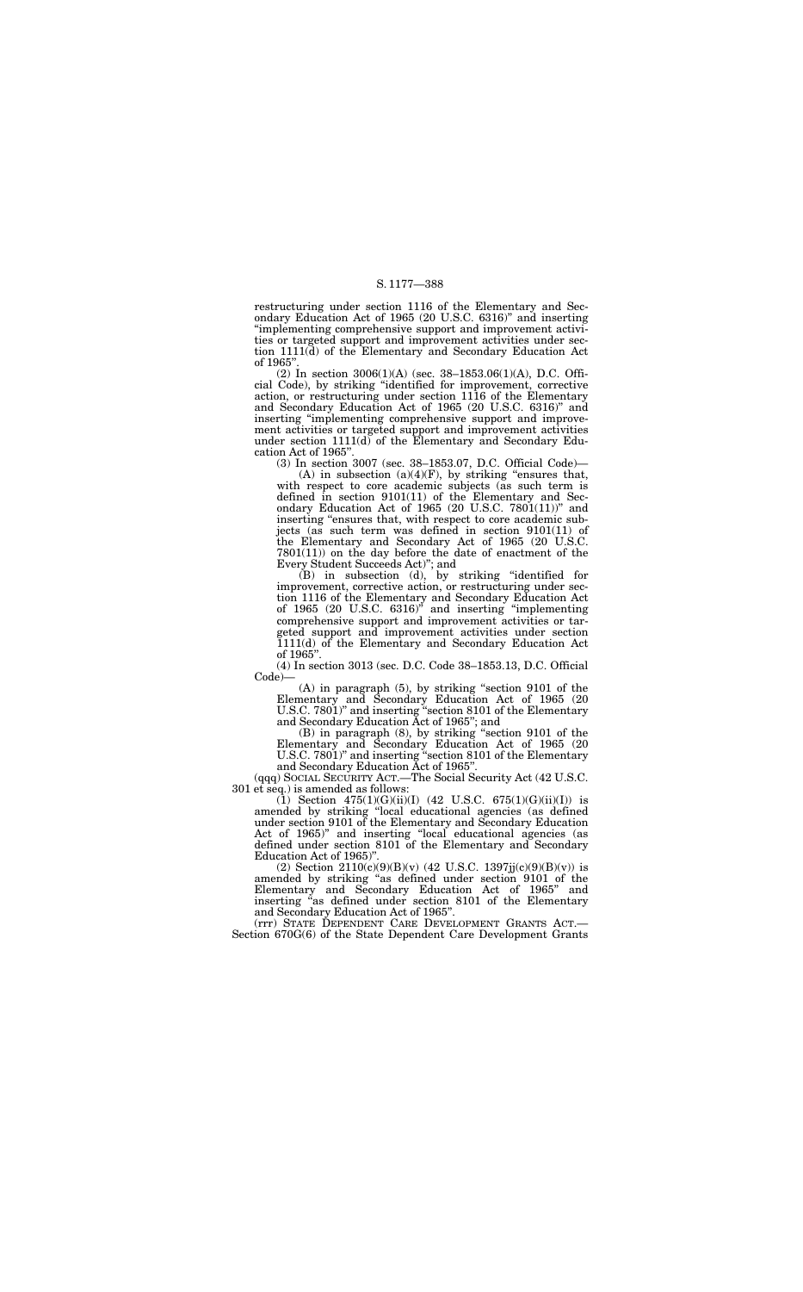restructuring under section 1116 of the Elementary and Secondary Education Act of 1965 (20 U.S.C. 6316)'' and inserting ''implementing comprehensive support and improvement activities or targeted support and improvement activities under section 1111(d) of the Elementary and Secondary Education Act of 1965'

(2) In section 3006(1)(A) (sec. 38–1853.06(1)(A), D.C. Official Code), by striking ''identified for improvement, corrective action, or restructuring under section 1116 of the Elementary and Secondary Education Act of 1965 (20 U.S.C. 6316)'' and inserting "implementing comprehensive support and improvement activities or targeted support and improvement activities under section 1111(d) of the Elementary and Secondary Education Act of 1965''.

(A) in subsection  $(a)(4)(F)$ , by striking "ensures that, with respect to core academic subjects (as such term is defined in section 9101(11) of the Elementary and Secondary Education Act of 1965 (20 U.S.C.  $7801(11)$ )" and inserting ''ensures that, with respect to core academic subjects (as such term was defined in section 9101(11) of the Elementary and Secondary Act of 1965 (20 U.S.C. 7801(11)) on the day before the date of enactment of the Every Student Succeeds Act)''; and

(3) In section 3007 (sec. 38–1853.07, D.C. Official Code)—

(1) Section  $475(1)(G)(ii)(I)$  (42 U.S.C.  $675(1)(G)(ii)(I)$ ) is amended by striking ''local educational agencies (as defined under section 9101 of the Elementary and Secondary Education Act of 1965)'' and inserting ''local educational agencies (as defined under section 8101 of the Elementary and Secondary Education Act of 1965)''.

(2) Section  $2110(c)(9)(B)(v)$  (42 U.S.C. 1397jj(c)(9)(B)(v)) is amended by striking ''as defined under section 9101 of the Elementary and Secondary Education Act of 1965'' and inserting "as defined under section 8101 of the Elementary and Secondary Education Act of 1965".<br>
(rrr) STATE DEPENDENT CARE DEVELOPMENT GRANTS ACT.—

Section 670G(6) of the State Dependent Care Development Grants

(B) in subsection (d), by striking ''identified for improvement, corrective action, or restructuring under section 1116 of the Elementary and Secondary Education Act of 1965 (20 U.S.C. 6316)'' and inserting ''implementing comprehensive support and improvement activities or targeted support and improvement activities under section 1111(d) of the Elementary and Secondary Education Act of 1965''.

(4) In section 3013 (sec. D.C. Code 38–1853.13, D.C. Official Code)—

(A) in paragraph (5), by striking ''section 9101 of the Elementary and Secondary Education Act of 1965 (20 U.S.C. 7801)'' and inserting ''section 8101 of the Elementary and Secondary Education Act of 1965''; and

(B) in paragraph (8), by striking ''section 9101 of the Elementary and Secondary Education Act of 1965 (20 U.S.C. 7801)'' and inserting ''section 8101 of the Elementary and Secondary Education Act of 1965''.

(qqq) SOCIAL SECURITY ACT.—The Social Security Act (42 U.S.C. 301 et seq.) is amended as follows: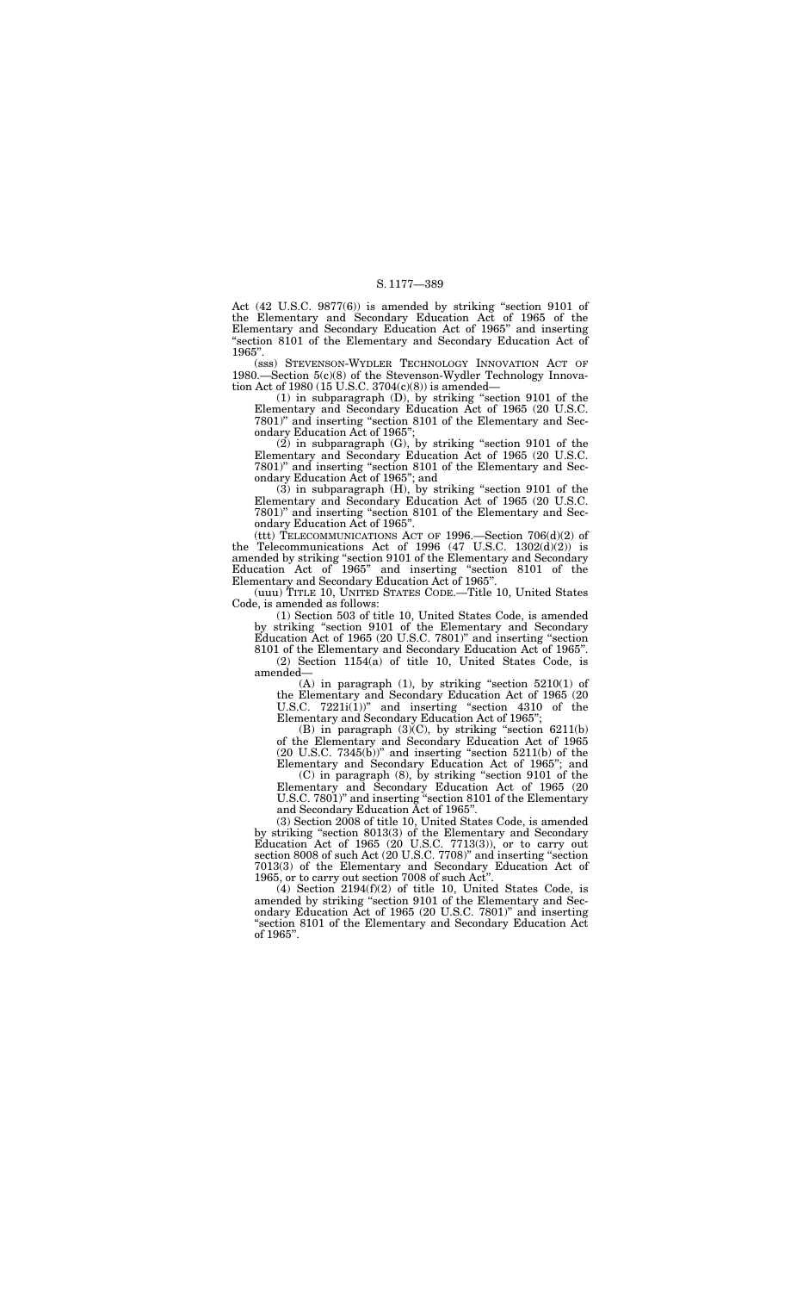Act (42 U.S.C. 9877(6)) is amended by striking "section 9101 of the Elementary and Secondary Education Act of 1965 of the Elementary and Secondary Education Act of 1965'' and inserting ''section 8101 of the Elementary and Secondary Education Act of 1965''.

(1) in subparagraph (D), by striking ''section 9101 of the Elementary and Secondary Education Act of 1965 (20 U.S.C. 7801)'' and inserting ''section 8101 of the Elementary and Secondary Education Act of 1965"

(sss) STEVENSON-WYDLER TECHNOLOGY INNOVATION ACT OF 1980.—Section 5(c)(8) of the Stevenson-Wydler Technology Innovation Act of 1980 (15 U.S.C. 3704(c)(8)) is amended—

 $(2)$  in subparagraph  $(G)$ , by striking "section 9101 of the Elementary and Secondary Education Act of 1965 (20 U.S.C. 7801)'' and inserting ''section 8101 of the Elementary and Secondary Education Act of 1965''; and

(ttt) TELECOMMUNICATIONS ACT OF 1996.—Section  $706(d)(2)$  of the Telecommunications Act of 1996 (47 U.S.C. 1302(d)(2)) is amended by striking ''section 9101 of the Elementary and Secondary Education Act of 1965'' and inserting ''section 8101 of the Elementary and Secondary Education Act of 1965''.

(3) in subparagraph (H), by striking ''section 9101 of the Elementary and Secondary Education Act of 1965 (20 U.S.C. 7801)'' and inserting ''section 8101 of the Elementary and Secondary Education Act of 1965''.

(B) in paragraph  $(3)(C)$ , by striking "section 6211(b) of the Elementary and Secondary Education Act of 1965  $(20 \text{ U.S.C. } 7345(b))$ " and inserting "section  $5211(b)$  of the Elementary and Secondary Education Act of 1965''; and

(uuu) TITLE 10, UNITED STATES CODE.—Title 10, United States Code, is amended as follows:

(1) Section 503 of title 10, United States Code, is amended by striking ''section 9101 of the Elementary and Secondary Education Act of 1965 (20 U.S.C. 7801)" and inserting "section 8101 of the Elementary and Secondary Education Act of 1965''.

(2) Section 1154(a) of title 10, United States Code, is amended—

(A) in paragraph  $(1)$ , by striking "section  $5210(1)$  of the Elementary and Secondary Education Act of 1965 (20 U.S.C.  $7221i(1)$ " and inserting "section 4310 of the Elementary and Secondary Education Act of 1965"

(C) in paragraph (8), by striking ''section 9101 of the Elementary and Secondary Education Act of 1965 (20 U.S.C. 7801)'' and inserting ''section 8101 of the Elementary and Secondary Education Act of 1965''.

(3) Section 2008 of title 10, United States Code, is amended by striking "section 8013(3) of the Elementary and Secondary Education Act of 1965 (20 U.S.C. 7713(3)), or to carry out section 8008 of such Act (20 U.S.C. 7708)" and inserting "section 7013(3) of the Elementary and Secondary Education Act of 1965, or to carry out section 7008 of such Act''.

(4) Section 2194(f)(2) of title 10, United States Code, is amended by striking "section 9101 of the Elementary and Secondary Education Act of 1965 (20 U.S.C. 7801)'' and inserting ''section 8101 of the Elementary and Secondary Education Act of 1965''.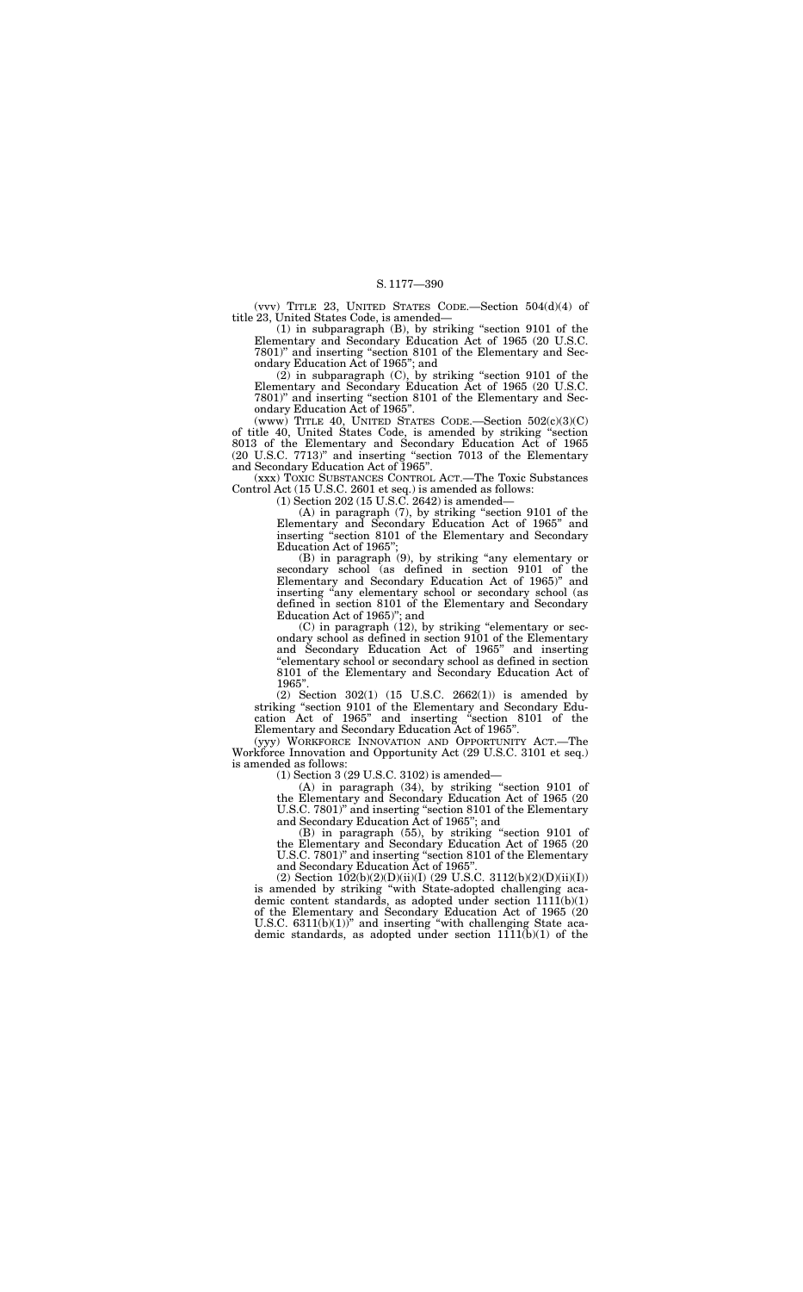(vvv) TITLE 23, UNITED STATES CODE.—Section  $504(d)(4)$  of title 23, United States Code, is amended—

(1) in subparagraph (B), by striking ''section 9101 of the Elementary and Secondary Education Act of 1965 (20 U.S.C. 7801)'' and inserting ''section 8101 of the Elementary and Secondary Education Act of 1965''; and

(www) TITLE 40, UNITED STATES CODE.—Section  $502(c)(3)(C)$ of title 40, United States Code, is amended by striking ''section 8013 of the Elementary and Secondary Education Act of 1965 (20 U.S.C. 7713)'' and inserting ''section 7013 of the Elementary and Secondary Education Act of 1965''.

(2) in subparagraph (C), by striking ''section 9101 of the Elementary and Secondary Education Act of 1965 (20 U.S.C. 7801)'' and inserting ''section 8101 of the Elementary and Secondary Education Act of 1965''.

(A) in paragraph (7), by striking ''section 9101 of the Elementary and Secondary Education Act of 1965'' and inserting ''section 8101 of the Elementary and Secondary Education Act of 1965"

(xxx) TOXIC SUBSTANCES CONTROL ACT.—The Toxic Substances Control Act (15 U.S.C. 2601 et seq.) is amended as follows:

(1) Section 202 (15 U.S.C. 2642) is amended—

(B) in paragraph (9), by striking ''any elementary or secondary school (as defined in section 9101 of the Elementary and Secondary Education Act of 1965)'' and inserting "any elementary school or secondary school (as defined in section 8101 of the Elementary and Secondary Education Act of 1965)''; and

(C) in paragraph (12), by striking ''elementary or secondary school as defined in section 9101 of the Elementary and Secondary Education Act of 1965'' and inserting ''elementary school or secondary school as defined in section 8101 of the Elementary and Secondary Education Act of 1965''.

(2) Section 302(1) (15 U.S.C. 2662(1)) is amended by striking ''section 9101 of the Elementary and Secondary Education Act of 1965'' and inserting ''section 8101 of the Elementary and Secondary Education Act of 1965''.

(yyy) WORKFORCE INNOVATION AND OPPORTUNITY ACT.—The Workforce Innovation and Opportunity Act (29 U.S.C. 3101 et seq.) is amended as follows:

(1) Section 3 (29 U.S.C. 3102) is amended—

(A) in paragraph (34), by striking ''section 9101 of the Elementary and Secondary Education Act of 1965 (20 U.S.C. 7801)" and inserting "section 8101 of the Elementary and Secondary Education Act of 1965''; and

(B) in paragraph (55), by striking ''section 9101 of the Elementary and Secondary Education Act of 1965 (20 U.S.C. 7801)" and inserting "section 8101 of the Elementary and Secondary Education Act of 1965''.

(2) Section  $102(b)(2)(D)(ii)(I)$  (29 U.S.C. 3112(b)(2)(D)(ii)(I)) is amended by striking ''with State-adopted challenging academic content standards, as adopted under section  $1111(b)(1)$ of the Elementary and Secondary Education Act of 1965 (20 U.S.C.  $6311(b)(1)$ <sup>"</sup> and inserting "with challenging State academic standards, as adopted under section  $1111(b)(1)$  of the